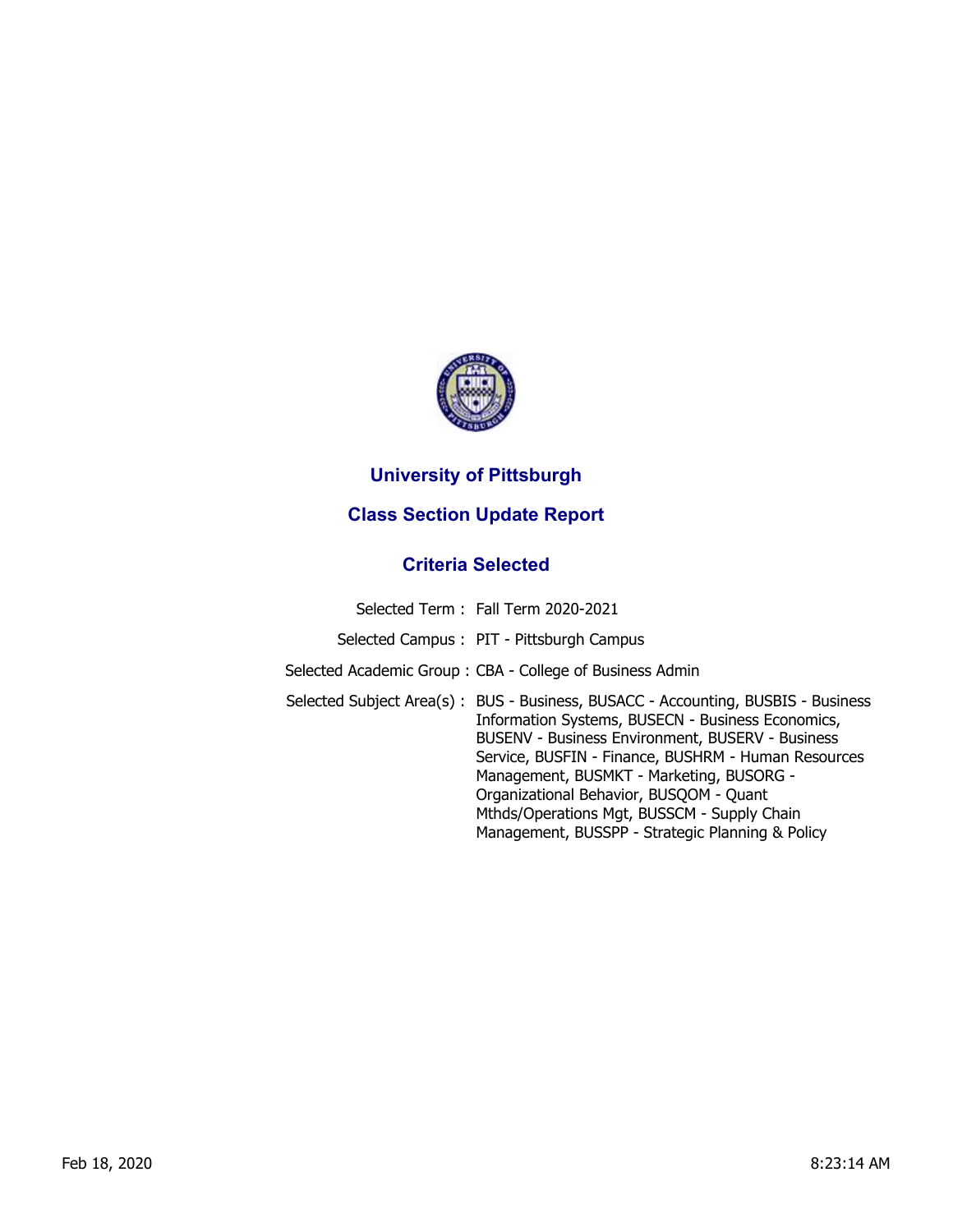

## **University of Pittsburgh**

## **Class Section Update Report**

## **Criteria Selected**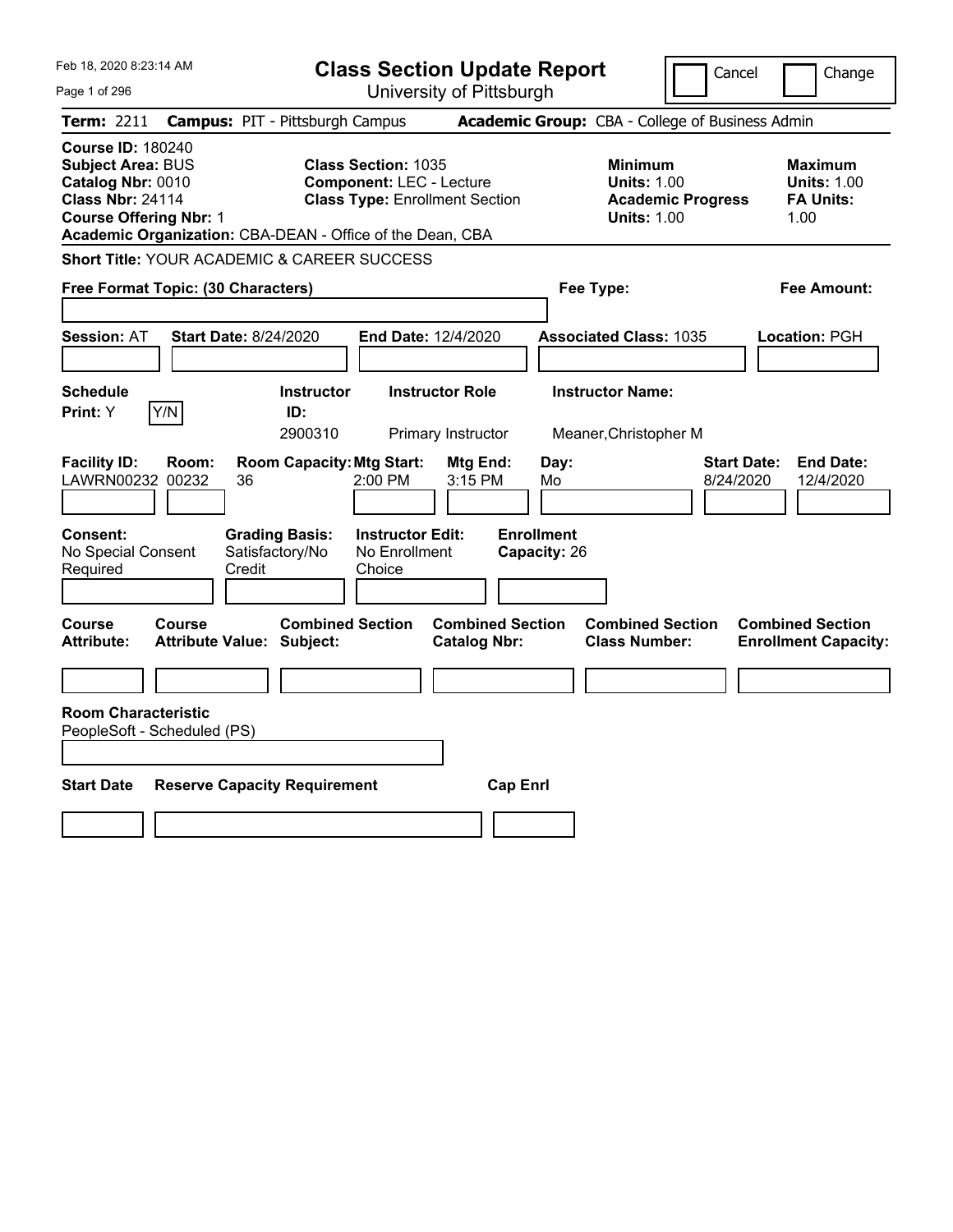| Feb 18, 2020 8:23:14 AM                                                                                                               | <b>Class Section Update Report</b>                                                                                                                                  | Cancel                                                                                 | Change                                                           |
|---------------------------------------------------------------------------------------------------------------------------------------|---------------------------------------------------------------------------------------------------------------------------------------------------------------------|----------------------------------------------------------------------------------------|------------------------------------------------------------------|
| Page 1 of 296                                                                                                                         | University of Pittsburgh                                                                                                                                            |                                                                                        |                                                                  |
| <b>Term: 2211</b>                                                                                                                     | <b>Campus: PIT - Pittsburgh Campus</b>                                                                                                                              | Academic Group: CBA - College of Business Admin                                        |                                                                  |
| <b>Course ID: 180240</b><br><b>Subject Area: BUS</b><br>Catalog Nbr: 0010<br><b>Class Nbr: 24114</b><br><b>Course Offering Nbr: 1</b> | <b>Class Section: 1035</b><br><b>Component: LEC - Lecture</b><br><b>Class Type: Enrollment Section</b><br>Academic Organization: CBA-DEAN - Office of the Dean, CBA | <b>Minimum</b><br><b>Units: 1.00</b><br><b>Academic Progress</b><br><b>Units: 1.00</b> | <b>Maximum</b><br><b>Units: 1.00</b><br><b>FA Units:</b><br>1.00 |
| <b>Short Title: YOUR ACADEMIC &amp; CAREER SUCCESS</b>                                                                                |                                                                                                                                                                     |                                                                                        |                                                                  |
| Free Format Topic: (30 Characters)                                                                                                    |                                                                                                                                                                     | Fee Type:                                                                              | Fee Amount:                                                      |
| <b>Session: AT</b><br><b>Start Date: 8/24/2020</b>                                                                                    | End Date: 12/4/2020                                                                                                                                                 | <b>Associated Class: 1035</b>                                                          | Location: PGH                                                    |
| <b>Schedule</b><br>Print: Y<br>Y/N                                                                                                    | <b>Instructor Role</b><br><b>Instructor</b><br>ID:<br>2900310<br>Primary Instructor                                                                                 | <b>Instructor Name:</b><br>Meaner, Christopher M                                       |                                                                  |
| <b>Facility ID:</b><br>Room:<br>LAWRN00232 00232<br>36                                                                                | <b>Room Capacity: Mtg Start:</b><br>Mtg End:<br>$2:00$ PM<br>3:15 PM                                                                                                | Day:<br><b>Start Date:</b><br>Mo<br>8/24/2020                                          | <b>End Date:</b><br>12/4/2020                                    |
| Consent:<br>No Special Consent<br>Required<br>Credit                                                                                  | <b>Grading Basis:</b><br><b>Instructor Edit:</b><br>Satisfactory/No<br>No Enrollment<br>Choice                                                                      | <b>Enrollment</b><br>Capacity: 26                                                      |                                                                  |
| Course<br>Course<br><b>Attribute:</b><br><b>Attribute Value: Subject:</b>                                                             | <b>Combined Section</b><br><b>Combined Section</b><br><b>Catalog Nbr:</b>                                                                                           | <b>Combined Section</b><br><b>Class Number:</b>                                        | <b>Combined Section</b><br><b>Enrollment Capacity:</b>           |
|                                                                                                                                       |                                                                                                                                                                     |                                                                                        |                                                                  |
| <b>Room Characteristic</b><br>PeopleSoft - Scheduled (PS)<br><b>Start Date</b>                                                        | <b>Reserve Capacity Requirement</b><br><b>Cap Enrl</b>                                                                                                              |                                                                                        |                                                                  |
|                                                                                                                                       |                                                                                                                                                                     |                                                                                        |                                                                  |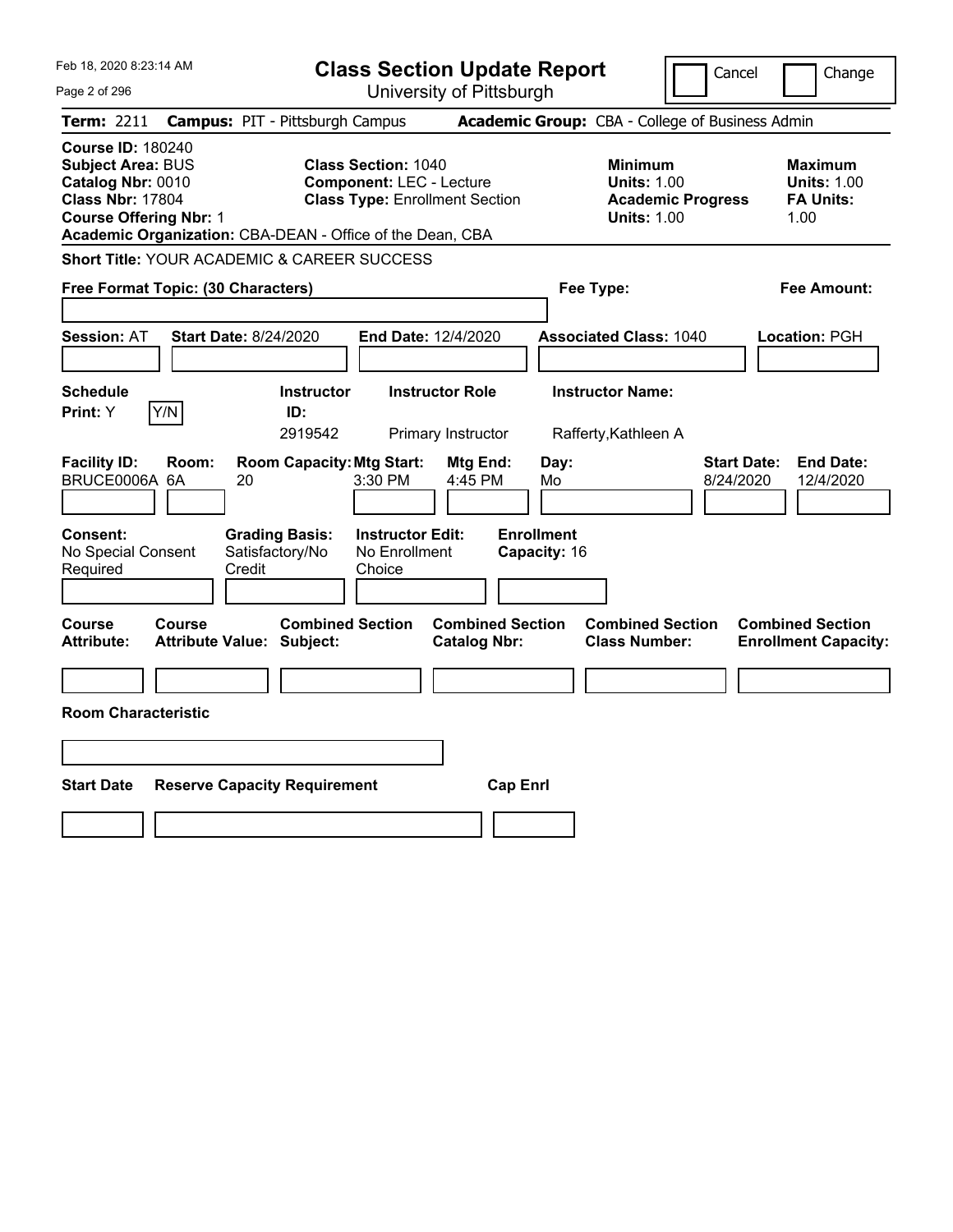| Feb 18, 2020 8:23:14 AM                                                                                                        | <b>Class Section Update Report</b>                                                                                                                                  | Cancel                                                                                 | Change                                                           |
|--------------------------------------------------------------------------------------------------------------------------------|---------------------------------------------------------------------------------------------------------------------------------------------------------------------|----------------------------------------------------------------------------------------|------------------------------------------------------------------|
| Page 2 of 296                                                                                                                  | University of Pittsburgh                                                                                                                                            |                                                                                        |                                                                  |
| <b>Term: 2211</b>                                                                                                              | <b>Campus: PIT - Pittsburgh Campus</b>                                                                                                                              | Academic Group: CBA - College of Business Admin                                        |                                                                  |
| <b>Course ID: 180240</b><br>Subject Area: BUS<br>Catalog Nbr: 0010<br><b>Class Nbr: 17804</b><br><b>Course Offering Nbr: 1</b> | <b>Class Section: 1040</b><br><b>Component: LEC - Lecture</b><br><b>Class Type: Enrollment Section</b><br>Academic Organization: CBA-DEAN - Office of the Dean, CBA | <b>Minimum</b><br><b>Units: 1.00</b><br><b>Academic Progress</b><br><b>Units: 1.00</b> | <b>Maximum</b><br><b>Units: 1.00</b><br><b>FA Units:</b><br>1.00 |
| <b>Short Title: YOUR ACADEMIC &amp; CAREER SUCCESS</b>                                                                         |                                                                                                                                                                     |                                                                                        |                                                                  |
| Free Format Topic: (30 Characters)                                                                                             |                                                                                                                                                                     | Fee Type:                                                                              | Fee Amount:                                                      |
| <b>Start Date: 8/24/2020</b><br><b>Session: AT</b>                                                                             | End Date: 12/4/2020                                                                                                                                                 | <b>Associated Class: 1040</b>                                                          | Location: PGH                                                    |
| <b>Schedule</b><br>Y/N<br>Print: Y                                                                                             | <b>Instructor Role</b><br><b>Instructor</b><br>ID:<br>2919542<br>Primary Instructor                                                                                 | <b>Instructor Name:</b><br>Rafferty, Kathleen A                                        |                                                                  |
| <b>Facility ID:</b><br>Room:<br>BRUCE0006A 6A<br>20                                                                            | <b>Room Capacity: Mtg Start:</b><br>Mtg End:<br>3:30 PM<br>4:45 PM                                                                                                  | <b>Start Date:</b><br>Day:<br>Mo<br>8/24/2020                                          | <b>End Date:</b><br>12/4/2020                                    |
| Consent:<br>No Special Consent<br>Required<br>Credit                                                                           | <b>Grading Basis:</b><br><b>Instructor Edit:</b><br>Satisfactory/No<br>No Enrollment<br>Choice                                                                      | <b>Enrollment</b><br>Capacity: 16                                                      |                                                                  |
| Course<br>Course<br><b>Attribute:</b><br><b>Attribute Value: Subject:</b>                                                      | <b>Combined Section</b><br><b>Combined Section</b><br><b>Catalog Nbr:</b>                                                                                           | <b>Combined Section</b><br><b>Class Number:</b>                                        | <b>Combined Section</b><br><b>Enrollment Capacity:</b>           |
|                                                                                                                                |                                                                                                                                                                     |                                                                                        |                                                                  |
| <b>Room Characteristic</b>                                                                                                     |                                                                                                                                                                     |                                                                                        |                                                                  |
|                                                                                                                                |                                                                                                                                                                     |                                                                                        |                                                                  |
| <b>Start Date</b><br><b>Reserve Capacity Requirement</b>                                                                       | <b>Cap Enrl</b>                                                                                                                                                     |                                                                                        |                                                                  |
|                                                                                                                                |                                                                                                                                                                     |                                                                                        |                                                                  |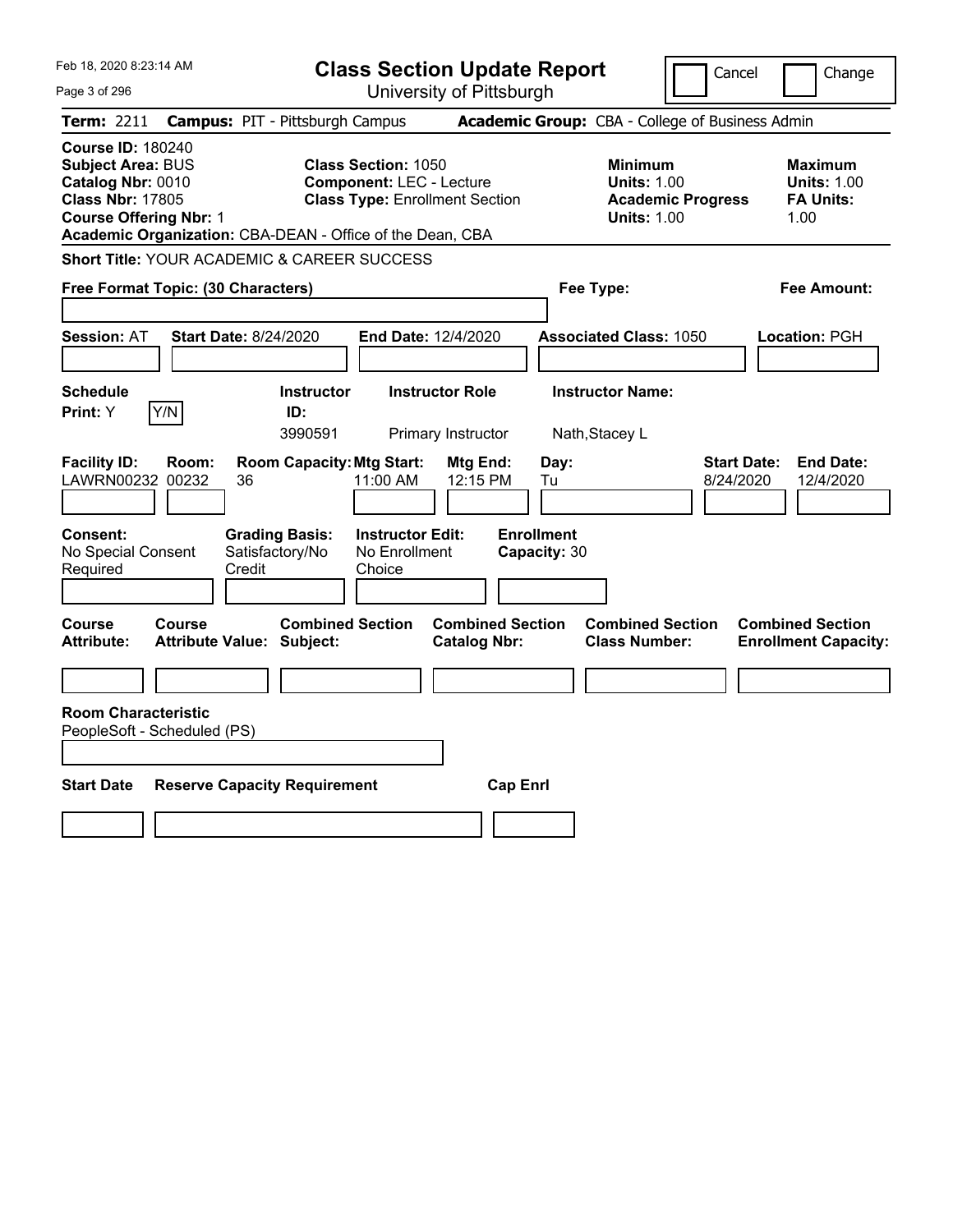| Feb 18, 2020 8:23:14 AM                                                                                                                                                                     |                                                                                                          | <b>Class Section Update Report</b>             |                                                                                        | Cancel<br>Change                                                 |
|---------------------------------------------------------------------------------------------------------------------------------------------------------------------------------------------|----------------------------------------------------------------------------------------------------------|------------------------------------------------|----------------------------------------------------------------------------------------|------------------------------------------------------------------|
| Page 3 of 296                                                                                                                                                                               |                                                                                                          | University of Pittsburgh                       |                                                                                        |                                                                  |
| <b>Term: 2211</b>                                                                                                                                                                           | <b>Campus: PIT - Pittsburgh Campus</b>                                                                   |                                                | Academic Group: CBA - College of Business Admin                                        |                                                                  |
| <b>Course ID: 180240</b><br>Subject Area: BUS<br>Catalog Nbr: 0010<br><b>Class Nbr: 17805</b><br><b>Course Offering Nbr: 1</b><br>Academic Organization: CBA-DEAN - Office of the Dean, CBA | <b>Class Section: 1050</b><br><b>Component: LEC - Lecture</b><br><b>Class Type: Enrollment Section</b>   |                                                | <b>Minimum</b><br><b>Units: 1.00</b><br><b>Academic Progress</b><br><b>Units: 1.00</b> | <b>Maximum</b><br><b>Units: 1.00</b><br><b>FA Units:</b><br>1.00 |
| <b>Short Title: YOUR ACADEMIC &amp; CAREER SUCCESS</b>                                                                                                                                      |                                                                                                          |                                                |                                                                                        |                                                                  |
| Free Format Topic: (30 Characters)                                                                                                                                                          |                                                                                                          |                                                | Fee Type:                                                                              | Fee Amount:                                                      |
| <b>Session: AT</b>                                                                                                                                                                          | <b>Start Date: 8/24/2020</b>                                                                             | <b>End Date: 12/4/2020</b>                     | <b>Associated Class: 1050</b>                                                          | Location: PGH                                                    |
| <b>Schedule</b><br>Print: Y<br>Y/N                                                                                                                                                          | <b>Instructor</b><br>ID:<br>3990591                                                                      | <b>Instructor Role</b><br>Primary Instructor   | <b>Instructor Name:</b><br>Nath, Stacey L                                              |                                                                  |
| <b>Facility ID:</b><br>Room:<br>LAWRN00232 00232                                                                                                                                            | <b>Room Capacity: Mtg Start:</b><br>36<br>11:00 AM                                                       | Mtg End:<br>12:15 PM                           | Day:<br>Tu                                                                             | <b>Start Date:</b><br><b>End Date:</b><br>8/24/2020<br>12/4/2020 |
| Consent:<br>No Special Consent<br>Required                                                                                                                                                  | <b>Instructor Edit:</b><br><b>Grading Basis:</b><br>Satisfactory/No<br>No Enrollment<br>Credit<br>Choice | <b>Enrollment</b><br>Capacity: 30              |                                                                                        |                                                                  |
| Course<br>Course<br><b>Attribute:</b>                                                                                                                                                       | <b>Combined Section</b><br><b>Attribute Value: Subject:</b>                                              | <b>Combined Section</b><br><b>Catalog Nbr:</b> | <b>Combined Section</b><br><b>Class Number:</b>                                        | <b>Combined Section</b><br><b>Enrollment Capacity:</b>           |
|                                                                                                                                                                                             |                                                                                                          |                                                |                                                                                        |                                                                  |
| <b>Room Characteristic</b><br>PeopleSoft - Scheduled (PS)<br><b>Start Date</b>                                                                                                              | <b>Reserve Capacity Requirement</b>                                                                      | <b>Cap Enrl</b>                                |                                                                                        |                                                                  |
|                                                                                                                                                                                             |                                                                                                          |                                                |                                                                                        |                                                                  |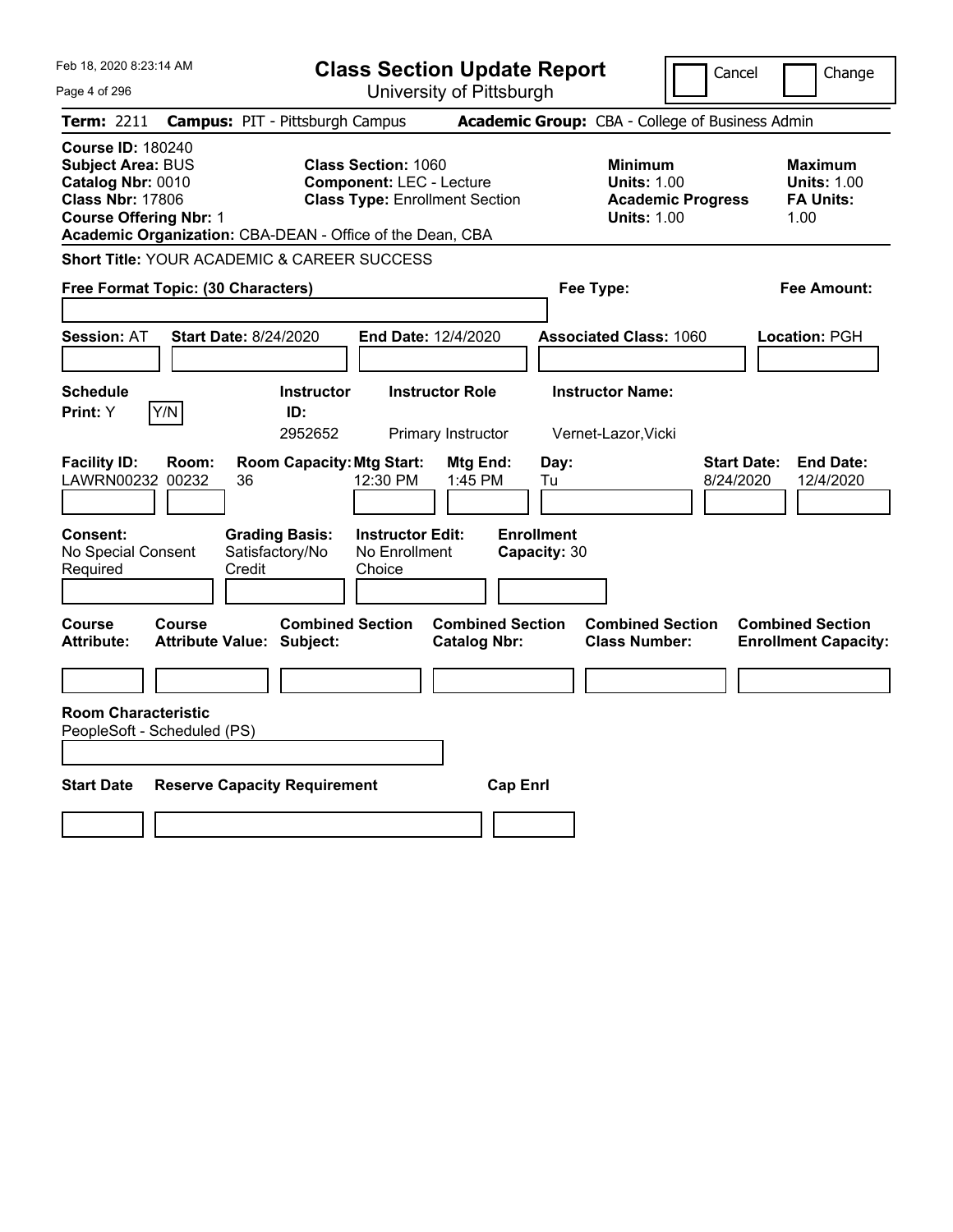| Feb 18, 2020 8:23:14 AM                                                                                                               | <b>Class Section Update Report</b>                                                                                                                                  |                                                                                                   | Cancel<br>Change                                                                             |
|---------------------------------------------------------------------------------------------------------------------------------------|---------------------------------------------------------------------------------------------------------------------------------------------------------------------|---------------------------------------------------------------------------------------------------|----------------------------------------------------------------------------------------------|
| Page 4 of 296                                                                                                                         | University of Pittsburgh                                                                                                                                            |                                                                                                   |                                                                                              |
| <b>Term: 2211</b>                                                                                                                     | <b>Campus: PIT - Pittsburgh Campus</b>                                                                                                                              | Academic Group: CBA - College of Business Admin                                                   |                                                                                              |
| <b>Course ID: 180240</b><br><b>Subject Area: BUS</b><br>Catalog Nbr: 0010<br><b>Class Nbr: 17806</b><br><b>Course Offering Nbr: 1</b> | <b>Class Section: 1060</b><br><b>Component: LEC - Lecture</b><br><b>Class Type: Enrollment Section</b><br>Academic Organization: CBA-DEAN - Office of the Dean, CBA | <b>Minimum</b><br><b>Units: 1.00</b><br><b>Units: 1.00</b>                                        | <b>Maximum</b><br><b>Units: 1.00</b><br><b>Academic Progress</b><br><b>FA Units:</b><br>1.00 |
| <b>Short Title: YOUR ACADEMIC &amp; CAREER SUCCESS</b>                                                                                |                                                                                                                                                                     |                                                                                                   |                                                                                              |
| Free Format Topic: (30 Characters)                                                                                                    |                                                                                                                                                                     | Fee Type:                                                                                         | Fee Amount:                                                                                  |
| <b>Session: AT</b><br><b>Start Date: 8/24/2020</b>                                                                                    | End Date: 12/4/2020                                                                                                                                                 | <b>Associated Class: 1060</b>                                                                     | Location: PGH                                                                                |
| <b>Schedule</b><br>Print: Y<br>Y/N                                                                                                    | <b>Instructor Role</b><br><b>Instructor</b><br>ID:<br>2952652<br>Primary Instructor                                                                                 | <b>Instructor Name:</b><br>Vernet-Lazor, Vicki                                                    |                                                                                              |
| <b>Facility ID:</b><br>Room:<br>LAWRN00232 00232<br>36                                                                                | <b>Room Capacity: Mtg Start:</b><br>12:30 PM<br>1:45 PM                                                                                                             | Mtg End:<br>Day:<br>Tu                                                                            | <b>Start Date:</b><br><b>End Date:</b><br>8/24/2020<br>12/4/2020                             |
| Consent:<br>No Special Consent<br>Required<br>Credit                                                                                  | <b>Grading Basis:</b><br><b>Instructor Edit:</b><br>Satisfactory/No<br>No Enrollment<br>Choice                                                                      | <b>Enrollment</b><br>Capacity: 30                                                                 |                                                                                              |
| Course<br>Course<br><b>Attribute:</b><br><b>Attribute Value: Subject:</b>                                                             | <b>Combined Section</b>                                                                                                                                             | <b>Combined Section</b><br><b>Combined Section</b><br><b>Catalog Nbr:</b><br><b>Class Number:</b> | <b>Combined Section</b><br><b>Enrollment Capacity:</b>                                       |
|                                                                                                                                       |                                                                                                                                                                     |                                                                                                   |                                                                                              |
| <b>Room Characteristic</b><br>PeopleSoft - Scheduled (PS)<br><b>Start Date</b>                                                        | <b>Reserve Capacity Requirement</b>                                                                                                                                 | <b>Cap Enrl</b>                                                                                   |                                                                                              |
|                                                                                                                                       |                                                                                                                                                                     |                                                                                                   |                                                                                              |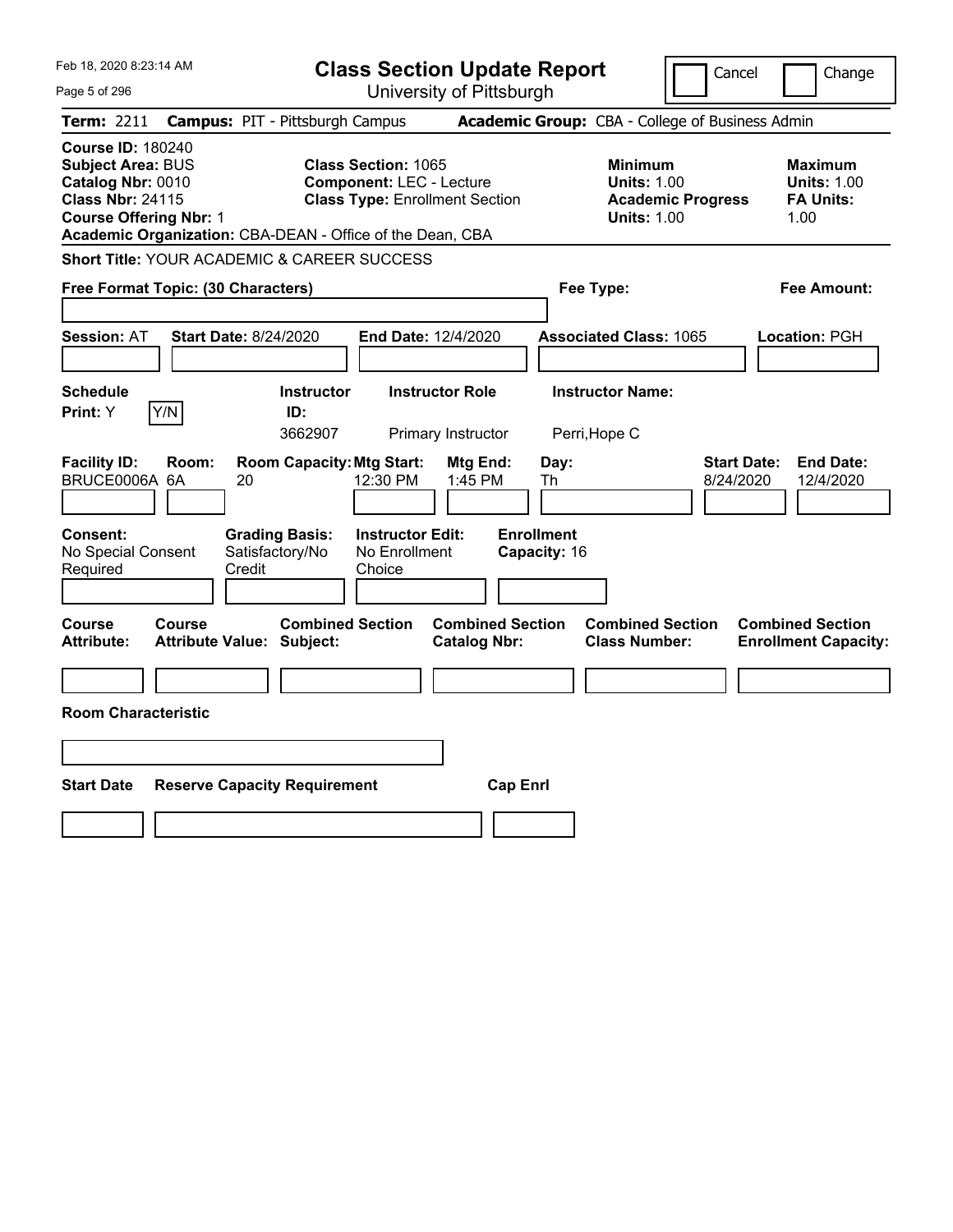| Feb 18, 2020 8:23:14 AM                                                                                                        | <b>Class Section Update Report</b>                                                                                                                                  |                                                                                        | Cancel<br>Change                                                 |
|--------------------------------------------------------------------------------------------------------------------------------|---------------------------------------------------------------------------------------------------------------------------------------------------------------------|----------------------------------------------------------------------------------------|------------------------------------------------------------------|
| Page 5 of 296                                                                                                                  | University of Pittsburgh                                                                                                                                            |                                                                                        |                                                                  |
| <b>Term: 2211</b>                                                                                                              | <b>Campus: PIT - Pittsburgh Campus</b>                                                                                                                              | Academic Group: CBA - College of Business Admin                                        |                                                                  |
| <b>Course ID: 180240</b><br>Subject Area: BUS<br>Catalog Nbr: 0010<br><b>Class Nbr: 24115</b><br><b>Course Offering Nbr: 1</b> | <b>Class Section: 1065</b><br><b>Component: LEC - Lecture</b><br><b>Class Type: Enrollment Section</b><br>Academic Organization: CBA-DEAN - Office of the Dean, CBA | <b>Minimum</b><br><b>Units: 1.00</b><br><b>Academic Progress</b><br><b>Units: 1.00</b> | <b>Maximum</b><br><b>Units: 1.00</b><br><b>FA Units:</b><br>1.00 |
| <b>Short Title: YOUR ACADEMIC &amp; CAREER SUCCESS</b>                                                                         |                                                                                                                                                                     |                                                                                        |                                                                  |
| Free Format Topic: (30 Characters)                                                                                             |                                                                                                                                                                     | Fee Type:                                                                              | Fee Amount:                                                      |
| <b>Start Date: 8/24/2020</b><br><b>Session: AT</b>                                                                             | End Date: 12/4/2020                                                                                                                                                 | <b>Associated Class: 1065</b>                                                          | Location: PGH                                                    |
| <b>Schedule</b><br>Y/N<br>Print: Y                                                                                             | <b>Instructor</b><br><b>Instructor Role</b><br>ID:<br>3662907<br>Primary Instructor                                                                                 | <b>Instructor Name:</b><br>Perri, Hope C                                               |                                                                  |
| <b>Facility ID:</b><br>Room:<br>BRUCE0006A 6A<br>20                                                                            | <b>Room Capacity: Mtg Start:</b><br><b>Mtg End:</b><br>12:30 PM<br>1:45 PM                                                                                          | Day:<br>Th                                                                             | <b>Start Date:</b><br><b>End Date:</b><br>8/24/2020<br>12/4/2020 |
| Consent:<br>No Special Consent<br>Required<br>Credit                                                                           | <b>Grading Basis:</b><br><b>Instructor Edit:</b><br>Satisfactory/No<br>No Enrollment<br>Choice                                                                      | <b>Enrollment</b><br>Capacity: 16                                                      |                                                                  |
| Course<br>Course<br><b>Attribute:</b><br><b>Attribute Value: Subject:</b>                                                      | <b>Combined Section</b><br><b>Catalog Nbr:</b>                                                                                                                      | <b>Combined Section</b><br><b>Combined Section</b><br><b>Class Number:</b>             | <b>Combined Section</b><br><b>Enrollment Capacity:</b>           |
|                                                                                                                                |                                                                                                                                                                     |                                                                                        |                                                                  |
| <b>Room Characteristic</b>                                                                                                     |                                                                                                                                                                     |                                                                                        |                                                                  |
|                                                                                                                                |                                                                                                                                                                     |                                                                                        |                                                                  |
| <b>Start Date</b>                                                                                                              | <b>Reserve Capacity Requirement</b>                                                                                                                                 | <b>Cap Enrl</b>                                                                        |                                                                  |
|                                                                                                                                |                                                                                                                                                                     |                                                                                        |                                                                  |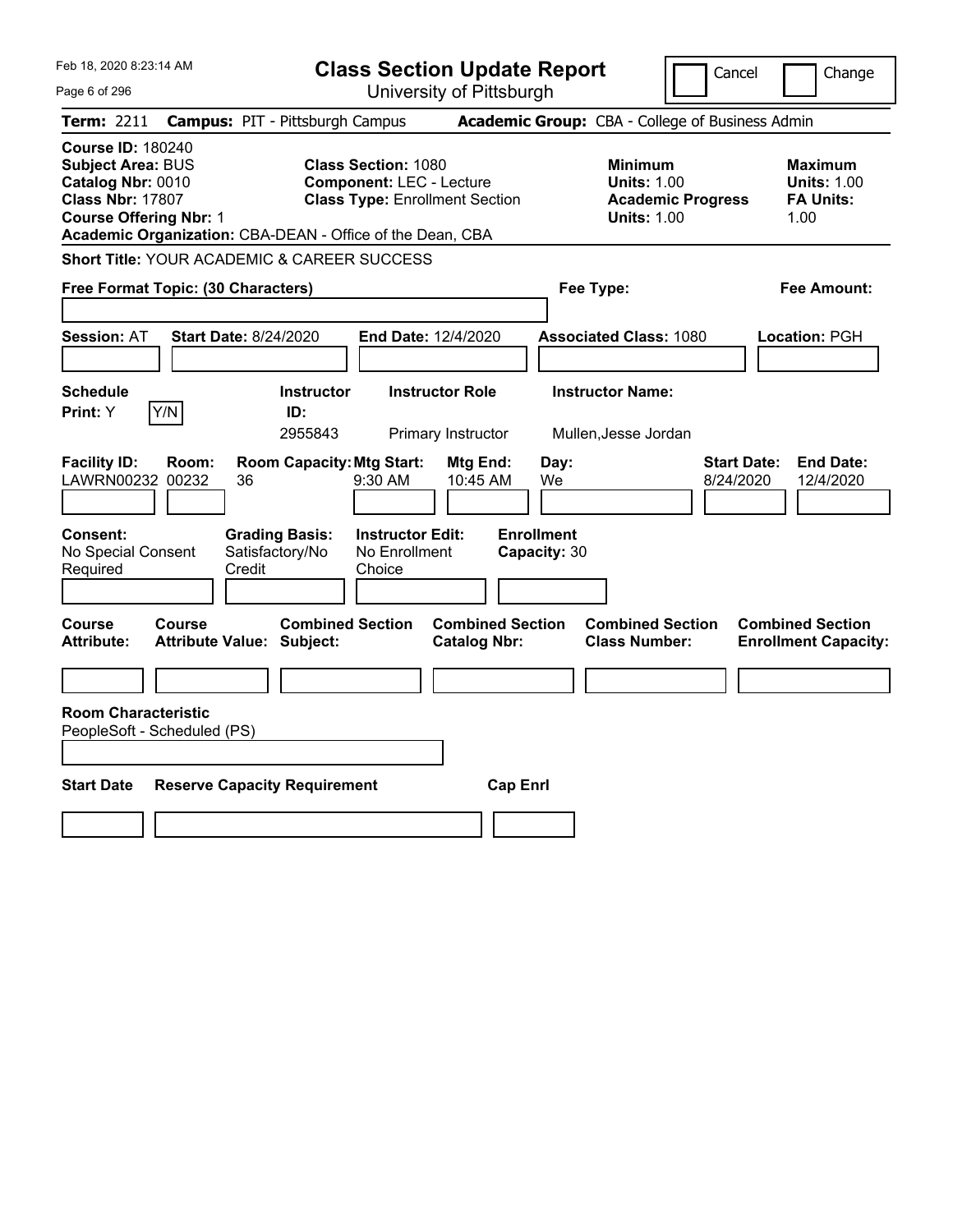| Feb 18, 2020 8:23:14 AM                                                                                                                                                                            | <b>Class Section Update Report</b>                                                                     |                                                |                                                                                        | Cancel<br>Change                                                 |
|----------------------------------------------------------------------------------------------------------------------------------------------------------------------------------------------------|--------------------------------------------------------------------------------------------------------|------------------------------------------------|----------------------------------------------------------------------------------------|------------------------------------------------------------------|
| Page 6 of 296                                                                                                                                                                                      | University of Pittsburgh                                                                               |                                                |                                                                                        |                                                                  |
| <b>Term: 2211</b>                                                                                                                                                                                  | <b>Campus: PIT - Pittsburgh Campus</b>                                                                 |                                                | Academic Group: CBA - College of Business Admin                                        |                                                                  |
| <b>Course ID: 180240</b><br><b>Subject Area: BUS</b><br>Catalog Nbr: 0010<br><b>Class Nbr: 17807</b><br><b>Course Offering Nbr: 1</b><br>Academic Organization: CBA-DEAN - Office of the Dean, CBA | <b>Class Section: 1080</b><br><b>Component: LEC - Lecture</b><br><b>Class Type: Enrollment Section</b> |                                                | <b>Minimum</b><br><b>Units: 1.00</b><br><b>Academic Progress</b><br><b>Units: 1.00</b> | <b>Maximum</b><br><b>Units: 1.00</b><br><b>FA Units:</b><br>1.00 |
| <b>Short Title: YOUR ACADEMIC &amp; CAREER SUCCESS</b>                                                                                                                                             |                                                                                                        |                                                |                                                                                        |                                                                  |
| Free Format Topic: (30 Characters)                                                                                                                                                                 |                                                                                                        |                                                | Fee Type:                                                                              | Fee Amount:                                                      |
| <b>Start Date: 8/24/2020</b><br><b>Session: AT</b>                                                                                                                                                 | End Date: 12/4/2020                                                                                    |                                                | <b>Associated Class: 1080</b>                                                          | Location: PGH                                                    |
| <b>Schedule</b><br>Print: Y<br>Y/N                                                                                                                                                                 | <b>Instructor</b><br><b>Instructor Role</b><br>ID:<br>2955843<br>Primary Instructor                    |                                                | <b>Instructor Name:</b><br>Mullen, Jesse Jordan                                        |                                                                  |
| <b>Facility ID:</b><br>Room:<br>LAWRN00232 00232<br>36                                                                                                                                             | <b>Room Capacity: Mtg Start:</b><br>$9:30$ AM                                                          | Mtg End:<br>Day:<br>10:45 AM<br>We             |                                                                                        | <b>End Date:</b><br><b>Start Date:</b><br>8/24/2020<br>12/4/2020 |
| Consent:<br>No Special Consent<br>Required<br>Credit                                                                                                                                               | <b>Grading Basis:</b><br><b>Instructor Edit:</b><br>Satisfactory/No<br>No Enrollment<br>Choice         | <b>Enrollment</b><br>Capacity: 30              |                                                                                        |                                                                  |
| <b>Course</b><br>Course<br><b>Attribute:</b><br><b>Attribute Value: Subject:</b>                                                                                                                   | <b>Combined Section</b>                                                                                | <b>Combined Section</b><br><b>Catalog Nbr:</b> | <b>Combined Section</b><br><b>Class Number:</b>                                        | <b>Combined Section</b><br><b>Enrollment Capacity:</b>           |
|                                                                                                                                                                                                    |                                                                                                        |                                                |                                                                                        |                                                                  |
| <b>Room Characteristic</b><br>PeopleSoft - Scheduled (PS)<br><b>Start Date</b><br><b>Reserve Capacity Requirement</b>                                                                              |                                                                                                        | <b>Cap Enrl</b>                                |                                                                                        |                                                                  |
|                                                                                                                                                                                                    |                                                                                                        |                                                |                                                                                        |                                                                  |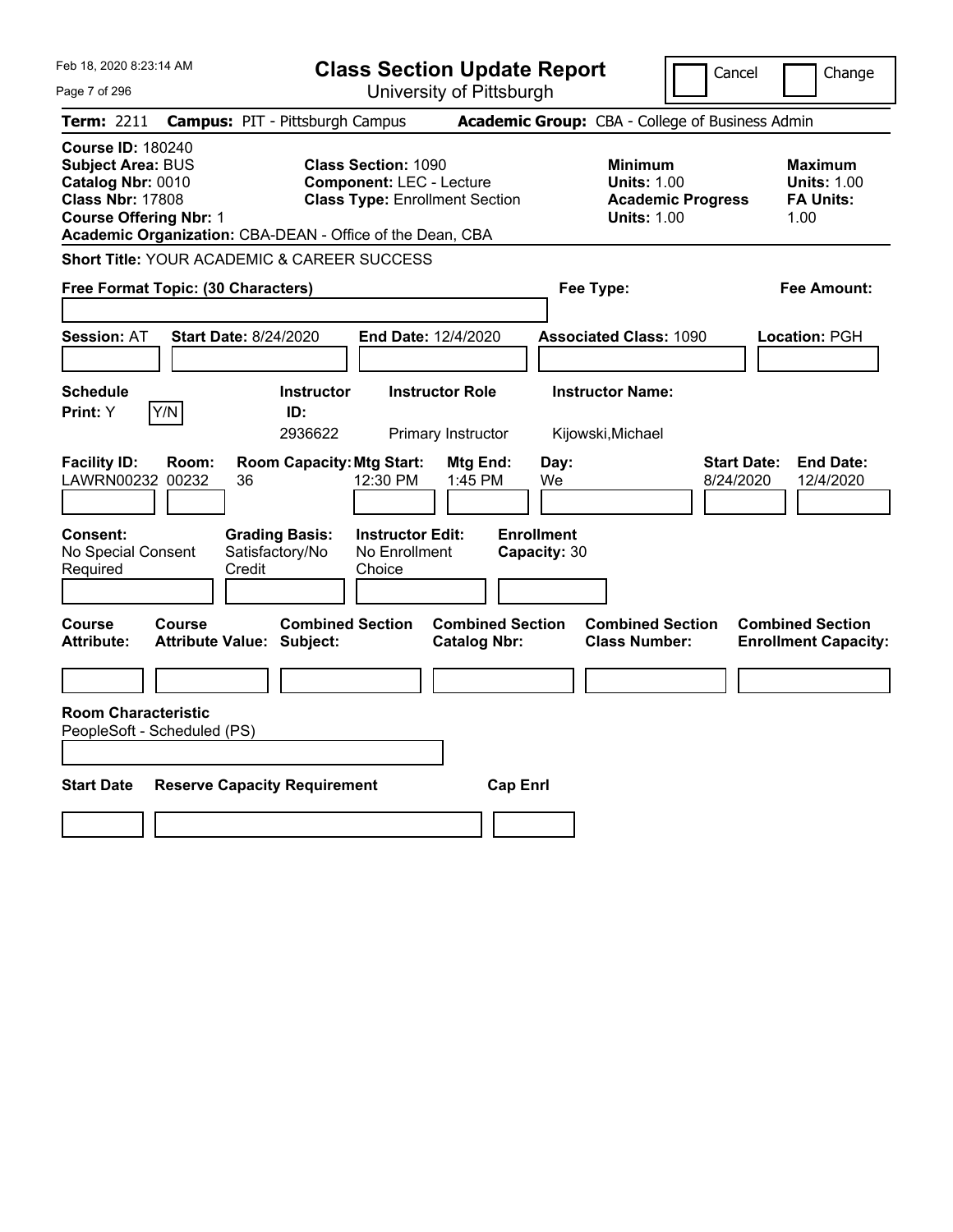| Feb 18, 2020 8:23:14 AM                                                                                                                                                                            |                                                                                                        | <b>Class Section Update Report</b>             |                                                                                        | Cancel<br>Change                                                 |
|----------------------------------------------------------------------------------------------------------------------------------------------------------------------------------------------------|--------------------------------------------------------------------------------------------------------|------------------------------------------------|----------------------------------------------------------------------------------------|------------------------------------------------------------------|
| Page 7 of 296                                                                                                                                                                                      |                                                                                                        | University of Pittsburgh                       |                                                                                        |                                                                  |
| <b>Term: 2211</b>                                                                                                                                                                                  | <b>Campus: PIT - Pittsburgh Campus</b>                                                                 |                                                | Academic Group: CBA - College of Business Admin                                        |                                                                  |
| <b>Course ID: 180240</b><br><b>Subject Area: BUS</b><br>Catalog Nbr: 0010<br><b>Class Nbr: 17808</b><br><b>Course Offering Nbr: 1</b><br>Academic Organization: CBA-DEAN - Office of the Dean, CBA | <b>Class Section: 1090</b><br><b>Component: LEC - Lecture</b><br><b>Class Type: Enrollment Section</b> |                                                | <b>Minimum</b><br><b>Units: 1.00</b><br><b>Academic Progress</b><br><b>Units: 1.00</b> | <b>Maximum</b><br><b>Units: 1.00</b><br><b>FA Units:</b><br>1.00 |
| <b>Short Title: YOUR ACADEMIC &amp; CAREER SUCCESS</b>                                                                                                                                             |                                                                                                        |                                                |                                                                                        |                                                                  |
| Free Format Topic: (30 Characters)                                                                                                                                                                 |                                                                                                        |                                                | Fee Type:                                                                              | Fee Amount:                                                      |
| <b>Session: AT</b><br><b>Start Date: 8/24/2020</b>                                                                                                                                                 | End Date: 12/4/2020                                                                                    |                                                | <b>Associated Class: 1090</b>                                                          | Location: PGH                                                    |
| <b>Schedule</b><br>Print: Y<br>Y/N                                                                                                                                                                 | <b>Instructor</b><br>ID:<br>2936622                                                                    | <b>Instructor Role</b><br>Primary Instructor   | <b>Instructor Name:</b><br>Kijowski, Michael                                           |                                                                  |
| <b>Facility ID:</b><br>Room:<br>LAWRN00232 00232<br>36                                                                                                                                             | <b>Room Capacity: Mtg Start:</b><br>12:30 PM                                                           | Mtg End:<br>Day:<br>1:45 PM<br>We              |                                                                                        | <b>Start Date:</b><br><b>End Date:</b><br>8/24/2020<br>12/4/2020 |
| Consent:<br>No Special Consent<br>Required<br>Credit                                                                                                                                               | <b>Grading Basis:</b><br><b>Instructor Edit:</b><br>Satisfactory/No<br>No Enrollment<br>Choice         | <b>Enrollment</b><br>Capacity: 30              |                                                                                        |                                                                  |
| Course<br>Course<br><b>Attribute:</b><br><b>Attribute Value: Subject:</b>                                                                                                                          | <b>Combined Section</b>                                                                                | <b>Combined Section</b><br><b>Catalog Nbr:</b> | <b>Combined Section</b><br><b>Class Number:</b>                                        | <b>Combined Section</b><br><b>Enrollment Capacity:</b>           |
|                                                                                                                                                                                                    |                                                                                                        |                                                |                                                                                        |                                                                  |
| <b>Room Characteristic</b><br>PeopleSoft - Scheduled (PS)<br><b>Start Date</b>                                                                                                                     | <b>Reserve Capacity Requirement</b>                                                                    | <b>Cap Enrl</b>                                |                                                                                        |                                                                  |
|                                                                                                                                                                                                    |                                                                                                        |                                                |                                                                                        |                                                                  |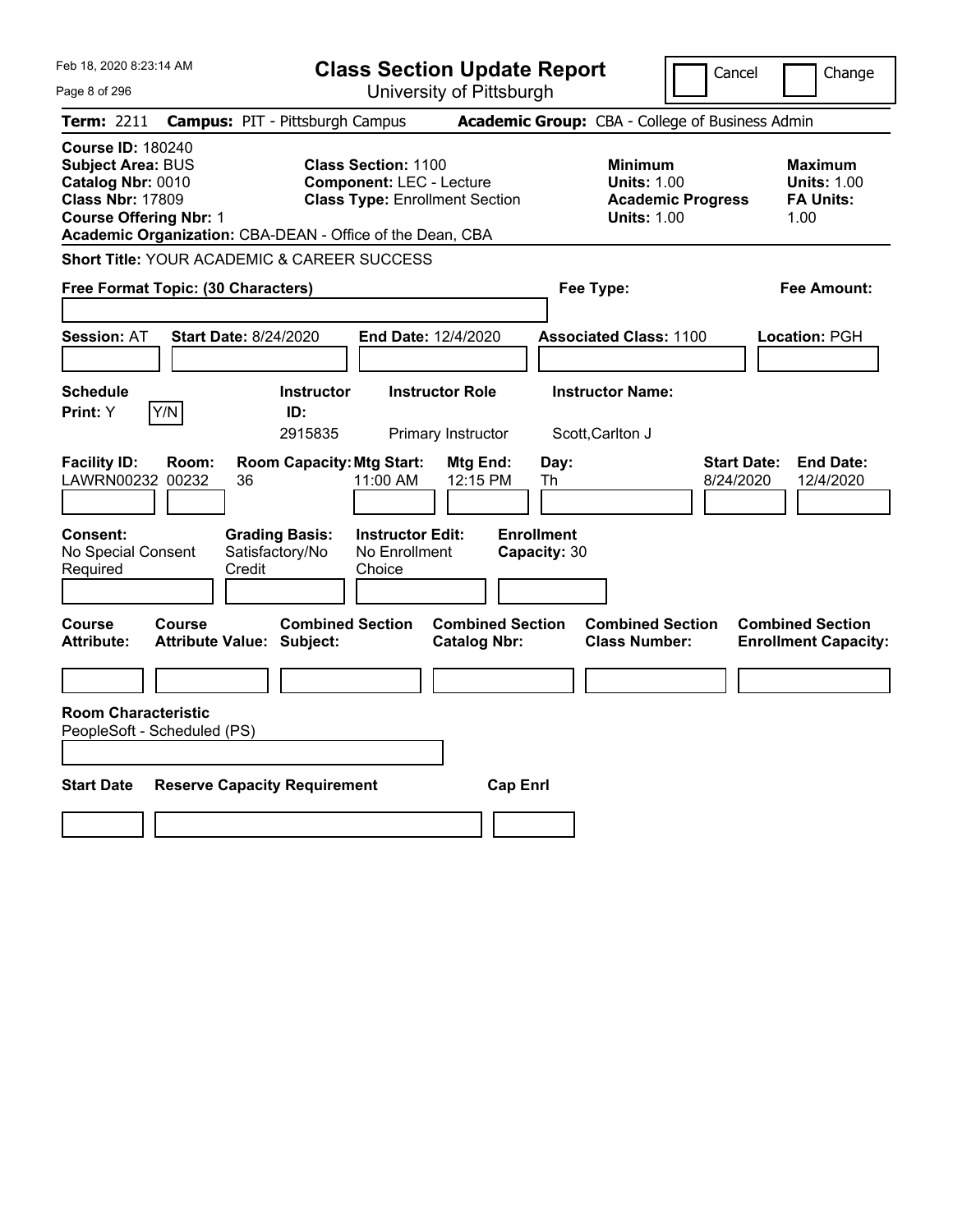| Feb 18, 2020 8:23:14 AM                                                                                                                                                                     |                                                                                                        | <b>Class Section Update Report</b>             |                                                                                        | Cancel<br>Change                                                 |
|---------------------------------------------------------------------------------------------------------------------------------------------------------------------------------------------|--------------------------------------------------------------------------------------------------------|------------------------------------------------|----------------------------------------------------------------------------------------|------------------------------------------------------------------|
| Page 8 of 296                                                                                                                                                                               |                                                                                                        | University of Pittsburgh                       |                                                                                        |                                                                  |
| <b>Term: 2211</b>                                                                                                                                                                           | <b>Campus: PIT - Pittsburgh Campus</b>                                                                 |                                                | Academic Group: CBA - College of Business Admin                                        |                                                                  |
| <b>Course ID: 180240</b><br>Subject Area: BUS<br>Catalog Nbr: 0010<br><b>Class Nbr: 17809</b><br><b>Course Offering Nbr: 1</b><br>Academic Organization: CBA-DEAN - Office of the Dean, CBA | <b>Class Section: 1100</b><br><b>Component: LEC - Lecture</b><br><b>Class Type: Enrollment Section</b> |                                                | <b>Minimum</b><br><b>Units: 1.00</b><br><b>Academic Progress</b><br><b>Units: 1.00</b> | <b>Maximum</b><br><b>Units: 1.00</b><br><b>FA Units:</b><br>1.00 |
| <b>Short Title: YOUR ACADEMIC &amp; CAREER SUCCESS</b>                                                                                                                                      |                                                                                                        |                                                |                                                                                        |                                                                  |
| Free Format Topic: (30 Characters)                                                                                                                                                          |                                                                                                        |                                                | Fee Type:                                                                              | Fee Amount:                                                      |
| <b>Session: AT</b><br><b>Start Date: 8/24/2020</b>                                                                                                                                          | <b>End Date: 12/4/2020</b>                                                                             |                                                | <b>Associated Class: 1100</b>                                                          | Location: PGH                                                    |
| <b>Schedule</b><br>Print: Y<br>Y/N                                                                                                                                                          | <b>Instructor</b><br>ID:<br>2915835                                                                    | <b>Instructor Role</b><br>Primary Instructor   | <b>Instructor Name:</b><br>Scott, Carlton J                                            |                                                                  |
| <b>Facility ID:</b><br>Room:<br>LAWRN00232 00232<br>36                                                                                                                                      | <b>Room Capacity: Mtg Start:</b><br>11:00 AM                                                           | Mtg End:<br>Day:<br>12:15 PM<br>Th             |                                                                                        | <b>Start Date:</b><br><b>End Date:</b><br>8/24/2020<br>12/4/2020 |
| Consent:<br>No Special Consent<br>Required<br>Credit                                                                                                                                        | <b>Instructor Edit:</b><br><b>Grading Basis:</b><br>Satisfactory/No<br>No Enrollment<br>Choice         | <b>Enrollment</b><br>Capacity: 30              |                                                                                        |                                                                  |
| Course<br>Course<br><b>Attribute:</b><br><b>Attribute Value: Subject:</b>                                                                                                                   | <b>Combined Section</b>                                                                                | <b>Combined Section</b><br><b>Catalog Nbr:</b> | <b>Combined Section</b><br><b>Class Number:</b>                                        | <b>Combined Section</b><br><b>Enrollment Capacity:</b>           |
|                                                                                                                                                                                             |                                                                                                        |                                                |                                                                                        |                                                                  |
| <b>Room Characteristic</b><br>PeopleSoft - Scheduled (PS)<br><b>Start Date</b>                                                                                                              | <b>Reserve Capacity Requirement</b>                                                                    | <b>Cap Enrl</b>                                |                                                                                        |                                                                  |
|                                                                                                                                                                                             |                                                                                                        |                                                |                                                                                        |                                                                  |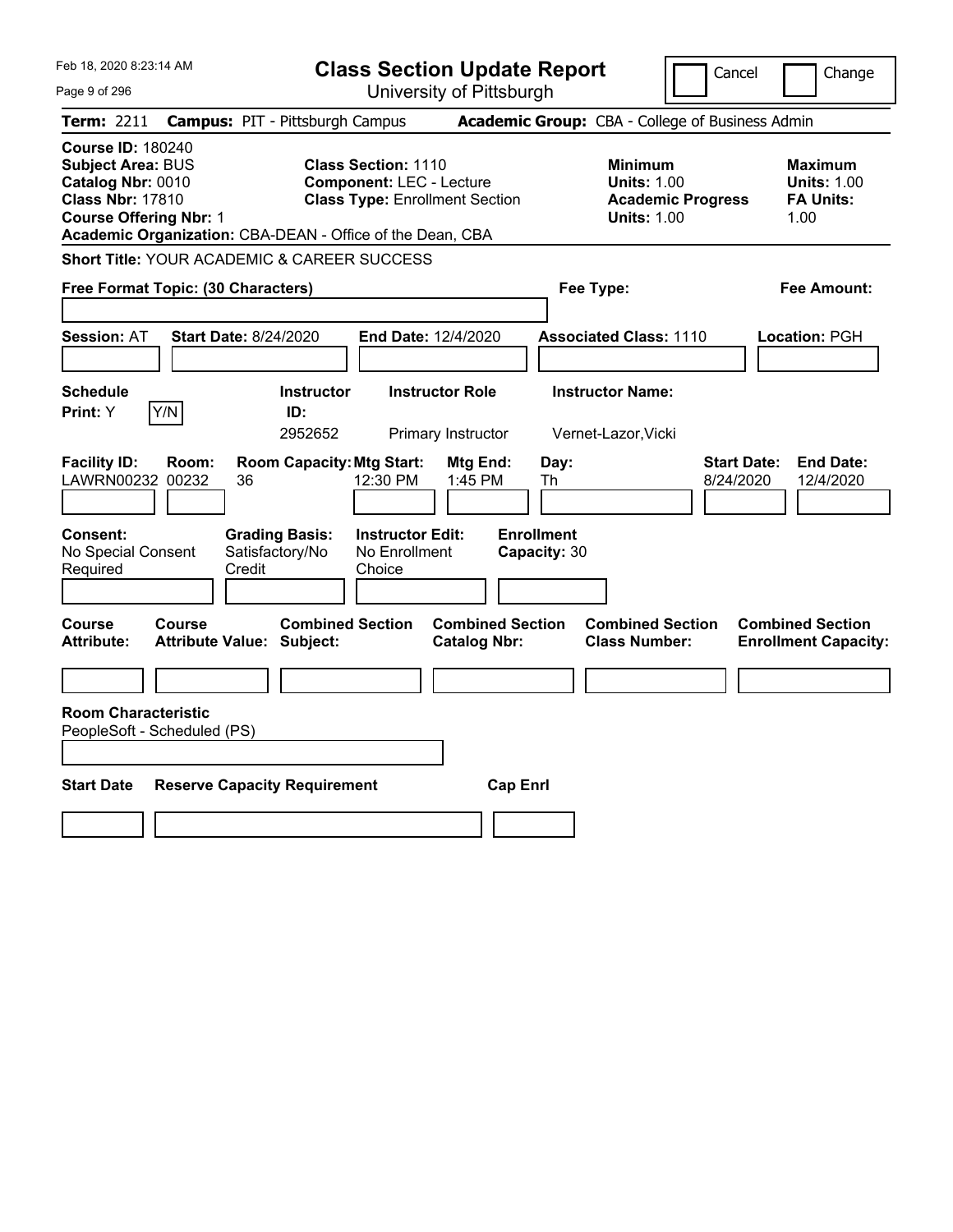| Feb 18, 2020 8:23:14 AM                                                                                                               |                                                                                                                                                                     | <b>Class Section Update Report</b>             |                                                                                        | Cancel<br>Change                                                 |
|---------------------------------------------------------------------------------------------------------------------------------------|---------------------------------------------------------------------------------------------------------------------------------------------------------------------|------------------------------------------------|----------------------------------------------------------------------------------------|------------------------------------------------------------------|
| Page 9 of 296                                                                                                                         |                                                                                                                                                                     | University of Pittsburgh                       |                                                                                        |                                                                  |
| Term: 2211                                                                                                                            | <b>Campus: PIT - Pittsburgh Campus</b>                                                                                                                              |                                                | Academic Group: CBA - College of Business Admin                                        |                                                                  |
| <b>Course ID: 180240</b><br><b>Subject Area: BUS</b><br>Catalog Nbr: 0010<br><b>Class Nbr: 17810</b><br><b>Course Offering Nbr: 1</b> | <b>Class Section: 1110</b><br><b>Component: LEC - Lecture</b><br><b>Class Type: Enrollment Section</b><br>Academic Organization: CBA-DEAN - Office of the Dean, CBA |                                                | <b>Minimum</b><br><b>Units: 1.00</b><br><b>Academic Progress</b><br><b>Units: 1.00</b> | <b>Maximum</b><br><b>Units: 1.00</b><br><b>FA Units:</b><br>1.00 |
|                                                                                                                                       | <b>Short Title: YOUR ACADEMIC &amp; CAREER SUCCESS</b>                                                                                                              |                                                |                                                                                        |                                                                  |
| Free Format Topic: (30 Characters)                                                                                                    |                                                                                                                                                                     |                                                | Fee Type:                                                                              | <b>Fee Amount:</b>                                               |
| <b>Session: AT</b>                                                                                                                    | <b>Start Date: 8/24/2020</b>                                                                                                                                        | <b>End Date: 12/4/2020</b>                     | <b>Associated Class: 1110</b>                                                          | Location: PGH                                                    |
| <b>Schedule</b><br>Print: Y<br>Y/N                                                                                                    | <b>Instructor</b><br>ID:<br>2952652                                                                                                                                 | <b>Instructor Role</b><br>Primary Instructor   | <b>Instructor Name:</b><br>Vernet-Lazor, Vicki                                         |                                                                  |
| <b>Facility ID:</b><br>Room:<br>LAWRN00232 00232                                                                                      | <b>Room Capacity: Mtg Start:</b><br>36<br>12:30 PM                                                                                                                  | Mtg End:<br>1:45 PM                            | Day:<br>Th                                                                             | <b>End Date:</b><br><b>Start Date:</b><br>8/24/2020<br>12/4/2020 |
| Consent:<br>No Special Consent<br>Required                                                                                            | <b>Grading Basis:</b><br><b>Instructor Edit:</b><br>Satisfactory/No<br>No Enrollment<br>Credit<br>Choice                                                            | <b>Enrollment</b><br>Capacity: 30              |                                                                                        |                                                                  |
| Course<br>Course<br><b>Attribute:</b>                                                                                                 | <b>Combined Section</b><br><b>Attribute Value: Subject:</b>                                                                                                         | <b>Combined Section</b><br><b>Catalog Nbr:</b> | <b>Combined Section</b><br><b>Class Number:</b>                                        | <b>Combined Section</b><br><b>Enrollment Capacity:</b>           |
|                                                                                                                                       |                                                                                                                                                                     |                                                |                                                                                        |                                                                  |
| <b>Room Characteristic</b><br>PeopleSoft - Scheduled (PS)<br><b>Start Date</b>                                                        | <b>Reserve Capacity Requirement</b>                                                                                                                                 | <b>Cap Enrl</b>                                |                                                                                        |                                                                  |
|                                                                                                                                       |                                                                                                                                                                     |                                                |                                                                                        |                                                                  |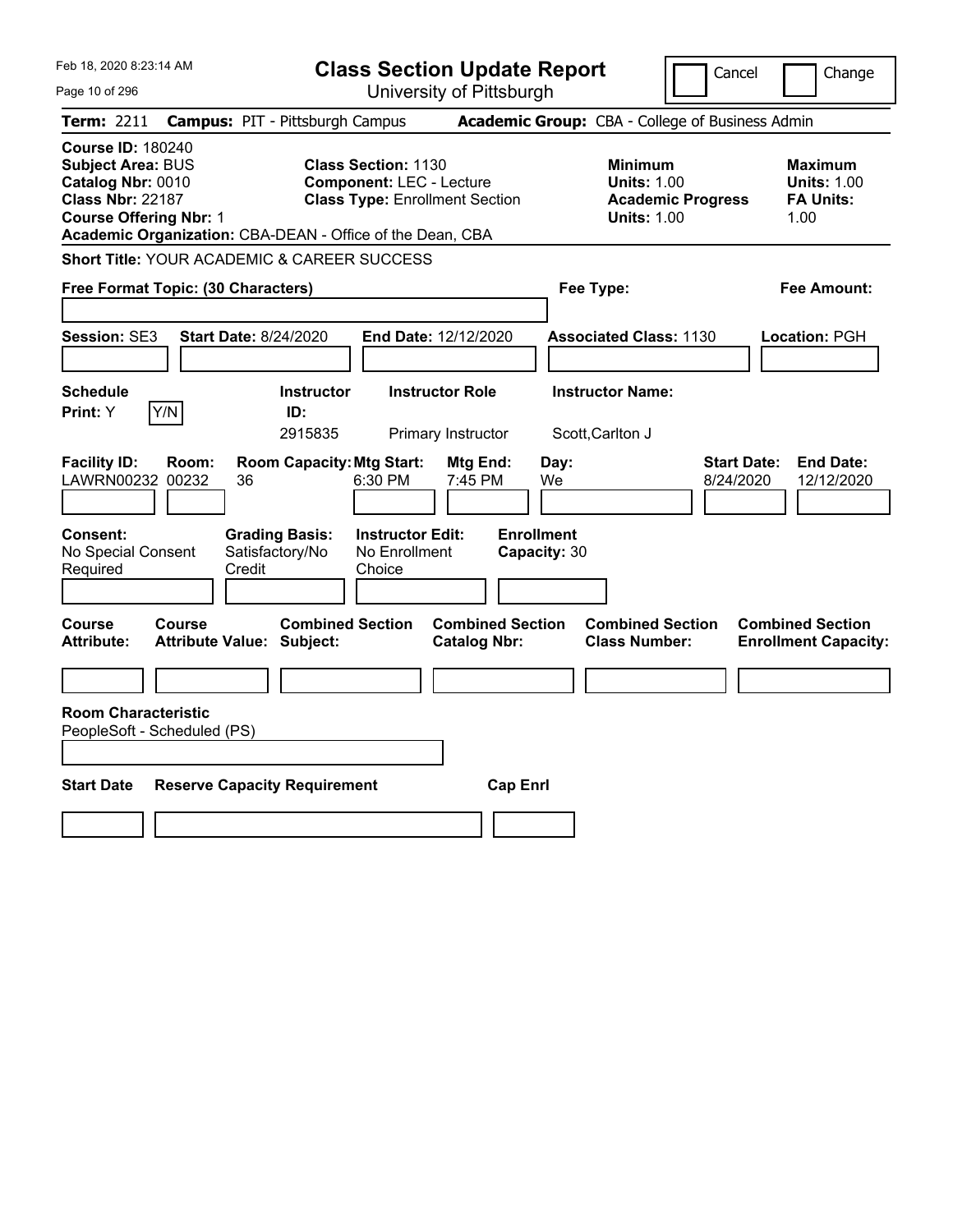| Feb 18, 2020 8:23:14 AM                                                                                                               |                                                                                                                                                                     | <b>Class Section Update Report</b>                    |                                                                                        | Cancel<br>Change                                                  |
|---------------------------------------------------------------------------------------------------------------------------------------|---------------------------------------------------------------------------------------------------------------------------------------------------------------------|-------------------------------------------------------|----------------------------------------------------------------------------------------|-------------------------------------------------------------------|
| Page 10 of 296                                                                                                                        |                                                                                                                                                                     | University of Pittsburgh                              |                                                                                        |                                                                   |
| Term: 2211                                                                                                                            | <b>Campus: PIT - Pittsburgh Campus</b>                                                                                                                              |                                                       | Academic Group: CBA - College of Business Admin                                        |                                                                   |
| <b>Course ID: 180240</b><br><b>Subject Area: BUS</b><br>Catalog Nbr: 0010<br><b>Class Nbr: 22187</b><br><b>Course Offering Nbr: 1</b> | <b>Class Section: 1130</b><br><b>Component: LEC - Lecture</b><br><b>Class Type: Enrollment Section</b><br>Academic Organization: CBA-DEAN - Office of the Dean, CBA |                                                       | <b>Minimum</b><br><b>Units: 1.00</b><br><b>Academic Progress</b><br><b>Units: 1.00</b> | <b>Maximum</b><br><b>Units: 1.00</b><br><b>FA Units:</b><br>1.00  |
|                                                                                                                                       | <b>Short Title: YOUR ACADEMIC &amp; CAREER SUCCESS</b>                                                                                                              |                                                       |                                                                                        |                                                                   |
| Free Format Topic: (30 Characters)                                                                                                    |                                                                                                                                                                     |                                                       | Fee Type:                                                                              | Fee Amount:                                                       |
| <b>Session: SE3</b><br><b>Schedule</b>                                                                                                | <b>Start Date: 8/24/2020</b>                                                                                                                                        | <b>End Date: 12/12/2020</b><br><b>Instructor Role</b> | <b>Associated Class: 1130</b><br><b>Instructor Name:</b>                               | Location: PGH                                                     |
| Y/N<br>Print: Y                                                                                                                       | <b>Instructor</b><br>ID:<br>2915835                                                                                                                                 | Primary Instructor                                    | Scott, Carlton J                                                                       |                                                                   |
| <b>Facility ID:</b><br>Room:<br>LAWRN00232 00232                                                                                      | <b>Room Capacity: Mtg Start:</b><br>36<br>6:30 PM                                                                                                                   | Mtg End:<br>Day:<br>7:45 PM<br>We                     |                                                                                        | <b>End Date:</b><br><b>Start Date:</b><br>12/12/2020<br>8/24/2020 |
| Consent:<br>No Special Consent<br>Required                                                                                            | <b>Grading Basis:</b><br><b>Instructor Edit:</b><br>Satisfactory/No<br>No Enrollment<br>Credit<br>Choice                                                            | <b>Enrollment</b><br>Capacity: 30                     |                                                                                        |                                                                   |
| Course<br>Course<br><b>Attribute:</b>                                                                                                 | <b>Combined Section</b><br><b>Attribute Value: Subject:</b>                                                                                                         | <b>Combined Section</b><br><b>Catalog Nbr:</b>        | <b>Combined Section</b><br><b>Class Number:</b>                                        | <b>Combined Section</b><br><b>Enrollment Capacity:</b>            |
|                                                                                                                                       |                                                                                                                                                                     |                                                       |                                                                                        |                                                                   |
| <b>Room Characteristic</b><br>PeopleSoft - Scheduled (PS)                                                                             |                                                                                                                                                                     |                                                       |                                                                                        |                                                                   |
| <b>Start Date</b>                                                                                                                     | <b>Reserve Capacity Requirement</b>                                                                                                                                 | <b>Cap Enrl</b>                                       |                                                                                        |                                                                   |
|                                                                                                                                       |                                                                                                                                                                     |                                                       |                                                                                        |                                                                   |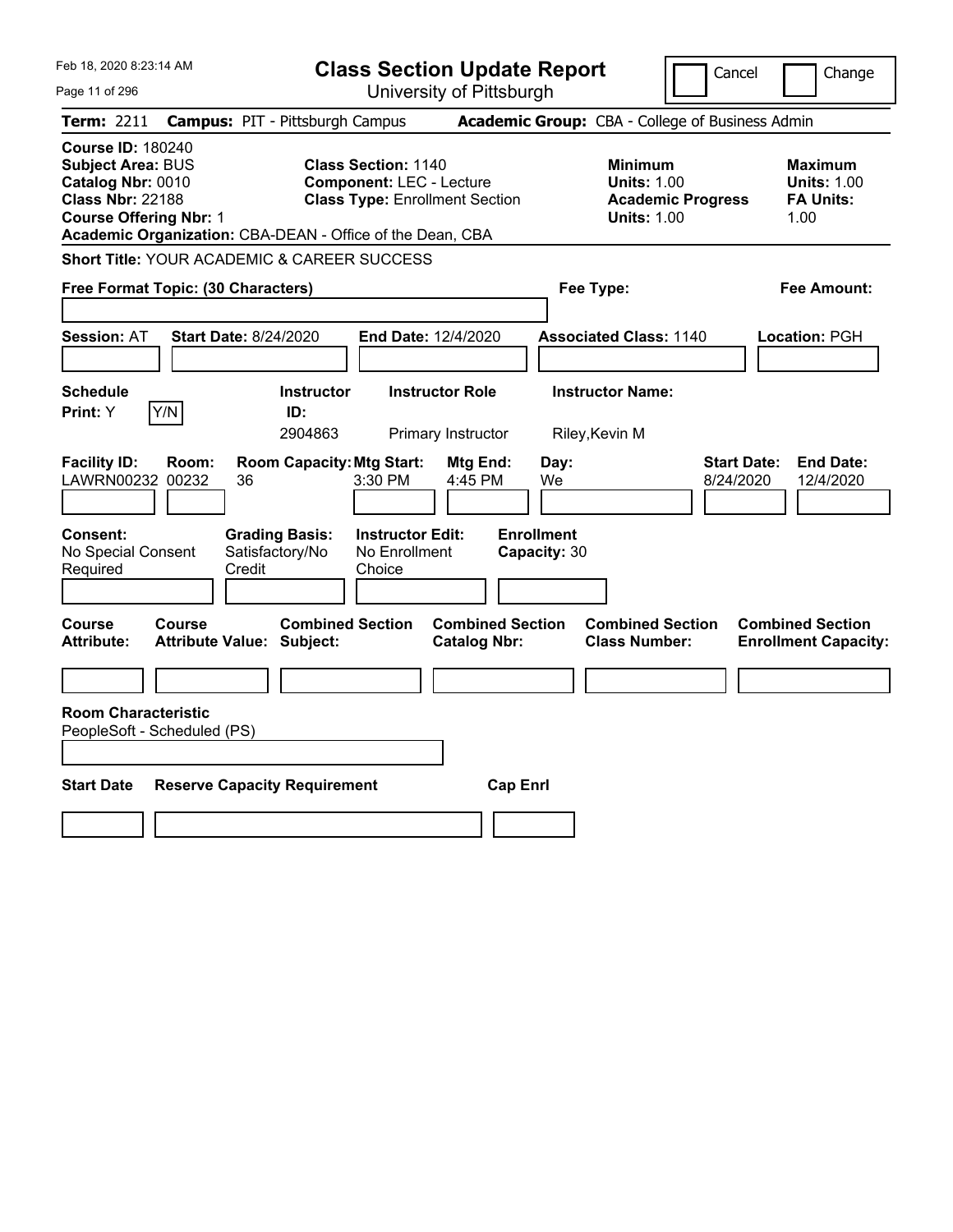| Feb 18, 2020 8:23:14 AM                                                                                                                                                                            |                                                                                                        | <b>Class Section Update Report</b>             |                                                                                        | Cancel<br>Change                                                 |
|----------------------------------------------------------------------------------------------------------------------------------------------------------------------------------------------------|--------------------------------------------------------------------------------------------------------|------------------------------------------------|----------------------------------------------------------------------------------------|------------------------------------------------------------------|
| Page 11 of 296                                                                                                                                                                                     |                                                                                                        | University of Pittsburgh                       |                                                                                        |                                                                  |
| <b>Term: 2211</b>                                                                                                                                                                                  | <b>Campus: PIT - Pittsburgh Campus</b>                                                                 |                                                | Academic Group: CBA - College of Business Admin                                        |                                                                  |
| <b>Course ID: 180240</b><br><b>Subject Area: BUS</b><br>Catalog Nbr: 0010<br><b>Class Nbr: 22188</b><br><b>Course Offering Nbr: 1</b><br>Academic Organization: CBA-DEAN - Office of the Dean, CBA | <b>Class Section: 1140</b><br><b>Component: LEC - Lecture</b><br><b>Class Type: Enrollment Section</b> |                                                | <b>Minimum</b><br><b>Units: 1.00</b><br><b>Academic Progress</b><br><b>Units: 1.00</b> | <b>Maximum</b><br><b>Units: 1.00</b><br><b>FA Units:</b><br>1.00 |
| <b>Short Title: YOUR ACADEMIC &amp; CAREER SUCCESS</b>                                                                                                                                             |                                                                                                        |                                                |                                                                                        |                                                                  |
| Free Format Topic: (30 Characters)                                                                                                                                                                 |                                                                                                        |                                                | Fee Type:                                                                              | Fee Amount:                                                      |
| <b>Session: AT</b><br><b>Start Date: 8/24/2020</b>                                                                                                                                                 | End Date: 12/4/2020                                                                                    |                                                | <b>Associated Class: 1140</b>                                                          | Location: PGH                                                    |
| <b>Schedule</b><br>Y/N<br>Print: Y                                                                                                                                                                 | <b>Instructor</b><br>ID:<br>2904863                                                                    | <b>Instructor Role</b><br>Primary Instructor   | <b>Instructor Name:</b><br>Riley, Kevin M                                              |                                                                  |
| <b>Facility ID:</b><br>Room:<br>LAWRN00232 00232<br>36                                                                                                                                             | <b>Room Capacity: Mtg Start:</b><br>3:30 PM                                                            | Mtg End:<br>Day:<br>4:45 PM<br>We              |                                                                                        | <b>Start Date:</b><br><b>End Date:</b><br>8/24/2020<br>12/4/2020 |
| Consent:<br>No Special Consent<br>Required<br>Credit                                                                                                                                               | <b>Instructor Edit:</b><br><b>Grading Basis:</b><br>Satisfactory/No<br>No Enrollment<br>Choice         | <b>Enrollment</b><br>Capacity: 30              |                                                                                        |                                                                  |
| Course<br>Course<br><b>Attribute Value: Subject:</b><br>Attribute:                                                                                                                                 | <b>Combined Section</b>                                                                                | <b>Combined Section</b><br><b>Catalog Nbr:</b> | <b>Combined Section</b><br><b>Class Number:</b>                                        | <b>Combined Section</b><br><b>Enrollment Capacity:</b>           |
| <b>Room Characteristic</b><br>PeopleSoft - Scheduled (PS)                                                                                                                                          |                                                                                                        |                                                |                                                                                        |                                                                  |
| <b>Start Date</b><br><b>Reserve Capacity Requirement</b>                                                                                                                                           |                                                                                                        | <b>Cap Enrl</b>                                |                                                                                        |                                                                  |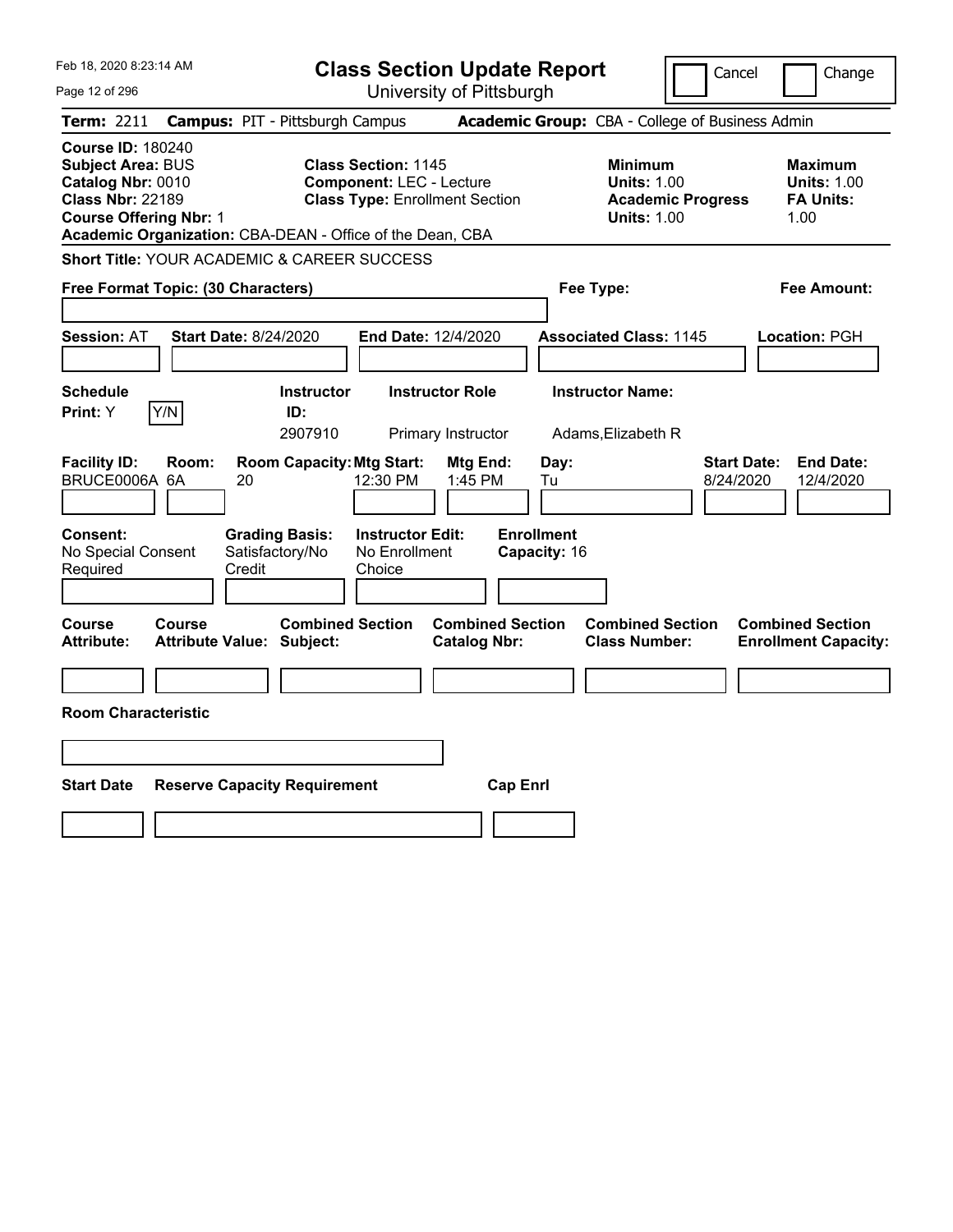| Feb 18, 2020 8:23:14 AM                                                                                                                                                                            | <b>Class Section Update Report</b>                                                                     |                                                                                                   | Cancel<br>Change                                                                             |
|----------------------------------------------------------------------------------------------------------------------------------------------------------------------------------------------------|--------------------------------------------------------------------------------------------------------|---------------------------------------------------------------------------------------------------|----------------------------------------------------------------------------------------------|
| Page 12 of 296                                                                                                                                                                                     | University of Pittsburgh                                                                               |                                                                                                   |                                                                                              |
| <b>Term: 2211</b>                                                                                                                                                                                  | <b>Campus: PIT - Pittsburgh Campus</b>                                                                 | Academic Group: CBA - College of Business Admin                                                   |                                                                                              |
| <b>Course ID: 180240</b><br><b>Subject Area: BUS</b><br>Catalog Nbr: 0010<br><b>Class Nbr: 22189</b><br><b>Course Offering Nbr: 1</b><br>Academic Organization: CBA-DEAN - Office of the Dean, CBA | <b>Class Section: 1145</b><br><b>Component: LEC - Lecture</b><br><b>Class Type: Enrollment Section</b> | <b>Minimum</b><br><b>Units: 1.00</b><br><b>Units: 1.00</b>                                        | <b>Maximum</b><br><b>Units: 1.00</b><br><b>Academic Progress</b><br><b>FA Units:</b><br>1.00 |
| <b>Short Title: YOUR ACADEMIC &amp; CAREER SUCCESS</b>                                                                                                                                             |                                                                                                        |                                                                                                   |                                                                                              |
| Free Format Topic: (30 Characters)                                                                                                                                                                 |                                                                                                        | Fee Type:                                                                                         | Fee Amount:                                                                                  |
| <b>Start Date: 8/24/2020</b><br><b>Session: AT</b>                                                                                                                                                 | End Date: 12/4/2020                                                                                    | <b>Associated Class: 1145</b>                                                                     | Location: PGH                                                                                |
| <b>Schedule</b><br>Y/N<br>Print: Y                                                                                                                                                                 | <b>Instructor Role</b><br><b>Instructor</b><br>ID:<br>2907910<br>Primary Instructor                    | <b>Instructor Name:</b><br>Adams, Elizabeth R                                                     |                                                                                              |
| <b>Facility ID:</b><br>Room:<br>BRUCE0006A 6A<br>20                                                                                                                                                | <b>Room Capacity: Mtg Start:</b><br>12:30 PM                                                           | Day:<br>Mtg End:<br>1:45 PM<br>Tu                                                                 | <b>Start Date:</b><br><b>End Date:</b><br>8/24/2020<br>12/4/2020                             |
| Consent:<br>No Special Consent<br>Required<br>Credit                                                                                                                                               | <b>Grading Basis:</b><br><b>Instructor Edit:</b><br>Satisfactory/No<br>No Enrollment<br>Choice         | <b>Enrollment</b><br>Capacity: 16                                                                 |                                                                                              |
| Course<br><b>Course</b><br><b>Attribute:</b><br><b>Attribute Value: Subject:</b>                                                                                                                   | <b>Combined Section</b>                                                                                | <b>Combined Section</b><br><b>Combined Section</b><br><b>Class Number:</b><br><b>Catalog Nbr:</b> | <b>Combined Section</b><br><b>Enrollment Capacity:</b>                                       |
| <b>Room Characteristic</b>                                                                                                                                                                         |                                                                                                        |                                                                                                   |                                                                                              |
|                                                                                                                                                                                                    |                                                                                                        |                                                                                                   |                                                                                              |
| <b>Start Date</b><br><b>Reserve Capacity Requirement</b>                                                                                                                                           |                                                                                                        | <b>Cap Enrl</b>                                                                                   |                                                                                              |
|                                                                                                                                                                                                    |                                                                                                        |                                                                                                   |                                                                                              |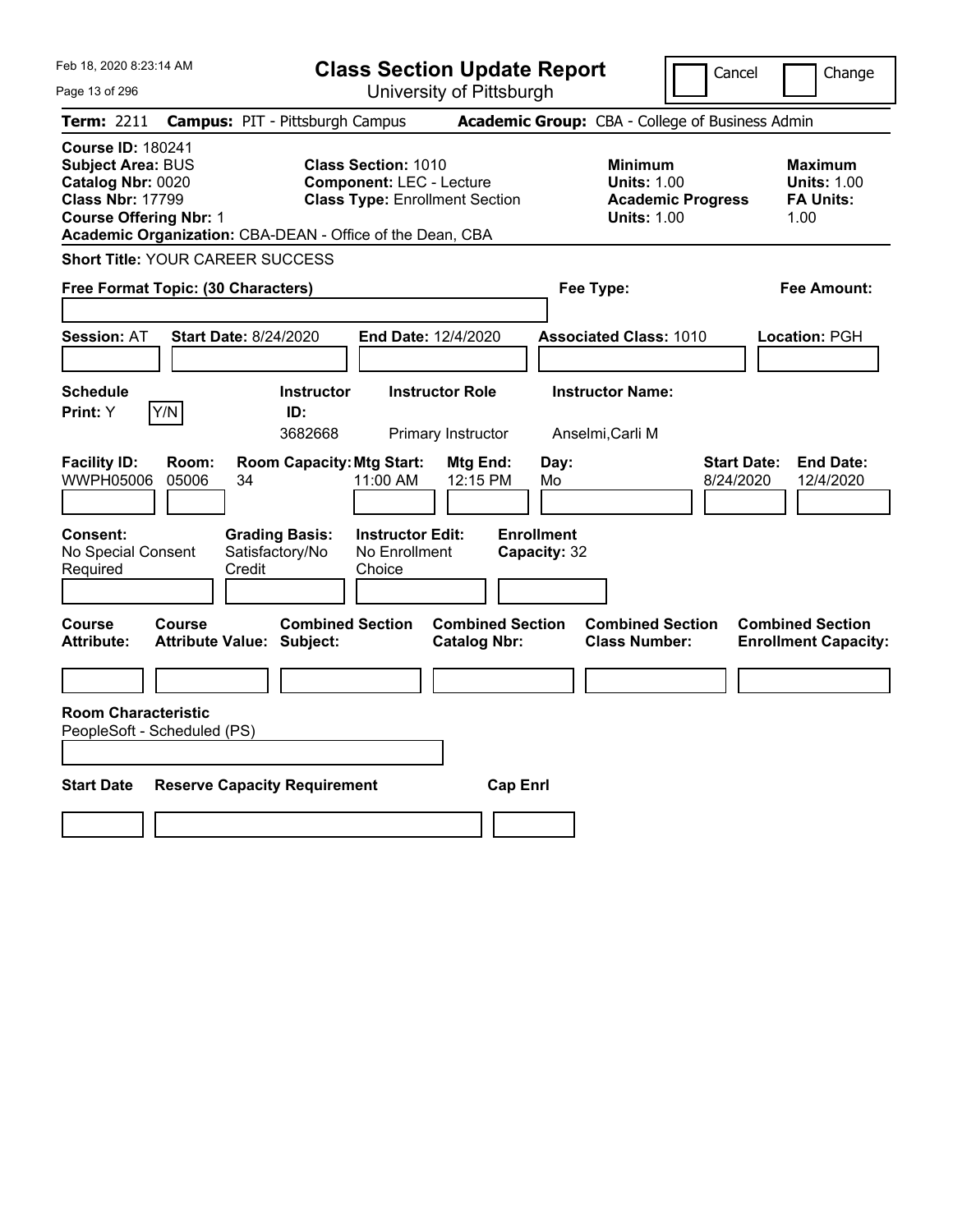Feb 18, 2020 8:23:14 AM Page 13 of 296 **Class Section Update Report** University of Pittsburgh Cancel Change **Term:** 2211 **Campus:** PIT - Pittsburgh Campus **Academic Group:** CBA - College of Business Admin **Course ID:** 180241 **Subject Area: BUS 6. Class Section: 1010 Minimum 1010 Minimum 1010 Maximum Catalog Nbr:** 0020 **Component:** LEC - Lecture **Units:** 1.00 **Units:** 1.00 **Class Nbr:** 17799 **Class Type:** Enrollment Section **Academic Progress FA Units: Course Offering Nbr:** 1 **Units:** 1.00 1.00 **Academic Organization:** CBA-DEAN - Office of the Dean, CBA **Short Title:** YOUR CAREER SUCCESS **Free Format Topic: (30 Characters) Fee Type: Fee Amount: Session:** AT **Start Date:** 8/24/2020 **End Date:** 12/4/2020 **Associated Class:** 1010 **Location:** PGH **Schedule Instructor Instructor Role Instructor Name: Print:**  $Y$   $|Y/N|$  **ID:** 3682668 Primary Instructor Anselmi,Carli M **Facility ID: Room: Room Capacity:Mtg Start: Mtg End: Day: Start Date: End Date:** WWPH05006 05006 34 11:00 AM 12:15 PM Mo 8/24/2020 12/4/2020 **Consent: Grading Basis: Instructor Edit: Enrollment** No Special Consent Required Satisfactory/No Credit No Enrollment Choice **Capacity:** 32 **Course Course Combined Section Combined Section Combined Section Combined Section Attribute: Attribute Value: Subject: Catalog Nbr: Class Number: Enrollment Capacity: Room Characteristic** PeopleSoft - Scheduled (PS) **Start Date Reserve Capacity Requirement Cap Enrl**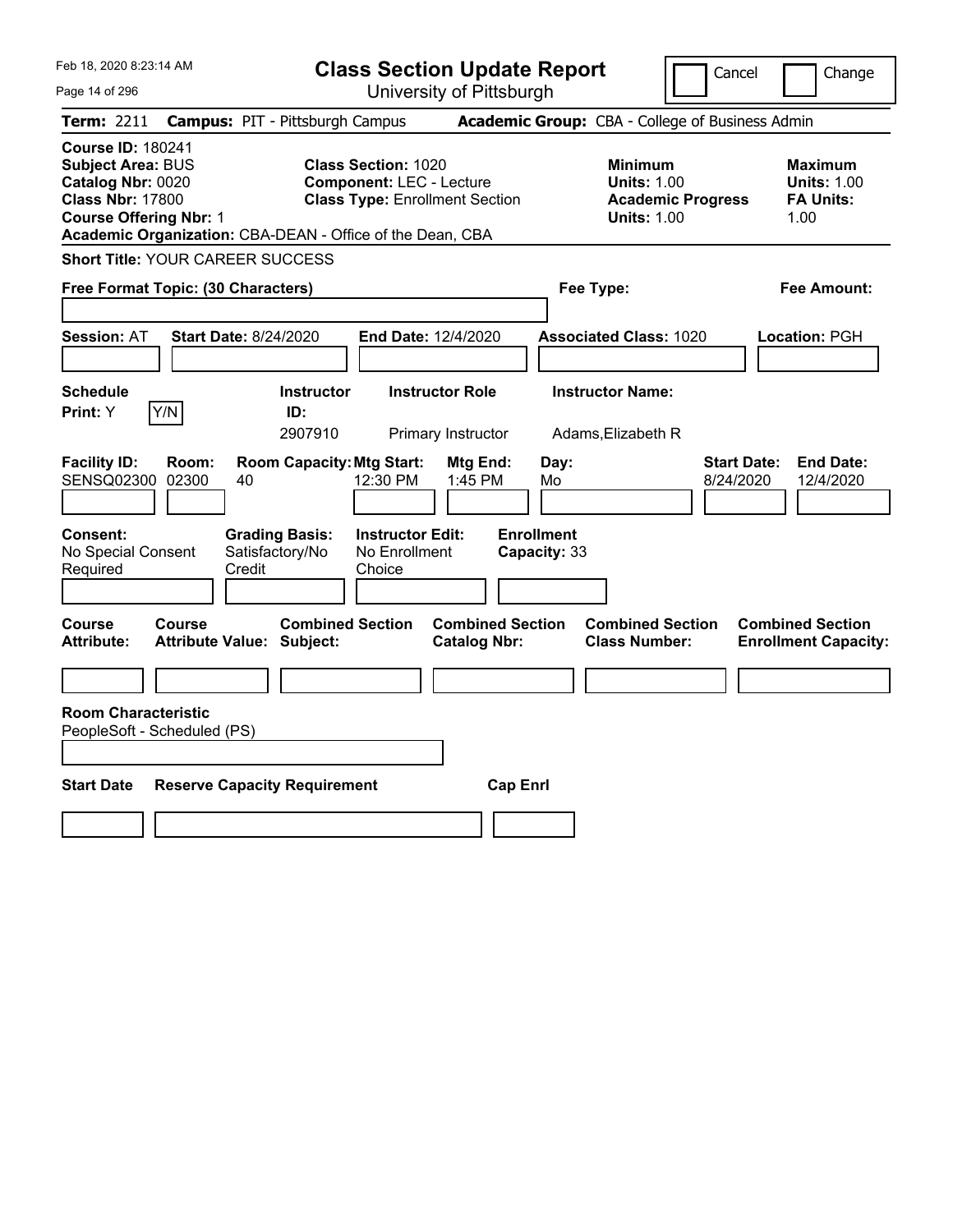Feb 18, 2020 8:23:14 AM Page 14 of 296 **Class Section Update Report** University of Pittsburgh Cancel Change **Term:** 2211 **Campus:** PIT - Pittsburgh Campus **Academic Group:** CBA - College of Business Admin **Course ID:** 180241 **Subject Area: BUS 6. Class Section: 1020 6. Class Maximum 1020 6. Minimum 1020 6. Minimum 1020 Catalog Nbr:** 0020 **Component:** LEC - Lecture **Units:** 1.00 **Units:** 1.00 **Class Nbr:** 17800 **Class Type:** Enrollment Section **Academic Progress FA Units: Course Offering Nbr:** 1 **Units:** 1.00 1.00 **Academic Organization:** CBA-DEAN - Office of the Dean, CBA **Short Title:** YOUR CAREER SUCCESS **Free Format Topic: (30 Characters) Fee Type: Fee Amount: Session:** AT **Start Date:** 8/24/2020 **End Date:** 12/4/2020 **Associated Class:** 1020 **Location:** PGH **Schedule Instructor Instructor Role Instructor Name: Print:**  $Y$   $|Y/N|$  **ID:** 2907910 Primary Instructor Adams,Elizabeth R **Facility ID: Room: Room Capacity:Mtg Start: Mtg End: Day: Start Date: End Date:** SENSQ02300 02300 40 12:30 PM 1:45 PM Mo 8/24/2020 12/4/2020 **Consent: Grading Basis: Instructor Edit: Enrollment** No Special Consent Required Satisfactory/No Credit No Enrollment Choice **Capacity:** 33 **Course Course Combined Section Combined Section Combined Section Combined Section Attribute: Attribute Value: Subject: Catalog Nbr: Class Number: Enrollment Capacity: Room Characteristic** PeopleSoft - Scheduled (PS) **Start Date Reserve Capacity Requirement Cap Enrl**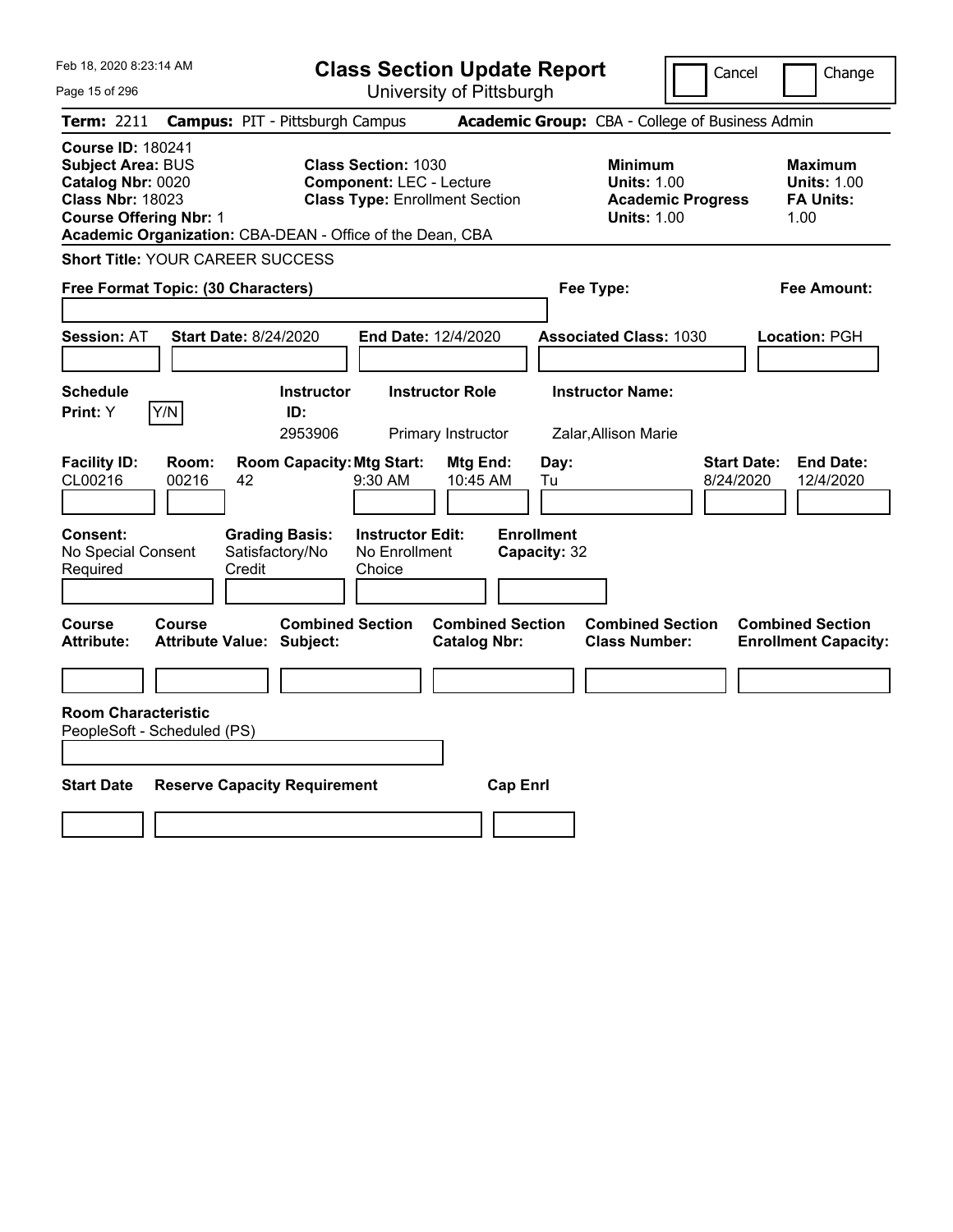Feb 18, 2020 8:23:14 AM Page 15 of 296 **Class Section Update Report** University of Pittsburgh Cancel Change **Term:** 2211 **Campus:** PIT - Pittsburgh Campus **Academic Group:** CBA - College of Business Admin **Course ID:** 180241 **Subject Area:** BUS **Class Section:** 1030 **Minimum Maximum Catalog Nbr:** 0020 **Component:** LEC - Lecture **Units:** 1.00 **Units:** 1.00 **Class Type: Enrollment Section <b>Academic Progress FA Units: Course Offering Nbr:** 1 **Units:** 1.00 1.00 **Academic Organization:** CBA-DEAN - Office of the Dean, CBA **Short Title:** YOUR CAREER SUCCESS **Free Format Topic: (30 Characters) Fee Type: Fee Amount: Session:** AT **Start Date:** 8/24/2020 **End Date:** 12/4/2020 **Associated Class:** 1030 **Location:** PGH **Schedule Instructor Instructor Role Instructor Name: Print:**  $Y$   $|Y/N|$  **ID:** 2953906 Primary Instructor Zalar,Allison Marie **Facility ID: Room: Room Capacity:Mtg Start: Mtg End: Day: Start Date: End Date:** CL00216 00216 42 9:30 AM 10:45 AM Tu 8/24/2020 12/4/2020 **Consent: Grading Basis: Instructor Edit: Enrollment** No Special Consent Required Satisfactory/No Credit No Enrollment Choice **Capacity:** 32 **Course Course Combined Section Combined Section Combined Section Combined Section Attribute: Attribute Value: Subject: Catalog Nbr: Class Number: Enrollment Capacity: Room Characteristic** PeopleSoft - Scheduled (PS) **Start Date Reserve Capacity Requirement Cap Enrl**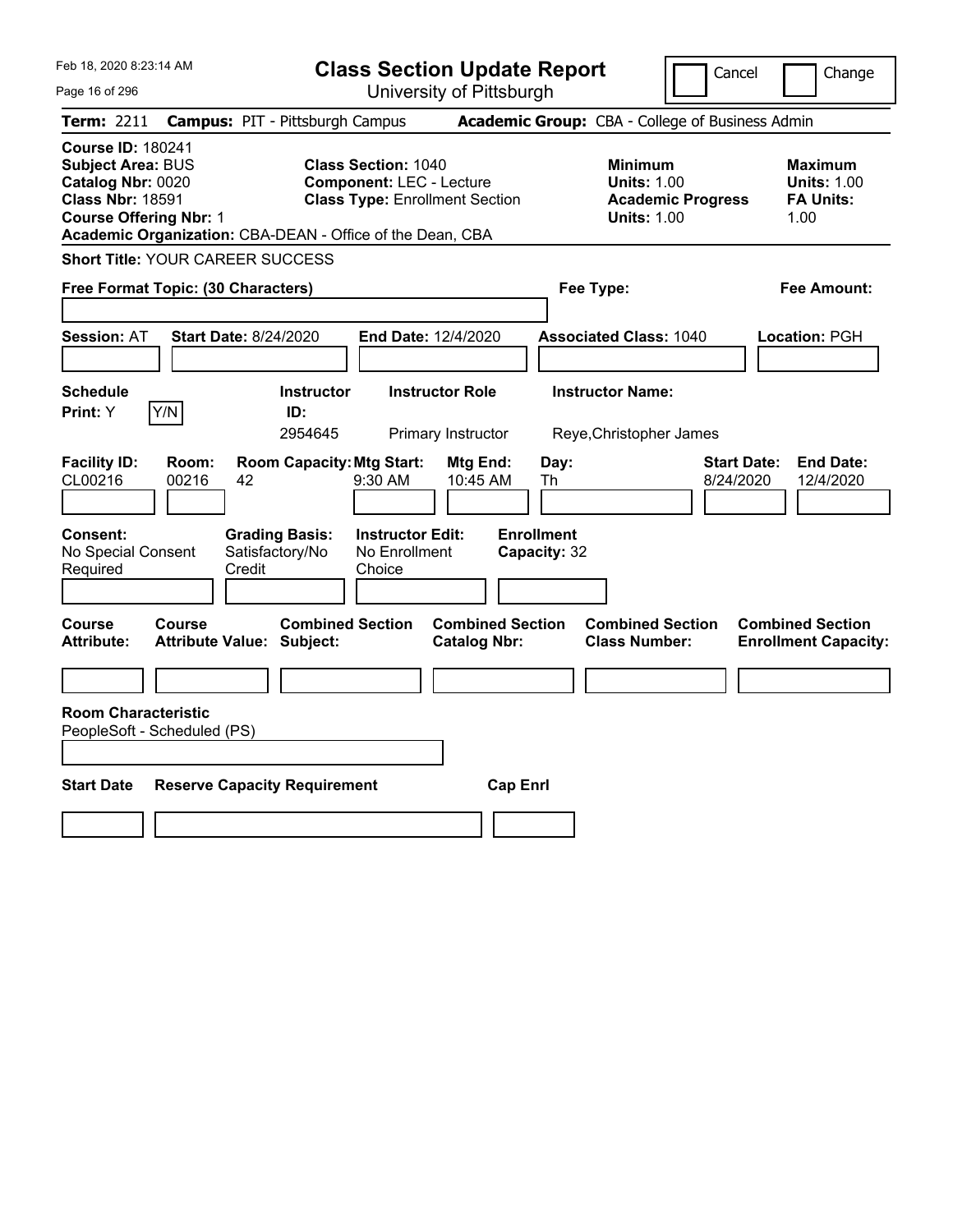Feb 18, 2020 8:23:14 AM Page 16 of 296 **Class Section Update Report** University of Pittsburgh Cancel Change **Term:** 2211 **Campus:** PIT - Pittsburgh Campus **Academic Group:** CBA - College of Business Admin **Course ID:** 180241 **Subject Area: BUS 6. Class Section: 1040 Minimum 1010 Maximum Maximum Catalog Nbr:** 0020 **Component:** LEC - Lecture **Units:** 1.00 **Units:** 1.00 **Class Nbr:** 18591 **Class Type:** Enrollment Section **Academic Progress FA Units: Course Offering Nbr:** 1 **Units:** 1.00 1.00 **Academic Organization:** CBA-DEAN - Office of the Dean, CBA **Short Title:** YOUR CAREER SUCCESS **Free Format Topic: (30 Characters) Fee Type: Fee Amount: Session:** AT **Start Date:** 8/24/2020 **End Date:** 12/4/2020 **Associated Class:** 1040 **Location:** PGH **Schedule Instructor Instructor Role Instructor Name: Print:**  $Y$   $|Y/N|$  **ID:** 2954645 Primary Instructor Reye,Christopher James **Facility ID: Room: Room Capacity:Mtg Start: Mtg End: Day: Start Date: End Date:** CL00216 00216 42 9:30 AM 10:45 AM Th 8/24/2020 12/4/2020 **Consent: Grading Basis: Instructor Edit: Enrollment** No Special Consent Required Satisfactory/No Credit No Enrollment Choice **Capacity:** 32 **Course Course Combined Section Combined Section Combined Section Combined Section Attribute: Attribute Value: Subject: Catalog Nbr: Class Number: Enrollment Capacity: Room Characteristic** PeopleSoft - Scheduled (PS) **Start Date Reserve Capacity Requirement Cap Enrl**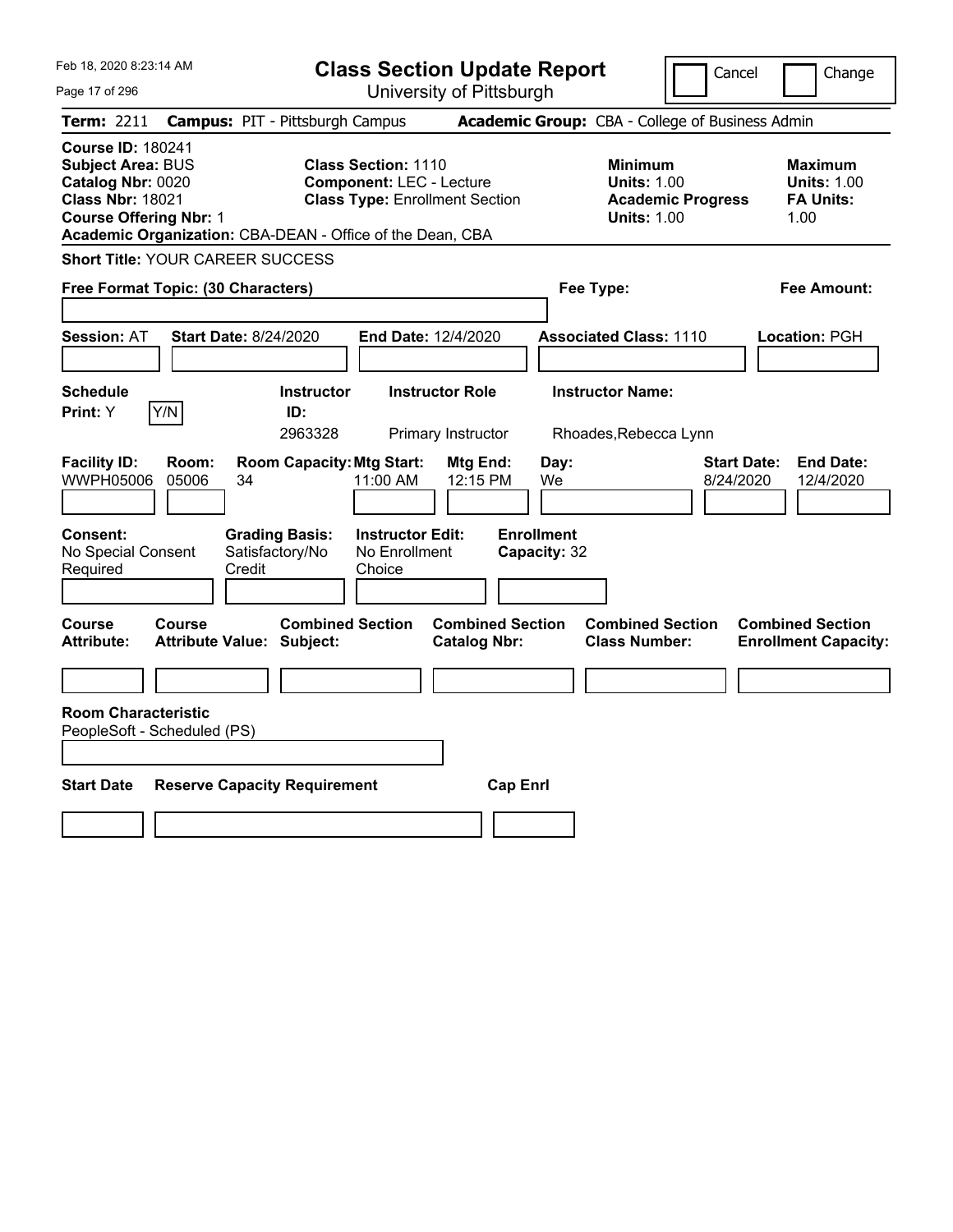Feb 18, 2020 8:23:14 AM Page 17 of 296 **Class Section Update Report** University of Pittsburgh Cancel Change **Term:** 2211 **Campus:** PIT - Pittsburgh Campus **Academic Group:** CBA - College of Business Admin **Course ID:** 180241 **Subject Area: BUS 6. Class Section: 1110 Minimum 19. Maximum 19. Maximum 19. Maximum Catalog Nbr:** 0020 **Component:** LEC - Lecture **Units:** 1.00 **Units:** 1.00 **Class Nbr:** 18021 **Class Type:** Enrollment Section **Academic Progress FA Units: Course Offering Nbr:** 1 **Units:** 1.00 1.00 **Academic Organization:** CBA-DEAN - Office of the Dean, CBA **Short Title:** YOUR CAREER SUCCESS **Free Format Topic: (30 Characters) Fee Type: Fee Amount: Session:** AT **Start Date:** 8/24/2020 **End Date:** 12/4/2020 **Associated Class:** 1110 **Location:** PGH **Schedule Instructor Instructor Role Instructor Name: Print:**  $Y$   $|Y/N|$  **ID:** 2963328 Primary Instructor Rhoades,Rebecca Lynn **Facility ID: Room: Room Capacity:Mtg Start: Mtg End: Day: Start Date: End Date:** WWPH05006 05006 34 11:00 AM 12:15 PM We 8/24/2020 12/4/2020 **Consent: Grading Basis: Instructor Edit: Enrollment** No Special Consent Required Satisfactory/No Credit No Enrollment Choice **Capacity:** 32 **Course Course Combined Section Combined Section Combined Section Combined Section Attribute: Attribute Value: Subject: Catalog Nbr: Class Number: Enrollment Capacity: Room Characteristic** PeopleSoft - Scheduled (PS) **Start Date Reserve Capacity Requirement Cap Enrl**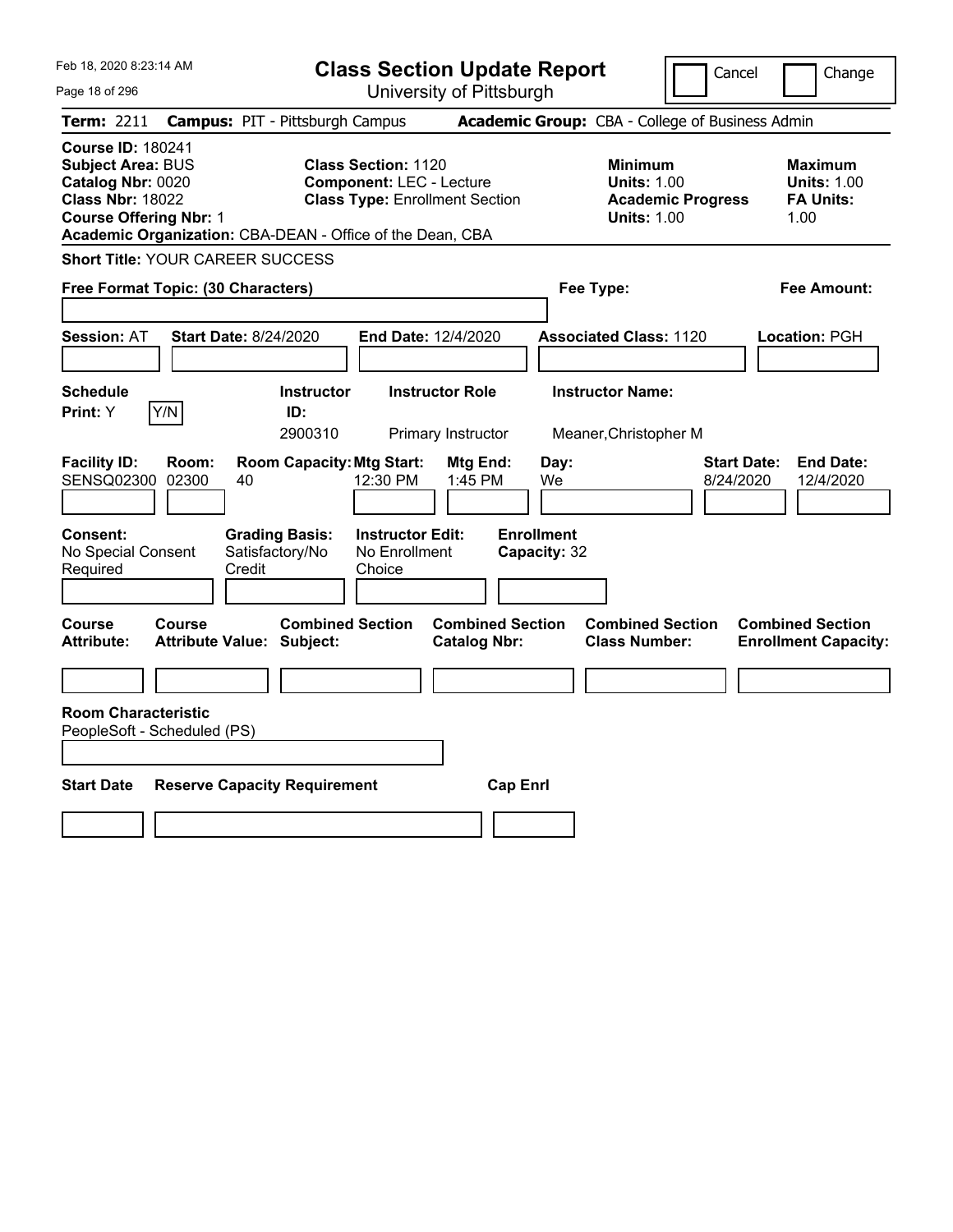Feb 18, 2020 8:23:14 AM Page 18 of 296 **Class Section Update Report** University of Pittsburgh Cancel Change **Term:** 2211 **Campus:** PIT - Pittsburgh Campus **Academic Group:** CBA - College of Business Admin **Course ID:** 180241 **Subject Area: BUS 6. Class Section: 1120 Minimum 1. Maximum Maximum Catalog Nbr:** 0020 **Component:** LEC - Lecture **Units:** 1.00 **Units:** 1.00 **Class Type: Enrollment Section <b>Academic Progress FA Units: Course Offering Nbr:** 1 **Units:** 1.00 1.00 **Academic Organization:** CBA-DEAN - Office of the Dean, CBA **Short Title:** YOUR CAREER SUCCESS **Free Format Topic: (30 Characters) Fee Type: Fee Amount: Session:** AT **Start Date:** 8/24/2020 **End Date:** 12/4/2020 **Associated Class:** 1120 **Location:** PGH **Schedule Instructor Instructor Role Instructor Name: Print:**  $Y$   $|Y/N|$  **ID:** 2900310 Primary Instructor Meaner,Christopher M **Facility ID: Room: Room Capacity:Mtg Start: Mtg End: Day: Start Date: End Date:** SENSQ02300 02300 40 12:30 PM 1:45 PM We 8/24/2020 12/4/2020 **Consent: Grading Basis: Instructor Edit: Enrollment** No Special Consent Required Satisfactory/No Credit No Enrollment Choice **Capacity:** 32 **Course Course Combined Section Combined Section Combined Section Combined Section Attribute: Attribute Value: Subject: Catalog Nbr: Class Number: Enrollment Capacity: Room Characteristic** PeopleSoft - Scheduled (PS) **Start Date Reserve Capacity Requirement Cap Enrl**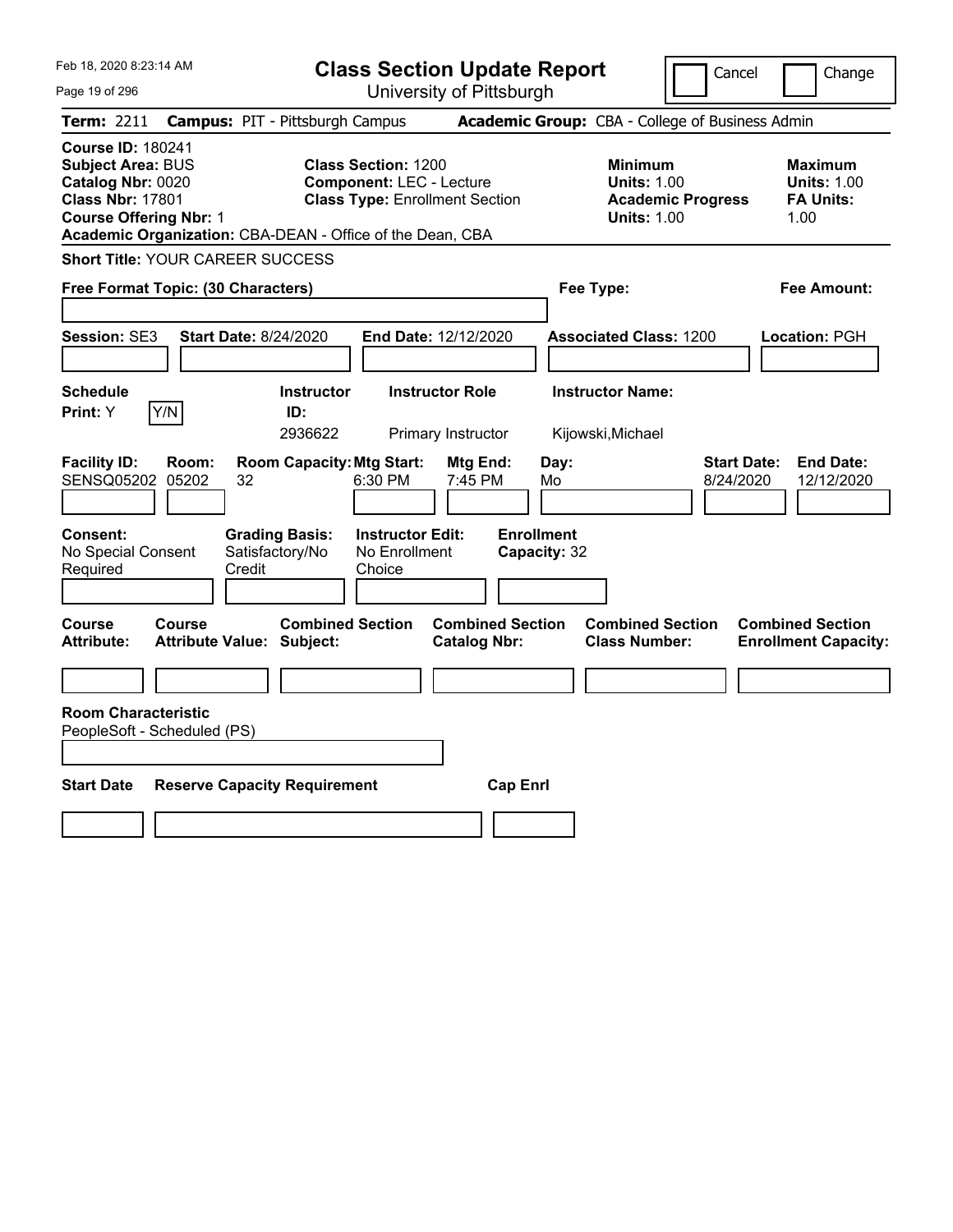Page 19 of 296

**Class Section Update Report**

Cancel Change

University of Pittsburgh

| <b>Campus: PIT - Pittsburgh Campus</b><br><b>Term: 2211</b>                                                                                                                                                                                                                                                  | Academic Group: CBA - College of Business Admin                                 |                                                                  |
|--------------------------------------------------------------------------------------------------------------------------------------------------------------------------------------------------------------------------------------------------------------------------------------------------------------|---------------------------------------------------------------------------------|------------------------------------------------------------------|
| <b>Course ID: 180241</b><br><b>Subject Area: BUS</b><br><b>Class Section: 1200</b><br>Catalog Nbr: 0020<br><b>Component: LEC - Lecture</b><br><b>Class Nbr: 17801</b><br><b>Class Type: Enrollment Section</b><br><b>Course Offering Nbr: 1</b><br>Academic Organization: CBA-DEAN - Office of the Dean, CBA | Minimum<br><b>Units: 1.00</b><br><b>Academic Progress</b><br><b>Units: 1.00</b> | <b>Maximum</b><br><b>Units: 1.00</b><br><b>FA Units:</b><br>1.00 |
| <b>Short Title: YOUR CAREER SUCCESS</b>                                                                                                                                                                                                                                                                      |                                                                                 |                                                                  |
| Free Format Topic: (30 Characters)                                                                                                                                                                                                                                                                           | Fee Type:                                                                       | <b>Fee Amount:</b>                                               |
| Session: SE3<br><b>Start Date: 8/24/2020</b><br>End Date: 12/12/2020                                                                                                                                                                                                                                         | <b>Associated Class: 1200</b>                                                   | Location: PGH                                                    |
| <b>Schedule</b><br><b>Instructor Role</b><br><b>Instructor</b><br>Y/N<br>ID:<br>Print: Y<br>2936622<br><b>Primary Instructor</b>                                                                                                                                                                             | <b>Instructor Name:</b><br>Kijowski, Michael                                    |                                                                  |
| <b>Facility ID:</b><br><b>Room Capacity: Mtg Start:</b><br>Room:<br>Mtg End:<br>SENSQ05202 05202<br>32<br>6:30 PM<br>7:45 PM<br><b>Enrollment</b><br><b>Grading Basis:</b><br><b>Instructor Edit:</b><br>Consent:<br>No Special Consent<br>Satisfactory/No<br>No Enrollment<br>Credit<br>Required<br>Choice  | <b>Start Date:</b><br>Day:<br>8/24/2020<br>Mo<br>Capacity: 32                   | <b>End Date:</b><br>12/12/2020                                   |
| <b>Combined Section</b><br><b>Combined Section</b><br><b>Course</b><br>Course<br><b>Attribute:</b><br><b>Attribute Value: Subject:</b><br><b>Catalog Nbr:</b>                                                                                                                                                | <b>Combined Section</b><br><b>Class Number:</b>                                 | <b>Combined Section</b><br><b>Enrollment Capacity:</b>           |
|                                                                                                                                                                                                                                                                                                              |                                                                                 |                                                                  |
| <b>Room Characteristic</b><br>PeopleSoft - Scheduled (PS)<br><b>Start Date</b><br><b>Reserve Capacity Requirement</b><br><b>Cap Enrl</b>                                                                                                                                                                     |                                                                                 |                                                                  |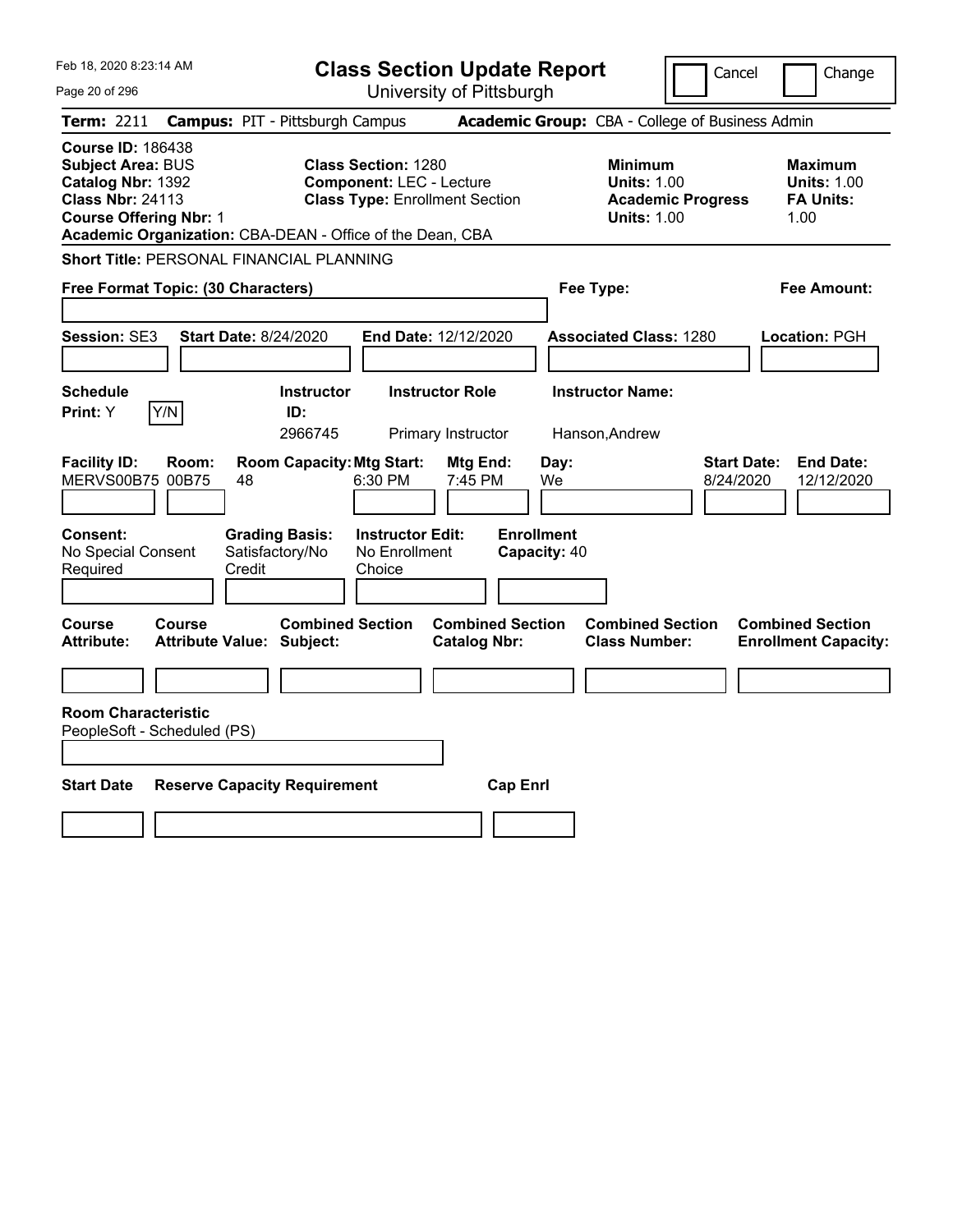Feb 18, 2020 8:23:14 AM Page 20 of 296 **Class Section Update Report** University of Pittsburgh Cancel Change **Term:** 2211 **Campus:** PIT - Pittsburgh Campus **Academic Group:** CBA - College of Business Admin **Course ID:** 186438 **Subject Area: BUS Class Section: 1280 Minimum 1280 Minimum 1280 Minimum 1280 Minimum 1280 Minimum 1280 Minimum 1280 Minimum 1280 Minimum 1280 Minimum 1280 Minimum Catalog Nbr: 1392 Minimum Cata Catalog Nbr:** 1392 **Component:** LEC - Lecture **Units:** 1.00 **Units:** 1.00 **Class Type: Enrollment Section <b>Academic Progress FA Units: Course Offering Nbr:** 1 **Units:** 1.00 1.00 **Academic Organization:** CBA-DEAN - Office of the Dean, CBA **Short Title:** PERSONAL FINANCIAL PLANNING **Free Format Topic: (30 Characters) Fee Type: Fee Amount: Session:** SE3 **Start Date:** 8/24/2020 **End Date:** 12/12/2020 **Associated Class:** 1280 **Location:** PGH **Schedule Instructor Instructor Role Instructor Name: Print:**  $Y$   $|Y/N|$  **ID:** 2966745 Primary Instructor Hanson,Andrew **Facility ID: Room: Room Capacity:Mtg Start: Mtg End: Day: Start Date: End Date:** MERVS00B75 00B75 48 6:30 PM 7:45 PM We 8/24/2020 12/12/2020 **Consent: Grading Basis: Instructor Edit: Enrollment** No Special Consent Required Satisfactory/No Credit No Enrollment Choice **Capacity:** 40 **Course Course Combined Section Combined Section Combined Section Combined Section Attribute: Attribute Value: Subject: Catalog Nbr: Class Number: Enrollment Capacity: Room Characteristic** PeopleSoft - Scheduled (PS) **Start Date Reserve Capacity Requirement Cap Enrl**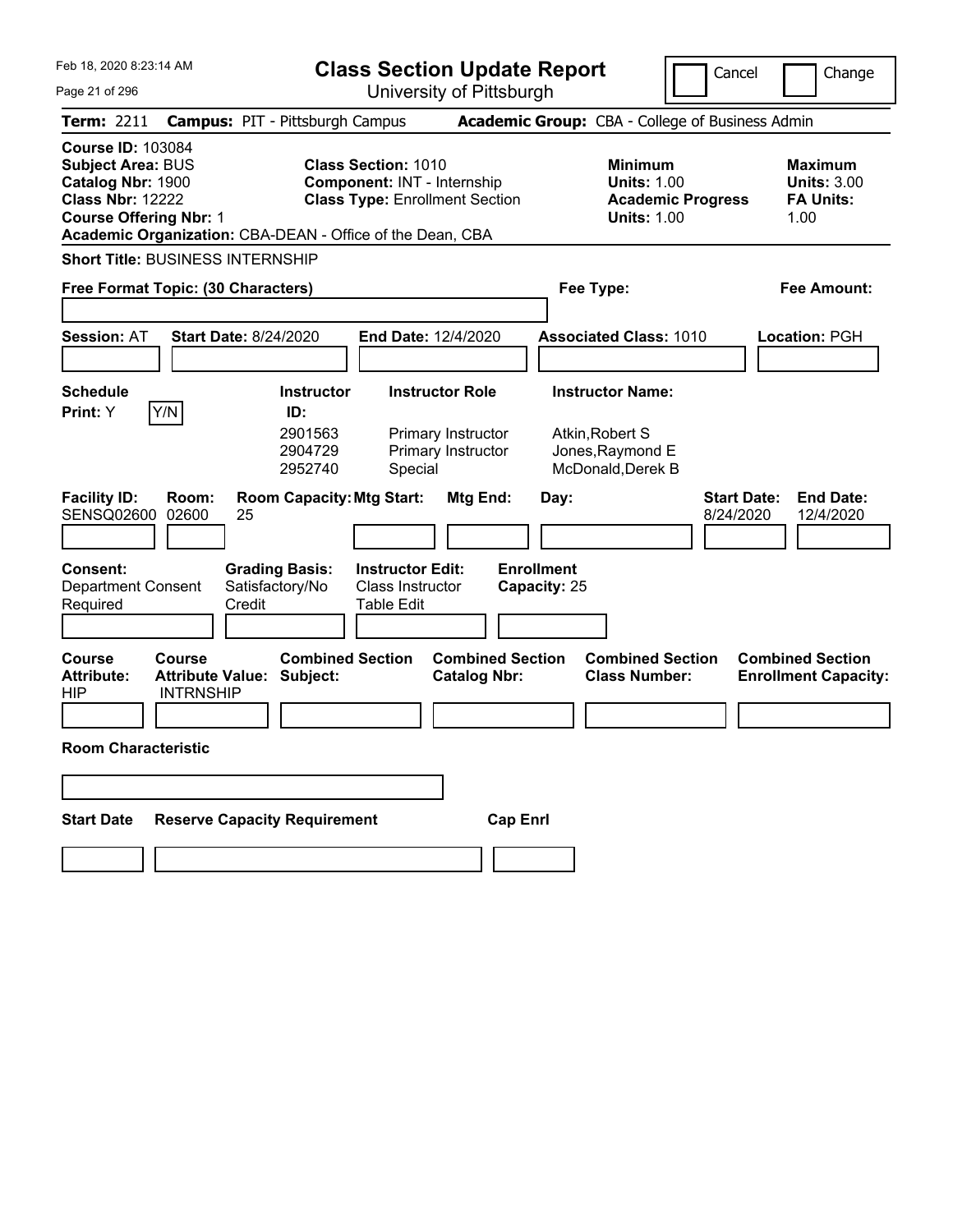|  | Feb 18, 2020 8:23:14 AM |  |
|--|-------------------------|--|
|  |                         |  |

Page 21 of 296

**Class Section Update Report**

University of Pittsburgh

Cancel Change

| Term: 2211                                                                                                                            |                                                       | <b>Campus: PIT - Pittsburgh Campus</b>                    |                                                                                                                                                                        | <b>Academic Group:</b> CBA - College of Business Admin                                 |                                                                  |
|---------------------------------------------------------------------------------------------------------------------------------------|-------------------------------------------------------|-----------------------------------------------------------|------------------------------------------------------------------------------------------------------------------------------------------------------------------------|----------------------------------------------------------------------------------------|------------------------------------------------------------------|
| <b>Course ID: 103084</b><br><b>Subject Area: BUS</b><br>Catalog Nbr: 1900<br><b>Class Nbr: 12222</b><br><b>Course Offering Nbr: 1</b> |                                                       |                                                           | <b>Class Section: 1010</b><br><b>Component: INT - Internship</b><br><b>Class Type: Enrollment Section</b><br>Academic Organization: CBA-DEAN - Office of the Dean, CBA | <b>Minimum</b><br><b>Units: 1.00</b><br><b>Academic Progress</b><br><b>Units: 1.00</b> | <b>Maximum</b><br><b>Units: 3.00</b><br><b>FA Units:</b><br>1.00 |
| <b>Short Title: BUSINESS INTERNSHIP</b>                                                                                               |                                                       |                                                           |                                                                                                                                                                        |                                                                                        |                                                                  |
| Free Format Topic: (30 Characters)                                                                                                    |                                                       |                                                           |                                                                                                                                                                        | Fee Type:                                                                              | Fee Amount:                                                      |
| <b>Session: AT</b>                                                                                                                    |                                                       | <b>Start Date: 8/24/2020</b>                              | End Date: 12/4/2020                                                                                                                                                    | <b>Associated Class: 1010</b>                                                          | Location: PGH                                                    |
| <b>Schedule</b><br>Print: Y                                                                                                           | Y/N                                                   | <b>Instructor</b><br>ID:<br>2901563<br>2904729<br>2952740 | <b>Instructor Role</b><br>Primary Instructor<br>Primary Instructor<br>Special                                                                                          | <b>Instructor Name:</b><br>Atkin, Robert S<br>Jones, Raymond E<br>McDonald, Derek B    |                                                                  |
| <b>Facility ID:</b><br>SENSQ02600                                                                                                     | Room:<br>02600                                        | <b>Room Capacity: Mtg Start:</b><br>25                    | Mtg End:                                                                                                                                                               | <b>Start Date:</b><br>Day:<br>8/24/2020                                                | <b>End Date:</b><br>12/4/2020                                    |
| <b>Consent:</b><br><b>Department Consent</b><br>Required                                                                              |                                                       | <b>Grading Basis:</b><br>Satisfactory/No<br>Credit        | <b>Instructor Edit:</b><br>Class Instructor<br><b>Table Edit</b>                                                                                                       | <b>Enrollment</b><br>Capacity: 25                                                      |                                                                  |
| Course<br>Attribute:<br><b>HIP</b>                                                                                                    | Course<br><b>Attribute Value:</b><br><b>INTRNSHIP</b> | <b>Combined Section</b><br>Subject:                       | <b>Combined Section</b><br><b>Catalog Nbr:</b>                                                                                                                         | <b>Combined Section</b><br><b>Class Number:</b>                                        | <b>Combined Section</b><br><b>Enrollment Capacity:</b>           |
| <b>Room Characteristic</b>                                                                                                            |                                                       |                                                           |                                                                                                                                                                        |                                                                                        |                                                                  |
|                                                                                                                                       |                                                       |                                                           |                                                                                                                                                                        |                                                                                        |                                                                  |
| <b>Start Date</b>                                                                                                                     |                                                       | <b>Reserve Capacity Requirement</b>                       | <b>Cap Enrl</b>                                                                                                                                                        |                                                                                        |                                                                  |
|                                                                                                                                       |                                                       |                                                           |                                                                                                                                                                        |                                                                                        |                                                                  |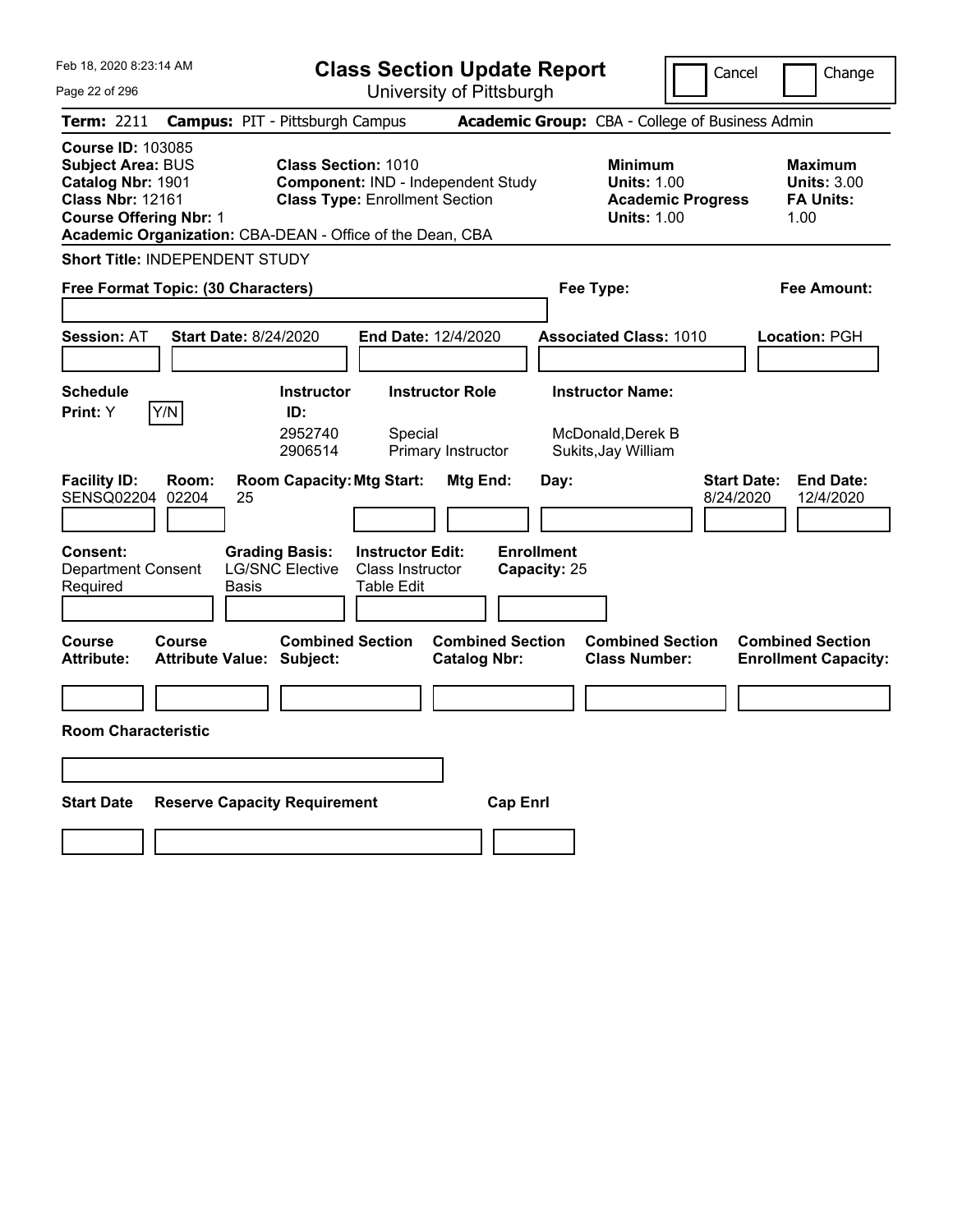| Feb 18, 2020 8:23:14 AM                                                                                                                                                                            | <b>Class Section Update Report</b>                                                                                                               |                                                                     | Cancel                                                                                 | Change                                                           |
|----------------------------------------------------------------------------------------------------------------------------------------------------------------------------------------------------|--------------------------------------------------------------------------------------------------------------------------------------------------|---------------------------------------------------------------------|----------------------------------------------------------------------------------------|------------------------------------------------------------------|
| Page 22 of 296                                                                                                                                                                                     | University of Pittsburgh                                                                                                                         |                                                                     |                                                                                        |                                                                  |
| <b>Term: 2211</b>                                                                                                                                                                                  | <b>Campus: PIT - Pittsburgh Campus</b>                                                                                                           |                                                                     | <b>Academic Group:</b> CBA - College of Business Admin                                 |                                                                  |
| <b>Course ID: 103085</b><br><b>Subject Area: BUS</b><br>Catalog Nbr: 1901<br><b>Class Nbr: 12161</b><br><b>Course Offering Nbr: 1</b><br>Academic Organization: CBA-DEAN - Office of the Dean, CBA | <b>Class Section: 1010</b><br>Component: IND - Independent Study<br><b>Class Type: Enrollment Section</b>                                        |                                                                     | <b>Minimum</b><br><b>Units: 1.00</b><br><b>Academic Progress</b><br><b>Units: 1.00</b> | <b>Maximum</b><br><b>Units: 3.00</b><br><b>FA Units:</b><br>1.00 |
| <b>Short Title: INDEPENDENT STUDY</b>                                                                                                                                                              |                                                                                                                                                  |                                                                     |                                                                                        |                                                                  |
| Free Format Topic: (30 Characters)                                                                                                                                                                 |                                                                                                                                                  | Fee Type:                                                           |                                                                                        | Fee Amount:                                                      |
| <b>Start Date: 8/24/2020</b><br><b>Session: AT</b>                                                                                                                                                 | <b>End Date: 12/4/2020</b>                                                                                                                       |                                                                     | <b>Associated Class: 1010</b>                                                          | Location: PGH                                                    |
| <b>Schedule</b><br>Y/N<br><b>Print:</b> Y                                                                                                                                                          | <b>Instructor Role</b><br><b>Instructor</b><br>ID:<br>2952740<br>Special<br>2906514<br>Primary Instructor                                        | <b>Instructor Name:</b><br>McDonald, Derek B<br>Sukits, Jay William |                                                                                        |                                                                  |
| <b>Facility ID:</b><br>Room:<br>SENSQ02204<br>02204<br>25<br><b>Consent:</b><br><b>Department Consent</b><br>Required<br>Basis                                                                     | <b>Room Capacity: Mtg Start:</b><br><b>Grading Basis:</b><br><b>Instructor Edit:</b><br><b>LG/SNC Elective</b><br>Class Instructor<br>Table Edit | Mtg End:<br>Day:<br><b>Enrollment</b><br>Capacity: 25               | <b>Start Date:</b><br>8/24/2020                                                        | <b>End Date:</b><br>12/4/2020                                    |
| Course<br>Course<br><b>Attribute:</b><br><b>Attribute Value: Subject:</b>                                                                                                                          | <b>Combined Section</b><br><b>Catalog Nbr:</b>                                                                                                   | <b>Combined Section</b>                                             | <b>Combined Section</b><br><b>Class Number:</b>                                        | <b>Combined Section</b><br><b>Enrollment Capacity:</b>           |
|                                                                                                                                                                                                    |                                                                                                                                                  |                                                                     |                                                                                        |                                                                  |
| <b>Room Characteristic</b>                                                                                                                                                                         |                                                                                                                                                  |                                                                     |                                                                                        |                                                                  |
|                                                                                                                                                                                                    |                                                                                                                                                  |                                                                     |                                                                                        |                                                                  |
| <b>Start Date</b><br><b>Reserve Capacity Requirement</b>                                                                                                                                           |                                                                                                                                                  | <b>Cap Enrl</b>                                                     |                                                                                        |                                                                  |
|                                                                                                                                                                                                    |                                                                                                                                                  |                                                                     |                                                                                        |                                                                  |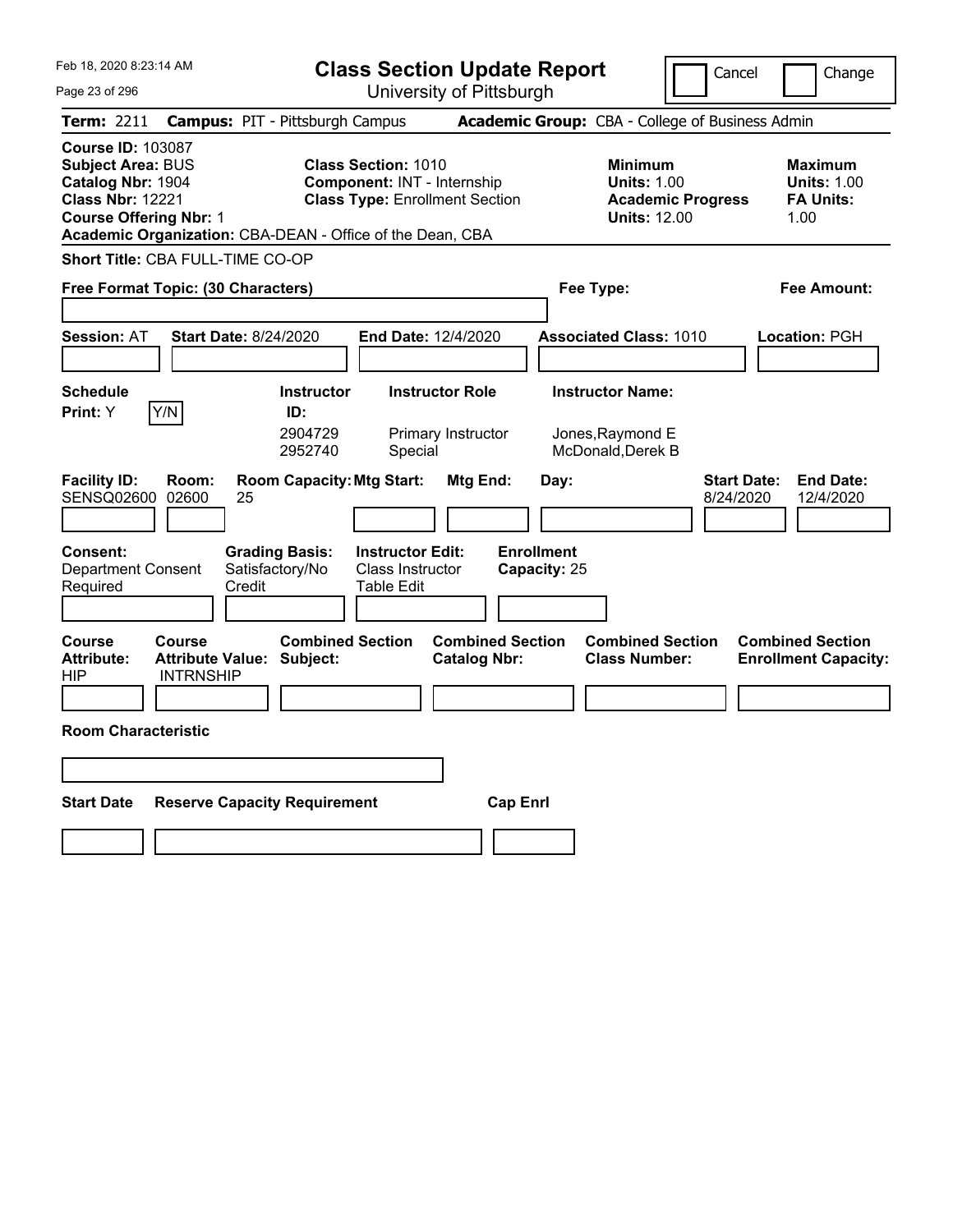Feb 18, 2020 8:23:14 AM Page 23 of 296 **Class Section Update Report** University of Pittsburgh Cancel Change **Term:** 2211 **Campus:** PIT - Pittsburgh Campus **Academic Group:** CBA - College of Business Admin **Course ID:** 103087 **Subject Area: BUS 6. Class Section: 1010 Minimum 1010 Minimum 1010 Maximum Catalog Nbr:** 1904 **Component:** INT - Internship **Units:** 1.00 **Units:** 1.00 **Class Type: Enrollment Section <b>Academic Progress FA Units: Course Offering Nbr: 1 Units: 12.00** 1.00 **Academic Organization:** CBA-DEAN - Office of the Dean, CBA **Short Title:** CBA FULL-TIME CO-OP **Free Format Topic: (30 Characters) Fee Type: Fee Amount: Session:** AT **Start Date:** 8/24/2020 **End Date:** 12/4/2020 **Associated Class:** 1010 **Location:** PGH **Schedule Instructor Instructor Role Instructor Name: Print:**  $Y$   $|Y/N|$  **ID:** 2904729 Primary Instructor Jones,Raymond E 2952740 Special McDonald,Derek B **Facility ID: Room: Room Capacity:Mtg Start: Mtg End: Day: Start Date: End Date:** SENSQ02600 02600 25 8/24/2020 12/4/2020 **Consent: Grading Basis: Instructor Edit: Enrollment** Department Consent Required Satisfactory/No Credit Class Instructor Table Edit **Capacity:** 25 **Course Course Combined Section Combined Section Combined Section Combined Section**  Attribute: Attribute Value: Subject: Catalog Nbr: Class Number: Enrollment Capacity:<br>HIP MTRNSHIP **INTRNSHIP Room Characteristic Start Date Reserve Capacity Requirement Cap Enrl**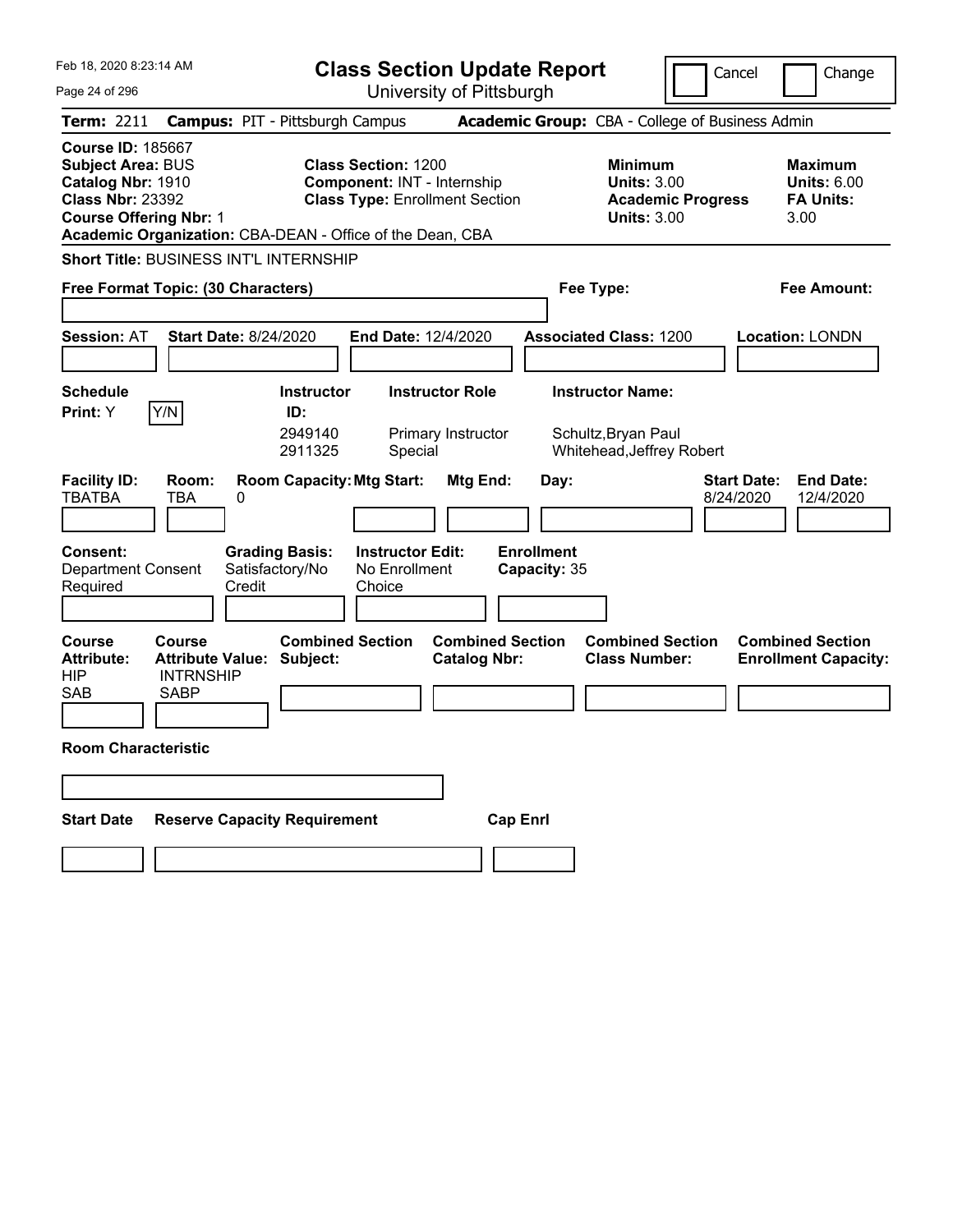| Feb 18, 2020 8:23:14 AM                                                                                                                                                                            | <b>Class Section Update Report</b>                                                                        |                                                                                        | Cancel<br>Change                                                 |
|----------------------------------------------------------------------------------------------------------------------------------------------------------------------------------------------------|-----------------------------------------------------------------------------------------------------------|----------------------------------------------------------------------------------------|------------------------------------------------------------------|
| Page 24 of 296                                                                                                                                                                                     | University of Pittsburgh                                                                                  |                                                                                        |                                                                  |
| <b>Term: 2211</b>                                                                                                                                                                                  | <b>Campus: PIT - Pittsburgh Campus</b>                                                                    | <b>Academic Group:</b> CBA - College of Business Admin                                 |                                                                  |
| <b>Course ID: 185667</b><br><b>Subject Area: BUS</b><br>Catalog Nbr: 1910<br><b>Class Nbr: 23392</b><br><b>Course Offering Nbr: 1</b><br>Academic Organization: CBA-DEAN - Office of the Dean, CBA | <b>Class Section: 1200</b><br><b>Component: INT - Internship</b><br><b>Class Type: Enrollment Section</b> | <b>Minimum</b><br><b>Units: 3.00</b><br><b>Academic Progress</b><br><b>Units: 3.00</b> | Maximum<br><b>Units: 6.00</b><br><b>FA Units:</b><br>3.00        |
| <b>Short Title: BUSINESS INT'L INTERNSHIP</b>                                                                                                                                                      |                                                                                                           |                                                                                        |                                                                  |
| Free Format Topic: (30 Characters)                                                                                                                                                                 |                                                                                                           | Fee Type:                                                                              | Fee Amount:                                                      |
| <b>Session: AT</b><br><b>Start Date: 8/24/2020</b>                                                                                                                                                 | <b>End Date: 12/4/2020</b>                                                                                | <b>Associated Class: 1200</b>                                                          | <b>Location: LONDN</b>                                           |
| <b>Schedule</b><br>Y/N<br><b>Print:</b> Y                                                                                                                                                          | <b>Instructor Role</b><br><b>Instructor</b><br>ID:<br>2949140<br>Primary Instructor<br>2911325<br>Special | <b>Instructor Name:</b><br>Schultz, Bryan Paul<br>Whitehead, Jeffrey Robert            |                                                                  |
| <b>Facility ID:</b><br>Room:<br><b>TBATBA</b><br><b>TBA</b><br>0                                                                                                                                   | <b>Room Capacity: Mtg Start:</b><br>Mtg End:                                                              | Day:                                                                                   | <b>Start Date:</b><br><b>End Date:</b><br>8/24/2020<br>12/4/2020 |
| <b>Consent:</b><br><b>Grading Basis:</b><br>Satisfactory/No<br><b>Department Consent</b><br>Credit<br>Required                                                                                     | <b>Instructor Edit:</b><br>No Enrollment<br>Choice                                                        | <b>Enrollment</b><br>Capacity: 35                                                      |                                                                  |
| <b>Course</b><br>Course<br><b>Attribute Value: Subject:</b><br><b>Attribute:</b><br><b>HIP</b><br><b>INTRNSHIP</b><br><b>SAB</b><br><b>SABP</b>                                                    | <b>Combined Section</b><br><b>Combined Section</b><br><b>Catalog Nbr:</b>                                 | <b>Combined Section</b><br><b>Class Number:</b>                                        | <b>Combined Section</b><br><b>Enrollment Capacity:</b>           |
| <b>Room Characteristic</b>                                                                                                                                                                         |                                                                                                           |                                                                                        |                                                                  |
| <b>Reserve Capacity Requirement</b><br><b>Start Date</b>                                                                                                                                           | <b>Cap Enrl</b>                                                                                           |                                                                                        |                                                                  |
|                                                                                                                                                                                                    |                                                                                                           |                                                                                        |                                                                  |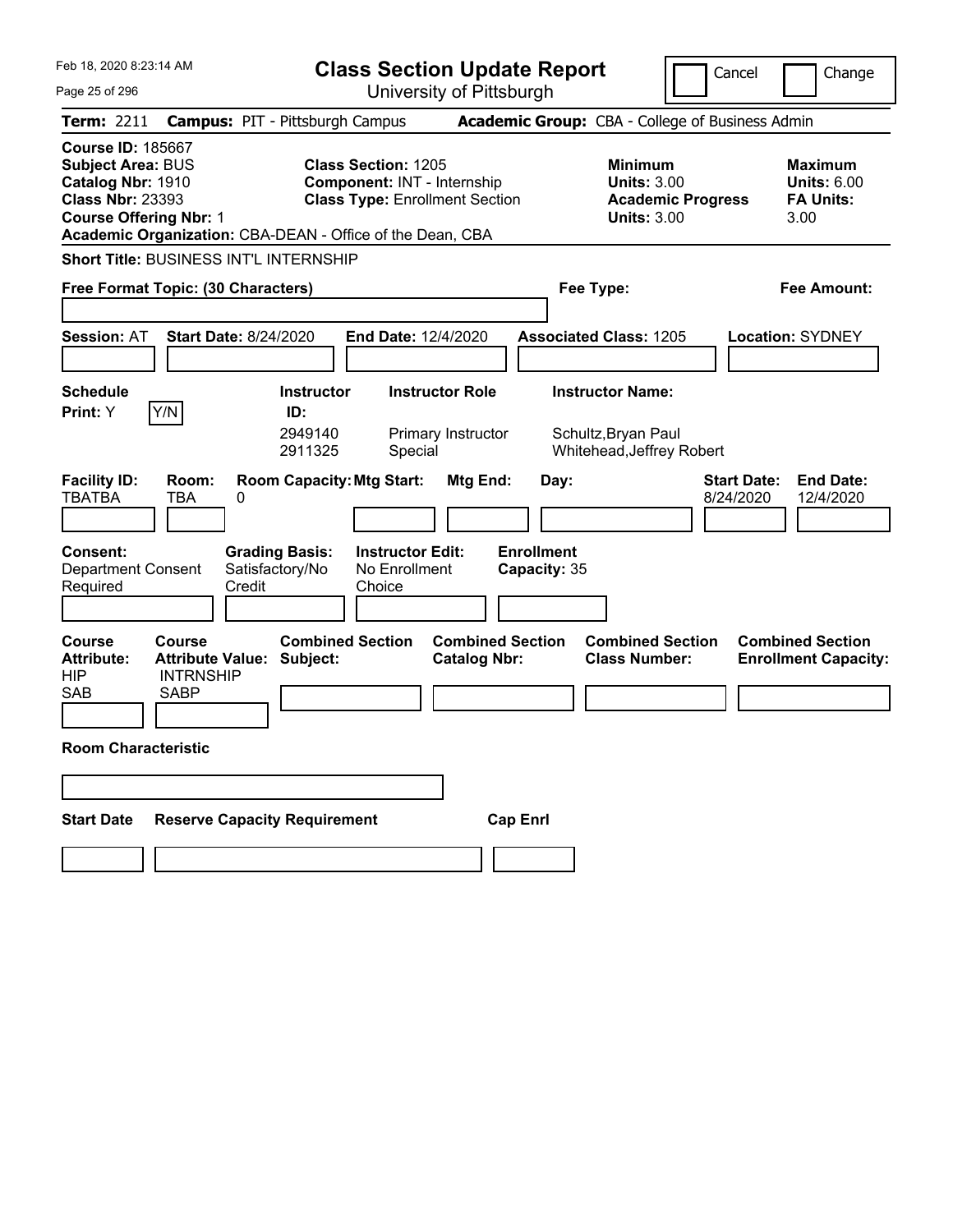| Feb 18, 2020 8:23:14 AM                                                                                                                                                                            | <b>Class Section Update Report</b>                                                                        | Cancel                                                                                 | Change                                                           |
|----------------------------------------------------------------------------------------------------------------------------------------------------------------------------------------------------|-----------------------------------------------------------------------------------------------------------|----------------------------------------------------------------------------------------|------------------------------------------------------------------|
| Page 25 of 296                                                                                                                                                                                     | University of Pittsburgh                                                                                  |                                                                                        |                                                                  |
| <b>Campus: PIT - Pittsburgh Campus</b><br><b>Term: 2211</b>                                                                                                                                        |                                                                                                           | <b>Academic Group:</b> CBA - College of Business Admin                                 |                                                                  |
| <b>Course ID: 185667</b><br><b>Subject Area: BUS</b><br>Catalog Nbr: 1910<br><b>Class Nbr: 23393</b><br><b>Course Offering Nbr: 1</b><br>Academic Organization: CBA-DEAN - Office of the Dean, CBA | <b>Class Section: 1205</b><br>Component: INT - Internship<br><b>Class Type: Enrollment Section</b>        | <b>Minimum</b><br><b>Units: 3.00</b><br><b>Academic Progress</b><br><b>Units: 3.00</b> | <b>Maximum</b><br><b>Units: 6.00</b><br><b>FA Units:</b><br>3.00 |
| Short Title: BUSINESS INT'L INTERNSHIP                                                                                                                                                             |                                                                                                           |                                                                                        |                                                                  |
| Free Format Topic: (30 Characters)                                                                                                                                                                 |                                                                                                           | Fee Type:                                                                              | Fee Amount:                                                      |
| <b>Session: AT</b><br><b>Start Date: 8/24/2020</b>                                                                                                                                                 | <b>End Date: 12/4/2020</b>                                                                                | <b>Associated Class: 1205</b>                                                          | <b>Location: SYDNEY</b>                                          |
| <b>Schedule</b><br>Y/N<br><b>Print:</b> Y                                                                                                                                                          | <b>Instructor Role</b><br><b>Instructor</b><br>ID:<br>2949140<br>Primary Instructor<br>2911325<br>Special | <b>Instructor Name:</b><br>Schultz, Bryan Paul<br>Whitehead, Jeffrey Robert            |                                                                  |
| <b>Facility ID:</b><br>Room:<br><b>TBATBA</b><br><b>TBA</b><br>0                                                                                                                                   | <b>Room Capacity: Mtg Start:</b><br>Mtg End:                                                              | <b>Start Date:</b><br>Day:<br>8/24/2020                                                | End Date:<br>12/4/2020                                           |
| <b>Consent:</b><br><b>Grading Basis:</b><br>Satisfactory/No<br><b>Department Consent</b><br>Required<br>Credit                                                                                     | <b>Instructor Edit:</b><br>No Enrollment<br>Choice                                                        | <b>Enrollment</b><br>Capacity: 35                                                      |                                                                  |
| <b>Course</b><br>Course<br><b>Attribute Value:</b><br><b>Attribute:</b><br><b>HIP</b><br><b>INTRNSHIP</b><br><b>SAB</b><br><b>SABP</b>                                                             | <b>Combined Section</b><br><b>Combined Section</b><br>Subject:<br><b>Catalog Nbr:</b>                     | <b>Combined Section</b><br><b>Class Number:</b>                                        | <b>Combined Section</b><br><b>Enrollment Capacity:</b>           |
| <b>Room Characteristic</b>                                                                                                                                                                         |                                                                                                           |                                                                                        |                                                                  |
|                                                                                                                                                                                                    |                                                                                                           |                                                                                        |                                                                  |
| <b>Reserve Capacity Requirement</b><br><b>Start Date</b>                                                                                                                                           | <b>Cap Enrl</b>                                                                                           |                                                                                        |                                                                  |
|                                                                                                                                                                                                    |                                                                                                           |                                                                                        |                                                                  |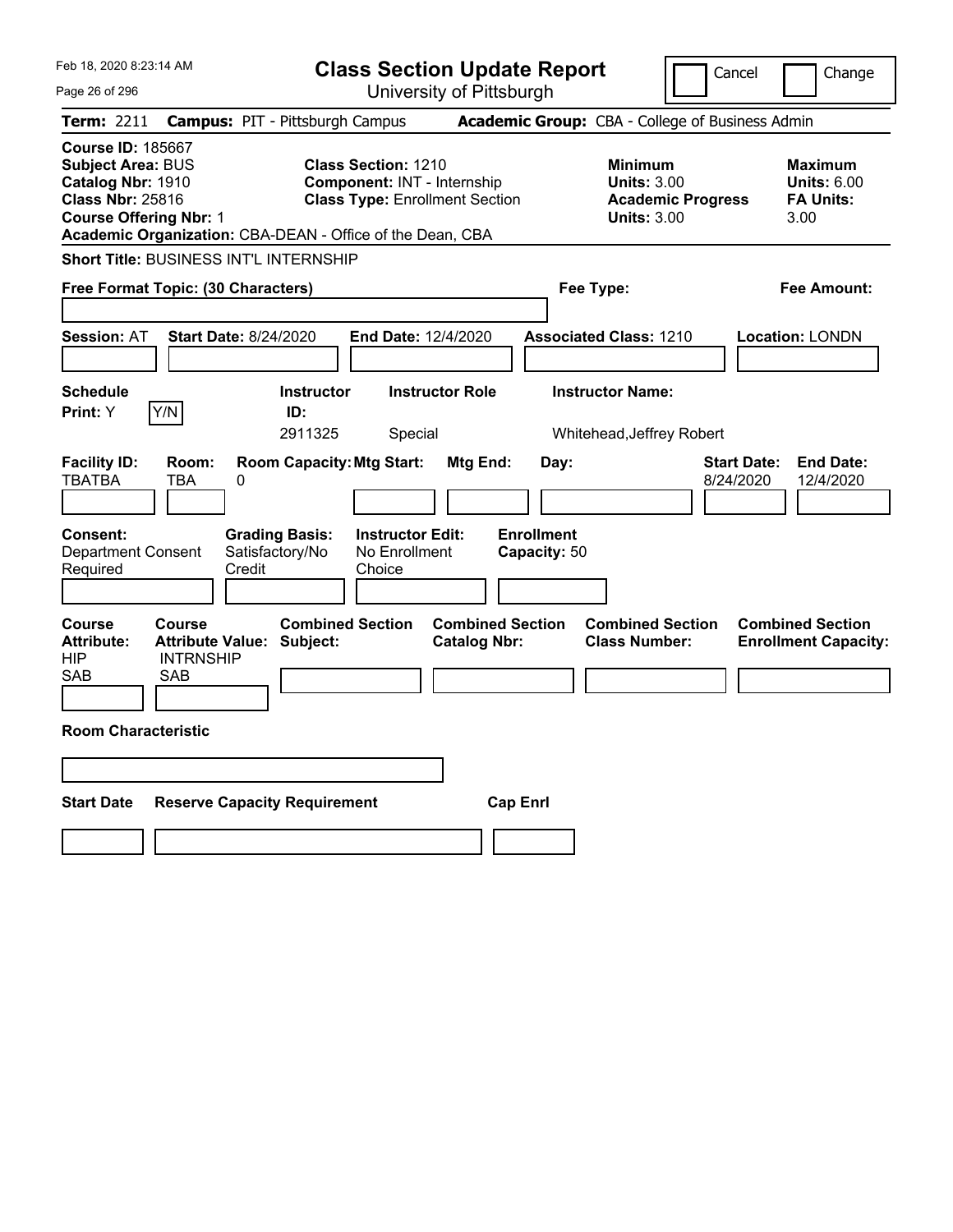| Feb 18, 2020 8:23:14 AM                                                                                                                                                                            | <b>Class Section Update Report</b>                                                                 |                                                                            | Cancel<br>Change                                                                             |
|----------------------------------------------------------------------------------------------------------------------------------------------------------------------------------------------------|----------------------------------------------------------------------------------------------------|----------------------------------------------------------------------------|----------------------------------------------------------------------------------------------|
| Page 26 of 296                                                                                                                                                                                     | University of Pittsburgh                                                                           |                                                                            |                                                                                              |
| Term: 2211                                                                                                                                                                                         | <b>Campus: PIT - Pittsburgh Campus</b>                                                             | Academic Group: CBA - College of Business Admin                            |                                                                                              |
| <b>Course ID: 185667</b><br><b>Subject Area: BUS</b><br>Catalog Nbr: 1910<br><b>Class Nbr: 25816</b><br><b>Course Offering Nbr: 1</b><br>Academic Organization: CBA-DEAN - Office of the Dean, CBA | <b>Class Section: 1210</b><br>Component: INT - Internship<br><b>Class Type: Enrollment Section</b> | <b>Minimum</b><br><b>Units: 3.00</b><br><b>Units: 3.00</b>                 | <b>Maximum</b><br><b>Units: 6.00</b><br><b>Academic Progress</b><br><b>FA Units:</b><br>3.00 |
| Short Title: BUSINESS INT'L INTERNSHIP                                                                                                                                                             |                                                                                                    |                                                                            |                                                                                              |
| Free Format Topic: (30 Characters)                                                                                                                                                                 |                                                                                                    | Fee Type:                                                                  | <b>Fee Amount:</b>                                                                           |
| <b>Session: AT</b><br><b>Start Date: 8/24/2020</b>                                                                                                                                                 | End Date: 12/4/2020                                                                                | <b>Associated Class: 1210</b>                                              | Location: LONDN                                                                              |
| Schedule<br>Print: Y<br>Y/N                                                                                                                                                                        | <b>Instructor Role</b><br><b>Instructor</b><br>ID:<br>2911325<br>Special                           | <b>Instructor Name:</b><br>Whitehead, Jeffrey Robert                       |                                                                                              |
| <b>Facility ID:</b><br>Room:<br><b>TBATBA</b><br>TBA<br>0                                                                                                                                          | <b>Room Capacity: Mtg Start:</b><br>Mtg End:                                                       | Day:                                                                       | <b>Start Date:</b><br><b>End Date:</b><br>8/24/2020<br>12/4/2020                             |
| <b>Consent:</b><br><b>Grading Basis:</b><br><b>Department Consent</b><br>Satisfactory/No<br>Required<br>Credit                                                                                     | <b>Instructor Edit:</b><br>No Enrollment<br>Choice                                                 | <b>Enrollment</b><br>Capacity: 50                                          |                                                                                              |
| <b>Course</b><br><b>Course</b><br><b>Attribute Value: Subject:</b><br><b>Attribute:</b><br><b>INTRNSHIP</b><br>HIP<br>SAB<br><b>SAB</b>                                                            | <b>Combined Section</b><br><b>Catalog Nbr:</b>                                                     | <b>Combined Section</b><br><b>Combined Section</b><br><b>Class Number:</b> | <b>Combined Section</b><br><b>Enrollment Capacity:</b>                                       |
| <b>Room Characteristic</b>                                                                                                                                                                         |                                                                                                    |                                                                            |                                                                                              |
|                                                                                                                                                                                                    |                                                                                                    |                                                                            |                                                                                              |
| <b>Start Date</b><br><b>Reserve Capacity Requirement</b>                                                                                                                                           |                                                                                                    | <b>Cap Enri</b>                                                            |                                                                                              |
|                                                                                                                                                                                                    |                                                                                                    |                                                                            |                                                                                              |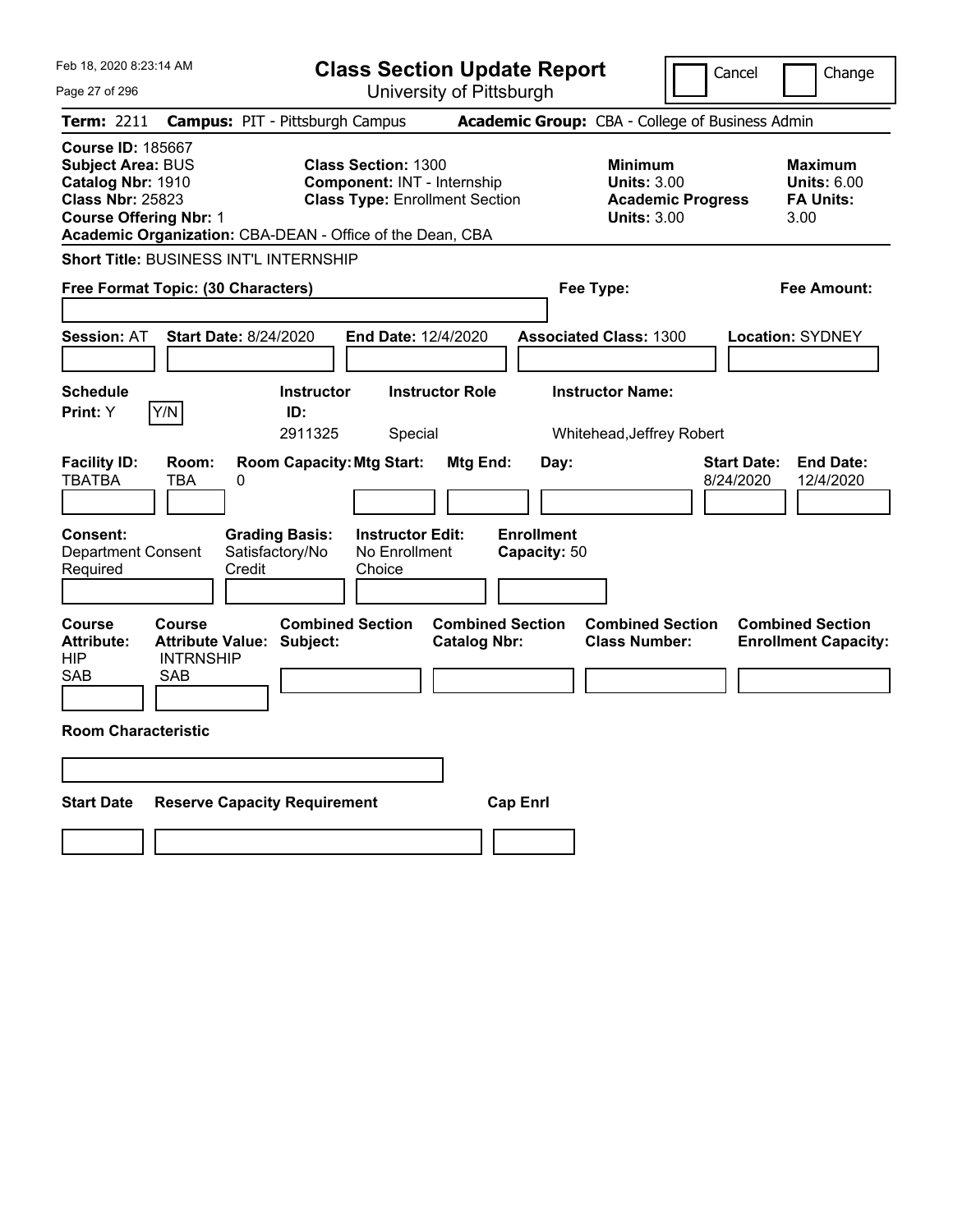| Feb 18, 2020 8:23:14 AM                                                                                                                                                                            | <b>Class Section Update Report</b>                                                                        |                                                                            | Cancel<br>Change                                                                             |
|----------------------------------------------------------------------------------------------------------------------------------------------------------------------------------------------------|-----------------------------------------------------------------------------------------------------------|----------------------------------------------------------------------------|----------------------------------------------------------------------------------------------|
| Page 27 of 296                                                                                                                                                                                     | University of Pittsburgh                                                                                  |                                                                            |                                                                                              |
| Term: 2211                                                                                                                                                                                         | <b>Campus: PIT - Pittsburgh Campus</b>                                                                    | Academic Group: CBA - College of Business Admin                            |                                                                                              |
| <b>Course ID: 185667</b><br><b>Subject Area: BUS</b><br>Catalog Nbr: 1910<br><b>Class Nbr: 25823</b><br><b>Course Offering Nbr: 1</b><br>Academic Organization: CBA-DEAN - Office of the Dean, CBA | <b>Class Section: 1300</b><br><b>Component: INT - Internship</b><br><b>Class Type: Enrollment Section</b> | <b>Minimum</b><br><b>Units: 3.00</b><br><b>Units: 3.00</b>                 | <b>Maximum</b><br><b>Units: 6.00</b><br><b>Academic Progress</b><br><b>FA Units:</b><br>3.00 |
| <b>Short Title: BUSINESS INT'L INTERNSHIP</b>                                                                                                                                                      |                                                                                                           |                                                                            |                                                                                              |
| Free Format Topic: (30 Characters)                                                                                                                                                                 |                                                                                                           | Fee Type:                                                                  | <b>Fee Amount:</b>                                                                           |
| <b>Start Date: 8/24/2020</b><br><b>Session: AT</b>                                                                                                                                                 | <b>End Date: 12/4/2020</b>                                                                                | <b>Associated Class: 1300</b>                                              | <b>Location: SYDNEY</b>                                                                      |
| <b>Schedule</b><br>Y/N<br>Print: Y                                                                                                                                                                 | <b>Instructor Role</b><br><b>Instructor</b><br>ID:<br>2911325<br>Special                                  | <b>Instructor Name:</b><br>Whitehead, Jeffrey Robert                       |                                                                                              |
| <b>Facility ID:</b><br>Room:<br>TBATBA<br>TBA<br>0                                                                                                                                                 | <b>Room Capacity: Mtg Start:</b><br>Mtg End:                                                              | Day:                                                                       | <b>End Date:</b><br><b>Start Date:</b><br>8/24/2020<br>12/4/2020                             |
| <b>Grading Basis:</b><br><b>Consent:</b><br><b>Department Consent</b><br>Satisfactory/No<br>Required<br>Credit                                                                                     | <b>Instructor Edit:</b><br>No Enrollment<br>Choice                                                        | <b>Enrollment</b><br>Capacity: 50                                          |                                                                                              |
| <b>Course</b><br>Course<br><b>Attribute:</b><br><b>Attribute Value:</b><br><b>INTRNSHIP</b><br>HIP<br>SAB<br>SAB                                                                                   | <b>Combined Section</b><br>Subject:<br><b>Catalog Nbr:</b>                                                | <b>Combined Section</b><br><b>Combined Section</b><br><b>Class Number:</b> | <b>Combined Section</b><br><b>Enrollment Capacity:</b>                                       |
| <b>Room Characteristic</b>                                                                                                                                                                         |                                                                                                           |                                                                            |                                                                                              |
|                                                                                                                                                                                                    |                                                                                                           |                                                                            |                                                                                              |
| <b>Start Date</b><br><b>Reserve Capacity Requirement</b>                                                                                                                                           |                                                                                                           | <b>Cap Enrl</b>                                                            |                                                                                              |
|                                                                                                                                                                                                    |                                                                                                           |                                                                            |                                                                                              |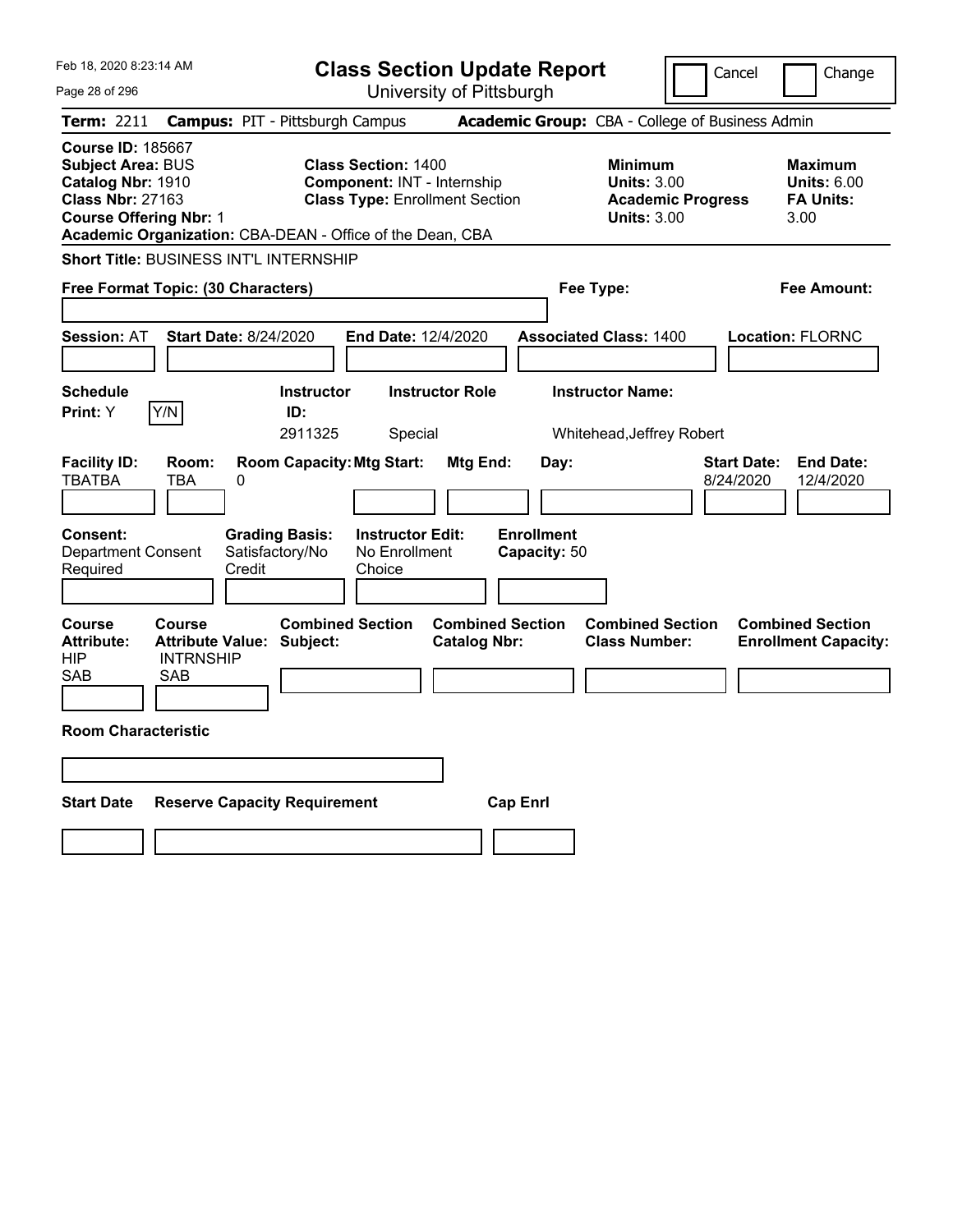| Feb 18, 2020 8:23:14 AM                                                                                                                                                                            | <b>Class Section Update Report</b>                                                                        |                                                            | Cancel                          | Change                                                           |
|----------------------------------------------------------------------------------------------------------------------------------------------------------------------------------------------------|-----------------------------------------------------------------------------------------------------------|------------------------------------------------------------|---------------------------------|------------------------------------------------------------------|
| Page 28 of 296                                                                                                                                                                                     | University of Pittsburgh                                                                                  |                                                            |                                 |                                                                  |
| <b>Term: 2211</b>                                                                                                                                                                                  | <b>Campus: PIT - Pittsburgh Campus</b>                                                                    | Academic Group: CBA - College of Business Admin            |                                 |                                                                  |
| <b>Course ID: 185667</b><br><b>Subject Area: BUS</b><br>Catalog Nbr: 1910<br><b>Class Nbr: 27163</b><br><b>Course Offering Nbr: 1</b><br>Academic Organization: CBA-DEAN - Office of the Dean, CBA | <b>Class Section: 1400</b><br><b>Component: INT - Internship</b><br><b>Class Type: Enrollment Section</b> | <b>Minimum</b><br><b>Units: 3.00</b><br><b>Units: 3.00</b> | <b>Academic Progress</b>        | <b>Maximum</b><br><b>Units: 6.00</b><br><b>FA Units:</b><br>3.00 |
| <b>Short Title: BUSINESS INT'L INTERNSHIP</b>                                                                                                                                                      |                                                                                                           |                                                            |                                 |                                                                  |
| Free Format Topic: (30 Characters)                                                                                                                                                                 |                                                                                                           | Fee Type:                                                  |                                 | Fee Amount:                                                      |
| <b>Start Date: 8/24/2020</b><br><b>Session: AT</b>                                                                                                                                                 | End Date: 12/4/2020                                                                                       | <b>Associated Class: 1400</b>                              |                                 | <b>Location: FLORNC</b>                                          |
| <b>Schedule</b><br>Y/N<br>Print: Y                                                                                                                                                                 | <b>Instructor Role</b><br><b>Instructor</b><br>ID:<br>2911325<br>Special                                  | <b>Instructor Name:</b><br>Whitehead, Jeffrey Robert       |                                 |                                                                  |
| <b>Facility ID:</b><br>Room:<br><b>TBATBA</b><br>TBA<br>0                                                                                                                                          | <b>Room Capacity: Mtg Start:</b><br>Mtg End:                                                              | Day:                                                       | <b>Start Date:</b><br>8/24/2020 | <b>End Date:</b><br>12/4/2020                                    |
| Consent:<br><b>Grading Basis:</b><br><b>Department Consent</b><br>Satisfactory/No<br>Required<br>Credit                                                                                            | <b>Instructor Edit:</b><br>No Enrollment<br>Choice                                                        | <b>Enrollment</b><br>Capacity: 50                          |                                 |                                                                  |
| Course<br>Course<br><b>Attribute Value:</b><br><b>Attribute:</b><br><b>INTRNSHIP</b><br>HIP<br>SAB<br><b>SAB</b>                                                                                   | <b>Combined Section</b><br>Subject:<br><b>Catalog Nbr:</b>                                                | <b>Combined Section</b><br><b>Class Number:</b>            | <b>Combined Section</b>         | <b>Combined Section</b><br><b>Enrollment Capacity:</b>           |
| <b>Room Characteristic</b>                                                                                                                                                                         |                                                                                                           |                                                            |                                 |                                                                  |
|                                                                                                                                                                                                    |                                                                                                           |                                                            |                                 |                                                                  |
| <b>Start Date</b><br><b>Reserve Capacity Requirement</b>                                                                                                                                           |                                                                                                           | <b>Cap Enri</b>                                            |                                 |                                                                  |
|                                                                                                                                                                                                    |                                                                                                           |                                                            |                                 |                                                                  |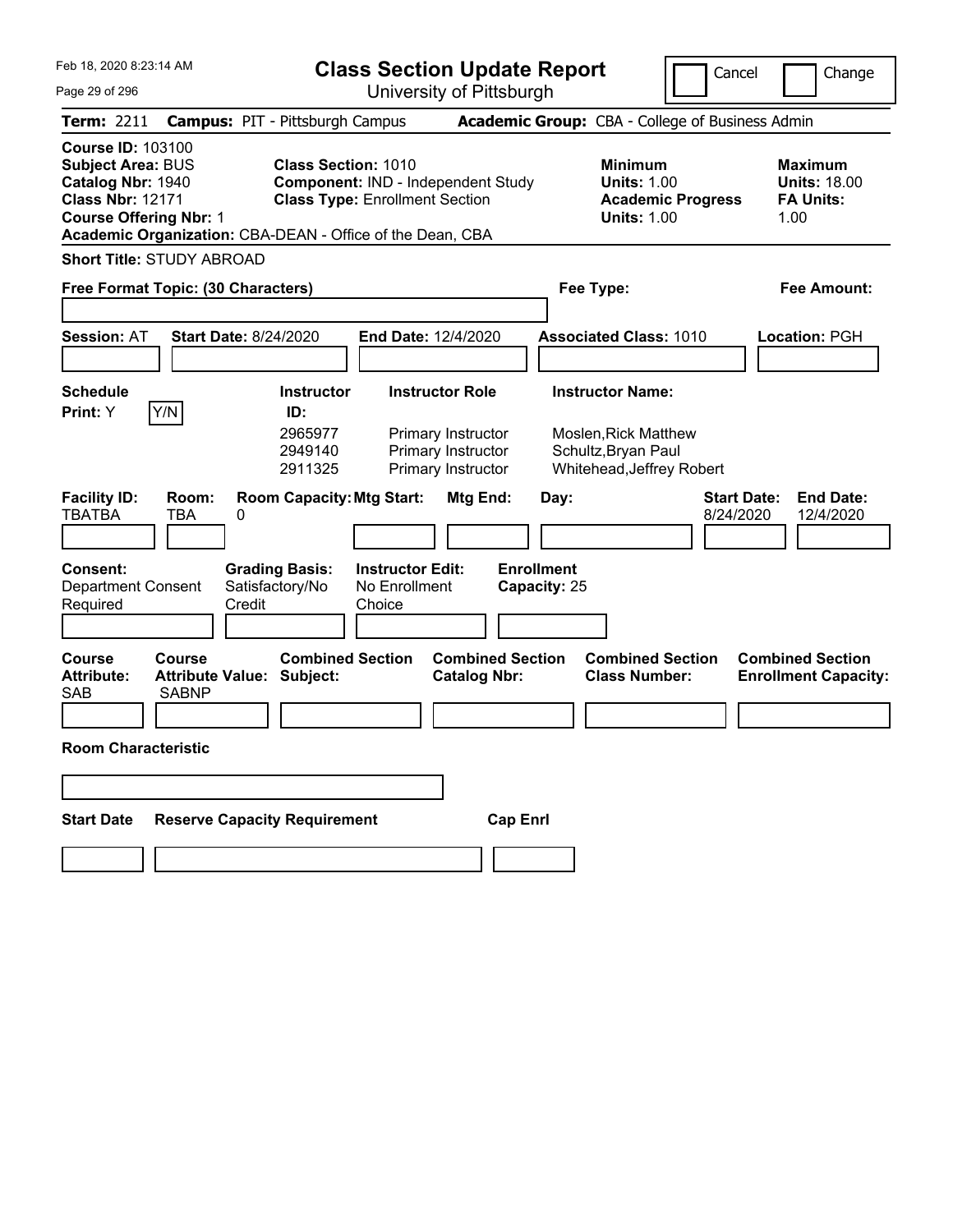Feb 18, 2020 8:23:14 AM

**Class Section Update Report**

Cancel **I** Change

| Page 29 of 296                                                                                                                                                                                     | University of Pittsburgh                                                                                                                |                                                                                                     |                                                                   |
|----------------------------------------------------------------------------------------------------------------------------------------------------------------------------------------------------|-----------------------------------------------------------------------------------------------------------------------------------------|-----------------------------------------------------------------------------------------------------|-------------------------------------------------------------------|
| <b>Term: 2211</b><br><b>Campus: PIT - Pittsburgh Campus</b>                                                                                                                                        |                                                                                                                                         | Academic Group: CBA - College of Business Admin                                                     |                                                                   |
| <b>Course ID: 103100</b><br><b>Subject Area: BUS</b><br>Catalog Nbr: 1940<br><b>Class Nbr: 12171</b><br><b>Course Offering Nbr: 1</b><br>Academic Organization: CBA-DEAN - Office of the Dean, CBA | <b>Class Section: 1010</b><br>Component: IND - Independent Study<br><b>Class Type: Enrollment Section</b>                               | Minimum<br><b>Units: 1.00</b><br><b>Academic Progress</b><br><b>Units: 1.00</b>                     | <b>Maximum</b><br><b>Units: 18.00</b><br><b>FA Units:</b><br>1.00 |
| <b>Short Title: STUDY ABROAD</b>                                                                                                                                                                   |                                                                                                                                         |                                                                                                     |                                                                   |
| Free Format Topic: (30 Characters)                                                                                                                                                                 |                                                                                                                                         | Fee Type:                                                                                           | Fee Amount:                                                       |
| <b>Start Date: 8/24/2020</b><br><b>Session: AT</b>                                                                                                                                                 | <b>End Date: 12/4/2020</b>                                                                                                              | <b>Associated Class: 1010</b>                                                                       | <b>Location: PGH</b>                                              |
| <b>Schedule</b><br><b>Instructor</b><br>Y/N<br>Print: Y<br>ID:<br>2965977<br>2949140<br>2911325                                                                                                    | <b>Instructor Role</b><br>Primary Instructor<br>Primary Instructor<br>Primary Instructor                                                | <b>Instructor Name:</b><br>Moslen, Rick Matthew<br>Schultz, Bryan Paul<br>Whitehead, Jeffrey Robert |                                                                   |
| <b>Facility ID:</b><br>Room:<br><b>TBATBA</b><br><b>TBA</b><br>0<br><b>Grading Basis:</b><br><b>Consent:</b><br>Satisfactory/No<br><b>Department Consent</b><br>Required<br>Credit                 | <b>Room Capacity: Mtg Start:</b><br>Mtg End:<br><b>Enrollment</b><br><b>Instructor Edit:</b><br>No Enrollment<br>Capacity: 25<br>Choice | <b>Start Date:</b><br>Day:<br>8/24/2020                                                             | <b>End Date:</b><br>12/4/2020                                     |
| Course<br>Course<br><b>Attribute:</b><br><b>Attribute Value: Subject:</b><br>SAB<br><b>SABNP</b>                                                                                                   | <b>Combined Section</b><br><b>Combined Section</b><br><b>Catalog Nbr:</b>                                                               | <b>Combined Section</b><br><b>Class Number:</b>                                                     | <b>Combined Section</b><br><b>Enrollment Capacity:</b>            |
| <b>Room Characteristic</b>                                                                                                                                                                         |                                                                                                                                         |                                                                                                     |                                                                   |
|                                                                                                                                                                                                    |                                                                                                                                         |                                                                                                     |                                                                   |
| <b>Start Date</b><br><b>Reserve Capacity Requirement</b>                                                                                                                                           | <b>Cap Enrl</b>                                                                                                                         |                                                                                                     |                                                                   |
|                                                                                                                                                                                                    |                                                                                                                                         |                                                                                                     |                                                                   |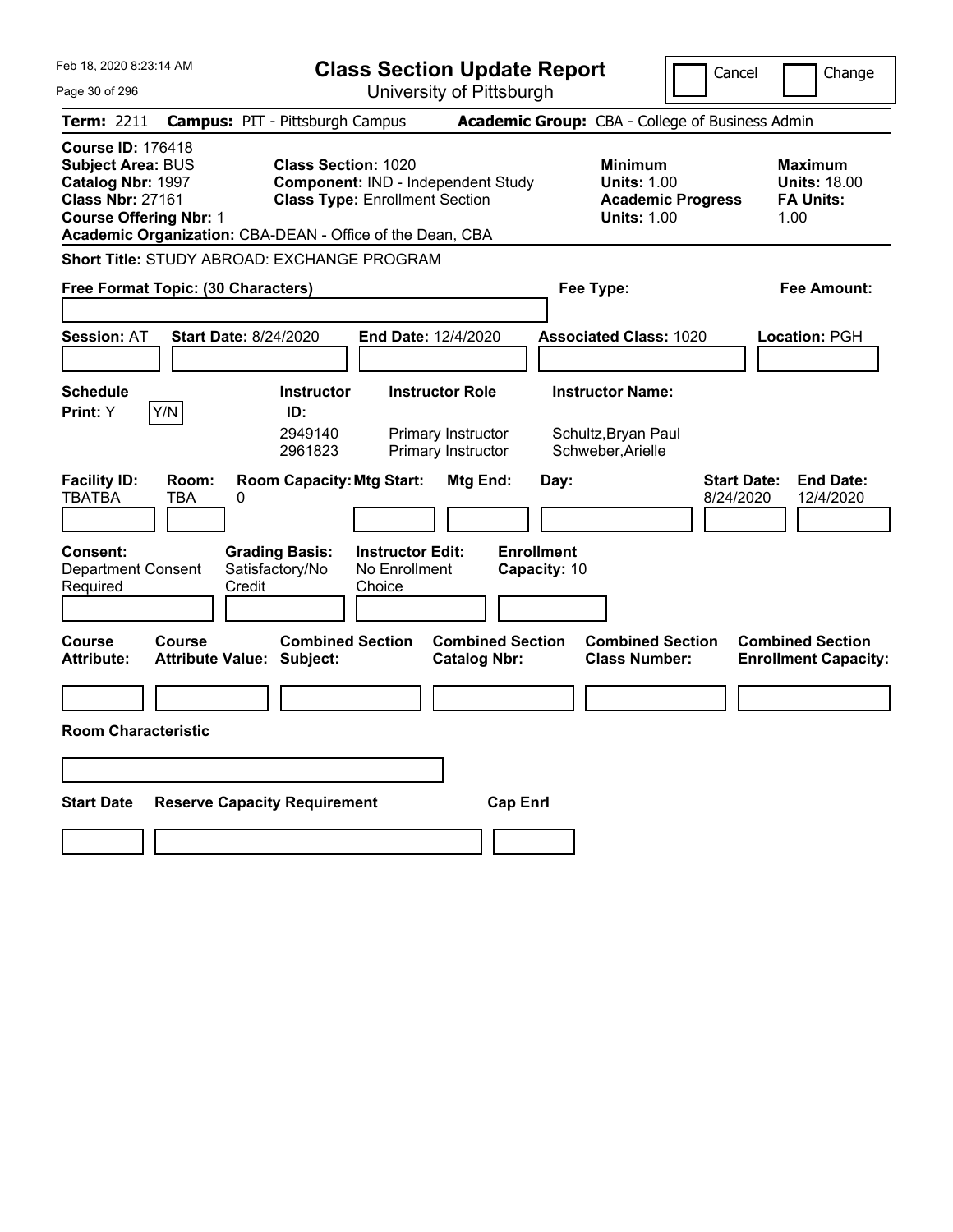| Feb 18, 2020 8:23:14 AM                                                                                                                                                                            |                                                                                                                  | <b>Class Section Update Report</b>                                 |                                                                                        | Cancel<br>Change                                                  |
|----------------------------------------------------------------------------------------------------------------------------------------------------------------------------------------------------|------------------------------------------------------------------------------------------------------------------|--------------------------------------------------------------------|----------------------------------------------------------------------------------------|-------------------------------------------------------------------|
| Page 30 of 296                                                                                                                                                                                     |                                                                                                                  | University of Pittsburgh                                           |                                                                                        |                                                                   |
| Term: 2211                                                                                                                                                                                         | <b>Campus: PIT - Pittsburgh Campus</b>                                                                           |                                                                    | Academic Group: CBA - College of Business Admin                                        |                                                                   |
| <b>Course ID: 176418</b><br><b>Subject Area: BUS</b><br>Catalog Nbr: 1997<br><b>Class Nbr: 27161</b><br><b>Course Offering Nbr: 1</b><br>Academic Organization: CBA-DEAN - Office of the Dean, CBA | <b>Class Section: 1020</b><br><b>Component: IND - Independent Study</b><br><b>Class Type: Enrollment Section</b> |                                                                    | <b>Minimum</b><br><b>Units: 1.00</b><br><b>Academic Progress</b><br><b>Units: 1.00</b> | <b>Maximum</b><br><b>Units: 18.00</b><br><b>FA Units:</b><br>1.00 |
| <b>Short Title: STUDY ABROAD: EXCHANGE PROGRAM</b>                                                                                                                                                 |                                                                                                                  |                                                                    |                                                                                        |                                                                   |
| Free Format Topic: (30 Characters)                                                                                                                                                                 |                                                                                                                  |                                                                    | Fee Type:                                                                              | Fee Amount:                                                       |
| <b>Session: AT</b><br><b>Start Date: 8/24/2020</b>                                                                                                                                                 |                                                                                                                  | End Date: 12/4/2020                                                | <b>Associated Class: 1020</b>                                                          | Location: PGH                                                     |
| <b>Schedule</b><br>Y/N<br>Print: Y                                                                                                                                                                 | <b>Instructor</b><br>ID:<br>2949140<br>2961823                                                                   | <b>Instructor Role</b><br>Primary Instructor<br>Primary Instructor | <b>Instructor Name:</b><br>Schultz, Bryan Paul<br>Schweber, Arielle                    |                                                                   |
| <b>Facility ID:</b><br>Room:<br><b>TBATBA</b><br>TBA<br>0                                                                                                                                          | <b>Room Capacity: Mtg Start:</b>                                                                                 | Mtg End:<br>Day:                                                   |                                                                                        | <b>Start Date:</b><br><b>End Date:</b><br>12/4/2020<br>8/24/2020  |
| <b>Consent:</b><br><b>Department Consent</b><br>Required<br>Credit                                                                                                                                 | <b>Grading Basis:</b><br><b>Instructor Edit:</b><br>Satisfactory/No<br>No Enrollment<br>Choice                   | <b>Enrollment</b><br>Capacity: 10                                  |                                                                                        |                                                                   |
| <b>Course</b><br>Course<br><b>Attribute:</b>                                                                                                                                                       | <b>Combined Section</b><br><b>Attribute Value: Subject:</b>                                                      | <b>Combined Section</b><br><b>Catalog Nbr:</b>                     | <b>Combined Section</b><br><b>Class Number:</b>                                        | <b>Combined Section</b><br><b>Enrollment Capacity:</b>            |
|                                                                                                                                                                                                    |                                                                                                                  |                                                                    |                                                                                        |                                                                   |
| <b>Room Characteristic</b>                                                                                                                                                                         |                                                                                                                  |                                                                    |                                                                                        |                                                                   |
|                                                                                                                                                                                                    |                                                                                                                  |                                                                    |                                                                                        |                                                                   |
| <b>Start Date</b>                                                                                                                                                                                  | <b>Reserve Capacity Requirement</b>                                                                              | <b>Cap Enrl</b>                                                    |                                                                                        |                                                                   |
|                                                                                                                                                                                                    |                                                                                                                  |                                                                    |                                                                                        |                                                                   |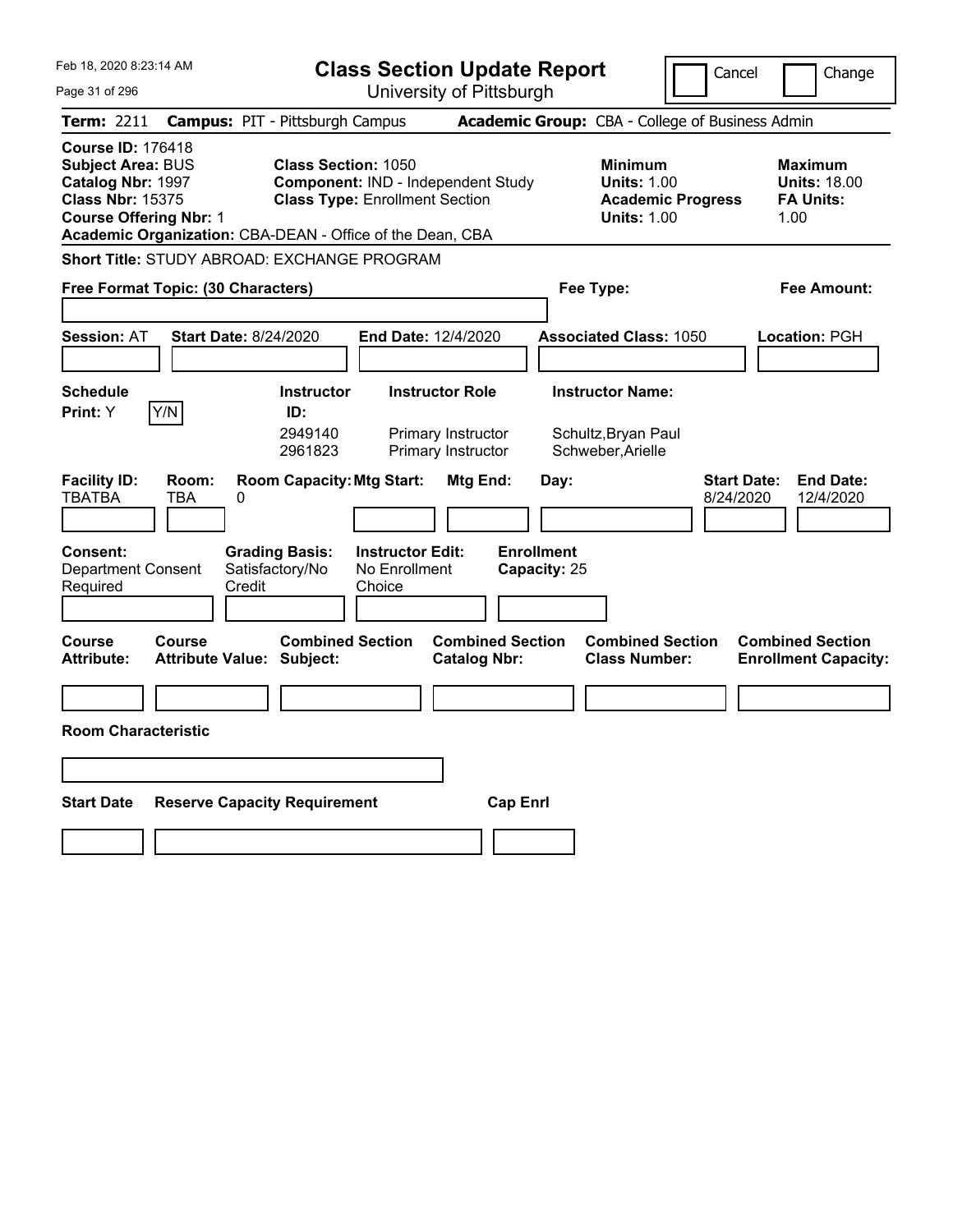| Feb 18, 2020 8:23:14 AM                                                                                                                                                                            |                                                                     |                                                    | <b>Class Section Update Report</b>             |                                   |                                                                     | Cancel                                          | Change                                                            |
|----------------------------------------------------------------------------------------------------------------------------------------------------------------------------------------------------|---------------------------------------------------------------------|----------------------------------------------------|------------------------------------------------|-----------------------------------|---------------------------------------------------------------------|-------------------------------------------------|-------------------------------------------------------------------|
| Page 31 of 296                                                                                                                                                                                     |                                                                     |                                                    | University of Pittsburgh                       |                                   |                                                                     |                                                 |                                                                   |
| Term: 2211                                                                                                                                                                                         | <b>Campus: PIT - Pittsburgh Campus</b>                              |                                                    |                                                |                                   |                                                                     | Academic Group: CBA - College of Business Admin |                                                                   |
| <b>Course ID: 176418</b><br><b>Subject Area: BUS</b><br>Catalog Nbr: 1997<br><b>Class Nbr: 15375</b><br><b>Course Offering Nbr: 1</b><br>Academic Organization: CBA-DEAN - Office of the Dean, CBA | <b>Class Section: 1050</b><br><b>Class Type: Enrollment Section</b> |                                                    | Component: IND - Independent Study             |                                   | <b>Minimum</b><br><b>Units: 1.00</b><br><b>Units: 1.00</b>          | <b>Academic Progress</b>                        | <b>Maximum</b><br><b>Units: 18.00</b><br><b>FA Units:</b><br>1.00 |
| <b>Short Title: STUDY ABROAD: EXCHANGE PROGRAM</b>                                                                                                                                                 |                                                                     |                                                    |                                                |                                   |                                                                     |                                                 |                                                                   |
| Free Format Topic: (30 Characters)                                                                                                                                                                 |                                                                     |                                                    |                                                |                                   | Fee Type:                                                           |                                                 | Fee Amount:                                                       |
| <b>Session: AT</b>                                                                                                                                                                                 | <b>Start Date: 8/24/2020</b>                                        | End Date: 12/4/2020                                |                                                |                                   | <b>Associated Class: 1050</b>                                       |                                                 | Location: PGH                                                     |
| <b>Schedule</b><br>Y/N<br>Print: Y                                                                                                                                                                 | <b>Instructor</b><br>ID:<br>2949140<br>2961823                      | <b>Instructor Role</b>                             | Primary Instructor<br>Primary Instructor       |                                   | <b>Instructor Name:</b><br>Schultz, Bryan Paul<br>Schweber, Arielle |                                                 |                                                                   |
| <b>Facility ID:</b><br>Room:<br><b>TBATBA</b><br>TBA<br>0                                                                                                                                          | <b>Room Capacity: Mtg Start:</b>                                    |                                                    | Mtg End:                                       | Day:                              |                                                                     | <b>Start Date:</b><br>8/24/2020                 | <b>End Date:</b><br>12/4/2020                                     |
| <b>Consent:</b><br><b>Department Consent</b><br>Required                                                                                                                                           | <b>Grading Basis:</b><br>Satisfactory/No<br>Credit                  | <b>Instructor Edit:</b><br>No Enrollment<br>Choice |                                                | <b>Enrollment</b><br>Capacity: 25 |                                                                     |                                                 |                                                                   |
| <b>Course</b><br>Course<br><b>Attribute:</b>                                                                                                                                                       | <b>Combined Section</b><br><b>Attribute Value: Subject:</b>         |                                                    | <b>Combined Section</b><br><b>Catalog Nbr:</b> |                                   | <b>Combined Section</b><br><b>Class Number:</b>                     |                                                 | <b>Combined Section</b><br><b>Enrollment Capacity:</b>            |
|                                                                                                                                                                                                    |                                                                     |                                                    |                                                |                                   |                                                                     |                                                 |                                                                   |
| <b>Room Characteristic</b>                                                                                                                                                                         |                                                                     |                                                    |                                                |                                   |                                                                     |                                                 |                                                                   |
|                                                                                                                                                                                                    |                                                                     |                                                    |                                                |                                   |                                                                     |                                                 |                                                                   |
| <b>Start Date</b>                                                                                                                                                                                  | <b>Reserve Capacity Requirement</b>                                 |                                                    | <b>Cap Enrl</b>                                |                                   |                                                                     |                                                 |                                                                   |
|                                                                                                                                                                                                    |                                                                     |                                                    |                                                |                                   |                                                                     |                                                 |                                                                   |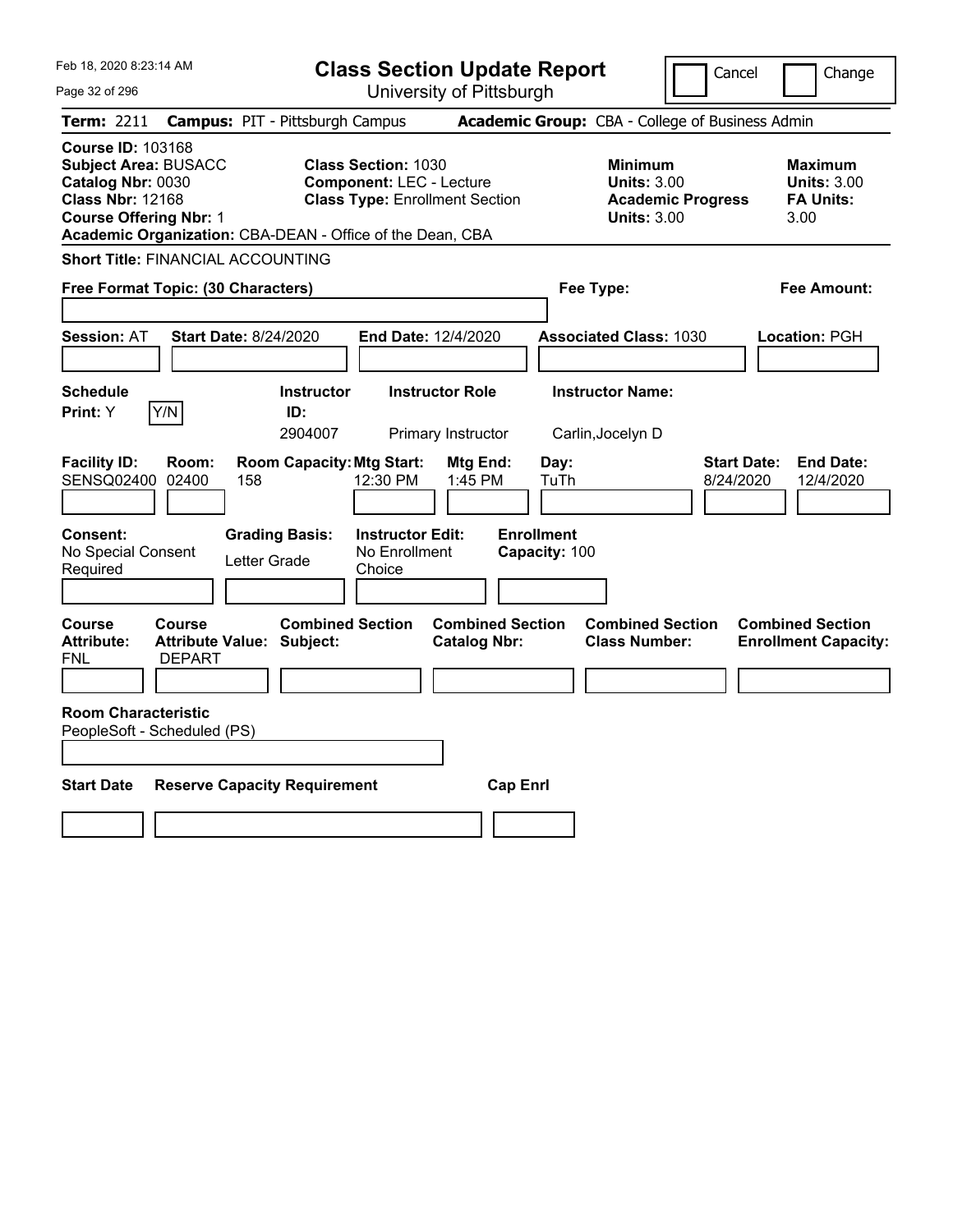| Feb 18, 2020 8:23:14 AM                                                                                                                                                                               |                                                             | <b>Class Section Update Report</b>                                                                     |                                    |                                                                                        | Cancel<br>Change                                                 |
|-------------------------------------------------------------------------------------------------------------------------------------------------------------------------------------------------------|-------------------------------------------------------------|--------------------------------------------------------------------------------------------------------|------------------------------------|----------------------------------------------------------------------------------------|------------------------------------------------------------------|
| Page 32 of 296                                                                                                                                                                                        |                                                             | University of Pittsburgh                                                                               |                                    |                                                                                        |                                                                  |
| Term: 2211                                                                                                                                                                                            | <b>Campus: PIT - Pittsburgh Campus</b>                      |                                                                                                        |                                    | Academic Group: CBA - College of Business Admin                                        |                                                                  |
| <b>Course ID: 103168</b><br><b>Subject Area: BUSACC</b><br>Catalog Nbr: 0030<br><b>Class Nbr: 12168</b><br><b>Course Offering Nbr: 1</b><br>Academic Organization: CBA-DEAN - Office of the Dean, CBA |                                                             | <b>Class Section: 1030</b><br><b>Component: LEC - Lecture</b><br><b>Class Type: Enrollment Section</b> |                                    | <b>Minimum</b><br><b>Units: 3.00</b><br><b>Academic Progress</b><br><b>Units: 3.00</b> | <b>Maximum</b><br><b>Units: 3.00</b><br><b>FA Units:</b><br>3.00 |
| <b>Short Title: FINANCIAL ACCOUNTING</b>                                                                                                                                                              |                                                             |                                                                                                        |                                    |                                                                                        |                                                                  |
| Free Format Topic: (30 Characters)                                                                                                                                                                    |                                                             |                                                                                                        |                                    | Fee Type:                                                                              | Fee Amount:                                                      |
| <b>Session: AT</b>                                                                                                                                                                                    | <b>Start Date: 8/24/2020</b>                                | <b>End Date: 12/4/2020</b>                                                                             |                                    | <b>Associated Class: 1030</b>                                                          | Location: PGH                                                    |
| <b>Schedule</b><br>Y/N<br><b>Print:</b> Y                                                                                                                                                             | <b>Instructor</b><br>ID:<br>2904007                         | <b>Instructor Role</b><br>Primary Instructor                                                           |                                    | <b>Instructor Name:</b><br>Carlin, Jocelyn D                                           |                                                                  |
| <b>Facility ID:</b><br>Room:<br>SENSQ02400 02400                                                                                                                                                      | <b>Room Capacity: Mtg Start:</b><br>158                     | 12:30 PM<br>1:45 PM                                                                                    | Mtg End:<br>Day:<br>TuTh           |                                                                                        | <b>Start Date:</b><br><b>End Date:</b><br>8/24/2020<br>12/4/2020 |
| Consent:<br>No Special Consent<br>Required                                                                                                                                                            | <b>Grading Basis:</b><br>Letter Grade                       | <b>Instructor Edit:</b><br>No Enrollment<br>Choice                                                     | <b>Enrollment</b><br>Capacity: 100 |                                                                                        |                                                                  |
| <b>Course</b><br><b>Course</b><br><b>Attribute:</b><br>FNL<br><b>DEPART</b>                                                                                                                           | <b>Combined Section</b><br><b>Attribute Value: Subject:</b> | <b>Catalog Nbr:</b>                                                                                    | <b>Combined Section</b>            | <b>Combined Section</b><br><b>Class Number:</b>                                        | <b>Combined Section</b><br><b>Enrollment Capacity:</b>           |
| <b>Room Characteristic</b><br>PeopleSoft - Scheduled (PS)                                                                                                                                             |                                                             |                                                                                                        |                                    |                                                                                        |                                                                  |
| <b>Start Date</b>                                                                                                                                                                                     | <b>Reserve Capacity Requirement</b>                         |                                                                                                        | <b>Cap Enrl</b>                    |                                                                                        |                                                                  |
|                                                                                                                                                                                                       |                                                             |                                                                                                        |                                    |                                                                                        |                                                                  |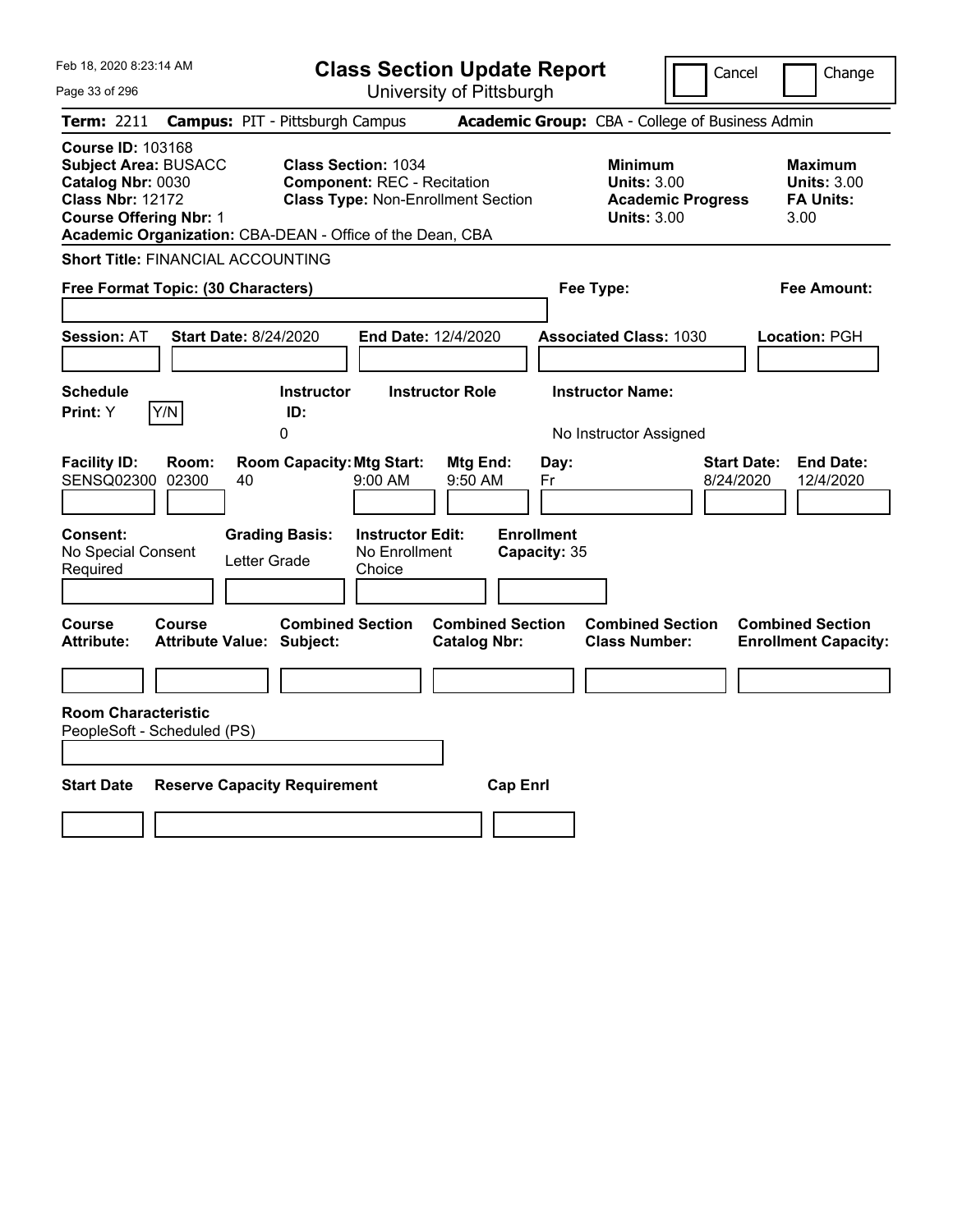| Feb 18, 2020 8:23:14 AM<br>Page 33 of 296                                                                                                                                                             | <b>Class Section Update Report</b><br>University of Pittsburgh                                                | Cancel                                                                                 | Change                                                           |
|-------------------------------------------------------------------------------------------------------------------------------------------------------------------------------------------------------|---------------------------------------------------------------------------------------------------------------|----------------------------------------------------------------------------------------|------------------------------------------------------------------|
| Term: 2211<br><b>Campus: PIT - Pittsburgh Campus</b>                                                                                                                                                  |                                                                                                               | Academic Group: CBA - College of Business Admin                                        |                                                                  |
| <b>Course ID: 103168</b><br><b>Subject Area: BUSACC</b><br>Catalog Nbr: 0030<br><b>Class Nbr: 12172</b><br><b>Course Offering Nbr: 1</b><br>Academic Organization: CBA-DEAN - Office of the Dean, CBA | <b>Class Section: 1034</b><br><b>Component: REC - Recitation</b><br><b>Class Type: Non-Enrollment Section</b> | <b>Minimum</b><br><b>Units: 3.00</b><br><b>Academic Progress</b><br><b>Units: 3.00</b> | <b>Maximum</b><br><b>Units: 3.00</b><br><b>FA Units:</b><br>3.00 |
| <b>Short Title: FINANCIAL ACCOUNTING</b>                                                                                                                                                              |                                                                                                               |                                                                                        |                                                                  |
| Free Format Topic: (30 Characters)                                                                                                                                                                    |                                                                                                               | Fee Type:                                                                              | <b>Fee Amount:</b>                                               |
| <b>Session: AT</b><br><b>Start Date: 8/24/2020</b>                                                                                                                                                    | End Date: 12/4/2020                                                                                           | <b>Associated Class: 1030</b>                                                          | Location: PGH                                                    |
| <b>Schedule</b><br><b>Instructor</b>                                                                                                                                                                  | <b>Instructor Role</b>                                                                                        | <b>Instructor Name:</b>                                                                |                                                                  |
| Y/N<br>Print: Y<br>ID:<br>0                                                                                                                                                                           |                                                                                                               | No Instructor Assigned                                                                 |                                                                  |
| <b>Facility ID:</b><br>Room:<br>SENSQ02300<br>02300<br>40                                                                                                                                             | <b>Room Capacity: Mtg Start:</b><br>Mtg End:<br>9:00 AM<br>9:50 AM<br>Fr                                      | <b>Start Date:</b><br>Day:<br>8/24/2020                                                | <b>End Date:</b><br>12/4/2020                                    |
| Consent:<br><b>Grading Basis:</b><br>No Special Consent<br>Letter Grade<br>Required                                                                                                                   | <b>Enrollment</b><br><b>Instructor Edit:</b><br>No Enrollment<br>Capacity: 35<br>Choice                       |                                                                                        |                                                                  |
| Course<br>Course<br><b>Attribute:</b><br><b>Attribute Value: Subject:</b>                                                                                                                             | <b>Combined Section</b><br><b>Combined Section</b><br><b>Catalog Nbr:</b>                                     | <b>Combined Section</b><br><b>Class Number:</b>                                        | <b>Combined Section</b><br><b>Enrollment Capacity:</b>           |
|                                                                                                                                                                                                       |                                                                                                               |                                                                                        |                                                                  |
| <b>Room Characteristic</b><br>PeopleSoft - Scheduled (PS)                                                                                                                                             |                                                                                                               |                                                                                        |                                                                  |
|                                                                                                                                                                                                       |                                                                                                               |                                                                                        |                                                                  |
| <b>Start Date</b><br><b>Reserve Capacity Requirement</b>                                                                                                                                              | <b>Cap Enrl</b>                                                                                               |                                                                                        |                                                                  |
|                                                                                                                                                                                                       |                                                                                                               |                                                                                        |                                                                  |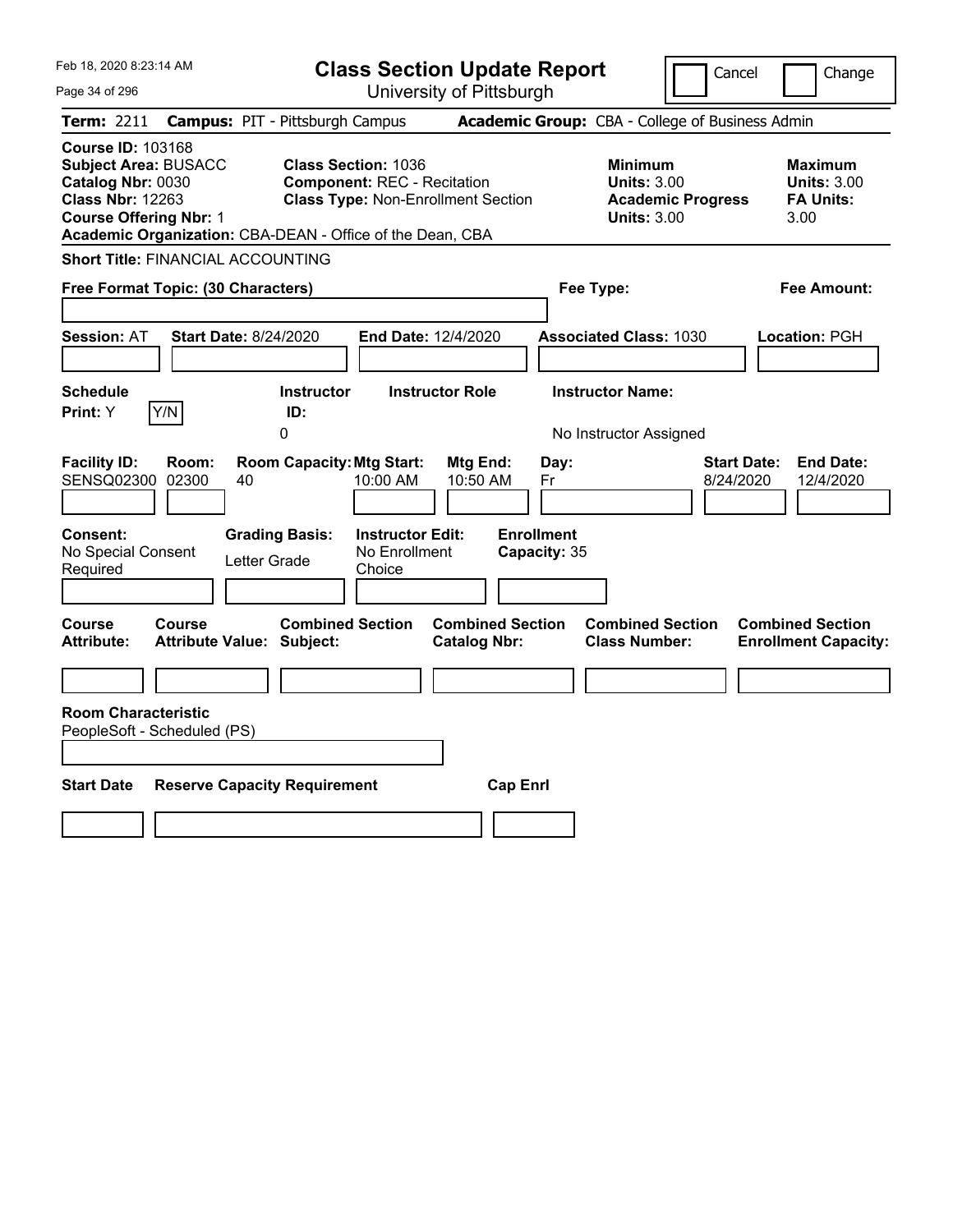| Feb 18, 2020 8:23:14 AM<br>Page 34 of 296                                                                                                                                                             | <b>Class Section Update Report</b><br>University of Pittsburgh                                                | Cancel                                                                                 | Change                                                           |
|-------------------------------------------------------------------------------------------------------------------------------------------------------------------------------------------------------|---------------------------------------------------------------------------------------------------------------|----------------------------------------------------------------------------------------|------------------------------------------------------------------|
| Term: 2211                                                                                                                                                                                            | <b>Campus: PIT - Pittsburgh Campus</b>                                                                        | Academic Group: CBA - College of Business Admin                                        |                                                                  |
| <b>Course ID: 103168</b><br><b>Subject Area: BUSACC</b><br>Catalog Nbr: 0030<br><b>Class Nbr: 12263</b><br><b>Course Offering Nbr: 1</b><br>Academic Organization: CBA-DEAN - Office of the Dean, CBA | <b>Class Section: 1036</b><br><b>Component: REC - Recitation</b><br><b>Class Type: Non-Enrollment Section</b> | <b>Minimum</b><br><b>Units: 3.00</b><br><b>Academic Progress</b><br><b>Units: 3.00</b> | <b>Maximum</b><br><b>Units: 3.00</b><br><b>FA Units:</b><br>3.00 |
| <b>Short Title: FINANCIAL ACCOUNTING</b>                                                                                                                                                              |                                                                                                               |                                                                                        |                                                                  |
| Free Format Topic: (30 Characters)                                                                                                                                                                    |                                                                                                               | Fee Type:                                                                              | <b>Fee Amount:</b>                                               |
| <b>Session: AT</b><br><b>Start Date: 8/24/2020</b>                                                                                                                                                    | End Date: 12/4/2020                                                                                           | <b>Associated Class: 1030</b>                                                          | Location: PGH                                                    |
| <b>Schedule</b>                                                                                                                                                                                       | <b>Instructor</b><br><b>Instructor Role</b>                                                                   | <b>Instructor Name:</b>                                                                |                                                                  |
| Y/N<br>Print: Y                                                                                                                                                                                       | ID:<br>0                                                                                                      | No Instructor Assigned                                                                 |                                                                  |
| <b>Facility ID:</b><br>Room:<br>SENSQ02300<br>02300<br>40                                                                                                                                             | <b>Room Capacity: Mtg Start:</b><br><b>Mtg End:</b><br>10:00 AM<br>10:50 AM                                   | Day:<br>Fr<br>8/24/2020                                                                | <b>Start Date:</b><br><b>End Date:</b><br>12/4/2020              |
| Consent:<br><b>Grading Basis:</b><br>No Special Consent<br>Letter Grade<br>Required                                                                                                                   | <b>Instructor Edit:</b><br>No Enrollment<br>Choice                                                            | <b>Enrollment</b><br>Capacity: 35                                                      |                                                                  |
| Course<br>Course<br><b>Attribute:</b><br><b>Attribute Value: Subject:</b>                                                                                                                             | <b>Combined Section</b><br><b>Combined Section</b><br><b>Catalog Nbr:</b>                                     | <b>Combined Section</b><br><b>Class Number:</b>                                        | <b>Combined Section</b><br><b>Enrollment Capacity:</b>           |
|                                                                                                                                                                                                       |                                                                                                               |                                                                                        |                                                                  |
| <b>Room Characteristic</b><br>PeopleSoft - Scheduled (PS)                                                                                                                                             |                                                                                                               |                                                                                        |                                                                  |
|                                                                                                                                                                                                       |                                                                                                               |                                                                                        |                                                                  |
| <b>Start Date</b><br><b>Reserve Capacity Requirement</b>                                                                                                                                              | <b>Cap Enrl</b>                                                                                               |                                                                                        |                                                                  |
|                                                                                                                                                                                                       |                                                                                                               |                                                                                        |                                                                  |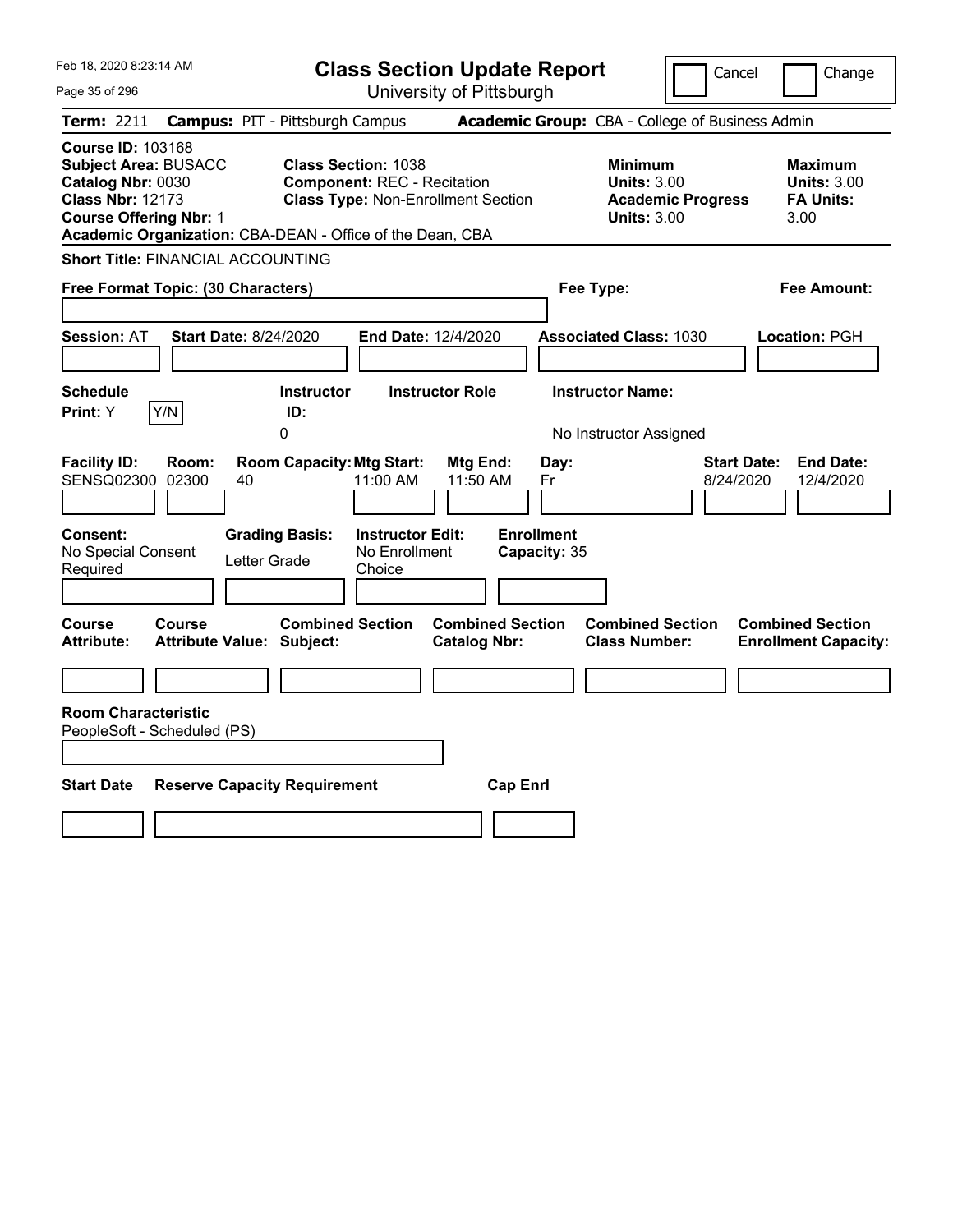| Feb 18, 2020 8:23:14 AM<br>Page 35 of 296                                                                                                                                                             | <b>Class Section Update Report</b><br>University of Pittsburgh                                                |                                                         | Cancel                                                                                 | Change                                                           |
|-------------------------------------------------------------------------------------------------------------------------------------------------------------------------------------------------------|---------------------------------------------------------------------------------------------------------------|---------------------------------------------------------|----------------------------------------------------------------------------------------|------------------------------------------------------------------|
| Term: 2211                                                                                                                                                                                            | <b>Campus: PIT - Pittsburgh Campus</b>                                                                        |                                                         | Academic Group: CBA - College of Business Admin                                        |                                                                  |
| <b>Course ID: 103168</b><br><b>Subject Area: BUSACC</b><br>Catalog Nbr: 0030<br><b>Class Nbr: 12173</b><br><b>Course Offering Nbr: 1</b><br>Academic Organization: CBA-DEAN - Office of the Dean, CBA | <b>Class Section: 1038</b><br><b>Component: REC - Recitation</b><br><b>Class Type: Non-Enrollment Section</b> |                                                         | <b>Minimum</b><br><b>Units: 3.00</b><br><b>Academic Progress</b><br><b>Units: 3.00</b> | <b>Maximum</b><br><b>Units: 3.00</b><br><b>FA Units:</b><br>3.00 |
| <b>Short Title: FINANCIAL ACCOUNTING</b>                                                                                                                                                              |                                                                                                               |                                                         |                                                                                        |                                                                  |
| Free Format Topic: (30 Characters)                                                                                                                                                                    |                                                                                                               |                                                         | Fee Type:                                                                              | Fee Amount:                                                      |
| <b>Session: AT</b><br><b>Start Date: 8/24/2020</b>                                                                                                                                                    | End Date: 12/4/2020                                                                                           |                                                         | <b>Associated Class: 1030</b>                                                          | <b>Location: PGH</b>                                             |
| <b>Schedule</b>                                                                                                                                                                                       | <b>Instructor Role</b><br><b>Instructor</b>                                                                   |                                                         | <b>Instructor Name:</b>                                                                |                                                                  |
| Y/N<br>Print: Y                                                                                                                                                                                       | ID:<br>0                                                                                                      |                                                         | No Instructor Assigned                                                                 |                                                                  |
| <b>Facility ID:</b><br>Room:<br><b>SENSQ02300</b><br>02300<br>40<br><b>Grading Basis:</b><br><b>Consent:</b>                                                                                          | <b>Room Capacity: Mtg Start:</b><br>11:00 AM<br><b>Instructor Edit:</b>                                       | Mtg End:<br>Day:<br>11:50 AM<br>Fr<br><b>Enrollment</b> | 8/24/2020                                                                              | <b>Start Date:</b><br><b>End Date:</b><br>12/4/2020              |
| No Special Consent<br>Letter Grade<br>Required                                                                                                                                                        | No Enrollment<br>Choice                                                                                       | Capacity: 35                                            |                                                                                        |                                                                  |
| Course<br><b>Course</b><br><b>Attribute:</b><br><b>Attribute Value: Subject:</b>                                                                                                                      | <b>Combined Section</b>                                                                                       | <b>Combined Section</b><br><b>Catalog Nbr:</b>          | <b>Combined Section</b><br><b>Class Number:</b>                                        | <b>Combined Section</b><br><b>Enrollment Capacity:</b>           |
|                                                                                                                                                                                                       |                                                                                                               |                                                         |                                                                                        |                                                                  |
| <b>Room Characteristic</b><br>PeopleSoft - Scheduled (PS)                                                                                                                                             |                                                                                                               |                                                         |                                                                                        |                                                                  |
|                                                                                                                                                                                                       |                                                                                                               |                                                         |                                                                                        |                                                                  |
| <b>Start Date</b><br><b>Reserve Capacity Requirement</b>                                                                                                                                              |                                                                                                               | <b>Cap Enrl</b>                                         |                                                                                        |                                                                  |
|                                                                                                                                                                                                       |                                                                                                               |                                                         |                                                                                        |                                                                  |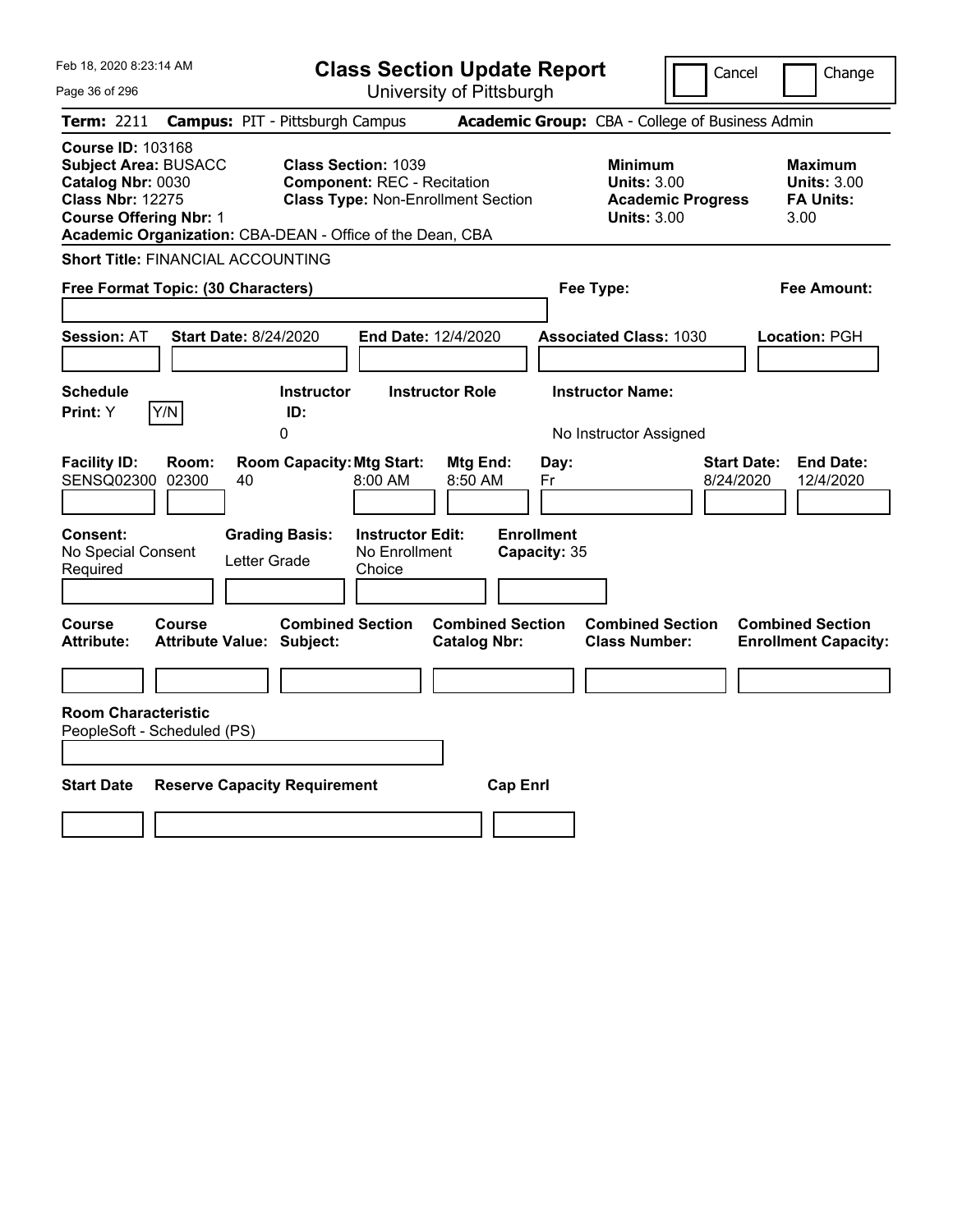| Feb 18, 2020 8:23:14 AM<br>Page 36 of 296                                                                                                                                                             |                                                                                                               | <b>Class Section Update Report</b><br>University of Pittsburgh | Cancel                                                                                 | Change                                                           |
|-------------------------------------------------------------------------------------------------------------------------------------------------------------------------------------------------------|---------------------------------------------------------------------------------------------------------------|----------------------------------------------------------------|----------------------------------------------------------------------------------------|------------------------------------------------------------------|
| <b>Term: 2211</b>                                                                                                                                                                                     | <b>Campus: PIT - Pittsburgh Campus</b>                                                                        |                                                                | Academic Group: CBA - College of Business Admin                                        |                                                                  |
| <b>Course ID: 103168</b><br><b>Subject Area: BUSACC</b><br>Catalog Nbr: 0030<br><b>Class Nbr: 12275</b><br><b>Course Offering Nbr: 1</b><br>Academic Organization: CBA-DEAN - Office of the Dean, CBA | <b>Class Section: 1039</b><br><b>Component: REC - Recitation</b><br><b>Class Type: Non-Enrollment Section</b> |                                                                | <b>Minimum</b><br><b>Units: 3.00</b><br><b>Academic Progress</b><br><b>Units: 3.00</b> | <b>Maximum</b><br><b>Units: 3.00</b><br><b>FA Units:</b><br>3.00 |
| <b>Short Title: FINANCIAL ACCOUNTING</b>                                                                                                                                                              |                                                                                                               |                                                                |                                                                                        |                                                                  |
| Free Format Topic: (30 Characters)                                                                                                                                                                    |                                                                                                               |                                                                | Fee Type:                                                                              | Fee Amount:                                                      |
| <b>Start Date: 8/24/2020</b><br><b>Session: AT</b>                                                                                                                                                    | End Date: 12/4/2020                                                                                           |                                                                | <b>Associated Class: 1030</b>                                                          | Location: PGH                                                    |
| <b>Schedule</b>                                                                                                                                                                                       | <b>Instructor Role</b><br><b>Instructor</b>                                                                   |                                                                | <b>Instructor Name:</b>                                                                |                                                                  |
| Y/N<br>Print: Y                                                                                                                                                                                       | ID:<br>0                                                                                                      |                                                                | No Instructor Assigned                                                                 |                                                                  |
| <b>Facility ID:</b><br>Room:<br>SENSQ02300<br>02300<br>40                                                                                                                                             | <b>Room Capacity: Mtg Start:</b><br>8:00 AM                                                                   | Mtg End:<br>Day:<br>8:50 AM<br>Fr                              |                                                                                        | <b>Start Date:</b><br><b>End Date:</b><br>8/24/2020<br>12/4/2020 |
| <b>Consent:</b><br>No Special Consent<br>Letter Grade<br>Required                                                                                                                                     | <b>Grading Basis:</b><br><b>Instructor Edit:</b><br>No Enrollment<br>Choice                                   | <b>Enrollment</b><br>Capacity: 35                              |                                                                                        |                                                                  |
| Course<br><b>Course</b><br><b>Attribute:</b><br><b>Attribute Value: Subject:</b>                                                                                                                      | <b>Combined Section</b>                                                                                       | <b>Combined Section</b><br><b>Catalog Nbr:</b>                 | <b>Combined Section</b><br><b>Class Number:</b>                                        | <b>Combined Section</b><br><b>Enrollment Capacity:</b>           |
|                                                                                                                                                                                                       |                                                                                                               |                                                                |                                                                                        |                                                                  |
| <b>Room Characteristic</b><br>PeopleSoft - Scheduled (PS)                                                                                                                                             |                                                                                                               |                                                                |                                                                                        |                                                                  |
| <b>Start Date</b><br><b>Reserve Capacity Requirement</b>                                                                                                                                              |                                                                                                               | <b>Cap Enrl</b>                                                |                                                                                        |                                                                  |
|                                                                                                                                                                                                       |                                                                                                               |                                                                |                                                                                        |                                                                  |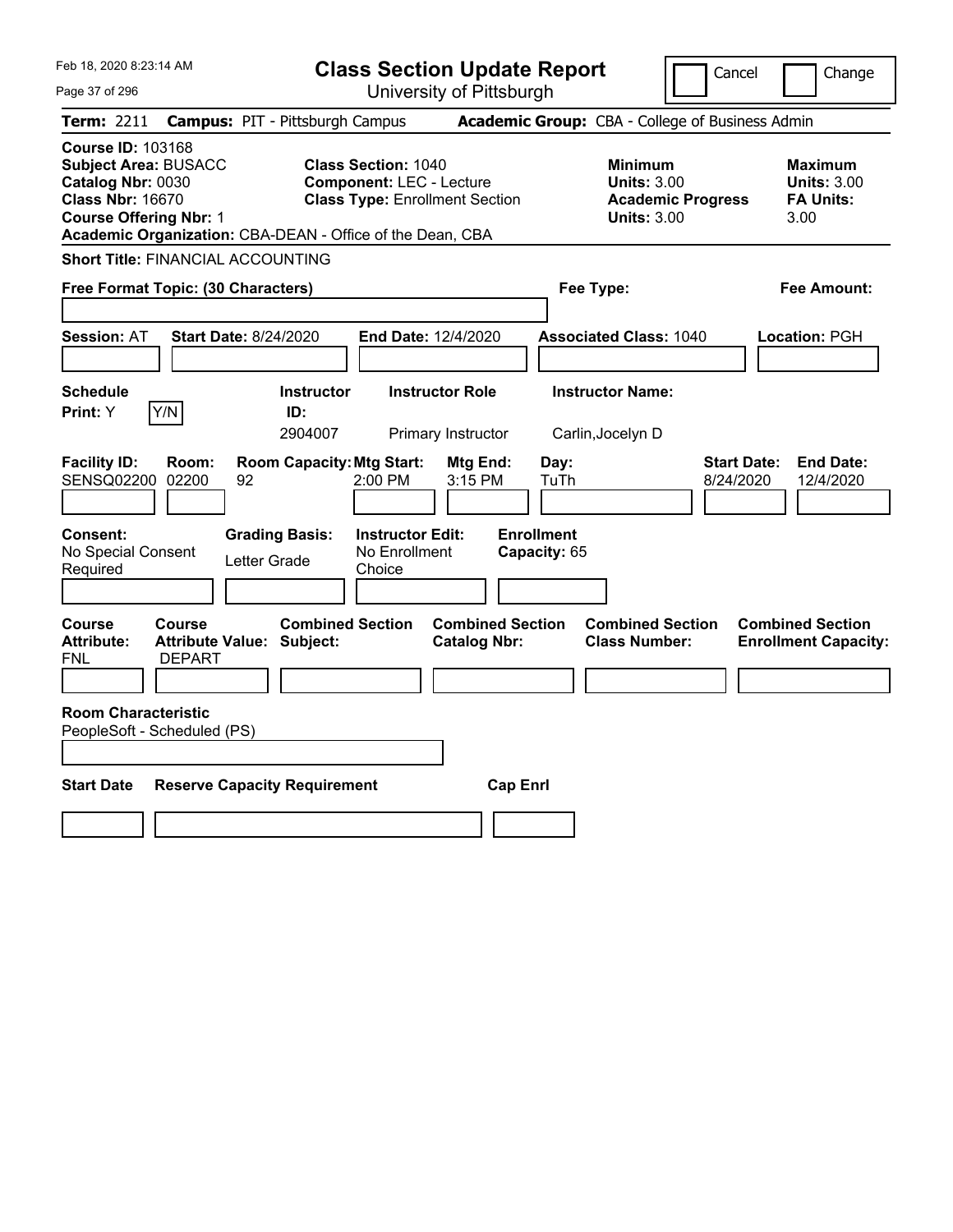| Feb 18, 2020 8:23:14 AM                                                                                                                                                                               | <b>Class Section Update Report</b>                                                                     |                                                                            | Cancel<br>Change                                                                             |
|-------------------------------------------------------------------------------------------------------------------------------------------------------------------------------------------------------|--------------------------------------------------------------------------------------------------------|----------------------------------------------------------------------------|----------------------------------------------------------------------------------------------|
| Page 37 of 296                                                                                                                                                                                        | University of Pittsburgh                                                                               |                                                                            |                                                                                              |
| Term: 2211                                                                                                                                                                                            | <b>Campus: PIT - Pittsburgh Campus</b>                                                                 | Academic Group: CBA - College of Business Admin                            |                                                                                              |
| <b>Course ID: 103168</b><br><b>Subject Area: BUSACC</b><br>Catalog Nbr: 0030<br><b>Class Nbr: 16670</b><br><b>Course Offering Nbr: 1</b><br>Academic Organization: CBA-DEAN - Office of the Dean, CBA | <b>Class Section: 1040</b><br><b>Component: LEC - Lecture</b><br><b>Class Type: Enrollment Section</b> | <b>Minimum</b><br><b>Units: 3.00</b><br><b>Units: 3.00</b>                 | <b>Maximum</b><br><b>Units: 3.00</b><br><b>Academic Progress</b><br><b>FA Units:</b><br>3.00 |
| <b>Short Title: FINANCIAL ACCOUNTING</b>                                                                                                                                                              |                                                                                                        |                                                                            |                                                                                              |
| Free Format Topic: (30 Characters)                                                                                                                                                                    |                                                                                                        | Fee Type:                                                                  | Fee Amount:                                                                                  |
| <b>Start Date: 8/24/2020</b><br><b>Session: AT</b>                                                                                                                                                    | <b>End Date: 12/4/2020</b>                                                                             | <b>Associated Class: 1040</b>                                              | Location: PGH                                                                                |
| <b>Schedule</b><br>Y/N<br><b>Print:</b> Y                                                                                                                                                             | <b>Instructor</b><br><b>Instructor Role</b><br>ID:<br>2904007<br>Primary Instructor                    | <b>Instructor Name:</b><br>Carlin, Jocelyn D                               |                                                                                              |
| <b>Facility ID:</b><br>Room:<br>SENSQ02200 02200<br>92                                                                                                                                                | <b>Room Capacity: Mtg Start:</b><br>2:00 PM<br>3:15 PM                                                 | Mtg End:<br>Day:<br>TuTh                                                   | <b>Start Date:</b><br><b>End Date:</b><br>8/24/2020<br>12/4/2020                             |
| Consent:<br>No Special Consent<br>Letter Grade<br>Required                                                                                                                                            | <b>Grading Basis:</b><br><b>Instructor Edit:</b><br>No Enrollment<br>Choice                            | <b>Enrollment</b><br>Capacity: 65                                          |                                                                                              |
| <b>Course</b><br><b>Course</b><br><b>Attribute:</b><br><b>Attribute Value: Subject:</b><br>FNL<br><b>DEPART</b>                                                                                       | <b>Combined Section</b><br><b>Catalog Nbr:</b>                                                         | <b>Combined Section</b><br><b>Combined Section</b><br><b>Class Number:</b> | <b>Combined Section</b><br><b>Enrollment Capacity:</b>                                       |
|                                                                                                                                                                                                       |                                                                                                        |                                                                            |                                                                                              |
| <b>Room Characteristic</b><br>PeopleSoft - Scheduled (PS)                                                                                                                                             |                                                                                                        |                                                                            |                                                                                              |
| <b>Start Date</b><br><b>Reserve Capacity Requirement</b>                                                                                                                                              |                                                                                                        | <b>Cap Enrl</b>                                                            |                                                                                              |
|                                                                                                                                                                                                       |                                                                                                        |                                                                            |                                                                                              |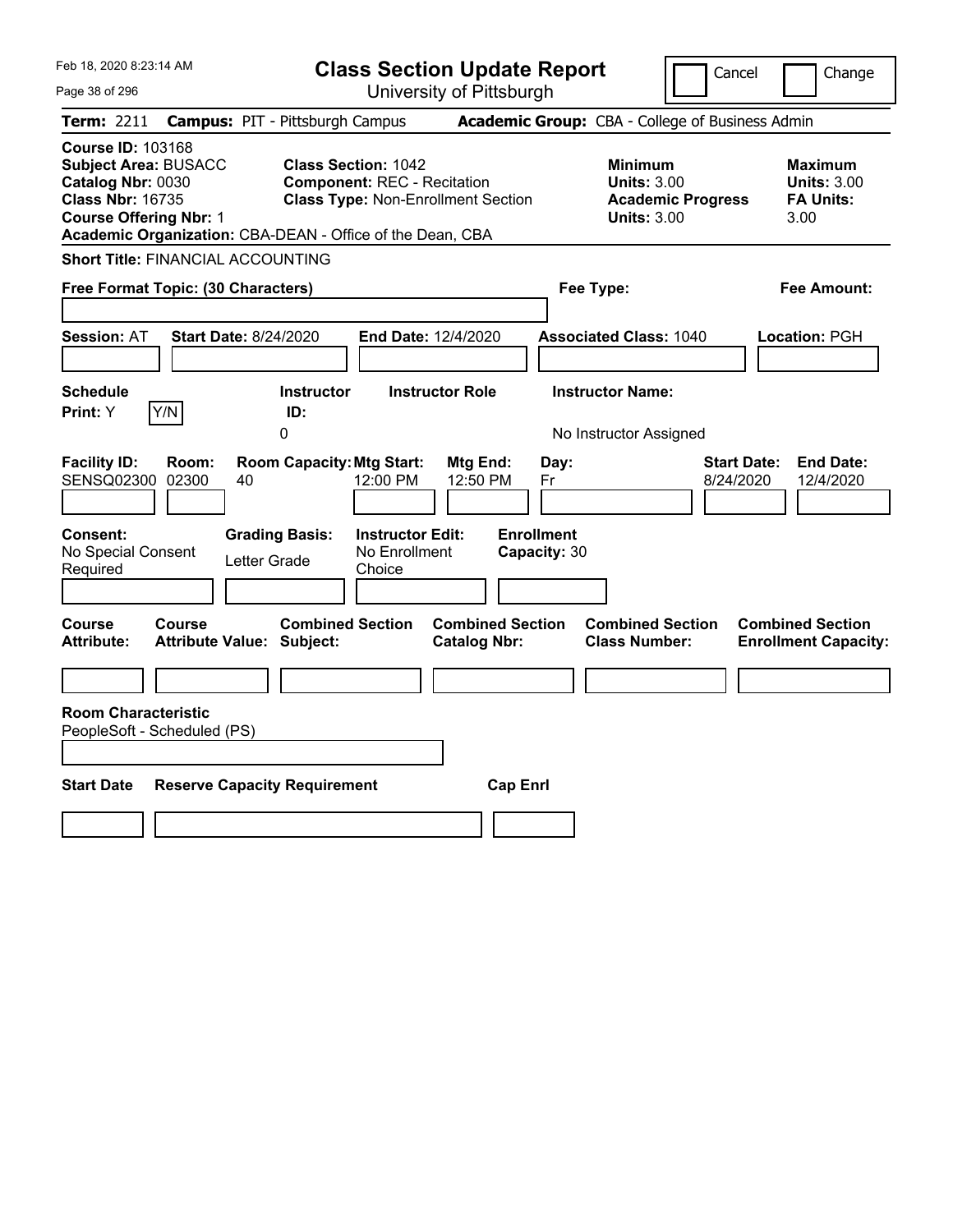| Feb 18, 2020 8:23:14 AM<br>Page 38 of 296                                                                                                                                                             |                                                                                                               | <b>Class Section Update Report</b><br>University of Pittsburgh |                                                                                        | Cancel<br>Change                                                 |
|-------------------------------------------------------------------------------------------------------------------------------------------------------------------------------------------------------|---------------------------------------------------------------------------------------------------------------|----------------------------------------------------------------|----------------------------------------------------------------------------------------|------------------------------------------------------------------|
| <b>Term: 2211</b>                                                                                                                                                                                     | <b>Campus: PIT - Pittsburgh Campus</b>                                                                        |                                                                | Academic Group: CBA - College of Business Admin                                        |                                                                  |
| <b>Course ID: 103168</b><br><b>Subject Area: BUSACC</b><br>Catalog Nbr: 0030<br><b>Class Nbr: 16735</b><br><b>Course Offering Nbr: 1</b><br>Academic Organization: CBA-DEAN - Office of the Dean, CBA | <b>Class Section: 1042</b><br><b>Component: REC - Recitation</b><br><b>Class Type: Non-Enrollment Section</b> |                                                                | <b>Minimum</b><br><b>Units: 3.00</b><br><b>Academic Progress</b><br><b>Units: 3.00</b> | <b>Maximum</b><br><b>Units: 3.00</b><br><b>FA Units:</b><br>3.00 |
| <b>Short Title: FINANCIAL ACCOUNTING</b>                                                                                                                                                              |                                                                                                               |                                                                |                                                                                        |                                                                  |
| Free Format Topic: (30 Characters)                                                                                                                                                                    |                                                                                                               |                                                                | Fee Type:                                                                              | Fee Amount:                                                      |
| <b>Start Date: 8/24/2020</b><br><b>Session: AT</b>                                                                                                                                                    | End Date: 12/4/2020                                                                                           |                                                                | <b>Associated Class: 1040</b>                                                          | Location: PGH                                                    |
| <b>Schedule</b>                                                                                                                                                                                       | <b>Instructor Role</b><br><b>Instructor</b>                                                                   |                                                                | <b>Instructor Name:</b>                                                                |                                                                  |
| Y/N<br>Print: Y                                                                                                                                                                                       | ID:<br>0                                                                                                      |                                                                | No Instructor Assigned                                                                 |                                                                  |
| <b>Facility ID:</b><br>Room:<br>SENSQ02300<br>02300<br>40                                                                                                                                             | <b>Room Capacity: Mtg Start:</b><br>12:00 PM                                                                  | Mtg End:<br>Day:<br>12:50 PM<br>Fr                             |                                                                                        | <b>Start Date:</b><br><b>End Date:</b><br>8/24/2020<br>12/4/2020 |
| <b>Consent:</b><br>No Special Consent<br>Letter Grade<br>Required                                                                                                                                     | <b>Grading Basis:</b><br><b>Instructor Edit:</b><br>No Enrollment<br>Choice                                   | <b>Enrollment</b><br>Capacity: 30                              |                                                                                        |                                                                  |
| Course<br><b>Course</b><br><b>Attribute:</b><br><b>Attribute Value: Subject:</b>                                                                                                                      | <b>Combined Section</b>                                                                                       | <b>Combined Section</b><br><b>Catalog Nbr:</b>                 | <b>Combined Section</b><br><b>Class Number:</b>                                        | <b>Combined Section</b><br><b>Enrollment Capacity:</b>           |
|                                                                                                                                                                                                       |                                                                                                               |                                                                |                                                                                        |                                                                  |
| <b>Room Characteristic</b><br>PeopleSoft - Scheduled (PS)                                                                                                                                             |                                                                                                               |                                                                |                                                                                        |                                                                  |
| <b>Start Date</b><br><b>Reserve Capacity Requirement</b>                                                                                                                                              |                                                                                                               | <b>Cap Enrl</b>                                                |                                                                                        |                                                                  |
|                                                                                                                                                                                                       |                                                                                                               |                                                                |                                                                                        |                                                                  |
|                                                                                                                                                                                                       |                                                                                                               |                                                                |                                                                                        |                                                                  |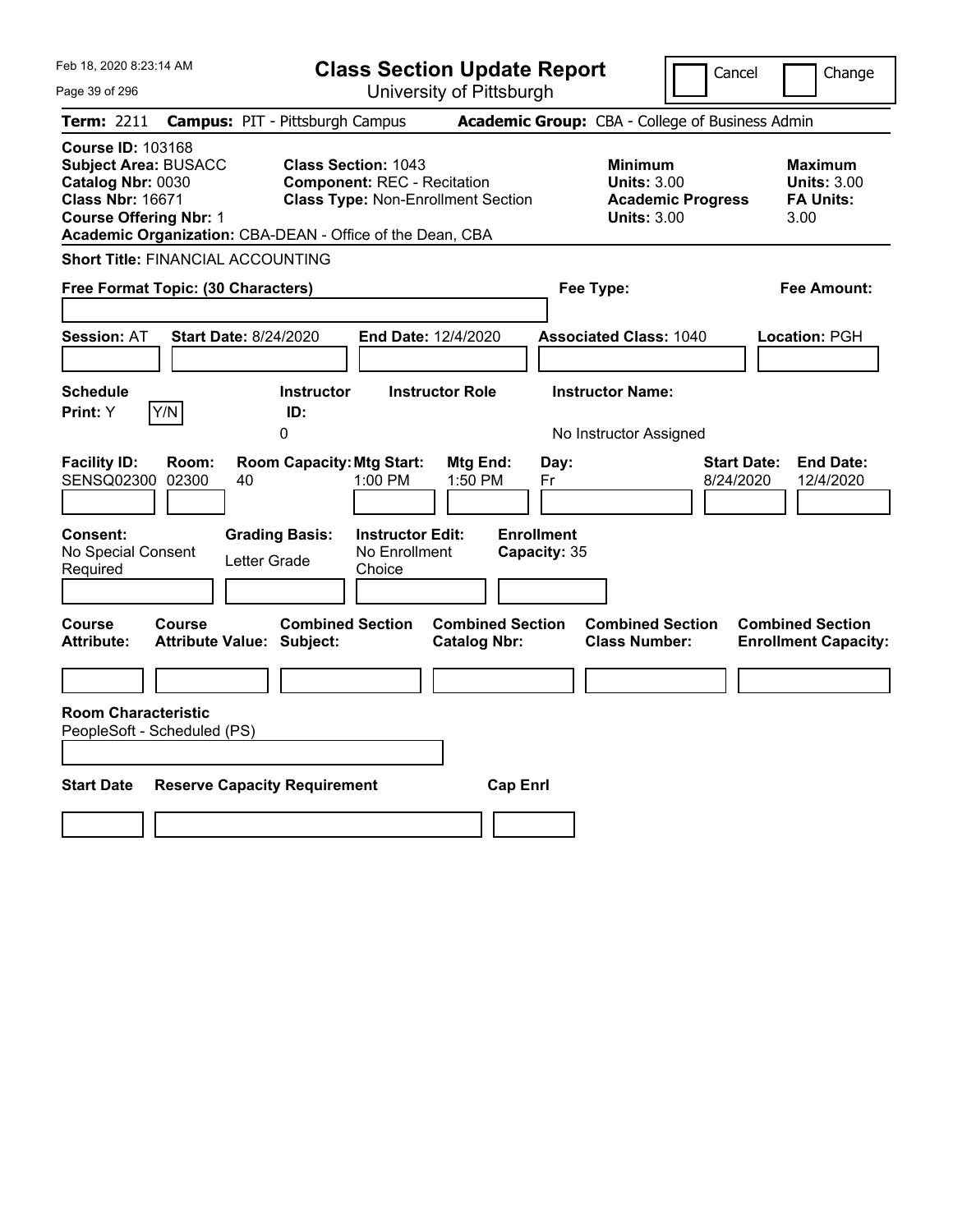| Feb 18, 2020 8:23:14 AM<br>Page 39 of 296                                                                                                                                                             | <b>Class Section Update Report</b>                                                                            | University of Pittsburgh                       |                                                                                        | Cancel<br>Change                                                 |
|-------------------------------------------------------------------------------------------------------------------------------------------------------------------------------------------------------|---------------------------------------------------------------------------------------------------------------|------------------------------------------------|----------------------------------------------------------------------------------------|------------------------------------------------------------------|
| <b>Term: 2211</b>                                                                                                                                                                                     | <b>Campus: PIT - Pittsburgh Campus</b>                                                                        |                                                | Academic Group: CBA - College of Business Admin                                        |                                                                  |
| <b>Course ID: 103168</b><br><b>Subject Area: BUSACC</b><br>Catalog Nbr: 0030<br><b>Class Nbr: 16671</b><br><b>Course Offering Nbr: 1</b><br>Academic Organization: CBA-DEAN - Office of the Dean, CBA | <b>Class Section: 1043</b><br><b>Component: REC - Recitation</b><br><b>Class Type: Non-Enrollment Section</b> |                                                | <b>Minimum</b><br><b>Units: 3.00</b><br><b>Academic Progress</b><br><b>Units: 3.00</b> | <b>Maximum</b><br><b>Units: 3.00</b><br><b>FA Units:</b><br>3.00 |
| <b>Short Title: FINANCIAL ACCOUNTING</b>                                                                                                                                                              |                                                                                                               |                                                |                                                                                        |                                                                  |
| Free Format Topic: (30 Characters)                                                                                                                                                                    |                                                                                                               |                                                | Fee Type:                                                                              | Fee Amount:                                                      |
| <b>Start Date: 8/24/2020</b><br><b>Session: AT</b>                                                                                                                                                    | End Date: 12/4/2020                                                                                           |                                                | <b>Associated Class: 1040</b>                                                          | Location: PGH                                                    |
| <b>Schedule</b>                                                                                                                                                                                       | <b>Instructor Role</b><br><b>Instructor</b>                                                                   |                                                | <b>Instructor Name:</b>                                                                |                                                                  |
| Y/N<br>Print: Y                                                                                                                                                                                       | ID:<br>0                                                                                                      |                                                | No Instructor Assigned                                                                 |                                                                  |
| <b>Facility ID:</b><br>Room:<br>SENSQ02300<br>02300<br>40                                                                                                                                             | <b>Room Capacity: Mtg Start:</b><br>1:00 PM                                                                   | Mtg End:<br>Day:<br>1:50 PM<br>Fr              |                                                                                        | <b>Start Date:</b><br><b>End Date:</b><br>8/24/2020<br>12/4/2020 |
| <b>Consent:</b><br><b>Grading Basis:</b><br>No Special Consent<br>Letter Grade<br>Required                                                                                                            | <b>Instructor Edit:</b><br>No Enrollment<br>Choice                                                            | <b>Enrollment</b><br>Capacity: 35              |                                                                                        |                                                                  |
| Course<br><b>Course</b><br><b>Attribute:</b><br><b>Attribute Value: Subject:</b>                                                                                                                      | <b>Combined Section</b>                                                                                       | <b>Combined Section</b><br><b>Catalog Nbr:</b> | <b>Combined Section</b><br><b>Class Number:</b>                                        | <b>Combined Section</b><br><b>Enrollment Capacity:</b>           |
|                                                                                                                                                                                                       |                                                                                                               |                                                |                                                                                        |                                                                  |
| <b>Room Characteristic</b><br>PeopleSoft - Scheduled (PS)                                                                                                                                             |                                                                                                               |                                                |                                                                                        |                                                                  |
|                                                                                                                                                                                                       |                                                                                                               |                                                |                                                                                        |                                                                  |
| <b>Start Date</b><br><b>Reserve Capacity Requirement</b>                                                                                                                                              |                                                                                                               | <b>Cap Enrl</b>                                |                                                                                        |                                                                  |
|                                                                                                                                                                                                       |                                                                                                               |                                                |                                                                                        |                                                                  |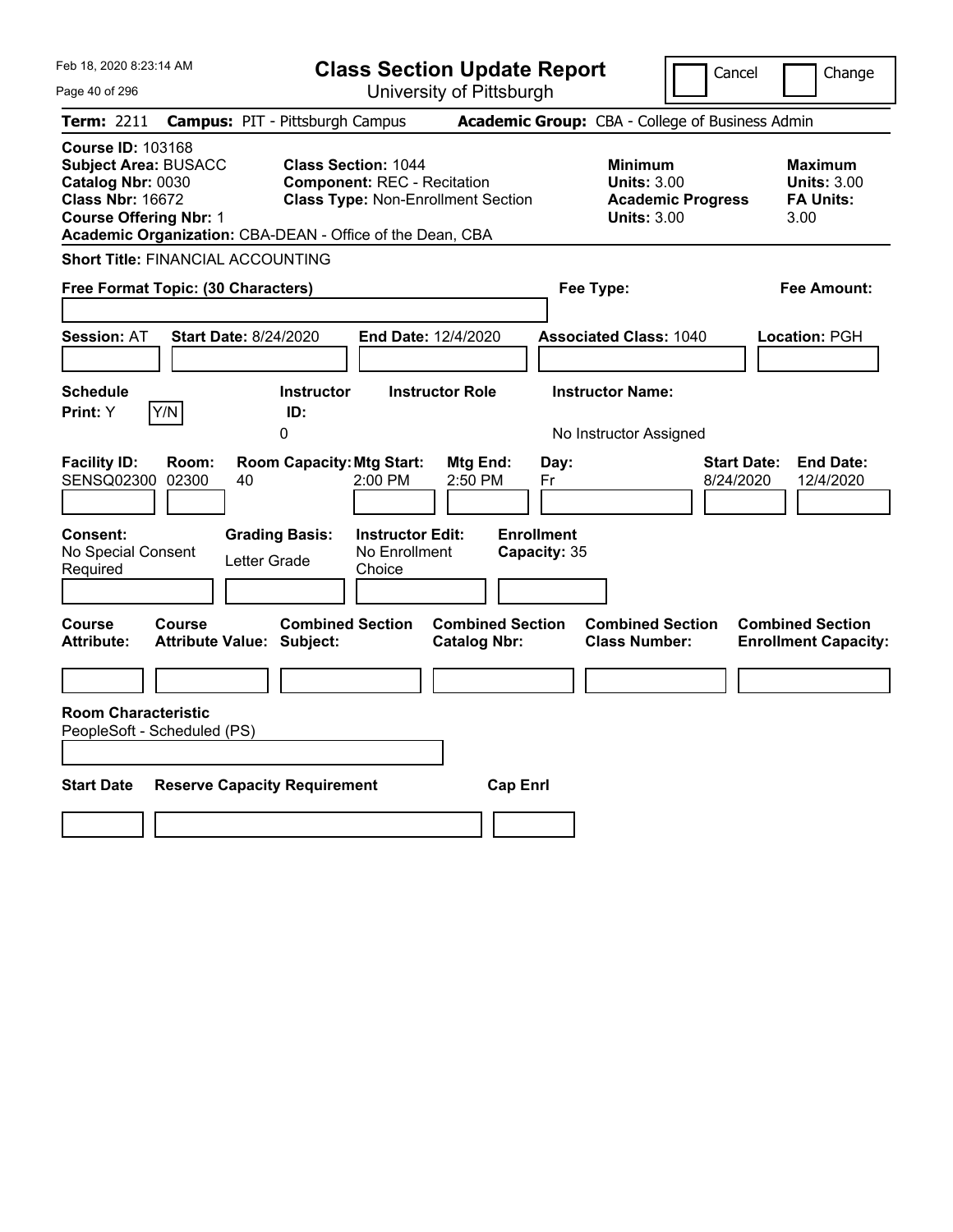| Feb 18, 2020 8:23:14 AM<br>Page 40 of 296                                                                                                                                                             | <b>Class Section Update Report</b>                                                                            | University of Pittsburgh                       |                                                                                        | Cancel<br>Change                                                 |
|-------------------------------------------------------------------------------------------------------------------------------------------------------------------------------------------------------|---------------------------------------------------------------------------------------------------------------|------------------------------------------------|----------------------------------------------------------------------------------------|------------------------------------------------------------------|
| <b>Term: 2211</b>                                                                                                                                                                                     | <b>Campus: PIT - Pittsburgh Campus</b>                                                                        |                                                | Academic Group: CBA - College of Business Admin                                        |                                                                  |
| <b>Course ID: 103168</b><br><b>Subject Area: BUSACC</b><br>Catalog Nbr: 0030<br><b>Class Nbr: 16672</b><br><b>Course Offering Nbr: 1</b><br>Academic Organization: CBA-DEAN - Office of the Dean, CBA | <b>Class Section: 1044</b><br><b>Component: REC - Recitation</b><br><b>Class Type: Non-Enrollment Section</b> |                                                | <b>Minimum</b><br><b>Units: 3.00</b><br><b>Academic Progress</b><br><b>Units: 3.00</b> | <b>Maximum</b><br><b>Units: 3.00</b><br><b>FA Units:</b><br>3.00 |
| <b>Short Title: FINANCIAL ACCOUNTING</b>                                                                                                                                                              |                                                                                                               |                                                |                                                                                        |                                                                  |
| Free Format Topic: (30 Characters)                                                                                                                                                                    |                                                                                                               |                                                | Fee Type:                                                                              | Fee Amount:                                                      |
| <b>Start Date: 8/24/2020</b><br><b>Session: AT</b>                                                                                                                                                    | End Date: 12/4/2020                                                                                           |                                                | <b>Associated Class: 1040</b>                                                          | Location: PGH                                                    |
| <b>Schedule</b>                                                                                                                                                                                       | <b>Instructor Role</b><br><b>Instructor</b>                                                                   |                                                | <b>Instructor Name:</b>                                                                |                                                                  |
| Y/N<br>Print: Y                                                                                                                                                                                       | ID:<br>0                                                                                                      |                                                | No Instructor Assigned                                                                 |                                                                  |
| <b>Facility ID:</b><br>Room:<br>SENSQ02300<br>02300<br>40                                                                                                                                             | <b>Room Capacity: Mtg Start:</b><br>2:00 PM                                                                   | Mtg End:<br>Day:<br>2:50 PM<br>Fr              |                                                                                        | <b>Start Date:</b><br><b>End Date:</b><br>8/24/2020<br>12/4/2020 |
| <b>Consent:</b><br>No Special Consent<br>Letter Grade<br>Required                                                                                                                                     | <b>Grading Basis:</b><br><b>Instructor Edit:</b><br>No Enrollment<br>Choice                                   | <b>Enrollment</b><br>Capacity: 35              |                                                                                        |                                                                  |
| Course<br><b>Course</b><br><b>Attribute:</b><br><b>Attribute Value: Subject:</b>                                                                                                                      | <b>Combined Section</b>                                                                                       | <b>Combined Section</b><br><b>Catalog Nbr:</b> | <b>Combined Section</b><br><b>Class Number:</b>                                        | <b>Combined Section</b><br><b>Enrollment Capacity:</b>           |
|                                                                                                                                                                                                       |                                                                                                               |                                                |                                                                                        |                                                                  |
| <b>Room Characteristic</b><br>PeopleSoft - Scheduled (PS)                                                                                                                                             |                                                                                                               |                                                |                                                                                        |                                                                  |
|                                                                                                                                                                                                       |                                                                                                               |                                                |                                                                                        |                                                                  |
| <b>Start Date</b><br><b>Reserve Capacity Requirement</b>                                                                                                                                              |                                                                                                               | <b>Cap Enrl</b>                                |                                                                                        |                                                                  |
|                                                                                                                                                                                                       |                                                                                                               |                                                |                                                                                        |                                                                  |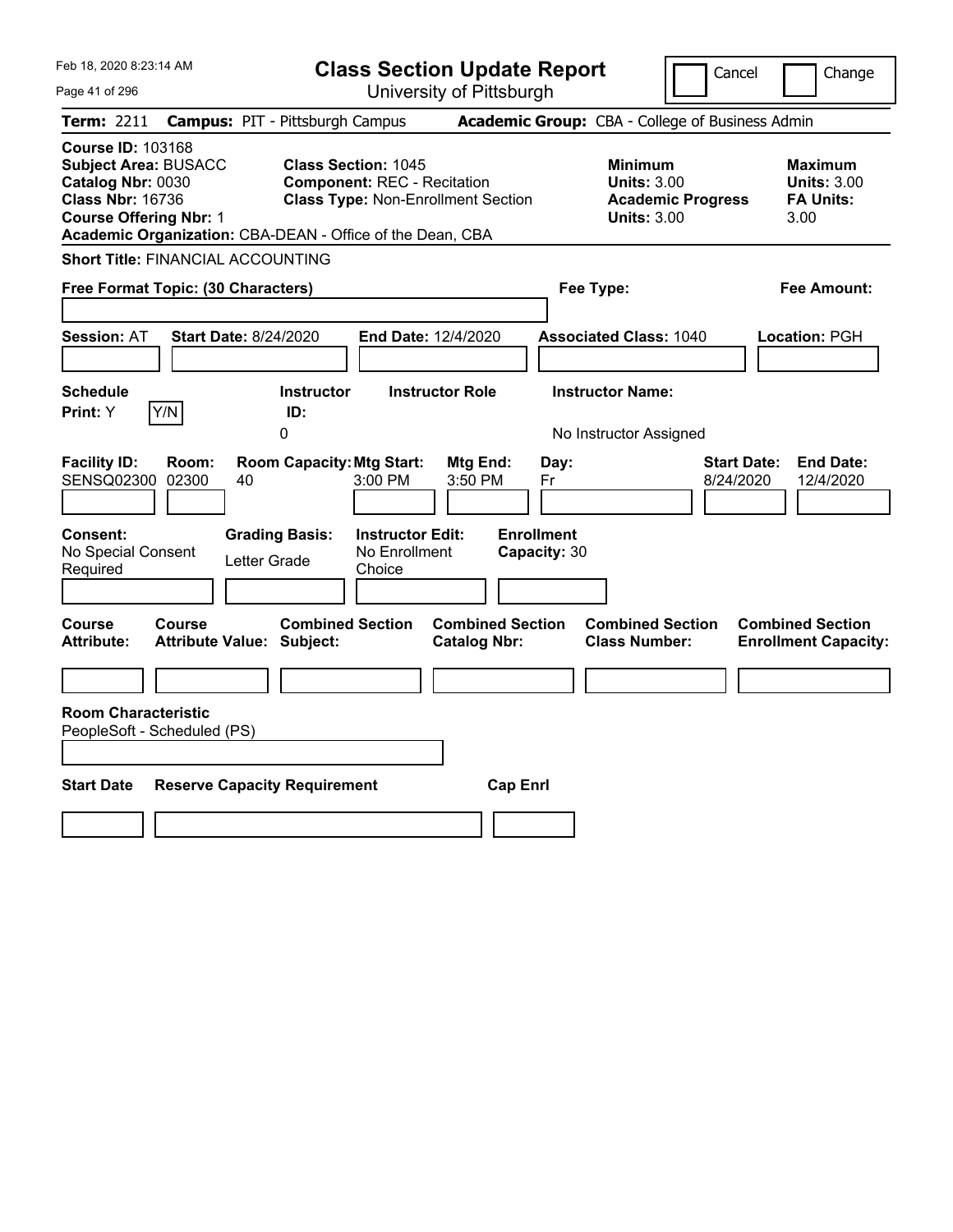| Feb 18, 2020 8:23:14 AM<br>Page 41 of 296                                                                                                                                                             | <b>Class Section Update Report</b><br>University of Pittsburgh                                                |                                                 | Cancel                                                                                 | Change                                                    |
|-------------------------------------------------------------------------------------------------------------------------------------------------------------------------------------------------------|---------------------------------------------------------------------------------------------------------------|-------------------------------------------------|----------------------------------------------------------------------------------------|-----------------------------------------------------------|
| <b>Term: 2211</b><br><b>Campus: PIT - Pittsburgh Campus</b>                                                                                                                                           |                                                                                                               | Academic Group: CBA - College of Business Admin |                                                                                        |                                                           |
| <b>Course ID: 103168</b><br><b>Subject Area: BUSACC</b><br>Catalog Nbr: 0030<br><b>Class Nbr: 16736</b><br><b>Course Offering Nbr: 1</b><br>Academic Organization: CBA-DEAN - Office of the Dean, CBA | <b>Class Section: 1045</b><br><b>Component: REC - Recitation</b><br><b>Class Type: Non-Enrollment Section</b> |                                                 | <b>Minimum</b><br><b>Units: 3.00</b><br><b>Academic Progress</b><br><b>Units: 3.00</b> | Maximum<br><b>Units: 3.00</b><br><b>FA Units:</b><br>3.00 |
| <b>Short Title: FINANCIAL ACCOUNTING</b>                                                                                                                                                              |                                                                                                               |                                                 |                                                                                        |                                                           |
| Free Format Topic: (30 Characters)                                                                                                                                                                    |                                                                                                               | Fee Type:                                       |                                                                                        | <b>Fee Amount:</b>                                        |
| <b>Session: AT</b><br><b>Start Date: 8/24/2020</b>                                                                                                                                                    | <b>End Date: 12/4/2020</b>                                                                                    |                                                 | <b>Associated Class: 1040</b>                                                          | Location: PGH                                             |
| <b>Schedule</b><br>Y/N<br><b>Print:</b> Y                                                                                                                                                             | <b>Instructor</b><br><b>Instructor Role</b><br>ID:                                                            | <b>Instructor Name:</b>                         |                                                                                        |                                                           |
| 0<br><b>Facility ID:</b><br>Room:<br><b>SENSQ02300</b><br>02300<br>40                                                                                                                                 | <b>Room Capacity: Mtg Start:</b><br>3:00 PM                                                                   | Mtg End:<br>Day:<br>3:50 PM<br>Fr               | No Instructor Assigned<br><b>Start Date:</b><br>8/24/2020                              | <b>End Date:</b><br>12/4/2020                             |
| <b>Consent:</b><br><b>Grading Basis:</b><br>No Special Consent<br>Letter Grade<br>Required                                                                                                            | <b>Instructor Edit:</b><br>No Enrollment<br>Choice                                                            | <b>Enrollment</b><br>Capacity: 30               |                                                                                        |                                                           |
| Course<br>Course<br><b>Attribute:</b><br><b>Attribute Value: Subject:</b>                                                                                                                             | <b>Combined Section</b>                                                                                       | <b>Combined Section</b><br><b>Catalog Nbr:</b>  | <b>Combined Section</b><br><b>Class Number:</b>                                        | <b>Combined Section</b><br><b>Enrollment Capacity:</b>    |
|                                                                                                                                                                                                       |                                                                                                               |                                                 |                                                                                        |                                                           |
| <b>Room Characteristic</b><br>PeopleSoft - Scheduled (PS)                                                                                                                                             |                                                                                                               |                                                 |                                                                                        |                                                           |
| <b>Start Date</b><br><b>Reserve Capacity Requirement</b>                                                                                                                                              |                                                                                                               | <b>Cap Enrl</b>                                 |                                                                                        |                                                           |
|                                                                                                                                                                                                       |                                                                                                               |                                                 |                                                                                        |                                                           |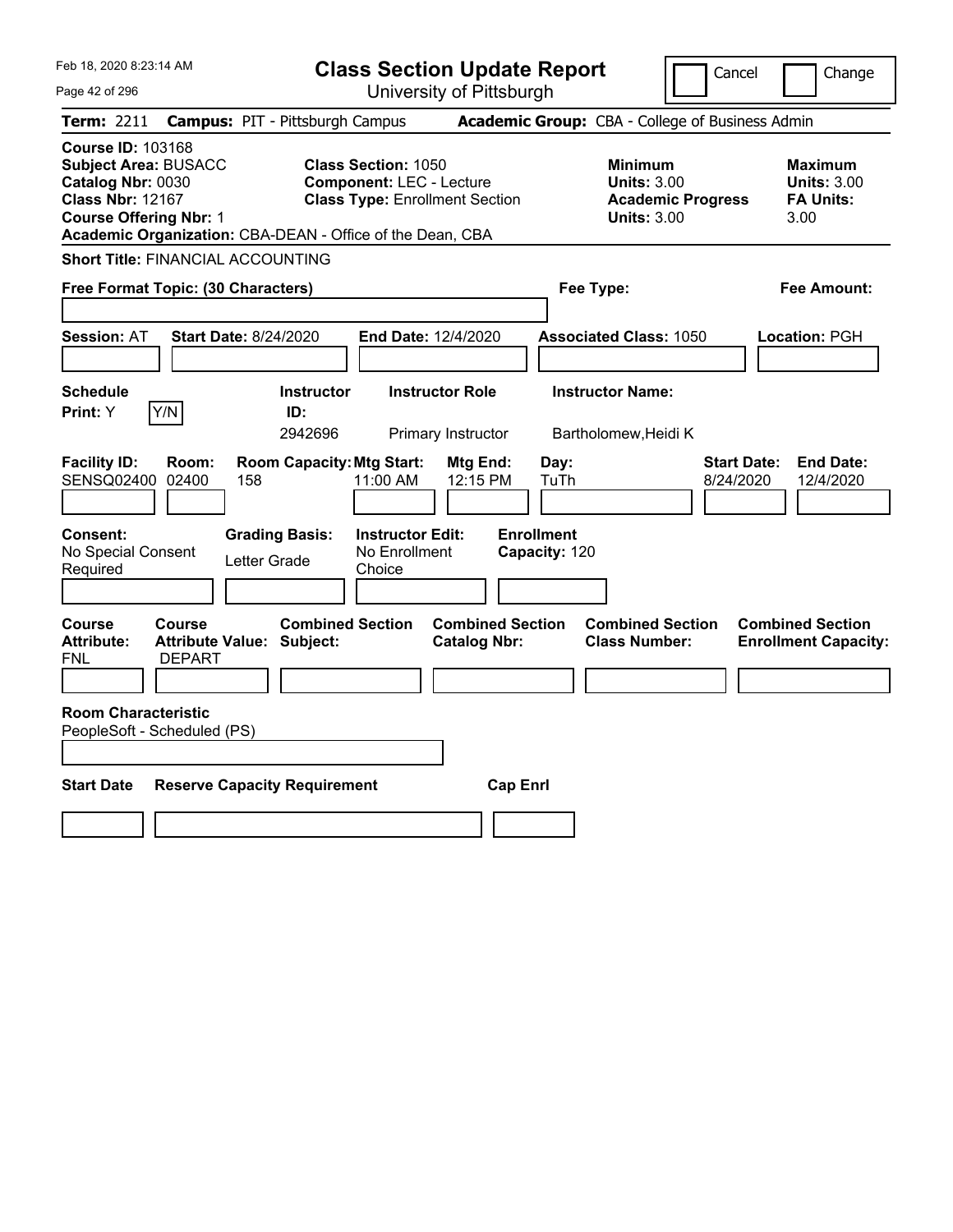| Feb 18, 2020 8:23:14 AM                                                                                                                                                                               | <b>Class Section Update Report</b>                                                                     | Cancel                                                                                 | Change                                                           |
|-------------------------------------------------------------------------------------------------------------------------------------------------------------------------------------------------------|--------------------------------------------------------------------------------------------------------|----------------------------------------------------------------------------------------|------------------------------------------------------------------|
| Page 42 of 296                                                                                                                                                                                        | University of Pittsburgh                                                                               |                                                                                        |                                                                  |
| Term: 2211                                                                                                                                                                                            | <b>Campus: PIT - Pittsburgh Campus</b>                                                                 | Academic Group: CBA - College of Business Admin                                        |                                                                  |
| <b>Course ID: 103168</b><br><b>Subject Area: BUSACC</b><br>Catalog Nbr: 0030<br><b>Class Nbr: 12167</b><br><b>Course Offering Nbr: 1</b><br>Academic Organization: CBA-DEAN - Office of the Dean, CBA | <b>Class Section: 1050</b><br><b>Component: LEC - Lecture</b><br><b>Class Type: Enrollment Section</b> | <b>Minimum</b><br><b>Units: 3.00</b><br><b>Academic Progress</b><br><b>Units: 3.00</b> | <b>Maximum</b><br><b>Units: 3.00</b><br><b>FA Units:</b><br>3.00 |
| <b>Short Title: FINANCIAL ACCOUNTING</b>                                                                                                                                                              |                                                                                                        |                                                                                        |                                                                  |
| Free Format Topic: (30 Characters)                                                                                                                                                                    |                                                                                                        | Fee Type:                                                                              | Fee Amount:                                                      |
| <b>Session: AT</b><br><b>Start Date: 8/24/2020</b>                                                                                                                                                    | End Date: 12/4/2020                                                                                    | <b>Associated Class: 1050</b>                                                          | Location: PGH                                                    |
| <b>Schedule</b><br>Y/N<br>Print: Y                                                                                                                                                                    | <b>Instructor Role</b><br><b>Instructor</b><br>ID:<br>2942696<br>Primary Instructor                    | <b>Instructor Name:</b><br>Bartholomew, Heidi K                                        |                                                                  |
| <b>Facility ID:</b><br>Room:<br>SENSQ02400 02400<br>158                                                                                                                                               | <b>Room Capacity: Mtg Start:</b><br>Mtg End:<br>11:00 AM<br>12:15 PM                                   | Day:<br>8/24/2020<br>TuTh                                                              | <b>End Date:</b><br><b>Start Date:</b><br>12/4/2020              |
| Consent:<br><b>Grading Basis:</b><br>No Special Consent<br>Letter Grade<br>Required                                                                                                                   | <b>Instructor Edit:</b><br>No Enrollment<br>Choice                                                     | <b>Enrollment</b><br>Capacity: 120                                                     |                                                                  |
| Course<br><b>Course</b><br><b>Attribute:</b><br><b>Attribute Value: Subject:</b><br>FNL<br><b>DEPART</b>                                                                                              | <b>Combined Section</b><br><b>Combined Section</b><br><b>Catalog Nbr:</b>                              | <b>Combined Section</b><br><b>Class Number:</b>                                        | <b>Combined Section</b><br><b>Enrollment Capacity:</b>           |
| <b>Room Characteristic</b><br>PeopleSoft - Scheduled (PS)                                                                                                                                             |                                                                                                        |                                                                                        |                                                                  |
| <b>Start Date</b><br><b>Reserve Capacity Requirement</b>                                                                                                                                              | <b>Cap Enrl</b>                                                                                        |                                                                                        |                                                                  |
|                                                                                                                                                                                                       |                                                                                                        |                                                                                        |                                                                  |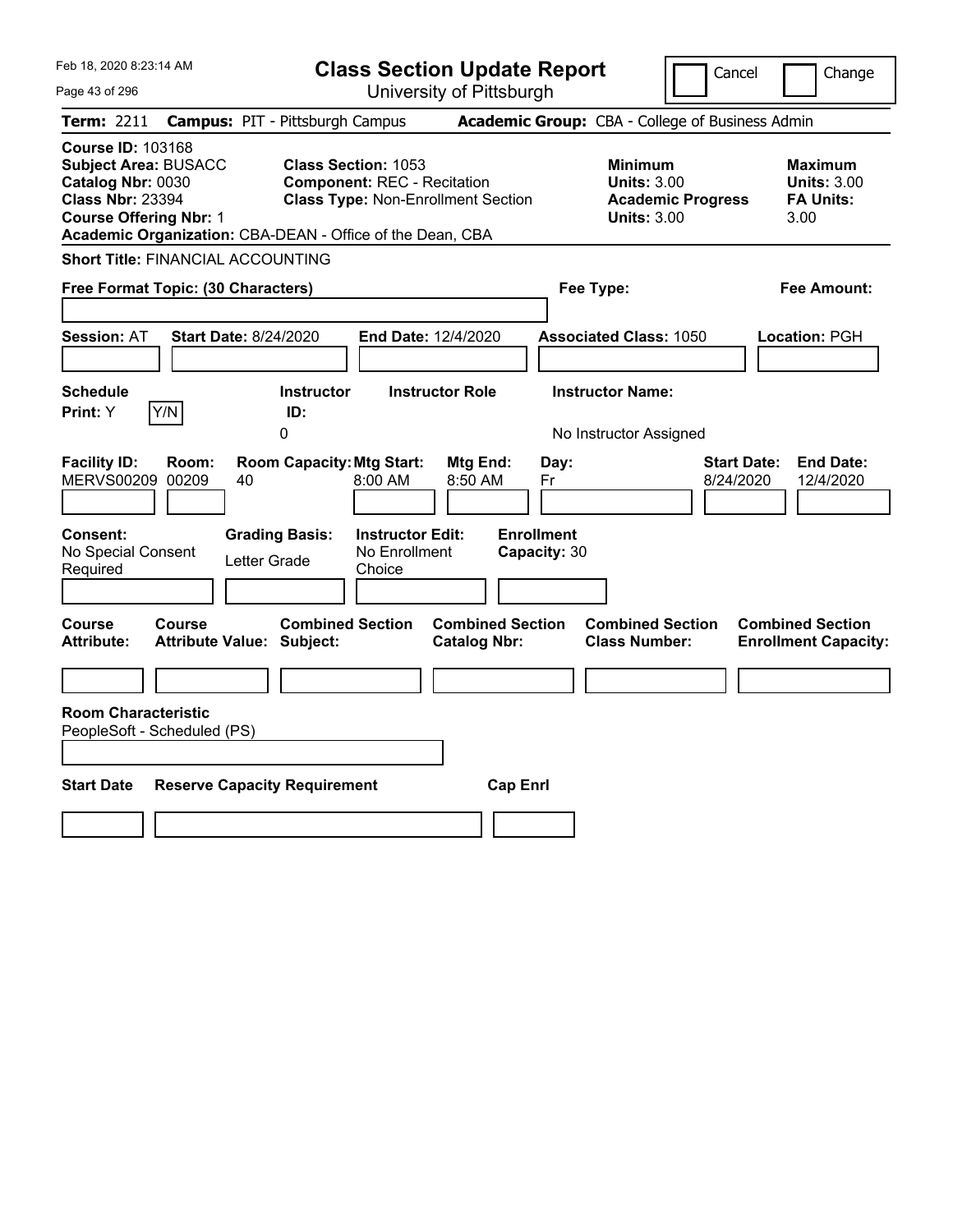| Feb 18, 2020 8:23:14 AM<br>Page 43 of 296                                                                                                                                                             | <b>Class Section Update Report</b><br>University of Pittsburgh                                                |                                                                            | Change<br>Cancel                                                                             |
|-------------------------------------------------------------------------------------------------------------------------------------------------------------------------------------------------------|---------------------------------------------------------------------------------------------------------------|----------------------------------------------------------------------------|----------------------------------------------------------------------------------------------|
| Term: 2211                                                                                                                                                                                            | <b>Campus: PIT - Pittsburgh Campus</b>                                                                        | Academic Group: CBA - College of Business Admin                            |                                                                                              |
| <b>Course ID: 103168</b><br><b>Subject Area: BUSACC</b><br>Catalog Nbr: 0030<br><b>Class Nbr: 23394</b><br><b>Course Offering Nbr: 1</b><br>Academic Organization: CBA-DEAN - Office of the Dean, CBA | <b>Class Section: 1053</b><br><b>Component: REC - Recitation</b><br><b>Class Type: Non-Enrollment Section</b> | <b>Minimum</b><br><b>Units: 3.00</b><br><b>Units: 3.00</b>                 | <b>Maximum</b><br><b>Units: 3.00</b><br><b>FA Units:</b><br><b>Academic Progress</b><br>3.00 |
| <b>Short Title: FINANCIAL ACCOUNTING</b>                                                                                                                                                              |                                                                                                               |                                                                            |                                                                                              |
| Free Format Topic: (30 Characters)                                                                                                                                                                    |                                                                                                               | Fee Type:                                                                  | <b>Fee Amount:</b>                                                                           |
| <b>Session: AT</b><br><b>Start Date: 8/24/2020</b>                                                                                                                                                    | End Date: 12/4/2020                                                                                           | <b>Associated Class: 1050</b>                                              | <b>Location: PGH</b>                                                                         |
| <b>Schedule</b>                                                                                                                                                                                       | <b>Instructor</b><br><b>Instructor Role</b>                                                                   | <b>Instructor Name:</b>                                                    |                                                                                              |
| Y/N<br><b>Print:</b> Y                                                                                                                                                                                | ID:<br>0                                                                                                      | No Instructor Assigned                                                     |                                                                                              |
| <b>Facility ID:</b><br>Room:<br><b>MERVS00209</b><br>00209<br>40                                                                                                                                      | <b>Room Capacity: Mtg Start:</b><br>Mtg End:<br>8:00 AM<br>8:50 AM                                            | Day:<br>Fr                                                                 | <b>Start Date:</b><br><b>End Date:</b><br>8/24/2020<br>12/4/2020                             |
| <b>Grading Basis:</b><br><b>Consent:</b><br>No Special Consent<br>Letter Grade<br>Required                                                                                                            | <b>Instructor Edit:</b><br>No Enrollment<br>Choice                                                            | <b>Enrollment</b><br>Capacity: 30                                          |                                                                                              |
| <b>Course</b><br>Course<br>Attribute Value: Subject:<br><b>Attribute:</b>                                                                                                                             | <b>Combined Section</b><br><b>Catalog Nbr:</b>                                                                | <b>Combined Section</b><br><b>Combined Section</b><br><b>Class Number:</b> | <b>Combined Section</b><br><b>Enrollment Capacity:</b>                                       |
|                                                                                                                                                                                                       |                                                                                                               |                                                                            |                                                                                              |
| <b>Room Characteristic</b><br>PeopleSoft - Scheduled (PS)                                                                                                                                             |                                                                                                               |                                                                            |                                                                                              |
|                                                                                                                                                                                                       |                                                                                                               |                                                                            |                                                                                              |
| <b>Start Date</b><br><b>Reserve Capacity Requirement</b>                                                                                                                                              |                                                                                                               | <b>Cap Enrl</b>                                                            |                                                                                              |
|                                                                                                                                                                                                       |                                                                                                               |                                                                            |                                                                                              |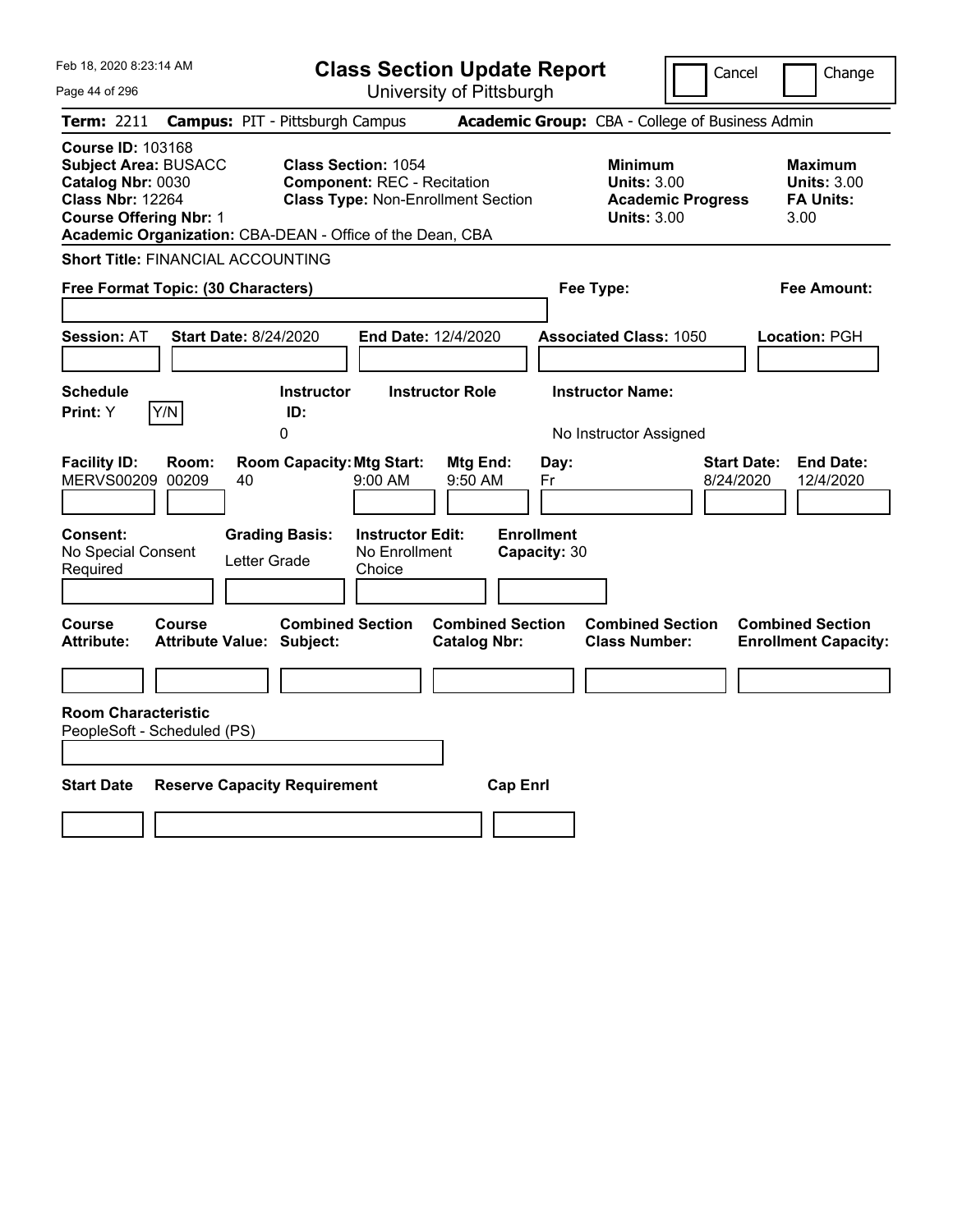| Feb 18, 2020 8:23:14 AM<br>Page 44 of 296                                                                                                                                                             |                                                                                                               | <b>Class Section Update Report</b><br>University of Pittsburgh |                                                                                        | Cancel<br>Change                                                 |
|-------------------------------------------------------------------------------------------------------------------------------------------------------------------------------------------------------|---------------------------------------------------------------------------------------------------------------|----------------------------------------------------------------|----------------------------------------------------------------------------------------|------------------------------------------------------------------|
| <b>Term: 2211</b>                                                                                                                                                                                     | <b>Campus: PIT - Pittsburgh Campus</b>                                                                        |                                                                | Academic Group: CBA - College of Business Admin                                        |                                                                  |
| <b>Course ID: 103168</b><br><b>Subject Area: BUSACC</b><br>Catalog Nbr: 0030<br><b>Class Nbr: 12264</b><br><b>Course Offering Nbr: 1</b><br>Academic Organization: CBA-DEAN - Office of the Dean, CBA | <b>Class Section: 1054</b><br><b>Component: REC - Recitation</b><br><b>Class Type: Non-Enrollment Section</b> |                                                                | <b>Minimum</b><br><b>Units: 3.00</b><br><b>Academic Progress</b><br><b>Units: 3.00</b> | <b>Maximum</b><br><b>Units: 3.00</b><br><b>FA Units:</b><br>3.00 |
| <b>Short Title: FINANCIAL ACCOUNTING</b>                                                                                                                                                              |                                                                                                               |                                                                |                                                                                        |                                                                  |
| Free Format Topic: (30 Characters)                                                                                                                                                                    |                                                                                                               |                                                                | Fee Type:                                                                              | Fee Amount:                                                      |
| <b>Start Date: 8/24/2020</b><br><b>Session: AT</b>                                                                                                                                                    | End Date: 12/4/2020                                                                                           |                                                                | <b>Associated Class: 1050</b>                                                          | Location: PGH                                                    |
| <b>Schedule</b>                                                                                                                                                                                       | <b>Instructor</b>                                                                                             | <b>Instructor Role</b>                                         | <b>Instructor Name:</b>                                                                |                                                                  |
| Y/N<br>Print: Y                                                                                                                                                                                       | ID:<br>0                                                                                                      |                                                                | No Instructor Assigned                                                                 |                                                                  |
| <b>Facility ID:</b><br>Room:<br><b>MERVS00209</b><br>00209<br>40                                                                                                                                      | <b>Room Capacity: Mtg Start:</b><br>9:00 AM                                                                   | Mtg End:<br>Day:<br>9:50 AM<br>Fr                              |                                                                                        | <b>Start Date:</b><br><b>End Date:</b><br>8/24/2020<br>12/4/2020 |
| <b>Consent:</b><br>No Special Consent<br>Letter Grade<br>Required                                                                                                                                     | <b>Grading Basis:</b><br><b>Instructor Edit:</b><br>No Enrollment<br>Choice                                   | <b>Enrollment</b><br>Capacity: 30                              |                                                                                        |                                                                  |
| Course<br><b>Course</b><br><b>Attribute:</b><br><b>Attribute Value: Subject:</b>                                                                                                                      | <b>Combined Section</b>                                                                                       | <b>Combined Section</b><br><b>Catalog Nbr:</b>                 | <b>Combined Section</b><br><b>Class Number:</b>                                        | <b>Combined Section</b><br><b>Enrollment Capacity:</b>           |
|                                                                                                                                                                                                       |                                                                                                               |                                                                |                                                                                        |                                                                  |
| <b>Room Characteristic</b><br>PeopleSoft - Scheduled (PS)                                                                                                                                             |                                                                                                               |                                                                |                                                                                        |                                                                  |
| <b>Start Date</b><br><b>Reserve Capacity Requirement</b>                                                                                                                                              |                                                                                                               | <b>Cap Enrl</b>                                                |                                                                                        |                                                                  |
|                                                                                                                                                                                                       |                                                                                                               |                                                                |                                                                                        |                                                                  |
|                                                                                                                                                                                                       |                                                                                                               |                                                                |                                                                                        |                                                                  |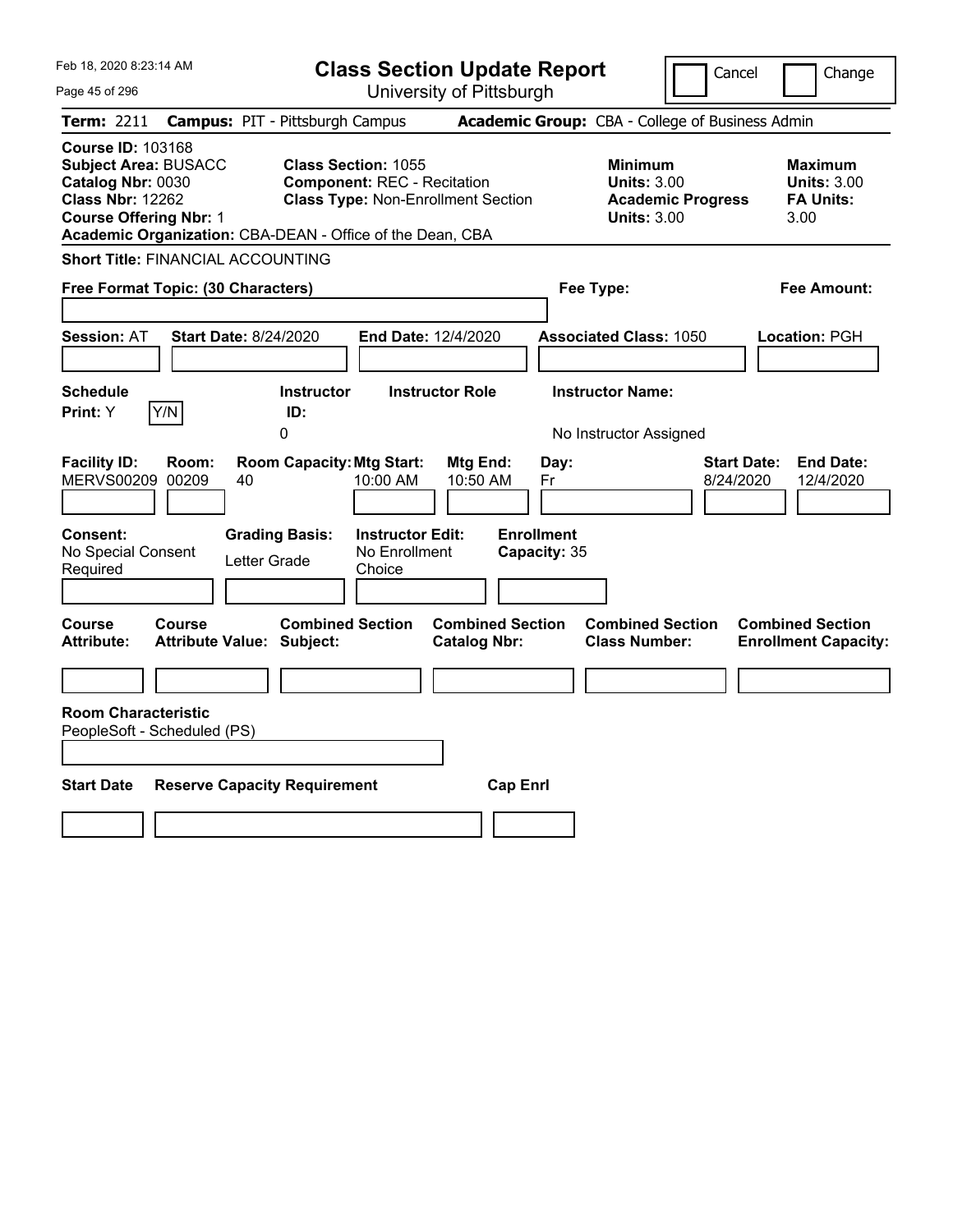| Feb 18, 2020 8:23:14 AM<br>Page 45 of 296                                                                                                                                                             | <b>Class Section Update Report</b>                                                                            | University of Pittsburgh                       |                                                                                        | Cancel<br>Change                                                 |
|-------------------------------------------------------------------------------------------------------------------------------------------------------------------------------------------------------|---------------------------------------------------------------------------------------------------------------|------------------------------------------------|----------------------------------------------------------------------------------------|------------------------------------------------------------------|
| <b>Term: 2211</b>                                                                                                                                                                                     | <b>Campus: PIT - Pittsburgh Campus</b>                                                                        |                                                | Academic Group: CBA - College of Business Admin                                        |                                                                  |
| <b>Course ID: 103168</b><br><b>Subject Area: BUSACC</b><br>Catalog Nbr: 0030<br><b>Class Nbr: 12262</b><br><b>Course Offering Nbr: 1</b><br>Academic Organization: CBA-DEAN - Office of the Dean, CBA | <b>Class Section: 1055</b><br><b>Component: REC - Recitation</b><br><b>Class Type: Non-Enrollment Section</b> |                                                | <b>Minimum</b><br><b>Units: 3.00</b><br><b>Academic Progress</b><br><b>Units: 3.00</b> | <b>Maximum</b><br><b>Units: 3.00</b><br><b>FA Units:</b><br>3.00 |
| <b>Short Title: FINANCIAL ACCOUNTING</b>                                                                                                                                                              |                                                                                                               |                                                |                                                                                        |                                                                  |
| Free Format Topic: (30 Characters)                                                                                                                                                                    |                                                                                                               |                                                | Fee Type:                                                                              | Fee Amount:                                                      |
| <b>Start Date: 8/24/2020</b><br><b>Session: AT</b>                                                                                                                                                    | End Date: 12/4/2020                                                                                           |                                                | <b>Associated Class: 1050</b>                                                          | Location: PGH                                                    |
| <b>Schedule</b>                                                                                                                                                                                       | <b>Instructor Role</b><br><b>Instructor</b>                                                                   |                                                | <b>Instructor Name:</b>                                                                |                                                                  |
| Y/N<br>Print: Y                                                                                                                                                                                       | ID:<br>0                                                                                                      |                                                | No Instructor Assigned                                                                 |                                                                  |
| <b>Facility ID:</b><br>Room:<br><b>MERVS00209</b><br>00209<br>40                                                                                                                                      | <b>Room Capacity: Mtg Start:</b><br>10:00 AM                                                                  | Mtg End:<br>Day:<br>10:50 AM<br>Fr             |                                                                                        | <b>Start Date:</b><br><b>End Date:</b><br>8/24/2020<br>12/4/2020 |
| <b>Consent:</b><br><b>Grading Basis:</b><br>No Special Consent<br>Letter Grade<br>Required                                                                                                            | <b>Instructor Edit:</b><br>No Enrollment<br>Choice                                                            | <b>Enrollment</b><br>Capacity: 35              |                                                                                        |                                                                  |
| Course<br><b>Course</b><br><b>Attribute:</b><br><b>Attribute Value: Subject:</b>                                                                                                                      | <b>Combined Section</b>                                                                                       | <b>Combined Section</b><br><b>Catalog Nbr:</b> | <b>Combined Section</b><br><b>Class Number:</b>                                        | <b>Combined Section</b><br><b>Enrollment Capacity:</b>           |
|                                                                                                                                                                                                       |                                                                                                               |                                                |                                                                                        |                                                                  |
| <b>Room Characteristic</b><br>PeopleSoft - Scheduled (PS)                                                                                                                                             |                                                                                                               |                                                |                                                                                        |                                                                  |
| <b>Start Date</b><br><b>Reserve Capacity Requirement</b>                                                                                                                                              |                                                                                                               | <b>Cap Enrl</b>                                |                                                                                        |                                                                  |
|                                                                                                                                                                                                       |                                                                                                               |                                                |                                                                                        |                                                                  |
|                                                                                                                                                                                                       |                                                                                                               |                                                |                                                                                        |                                                                  |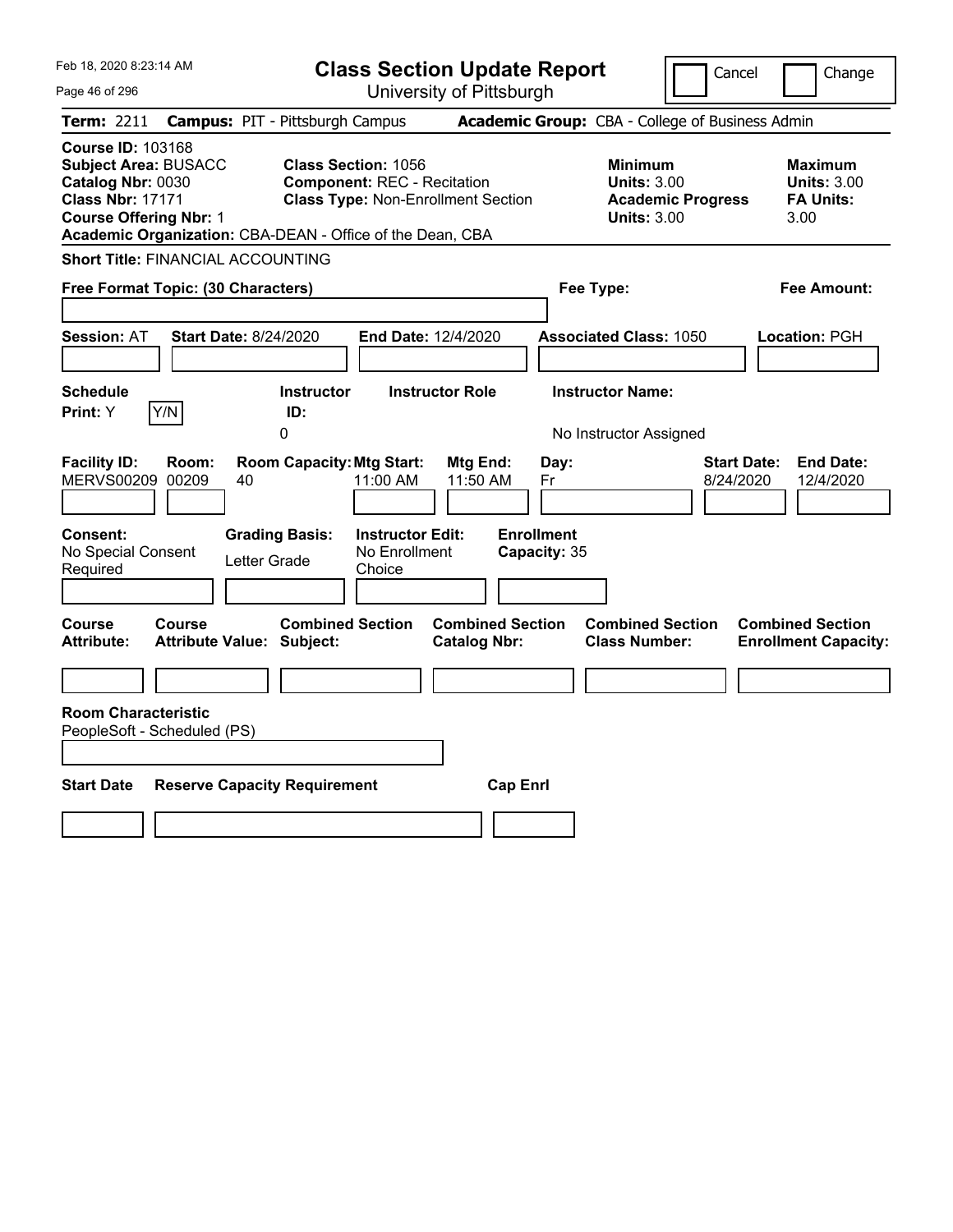| Feb 18, 2020 8:23:14 AM<br>Page 46 of 296                                                                                                                                                             |                                                                                                               | <b>Class Section Update Report</b><br>University of Pittsburgh |                                                                                        | Cancel<br>Change                                                 |
|-------------------------------------------------------------------------------------------------------------------------------------------------------------------------------------------------------|---------------------------------------------------------------------------------------------------------------|----------------------------------------------------------------|----------------------------------------------------------------------------------------|------------------------------------------------------------------|
| <b>Term: 2211</b>                                                                                                                                                                                     | <b>Campus: PIT - Pittsburgh Campus</b>                                                                        |                                                                | Academic Group: CBA - College of Business Admin                                        |                                                                  |
| <b>Course ID: 103168</b><br><b>Subject Area: BUSACC</b><br>Catalog Nbr: 0030<br><b>Class Nbr: 17171</b><br><b>Course Offering Nbr: 1</b><br>Academic Organization: CBA-DEAN - Office of the Dean, CBA | <b>Class Section: 1056</b><br><b>Component: REC - Recitation</b><br><b>Class Type: Non-Enrollment Section</b> |                                                                | <b>Minimum</b><br><b>Units: 3.00</b><br><b>Academic Progress</b><br><b>Units: 3.00</b> | <b>Maximum</b><br><b>Units: 3.00</b><br><b>FA Units:</b><br>3.00 |
| <b>Short Title: FINANCIAL ACCOUNTING</b>                                                                                                                                                              |                                                                                                               |                                                                |                                                                                        |                                                                  |
| Free Format Topic: (30 Characters)                                                                                                                                                                    |                                                                                                               |                                                                | Fee Type:                                                                              | Fee Amount:                                                      |
| <b>Start Date: 8/24/2020</b><br><b>Session: AT</b>                                                                                                                                                    | End Date: 12/4/2020                                                                                           |                                                                | <b>Associated Class: 1050</b>                                                          | Location: PGH                                                    |
| <b>Schedule</b>                                                                                                                                                                                       | <b>Instructor Role</b><br><b>Instructor</b>                                                                   |                                                                | <b>Instructor Name:</b>                                                                |                                                                  |
| Y/N<br>Print: Y                                                                                                                                                                                       | ID:<br>0                                                                                                      |                                                                | No Instructor Assigned                                                                 |                                                                  |
| <b>Facility ID:</b><br>Room:<br><b>MERVS00209</b><br>00209<br>40                                                                                                                                      | <b>Room Capacity: Mtg Start:</b><br>11:00 AM                                                                  | Mtg End:<br>Day:<br>11:50 AM<br>Fr                             |                                                                                        | <b>Start Date:</b><br><b>End Date:</b><br>8/24/2020<br>12/4/2020 |
| <b>Consent:</b><br>No Special Consent<br>Letter Grade<br>Required                                                                                                                                     | <b>Grading Basis:</b><br><b>Instructor Edit:</b><br>No Enrollment<br>Choice                                   | <b>Enrollment</b><br>Capacity: 35                              |                                                                                        |                                                                  |
| Course<br><b>Course</b><br><b>Attribute:</b><br><b>Attribute Value: Subject:</b>                                                                                                                      | <b>Combined Section</b>                                                                                       | <b>Combined Section</b><br><b>Catalog Nbr:</b>                 | <b>Combined Section</b><br><b>Class Number:</b>                                        | <b>Combined Section</b><br><b>Enrollment Capacity:</b>           |
|                                                                                                                                                                                                       |                                                                                                               |                                                                |                                                                                        |                                                                  |
| <b>Room Characteristic</b><br>PeopleSoft - Scheduled (PS)                                                                                                                                             |                                                                                                               |                                                                |                                                                                        |                                                                  |
| <b>Start Date</b><br><b>Reserve Capacity Requirement</b>                                                                                                                                              |                                                                                                               | <b>Cap Enrl</b>                                                |                                                                                        |                                                                  |
|                                                                                                                                                                                                       |                                                                                                               |                                                                |                                                                                        |                                                                  |
|                                                                                                                                                                                                       |                                                                                                               |                                                                |                                                                                        |                                                                  |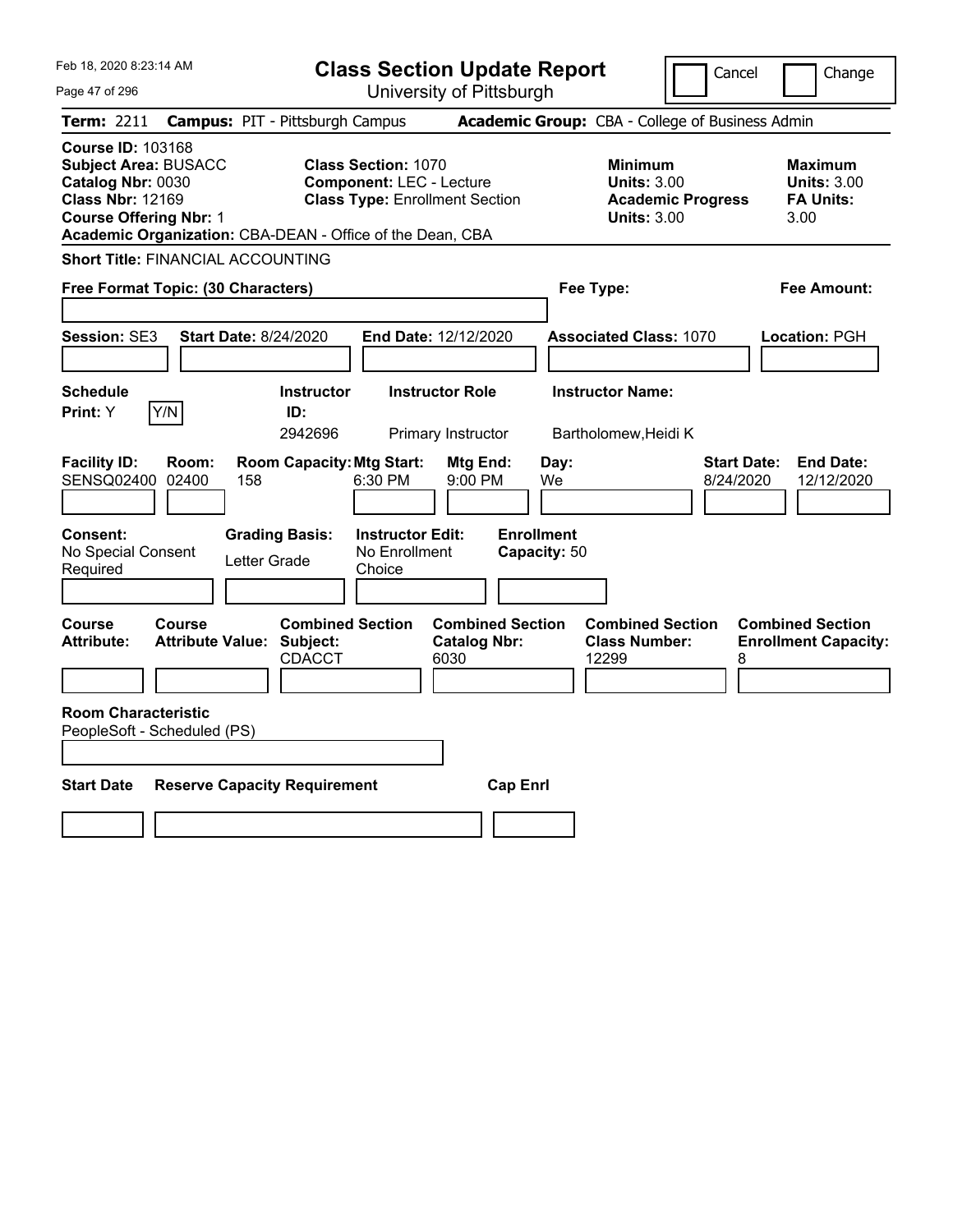| Feb 18, 2020 8:23:14 AM<br>Page 47 of 296                                                                                                                                                             | <b>Class Section Update Report</b><br>University of Pittsburgh                                         | Cancel                                                                                 | Change                                                           |
|-------------------------------------------------------------------------------------------------------------------------------------------------------------------------------------------------------|--------------------------------------------------------------------------------------------------------|----------------------------------------------------------------------------------------|------------------------------------------------------------------|
| <b>Term: 2211</b>                                                                                                                                                                                     | <b>Campus: PIT - Pittsburgh Campus</b>                                                                 | Academic Group: CBA - College of Business Admin                                        |                                                                  |
| <b>Course ID: 103168</b><br><b>Subject Area: BUSACC</b><br>Catalog Nbr: 0030<br><b>Class Nbr: 12169</b><br><b>Course Offering Nbr: 1</b><br>Academic Organization: CBA-DEAN - Office of the Dean, CBA | <b>Class Section: 1070</b><br><b>Component: LEC - Lecture</b><br><b>Class Type: Enrollment Section</b> | <b>Minimum</b><br><b>Units: 3.00</b><br><b>Academic Progress</b><br><b>Units: 3.00</b> | <b>Maximum</b><br><b>Units: 3.00</b><br><b>FA Units:</b><br>3.00 |
| <b>Short Title: FINANCIAL ACCOUNTING</b>                                                                                                                                                              |                                                                                                        |                                                                                        |                                                                  |
| Free Format Topic: (30 Characters)                                                                                                                                                                    |                                                                                                        | Fee Type:                                                                              | Fee Amount:                                                      |
| <b>Start Date: 8/24/2020</b><br>Session: SE3                                                                                                                                                          | End Date: 12/12/2020                                                                                   | <b>Associated Class: 1070</b>                                                          | Location: PGH                                                    |
| <b>Schedule</b><br>Y/N<br>Print: Y                                                                                                                                                                    | <b>Instructor Role</b><br><b>Instructor</b><br>ID:<br>2942696<br>Primary Instructor                    | <b>Instructor Name:</b><br>Bartholomew, Heidi K                                        |                                                                  |
| <b>Facility ID:</b><br>Room:<br>SENSQ02400<br>02400<br>158                                                                                                                                            | <b>Room Capacity: Mtg Start:</b><br>Mtg End:<br>6:30 PM<br>9:00 PM                                     | Day:<br><b>Start Date:</b><br>We<br>8/24/2020                                          | <b>End Date:</b><br>12/12/2020                                   |
| Consent:<br><b>Grading Basis:</b><br>No Special Consent<br>Letter Grade<br>Required                                                                                                                   | <b>Instructor Edit:</b><br>No Enrollment<br>Choice                                                     | <b>Enrollment</b><br>Capacity: 50                                                      |                                                                  |
| Course<br>Course<br><b>Attribute Value: Subject:</b><br><b>Attribute:</b>                                                                                                                             | <b>Combined Section</b><br><b>Combined Section</b><br><b>Catalog Nbr:</b><br><b>CDACCT</b><br>6030     | <b>Combined Section</b><br><b>Class Number:</b><br>12299<br>8                          | <b>Combined Section</b><br><b>Enrollment Capacity:</b>           |
|                                                                                                                                                                                                       |                                                                                                        |                                                                                        |                                                                  |
| <b>Room Characteristic</b><br>PeopleSoft - Scheduled (PS)                                                                                                                                             |                                                                                                        |                                                                                        |                                                                  |
| <b>Start Date</b><br><b>Reserve Capacity Requirement</b>                                                                                                                                              | <b>Cap Enrl</b>                                                                                        |                                                                                        |                                                                  |
|                                                                                                                                                                                                       |                                                                                                        |                                                                                        |                                                                  |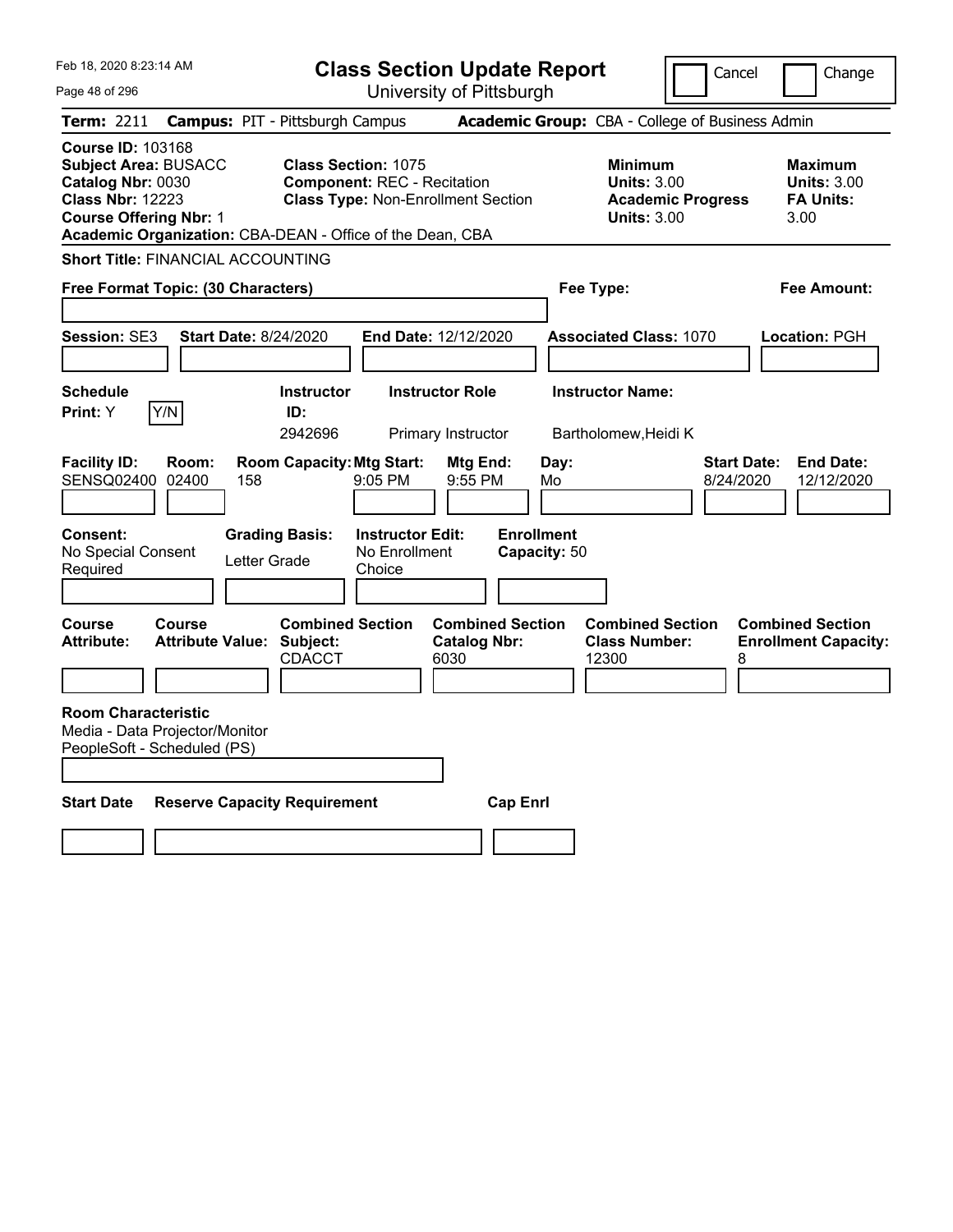| Feb 18, 2020 8:23:14 AM<br>Page 48 of 296                                                                                                                                                             | <b>Class Section Update Report</b><br>University of Pittsburgh                                                                                                | Cancel                                                                                 | Change                                                           |
|-------------------------------------------------------------------------------------------------------------------------------------------------------------------------------------------------------|---------------------------------------------------------------------------------------------------------------------------------------------------------------|----------------------------------------------------------------------------------------|------------------------------------------------------------------|
| Term: 2211                                                                                                                                                                                            | <b>Campus: PIT - Pittsburgh Campus</b>                                                                                                                        | Academic Group: CBA - College of Business Admin                                        |                                                                  |
| <b>Course ID: 103168</b><br><b>Subject Area: BUSACC</b><br>Catalog Nbr: 0030<br><b>Class Nbr: 12223</b><br><b>Course Offering Nbr: 1</b><br>Academic Organization: CBA-DEAN - Office of the Dean, CBA | Class Section: 1075<br><b>Component: REC - Recitation</b><br><b>Class Type: Non-Enrollment Section</b>                                                        | <b>Minimum</b><br><b>Units: 3.00</b><br><b>Academic Progress</b><br><b>Units: 3.00</b> | <b>Maximum</b><br><b>Units: 3.00</b><br><b>FA Units:</b><br>3.00 |
| <b>Short Title: FINANCIAL ACCOUNTING</b>                                                                                                                                                              |                                                                                                                                                               |                                                                                        |                                                                  |
| Free Format Topic: (30 Characters)                                                                                                                                                                    |                                                                                                                                                               | Fee Type:                                                                              | Fee Amount:                                                      |
| Session: SE3<br><b>Start Date: 8/24/2020</b>                                                                                                                                                          | End Date: 12/12/2020                                                                                                                                          | <b>Associated Class: 1070</b>                                                          | Location: PGH                                                    |
| <b>Schedule</b>                                                                                                                                                                                       | <b>Instructor</b><br><b>Instructor Role</b>                                                                                                                   | <b>Instructor Name:</b>                                                                |                                                                  |
| Y/N<br>Print: Y                                                                                                                                                                                       | ID:<br>2942696<br>Primary Instructor                                                                                                                          | Bartholomew, Heidi K                                                                   |                                                                  |
| <b>Facility ID:</b><br>Room:<br>SENSQ02400 02400<br>158<br>Consent:<br><b>Grading Basis:</b><br>No Special Consent<br>Letter Grade<br>Required                                                        | <b>Room Capacity: Mtg Start:</b><br>Mtg End:<br>9:05 PM<br>9:55 PM<br><b>Enrollment</b><br><b>Instructor Edit:</b><br>No Enrollment<br>Capacity: 50<br>Choice | Day:<br><b>Start Date:</b><br>8/24/2020<br>Mo                                          | <b>End Date:</b><br>12/12/2020                                   |
| <b>Course</b><br>Course<br><b>Attribute Value: Subject:</b><br><b>Attribute:</b>                                                                                                                      | <b>Combined Section</b><br><b>Combined Section</b><br><b>Catalog Nbr:</b><br><b>CDACCT</b><br>6030                                                            | <b>Combined Section</b><br><b>Class Number:</b><br>12300<br>8                          | <b>Combined Section</b><br><b>Enrollment Capacity:</b>           |
| <b>Room Characteristic</b><br>Media - Data Projector/Monitor<br>PeopleSoft - Scheduled (PS)                                                                                                           |                                                                                                                                                               |                                                                                        |                                                                  |
| <b>Start Date</b><br><b>Reserve Capacity Requirement</b>                                                                                                                                              | <b>Cap Enrl</b>                                                                                                                                               |                                                                                        |                                                                  |
|                                                                                                                                                                                                       |                                                                                                                                                               |                                                                                        |                                                                  |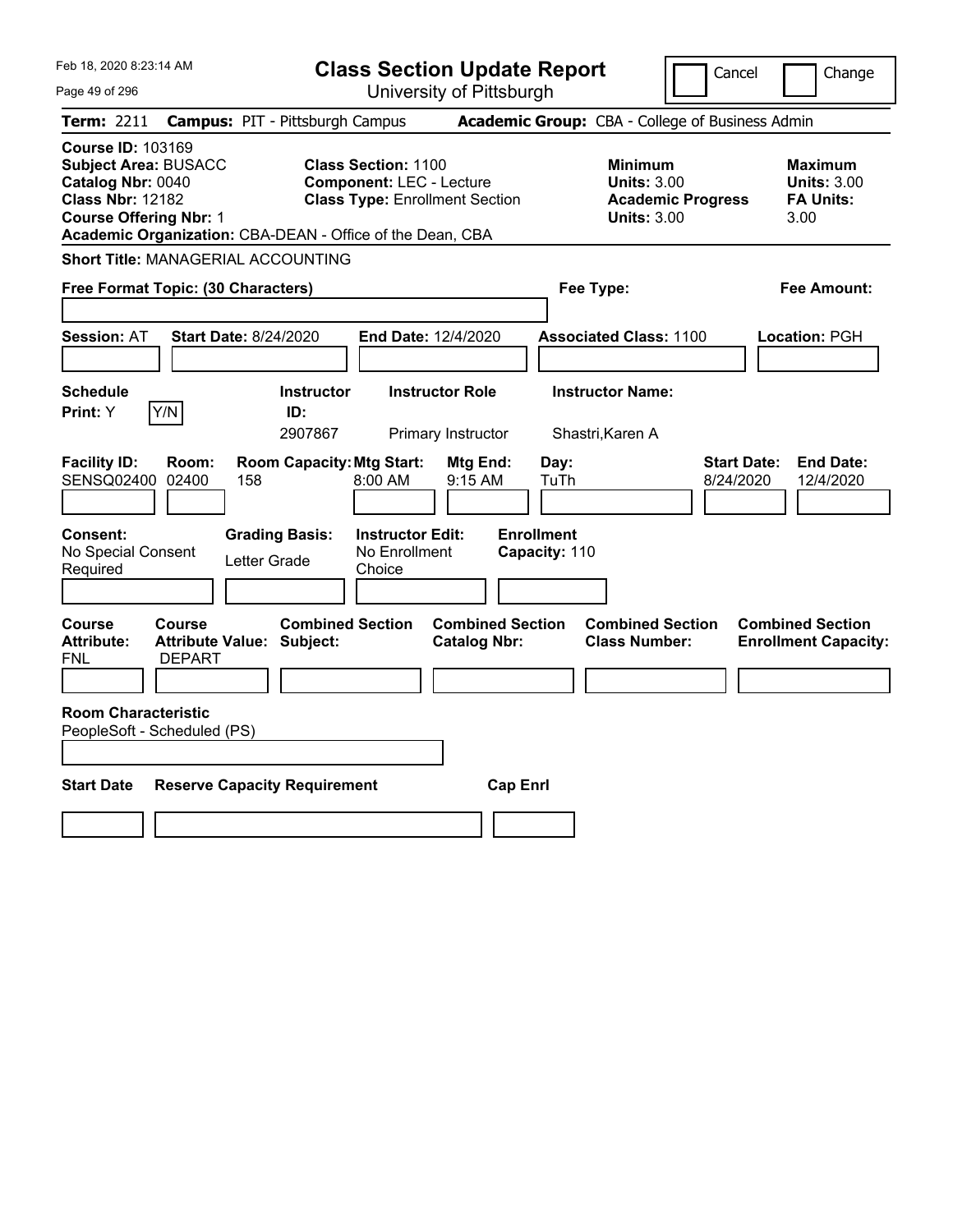| Feb 18, 2020 8:23:14 AM                                                                                                                                                                               |                                                                                                        | <b>Class Section Update Report</b>             |                                                                                        | Cancel<br>Change                                                 |
|-------------------------------------------------------------------------------------------------------------------------------------------------------------------------------------------------------|--------------------------------------------------------------------------------------------------------|------------------------------------------------|----------------------------------------------------------------------------------------|------------------------------------------------------------------|
| Page 49 of 296                                                                                                                                                                                        |                                                                                                        | University of Pittsburgh                       |                                                                                        |                                                                  |
| Term: 2211                                                                                                                                                                                            | <b>Campus: PIT - Pittsburgh Campus</b>                                                                 |                                                | Academic Group: CBA - College of Business Admin                                        |                                                                  |
| <b>Course ID: 103169</b><br><b>Subject Area: BUSACC</b><br>Catalog Nbr: 0040<br><b>Class Nbr: 12182</b><br><b>Course Offering Nbr: 1</b><br>Academic Organization: CBA-DEAN - Office of the Dean, CBA | <b>Class Section: 1100</b><br><b>Component: LEC - Lecture</b><br><b>Class Type: Enrollment Section</b> |                                                | <b>Minimum</b><br><b>Units: 3.00</b><br><b>Academic Progress</b><br><b>Units: 3.00</b> | <b>Maximum</b><br><b>Units: 3.00</b><br><b>FA Units:</b><br>3.00 |
| <b>Short Title: MANAGERIAL ACCOUNTING</b>                                                                                                                                                             |                                                                                                        |                                                |                                                                                        |                                                                  |
| Free Format Topic: (30 Characters)                                                                                                                                                                    |                                                                                                        |                                                | Fee Type:                                                                              | Fee Amount:                                                      |
| <b>Session: AT</b><br><b>Start Date: 8/24/2020</b>                                                                                                                                                    | End Date: 12/4/2020                                                                                    |                                                | <b>Associated Class: 1100</b>                                                          | Location: PGH                                                    |
| <b>Schedule</b><br>Y/N<br>Print: Y                                                                                                                                                                    | <b>Instructor</b><br>ID:<br>2907867                                                                    | <b>Instructor Role</b><br>Primary Instructor   | <b>Instructor Name:</b><br>Shastri, Karen A                                            |                                                                  |
| <b>Facility ID:</b><br>Room:<br>SENSQ02400 02400<br>158                                                                                                                                               | <b>Room Capacity: Mtg Start:</b><br>8:00 AM                                                            | Mtg End:<br>Day:<br>$9:15$ AM<br>TuTh          |                                                                                        | <b>Start Date:</b><br><b>End Date:</b><br>8/24/2020<br>12/4/2020 |
| Consent:<br>No Special Consent<br>Required                                                                                                                                                            | <b>Grading Basis:</b><br><b>Instructor Edit:</b><br>No Enrollment<br>Letter Grade<br>Choice            | <b>Enrollment</b><br>Capacity: 110             |                                                                                        |                                                                  |
| Course<br><b>Course</b><br><b>Attribute:</b><br><b>Attribute Value: Subject:</b><br><b>DEPART</b><br>FNL                                                                                              | <b>Combined Section</b>                                                                                | <b>Combined Section</b><br><b>Catalog Nbr:</b> | <b>Combined Section</b><br><b>Class Number:</b>                                        | <b>Combined Section</b><br><b>Enrollment Capacity:</b>           |
|                                                                                                                                                                                                       |                                                                                                        |                                                |                                                                                        |                                                                  |
| <b>Room Characteristic</b><br>PeopleSoft - Scheduled (PS)                                                                                                                                             |                                                                                                        |                                                |                                                                                        |                                                                  |
| <b>Start Date</b>                                                                                                                                                                                     | <b>Reserve Capacity Requirement</b>                                                                    | <b>Cap Enrl</b>                                |                                                                                        |                                                                  |
|                                                                                                                                                                                                       |                                                                                                        |                                                |                                                                                        |                                                                  |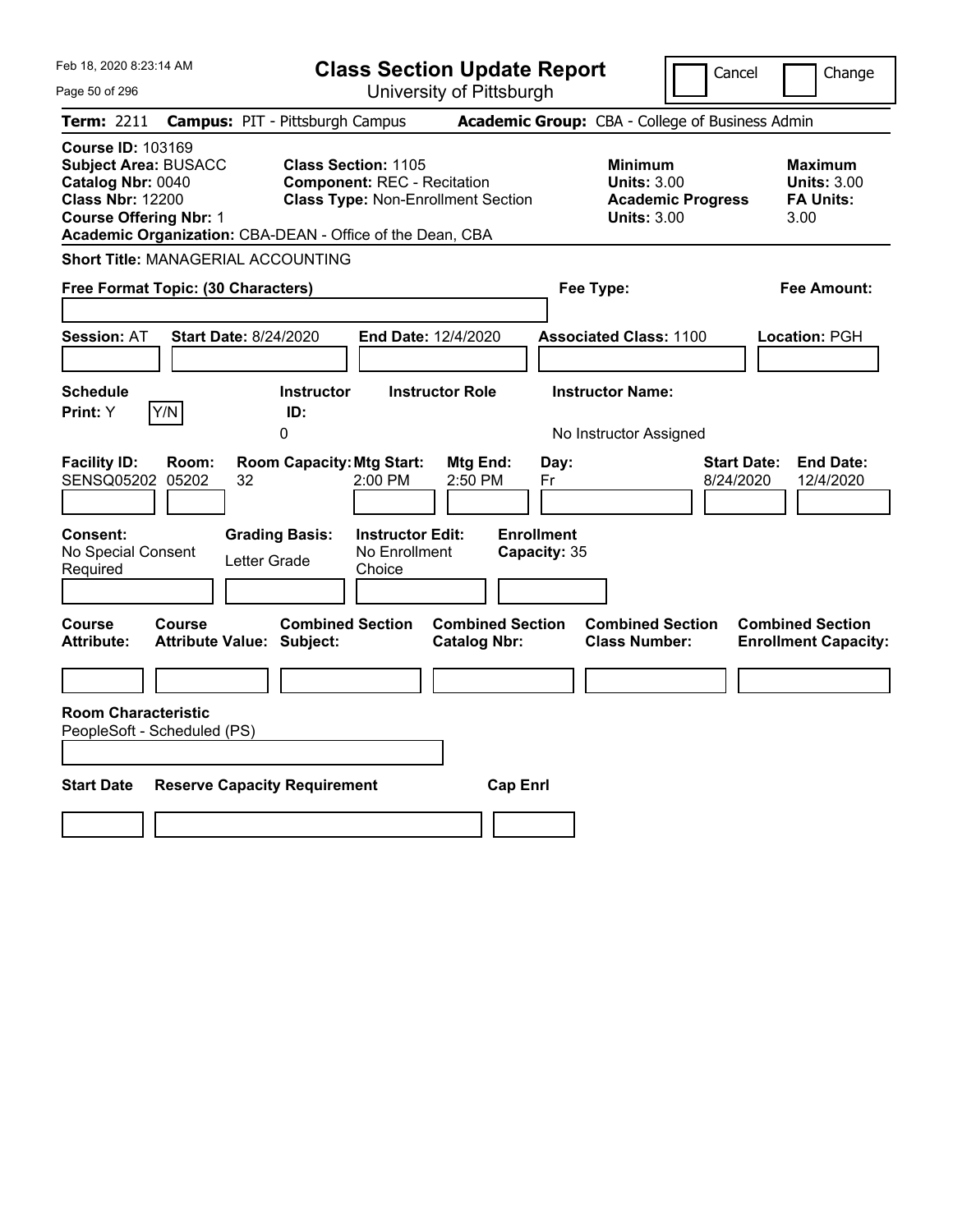| Feb 18, 2020 8:23:14 AM<br>Page 50 of 296                                                                                                                                                             | <b>Class Section Update Report</b><br>University of Pittsburgh                                         |                                                                        | Cancel                          | Change                                                           |
|-------------------------------------------------------------------------------------------------------------------------------------------------------------------------------------------------------|--------------------------------------------------------------------------------------------------------|------------------------------------------------------------------------|---------------------------------|------------------------------------------------------------------|
| <b>Term: 2211</b>                                                                                                                                                                                     | <b>Campus: PIT - Pittsburgh Campus</b>                                                                 | Academic Group: CBA - College of Business Admin                        |                                 |                                                                  |
| <b>Course ID: 103169</b><br><b>Subject Area: BUSACC</b><br>Catalog Nbr: 0040<br><b>Class Nbr: 12200</b><br><b>Course Offering Nbr: 1</b><br>Academic Organization: CBA-DEAN - Office of the Dean, CBA | Class Section: 1105<br><b>Component: REC - Recitation</b><br><b>Class Type: Non-Enrollment Section</b> | <b>Minimum</b><br><b>Units: 3.00</b><br><b>Units: 3.00</b>             | <b>Academic Progress</b>        | <b>Maximum</b><br><b>Units: 3.00</b><br><b>FA Units:</b><br>3.00 |
| <b>Short Title: MANAGERIAL ACCOUNTING</b><br>Free Format Topic: (30 Characters)                                                                                                                       |                                                                                                        | Fee Type:                                                              |                                 | Fee Amount:                                                      |
| <b>Start Date: 8/24/2020</b><br><b>Session: AT</b>                                                                                                                                                    | End Date: 12/4/2020                                                                                    | <b>Associated Class: 1100</b>                                          |                                 | Location: PGH                                                    |
| <b>Schedule</b><br>Y/N<br>Print: Y                                                                                                                                                                    | <b>Instructor Role</b><br><b>Instructor</b><br>ID:<br>0                                                | <b>Instructor Name:</b><br>No Instructor Assigned                      |                                 |                                                                  |
| <b>Facility ID:</b><br>Room:<br><b>SENSQ05202</b><br>05202<br>32                                                                                                                                      | <b>Room Capacity: Mtg Start:</b><br>2:00 PM                                                            | Mtg End:<br>Day:<br>2:50 PM<br>Fr                                      | <b>Start Date:</b><br>8/24/2020 | <b>End Date:</b><br>12/4/2020                                    |
| Consent:<br>No Special Consent<br>Letter Grade<br>Required                                                                                                                                            | <b>Grading Basis:</b><br><b>Instructor Edit:</b><br>No Enrollment<br>Choice                            | <b>Enrollment</b><br>Capacity: 35                                      |                                 |                                                                  |
| <b>Course</b><br><b>Course</b><br><b>Attribute Value: Subject:</b><br><b>Attribute:</b>                                                                                                               | <b>Combined Section</b>                                                                                | <b>Combined Section</b><br><b>Catalog Nbr:</b><br><b>Class Number:</b> | <b>Combined Section</b>         | <b>Combined Section</b><br><b>Enrollment Capacity:</b>           |
| <b>Room Characteristic</b><br>PeopleSoft - Scheduled (PS)                                                                                                                                             |                                                                                                        |                                                                        |                                 |                                                                  |
| <b>Start Date</b><br><b>Reserve Capacity Requirement</b>                                                                                                                                              |                                                                                                        | <b>Cap Enrl</b>                                                        |                                 |                                                                  |
|                                                                                                                                                                                                       |                                                                                                        |                                                                        |                                 |                                                                  |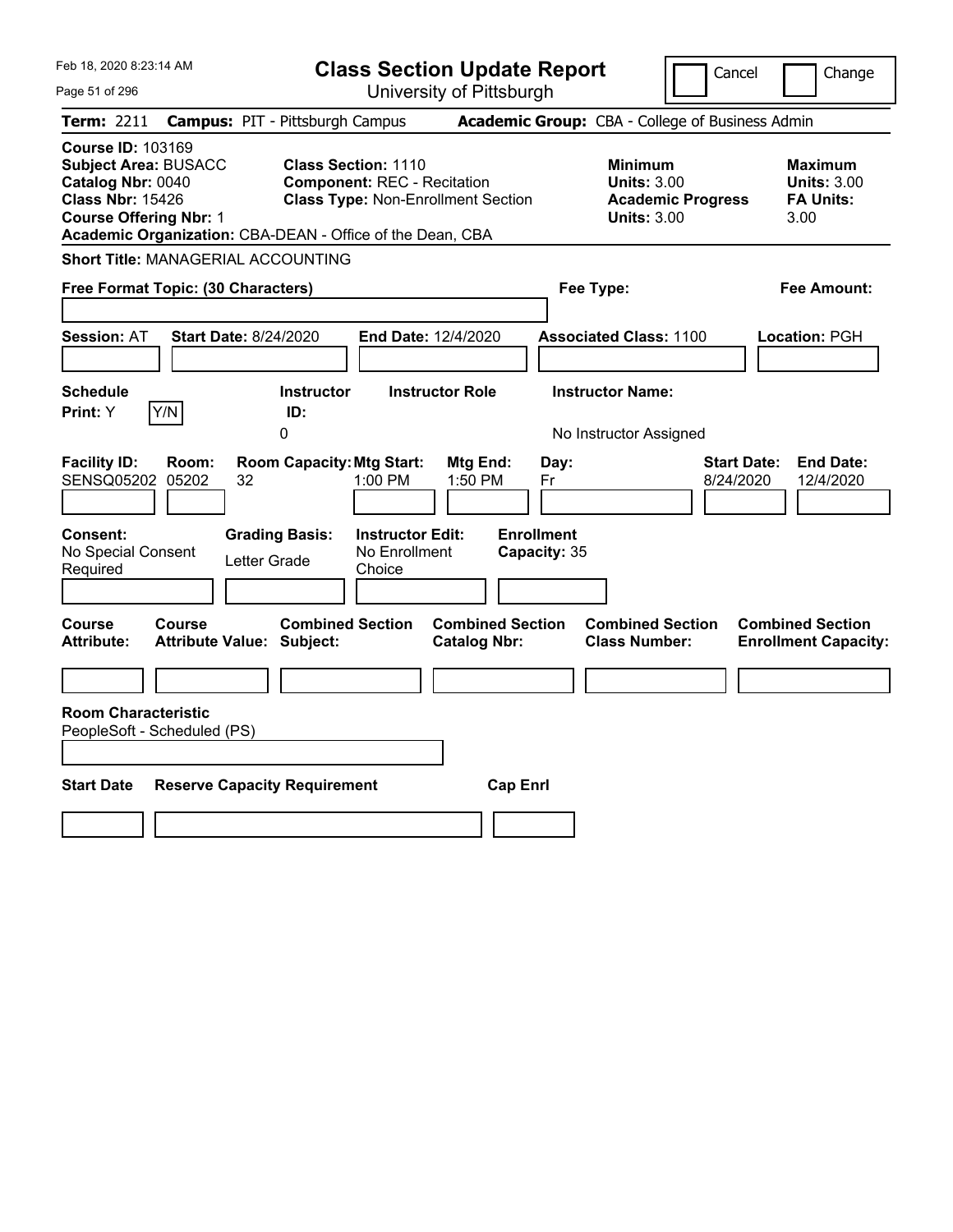| Feb 18, 2020 8:23:14 AM                                                                                                                                                                               | <b>Class Section Update Report</b>                                                                     | Cancel                                                                                 | Change                                                           |
|-------------------------------------------------------------------------------------------------------------------------------------------------------------------------------------------------------|--------------------------------------------------------------------------------------------------------|----------------------------------------------------------------------------------------|------------------------------------------------------------------|
| Page 51 of 296                                                                                                                                                                                        | University of Pittsburgh                                                                               |                                                                                        |                                                                  |
| <b>Term: 2211</b>                                                                                                                                                                                     | <b>Campus: PIT - Pittsburgh Campus</b>                                                                 | Academic Group: CBA - College of Business Admin                                        |                                                                  |
| <b>Course ID: 103169</b><br><b>Subject Area: BUSACC</b><br>Catalog Nbr: 0040<br><b>Class Nbr: 15426</b><br><b>Course Offering Nbr: 1</b><br>Academic Organization: CBA-DEAN - Office of the Dean, CBA | Class Section: 1110<br><b>Component: REC - Recitation</b><br><b>Class Type: Non-Enrollment Section</b> | <b>Minimum</b><br><b>Units: 3.00</b><br><b>Academic Progress</b><br><b>Units: 3.00</b> | <b>Maximum</b><br><b>Units: 3.00</b><br><b>FA Units:</b><br>3.00 |
| <b>Short Title: MANAGERIAL ACCOUNTING</b>                                                                                                                                                             |                                                                                                        |                                                                                        |                                                                  |
| Free Format Topic: (30 Characters)                                                                                                                                                                    |                                                                                                        | Fee Type:                                                                              | Fee Amount:                                                      |
| <b>Start Date: 8/24/2020</b><br><b>Session: AT</b>                                                                                                                                                    | End Date: 12/4/2020                                                                                    | <b>Associated Class: 1100</b>                                                          | Location: PGH                                                    |
| <b>Schedule</b><br>Y/N<br>Print: Y                                                                                                                                                                    | <b>Instructor Role</b><br><b>Instructor</b><br>ID:<br>0                                                | <b>Instructor Name:</b><br>No Instructor Assigned                                      |                                                                  |
| <b>Facility ID:</b><br>Room:<br><b>SENSQ05202</b><br>05202<br>32                                                                                                                                      | <b>Room Capacity: Mtg Start:</b><br>Mtg End:<br>1:00 PM<br>1:50 PM                                     | Day:<br>8/24/2020<br>Fr                                                                | <b>End Date:</b><br><b>Start Date:</b><br>12/4/2020              |
| Consent:<br><b>Grading Basis:</b><br>No Special Consent<br>Letter Grade<br>Required                                                                                                                   | <b>Instructor Edit:</b><br>No Enrollment<br>Choice                                                     | <b>Enrollment</b><br>Capacity: 35                                                      |                                                                  |
| <b>Course</b><br><b>Course</b><br><b>Attribute Value: Subject:</b><br><b>Attribute:</b>                                                                                                               | <b>Combined Section</b><br><b>Combined Section</b><br><b>Catalog Nbr:</b>                              | <b>Combined Section</b><br><b>Class Number:</b>                                        | <b>Combined Section</b><br><b>Enrollment Capacity:</b>           |
|                                                                                                                                                                                                       |                                                                                                        |                                                                                        |                                                                  |
| <b>Room Characteristic</b><br>PeopleSoft - Scheduled (PS)                                                                                                                                             |                                                                                                        |                                                                                        |                                                                  |
| <b>Start Date</b><br><b>Reserve Capacity Requirement</b>                                                                                                                                              | <b>Cap Enrl</b>                                                                                        |                                                                                        |                                                                  |
|                                                                                                                                                                                                       |                                                                                                        |                                                                                        |                                                                  |
|                                                                                                                                                                                                       |                                                                                                        |                                                                                        |                                                                  |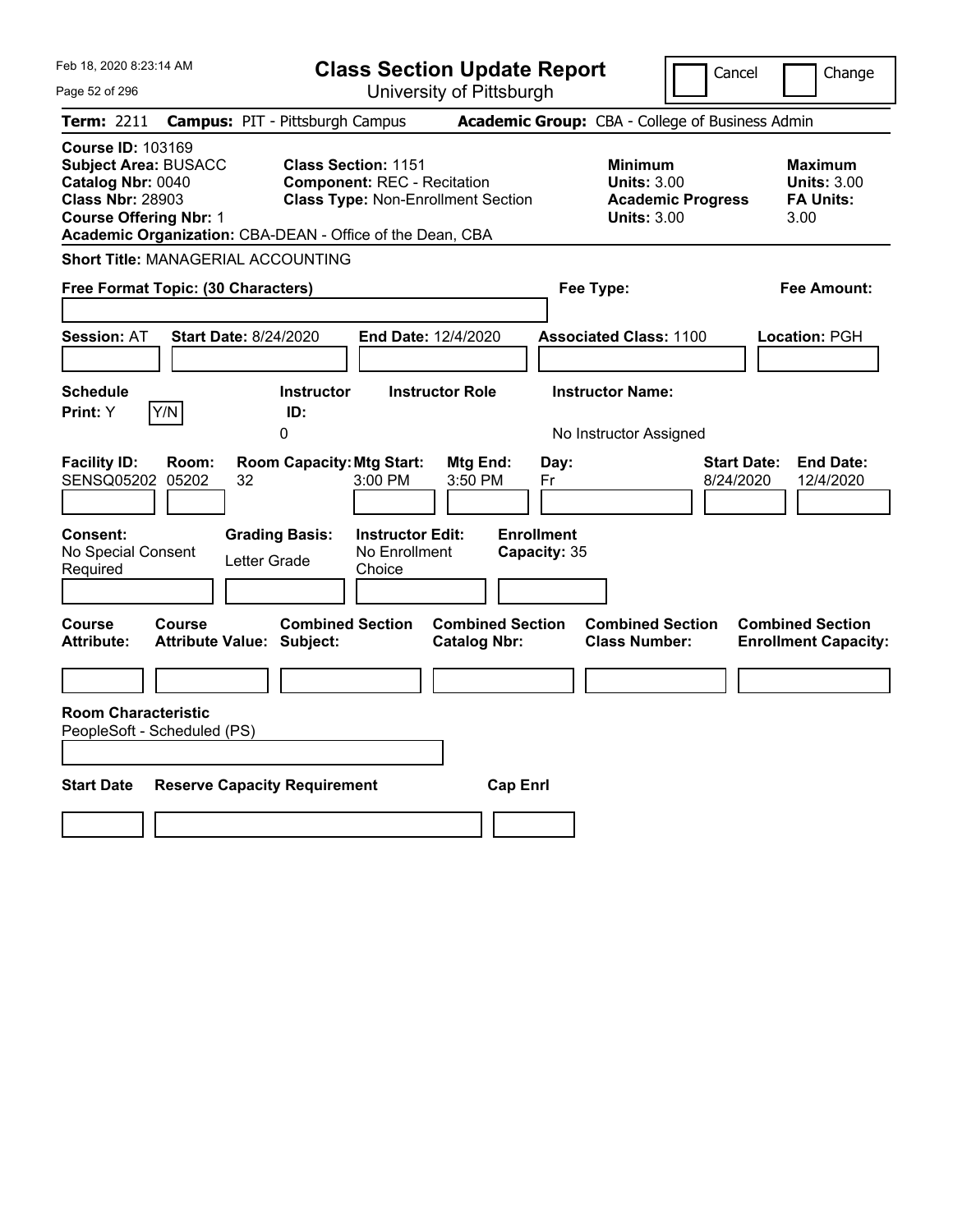| Feb 18, 2020 8:23:14 AM                                                                                                                                                                               | <b>Class Section Update Report</b>                                                                            | Cancel                                                                                 | Change                                                           |
|-------------------------------------------------------------------------------------------------------------------------------------------------------------------------------------------------------|---------------------------------------------------------------------------------------------------------------|----------------------------------------------------------------------------------------|------------------------------------------------------------------|
| Page 52 of 296                                                                                                                                                                                        | University of Pittsburgh                                                                                      |                                                                                        |                                                                  |
| Term: 2211                                                                                                                                                                                            | <b>Campus: PIT - Pittsburgh Campus</b>                                                                        | Academic Group: CBA - College of Business Admin                                        |                                                                  |
| <b>Course ID: 103169</b><br><b>Subject Area: BUSACC</b><br>Catalog Nbr: 0040<br><b>Class Nbr: 28903</b><br><b>Course Offering Nbr: 1</b><br>Academic Organization: CBA-DEAN - Office of the Dean, CBA | <b>Class Section: 1151</b><br><b>Component: REC - Recitation</b><br><b>Class Type: Non-Enrollment Section</b> | <b>Minimum</b><br><b>Units: 3.00</b><br><b>Academic Progress</b><br><b>Units: 3.00</b> | <b>Maximum</b><br><b>Units: 3.00</b><br><b>FA Units:</b><br>3.00 |
| <b>Short Title: MANAGERIAL ACCOUNTING</b>                                                                                                                                                             |                                                                                                               |                                                                                        |                                                                  |
| Free Format Topic: (30 Characters)                                                                                                                                                                    |                                                                                                               | Fee Type:                                                                              | Fee Amount:                                                      |
| <b>Start Date: 8/24/2020</b><br><b>Session: AT</b>                                                                                                                                                    | End Date: 12/4/2020                                                                                           | <b>Associated Class: 1100</b>                                                          | Location: PGH                                                    |
| <b>Schedule</b>                                                                                                                                                                                       | <b>Instructor Role</b><br><b>Instructor</b>                                                                   | <b>Instructor Name:</b>                                                                |                                                                  |
| Y/N<br><b>Print:</b> Y                                                                                                                                                                                | ID:                                                                                                           |                                                                                        |                                                                  |
| 0                                                                                                                                                                                                     |                                                                                                               | No Instructor Assigned                                                                 |                                                                  |
| <b>Facility ID:</b><br>Room:<br><b>SENSQ05202</b><br>05202<br>32                                                                                                                                      | <b>Room Capacity: Mtg Start:</b><br>Mtg End:<br>Day:<br>3:00 PM<br>3:50 PM<br>Fr                              | <b>Start Date:</b><br>8/24/2020                                                        | <b>End Date:</b><br>12/4/2020                                    |
| <b>Consent:</b><br><b>Grading Basis:</b><br>No Special Consent<br>Letter Grade<br>Required                                                                                                            | <b>Enrollment</b><br><b>Instructor Edit:</b><br>No Enrollment<br>Capacity: 35<br>Choice                       |                                                                                        |                                                                  |
| <b>Course</b><br>Course<br><b>Attribute:</b><br><b>Attribute Value: Subject:</b>                                                                                                                      | <b>Combined Section</b><br><b>Combined Section</b><br><b>Catalog Nbr:</b>                                     | <b>Combined Section</b><br><b>Class Number:</b>                                        | <b>Combined Section</b><br><b>Enrollment Capacity:</b>           |
|                                                                                                                                                                                                       |                                                                                                               |                                                                                        |                                                                  |
| <b>Room Characteristic</b><br>PeopleSoft - Scheduled (PS)                                                                                                                                             |                                                                                                               |                                                                                        |                                                                  |
|                                                                                                                                                                                                       |                                                                                                               |                                                                                        |                                                                  |
| <b>Start Date</b><br><b>Reserve Capacity Requirement</b>                                                                                                                                              | <b>Cap Enrl</b>                                                                                               |                                                                                        |                                                                  |
|                                                                                                                                                                                                       |                                                                                                               |                                                                                        |                                                                  |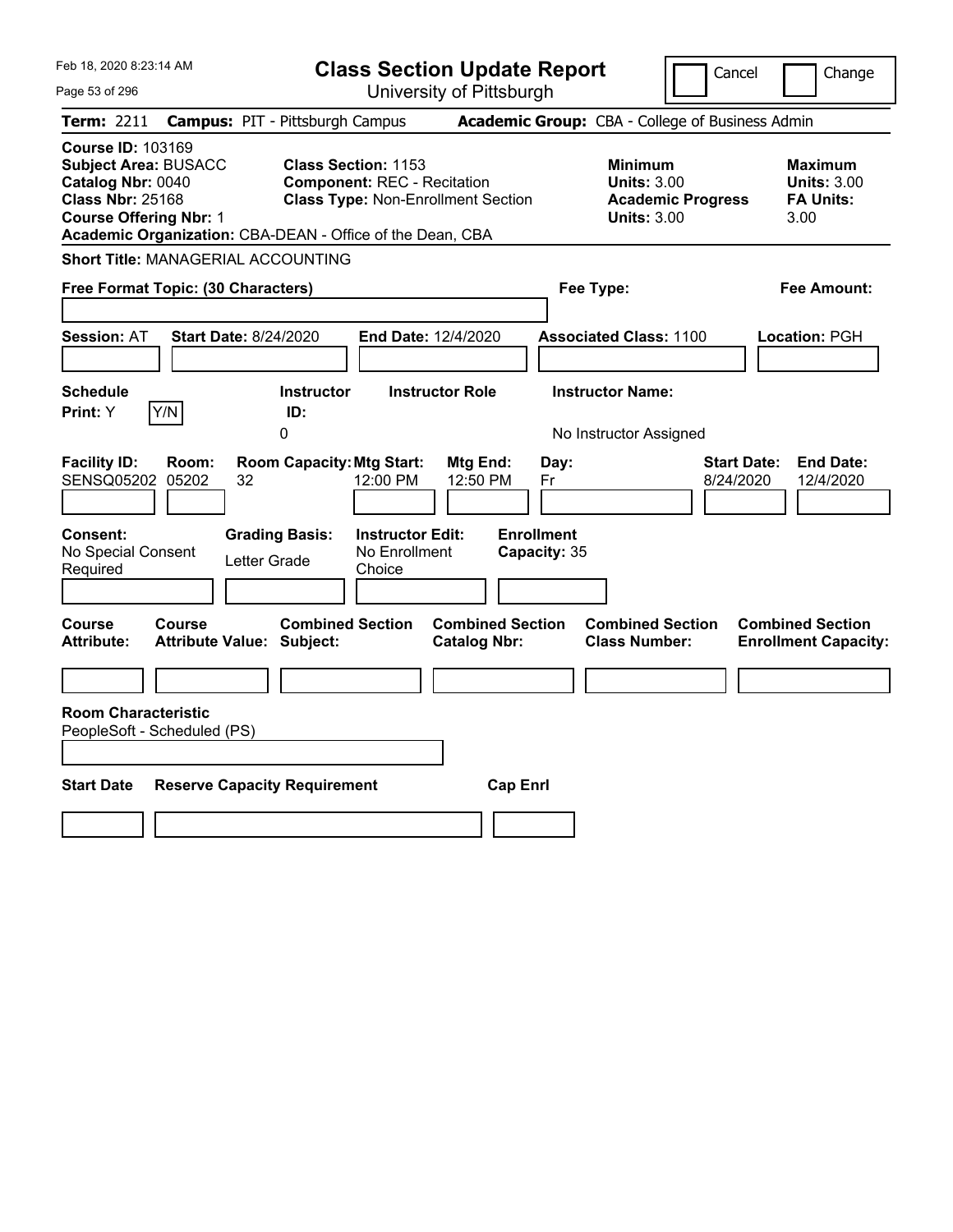| Feb 18, 2020 8:23:14 AM                                                                                                                                                                               | <b>Class Section Update Report</b>                                                                                          |                                                                         | Cancel                                                                                 | Change                                                           |
|-------------------------------------------------------------------------------------------------------------------------------------------------------------------------------------------------------|-----------------------------------------------------------------------------------------------------------------------------|-------------------------------------------------------------------------|----------------------------------------------------------------------------------------|------------------------------------------------------------------|
| Page 53 of 296                                                                                                                                                                                        |                                                                                                                             | University of Pittsburgh                                                |                                                                                        |                                                                  |
| Term: 2211                                                                                                                                                                                            | <b>Campus: PIT - Pittsburgh Campus</b>                                                                                      |                                                                         | Academic Group: CBA - College of Business Admin                                        |                                                                  |
| <b>Course ID: 103169</b><br><b>Subject Area: BUSACC</b><br>Catalog Nbr: 0040<br><b>Class Nbr: 25168</b><br><b>Course Offering Nbr: 1</b><br>Academic Organization: CBA-DEAN - Office of the Dean, CBA | <b>Class Section: 1153</b><br><b>Component: REC - Recitation</b><br><b>Class Type: Non-Enrollment Section</b>               |                                                                         | <b>Minimum</b><br><b>Units: 3.00</b><br><b>Academic Progress</b><br><b>Units: 3.00</b> | <b>Maximum</b><br><b>Units: 3.00</b><br><b>FA Units:</b><br>3.00 |
| <b>Short Title: MANAGERIAL ACCOUNTING</b>                                                                                                                                                             |                                                                                                                             |                                                                         |                                                                                        |                                                                  |
| Free Format Topic: (30 Characters)                                                                                                                                                                    |                                                                                                                             |                                                                         | Fee Type:                                                                              | Fee Amount:                                                      |
| <b>Start Date: 8/24/2020</b><br><b>Session: AT</b>                                                                                                                                                    | End Date: 12/4/2020                                                                                                         |                                                                         | <b>Associated Class: 1100</b>                                                          | Location: PGH                                                    |
| <b>Schedule</b>                                                                                                                                                                                       | <b>Instructor Role</b><br><b>Instructor</b>                                                                                 |                                                                         | <b>Instructor Name:</b>                                                                |                                                                  |
| Y/N<br><b>Print:</b> Y                                                                                                                                                                                | ID:<br>0                                                                                                                    |                                                                         | No Instructor Assigned                                                                 |                                                                  |
| <b>Facility ID:</b><br>Room:<br><b>SENSQ05202</b><br>05202<br>32<br><b>Consent:</b><br>No Special Consent<br>Letter Grade<br>Required                                                                 | <b>Room Capacity: Mtg Start:</b><br>12:00 PM<br><b>Instructor Edit:</b><br><b>Grading Basis:</b><br>No Enrollment<br>Choice | Mtg End:<br>Day:<br>12:50 PM<br>Fr<br><b>Enrollment</b><br>Capacity: 35 | <b>Start Date:</b><br>8/24/2020                                                        | <b>End Date:</b><br>12/4/2020                                    |
|                                                                                                                                                                                                       |                                                                                                                             |                                                                         |                                                                                        |                                                                  |
| <b>Course</b><br>Course<br><b>Attribute:</b><br><b>Attribute Value: Subject:</b>                                                                                                                      | <b>Combined Section</b>                                                                                                     | <b>Combined Section</b><br><b>Catalog Nbr:</b>                          | <b>Combined Section</b><br><b>Class Number:</b>                                        | <b>Combined Section</b><br><b>Enrollment Capacity:</b>           |
|                                                                                                                                                                                                       |                                                                                                                             |                                                                         |                                                                                        |                                                                  |
| <b>Room Characteristic</b><br>PeopleSoft - Scheduled (PS)                                                                                                                                             |                                                                                                                             |                                                                         |                                                                                        |                                                                  |
| <b>Start Date</b><br><b>Reserve Capacity Requirement</b>                                                                                                                                              |                                                                                                                             | <b>Cap Enrl</b>                                                         |                                                                                        |                                                                  |
|                                                                                                                                                                                                       |                                                                                                                             |                                                                         |                                                                                        |                                                                  |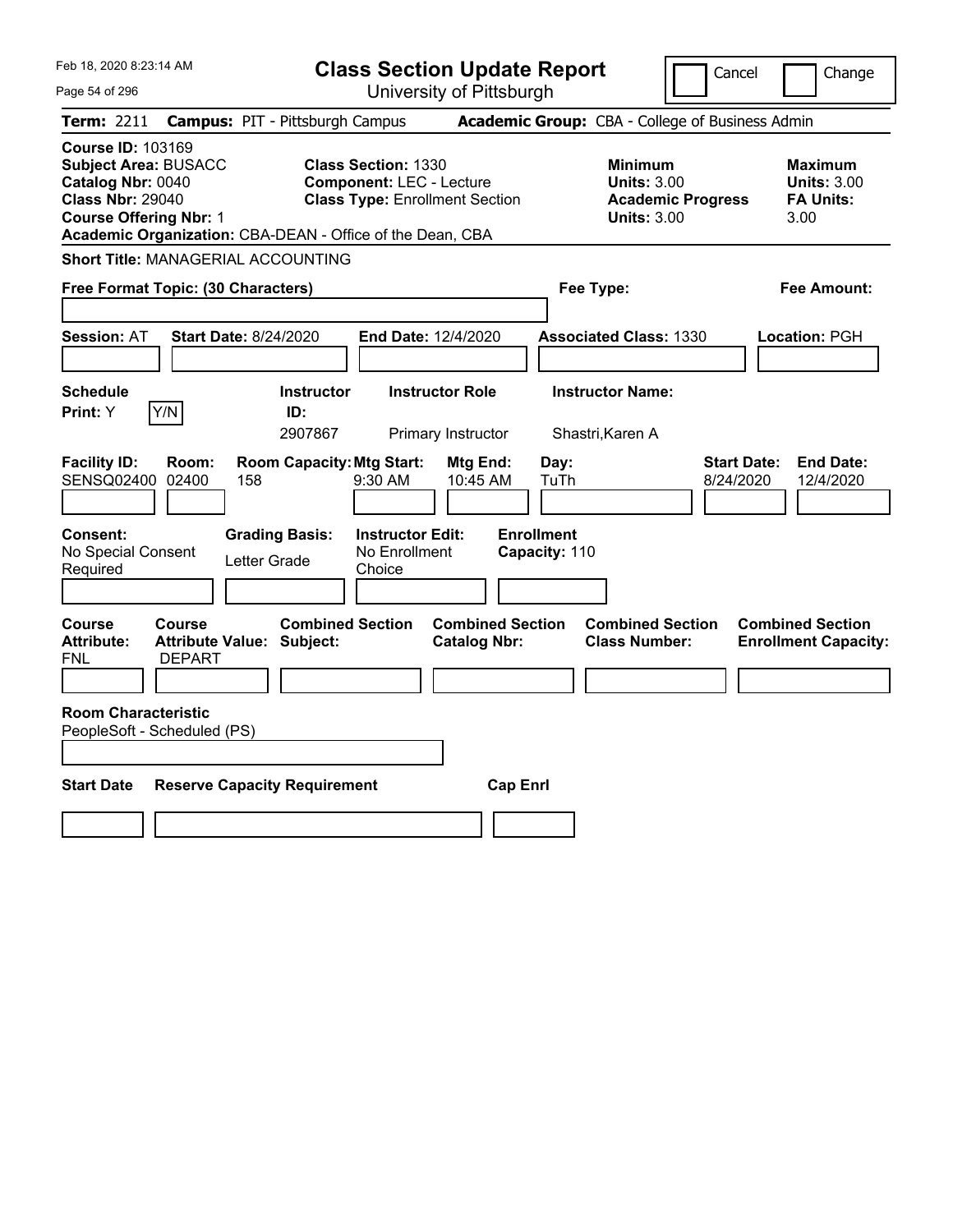| Feb 18, 2020 8:23:14 AM                                                                                                                                                                               | <b>Class Section Update Report</b>                                                                     |                                                                                                   | Cancel<br>Change                                                                             |
|-------------------------------------------------------------------------------------------------------------------------------------------------------------------------------------------------------|--------------------------------------------------------------------------------------------------------|---------------------------------------------------------------------------------------------------|----------------------------------------------------------------------------------------------|
| Page 54 of 296                                                                                                                                                                                        | University of Pittsburgh                                                                               |                                                                                                   |                                                                                              |
| Term: 2211                                                                                                                                                                                            | <b>Campus: PIT - Pittsburgh Campus</b>                                                                 | Academic Group: CBA - College of Business Admin                                                   |                                                                                              |
| <b>Course ID: 103169</b><br><b>Subject Area: BUSACC</b><br>Catalog Nbr: 0040<br><b>Class Nbr: 29040</b><br><b>Course Offering Nbr: 1</b><br>Academic Organization: CBA-DEAN - Office of the Dean, CBA | <b>Class Section: 1330</b><br><b>Component: LEC - Lecture</b><br><b>Class Type: Enrollment Section</b> | <b>Minimum</b><br><b>Units: 3.00</b><br><b>Units: 3.00</b>                                        | <b>Maximum</b><br><b>Units: 3.00</b><br><b>Academic Progress</b><br><b>FA Units:</b><br>3.00 |
| <b>Short Title: MANAGERIAL ACCOUNTING</b>                                                                                                                                                             |                                                                                                        |                                                                                                   |                                                                                              |
| Free Format Topic: (30 Characters)                                                                                                                                                                    |                                                                                                        | Fee Type:                                                                                         | Fee Amount:                                                                                  |
| <b>Start Date: 8/24/2020</b><br><b>Session: AT</b>                                                                                                                                                    | End Date: 12/4/2020                                                                                    | <b>Associated Class: 1330</b>                                                                     | Location: PGH                                                                                |
| <b>Schedule</b><br>Y/N<br>Print: Y                                                                                                                                                                    | <b>Instructor Role</b><br><b>Instructor</b><br>ID:<br>2907867<br>Primary Instructor                    | <b>Instructor Name:</b><br>Shastri, Karen A                                                       |                                                                                              |
| <b>Facility ID:</b><br>Room:<br>SENSQ02400 02400<br>158                                                                                                                                               | <b>Room Capacity: Mtg Start:</b><br>$9:30$ AM                                                          | Mtg End:<br>Day:<br>10:45 AM<br>TuTh                                                              | <b>Start Date:</b><br><b>End Date:</b><br>8/24/2020<br>12/4/2020                             |
| Consent:<br>No Special Consent<br>Letter Grade<br>Required                                                                                                                                            | <b>Grading Basis:</b><br><b>Instructor Edit:</b><br>No Enrollment<br>Choice                            | <b>Enrollment</b><br>Capacity: 110                                                                |                                                                                              |
| Course<br><b>Course</b><br><b>Attribute:</b><br><b>Attribute Value: Subject:</b><br>FNL<br><b>DEPART</b>                                                                                              | <b>Combined Section</b>                                                                                | <b>Combined Section</b><br><b>Combined Section</b><br><b>Catalog Nbr:</b><br><b>Class Number:</b> | <b>Combined Section</b><br><b>Enrollment Capacity:</b>                                       |
|                                                                                                                                                                                                       |                                                                                                        |                                                                                                   |                                                                                              |
| <b>Room Characteristic</b><br>PeopleSoft - Scheduled (PS)                                                                                                                                             |                                                                                                        |                                                                                                   |                                                                                              |
| <b>Start Date</b><br><b>Reserve Capacity Requirement</b>                                                                                                                                              |                                                                                                        | <b>Cap Enrl</b>                                                                                   |                                                                                              |
|                                                                                                                                                                                                       |                                                                                                        |                                                                                                   |                                                                                              |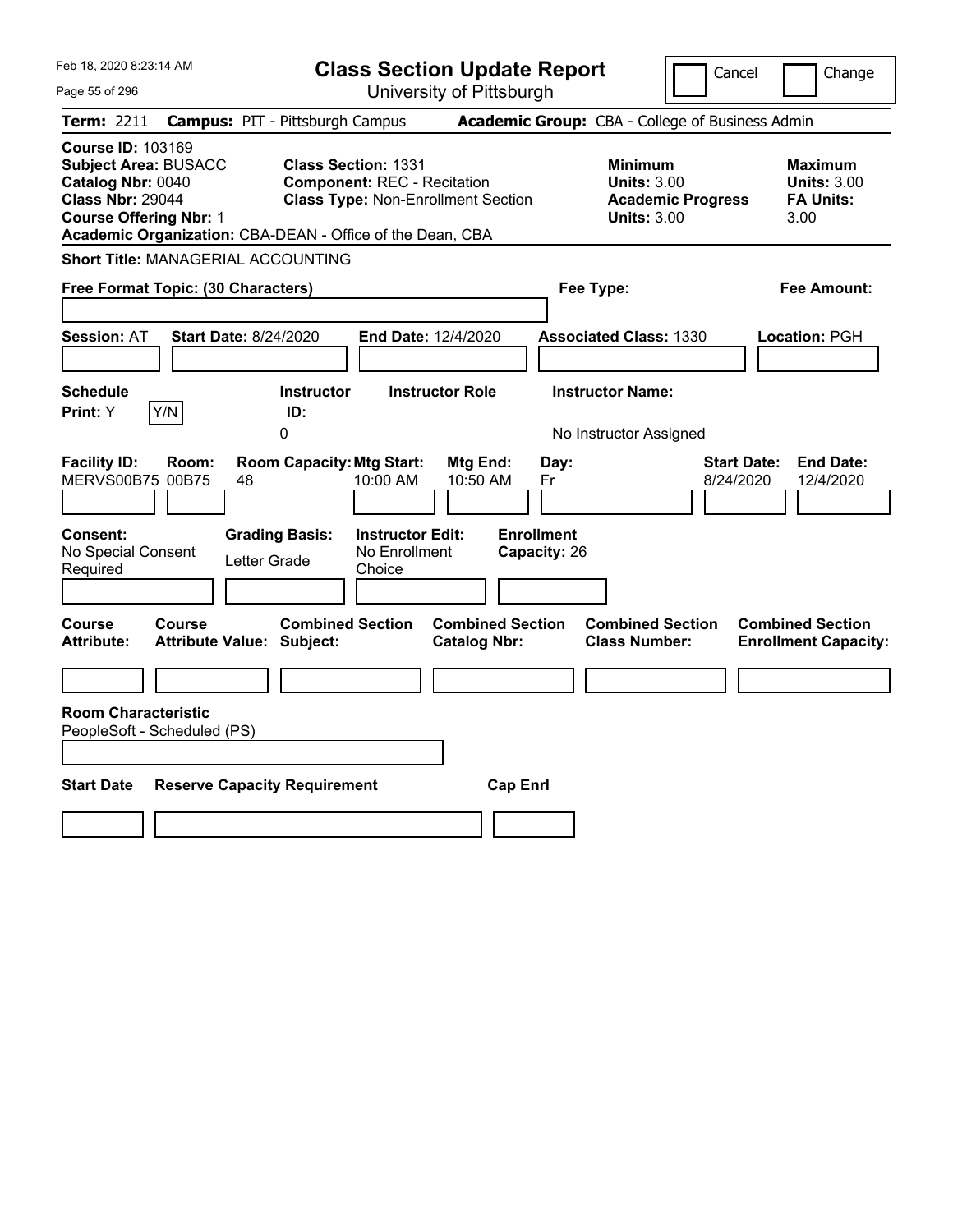| Feb 18, 2020 8:23:14 AM                                                                                                                  | <b>Class Section Update Report</b>                                                                                                                                         |                                                            | Change<br>Cancel                                                                             |
|------------------------------------------------------------------------------------------------------------------------------------------|----------------------------------------------------------------------------------------------------------------------------------------------------------------------------|------------------------------------------------------------|----------------------------------------------------------------------------------------------|
| Page 55 of 296                                                                                                                           | University of Pittsburgh                                                                                                                                                   |                                                            |                                                                                              |
| <b>Term: 2211</b>                                                                                                                        | <b>Campus: PIT - Pittsburgh Campus</b>                                                                                                                                     | Academic Group: CBA - College of Business Admin            |                                                                                              |
| <b>Course ID: 103169</b><br><b>Subject Area: BUSACC</b><br>Catalog Nbr: 0040<br><b>Class Nbr: 29044</b><br><b>Course Offering Nbr: 1</b> | <b>Class Section: 1331</b><br><b>Component: REC - Recitation</b><br><b>Class Type: Non-Enrollment Section</b><br>Academic Organization: CBA-DEAN - Office of the Dean, CBA | <b>Minimum</b><br><b>Units: 3.00</b><br><b>Units: 3.00</b> | <b>Maximum</b><br><b>Units: 3.00</b><br><b>Academic Progress</b><br><b>FA Units:</b><br>3.00 |
| <b>Short Title: MANAGERIAL ACCOUNTING</b>                                                                                                |                                                                                                                                                                            |                                                            |                                                                                              |
| Free Format Topic: (30 Characters)                                                                                                       |                                                                                                                                                                            | Fee Type:                                                  | Fee Amount:                                                                                  |
| <b>Session: AT</b><br><b>Start Date: 8/24/2020</b>                                                                                       | <b>End Date: 12/4/2020</b>                                                                                                                                                 | <b>Associated Class: 1330</b>                              | Location: PGH                                                                                |
| <b>Schedule</b><br>Y/N<br><b>Print:</b> Y                                                                                                | <b>Instructor</b><br><b>Instructor Role</b><br>ID:<br>0                                                                                                                    | <b>Instructor Name:</b><br>No Instructor Assigned          |                                                                                              |
| <b>Facility ID:</b><br>Room:<br>MERVS00B75 00B75<br>48                                                                                   | <b>Room Capacity: Mtg Start:</b><br>Mtg End:<br>10:00 AM<br>10:50 AM                                                                                                       | Day:<br>Fr                                                 | <b>End Date:</b><br><b>Start Date:</b><br>8/24/2020<br>12/4/2020                             |
| Consent:<br>No Special Consent<br>Letter Grade<br>Required                                                                               | <b>Grading Basis:</b><br><b>Instructor Edit:</b><br>No Enrollment<br>Choice                                                                                                | <b>Enrollment</b><br>Capacity: 26                          |                                                                                              |
| Course<br>Course<br><b>Attribute:</b><br><b>Attribute Value: Subject:</b>                                                                | <b>Combined Section</b><br><b>Combined Section</b><br><b>Catalog Nbr:</b>                                                                                                  | <b>Combined Section</b><br><b>Class Number:</b>            | <b>Combined Section</b><br><b>Enrollment Capacity:</b>                                       |
|                                                                                                                                          |                                                                                                                                                                            |                                                            |                                                                                              |
| <b>Room Characteristic</b><br>PeopleSoft - Scheduled (PS)                                                                                |                                                                                                                                                                            |                                                            |                                                                                              |
| <b>Start Date</b><br><b>Reserve Capacity Requirement</b>                                                                                 |                                                                                                                                                                            | <b>Cap Enrl</b>                                            |                                                                                              |
|                                                                                                                                          |                                                                                                                                                                            |                                                            |                                                                                              |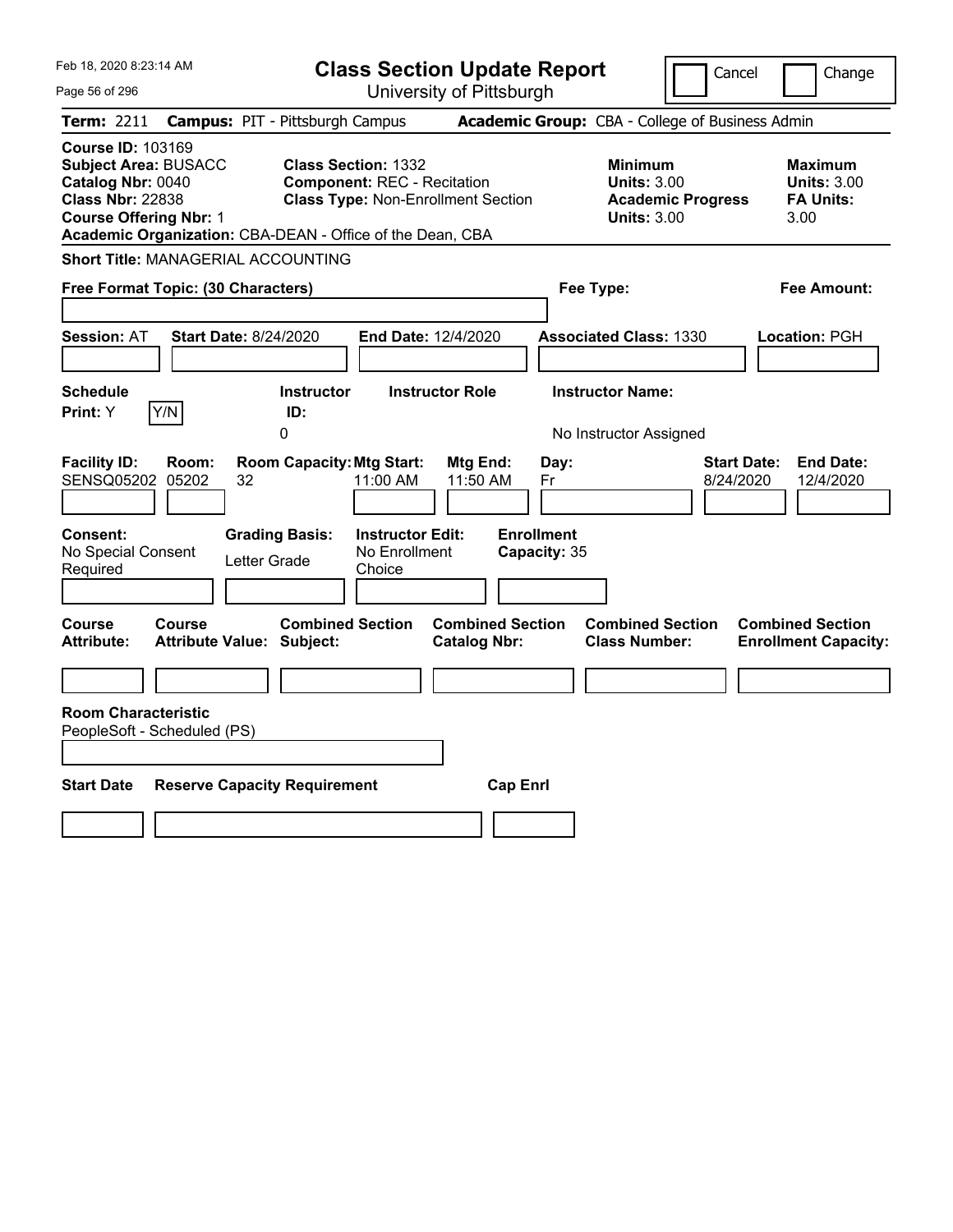| Feb 18, 2020 8:23:14 AM                                                                                                                                                                               | <b>Class Section Update Report</b>                                                                            |                                                 | Cancel                                                                                 | Change                                                           |
|-------------------------------------------------------------------------------------------------------------------------------------------------------------------------------------------------------|---------------------------------------------------------------------------------------------------------------|-------------------------------------------------|----------------------------------------------------------------------------------------|------------------------------------------------------------------|
| Page 56 of 296                                                                                                                                                                                        | University of Pittsburgh                                                                                      |                                                 |                                                                                        |                                                                  |
| Term: 2211                                                                                                                                                                                            | <b>Campus: PIT - Pittsburgh Campus</b>                                                                        | Academic Group: CBA - College of Business Admin |                                                                                        |                                                                  |
| <b>Course ID: 103169</b><br><b>Subject Area: BUSACC</b><br>Catalog Nbr: 0040<br><b>Class Nbr: 22838</b><br><b>Course Offering Nbr: 1</b><br>Academic Organization: CBA-DEAN - Office of the Dean, CBA | <b>Class Section: 1332</b><br><b>Component: REC - Recitation</b><br><b>Class Type: Non-Enrollment Section</b> |                                                 | <b>Minimum</b><br><b>Units: 3.00</b><br><b>Academic Progress</b><br><b>Units: 3.00</b> | <b>Maximum</b><br><b>Units: 3.00</b><br><b>FA Units:</b><br>3.00 |
| <b>Short Title: MANAGERIAL ACCOUNTING</b>                                                                                                                                                             |                                                                                                               |                                                 |                                                                                        |                                                                  |
| Free Format Topic: (30 Characters)                                                                                                                                                                    |                                                                                                               | Fee Type:                                       |                                                                                        | Fee Amount:                                                      |
| <b>Session: AT</b><br><b>Start Date: 8/24/2020</b>                                                                                                                                                    | <b>End Date: 12/4/2020</b>                                                                                    |                                                 | <b>Associated Class: 1330</b>                                                          | Location: PGH                                                    |
| <b>Schedule</b><br>Y/N<br><b>Print:</b> Y                                                                                                                                                             | <b>Instructor</b><br><b>Instructor Role</b><br>ID:<br>0                                                       |                                                 | <b>Instructor Name:</b><br>No Instructor Assigned                                      |                                                                  |
| <b>Facility ID:</b><br>Room:<br>SENSQ05202<br>05202<br>32                                                                                                                                             | <b>Room Capacity: Mtg Start:</b><br>11:00 AM                                                                  | Mtg End:<br>Day:<br>11:50 AM<br>Fr              | <b>Start Date:</b><br>8/24/2020                                                        | <b>End Date:</b><br>12/4/2020                                    |
| Consent:<br>No Special Consent<br>Letter Grade<br>Required                                                                                                                                            | <b>Grading Basis:</b><br><b>Instructor Edit:</b><br>No Enrollment<br>Choice                                   | <b>Enrollment</b><br>Capacity: 35               |                                                                                        |                                                                  |
| Course<br>Course<br><b>Attribute:</b><br><b>Attribute Value: Subject:</b>                                                                                                                             | <b>Combined Section</b>                                                                                       | <b>Combined Section</b><br><b>Catalog Nbr:</b>  | <b>Combined Section</b><br><b>Class Number:</b>                                        | <b>Combined Section</b><br><b>Enrollment Capacity:</b>           |
|                                                                                                                                                                                                       |                                                                                                               |                                                 |                                                                                        |                                                                  |
| <b>Room Characteristic</b><br>PeopleSoft - Scheduled (PS)                                                                                                                                             |                                                                                                               |                                                 |                                                                                        |                                                                  |
| <b>Start Date</b><br><b>Reserve Capacity Requirement</b>                                                                                                                                              |                                                                                                               | <b>Cap Enrl</b>                                 |                                                                                        |                                                                  |
|                                                                                                                                                                                                       |                                                                                                               |                                                 |                                                                                        |                                                                  |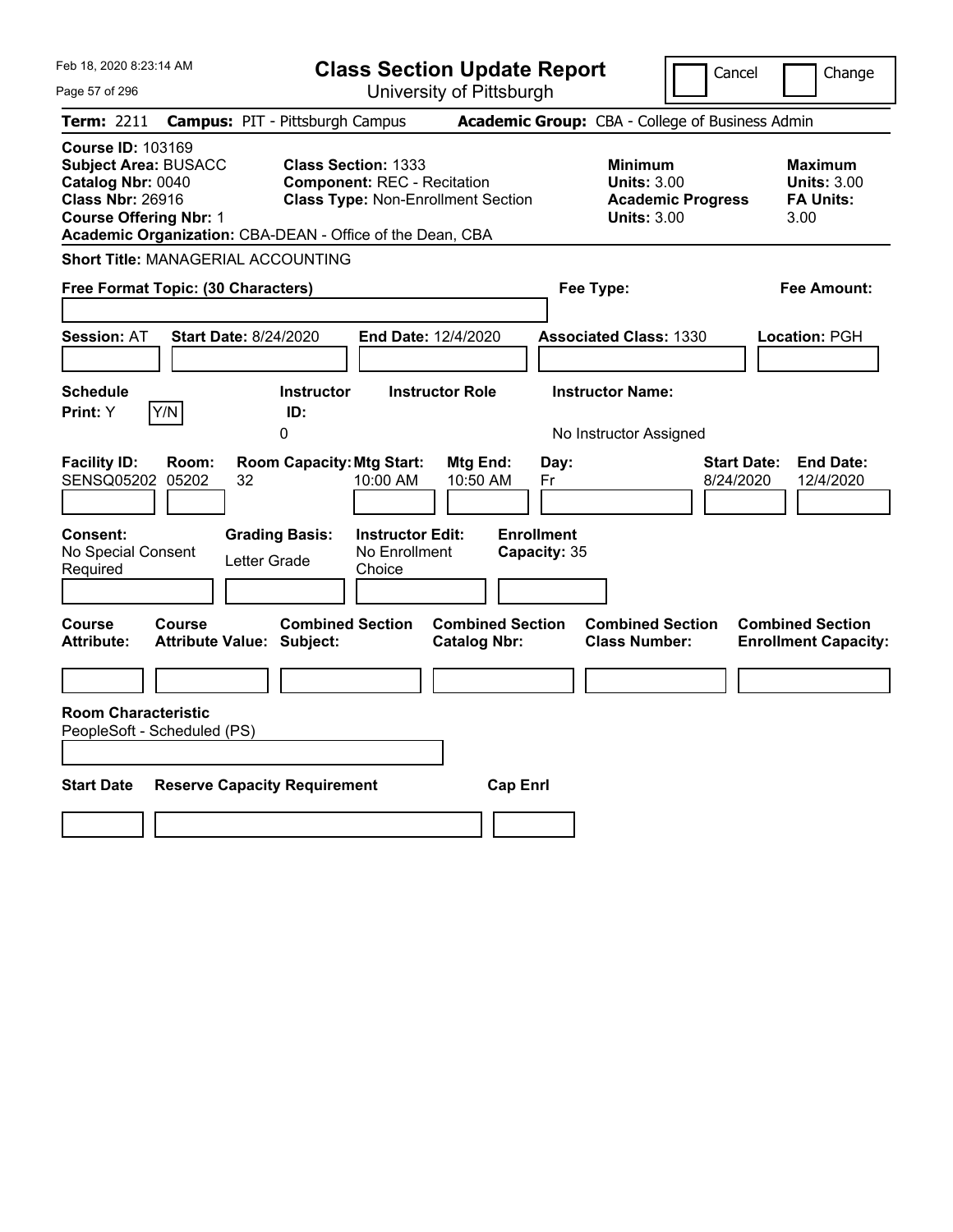| Feb 18, 2020 8:23:14 AM                                                                                                                  | <b>Class Section Update Report</b>                                                                                                                                         |                                                                            | Cancel<br>Change                                                                             |
|------------------------------------------------------------------------------------------------------------------------------------------|----------------------------------------------------------------------------------------------------------------------------------------------------------------------------|----------------------------------------------------------------------------|----------------------------------------------------------------------------------------------|
| Page 57 of 296                                                                                                                           | University of Pittsburgh                                                                                                                                                   |                                                                            |                                                                                              |
| Term: 2211                                                                                                                               | <b>Campus: PIT - Pittsburgh Campus</b>                                                                                                                                     | Academic Group: CBA - College of Business Admin                            |                                                                                              |
| <b>Course ID: 103169</b><br><b>Subject Area: BUSACC</b><br>Catalog Nbr: 0040<br><b>Class Nbr: 26916</b><br><b>Course Offering Nbr: 1</b> | <b>Class Section: 1333</b><br><b>Component: REC - Recitation</b><br><b>Class Type: Non-Enrollment Section</b><br>Academic Organization: CBA-DEAN - Office of the Dean, CBA | <b>Minimum</b><br><b>Units: 3.00</b><br><b>Units: 3.00</b>                 | <b>Maximum</b><br><b>Units: 3.00</b><br><b>Academic Progress</b><br><b>FA Units:</b><br>3.00 |
| <b>Short Title: MANAGERIAL ACCOUNTING</b>                                                                                                |                                                                                                                                                                            |                                                                            |                                                                                              |
| Free Format Topic: (30 Characters)                                                                                                       |                                                                                                                                                                            | Fee Type:                                                                  | Fee Amount:                                                                                  |
| <b>Start Date: 8/24/2020</b><br><b>Session: AT</b>                                                                                       | <b>End Date: 12/4/2020</b>                                                                                                                                                 | <b>Associated Class: 1330</b>                                              | Location: PGH                                                                                |
| <b>Schedule</b><br>Y/N<br>Print: Y                                                                                                       | Instructor<br><b>Instructor Role</b><br>ID:<br>0                                                                                                                           | <b>Instructor Name:</b><br>No Instructor Assigned                          |                                                                                              |
| <b>Facility ID:</b><br>Room:<br>SENSQ05202 05202<br>32                                                                                   | <b>Room Capacity: Mtg Start:</b><br>Mtg End:<br>10:00 AM                                                                                                                   | Day:<br>10:50 AM<br>Fr                                                     | <b>Start Date:</b><br><b>End Date:</b><br>8/24/2020<br>12/4/2020                             |
| Consent:<br>No Special Consent<br>Required                                                                                               | <b>Instructor Edit:</b><br><b>Grading Basis:</b><br>No Enrollment<br>Letter Grade<br>Choice                                                                                | <b>Enrollment</b><br>Capacity: 35                                          |                                                                                              |
| <b>Course</b><br><b>Course</b><br><b>Attribute Value: Subject:</b><br><b>Attribute:</b>                                                  | <b>Combined Section</b><br><b>Catalog Nbr:</b>                                                                                                                             | <b>Combined Section</b><br><b>Combined Section</b><br><b>Class Number:</b> | <b>Combined Section</b><br><b>Enrollment Capacity:</b>                                       |
|                                                                                                                                          |                                                                                                                                                                            |                                                                            |                                                                                              |
| <b>Room Characteristic</b><br>PeopleSoft - Scheduled (PS)                                                                                |                                                                                                                                                                            |                                                                            |                                                                                              |
| <b>Start Date</b>                                                                                                                        | <b>Reserve Capacity Requirement</b>                                                                                                                                        | <b>Cap Enrl</b>                                                            |                                                                                              |
|                                                                                                                                          |                                                                                                                                                                            |                                                                            |                                                                                              |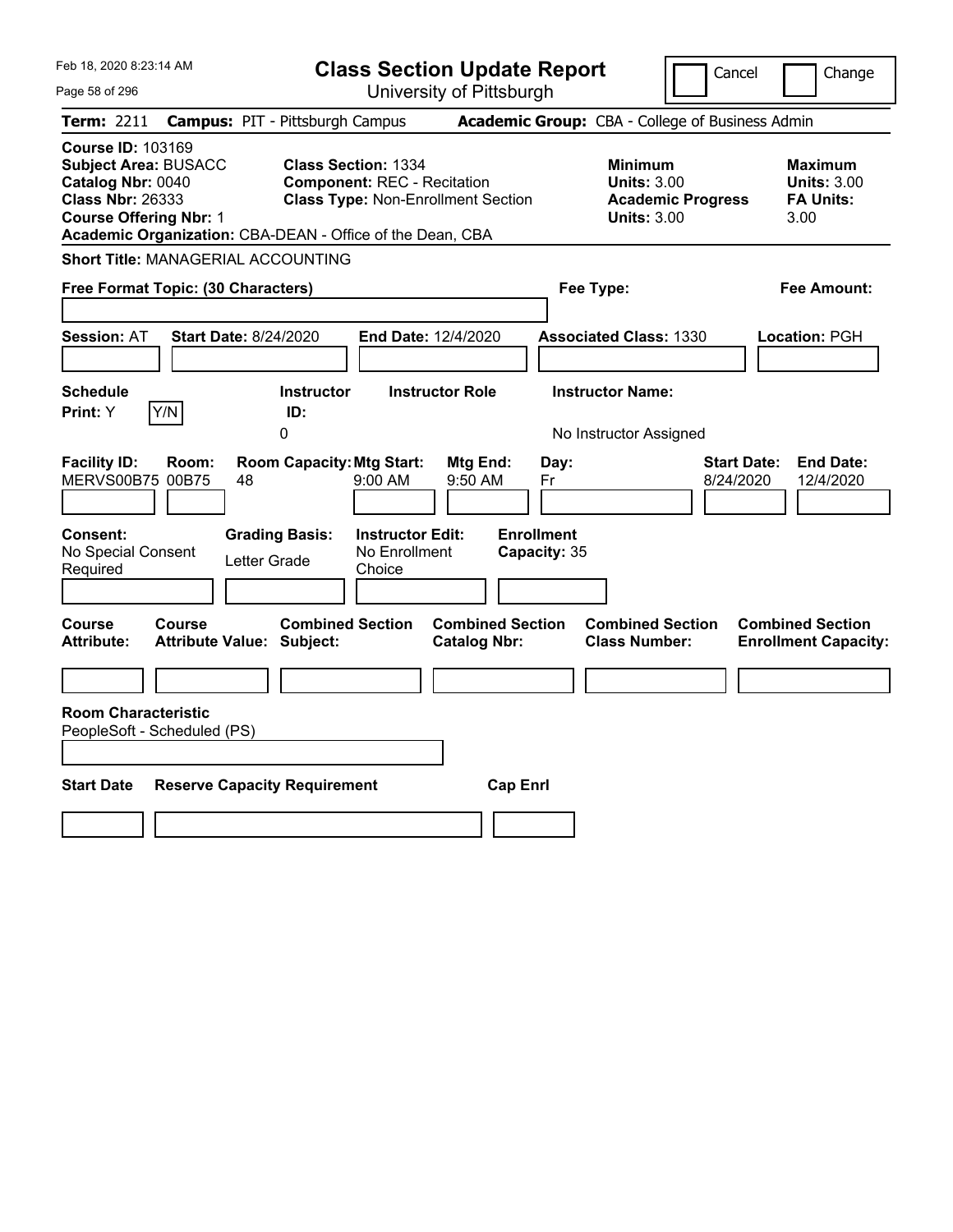| Feb 18, 2020 8:23:14 AM                                                                                                                  | <b>Class Section Update Report</b>                                                                                                                                         | Cancel                                                                                 | Change                                                    |
|------------------------------------------------------------------------------------------------------------------------------------------|----------------------------------------------------------------------------------------------------------------------------------------------------------------------------|----------------------------------------------------------------------------------------|-----------------------------------------------------------|
| Page 58 of 296                                                                                                                           | University of Pittsburgh                                                                                                                                                   |                                                                                        |                                                           |
| Term: 2211                                                                                                                               | <b>Campus: PIT - Pittsburgh Campus</b>                                                                                                                                     | Academic Group: CBA - College of Business Admin                                        |                                                           |
| <b>Course ID: 103169</b><br><b>Subject Area: BUSACC</b><br>Catalog Nbr: 0040<br><b>Class Nbr: 26333</b><br><b>Course Offering Nbr: 1</b> | <b>Class Section: 1334</b><br><b>Component: REC - Recitation</b><br><b>Class Type: Non-Enrollment Section</b><br>Academic Organization: CBA-DEAN - Office of the Dean, CBA | <b>Minimum</b><br><b>Units: 3.00</b><br><b>Academic Progress</b><br><b>Units: 3.00</b> | Maximum<br><b>Units: 3.00</b><br><b>FA Units:</b><br>3.00 |
| <b>Short Title: MANAGERIAL ACCOUNTING</b>                                                                                                |                                                                                                                                                                            |                                                                                        |                                                           |
| Free Format Topic: (30 Characters)                                                                                                       |                                                                                                                                                                            | Fee Type:                                                                              | Fee Amount:                                               |
| <b>Session: AT</b><br><b>Start Date: 8/24/2020</b>                                                                                       | <b>End Date: 12/4/2020</b>                                                                                                                                                 | <b>Associated Class: 1330</b>                                                          | Location: PGH                                             |
| <b>Schedule</b><br>Y/N<br>Print: Y                                                                                                       | <b>Instructor</b><br><b>Instructor Role</b><br>ID:<br>0                                                                                                                    | <b>Instructor Name:</b><br>No Instructor Assigned                                      |                                                           |
| <b>Facility ID:</b><br>Room:<br>MERVS00B75 00B75<br>48                                                                                   | <b>Room Capacity: Mtg Start:</b><br>Mtg End:<br>9:00 AM<br>9:50 AM                                                                                                         | Day:<br>8/24/2020<br>Fr                                                                | <b>Start Date:</b><br><b>End Date:</b><br>12/4/2020       |
| Consent:<br>No Special Consent<br>Letter Grade<br>Required                                                                               | <b>Grading Basis:</b><br><b>Instructor Edit:</b><br>No Enrollment<br>Choice                                                                                                | <b>Enrollment</b><br>Capacity: 35                                                      |                                                           |
| Course<br><b>Course</b><br><b>Attribute:</b><br><b>Attribute Value: Subject:</b>                                                         | <b>Combined Section</b><br><b>Combined Section</b><br><b>Catalog Nbr:</b>                                                                                                  | <b>Combined Section</b><br><b>Class Number:</b>                                        | <b>Combined Section</b><br><b>Enrollment Capacity:</b>    |
|                                                                                                                                          |                                                                                                                                                                            |                                                                                        |                                                           |
| <b>Room Characteristic</b><br>PeopleSoft - Scheduled (PS)                                                                                |                                                                                                                                                                            |                                                                                        |                                                           |
|                                                                                                                                          |                                                                                                                                                                            |                                                                                        |                                                           |
| <b>Start Date</b><br><b>Reserve Capacity Requirement</b>                                                                                 | <b>Cap Enrl</b>                                                                                                                                                            |                                                                                        |                                                           |
|                                                                                                                                          |                                                                                                                                                                            |                                                                                        |                                                           |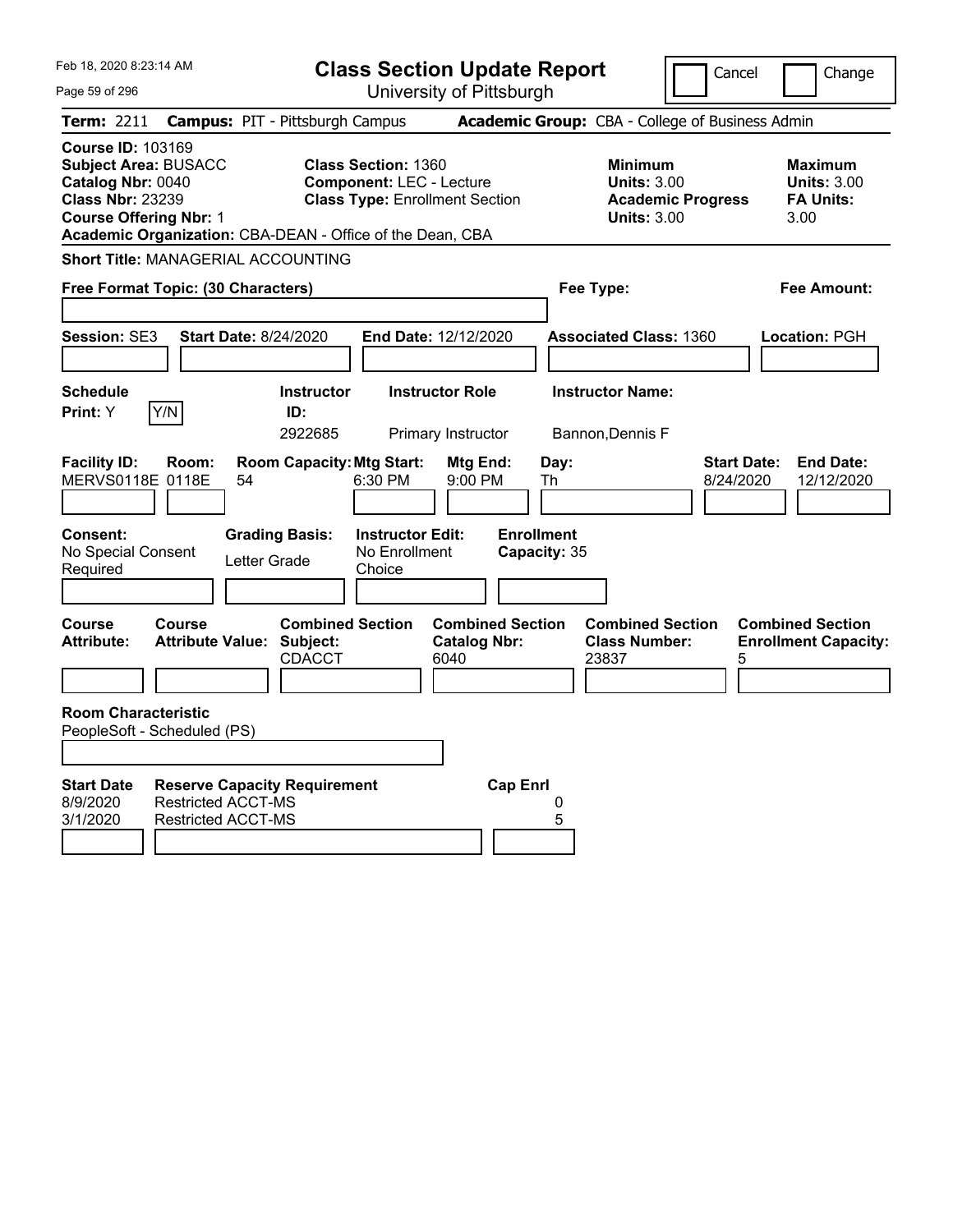| Feb 18, 2020 8:23:14 AM                                                                                                                                                                                 | <b>Class Section Update Report</b>                                                                     | Cancel                                                                                 | Change                                                           |
|---------------------------------------------------------------------------------------------------------------------------------------------------------------------------------------------------------|--------------------------------------------------------------------------------------------------------|----------------------------------------------------------------------------------------|------------------------------------------------------------------|
| Page 59 of 296                                                                                                                                                                                          | University of Pittsburgh                                                                               |                                                                                        |                                                                  |
| Term: 2211                                                                                                                                                                                              | <b>Campus: PIT - Pittsburgh Campus</b>                                                                 | Academic Group: CBA - College of Business Admin                                        |                                                                  |
| <b>Course ID: 103169</b><br><b>Subject Area: BUSACC</b><br>Catalog Nbr: 0040<br><b>Class Nbr: 23239</b><br><b>Course Offering Nbr: 1</b><br>Academic Organization: CBA-DEAN - Office of the Dean, CBA   | <b>Class Section: 1360</b><br><b>Component: LEC - Lecture</b><br><b>Class Type: Enrollment Section</b> | <b>Minimum</b><br><b>Units: 3.00</b><br><b>Academic Progress</b><br><b>Units: 3.00</b> | <b>Maximum</b><br><b>Units: 3.00</b><br><b>FA Units:</b><br>3.00 |
| <b>Short Title: MANAGERIAL ACCOUNTING</b>                                                                                                                                                               |                                                                                                        |                                                                                        |                                                                  |
| Free Format Topic: (30 Characters)                                                                                                                                                                      |                                                                                                        | Fee Type:                                                                              | Fee Amount:                                                      |
| Session: SE3<br><b>Start Date: 8/24/2020</b>                                                                                                                                                            | End Date: 12/12/2020                                                                                   | <b>Associated Class: 1360</b>                                                          | <b>Location: PGH</b>                                             |
| <b>Schedule</b><br>Y/N<br><b>Print:</b> Y                                                                                                                                                               | <b>Instructor Role</b><br><b>Instructor</b><br>ID:<br>2922685<br>Primary Instructor                    | <b>Instructor Name:</b><br>Bannon, Dennis F                                            |                                                                  |
| <b>Facility ID:</b><br>Room:<br>MERVS0118E 0118E<br>54                                                                                                                                                  | <b>Room Capacity: Mtg Start:</b><br>Mtg End:<br>9:00 PM<br>6:30 PM                                     | Day:<br><b>Start Date:</b><br>Th<br>8/24/2020                                          | <b>End Date:</b><br>12/12/2020                                   |
| Consent:<br><b>Grading Basis:</b><br>No Special Consent<br>Letter Grade<br>Required                                                                                                                     | <b>Enrollment</b><br><b>Instructor Edit:</b><br>No Enrollment<br>Choice                                | Capacity: 35                                                                           |                                                                  |
| <b>Course</b><br><b>Course</b><br><b>Attribute:</b><br><b>Attribute Value: Subject:</b>                                                                                                                 | <b>Combined Section</b><br><b>Combined Section</b><br><b>Catalog Nbr:</b><br><b>CDACCT</b><br>6040     | <b>Combined Section</b><br><b>Class Number:</b><br>23837<br>5                          | <b>Combined Section</b><br><b>Enrollment Capacity:</b>           |
| <b>Room Characteristic</b><br>PeopleSoft - Scheduled (PS)<br><b>Start Date</b><br><b>Reserve Capacity Requirement</b><br>8/9/2020<br><b>Restricted ACCT-MS</b><br>3/1/2020<br><b>Restricted ACCT-MS</b> | <b>Cap Enri</b>                                                                                        | 0<br>5                                                                                 |                                                                  |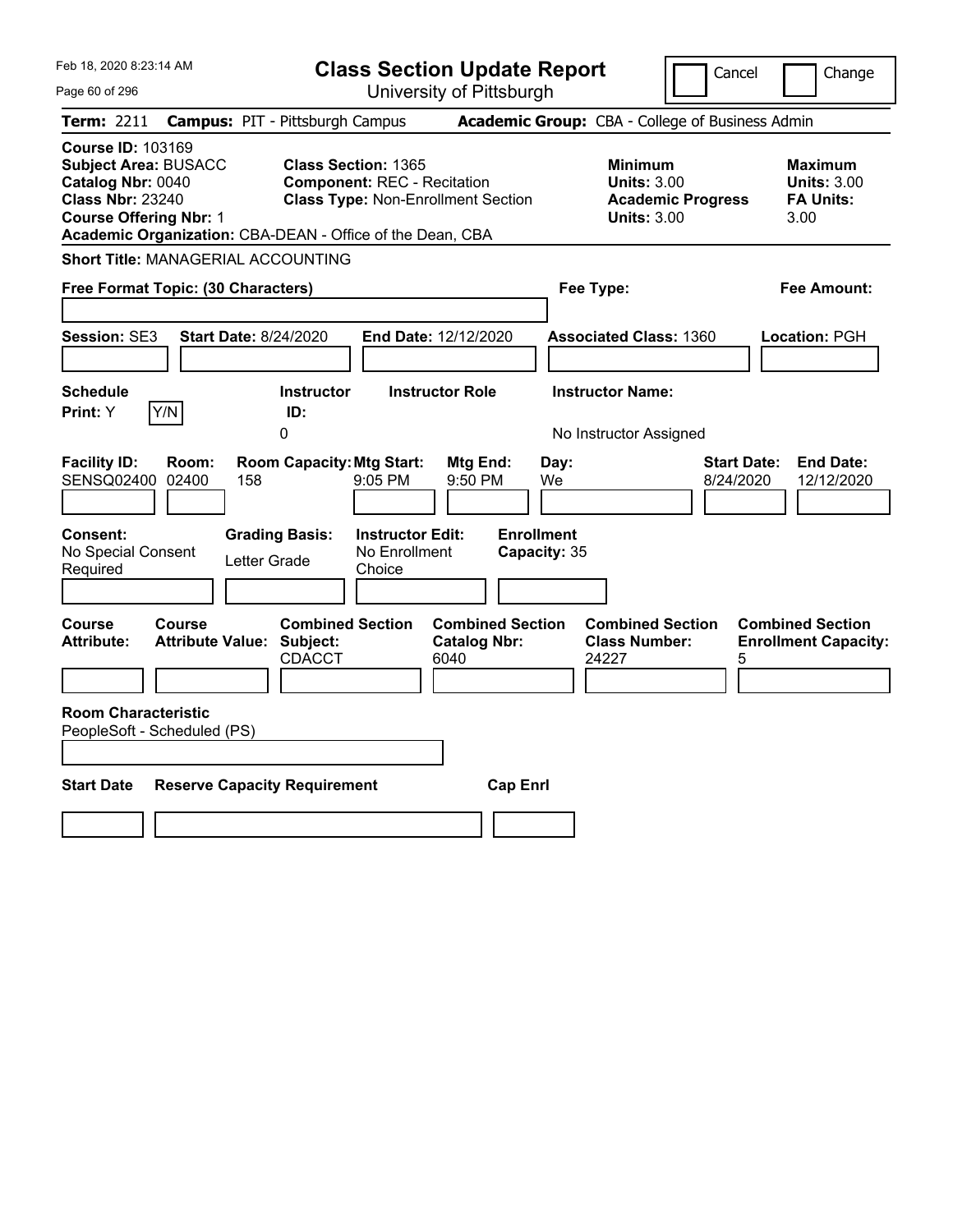| Feb 18, 2020 8:23:14 AM<br>Page 60 of 296                                                                                                                                                             | <b>Class Section Update Report</b><br>University of Pittsburgh                                                |                                                         | Cancel                                                                                 | Change                                                           |
|-------------------------------------------------------------------------------------------------------------------------------------------------------------------------------------------------------|---------------------------------------------------------------------------------------------------------------|---------------------------------------------------------|----------------------------------------------------------------------------------------|------------------------------------------------------------------|
| Term: 2211<br><b>Campus: PIT - Pittsburgh Campus</b>                                                                                                                                                  |                                                                                                               | Academic Group: CBA - College of Business Admin         |                                                                                        |                                                                  |
| <b>Course ID: 103169</b><br><b>Subject Area: BUSACC</b><br>Catalog Nbr: 0040<br><b>Class Nbr: 23240</b><br><b>Course Offering Nbr: 1</b><br>Academic Organization: CBA-DEAN - Office of the Dean, CBA | <b>Class Section: 1365</b><br><b>Component: REC - Recitation</b><br><b>Class Type: Non-Enrollment Section</b> |                                                         | <b>Minimum</b><br><b>Units: 3.00</b><br><b>Academic Progress</b><br><b>Units: 3.00</b> | <b>Maximum</b><br><b>Units: 3.00</b><br><b>FA Units:</b><br>3.00 |
| <b>Short Title: MANAGERIAL ACCOUNTING</b>                                                                                                                                                             |                                                                                                               |                                                         |                                                                                        |                                                                  |
| Free Format Topic: (30 Characters)                                                                                                                                                                    |                                                                                                               | Fee Type:                                               |                                                                                        | <b>Fee Amount:</b>                                               |
| Session: SE3<br><b>Start Date: 8/24/2020</b>                                                                                                                                                          | End Date: 12/12/2020                                                                                          |                                                         | <b>Associated Class: 1360</b>                                                          | Location: PGH                                                    |
| <b>Schedule</b>                                                                                                                                                                                       | <b>Instructor</b><br><b>Instructor Role</b>                                                                   | <b>Instructor Name:</b>                                 |                                                                                        |                                                                  |
| Y/N<br><b>Print:</b> Y<br>0                                                                                                                                                                           | ID:                                                                                                           |                                                         | No Instructor Assigned                                                                 |                                                                  |
| <b>Facility ID:</b><br>Room:<br>SENSQ02400<br>02400<br>158<br><b>Consent:</b><br><b>Grading Basis:</b>                                                                                                | <b>Room Capacity: Mtg Start:</b><br>9:05 PM<br><b>Instructor Edit:</b>                                        | Mtg End:<br>Day:<br>9:50 PM<br>We<br><b>Enrollment</b>  | <b>Start Date:</b><br>8/24/2020                                                        | <b>End Date:</b><br>12/12/2020                                   |
| No Special Consent<br>Letter Grade<br>Required                                                                                                                                                        | No Enrollment<br>Choice                                                                                       | Capacity: 35                                            |                                                                                        |                                                                  |
| Course<br>Course<br><b>Attribute:</b><br><b>Attribute Value: Subject:</b>                                                                                                                             | <b>Combined Section</b><br><b>CDACCT</b><br>6040                                                              | <b>Combined Section</b><br><b>Catalog Nbr:</b><br>24227 | <b>Combined Section</b><br><b>Class Number:</b><br>5                                   | <b>Combined Section</b><br><b>Enrollment Capacity:</b>           |
| <b>Room Characteristic</b><br>PeopleSoft - Scheduled (PS)                                                                                                                                             |                                                                                                               |                                                         |                                                                                        |                                                                  |
| <b>Start Date</b><br><b>Reserve Capacity Requirement</b>                                                                                                                                              |                                                                                                               | <b>Cap Enrl</b>                                         |                                                                                        |                                                                  |
|                                                                                                                                                                                                       |                                                                                                               |                                                         |                                                                                        |                                                                  |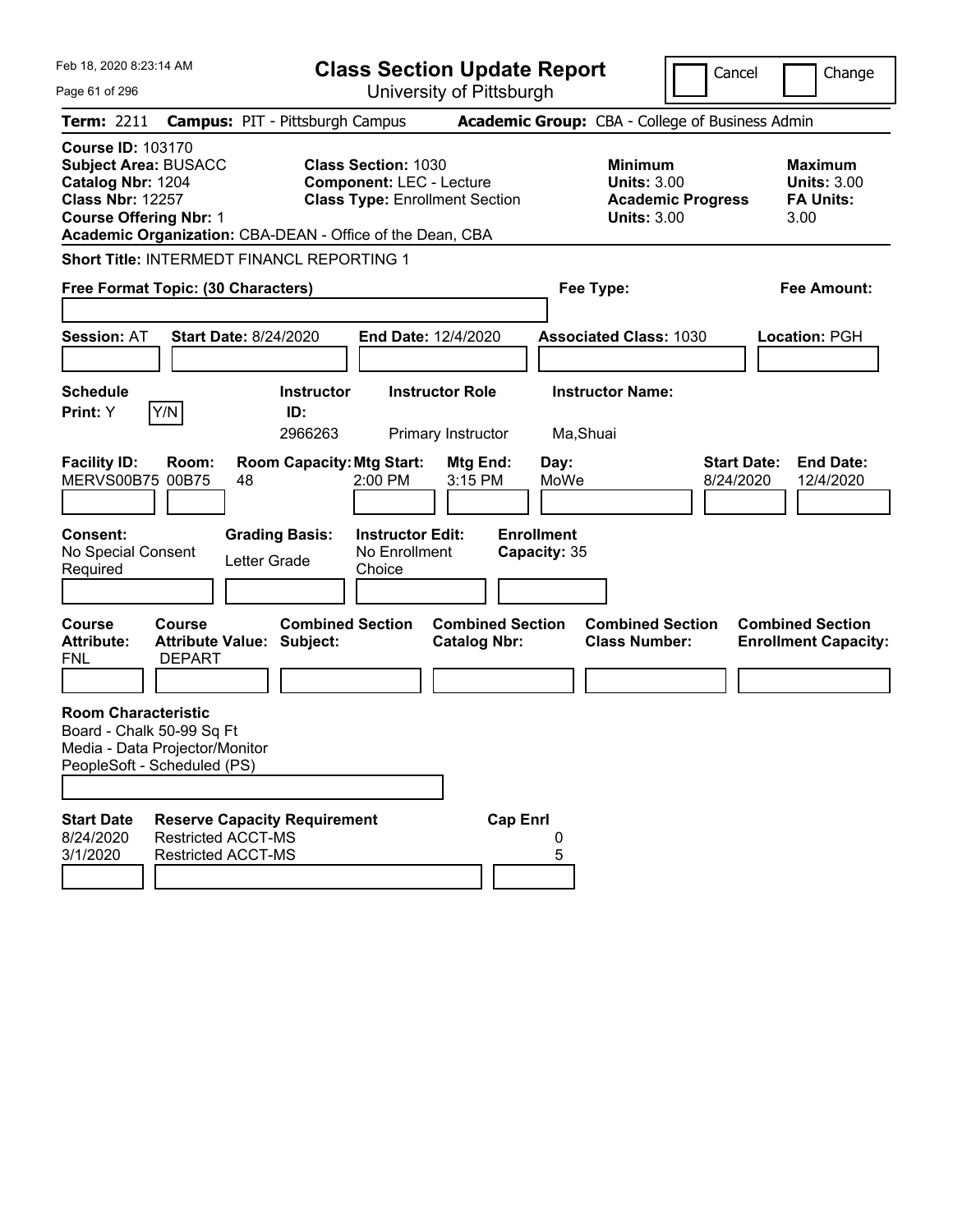| Feb 18, 2020 8:23:14 AM                                                                                                                       |                                                        |                                                             |                                                               | <b>Class Section Update Report</b>             |                                   |                                                            |                          | Cancel<br>Change                                                 |
|-----------------------------------------------------------------------------------------------------------------------------------------------|--------------------------------------------------------|-------------------------------------------------------------|---------------------------------------------------------------|------------------------------------------------|-----------------------------------|------------------------------------------------------------|--------------------------|------------------------------------------------------------------|
| Page 61 of 296                                                                                                                                |                                                        |                                                             |                                                               | University of Pittsburgh                       |                                   |                                                            |                          |                                                                  |
| Term: 2211                                                                                                                                    |                                                        | <b>Campus: PIT - Pittsburgh Campus</b>                      |                                                               |                                                |                                   | Academic Group: CBA - College of Business Admin            |                          |                                                                  |
| <b>Course ID: 103170</b><br><b>Subject Area: BUSACC</b><br>Catalog Nbr: 1204<br><b>Class Nbr: 12257</b><br><b>Course Offering Nbr: 1</b>      |                                                        | Academic Organization: CBA-DEAN - Office of the Dean, CBA   | <b>Class Section: 1030</b><br><b>Component: LEC - Lecture</b> | <b>Class Type: Enrollment Section</b>          |                                   | <b>Minimum</b><br><b>Units: 3.00</b><br><b>Units: 3.00</b> | <b>Academic Progress</b> | <b>Maximum</b><br><b>Units: 3.00</b><br><b>FA Units:</b><br>3.00 |
|                                                                                                                                               |                                                        | <b>Short Title: INTERMEDT FINANCL REPORTING 1</b>           |                                                               |                                                |                                   |                                                            |                          |                                                                  |
| Free Format Topic: (30 Characters)                                                                                                            |                                                        |                                                             |                                                               |                                                |                                   | Fee Type:                                                  |                          | <b>Fee Amount:</b>                                               |
| <b>Session: AT</b>                                                                                                                            |                                                        | <b>Start Date: 8/24/2020</b>                                |                                                               | <b>End Date: 12/4/2020</b>                     |                                   | <b>Associated Class: 1030</b>                              |                          | <b>Location: PGH</b>                                             |
| <b>Schedule</b><br>Print: Y                                                                                                                   | Y/N                                                    | <b>Instructor</b><br>ID:<br>2966263                         |                                                               | <b>Instructor Role</b><br>Primary Instructor   |                                   | <b>Instructor Name:</b><br>Ma, Shuai                       |                          |                                                                  |
| <b>Facility ID:</b><br>MERVS00B75 00B75                                                                                                       | Room:                                                  | <b>Room Capacity: Mtg Start:</b><br>48                      | $2:00$ PM                                                     | Mtg End:<br>3:15 PM                            | Day:<br>MoWe                      |                                                            |                          | <b>Start Date:</b><br><b>End Date:</b><br>8/24/2020<br>12/4/2020 |
| <b>Consent:</b><br>No Special Consent<br>Required                                                                                             |                                                        | <b>Grading Basis:</b><br>Letter Grade                       | <b>Instructor Edit:</b><br>No Enrollment<br>Choice            |                                                | <b>Enrollment</b><br>Capacity: 35 |                                                            |                          |                                                                  |
| <b>Course</b><br><b>Attribute:</b><br><b>FNL</b>                                                                                              | Course<br><b>DEPART</b>                                | <b>Combined Section</b><br><b>Attribute Value: Subject:</b> |                                                               | <b>Combined Section</b><br><b>Catalog Nbr:</b> |                                   | <b>Combined Section</b><br><b>Class Number:</b>            |                          | <b>Combined Section</b><br><b>Enrollment Capacity:</b>           |
|                                                                                                                                               |                                                        |                                                             |                                                               |                                                |                                   |                                                            |                          |                                                                  |
| <b>Room Characteristic</b><br>Board - Chalk 50-99 Sq Ft<br>Media - Data Projector/Monitor<br>PeopleSoft - Scheduled (PS)<br><b>Start Date</b> |                                                        | <b>Reserve Capacity Requirement</b>                         |                                                               |                                                | <b>Cap Enrl</b>                   |                                                            |                          |                                                                  |
| 8/24/2020<br>3/1/2020                                                                                                                         | <b>Restricted ACCT-MS</b><br><b>Restricted ACCT-MS</b> |                                                             |                                                               |                                                | 0<br>5                            |                                                            |                          |                                                                  |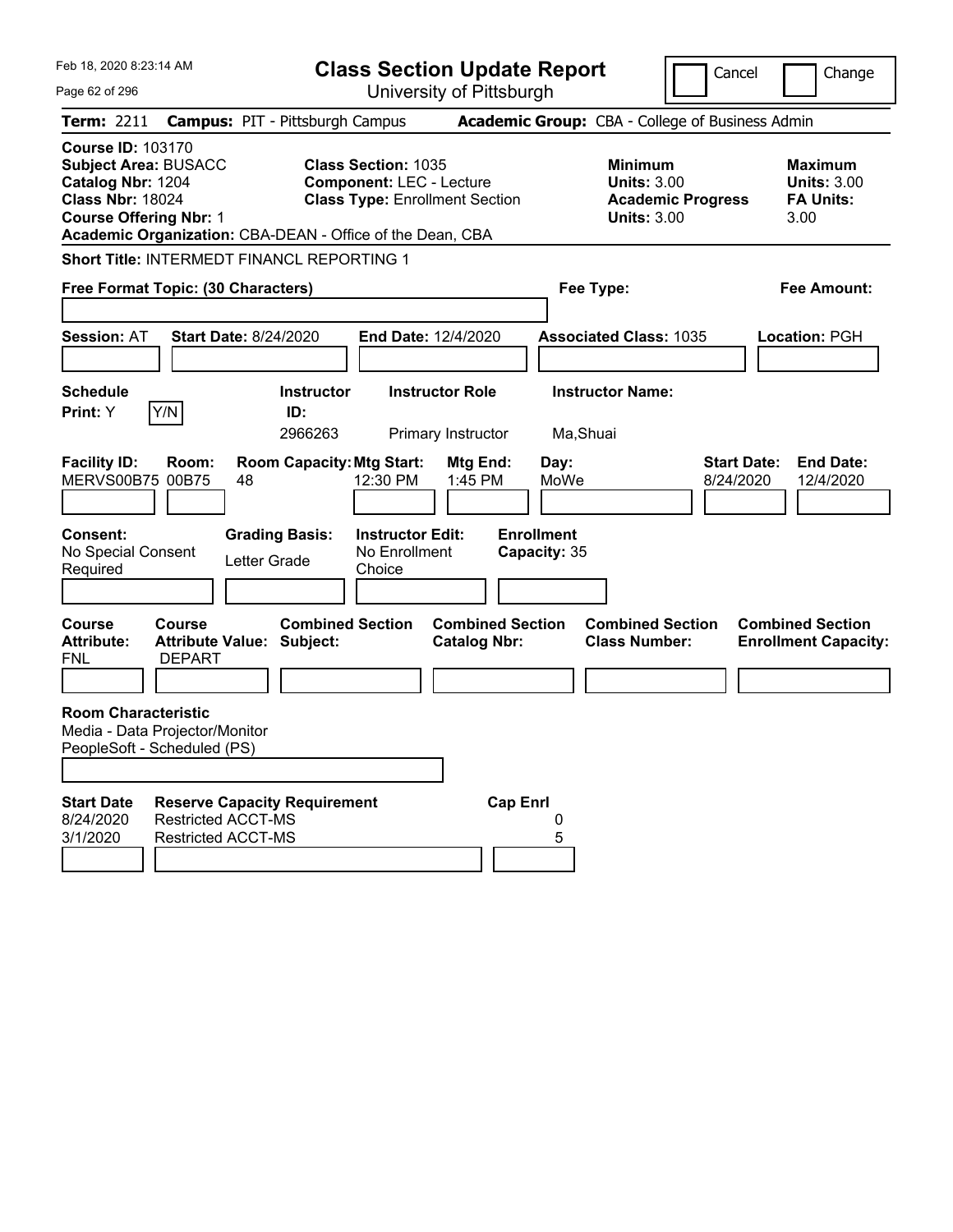| Feb 18. 2020 8:23:14 AM<br>Page 62 of 296                                                                                                |                                                        |                                                           |                                                               | <b>Class Section Update Report</b><br>University of Pittsburgh |                                   |                                                                                        | Cancel                          | Change                                                           |
|------------------------------------------------------------------------------------------------------------------------------------------|--------------------------------------------------------|-----------------------------------------------------------|---------------------------------------------------------------|----------------------------------------------------------------|-----------------------------------|----------------------------------------------------------------------------------------|---------------------------------|------------------------------------------------------------------|
| Term: 2211                                                                                                                               |                                                        | <b>Campus: PIT - Pittsburgh Campus</b>                    |                                                               |                                                                |                                   | Academic Group: CBA - College of Business Admin                                        |                                 |                                                                  |
| <b>Course ID: 103170</b><br><b>Subject Area: BUSACC</b><br>Catalog Nbr: 1204<br><b>Class Nbr: 18024</b><br><b>Course Offering Nbr: 1</b> |                                                        | Academic Organization: CBA-DEAN - Office of the Dean, CBA | <b>Class Section: 1035</b><br><b>Component: LEC - Lecture</b> | <b>Class Type: Enrollment Section</b>                          |                                   | <b>Minimum</b><br><b>Units: 3.00</b><br><b>Academic Progress</b><br><b>Units: 3.00</b> |                                 | <b>Maximum</b><br><b>Units: 3.00</b><br><b>FA Units:</b><br>3.00 |
| Free Format Topic: (30 Characters)                                                                                                       |                                                        | Short Title: INTERMEDT FINANCL REPORTING 1                |                                                               |                                                                | Fee Type:                         |                                                                                        |                                 | <b>Fee Amount:</b>                                               |
| <b>Session: AT</b>                                                                                                                       |                                                        | <b>Start Date: 8/24/2020</b>                              | <b>End Date: 12/4/2020</b>                                    |                                                                |                                   | <b>Associated Class: 1035</b>                                                          |                                 | <b>Location: PGH</b>                                             |
| <b>Schedule</b><br><b>Print:</b> Y                                                                                                       | Y/N                                                    | <b>Instructor</b><br>ID:<br>2966263                       |                                                               | <b>Instructor Role</b><br>Primary Instructor                   | Ma, Shuai                         | <b>Instructor Name:</b>                                                                |                                 |                                                                  |
| <b>Facility ID:</b><br>MERVS00B75 00B75                                                                                                  | Room:                                                  | <b>Room Capacity: Mtg Start:</b><br>48                    | 12:30 PM                                                      | Mtg End:<br>1:45 PM                                            | Day:<br>MoWe                      |                                                                                        | <b>Start Date:</b><br>8/24/2020 | <b>End Date:</b><br>12/4/2020                                    |
| <b>Consent:</b><br>No Special Consent<br>Required                                                                                        |                                                        | <b>Grading Basis:</b><br>Letter Grade                     | <b>Instructor Edit:</b><br>No Enrollment<br>Choice            |                                                                | <b>Enrollment</b><br>Capacity: 35 |                                                                                        |                                 |                                                                  |
| <b>Course</b><br><b>Attribute:</b><br><b>FNL</b>                                                                                         | Course<br><b>DEPART</b>                                | <b>Combined Section</b><br>Attribute Value: Subject:      |                                                               | <b>Combined Section</b><br><b>Catalog Nbr:</b>                 |                                   | <b>Combined Section</b><br><b>Class Number:</b>                                        |                                 | <b>Combined Section</b><br><b>Enrollment Capacity:</b>           |
| <b>Room Characteristic</b><br>Media - Data Projector/Monitor<br>PeopleSoft - Scheduled (PS)                                              |                                                        |                                                           |                                                               |                                                                |                                   |                                                                                        |                                 |                                                                  |
| <b>Start Date</b><br>8/24/2020<br>3/1/2020                                                                                               | <b>Restricted ACCT-MS</b><br><b>Restricted ACCT-MS</b> | <b>Reserve Capacity Requirement</b>                       |                                                               | <b>Cap Enrl</b>                                                | 0<br>5                            |                                                                                        |                                 |                                                                  |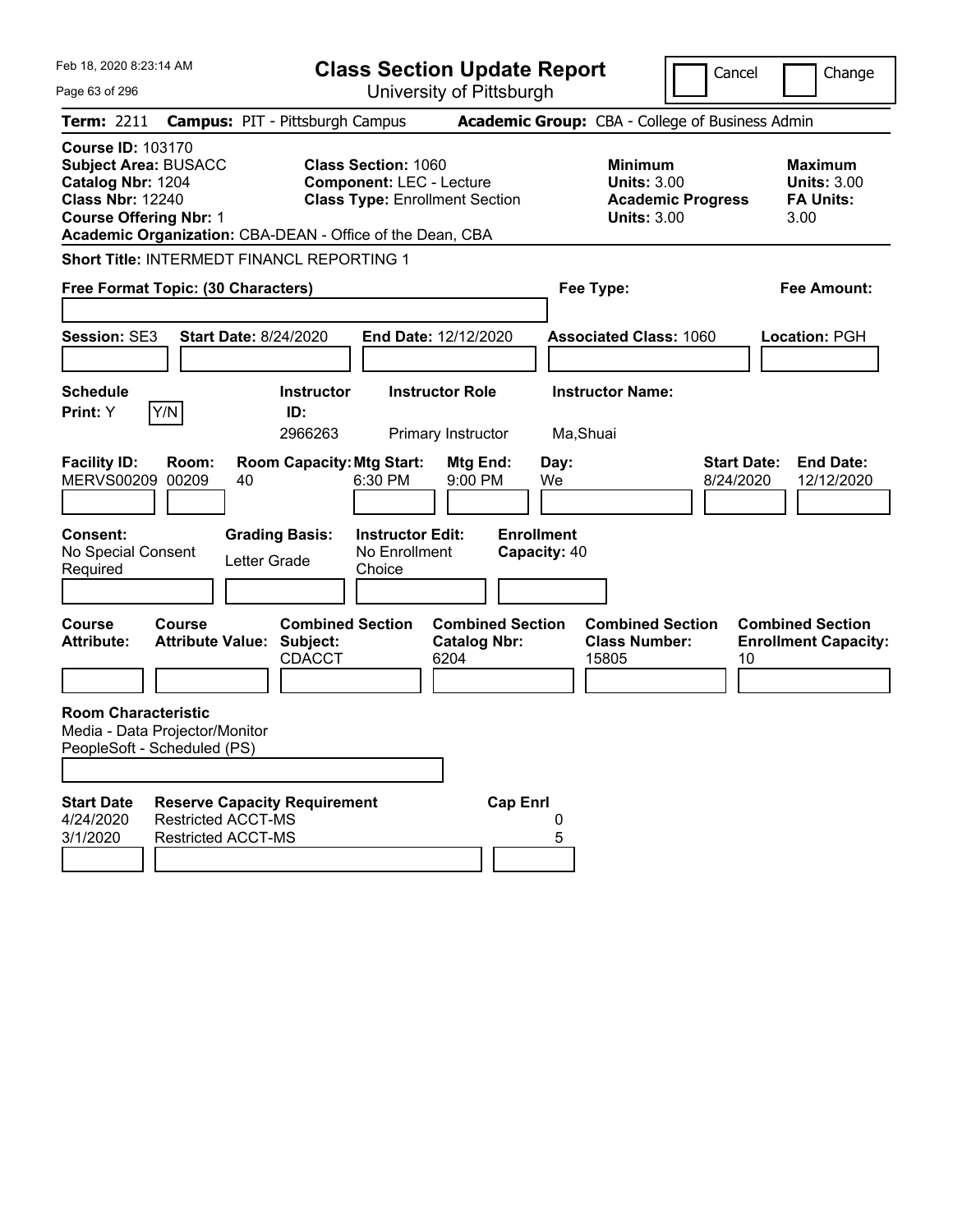| Feb 18, 2020 8:23:14 AM                                                                                                                  |                                                                                               | <b>Class Section Update Report</b>                                                                     |                                                                        |                                                            | Cancel                          | Change                                                           |
|------------------------------------------------------------------------------------------------------------------------------------------|-----------------------------------------------------------------------------------------------|--------------------------------------------------------------------------------------------------------|------------------------------------------------------------------------|------------------------------------------------------------|---------------------------------|------------------------------------------------------------------|
| Page 63 of 296                                                                                                                           |                                                                                               | University of Pittsburgh                                                                               |                                                                        |                                                            |                                 |                                                                  |
| <b>Term: 2211</b>                                                                                                                        | <b>Campus: PIT - Pittsburgh Campus</b>                                                        |                                                                                                        | Academic Group: CBA - College of Business Admin                        |                                                            |                                 |                                                                  |
| <b>Course ID: 103170</b><br><b>Subject Area: BUSACC</b><br>Catalog Nbr: 1204<br><b>Class Nbr: 12240</b><br><b>Course Offering Nbr: 1</b> | Academic Organization: CBA-DEAN - Office of the Dean, CBA                                     | <b>Class Section: 1060</b><br><b>Component: LEC - Lecture</b><br><b>Class Type: Enrollment Section</b> |                                                                        | <b>Minimum</b><br><b>Units: 3.00</b><br><b>Units: 3.00</b> | <b>Academic Progress</b>        | <b>Maximum</b><br><b>Units: 3.00</b><br><b>FA Units:</b><br>3.00 |
|                                                                                                                                          | Short Title: INTERMEDT FINANCL REPORTING 1                                                    |                                                                                                        |                                                                        |                                                            |                                 |                                                                  |
|                                                                                                                                          | Free Format Topic: (30 Characters)                                                            |                                                                                                        |                                                                        | Fee Type:                                                  |                                 | <b>Fee Amount:</b>                                               |
| Session: SE3                                                                                                                             | <b>Start Date: 8/24/2020</b>                                                                  | <b>End Date: 12/12/2020</b>                                                                            |                                                                        | <b>Associated Class: 1060</b>                              |                                 | Location: PGH                                                    |
| <b>Schedule</b>                                                                                                                          | <b>Instructor</b>                                                                             | <b>Instructor Role</b>                                                                                 |                                                                        | <b>Instructor Name:</b>                                    |                                 |                                                                  |
| Y/N<br><b>Print: Y</b>                                                                                                                   | ID:<br>2966263                                                                                | Primary Instructor                                                                                     |                                                                        | Ma, Shuai                                                  |                                 |                                                                  |
| <b>Facility ID:</b><br>Room:<br><b>MERVS00209</b><br>00209<br><b>Consent:</b><br>No Special Consent<br>Required                          | <b>Room Capacity: Mtg Start:</b><br>40<br><b>Grading Basis:</b><br>Letter Grade               | 6:30 PM<br><b>Instructor Edit:</b><br>No Enrollment<br>Choice                                          | Mtg End:<br>Day:<br>9:00 PM<br>We<br><b>Enrollment</b><br>Capacity: 40 |                                                            | <b>Start Date:</b><br>8/24/2020 | <b>End Date:</b><br>12/12/2020                                   |
| <b>Course</b><br><b>Course</b><br><b>Attribute:</b>                                                                                      | <b>Attribute Value: Subject:</b><br><b>CDACCT</b>                                             | <b>Combined Section</b><br>6204                                                                        | <b>Combined Section</b><br><b>Catalog Nbr:</b>                         | <b>Combined Section</b><br><b>Class Number:</b><br>15805   | 10                              | <b>Combined Section</b><br><b>Enrollment Capacity:</b>           |
| <b>Room Characteristic</b><br>Media - Data Projector/Monitor<br>PeopleSoft - Scheduled (PS)                                              |                                                                                               |                                                                                                        |                                                                        |                                                            |                                 |                                                                  |
| <b>Start Date</b><br>4/24/2020<br>3/1/2020                                                                                               | <b>Reserve Capacity Requirement</b><br><b>Restricted ACCT-MS</b><br><b>Restricted ACCT-MS</b> |                                                                                                        | <b>Cap Enrl</b><br>0<br>5                                              |                                                            |                                 |                                                                  |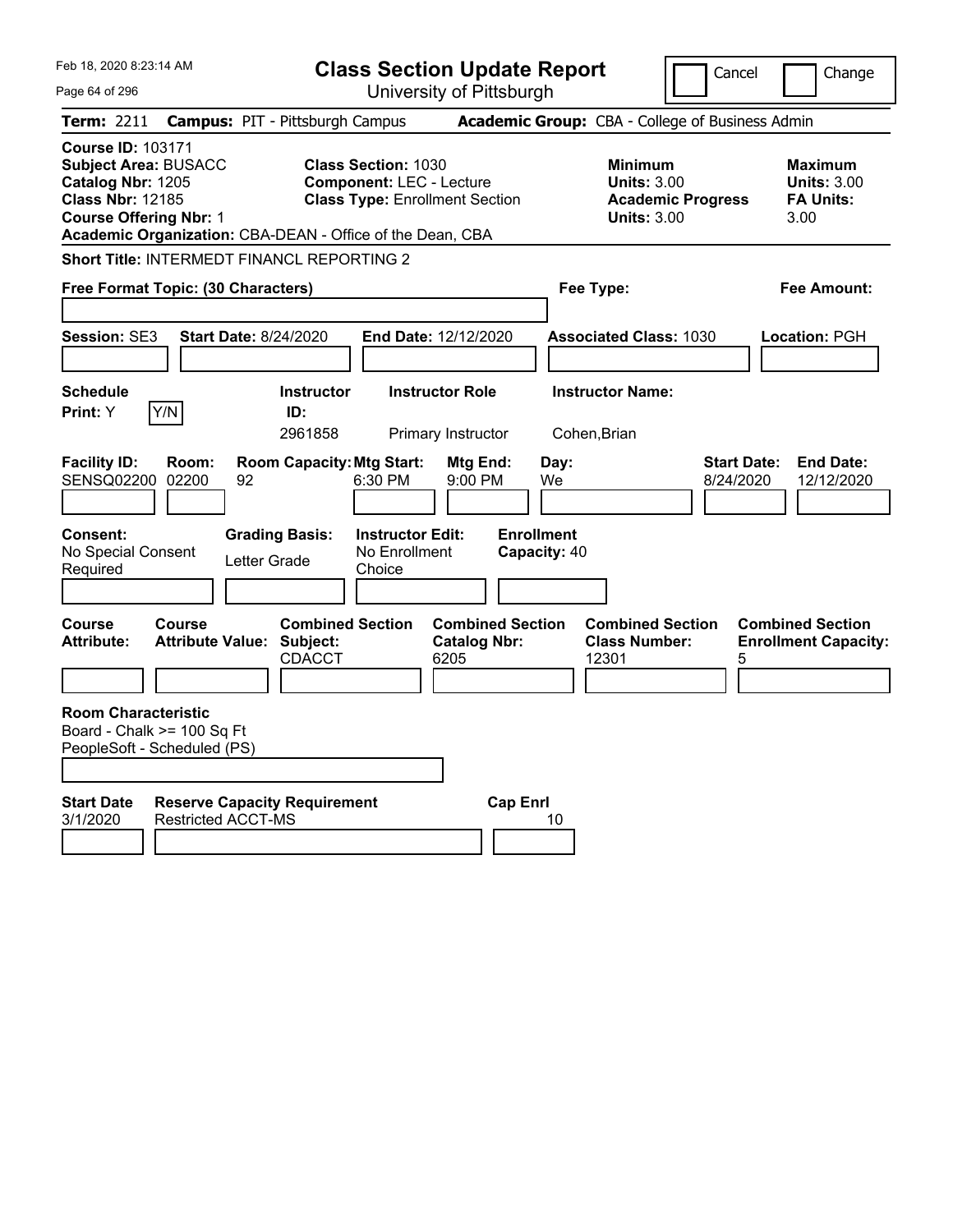| Feb 18, 2020 8:23:14 AM                                                                                                                  |                           |                                                                                                            |                                                               | <b>Class Section Update Report</b>             |                                                 |                                                                                        | Cancel<br>Change                                                                             |  |  |
|------------------------------------------------------------------------------------------------------------------------------------------|---------------------------|------------------------------------------------------------------------------------------------------------|---------------------------------------------------------------|------------------------------------------------|-------------------------------------------------|----------------------------------------------------------------------------------------|----------------------------------------------------------------------------------------------|--|--|
| Page 64 of 296                                                                                                                           |                           |                                                                                                            |                                                               | University of Pittsburgh                       |                                                 |                                                                                        |                                                                                              |  |  |
| Term: 2211                                                                                                                               |                           | <b>Campus: PIT - Pittsburgh Campus</b>                                                                     |                                                               |                                                | Academic Group: CBA - College of Business Admin |                                                                                        |                                                                                              |  |  |
| <b>Course ID: 103171</b><br><b>Subject Area: BUSACC</b><br>Catalog Nbr: 1205<br><b>Class Nbr: 12185</b><br><b>Course Offering Nbr: 1</b> |                           | Academic Organization: CBA-DEAN - Office of the Dean, CBA                                                  | <b>Class Section: 1030</b><br><b>Component: LEC - Lecture</b> | <b>Class Type: Enrollment Section</b>          |                                                 | <b>Minimum</b><br><b>Units: 3.00</b><br><b>Academic Progress</b><br><b>Units: 3.00</b> | <b>Maximum</b><br><b>Units: 3.00</b><br><b>FA Units:</b><br>3.00                             |  |  |
|                                                                                                                                          |                           | Short Title: INTERMEDT FINANCL REPORTING 2                                                                 |                                                               |                                                |                                                 |                                                                                        |                                                                                              |  |  |
| Free Format Topic: (30 Characters)                                                                                                       |                           |                                                                                                            |                                                               |                                                |                                                 | Fee Type:<br>Fee Amount:                                                               |                                                                                              |  |  |
|                                                                                                                                          |                           |                                                                                                            |                                                               |                                                |                                                 |                                                                                        |                                                                                              |  |  |
| <b>Session: SE3</b>                                                                                                                      |                           | <b>Start Date: 8/24/2020</b>                                                                               |                                                               | <b>End Date: 12/12/2020</b>                    |                                                 | <b>Associated Class: 1030</b>                                                          | Location: PGH                                                                                |  |  |
|                                                                                                                                          |                           |                                                                                                            |                                                               |                                                |                                                 |                                                                                        |                                                                                              |  |  |
| <b>Schedule</b>                                                                                                                          |                           | <b>Instructor</b>                                                                                          |                                                               | <b>Instructor Role</b>                         | <b>Instructor Name:</b>                         |                                                                                        |                                                                                              |  |  |
| Print: Y                                                                                                                                 | Y/N                       | ID:<br>2961858                                                                                             |                                                               | Primary Instructor                             | Cohen, Brian                                    |                                                                                        |                                                                                              |  |  |
| <b>Facility ID:</b><br><b>SENSQ02200</b><br><b>Consent:</b><br>No Special Consent<br>Required<br>Course                                  | Room:<br>02200<br>Course  | <b>Room Capacity: Mtg Start:</b><br>92<br><b>Grading Basis:</b><br>Letter Grade<br><b>Combined Section</b> | 6:30 PM<br><b>Instructor Edit:</b><br>No Enrollment<br>Choice | Mtg End:<br>9:00 PM<br><b>Combined Section</b> | Day:<br>We<br><b>Enrollment</b><br>Capacity: 40 | <b>Combined Section</b>                                                                | <b>End Date:</b><br><b>Start Date:</b><br>8/24/2020<br>12/12/2020<br><b>Combined Section</b> |  |  |
| <b>Attribute:</b>                                                                                                                        |                           | <b>Attribute Value: Subject:</b><br><b>CDACCT</b>                                                          |                                                               | <b>Catalog Nbr:</b><br>6205                    | 12301                                           | <b>Class Number:</b>                                                                   | <b>Enrollment Capacity:</b><br>5                                                             |  |  |
|                                                                                                                                          |                           |                                                                                                            |                                                               |                                                |                                                 |                                                                                        |                                                                                              |  |  |
| <b>Room Characteristic</b><br>Board - Chalk >= 100 Sq Ft<br>PeopleSoft - Scheduled (PS)                                                  |                           |                                                                                                            |                                                               |                                                |                                                 |                                                                                        |                                                                                              |  |  |
| <b>Start Date</b><br>3/1/2020                                                                                                            | <b>Restricted ACCT-MS</b> | <b>Reserve Capacity Requirement</b>                                                                        |                                                               | <b>Cap Enrl</b>                                | 10                                              |                                                                                        |                                                                                              |  |  |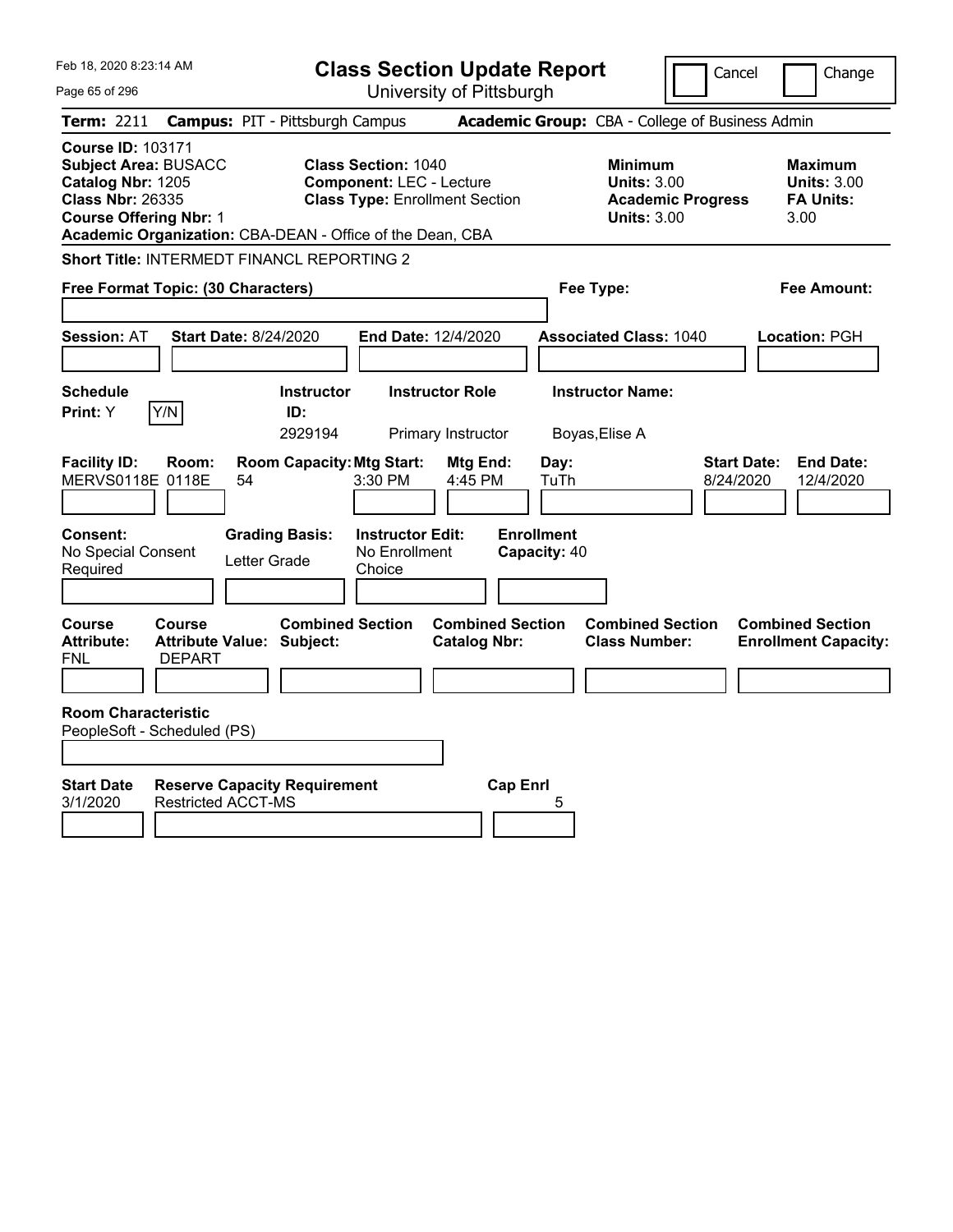| Feb 18, 2020 8:23:14 AM                                                                                                                                                                               |                                                                                                        | <b>Class Section Update Report</b>             |                                                                                        | Cancel                          | Change                                                           |
|-------------------------------------------------------------------------------------------------------------------------------------------------------------------------------------------------------|--------------------------------------------------------------------------------------------------------|------------------------------------------------|----------------------------------------------------------------------------------------|---------------------------------|------------------------------------------------------------------|
| Page 65 of 296                                                                                                                                                                                        |                                                                                                        | University of Pittsburgh                       |                                                                                        |                                 |                                                                  |
| Term: 2211                                                                                                                                                                                            | <b>Campus: PIT - Pittsburgh Campus</b>                                                                 |                                                | Academic Group: CBA - College of Business Admin                                        |                                 |                                                                  |
| <b>Course ID: 103171</b><br><b>Subject Area: BUSACC</b><br>Catalog Nbr: 1205<br><b>Class Nbr: 26335</b><br><b>Course Offering Nbr: 1</b><br>Academic Organization: CBA-DEAN - Office of the Dean, CBA | <b>Class Section: 1040</b><br><b>Component: LEC - Lecture</b><br><b>Class Type: Enrollment Section</b> |                                                | <b>Minimum</b><br><b>Units: 3.00</b><br><b>Academic Progress</b><br><b>Units: 3.00</b> |                                 | <b>Maximum</b><br><b>Units: 3.00</b><br><b>FA Units:</b><br>3.00 |
| Short Title: INTERMEDT FINANCL REPORTING 2                                                                                                                                                            |                                                                                                        |                                                |                                                                                        |                                 |                                                                  |
| Free Format Topic: (30 Characters)                                                                                                                                                                    |                                                                                                        |                                                | Fee Type:                                                                              |                                 | Fee Amount:                                                      |
| <b>Session: AT</b><br><b>Start Date: 8/24/2020</b>                                                                                                                                                    |                                                                                                        | End Date: 12/4/2020                            | <b>Associated Class: 1040</b>                                                          |                                 | Location: PGH                                                    |
| <b>Schedule</b><br>Print: Y<br>Y/N                                                                                                                                                                    | <b>Instructor</b><br>ID:<br>2929194                                                                    | <b>Instructor Role</b><br>Primary Instructor   | <b>Instructor Name:</b><br>Boyas, Elise A                                              |                                 |                                                                  |
| <b>Facility ID:</b><br>Room:<br>MERVS0118E 0118E<br>54                                                                                                                                                | <b>Room Capacity: Mtg Start:</b><br>3:30 PM                                                            | Mtg End:<br>4:45 PM                            | Day:<br>TuTh                                                                           | <b>Start Date:</b><br>8/24/2020 | <b>End Date:</b><br>12/4/2020                                    |
| Consent:<br>No Special Consent<br>Required                                                                                                                                                            | <b>Instructor Edit:</b><br><b>Grading Basis:</b><br>No Enrollment<br>Letter Grade<br>Choice            | <b>Enrollment</b><br>Capacity: 40              |                                                                                        |                                 |                                                                  |
| Course<br>Course<br><b>Attribute Value: Subject:</b><br><b>Attribute:</b><br><b>FNL</b><br><b>DEPART</b>                                                                                              | <b>Combined Section</b>                                                                                | <b>Combined Section</b><br><b>Catalog Nbr:</b> | <b>Combined Section</b><br><b>Class Number:</b>                                        |                                 | <b>Combined Section</b><br><b>Enrollment Capacity:</b>           |
| <b>Room Characteristic</b><br>PeopleSoft - Scheduled (PS)                                                                                                                                             |                                                                                                        |                                                |                                                                                        |                                 |                                                                  |
| <b>Start Date</b><br>3/1/2020<br><b>Restricted ACCT-MS</b>                                                                                                                                            | <b>Reserve Capacity Requirement</b>                                                                    | <b>Cap Enrl</b>                                | 5                                                                                      |                                 |                                                                  |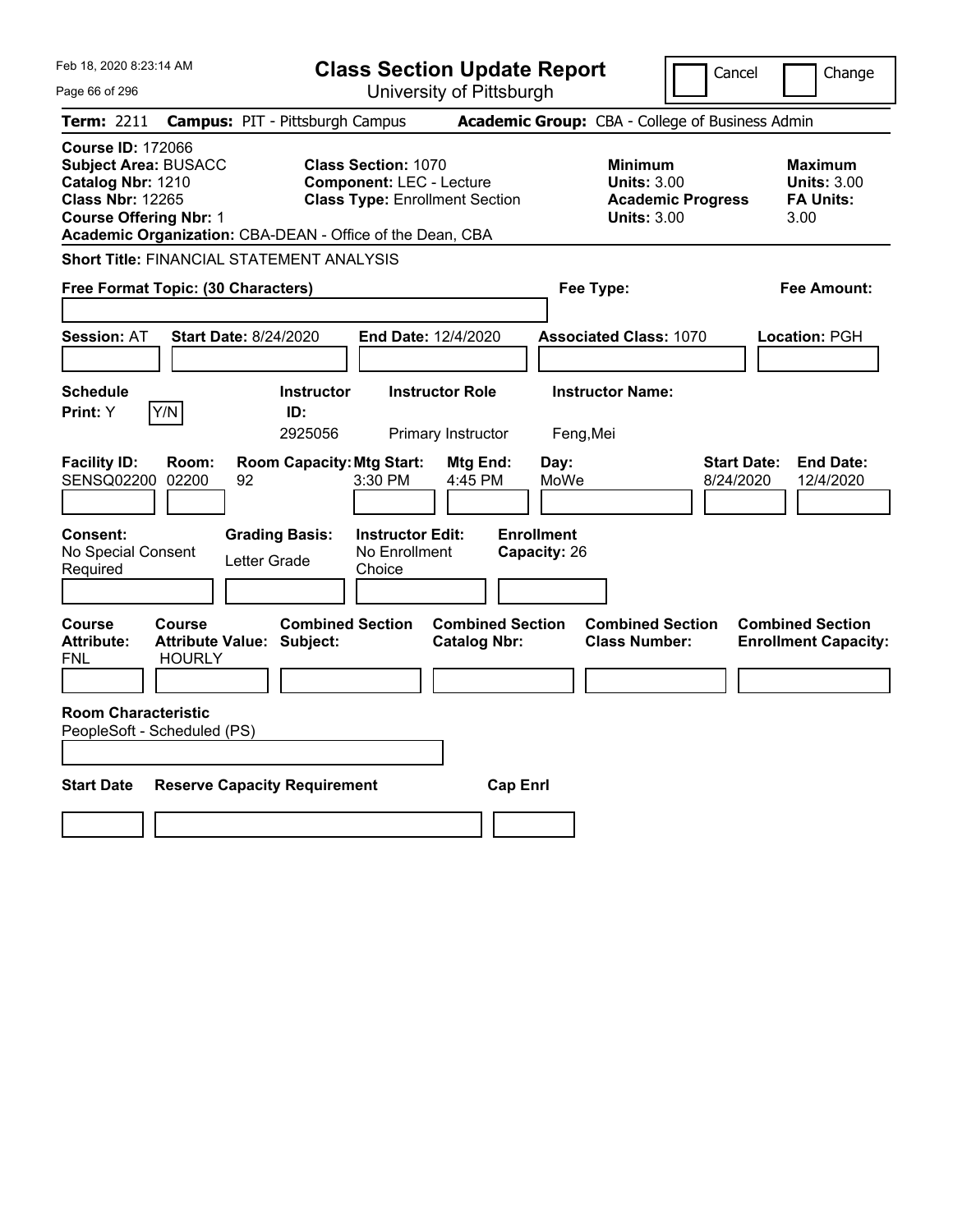| Feb 18, 2020 8:23:14 AM                                                                                                                                                                               | <b>Class Section Update Report</b>                                                                     |                                                                                                   | Cancel<br>Change                                                                             |
|-------------------------------------------------------------------------------------------------------------------------------------------------------------------------------------------------------|--------------------------------------------------------------------------------------------------------|---------------------------------------------------------------------------------------------------|----------------------------------------------------------------------------------------------|
| Page 66 of 296                                                                                                                                                                                        | University of Pittsburgh                                                                               |                                                                                                   |                                                                                              |
| <b>Term: 2211</b>                                                                                                                                                                                     | <b>Campus: PIT - Pittsburgh Campus</b>                                                                 | <b>Academic Group: CBA - College of Business Admin</b>                                            |                                                                                              |
| <b>Course ID: 172066</b><br><b>Subject Area: BUSACC</b><br>Catalog Nbr: 1210<br><b>Class Nbr: 12265</b><br><b>Course Offering Nbr: 1</b><br>Academic Organization: CBA-DEAN - Office of the Dean, CBA | <b>Class Section: 1070</b><br><b>Component: LEC - Lecture</b><br><b>Class Type: Enrollment Section</b> | <b>Minimum</b><br><b>Units: 3.00</b><br><b>Units: 3.00</b>                                        | <b>Maximum</b><br><b>Units: 3.00</b><br><b>FA Units:</b><br><b>Academic Progress</b><br>3.00 |
| Short Title: FINANCIAL STATEMENT ANALYSIS                                                                                                                                                             |                                                                                                        |                                                                                                   |                                                                                              |
| Free Format Topic: (30 Characters)                                                                                                                                                                    |                                                                                                        | Fee Type:                                                                                         | Fee Amount:                                                                                  |
| <b>Session: AT</b><br><b>Start Date: 8/24/2020</b>                                                                                                                                                    | <b>End Date: 12/4/2020</b>                                                                             | <b>Associated Class: 1070</b>                                                                     | Location: PGH                                                                                |
| <b>Schedule</b><br>Y/N<br>Print: Y                                                                                                                                                                    | <b>Instructor Role</b><br><b>Instructor</b><br>ID:<br>2925056<br>Primary Instructor                    | <b>Instructor Name:</b><br>Feng, Mei                                                              |                                                                                              |
| <b>Facility ID:</b><br>Room:<br>SENSQ02200 02200<br>92                                                                                                                                                | <b>Room Capacity: Mtg Start:</b><br>3:30 PM                                                            | Mtg End:<br>Day:<br>4:45 PM<br>MoWe                                                               | <b>Start Date:</b><br><b>End Date:</b><br>8/24/2020<br>12/4/2020                             |
| Consent:<br>No Special Consent<br>Letter Grade<br>Required                                                                                                                                            | <b>Grading Basis:</b><br><b>Instructor Edit:</b><br>No Enrollment<br>Choice                            | <b>Enrollment</b><br>Capacity: 26                                                                 |                                                                                              |
| Course<br>Course<br><b>Attribute:</b><br><b>Attribute Value: Subject:</b><br>FNL<br><b>HOURLY</b>                                                                                                     | <b>Combined Section</b>                                                                                | <b>Combined Section</b><br><b>Combined Section</b><br><b>Catalog Nbr:</b><br><b>Class Number:</b> | <b>Combined Section</b><br><b>Enrollment Capacity:</b>                                       |
| <b>Room Characteristic</b><br>PeopleSoft - Scheduled (PS)                                                                                                                                             |                                                                                                        |                                                                                                   |                                                                                              |
| <b>Start Date</b><br><b>Reserve Capacity Requirement</b>                                                                                                                                              |                                                                                                        | <b>Cap Enrl</b>                                                                                   |                                                                                              |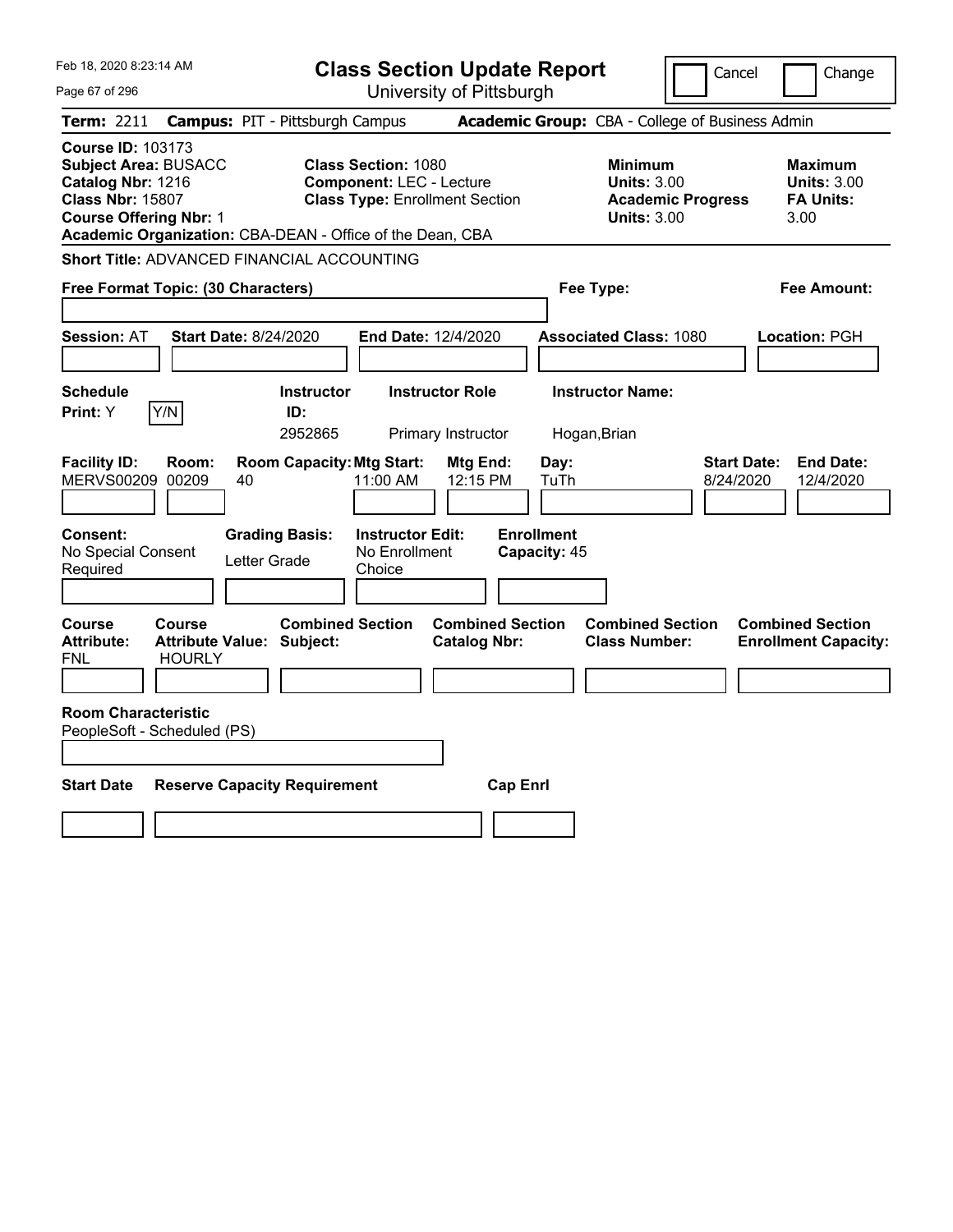| Feb 18, 2020 8:23:14 AM                                                                                                                                                                               |                                                                                                        | <b>Class Section Update Report</b>             |                                                                                        | Cancel<br>Change                                                 |
|-------------------------------------------------------------------------------------------------------------------------------------------------------------------------------------------------------|--------------------------------------------------------------------------------------------------------|------------------------------------------------|----------------------------------------------------------------------------------------|------------------------------------------------------------------|
| Page 67 of 296                                                                                                                                                                                        |                                                                                                        | University of Pittsburgh                       |                                                                                        |                                                                  |
| Term: 2211                                                                                                                                                                                            | <b>Campus: PIT - Pittsburgh Campus</b>                                                                 |                                                | Academic Group: CBA - College of Business Admin                                        |                                                                  |
| <b>Course ID: 103173</b><br><b>Subject Area: BUSACC</b><br>Catalog Nbr: 1216<br><b>Class Nbr: 15807</b><br><b>Course Offering Nbr: 1</b><br>Academic Organization: CBA-DEAN - Office of the Dean, CBA | <b>Class Section: 1080</b><br><b>Component: LEC - Lecture</b><br><b>Class Type: Enrollment Section</b> |                                                | <b>Minimum</b><br><b>Units: 3.00</b><br><b>Academic Progress</b><br><b>Units: 3.00</b> | <b>Maximum</b><br><b>Units: 3.00</b><br><b>FA Units:</b><br>3.00 |
| Short Title: ADVANCED FINANCIAL ACCOUNTING                                                                                                                                                            |                                                                                                        |                                                |                                                                                        |                                                                  |
| Free Format Topic: (30 Characters)                                                                                                                                                                    |                                                                                                        |                                                | Fee Type:                                                                              | Fee Amount:                                                      |
| <b>Session: AT</b><br><b>Start Date: 8/24/2020</b>                                                                                                                                                    | End Date: 12/4/2020                                                                                    |                                                | <b>Associated Class: 1080</b>                                                          | Location: PGH                                                    |
| <b>Schedule</b><br>Y/N<br>Print: Y                                                                                                                                                                    | <b>Instructor Role</b><br><b>Instructor</b><br>ID:<br>2952865                                          | Primary Instructor                             | <b>Instructor Name:</b><br>Hogan, Brian                                                |                                                                  |
| <b>Facility ID:</b><br>Room:<br>MERVS00209 00209<br>40                                                                                                                                                | <b>Room Capacity: Mtg Start:</b><br>11:00 AM                                                           | Mtg End:<br>Day:<br>12:15 PM<br>TuTh           |                                                                                        | <b>Start Date:</b><br><b>End Date:</b><br>8/24/2020<br>12/4/2020 |
| Consent:<br><b>Grading Basis:</b><br>No Special Consent<br>Letter Grade<br>Required                                                                                                                   | <b>Instructor Edit:</b><br>No Enrollment<br>Choice                                                     | <b>Enrollment</b><br>Capacity: 45              |                                                                                        |                                                                  |
| <b>Course</b><br>Course<br>Attribute Value: Subject:<br><b>Attribute:</b><br><b>HOURLY</b><br>FNL                                                                                                     | <b>Combined Section</b>                                                                                | <b>Combined Section</b><br><b>Catalog Nbr:</b> | <b>Combined Section</b><br><b>Class Number:</b>                                        | <b>Combined Section</b><br><b>Enrollment Capacity:</b>           |
| <b>Room Characteristic</b><br>PeopleSoft - Scheduled (PS)                                                                                                                                             |                                                                                                        |                                                |                                                                                        |                                                                  |
| <b>Start Date</b><br><b>Reserve Capacity Requirement</b>                                                                                                                                              |                                                                                                        | <b>Cap Enrl</b>                                |                                                                                        |                                                                  |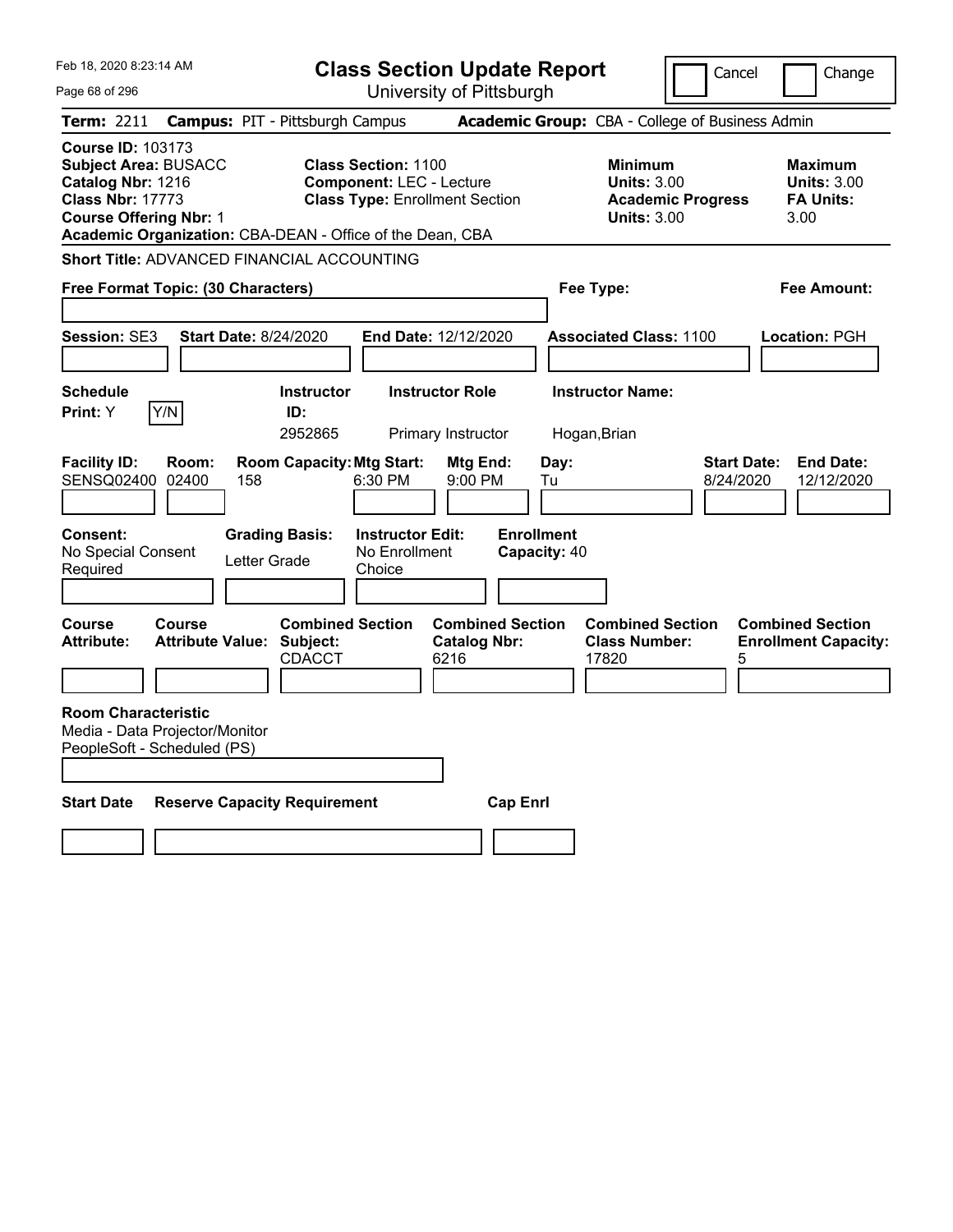| Feb 18, 2020 8:23:14 AM                                                                                                                                                                               |                                                                                                                 | <b>Class Section Update Report</b>                     |                                                            | Cancel                          | Change                                                           |  |
|-------------------------------------------------------------------------------------------------------------------------------------------------------------------------------------------------------|-----------------------------------------------------------------------------------------------------------------|--------------------------------------------------------|------------------------------------------------------------|---------------------------------|------------------------------------------------------------------|--|
| Page 68 of 296                                                                                                                                                                                        |                                                                                                                 | University of Pittsburgh                               |                                                            |                                 |                                                                  |  |
| Term: 2211                                                                                                                                                                                            | <b>Campus: PIT - Pittsburgh Campus</b>                                                                          |                                                        | Academic Group: CBA - College of Business Admin            |                                 |                                                                  |  |
| <b>Course ID: 103173</b><br><b>Subject Area: BUSACC</b><br>Catalog Nbr: 1216<br><b>Class Nbr: 17773</b><br><b>Course Offering Nbr: 1</b><br>Academic Organization: CBA-DEAN - Office of the Dean, CBA | <b>Class Section: 1100</b><br><b>Component: LEC - Lecture</b>                                                   | <b>Class Type: Enrollment Section</b>                  | <b>Minimum</b><br><b>Units: 3.00</b><br><b>Units: 3.00</b> | <b>Academic Progress</b>        | <b>Maximum</b><br><b>Units: 3.00</b><br><b>FA Units:</b><br>3.00 |  |
| Short Title: ADVANCED FINANCIAL ACCOUNTING                                                                                                                                                            |                                                                                                                 |                                                        |                                                            |                                 |                                                                  |  |
| Free Format Topic: (30 Characters)                                                                                                                                                                    |                                                                                                                 |                                                        | Fee Type:<br>Fee Amount:                                   |                                 |                                                                  |  |
|                                                                                                                                                                                                       |                                                                                                                 |                                                        |                                                            |                                 |                                                                  |  |
| <b>Session: SE3</b>                                                                                                                                                                                   | <b>Start Date: 8/24/2020</b>                                                                                    | <b>End Date: 12/12/2020</b>                            | <b>Associated Class: 1100</b>                              |                                 | Location: PGH                                                    |  |
|                                                                                                                                                                                                       |                                                                                                                 |                                                        |                                                            |                                 |                                                                  |  |
| <b>Schedule</b>                                                                                                                                                                                       | <b>Instructor</b>                                                                                               | <b>Instructor Role</b>                                 | <b>Instructor Name:</b>                                    |                                 |                                                                  |  |
| Y/N<br>Print: Y                                                                                                                                                                                       | ID:<br>2952865                                                                                                  | Primary Instructor                                     | Hogan, Brian                                               |                                 |                                                                  |  |
| <b>Facility ID:</b><br>Room:<br><b>SENSQ02400</b><br>02400<br>158<br><b>Consent:</b><br>No Special Consent<br>Required                                                                                | <b>Room Capacity: Mtg Start:</b><br>6:30 PM<br><b>Grading Basis:</b><br>No Enrollment<br>Letter Grade<br>Choice | <b>Mtg End:</b><br>9:00 PM<br><b>Instructor Edit:</b>  | Day:<br>Tu<br><b>Enrollment</b><br>Capacity: 40            | <b>Start Date:</b><br>8/24/2020 | <b>End Date:</b><br>12/12/2020                                   |  |
| Course<br>Course<br><b>Attribute:</b><br><b>Attribute Value: Subject:</b>                                                                                                                             | <b>Combined Section</b><br><b>CDACCT</b>                                                                        | <b>Combined Section</b><br><b>Catalog Nbr:</b><br>6216 | <b>Combined Section</b><br><b>Class Number:</b><br>17820   | 5                               | <b>Combined Section</b><br><b>Enrollment Capacity:</b>           |  |
|                                                                                                                                                                                                       |                                                                                                                 |                                                        |                                                            |                                 |                                                                  |  |
| <b>Room Characteristic</b><br>Media - Data Projector/Monitor<br>PeopleSoft - Scheduled (PS)                                                                                                           |                                                                                                                 |                                                        |                                                            |                                 |                                                                  |  |
| <b>Start Date</b>                                                                                                                                                                                     | <b>Reserve Capacity Requirement</b>                                                                             | <b>Cap Enrl</b>                                        |                                                            |                                 |                                                                  |  |
|                                                                                                                                                                                                       |                                                                                                                 |                                                        |                                                            |                                 |                                                                  |  |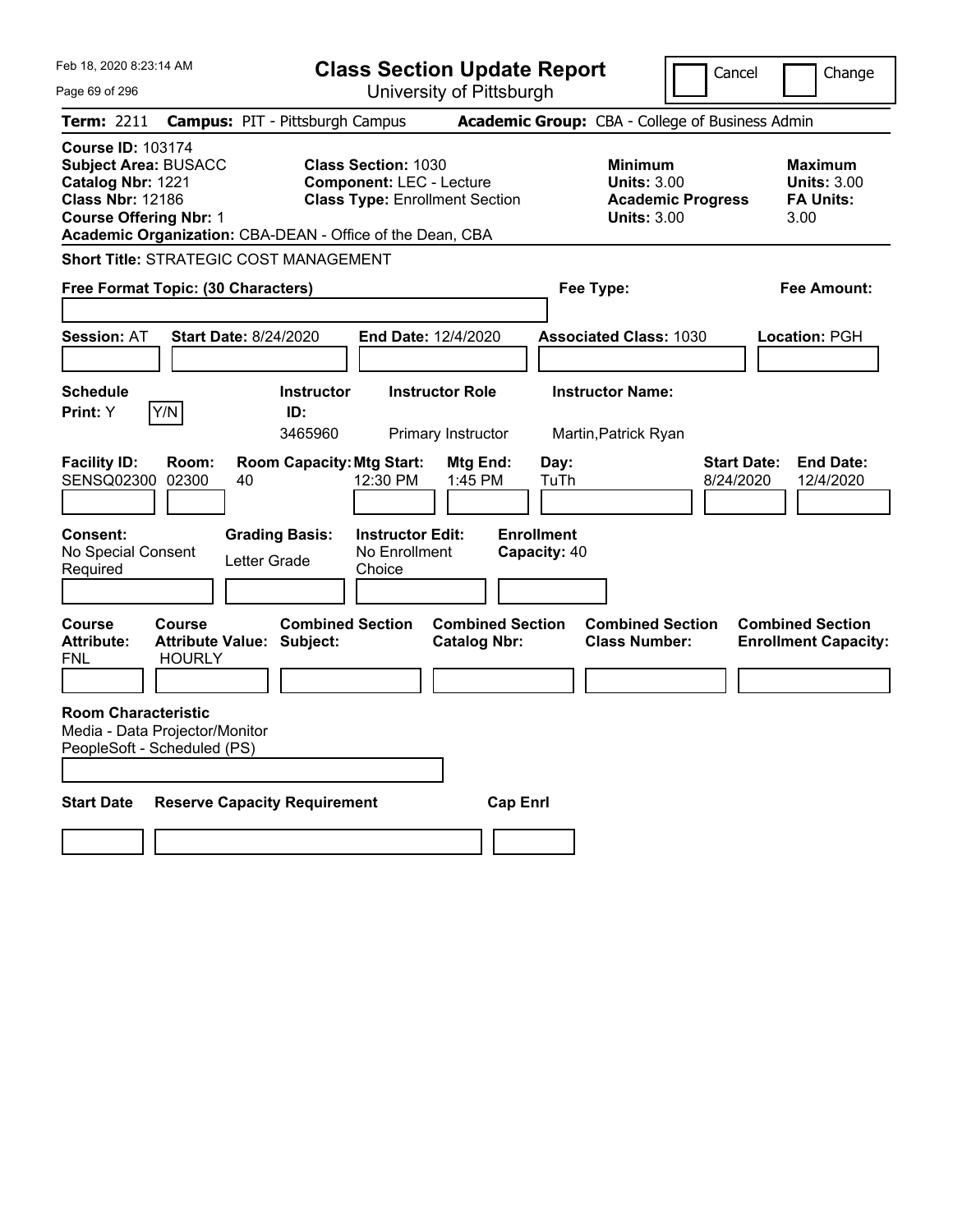| Feb 18, 2020 8:23:14 AM                                                                                                                                                                               |                                                                    |                                       | <b>Class Section Update Report</b>                                                                     |                                                |                                   |                                                            | Cancel                                          | Change                                                           |
|-------------------------------------------------------------------------------------------------------------------------------------------------------------------------------------------------------|--------------------------------------------------------------------|---------------------------------------|--------------------------------------------------------------------------------------------------------|------------------------------------------------|-----------------------------------|------------------------------------------------------------|-------------------------------------------------|------------------------------------------------------------------|
| Page 69 of 296                                                                                                                                                                                        |                                                                    |                                       |                                                                                                        | University of Pittsburgh                       |                                   |                                                            |                                                 |                                                                  |
| Term: 2211                                                                                                                                                                                            | <b>Campus: PIT - Pittsburgh Campus</b>                             |                                       |                                                                                                        |                                                |                                   |                                                            | Academic Group: CBA - College of Business Admin |                                                                  |
| <b>Course ID: 103174</b><br><b>Subject Area: BUSACC</b><br>Catalog Nbr: 1221<br><b>Class Nbr: 12186</b><br><b>Course Offering Nbr: 1</b><br>Academic Organization: CBA-DEAN - Office of the Dean, CBA |                                                                    |                                       | <b>Class Section: 1030</b><br><b>Component: LEC - Lecture</b><br><b>Class Type: Enrollment Section</b> |                                                |                                   | <b>Minimum</b><br><b>Units: 3.00</b><br><b>Units: 3.00</b> | <b>Academic Progress</b>                        | <b>Maximum</b><br><b>Units: 3.00</b><br><b>FA Units:</b><br>3.00 |
| <b>Short Title: STRATEGIC COST MANAGEMENT</b>                                                                                                                                                         |                                                                    |                                       |                                                                                                        |                                                |                                   |                                                            |                                                 |                                                                  |
| Free Format Topic: (30 Characters)                                                                                                                                                                    |                                                                    |                                       |                                                                                                        |                                                |                                   | Fee Type:                                                  |                                                 | <b>Fee Amount:</b>                                               |
| <b>Session: AT</b>                                                                                                                                                                                    | <b>Start Date: 8/24/2020</b>                                       |                                       | <b>End Date: 12/4/2020</b>                                                                             |                                                |                                   | <b>Associated Class: 1030</b>                              |                                                 | Location: PGH                                                    |
| <b>Schedule</b><br>Y/N<br><b>Print:</b> Y                                                                                                                                                             |                                                                    | <b>Instructor</b><br>ID:<br>3465960   |                                                                                                        | <b>Instructor Role</b><br>Primary Instructor   |                                   | <b>Instructor Name:</b><br>Martin, Patrick Ryan            |                                                 |                                                                  |
| <b>Facility ID:</b><br><b>SENSQ02300</b>                                                                                                                                                              | Room:<br>02300<br>40                                               | <b>Room Capacity: Mtg Start:</b>      | 12:30 PM                                                                                               | Mtg End:<br>1:45 PM                            | Day:<br>TuTh                      |                                                            | <b>Start Date:</b><br>8/24/2020                 | <b>End Date:</b><br>12/4/2020                                    |
| <b>Consent:</b><br>No Special Consent<br>Required                                                                                                                                                     |                                                                    | <b>Grading Basis:</b><br>Letter Grade | <b>Instructor Edit:</b><br>No Enrollment<br>Choice                                                     |                                                | <b>Enrollment</b><br>Capacity: 40 |                                                            |                                                 |                                                                  |
| Course<br><b>Attribute:</b><br>FNL                                                                                                                                                                    | <b>Course</b><br><b>Attribute Value: Subject:</b><br><b>HOURLY</b> | <b>Combined Section</b>               |                                                                                                        | <b>Combined Section</b><br><b>Catalog Nbr:</b> |                                   | <b>Combined Section</b><br><b>Class Number:</b>            |                                                 | <b>Combined Section</b><br><b>Enrollment Capacity:</b>           |
| <b>Room Characteristic</b><br>Media - Data Projector/Monitor<br>PeopleSoft - Scheduled (PS)                                                                                                           |                                                                    |                                       |                                                                                                        |                                                |                                   |                                                            |                                                 |                                                                  |
| <b>Start Date</b>                                                                                                                                                                                     | <b>Reserve Capacity Requirement</b>                                |                                       |                                                                                                        | <b>Cap Enrl</b>                                |                                   |                                                            |                                                 |                                                                  |
|                                                                                                                                                                                                       |                                                                    |                                       |                                                                                                        |                                                |                                   |                                                            |                                                 |                                                                  |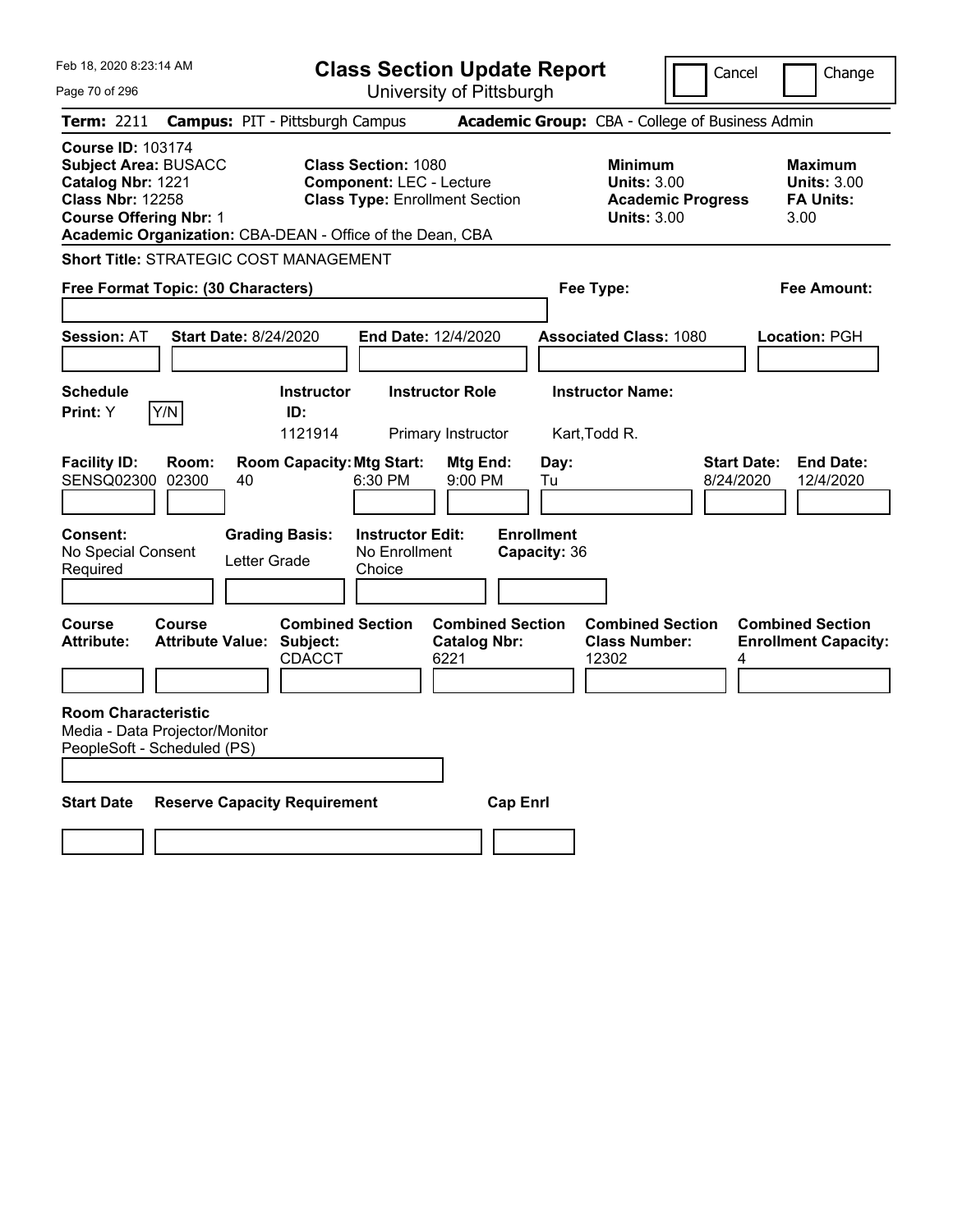| Feb 18, 2020 8:23:14 AM                                                                                                                                                                               | <b>Class Section Update Report</b>                                                                                       | Cancel                                                                                 | Change                                                           |
|-------------------------------------------------------------------------------------------------------------------------------------------------------------------------------------------------------|--------------------------------------------------------------------------------------------------------------------------|----------------------------------------------------------------------------------------|------------------------------------------------------------------|
| Page 70 of 296                                                                                                                                                                                        | University of Pittsburgh                                                                                                 |                                                                                        |                                                                  |
| Term: 2211                                                                                                                                                                                            | <b>Campus: PIT - Pittsburgh Campus</b>                                                                                   | Academic Group: CBA - College of Business Admin                                        |                                                                  |
| <b>Course ID: 103174</b><br><b>Subject Area: BUSACC</b><br>Catalog Nbr: 1221<br><b>Class Nbr: 12258</b><br><b>Course Offering Nbr: 1</b><br>Academic Organization: CBA-DEAN - Office of the Dean, CBA | <b>Class Section: 1080</b><br><b>Component: LEC - Lecture</b><br><b>Class Type: Enrollment Section</b>                   | <b>Minimum</b><br><b>Units: 3.00</b><br><b>Academic Progress</b><br><b>Units: 3.00</b> | <b>Maximum</b><br><b>Units: 3.00</b><br><b>FA Units:</b><br>3.00 |
| <b>Short Title: STRATEGIC COST MANAGEMENT</b>                                                                                                                                                         |                                                                                                                          |                                                                                        |                                                                  |
| Free Format Topic: (30 Characters)                                                                                                                                                                    |                                                                                                                          | Fee Type:                                                                              | Fee Amount:                                                      |
| <b>Session: AT</b><br><b>Start Date: 8/24/2020</b>                                                                                                                                                    | <b>End Date: 12/4/2020</b>                                                                                               | <b>Associated Class: 1080</b>                                                          | Location: PGH                                                    |
| <b>Schedule</b>                                                                                                                                                                                       | <b>Instructor</b><br><b>Instructor Role</b>                                                                              | <b>Instructor Name:</b>                                                                |                                                                  |
| Y/N<br><b>Print:</b> Y                                                                                                                                                                                | ID:<br>1121914<br>Primary Instructor                                                                                     | Kart, Todd R.                                                                          |                                                                  |
| <b>Facility ID:</b><br>Room:<br>SENSQ02300<br>02300<br>40<br>Consent:<br><b>Grading Basis:</b><br>No Special Consent<br>Letter Grade<br>Required                                                      | <b>Room Capacity: Mtg Start:</b><br>Mtg End:<br>6:30 PM<br>9:00 PM<br><b>Instructor Edit:</b><br>No Enrollment<br>Choice | <b>Start Date:</b><br>Day:<br>8/24/2020<br>Tu<br><b>Enrollment</b><br>Capacity: 36     | <b>End Date:</b><br>12/4/2020                                    |
| <b>Course</b><br><b>Course</b><br><b>Attribute:</b><br><b>Attribute Value: Subject:</b>                                                                                                               | <b>Combined Section</b><br><b>Combined Section</b><br><b>Catalog Nbr:</b><br><b>CDACCT</b><br>6221                       | <b>Combined Section</b><br><b>Class Number:</b><br>12302<br>4                          | <b>Combined Section</b><br><b>Enrollment Capacity:</b>           |
| <b>Room Characteristic</b><br>Media - Data Projector/Monitor<br>PeopleSoft - Scheduled (PS)                                                                                                           |                                                                                                                          |                                                                                        |                                                                  |
| <b>Start Date</b><br><b>Reserve Capacity Requirement</b>                                                                                                                                              |                                                                                                                          | <b>Cap Enrl</b>                                                                        |                                                                  |
|                                                                                                                                                                                                       |                                                                                                                          |                                                                                        |                                                                  |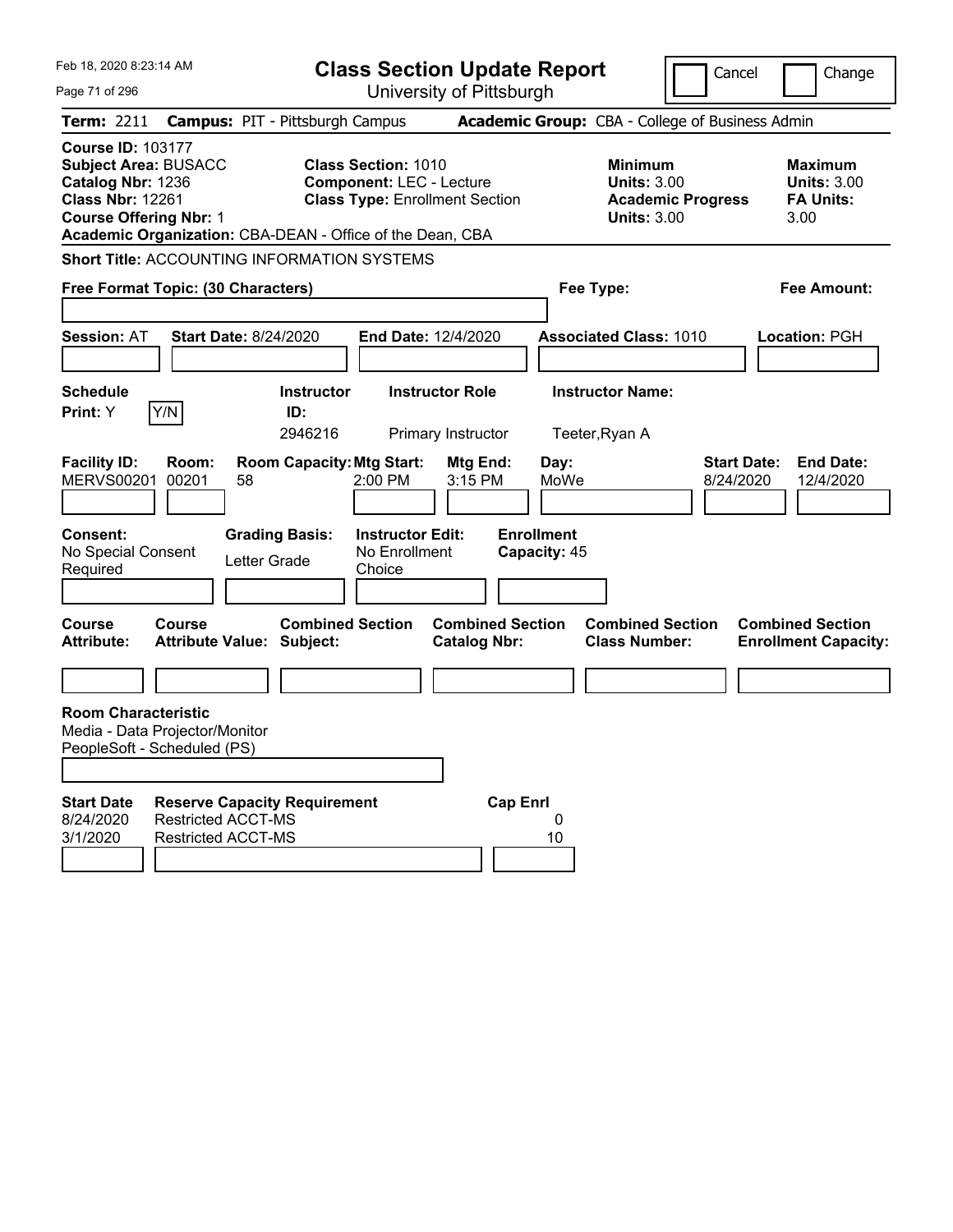| Feb 18. 2020 8:23:14 AM<br>Page 71 of 296                                                                                                                                                             |                                                             | <b>Class Section Update Report</b><br>University of Pittsburgh                                         |                                   |                                                                                        | Cancel                          | Change                                                           |
|-------------------------------------------------------------------------------------------------------------------------------------------------------------------------------------------------------|-------------------------------------------------------------|--------------------------------------------------------------------------------------------------------|-----------------------------------|----------------------------------------------------------------------------------------|---------------------------------|------------------------------------------------------------------|
| <b>Term: 2211</b>                                                                                                                                                                                     | <b>Campus: PIT - Pittsburgh Campus</b>                      |                                                                                                        |                                   | Academic Group: CBA - College of Business Admin                                        |                                 |                                                                  |
| <b>Course ID: 103177</b><br><b>Subject Area: BUSACC</b><br>Catalog Nbr: 1236<br><b>Class Nbr: 12261</b><br><b>Course Offering Nbr: 1</b><br>Academic Organization: CBA-DEAN - Office of the Dean, CBA |                                                             | <b>Class Section: 1010</b><br><b>Component: LEC - Lecture</b><br><b>Class Type: Enrollment Section</b> |                                   | <b>Minimum</b><br><b>Units: 3.00</b><br><b>Academic Progress</b><br><b>Units: 3.00</b> |                                 | <b>Maximum</b><br><b>Units: 3.00</b><br><b>FA Units:</b><br>3.00 |
| <b>Short Title: ACCOUNTING INFORMATION SYSTEMS</b><br>Free Format Topic: (30 Characters)                                                                                                              |                                                             |                                                                                                        |                                   | Fee Type:                                                                              |                                 | <b>Fee Amount:</b>                                               |
| <b>Session: AT</b>                                                                                                                                                                                    | <b>Start Date: 8/24/2020</b>                                | End Date: 12/4/2020                                                                                    |                                   | <b>Associated Class: 1010</b>                                                          |                                 | <b>Location: PGH</b>                                             |
| <b>Schedule</b><br>Y/N<br>Print: Y                                                                                                                                                                    | <b>Instructor</b><br>ID:<br>2946216                         | <b>Instructor Role</b><br>Primary Instructor                                                           |                                   | <b>Instructor Name:</b><br>Teeter, Ryan A                                              |                                 |                                                                  |
| <b>Facility ID:</b><br>Room:<br><b>MERVS00201</b><br>00201                                                                                                                                            | <b>Room Capacity: Mtg Start:</b><br>58                      | Mtg End:<br>3:15 PM<br>$2:00$ PM                                                                       | Day:<br>MoWe                      |                                                                                        | <b>Start Date:</b><br>8/24/2020 | <b>End Date:</b><br>12/4/2020                                    |
| <b>Consent:</b><br>No Special Consent<br>Required                                                                                                                                                     | <b>Grading Basis:</b><br>Letter Grade                       | <b>Instructor Edit:</b><br>No Enrollment<br>Choice                                                     | <b>Enrollment</b><br>Capacity: 45 |                                                                                        |                                 |                                                                  |
| <b>Course</b><br>Course<br><b>Attribute:</b>                                                                                                                                                          | <b>Combined Section</b><br><b>Attribute Value: Subject:</b> | <b>Catalog Nbr:</b>                                                                                    | <b>Combined Section</b>           | <b>Combined Section</b><br><b>Class Number:</b>                                        |                                 | <b>Combined Section</b><br><b>Enrollment Capacity:</b>           |
|                                                                                                                                                                                                       |                                                             |                                                                                                        |                                   |                                                                                        |                                 |                                                                  |
| <b>Room Characteristic</b><br>Media - Data Projector/Monitor<br>PeopleSoft - Scheduled (PS)                                                                                                           |                                                             |                                                                                                        |                                   |                                                                                        |                                 |                                                                  |
| <b>Start Date</b><br><b>Restricted ACCT-MS</b><br>8/24/2020<br><b>Restricted ACCT-MS</b><br>3/1/2020                                                                                                  | <b>Reserve Capacity Requirement</b>                         |                                                                                                        | <b>Cap Enrl</b><br>0<br>10        |                                                                                        |                                 |                                                                  |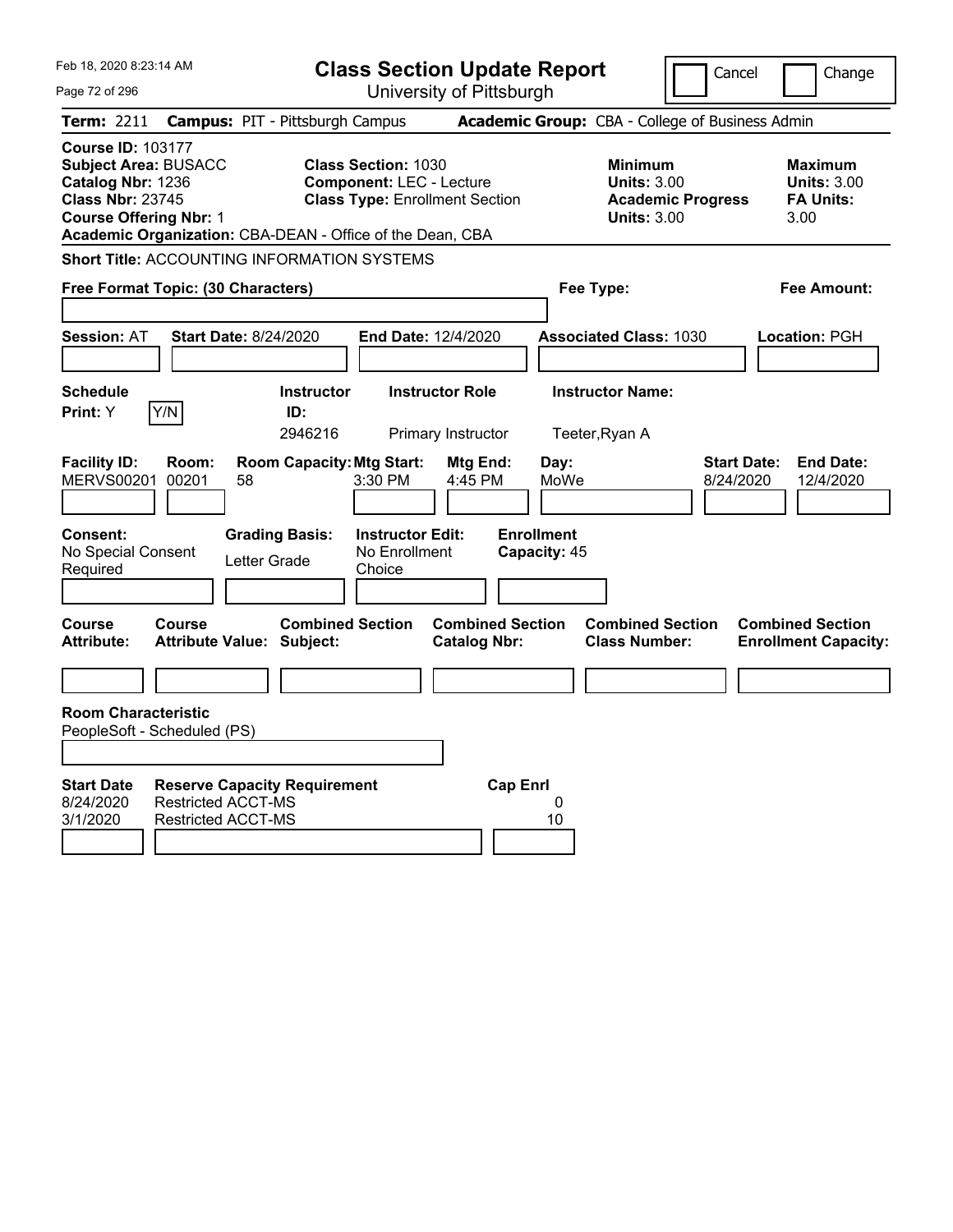| Feb 18, 2020 8:23:14 AM                                                                                                                                                                               |                                                                                               |                                                           | <b>Class Section Update Report</b>                                                                     |                                                |                                                   |                                                            | Cancel                                          | Change                                                           |
|-------------------------------------------------------------------------------------------------------------------------------------------------------------------------------------------------------|-----------------------------------------------------------------------------------------------|-----------------------------------------------------------|--------------------------------------------------------------------------------------------------------|------------------------------------------------|---------------------------------------------------|------------------------------------------------------------|-------------------------------------------------|------------------------------------------------------------------|
| Page 72 of 296                                                                                                                                                                                        |                                                                                               |                                                           |                                                                                                        | University of Pittsburgh                       |                                                   |                                                            |                                                 |                                                                  |
| <b>Term: 2211</b>                                                                                                                                                                                     | <b>Campus: PIT - Pittsburgh Campus</b>                                                        |                                                           |                                                                                                        |                                                |                                                   |                                                            | Academic Group: CBA - College of Business Admin |                                                                  |
| <b>Course ID: 103177</b><br><b>Subject Area: BUSACC</b><br>Catalog Nbr: 1236<br><b>Class Nbr: 23745</b><br><b>Course Offering Nbr: 1</b><br>Academic Organization: CBA-DEAN - Office of the Dean, CBA |                                                                                               |                                                           | <b>Class Section: 1030</b><br><b>Component: LEC - Lecture</b><br><b>Class Type: Enrollment Section</b> |                                                |                                                   | <b>Minimum</b><br><b>Units: 3.00</b><br><b>Units: 3.00</b> | <b>Academic Progress</b>                        | <b>Maximum</b><br><b>Units: 3.00</b><br><b>FA Units:</b><br>3.00 |
| <b>Short Title: ACCOUNTING INFORMATION SYSTEMS</b>                                                                                                                                                    |                                                                                               |                                                           |                                                                                                        |                                                |                                                   |                                                            |                                                 |                                                                  |
| Free Format Topic: (30 Characters)                                                                                                                                                                    |                                                                                               |                                                           |                                                                                                        |                                                |                                                   | Fee Type:                                                  |                                                 | Fee Amount:                                                      |
| <b>Session: AT</b>                                                                                                                                                                                    | <b>Start Date: 8/24/2020</b>                                                                  |                                                           | <b>End Date: 12/4/2020</b>                                                                             |                                                |                                                   | <b>Associated Class: 1030</b>                              |                                                 | Location: PGH                                                    |
| <b>Schedule</b>                                                                                                                                                                                       |                                                                                               | <b>Instructor</b>                                         |                                                                                                        | <b>Instructor Role</b>                         |                                                   | <b>Instructor Name:</b>                                    |                                                 |                                                                  |
| Y/N<br><b>Print: Y</b>                                                                                                                                                                                |                                                                                               | ID:<br>2946216                                            |                                                                                                        | Primary Instructor                             |                                                   | Teeter, Ryan A                                             |                                                 |                                                                  |
| <b>Facility ID:</b><br><b>MERVS00201</b><br>Consent:<br>No Special Consent<br>Required                                                                                                                | Room:<br>00201<br>58<br>Letter Grade                                                          | <b>Room Capacity: Mtg Start:</b><br><b>Grading Basis:</b> | 3:30 PM<br><b>Instructor Edit:</b><br>No Enrollment<br>Choice                                          | Mtg End:<br>4:45 PM                            | Day:<br>MoWe<br><b>Enrollment</b><br>Capacity: 45 |                                                            | <b>Start Date:</b><br>8/24/2020                 | <b>End Date:</b><br>12/4/2020                                    |
| Course<br><b>Attribute:</b>                                                                                                                                                                           | <b>Course</b><br><b>Attribute Value: Subject:</b>                                             | <b>Combined Section</b>                                   |                                                                                                        | <b>Combined Section</b><br><b>Catalog Nbr:</b> |                                                   | <b>Combined Section</b><br><b>Class Number:</b>            |                                                 | <b>Combined Section</b><br><b>Enrollment Capacity:</b>           |
|                                                                                                                                                                                                       |                                                                                               |                                                           |                                                                                                        |                                                |                                                   |                                                            |                                                 |                                                                  |
| <b>Room Characteristic</b><br>PeopleSoft - Scheduled (PS)                                                                                                                                             |                                                                                               |                                                           |                                                                                                        |                                                |                                                   |                                                            |                                                 |                                                                  |
| <b>Start Date</b><br>8/24/2020<br>3/1/2020                                                                                                                                                            | <b>Reserve Capacity Requirement</b><br><b>Restricted ACCT-MS</b><br><b>Restricted ACCT-MS</b> |                                                           |                                                                                                        |                                                | <b>Cap Enri</b><br>0<br>10                        |                                                            |                                                 |                                                                  |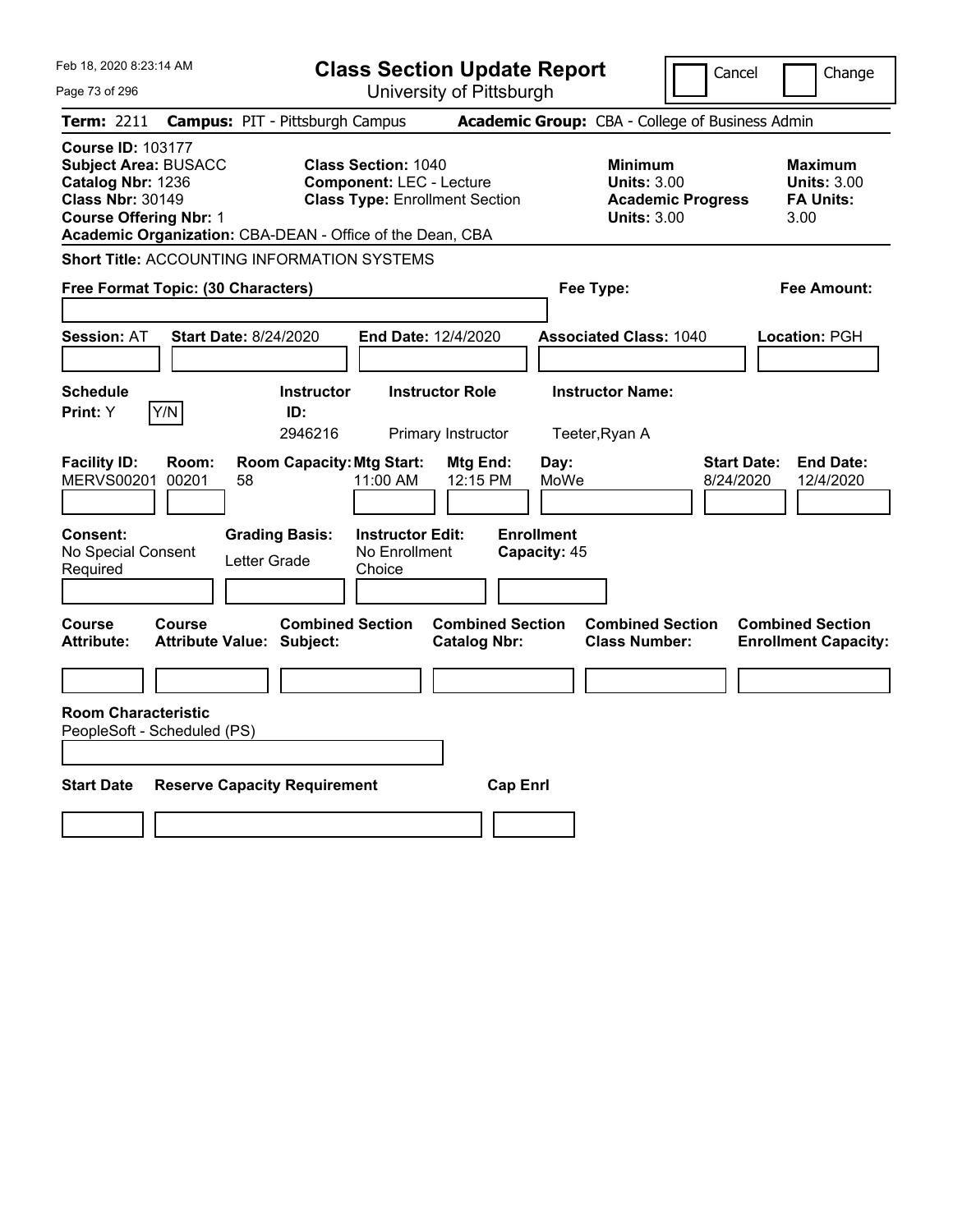| Feb 18, 2020 8:23:14 AM                                                                                                                                                                               | <b>Class Section Update Report</b>                                                                               |                                                                            | Cancel                          | Change                                                           |
|-------------------------------------------------------------------------------------------------------------------------------------------------------------------------------------------------------|------------------------------------------------------------------------------------------------------------------|----------------------------------------------------------------------------|---------------------------------|------------------------------------------------------------------|
| Page 73 of 296                                                                                                                                                                                        | University of Pittsburgh                                                                                         |                                                                            |                                 |                                                                  |
| <b>Term: 2211</b>                                                                                                                                                                                     | <b>Campus: PIT - Pittsburgh Campus</b>                                                                           | Academic Group: CBA - College of Business Admin                            |                                 |                                                                  |
| <b>Course ID: 103177</b><br><b>Subject Area: BUSACC</b><br>Catalog Nbr: 1236<br><b>Class Nbr: 30149</b><br><b>Course Offering Nbr: 1</b><br>Academic Organization: CBA-DEAN - Office of the Dean, CBA | <b>Class Section: 1040</b><br><b>Component: LEC - Lecture</b><br><b>Class Type: Enrollment Section</b>           | <b>Minimum</b><br><b>Units: 3.00</b><br><b>Units: 3.00</b>                 | <b>Academic Progress</b>        | <b>Maximum</b><br><b>Units: 3.00</b><br><b>FA Units:</b><br>3.00 |
| <b>Short Title: ACCOUNTING INFORMATION SYSTEMS</b>                                                                                                                                                    |                                                                                                                  |                                                                            |                                 |                                                                  |
| Free Format Topic: (30 Characters)                                                                                                                                                                    |                                                                                                                  | Fee Type:                                                                  |                                 | Fee Amount:                                                      |
| <b>Start Date: 8/24/2020</b><br><b>Session: AT</b>                                                                                                                                                    | End Date: 12/4/2020                                                                                              | <b>Associated Class: 1040</b>                                              |                                 | Location: PGH                                                    |
| <b>Schedule</b><br>Y/N<br>Print: Y                                                                                                                                                                    | <b>Instructor Role</b><br><b>Instructor</b><br>ID:<br>2946216<br>Primary Instructor                              | <b>Instructor Name:</b><br>Teeter, Ryan A                                  |                                 |                                                                  |
| <b>Facility ID:</b><br>Room:<br><b>MERVS00201</b><br>00201<br>58<br><b>Consent:</b><br><b>Grading Basis:</b><br>No Special Consent                                                                    | <b>Room Capacity: Mtg Start:</b><br>Mtg End:<br>11:00 AM<br>12:15 PM<br><b>Instructor Edit:</b><br>No Enrollment | Day:<br>MoWe<br><b>Enrollment</b><br>Capacity: 45                          | <b>Start Date:</b><br>8/24/2020 | <b>End Date:</b><br>12/4/2020                                    |
| Letter Grade<br>Required                                                                                                                                                                              | Choice                                                                                                           |                                                                            |                                 |                                                                  |
| <b>Course</b><br>Course<br><b>Attribute:</b><br><b>Attribute Value: Subject:</b>                                                                                                                      | <b>Combined Section</b><br><b>Catalog Nbr:</b>                                                                   | <b>Combined Section</b><br><b>Combined Section</b><br><b>Class Number:</b> |                                 | <b>Combined Section</b><br><b>Enrollment Capacity:</b>           |
| <b>Room Characteristic</b><br>PeopleSoft - Scheduled (PS)                                                                                                                                             |                                                                                                                  |                                                                            |                                 |                                                                  |
| <b>Start Date</b><br><b>Reserve Capacity Requirement</b>                                                                                                                                              |                                                                                                                  | <b>Cap Enrl</b>                                                            |                                 |                                                                  |
|                                                                                                                                                                                                       |                                                                                                                  |                                                                            |                                 |                                                                  |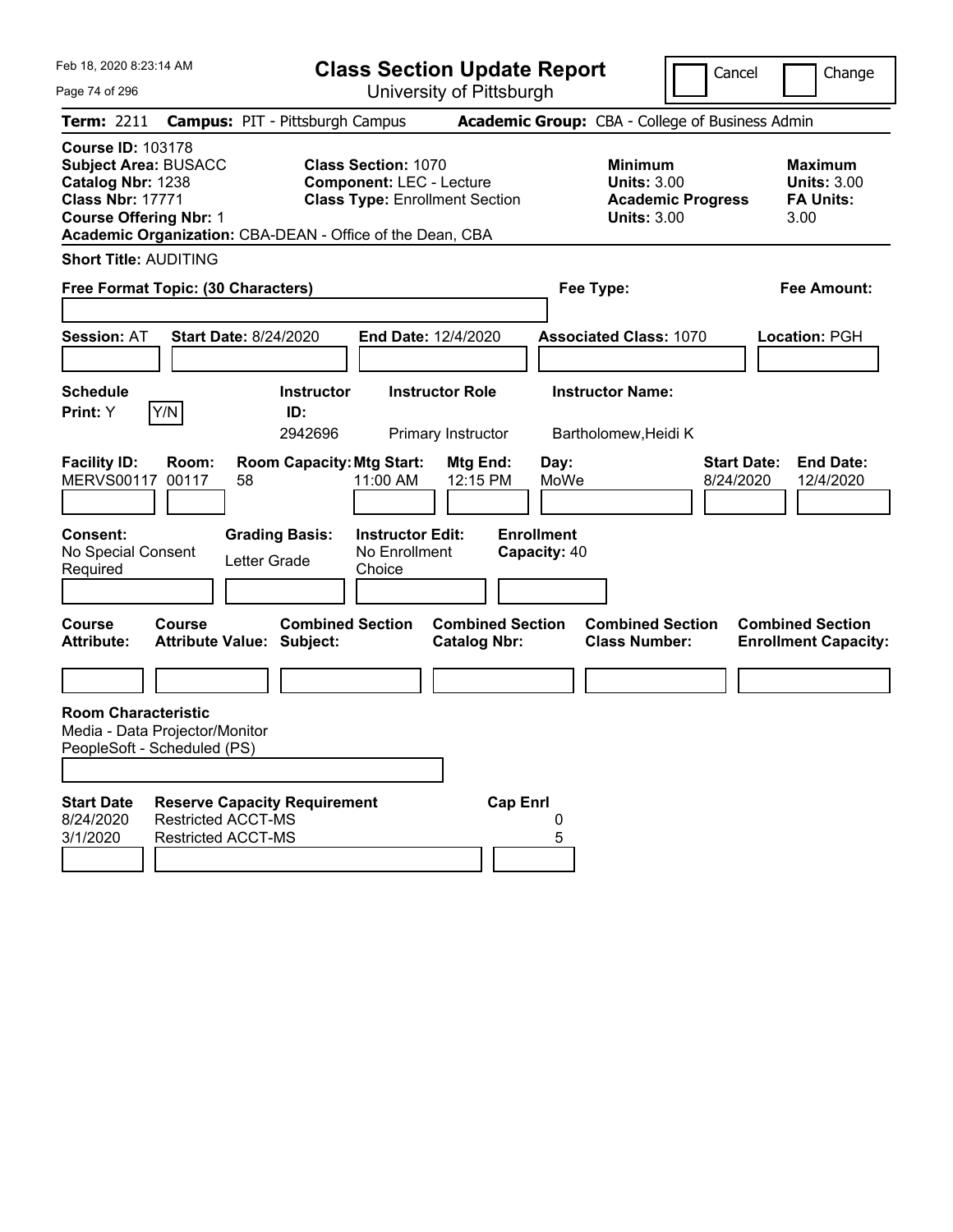Feb 18, 2020 8:23:14 AM Page 74 of 296 **Class Section Update Report** University of Pittsburgh Cancel Change **Term:** 2211 **Campus:** PIT - Pittsburgh Campus **Academic Group:** CBA - College of Business Admin **Course ID:** 103178 **Subject Area: BUSACC Class Section: 1070 Minimum 1070 Minimum Maximum Catalog Nbr:** 1238 **Component:** LEC - Lecture **Units:** 3.00 **Units:** 3.00 **Class Nbr:** 17771 **Class Type:** Enrollment Section **Academic Progress FA Units: Course Offering Nbr:** 1 **Units:** 3.00 3.00 **Academic Organization:** CBA-DEAN - Office of the Dean, CBA **Short Title:** AUDITING **Free Format Topic: (30 Characters) Fee Type: Fee Amount: Session:** AT **Start Date:** 8/24/2020 **End Date:** 12/4/2020 **Associated Class:** 1070 **Location:** PGH **Schedule Instructor Instructor Role Instructor Name: Print:**  $Y$   $|Y/N|$  **ID:** 2942696 Primary Instructor Bartholomew,Heidi K **Facility ID: Room: Room Capacity:Mtg Start: Mtg End: Day: Start Date: End Date:** MERVS00117 00117 58 11:00 AM 12:15 PM MoWe 8/24/2020 12/4/2020 **Consent: Grading Basis: Instructor Edit: Enrollment** No Special Consent Required Letter Grade No Enrollment Choice **Capacity:** 40 **Course Course Combined Section Combined Section Combined Section Combined Section Attribute: Attribute Value: Subject: Catalog Nbr: Class Number: Enrollment Capacity: Room Characteristic** Media - Data Projector/Monitor PeopleSoft - Scheduled (PS) **Start Date Reserve Capacity Requirement Cap Enrl** 8/24/2020 Restricted ACCT-MS 0 3/1/2020 Restricted ACCT-MS 5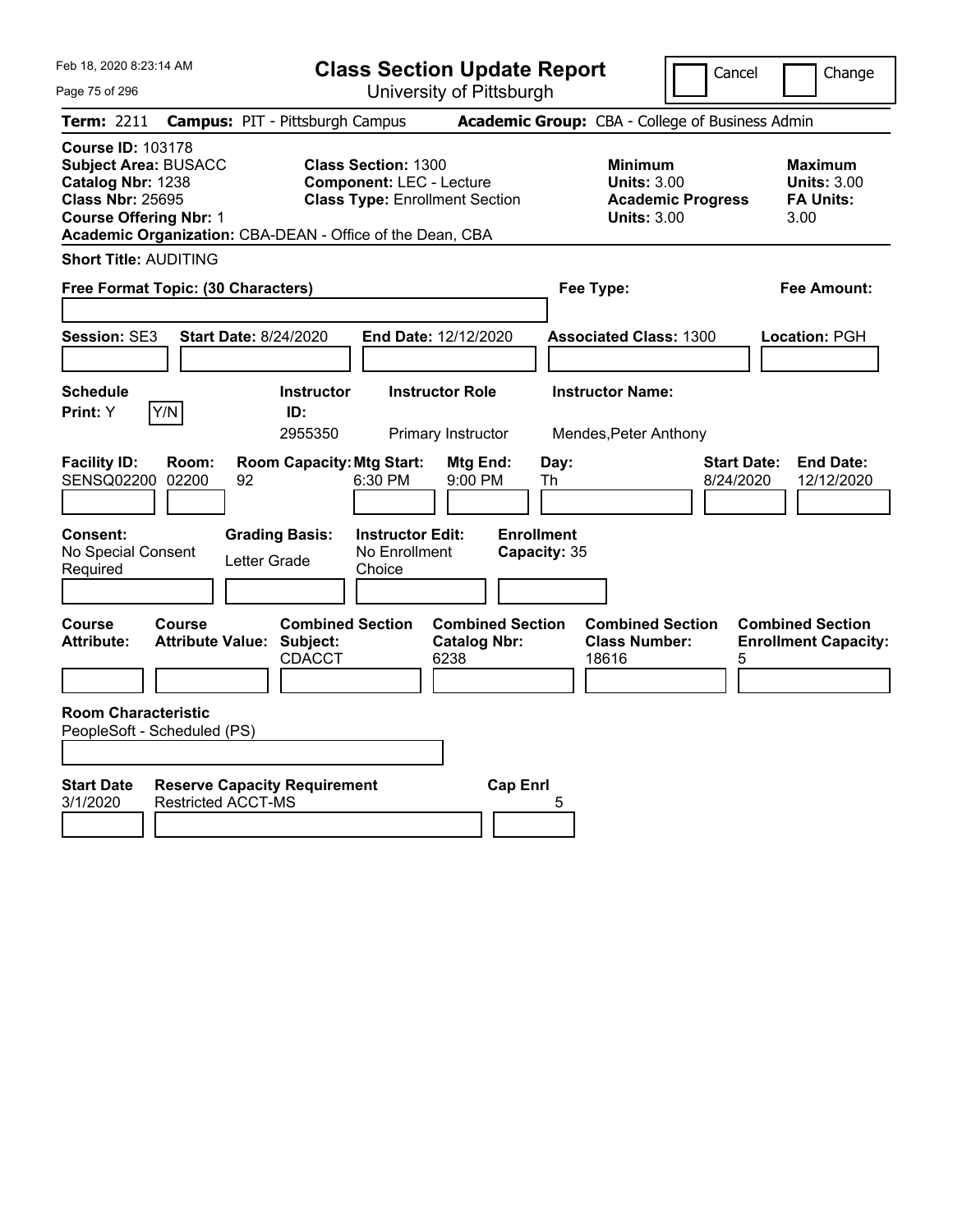Feb 18, 2020 8:23:14 AM

Page 75 of 296

**Class Section Update Report**

University of Pittsburgh

Cancel Change

| Term: 2211                                                                                                                               |                                          | <b>Campus: PIT - Pittsburgh Campus</b>                    |                                                               |                                                        |                                   | <b>Academic Group:</b> CBA - College of Business Admin                                 |                                 |                                                                  |
|------------------------------------------------------------------------------------------------------------------------------------------|------------------------------------------|-----------------------------------------------------------|---------------------------------------------------------------|--------------------------------------------------------|-----------------------------------|----------------------------------------------------------------------------------------|---------------------------------|------------------------------------------------------------------|
| <b>Course ID: 103178</b><br><b>Subject Area: BUSACC</b><br>Catalog Nbr: 1238<br><b>Class Nbr: 25695</b><br><b>Course Offering Nbr: 1</b> |                                          | Academic Organization: CBA-DEAN - Office of the Dean, CBA | <b>Class Section: 1300</b><br><b>Component: LEC - Lecture</b> | <b>Class Type: Enrollment Section</b>                  |                                   | <b>Minimum</b><br><b>Units: 3.00</b><br><b>Academic Progress</b><br><b>Units: 3.00</b> |                                 | <b>Maximum</b><br><b>Units: 3.00</b><br><b>FA Units:</b><br>3.00 |
| <b>Short Title: AUDITING</b>                                                                                                             |                                          |                                                           |                                                               |                                                        |                                   |                                                                                        |                                 |                                                                  |
| Free Format Topic: (30 Characters)                                                                                                       |                                          |                                                           |                                                               |                                                        |                                   | Fee Type:                                                                              |                                 | <b>Fee Amount:</b>                                               |
| Session: SE3                                                                                                                             |                                          | <b>Start Date: 8/24/2020</b>                              |                                                               | End Date: 12/12/2020                                   |                                   | <b>Associated Class: 1300</b>                                                          |                                 | Location: PGH                                                    |
| <b>Schedule</b><br>Y/N<br>Print: Y                                                                                                       |                                          | Instructor<br>ID:<br>2955350                              |                                                               | <b>Instructor Role</b><br>Primary Instructor           |                                   | <b>Instructor Name:</b><br>Mendes, Peter Anthony                                       |                                 |                                                                  |
| <b>Facility ID:</b><br>SENSQ02200                                                                                                        | Room:<br>02200                           | <b>Room Capacity: Mtg Start:</b><br>92                    | 6:30 PM                                                       | Mtg End:<br>9:00 PM                                    | Day:<br>Th                        |                                                                                        | <b>Start Date:</b><br>8/24/2020 | <b>End Date:</b><br>12/12/2020                                   |
| <b>Consent:</b><br>No Special Consent<br>Required                                                                                        |                                          | <b>Grading Basis:</b><br>Letter Grade                     | <b>Instructor Edit:</b><br>No Enrollment<br>Choice            |                                                        | <b>Enrollment</b><br>Capacity: 35 |                                                                                        |                                 |                                                                  |
| <b>Course</b><br><b>Attribute:</b>                                                                                                       | <b>Course</b><br><b>Attribute Value:</b> | <b>Combined Section</b><br>Subject:<br><b>CDACCT</b>      |                                                               | <b>Combined Section</b><br><b>Catalog Nbr:</b><br>6238 |                                   | <b>Combined Section</b><br><b>Class Number:</b><br>18616                               | 5                               | <b>Combined Section</b><br><b>Enrollment Capacity:</b>           |
| <b>Room Characteristic</b><br>PeopleSoft - Scheduled (PS)                                                                                |                                          |                                                           |                                                               |                                                        |                                   |                                                                                        |                                 |                                                                  |
| <b>Start Date</b><br>3/1/2020                                                                                                            | <b>Restricted ACCT-MS</b>                | <b>Reserve Capacity Requirement</b>                       |                                                               | <b>Cap Enrl</b>                                        | 5                                 |                                                                                        |                                 |                                                                  |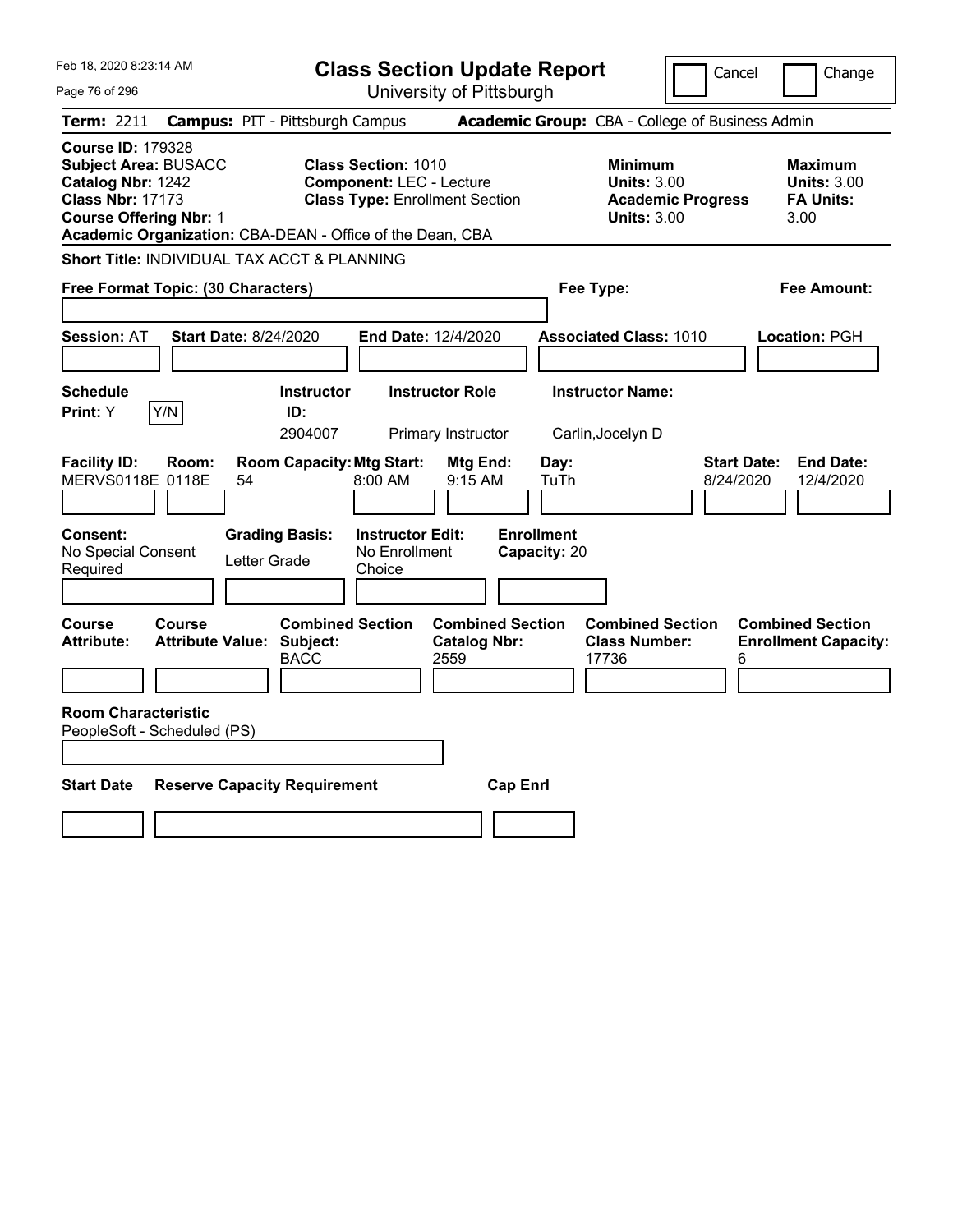| Feb 18, 2020 8:23:14 AM                                                                                                                                                                               | <b>Class Section Update Report</b>                                                                     | Cancel                                                                                 | Change                                                           |
|-------------------------------------------------------------------------------------------------------------------------------------------------------------------------------------------------------|--------------------------------------------------------------------------------------------------------|----------------------------------------------------------------------------------------|------------------------------------------------------------------|
| Page 76 of 296                                                                                                                                                                                        | University of Pittsburgh                                                                               |                                                                                        |                                                                  |
| Term: 2211                                                                                                                                                                                            | <b>Campus: PIT - Pittsburgh Campus</b>                                                                 | Academic Group: CBA - College of Business Admin                                        |                                                                  |
| <b>Course ID: 179328</b><br><b>Subject Area: BUSACC</b><br>Catalog Nbr: 1242<br><b>Class Nbr: 17173</b><br><b>Course Offering Nbr: 1</b><br>Academic Organization: CBA-DEAN - Office of the Dean, CBA | <b>Class Section: 1010</b><br><b>Component: LEC - Lecture</b><br><b>Class Type: Enrollment Section</b> | <b>Minimum</b><br><b>Units: 3.00</b><br><b>Academic Progress</b><br><b>Units: 3.00</b> | <b>Maximum</b><br><b>Units: 3.00</b><br><b>FA Units:</b><br>3.00 |
| Short Title: INDIVIDUAL TAX ACCT & PLANNING                                                                                                                                                           |                                                                                                        |                                                                                        |                                                                  |
| Free Format Topic: (30 Characters)                                                                                                                                                                    |                                                                                                        | Fee Type:                                                                              | Fee Amount:                                                      |
| <b>Start Date: 8/24/2020</b><br><b>Session: AT</b>                                                                                                                                                    | End Date: 12/4/2020                                                                                    | <b>Associated Class: 1010</b>                                                          | <b>Location: PGH</b>                                             |
| <b>Schedule</b><br>Print: Y<br>Y/N                                                                                                                                                                    | <b>Instructor Role</b><br><b>Instructor</b><br>ID:<br>2904007<br>Primary Instructor                    | <b>Instructor Name:</b><br>Carlin, Jocelyn D                                           |                                                                  |
| <b>Facility ID:</b><br>Room:<br>MERVS0118E 0118E<br>54                                                                                                                                                | <b>Room Capacity: Mtg Start:</b><br>Mtg End:<br>8:00 AM<br>$9:15$ AM                                   | Day:<br><b>Start Date:</b><br>8/24/2020<br>TuTh                                        | <b>End Date:</b><br>12/4/2020                                    |
| <b>Consent:</b><br><b>Grading Basis:</b><br>No Special Consent<br>Letter Grade<br>Required                                                                                                            | <b>Instructor Edit:</b><br>No Enrollment<br>Choice                                                     | <b>Enrollment</b><br>Capacity: 20                                                      |                                                                  |
| <b>Course</b><br>Course<br><b>Attribute Value: Subject:</b><br>Attribute:                                                                                                                             | <b>Combined Section</b><br><b>Combined Section</b><br><b>Catalog Nbr:</b><br><b>BACC</b><br>2559       | <b>Combined Section</b><br><b>Class Number:</b><br>17736<br>6                          | <b>Combined Section</b><br><b>Enrollment Capacity:</b>           |
| <b>Room Characteristic</b><br>PeopleSoft - Scheduled (PS)                                                                                                                                             |                                                                                                        |                                                                                        |                                                                  |
| <b>Start Date</b><br><b>Reserve Capacity Requirement</b>                                                                                                                                              | <b>Cap Enrl</b>                                                                                        |                                                                                        |                                                                  |
|                                                                                                                                                                                                       |                                                                                                        |                                                                                        |                                                                  |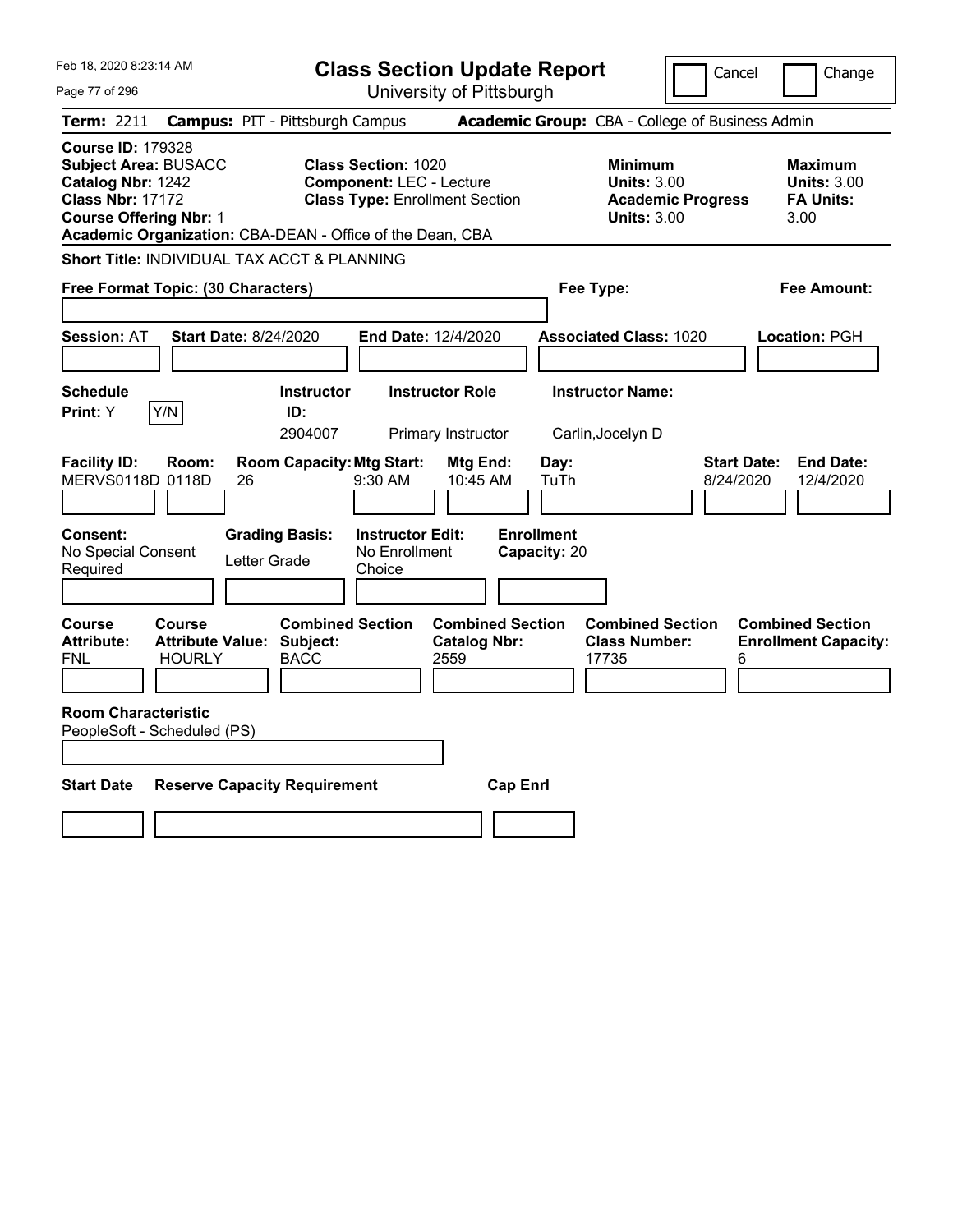| Feb 18, 2020 8:23:14 AM                                                                                                                                                                               | <b>Class Section Update Report</b>                                                                     | Cancel                                                                                 | Change                                                           |
|-------------------------------------------------------------------------------------------------------------------------------------------------------------------------------------------------------|--------------------------------------------------------------------------------------------------------|----------------------------------------------------------------------------------------|------------------------------------------------------------------|
| Page 77 of 296                                                                                                                                                                                        | University of Pittsburgh                                                                               |                                                                                        |                                                                  |
| Term: 2211                                                                                                                                                                                            | <b>Campus: PIT - Pittsburgh Campus</b>                                                                 | Academic Group: CBA - College of Business Admin                                        |                                                                  |
| <b>Course ID: 179328</b><br><b>Subject Area: BUSACC</b><br>Catalog Nbr: 1242<br><b>Class Nbr: 17172</b><br><b>Course Offering Nbr: 1</b><br>Academic Organization: CBA-DEAN - Office of the Dean, CBA | <b>Class Section: 1020</b><br><b>Component: LEC - Lecture</b><br><b>Class Type: Enrollment Section</b> | <b>Minimum</b><br><b>Units: 3.00</b><br><b>Academic Progress</b><br><b>Units: 3.00</b> | <b>Maximum</b><br><b>Units: 3.00</b><br><b>FA Units:</b><br>3.00 |
| Short Title: INDIVIDUAL TAX ACCT & PLANNING                                                                                                                                                           |                                                                                                        |                                                                                        |                                                                  |
| Free Format Topic: (30 Characters)                                                                                                                                                                    |                                                                                                        | Fee Type:                                                                              | Fee Amount:                                                      |
| <b>Session: AT</b><br><b>Start Date: 8/24/2020</b>                                                                                                                                                    | End Date: 12/4/2020                                                                                    | <b>Associated Class: 1020</b>                                                          | Location: PGH                                                    |
| <b>Schedule</b><br>Y/N<br><b>Print: Y</b>                                                                                                                                                             | <b>Instructor Role</b><br><b>Instructor</b><br>ID:<br>2904007<br>Primary Instructor                    | <b>Instructor Name:</b><br>Carlin, Jocelyn D                                           |                                                                  |
| <b>Facility ID:</b><br>Room:<br>MERVS0118D 0118D<br>26                                                                                                                                                | <b>Room Capacity: Mtg Start:</b><br>Mtg End:<br>9:30 AM<br>10:45 AM                                    | Day:<br><b>Start Date:</b><br>TuTh<br>8/24/2020                                        | <b>End Date:</b><br>12/4/2020                                    |
| Consent:<br><b>Grading Basis:</b><br>No Special Consent<br>Letter Grade<br>Required                                                                                                                   | <b>Instructor Edit:</b><br>No Enrollment<br>Choice                                                     | <b>Enrollment</b><br>Capacity: 20                                                      |                                                                  |
| Course<br>Course<br><b>Attribute:</b><br><b>Attribute Value: Subject:</b><br>FNL<br><b>HOURLY</b><br><b>Room Characteristic</b>                                                                       | <b>Combined Section</b><br><b>Combined Section</b><br><b>Catalog Nbr:</b><br>2559<br><b>BACC</b>       | <b>Combined Section</b><br><b>Class Number:</b><br>17735<br>6                          | <b>Combined Section</b><br><b>Enrollment Capacity:</b>           |
| PeopleSoft - Scheduled (PS)                                                                                                                                                                           |                                                                                                        |                                                                                        |                                                                  |
| <b>Start Date</b><br><b>Reserve Capacity Requirement</b>                                                                                                                                              | <b>Cap Enrl</b>                                                                                        |                                                                                        |                                                                  |
|                                                                                                                                                                                                       |                                                                                                        |                                                                                        |                                                                  |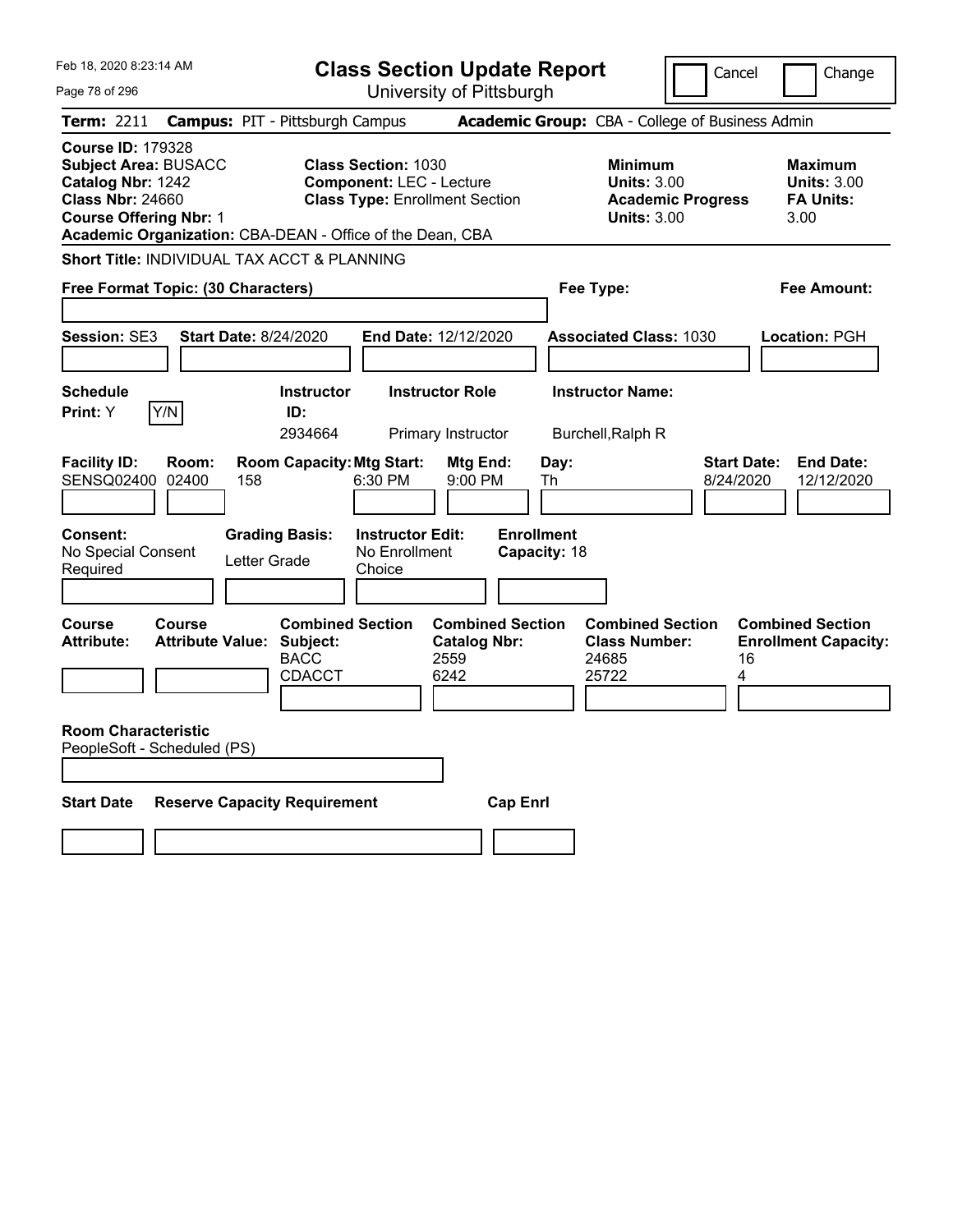| Feb 18, 2020 8:23:14 AM                                                                                                                                                                               | <b>Class Section Update Report</b>                                                                     |                                                                                                                     | Cancel                          | Change                                                           |
|-------------------------------------------------------------------------------------------------------------------------------------------------------------------------------------------------------|--------------------------------------------------------------------------------------------------------|---------------------------------------------------------------------------------------------------------------------|---------------------------------|------------------------------------------------------------------|
| Page 78 of 296                                                                                                                                                                                        | University of Pittsburgh                                                                               |                                                                                                                     |                                 |                                                                  |
| Term: 2211                                                                                                                                                                                            | <b>Campus: PIT - Pittsburgh Campus</b>                                                                 | Academic Group: CBA - College of Business Admin                                                                     |                                 |                                                                  |
| <b>Course ID: 179328</b><br><b>Subject Area: BUSACC</b><br>Catalog Nbr: 1242<br><b>Class Nbr: 24660</b><br><b>Course Offering Nbr: 1</b><br>Academic Organization: CBA-DEAN - Office of the Dean, CBA | <b>Class Section: 1030</b><br><b>Component: LEC - Lecture</b><br><b>Class Type: Enrollment Section</b> | <b>Minimum</b><br><b>Units: 3.00</b><br><b>Units: 3.00</b>                                                          | <b>Academic Progress</b>        | <b>Maximum</b><br><b>Units: 3.00</b><br><b>FA Units:</b><br>3.00 |
| Short Title: INDIVIDUAL TAX ACCT & PLANNING                                                                                                                                                           |                                                                                                        |                                                                                                                     |                                 |                                                                  |
| Free Format Topic: (30 Characters)                                                                                                                                                                    |                                                                                                        | Fee Type:                                                                                                           |                                 | Fee Amount:                                                      |
| <b>Session: SE3</b><br><b>Start Date: 8/24/2020</b>                                                                                                                                                   | <b>End Date: 12/12/2020</b>                                                                            | <b>Associated Class: 1030</b>                                                                                       |                                 | Location: PGH                                                    |
| <b>Schedule</b><br>Y/N<br>Print: Y                                                                                                                                                                    | <b>Instructor Role</b><br><b>Instructor</b><br>ID:<br>2934664<br>Primary Instructor                    | <b>Instructor Name:</b><br>Burchell, Ralph R                                                                        |                                 |                                                                  |
| <b>Facility ID:</b><br>Room:<br>SENSQ02400<br>02400<br>158                                                                                                                                            | <b>Room Capacity: Mtg Start:</b><br>6:30 PM                                                            | Mtg End:<br>Day:<br>9:00 PM<br>Th                                                                                   | <b>Start Date:</b><br>8/24/2020 | <b>End Date:</b><br>12/12/2020                                   |
| <b>Consent:</b><br>No Special Consent<br>Letter Grade<br>Required                                                                                                                                     | <b>Grading Basis:</b><br><b>Instructor Edit:</b><br>No Enrollment<br>Choice                            | <b>Enrollment</b><br>Capacity: 18                                                                                   |                                 |                                                                  |
| <b>Course</b><br>Course<br><b>Attribute:</b><br><b>Attribute Value: Subject:</b>                                                                                                                      | <b>Combined Section</b><br><b>BACC</b><br>2559<br><b>CDACCT</b><br>6242                                | <b>Combined Section</b><br><b>Combined Section</b><br><b>Catalog Nbr:</b><br><b>Class Number:</b><br>24685<br>25722 | 16<br>4                         | <b>Combined Section</b><br><b>Enrollment Capacity:</b>           |
| <b>Room Characteristic</b><br>PeopleSoft - Scheduled (PS)                                                                                                                                             |                                                                                                        |                                                                                                                     |                                 |                                                                  |
| <b>Start Date</b><br><b>Reserve Capacity Requirement</b>                                                                                                                                              |                                                                                                        | <b>Cap Enrl</b>                                                                                                     |                                 |                                                                  |
|                                                                                                                                                                                                       |                                                                                                        |                                                                                                                     |                                 |                                                                  |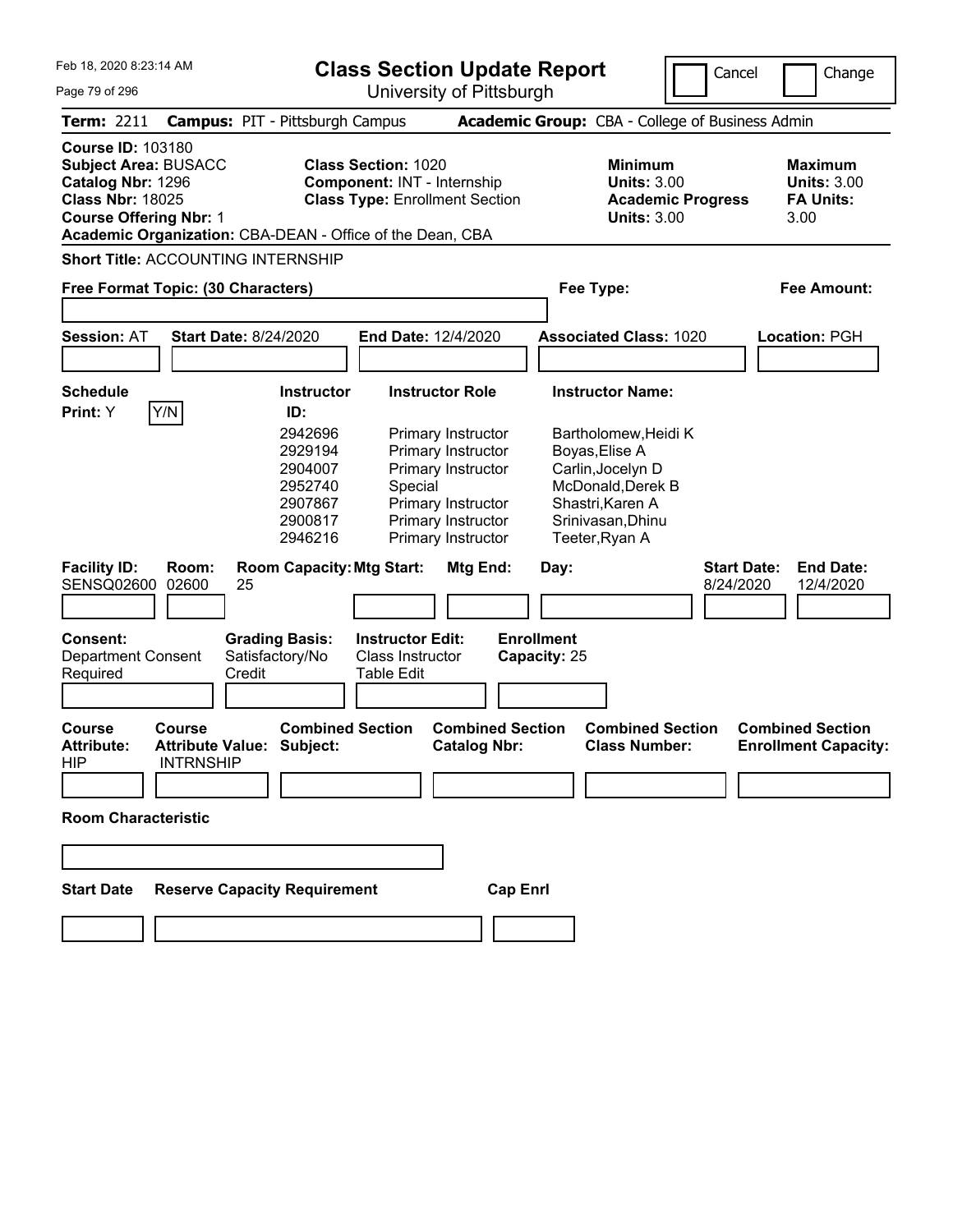|  | Feb 18, 2020 8:23:14 AM |  |
|--|-------------------------|--|
|  |                         |  |

**Class Section Update Report**

Cancel **I** Change

| Page 79 of 296                                                                                                                           |                            |                                                                                                                            |                                                                                                           | University of Pittsburgh                                                                                                                     |                                   |                                                                                                                                             |                                 |                                                                  |
|------------------------------------------------------------------------------------------------------------------------------------------|----------------------------|----------------------------------------------------------------------------------------------------------------------------|-----------------------------------------------------------------------------------------------------------|----------------------------------------------------------------------------------------------------------------------------------------------|-----------------------------------|---------------------------------------------------------------------------------------------------------------------------------------------|---------------------------------|------------------------------------------------------------------|
| <b>Term: 2211</b>                                                                                                                        |                            | <b>Campus: PIT - Pittsburgh Campus</b>                                                                                     |                                                                                                           |                                                                                                                                              |                                   | <b>Academic Group:</b> CBA - College of Business Admin                                                                                      |                                 |                                                                  |
| <b>Course ID: 103180</b><br><b>Subject Area: BUSACC</b><br>Catalog Nbr: 1296<br><b>Class Nbr: 18025</b><br><b>Course Offering Nbr: 1</b> |                            | Academic Organization: CBA-DEAN - Office of the Dean, CBA                                                                  | <b>Class Section: 1020</b><br><b>Component: INT - Internship</b><br><b>Class Type: Enrollment Section</b> |                                                                                                                                              |                                   | <b>Minimum</b><br><b>Units: 3.00</b><br><b>Academic Progress</b><br><b>Units: 3.00</b>                                                      |                                 | <b>Maximum</b><br><b>Units: 3.00</b><br><b>FA Units:</b><br>3.00 |
|                                                                                                                                          |                            | <b>Short Title: ACCOUNTING INTERNSHIP</b>                                                                                  |                                                                                                           |                                                                                                                                              |                                   |                                                                                                                                             |                                 |                                                                  |
| Free Format Topic: (30 Characters)                                                                                                       |                            |                                                                                                                            |                                                                                                           |                                                                                                                                              |                                   | Fee Type:                                                                                                                                   |                                 | Fee Amount:                                                      |
|                                                                                                                                          |                            |                                                                                                                            |                                                                                                           |                                                                                                                                              |                                   |                                                                                                                                             |                                 |                                                                  |
| <b>Session: AT</b>                                                                                                                       |                            | <b>Start Date: 8/24/2020</b>                                                                                               | End Date: 12/4/2020                                                                                       |                                                                                                                                              |                                   | <b>Associated Class: 1020</b>                                                                                                               |                                 | Location: PGH                                                    |
|                                                                                                                                          |                            |                                                                                                                            |                                                                                                           |                                                                                                                                              |                                   |                                                                                                                                             |                                 |                                                                  |
| <b>Schedule</b>                                                                                                                          |                            | Instructor                                                                                                                 | <b>Instructor Role</b>                                                                                    |                                                                                                                                              |                                   | <b>Instructor Name:</b>                                                                                                                     |                                 |                                                                  |
| Print: Y<br><b>Facility ID:</b><br>SENSQ02600                                                                                            | Y/N<br>Room:<br>02600      | ID:<br>2942696<br>2929194<br>2904007<br>2952740<br>2907867<br>2900817<br>2946216<br><b>Room Capacity: Mtg Start:</b><br>25 | Special                                                                                                   | Primary Instructor<br>Primary Instructor<br>Primary Instructor<br>Primary Instructor<br>Primary Instructor<br>Primary Instructor<br>Mtg End: | Day:                              | Bartholomew, Heidi K<br>Boyas, Elise A<br>Carlin, Jocelyn D<br>McDonald, Derek B<br>Shastri, Karen A<br>Srinivasan, Dhinu<br>Teeter, Ryan A | <b>Start Date:</b><br>8/24/2020 | <b>End Date:</b><br>12/4/2020                                    |
| Consent:<br>Department Consent<br>Required                                                                                               |                            | <b>Grading Basis:</b><br>Satisfactory/No<br>Credit                                                                         | <b>Instructor Edit:</b><br>Class Instructor<br><b>Table Edit</b>                                          |                                                                                                                                              | <b>Enrollment</b><br>Capacity: 25 |                                                                                                                                             |                                 |                                                                  |
| <b>Course</b><br><b>Attribute:</b><br><b>HIP</b>                                                                                         | Course<br><b>INTRNSHIP</b> | <b>Combined Section</b><br><b>Attribute Value: Subject:</b>                                                                |                                                                                                           | <b>Combined Section</b><br><b>Catalog Nbr:</b>                                                                                               |                                   | <b>Combined Section</b><br><b>Class Number:</b>                                                                                             |                                 | <b>Combined Section</b><br><b>Enrollment Capacity:</b>           |
| <b>Room Characteristic</b>                                                                                                               |                            |                                                                                                                            |                                                                                                           |                                                                                                                                              |                                   |                                                                                                                                             |                                 |                                                                  |
|                                                                                                                                          |                            |                                                                                                                            |                                                                                                           |                                                                                                                                              |                                   |                                                                                                                                             |                                 |                                                                  |
| <b>Start Date</b>                                                                                                                        |                            | <b>Reserve Capacity Requirement</b>                                                                                        |                                                                                                           | <b>Cap Enrl</b>                                                                                                                              |                                   |                                                                                                                                             |                                 |                                                                  |
|                                                                                                                                          |                            |                                                                                                                            |                                                                                                           |                                                                                                                                              |                                   |                                                                                                                                             |                                 |                                                                  |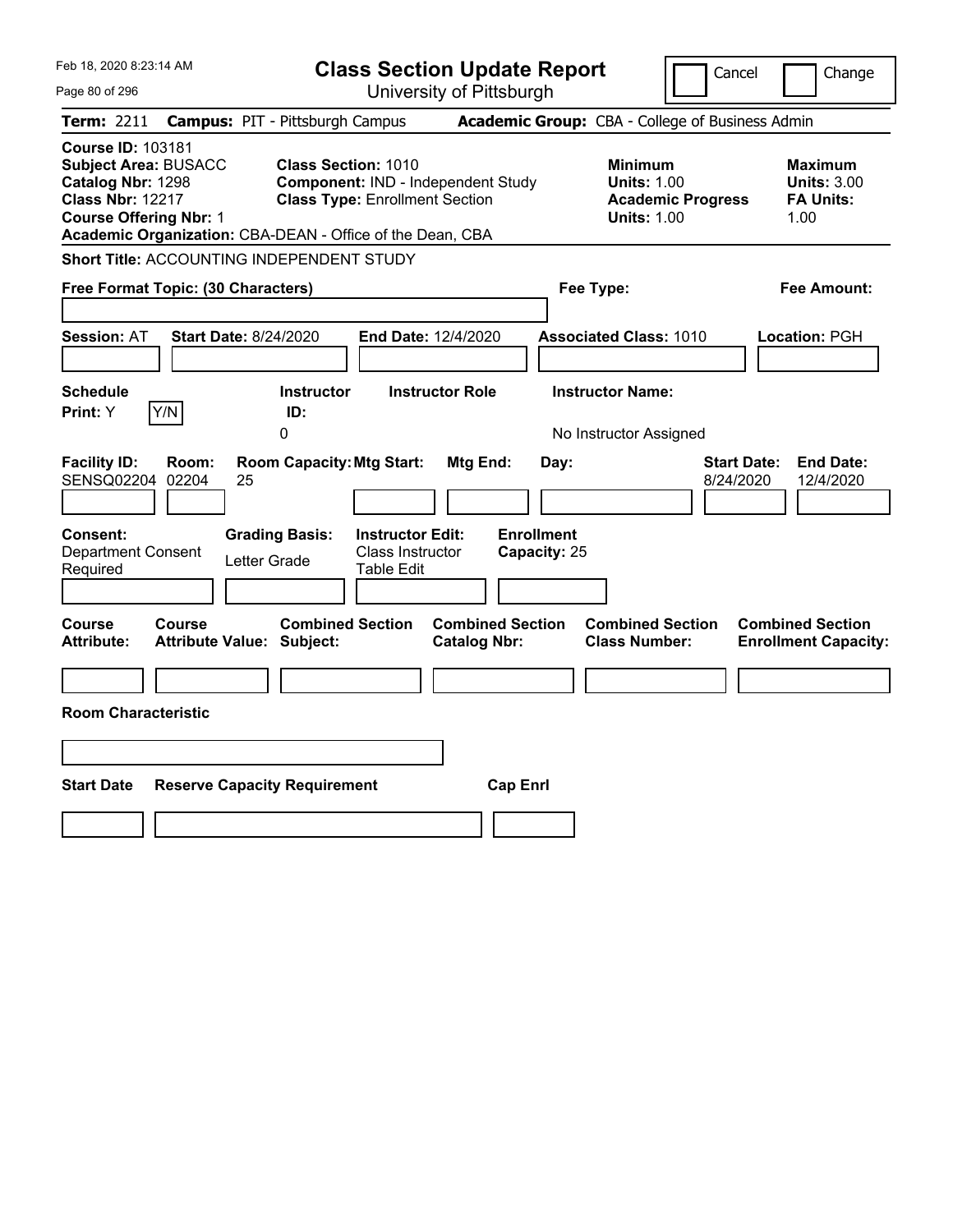| Feb 18, 2020 8:23:14 AM                                                                                                                                                                               |                                                             | <b>Class Section Update Report</b>                                          |                                   | Cancel                                                                                 | Change                                                           |
|-------------------------------------------------------------------------------------------------------------------------------------------------------------------------------------------------------|-------------------------------------------------------------|-----------------------------------------------------------------------------|-----------------------------------|----------------------------------------------------------------------------------------|------------------------------------------------------------------|
| Page 80 of 296                                                                                                                                                                                        |                                                             | University of Pittsburgh                                                    |                                   |                                                                                        |                                                                  |
| Term: 2211                                                                                                                                                                                            | <b>Campus: PIT - Pittsburgh Campus</b>                      |                                                                             |                                   | Academic Group: CBA - College of Business Admin                                        |                                                                  |
| <b>Course ID: 103181</b><br><b>Subject Area: BUSACC</b><br>Catalog Nbr: 1298<br><b>Class Nbr: 12217</b><br><b>Course Offering Nbr: 1</b><br>Academic Organization: CBA-DEAN - Office of the Dean, CBA | <b>Class Section: 1010</b>                                  | Component: IND - Independent Study<br><b>Class Type: Enrollment Section</b> |                                   | <b>Minimum</b><br><b>Units: 1.00</b><br><b>Academic Progress</b><br><b>Units: 1.00</b> | <b>Maximum</b><br><b>Units: 3.00</b><br><b>FA Units:</b><br>1.00 |
| Short Title: ACCOUNTING INDEPENDENT STUDY                                                                                                                                                             |                                                             |                                                                             |                                   |                                                                                        |                                                                  |
| Free Format Topic: (30 Characters)                                                                                                                                                                    |                                                             |                                                                             | Fee Type:                         |                                                                                        | Fee Amount:                                                      |
| <b>Session: AT</b>                                                                                                                                                                                    | <b>Start Date: 8/24/2020</b>                                | End Date: 12/4/2020                                                         |                                   | <b>Associated Class: 1010</b>                                                          | Location: PGH                                                    |
| <b>Schedule</b><br>Y/N<br>Print: Y                                                                                                                                                                    | <b>Instructor</b><br>ID:<br>0                               | <b>Instructor Role</b>                                                      |                                   | <b>Instructor Name:</b><br>No Instructor Assigned                                      |                                                                  |
| <b>Facility ID:</b><br>Room:<br>SENSQ02204<br>02204                                                                                                                                                   | <b>Room Capacity: Mtg Start:</b><br>25                      | Mtg End:                                                                    | Day:                              | 8/24/2020                                                                              | <b>Start Date:</b><br><b>End Date:</b><br>12/4/2020              |
| Consent:<br><b>Department Consent</b><br>Required                                                                                                                                                     | <b>Grading Basis:</b><br>Letter Grade                       | <b>Instructor Edit:</b><br><b>Class Instructor</b><br>Table Edit            | <b>Enrollment</b><br>Capacity: 25 |                                                                                        |                                                                  |
| Course<br>Course<br><b>Attribute:</b>                                                                                                                                                                 | <b>Combined Section</b><br><b>Attribute Value: Subject:</b> | <b>Combined Section</b><br><b>Catalog Nbr:</b>                              |                                   | <b>Combined Section</b><br><b>Class Number:</b>                                        | <b>Combined Section</b><br><b>Enrollment Capacity:</b>           |
|                                                                                                                                                                                                       |                                                             |                                                                             |                                   |                                                                                        |                                                                  |
| <b>Room Characteristic</b>                                                                                                                                                                            |                                                             |                                                                             |                                   |                                                                                        |                                                                  |
|                                                                                                                                                                                                       |                                                             |                                                                             |                                   |                                                                                        |                                                                  |
| <b>Start Date</b>                                                                                                                                                                                     | <b>Reserve Capacity Requirement</b>                         |                                                                             | <b>Cap Enrl</b>                   |                                                                                        |                                                                  |
|                                                                                                                                                                                                       |                                                             |                                                                             |                                   |                                                                                        |                                                                  |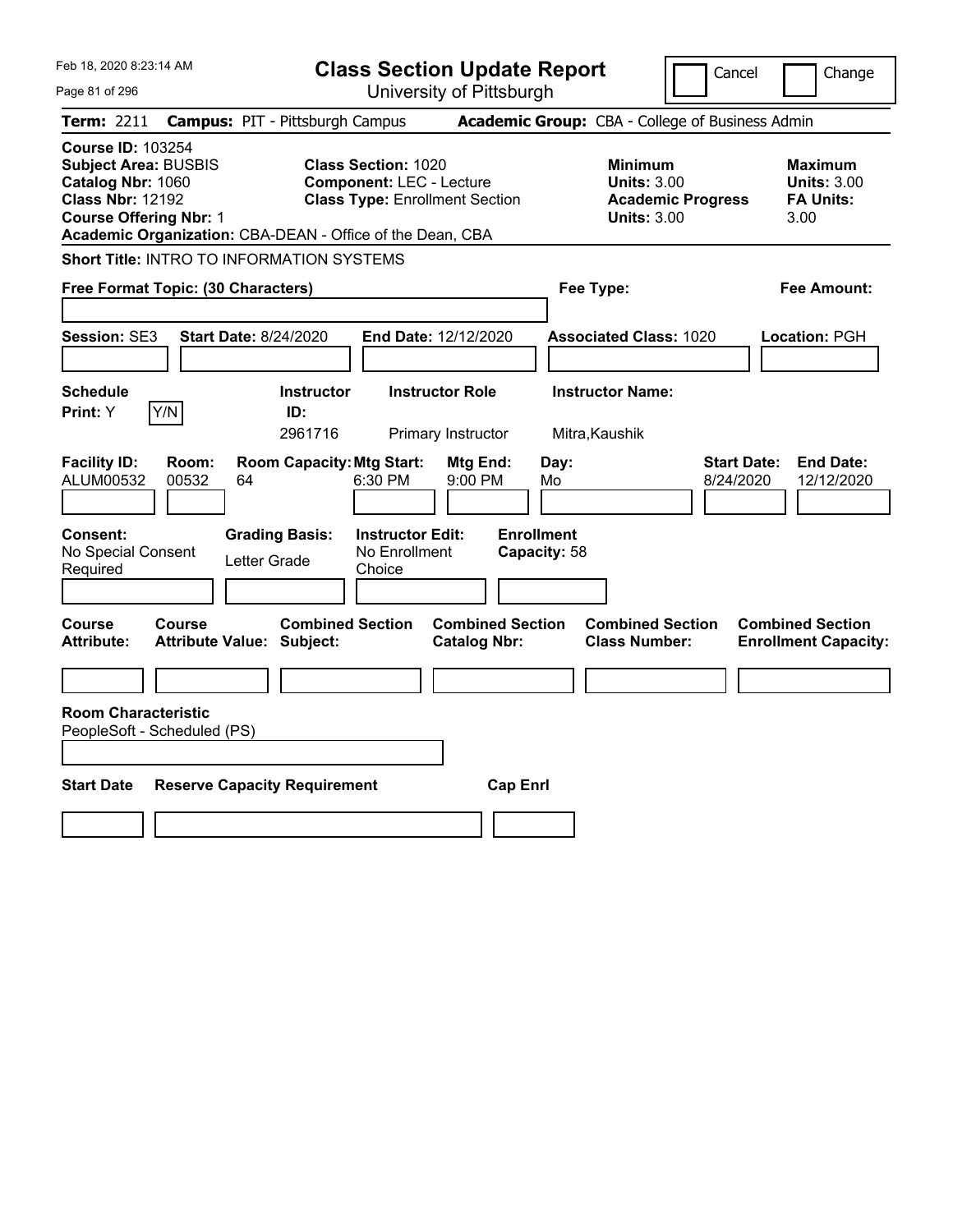| Feb 18, 2020 8:23:14 AM                                                                                                                                                                               | <b>Class Section Update Report</b>                                                                     |                                                                                        | Cancel<br>Change                                                  |
|-------------------------------------------------------------------------------------------------------------------------------------------------------------------------------------------------------|--------------------------------------------------------------------------------------------------------|----------------------------------------------------------------------------------------|-------------------------------------------------------------------|
| Page 81 of 296                                                                                                                                                                                        | University of Pittsburgh                                                                               |                                                                                        |                                                                   |
| <b>Term: 2211</b>                                                                                                                                                                                     | <b>Campus: PIT - Pittsburgh Campus</b>                                                                 | Academic Group: CBA - College of Business Admin                                        |                                                                   |
| <b>Course ID: 103254</b><br><b>Subject Area: BUSBIS</b><br>Catalog Nbr: 1060<br><b>Class Nbr: 12192</b><br><b>Course Offering Nbr: 1</b><br>Academic Organization: CBA-DEAN - Office of the Dean, CBA | <b>Class Section: 1020</b><br><b>Component: LEC - Lecture</b><br><b>Class Type: Enrollment Section</b> | <b>Minimum</b><br><b>Units: 3.00</b><br><b>Academic Progress</b><br><b>Units: 3.00</b> | <b>Maximum</b><br><b>Units: 3.00</b><br><b>FA Units:</b><br>3.00  |
| <b>Short Title: INTRO TO INFORMATION SYSTEMS</b>                                                                                                                                                      |                                                                                                        |                                                                                        |                                                                   |
| Free Format Topic: (30 Characters)                                                                                                                                                                    |                                                                                                        | Fee Type:                                                                              | Fee Amount:                                                       |
| <b>Session: SE3</b><br><b>Start Date: 8/24/2020</b>                                                                                                                                                   | End Date: 12/12/2020                                                                                   | <b>Associated Class: 1020</b>                                                          | Location: PGH                                                     |
| <b>Schedule</b><br>Y/N<br>Print: Y                                                                                                                                                                    | <b>Instructor Role</b><br><b>Instructor</b><br>ID:<br>2961716<br>Primary Instructor                    | <b>Instructor Name:</b><br>Mitra, Kaushik                                              |                                                                   |
| <b>Facility ID:</b><br>Room:<br>ALUM00532<br>00532<br>64                                                                                                                                              | <b>Room Capacity: Mtg Start:</b><br>Mtg End:<br>6:30 PM<br>$9:00$ PM                                   | Day:<br>Mo                                                                             | <b>Start Date:</b><br><b>End Date:</b><br>12/12/2020<br>8/24/2020 |
| Consent:<br><b>Grading Basis:</b><br>No Special Consent<br>Letter Grade<br>Required                                                                                                                   | <b>Instructor Edit:</b><br>No Enrollment<br>Choice                                                     | <b>Enrollment</b><br>Capacity: 58                                                      |                                                                   |
| Course<br>Course<br><b>Attribute Value: Subject:</b><br>Attribute:                                                                                                                                    | <b>Combined Section</b><br><b>Catalog Nbr:</b>                                                         | <b>Combined Section</b><br><b>Combined Section</b><br><b>Class Number:</b>             | <b>Combined Section</b><br><b>Enrollment Capacity:</b>            |
|                                                                                                                                                                                                       |                                                                                                        |                                                                                        |                                                                   |
| <b>Room Characteristic</b><br>PeopleSoft - Scheduled (PS)                                                                                                                                             |                                                                                                        |                                                                                        |                                                                   |
| <b>Start Date</b><br><b>Reserve Capacity Requirement</b>                                                                                                                                              |                                                                                                        | <b>Cap Enrl</b>                                                                        |                                                                   |
|                                                                                                                                                                                                       |                                                                                                        |                                                                                        |                                                                   |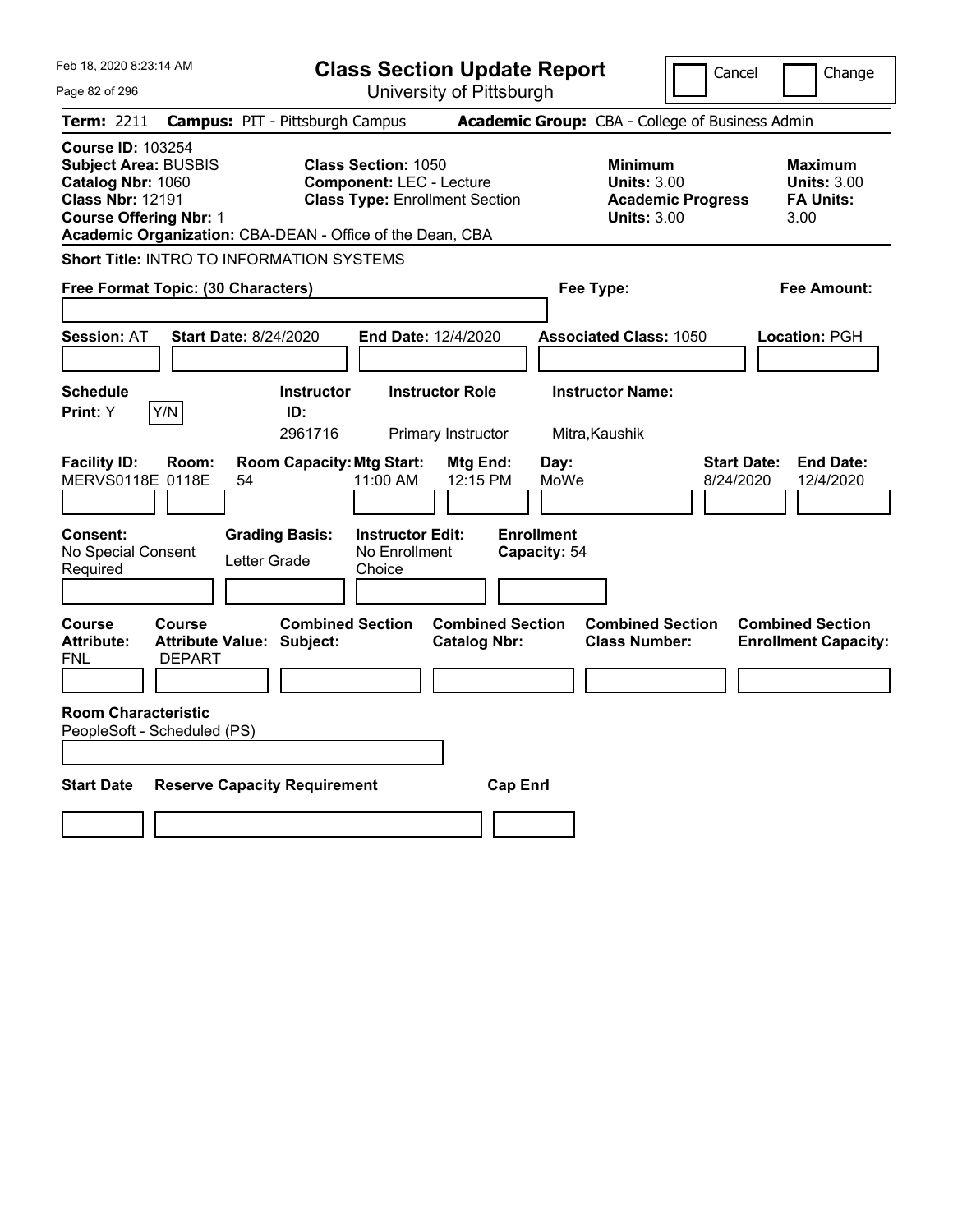| Feb 18, 2020 8:23:14 AM                                                                                                                                                                               | <b>Class Section Update Report</b>                                                                     |                                                                            | Cancel<br>Change                                                                             |
|-------------------------------------------------------------------------------------------------------------------------------------------------------------------------------------------------------|--------------------------------------------------------------------------------------------------------|----------------------------------------------------------------------------|----------------------------------------------------------------------------------------------|
| Page 82 of 296                                                                                                                                                                                        | University of Pittsburgh                                                                               |                                                                            |                                                                                              |
| <b>Term: 2211</b>                                                                                                                                                                                     | <b>Campus: PIT - Pittsburgh Campus</b>                                                                 | Academic Group: CBA - College of Business Admin                            |                                                                                              |
| <b>Course ID: 103254</b><br><b>Subject Area: BUSBIS</b><br>Catalog Nbr: 1060<br><b>Class Nbr: 12191</b><br><b>Course Offering Nbr: 1</b><br>Academic Organization: CBA-DEAN - Office of the Dean, CBA | <b>Class Section: 1050</b><br><b>Component: LEC - Lecture</b><br><b>Class Type: Enrollment Section</b> | <b>Minimum</b><br><b>Units: 3.00</b><br><b>Units: 3.00</b>                 | <b>Maximum</b><br><b>Units: 3.00</b><br><b>Academic Progress</b><br><b>FA Units:</b><br>3.00 |
| <b>Short Title: INTRO TO INFORMATION SYSTEMS</b>                                                                                                                                                      |                                                                                                        |                                                                            |                                                                                              |
| Free Format Topic: (30 Characters)                                                                                                                                                                    |                                                                                                        | Fee Type:                                                                  | Fee Amount:                                                                                  |
| <b>Session: AT</b><br><b>Start Date: 8/24/2020</b>                                                                                                                                                    | End Date: 12/4/2020                                                                                    | <b>Associated Class: 1050</b>                                              | Location: PGH                                                                                |
| <b>Schedule</b><br>Y/N<br>Print: Y                                                                                                                                                                    | <b>Instructor</b><br><b>Instructor Role</b><br>ID:<br>2961716<br>Primary Instructor                    | <b>Instructor Name:</b><br>Mitra, Kaushik                                  |                                                                                              |
| <b>Facility ID:</b><br>Room:<br>MERVS0118E 0118E<br>54                                                                                                                                                | <b>Room Capacity: Mtg Start:</b><br>Mtg End:<br>11:00 AM<br>12:15 PM                                   | Day:<br>MoWe                                                               | <b>Start Date:</b><br><b>End Date:</b><br>8/24/2020<br>12/4/2020                             |
| Consent:<br>No Special Consent<br>Letter Grade<br>Required                                                                                                                                            | <b>Grading Basis:</b><br><b>Instructor Edit:</b><br>No Enrollment<br>Choice                            | <b>Enrollment</b><br>Capacity: 54                                          |                                                                                              |
| <b>Course</b><br><b>Course</b><br><b>Attribute:</b><br><b>Attribute Value: Subject:</b><br><b>FNL</b><br><b>DEPART</b>                                                                                | <b>Combined Section</b><br><b>Catalog Nbr:</b>                                                         | <b>Combined Section</b><br><b>Combined Section</b><br><b>Class Number:</b> | <b>Combined Section</b><br><b>Enrollment Capacity:</b>                                       |
| <b>Room Characteristic</b>                                                                                                                                                                            |                                                                                                        |                                                                            |                                                                                              |
| PeopleSoft - Scheduled (PS)                                                                                                                                                                           |                                                                                                        |                                                                            |                                                                                              |
| <b>Start Date</b><br><b>Reserve Capacity Requirement</b>                                                                                                                                              |                                                                                                        | <b>Cap Enrl</b>                                                            |                                                                                              |
|                                                                                                                                                                                                       |                                                                                                        |                                                                            |                                                                                              |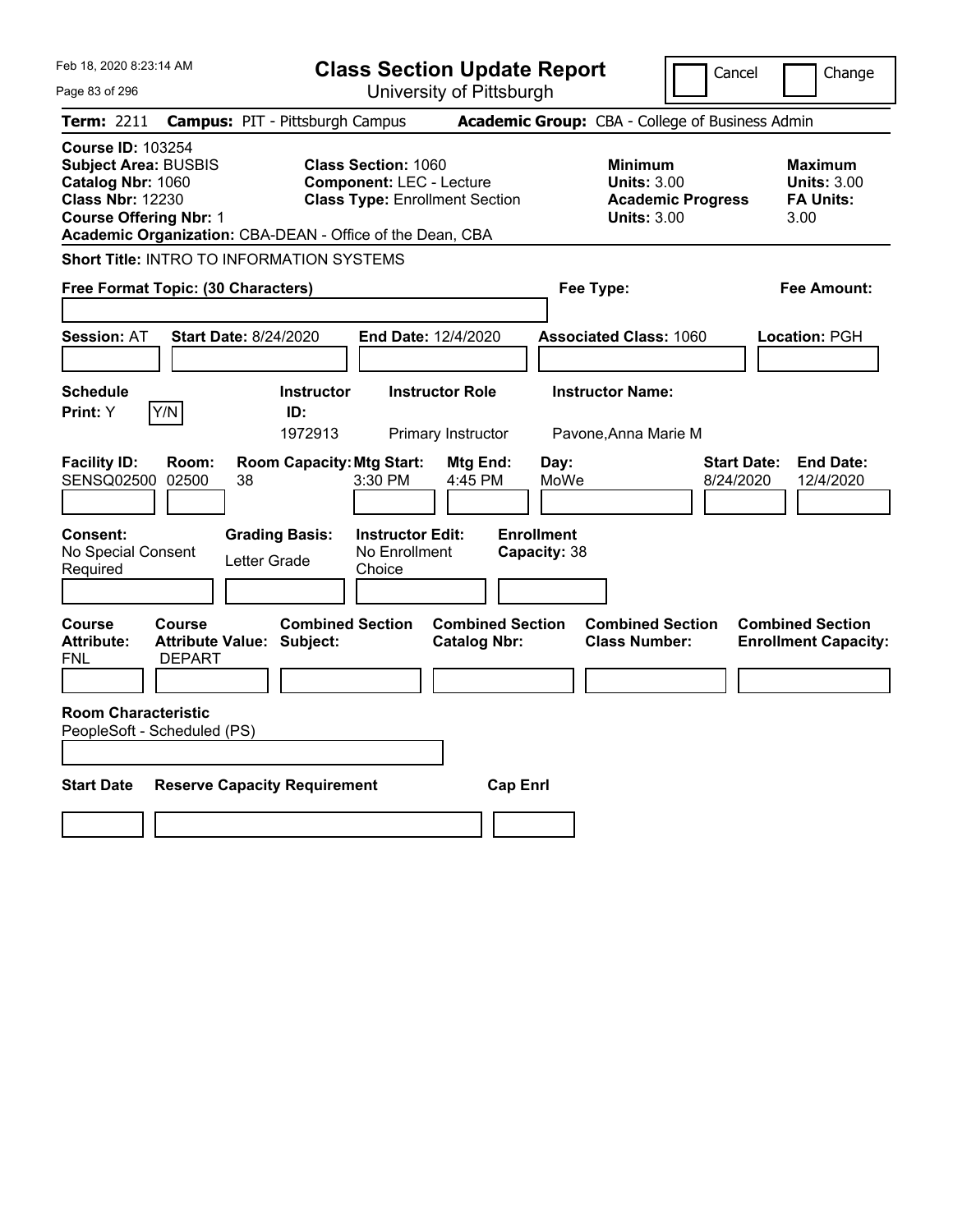| Feb 18, 2020 8:23:14 AM                                                                                                                  | <b>Class Section Update Report</b>                                                                                                                                  | Cancel                                                                                 | Change                                                           |
|------------------------------------------------------------------------------------------------------------------------------------------|---------------------------------------------------------------------------------------------------------------------------------------------------------------------|----------------------------------------------------------------------------------------|------------------------------------------------------------------|
| Page 83 of 296                                                                                                                           | University of Pittsburgh                                                                                                                                            |                                                                                        |                                                                  |
| Term: 2211                                                                                                                               | <b>Campus: PIT - Pittsburgh Campus</b>                                                                                                                              | Academic Group: CBA - College of Business Admin                                        |                                                                  |
| <b>Course ID: 103254</b><br><b>Subject Area: BUSBIS</b><br>Catalog Nbr: 1060<br><b>Class Nbr: 12230</b><br><b>Course Offering Nbr: 1</b> | <b>Class Section: 1060</b><br><b>Component: LEC - Lecture</b><br><b>Class Type: Enrollment Section</b><br>Academic Organization: CBA-DEAN - Office of the Dean, CBA | <b>Minimum</b><br><b>Units: 3.00</b><br><b>Academic Progress</b><br><b>Units: 3.00</b> | <b>Maximum</b><br><b>Units: 3.00</b><br><b>FA Units:</b><br>3.00 |
| <b>Short Title: INTRO TO INFORMATION SYSTEMS</b>                                                                                         |                                                                                                                                                                     |                                                                                        |                                                                  |
| Free Format Topic: (30 Characters)                                                                                                       |                                                                                                                                                                     | Fee Type:                                                                              | Fee Amount:                                                      |
| <b>Start Date: 8/24/2020</b><br><b>Session: AT</b>                                                                                       | End Date: 12/4/2020                                                                                                                                                 | <b>Associated Class: 1060</b>                                                          | Location: PGH                                                    |
| <b>Schedule</b><br>Y/N<br>Print: Y                                                                                                       | <b>Instructor Role</b><br><b>Instructor</b><br>ID:<br>1972913<br>Primary Instructor                                                                                 | <b>Instructor Name:</b><br>Pavone, Anna Marie M                                        |                                                                  |
| <b>Facility ID:</b><br>Room:<br>SENSQ02500 02500<br>38                                                                                   | <b>Room Capacity: Mtg Start:</b><br>Mtg End:<br>$3:30$ PM<br>4:45 PM                                                                                                | Day:<br>MoWe<br>8/24/2020                                                              | <b>End Date:</b><br><b>Start Date:</b><br>12/4/2020              |
| <b>Consent:</b><br>No Special Consent<br>Letter Grade<br>Required                                                                        | <b>Grading Basis:</b><br><b>Instructor Edit:</b><br>No Enrollment<br>Choice                                                                                         | <b>Enrollment</b><br>Capacity: 38                                                      |                                                                  |
| Course<br><b>Course</b><br><b>Attribute:</b><br><b>Attribute Value: Subject:</b><br>FNL<br><b>DEPART</b>                                 | <b>Combined Section</b><br><b>Combined Section</b><br><b>Catalog Nbr:</b>                                                                                           | <b>Combined Section</b><br><b>Class Number:</b>                                        | <b>Combined Section</b><br><b>Enrollment Capacity:</b>           |
|                                                                                                                                          |                                                                                                                                                                     |                                                                                        |                                                                  |
| <b>Room Characteristic</b><br>PeopleSoft - Scheduled (PS)                                                                                |                                                                                                                                                                     |                                                                                        |                                                                  |
| <b>Start Date</b><br><b>Reserve Capacity Requirement</b>                                                                                 |                                                                                                                                                                     | <b>Cap Enrl</b>                                                                        |                                                                  |
|                                                                                                                                          |                                                                                                                                                                     |                                                                                        |                                                                  |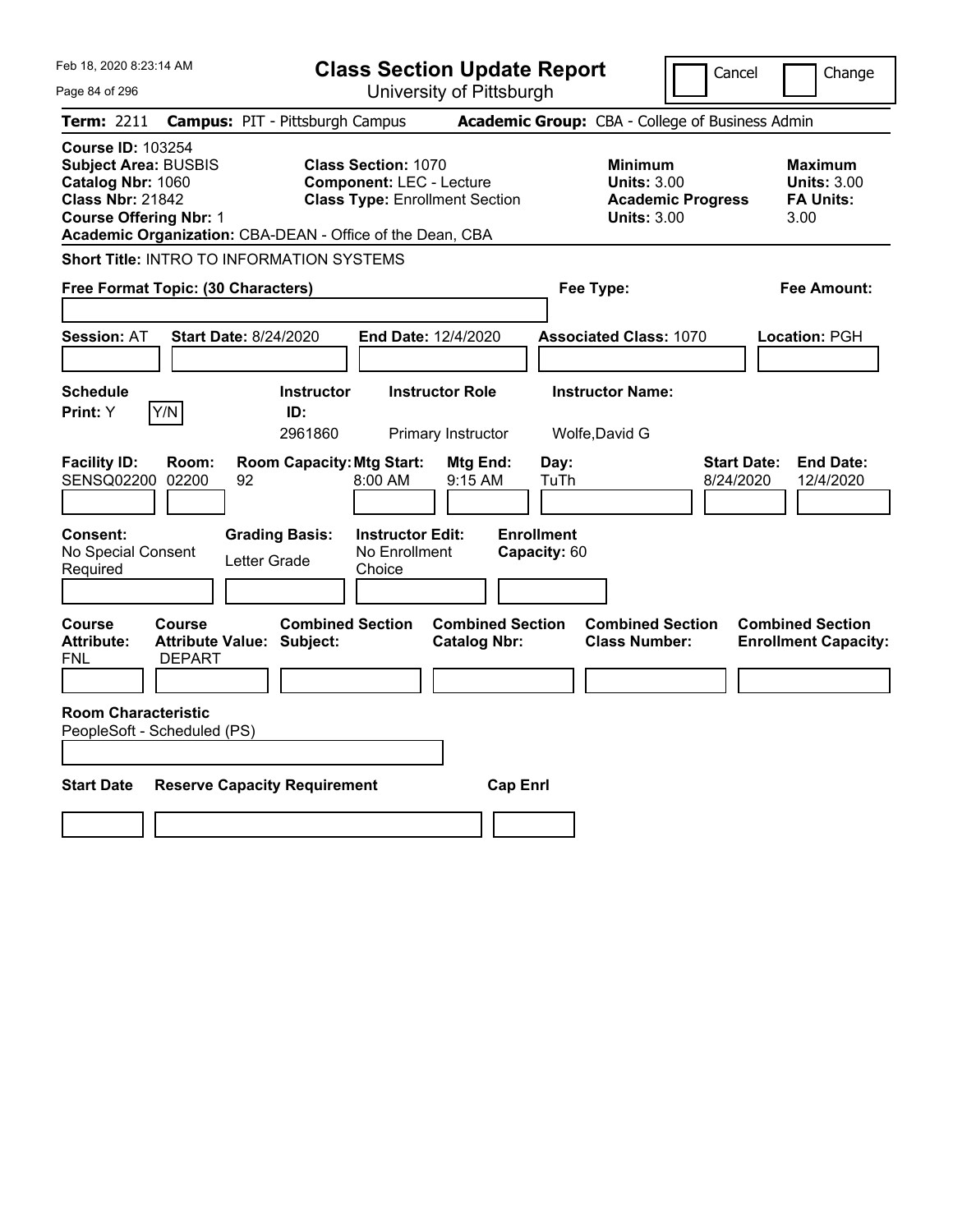| Feb 18, 2020 8:23:14 AM                                                                                                                                                                               | <b>Class Section Update Report</b>                                                                     | Cancel                                                                                 | Change                                                           |
|-------------------------------------------------------------------------------------------------------------------------------------------------------------------------------------------------------|--------------------------------------------------------------------------------------------------------|----------------------------------------------------------------------------------------|------------------------------------------------------------------|
| Page 84 of 296                                                                                                                                                                                        | University of Pittsburgh                                                                               |                                                                                        |                                                                  |
| Term: 2211                                                                                                                                                                                            | <b>Campus: PIT - Pittsburgh Campus</b>                                                                 | Academic Group: CBA - College of Business Admin                                        |                                                                  |
| <b>Course ID: 103254</b><br><b>Subject Area: BUSBIS</b><br>Catalog Nbr: 1060<br><b>Class Nbr: 21842</b><br><b>Course Offering Nbr: 1</b><br>Academic Organization: CBA-DEAN - Office of the Dean, CBA | <b>Class Section: 1070</b><br><b>Component: LEC - Lecture</b><br><b>Class Type: Enrollment Section</b> | <b>Minimum</b><br><b>Units: 3.00</b><br><b>Academic Progress</b><br><b>Units: 3.00</b> | <b>Maximum</b><br><b>Units: 3.00</b><br><b>FA Units:</b><br>3.00 |
| <b>Short Title: INTRO TO INFORMATION SYSTEMS</b>                                                                                                                                                      |                                                                                                        |                                                                                        |                                                                  |
| Free Format Topic: (30 Characters)                                                                                                                                                                    |                                                                                                        | Fee Type:                                                                              | Fee Amount:                                                      |
| Session: AT<br><b>Start Date: 8/24/2020</b>                                                                                                                                                           | End Date: 12/4/2020                                                                                    | <b>Associated Class: 1070</b>                                                          | Location: PGH                                                    |
| <b>Schedule</b><br>Y/N<br>Print: Y                                                                                                                                                                    | <b>Instructor Role</b><br><b>Instructor</b><br>ID:<br>2961860<br>Primary Instructor                    | <b>Instructor Name:</b><br>Wolfe, David G                                              |                                                                  |
| <b>Facility ID:</b><br>Room:<br>SENSQ02200 02200<br>92                                                                                                                                                | <b>Room Capacity: Mtg Start:</b><br>Mtg End:<br>8:00 AM<br>9:15 AM                                     | <b>Start Date:</b><br>Day:<br>TuTh<br>8/24/2020                                        | <b>End Date:</b><br>12/4/2020                                    |
| Consent:<br><b>Grading Basis:</b><br>No Special Consent<br>Letter Grade<br>Required                                                                                                                   | <b>Instructor Edit:</b><br>No Enrollment<br>Choice                                                     | <b>Enrollment</b><br>Capacity: 60                                                      |                                                                  |
| Course<br><b>Course</b><br><b>Attribute:</b><br><b>Attribute Value: Subject:</b><br><b>DEPART</b><br>FNL                                                                                              | <b>Combined Section</b><br><b>Combined Section</b><br><b>Catalog Nbr:</b>                              | <b>Combined Section</b><br><b>Class Number:</b>                                        | <b>Combined Section</b><br><b>Enrollment Capacity:</b>           |
|                                                                                                                                                                                                       |                                                                                                        |                                                                                        |                                                                  |
| <b>Room Characteristic</b><br>PeopleSoft - Scheduled (PS)                                                                                                                                             |                                                                                                        |                                                                                        |                                                                  |
| <b>Start Date</b><br><b>Reserve Capacity Requirement</b>                                                                                                                                              | <b>Cap Enrl</b>                                                                                        |                                                                                        |                                                                  |
|                                                                                                                                                                                                       |                                                                                                        |                                                                                        |                                                                  |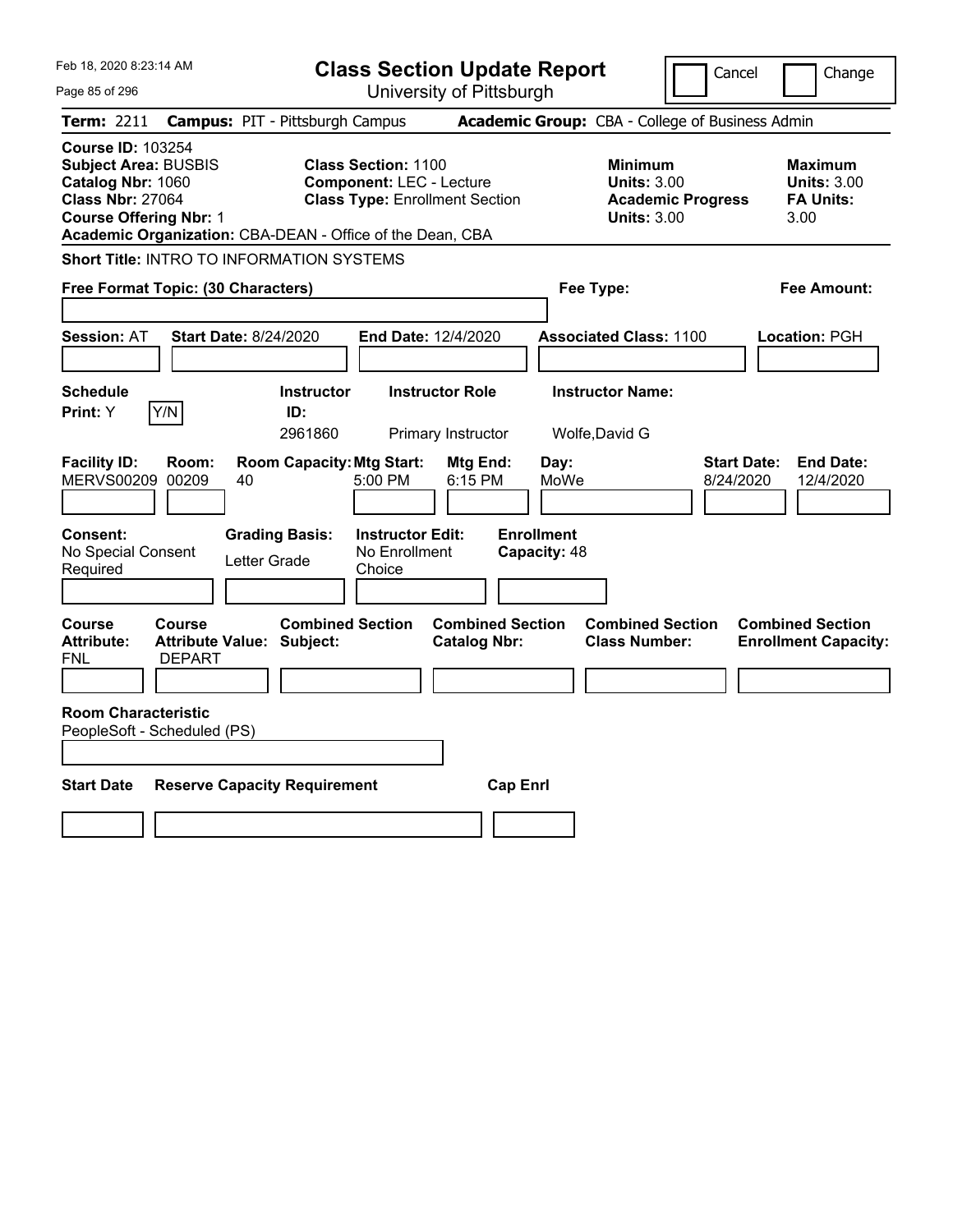| Feb 18, 2020 8:23:14 AM                                                                                                                                                                               |                                                                                                        | <b>Class Section Update Report</b>             |                                                                                        | Cancel<br>Change                                                 |
|-------------------------------------------------------------------------------------------------------------------------------------------------------------------------------------------------------|--------------------------------------------------------------------------------------------------------|------------------------------------------------|----------------------------------------------------------------------------------------|------------------------------------------------------------------|
| Page 85 of 296                                                                                                                                                                                        |                                                                                                        | University of Pittsburgh                       |                                                                                        |                                                                  |
| Term: 2211                                                                                                                                                                                            | <b>Campus: PIT - Pittsburgh Campus</b>                                                                 |                                                | Academic Group: CBA - College of Business Admin                                        |                                                                  |
| <b>Course ID: 103254</b><br><b>Subject Area: BUSBIS</b><br>Catalog Nbr: 1060<br><b>Class Nbr: 27064</b><br><b>Course Offering Nbr: 1</b><br>Academic Organization: CBA-DEAN - Office of the Dean, CBA | <b>Class Section: 1100</b><br><b>Component: LEC - Lecture</b><br><b>Class Type: Enrollment Section</b> |                                                | <b>Minimum</b><br><b>Units: 3.00</b><br><b>Academic Progress</b><br><b>Units: 3.00</b> | <b>Maximum</b><br><b>Units: 3.00</b><br><b>FA Units:</b><br>3.00 |
| Short Title: INTRO TO INFORMATION SYSTEMS                                                                                                                                                             |                                                                                                        |                                                |                                                                                        |                                                                  |
| Free Format Topic: (30 Characters)                                                                                                                                                                    |                                                                                                        |                                                | Fee Type:                                                                              | Fee Amount:                                                      |
| <b>Session: AT</b><br><b>Start Date: 8/24/2020</b>                                                                                                                                                    | End Date: 12/4/2020                                                                                    |                                                | <b>Associated Class: 1100</b>                                                          | Location: PGH                                                    |
| <b>Schedule</b><br>Y/N<br>Print: Y                                                                                                                                                                    | <b>Instructor</b><br><b>Instructor Role</b><br>ID:<br>2961860                                          | Primary Instructor                             | <b>Instructor Name:</b><br>Wolfe, David G                                              |                                                                  |
| <b>Facility ID:</b><br>Room:<br>MERVS00209 00209<br>40                                                                                                                                                | <b>Room Capacity: Mtg Start:</b><br>5:00 PM                                                            | Mtg End:<br>Day:<br>6:15 PM<br>MoWe            |                                                                                        | <b>Start Date:</b><br><b>End Date:</b><br>8/24/2020<br>12/4/2020 |
| Consent:<br>No Special Consent<br>Required                                                                                                                                                            | <b>Grading Basis:</b><br><b>Instructor Edit:</b><br>No Enrollment<br>Letter Grade<br>Choice            | <b>Enrollment</b><br>Capacity: 48              |                                                                                        |                                                                  |
| Course<br><b>Course</b><br><b>Attribute:</b><br><b>Attribute Value: Subject:</b><br><b>DEPART</b><br>FNL                                                                                              | <b>Combined Section</b>                                                                                | <b>Combined Section</b><br><b>Catalog Nbr:</b> | <b>Combined Section</b><br><b>Class Number:</b>                                        | <b>Combined Section</b><br><b>Enrollment Capacity:</b>           |
|                                                                                                                                                                                                       |                                                                                                        |                                                |                                                                                        |                                                                  |
| <b>Room Characteristic</b><br>PeopleSoft - Scheduled (PS)                                                                                                                                             |                                                                                                        |                                                |                                                                                        |                                                                  |
| <b>Start Date</b>                                                                                                                                                                                     | <b>Reserve Capacity Requirement</b>                                                                    | <b>Cap Enrl</b>                                |                                                                                        |                                                                  |
|                                                                                                                                                                                                       |                                                                                                        |                                                |                                                                                        |                                                                  |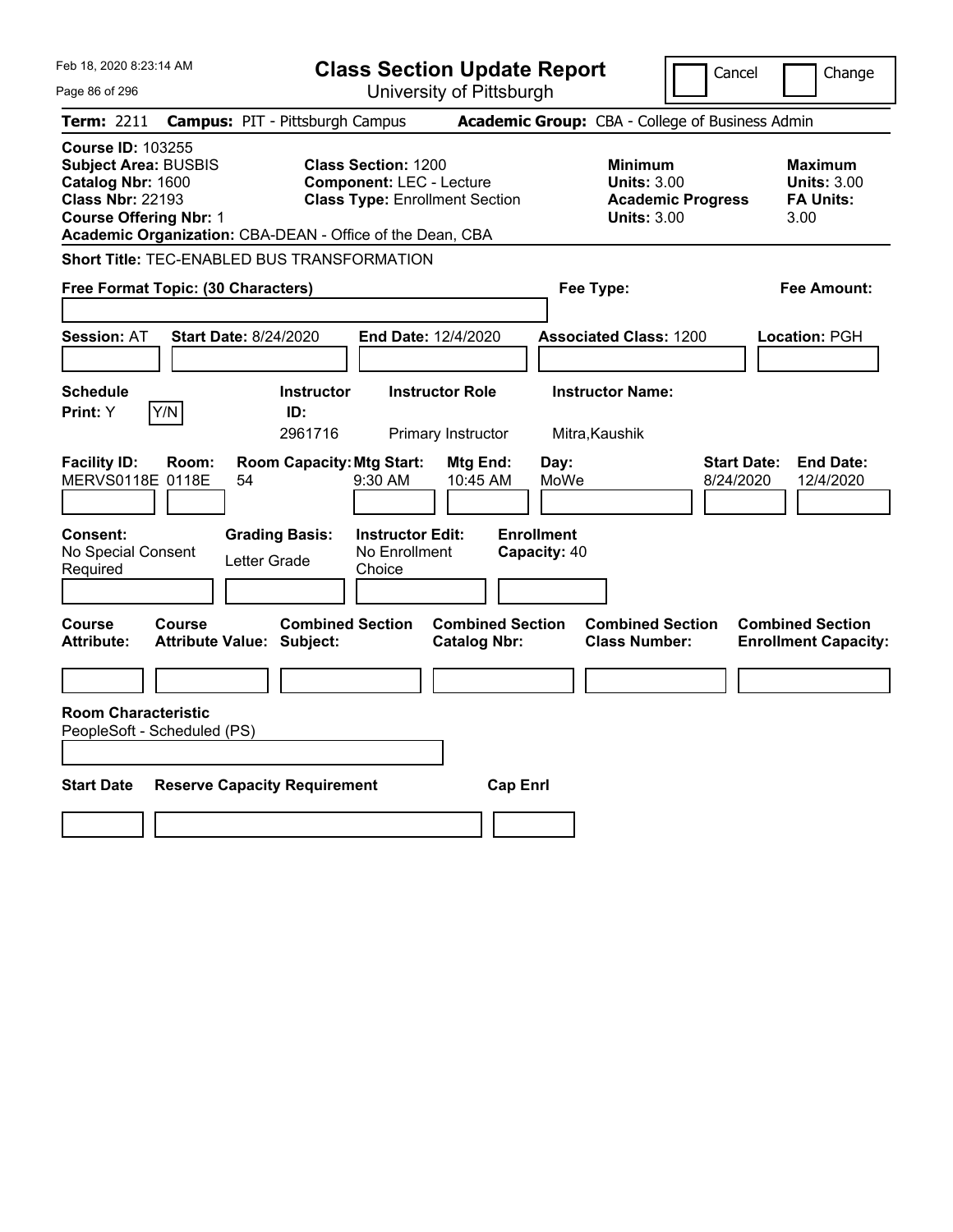| Feb 18, 2020 8:23:14 AM                                                                                                                                                                               |                                                                                                        | <b>Class Section Update Report</b>             |                                                            | Cancel                          | Change                                                           |
|-------------------------------------------------------------------------------------------------------------------------------------------------------------------------------------------------------|--------------------------------------------------------------------------------------------------------|------------------------------------------------|------------------------------------------------------------|---------------------------------|------------------------------------------------------------------|
| Page 86 of 296                                                                                                                                                                                        |                                                                                                        | University of Pittsburgh                       |                                                            |                                 |                                                                  |
| <b>Term: 2211</b>                                                                                                                                                                                     | <b>Campus: PIT - Pittsburgh Campus</b>                                                                 |                                                | Academic Group: CBA - College of Business Admin            |                                 |                                                                  |
| <b>Course ID: 103255</b><br><b>Subject Area: BUSBIS</b><br>Catalog Nbr: 1600<br><b>Class Nbr: 22193</b><br><b>Course Offering Nbr: 1</b><br>Academic Organization: CBA-DEAN - Office of the Dean, CBA | <b>Class Section: 1200</b><br><b>Component: LEC - Lecture</b><br><b>Class Type: Enrollment Section</b> |                                                | <b>Minimum</b><br><b>Units: 3.00</b><br><b>Units: 3.00</b> | <b>Academic Progress</b>        | <b>Maximum</b><br><b>Units: 3.00</b><br><b>FA Units:</b><br>3.00 |
| <b>Short Title: TEC-ENABLED BUS TRANSFORMATION</b>                                                                                                                                                    |                                                                                                        |                                                |                                                            |                                 |                                                                  |
| Free Format Topic: (30 Characters)                                                                                                                                                                    |                                                                                                        |                                                | Fee Type:                                                  |                                 | Fee Amount:                                                      |
| <b>Session: AT</b><br><b>Start Date: 8/24/2020</b>                                                                                                                                                    |                                                                                                        | End Date: 12/4/2020                            | <b>Associated Class: 1200</b>                              |                                 | Location: PGH                                                    |
| <b>Schedule</b><br>Y/N<br>Print: Y                                                                                                                                                                    | <b>Instructor</b><br>ID:<br>2961716                                                                    | <b>Instructor Role</b><br>Primary Instructor   | <b>Instructor Name:</b><br>Mitra, Kaushik                  |                                 |                                                                  |
| <b>Facility ID:</b><br>Room:<br>MERVS0118E 0118E<br>54                                                                                                                                                | <b>Room Capacity: Mtg Start:</b><br>9:30 AM                                                            | Mtg End:<br>10:45 AM                           | Day:<br>MoWe                                               | <b>Start Date:</b><br>8/24/2020 | <b>End Date:</b><br>12/4/2020                                    |
| Consent:<br>No Special Consent<br>Required                                                                                                                                                            | <b>Grading Basis:</b><br><b>Instructor Edit:</b><br>No Enrollment<br>Letter Grade<br>Choice            | <b>Enrollment</b><br>Capacity: 40              |                                                            |                                 |                                                                  |
| <b>Course</b><br>Course<br><b>Attribute:</b><br><b>Attribute Value: Subject:</b>                                                                                                                      | <b>Combined Section</b>                                                                                | <b>Combined Section</b><br><b>Catalog Nbr:</b> | <b>Combined Section</b><br><b>Class Number:</b>            |                                 | <b>Combined Section</b><br><b>Enrollment Capacity:</b>           |
|                                                                                                                                                                                                       |                                                                                                        |                                                |                                                            |                                 |                                                                  |
| <b>Room Characteristic</b><br>PeopleSoft - Scheduled (PS)                                                                                                                                             |                                                                                                        |                                                |                                                            |                                 |                                                                  |
| <b>Start Date</b>                                                                                                                                                                                     | <b>Reserve Capacity Requirement</b>                                                                    | <b>Cap Enrl</b>                                |                                                            |                                 |                                                                  |
|                                                                                                                                                                                                       |                                                                                                        |                                                |                                                            |                                 |                                                                  |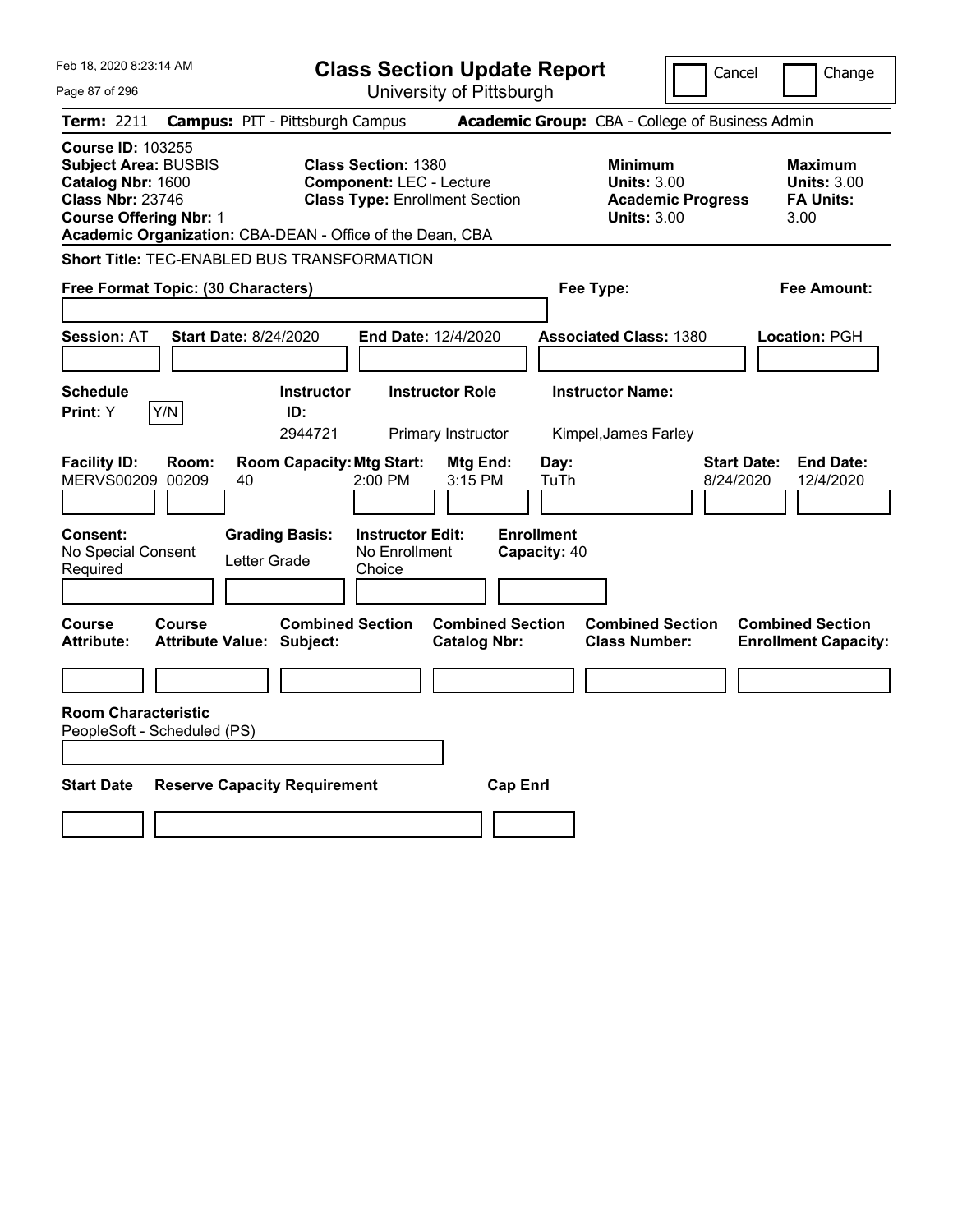| Feb 18, 2020 8:23:14 AM                                                                                                                                                                               |                                                                                                        | <b>Class Section Update Report</b>             |                                                                                        | Cancel<br>Change                                                 |
|-------------------------------------------------------------------------------------------------------------------------------------------------------------------------------------------------------|--------------------------------------------------------------------------------------------------------|------------------------------------------------|----------------------------------------------------------------------------------------|------------------------------------------------------------------|
| Page 87 of 296                                                                                                                                                                                        |                                                                                                        | University of Pittsburgh                       |                                                                                        |                                                                  |
| <b>Term: 2211</b>                                                                                                                                                                                     | <b>Campus: PIT - Pittsburgh Campus</b>                                                                 |                                                | Academic Group: CBA - College of Business Admin                                        |                                                                  |
| <b>Course ID: 103255</b><br><b>Subject Area: BUSBIS</b><br>Catalog Nbr: 1600<br><b>Class Nbr: 23746</b><br><b>Course Offering Nbr: 1</b><br>Academic Organization: CBA-DEAN - Office of the Dean, CBA | <b>Class Section: 1380</b><br><b>Component: LEC - Lecture</b><br><b>Class Type: Enrollment Section</b> |                                                | <b>Minimum</b><br><b>Units: 3.00</b><br><b>Academic Progress</b><br><b>Units: 3.00</b> | <b>Maximum</b><br><b>Units: 3.00</b><br><b>FA Units:</b><br>3.00 |
| <b>Short Title: TEC-ENABLED BUS TRANSFORMATION</b>                                                                                                                                                    |                                                                                                        |                                                |                                                                                        |                                                                  |
| Free Format Topic: (30 Characters)                                                                                                                                                                    |                                                                                                        |                                                | Fee Type:                                                                              | Fee Amount:                                                      |
| <b>Session: AT</b><br><b>Start Date: 8/24/2020</b>                                                                                                                                                    | End Date: 12/4/2020                                                                                    |                                                | <b>Associated Class: 1380</b>                                                          | Location: PGH                                                    |
| <b>Schedule</b><br>Y/N<br>Print: Y                                                                                                                                                                    | <b>Instructor</b><br>ID:<br>2944721                                                                    | <b>Instructor Role</b><br>Primary Instructor   | <b>Instructor Name:</b><br>Kimpel, James Farley                                        |                                                                  |
| <b>Facility ID:</b><br>Room:<br><b>MERVS00209</b><br>00209<br>40                                                                                                                                      | <b>Room Capacity: Mtg Start:</b><br>2:00 PM                                                            | <b>Mtg End:</b><br>Day:<br>3:15 PM<br>TuTh     |                                                                                        | <b>Start Date:</b><br><b>End Date:</b><br>12/4/2020<br>8/24/2020 |
| Consent:<br><b>Grading Basis:</b><br>No Special Consent<br>Letter Grade<br>Required                                                                                                                   | <b>Instructor Edit:</b><br>No Enrollment<br>Choice                                                     | <b>Enrollment</b><br>Capacity: 40              |                                                                                        |                                                                  |
| <b>Course</b><br>Course<br><b>Attribute:</b><br><b>Attribute Value: Subject:</b>                                                                                                                      | <b>Combined Section</b>                                                                                | <b>Combined Section</b><br><b>Catalog Nbr:</b> | <b>Combined Section</b><br><b>Class Number:</b>                                        | <b>Combined Section</b><br><b>Enrollment Capacity:</b>           |
|                                                                                                                                                                                                       |                                                                                                        |                                                |                                                                                        |                                                                  |
| <b>Room Characteristic</b><br>PeopleSoft - Scheduled (PS)                                                                                                                                             |                                                                                                        |                                                |                                                                                        |                                                                  |
| <b>Start Date</b><br><b>Reserve Capacity Requirement</b>                                                                                                                                              |                                                                                                        | <b>Cap Enrl</b>                                |                                                                                        |                                                                  |
|                                                                                                                                                                                                       |                                                                                                        |                                                |                                                                                        |                                                                  |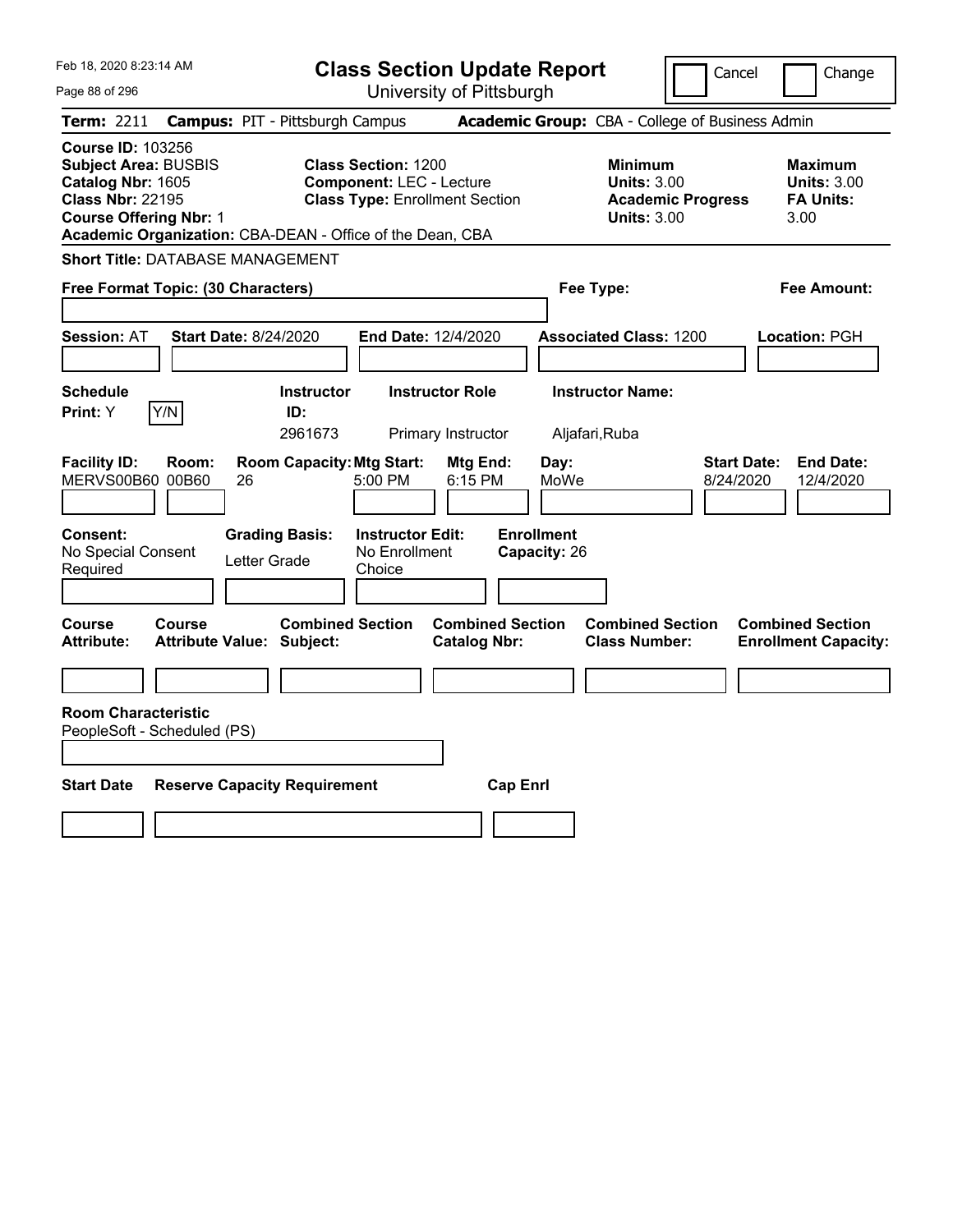| Feb 18, 2020 8:23:14 AM                                                                                                                                                                               | <b>Class Section Update Report</b>                                                                     | Cancel                                                                                 | Change                                                           |
|-------------------------------------------------------------------------------------------------------------------------------------------------------------------------------------------------------|--------------------------------------------------------------------------------------------------------|----------------------------------------------------------------------------------------|------------------------------------------------------------------|
| Page 88 of 296                                                                                                                                                                                        | University of Pittsburgh                                                                               |                                                                                        |                                                                  |
| <b>Term: 2211</b>                                                                                                                                                                                     | <b>Campus: PIT - Pittsburgh Campus</b>                                                                 | Academic Group: CBA - College of Business Admin                                        |                                                                  |
| <b>Course ID: 103256</b><br><b>Subject Area: BUSBIS</b><br>Catalog Nbr: 1605<br><b>Class Nbr: 22195</b><br><b>Course Offering Nbr: 1</b><br>Academic Organization: CBA-DEAN - Office of the Dean, CBA | <b>Class Section: 1200</b><br><b>Component: LEC - Lecture</b><br><b>Class Type: Enrollment Section</b> | <b>Minimum</b><br><b>Units: 3.00</b><br><b>Academic Progress</b><br><b>Units: 3.00</b> | <b>Maximum</b><br><b>Units: 3.00</b><br><b>FA Units:</b><br>3.00 |
| <b>Short Title: DATABASE MANAGEMENT</b>                                                                                                                                                               |                                                                                                        |                                                                                        |                                                                  |
| Free Format Topic: (30 Characters)                                                                                                                                                                    |                                                                                                        | Fee Type:                                                                              | Fee Amount:                                                      |
| <b>Start Date: 8/24/2020</b><br><b>Session: AT</b>                                                                                                                                                    | End Date: 12/4/2020                                                                                    | <b>Associated Class: 1200</b>                                                          | Location: PGH                                                    |
| <b>Schedule</b><br>Y/N<br><b>Print:</b> Y                                                                                                                                                             | <b>Instructor Role</b><br><b>Instructor</b><br>ID:<br>2961673<br>Primary Instructor                    | <b>Instructor Name:</b><br>Aljafari, Ruba                                              |                                                                  |
| <b>Facility ID:</b><br>Room:<br>MERVS00B60 00B60<br>26                                                                                                                                                | <b>Room Capacity: Mtg Start:</b><br><b>Mtg End:</b><br>5:00 PM<br>6:15 PM                              | Day:<br>MoWe<br>8/24/2020                                                              | <b>Start Date:</b><br><b>End Date:</b><br>12/4/2020              |
| Consent:<br><b>Grading Basis:</b><br>No Special Consent<br>Letter Grade<br>Required                                                                                                                   | <b>Instructor Edit:</b><br>No Enrollment<br>Choice                                                     | <b>Enrollment</b><br>Capacity: 26                                                      |                                                                  |
| Course<br>Course<br><b>Attribute Value: Subject:</b><br><b>Attribute:</b>                                                                                                                             | <b>Combined Section</b><br><b>Combined Section</b><br><b>Catalog Nbr:</b>                              | <b>Combined Section</b><br><b>Class Number:</b>                                        | <b>Combined Section</b><br><b>Enrollment Capacity:</b>           |
|                                                                                                                                                                                                       |                                                                                                        |                                                                                        |                                                                  |
| <b>Room Characteristic</b><br>PeopleSoft - Scheduled (PS)                                                                                                                                             |                                                                                                        |                                                                                        |                                                                  |
| <b>Start Date</b><br><b>Reserve Capacity Requirement</b>                                                                                                                                              |                                                                                                        | <b>Cap Enrl</b>                                                                        |                                                                  |
|                                                                                                                                                                                                       |                                                                                                        |                                                                                        |                                                                  |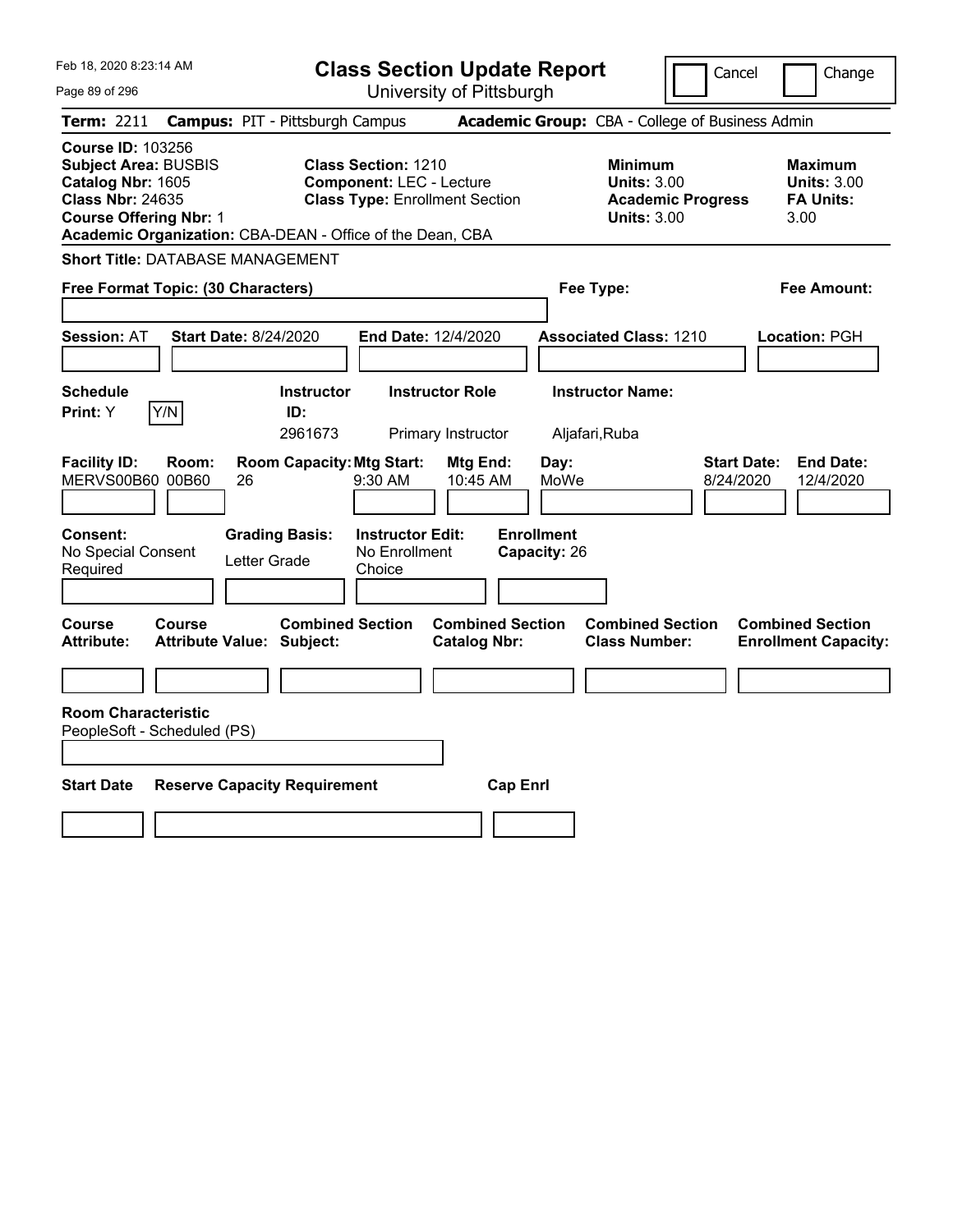| Feb 18, 2020 8:23:14 AM                                                                                                                                                                               | <b>Class Section Update Report</b>                                                                     |                                                | Cancel                                                                                 | Change                                                           |
|-------------------------------------------------------------------------------------------------------------------------------------------------------------------------------------------------------|--------------------------------------------------------------------------------------------------------|------------------------------------------------|----------------------------------------------------------------------------------------|------------------------------------------------------------------|
| Page 89 of 296                                                                                                                                                                                        |                                                                                                        | University of Pittsburgh                       |                                                                                        |                                                                  |
| <b>Term: 2211</b>                                                                                                                                                                                     | <b>Campus: PIT - Pittsburgh Campus</b>                                                                 |                                                | Academic Group: CBA - College of Business Admin                                        |                                                                  |
| <b>Course ID: 103256</b><br><b>Subject Area: BUSBIS</b><br>Catalog Nbr: 1605<br><b>Class Nbr: 24635</b><br><b>Course Offering Nbr: 1</b><br>Academic Organization: CBA-DEAN - Office of the Dean, CBA | <b>Class Section: 1210</b><br><b>Component: LEC - Lecture</b><br><b>Class Type: Enrollment Section</b> |                                                | <b>Minimum</b><br><b>Units: 3.00</b><br><b>Academic Progress</b><br><b>Units: 3.00</b> | <b>Maximum</b><br><b>Units: 3.00</b><br><b>FA Units:</b><br>3.00 |
| <b>Short Title: DATABASE MANAGEMENT</b>                                                                                                                                                               |                                                                                                        |                                                |                                                                                        |                                                                  |
| Free Format Topic: (30 Characters)                                                                                                                                                                    |                                                                                                        |                                                | Fee Type:                                                                              | Fee Amount:                                                      |
| <b>Session: AT</b><br><b>Start Date: 8/24/2020</b>                                                                                                                                                    | End Date: 12/4/2020                                                                                    |                                                | <b>Associated Class: 1210</b>                                                          | Location: PGH                                                    |
| <b>Schedule</b><br>Y/N<br>Print: Y                                                                                                                                                                    | <b>Instructor Role</b><br><b>Instructor</b><br>ID:<br>2961673<br>Primary Instructor                    |                                                | <b>Instructor Name:</b><br>Aljafari, Ruba                                              |                                                                  |
| <b>Facility ID:</b><br>Room:<br>MERVS00B60 00B60<br>26                                                                                                                                                | <b>Room Capacity: Mtg Start:</b><br>$9:30$ AM                                                          | Mtg End:<br>Day:<br>10:45 AM<br>MoWe           |                                                                                        | <b>Start Date:</b><br><b>End Date:</b><br>8/24/2020<br>12/4/2020 |
| <b>Consent:</b><br>No Special Consent<br>Required                                                                                                                                                     | <b>Grading Basis:</b><br><b>Instructor Edit:</b><br>No Enrollment<br>Letter Grade<br>Choice            | <b>Enrollment</b><br>Capacity: 26              |                                                                                        |                                                                  |
| Course<br>Course<br><b>Attribute Value: Subject:</b><br>Attribute:                                                                                                                                    | <b>Combined Section</b>                                                                                | <b>Combined Section</b><br><b>Catalog Nbr:</b> | <b>Combined Section</b><br><b>Class Number:</b>                                        | <b>Combined Section</b><br><b>Enrollment Capacity:</b>           |
|                                                                                                                                                                                                       |                                                                                                        |                                                |                                                                                        |                                                                  |
| <b>Room Characteristic</b><br>PeopleSoft - Scheduled (PS)                                                                                                                                             |                                                                                                        |                                                |                                                                                        |                                                                  |
| <b>Start Date</b>                                                                                                                                                                                     | <b>Reserve Capacity Requirement</b>                                                                    | <b>Cap Enrl</b>                                |                                                                                        |                                                                  |
|                                                                                                                                                                                                       |                                                                                                        |                                                |                                                                                        |                                                                  |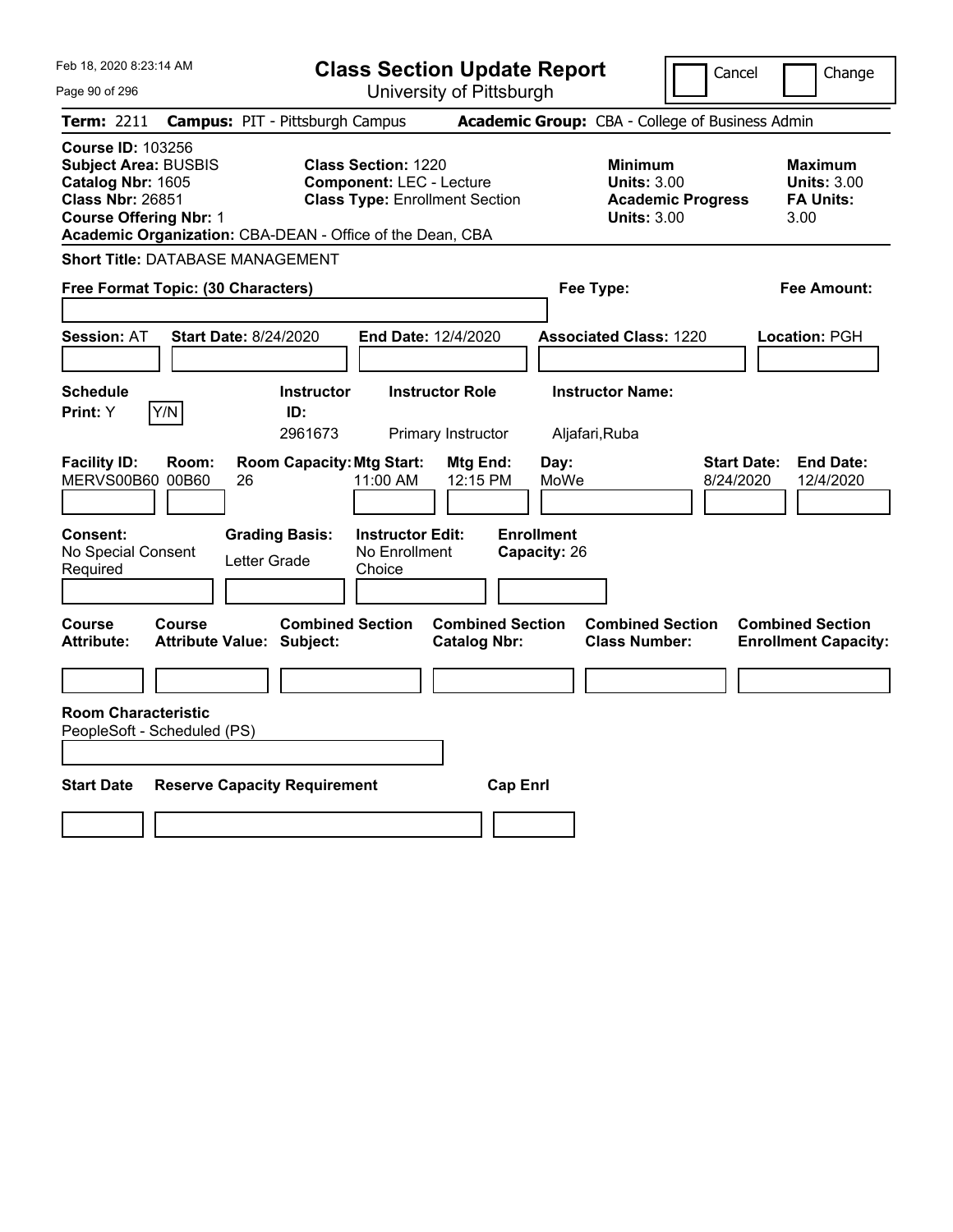| Feb 18, 2020 8:23:14 AM                                                                                                                                                                               | <b>Class Section Update Report</b>                                                                     |                                                | Cancel                                                                                 | Change                                                           |
|-------------------------------------------------------------------------------------------------------------------------------------------------------------------------------------------------------|--------------------------------------------------------------------------------------------------------|------------------------------------------------|----------------------------------------------------------------------------------------|------------------------------------------------------------------|
| Page 90 of 296                                                                                                                                                                                        |                                                                                                        | University of Pittsburgh                       |                                                                                        |                                                                  |
| <b>Term: 2211</b>                                                                                                                                                                                     | <b>Campus: PIT - Pittsburgh Campus</b>                                                                 |                                                | Academic Group: CBA - College of Business Admin                                        |                                                                  |
| <b>Course ID: 103256</b><br><b>Subject Area: BUSBIS</b><br>Catalog Nbr: 1605<br><b>Class Nbr: 26851</b><br><b>Course Offering Nbr: 1</b><br>Academic Organization: CBA-DEAN - Office of the Dean, CBA | <b>Class Section: 1220</b><br><b>Component: LEC - Lecture</b><br><b>Class Type: Enrollment Section</b> |                                                | <b>Minimum</b><br><b>Units: 3.00</b><br><b>Academic Progress</b><br><b>Units: 3.00</b> | <b>Maximum</b><br><b>Units: 3.00</b><br><b>FA Units:</b><br>3.00 |
| <b>Short Title: DATABASE MANAGEMENT</b>                                                                                                                                                               |                                                                                                        |                                                |                                                                                        |                                                                  |
| Free Format Topic: (30 Characters)                                                                                                                                                                    |                                                                                                        |                                                | Fee Type:                                                                              | Fee Amount:                                                      |
| <b>Session: AT</b><br><b>Start Date: 8/24/2020</b>                                                                                                                                                    | End Date: 12/4/2020                                                                                    |                                                | <b>Associated Class: 1220</b>                                                          | Location: PGH                                                    |
| <b>Schedule</b><br>Y/N<br>Print: Y                                                                                                                                                                    | <b>Instructor Role</b><br><b>Instructor</b><br>ID:<br>2961673                                          | Primary Instructor                             | <b>Instructor Name:</b><br>Aljafari, Ruba                                              |                                                                  |
| <b>Facility ID:</b><br>Room:<br>MERVS00B60 00B60<br>26                                                                                                                                                | <b>Room Capacity: Mtg Start:</b><br>11:00 AM                                                           | Mtg End:<br>Day:<br>12:15 PM<br>MoWe           |                                                                                        | <b>Start Date:</b><br><b>End Date:</b><br>8/24/2020<br>12/4/2020 |
| <b>Consent:</b><br>No Special Consent<br>Required                                                                                                                                                     | <b>Grading Basis:</b><br><b>Instructor Edit:</b><br>No Enrollment<br>Letter Grade<br>Choice            | <b>Enrollment</b><br>Capacity: 26              |                                                                                        |                                                                  |
| Course<br>Course<br><b>Attribute Value: Subject:</b><br>Attribute:                                                                                                                                    | <b>Combined Section</b>                                                                                | <b>Combined Section</b><br><b>Catalog Nbr:</b> | <b>Combined Section</b><br><b>Class Number:</b>                                        | <b>Combined Section</b><br><b>Enrollment Capacity:</b>           |
|                                                                                                                                                                                                       |                                                                                                        |                                                |                                                                                        |                                                                  |
| <b>Room Characteristic</b><br>PeopleSoft - Scheduled (PS)                                                                                                                                             |                                                                                                        |                                                |                                                                                        |                                                                  |
| <b>Start Date</b>                                                                                                                                                                                     | <b>Reserve Capacity Requirement</b>                                                                    | <b>Cap Enrl</b>                                |                                                                                        |                                                                  |
|                                                                                                                                                                                                       |                                                                                                        |                                                |                                                                                        |                                                                  |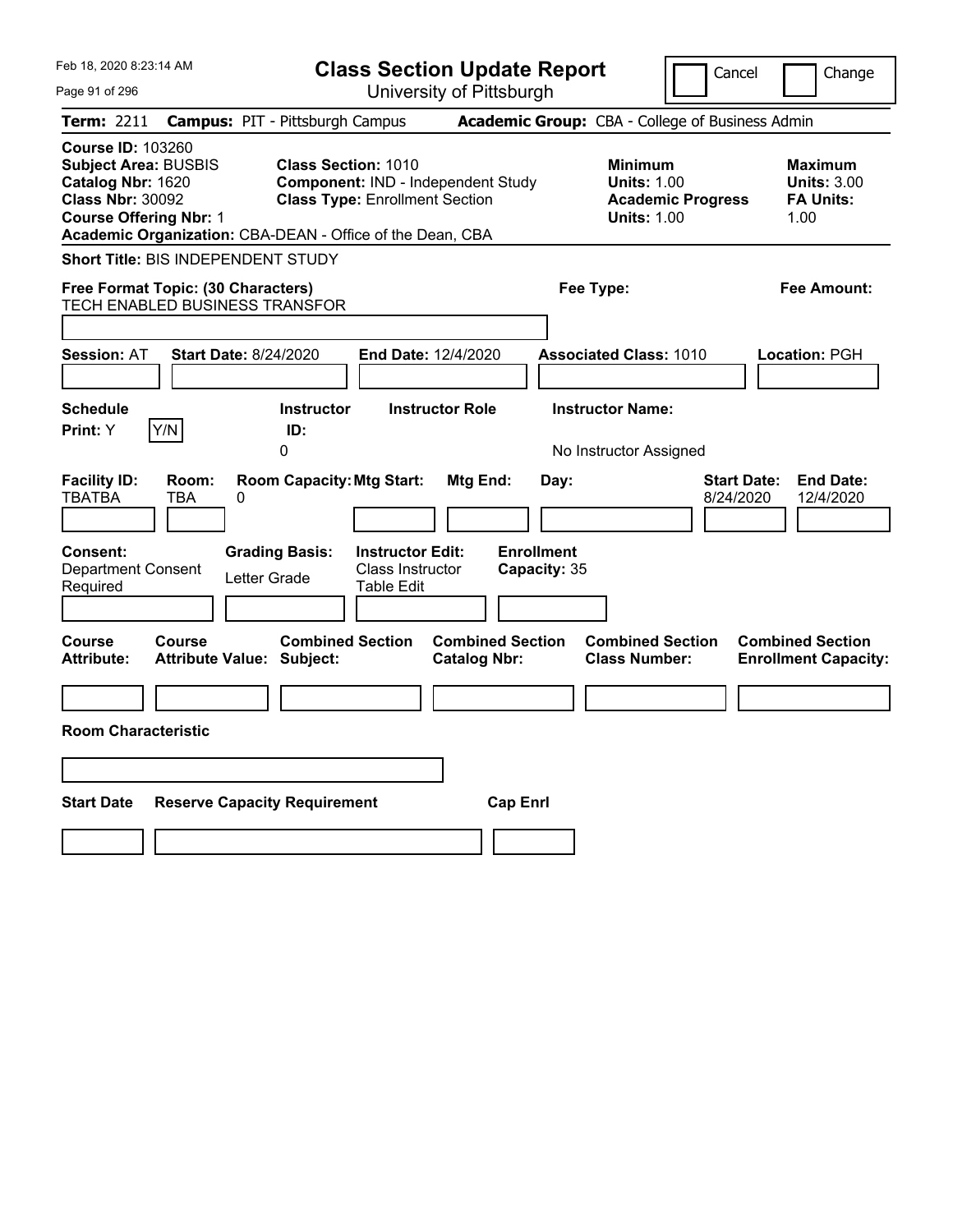| Feb 18, 2020 8:23:14 AM                                                                                                                  | <b>Class Section Update Report</b>                                                                                                                                     |                                           | Cancel                                                                                 | Change                                                           |
|------------------------------------------------------------------------------------------------------------------------------------------|------------------------------------------------------------------------------------------------------------------------------------------------------------------------|-------------------------------------------|----------------------------------------------------------------------------------------|------------------------------------------------------------------|
| Page 91 of 296                                                                                                                           | University of Pittsburgh                                                                                                                                               |                                           |                                                                                        |                                                                  |
| <b>Term: 2211</b>                                                                                                                        | <b>Campus: PIT - Pittsburgh Campus</b>                                                                                                                                 |                                           | Academic Group: CBA - College of Business Admin                                        |                                                                  |
| <b>Course ID: 103260</b><br><b>Subject Area: BUSBIS</b><br>Catalog Nbr: 1620<br><b>Class Nbr: 30092</b><br><b>Course Offering Nbr: 1</b> | <b>Class Section: 1010</b><br>Component: IND - Independent Study<br><b>Class Type: Enrollment Section</b><br>Academic Organization: CBA-DEAN - Office of the Dean, CBA |                                           | <b>Minimum</b><br><b>Units: 1.00</b><br><b>Academic Progress</b><br><b>Units: 1.00</b> | <b>Maximum</b><br><b>Units: 3.00</b><br><b>FA Units:</b><br>1.00 |
| <b>Short Title: BIS INDEPENDENT STUDY</b>                                                                                                |                                                                                                                                                                        |                                           |                                                                                        |                                                                  |
| Free Format Topic: (30 Characters)<br>TECH ENABLED BUSINESS TRANSFOR                                                                     |                                                                                                                                                                        | Fee Type:                                 |                                                                                        | Fee Amount:                                                      |
| Session: AT<br><b>Start Date: 8/24/2020</b>                                                                                              | End Date: 12/4/2020                                                                                                                                                    |                                           | <b>Associated Class: 1010</b>                                                          | Location: PGH                                                    |
| <b>Schedule</b><br>Y/N<br>Print: Y                                                                                                       | <b>Instructor Role</b><br><b>Instructor</b><br>ID:<br>0                                                                                                                | <b>Instructor Name:</b>                   | No Instructor Assigned                                                                 |                                                                  |
| <b>Facility ID:</b><br>Room:<br><b>TBATBA</b><br>TBA<br>0<br>Consent:<br><b>Department Consent</b><br>Required                           | <b>Room Capacity: Mtg Start:</b><br>Mtg End:<br><b>Grading Basis:</b><br><b>Instructor Edit:</b><br>Class Instructor<br>Letter Grade<br><b>Table Edit</b>              | Day:<br><b>Enrollment</b><br>Capacity: 35 | <b>Start Date:</b><br>8/24/2020                                                        | <b>End Date:</b><br>12/4/2020                                    |
| <b>Course</b><br><b>Course</b><br><b>Attribute:</b><br><b>Attribute Value: Subject:</b>                                                  | <b>Combined Section</b><br><b>Catalog Nbr:</b>                                                                                                                         | <b>Combined Section</b>                   | <b>Combined Section</b><br><b>Class Number:</b>                                        | <b>Combined Section</b><br><b>Enrollment Capacity:</b>           |
|                                                                                                                                          |                                                                                                                                                                        |                                           |                                                                                        |                                                                  |
| <b>Room Characteristic</b>                                                                                                               |                                                                                                                                                                        |                                           |                                                                                        |                                                                  |
|                                                                                                                                          |                                                                                                                                                                        |                                           |                                                                                        |                                                                  |
| <b>Start Date</b>                                                                                                                        | <b>Reserve Capacity Requirement</b>                                                                                                                                    | <b>Cap Enrl</b>                           |                                                                                        |                                                                  |
|                                                                                                                                          |                                                                                                                                                                        |                                           |                                                                                        |                                                                  |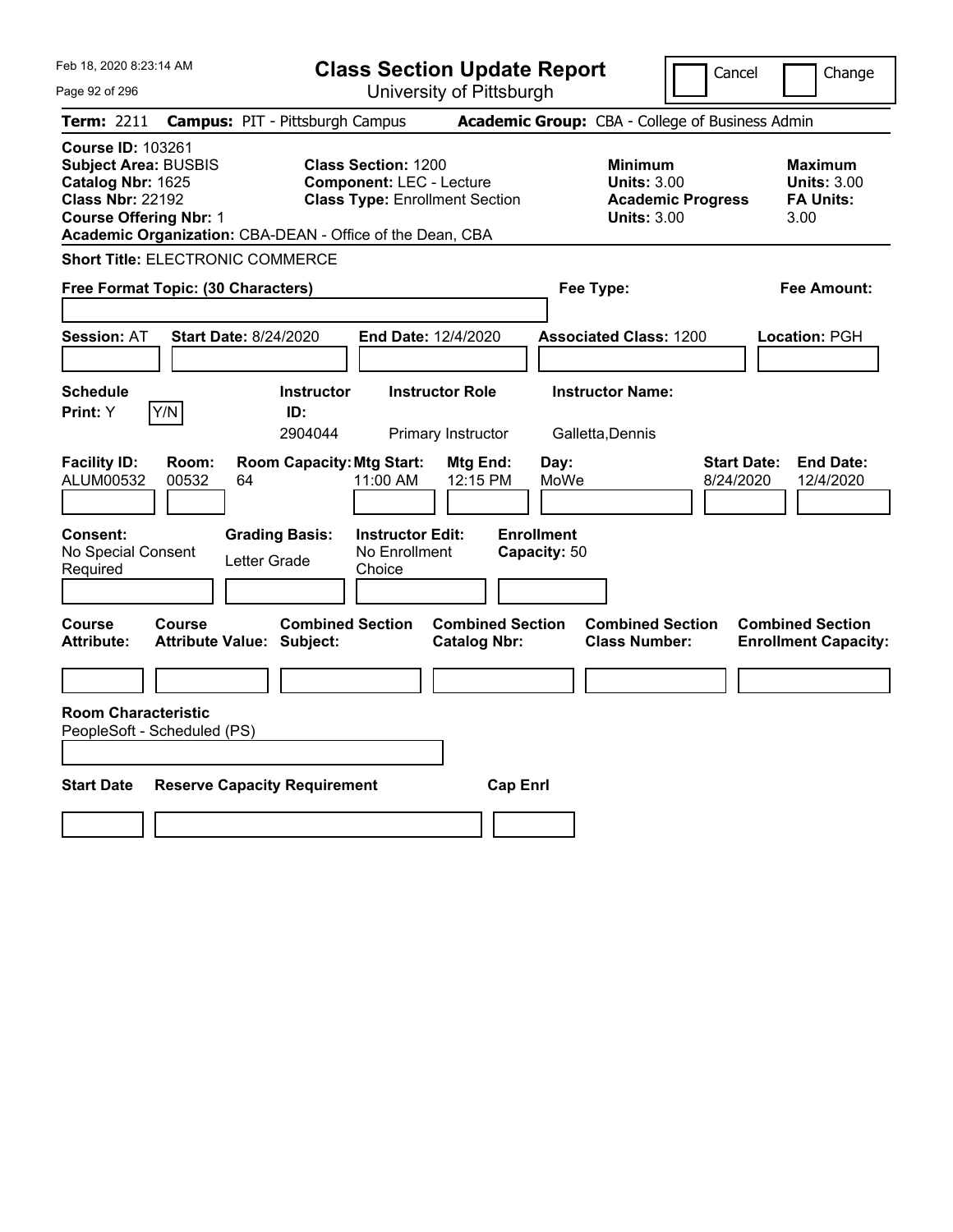| Feb 18, 2020 8:23:14 AM                                                                                                                                                                               | <b>Class Section Update Report</b>                                                                     | Cancel                                                                                 | Change                                                           |
|-------------------------------------------------------------------------------------------------------------------------------------------------------------------------------------------------------|--------------------------------------------------------------------------------------------------------|----------------------------------------------------------------------------------------|------------------------------------------------------------------|
| Page 92 of 296                                                                                                                                                                                        | University of Pittsburgh                                                                               |                                                                                        |                                                                  |
| Term: 2211                                                                                                                                                                                            | <b>Campus: PIT - Pittsburgh Campus</b>                                                                 | Academic Group: CBA - College of Business Admin                                        |                                                                  |
| <b>Course ID: 103261</b><br><b>Subject Area: BUSBIS</b><br>Catalog Nbr: 1625<br><b>Class Nbr: 22192</b><br><b>Course Offering Nbr: 1</b><br>Academic Organization: CBA-DEAN - Office of the Dean, CBA | <b>Class Section: 1200</b><br><b>Component: LEC - Lecture</b><br><b>Class Type: Enrollment Section</b> | <b>Minimum</b><br><b>Units: 3.00</b><br><b>Academic Progress</b><br><b>Units: 3.00</b> | <b>Maximum</b><br><b>Units: 3.00</b><br><b>FA Units:</b><br>3.00 |
| <b>Short Title: ELECTRONIC COMMERCE</b>                                                                                                                                                               |                                                                                                        |                                                                                        |                                                                  |
| Free Format Topic: (30 Characters)                                                                                                                                                                    |                                                                                                        | Fee Type:                                                                              | Fee Amount:                                                      |
| <b>Start Date: 8/24/2020</b><br><b>Session: AT</b>                                                                                                                                                    | End Date: 12/4/2020                                                                                    | <b>Associated Class: 1200</b>                                                          | Location: PGH                                                    |
| <b>Schedule</b><br>Y/N<br><b>Print:</b> Y                                                                                                                                                             | <b>Instructor</b><br><b>Instructor Role</b><br>ID:<br>2904044<br>Primary Instructor                    | <b>Instructor Name:</b><br>Galletta, Dennis                                            |                                                                  |
| <b>Facility ID:</b><br>Room:<br>ALUM00532<br>00532<br>64                                                                                                                                              | <b>Room Capacity: Mtg Start:</b><br>Mtg End:<br>11:00 AM<br>12:15 PM                                   | Day:<br><b>Start Date:</b><br>MoWe<br>8/24/2020                                        | <b>End Date:</b><br>12/4/2020                                    |
| Consent:<br><b>Grading Basis:</b><br>No Special Consent<br>Letter Grade<br>Required                                                                                                                   | <b>Instructor Edit:</b><br>No Enrollment<br>Choice                                                     | <b>Enrollment</b><br>Capacity: 50                                                      |                                                                  |
| Course<br>Course<br><b>Attribute:</b><br><b>Attribute Value: Subject:</b>                                                                                                                             | <b>Combined Section</b><br><b>Combined Section</b><br><b>Catalog Nbr:</b>                              | <b>Combined Section</b><br><b>Class Number:</b>                                        | <b>Combined Section</b><br><b>Enrollment Capacity:</b>           |
|                                                                                                                                                                                                       |                                                                                                        |                                                                                        |                                                                  |
| <b>Room Characteristic</b><br>PeopleSoft - Scheduled (PS)                                                                                                                                             |                                                                                                        |                                                                                        |                                                                  |
| <b>Start Date</b><br><b>Reserve Capacity Requirement</b>                                                                                                                                              | <b>Cap Enrl</b>                                                                                        |                                                                                        |                                                                  |
|                                                                                                                                                                                                       |                                                                                                        |                                                                                        |                                                                  |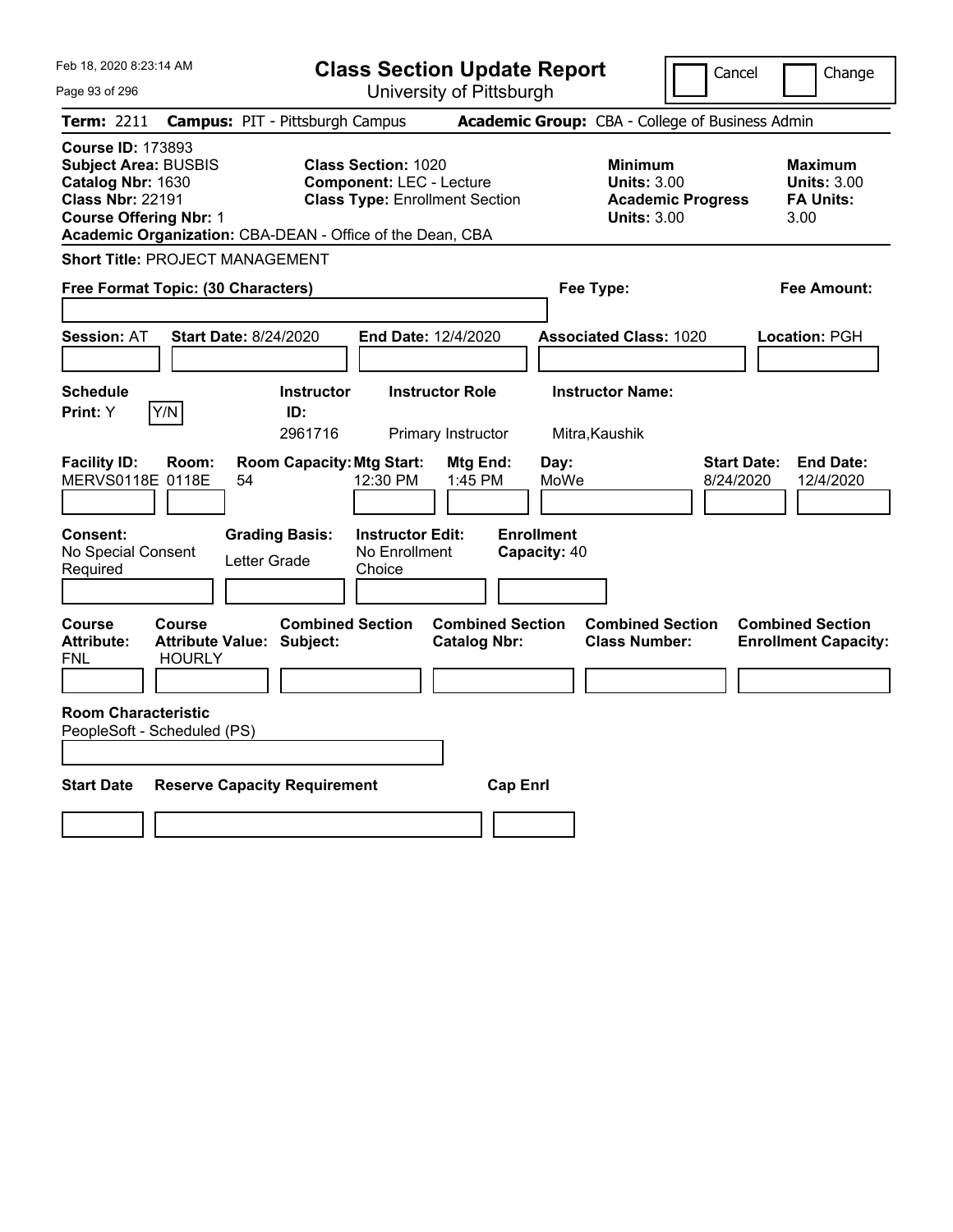| Feb 18, 2020 8:23:14 AM                                                                                                                                                                               | <b>Class Section Update Report</b>                                                                     | Cancel                                                                                 | Change                                                           |
|-------------------------------------------------------------------------------------------------------------------------------------------------------------------------------------------------------|--------------------------------------------------------------------------------------------------------|----------------------------------------------------------------------------------------|------------------------------------------------------------------|
| Page 93 of 296                                                                                                                                                                                        | University of Pittsburgh                                                                               |                                                                                        |                                                                  |
| Term: 2211                                                                                                                                                                                            | <b>Campus: PIT - Pittsburgh Campus</b>                                                                 | Academic Group: CBA - College of Business Admin                                        |                                                                  |
| <b>Course ID: 173893</b><br><b>Subject Area: BUSBIS</b><br>Catalog Nbr: 1630<br><b>Class Nbr: 22191</b><br><b>Course Offering Nbr: 1</b><br>Academic Organization: CBA-DEAN - Office of the Dean, CBA | <b>Class Section: 1020</b><br><b>Component: LEC - Lecture</b><br><b>Class Type: Enrollment Section</b> | <b>Minimum</b><br><b>Units: 3.00</b><br><b>Academic Progress</b><br><b>Units: 3.00</b> | <b>Maximum</b><br><b>Units: 3.00</b><br><b>FA Units:</b><br>3.00 |
| <b>Short Title: PROJECT MANAGEMENT</b>                                                                                                                                                                |                                                                                                        |                                                                                        |                                                                  |
| Free Format Topic: (30 Characters)                                                                                                                                                                    |                                                                                                        | Fee Type:                                                                              | Fee Amount:                                                      |
| <b>Start Date: 8/24/2020</b><br><b>Session: AT</b>                                                                                                                                                    | End Date: 12/4/2020                                                                                    | <b>Associated Class: 1020</b>                                                          | Location: PGH                                                    |
| <b>Schedule</b><br>Y/N<br>Print: Y                                                                                                                                                                    | <b>Instructor</b><br><b>Instructor Role</b><br>ID:<br>2961716<br>Primary Instructor                    | <b>Instructor Name:</b><br>Mitra, Kaushik                                              |                                                                  |
| <b>Facility ID:</b><br>Room:<br>MERVS0118E 0118E<br>54                                                                                                                                                | <b>Room Capacity: Mtg Start:</b><br>Mtg End:<br>12:30 PM<br>1:45 PM                                    | <b>Start Date:</b><br>Day:<br>MoWe<br>8/24/2020                                        | <b>End Date:</b><br>12/4/2020                                    |
| Consent:<br><b>Grading Basis:</b><br>No Special Consent<br>Letter Grade<br>Required                                                                                                                   | <b>Instructor Edit:</b><br>No Enrollment<br>Choice                                                     | <b>Enrollment</b><br>Capacity: 40                                                      |                                                                  |
| Course<br>Course<br><b>Attribute:</b><br><b>Attribute Value: Subject:</b><br><b>HOURLY</b><br>FNL                                                                                                     | <b>Combined Section</b><br><b>Combined Section</b><br><b>Catalog Nbr:</b>                              | <b>Combined Section</b><br><b>Class Number:</b>                                        | <b>Combined Section</b><br><b>Enrollment Capacity:</b>           |
|                                                                                                                                                                                                       |                                                                                                        |                                                                                        |                                                                  |
| <b>Room Characteristic</b><br>PeopleSoft - Scheduled (PS)                                                                                                                                             |                                                                                                        |                                                                                        |                                                                  |
| <b>Start Date</b><br><b>Reserve Capacity Requirement</b>                                                                                                                                              | <b>Cap Enrl</b>                                                                                        |                                                                                        |                                                                  |
|                                                                                                                                                                                                       |                                                                                                        |                                                                                        |                                                                  |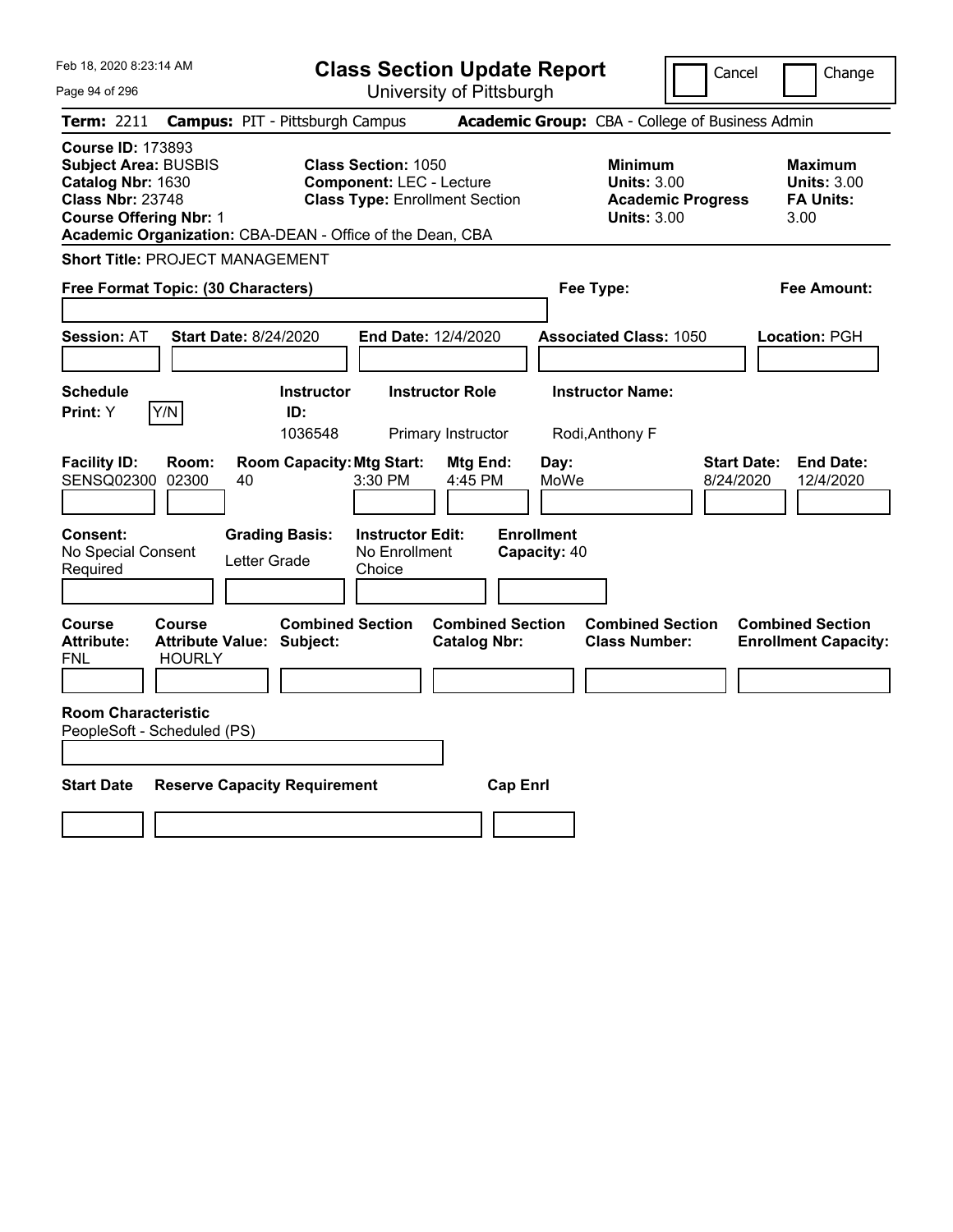| Feb 18, 2020 8:23:14 AM                                                                                                                                                                               | <b>Class Section Update Report</b>                                                                     |                                                                        | Cancel                                                               | Change                                                           |
|-------------------------------------------------------------------------------------------------------------------------------------------------------------------------------------------------------|--------------------------------------------------------------------------------------------------------|------------------------------------------------------------------------|----------------------------------------------------------------------|------------------------------------------------------------------|
| Page 94 of 296                                                                                                                                                                                        | University of Pittsburgh                                                                               |                                                                        |                                                                      |                                                                  |
| Term: 2211                                                                                                                                                                                            | <b>Campus: PIT - Pittsburgh Campus</b>                                                                 | Academic Group: CBA - College of Business Admin                        |                                                                      |                                                                  |
| <b>Course ID: 173893</b><br><b>Subject Area: BUSBIS</b><br>Catalog Nbr: 1630<br><b>Class Nbr: 23748</b><br><b>Course Offering Nbr: 1</b><br>Academic Organization: CBA-DEAN - Office of the Dean, CBA | <b>Class Section: 1050</b><br><b>Component: LEC - Lecture</b><br><b>Class Type: Enrollment Section</b> | <b>Minimum</b>                                                         | <b>Units: 3.00</b><br><b>Academic Progress</b><br><b>Units: 3.00</b> | <b>Maximum</b><br><b>Units: 3.00</b><br><b>FA Units:</b><br>3.00 |
| <b>Short Title: PROJECT MANAGEMENT</b>                                                                                                                                                                |                                                                                                        |                                                                        |                                                                      |                                                                  |
| Free Format Topic: (30 Characters)                                                                                                                                                                    |                                                                                                        | Fee Type:                                                              |                                                                      | Fee Amount:                                                      |
| <b>Session: AT</b><br><b>Start Date: 8/24/2020</b>                                                                                                                                                    | <b>End Date: 12/4/2020</b>                                                                             | <b>Associated Class: 1050</b>                                          |                                                                      | Location: PGH                                                    |
| <b>Schedule</b><br>Y/N<br>Print: Y                                                                                                                                                                    | <b>Instructor</b><br><b>Instructor Role</b><br>ID:<br>1036548<br>Primary Instructor                    | <b>Instructor Name:</b><br>Rodi, Anthony F                             |                                                                      |                                                                  |
| <b>Facility ID:</b><br>Room:<br>SENSQ02300 02300<br>40                                                                                                                                                | <b>Room Capacity: Mtg Start:</b><br>3:30 PM                                                            | Mtg End:<br>Day:<br>MoWe<br>4:45 PM                                    | <b>Start Date:</b><br>8/24/2020                                      | <b>End Date:</b><br>12/4/2020                                    |
| Consent:<br><b>Grading Basis:</b><br>No Special Consent<br>Letter Grade<br>Required                                                                                                                   | <b>Instructor Edit:</b><br>No Enrollment<br>Choice                                                     | <b>Enrollment</b><br>Capacity: 40                                      |                                                                      |                                                                  |
| Course<br><b>Course</b><br><b>Attribute:</b><br><b>Attribute Value: Subject:</b><br><b>HOURLY</b><br>FNL                                                                                              | <b>Combined Section</b>                                                                                | <b>Combined Section</b><br><b>Catalog Nbr:</b><br><b>Class Number:</b> | <b>Combined Section</b>                                              | <b>Combined Section</b><br><b>Enrollment Capacity:</b>           |
| <b>Room Characteristic</b><br>PeopleSoft - Scheduled (PS)                                                                                                                                             |                                                                                                        |                                                                        |                                                                      |                                                                  |
| <b>Start Date</b><br><b>Reserve Capacity Requirement</b>                                                                                                                                              |                                                                                                        | <b>Cap Enrl</b>                                                        |                                                                      |                                                                  |
|                                                                                                                                                                                                       |                                                                                                        |                                                                        |                                                                      |                                                                  |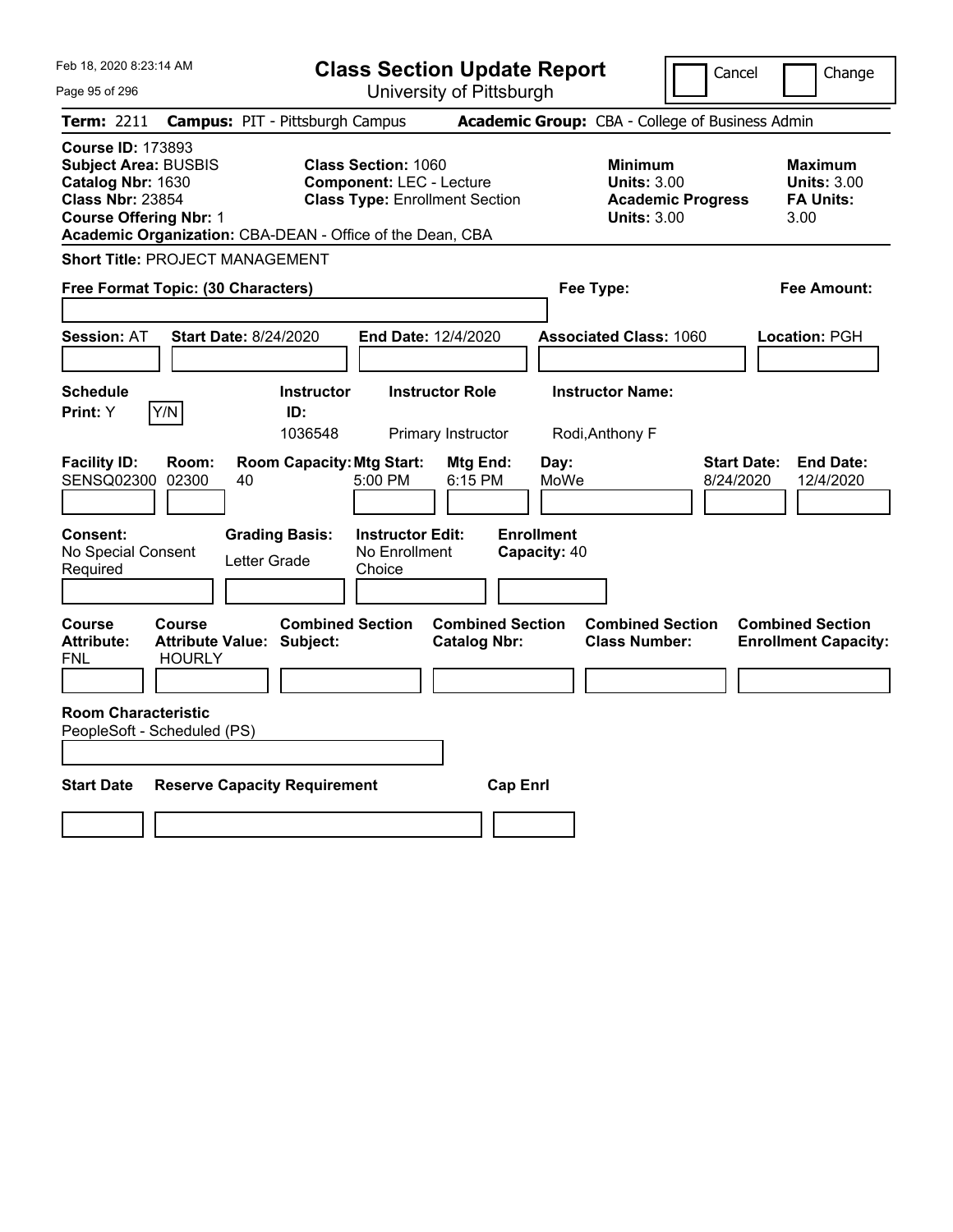| Feb 18, 2020 8:23:14 AM                                                                                                                                                                               | <b>Class Section Update Report</b>                                                                     |                                                                                                   | Cancel<br>Change                                                                             |
|-------------------------------------------------------------------------------------------------------------------------------------------------------------------------------------------------------|--------------------------------------------------------------------------------------------------------|---------------------------------------------------------------------------------------------------|----------------------------------------------------------------------------------------------|
| Page 95 of 296                                                                                                                                                                                        | University of Pittsburgh                                                                               |                                                                                                   |                                                                                              |
| Term: 2211                                                                                                                                                                                            | <b>Campus: PIT - Pittsburgh Campus</b>                                                                 | Academic Group: CBA - College of Business Admin                                                   |                                                                                              |
| <b>Course ID: 173893</b><br><b>Subject Area: BUSBIS</b><br>Catalog Nbr: 1630<br><b>Class Nbr: 23854</b><br><b>Course Offering Nbr: 1</b><br>Academic Organization: CBA-DEAN - Office of the Dean, CBA | <b>Class Section: 1060</b><br><b>Component: LEC - Lecture</b><br><b>Class Type: Enrollment Section</b> | <b>Minimum</b><br><b>Units: 3.00</b><br><b>Units: 3.00</b>                                        | <b>Maximum</b><br><b>Units: 3.00</b><br><b>Academic Progress</b><br><b>FA Units:</b><br>3.00 |
| <b>Short Title: PROJECT MANAGEMENT</b>                                                                                                                                                                |                                                                                                        |                                                                                                   |                                                                                              |
| Free Format Topic: (30 Characters)                                                                                                                                                                    |                                                                                                        | Fee Type:                                                                                         | Fee Amount:                                                                                  |
| <b>Start Date: 8/24/2020</b><br><b>Session: AT</b>                                                                                                                                                    | End Date: 12/4/2020                                                                                    | <b>Associated Class: 1060</b>                                                                     | Location: PGH                                                                                |
| <b>Schedule</b><br>Y/N<br><b>Print:</b> Y                                                                                                                                                             | Instructor<br><b>Instructor Role</b><br>ID:<br>1036548<br>Primary Instructor                           | <b>Instructor Name:</b><br>Rodi, Anthony F                                                        |                                                                                              |
| <b>Facility ID:</b><br>Room:<br><b>SENSQ02300</b><br>02300<br>40                                                                                                                                      | <b>Room Capacity: Mtg Start:</b><br>5:00 PM                                                            | Mtg End:<br>Day:<br>MoWe<br>6:15 PM                                                               | <b>Start Date:</b><br><b>End Date:</b><br>8/24/2020<br>12/4/2020                             |
| Consent:<br><b>Grading Basis:</b><br>No Special Consent<br>Letter Grade<br>Required                                                                                                                   | <b>Instructor Edit:</b><br>No Enrollment<br>Choice                                                     | <b>Enrollment</b><br>Capacity: 40                                                                 |                                                                                              |
| Course<br><b>Course</b><br><b>Attribute:</b><br><b>Attribute Value: Subject:</b><br><b>HOURLY</b><br>FNL                                                                                              | <b>Combined Section</b>                                                                                | <b>Combined Section</b><br><b>Combined Section</b><br><b>Catalog Nbr:</b><br><b>Class Number:</b> | <b>Combined Section</b><br><b>Enrollment Capacity:</b>                                       |
| <b>Room Characteristic</b><br>PeopleSoft - Scheduled (PS)                                                                                                                                             |                                                                                                        |                                                                                                   |                                                                                              |
| <b>Start Date</b><br><b>Reserve Capacity Requirement</b>                                                                                                                                              |                                                                                                        | <b>Cap Enrl</b>                                                                                   |                                                                                              |
|                                                                                                                                                                                                       |                                                                                                        |                                                                                                   |                                                                                              |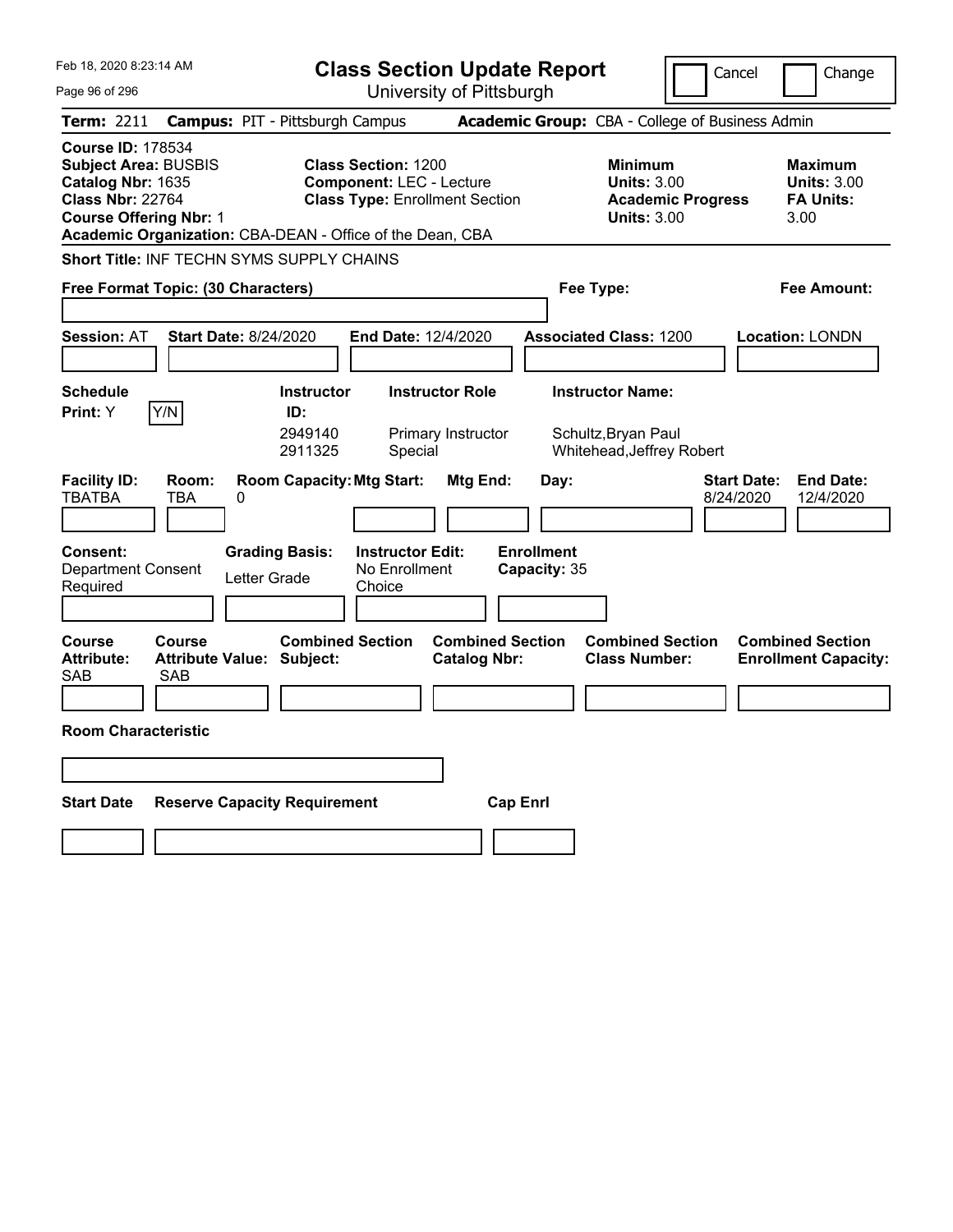| Feb 18, 2020 8:23:14 AM                                                                                                                                                                               | <b>Class Section Update Report</b>                                                                     |                                                                                        | Cancel<br>Change                                                 |
|-------------------------------------------------------------------------------------------------------------------------------------------------------------------------------------------------------|--------------------------------------------------------------------------------------------------------|----------------------------------------------------------------------------------------|------------------------------------------------------------------|
| Page 96 of 296                                                                                                                                                                                        | University of Pittsburgh                                                                               |                                                                                        |                                                                  |
| Term: 2211<br><b>Campus: PIT - Pittsburgh Campus</b>                                                                                                                                                  |                                                                                                        | Academic Group: CBA - College of Business Admin                                        |                                                                  |
| <b>Course ID: 178534</b><br><b>Subject Area: BUSBIS</b><br>Catalog Nbr: 1635<br><b>Class Nbr: 22764</b><br><b>Course Offering Nbr: 1</b><br>Academic Organization: CBA-DEAN - Office of the Dean, CBA | <b>Class Section: 1200</b><br><b>Component: LEC - Lecture</b><br><b>Class Type: Enrollment Section</b> | <b>Minimum</b><br><b>Units: 3.00</b><br><b>Academic Progress</b><br><b>Units: 3.00</b> | <b>Maximum</b><br><b>Units: 3.00</b><br><b>FA Units:</b><br>3.00 |
| Short Title: INF TECHN SYMS SUPPLY CHAINS                                                                                                                                                             |                                                                                                        |                                                                                        |                                                                  |
| Free Format Topic: (30 Characters)                                                                                                                                                                    |                                                                                                        | Fee Type:                                                                              | Fee Amount:                                                      |
| <b>Start Date: 8/24/2020</b><br><b>Session: AT</b>                                                                                                                                                    | End Date: 12/4/2020                                                                                    | <b>Associated Class: 1200</b>                                                          | Location: LONDN                                                  |
| <b>Schedule</b>                                                                                                                                                                                       | <b>Instructor Role</b><br><b>Instructor</b>                                                            | <b>Instructor Name:</b>                                                                |                                                                  |
| Y/N<br>Print: Y                                                                                                                                                                                       | ID:<br>2949140<br>Primary Instructor<br>2911325<br>Special                                             | Schultz, Bryan Paul<br>Whitehead, Jeffrey Robert                                       |                                                                  |
| <b>Facility ID:</b><br>Room:<br><b>TBATBA</b><br><b>TBA</b><br>0                                                                                                                                      | <b>Room Capacity: Mtg Start:</b><br>Mtg End:                                                           | Day:                                                                                   | <b>Start Date:</b><br><b>End Date:</b><br>8/24/2020<br>12/4/2020 |
| <b>Grading Basis:</b><br><b>Consent:</b><br><b>Department Consent</b><br>Letter Grade<br>Required                                                                                                     | <b>Instructor Edit:</b><br>No Enrollment<br>Choice                                                     | <b>Enrollment</b><br>Capacity: 35                                                      |                                                                  |
| Course<br>Course<br><b>Attribute:</b><br><b>Attribute Value: Subject:</b><br><b>SAB</b><br>SAB                                                                                                        | <b>Combined Section</b><br><b>Combined Section</b><br><b>Catalog Nbr:</b>                              | <b>Combined Section</b><br><b>Class Number:</b>                                        | <b>Combined Section</b><br><b>Enrollment Capacity:</b>           |
| <b>Room Characteristic</b>                                                                                                                                                                            |                                                                                                        |                                                                                        |                                                                  |
|                                                                                                                                                                                                       |                                                                                                        |                                                                                        |                                                                  |
| <b>Start Date</b><br><b>Reserve Capacity Requirement</b>                                                                                                                                              | <b>Cap Enrl</b>                                                                                        |                                                                                        |                                                                  |
|                                                                                                                                                                                                       |                                                                                                        |                                                                                        |                                                                  |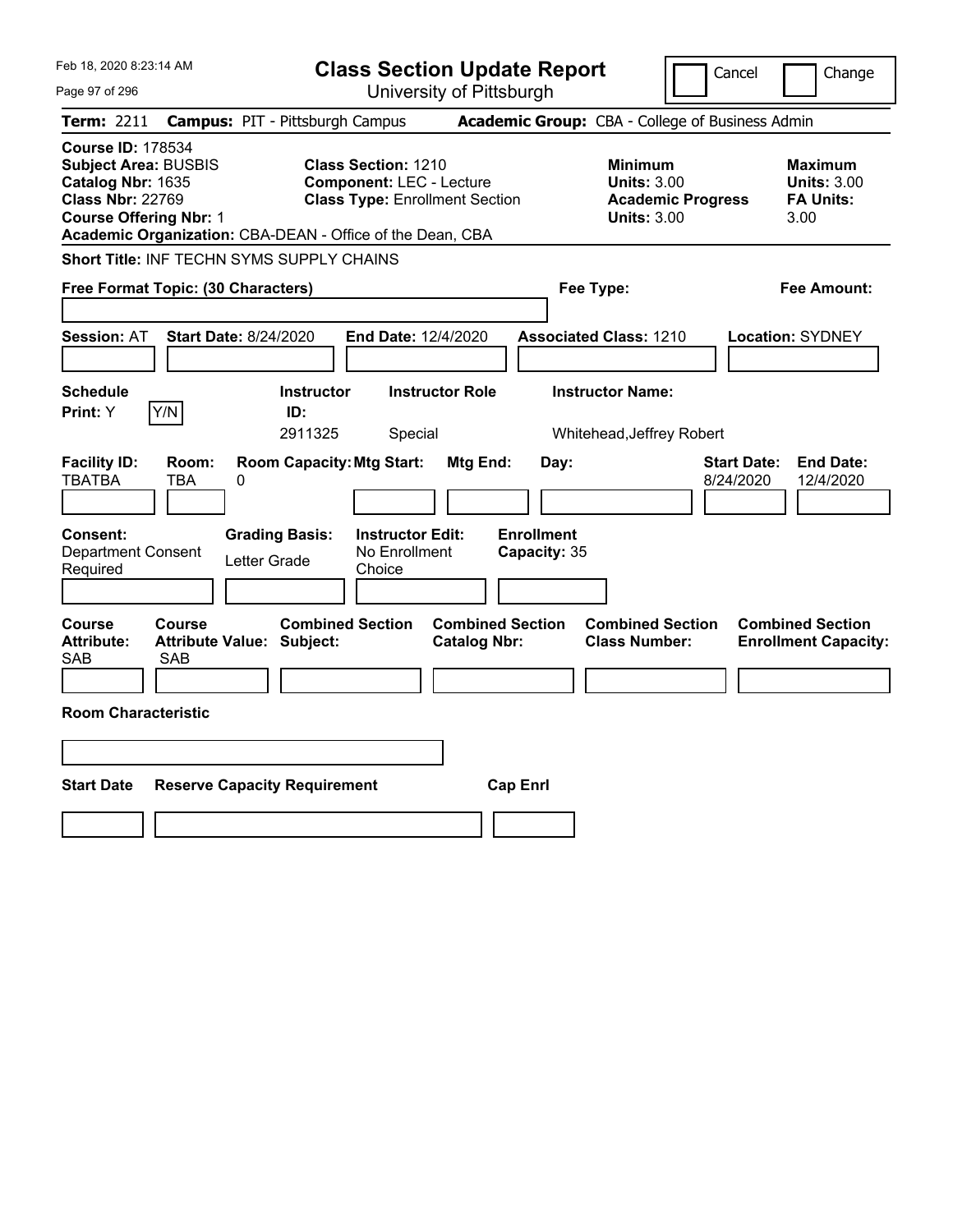| Feb 18, 2020 8:23:14 AM                                                                                                                                                                               | <b>Class Section Update Report</b>                                                                     |                                                                                        | Cancel<br>Change                                                 |
|-------------------------------------------------------------------------------------------------------------------------------------------------------------------------------------------------------|--------------------------------------------------------------------------------------------------------|----------------------------------------------------------------------------------------|------------------------------------------------------------------|
| Page 97 of 296                                                                                                                                                                                        | University of Pittsburgh                                                                               |                                                                                        |                                                                  |
| <b>Term: 2211</b>                                                                                                                                                                                     | <b>Campus: PIT - Pittsburgh Campus</b>                                                                 | Academic Group: CBA - College of Business Admin                                        |                                                                  |
| <b>Course ID: 178534</b><br><b>Subject Area: BUSBIS</b><br>Catalog Nbr: 1635<br><b>Class Nbr: 22769</b><br><b>Course Offering Nbr: 1</b><br>Academic Organization: CBA-DEAN - Office of the Dean, CBA | <b>Class Section: 1210</b><br><b>Component: LEC - Lecture</b><br><b>Class Type: Enrollment Section</b> | <b>Minimum</b><br><b>Units: 3.00</b><br><b>Academic Progress</b><br><b>Units: 3.00</b> | <b>Maximum</b><br><b>Units: 3.00</b><br><b>FA Units:</b><br>3.00 |
| <b>Short Title: INF TECHN SYMS SUPPLY CHAINS</b>                                                                                                                                                      |                                                                                                        |                                                                                        |                                                                  |
| Free Format Topic: (30 Characters)                                                                                                                                                                    |                                                                                                        | Fee Type:                                                                              | Fee Amount:                                                      |
| <b>Start Date: 8/24/2020</b><br><b>Session: AT</b>                                                                                                                                                    | End Date: 12/4/2020                                                                                    | <b>Associated Class: 1210</b>                                                          | <b>Location: SYDNEY</b>                                          |
| <b>Schedule</b><br>Y/N<br>Print: Y                                                                                                                                                                    | <b>Instructor</b><br><b>Instructor Role</b><br>ID:<br>2911325<br>Special                               | <b>Instructor Name:</b><br>Whitehead, Jeffrey Robert                                   |                                                                  |
| <b>Facility ID:</b><br>Room:<br><b>TBATBA</b><br><b>TBA</b><br>0                                                                                                                                      | <b>Room Capacity: Mtg Start:</b><br>Mtg End:                                                           | Day:                                                                                   | <b>Start Date:</b><br><b>End Date:</b><br>8/24/2020<br>12/4/2020 |
| Consent:<br><b>Grading Basis:</b><br><b>Department Consent</b><br>Letter Grade<br>Required                                                                                                            | <b>Instructor Edit:</b><br>No Enrollment<br>Choice                                                     | <b>Enrollment</b><br>Capacity: 35                                                      |                                                                  |
| <b>Course</b><br><b>Course</b><br><b>Attribute:</b><br><b>Attribute Value: Subject:</b><br><b>SAB</b><br><b>SAB</b>                                                                                   | <b>Combined Section</b><br><b>Combined Section</b><br><b>Catalog Nbr:</b>                              | <b>Combined Section</b><br><b>Class Number:</b>                                        | <b>Combined Section</b><br><b>Enrollment Capacity:</b>           |
| <b>Room Characteristic</b>                                                                                                                                                                            |                                                                                                        |                                                                                        |                                                                  |
|                                                                                                                                                                                                       |                                                                                                        |                                                                                        |                                                                  |
| <b>Start Date</b><br><b>Reserve Capacity Requirement</b>                                                                                                                                              |                                                                                                        | <b>Cap Enrl</b>                                                                        |                                                                  |
|                                                                                                                                                                                                       |                                                                                                        |                                                                                        |                                                                  |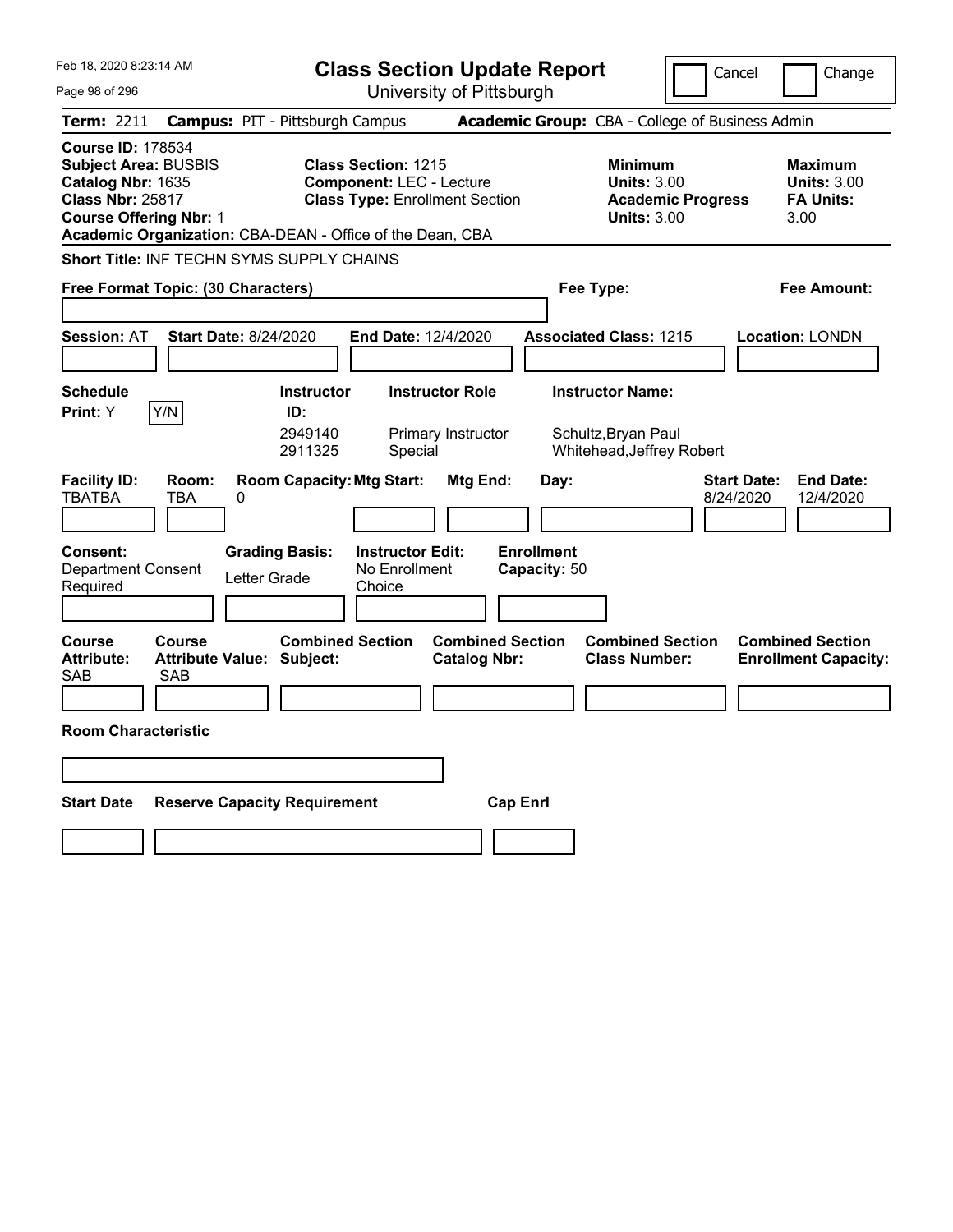| Feb 18, 2020 8:23:14 AM                                                                                                                                                                               | <b>Class Section Update Report</b>                                                                     |                                                                                        | Cancel<br>Change                                                 |
|-------------------------------------------------------------------------------------------------------------------------------------------------------------------------------------------------------|--------------------------------------------------------------------------------------------------------|----------------------------------------------------------------------------------------|------------------------------------------------------------------|
| Page 98 of 296                                                                                                                                                                                        | University of Pittsburgh                                                                               |                                                                                        |                                                                  |
| <b>Term: 2211</b>                                                                                                                                                                                     | <b>Campus: PIT - Pittsburgh Campus</b>                                                                 | Academic Group: CBA - College of Business Admin                                        |                                                                  |
| <b>Course ID: 178534</b><br><b>Subject Area: BUSBIS</b><br>Catalog Nbr: 1635<br><b>Class Nbr: 25817</b><br><b>Course Offering Nbr: 1</b><br>Academic Organization: CBA-DEAN - Office of the Dean, CBA | <b>Class Section: 1215</b><br><b>Component: LEC - Lecture</b><br><b>Class Type: Enrollment Section</b> | <b>Minimum</b><br><b>Units: 3.00</b><br><b>Academic Progress</b><br><b>Units: 3.00</b> | <b>Maximum</b><br><b>Units: 3.00</b><br><b>FA Units:</b><br>3.00 |
| Short Title: INF TECHN SYMS SUPPLY CHAINS                                                                                                                                                             |                                                                                                        |                                                                                        |                                                                  |
| Free Format Topic: (30 Characters)                                                                                                                                                                    |                                                                                                        | Fee Type:                                                                              | Fee Amount:                                                      |
| <b>Start Date: 8/24/2020</b><br><b>Session: AT</b>                                                                                                                                                    | End Date: 12/4/2020                                                                                    | <b>Associated Class: 1215</b>                                                          | Location: LONDN                                                  |
| <b>Schedule</b>                                                                                                                                                                                       | <b>Instructor Role</b><br><b>Instructor</b>                                                            | <b>Instructor Name:</b>                                                                |                                                                  |
| Y/N<br>Print: Y                                                                                                                                                                                       | ID:<br>2949140<br>Primary Instructor<br>2911325<br>Special                                             | Schultz, Bryan Paul<br>Whitehead, Jeffrey Robert                                       |                                                                  |
| <b>Facility ID:</b><br>Room:<br><b>TBATBA</b><br><b>TBA</b><br>0                                                                                                                                      | <b>Room Capacity: Mtg Start:</b><br>Mtg End:                                                           | Day:                                                                                   | <b>Start Date:</b><br><b>End Date:</b><br>12/4/2020<br>8/24/2020 |
| <b>Grading Basis:</b><br><b>Consent:</b><br><b>Department Consent</b><br>Letter Grade<br>Required                                                                                                     | <b>Instructor Edit:</b><br>No Enrollment<br>Choice                                                     | <b>Enrollment</b><br>Capacity: 50                                                      |                                                                  |
| <b>Course</b><br><b>Course</b><br><b>Attribute:</b><br><b>Attribute Value: Subject:</b><br><b>SAB</b><br>SAB                                                                                          | <b>Combined Section</b><br><b>Combined Section</b><br><b>Catalog Nbr:</b>                              | <b>Combined Section</b><br><b>Class Number:</b>                                        | <b>Combined Section</b><br><b>Enrollment Capacity:</b>           |
| <b>Room Characteristic</b>                                                                                                                                                                            |                                                                                                        |                                                                                        |                                                                  |
|                                                                                                                                                                                                       |                                                                                                        |                                                                                        |                                                                  |
| <b>Start Date</b><br><b>Reserve Capacity Requirement</b>                                                                                                                                              |                                                                                                        | <b>Cap Enrl</b>                                                                        |                                                                  |
|                                                                                                                                                                                                       |                                                                                                        |                                                                                        |                                                                  |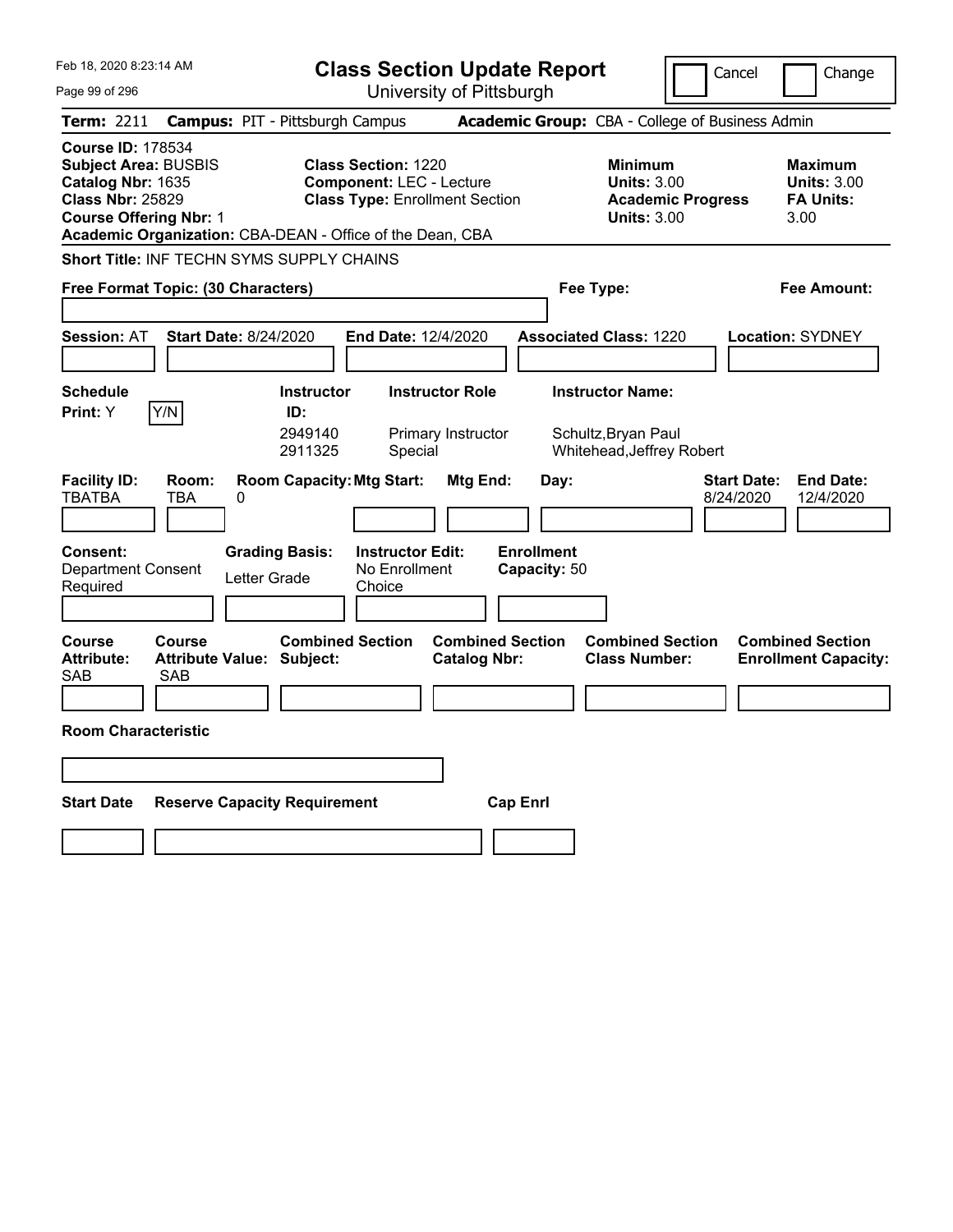| Feb 18, 2020 8:23:14 AM                                                                                                                                                                               |                                                                                                        | <b>Class Section Update Report</b>             |                                                                                        | Cancel<br>Change                                                 |
|-------------------------------------------------------------------------------------------------------------------------------------------------------------------------------------------------------|--------------------------------------------------------------------------------------------------------|------------------------------------------------|----------------------------------------------------------------------------------------|------------------------------------------------------------------|
| Page 99 of 296                                                                                                                                                                                        |                                                                                                        | University of Pittsburgh                       |                                                                                        |                                                                  |
| <b>Term: 2211</b>                                                                                                                                                                                     | <b>Campus: PIT - Pittsburgh Campus</b>                                                                 |                                                | Academic Group: CBA - College of Business Admin                                        |                                                                  |
| <b>Course ID: 178534</b><br><b>Subject Area: BUSBIS</b><br>Catalog Nbr: 1635<br><b>Class Nbr: 25829</b><br><b>Course Offering Nbr: 1</b><br>Academic Organization: CBA-DEAN - Office of the Dean, CBA | <b>Class Section: 1220</b><br><b>Component: LEC - Lecture</b><br><b>Class Type: Enrollment Section</b> |                                                | <b>Minimum</b><br><b>Units: 3.00</b><br><b>Academic Progress</b><br><b>Units: 3.00</b> | <b>Maximum</b><br><b>Units: 3.00</b><br><b>FA Units:</b><br>3.00 |
| Short Title: INF TECHN SYMS SUPPLY CHAINS                                                                                                                                                             |                                                                                                        |                                                |                                                                                        |                                                                  |
| Free Format Topic: (30 Characters)                                                                                                                                                                    |                                                                                                        |                                                | Fee Type:                                                                              | Fee Amount:                                                      |
| <b>Start Date: 8/24/2020</b><br><b>Session: AT</b>                                                                                                                                                    | End Date: 12/4/2020                                                                                    |                                                | <b>Associated Class: 1220</b>                                                          | <b>Location: SYDNEY</b>                                          |
| <b>Schedule</b>                                                                                                                                                                                       | <b>Instructor</b>                                                                                      | <b>Instructor Role</b>                         | <b>Instructor Name:</b>                                                                |                                                                  |
| Y/N<br>Print: Y                                                                                                                                                                                       | ID:                                                                                                    |                                                |                                                                                        |                                                                  |
|                                                                                                                                                                                                       | 2949140<br>2911325<br>Special                                                                          | Primary Instructor                             | Schultz, Bryan Paul<br>Whitehead, Jeffrey Robert                                       |                                                                  |
| <b>Facility ID:</b><br>Room:<br><b>TBATBA</b><br><b>TBA</b><br>0                                                                                                                                      | <b>Room Capacity: Mtg Start:</b>                                                                       | Mtg End:<br>Day:                               |                                                                                        | <b>End Date:</b><br><b>Start Date:</b><br>8/24/2020<br>12/4/2020 |
| <b>Consent:</b><br><b>Department Consent</b><br>Required                                                                                                                                              | <b>Grading Basis:</b><br><b>Instructor Edit:</b><br>No Enrollment<br>Letter Grade<br>Choice            | <b>Enrollment</b><br>Capacity: 50              |                                                                                        |                                                                  |
| <b>Course</b><br><b>Course</b><br><b>Attribute:</b><br><b>Attribute Value: Subject:</b><br><b>SAB</b><br>SAB                                                                                          | <b>Combined Section</b>                                                                                | <b>Combined Section</b><br><b>Catalog Nbr:</b> | <b>Combined Section</b><br><b>Class Number:</b>                                        | <b>Combined Section</b><br><b>Enrollment Capacity:</b>           |
| <b>Room Characteristic</b>                                                                                                                                                                            |                                                                                                        |                                                |                                                                                        |                                                                  |
|                                                                                                                                                                                                       |                                                                                                        |                                                |                                                                                        |                                                                  |
|                                                                                                                                                                                                       |                                                                                                        |                                                |                                                                                        |                                                                  |
| <b>Start Date</b>                                                                                                                                                                                     | <b>Reserve Capacity Requirement</b>                                                                    | <b>Cap Enrl</b>                                |                                                                                        |                                                                  |
|                                                                                                                                                                                                       |                                                                                                        |                                                |                                                                                        |                                                                  |
|                                                                                                                                                                                                       |                                                                                                        |                                                |                                                                                        |                                                                  |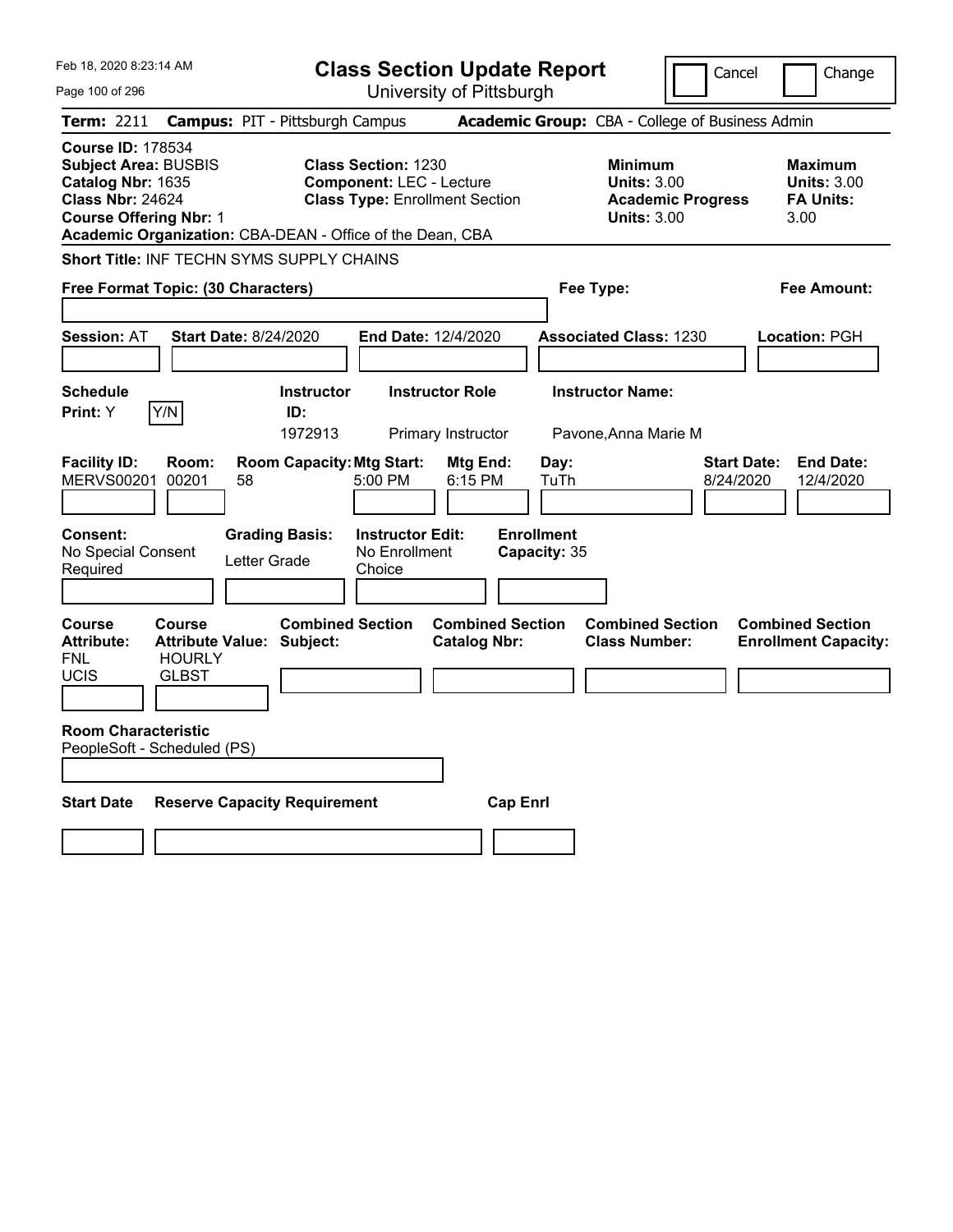| Feb 18, 2020 8:23:14 AM                                                                                                                                                                               |                                                             | <b>Class Section Update Report</b>                                                                     |                                                                            | Cancel                   | Change                                                    |
|-------------------------------------------------------------------------------------------------------------------------------------------------------------------------------------------------------|-------------------------------------------------------------|--------------------------------------------------------------------------------------------------------|----------------------------------------------------------------------------|--------------------------|-----------------------------------------------------------|
| Page 100 of 296                                                                                                                                                                                       |                                                             | University of Pittsburgh                                                                               |                                                                            |                          |                                                           |
| Term: 2211                                                                                                                                                                                            | <b>Campus: PIT - Pittsburgh Campus</b>                      |                                                                                                        | Academic Group: CBA - College of Business Admin                            |                          |                                                           |
| <b>Course ID: 178534</b><br><b>Subject Area: BUSBIS</b><br>Catalog Nbr: 1635<br><b>Class Nbr: 24624</b><br><b>Course Offering Nbr: 1</b><br>Academic Organization: CBA-DEAN - Office of the Dean, CBA |                                                             | <b>Class Section: 1230</b><br><b>Component: LEC - Lecture</b><br><b>Class Type: Enrollment Section</b> | <b>Minimum</b><br><b>Units: 3.00</b><br><b>Units: 3.00</b>                 | <b>Academic Progress</b> | Maximum<br><b>Units: 3.00</b><br><b>FA Units:</b><br>3.00 |
| <b>Short Title: INF TECHN SYMS SUPPLY CHAINS</b>                                                                                                                                                      |                                                             |                                                                                                        |                                                                            |                          |                                                           |
| Free Format Topic: (30 Characters)                                                                                                                                                                    |                                                             |                                                                                                        | Fee Type:                                                                  |                          | Fee Amount:                                               |
| <b>Session: AT</b>                                                                                                                                                                                    | <b>Start Date: 8/24/2020</b>                                | End Date: 12/4/2020                                                                                    | <b>Associated Class: 1230</b>                                              |                          | Location: PGH                                             |
| <b>Schedule</b><br>Y/N<br>Print: Y                                                                                                                                                                    | <b>Instructor</b><br>ID:<br>1972913                         | <b>Instructor Role</b><br>Primary Instructor                                                           | <b>Instructor Name:</b><br>Pavone, Anna Marie M                            |                          |                                                           |
| <b>Facility ID:</b><br>Room:<br><b>MERVS00201</b><br>00201                                                                                                                                            | <b>Room Capacity: Mtg Start:</b><br>58                      | Mtg End:<br>5:00 PM<br>6:15 PM                                                                         | Day:<br>TuTh                                                               | Start Date:<br>8/24/2020 | <b>End Date:</b><br>12/4/2020                             |
| <b>Consent:</b><br>No Special Consent<br>Required                                                                                                                                                     | <b>Grading Basis:</b><br>Letter Grade                       | <b>Instructor Edit:</b><br>No Enrollment<br>Choice                                                     | <b>Enrollment</b><br>Capacity: 35                                          |                          |                                                           |
| <b>Course</b><br>Course<br><b>Attribute:</b><br><b>FNL</b><br><b>HOURLY</b><br>UCIS<br><b>GLBST</b>                                                                                                   | <b>Combined Section</b><br><b>Attribute Value: Subject:</b> | <b>Catalog Nbr:</b>                                                                                    | <b>Combined Section</b><br><b>Combined Section</b><br><b>Class Number:</b> |                          | <b>Combined Section</b><br><b>Enrollment Capacity:</b>    |
| <b>Room Characteristic</b><br>PeopleSoft - Scheduled (PS)                                                                                                                                             |                                                             |                                                                                                        |                                                                            |                          |                                                           |
| <b>Start Date</b>                                                                                                                                                                                     | <b>Reserve Capacity Requirement</b>                         |                                                                                                        | <b>Cap Enri</b>                                                            |                          |                                                           |
|                                                                                                                                                                                                       |                                                             |                                                                                                        |                                                                            |                          |                                                           |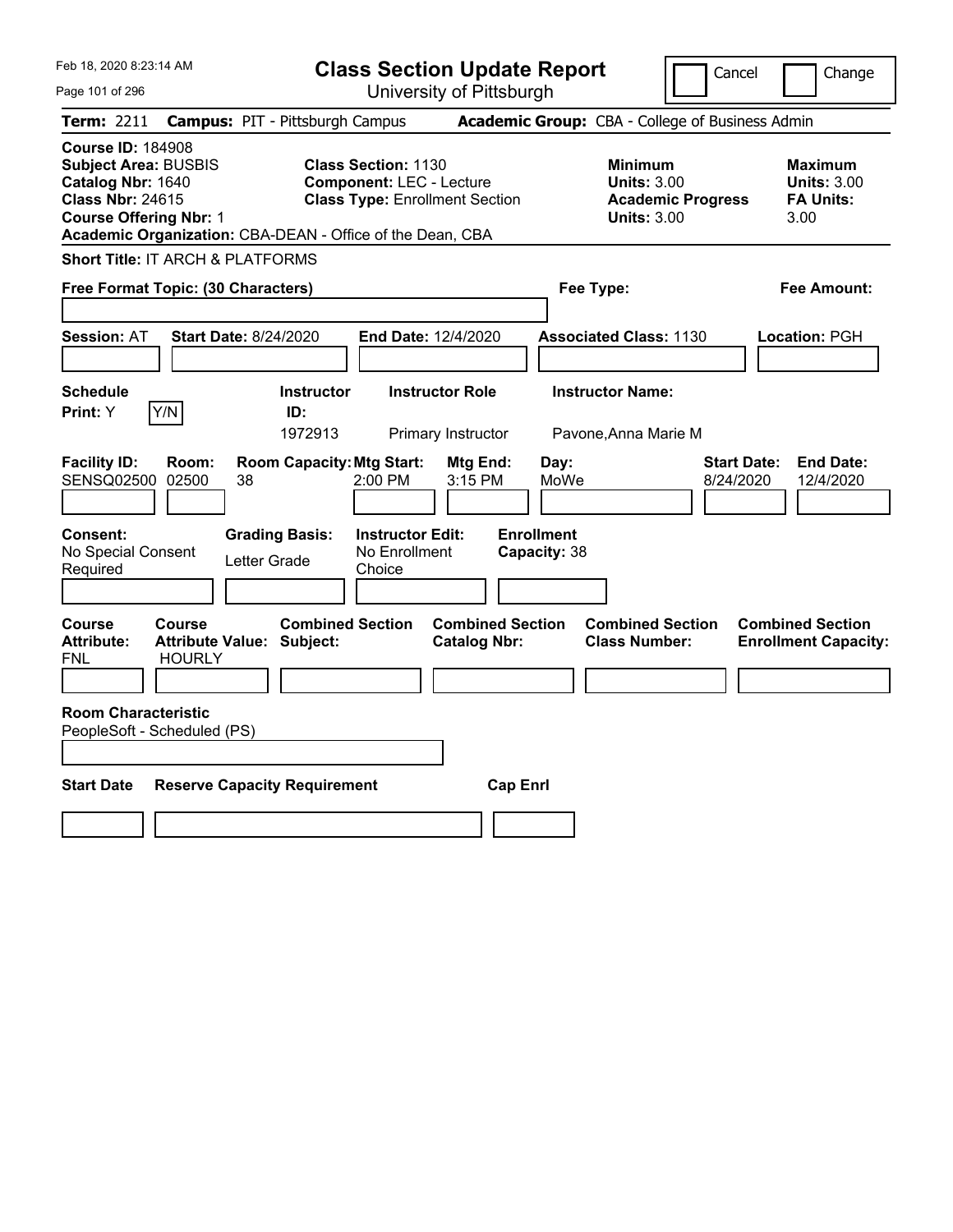| Feb 18, 2020 8:23:14 AM                                                                                                                                                                               | <b>Class Section Update Report</b>                                                                     |                                                                                        | Cancel<br>Change                                                 |
|-------------------------------------------------------------------------------------------------------------------------------------------------------------------------------------------------------|--------------------------------------------------------------------------------------------------------|----------------------------------------------------------------------------------------|------------------------------------------------------------------|
| Page 101 of 296                                                                                                                                                                                       | University of Pittsburgh                                                                               |                                                                                        |                                                                  |
| Term: 2211                                                                                                                                                                                            | <b>Campus: PIT - Pittsburgh Campus</b>                                                                 | Academic Group: CBA - College of Business Admin                                        |                                                                  |
| <b>Course ID: 184908</b><br><b>Subject Area: BUSBIS</b><br>Catalog Nbr: 1640<br><b>Class Nbr: 24615</b><br><b>Course Offering Nbr: 1</b><br>Academic Organization: CBA-DEAN - Office of the Dean, CBA | <b>Class Section: 1130</b><br><b>Component: LEC - Lecture</b><br><b>Class Type: Enrollment Section</b> | <b>Minimum</b><br><b>Units: 3.00</b><br><b>Academic Progress</b><br><b>Units: 3.00</b> | <b>Maximum</b><br><b>Units: 3.00</b><br><b>FA Units:</b><br>3.00 |
| Short Title: IT ARCH & PLATFORMS                                                                                                                                                                      |                                                                                                        |                                                                                        |                                                                  |
| Free Format Topic: (30 Characters)                                                                                                                                                                    |                                                                                                        | Fee Type:                                                                              | Fee Amount:                                                      |
| <b>Session: AT</b><br><b>Start Date: 8/24/2020</b>                                                                                                                                                    | <b>End Date: 12/4/2020</b>                                                                             | <b>Associated Class: 1130</b>                                                          | Location: PGH                                                    |
| <b>Schedule</b><br>Y/N<br>Print: Y                                                                                                                                                                    | <b>Instructor</b><br><b>Instructor Role</b><br>ID:<br>1972913<br>Primary Instructor                    | <b>Instructor Name:</b><br>Pavone, Anna Marie M                                        |                                                                  |
| <b>Facility ID:</b><br>Room:<br>SENSQ02500 02500<br>38                                                                                                                                                | <b>Room Capacity: Mtg Start:</b><br>Mtg End:<br>2:00 PM<br>3:15 PM                                     | Day:<br>MoWe                                                                           | <b>Start Date:</b><br><b>End Date:</b><br>8/24/2020<br>12/4/2020 |
| Consent:<br>No Special Consent<br>Letter Grade<br>Required                                                                                                                                            | <b>Grading Basis:</b><br><b>Instructor Edit:</b><br>No Enrollment<br>Choice                            | <b>Enrollment</b><br>Capacity: 38                                                      |                                                                  |
| Course<br><b>Course</b><br><b>Attribute:</b><br><b>Attribute Value: Subject:</b><br><b>FNL</b><br><b>HOURLY</b>                                                                                       | <b>Combined Section</b><br><b>Combined Section</b><br><b>Catalog Nbr:</b>                              | <b>Combined Section</b><br><b>Class Number:</b>                                        | <b>Combined Section</b><br><b>Enrollment Capacity:</b>           |
|                                                                                                                                                                                                       |                                                                                                        |                                                                                        |                                                                  |
| <b>Room Characteristic</b><br>PeopleSoft - Scheduled (PS)                                                                                                                                             |                                                                                                        |                                                                                        |                                                                  |
|                                                                                                                                                                                                       |                                                                                                        |                                                                                        |                                                                  |
| <b>Start Date</b><br><b>Reserve Capacity Requirement</b>                                                                                                                                              | <b>Cap Enrl</b>                                                                                        |                                                                                        |                                                                  |
|                                                                                                                                                                                                       |                                                                                                        |                                                                                        |                                                                  |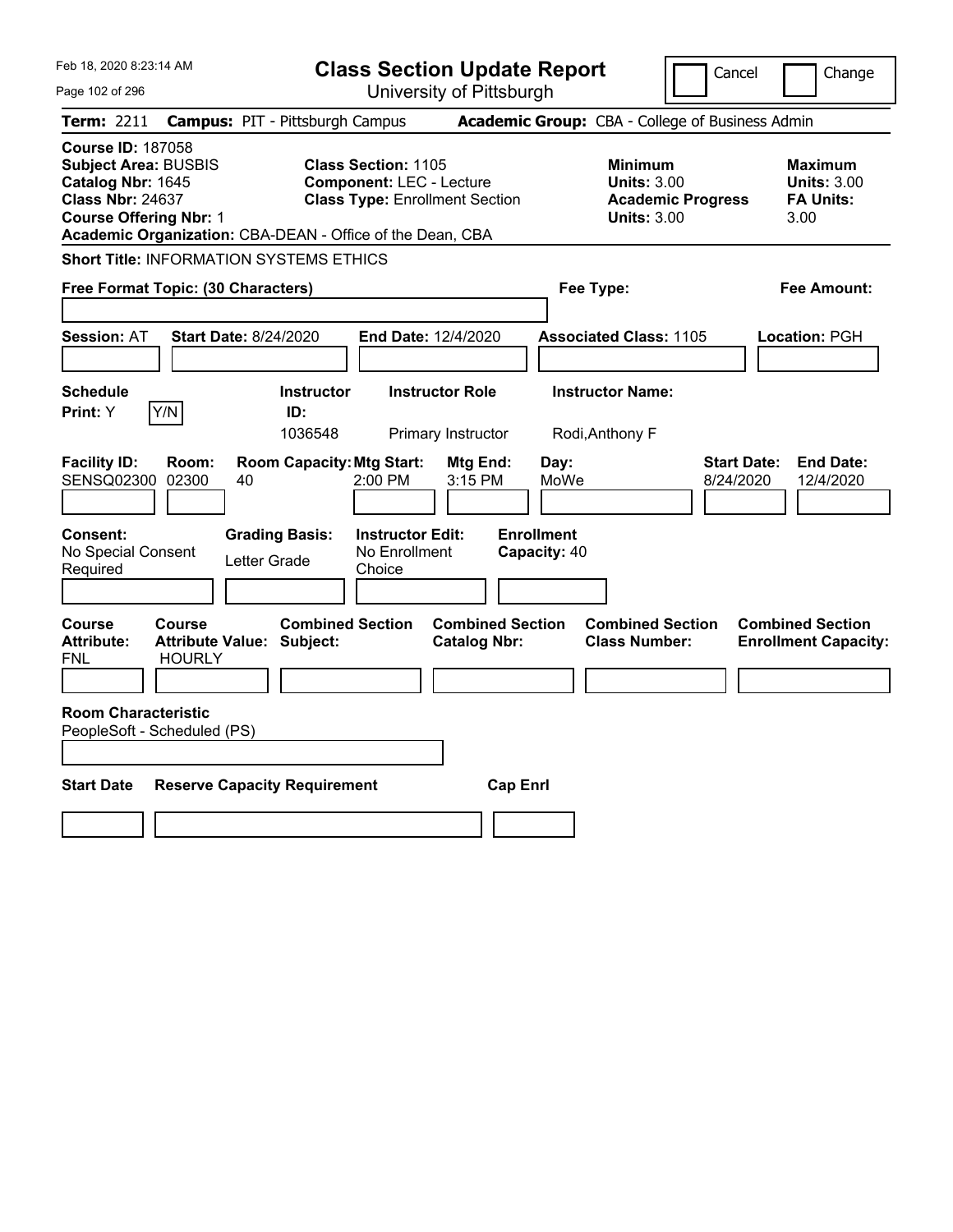| Feb 18, 2020 8:23:14 AM                                                                                                                                                                               |                                                                                                 | <b>Class Section Update Report</b>             |                                                                                        | Cancel<br>Change                                                 |
|-------------------------------------------------------------------------------------------------------------------------------------------------------------------------------------------------------|-------------------------------------------------------------------------------------------------|------------------------------------------------|----------------------------------------------------------------------------------------|------------------------------------------------------------------|
| Page 102 of 296                                                                                                                                                                                       |                                                                                                 | University of Pittsburgh                       |                                                                                        |                                                                  |
| <b>Term: 2211</b>                                                                                                                                                                                     | <b>Campus: PIT - Pittsburgh Campus</b>                                                          |                                                | Academic Group: CBA - College of Business Admin                                        |                                                                  |
| <b>Course ID: 187058</b><br><b>Subject Area: BUSBIS</b><br>Catalog Nbr: 1645<br><b>Class Nbr: 24637</b><br><b>Course Offering Nbr: 1</b><br>Academic Organization: CBA-DEAN - Office of the Dean, CBA | Class Section: 1105<br><b>Component: LEC - Lecture</b><br><b>Class Type: Enrollment Section</b> |                                                | <b>Minimum</b><br><b>Units: 3.00</b><br><b>Academic Progress</b><br><b>Units: 3.00</b> | <b>Maximum</b><br><b>Units: 3.00</b><br><b>FA Units:</b><br>3.00 |
| <b>Short Title: INFORMATION SYSTEMS ETHICS</b>                                                                                                                                                        |                                                                                                 |                                                |                                                                                        |                                                                  |
| Free Format Topic: (30 Characters)                                                                                                                                                                    |                                                                                                 |                                                | Fee Type:                                                                              | Fee Amount:                                                      |
| <b>Session: AT</b><br><b>Start Date: 8/24/2020</b>                                                                                                                                                    | End Date: 12/4/2020                                                                             |                                                | <b>Associated Class: 1105</b>                                                          | Location: PGH                                                    |
| <b>Schedule</b><br>Y/N<br>Print: Y                                                                                                                                                                    | <b>Instructor</b><br>ID:<br>1036548                                                             | <b>Instructor Role</b><br>Primary Instructor   | <b>Instructor Name:</b><br>Rodi, Anthony F                                             |                                                                  |
| <b>Facility ID:</b><br>Room:<br>SENSQ02300 02300<br>40                                                                                                                                                | <b>Room Capacity: Mtg Start:</b><br>2:00 PM                                                     | Mtg End:<br>Day:<br>3:15 PM<br>MoWe            |                                                                                        | <b>Start Date:</b><br><b>End Date:</b><br>8/24/2020<br>12/4/2020 |
| Consent:<br>No Special Consent<br>Required                                                                                                                                                            | <b>Grading Basis:</b><br><b>Instructor Edit:</b><br>No Enrollment<br>Letter Grade<br>Choice     | <b>Enrollment</b><br>Capacity: 40              |                                                                                        |                                                                  |
| <b>Course</b><br><b>Course</b><br><b>Attribute Value: Subject:</b><br><b>Attribute:</b><br><b>FNL</b><br><b>HOURLY</b>                                                                                | <b>Combined Section</b>                                                                         | <b>Combined Section</b><br><b>Catalog Nbr:</b> | <b>Combined Section</b><br><b>Class Number:</b>                                        | <b>Combined Section</b><br><b>Enrollment Capacity:</b>           |
| <b>Room Characteristic</b><br>PeopleSoft - Scheduled (PS)                                                                                                                                             |                                                                                                 |                                                |                                                                                        |                                                                  |
| <b>Start Date</b>                                                                                                                                                                                     | <b>Reserve Capacity Requirement</b>                                                             | <b>Cap Enrl</b>                                |                                                                                        |                                                                  |
|                                                                                                                                                                                                       |                                                                                                 |                                                |                                                                                        |                                                                  |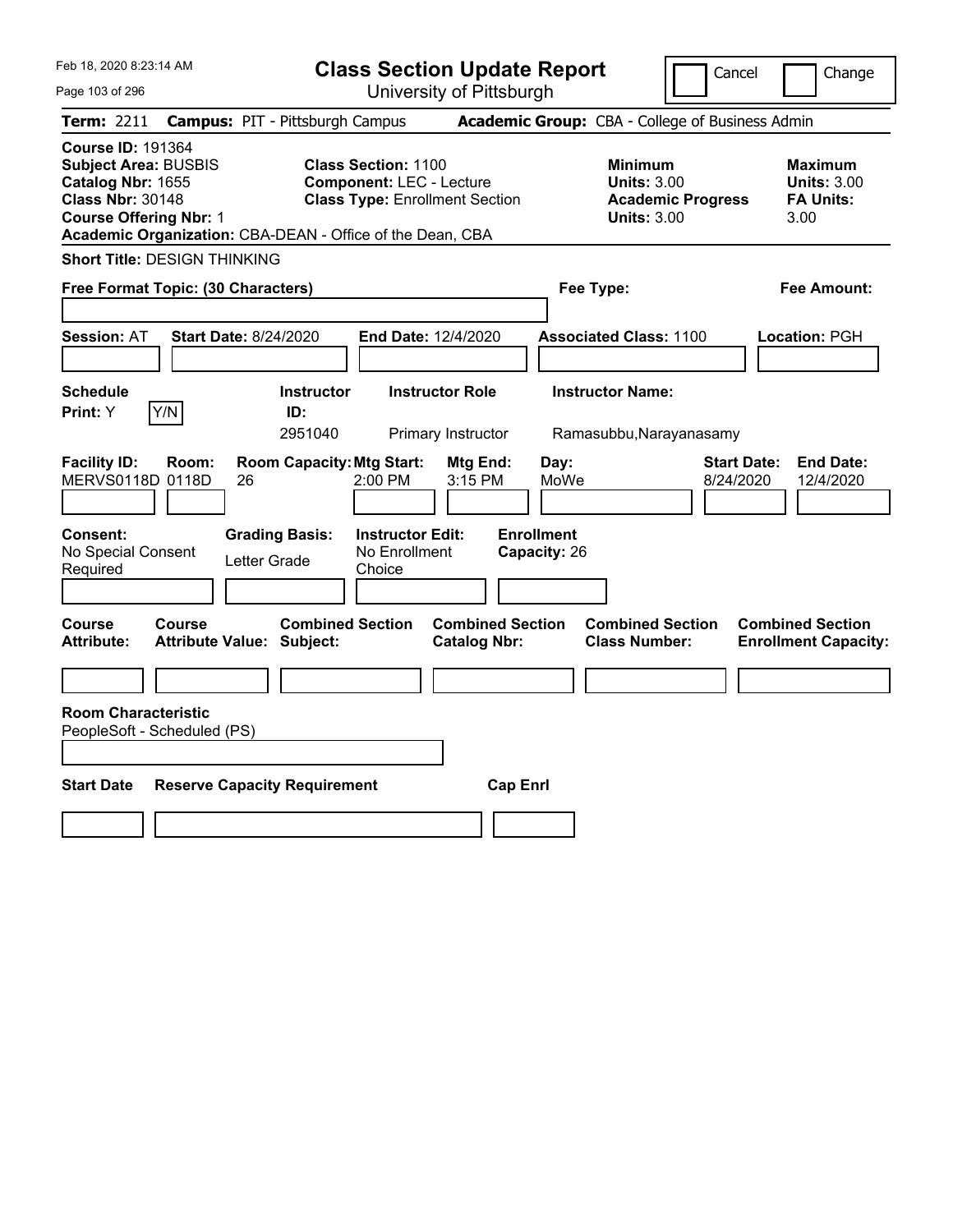Feb 18, 2020 8:23:14 AM Page 103 of 296 **Class Section Update Report** University of Pittsburgh Cancel Change **Term:** 2211 **Campus:** PIT - Pittsburgh Campus **Academic Group:** CBA - College of Business Admin **Course ID:** 191364 **Subject Area: BUSBIS Class Section: 1100 Minimum 100 Maximum Maximum Catalog Nbr:** 1655 **Component:** LEC - Lecture **Units:** 3.00 **Units:** 3.00 **Class Nbr:** 30148 **Class Type:** Enrollment Section **Academic Progress FA Units: Course Offering Nbr:** 1 **Units:** 3.00 3.00 **Academic Organization:** CBA-DEAN - Office of the Dean, CBA **Short Title:** DESIGN THINKING **Free Format Topic: (30 Characters) Fee Type: Fee Amount: Session:** AT **Start Date:** 8/24/2020 **End Date:** 12/4/2020 **Associated Class:** 1100 **Location:** PGH **Schedule Instructor Instructor Role Instructor Name: Print:**  $Y$   $|Y/N|$  **ID:** 2951040 Primary Instructor Ramasubbu,Narayanasamy **Facility ID: Room: Room Capacity:Mtg Start: Mtg End: Day: Start Date: End Date:** MERVS0118D 0118D 26 2:00 PM 3:15 PM MoWe 8/24/2020 12/4/2020 **Consent: Grading Basis: Instructor Edit: Enrollment** No Special Consent Required Letter Grade No Enrollment Choice **Capacity:** 26 **Course Course Combined Section Combined Section Combined Section Combined Section Attribute: Attribute Value: Subject: Catalog Nbr: Class Number: Enrollment Capacity: Room Characteristic** PeopleSoft - Scheduled (PS) **Start Date Reserve Capacity Requirement Cap Enrl**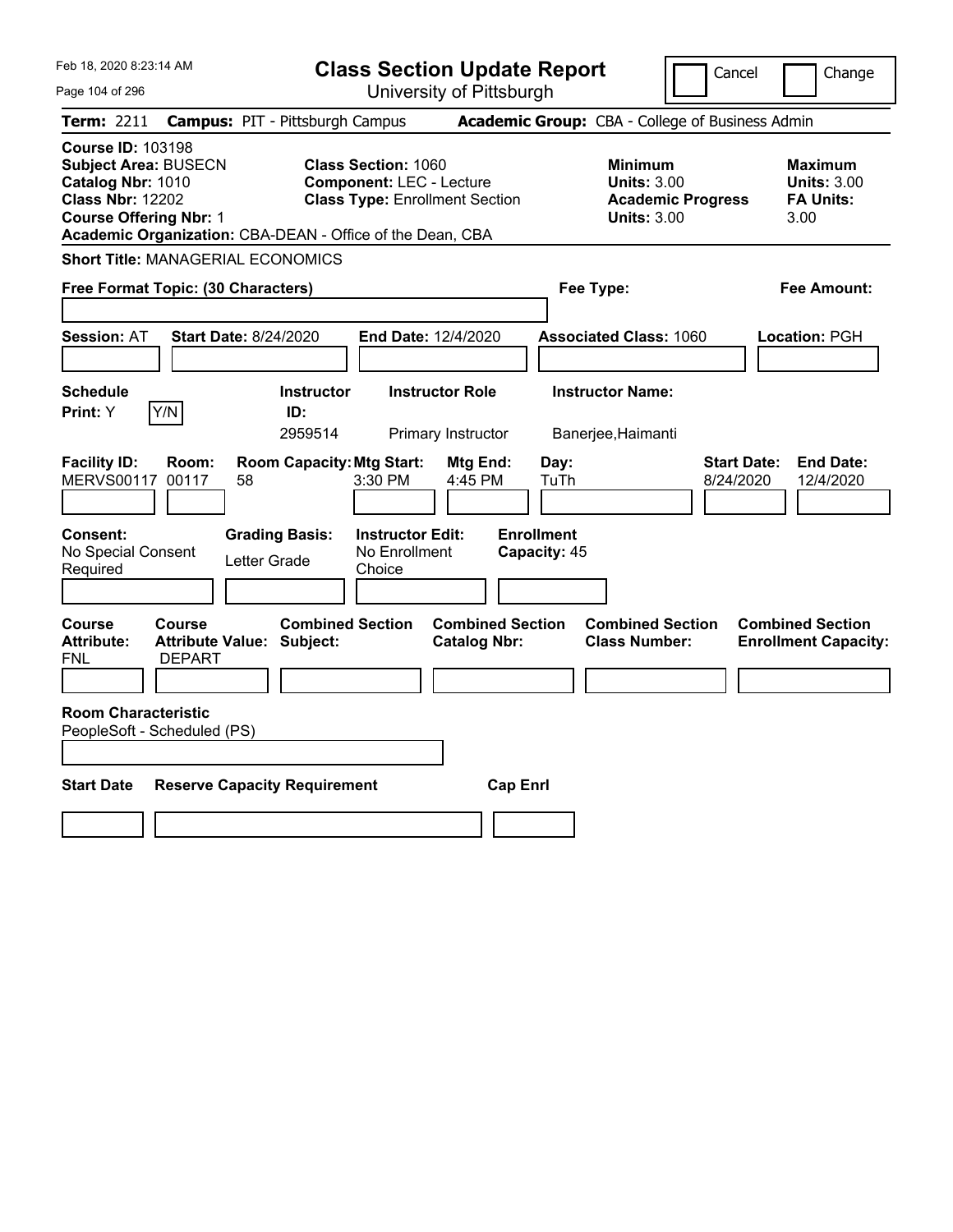| Feb 18, 2020 8:23:14 AM                                                                                                                                                                               | <b>Class Section Update Report</b>                                                                     |                                                | Cancel                                                                                 | Change                                                           |
|-------------------------------------------------------------------------------------------------------------------------------------------------------------------------------------------------------|--------------------------------------------------------------------------------------------------------|------------------------------------------------|----------------------------------------------------------------------------------------|------------------------------------------------------------------|
| Page 104 of 296                                                                                                                                                                                       | University of Pittsburgh                                                                               |                                                |                                                                                        |                                                                  |
| Term: 2211                                                                                                                                                                                            | <b>Campus: PIT - Pittsburgh Campus</b>                                                                 |                                                | Academic Group: CBA - College of Business Admin                                        |                                                                  |
| <b>Course ID: 103198</b><br><b>Subject Area: BUSECN</b><br>Catalog Nbr: 1010<br><b>Class Nbr: 12202</b><br><b>Course Offering Nbr: 1</b><br>Academic Organization: CBA-DEAN - Office of the Dean, CBA | <b>Class Section: 1060</b><br><b>Component: LEC - Lecture</b><br><b>Class Type: Enrollment Section</b> |                                                | <b>Minimum</b><br><b>Units: 3.00</b><br><b>Academic Progress</b><br><b>Units: 3.00</b> | <b>Maximum</b><br><b>Units: 3.00</b><br><b>FA Units:</b><br>3.00 |
| <b>Short Title: MANAGERIAL ECONOMICS</b>                                                                                                                                                              |                                                                                                        |                                                |                                                                                        |                                                                  |
| Free Format Topic: (30 Characters)                                                                                                                                                                    |                                                                                                        | Fee Type:                                      |                                                                                        | Fee Amount:                                                      |
| <b>Session: AT</b><br><b>Start Date: 8/24/2020</b>                                                                                                                                                    | End Date: 12/4/2020                                                                                    |                                                | <b>Associated Class: 1060</b>                                                          | Location: PGH                                                    |
| <b>Schedule</b><br>Y/N<br>Print: Y                                                                                                                                                                    | <b>Instructor Role</b><br><b>Instructor</b><br>ID:<br>2959514<br>Primary Instructor                    |                                                | <b>Instructor Name:</b><br>Banerjee, Haimanti                                          |                                                                  |
| <b>Facility ID:</b><br>Room:<br>MERVS00117 00117<br>58                                                                                                                                                | <b>Room Capacity: Mtg Start:</b><br>3:30 PM                                                            | Day:<br>Mtg End:<br>4:45 PM<br>TuTh            | <b>Start Date:</b><br>8/24/2020                                                        | <b>End Date:</b><br>12/4/2020                                    |
| Consent:<br>No Special Consent<br>Letter Grade<br>Required                                                                                                                                            | <b>Grading Basis:</b><br><b>Instructor Edit:</b><br>No Enrollment<br>Choice                            | <b>Enrollment</b><br>Capacity: 45              |                                                                                        |                                                                  |
| Course<br>Course<br><b>Attribute:</b><br><b>Attribute Value: Subject:</b><br>FNL<br><b>DEPART</b>                                                                                                     | <b>Combined Section</b>                                                                                | <b>Combined Section</b><br><b>Catalog Nbr:</b> | <b>Combined Section</b><br><b>Class Number:</b>                                        | <b>Combined Section</b><br><b>Enrollment Capacity:</b>           |
| <b>Room Characteristic</b><br>PeopleSoft - Scheduled (PS)                                                                                                                                             |                                                                                                        |                                                |                                                                                        |                                                                  |
| <b>Start Date</b><br><b>Reserve Capacity Requirement</b>                                                                                                                                              |                                                                                                        | <b>Cap Enrl</b>                                |                                                                                        |                                                                  |
|                                                                                                                                                                                                       |                                                                                                        |                                                |                                                                                        |                                                                  |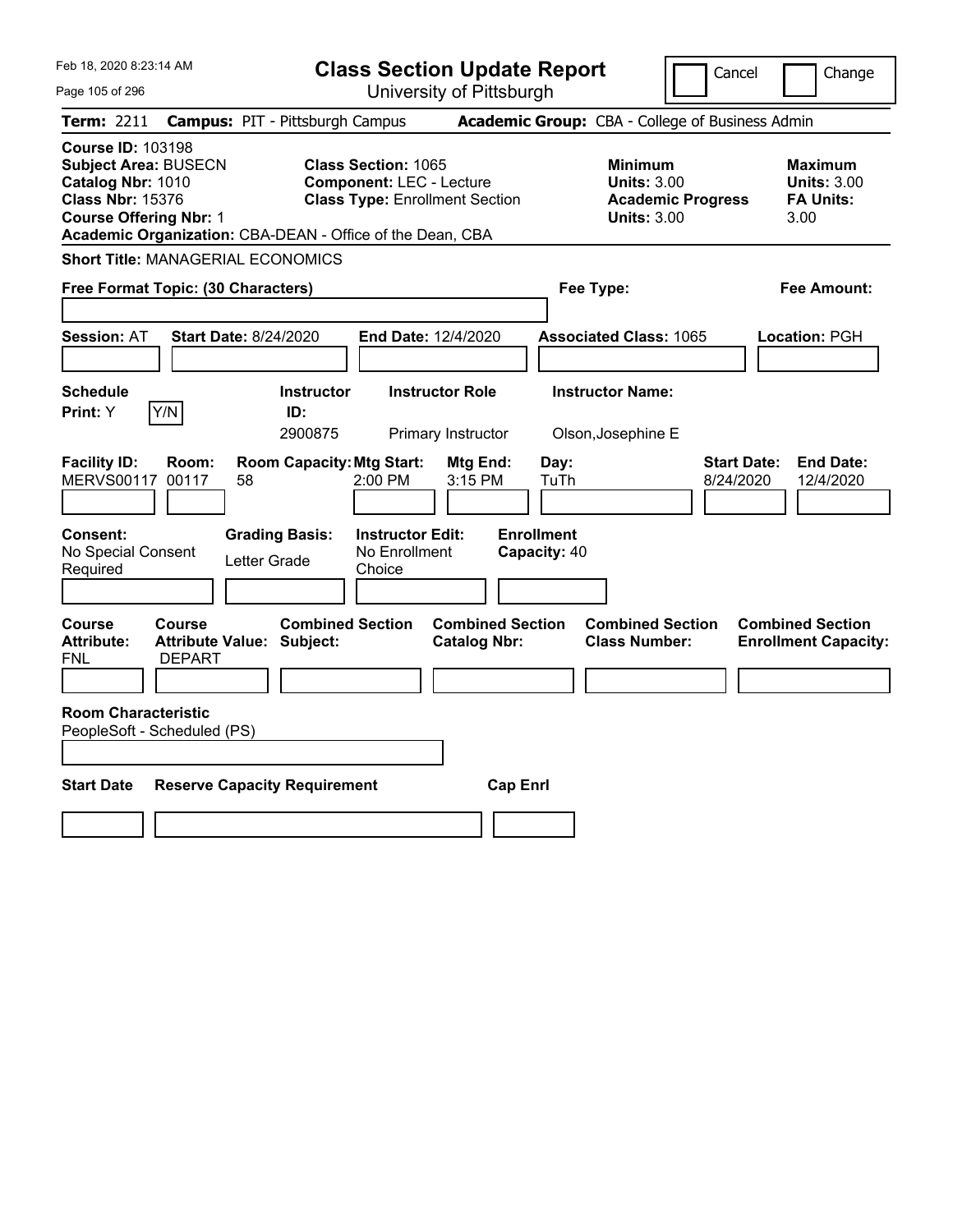| Feb 18, 2020 8:23:14 AM                                                                                                                                                                               | <b>Class Section Update Report</b>                                                                     |                                                                                                   | Cancel<br>Change                                                                             |
|-------------------------------------------------------------------------------------------------------------------------------------------------------------------------------------------------------|--------------------------------------------------------------------------------------------------------|---------------------------------------------------------------------------------------------------|----------------------------------------------------------------------------------------------|
| Page 105 of 296                                                                                                                                                                                       | University of Pittsburgh                                                                               |                                                                                                   |                                                                                              |
| Term: 2211                                                                                                                                                                                            | <b>Campus: PIT - Pittsburgh Campus</b>                                                                 | Academic Group: CBA - College of Business Admin                                                   |                                                                                              |
| <b>Course ID: 103198</b><br><b>Subject Area: BUSECN</b><br>Catalog Nbr: 1010<br><b>Class Nbr: 15376</b><br><b>Course Offering Nbr: 1</b><br>Academic Organization: CBA-DEAN - Office of the Dean, CBA | <b>Class Section: 1065</b><br><b>Component: LEC - Lecture</b><br><b>Class Type: Enrollment Section</b> | <b>Minimum</b><br><b>Units: 3.00</b><br><b>Units: 3.00</b>                                        | <b>Maximum</b><br><b>Units: 3.00</b><br><b>FA Units:</b><br><b>Academic Progress</b><br>3.00 |
| <b>Short Title: MANAGERIAL ECONOMICS</b>                                                                                                                                                              |                                                                                                        |                                                                                                   |                                                                                              |
| Free Format Topic: (30 Characters)                                                                                                                                                                    |                                                                                                        | Fee Type:                                                                                         | Fee Amount:                                                                                  |
| <b>Session: AT</b><br><b>Start Date: 8/24/2020</b>                                                                                                                                                    | End Date: 12/4/2020                                                                                    | <b>Associated Class: 1065</b>                                                                     | Location: PGH                                                                                |
| <b>Schedule</b><br>Y/N<br>Print: Y                                                                                                                                                                    | <b>Instructor Role</b><br><b>Instructor</b><br>ID:<br>2900875<br>Primary Instructor                    | <b>Instructor Name:</b><br>Olson, Josephine E                                                     |                                                                                              |
| <b>Facility ID:</b><br>Room:<br>MERVS00117 00117<br>58                                                                                                                                                | <b>Room Capacity: Mtg Start:</b><br>2:00 PM                                                            | Day:<br>Mtg End:<br>3:15 PM<br>TuTh                                                               | <b>Start Date:</b><br><b>End Date:</b><br>8/24/2020<br>12/4/2020                             |
| Consent:<br>No Special Consent<br>Letter Grade<br>Required                                                                                                                                            | <b>Grading Basis:</b><br><b>Instructor Edit:</b><br>No Enrollment<br>Choice                            | <b>Enrollment</b><br>Capacity: 40                                                                 |                                                                                              |
| Course<br>Course<br><b>Attribute:</b><br><b>Attribute Value: Subject:</b><br>FNL<br><b>DEPART</b>                                                                                                     | <b>Combined Section</b>                                                                                | <b>Combined Section</b><br><b>Combined Section</b><br><b>Catalog Nbr:</b><br><b>Class Number:</b> | <b>Combined Section</b><br><b>Enrollment Capacity:</b>                                       |
| <b>Room Characteristic</b><br>PeopleSoft - Scheduled (PS)                                                                                                                                             |                                                                                                        |                                                                                                   |                                                                                              |
| <b>Start Date</b><br><b>Reserve Capacity Requirement</b>                                                                                                                                              |                                                                                                        | <b>Cap Enrl</b>                                                                                   |                                                                                              |
|                                                                                                                                                                                                       |                                                                                                        |                                                                                                   |                                                                                              |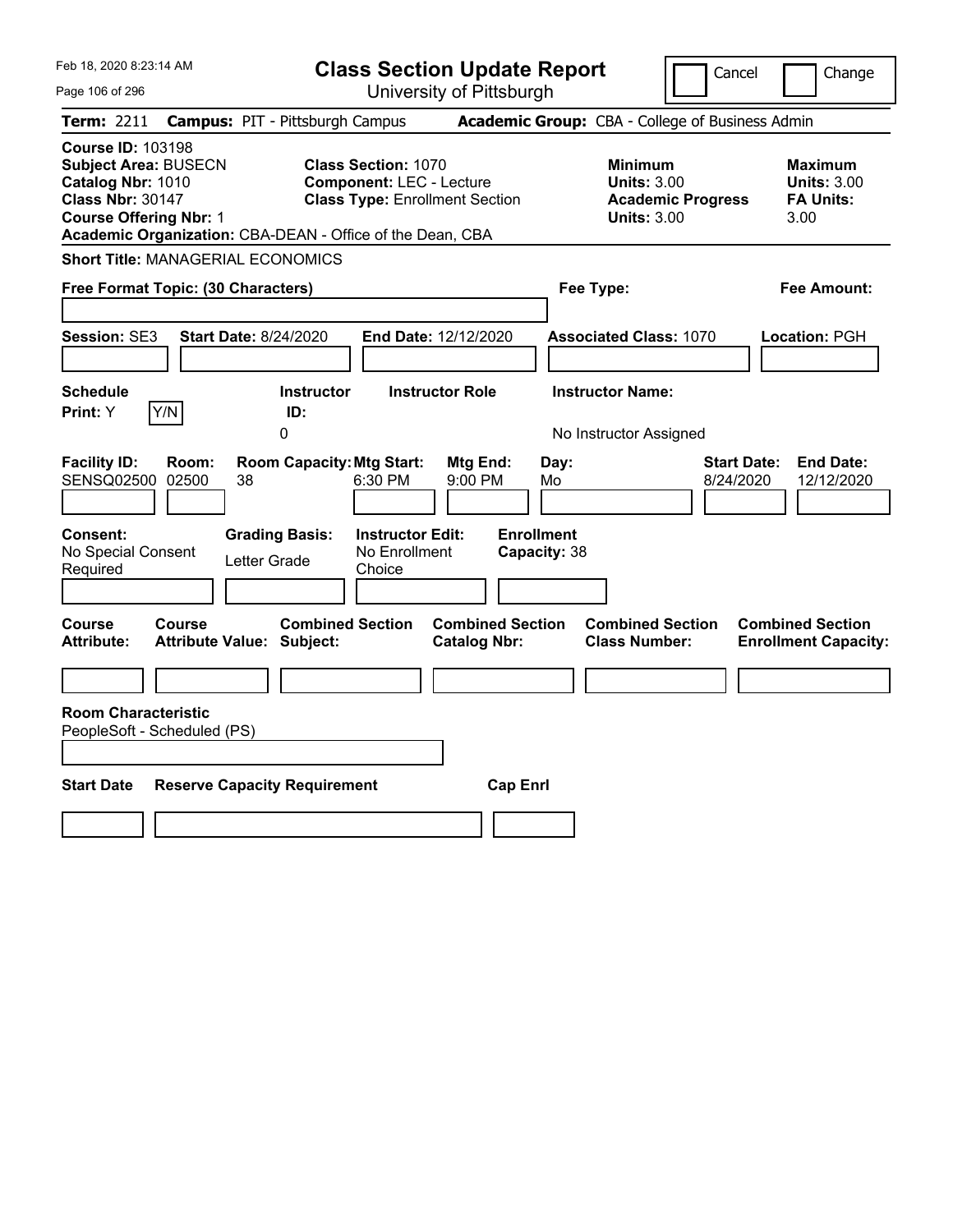| Feb 18, 2020 8:23:14 AM                                                                                                                                                                               |                                                                                                        | <b>Class Section Update Report</b>             |                                                                                        | Cancel<br>Change                                                  |
|-------------------------------------------------------------------------------------------------------------------------------------------------------------------------------------------------------|--------------------------------------------------------------------------------------------------------|------------------------------------------------|----------------------------------------------------------------------------------------|-------------------------------------------------------------------|
| Page 106 of 296                                                                                                                                                                                       |                                                                                                        | University of Pittsburgh                       |                                                                                        |                                                                   |
| <b>Term: 2211</b>                                                                                                                                                                                     | <b>Campus: PIT - Pittsburgh Campus</b>                                                                 |                                                | Academic Group: CBA - College of Business Admin                                        |                                                                   |
| <b>Course ID: 103198</b><br><b>Subject Area: BUSECN</b><br>Catalog Nbr: 1010<br><b>Class Nbr: 30147</b><br><b>Course Offering Nbr: 1</b><br>Academic Organization: CBA-DEAN - Office of the Dean, CBA | <b>Class Section: 1070</b><br><b>Component: LEC - Lecture</b><br><b>Class Type: Enrollment Section</b> |                                                | <b>Minimum</b><br><b>Units: 3.00</b><br><b>Academic Progress</b><br><b>Units: 3.00</b> | <b>Maximum</b><br><b>Units: 3.00</b><br><b>FA Units:</b><br>3.00  |
| <b>Short Title: MANAGERIAL ECONOMICS</b>                                                                                                                                                              |                                                                                                        |                                                |                                                                                        |                                                                   |
| Free Format Topic: (30 Characters)                                                                                                                                                                    |                                                                                                        |                                                | Fee Type:                                                                              | Fee Amount:                                                       |
| Session: SE3<br><b>Start Date: 8/24/2020</b>                                                                                                                                                          |                                                                                                        | End Date: 12/12/2020                           | <b>Associated Class: 1070</b>                                                          | Location: PGH                                                     |
| <b>Schedule</b><br>Y/N<br>Print: Y                                                                                                                                                                    | <b>Instructor</b><br>ID:<br>0                                                                          | <b>Instructor Role</b>                         | <b>Instructor Name:</b><br>No Instructor Assigned                                      |                                                                   |
| <b>Facility ID:</b><br>Room:<br>SENSQ02500 02500<br>38                                                                                                                                                | <b>Room Capacity: Mtg Start:</b><br>6:30 PM                                                            | Mtg End:<br>Day:<br>9:00 PM<br>Mo              |                                                                                        | <b>Start Date:</b><br><b>End Date:</b><br>8/24/2020<br>12/12/2020 |
| Consent:<br>No Special Consent<br>Letter Grade<br>Required                                                                                                                                            | <b>Grading Basis:</b><br><b>Instructor Edit:</b><br>No Enrollment<br>Choice                            | <b>Enrollment</b><br>Capacity: 38              |                                                                                        |                                                                   |
| <b>Course</b><br>Course<br><b>Attribute:</b><br><b>Attribute Value: Subject:</b>                                                                                                                      | <b>Combined Section</b>                                                                                | <b>Combined Section</b><br><b>Catalog Nbr:</b> | <b>Combined Section</b><br><b>Class Number:</b>                                        | <b>Combined Section</b><br><b>Enrollment Capacity:</b>            |
| <b>Room Characteristic</b><br>PeopleSoft - Scheduled (PS)                                                                                                                                             |                                                                                                        |                                                |                                                                                        |                                                                   |
| <b>Start Date</b><br><b>Reserve Capacity Requirement</b>                                                                                                                                              |                                                                                                        | <b>Cap Enrl</b>                                |                                                                                        |                                                                   |
|                                                                                                                                                                                                       |                                                                                                        |                                                |                                                                                        |                                                                   |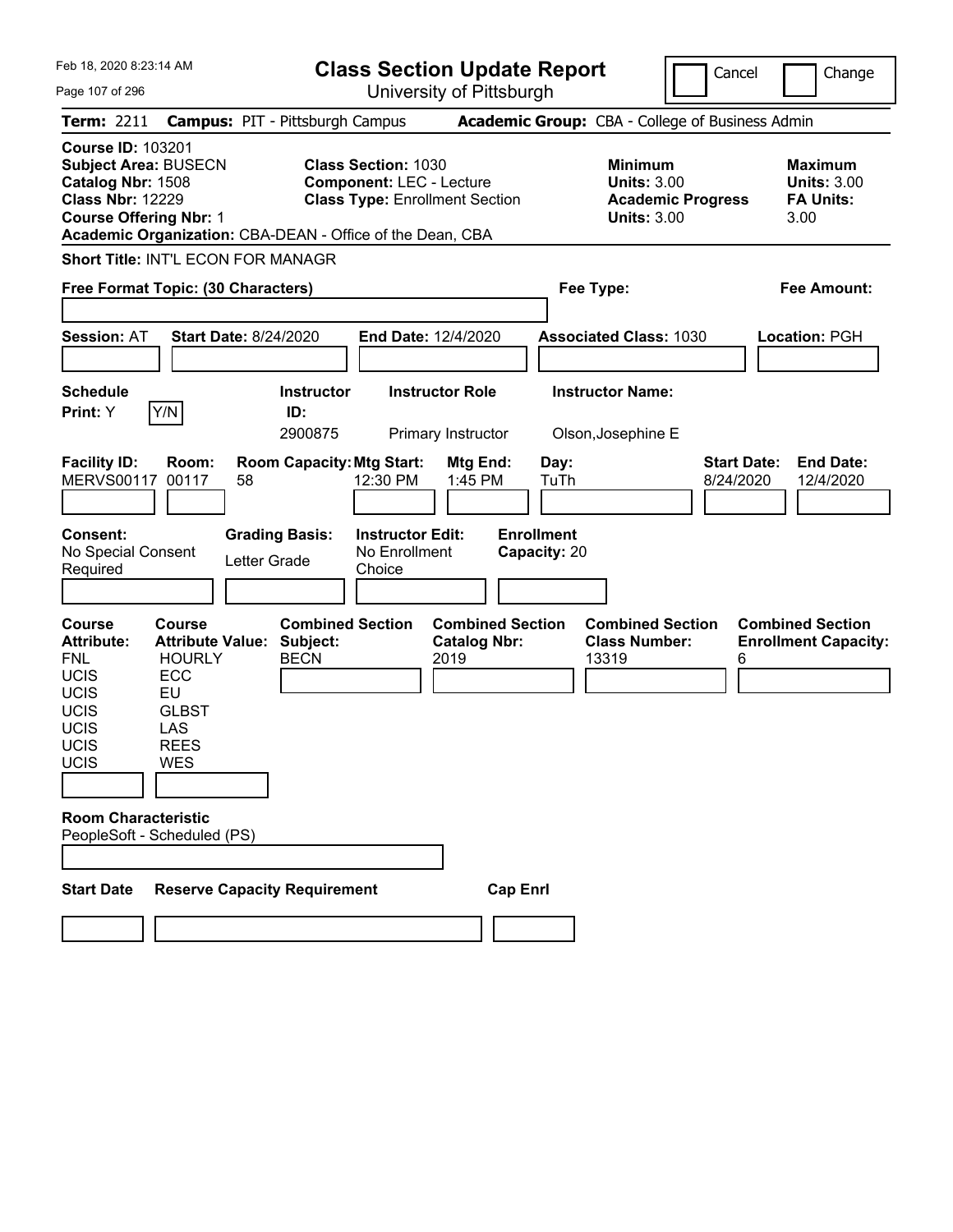| Feb 18, 2020 8:23:14 AM<br>Page 107 of 296                                                              |                                                                                                                           |              |                                                    | <b>Class Section Update Report</b>                                                                     | University of Pittsburgh                               |                 |                                   |                                                                                        | Cancel                          | Change                                                           |
|---------------------------------------------------------------------------------------------------------|---------------------------------------------------------------------------------------------------------------------------|--------------|----------------------------------------------------|--------------------------------------------------------------------------------------------------------|--------------------------------------------------------|-----------------|-----------------------------------|----------------------------------------------------------------------------------------|---------------------------------|------------------------------------------------------------------|
| <b>Term: 2211</b>                                                                                       |                                                                                                                           |              | <b>Campus: PIT - Pittsburgh Campus</b>             |                                                                                                        |                                                        |                 |                                   | Academic Group: CBA - College of Business Admin                                        |                                 |                                                                  |
| <b>Course ID: 103201</b><br>Catalog Nbr: 1508<br><b>Class Nbr: 12229</b>                                | <b>Subject Area: BUSECN</b><br><b>Course Offering Nbr: 1</b><br>Academic Organization: CBA-DEAN - Office of the Dean, CBA |              |                                                    | <b>Class Section: 1030</b><br><b>Component: LEC - Lecture</b><br><b>Class Type: Enrollment Section</b> |                                                        |                 |                                   | <b>Minimum</b><br><b>Units: 3.00</b><br><b>Academic Progress</b><br><b>Units: 3.00</b> |                                 | <b>Maximum</b><br><b>Units: 3.00</b><br><b>FA Units:</b><br>3.00 |
|                                                                                                         | <b>Short Title: INT'L ECON FOR MANAGR</b><br>Free Format Topic: (30 Characters)                                           |              |                                                    |                                                                                                        |                                                        |                 |                                   | Fee Type:                                                                              |                                 | <b>Fee Amount:</b>                                               |
| <b>Session: AT</b>                                                                                      | <b>Start Date: 8/24/2020</b>                                                                                              |              |                                                    | <b>End Date: 12/4/2020</b>                                                                             |                                                        |                 |                                   | <b>Associated Class: 1030</b>                                                          |                                 | <b>Location: PGH</b>                                             |
| <b>Schedule</b><br>Print: Y                                                                             | Y/N                                                                                                                       |              | <b>Instructor</b><br>ID:<br>2900875                |                                                                                                        | <b>Instructor Role</b><br>Primary Instructor           |                 |                                   | <b>Instructor Name:</b><br>Olson, Josephine E                                          |                                 |                                                                  |
| <b>Facility ID:</b><br><b>MERVS00117</b>                                                                | Room:<br>00117                                                                                                            | 58           | <b>Room Capacity: Mtg Start:</b>                   | 12:30 PM                                                                                               | Mtg End:<br>1:45 PM                                    |                 | Day:<br>TuTh                      |                                                                                        | <b>Start Date:</b><br>8/24/2020 | <b>End Date:</b><br>12/4/2020                                    |
| <b>Consent:</b><br>No Special Consent<br>Required                                                       |                                                                                                                           | Letter Grade | <b>Grading Basis:</b>                              | <b>Instructor Edit:</b><br>No Enrollment<br>Choice                                                     |                                                        |                 | <b>Enrollment</b><br>Capacity: 20 |                                                                                        |                                 |                                                                  |
| <b>Course</b><br><b>Attribute:</b><br><b>FNL</b><br><b>UCIS</b><br>UCIS<br>UCIS<br>UCIS<br>UCIS<br>UCIS | Course<br><b>Attribute Value:</b><br><b>HOURLY</b><br>ECC<br>EU<br><b>GLBST</b><br>LAS<br><b>REES</b><br><b>WES</b>       |              | <b>Combined Section</b><br>Subject:<br><b>BECN</b> |                                                                                                        | <b>Combined Section</b><br><b>Catalog Nbr:</b><br>2019 |                 |                                   | <b>Combined Section</b><br><b>Class Number:</b><br>13319                               | 6                               | <b>Combined Section</b><br><b>Enrollment Capacity:</b>           |
|                                                                                                         | <b>Room Characteristic</b><br>PeopleSoft - Scheduled (PS)                                                                 |              |                                                    |                                                                                                        |                                                        |                 |                                   |                                                                                        |                                 |                                                                  |
| <b>Start Date</b>                                                                                       | <b>Reserve Capacity Requirement</b>                                                                                       |              |                                                    |                                                                                                        |                                                        | <b>Cap Enrl</b> |                                   |                                                                                        |                                 |                                                                  |
|                                                                                                         |                                                                                                                           |              |                                                    |                                                                                                        |                                                        |                 |                                   |                                                                                        |                                 |                                                                  |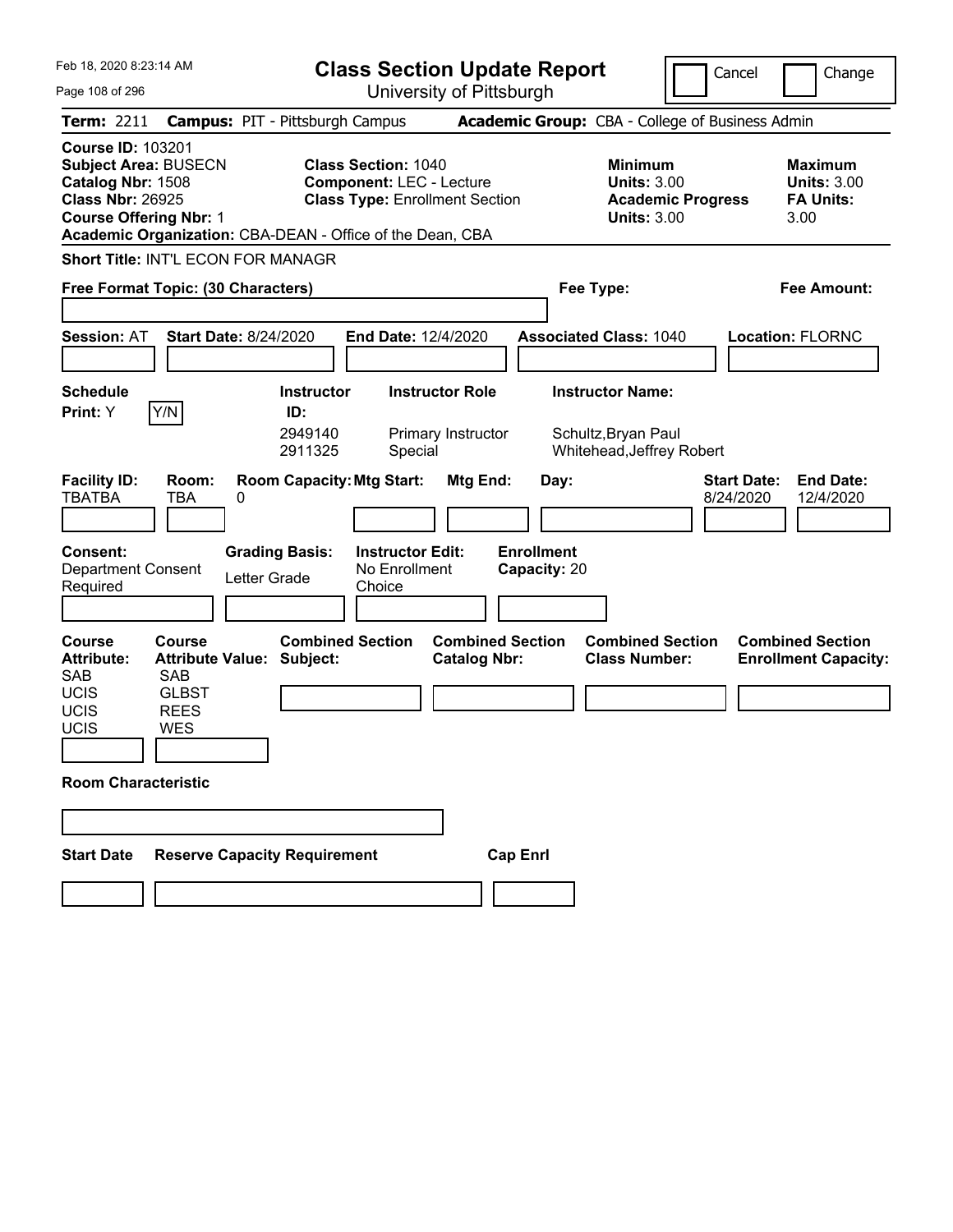| Feb 18, 2020 8:23:14 AM<br>Page 108 of 296                                                                                                           |                                                             | <b>Class Section Update Report</b><br>University of Pittsburgh                                         |                                                 |                                                                                        | Cancel<br>Change                                                 |
|------------------------------------------------------------------------------------------------------------------------------------------------------|-------------------------------------------------------------|--------------------------------------------------------------------------------------------------------|-------------------------------------------------|----------------------------------------------------------------------------------------|------------------------------------------------------------------|
| <b>Term: 2211</b>                                                                                                                                    | <b>Campus: PIT - Pittsburgh Campus</b>                      |                                                                                                        | Academic Group: CBA - College of Business Admin |                                                                                        |                                                                  |
| <b>Course ID: 103201</b><br><b>Subject Area: BUSECN</b><br>Catalog Nbr: 1508<br><b>Class Nbr: 26925</b><br><b>Course Offering Nbr: 1</b>             | Academic Organization: CBA-DEAN - Office of the Dean, CBA   | <b>Class Section: 1040</b><br><b>Component: LEC - Lecture</b><br><b>Class Type: Enrollment Section</b> |                                                 | <b>Minimum</b><br><b>Units: 3.00</b><br><b>Academic Progress</b><br><b>Units: 3.00</b> | <b>Maximum</b><br><b>Units: 3.00</b><br><b>FA Units:</b><br>3.00 |
|                                                                                                                                                      | Short Title: INT'L ECON FOR MANAGR                          |                                                                                                        |                                                 |                                                                                        |                                                                  |
|                                                                                                                                                      | Free Format Topic: (30 Characters)                          |                                                                                                        | Fee Type:                                       |                                                                                        | <b>Fee Amount:</b>                                               |
| <b>Session: AT</b>                                                                                                                                   | <b>Start Date: 8/24/2020</b>                                | <b>End Date: 12/4/2020</b>                                                                             | <b>Associated Class: 1040</b>                   |                                                                                        | <b>Location: FLORNC</b>                                          |
| <b>Schedule</b><br>Y/N<br>Print: Y                                                                                                                   | <b>Instructor</b><br>ID:<br>2949140<br>2911325              | <b>Instructor Role</b><br>Primary Instructor<br>Special                                                |                                                 | <b>Instructor Name:</b><br>Schultz, Bryan Paul<br>Whitehead, Jeffrey Robert            |                                                                  |
| <b>Facility ID:</b><br><b>TBATBA</b><br>TBA                                                                                                          | <b>Room Capacity: Mtg Start:</b><br>Room:<br>0              | Mtg End:                                                                                               | Day:                                            |                                                                                        | <b>Start Date:</b><br><b>End Date:</b><br>8/24/2020<br>12/4/2020 |
| <b>Consent:</b><br><b>Department Consent</b><br>Required                                                                                             | <b>Grading Basis:</b><br>Letter Grade                       | <b>Instructor Edit:</b><br>No Enrollment<br>Choice                                                     | <b>Enrollment</b><br>Capacity: 20               |                                                                                        |                                                                  |
| <b>Course</b><br>Course<br><b>Attribute:</b><br><b>SAB</b><br><b>SAB</b><br><b>UCIS</b><br><b>GLBST</b><br>UCIS<br><b>REES</b><br>UCIS<br><b>WES</b> | <b>Combined Section</b><br><b>Attribute Value: Subject:</b> | <b>Catalog Nbr:</b>                                                                                    | <b>Combined Section</b>                         | <b>Combined Section</b><br><b>Class Number:</b>                                        | <b>Combined Section</b><br><b>Enrollment Capacity:</b>           |
| <b>Room Characteristic</b>                                                                                                                           |                                                             |                                                                                                        |                                                 |                                                                                        |                                                                  |
|                                                                                                                                                      |                                                             |                                                                                                        |                                                 |                                                                                        |                                                                  |
| <b>Start Date</b>                                                                                                                                    | <b>Reserve Capacity Requirement</b>                         |                                                                                                        | <b>Cap Enrl</b>                                 |                                                                                        |                                                                  |
|                                                                                                                                                      |                                                             |                                                                                                        |                                                 |                                                                                        |                                                                  |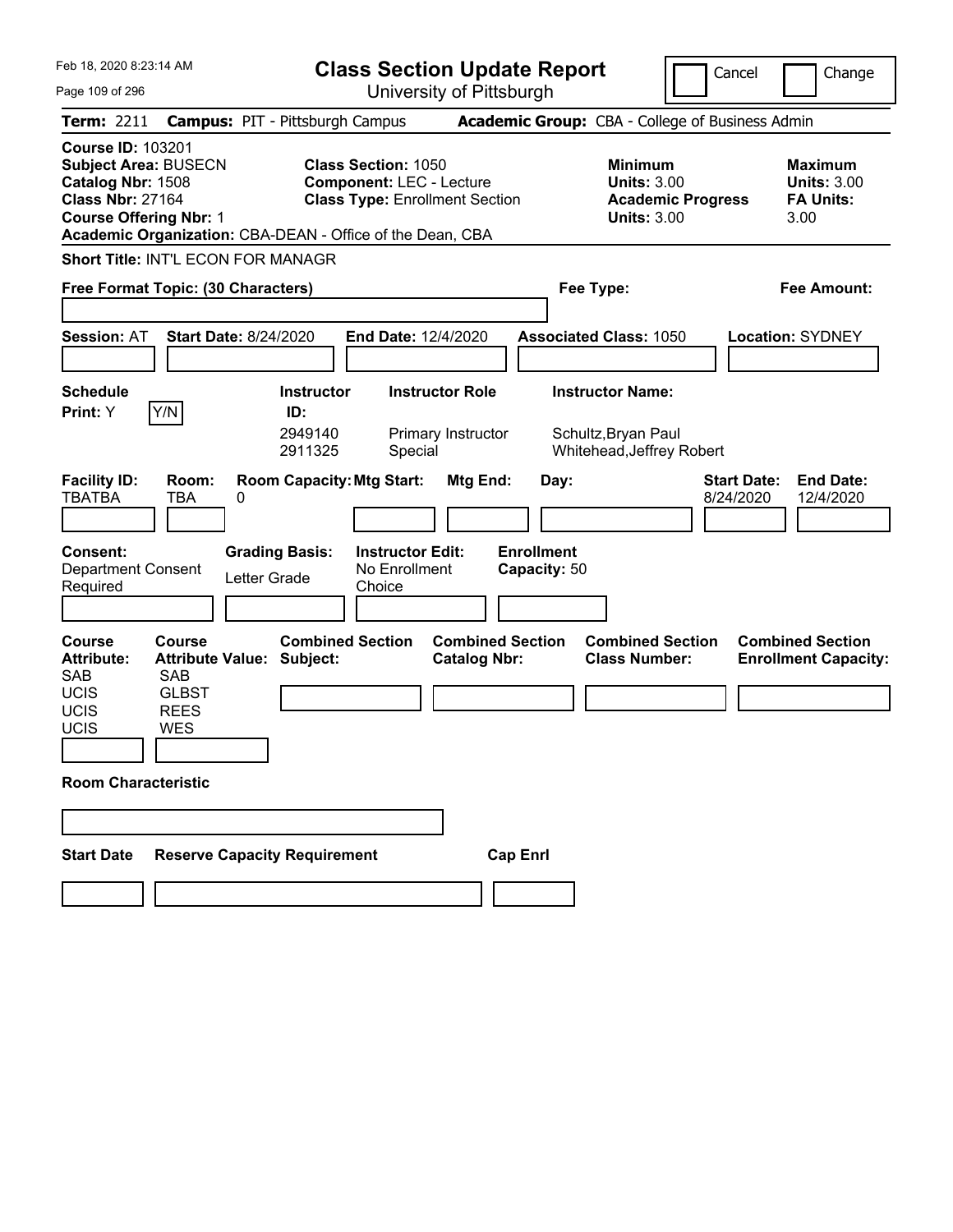| Feb 18, 2020 8:23:14 AM<br>Page 109 of 296                                                                                               |                                                                   |                                                             | <b>Class Section Update Report</b><br>University of Pittsburgh                                         |                                                |                                                                             |                                                                      | Cancel                          | Change                                                           |
|------------------------------------------------------------------------------------------------------------------------------------------|-------------------------------------------------------------------|-------------------------------------------------------------|--------------------------------------------------------------------------------------------------------|------------------------------------------------|-----------------------------------------------------------------------------|----------------------------------------------------------------------|---------------------------------|------------------------------------------------------------------|
| <b>Term: 2211</b>                                                                                                                        |                                                                   | <b>Campus: PIT - Pittsburgh Campus</b>                      |                                                                                                        |                                                | Academic Group: CBA - College of Business Admin                             |                                                                      |                                 |                                                                  |
| <b>Course ID: 103201</b><br><b>Subject Area: BUSECN</b><br>Catalog Nbr: 1508<br><b>Class Nbr: 27164</b><br><b>Course Offering Nbr: 1</b> |                                                                   | Academic Organization: CBA-DEAN - Office of the Dean, CBA   | <b>Class Section: 1050</b><br><b>Component: LEC - Lecture</b><br><b>Class Type: Enrollment Section</b> |                                                | <b>Minimum</b>                                                              | <b>Units: 3.00</b><br><b>Academic Progress</b><br><b>Units: 3.00</b> |                                 | <b>Maximum</b><br><b>Units: 3.00</b><br><b>FA Units:</b><br>3.00 |
|                                                                                                                                          |                                                                   | Short Title: INT'L ECON FOR MANAGR                          |                                                                                                        |                                                |                                                                             |                                                                      |                                 |                                                                  |
| Free Format Topic: (30 Characters)                                                                                                       |                                                                   |                                                             |                                                                                                        |                                                | Fee Type:                                                                   |                                                                      |                                 | <b>Fee Amount:</b>                                               |
| <b>Session: AT</b>                                                                                                                       |                                                                   | <b>Start Date: 8/24/2020</b>                                | <b>End Date: 12/4/2020</b>                                                                             |                                                | <b>Associated Class: 1050</b>                                               |                                                                      |                                 | <b>Location: SYDNEY</b>                                          |
| <b>Schedule</b><br>Print: Y                                                                                                              | Y/N                                                               | <b>Instructor</b><br>ID:<br>2949140<br>2911325              | <b>Instructor Role</b><br>Primary Instructor<br>Special                                                |                                                | <b>Instructor Name:</b><br>Schultz, Bryan Paul<br>Whitehead, Jeffrey Robert |                                                                      |                                 |                                                                  |
| <b>Facility ID:</b><br><b>TBATBA</b>                                                                                                     | Room:<br>TBA                                                      | <b>Room Capacity: Mtg Start:</b><br>0                       |                                                                                                        | Mtg End:                                       | Day:                                                                        |                                                                      | <b>Start Date:</b><br>8/24/2020 | <b>End Date:</b><br>12/4/2020                                    |
| Consent:<br><b>Department Consent</b><br>Required                                                                                        |                                                                   | <b>Grading Basis:</b><br>Letter Grade                       | <b>Instructor Edit:</b><br>No Enrollment<br>Choice                                                     |                                                | <b>Enrollment</b><br>Capacity: 50                                           |                                                                      |                                 |                                                                  |
| <b>Course</b><br><b>Attribute:</b><br><b>SAB</b><br><b>UCIS</b><br><b>UCIS</b><br>UCIS                                                   | Course<br><b>SAB</b><br><b>GLBST</b><br><b>REES</b><br><b>WES</b> | <b>Combined Section</b><br><b>Attribute Value: Subject:</b> |                                                                                                        | <b>Combined Section</b><br><b>Catalog Nbr:</b> | <b>Class Number:</b>                                                        | <b>Combined Section</b>                                              |                                 | <b>Combined Section</b><br><b>Enrollment Capacity:</b>           |
| <b>Room Characteristic</b>                                                                                                               |                                                                   |                                                             |                                                                                                        |                                                |                                                                             |                                                                      |                                 |                                                                  |
|                                                                                                                                          |                                                                   |                                                             |                                                                                                        |                                                |                                                                             |                                                                      |                                 |                                                                  |
| <b>Start Date</b>                                                                                                                        |                                                                   | <b>Reserve Capacity Requirement</b>                         |                                                                                                        | <b>Cap Enrl</b>                                |                                                                             |                                                                      |                                 |                                                                  |
|                                                                                                                                          |                                                                   |                                                             |                                                                                                        |                                                |                                                                             |                                                                      |                                 |                                                                  |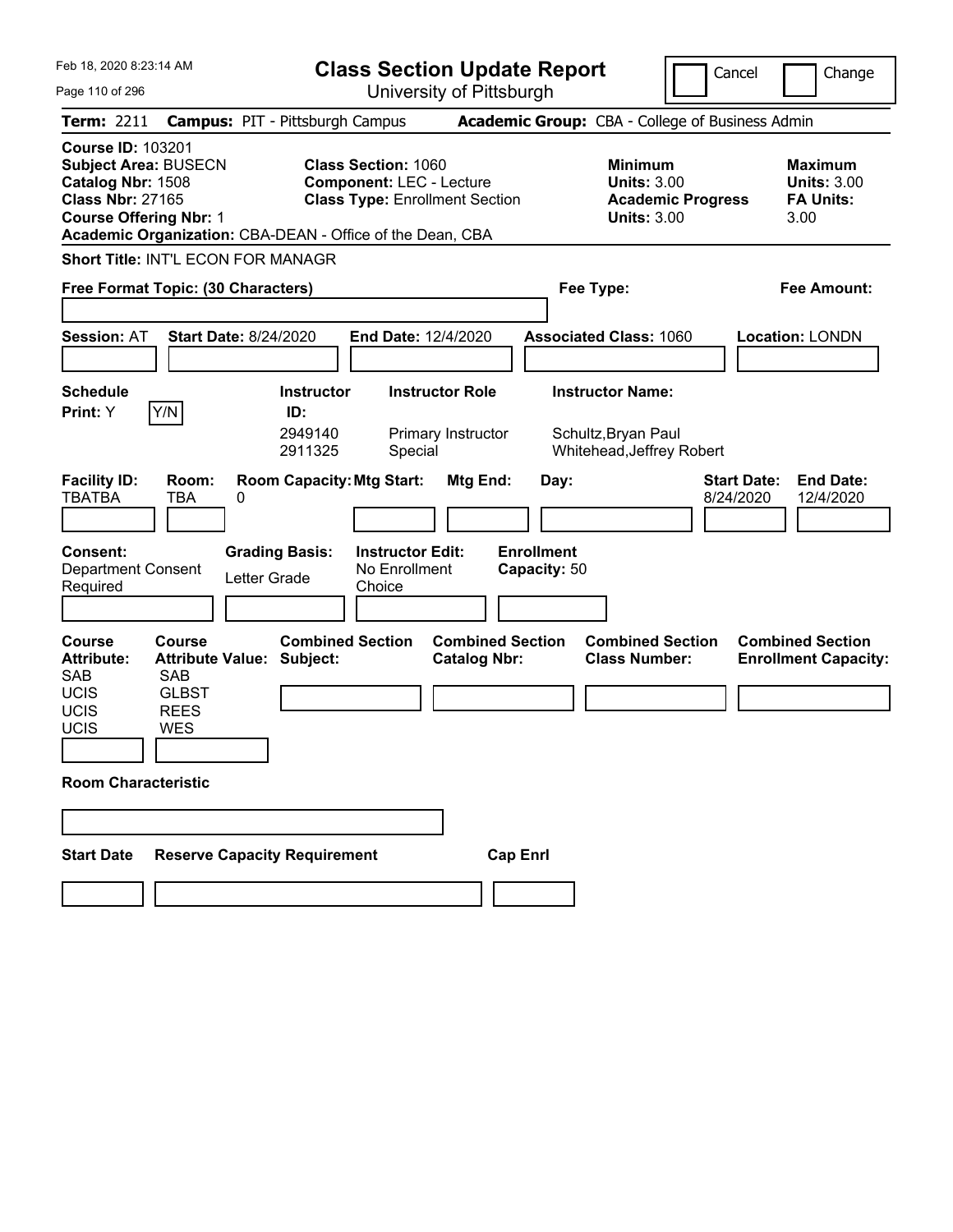| Feb 18, 2020 8:23:14 AM                                                                                                                  |                                                                   |                                                             | <b>Class Section Update Report</b>                                                                                                                                  |                                                |                                                                             |                          | Cancel                          | Change                                                           |
|------------------------------------------------------------------------------------------------------------------------------------------|-------------------------------------------------------------------|-------------------------------------------------------------|---------------------------------------------------------------------------------------------------------------------------------------------------------------------|------------------------------------------------|-----------------------------------------------------------------------------|--------------------------|---------------------------------|------------------------------------------------------------------|
| Page 110 of 296                                                                                                                          |                                                                   |                                                             | University of Pittsburgh                                                                                                                                            |                                                |                                                                             |                          |                                 |                                                                  |
| <b>Term: 2211</b>                                                                                                                        |                                                                   | <b>Campus: PIT - Pittsburgh Campus</b>                      |                                                                                                                                                                     |                                                | Academic Group: CBA - College of Business Admin                             |                          |                                 |                                                                  |
| <b>Course ID: 103201</b><br><b>Subject Area: BUSECN</b><br>Catalog Nbr: 1508<br><b>Class Nbr: 27165</b><br><b>Course Offering Nbr: 1</b> |                                                                   |                                                             | <b>Class Section: 1060</b><br><b>Component: LEC - Lecture</b><br><b>Class Type: Enrollment Section</b><br>Academic Organization: CBA-DEAN - Office of the Dean, CBA |                                                | <b>Minimum</b><br><b>Units: 3.00</b><br><b>Units: 3.00</b>                  | <b>Academic Progress</b> |                                 | <b>Maximum</b><br><b>Units: 3.00</b><br><b>FA Units:</b><br>3.00 |
|                                                                                                                                          |                                                                   | Short Title: INT'L ECON FOR MANAGR                          |                                                                                                                                                                     |                                                |                                                                             |                          |                                 |                                                                  |
| Free Format Topic: (30 Characters)                                                                                                       |                                                                   |                                                             |                                                                                                                                                                     |                                                | Fee Type:                                                                   |                          |                                 | <b>Fee Amount:</b>                                               |
| <b>Session: AT</b>                                                                                                                       |                                                                   | <b>Start Date: 8/24/2020</b>                                | <b>End Date: 12/4/2020</b>                                                                                                                                          |                                                | <b>Associated Class: 1060</b>                                               |                          |                                 | <b>Location: LONDN</b>                                           |
| <b>Schedule</b><br>Print: Y                                                                                                              | Y/N                                                               | <b>Instructor</b><br>ID:<br>2949140<br>2911325              | <b>Instructor Role</b><br>Primary Instructor<br>Special                                                                                                             |                                                | <b>Instructor Name:</b><br>Schultz, Bryan Paul<br>Whitehead, Jeffrey Robert |                          |                                 |                                                                  |
| <b>Facility ID:</b><br><b>TBATBA</b>                                                                                                     | Room:<br>TBA                                                      | <b>Room Capacity: Mtg Start:</b><br>0                       |                                                                                                                                                                     | Mtg End:<br>Day:                               |                                                                             |                          | <b>Start Date:</b><br>8/24/2020 | <b>End Date:</b><br>12/4/2020                                    |
| Consent:<br><b>Department Consent</b><br>Required                                                                                        |                                                                   | <b>Grading Basis:</b><br>Letter Grade                       | <b>Instructor Edit:</b><br>No Enrollment<br>Choice                                                                                                                  | <b>Enrollment</b><br>Capacity: 50              |                                                                             |                          |                                 |                                                                  |
| <b>Course</b><br><b>Attribute:</b><br><b>SAB</b><br><b>UCIS</b><br><b>UCIS</b><br>UCIS                                                   | Course<br><b>SAB</b><br><b>GLBST</b><br><b>REES</b><br><b>WES</b> | <b>Combined Section</b><br><b>Attribute Value: Subject:</b> |                                                                                                                                                                     | <b>Combined Section</b><br><b>Catalog Nbr:</b> | <b>Combined Section</b><br><b>Class Number:</b>                             |                          |                                 | <b>Combined Section</b><br><b>Enrollment Capacity:</b>           |
| <b>Room Characteristic</b>                                                                                                               |                                                                   |                                                             |                                                                                                                                                                     |                                                |                                                                             |                          |                                 |                                                                  |
|                                                                                                                                          |                                                                   |                                                             |                                                                                                                                                                     |                                                |                                                                             |                          |                                 |                                                                  |
| <b>Start Date</b>                                                                                                                        |                                                                   | <b>Reserve Capacity Requirement</b>                         |                                                                                                                                                                     | <b>Cap Enrl</b>                                |                                                                             |                          |                                 |                                                                  |
|                                                                                                                                          |                                                                   |                                                             |                                                                                                                                                                     |                                                |                                                                             |                          |                                 |                                                                  |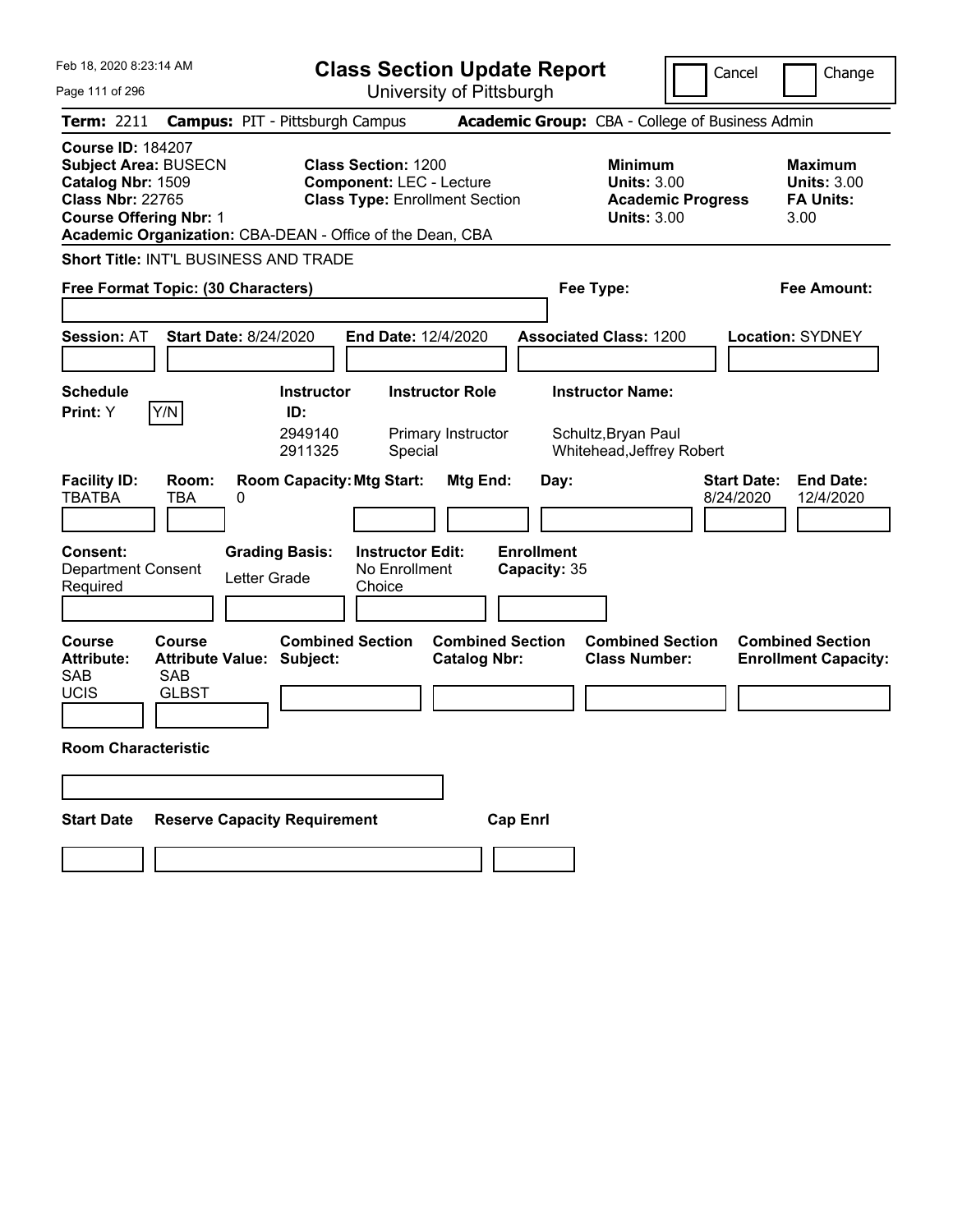| Feb 18, 2020 8:23:14 AM                                                                                                                                                                               | <b>Class Section Update Report</b><br>Cancel<br>Change                                                                                                                |                                                                                                                                                            |  |  |  |
|-------------------------------------------------------------------------------------------------------------------------------------------------------------------------------------------------------|-----------------------------------------------------------------------------------------------------------------------------------------------------------------------|------------------------------------------------------------------------------------------------------------------------------------------------------------|--|--|--|
| Page 111 of 296                                                                                                                                                                                       | University of Pittsburgh                                                                                                                                              |                                                                                                                                                            |  |  |  |
| <b>Term: 2211</b>                                                                                                                                                                                     | <b>Campus: PIT - Pittsburgh Campus</b>                                                                                                                                | Academic Group: CBA - College of Business Admin                                                                                                            |  |  |  |
| <b>Course ID: 184207</b><br><b>Subject Area: BUSECN</b><br>Catalog Nbr: 1509<br><b>Class Nbr: 22765</b><br><b>Course Offering Nbr: 1</b><br>Academic Organization: CBA-DEAN - Office of the Dean, CBA | <b>Class Section: 1200</b><br><b>Component: LEC - Lecture</b><br><b>Class Type: Enrollment Section</b>                                                                | <b>Minimum</b><br><b>Maximum</b><br><b>Units: 3.00</b><br><b>Units: 3.00</b><br><b>FA Units:</b><br><b>Academic Progress</b><br><b>Units: 3.00</b><br>3.00 |  |  |  |
| Short Title: INT'L BUSINESS AND TRADE                                                                                                                                                                 |                                                                                                                                                                       |                                                                                                                                                            |  |  |  |
| Free Format Topic: (30 Characters)                                                                                                                                                                    |                                                                                                                                                                       | Fee Type:<br><b>Fee Amount:</b>                                                                                                                            |  |  |  |
| <b>Start Date: 8/24/2020</b><br><b>Session: AT</b><br><b>Schedule</b><br>Y/N<br>Print: Y                                                                                                              | <b>End Date: 12/4/2020</b><br><b>Instructor Role</b><br><b>Instructor</b><br>ID:<br>2949140<br>Primary Instructor                                                     | <b>Associated Class: 1200</b><br>Location: SYDNEY<br><b>Instructor Name:</b><br>Schultz, Bryan Paul                                                        |  |  |  |
| <b>Facility ID:</b><br>Room:<br><b>TBATBA</b><br>TBA<br>0<br><b>Consent:</b><br><b>Grading Basis:</b><br><b>Department Consent</b><br>Letter Grade<br>Required                                        | 2911325<br>Special<br><b>Room Capacity: Mtg Start:</b><br>Mtg End:<br>Day:<br><b>Enrollment</b><br><b>Instructor Edit:</b><br>No Enrollment<br>Capacity: 35<br>Choice | Whitehead, Jeffrey Robert<br><b>Start Date:</b><br><b>End Date:</b><br>8/24/2020<br>12/4/2020                                                              |  |  |  |
| Course<br><b>Course</b><br><b>Attribute Value: Subject:</b><br><b>Attribute:</b><br><b>SAB</b><br>SAB<br><b>UCIS</b><br><b>GLBST</b><br><b>Room Characteristic</b>                                    | <b>Combined Section</b><br><b>Combined Section</b><br><b>Catalog Nbr:</b>                                                                                             | <b>Combined Section</b><br><b>Combined Section</b><br><b>Class Number:</b><br><b>Enrollment Capacity:</b>                                                  |  |  |  |
| <b>Reserve Capacity Requirement</b><br><b>Start Date</b>                                                                                                                                              | <b>Cap Enrl</b>                                                                                                                                                       |                                                                                                                                                            |  |  |  |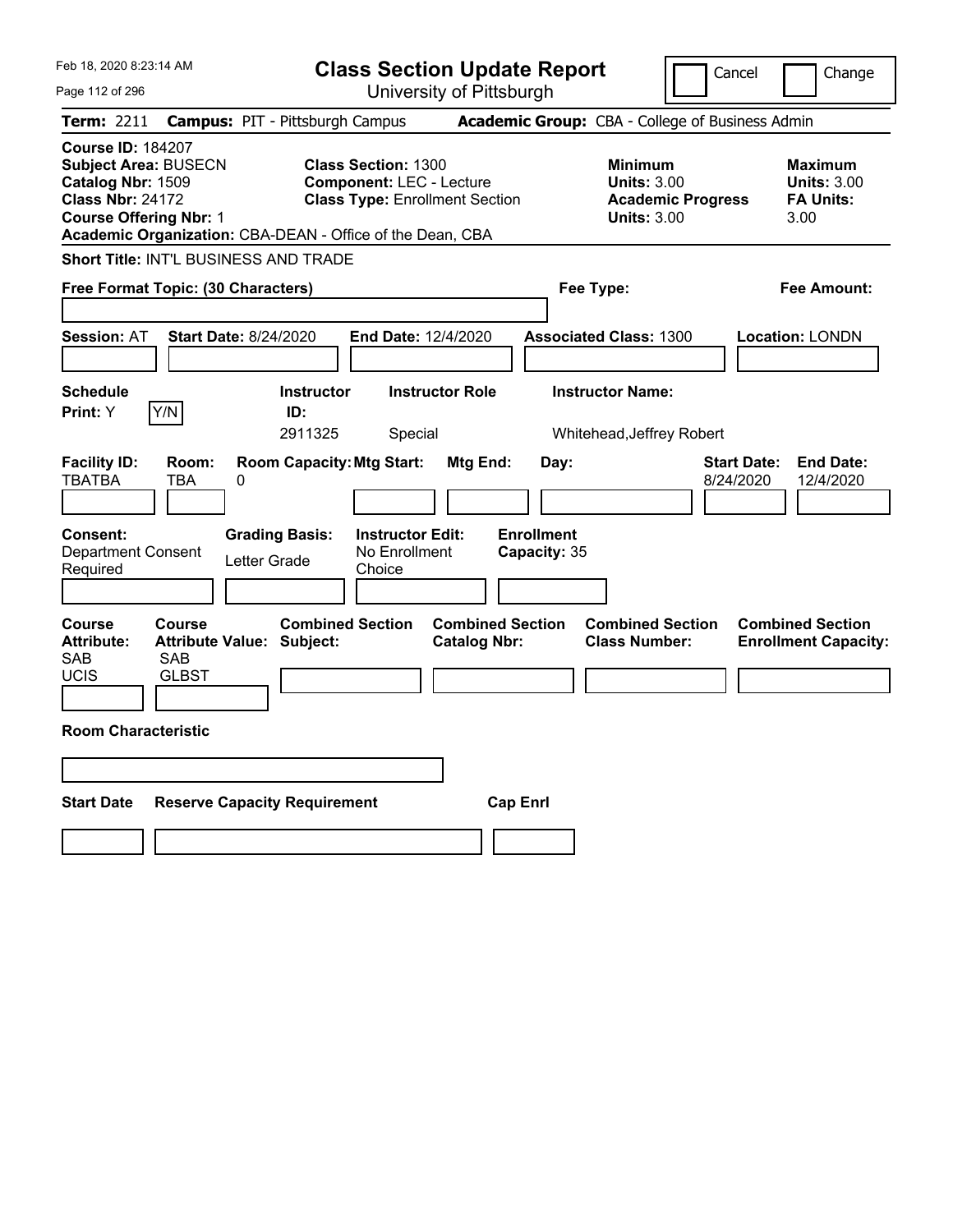| Feb 18, 2020 8:23:14 AM                                                                                                                                                                               | <b>Class Section Update Report</b>                                                                              |                                                                                                   | Cancel<br>Change                                                                             |
|-------------------------------------------------------------------------------------------------------------------------------------------------------------------------------------------------------|-----------------------------------------------------------------------------------------------------------------|---------------------------------------------------------------------------------------------------|----------------------------------------------------------------------------------------------|
| Page 112 of 296                                                                                                                                                                                       | University of Pittsburgh                                                                                        |                                                                                                   |                                                                                              |
| <b>Term: 2211</b>                                                                                                                                                                                     | <b>Campus: PIT - Pittsburgh Campus</b>                                                                          | Academic Group: CBA - College of Business Admin                                                   |                                                                                              |
| <b>Course ID: 184207</b><br><b>Subject Area: BUSECN</b><br>Catalog Nbr: 1509<br><b>Class Nbr: 24172</b><br><b>Course Offering Nbr: 1</b><br>Academic Organization: CBA-DEAN - Office of the Dean, CBA | <b>Class Section: 1300</b><br><b>Component: LEC - Lecture</b><br><b>Class Type: Enrollment Section</b>          | <b>Minimum</b><br><b>Units: 3.00</b><br><b>Units: 3.00</b>                                        | <b>Maximum</b><br><b>Units: 3.00</b><br><b>Academic Progress</b><br><b>FA Units:</b><br>3.00 |
| <b>Short Title: INT'L BUSINESS AND TRADE</b>                                                                                                                                                          |                                                                                                                 |                                                                                                   |                                                                                              |
| Free Format Topic: (30 Characters)                                                                                                                                                                    |                                                                                                                 | Fee Type:                                                                                         | Fee Amount:                                                                                  |
| <b>Session: AT</b><br><b>Start Date: 8/24/2020</b>                                                                                                                                                    | <b>End Date: 12/4/2020</b>                                                                                      | <b>Associated Class: 1300</b>                                                                     | <b>Location: LONDN</b>                                                                       |
| <b>Schedule</b>                                                                                                                                                                                       | <b>Instructor</b><br><b>Instructor Role</b>                                                                     | <b>Instructor Name:</b>                                                                           |                                                                                              |
| Y/N<br><b>Print:</b> Y                                                                                                                                                                                | ID:<br>2911325<br>Special                                                                                       | Whitehead, Jeffrey Robert                                                                         |                                                                                              |
| <b>Facility ID:</b><br>Room:<br>TBATBA<br>TBA<br>0<br>Consent:<br><b>Department Consent</b><br>Letter Grade<br>Required                                                                               | <b>Room Capacity: Mtg Start:</b><br><b>Grading Basis:</b><br><b>Instructor Edit:</b><br>No Enrollment<br>Choice | Mtg End:<br>Day:<br><b>Enrollment</b><br>Capacity: 35                                             | <b>Start Date:</b><br><b>End Date:</b><br>12/4/2020<br>8/24/2020                             |
| <b>Course</b><br><b>Course</b><br><b>Attribute Value: Subject:</b><br><b>Attribute:</b><br>SAB<br>SAB<br><b>UCIS</b><br><b>GLBST</b>                                                                  | <b>Combined Section</b>                                                                                         | <b>Combined Section</b><br><b>Combined Section</b><br><b>Class Number:</b><br><b>Catalog Nbr:</b> | <b>Combined Section</b><br><b>Enrollment Capacity:</b>                                       |
| <b>Room Characteristic</b>                                                                                                                                                                            |                                                                                                                 |                                                                                                   |                                                                                              |
|                                                                                                                                                                                                       |                                                                                                                 |                                                                                                   |                                                                                              |
| <b>Start Date</b><br><b>Reserve Capacity Requirement</b>                                                                                                                                              |                                                                                                                 | <b>Cap Enrl</b>                                                                                   |                                                                                              |
|                                                                                                                                                                                                       |                                                                                                                 |                                                                                                   |                                                                                              |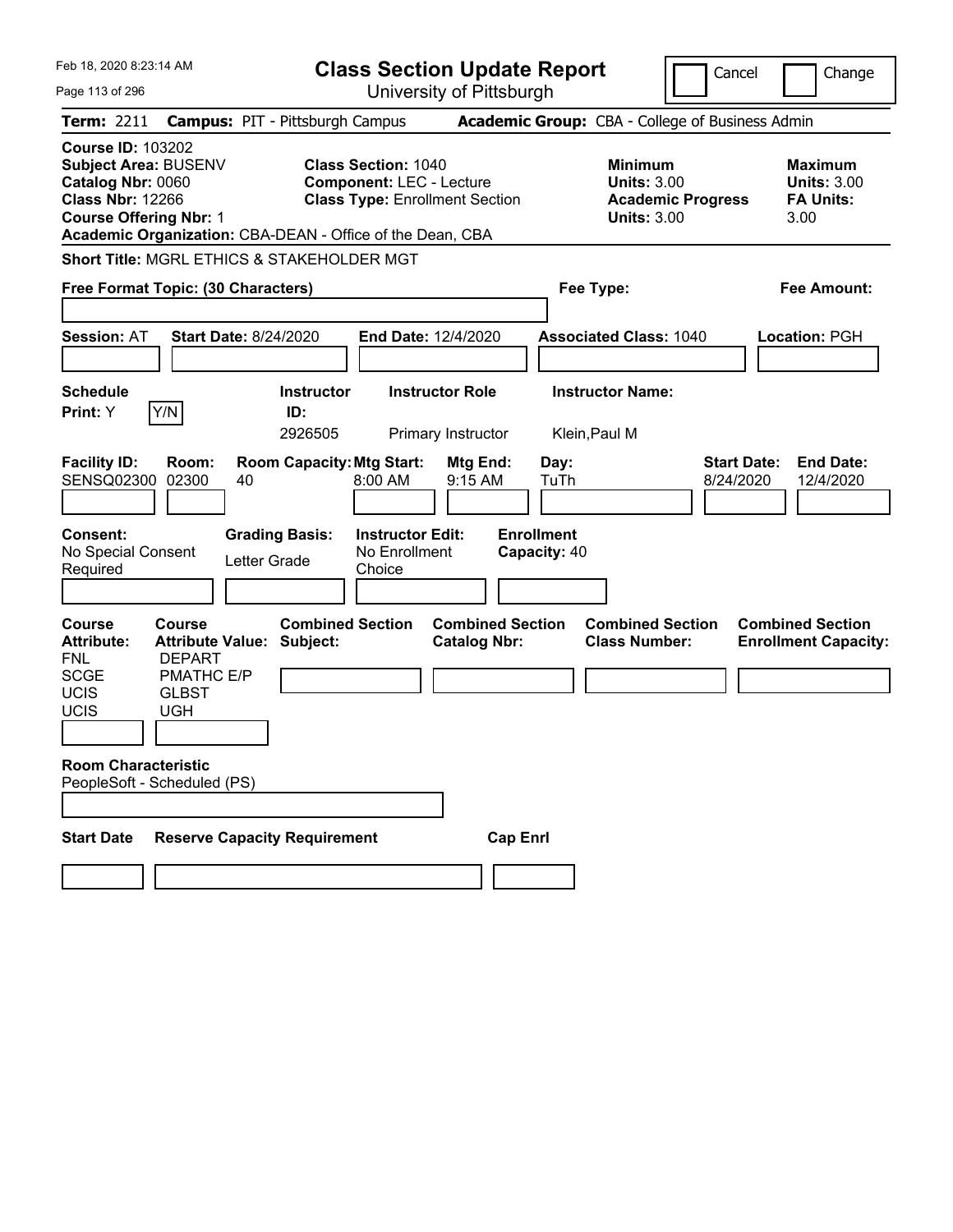| Feb 18, 2020 8:23:14 AM<br>Page 113 of 296                                                                                               |                                                                                |                                                           |                                                               | <b>Class Section Update Report</b><br>University of Pittsburgh |                                   |                                                            |                          | Cancel                                                           | Change                        |
|------------------------------------------------------------------------------------------------------------------------------------------|--------------------------------------------------------------------------------|-----------------------------------------------------------|---------------------------------------------------------------|----------------------------------------------------------------|-----------------------------------|------------------------------------------------------------|--------------------------|------------------------------------------------------------------|-------------------------------|
| Term: 2211                                                                                                                               |                                                                                | <b>Campus: PIT - Pittsburgh Campus</b>                    |                                                               |                                                                |                                   | Academic Group: CBA - College of Business Admin            |                          |                                                                  |                               |
| <b>Course ID: 103202</b><br><b>Subject Area: BUSENV</b><br>Catalog Nbr: 0060<br><b>Class Nbr: 12266</b><br><b>Course Offering Nbr: 1</b> |                                                                                | Academic Organization: CBA-DEAN - Office of the Dean, CBA | <b>Class Section: 1040</b><br><b>Component: LEC - Lecture</b> | <b>Class Type: Enrollment Section</b>                          |                                   | <b>Minimum</b><br><b>Units: 3.00</b><br><b>Units: 3.00</b> | <b>Academic Progress</b> | <b>Maximum</b><br><b>Units: 3.00</b><br><b>FA Units:</b><br>3.00 |                               |
|                                                                                                                                          |                                                                                | Short Title: MGRL ETHICS & STAKEHOLDER MGT                |                                                               |                                                                |                                   |                                                            |                          |                                                                  |                               |
|                                                                                                                                          | Free Format Topic: (30 Characters)                                             |                                                           |                                                               |                                                                |                                   | Fee Type:                                                  |                          | <b>Fee Amount:</b>                                               |                               |
| <b>Session: AT</b>                                                                                                                       |                                                                                | <b>Start Date: 8/24/2020</b>                              |                                                               | <b>End Date: 12/4/2020</b>                                     |                                   | <b>Associated Class: 1040</b>                              |                          | Location: PGH                                                    |                               |
| <b>Schedule</b><br>Print: Y                                                                                                              | Y/N                                                                            | <b>Instructor</b><br>ID:<br>2926505                       |                                                               | <b>Instructor Role</b><br>Primary Instructor                   |                                   | <b>Instructor Name:</b><br>Klein, Paul M                   |                          |                                                                  |                               |
| <b>Facility ID:</b><br><b>SENSQ02300</b>                                                                                                 | Room:<br>02300                                                                 | <b>Room Capacity: Mtg Start:</b><br>40                    | 8:00 AM                                                       | Mtg End:<br>9:15 AM                                            | Day:<br>TuTh                      |                                                            |                          | <b>Start Date:</b><br>8/24/2020                                  | <b>End Date:</b><br>12/4/2020 |
| Consent:<br>No Special Consent<br>Required                                                                                               |                                                                                | <b>Grading Basis:</b><br>Letter Grade                     | <b>Instructor Edit:</b><br>No Enrollment<br>Choice            |                                                                | <b>Enrollment</b><br>Capacity: 40 |                                                            |                          |                                                                  |                               |
| <b>Course</b><br><b>Attribute:</b><br><b>FNL</b><br><b>SCGE</b>                                                                          | <b>Course</b><br><b>Attribute Value:</b><br><b>DEPART</b><br><b>PMATHC E/P</b> | <b>Combined Section</b><br>Subject:                       |                                                               | <b>Combined Section</b><br><b>Catalog Nbr:</b>                 |                                   | <b>Combined Section</b><br><b>Class Number:</b>            |                          | <b>Combined Section</b><br><b>Enrollment Capacity:</b>           |                               |
| <b>UCIS</b><br>UCIS                                                                                                                      | <b>GLBST</b><br><b>UGH</b>                                                     |                                                           |                                                               |                                                                |                                   |                                                            |                          |                                                                  |                               |
| <b>Room Characteristic</b>                                                                                                               | PeopleSoft - Scheduled (PS)                                                    |                                                           |                                                               |                                                                |                                   |                                                            |                          |                                                                  |                               |
| <b>Start Date</b>                                                                                                                        |                                                                                | <b>Reserve Capacity Requirement</b>                       |                                                               |                                                                | <b>Cap Enrl</b>                   |                                                            |                          |                                                                  |                               |
|                                                                                                                                          |                                                                                |                                                           |                                                               |                                                                |                                   |                                                            |                          |                                                                  |                               |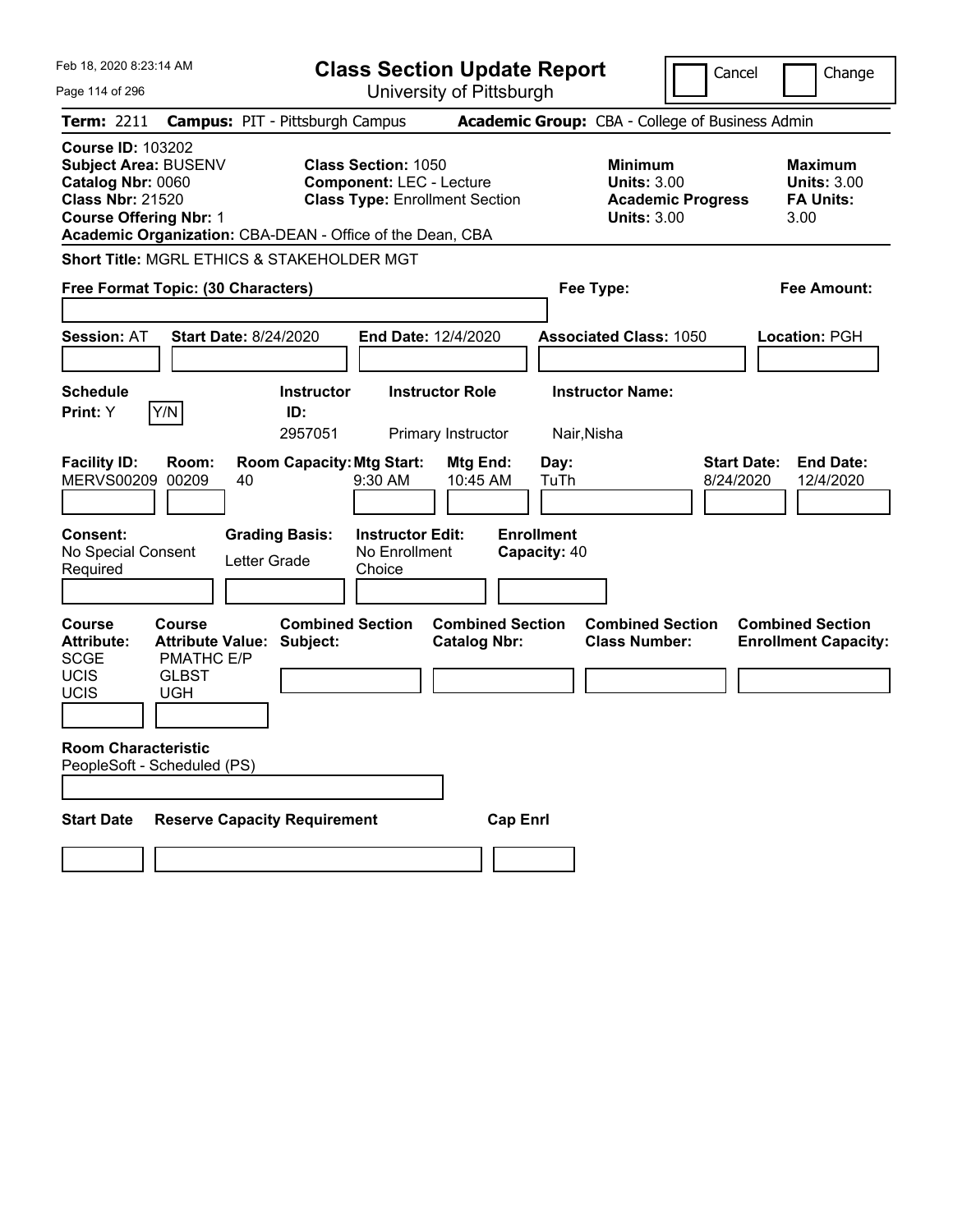| Feb 18. 2020 8:23:14 AM<br>Page 114 of 296                                                                                               |                                                                                      |                                                           | <b>Class Section Update Report</b>                                                                     | University of Pittsburgh                       |                                   |                                                            | Cancel                                          | Change                                                           |
|------------------------------------------------------------------------------------------------------------------------------------------|--------------------------------------------------------------------------------------|-----------------------------------------------------------|--------------------------------------------------------------------------------------------------------|------------------------------------------------|-----------------------------------|------------------------------------------------------------|-------------------------------------------------|------------------------------------------------------------------|
| Term: 2211                                                                                                                               |                                                                                      | <b>Campus: PIT - Pittsburgh Campus</b>                    |                                                                                                        |                                                |                                   |                                                            | Academic Group: CBA - College of Business Admin |                                                                  |
| <b>Course ID: 103202</b><br><b>Subject Area: BUSENV</b><br>Catalog Nbr: 0060<br><b>Class Nbr: 21520</b><br><b>Course Offering Nbr: 1</b> |                                                                                      | Academic Organization: CBA-DEAN - Office of the Dean, CBA | <b>Class Section: 1050</b><br><b>Component: LEC - Lecture</b><br><b>Class Type: Enrollment Section</b> |                                                |                                   | <b>Minimum</b><br><b>Units: 3.00</b><br><b>Units: 3.00</b> | <b>Academic Progress</b>                        | <b>Maximum</b><br><b>Units: 3.00</b><br><b>FA Units:</b><br>3.00 |
| Free Format Topic: (30 Characters)                                                                                                       |                                                                                      | <b>Short Title: MGRL ETHICS &amp; STAKEHOLDER MGT</b>     |                                                                                                        |                                                |                                   | Fee Type:                                                  |                                                 | <b>Fee Amount:</b>                                               |
| <b>Session: AT</b>                                                                                                                       |                                                                                      | <b>Start Date: 8/24/2020</b>                              | <b>End Date: 12/4/2020</b>                                                                             |                                                |                                   | <b>Associated Class: 1050</b>                              |                                                 | <b>Location: PGH</b>                                             |
| <b>Schedule</b><br>Print: Y                                                                                                              | Y/N                                                                                  | <b>Instructor</b><br>ID:<br>2957051                       | <b>Instructor Role</b>                                                                                 | Primary Instructor                             | Nair, Nisha                       | <b>Instructor Name:</b>                                    |                                                 |                                                                  |
| <b>Facility ID:</b><br><b>MERVS00209</b>                                                                                                 | Room:<br>00209                                                                       | <b>Room Capacity: Mtg Start:</b><br>40                    | 9:30 AM                                                                                                | Mtg End:<br>10:45 AM                           | Day:<br>TuTh                      |                                                            | 8/24/2020                                       | <b>Start Date:</b><br><b>End Date:</b><br>12/4/2020              |
| <b>Consent:</b><br>No Special Consent<br>Required                                                                                        |                                                                                      | <b>Grading Basis:</b><br>Letter Grade                     | <b>Instructor Edit:</b><br>No Enrollment<br>Choice                                                     |                                                | <b>Enrollment</b><br>Capacity: 40 |                                                            |                                                 |                                                                  |
| <b>Course</b><br><b>Attribute:</b><br><b>SCGE</b><br><b>UCIS</b><br>UCIS                                                                 | Course<br><b>Attribute Value:</b><br><b>PMATHC E/P</b><br><b>GLBST</b><br><b>UGH</b> | <b>Combined Section</b><br>Subject:                       |                                                                                                        | <b>Combined Section</b><br><b>Catalog Nbr:</b> |                                   | <b>Combined Section</b><br><b>Class Number:</b>            |                                                 | <b>Combined Section</b><br><b>Enrollment Capacity:</b>           |
| <b>Room Characteristic</b><br>PeopleSoft - Scheduled (PS)                                                                                |                                                                                      |                                                           |                                                                                                        |                                                |                                   |                                                            |                                                 |                                                                  |
| <b>Start Date</b>                                                                                                                        |                                                                                      | <b>Reserve Capacity Requirement</b>                       |                                                                                                        | <b>Cap Enrl</b>                                |                                   |                                                            |                                                 |                                                                  |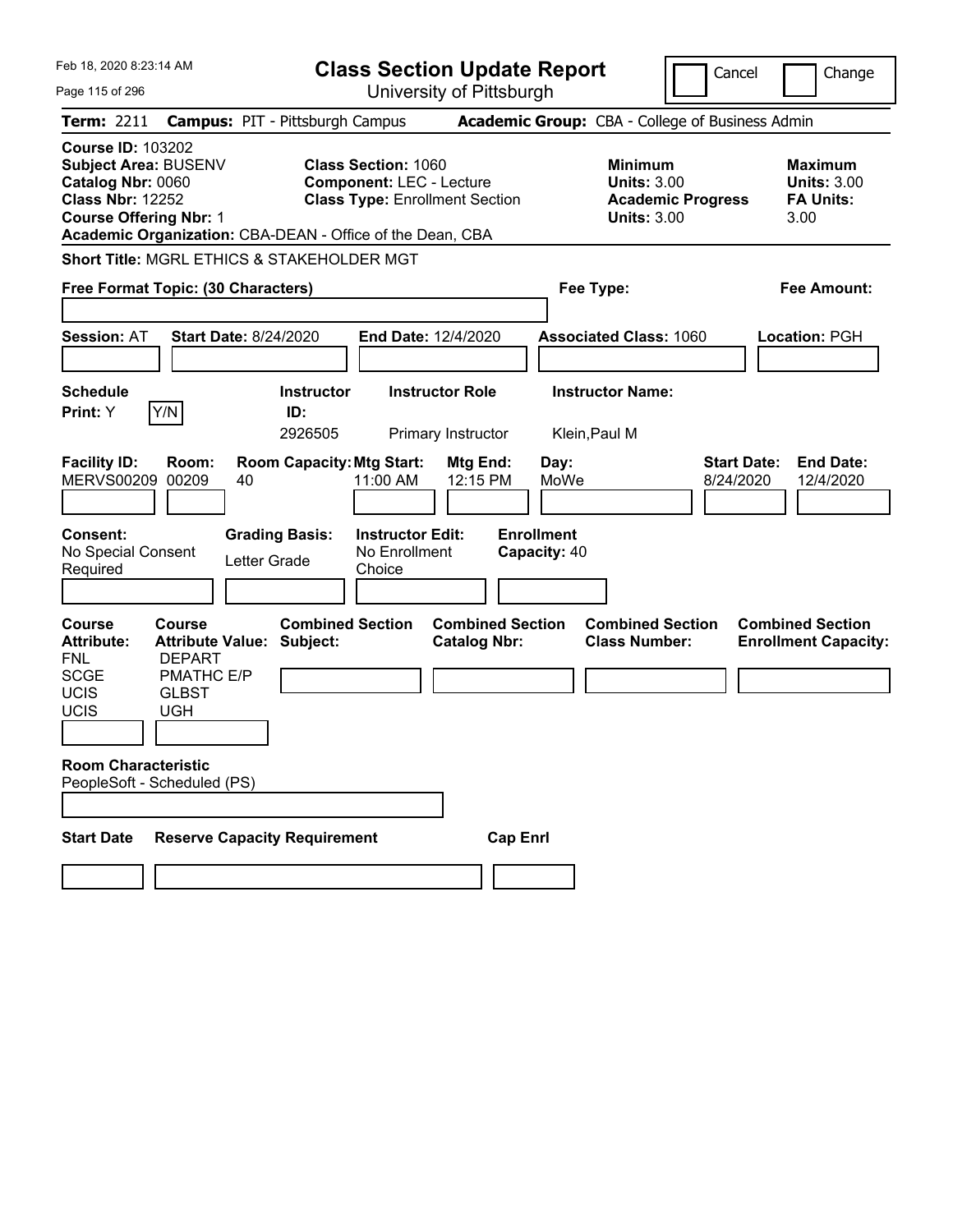| Feb 18. 2020 8:23:14 AM                                                                                                                  |                                                                                         |                                                           |                                                               | <b>Class Section Update Report</b>             |                                   |                                                            |                          | Cancel<br>Change                                                 |
|------------------------------------------------------------------------------------------------------------------------------------------|-----------------------------------------------------------------------------------------|-----------------------------------------------------------|---------------------------------------------------------------|------------------------------------------------|-----------------------------------|------------------------------------------------------------|--------------------------|------------------------------------------------------------------|
| Page 115 of 296                                                                                                                          |                                                                                         |                                                           |                                                               | University of Pittsburgh                       |                                   |                                                            |                          |                                                                  |
| Term: 2211                                                                                                                               |                                                                                         | <b>Campus: PIT - Pittsburgh Campus</b>                    |                                                               |                                                |                                   | Academic Group: CBA - College of Business Admin            |                          |                                                                  |
| <b>Course ID: 103202</b><br><b>Subject Area: BUSENV</b><br>Catalog Nbr: 0060<br><b>Class Nbr: 12252</b><br><b>Course Offering Nbr: 1</b> |                                                                                         | Academic Organization: CBA-DEAN - Office of the Dean, CBA | <b>Class Section: 1060</b><br><b>Component: LEC - Lecture</b> | <b>Class Type: Enrollment Section</b>          |                                   | <b>Minimum</b><br><b>Units: 3.00</b><br><b>Units: 3.00</b> | <b>Academic Progress</b> | <b>Maximum</b><br><b>Units: 3.00</b><br><b>FA Units:</b><br>3.00 |
|                                                                                                                                          |                                                                                         | Short Title: MGRL ETHICS & STAKEHOLDER MGT                |                                                               |                                                |                                   |                                                            |                          |                                                                  |
|                                                                                                                                          | Free Format Topic: (30 Characters)                                                      |                                                           |                                                               |                                                |                                   | Fee Type:                                                  |                          | <b>Fee Amount:</b>                                               |
| <b>Session: AT</b>                                                                                                                       |                                                                                         | <b>Start Date: 8/24/2020</b>                              |                                                               | <b>End Date: 12/4/2020</b>                     |                                   | <b>Associated Class: 1060</b>                              |                          | <b>Location: PGH</b>                                             |
| <b>Schedule</b><br>Print: Y                                                                                                              | Y/N                                                                                     | <b>Instructor</b><br>ID:<br>2926505                       |                                                               | <b>Instructor Role</b><br>Primary Instructor   |                                   | <b>Instructor Name:</b><br>Klein, Paul M                   |                          |                                                                  |
| <b>Facility ID:</b><br><b>MERVS00209</b>                                                                                                 | Room:<br>00209                                                                          | <b>Room Capacity: Mtg Start:</b><br>40                    | 11:00 AM                                                      | Mtg End:<br>12:15 PM                           | Day:<br>MoWe                      |                                                            |                          | <b>Start Date:</b><br><b>End Date:</b><br>8/24/2020<br>12/4/2020 |
| Consent:<br>No Special Consent<br>Required                                                                                               |                                                                                         | <b>Grading Basis:</b><br>Letter Grade                     | <b>Instructor Edit:</b><br>No Enrollment<br>Choice            |                                                | <b>Enrollment</b><br>Capacity: 40 |                                                            |                          |                                                                  |
| <b>Course</b><br><b>Attribute:</b><br><b>FNL</b><br><b>SCGE</b><br>UCIS                                                                  | <b>Course</b><br><b>Attribute Value:</b><br><b>DEPART</b><br>PMATHC E/P<br><b>GLBST</b> | <b>Combined Section</b><br>Subject:                       |                                                               | <b>Combined Section</b><br><b>Catalog Nbr:</b> |                                   | <b>Combined Section</b><br><b>Class Number:</b>            |                          | <b>Combined Section</b><br><b>Enrollment Capacity:</b>           |
| UCIS                                                                                                                                     | <b>UGH</b>                                                                              |                                                           |                                                               |                                                |                                   |                                                            |                          |                                                                  |
| <b>Room Characteristic</b>                                                                                                               | PeopleSoft - Scheduled (PS)                                                             |                                                           |                                                               |                                                |                                   |                                                            |                          |                                                                  |
| <b>Start Date</b>                                                                                                                        |                                                                                         | <b>Reserve Capacity Requirement</b>                       |                                                               |                                                | <b>Cap Enrl</b>                   |                                                            |                          |                                                                  |
|                                                                                                                                          |                                                                                         |                                                           |                                                               |                                                |                                   |                                                            |                          |                                                                  |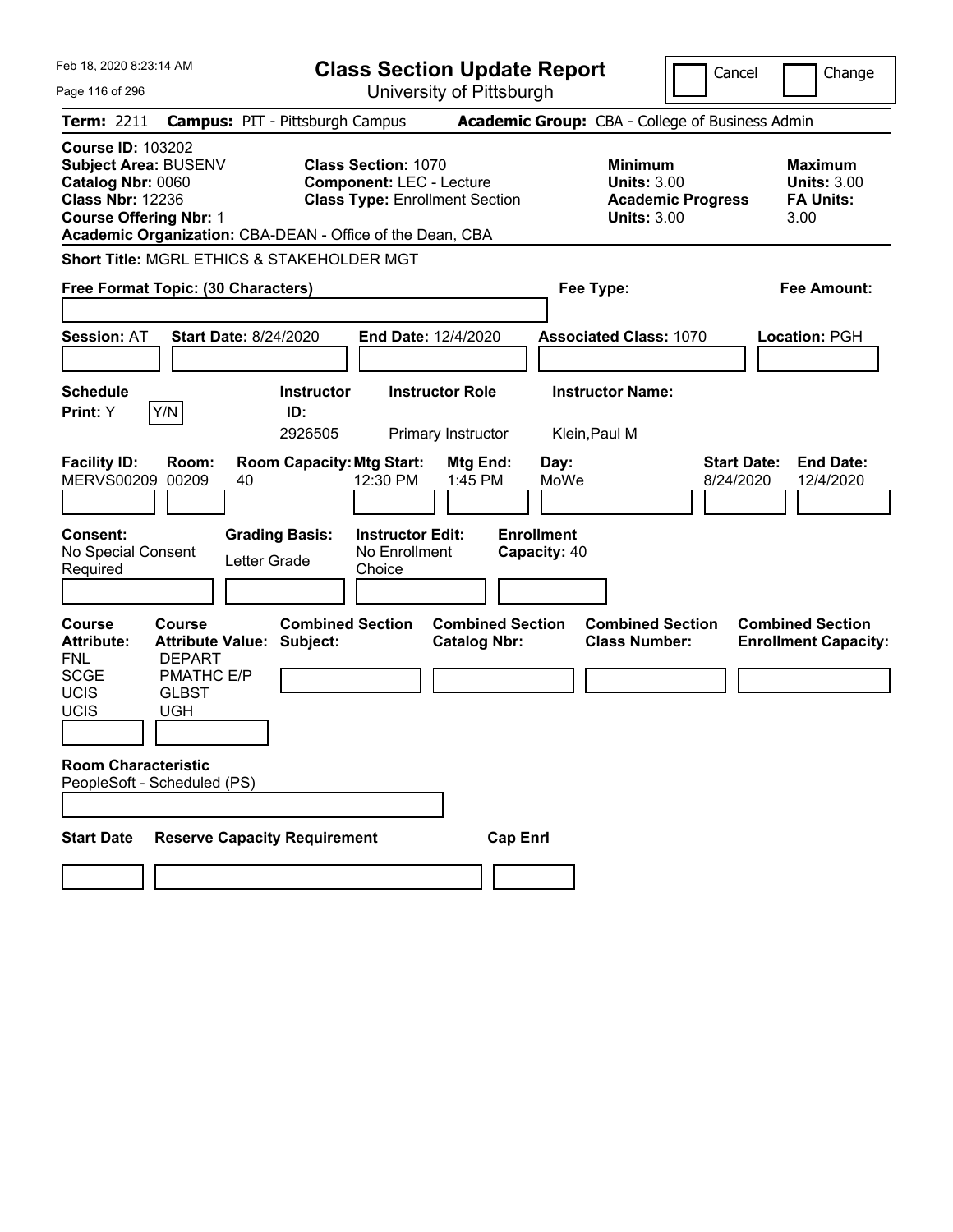| Feb 18. 2020 8:23:14 AM<br>Page 116 of 296                                                                                               |                                                                                                       |                                                           |                                                               | <b>Class Section Update Report</b><br>University of Pittsburgh |                                   |                                                            |                          | Cancel<br>Change                                                 |
|------------------------------------------------------------------------------------------------------------------------------------------|-------------------------------------------------------------------------------------------------------|-----------------------------------------------------------|---------------------------------------------------------------|----------------------------------------------------------------|-----------------------------------|------------------------------------------------------------|--------------------------|------------------------------------------------------------------|
| Term: 2211                                                                                                                               |                                                                                                       | <b>Campus: PIT - Pittsburgh Campus</b>                    |                                                               |                                                                |                                   | Academic Group: CBA - College of Business Admin            |                          |                                                                  |
| <b>Course ID: 103202</b><br><b>Subject Area: BUSENV</b><br>Catalog Nbr: 0060<br><b>Class Nbr: 12236</b><br><b>Course Offering Nbr: 1</b> |                                                                                                       | Academic Organization: CBA-DEAN - Office of the Dean, CBA | <b>Class Section: 1070</b><br><b>Component: LEC - Lecture</b> | <b>Class Type: Enrollment Section</b>                          |                                   | <b>Minimum</b><br><b>Units: 3.00</b><br><b>Units: 3.00</b> | <b>Academic Progress</b> | <b>Maximum</b><br><b>Units: 3.00</b><br><b>FA Units:</b><br>3.00 |
|                                                                                                                                          |                                                                                                       | Short Title: MGRL ETHICS & STAKEHOLDER MGT                |                                                               |                                                                |                                   |                                                            |                          |                                                                  |
|                                                                                                                                          | Free Format Topic: (30 Characters)                                                                    |                                                           |                                                               |                                                                |                                   | Fee Type:                                                  |                          | <b>Fee Amount:</b>                                               |
| <b>Session: AT</b>                                                                                                                       |                                                                                                       | <b>Start Date: 8/24/2020</b>                              |                                                               | <b>End Date: 12/4/2020</b>                                     |                                   | <b>Associated Class: 1070</b>                              |                          | <b>Location: PGH</b>                                             |
| <b>Schedule</b><br>Print: Y                                                                                                              | Y/N                                                                                                   | <b>Instructor</b><br>ID:<br>2926505                       |                                                               | <b>Instructor Role</b><br>Primary Instructor                   |                                   | <b>Instructor Name:</b><br>Klein, Paul M                   |                          |                                                                  |
| <b>Facility ID:</b><br><b>MERVS00209</b>                                                                                                 | Room:<br>00209                                                                                        | <b>Room Capacity: Mtg Start:</b><br>40                    | 12:30 PM                                                      | Mtg End:<br>1:45 PM                                            | Day:<br>MoWe                      |                                                            |                          | <b>Start Date:</b><br><b>End Date:</b><br>8/24/2020<br>12/4/2020 |
| Consent:<br>No Special Consent<br>Required                                                                                               |                                                                                                       | <b>Grading Basis:</b><br>Letter Grade                     | <b>Instructor Edit:</b><br>No Enrollment<br>Choice            |                                                                | <b>Enrollment</b><br>Capacity: 40 |                                                            |                          |                                                                  |
| <b>Course</b><br><b>Attribute:</b><br><b>FNL</b><br><b>SCGE</b><br>UCIS<br>UCIS                                                          | <b>Course</b><br><b>Attribute Value:</b><br><b>DEPART</b><br>PMATHC E/P<br><b>GLBST</b><br><b>UGH</b> | <b>Combined Section</b><br>Subject:                       |                                                               | <b>Combined Section</b><br><b>Catalog Nbr:</b>                 |                                   | <b>Combined Section</b><br><b>Class Number:</b>            |                          | <b>Combined Section</b><br><b>Enrollment Capacity:</b>           |
|                                                                                                                                          |                                                                                                       |                                                           |                                                               |                                                                |                                   |                                                            |                          |                                                                  |
| <b>Room Characteristic</b>                                                                                                               | PeopleSoft - Scheduled (PS)                                                                           |                                                           |                                                               |                                                                |                                   |                                                            |                          |                                                                  |
| <b>Start Date</b>                                                                                                                        |                                                                                                       | <b>Reserve Capacity Requirement</b>                       |                                                               |                                                                | <b>Cap Enrl</b>                   |                                                            |                          |                                                                  |
|                                                                                                                                          |                                                                                                       |                                                           |                                                               |                                                                |                                   |                                                            |                          |                                                                  |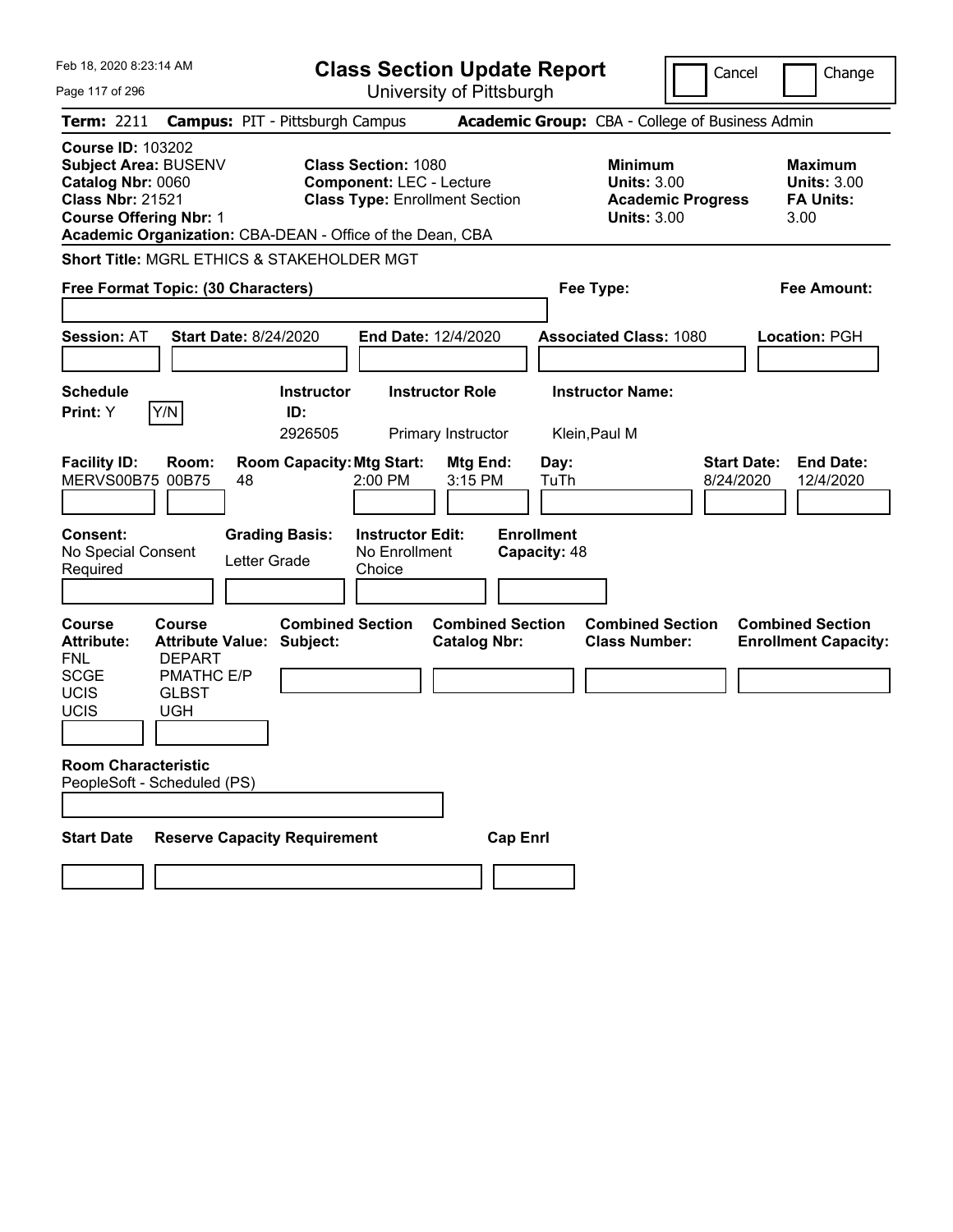| Feb 18, 2020 8:23:14 AM                                                                                                                  |                                                                                                       |                                                           |                                                               | <b>Class Section Update Report</b>             |                                   |                                                            |                          | Cancel<br>Change                                                 |
|------------------------------------------------------------------------------------------------------------------------------------------|-------------------------------------------------------------------------------------------------------|-----------------------------------------------------------|---------------------------------------------------------------|------------------------------------------------|-----------------------------------|------------------------------------------------------------|--------------------------|------------------------------------------------------------------|
| Page 117 of 296                                                                                                                          |                                                                                                       |                                                           |                                                               | University of Pittsburgh                       |                                   |                                                            |                          |                                                                  |
| Term: 2211                                                                                                                               |                                                                                                       | <b>Campus: PIT - Pittsburgh Campus</b>                    |                                                               |                                                |                                   | Academic Group: CBA - College of Business Admin            |                          |                                                                  |
| <b>Course ID: 103202</b><br><b>Subject Area: BUSENV</b><br>Catalog Nbr: 0060<br><b>Class Nbr: 21521</b><br><b>Course Offering Nbr: 1</b> |                                                                                                       | Academic Organization: CBA-DEAN - Office of the Dean, CBA | <b>Class Section: 1080</b><br><b>Component: LEC - Lecture</b> | <b>Class Type: Enrollment Section</b>          |                                   | <b>Minimum</b><br><b>Units: 3.00</b><br><b>Units: 3.00</b> | <b>Academic Progress</b> | <b>Maximum</b><br><b>Units: 3.00</b><br><b>FA Units:</b><br>3.00 |
|                                                                                                                                          |                                                                                                       | Short Title: MGRL ETHICS & STAKEHOLDER MGT                |                                                               |                                                |                                   |                                                            |                          |                                                                  |
|                                                                                                                                          | Free Format Topic: (30 Characters)                                                                    |                                                           |                                                               |                                                |                                   | Fee Type:                                                  |                          | <b>Fee Amount:</b>                                               |
| <b>Session: AT</b>                                                                                                                       |                                                                                                       | <b>Start Date: 8/24/2020</b>                              |                                                               | <b>End Date: 12/4/2020</b>                     |                                   | <b>Associated Class: 1080</b>                              |                          | <b>Location: PGH</b>                                             |
| <b>Schedule</b><br>Print: Y                                                                                                              | Y/N                                                                                                   | <b>Instructor</b><br>ID:<br>2926505                       |                                                               | <b>Instructor Role</b><br>Primary Instructor   |                                   | <b>Instructor Name:</b><br>Klein, Paul M                   |                          |                                                                  |
| <b>Facility ID:</b><br>MERVS00B75 00B75                                                                                                  | Room:                                                                                                 | <b>Room Capacity: Mtg Start:</b><br>48                    | $2:00$ PM                                                     | Mtg End:<br>3:15 PM                            | Day:<br>TuTh                      |                                                            |                          | <b>Start Date:</b><br><b>End Date:</b><br>8/24/2020<br>12/4/2020 |
| Consent:<br>No Special Consent<br>Required                                                                                               |                                                                                                       | <b>Grading Basis:</b><br>Letter Grade                     | <b>Instructor Edit:</b><br>No Enrollment<br>Choice            |                                                | <b>Enrollment</b><br>Capacity: 48 |                                                            |                          |                                                                  |
| <b>Course</b><br><b>Attribute:</b><br><b>FNL</b><br><b>SCGE</b><br>UCIS<br>UCIS                                                          | <b>Course</b><br><b>Attribute Value:</b><br><b>DEPART</b><br>PMATHC E/P<br><b>GLBST</b><br><b>UGH</b> | <b>Combined Section</b><br>Subject:                       |                                                               | <b>Combined Section</b><br><b>Catalog Nbr:</b> |                                   | <b>Combined Section</b><br><b>Class Number:</b>            |                          | <b>Combined Section</b><br><b>Enrollment Capacity:</b>           |
| <b>Room Characteristic</b>                                                                                                               | PeopleSoft - Scheduled (PS)                                                                           |                                                           |                                                               |                                                |                                   |                                                            |                          |                                                                  |
| <b>Start Date</b>                                                                                                                        |                                                                                                       | <b>Reserve Capacity Requirement</b>                       |                                                               |                                                | <b>Cap Enrl</b>                   |                                                            |                          |                                                                  |
|                                                                                                                                          |                                                                                                       |                                                           |                                                               |                                                |                                   |                                                            |                          |                                                                  |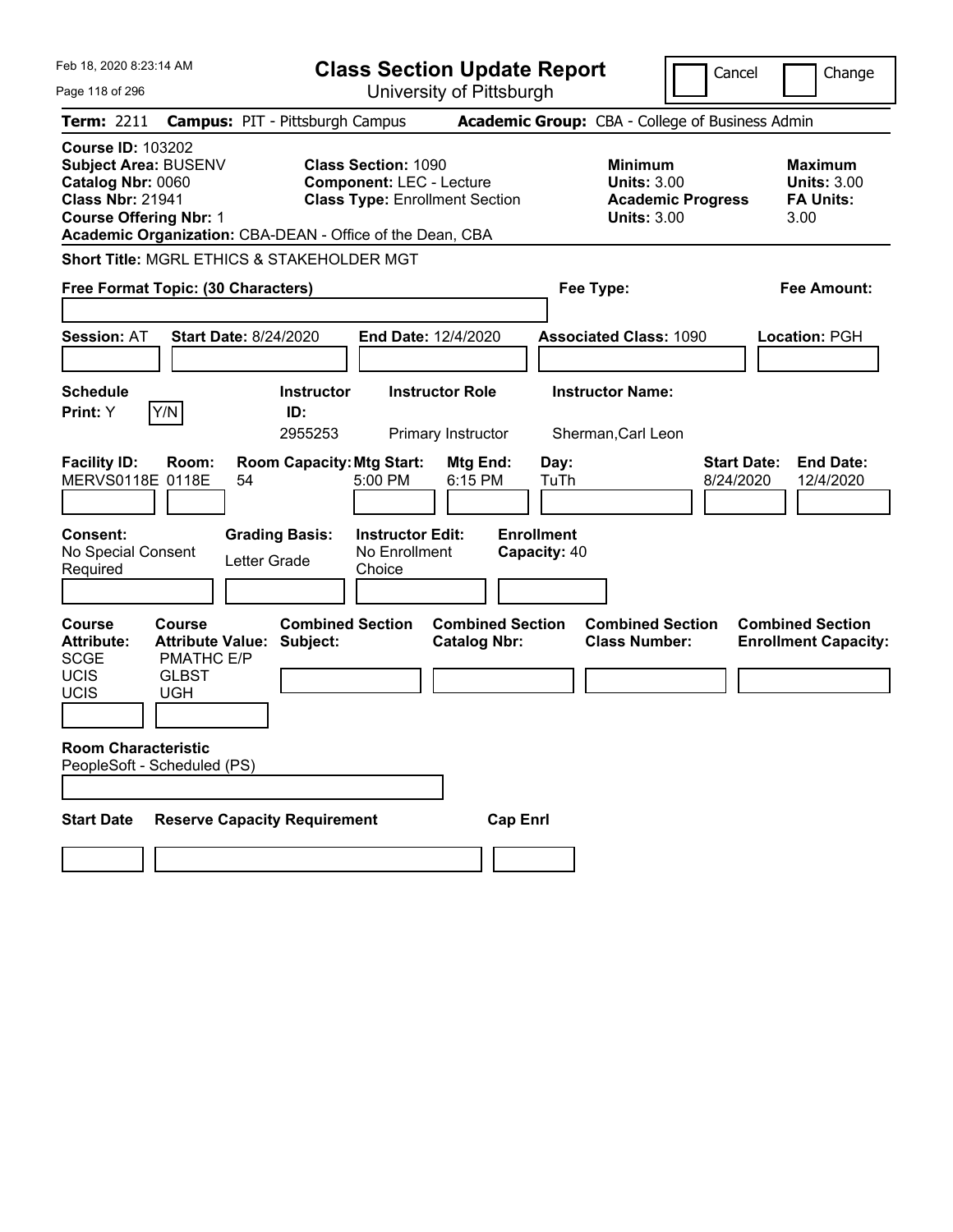| Feb 18. 2020 8:23:14 AM<br>Page 118 of 296                                                                                               |                                                                                      |                                                           |                                                               | <b>Class Section Update Report</b><br>University of Pittsburgh |                                   |                                                            | Cancel                          | Change                                                           |
|------------------------------------------------------------------------------------------------------------------------------------------|--------------------------------------------------------------------------------------|-----------------------------------------------------------|---------------------------------------------------------------|----------------------------------------------------------------|-----------------------------------|------------------------------------------------------------|---------------------------------|------------------------------------------------------------------|
| Term: 2211                                                                                                                               |                                                                                      | <b>Campus: PIT - Pittsburgh Campus</b>                    |                                                               |                                                                |                                   | Academic Group: CBA - College of Business Admin            |                                 |                                                                  |
| <b>Course ID: 103202</b><br><b>Subject Area: BUSENV</b><br>Catalog Nbr: 0060<br><b>Class Nbr: 21941</b><br><b>Course Offering Nbr: 1</b> |                                                                                      | Academic Organization: CBA-DEAN - Office of the Dean, CBA | <b>Class Section: 1090</b><br><b>Component: LEC - Lecture</b> | <b>Class Type: Enrollment Section</b>                          |                                   | <b>Minimum</b><br><b>Units: 3.00</b><br><b>Units: 3.00</b> | <b>Academic Progress</b>        | <b>Maximum</b><br><b>Units: 3.00</b><br><b>FA Units:</b><br>3.00 |
|                                                                                                                                          | Free Format Topic: (30 Characters)                                                   | Short Title: MGRL ETHICS & STAKEHOLDER MGT                |                                                               |                                                                |                                   | Fee Type:                                                  |                                 | <b>Fee Amount:</b>                                               |
| <b>Session: AT</b>                                                                                                                       |                                                                                      | <b>Start Date: 8/24/2020</b>                              | <b>End Date: 12/4/2020</b>                                    |                                                                |                                   | <b>Associated Class: 1090</b>                              |                                 | <b>Location: PGH</b>                                             |
| <b>Schedule</b><br>Print: Y                                                                                                              | Y/N                                                                                  | <b>Instructor</b><br>ID:<br>2955253                       |                                                               | <b>Instructor Role</b><br>Primary Instructor                   |                                   | <b>Instructor Name:</b><br>Sherman, Carl Leon              |                                 |                                                                  |
| <b>Facility ID:</b><br>MERVS0118E 0118E                                                                                                  | Room:                                                                                | <b>Room Capacity: Mtg Start:</b><br>54                    | 5:00 PM                                                       | Mtg End:<br>6:15 PM                                            | Day:<br>TuTh                      |                                                            | <b>Start Date:</b><br>8/24/2020 | <b>End Date:</b><br>12/4/2020                                    |
| <b>Consent:</b><br>No Special Consent<br>Required                                                                                        |                                                                                      | <b>Grading Basis:</b><br>Letter Grade                     | <b>Instructor Edit:</b><br>No Enrollment<br>Choice            |                                                                | <b>Enrollment</b><br>Capacity: 40 |                                                            |                                 |                                                                  |
| <b>Course</b><br><b>Attribute:</b><br><b>SCGE</b><br><b>UCIS</b><br>UCIS                                                                 | Course<br><b>Attribute Value:</b><br><b>PMATHC E/P</b><br><b>GLBST</b><br><b>UGH</b> | <b>Combined Section</b><br>Subject:                       |                                                               | <b>Combined Section</b><br><b>Catalog Nbr:</b>                 |                                   | <b>Combined Section</b><br><b>Class Number:</b>            |                                 | <b>Combined Section</b><br><b>Enrollment Capacity:</b>           |
| <b>Room Characteristic</b>                                                                                                               | PeopleSoft - Scheduled (PS)                                                          |                                                           |                                                               |                                                                |                                   |                                                            |                                 |                                                                  |
| <b>Start Date</b>                                                                                                                        |                                                                                      | <b>Reserve Capacity Requirement</b>                       |                                                               | <b>Cap Enrl</b>                                                |                                   |                                                            |                                 |                                                                  |
|                                                                                                                                          |                                                                                      |                                                           |                                                               |                                                                |                                   |                                                            |                                 |                                                                  |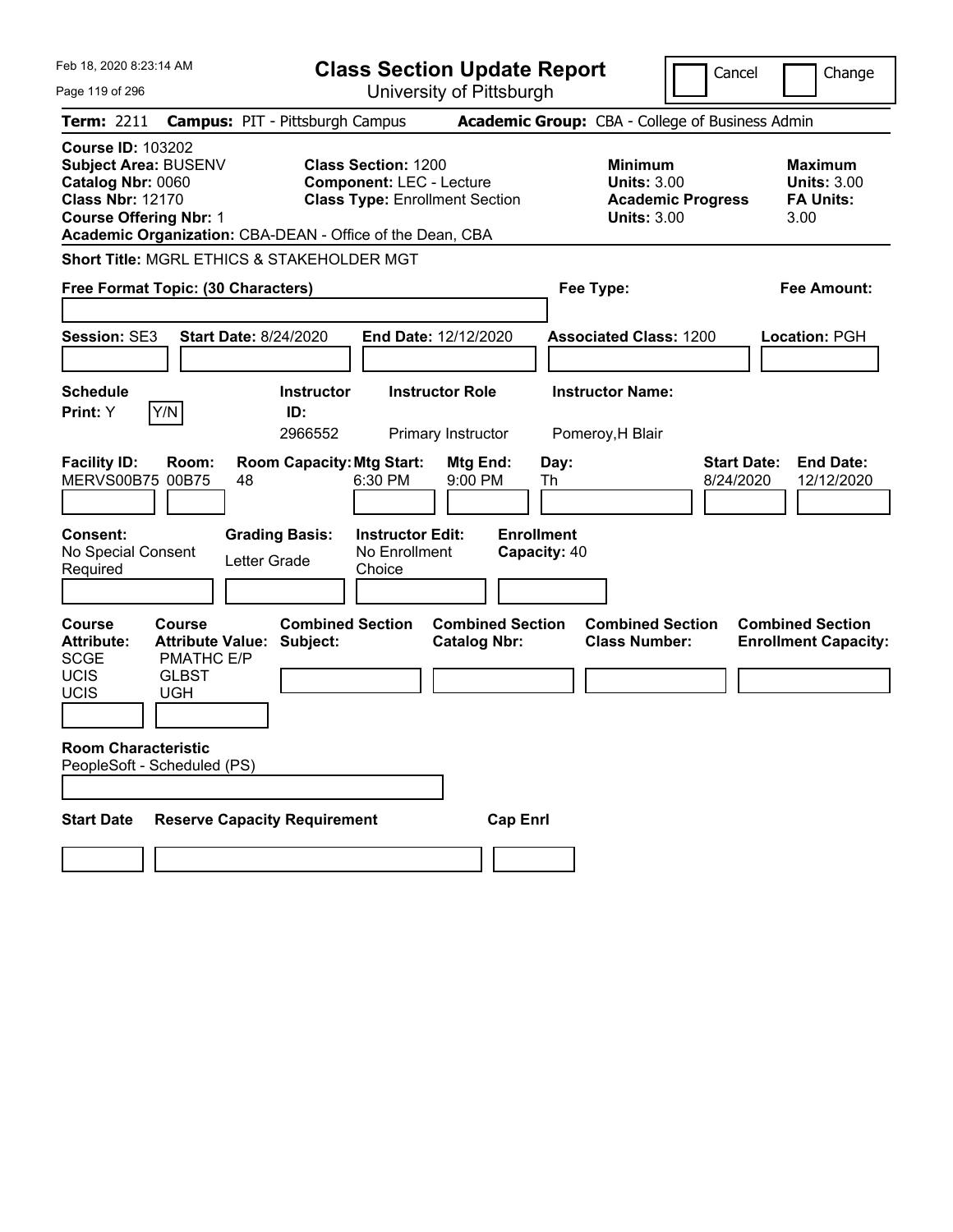| Feb 18. 2020 8:23:14 AM<br>Page 119 of 296                                                                                                                                                     |                                                                                 | <b>Class Section Update Report</b><br>University of Pittsburgh                                         |                                                |                                                            | Cancel                          | Change                                                           |
|------------------------------------------------------------------------------------------------------------------------------------------------------------------------------------------------|---------------------------------------------------------------------------------|--------------------------------------------------------------------------------------------------------|------------------------------------------------|------------------------------------------------------------|---------------------------------|------------------------------------------------------------------|
| Term: 2211                                                                                                                                                                                     | <b>Campus: PIT - Pittsburgh Campus</b>                                          |                                                                                                        |                                                | Academic Group: CBA - College of Business Admin            |                                 |                                                                  |
| <b>Course ID: 103202</b><br>Subject Area: BUSENV<br>Catalog Nbr: 0060<br><b>Class Nbr: 12170</b><br><b>Course Offering Nbr: 1</b><br>Academic Organization: CBA-DEAN - Office of the Dean, CBA |                                                                                 | <b>Class Section: 1200</b><br><b>Component: LEC - Lecture</b><br><b>Class Type: Enrollment Section</b> |                                                | <b>Minimum</b><br><b>Units: 3.00</b><br><b>Units: 3.00</b> | <b>Academic Progress</b>        | <b>Maximum</b><br><b>Units: 3.00</b><br><b>FA Units:</b><br>3.00 |
| Short Title: MGRL ETHICS & STAKEHOLDER MGT                                                                                                                                                     |                                                                                 |                                                                                                        |                                                |                                                            |                                 |                                                                  |
| Free Format Topic: (30 Characters)                                                                                                                                                             |                                                                                 |                                                                                                        |                                                | Fee Type:                                                  |                                 | <b>Fee Amount:</b>                                               |
| Session: SE3                                                                                                                                                                                   | <b>Start Date: 8/24/2020</b>                                                    | End Date: 12/12/2020                                                                                   |                                                | <b>Associated Class: 1200</b>                              |                                 | <b>Location: PGH</b>                                             |
| <b>Schedule</b>                                                                                                                                                                                | <b>Instructor</b>                                                               | <b>Instructor Role</b>                                                                                 |                                                | <b>Instructor Name:</b>                                    |                                 |                                                                  |
| Y/N<br><b>Print:</b> Y                                                                                                                                                                         | ID:<br>2966552                                                                  | Primary Instructor                                                                                     |                                                | Pomeroy, H Blair                                           |                                 |                                                                  |
| <b>Facility ID:</b><br>Room:<br>MERVS00B75 00B75<br><b>Consent:</b><br>No Special Consent<br>Required                                                                                          | <b>Room Capacity: Mtg Start:</b><br>48<br><b>Grading Basis:</b><br>Letter Grade | 6:30 PM<br><b>Instructor Edit:</b><br>No Enrollment<br>Choice                                          | Mtg End:<br>9:00 PM<br><b>Enrollment</b>       | Day:<br>Th<br>Capacity: 40                                 | <b>Start Date:</b><br>8/24/2020 | <b>End Date:</b><br>12/12/2020                                   |
| <b>Course</b><br>Course<br><b>Attribute Value:</b><br><b>Attribute:</b><br><b>SCGE</b><br><b>PMATHC E/P</b><br><b>UCIS</b><br><b>GLBST</b><br>UCIS<br><b>UGH</b>                               | <b>Combined Section</b><br>Subject:                                             |                                                                                                        | <b>Combined Section</b><br><b>Catalog Nbr:</b> | <b>Combined Section</b><br><b>Class Number:</b>            |                                 | <b>Combined Section</b><br><b>Enrollment Capacity:</b>           |
| <b>Room Characteristic</b><br>PeopleSoft - Scheduled (PS)                                                                                                                                      |                                                                                 |                                                                                                        |                                                |                                                            |                                 |                                                                  |
| <b>Start Date</b>                                                                                                                                                                              | <b>Reserve Capacity Requirement</b>                                             |                                                                                                        | <b>Cap Enrl</b>                                |                                                            |                                 |                                                                  |
|                                                                                                                                                                                                |                                                                                 |                                                                                                        |                                                |                                                            |                                 |                                                                  |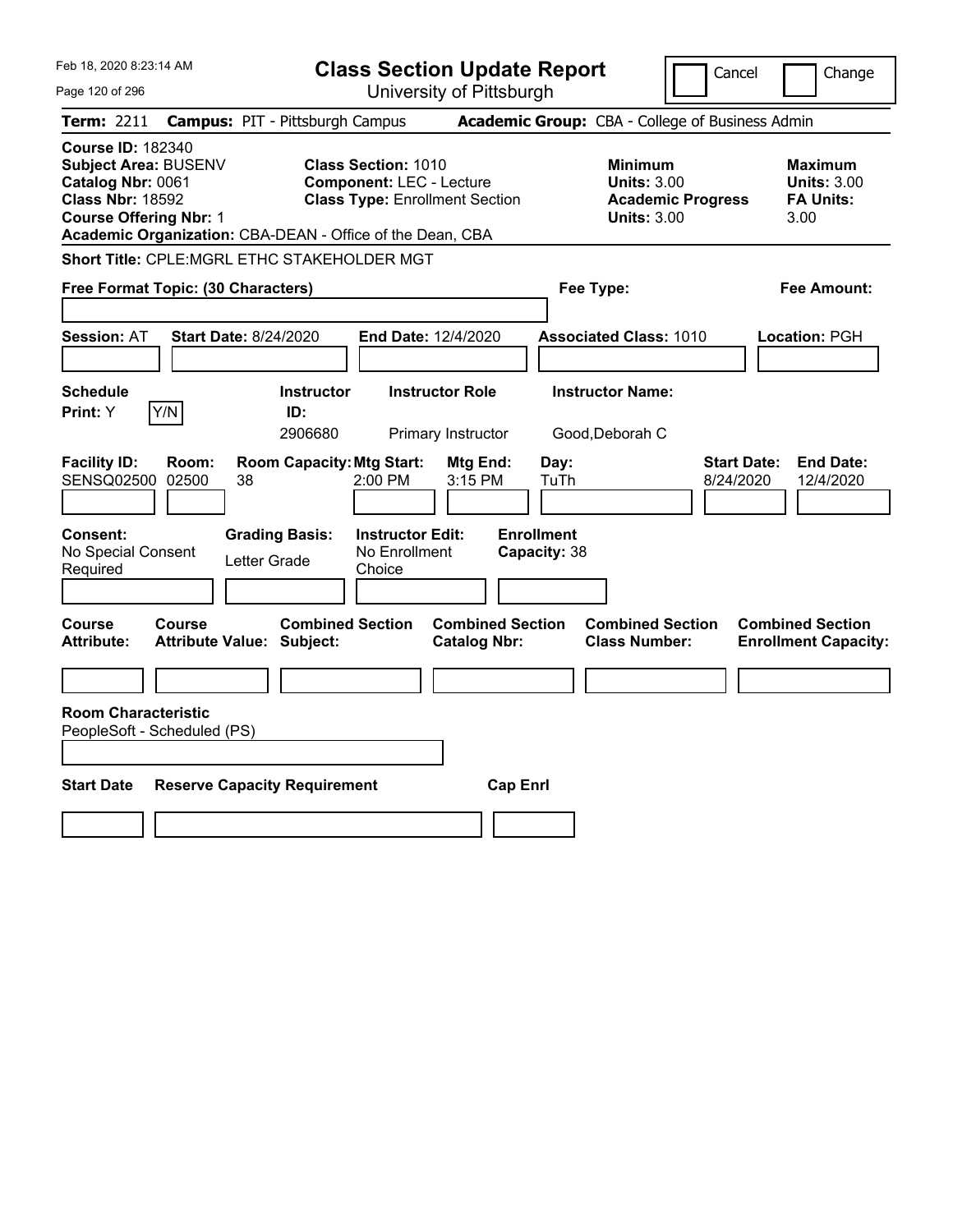| Feb 18, 2020 8:23:14 AM                                                                                                                                                                        |                                                                                                        | <b>Class Section Update Report</b>             |                                                                                        | Cancel<br>Change                                                 |
|------------------------------------------------------------------------------------------------------------------------------------------------------------------------------------------------|--------------------------------------------------------------------------------------------------------|------------------------------------------------|----------------------------------------------------------------------------------------|------------------------------------------------------------------|
| Page 120 of 296                                                                                                                                                                                |                                                                                                        | University of Pittsburgh                       |                                                                                        |                                                                  |
| <b>Term: 2211</b>                                                                                                                                                                              | <b>Campus: PIT - Pittsburgh Campus</b>                                                                 |                                                | <b>Academic Group: CBA - College of Business Admin</b>                                 |                                                                  |
| <b>Course ID: 182340</b><br>Subject Area: BUSENV<br>Catalog Nbr: 0061<br><b>Class Nbr: 18592</b><br><b>Course Offering Nbr: 1</b><br>Academic Organization: CBA-DEAN - Office of the Dean, CBA | <b>Class Section: 1010</b><br><b>Component: LEC - Lecture</b><br><b>Class Type: Enrollment Section</b> |                                                | <b>Minimum</b><br><b>Units: 3.00</b><br><b>Academic Progress</b><br><b>Units: 3.00</b> | <b>Maximum</b><br><b>Units: 3.00</b><br><b>FA Units:</b><br>3.00 |
| Short Title: CPLE: MGRL ETHC STAKEHOLDER MGT                                                                                                                                                   |                                                                                                        |                                                |                                                                                        |                                                                  |
| Free Format Topic: (30 Characters)                                                                                                                                                             |                                                                                                        |                                                | Fee Type:                                                                              | Fee Amount:                                                      |
| <b>Session: AT</b><br><b>Start Date: 8/24/2020</b>                                                                                                                                             |                                                                                                        | End Date: 12/4/2020                            | <b>Associated Class: 1010</b>                                                          | Location: PGH                                                    |
| <b>Schedule</b><br>Y/N<br>Print: Y                                                                                                                                                             | <b>Instructor</b><br>ID:<br>2906680                                                                    | <b>Instructor Role</b><br>Primary Instructor   | <b>Instructor Name:</b><br>Good, Deborah C                                             |                                                                  |
| <b>Facility ID:</b><br>Room:<br>SENSQ02500<br>02500<br>38                                                                                                                                      | <b>Room Capacity: Mtg Start:</b><br>2:00 PM                                                            | Mtg End:<br>3:15 PM                            | Day:<br>TuTh                                                                           | <b>Start Date:</b><br><b>End Date:</b><br>8/24/2020<br>12/4/2020 |
| Consent:<br>No Special Consent<br>Required                                                                                                                                                     | <b>Grading Basis:</b><br><b>Instructor Edit:</b><br>No Enrollment<br>Letter Grade<br>Choice            | <b>Enrollment</b><br>Capacity: 38              |                                                                                        |                                                                  |
| Course<br>Course<br><b>Attribute:</b>                                                                                                                                                          | <b>Combined Section</b><br><b>Attribute Value: Subject:</b>                                            | <b>Combined Section</b><br><b>Catalog Nbr:</b> | <b>Combined Section</b><br><b>Class Number:</b>                                        | <b>Combined Section</b><br><b>Enrollment Capacity:</b>           |
| <b>Room Characteristic</b><br>PeopleSoft - Scheduled (PS)                                                                                                                                      |                                                                                                        |                                                |                                                                                        |                                                                  |
| <b>Start Date</b>                                                                                                                                                                              | <b>Reserve Capacity Requirement</b>                                                                    | <b>Cap Enrl</b>                                |                                                                                        |                                                                  |
|                                                                                                                                                                                                |                                                                                                        |                                                |                                                                                        |                                                                  |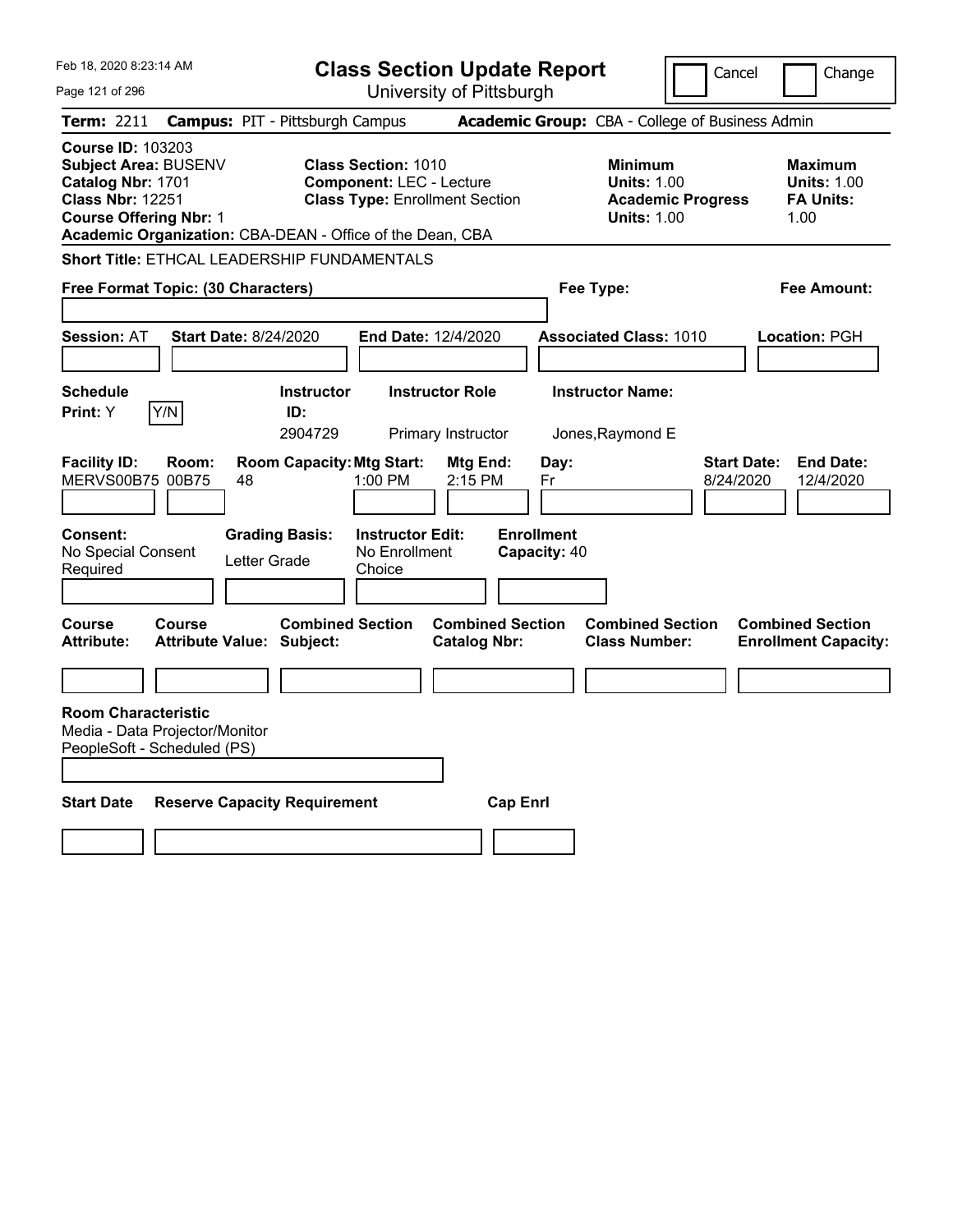| Feb 18, 2020 8:23:14 AM                                                                                                           |               |                                                             |                                                               | <b>Class Section Update Report</b>             |                                   |                                                                                        | Cancel                          | Change                                                           |
|-----------------------------------------------------------------------------------------------------------------------------------|---------------|-------------------------------------------------------------|---------------------------------------------------------------|------------------------------------------------|-----------------------------------|----------------------------------------------------------------------------------------|---------------------------------|------------------------------------------------------------------|
| Page 121 of 296                                                                                                                   |               |                                                             |                                                               | University of Pittsburgh                       |                                   |                                                                                        |                                 |                                                                  |
| <b>Term: 2211</b>                                                                                                                 |               | <b>Campus: PIT - Pittsburgh Campus</b>                      |                                                               |                                                |                                   | Academic Group: CBA - College of Business Admin                                        |                                 |                                                                  |
| <b>Course ID: 103203</b><br>Subject Area: BUSENV<br>Catalog Nbr: 1701<br><b>Class Nbr: 12251</b><br><b>Course Offering Nbr: 1</b> |               | Academic Organization: CBA-DEAN - Office of the Dean, CBA   | <b>Class Section: 1010</b><br><b>Component: LEC - Lecture</b> | <b>Class Type: Enrollment Section</b>          |                                   | <b>Minimum</b><br><b>Units: 1.00</b><br><b>Academic Progress</b><br><b>Units: 1.00</b> |                                 | <b>Maximum</b><br><b>Units: 1.00</b><br><b>FA Units:</b><br>1.00 |
|                                                                                                                                   |               | Short Title: ETHCAL LEADERSHIP FUNDAMENTALS                 |                                                               |                                                |                                   |                                                                                        |                                 |                                                                  |
| Free Format Topic: (30 Characters)                                                                                                |               |                                                             |                                                               |                                                | Fee Type:                         |                                                                                        |                                 | Fee Amount:                                                      |
|                                                                                                                                   |               |                                                             |                                                               |                                                |                                   |                                                                                        |                                 |                                                                  |
| <b>Session: AT</b>                                                                                                                |               | <b>Start Date: 8/24/2020</b>                                | End Date: 12/4/2020                                           |                                                |                                   | <b>Associated Class: 1010</b>                                                          |                                 | Location: PGH                                                    |
|                                                                                                                                   |               |                                                             |                                                               |                                                |                                   |                                                                                        |                                 |                                                                  |
| <b>Schedule</b>                                                                                                                   |               | <b>Instructor</b>                                           |                                                               | <b>Instructor Role</b>                         | <b>Instructor Name:</b>           |                                                                                        |                                 |                                                                  |
| <b>Print:</b> Y                                                                                                                   | Y/N           | ID:                                                         |                                                               |                                                |                                   |                                                                                        |                                 |                                                                  |
|                                                                                                                                   |               | 2904729                                                     |                                                               | Primary Instructor                             | Jones, Raymond E                  |                                                                                        |                                 |                                                                  |
| <b>Facility ID:</b><br>MERVS00B75 00B75                                                                                           | Room:         | <b>Room Capacity: Mtg Start:</b><br>48                      | 1:00 PM                                                       | Mtg End:<br>2:15 PM                            | Day:<br>Fr                        |                                                                                        | <b>Start Date:</b><br>8/24/2020 | <b>End Date:</b><br>12/4/2020                                    |
| Consent:<br>No Special Consent<br>Required                                                                                        |               | <b>Grading Basis:</b><br>Letter Grade                       | <b>Instructor Edit:</b><br>No Enrollment<br>Choice            |                                                | <b>Enrollment</b><br>Capacity: 40 |                                                                                        |                                 |                                                                  |
|                                                                                                                                   |               |                                                             |                                                               |                                                |                                   |                                                                                        |                                 |                                                                  |
| <b>Course</b><br><b>Attribute:</b>                                                                                                | <b>Course</b> | <b>Combined Section</b><br><b>Attribute Value: Subject:</b> |                                                               | <b>Combined Section</b><br><b>Catalog Nbr:</b> |                                   | <b>Combined Section</b><br><b>Class Number:</b>                                        |                                 | <b>Combined Section</b><br><b>Enrollment Capacity:</b>           |
|                                                                                                                                   |               |                                                             |                                                               |                                                |                                   |                                                                                        |                                 |                                                                  |
| <b>Room Characteristic</b><br>Media - Data Projector/Monitor<br>PeopleSoft - Scheduled (PS)                                       |               |                                                             |                                                               |                                                |                                   |                                                                                        |                                 |                                                                  |
| <b>Start Date</b>                                                                                                                 |               | <b>Reserve Capacity Requirement</b>                         |                                                               | <b>Cap Enrl</b>                                |                                   |                                                                                        |                                 |                                                                  |
|                                                                                                                                   |               |                                                             |                                                               |                                                |                                   |                                                                                        |                                 |                                                                  |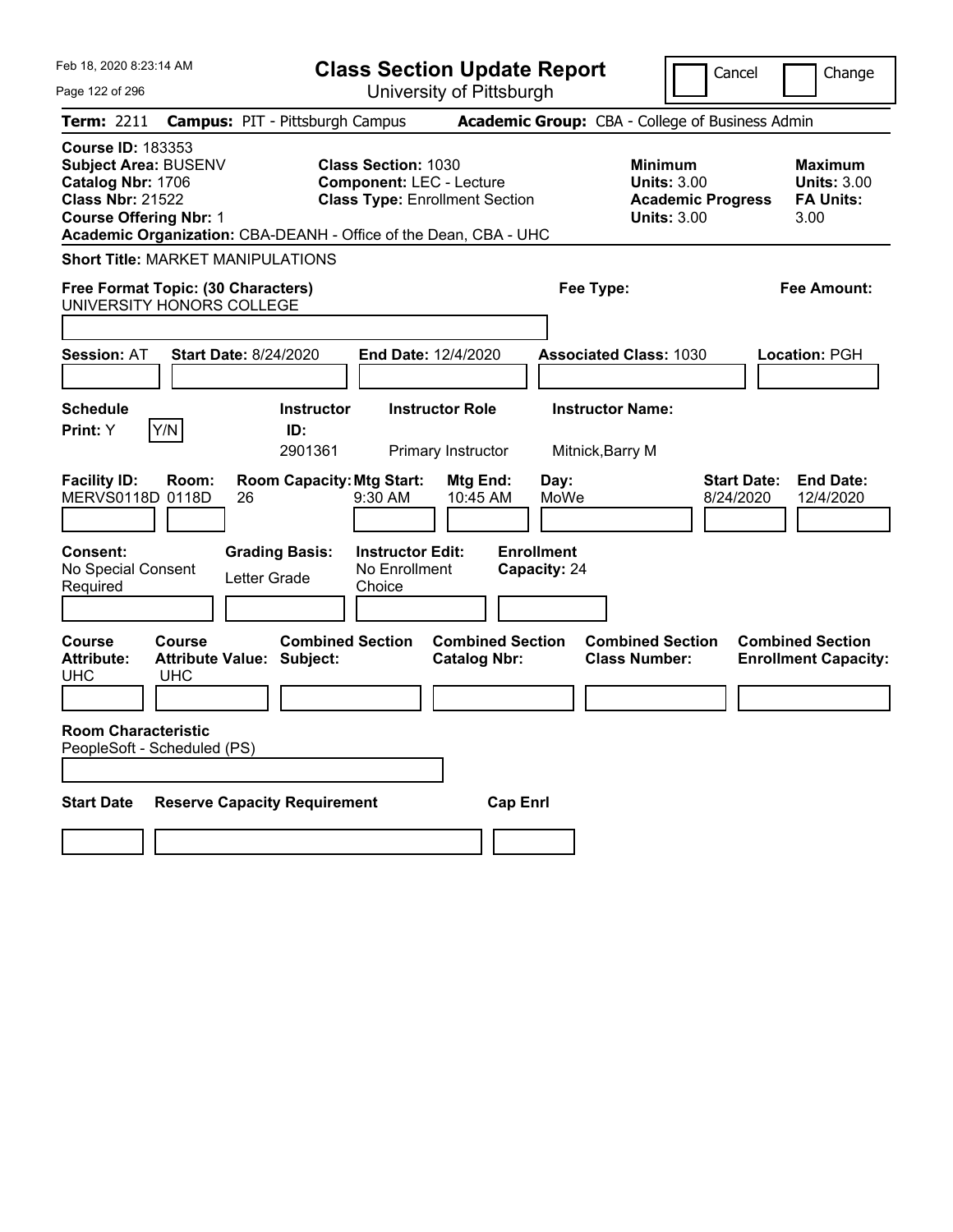| Feb 18, 2020 8:23:14 AM                                                                                                           | <b>Class Section Update Report</b>                                                                                                                                         | Cancel<br>Change                                                                                                                                           |
|-----------------------------------------------------------------------------------------------------------------------------------|----------------------------------------------------------------------------------------------------------------------------------------------------------------------------|------------------------------------------------------------------------------------------------------------------------------------------------------------|
| Page 122 of 296                                                                                                                   | University of Pittsburgh                                                                                                                                                   |                                                                                                                                                            |
| <b>Campus: PIT - Pittsburgh Campus</b><br><b>Term: 2211</b>                                                                       |                                                                                                                                                                            | Academic Group: CBA - College of Business Admin                                                                                                            |
| <b>Course ID: 183353</b><br>Subject Area: BUSENV<br>Catalog Nbr: 1706<br><b>Class Nbr: 21522</b><br><b>Course Offering Nbr: 1</b> | <b>Class Section: 1030</b><br><b>Component: LEC - Lecture</b><br><b>Class Type: Enrollment Section</b><br>Academic Organization: CBA-DEANH - Office of the Dean, CBA - UHC | <b>Minimum</b><br><b>Maximum</b><br><b>Units: 3.00</b><br><b>Units: 3.00</b><br><b>Academic Progress</b><br><b>FA Units:</b><br><b>Units: 3.00</b><br>3.00 |
| <b>Short Title: MARKET MANIPULATIONS</b>                                                                                          |                                                                                                                                                                            |                                                                                                                                                            |
| Free Format Topic: (30 Characters)<br>UNIVERSITY HONORS COLLEGE                                                                   | Fee Type:                                                                                                                                                                  | Fee Amount:                                                                                                                                                |
| <b>Session: AT</b><br><b>Start Date: 8/24/2020</b>                                                                                | End Date: 12/4/2020                                                                                                                                                        | <b>Associated Class: 1030</b><br><b>Location: PGH</b>                                                                                                      |
| <b>Schedule</b><br>Print: Y<br>Y/N<br>ID:                                                                                         | <b>Instructor Name:</b><br><b>Instructor Role</b><br><b>Instructor</b><br>2901361<br>Primary Instructor<br>Mitnick, Barry M                                                |                                                                                                                                                            |
| <b>Facility ID:</b><br>Room:<br>MERVS0118D 0118D<br>26                                                                            | <b>Room Capacity: Mtg Start:</b><br>Day:<br>Mtg End:<br>9:30 AM<br>10:45 AM<br>MoWe                                                                                        | <b>Start Date:</b><br><b>End Date:</b><br>8/24/2020<br>12/4/2020                                                                                           |
| <b>Grading Basis:</b><br><b>Consent:</b><br>No Special Consent<br>Letter Grade<br>Required                                        | <b>Instructor Edit:</b><br><b>Enrollment</b><br>No Enrollment<br>Capacity: 24<br>Choice                                                                                    |                                                                                                                                                            |
| <b>Course</b><br><b>Course</b><br><b>Attribute:</b><br><b>Attribute Value: Subject:</b><br><b>UHC</b><br><b>UHC</b>               | <b>Combined Section</b><br><b>Combined Section</b><br><b>Catalog Nbr:</b>                                                                                                  | <b>Combined Section</b><br><b>Combined Section</b><br><b>Class Number:</b><br><b>Enrollment Capacity:</b>                                                  |
| <b>Room Characteristic</b><br>PeopleSoft - Scheduled (PS)                                                                         |                                                                                                                                                                            |                                                                                                                                                            |
| <b>Start Date</b><br><b>Reserve Capacity Requirement</b>                                                                          | <b>Cap Enrl</b>                                                                                                                                                            |                                                                                                                                                            |
|                                                                                                                                   |                                                                                                                                                                            |                                                                                                                                                            |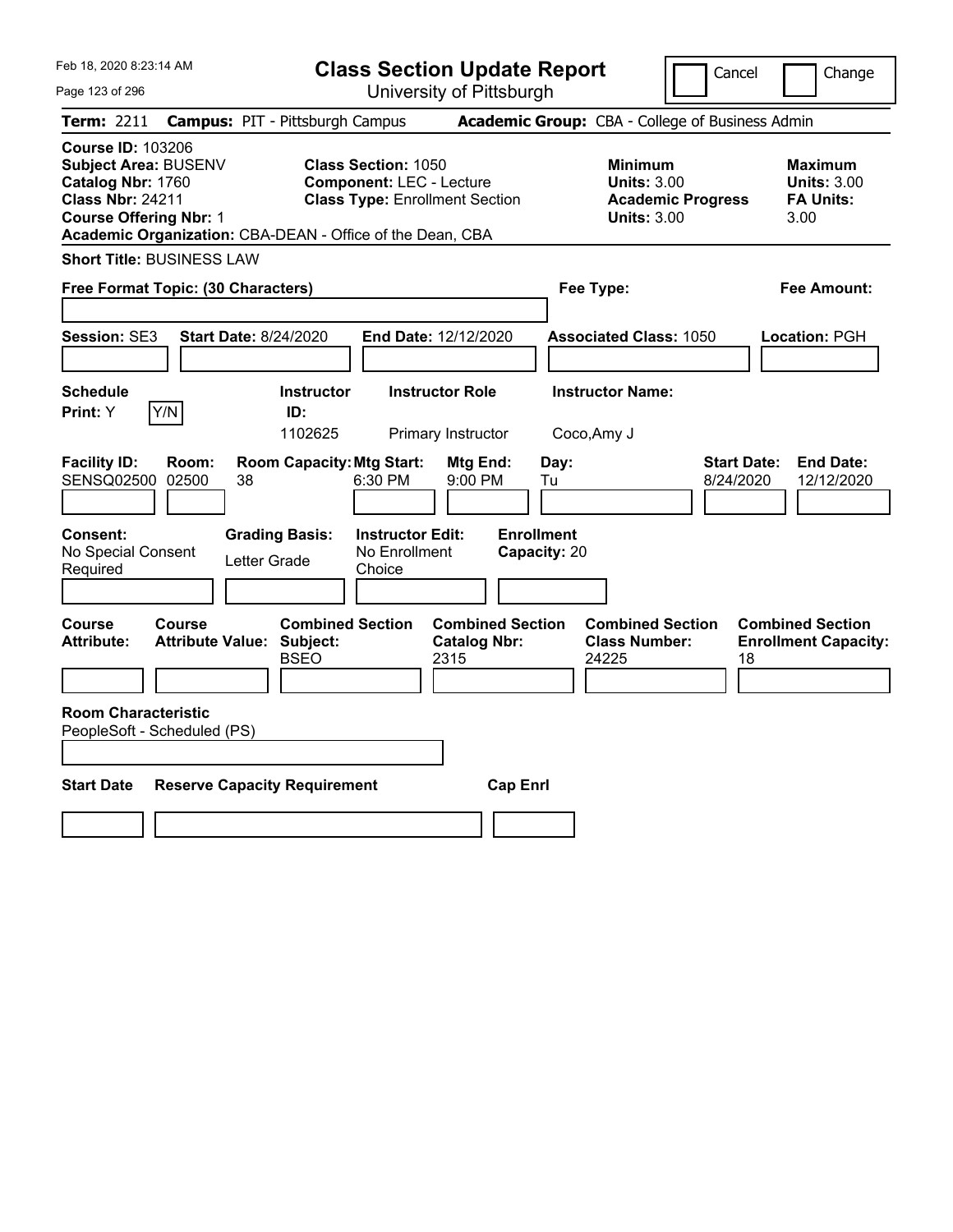| Feb 18, 2020 8:23:14 AM<br>Page 123 of 296                                                                                                                                                     | <b>Class Section Update Report</b><br>University of Pittsburgh                                                                                            |                                                                                        | Change<br>Cancel                                                  |
|------------------------------------------------------------------------------------------------------------------------------------------------------------------------------------------------|-----------------------------------------------------------------------------------------------------------------------------------------------------------|----------------------------------------------------------------------------------------|-------------------------------------------------------------------|
| Term: 2211                                                                                                                                                                                     | <b>Campus: PIT - Pittsburgh Campus</b>                                                                                                                    | Academic Group: CBA - College of Business Admin                                        |                                                                   |
| <b>Course ID: 103206</b><br>Subject Area: BUSENV<br>Catalog Nbr: 1760<br><b>Class Nbr: 24211</b><br><b>Course Offering Nbr: 1</b><br>Academic Organization: CBA-DEAN - Office of the Dean, CBA | Class Section: 1050<br><b>Component: LEC - Lecture</b><br><b>Class Type: Enrollment Section</b>                                                           | <b>Minimum</b><br><b>Units: 3.00</b><br><b>Academic Progress</b><br><b>Units: 3.00</b> | <b>Maximum</b><br><b>Units: 3.00</b><br><b>FA Units:</b><br>3.00  |
| <b>Short Title: BUSINESS LAW</b>                                                                                                                                                               |                                                                                                                                                           |                                                                                        |                                                                   |
| Free Format Topic: (30 Characters)                                                                                                                                                             |                                                                                                                                                           | Fee Type:                                                                              | Fee Amount:                                                       |
| <b>Session: SE3</b><br><b>Start Date: 8/24/2020</b>                                                                                                                                            | End Date: 12/12/2020                                                                                                                                      | <b>Associated Class: 1050</b>                                                          | Location: PGH                                                     |
| <b>Schedule</b>                                                                                                                                                                                | <b>Instructor</b><br><b>Instructor Role</b>                                                                                                               | <b>Instructor Name:</b>                                                                |                                                                   |
| Y/N<br>Print: Y                                                                                                                                                                                | ID:                                                                                                                                                       |                                                                                        |                                                                   |
| <b>Facility ID:</b><br>Room:<br><b>SENSQ02500</b><br>02500<br>38<br><b>Consent:</b><br><b>Grading Basis:</b><br>No Special Consent<br>Letter Grade<br>Required                                 | 1102625<br>Primary Instructor<br><b>Room Capacity: Mtg Start:</b><br>Mtg End:<br>6:30 PM<br>9:00 PM<br><b>Instructor Edit:</b><br>No Enrollment<br>Choice | Coco, Amy J<br>Day:<br>Tu<br><b>Enrollment</b><br>Capacity: 20                         | <b>Start Date:</b><br><b>End Date:</b><br>8/24/2020<br>12/12/2020 |
|                                                                                                                                                                                                |                                                                                                                                                           |                                                                                        |                                                                   |
| Course<br>Course<br><b>Attribute Value: Subject:</b><br><b>Attribute:</b><br><b>Room Characteristic</b>                                                                                        | <b>Combined Section</b><br><b>Combined Section</b><br><b>Catalog Nbr:</b><br><b>BSEO</b><br>2315                                                          | <b>Combined Section</b><br><b>Class Number:</b><br>24225                               | <b>Combined Section</b><br><b>Enrollment Capacity:</b><br>18      |
| PeopleSoft - Scheduled (PS)                                                                                                                                                                    |                                                                                                                                                           |                                                                                        |                                                                   |
| <b>Start Date</b><br><b>Reserve Capacity Requirement</b>                                                                                                                                       |                                                                                                                                                           | <b>Cap Enrl</b>                                                                        |                                                                   |
|                                                                                                                                                                                                |                                                                                                                                                           |                                                                                        |                                                                   |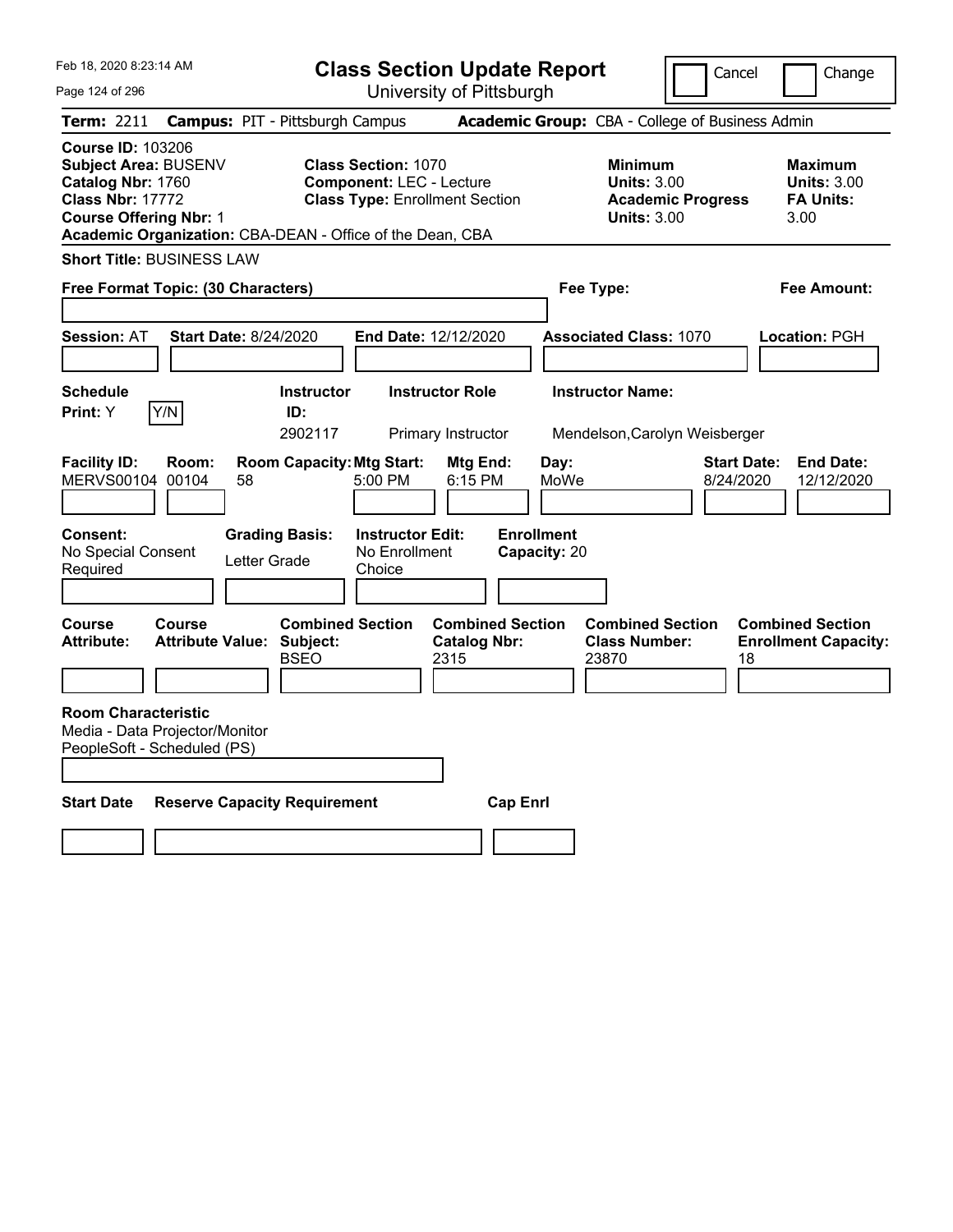| Feb 18, 2020 8:23:14 AM                                                                                                                                                                        |                                                 | <b>Class Section Update Report</b>                                                                     |                                                        |                                                            | Cancel                          | Change                                                           |
|------------------------------------------------------------------------------------------------------------------------------------------------------------------------------------------------|-------------------------------------------------|--------------------------------------------------------------------------------------------------------|--------------------------------------------------------|------------------------------------------------------------|---------------------------------|------------------------------------------------------------------|
| Page 124 of 296                                                                                                                                                                                |                                                 |                                                                                                        | University of Pittsburgh                               |                                                            |                                 |                                                                  |
| <b>Term: 2211</b>                                                                                                                                                                              | <b>Campus: PIT - Pittsburgh Campus</b>          |                                                                                                        |                                                        | Academic Group: CBA - College of Business Admin            |                                 |                                                                  |
| <b>Course ID: 103206</b><br>Subject Area: BUSENV<br>Catalog Nbr: 1760<br><b>Class Nbr: 17772</b><br><b>Course Offering Nbr: 1</b><br>Academic Organization: CBA-DEAN - Office of the Dean, CBA |                                                 | <b>Class Section: 1070</b><br><b>Component: LEC - Lecture</b><br><b>Class Type: Enrollment Section</b> |                                                        | <b>Minimum</b><br><b>Units: 3.00</b><br><b>Units: 3.00</b> | <b>Academic Progress</b>        | <b>Maximum</b><br><b>Units: 3.00</b><br><b>FA Units:</b><br>3.00 |
| <b>Short Title: BUSINESS LAW</b>                                                                                                                                                               |                                                 |                                                                                                        |                                                        |                                                            |                                 |                                                                  |
| Free Format Topic: (30 Characters)                                                                                                                                                             |                                                 |                                                                                                        |                                                        | Fee Type:                                                  |                                 | Fee Amount:                                                      |
| <b>Session: AT</b>                                                                                                                                                                             | <b>Start Date: 8/24/2020</b>                    | <b>End Date: 12/12/2020</b>                                                                            |                                                        | <b>Associated Class: 1070</b>                              |                                 | <b>Location: PGH</b>                                             |
| <b>Schedule</b>                                                                                                                                                                                |                                                 | <b>Instructor</b>                                                                                      | <b>Instructor Role</b>                                 | <b>Instructor Name:</b>                                    |                                 |                                                                  |
| Y/N<br>Print: Y                                                                                                                                                                                | ID:                                             | 2902117                                                                                                | Primary Instructor                                     |                                                            | Mendelson, Carolyn Weisberger   |                                                                  |
| <b>Facility ID:</b><br>Room:<br>MERVS00104 00104<br><b>Consent:</b><br>No Special Consent<br>Required                                                                                          | 58<br><b>Grading Basis:</b><br>Letter Grade     | <b>Room Capacity: Mtg Start:</b><br>5:00 PM<br><b>Instructor Edit:</b><br>No Enrollment<br>Choice      | Mtg End:<br>6:15 PM                                    | Day:<br>MoWe<br><b>Enrollment</b><br>Capacity: 20          | <b>Start Date:</b><br>8/24/2020 | <b>End Date:</b><br>12/12/2020                                   |
|                                                                                                                                                                                                |                                                 |                                                                                                        |                                                        |                                                            |                                 |                                                                  |
| Course<br>Course<br><b>Attribute:</b>                                                                                                                                                          | <b>Attribute Value: Subject:</b><br><b>BSEO</b> | <b>Combined Section</b>                                                                                | <b>Combined Section</b><br><b>Catalog Nbr:</b><br>2315 | <b>Class Number:</b><br>23870                              | <b>Combined Section</b><br>18   | <b>Combined Section</b><br><b>Enrollment Capacity:</b>           |
| <b>Room Characteristic</b><br>Media - Data Projector/Monitor<br>PeopleSoft - Scheduled (PS)                                                                                                    |                                                 |                                                                                                        |                                                        |                                                            |                                 |                                                                  |
| <b>Start Date</b>                                                                                                                                                                              | <b>Reserve Capacity Requirement</b>             |                                                                                                        | <b>Cap Enrl</b>                                        |                                                            |                                 |                                                                  |
|                                                                                                                                                                                                |                                                 |                                                                                                        |                                                        |                                                            |                                 |                                                                  |
|                                                                                                                                                                                                |                                                 |                                                                                                        |                                                        |                                                            |                                 |                                                                  |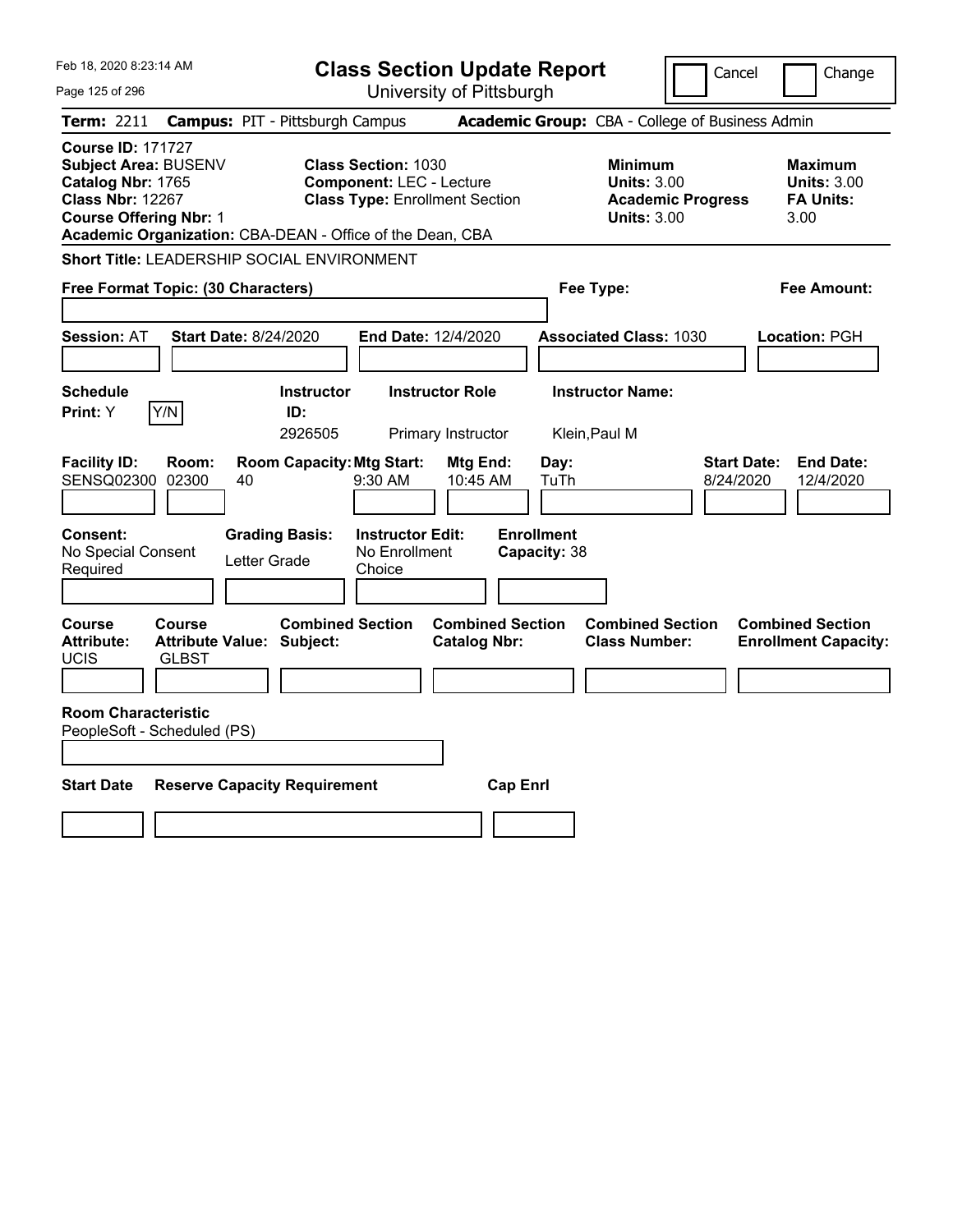| Feb 18, 2020 8:23:14 AM                                                                                                                                                                        | <b>Class Section Update Report</b>                                                                     |                                                                                        | Cancel<br>Change                                                 |
|------------------------------------------------------------------------------------------------------------------------------------------------------------------------------------------------|--------------------------------------------------------------------------------------------------------|----------------------------------------------------------------------------------------|------------------------------------------------------------------|
| Page 125 of 296                                                                                                                                                                                | University of Pittsburgh                                                                               |                                                                                        |                                                                  |
| <b>Term: 2211</b>                                                                                                                                                                              | <b>Campus: PIT - Pittsburgh Campus</b>                                                                 | Academic Group: CBA - College of Business Admin                                        |                                                                  |
| <b>Course ID: 171727</b><br>Subject Area: BUSENV<br>Catalog Nbr: 1765<br><b>Class Nbr: 12267</b><br><b>Course Offering Nbr: 1</b><br>Academic Organization: CBA-DEAN - Office of the Dean, CBA | <b>Class Section: 1030</b><br><b>Component: LEC - Lecture</b><br><b>Class Type: Enrollment Section</b> | <b>Minimum</b><br><b>Units: 3.00</b><br><b>Academic Progress</b><br><b>Units: 3.00</b> | <b>Maximum</b><br><b>Units: 3.00</b><br><b>FA Units:</b><br>3.00 |
| Short Title: LEADERSHIP SOCIAL ENVIRONMENT                                                                                                                                                     |                                                                                                        |                                                                                        |                                                                  |
| Free Format Topic: (30 Characters)                                                                                                                                                             |                                                                                                        | Fee Type:                                                                              | Fee Amount:                                                      |
| <b>Session: AT</b><br><b>Start Date: 8/24/2020</b>                                                                                                                                             | <b>End Date: 12/4/2020</b>                                                                             | <b>Associated Class: 1030</b>                                                          | Location: PGH                                                    |
| <b>Schedule</b><br>Y/N<br>Print: Y                                                                                                                                                             | <b>Instructor Role</b><br><b>Instructor</b><br>ID:<br>2926505<br>Primary Instructor                    | <b>Instructor Name:</b><br>Klein, Paul M                                               |                                                                  |
| <b>Facility ID:</b><br>Room:<br>SENSQ02300 02300<br>40                                                                                                                                         | <b>Room Capacity: Mtg Start:</b><br>Mtg End:<br>9:30 AM<br>10:45 AM                                    | Day:<br>TuTh                                                                           | <b>Start Date:</b><br><b>End Date:</b><br>8/24/2020<br>12/4/2020 |
| Consent:<br><b>Grading Basis:</b><br>No Special Consent<br>Letter Grade<br>Required                                                                                                            | <b>Instructor Edit:</b><br>No Enrollment<br>Choice                                                     | <b>Enrollment</b><br>Capacity: 38                                                      |                                                                  |
| Course<br>Course<br><b>Attribute:</b><br><b>Attribute Value: Subject:</b><br><b>GLBST</b><br>UCIS                                                                                              | <b>Combined Section</b><br><b>Combined Section</b><br><b>Catalog Nbr:</b>                              | <b>Combined Section</b><br><b>Class Number:</b>                                        | <b>Combined Section</b><br><b>Enrollment Capacity:</b>           |
| <b>Room Characteristic</b><br>PeopleSoft - Scheduled (PS)                                                                                                                                      |                                                                                                        |                                                                                        |                                                                  |
| <b>Start Date</b><br><b>Reserve Capacity Requirement</b>                                                                                                                                       |                                                                                                        | <b>Cap Enrl</b>                                                                        |                                                                  |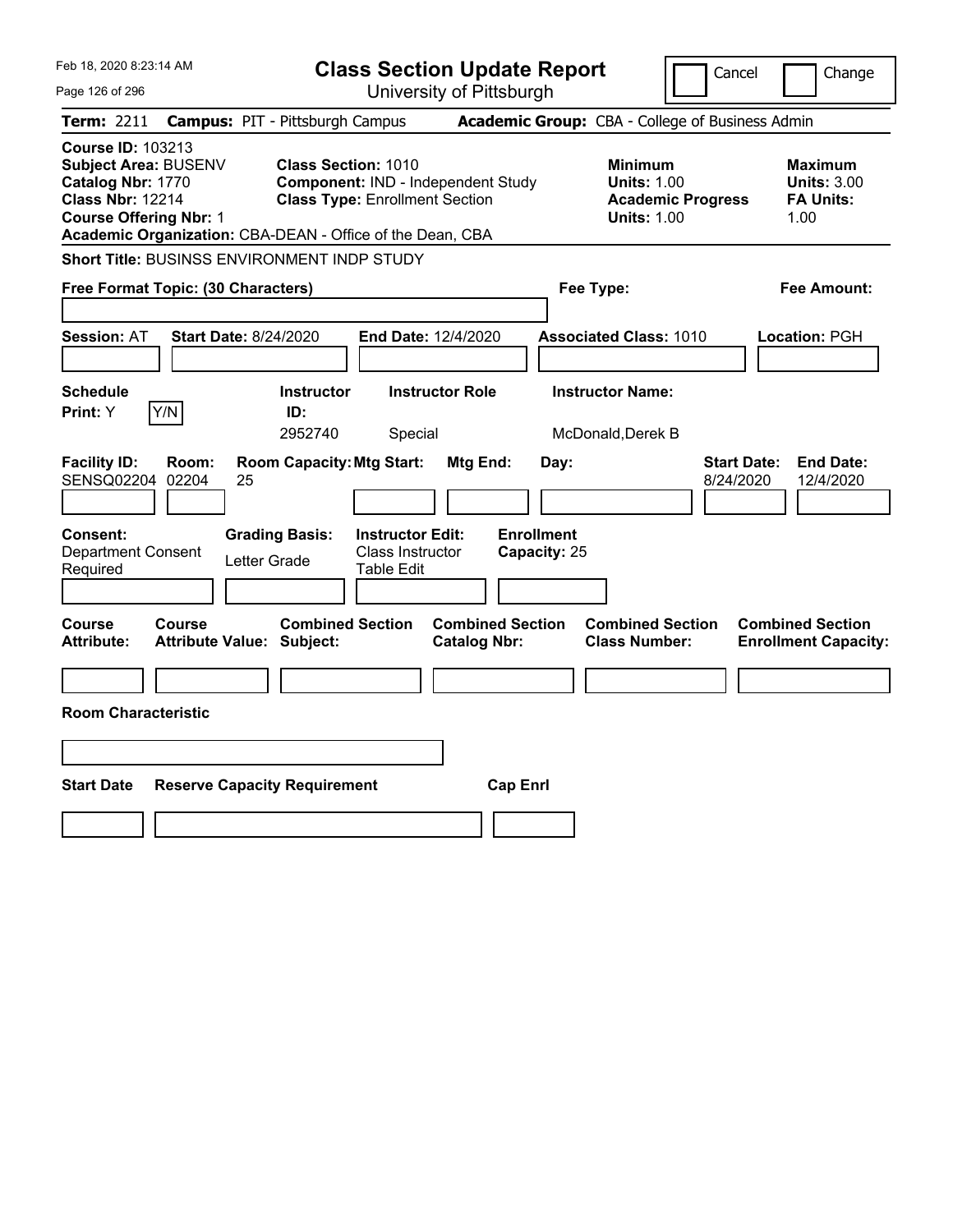| Feb 18, 2020 8:23:14 AM                                                                                                                                                                        |                                            |                                                                                                                  |                                                           |                          | <b>Class Section Update Report</b> |                                                            | Cancel                          | Change                                                           |
|------------------------------------------------------------------------------------------------------------------------------------------------------------------------------------------------|--------------------------------------------|------------------------------------------------------------------------------------------------------------------|-----------------------------------------------------------|--------------------------|------------------------------------|------------------------------------------------------------|---------------------------------|------------------------------------------------------------------|
| Page 126 of 296                                                                                                                                                                                |                                            |                                                                                                                  |                                                           | University of Pittsburgh |                                    |                                                            |                                 |                                                                  |
| Term: 2211                                                                                                                                                                                     | <b>Campus: PIT - Pittsburgh Campus</b>     |                                                                                                                  |                                                           |                          |                                    | Academic Group: CBA - College of Business Admin            |                                 |                                                                  |
| <b>Course ID: 103213</b><br>Subject Area: BUSENV<br>Catalog Nbr: 1770<br><b>Class Nbr: 12214</b><br><b>Course Offering Nbr: 1</b><br>Academic Organization: CBA-DEAN - Office of the Dean, CBA |                                            | <b>Class Section: 1010</b><br><b>Component: IND - Independent Study</b><br><b>Class Type: Enrollment Section</b> |                                                           |                          |                                    | <b>Minimum</b><br><b>Units: 1.00</b><br><b>Units: 1.00</b> | <b>Academic Progress</b>        | <b>Maximum</b><br><b>Units: 3.00</b><br><b>FA Units:</b><br>1.00 |
| Short Title: BUSINSS ENVIRONMENT INDP STUDY                                                                                                                                                    |                                            |                                                                                                                  |                                                           |                          |                                    |                                                            |                                 |                                                                  |
| Free Format Topic: (30 Characters)                                                                                                                                                             |                                            |                                                                                                                  |                                                           |                          |                                    | Fee Type:                                                  |                                 | Fee Amount:                                                      |
| <b>Session: AT</b>                                                                                                                                                                             | <b>Start Date: 8/24/2020</b>               |                                                                                                                  | End Date: 12/4/2020                                       |                          |                                    | <b>Associated Class: 1010</b>                              |                                 | Location: PGH                                                    |
| <b>Schedule</b><br>Y/N<br>Print: Y                                                                                                                                                             |                                            | <b>Instructor</b><br>ID:<br>2952740                                                                              | Special                                                   | <b>Instructor Role</b>   |                                    | <b>Instructor Name:</b><br>McDonald, Derek B               |                                 |                                                                  |
| <b>Facility ID:</b><br>SENSQ02204                                                                                                                                                              | Room:<br>02204<br>25                       | <b>Room Capacity: Mtg Start:</b>                                                                                 |                                                           | Mtg End:                 | Day:                               |                                                            | <b>Start Date:</b><br>8/24/2020 | <b>End Date:</b><br>12/4/2020                                    |
| <b>Consent:</b><br><b>Department Consent</b><br>Required                                                                                                                                       | Letter Grade                               | <b>Grading Basis:</b>                                                                                            | <b>Instructor Edit:</b><br>Class Instructor<br>Table Edit |                          | <b>Enrollment</b><br>Capacity: 25  |                                                            |                                 |                                                                  |
| Course<br>Attribute:                                                                                                                                                                           | Course<br><b>Attribute Value: Subject:</b> | <b>Combined Section</b>                                                                                          |                                                           | <b>Catalog Nbr:</b>      | <b>Combined Section</b>            | <b>Combined Section</b><br><b>Class Number:</b>            |                                 | <b>Combined Section</b><br><b>Enrollment Capacity:</b>           |
| <b>Room Characteristic</b>                                                                                                                                                                     |                                            |                                                                                                                  |                                                           |                          |                                    |                                                            |                                 |                                                                  |
|                                                                                                                                                                                                |                                            |                                                                                                                  |                                                           |                          |                                    |                                                            |                                 |                                                                  |
| <b>Start Date</b>                                                                                                                                                                              | <b>Reserve Capacity Requirement</b>        |                                                                                                                  |                                                           |                          | <b>Cap Enrl</b>                    |                                                            |                                 |                                                                  |
|                                                                                                                                                                                                |                                            |                                                                                                                  |                                                           |                          |                                    |                                                            |                                 |                                                                  |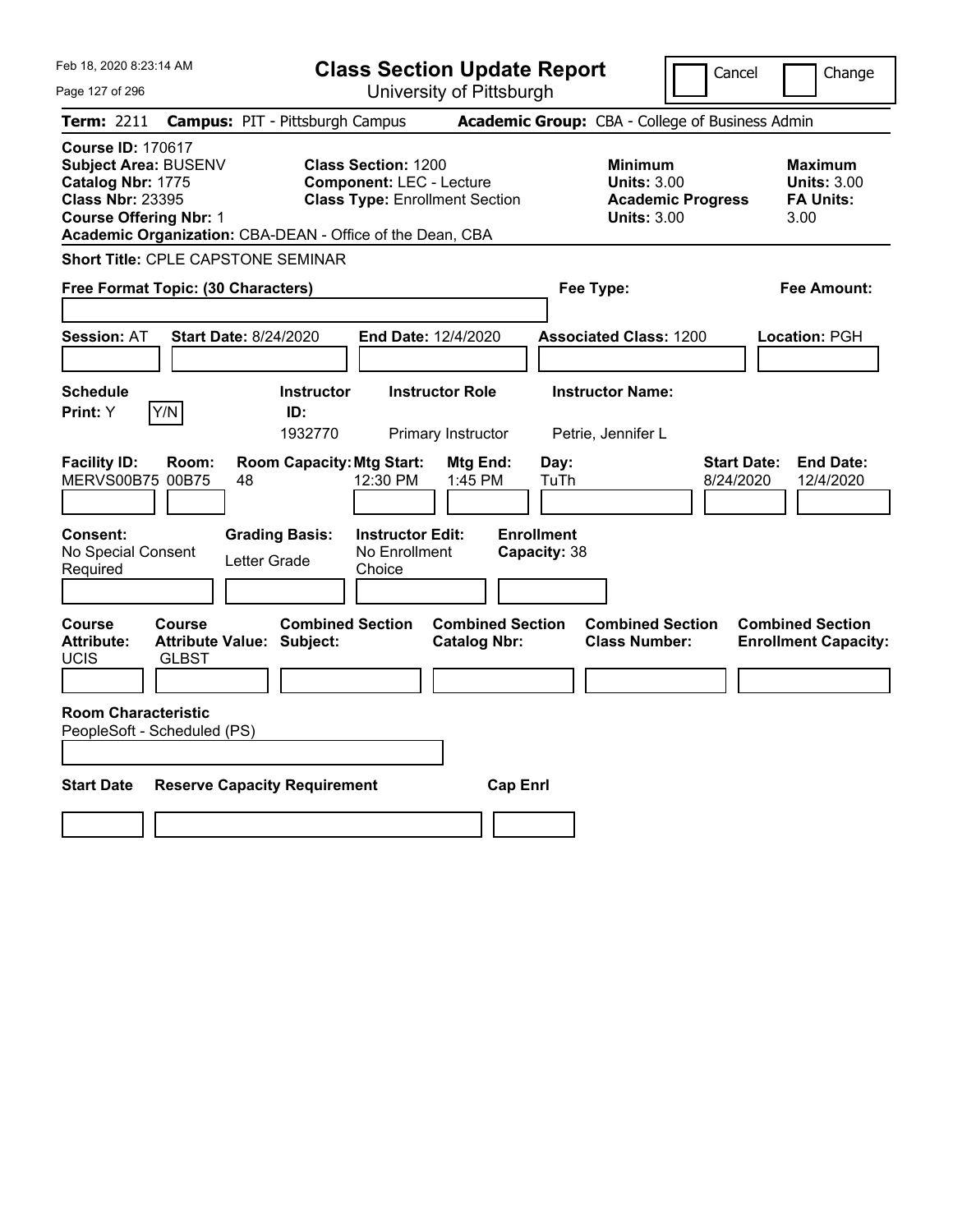| Feb 18, 2020 8:23:14 AM                                                                                                           | <b>Class Section Update Report</b>                                                                                                                                  | Cancel                                                                                 | Change                                                           |
|-----------------------------------------------------------------------------------------------------------------------------------|---------------------------------------------------------------------------------------------------------------------------------------------------------------------|----------------------------------------------------------------------------------------|------------------------------------------------------------------|
| Page 127 of 296                                                                                                                   | University of Pittsburgh                                                                                                                                            |                                                                                        |                                                                  |
| <b>Term: 2211</b>                                                                                                                 | <b>Campus: PIT - Pittsburgh Campus</b>                                                                                                                              | Academic Group: CBA - College of Business Admin                                        |                                                                  |
| <b>Course ID: 170617</b><br>Subject Area: BUSENV<br>Catalog Nbr: 1775<br><b>Class Nbr: 23395</b><br><b>Course Offering Nbr: 1</b> | <b>Class Section: 1200</b><br><b>Component: LEC - Lecture</b><br><b>Class Type: Enrollment Section</b><br>Academic Organization: CBA-DEAN - Office of the Dean, CBA | <b>Minimum</b><br><b>Units: 3.00</b><br><b>Academic Progress</b><br><b>Units: 3.00</b> | <b>Maximum</b><br><b>Units: 3.00</b><br><b>FA Units:</b><br>3.00 |
| <b>Short Title: CPLE CAPSTONE SEMINAR</b>                                                                                         |                                                                                                                                                                     |                                                                                        |                                                                  |
| Free Format Topic: (30 Characters)                                                                                                |                                                                                                                                                                     | Fee Type:                                                                              | Fee Amount:                                                      |
| <b>Start Date: 8/24/2020</b><br><b>Session: AT</b>                                                                                | End Date: 12/4/2020                                                                                                                                                 | <b>Associated Class: 1200</b>                                                          | Location: PGH                                                    |
| <b>Schedule</b><br>Y/N<br>Print: Y                                                                                                | <b>Instructor</b><br><b>Instructor Role</b><br>ID:<br>1932770<br>Primary Instructor                                                                                 | <b>Instructor Name:</b><br>Petrie, Jennifer L                                          |                                                                  |
| <b>Facility ID:</b><br>Room:<br>MERVS00B75 00B75<br>48                                                                            | <b>Room Capacity: Mtg Start:</b><br><b>Mtg End:</b><br>12:30 PM<br>1:45 PM                                                                                          | Day:<br>TuTh<br>8/24/2020                                                              | <b>Start Date:</b><br><b>End Date:</b><br>12/4/2020              |
| Consent:<br>No Special Consent<br>Letter Grade<br>Required                                                                        | <b>Grading Basis:</b><br><b>Instructor Edit:</b><br>No Enrollment<br>Choice                                                                                         | <b>Enrollment</b><br>Capacity: 38                                                      |                                                                  |
| Course<br><b>Course</b><br><b>Attribute:</b><br><b>Attribute Value: Subject:</b><br>UCIS<br><b>GLBST</b>                          | <b>Combined Section</b><br><b>Combined Section</b><br><b>Catalog Nbr:</b>                                                                                           | <b>Combined Section</b><br><b>Class Number:</b>                                        | <b>Combined Section</b><br><b>Enrollment Capacity:</b>           |
|                                                                                                                                   |                                                                                                                                                                     |                                                                                        |                                                                  |
| <b>Room Characteristic</b><br>PeopleSoft - Scheduled (PS)                                                                         |                                                                                                                                                                     |                                                                                        |                                                                  |
| <b>Start Date</b><br><b>Reserve Capacity Requirement</b>                                                                          |                                                                                                                                                                     | <b>Cap Enrl</b>                                                                        |                                                                  |
|                                                                                                                                   |                                                                                                                                                                     |                                                                                        |                                                                  |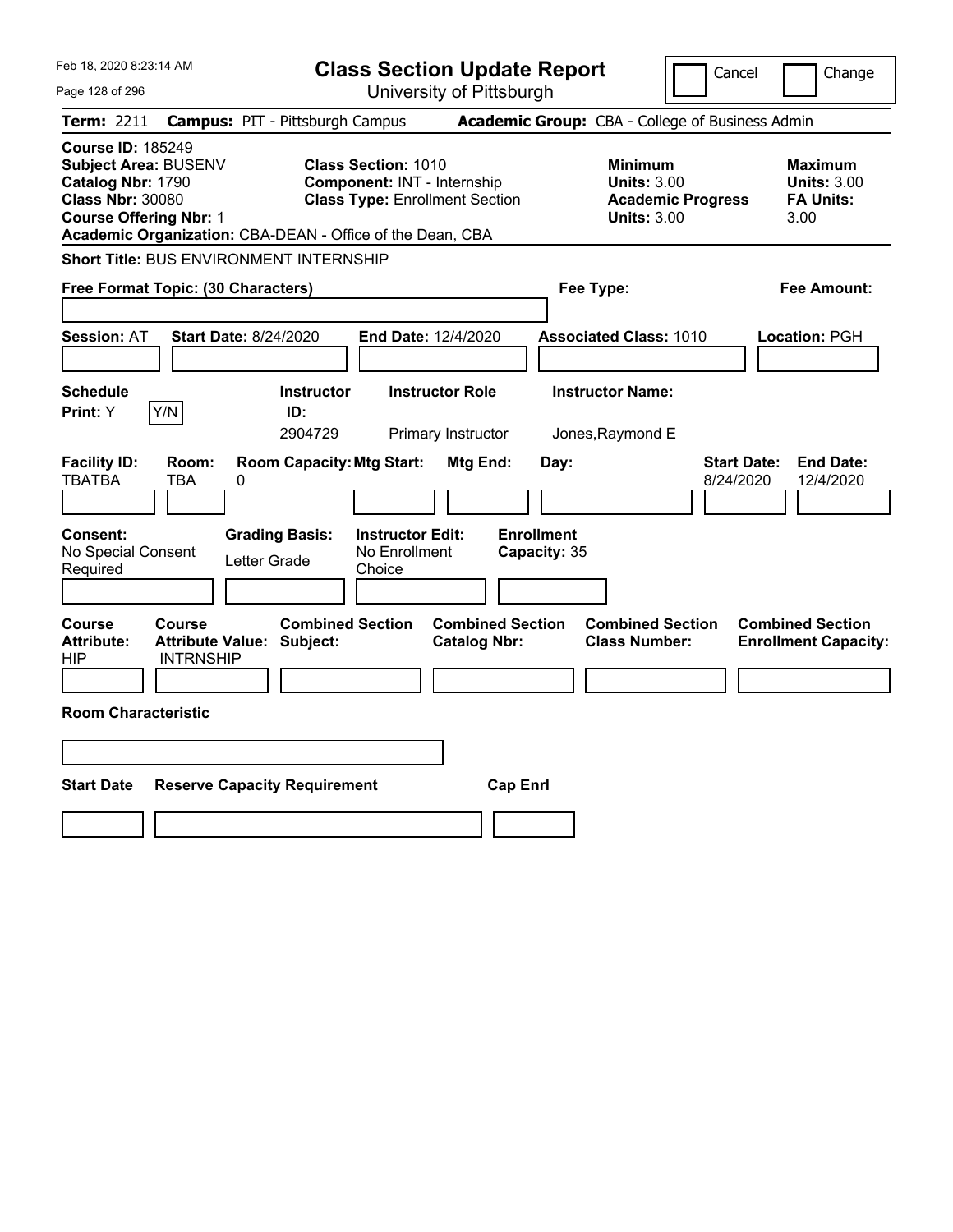| Feb 18, 2020 8:23:14 AM                                                                                                                                                                        | <b>Class Section Update Report</b>                                                                 |                                                                                                   | Cancel<br>Change                                                                             |
|------------------------------------------------------------------------------------------------------------------------------------------------------------------------------------------------|----------------------------------------------------------------------------------------------------|---------------------------------------------------------------------------------------------------|----------------------------------------------------------------------------------------------|
| Page 128 of 296                                                                                                                                                                                | University of Pittsburgh                                                                           |                                                                                                   |                                                                                              |
| <b>Term: 2211</b>                                                                                                                                                                              | <b>Campus: PIT - Pittsburgh Campus</b>                                                             | Academic Group: CBA - College of Business Admin                                                   |                                                                                              |
| <b>Course ID: 185249</b><br>Subject Area: BUSENV<br>Catalog Nbr: 1790<br><b>Class Nbr: 30080</b><br><b>Course Offering Nbr: 1</b><br>Academic Organization: CBA-DEAN - Office of the Dean, CBA | <b>Class Section: 1010</b><br>Component: INT - Internship<br><b>Class Type: Enrollment Section</b> | <b>Minimum</b><br><b>Units: 3.00</b><br><b>Units: 3.00</b>                                        | <b>Maximum</b><br><b>Units: 3.00</b><br><b>Academic Progress</b><br><b>FA Units:</b><br>3.00 |
| Short Title: BUS ENVIRONMENT INTERNSHIP                                                                                                                                                        |                                                                                                    |                                                                                                   |                                                                                              |
| Free Format Topic: (30 Characters)                                                                                                                                                             |                                                                                                    | Fee Type:                                                                                         | Fee Amount:                                                                                  |
| <b>Start Date: 8/24/2020</b><br><b>Session: AT</b>                                                                                                                                             | End Date: 12/4/2020                                                                                | <b>Associated Class: 1010</b>                                                                     | Location: PGH                                                                                |
| <b>Schedule</b><br>Y/N<br>Print: Y                                                                                                                                                             | <b>Instructor</b><br><b>Instructor Role</b><br>ID:<br>2904729<br>Primary Instructor                | <b>Instructor Name:</b><br>Jones, Raymond E                                                       |                                                                                              |
| <b>Facility ID:</b><br>Room:<br><b>TBATBA</b><br>TBA<br>0                                                                                                                                      | <b>Room Capacity: Mtg Start:</b>                                                                   | Mtg End:<br>Day:                                                                                  | <b>Start Date:</b><br><b>End Date:</b><br>8/24/2020<br>12/4/2020                             |
| Consent:<br><b>Grading Basis:</b><br>No Special Consent<br>Letter Grade<br>Required                                                                                                            | <b>Instructor Edit:</b><br>No Enrollment<br>Choice                                                 | <b>Enrollment</b><br>Capacity: 35                                                                 |                                                                                              |
| Course<br><b>Course</b><br><b>Attribute:</b><br>Attribute Value: Subject:<br>HIP<br><b>INTRNSHIP</b>                                                                                           | <b>Combined Section</b>                                                                            | <b>Combined Section</b><br><b>Combined Section</b><br><b>Class Number:</b><br><b>Catalog Nbr:</b> | <b>Combined Section</b><br><b>Enrollment Capacity:</b>                                       |
| <b>Room Characteristic</b>                                                                                                                                                                     |                                                                                                    |                                                                                                   |                                                                                              |
|                                                                                                                                                                                                |                                                                                                    |                                                                                                   |                                                                                              |
| <b>Start Date</b><br><b>Reserve Capacity Requirement</b>                                                                                                                                       |                                                                                                    | <b>Cap Enrl</b>                                                                                   |                                                                                              |
|                                                                                                                                                                                                |                                                                                                    |                                                                                                   |                                                                                              |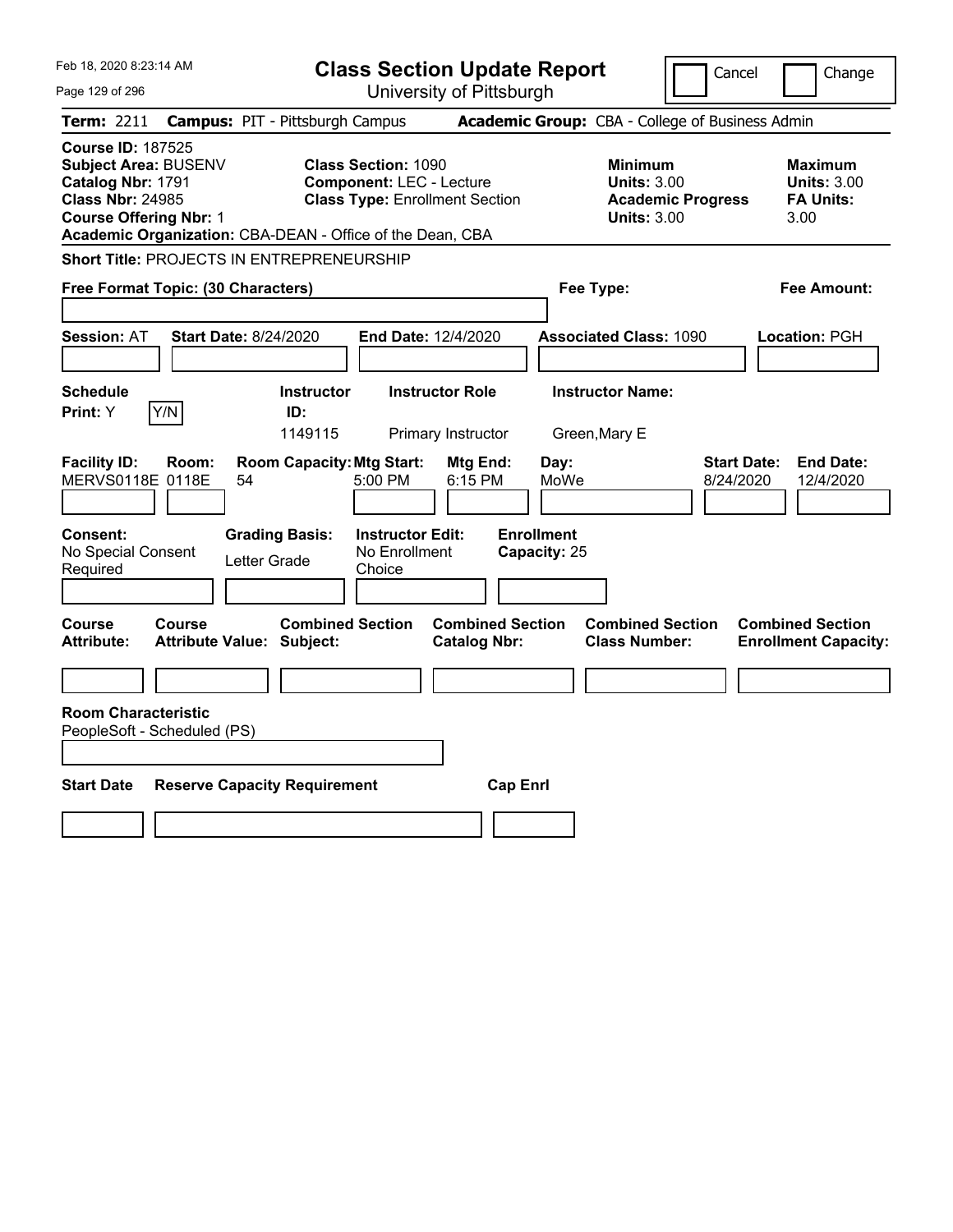| Feb 18, 2020 8:23:14 AM                                                                                                           | <b>Class Section Update Report</b>                                                                                                                                  | Cancel                                                                                 | Change                                                           |
|-----------------------------------------------------------------------------------------------------------------------------------|---------------------------------------------------------------------------------------------------------------------------------------------------------------------|----------------------------------------------------------------------------------------|------------------------------------------------------------------|
| Page 129 of 296                                                                                                                   | University of Pittsburgh                                                                                                                                            |                                                                                        |                                                                  |
| <b>Term: 2211</b>                                                                                                                 | <b>Campus: PIT - Pittsburgh Campus</b>                                                                                                                              | Academic Group: CBA - College of Business Admin                                        |                                                                  |
| <b>Course ID: 187525</b><br>Subject Area: BUSENV<br>Catalog Nbr: 1791<br><b>Class Nbr: 24985</b><br><b>Course Offering Nbr: 1</b> | <b>Class Section: 1090</b><br><b>Component: LEC - Lecture</b><br><b>Class Type: Enrollment Section</b><br>Academic Organization: CBA-DEAN - Office of the Dean, CBA | <b>Minimum</b><br><b>Units: 3.00</b><br><b>Academic Progress</b><br><b>Units: 3.00</b> | <b>Maximum</b><br><b>Units: 3.00</b><br><b>FA Units:</b><br>3.00 |
| <b>Short Title: PROJECTS IN ENTREPRENEURSHIP</b>                                                                                  |                                                                                                                                                                     |                                                                                        |                                                                  |
| Free Format Topic: (30 Characters)                                                                                                |                                                                                                                                                                     | Fee Type:                                                                              | Fee Amount:                                                      |
| <b>Session: AT</b><br><b>Start Date: 8/24/2020</b>                                                                                | End Date: 12/4/2020                                                                                                                                                 | <b>Associated Class: 1090</b>                                                          | <b>Location: PGH</b>                                             |
| <b>Schedule</b><br>Print: Y<br>Y/N                                                                                                | <b>Instructor Role</b><br><b>Instructor</b><br>ID:<br>1149115<br>Primary Instructor                                                                                 | <b>Instructor Name:</b><br>Green, Mary E                                               |                                                                  |
| <b>Facility ID:</b><br>Room:<br>MERVS0118E 0118E<br>54                                                                            | <b>Room Capacity: Mtg Start:</b><br>Mtg End:<br>5:00 PM<br>6:15 PM                                                                                                  | Day:<br>MoWe<br>8/24/2020                                                              | <b>Start Date:</b><br><b>End Date:</b><br>12/4/2020              |
| Consent:<br>No Special Consent<br>Letter Grade<br>Required                                                                        | <b>Grading Basis:</b><br><b>Instructor Edit:</b><br>No Enrollment<br>Choice                                                                                         | <b>Enrollment</b><br>Capacity: 25                                                      |                                                                  |
| Course<br>Course<br><b>Attribute Value: Subject:</b><br>Attribute:                                                                | <b>Combined Section</b><br><b>Catalog Nbr:</b>                                                                                                                      | <b>Combined Section</b><br><b>Combined Section</b><br><b>Class Number:</b>             | <b>Combined Section</b><br><b>Enrollment Capacity:</b>           |
| <b>Room Characteristic</b><br>PeopleSoft - Scheduled (PS)                                                                         |                                                                                                                                                                     |                                                                                        |                                                                  |
| <b>Start Date</b><br><b>Reserve Capacity Requirement</b>                                                                          |                                                                                                                                                                     | <b>Cap Enrl</b>                                                                        |                                                                  |
|                                                                                                                                   |                                                                                                                                                                     |                                                                                        |                                                                  |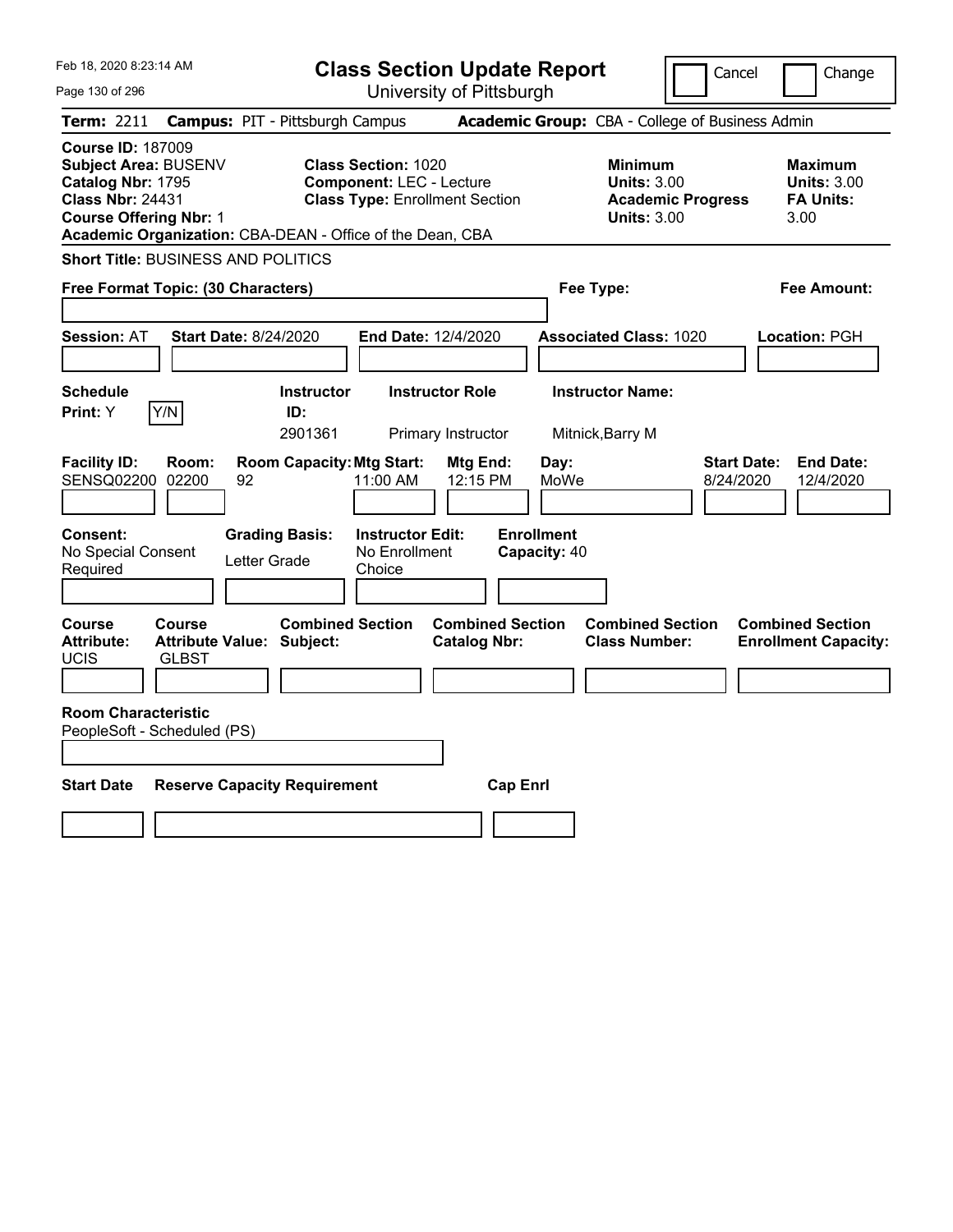| Feb 18, 2020 8:23:14 AM                                                                                                                                                                        | <b>Class Section Update Report</b>                                                                     | Cancel                                                                                 | Change                                                           |
|------------------------------------------------------------------------------------------------------------------------------------------------------------------------------------------------|--------------------------------------------------------------------------------------------------------|----------------------------------------------------------------------------------------|------------------------------------------------------------------|
| Page 130 of 296                                                                                                                                                                                | University of Pittsburgh                                                                               |                                                                                        |                                                                  |
| Term: 2211                                                                                                                                                                                     | <b>Campus: PIT - Pittsburgh Campus</b>                                                                 | Academic Group: CBA - College of Business Admin                                        |                                                                  |
| <b>Course ID: 187009</b><br>Subject Area: BUSENV<br>Catalog Nbr: 1795<br><b>Class Nbr: 24431</b><br><b>Course Offering Nbr: 1</b><br>Academic Organization: CBA-DEAN - Office of the Dean, CBA | <b>Class Section: 1020</b><br><b>Component: LEC - Lecture</b><br><b>Class Type: Enrollment Section</b> | <b>Minimum</b><br><b>Units: 3.00</b><br><b>Academic Progress</b><br><b>Units: 3.00</b> | <b>Maximum</b><br><b>Units: 3.00</b><br><b>FA Units:</b><br>3.00 |
| <b>Short Title: BUSINESS AND POLITICS</b>                                                                                                                                                      |                                                                                                        |                                                                                        |                                                                  |
| Free Format Topic: (30 Characters)                                                                                                                                                             |                                                                                                        | Fee Type:                                                                              | Fee Amount:                                                      |
| <b>Start Date: 8/24/2020</b><br><b>Session: AT</b>                                                                                                                                             | End Date: 12/4/2020                                                                                    | <b>Associated Class: 1020</b>                                                          | Location: PGH                                                    |
| <b>Schedule</b><br>Y/N<br>Print: Y                                                                                                                                                             | <b>Instructor Role</b><br><b>Instructor</b><br>ID:<br>2901361<br>Primary Instructor                    | <b>Instructor Name:</b><br>Mitnick, Barry M                                            |                                                                  |
| <b>Facility ID:</b><br>Room:<br>SENSQ02200 02200<br>92                                                                                                                                         | <b>Room Capacity: Mtg Start:</b><br>Mtg End:<br>11:00 AM<br>12:15 PM                                   | Day:<br>MoWe<br>8/24/2020                                                              | <b>Start Date:</b><br><b>End Date:</b><br>12/4/2020              |
| Consent:<br><b>Grading Basis:</b><br>No Special Consent<br>Letter Grade<br>Required                                                                                                            | <b>Instructor Edit:</b><br>No Enrollment<br>Choice                                                     | <b>Enrollment</b><br>Capacity: 40                                                      |                                                                  |
| Course<br><b>Course</b><br><b>Attribute:</b><br><b>Attribute Value: Subject:</b><br><b>UCIS</b><br><b>GLBST</b>                                                                                | <b>Combined Section</b><br><b>Combined Section</b><br><b>Catalog Nbr:</b>                              | <b>Combined Section</b><br><b>Class Number:</b>                                        | <b>Combined Section</b><br><b>Enrollment Capacity:</b>           |
|                                                                                                                                                                                                |                                                                                                        |                                                                                        |                                                                  |
| <b>Room Characteristic</b><br>PeopleSoft - Scheduled (PS)                                                                                                                                      |                                                                                                        |                                                                                        |                                                                  |
| <b>Start Date</b><br><b>Reserve Capacity Requirement</b>                                                                                                                                       |                                                                                                        | <b>Cap Enrl</b>                                                                        |                                                                  |
|                                                                                                                                                                                                |                                                                                                        |                                                                                        |                                                                  |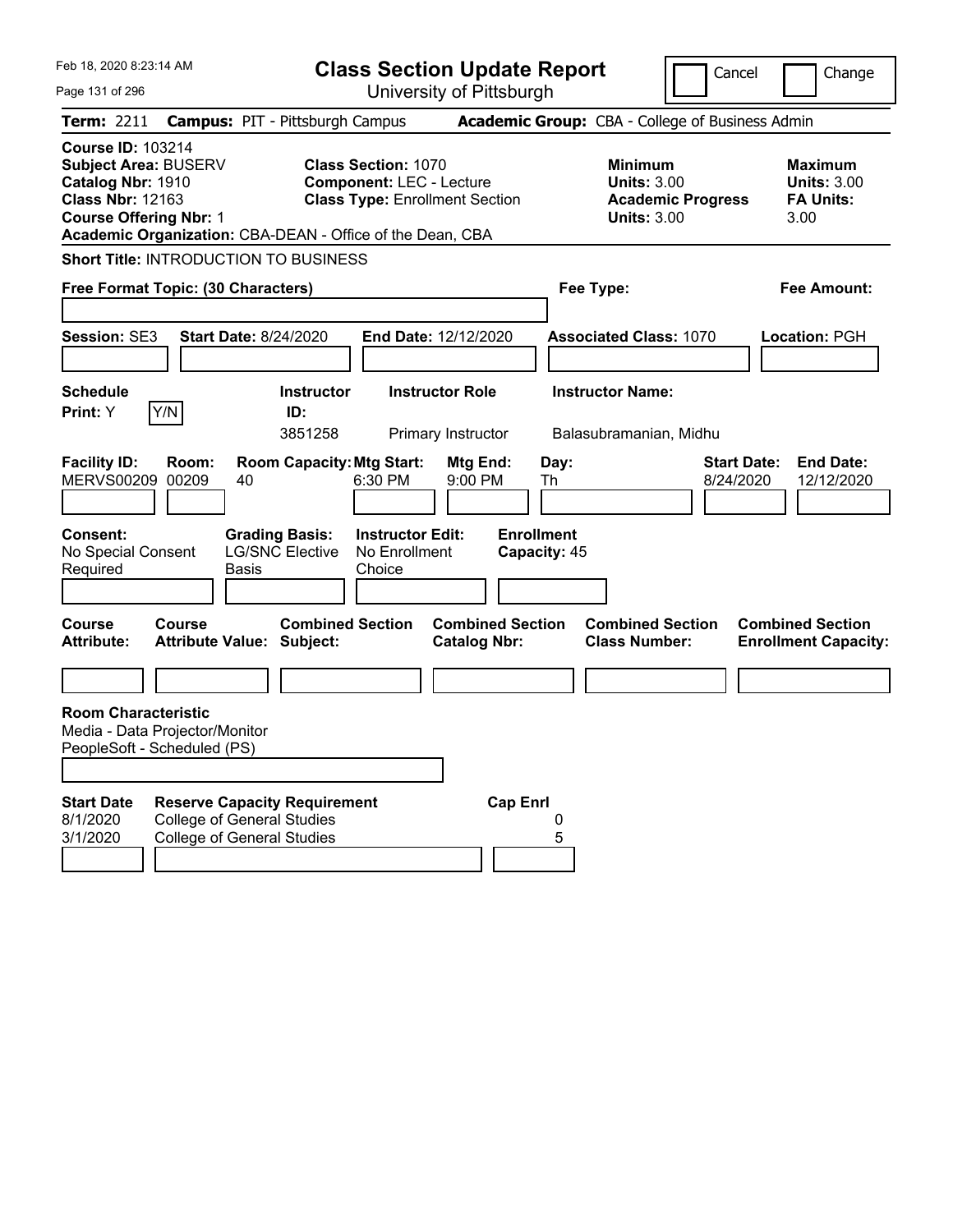| Feb 18, 2020 8:23:14 AM                                                                                                                                                                        |                                                                                                               | <b>Class Section Update Report</b>                                                                     |                                                          |                                                            | Cancel                          | Change                                                           |
|------------------------------------------------------------------------------------------------------------------------------------------------------------------------------------------------|---------------------------------------------------------------------------------------------------------------|--------------------------------------------------------------------------------------------------------|----------------------------------------------------------|------------------------------------------------------------|---------------------------------|------------------------------------------------------------------|
| Page 131 of 296                                                                                                                                                                                |                                                                                                               | University of Pittsburgh                                                                               |                                                          |                                                            |                                 |                                                                  |
| Term: 2211                                                                                                                                                                                     | <b>Campus: PIT - Pittsburgh Campus</b>                                                                        |                                                                                                        |                                                          | Academic Group: CBA - College of Business Admin            |                                 |                                                                  |
| <b>Course ID: 103214</b><br>Subject Area: BUSERV<br>Catalog Nbr: 1910<br><b>Class Nbr: 12163</b><br><b>Course Offering Nbr: 1</b><br>Academic Organization: CBA-DEAN - Office of the Dean, CBA |                                                                                                               | <b>Class Section: 1070</b><br><b>Component: LEC - Lecture</b><br><b>Class Type: Enrollment Section</b> |                                                          | <b>Minimum</b><br><b>Units: 3.00</b><br><b>Units: 3.00</b> | <b>Academic Progress</b>        | <b>Maximum</b><br><b>Units: 3.00</b><br><b>FA Units:</b><br>3.00 |
| Short Title: INTRODUCTION TO BUSINESS                                                                                                                                                          |                                                                                                               |                                                                                                        |                                                          |                                                            |                                 |                                                                  |
| Free Format Topic: (30 Characters)                                                                                                                                                             |                                                                                                               |                                                                                                        |                                                          | Fee Type:                                                  |                                 | <b>Fee Amount:</b>                                               |
|                                                                                                                                                                                                |                                                                                                               |                                                                                                        |                                                          |                                                            |                                 |                                                                  |
| <b>Session: SE3</b>                                                                                                                                                                            | <b>Start Date: 8/24/2020</b>                                                                                  | <b>End Date: 12/12/2020</b>                                                                            |                                                          | <b>Associated Class: 1070</b>                              |                                 | Location: PGH                                                    |
| <b>Schedule</b>                                                                                                                                                                                | <b>Instructor</b>                                                                                             | <b>Instructor Role</b>                                                                                 |                                                          | <b>Instructor Name:</b>                                    |                                 |                                                                  |
| Y/N<br>Print: Y                                                                                                                                                                                | ID:                                                                                                           |                                                                                                        |                                                          |                                                            |                                 |                                                                  |
|                                                                                                                                                                                                | 3851258                                                                                                       | Primary Instructor                                                                                     |                                                          | Balasubramanian, Midhu                                     |                                 |                                                                  |
| <b>Facility ID:</b><br>Room:<br><b>MERVS00209</b><br>00209<br><b>Consent:</b><br>No Special Consent<br>Required                                                                                | <b>Room Capacity: Mtg Start:</b><br>40<br><b>Grading Basis:</b><br><b>LG/SNC Elective</b><br><b>Basis</b>     | 6:30 PM<br><b>Instructor Edit:</b><br>No Enrollment<br>Choice                                          | Mtg End:<br>9:00 PM<br><b>Enrollment</b><br>Capacity: 45 | Day:<br>Th                                                 | <b>Start Date:</b><br>8/24/2020 | <b>End Date:</b><br>12/12/2020                                   |
| <b>Course</b><br>Course<br><b>Attribute:</b>                                                                                                                                                   | <b>Combined Section</b><br><b>Attribute Value: Subject:</b>                                                   |                                                                                                        | <b>Combined Section</b><br><b>Catalog Nbr:</b>           | <b>Combined Section</b><br><b>Class Number:</b>            |                                 | <b>Combined Section</b><br><b>Enrollment Capacity:</b>           |
|                                                                                                                                                                                                |                                                                                                               |                                                                                                        |                                                          |                                                            |                                 |                                                                  |
| <b>Room Characteristic</b><br>Media - Data Projector/Monitor<br>PeopleSoft - Scheduled (PS)<br><b>Start Date</b><br>8/1/2020<br>3/1/2020                                                       | <b>Reserve Capacity Requirement</b><br><b>College of General Studies</b><br><b>College of General Studies</b> |                                                                                                        | <b>Cap Enrl</b>                                          | 0<br>5                                                     |                                 |                                                                  |
|                                                                                                                                                                                                |                                                                                                               |                                                                                                        |                                                          |                                                            |                                 |                                                                  |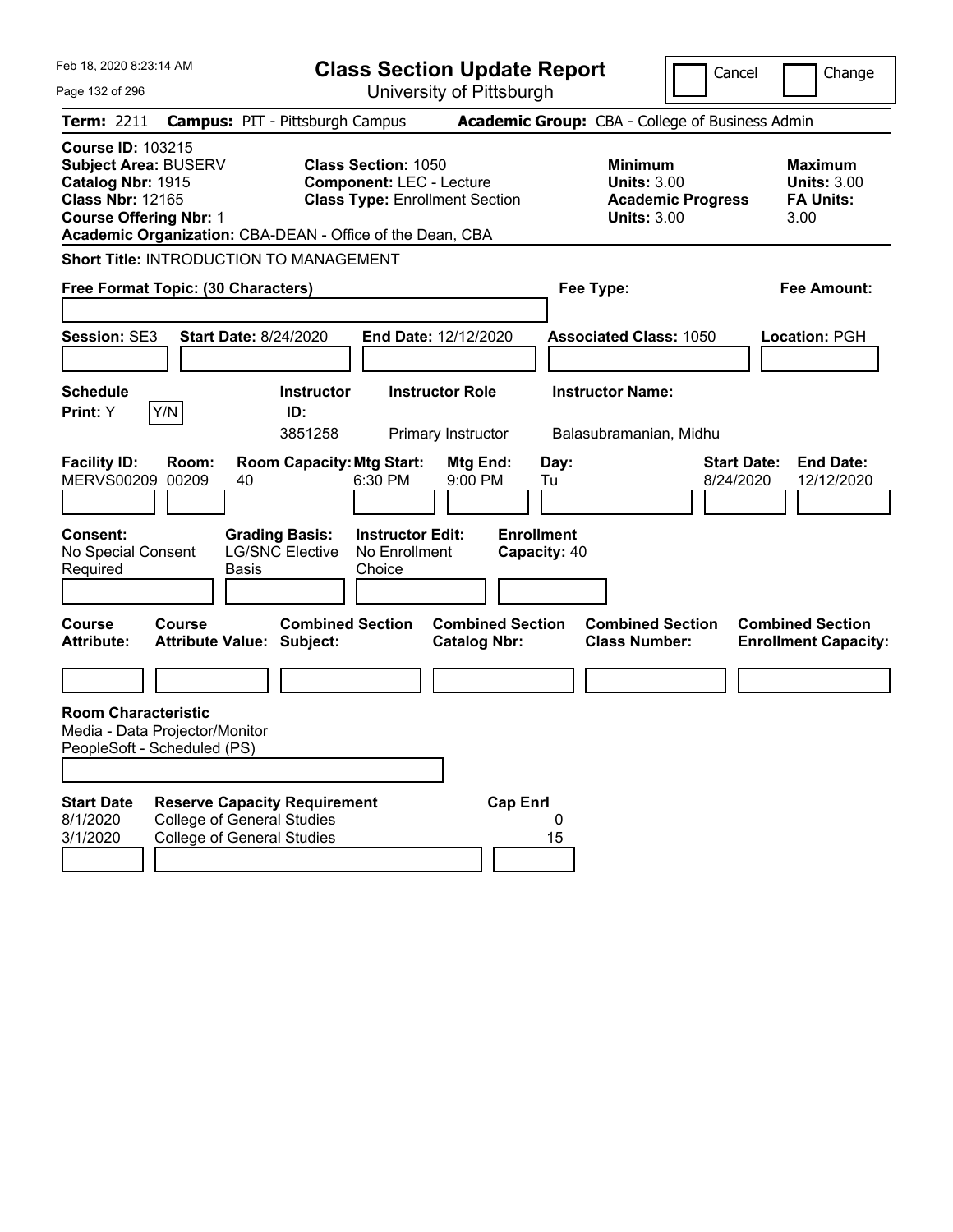| Feb 18, 2020 8:23:14 AM<br>Page 132 of 296                                                                                        |                |                                                                                                               |                                                               | <b>Class Section Update Report</b><br>University of Pittsburgh |                                   |                                                                                        | Cancel                          | Change                                                           |
|-----------------------------------------------------------------------------------------------------------------------------------|----------------|---------------------------------------------------------------------------------------------------------------|---------------------------------------------------------------|----------------------------------------------------------------|-----------------------------------|----------------------------------------------------------------------------------------|---------------------------------|------------------------------------------------------------------|
| Term: 2211                                                                                                                        |                | <b>Campus: PIT - Pittsburgh Campus</b>                                                                        |                                                               |                                                                |                                   | Academic Group: CBA - College of Business Admin                                        |                                 |                                                                  |
| <b>Course ID: 103215</b><br>Subject Area: BUSERV<br>Catalog Nbr: 1915<br><b>Class Nbr: 12165</b><br><b>Course Offering Nbr: 1</b> |                | Academic Organization: CBA-DEAN - Office of the Dean, CBA                                                     | <b>Class Section: 1050</b><br><b>Component: LEC - Lecture</b> | <b>Class Type: Enrollment Section</b>                          |                                   | <b>Minimum</b><br><b>Units: 3.00</b><br><b>Academic Progress</b><br><b>Units: 3.00</b> |                                 | <b>Maximum</b><br><b>Units: 3.00</b><br><b>FA Units:</b><br>3.00 |
| Free Format Topic: (30 Characters)                                                                                                |                | <b>Short Title: INTRODUCTION TO MANAGEMENT</b>                                                                |                                                               |                                                                | Fee Type:                         |                                                                                        |                                 | <b>Fee Amount:</b>                                               |
| Session: SE3                                                                                                                      |                | <b>Start Date: 8/24/2020</b>                                                                                  |                                                               | End Date: 12/12/2020                                           |                                   | <b>Associated Class: 1050</b>                                                          |                                 | <b>Location: PGH</b>                                             |
| <b>Schedule</b><br>Print: Y                                                                                                       | Y/N            | <b>Instructor</b><br>ID:<br>3851258                                                                           |                                                               | <b>Instructor Role</b><br>Primary Instructor                   |                                   | <b>Instructor Name:</b><br>Balasubramanian, Midhu                                      |                                 |                                                                  |
| <b>Facility ID:</b><br><b>MERVS00209</b>                                                                                          | Room:<br>00209 | <b>Room Capacity: Mtg Start:</b><br>40                                                                        | 6:30 PM                                                       | Mtg End:<br>9:00 PM                                            | Day:<br>Tu                        |                                                                                        | <b>Start Date:</b><br>8/24/2020 | <b>End Date:</b><br>12/12/2020                                   |
| Consent:<br>No Special Consent<br>Required                                                                                        |                | <b>Grading Basis:</b><br><b>LG/SNC Elective</b><br><b>Basis</b>                                               | <b>Instructor Edit:</b><br>No Enrollment<br>Choice            |                                                                | <b>Enrollment</b><br>Capacity: 40 |                                                                                        |                                 |                                                                  |
| Course<br><b>Attribute:</b>                                                                                                       | Course         | <b>Combined Section</b><br><b>Attribute Value: Subject:</b>                                                   |                                                               | <b>Combined Section</b><br><b>Catalog Nbr:</b>                 |                                   | <b>Combined Section</b><br><b>Class Number:</b>                                        |                                 | <b>Combined Section</b><br><b>Enrollment Capacity:</b>           |
| <b>Room Characteristic</b><br>Media - Data Projector/Monitor<br>PeopleSoft - Scheduled (PS)                                       |                |                                                                                                               |                                                               |                                                                |                                   |                                                                                        |                                 |                                                                  |
| <b>Start Date</b><br>8/1/2020<br>3/1/2020                                                                                         |                | <b>Reserve Capacity Requirement</b><br><b>College of General Studies</b><br><b>College of General Studies</b> |                                                               | <b>Cap Enrl</b>                                                | 0<br>15                           |                                                                                        |                                 |                                                                  |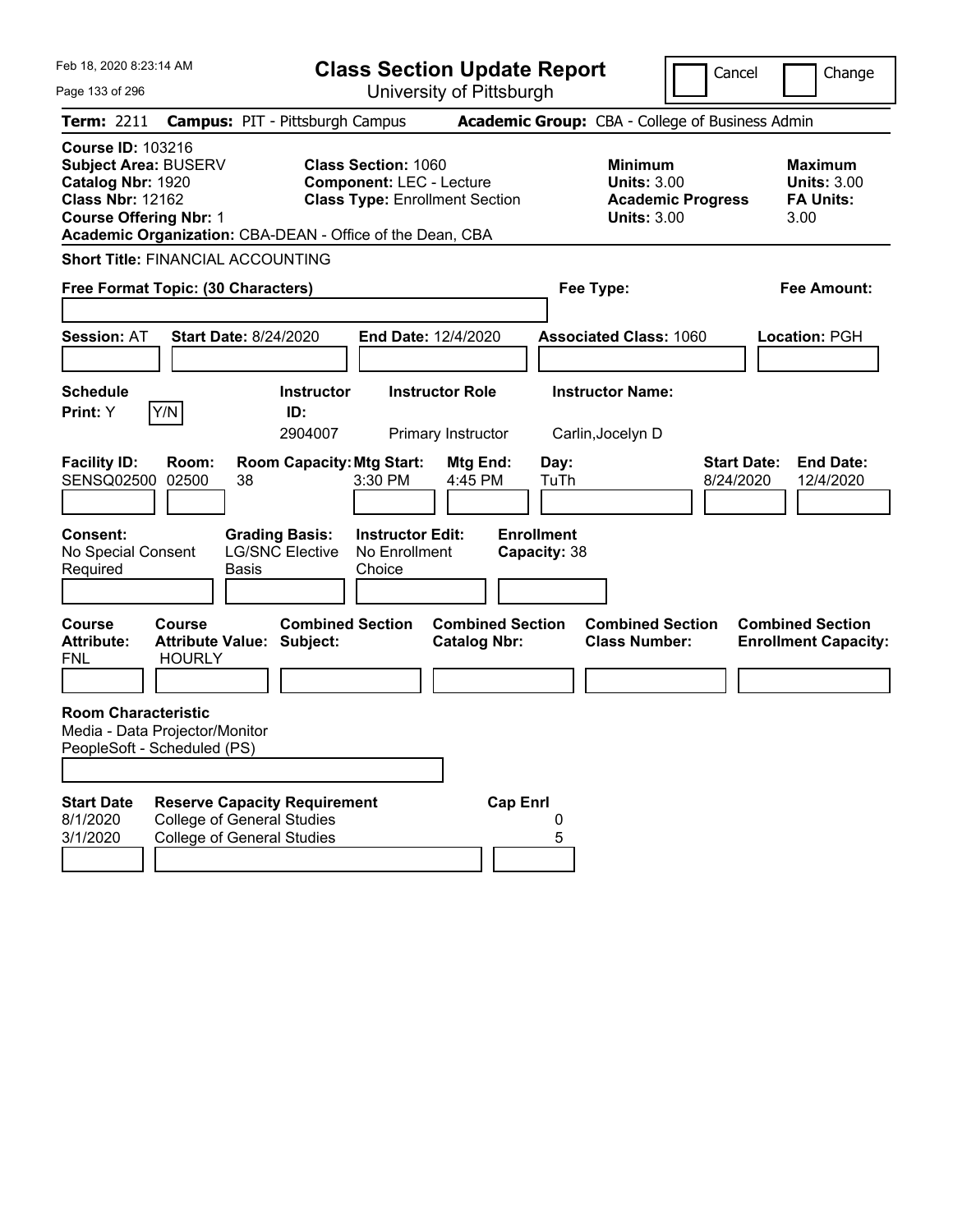| Feb 18, 2020 8:23:14 AM<br>Page 133 of 296                                                                                                                                                     |                                                                                                               | <b>Class Section Update Report</b><br>University of Pittsburgh                                         |                                                |                                                                                        | Cancel<br>Change                                                 |
|------------------------------------------------------------------------------------------------------------------------------------------------------------------------------------------------|---------------------------------------------------------------------------------------------------------------|--------------------------------------------------------------------------------------------------------|------------------------------------------------|----------------------------------------------------------------------------------------|------------------------------------------------------------------|
| Term: 2211                                                                                                                                                                                     | <b>Campus: PIT - Pittsburgh Campus</b>                                                                        |                                                                                                        |                                                | Academic Group: CBA - College of Business Admin                                        |                                                                  |
| <b>Course ID: 103216</b><br>Subject Area: BUSERV<br>Catalog Nbr: 1920<br><b>Class Nbr: 12162</b><br><b>Course Offering Nbr: 1</b><br>Academic Organization: CBA-DEAN - Office of the Dean, CBA |                                                                                                               | <b>Class Section: 1060</b><br><b>Component: LEC - Lecture</b><br><b>Class Type: Enrollment Section</b> |                                                | <b>Minimum</b><br><b>Units: 3.00</b><br><b>Academic Progress</b><br><b>Units: 3.00</b> | <b>Maximum</b><br><b>Units: 3.00</b><br><b>FA Units:</b><br>3.00 |
| <b>Short Title: FINANCIAL ACCOUNTING</b>                                                                                                                                                       |                                                                                                               |                                                                                                        |                                                |                                                                                        |                                                                  |
| Free Format Topic: (30 Characters)                                                                                                                                                             |                                                                                                               |                                                                                                        |                                                | Fee Type:                                                                              | <b>Fee Amount:</b>                                               |
| <b>Session: AT</b>                                                                                                                                                                             | <b>Start Date: 8/24/2020</b>                                                                                  | End Date: 12/4/2020                                                                                    |                                                | <b>Associated Class: 1060</b>                                                          | Location: PGH                                                    |
| <b>Schedule</b><br>Y/N<br>Print: Y                                                                                                                                                             | <b>Instructor</b><br>ID:<br>2904007                                                                           | <b>Instructor Role</b><br>Primary Instructor                                                           |                                                | <b>Instructor Name:</b><br>Carlin, Jocelyn D                                           |                                                                  |
| <b>Facility ID:</b><br>Room:<br><b>SENSQ02500</b><br>02500                                                                                                                                     | <b>Room Capacity: Mtg Start:</b><br>38                                                                        | 3:30 PM                                                                                                | Mtg End:<br>Day:<br>4:45 PM<br>TuTh            |                                                                                        | <b>Start Date:</b><br><b>End Date:</b><br>8/24/2020<br>12/4/2020 |
| <b>Consent:</b><br>No Special Consent<br>Required                                                                                                                                              | <b>Grading Basis:</b><br><b>LG/SNC Elective</b><br>Basis                                                      | <b>Instructor Edit:</b><br>No Enrollment<br>Choice                                                     | <b>Enrollment</b><br>Capacity: 38              |                                                                                        |                                                                  |
| <b>Course</b><br>Course<br><b>Attribute:</b><br><b>HOURLY</b><br><b>FNL</b>                                                                                                                    | <b>Combined Section</b><br><b>Attribute Value: Subject:</b>                                                   |                                                                                                        | <b>Combined Section</b><br><b>Catalog Nbr:</b> | <b>Combined Section</b><br><b>Class Number:</b>                                        | <b>Combined Section</b><br><b>Enrollment Capacity:</b>           |
| <b>Room Characteristic</b><br>Media - Data Projector/Monitor<br>PeopleSoft - Scheduled (PS)                                                                                                    |                                                                                                               |                                                                                                        |                                                |                                                                                        |                                                                  |
| <b>Start Date</b><br>8/1/2020<br>3/1/2020                                                                                                                                                      | <b>Reserve Capacity Requirement</b><br><b>College of General Studies</b><br><b>College of General Studies</b> |                                                                                                        | <b>Cap Enrl</b><br>0<br>5                      |                                                                                        |                                                                  |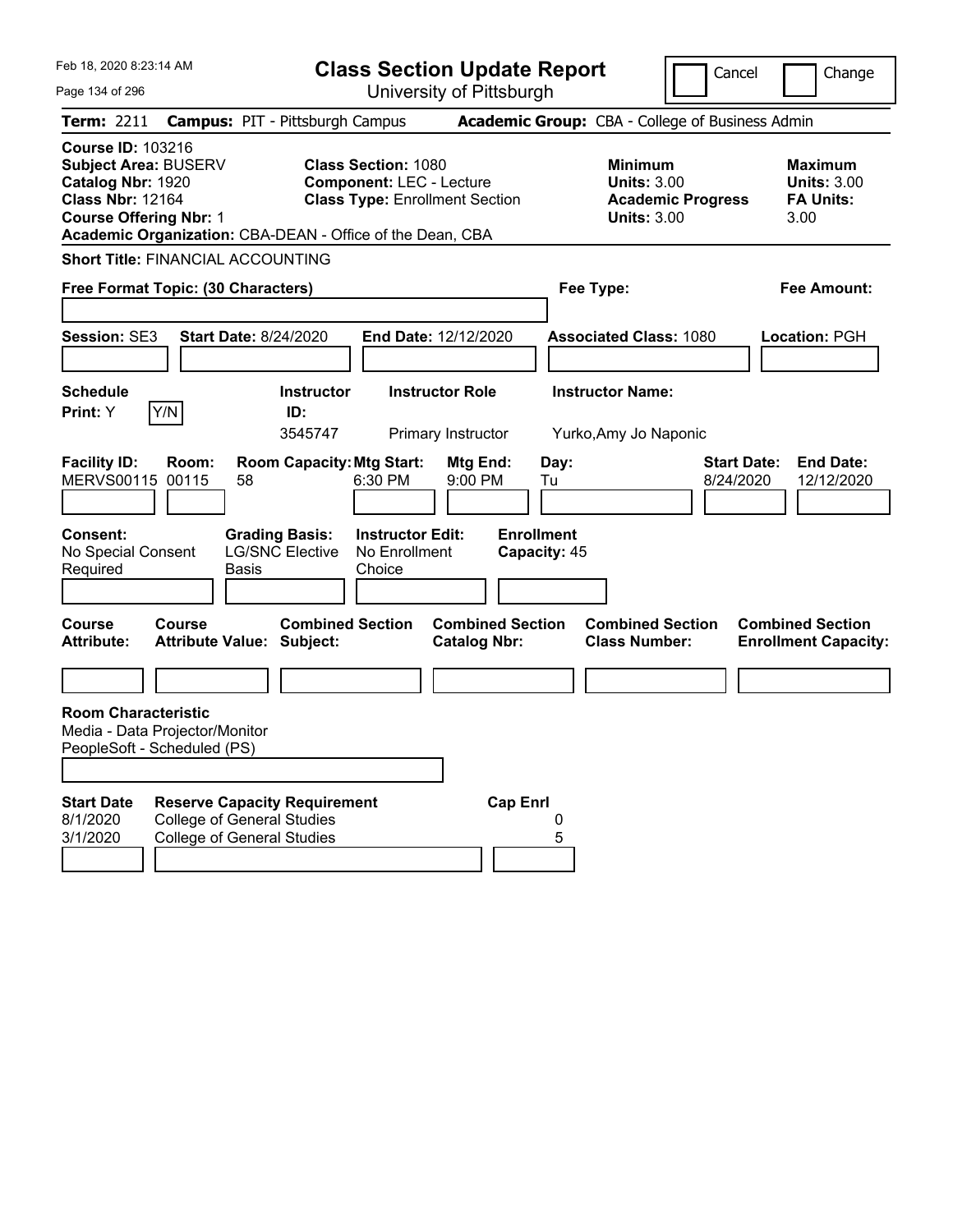| Feb 18, 2020 8:23:14 AM<br>Page 134 of 296                                                                                                                                                            | <b>Class Section Update Report</b>                                                                     | Cancel                                                                                 | Change                                                           |
|-------------------------------------------------------------------------------------------------------------------------------------------------------------------------------------------------------|--------------------------------------------------------------------------------------------------------|----------------------------------------------------------------------------------------|------------------------------------------------------------------|
| <b>Campus: PIT - Pittsburgh Campus</b><br><b>Term: 2211</b>                                                                                                                                           | University of Pittsburgh                                                                               | <b>Academic Group:</b> CBA - College of Business Admin                                 |                                                                  |
| <b>Course ID: 103216</b><br><b>Subject Area: BUSERV</b><br>Catalog Nbr: 1920<br><b>Class Nbr: 12164</b><br><b>Course Offering Nbr: 1</b><br>Academic Organization: CBA-DEAN - Office of the Dean, CBA | <b>Class Section: 1080</b><br><b>Component: LEC - Lecture</b><br><b>Class Type: Enrollment Section</b> | <b>Minimum</b><br><b>Units: 3.00</b><br><b>Academic Progress</b><br><b>Units: 3.00</b> | <b>Maximum</b><br><b>Units: 3.00</b><br><b>FA Units:</b><br>3.00 |
| <b>Short Title: FINANCIAL ACCOUNTING</b>                                                                                                                                                              |                                                                                                        |                                                                                        |                                                                  |
| Free Format Topic: (30 Characters)                                                                                                                                                                    |                                                                                                        | Fee Type:                                                                              | Fee Amount:                                                      |
| <b>Session: SE3</b><br><b>Start Date: 8/24/2020</b>                                                                                                                                                   | End Date: 12/12/2020                                                                                   | <b>Associated Class: 1080</b>                                                          | Location: PGH                                                    |
| <b>Schedule</b><br>Y/N<br>Print: Y                                                                                                                                                                    | <b>Instructor Role</b><br><b>Instructor</b><br>ID:<br>3545747<br>Primary Instructor                    | <b>Instructor Name:</b><br>Yurko, Amy Jo Naponic                                       |                                                                  |
| <b>Facility ID:</b><br>Room:<br><b>MERVS00115</b><br>00115<br>58                                                                                                                                      | <b>Room Capacity: Mtg Start:</b><br>Mtg End:<br>6:30 PM<br>9:00 PM                                     | Day:<br><b>Start Date:</b><br>8/24/2020<br>Tu                                          | <b>End Date:</b><br>12/12/2020                                   |
| <b>Consent:</b><br><b>Grading Basis:</b><br><b>LG/SNC Elective</b><br>No Special Consent<br>Required<br><b>Basis</b>                                                                                  | <b>Enrollment</b><br><b>Instructor Edit:</b><br>No Enrollment<br>Choice                                | Capacity: 45                                                                           |                                                                  |
| <b>Course</b><br><b>Course</b><br><b>Attribute:</b><br><b>Attribute Value: Subject:</b>                                                                                                               | <b>Combined Section</b><br><b>Combined Section</b><br><b>Catalog Nbr:</b>                              | <b>Combined Section</b><br><b>Class Number:</b>                                        | <b>Combined Section</b><br><b>Enrollment Capacity:</b>           |
|                                                                                                                                                                                                       |                                                                                                        |                                                                                        |                                                                  |
| <b>Room Characteristic</b><br>Media - Data Projector/Monitor<br>PeopleSoft - Scheduled (PS)                                                                                                           |                                                                                                        |                                                                                        |                                                                  |
|                                                                                                                                                                                                       |                                                                                                        |                                                                                        |                                                                  |
| <b>Start Date</b><br><b>Reserve Capacity Requirement</b><br><b>College of General Studies</b><br>8/1/2020<br><b>College of General Studies</b><br>3/1/2020                                            | <b>Cap Enrl</b>                                                                                        | 5                                                                                      |                                                                  |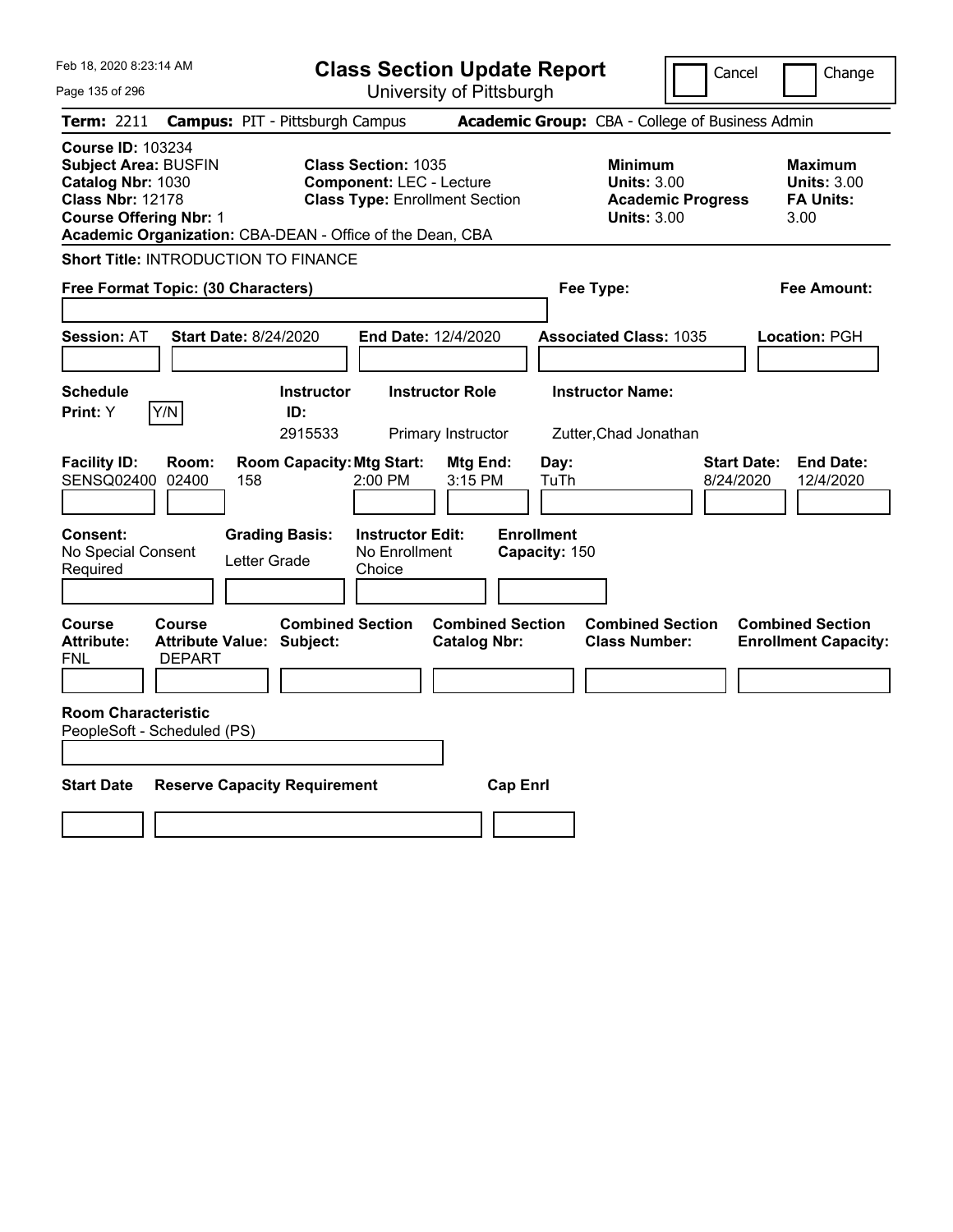| Feb 18, 2020 8:23:14 AM                                                                                                                                                                               | <b>Class Section Update Report</b>                                                                     |                                                                                        | Cancel<br>Change                                                 |
|-------------------------------------------------------------------------------------------------------------------------------------------------------------------------------------------------------|--------------------------------------------------------------------------------------------------------|----------------------------------------------------------------------------------------|------------------------------------------------------------------|
| Page 135 of 296                                                                                                                                                                                       | University of Pittsburgh                                                                               |                                                                                        |                                                                  |
| Term: 2211                                                                                                                                                                                            | <b>Campus: PIT - Pittsburgh Campus</b>                                                                 | Academic Group: CBA - College of Business Admin                                        |                                                                  |
| <b>Course ID: 103234</b><br><b>Subject Area: BUSFIN</b><br>Catalog Nbr: 1030<br><b>Class Nbr: 12178</b><br><b>Course Offering Nbr: 1</b><br>Academic Organization: CBA-DEAN - Office of the Dean, CBA | <b>Class Section: 1035</b><br><b>Component: LEC - Lecture</b><br><b>Class Type: Enrollment Section</b> | <b>Minimum</b><br><b>Units: 3.00</b><br><b>Academic Progress</b><br><b>Units: 3.00</b> | <b>Maximum</b><br><b>Units: 3.00</b><br><b>FA Units:</b><br>3.00 |
| Short Title: INTRODUCTION TO FINANCE                                                                                                                                                                  |                                                                                                        |                                                                                        |                                                                  |
| Free Format Topic: (30 Characters)                                                                                                                                                                    |                                                                                                        | Fee Type:                                                                              | Fee Amount:                                                      |
| <b>Session: AT</b><br><b>Start Date: 8/24/2020</b>                                                                                                                                                    | End Date: 12/4/2020                                                                                    | <b>Associated Class: 1035</b>                                                          | Location: PGH                                                    |
| <b>Schedule</b><br>Y/N<br><b>Print:</b> Y                                                                                                                                                             | <b>Instructor</b><br><b>Instructor Role</b><br>ID:<br>2915533<br>Primary Instructor                    | <b>Instructor Name:</b><br>Zutter, Chad Jonathan                                       |                                                                  |
| <b>Facility ID:</b><br>Room:<br>SENSQ02400 02400<br>158                                                                                                                                               | <b>Room Capacity: Mtg Start:</b><br>Mtg End:<br>2:00 PM<br>3:15 PM                                     | Day:<br>TuTh                                                                           | <b>Start Date:</b><br><b>End Date:</b><br>8/24/2020<br>12/4/2020 |
| Consent:<br>No Special Consent<br>Letter Grade<br>Required                                                                                                                                            | <b>Grading Basis:</b><br><b>Instructor Edit:</b><br>No Enrollment<br>Choice                            | <b>Enrollment</b><br>Capacity: 150                                                     |                                                                  |
| <b>Course</b><br><b>Course</b><br><b>Attribute:</b><br><b>Attribute Value: Subject:</b><br>FNL<br><b>DEPART</b>                                                                                       | <b>Combined Section</b><br><b>Catalog Nbr:</b>                                                         | <b>Combined Section</b><br><b>Combined Section</b><br><b>Class Number:</b>             | <b>Combined Section</b><br><b>Enrollment Capacity:</b>           |
| <b>Room Characteristic</b><br>PeopleSoft - Scheduled (PS)                                                                                                                                             |                                                                                                        |                                                                                        |                                                                  |
| <b>Start Date</b><br><b>Reserve Capacity Requirement</b>                                                                                                                                              |                                                                                                        | <b>Cap Enrl</b>                                                                        |                                                                  |
|                                                                                                                                                                                                       |                                                                                                        |                                                                                        |                                                                  |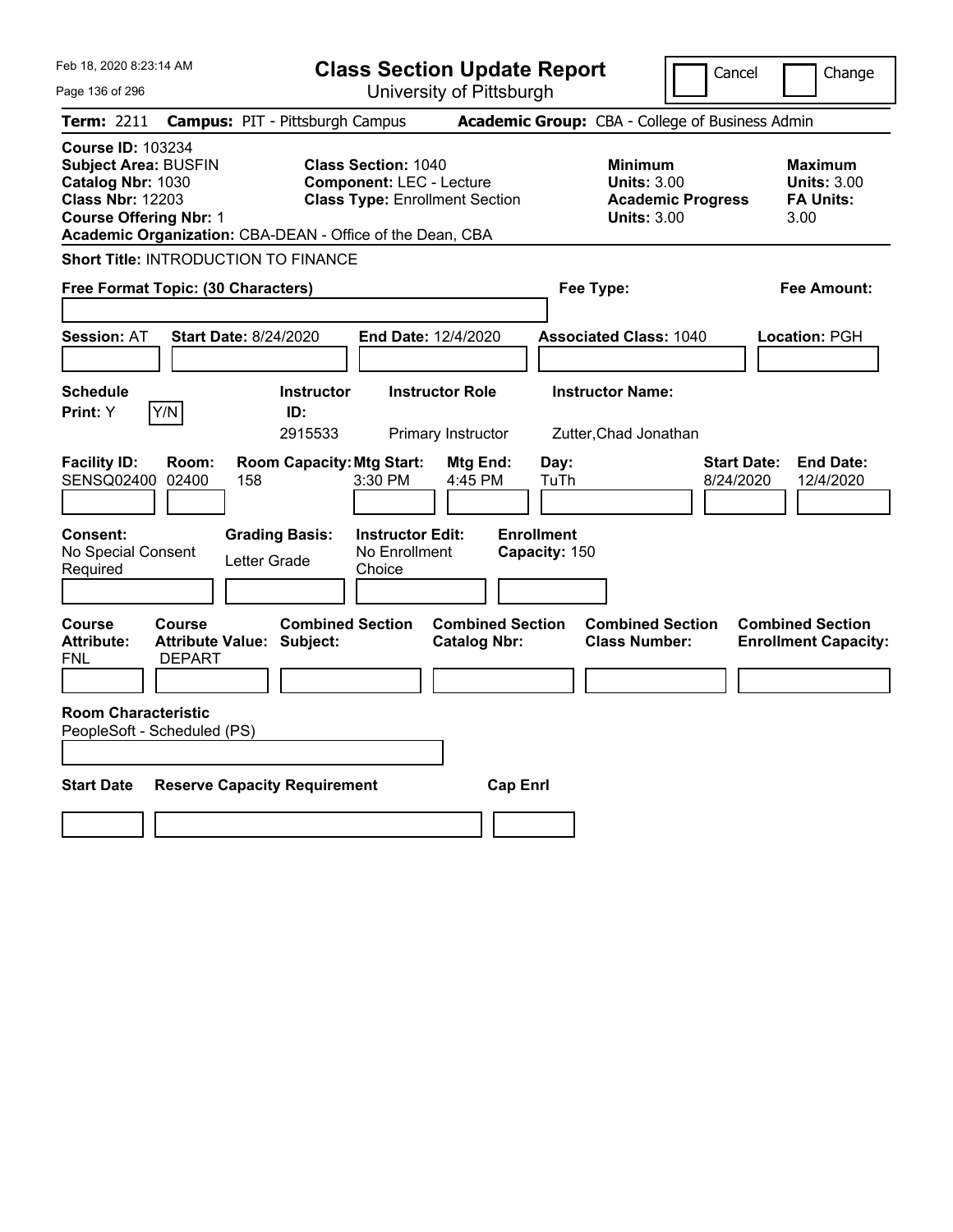| Feb 18, 2020 8:23:14 AM                                                                                                                                                                               |                                                                                                        | <b>Class Section Update Report</b>             |                                                                                        | Cancel<br>Change                                                 |
|-------------------------------------------------------------------------------------------------------------------------------------------------------------------------------------------------------|--------------------------------------------------------------------------------------------------------|------------------------------------------------|----------------------------------------------------------------------------------------|------------------------------------------------------------------|
| Page 136 of 296                                                                                                                                                                                       |                                                                                                        | University of Pittsburgh                       |                                                                                        |                                                                  |
| Term: 2211                                                                                                                                                                                            | <b>Campus: PIT - Pittsburgh Campus</b>                                                                 |                                                | Academic Group: CBA - College of Business Admin                                        |                                                                  |
| <b>Course ID: 103234</b><br><b>Subject Area: BUSFIN</b><br>Catalog Nbr: 1030<br><b>Class Nbr: 12203</b><br><b>Course Offering Nbr: 1</b><br>Academic Organization: CBA-DEAN - Office of the Dean, CBA | <b>Class Section: 1040</b><br><b>Component: LEC - Lecture</b><br><b>Class Type: Enrollment Section</b> |                                                | <b>Minimum</b><br><b>Units: 3.00</b><br><b>Academic Progress</b><br><b>Units: 3.00</b> | <b>Maximum</b><br><b>Units: 3.00</b><br><b>FA Units:</b><br>3.00 |
| Short Title: INTRODUCTION TO FINANCE                                                                                                                                                                  |                                                                                                        |                                                |                                                                                        |                                                                  |
| Free Format Topic: (30 Characters)                                                                                                                                                                    |                                                                                                        |                                                | Fee Type:                                                                              | Fee Amount:                                                      |
| <b>Session: AT</b><br><b>Start Date: 8/24/2020</b>                                                                                                                                                    |                                                                                                        | End Date: 12/4/2020                            | <b>Associated Class: 1040</b>                                                          | Location: PGH                                                    |
| <b>Schedule</b><br>Y/N<br><b>Print:</b> Y                                                                                                                                                             | <b>Instructor</b><br>ID:<br>2915533                                                                    | <b>Instructor Role</b><br>Primary Instructor   | <b>Instructor Name:</b><br>Zutter, Chad Jonathan                                       |                                                                  |
| <b>Facility ID:</b><br>Room:<br>SENSQ02400 02400<br>158                                                                                                                                               | <b>Room Capacity: Mtg Start:</b><br>3:30 PM                                                            | Mtg End:<br>Day:<br>4:45 PM<br>TuTh            |                                                                                        | <b>Start Date:</b><br><b>End Date:</b><br>8/24/2020<br>12/4/2020 |
| Consent:<br>No Special Consent<br>Required                                                                                                                                                            | <b>Grading Basis:</b><br><b>Instructor Edit:</b><br>No Enrollment<br>Letter Grade<br>Choice            | <b>Enrollment</b><br>Capacity: 150             |                                                                                        |                                                                  |
| <b>Course</b><br><b>Course</b><br><b>Attribute:</b><br><b>Attribute Value: Subject:</b><br>FNL<br><b>DEPART</b>                                                                                       | <b>Combined Section</b>                                                                                | <b>Combined Section</b><br><b>Catalog Nbr:</b> | <b>Combined Section</b><br><b>Class Number:</b>                                        | <b>Combined Section</b><br><b>Enrollment Capacity:</b>           |
| <b>Room Characteristic</b><br>PeopleSoft - Scheduled (PS)                                                                                                                                             |                                                                                                        |                                                |                                                                                        |                                                                  |
| <b>Start Date</b>                                                                                                                                                                                     | <b>Reserve Capacity Requirement</b>                                                                    | <b>Cap Enrl</b>                                |                                                                                        |                                                                  |
|                                                                                                                                                                                                       |                                                                                                        |                                                |                                                                                        |                                                                  |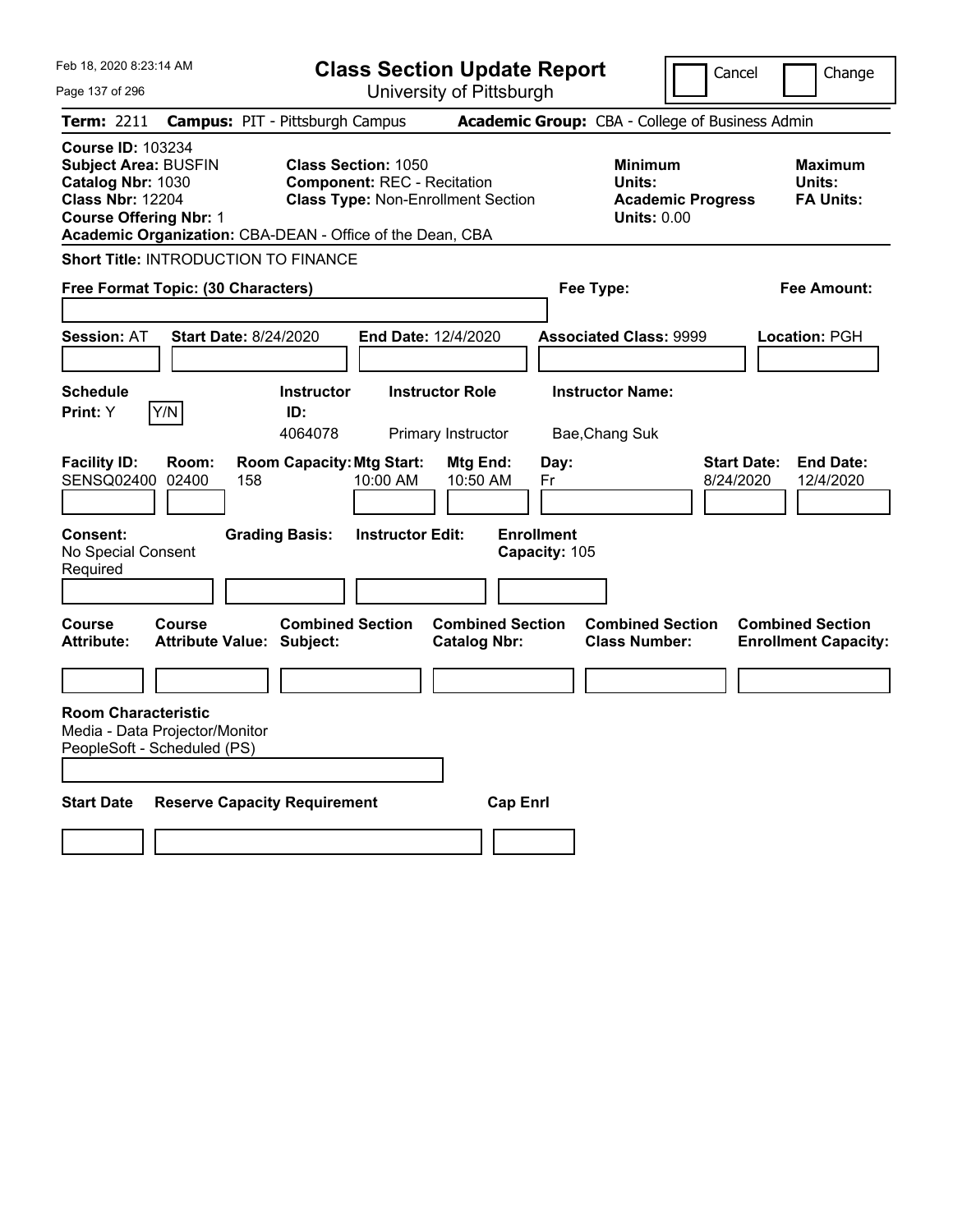| Feb 18, 2020 8:23:14 AM<br>Page 137 of 296                                                                                               |                                                           |                                     | <b>Class Section Update Report</b><br>University of Pittsburgh                                                |                                                |                                    |                                                                            | Cancel                          | Change                                                 |
|------------------------------------------------------------------------------------------------------------------------------------------|-----------------------------------------------------------|-------------------------------------|---------------------------------------------------------------------------------------------------------------|------------------------------------------------|------------------------------------|----------------------------------------------------------------------------|---------------------------------|--------------------------------------------------------|
| <b>Term: 2211</b>                                                                                                                        | <b>Campus: PIT - Pittsburgh Campus</b>                    |                                     |                                                                                                               |                                                |                                    | Academic Group: CBA - College of Business Admin                            |                                 |                                                        |
| <b>Course ID: 103234</b><br><b>Subject Area: BUSFIN</b><br>Catalog Nbr: 1030<br><b>Class Nbr: 12204</b><br><b>Course Offering Nbr: 1</b> | Academic Organization: CBA-DEAN - Office of the Dean, CBA |                                     | <b>Class Section: 1050</b><br><b>Component: REC - Recitation</b><br><b>Class Type: Non-Enrollment Section</b> |                                                |                                    | <b>Minimum</b><br>Units:<br><b>Academic Progress</b><br><b>Units: 0.00</b> |                                 | <b>Maximum</b><br>Units:<br><b>FA Units:</b>           |
|                                                                                                                                          | Short Title: INTRODUCTION TO FINANCE                      |                                     |                                                                                                               |                                                |                                    |                                                                            |                                 |                                                        |
|                                                                                                                                          | Free Format Topic: (30 Characters)                        |                                     |                                                                                                               |                                                |                                    | Fee Type:                                                                  |                                 | Fee Amount:                                            |
| <b>Session: AT</b>                                                                                                                       | <b>Start Date: 8/24/2020</b>                              |                                     | <b>End Date: 12/4/2020</b>                                                                                    |                                                |                                    | <b>Associated Class: 9999</b>                                              |                                 | Location: PGH                                          |
| <b>Schedule</b><br>Print: Y                                                                                                              | Y/N                                                       | <b>Instructor</b><br>ID:<br>4064078 | <b>Instructor Role</b><br>Primary Instructor                                                                  |                                                |                                    | <b>Instructor Name:</b><br>Bae, Chang Suk                                  |                                 |                                                        |
| <b>Facility ID:</b><br>SENSQ02400                                                                                                        | Room:<br>02400<br>158                                     | <b>Room Capacity: Mtg Start:</b>    | 10:00 AM                                                                                                      | Mtg End:<br>10:50 AM                           | Day:<br>Fr                         |                                                                            | <b>Start Date:</b><br>8/24/2020 | End Date:<br>12/4/2020                                 |
| Consent:<br>No Special Consent<br>Required                                                                                               |                                                           | <b>Grading Basis:</b>               | <b>Instructor Edit:</b>                                                                                       |                                                | <b>Enrollment</b><br>Capacity: 105 |                                                                            |                                 |                                                        |
| <b>Course</b><br><b>Attribute:</b>                                                                                                       | Course<br><b>Attribute Value: Subject:</b>                | <b>Combined Section</b>             |                                                                                                               | <b>Combined Section</b><br><b>Catalog Nbr:</b> |                                    | <b>Combined Section</b><br><b>Class Number:</b>                            |                                 | <b>Combined Section</b><br><b>Enrollment Capacity:</b> |
|                                                                                                                                          |                                                           |                                     |                                                                                                               |                                                |                                    |                                                                            |                                 |                                                        |
| <b>Room Characteristic</b><br>PeopleSoft - Scheduled (PS)                                                                                | Media - Data Projector/Monitor                            |                                     |                                                                                                               |                                                |                                    |                                                                            |                                 |                                                        |
| <b>Start Date</b>                                                                                                                        | <b>Reserve Capacity Requirement</b>                       |                                     |                                                                                                               | <b>Cap Enri</b>                                |                                    |                                                                            |                                 |                                                        |
|                                                                                                                                          |                                                           |                                     |                                                                                                               |                                                |                                    |                                                                            |                                 |                                                        |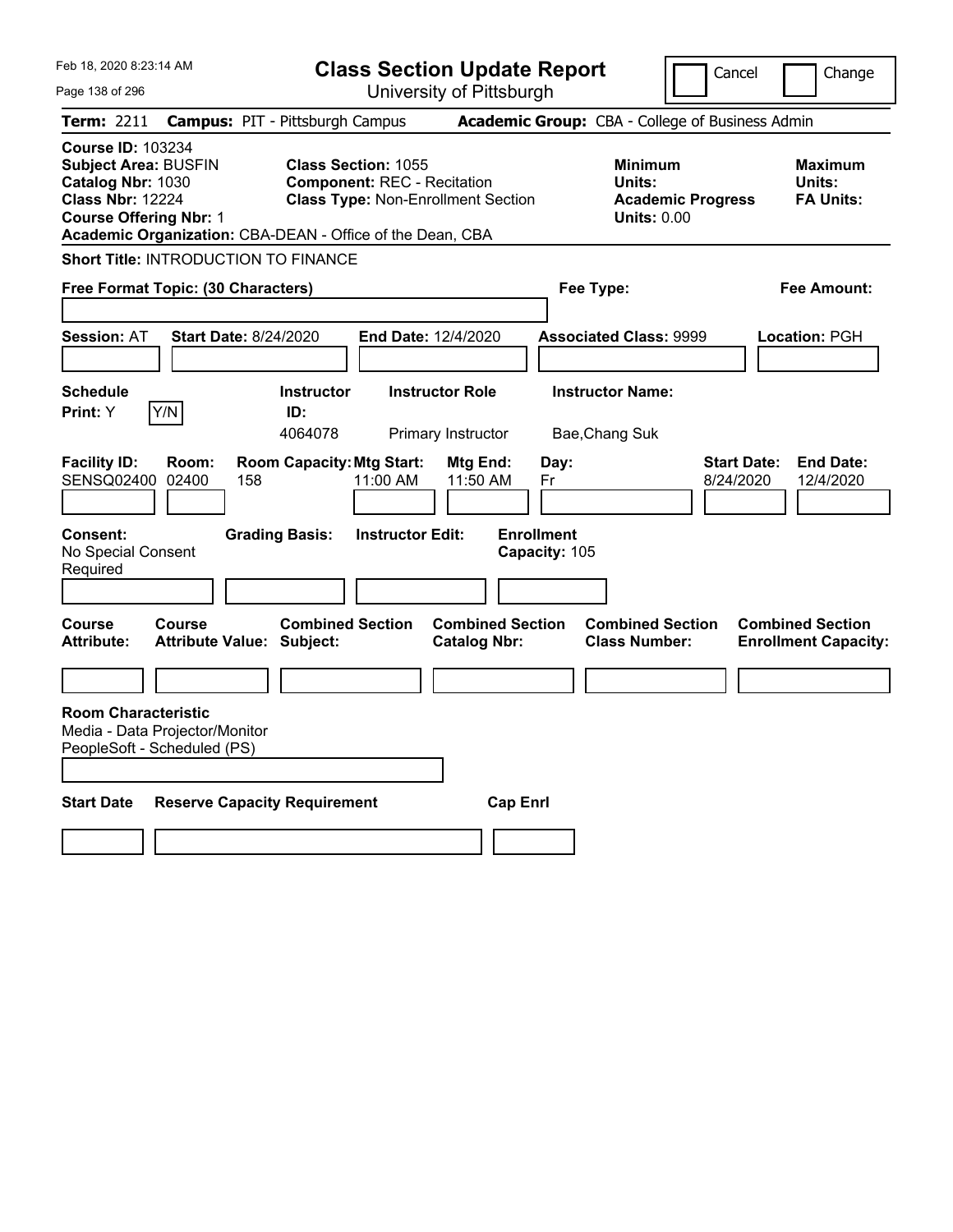| Feb 18, 2020 8:23:14 AM<br>Page 138 of 296                                                                                               |                                                             | <b>Class Section Update Report</b><br>University of Pittsburgh                                                |                                                 | Cancel<br>Change                                                         |
|------------------------------------------------------------------------------------------------------------------------------------------|-------------------------------------------------------------|---------------------------------------------------------------------------------------------------------------|-------------------------------------------------|--------------------------------------------------------------------------|
| <b>Term: 2211</b>                                                                                                                        | <b>Campus: PIT - Pittsburgh Campus</b>                      |                                                                                                               | Academic Group: CBA - College of Business Admin |                                                                          |
| <b>Course ID: 103234</b><br><b>Subject Area: BUSFIN</b><br>Catalog Nbr: 1030<br><b>Class Nbr: 12224</b><br><b>Course Offering Nbr: 1</b> | Academic Organization: CBA-DEAN - Office of the Dean, CBA   | <b>Class Section: 1055</b><br><b>Component: REC - Recitation</b><br><b>Class Type: Non-Enrollment Section</b> | <b>Minimum</b><br>Units:<br><b>Units: 0.00</b>  | <b>Maximum</b><br>Units:<br><b>FA Units:</b><br><b>Academic Progress</b> |
|                                                                                                                                          | <b>Short Title: INTRODUCTION TO FINANCE</b>                 |                                                                                                               |                                                 |                                                                          |
| Free Format Topic: (30 Characters)                                                                                                       |                                                             |                                                                                                               | Fee Type:                                       | Fee Amount:                                                              |
| <b>Session: AT</b>                                                                                                                       | <b>Start Date: 8/24/2020</b>                                | End Date: 12/4/2020                                                                                           | <b>Associated Class: 9999</b>                   | Location: PGH                                                            |
| <b>Schedule</b><br>Y/N<br>Print: Y                                                                                                       | <b>Instructor</b><br>ID:<br>4064078                         | <b>Instructor Role</b><br>Primary Instructor                                                                  | <b>Instructor Name:</b><br>Bae, Chang Suk       |                                                                          |
| <b>Facility ID:</b><br>Room:<br><b>SENSQ02400</b><br>02400                                                                               | <b>Room Capacity: Mtg Start:</b><br>158                     | Mtg End:<br>11:00 AM<br>11:50 AM                                                                              | Day:<br>Fr                                      | <b>Start Date:</b><br><b>End Date:</b><br>8/24/2020<br>12/4/2020         |
| Consent:<br>No Special Consent<br>Required                                                                                               | <b>Grading Basis:</b>                                       | <b>Instructor Edit:</b>                                                                                       | <b>Enrollment</b><br>Capacity: 105              |                                                                          |
| <b>Course</b><br><b>Course</b><br><b>Attribute:</b>                                                                                      | <b>Combined Section</b><br><b>Attribute Value: Subject:</b> | <b>Combined Section</b><br><b>Catalog Nbr:</b>                                                                | <b>Combined Section</b><br><b>Class Number:</b> | <b>Combined Section</b><br><b>Enrollment Capacity:</b>                   |
|                                                                                                                                          |                                                             |                                                                                                               |                                                 |                                                                          |
| <b>Room Characteristic</b><br>Media - Data Projector/Monitor<br>PeopleSoft - Scheduled (PS)                                              |                                                             |                                                                                                               |                                                 |                                                                          |
| <b>Start Date</b>                                                                                                                        | <b>Reserve Capacity Requirement</b>                         |                                                                                                               | <b>Cap Enrl</b>                                 |                                                                          |
|                                                                                                                                          |                                                             |                                                                                                               |                                                 |                                                                          |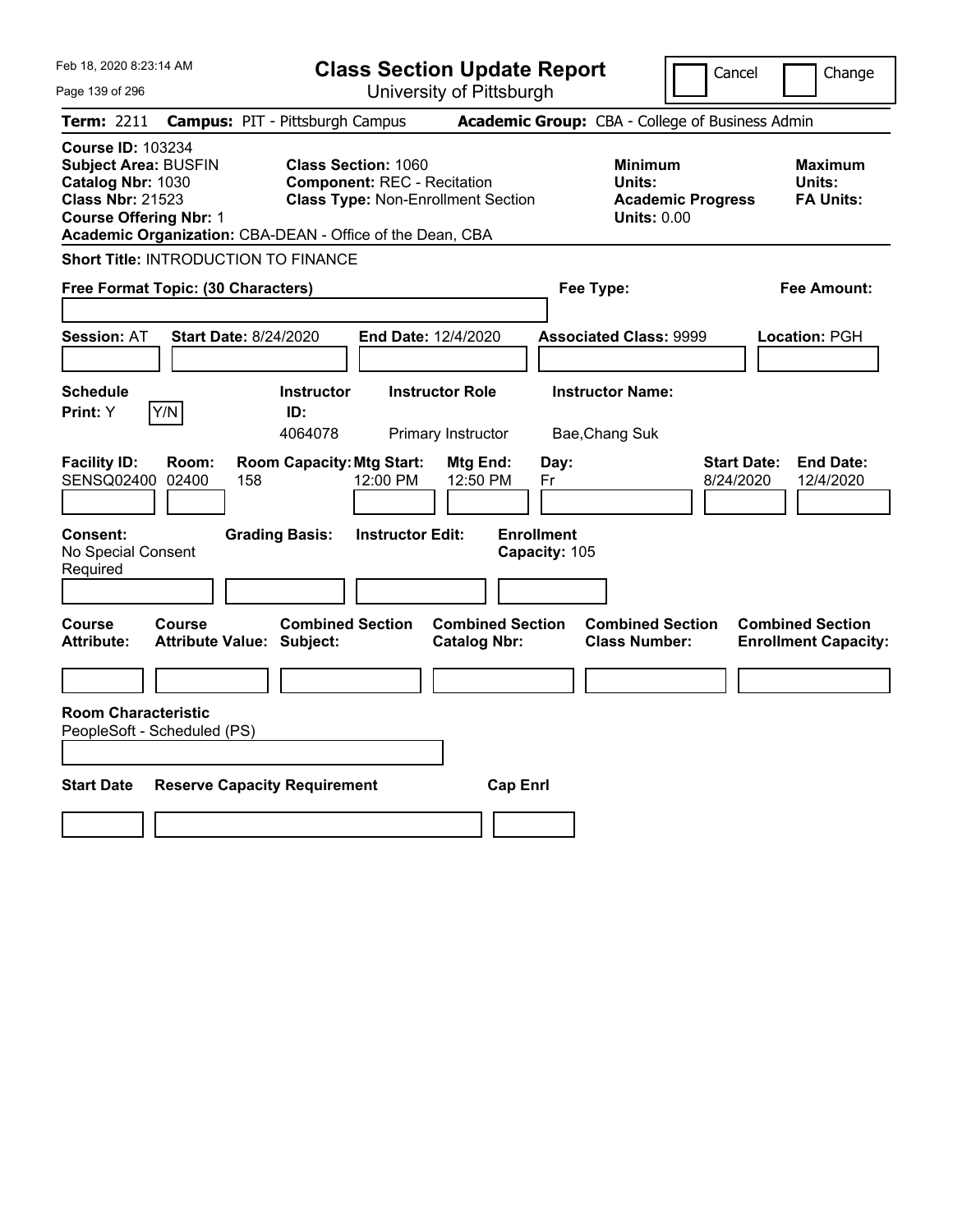| Feb 18, 2020 8:23:14 AM<br>Page 139 of 296                                                                                                                                                            | <b>Class Section Update Report</b>                                                                            | University of Pittsburgh                       | Cancel                                                                     | Change                                                           |
|-------------------------------------------------------------------------------------------------------------------------------------------------------------------------------------------------------|---------------------------------------------------------------------------------------------------------------|------------------------------------------------|----------------------------------------------------------------------------|------------------------------------------------------------------|
| Term: 2211                                                                                                                                                                                            | <b>Campus: PIT - Pittsburgh Campus</b>                                                                        |                                                | Academic Group: CBA - College of Business Admin                            |                                                                  |
| <b>Course ID: 103234</b><br><b>Subject Area: BUSFIN</b><br>Catalog Nbr: 1030<br><b>Class Nbr: 21523</b><br><b>Course Offering Nbr: 1</b><br>Academic Organization: CBA-DEAN - Office of the Dean, CBA | <b>Class Section: 1060</b><br><b>Component: REC - Recitation</b><br><b>Class Type: Non-Enrollment Section</b> |                                                | <b>Minimum</b><br>Units:<br><b>Academic Progress</b><br><b>Units: 0.00</b> | Maximum<br>Units:<br><b>FA Units:</b>                            |
| Short Title: INTRODUCTION TO FINANCE                                                                                                                                                                  |                                                                                                               |                                                |                                                                            |                                                                  |
| Free Format Topic: (30 Characters)                                                                                                                                                                    |                                                                                                               |                                                | Fee Type:                                                                  | Fee Amount:                                                      |
| <b>Session: AT</b><br><b>Start Date: 8/24/2020</b>                                                                                                                                                    | <b>End Date: 12/4/2020</b>                                                                                    |                                                | <b>Associated Class: 9999</b>                                              | Location: PGH                                                    |
| <b>Schedule</b><br>Y/N<br>Print: Y                                                                                                                                                                    | <b>Instructor Role</b><br><b>Instructor</b><br>ID:<br>4064078<br>Primary Instructor                           |                                                | <b>Instructor Name:</b><br>Bae, Chang Suk                                  |                                                                  |
| <b>Facility ID:</b><br>Room:<br>SENSQ02400<br>02400<br>158                                                                                                                                            | <b>Room Capacity: Mtg Start:</b><br>12:00 PM                                                                  | Day:<br>Mtg End:<br>12:50 PM<br>Fr             |                                                                            | <b>Start Date:</b><br><b>End Date:</b><br>12/4/2020<br>8/24/2020 |
| <b>Consent:</b><br>No Special Consent<br>Required                                                                                                                                                     | <b>Grading Basis:</b><br><b>Instructor Edit:</b>                                                              | <b>Enrollment</b><br>Capacity: 105             |                                                                            |                                                                  |
| Course<br>Course<br><b>Attribute Value: Subject:</b><br><b>Attribute:</b>                                                                                                                             | <b>Combined Section</b>                                                                                       | <b>Combined Section</b><br><b>Catalog Nbr:</b> | <b>Combined Section</b><br><b>Class Number:</b>                            | <b>Combined Section</b><br><b>Enrollment Capacity:</b>           |
|                                                                                                                                                                                                       |                                                                                                               |                                                |                                                                            |                                                                  |
| <b>Room Characteristic</b><br>PeopleSoft - Scheduled (PS)                                                                                                                                             |                                                                                                               |                                                |                                                                            |                                                                  |
| <b>Start Date</b><br><b>Reserve Capacity Requirement</b>                                                                                                                                              |                                                                                                               | <b>Cap Enrl</b>                                |                                                                            |                                                                  |
|                                                                                                                                                                                                       |                                                                                                               |                                                |                                                                            |                                                                  |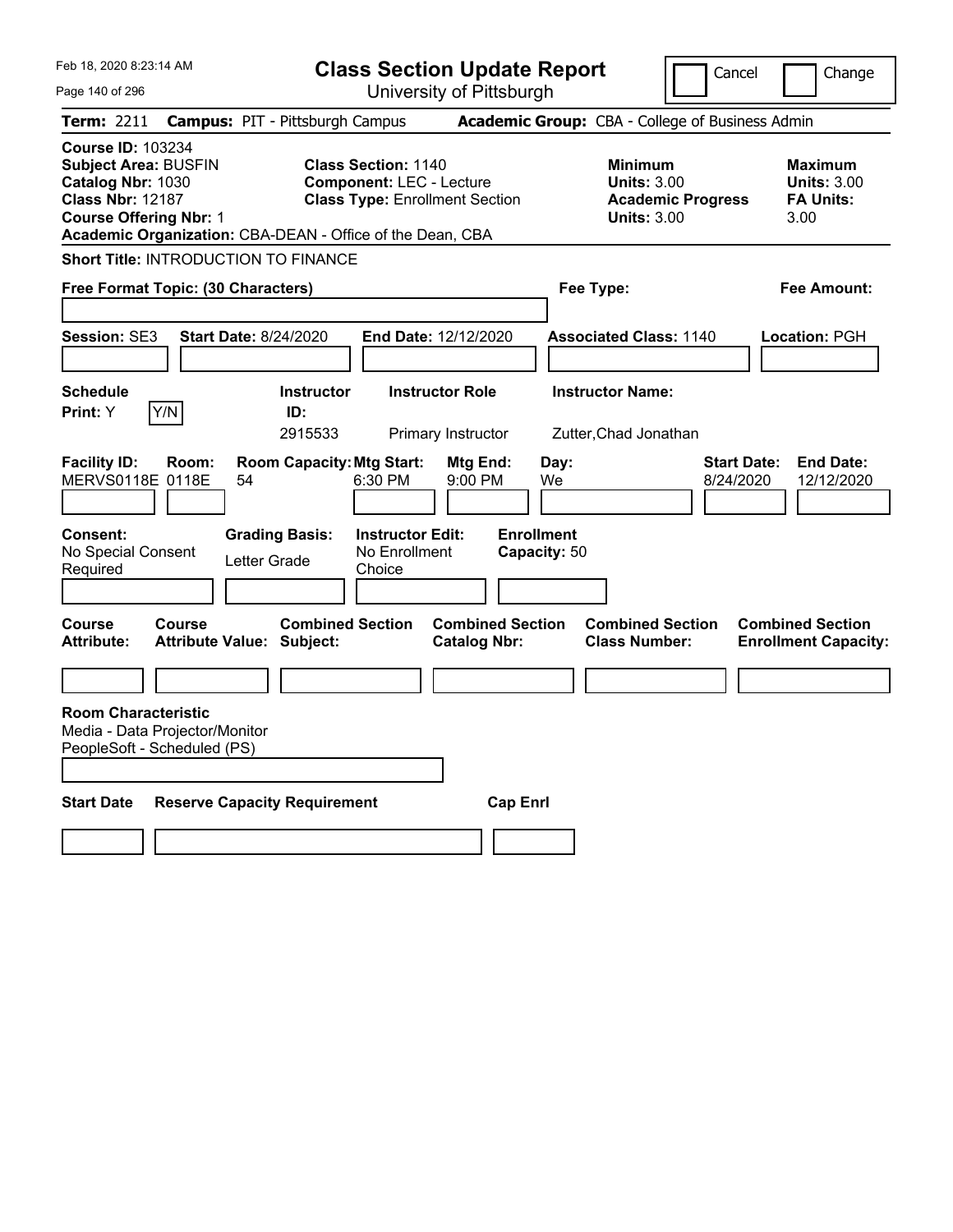| Feb 18, 2020 8:23:14 AM                                                                                                                                                                               | <b>Class Section Update Report</b>                                                                                       | Cancel                                                                                 | Change                                                           |
|-------------------------------------------------------------------------------------------------------------------------------------------------------------------------------------------------------|--------------------------------------------------------------------------------------------------------------------------|----------------------------------------------------------------------------------------|------------------------------------------------------------------|
| Page 140 of 296                                                                                                                                                                                       | University of Pittsburgh                                                                                                 |                                                                                        |                                                                  |
| <b>Term: 2211</b><br><b>Campus: PIT - Pittsburgh Campus</b>                                                                                                                                           |                                                                                                                          | Academic Group: CBA - College of Business Admin                                        |                                                                  |
| <b>Course ID: 103234</b><br><b>Subject Area: BUSFIN</b><br>Catalog Nbr: 1030<br><b>Class Nbr: 12187</b><br><b>Course Offering Nbr: 1</b><br>Academic Organization: CBA-DEAN - Office of the Dean, CBA | <b>Class Section: 1140</b><br><b>Component: LEC - Lecture</b><br><b>Class Type: Enrollment Section</b>                   | <b>Minimum</b><br><b>Units: 3.00</b><br><b>Academic Progress</b><br><b>Units: 3.00</b> | <b>Maximum</b><br><b>Units: 3.00</b><br><b>FA Units:</b><br>3.00 |
| Short Title: INTRODUCTION TO FINANCE                                                                                                                                                                  |                                                                                                                          |                                                                                        |                                                                  |
| Free Format Topic: (30 Characters)                                                                                                                                                                    |                                                                                                                          | Fee Type:                                                                              | Fee Amount:                                                      |
| <b>Session: SE3</b><br><b>Start Date: 8/24/2020</b>                                                                                                                                                   | End Date: 12/12/2020                                                                                                     | <b>Associated Class: 1140</b>                                                          | Location: PGH                                                    |
| <b>Schedule</b>                                                                                                                                                                                       | <b>Instructor Role</b><br><b>Instructor</b>                                                                              | <b>Instructor Name:</b>                                                                |                                                                  |
| Y/N<br>Print: Y<br>ID:<br>2915533                                                                                                                                                                     | Primary Instructor                                                                                                       | Zutter, Chad Jonathan                                                                  |                                                                  |
| <b>Facility ID:</b><br>Room:<br>MERVS0118E 0118E<br>54<br><b>Consent:</b><br><b>Grading Basis:</b><br>No Special Consent<br>Letter Grade<br>Required                                                  | <b>Room Capacity: Mtg Start:</b><br>Mtg End:<br>6:30 PM<br>9:00 PM<br><b>Instructor Edit:</b><br>No Enrollment<br>Choice | Day:<br><b>Start Date:</b><br>We<br>8/24/2020<br><b>Enrollment</b><br>Capacity: 50     | <b>End Date:</b><br>12/12/2020                                   |
|                                                                                                                                                                                                       |                                                                                                                          |                                                                                        |                                                                  |
| Course<br>Course<br><b>Attribute:</b><br>Attribute Value: Subject:                                                                                                                                    | <b>Combined Section</b><br><b>Combined Section</b><br><b>Catalog Nbr:</b>                                                | <b>Combined Section</b><br><b>Class Number:</b>                                        | <b>Combined Section</b><br><b>Enrollment Capacity:</b>           |
|                                                                                                                                                                                                       |                                                                                                                          |                                                                                        |                                                                  |
| <b>Room Characteristic</b><br>Media - Data Projector/Monitor<br>PeopleSoft - Scheduled (PS)                                                                                                           |                                                                                                                          |                                                                                        |                                                                  |
| <b>Start Date</b><br><b>Reserve Capacity Requirement</b>                                                                                                                                              | <b>Cap Enrl</b>                                                                                                          |                                                                                        |                                                                  |
|                                                                                                                                                                                                       |                                                                                                                          |                                                                                        |                                                                  |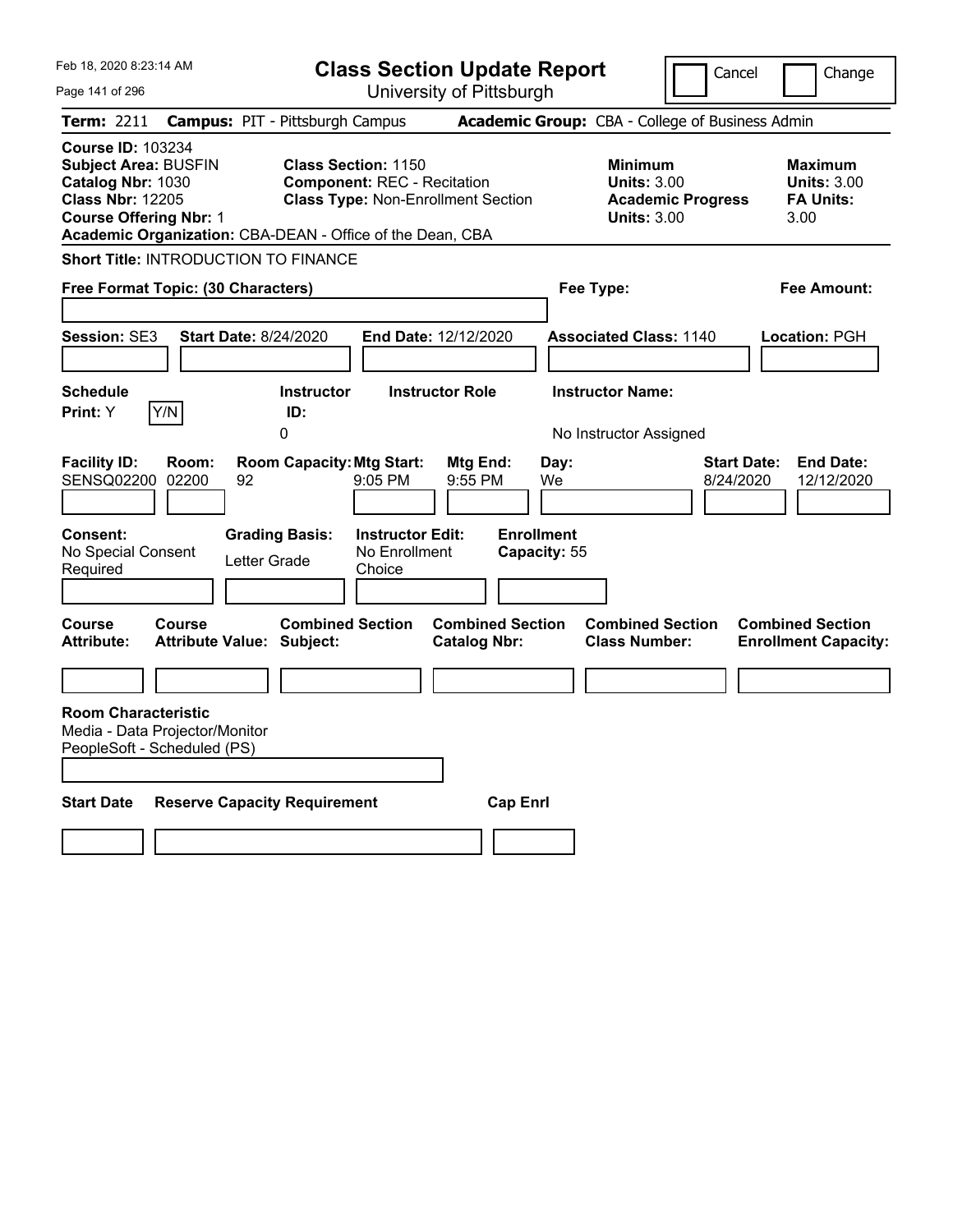| <b>Class Section Update Report</b><br>Cancel<br>University of Pittsburgh<br>Page 141 of 296                                                                                                                                                                                                                                                                                                                                                                                          | Change     |
|--------------------------------------------------------------------------------------------------------------------------------------------------------------------------------------------------------------------------------------------------------------------------------------------------------------------------------------------------------------------------------------------------------------------------------------------------------------------------------------|------------|
| Term: 2211<br><b>Campus: PIT - Pittsburgh Campus</b><br>Academic Group: CBA - College of Business Admin                                                                                                                                                                                                                                                                                                                                                                              |            |
| <b>Course ID: 103234</b><br><b>Subject Area: BUSFIN</b><br><b>Class Section: 1150</b><br><b>Minimum</b><br><b>Maximum</b><br>Catalog Nbr: 1030<br><b>Component: REC - Recitation</b><br><b>Units: 3.00</b><br><b>Units: 3.00</b><br><b>Class Nbr: 12205</b><br><b>Class Type: Non-Enrollment Section</b><br><b>FA Units:</b><br><b>Academic Progress</b><br><b>Course Offering Nbr: 1</b><br><b>Units: 3.00</b><br>3.00<br>Academic Organization: CBA-DEAN - Office of the Dean, CBA |            |
| Short Title: INTRODUCTION TO FINANCE                                                                                                                                                                                                                                                                                                                                                                                                                                                 |            |
| Free Format Topic: (30 Characters)<br>Fee Type:<br>Fee Amount:                                                                                                                                                                                                                                                                                                                                                                                                                       |            |
| Session: SE3<br><b>Associated Class: 1140</b><br><b>Start Date: 8/24/2020</b><br>End Date: 12/12/2020<br>Location: PGH                                                                                                                                                                                                                                                                                                                                                               |            |
| <b>Schedule</b><br><b>Instructor Role</b><br><b>Instructor Name:</b><br><b>Instructor</b>                                                                                                                                                                                                                                                                                                                                                                                            |            |
| Y/N<br>Print: Y<br>ID:<br>0<br>No Instructor Assigned                                                                                                                                                                                                                                                                                                                                                                                                                                |            |
| <b>Facility ID:</b><br><b>Room Capacity: Mtg Start:</b><br><b>Start Date:</b><br><b>End Date:</b><br>Room:<br>Mtg End:<br>Day:<br>SENSQ02200<br>02200<br>92<br>$9:05$ PM<br>9:55 PM<br>We<br>8/24/2020<br><b>Enrollment</b><br>Consent:<br><b>Grading Basis:</b><br><b>Instructor Edit:</b><br>No Special Consent<br>No Enrollment<br>Capacity: 55<br>Letter Grade<br>Required<br>Choice                                                                                             | 12/12/2020 |
| <b>Combined Section</b><br><b>Combined Section</b><br><b>Combined Section</b><br><b>Course</b><br><b>Course</b><br><b>Combined Section</b><br><b>Attribute:</b><br><b>Attribute Value: Subject:</b><br><b>Catalog Nbr:</b><br><b>Class Number:</b><br><b>Enrollment Capacity:</b>                                                                                                                                                                                                    |            |
|                                                                                                                                                                                                                                                                                                                                                                                                                                                                                      |            |
| <b>Room Characteristic</b><br>Media - Data Projector/Monitor<br>PeopleSoft - Scheduled (PS)                                                                                                                                                                                                                                                                                                                                                                                          |            |
| <b>Reserve Capacity Requirement</b><br><b>Start Date</b><br><b>Cap Enrl</b>                                                                                                                                                                                                                                                                                                                                                                                                          |            |
|                                                                                                                                                                                                                                                                                                                                                                                                                                                                                      |            |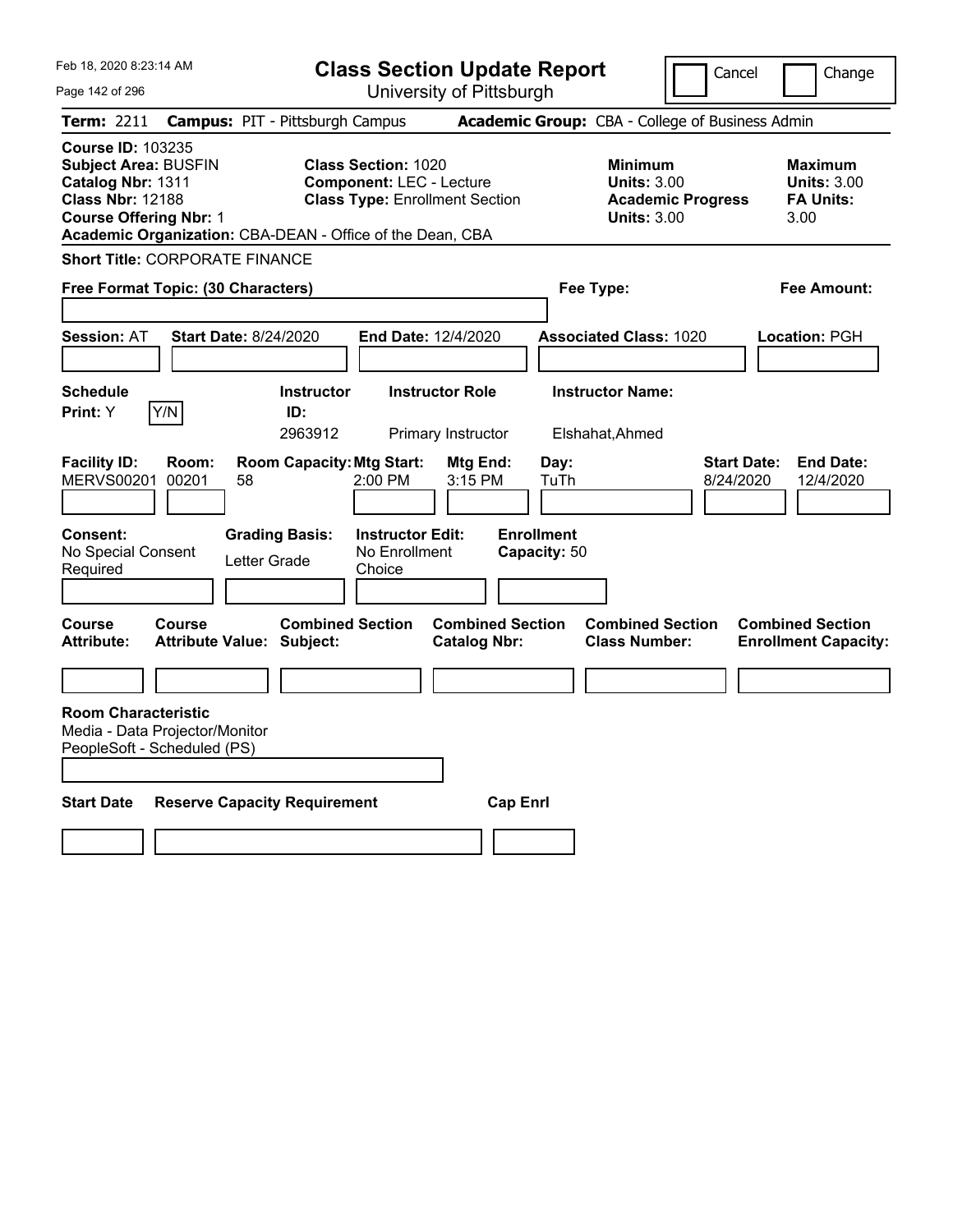| Feb 18, 2020 8:23:14 AM                                                                                                                                                                               | <b>Class Section Update Report</b>                                                                     |                                                |                                                            | Cancel                          | Change                                                    |
|-------------------------------------------------------------------------------------------------------------------------------------------------------------------------------------------------------|--------------------------------------------------------------------------------------------------------|------------------------------------------------|------------------------------------------------------------|---------------------------------|-----------------------------------------------------------|
| Page 142 of 296                                                                                                                                                                                       |                                                                                                        | University of Pittsburgh                       |                                                            |                                 |                                                           |
| Term: 2211                                                                                                                                                                                            | <b>Campus: PIT - Pittsburgh Campus</b>                                                                 |                                                | Academic Group: CBA - College of Business Admin            |                                 |                                                           |
| <b>Course ID: 103235</b><br><b>Subject Area: BUSFIN</b><br>Catalog Nbr: 1311<br><b>Class Nbr: 12188</b><br><b>Course Offering Nbr: 1</b><br>Academic Organization: CBA-DEAN - Office of the Dean, CBA | <b>Class Section: 1020</b><br><b>Component: LEC - Lecture</b><br><b>Class Type: Enrollment Section</b> |                                                | <b>Minimum</b><br><b>Units: 3.00</b><br><b>Units: 3.00</b> | <b>Academic Progress</b>        | Maximum<br><b>Units: 3.00</b><br><b>FA Units:</b><br>3.00 |
| <b>Short Title: CORPORATE FINANCE</b>                                                                                                                                                                 |                                                                                                        |                                                |                                                            |                                 |                                                           |
| Free Format Topic: (30 Characters)                                                                                                                                                                    |                                                                                                        |                                                | Fee Type:                                                  |                                 | Fee Amount:                                               |
|                                                                                                                                                                                                       |                                                                                                        |                                                |                                                            |                                 |                                                           |
| <b>Start Date: 8/24/2020</b><br><b>Session: AT</b>                                                                                                                                                    |                                                                                                        | <b>End Date: 12/4/2020</b>                     | <b>Associated Class: 1020</b>                              |                                 | Location: PGH                                             |
|                                                                                                                                                                                                       |                                                                                                        |                                                |                                                            |                                 |                                                           |
| <b>Schedule</b>                                                                                                                                                                                       | <b>Instructor</b>                                                                                      | <b>Instructor Role</b>                         | <b>Instructor Name:</b>                                    |                                 |                                                           |
| Y/N<br>Print: Y                                                                                                                                                                                       | ID:<br>2963912                                                                                         | Primary Instructor                             | Elshahat, Ahmed                                            |                                 |                                                           |
| <b>Facility ID:</b><br>Room:<br><b>MERVS00201</b><br>00201<br>58<br><b>Consent:</b>                                                                                                                   | <b>Room Capacity: Mtg Start:</b><br>2:00 PM<br><b>Grading Basis:</b><br><b>Instructor Edit:</b>        | Mtg End:<br>3:15 PM                            | Day:<br>TuTh<br><b>Enrollment</b>                          | <b>Start Date:</b><br>8/24/2020 | <b>End Date:</b><br>12/4/2020                             |
| No Special Consent<br>Required                                                                                                                                                                        | No Enrollment<br>Letter Grade<br>Choice                                                                |                                                | Capacity: 50                                               |                                 |                                                           |
| <b>Course</b><br>Course<br><b>Attribute:</b><br><b>Attribute Value: Subject:</b>                                                                                                                      | <b>Combined Section</b>                                                                                | <b>Combined Section</b><br><b>Catalog Nbr:</b> | <b>Combined Section</b><br><b>Class Number:</b>            |                                 | <b>Combined Section</b><br><b>Enrollment Capacity:</b>    |
|                                                                                                                                                                                                       |                                                                                                        |                                                |                                                            |                                 |                                                           |
| <b>Room Characteristic</b><br>Media - Data Projector/Monitor<br>PeopleSoft - Scheduled (PS)                                                                                                           |                                                                                                        |                                                |                                                            |                                 |                                                           |
| <b>Start Date</b>                                                                                                                                                                                     | <b>Reserve Capacity Requirement</b>                                                                    | <b>Cap Enri</b>                                |                                                            |                                 |                                                           |
|                                                                                                                                                                                                       |                                                                                                        |                                                |                                                            |                                 |                                                           |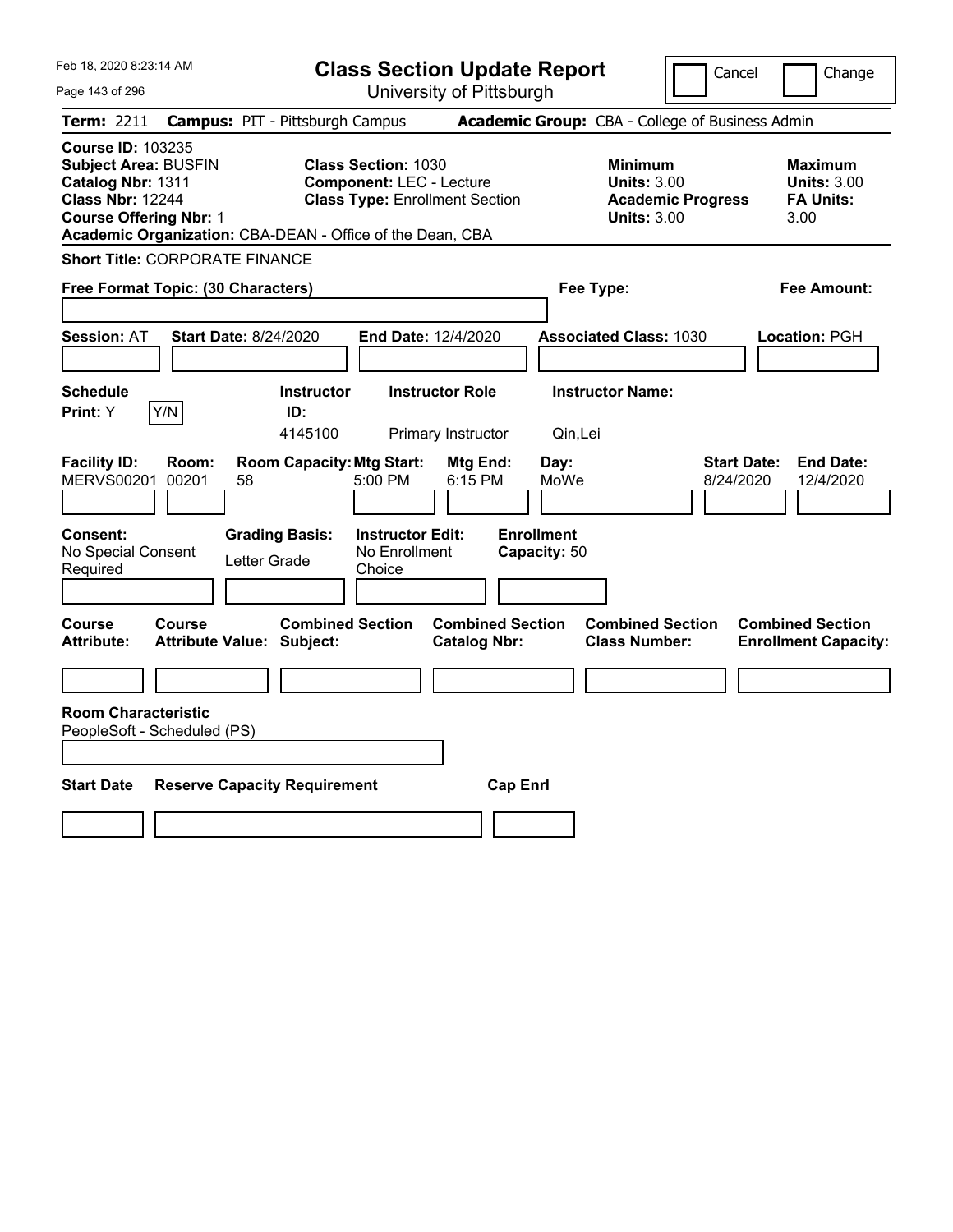| Feb 18, 2020 8:23:14 AM                                                                                                                                                                               |                                                                                                                                            | <b>Class Section Update Report</b>                       |                                                                                        | Cancel<br>Change                                                 |
|-------------------------------------------------------------------------------------------------------------------------------------------------------------------------------------------------------|--------------------------------------------------------------------------------------------------------------------------------------------|----------------------------------------------------------|----------------------------------------------------------------------------------------|------------------------------------------------------------------|
| Page 143 of 296                                                                                                                                                                                       |                                                                                                                                            | University of Pittsburgh                                 |                                                                                        |                                                                  |
| <b>Term: 2211</b>                                                                                                                                                                                     | <b>Campus: PIT - Pittsburgh Campus</b>                                                                                                     |                                                          | Academic Group: CBA - College of Business Admin                                        |                                                                  |
| <b>Course ID: 103235</b><br><b>Subject Area: BUSFIN</b><br>Catalog Nbr: 1311<br><b>Class Nbr: 12244</b><br><b>Course Offering Nbr: 1</b><br>Academic Organization: CBA-DEAN - Office of the Dean, CBA | <b>Class Section: 1030</b><br><b>Component: LEC - Lecture</b><br><b>Class Type: Enrollment Section</b>                                     |                                                          | <b>Minimum</b><br><b>Units: 3.00</b><br><b>Academic Progress</b><br><b>Units: 3.00</b> | <b>Maximum</b><br><b>Units: 3.00</b><br><b>FA Units:</b><br>3.00 |
| <b>Short Title: CORPORATE FINANCE</b>                                                                                                                                                                 |                                                                                                                                            |                                                          |                                                                                        |                                                                  |
| Free Format Topic: (30 Characters)                                                                                                                                                                    |                                                                                                                                            |                                                          | Fee Type:                                                                              | Fee Amount:                                                      |
| <b>Session: AT</b><br><b>Start Date: 8/24/2020</b>                                                                                                                                                    | <b>End Date: 12/4/2020</b>                                                                                                                 |                                                          | <b>Associated Class: 1030</b>                                                          | Location: PGH                                                    |
| <b>Schedule</b>                                                                                                                                                                                       | <b>Instructor</b>                                                                                                                          | <b>Instructor Role</b>                                   | <b>Instructor Name:</b>                                                                |                                                                  |
| Y/N<br>Print: Y                                                                                                                                                                                       | ID:<br>4145100                                                                                                                             | Primary Instructor                                       | Qin,Lei                                                                                |                                                                  |
| <b>Facility ID:</b><br>Room:<br><b>MERVS00201</b><br>00201<br>58<br>Consent:<br>No Special Consent<br>Required                                                                                        | <b>Room Capacity: Mtg Start:</b><br>5:00 PM<br><b>Instructor Edit:</b><br><b>Grading Basis:</b><br>No Enrollment<br>Letter Grade<br>Choice | Mtg End:<br>6:15 PM<br><b>Enrollment</b><br>Capacity: 50 | Day:<br>MoWe                                                                           | <b>End Date:</b><br><b>Start Date:</b><br>12/4/2020<br>8/24/2020 |
| Course<br>Course<br><b>Attribute:</b><br><b>Attribute Value: Subject:</b><br><b>Room Characteristic</b>                                                                                               | <b>Combined Section</b>                                                                                                                    | <b>Combined Section</b><br><b>Catalog Nbr:</b>           | <b>Combined Section</b><br><b>Class Number:</b>                                        | <b>Combined Section</b><br><b>Enrollment Capacity:</b>           |
| PeopleSoft - Scheduled (PS)                                                                                                                                                                           |                                                                                                                                            |                                                          |                                                                                        |                                                                  |
| <b>Start Date</b>                                                                                                                                                                                     | <b>Reserve Capacity Requirement</b>                                                                                                        | <b>Cap Enrl</b>                                          |                                                                                        |                                                                  |
|                                                                                                                                                                                                       |                                                                                                                                            |                                                          |                                                                                        |                                                                  |
|                                                                                                                                                                                                       |                                                                                                                                            |                                                          |                                                                                        |                                                                  |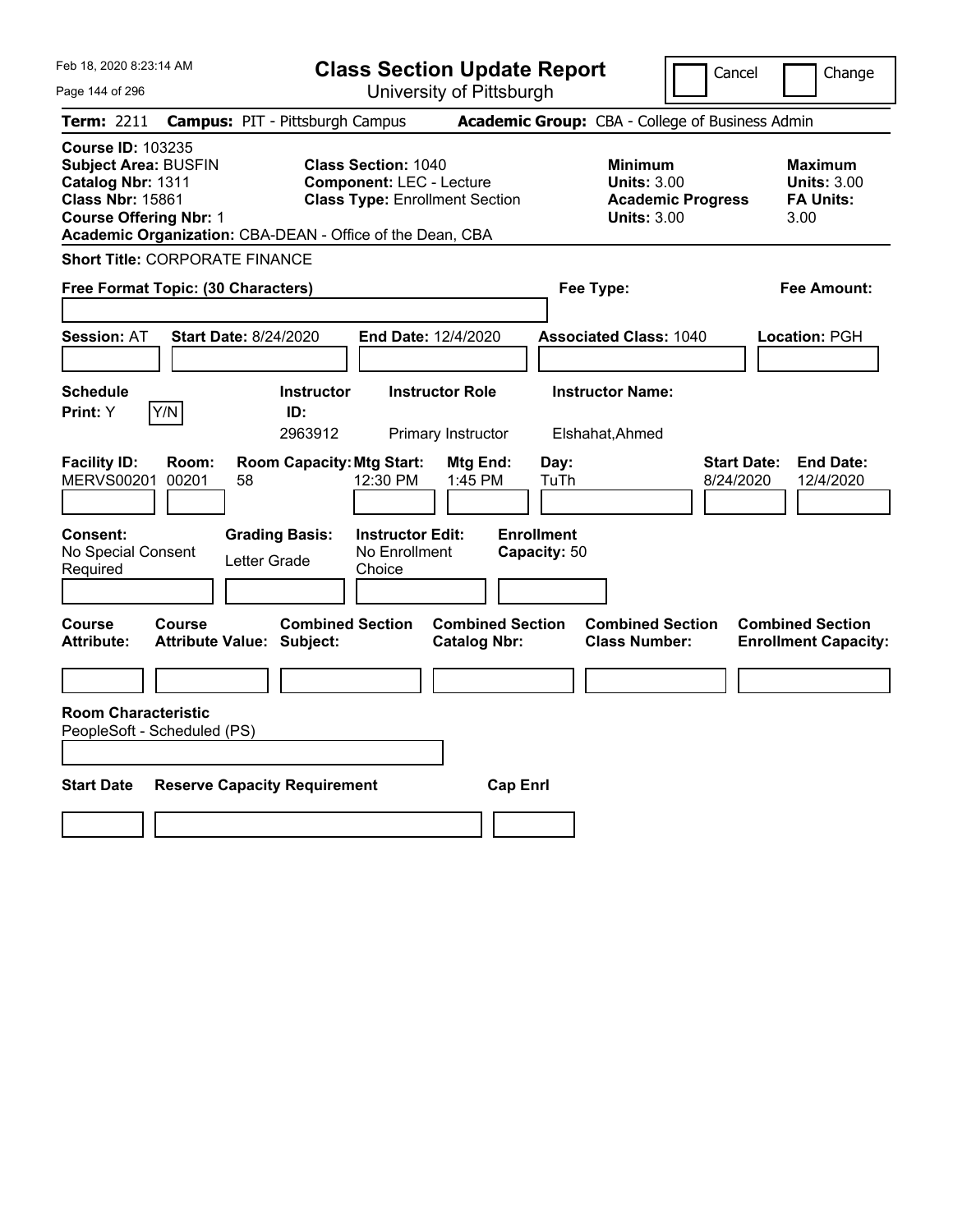| Feb 18, 2020 8:23:14 AM                                                                                                                                                                               | <b>Class Section Update Report</b>                                                                     | Cancel                                                                                 | Change                                                           |
|-------------------------------------------------------------------------------------------------------------------------------------------------------------------------------------------------------|--------------------------------------------------------------------------------------------------------|----------------------------------------------------------------------------------------|------------------------------------------------------------------|
| Page 144 of 296                                                                                                                                                                                       | University of Pittsburgh                                                                               |                                                                                        |                                                                  |
| Term: 2211                                                                                                                                                                                            | <b>Campus: PIT - Pittsburgh Campus</b>                                                                 | Academic Group: CBA - College of Business Admin                                        |                                                                  |
| <b>Course ID: 103235</b><br><b>Subject Area: BUSFIN</b><br>Catalog Nbr: 1311<br><b>Class Nbr: 15861</b><br><b>Course Offering Nbr: 1</b><br>Academic Organization: CBA-DEAN - Office of the Dean, CBA | <b>Class Section: 1040</b><br><b>Component: LEC - Lecture</b><br><b>Class Type: Enrollment Section</b> | <b>Minimum</b><br><b>Units: 3.00</b><br><b>Academic Progress</b><br><b>Units: 3.00</b> | <b>Maximum</b><br><b>Units: 3.00</b><br><b>FA Units:</b><br>3.00 |
| <b>Short Title: CORPORATE FINANCE</b>                                                                                                                                                                 |                                                                                                        |                                                                                        |                                                                  |
| Free Format Topic: (30 Characters)                                                                                                                                                                    |                                                                                                        | Fee Type:                                                                              | Fee Amount:                                                      |
| <b>Session: AT</b><br><b>Start Date: 8/24/2020</b>                                                                                                                                                    | End Date: 12/4/2020                                                                                    | <b>Associated Class: 1040</b>                                                          | Location: PGH                                                    |
| <b>Schedule</b><br>Y/N<br>Print: Y                                                                                                                                                                    | <b>Instructor Role</b><br><b>Instructor</b><br>ID:<br>2963912<br>Primary Instructor                    | <b>Instructor Name:</b><br>Elshahat, Ahmed                                             |                                                                  |
| <b>Facility ID:</b><br>Room:<br><b>MERVS00201</b><br>00201<br>58                                                                                                                                      | <b>Room Capacity: Mtg Start:</b><br>Mtg End:<br>12:30 PM<br>1:45 PM                                    | <b>Start Date:</b><br>Day:<br>TuTh<br>8/24/2020                                        | <b>End Date:</b><br>12/4/2020                                    |
| Consent:<br><b>Grading Basis:</b><br>No Special Consent<br>Letter Grade<br>Required                                                                                                                   | <b>Enrollment</b><br><b>Instructor Edit:</b><br>No Enrollment<br>Capacity: 50<br>Choice                |                                                                                        |                                                                  |
| Course<br>Course<br><b>Attribute Value: Subject:</b><br>Attribute:                                                                                                                                    | <b>Combined Section</b><br><b>Combined Section</b><br><b>Catalog Nbr:</b>                              | <b>Combined Section</b><br><b>Class Number:</b>                                        | <b>Combined Section</b><br><b>Enrollment Capacity:</b>           |
| <b>Room Characteristic</b><br>PeopleSoft - Scheduled (PS)                                                                                                                                             |                                                                                                        |                                                                                        |                                                                  |
| <b>Start Date</b><br><b>Reserve Capacity Requirement</b>                                                                                                                                              | <b>Cap Enrl</b>                                                                                        |                                                                                        |                                                                  |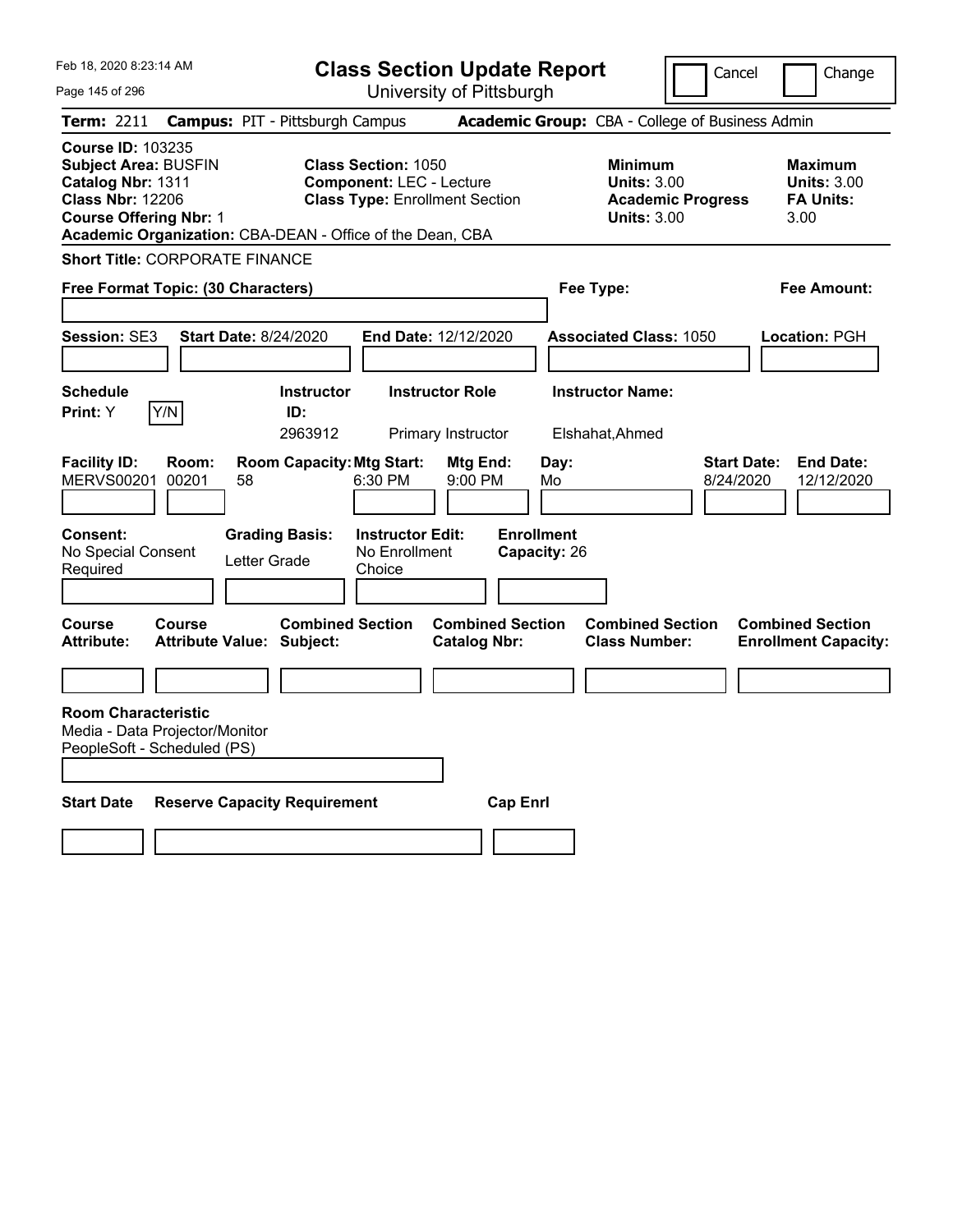| Feb 18, 2020 8:23:14 AM                                                                                                                  | <b>Class Section Update Report</b>                                                                                                                                  |                                                              |                                                                                        | Cancel<br>Change                                                  |
|------------------------------------------------------------------------------------------------------------------------------------------|---------------------------------------------------------------------------------------------------------------------------------------------------------------------|--------------------------------------------------------------|----------------------------------------------------------------------------------------|-------------------------------------------------------------------|
| Page 145 of 296                                                                                                                          |                                                                                                                                                                     | University of Pittsburgh                                     |                                                                                        |                                                                   |
| <b>Term: 2211</b>                                                                                                                        | <b>Campus: PIT - Pittsburgh Campus</b>                                                                                                                              |                                                              | Academic Group: CBA - College of Business Admin                                        |                                                                   |
| <b>Course ID: 103235</b><br><b>Subject Area: BUSFIN</b><br>Catalog Nbr: 1311<br><b>Class Nbr: 12206</b><br><b>Course Offering Nbr: 1</b> | <b>Class Section: 1050</b><br><b>Component: LEC - Lecture</b><br><b>Class Type: Enrollment Section</b><br>Academic Organization: CBA-DEAN - Office of the Dean, CBA |                                                              | <b>Minimum</b><br><b>Units: 3.00</b><br><b>Academic Progress</b><br><b>Units: 3.00</b> | <b>Maximum</b><br><b>Units: 3.00</b><br><b>FA Units:</b><br>3.00  |
| <b>Short Title: CORPORATE FINANCE</b>                                                                                                    |                                                                                                                                                                     |                                                              |                                                                                        |                                                                   |
| Free Format Topic: (30 Characters)                                                                                                       |                                                                                                                                                                     |                                                              | Fee Type:                                                                              | Fee Amount:                                                       |
| <b>Session: SE3</b>                                                                                                                      | <b>Start Date: 8/24/2020</b><br><b>End Date: 12/12/2020</b>                                                                                                         |                                                              | <b>Associated Class: 1050</b>                                                          | Location: PGH                                                     |
| <b>Schedule</b><br>Y/N<br><b>Print:</b> Y                                                                                                | <b>Instructor</b><br>ID:<br>2963912                                                                                                                                 | <b>Instructor Role</b><br>Primary Instructor                 | <b>Instructor Name:</b><br>Elshahat, Ahmed                                             |                                                                   |
| <b>Facility ID:</b><br>Room:<br><b>MERVS00201</b><br>00201                                                                               | <b>Room Capacity: Mtg Start:</b><br>6:30 PM<br>58                                                                                                                   | Mtg End:<br>Day:<br>9:00 PM<br>Mo                            |                                                                                        | <b>Start Date:</b><br><b>End Date:</b><br>8/24/2020<br>12/12/2020 |
| Consent:<br>No Special Consent<br>Required<br>Course<br><b>Course</b>                                                                    | <b>Grading Basis:</b><br><b>Instructor Edit:</b><br>No Enrollment<br>Letter Grade<br>Choice<br><b>Combined Section</b>                                              | <b>Enrollment</b><br>Capacity: 26<br><b>Combined Section</b> | <b>Combined Section</b>                                                                | <b>Combined Section</b>                                           |
| <b>Attribute:</b>                                                                                                                        | <b>Attribute Value: Subject:</b>                                                                                                                                    | <b>Catalog Nbr:</b>                                          | <b>Class Number:</b>                                                                   | <b>Enrollment Capacity:</b>                                       |
|                                                                                                                                          |                                                                                                                                                                     |                                                              |                                                                                        |                                                                   |
| <b>Room Characteristic</b><br>Media - Data Projector/Monitor<br>PeopleSoft - Scheduled (PS)                                              |                                                                                                                                                                     |                                                              |                                                                                        |                                                                   |
| <b>Start Date</b>                                                                                                                        | <b>Reserve Capacity Requirement</b>                                                                                                                                 | <b>Cap Enri</b>                                              |                                                                                        |                                                                   |
|                                                                                                                                          |                                                                                                                                                                     |                                                              |                                                                                        |                                                                   |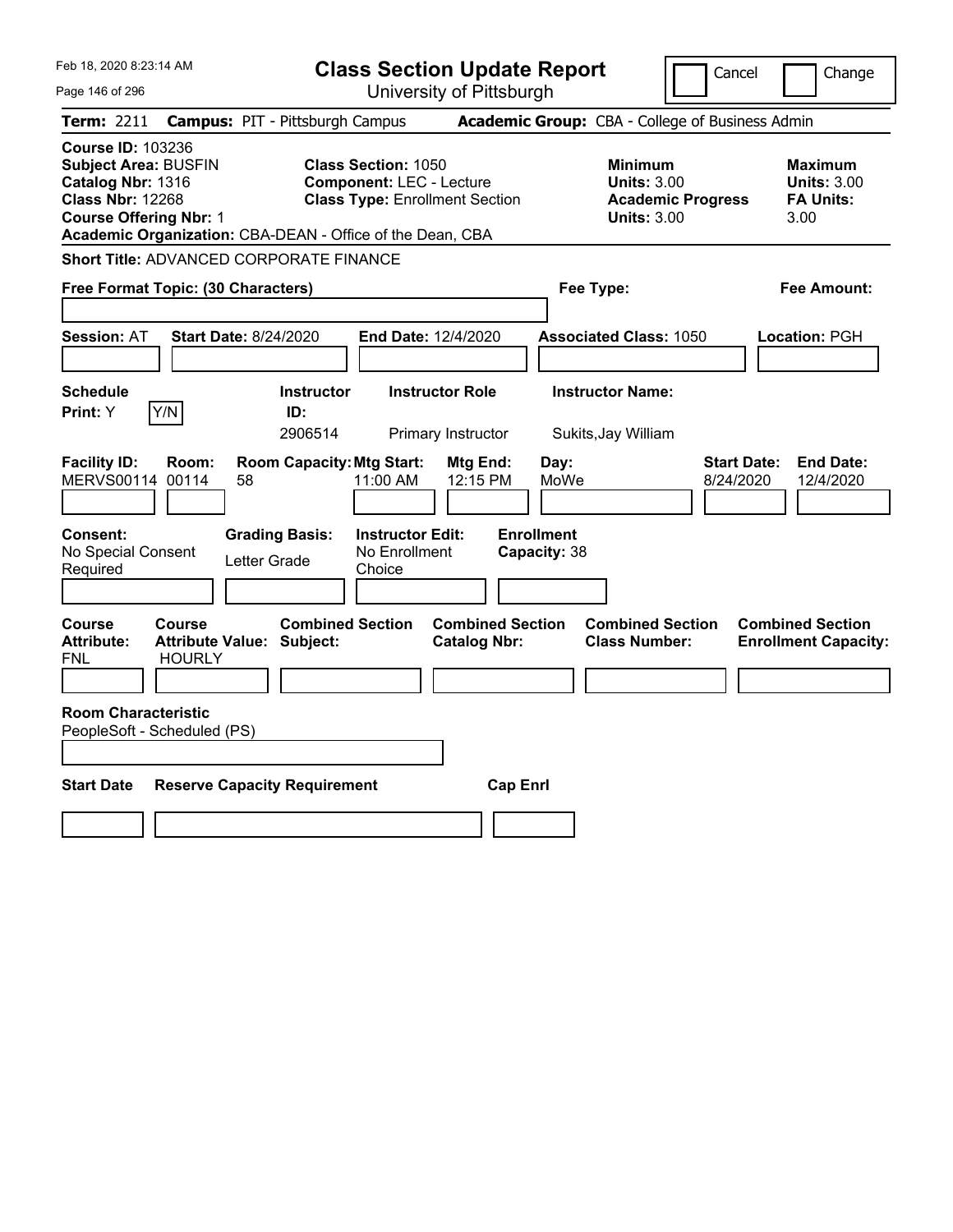| Feb 18, 2020 8:23:14 AM                                                                                                                                                                               | <b>Class Section Update Report</b>                                                                     |                                                | Cancel                                                                                 | Change                                                           |
|-------------------------------------------------------------------------------------------------------------------------------------------------------------------------------------------------------|--------------------------------------------------------------------------------------------------------|------------------------------------------------|----------------------------------------------------------------------------------------|------------------------------------------------------------------|
| Page 146 of 296                                                                                                                                                                                       |                                                                                                        | University of Pittsburgh                       |                                                                                        |                                                                  |
| <b>Term: 2211</b>                                                                                                                                                                                     | <b>Campus: PIT - Pittsburgh Campus</b>                                                                 |                                                | Academic Group: CBA - College of Business Admin                                        |                                                                  |
| <b>Course ID: 103236</b><br><b>Subject Area: BUSFIN</b><br>Catalog Nbr: 1316<br><b>Class Nbr: 12268</b><br><b>Course Offering Nbr: 1</b><br>Academic Organization: CBA-DEAN - Office of the Dean, CBA | <b>Class Section: 1050</b><br><b>Component: LEC - Lecture</b><br><b>Class Type: Enrollment Section</b> |                                                | <b>Minimum</b><br><b>Units: 3.00</b><br><b>Academic Progress</b><br><b>Units: 3.00</b> | <b>Maximum</b><br><b>Units: 3.00</b><br><b>FA Units:</b><br>3.00 |
| Short Title: ADVANCED CORPORATE FINANCE                                                                                                                                                               |                                                                                                        |                                                |                                                                                        |                                                                  |
| Free Format Topic: (30 Characters)                                                                                                                                                                    |                                                                                                        |                                                | Fee Type:                                                                              | Fee Amount:                                                      |
| <b>Session: AT</b><br><b>Start Date: 8/24/2020</b>                                                                                                                                                    | End Date: 12/4/2020                                                                                    |                                                | <b>Associated Class: 1050</b>                                                          | Location: PGH                                                    |
| <b>Schedule</b><br>Y/N<br>Print: Y                                                                                                                                                                    | <b>Instructor Role</b><br><b>Instructor</b><br>ID:<br>2906514<br>Primary Instructor                    |                                                | <b>Instructor Name:</b><br>Sukits, Jay William                                         |                                                                  |
| <b>Facility ID:</b><br>Room:<br>MERVS00114 00114<br>58                                                                                                                                                | <b>Room Capacity: Mtg Start:</b><br>11:00 AM                                                           | Mtg End:<br>Day:<br>12:15 PM<br>MoWe           | 8/24/2020                                                                              | <b>Start Date:</b><br><b>End Date:</b><br>12/4/2020              |
| <b>Consent:</b><br>No Special Consent<br>Letter Grade<br>Required                                                                                                                                     | <b>Grading Basis:</b><br><b>Instructor Edit:</b><br>No Enrollment<br>Choice                            | <b>Enrollment</b><br>Capacity: 38              |                                                                                        |                                                                  |
| Course<br>Course<br><b>Attribute:</b><br><b>Attribute Value: Subject:</b><br><b>HOURLY</b><br>FNL                                                                                                     | <b>Combined Section</b>                                                                                | <b>Combined Section</b><br><b>Catalog Nbr:</b> | <b>Combined Section</b><br><b>Class Number:</b>                                        | <b>Combined Section</b><br><b>Enrollment Capacity:</b>           |
| <b>Room Characteristic</b><br>PeopleSoft - Scheduled (PS)                                                                                                                                             |                                                                                                        |                                                |                                                                                        |                                                                  |
| <b>Start Date</b><br><b>Reserve Capacity Requirement</b>                                                                                                                                              |                                                                                                        | <b>Cap Enrl</b>                                |                                                                                        |                                                                  |
|                                                                                                                                                                                                       |                                                                                                        |                                                |                                                                                        |                                                                  |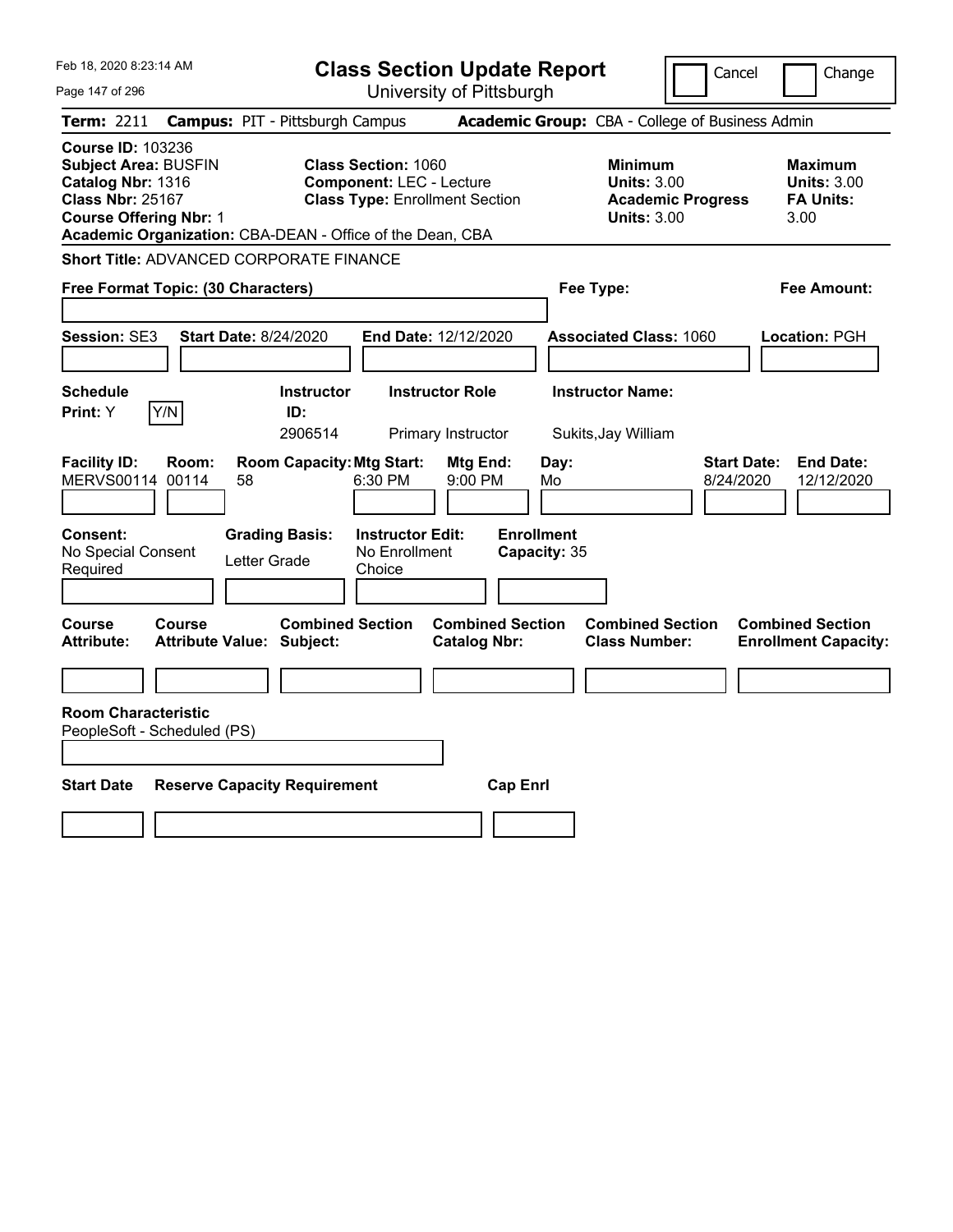| Feb 18, 2020 8:23:14 AM                                                                                                                  | <b>Class Section Update Report</b>                                                                                                                                  |                                                                                        | Cancel<br>Change                                                  |
|------------------------------------------------------------------------------------------------------------------------------------------|---------------------------------------------------------------------------------------------------------------------------------------------------------------------|----------------------------------------------------------------------------------------|-------------------------------------------------------------------|
| Page 147 of 296                                                                                                                          | University of Pittsburgh                                                                                                                                            |                                                                                        |                                                                   |
| <b>Term: 2211</b>                                                                                                                        | <b>Campus: PIT - Pittsburgh Campus</b>                                                                                                                              | Academic Group: CBA - College of Business Admin                                        |                                                                   |
| <b>Course ID: 103236</b><br><b>Subject Area: BUSFIN</b><br>Catalog Nbr: 1316<br><b>Class Nbr: 25167</b><br><b>Course Offering Nbr: 1</b> | <b>Class Section: 1060</b><br><b>Component: LEC - Lecture</b><br><b>Class Type: Enrollment Section</b><br>Academic Organization: CBA-DEAN - Office of the Dean, CBA | <b>Minimum</b><br><b>Units: 3.00</b><br><b>Academic Progress</b><br><b>Units: 3.00</b> | <b>Maximum</b><br><b>Units: 3.00</b><br><b>FA Units:</b><br>3.00  |
| <b>Short Title: ADVANCED CORPORATE FINANCE</b>                                                                                           |                                                                                                                                                                     |                                                                                        |                                                                   |
| Free Format Topic: (30 Characters)                                                                                                       |                                                                                                                                                                     | Fee Type:                                                                              | Fee Amount:                                                       |
| <b>Session: SE3</b><br><b>Start Date: 8/24/2020</b>                                                                                      | End Date: 12/12/2020                                                                                                                                                | <b>Associated Class: 1060</b>                                                          | Location: PGH                                                     |
| <b>Schedule</b><br>Y/N<br>Print: Y                                                                                                       | <b>Instructor Role</b><br><b>Instructor</b><br>ID:<br>2906514<br>Primary Instructor                                                                                 | <b>Instructor Name:</b><br>Sukits, Jay William                                         |                                                                   |
| <b>Facility ID:</b><br>Room:<br>MERVS00114 00114<br>58                                                                                   | <b>Room Capacity: Mtg Start:</b><br>6:30 PM<br>9:00 PM                                                                                                              | Mtg End:<br>Day:<br>Mo                                                                 | <b>End Date:</b><br><b>Start Date:</b><br>12/12/2020<br>8/24/2020 |
| Consent:<br>No Special Consent<br>Required                                                                                               | <b>Instructor Edit:</b><br><b>Grading Basis:</b><br>No Enrollment<br>Letter Grade<br>Choice                                                                         | <b>Enrollment</b><br>Capacity: 35                                                      |                                                                   |
| Course<br>Course<br><b>Attribute:</b><br>Attribute Value: Subject:                                                                       | <b>Combined Section</b><br><b>Catalog Nbr:</b>                                                                                                                      | <b>Combined Section</b><br><b>Combined Section</b><br><b>Class Number:</b>             | <b>Combined Section</b><br><b>Enrollment Capacity:</b>            |
|                                                                                                                                          |                                                                                                                                                                     |                                                                                        |                                                                   |
| <b>Room Characteristic</b><br>PeopleSoft - Scheduled (PS)                                                                                |                                                                                                                                                                     |                                                                                        |                                                                   |
| <b>Start Date</b>                                                                                                                        | <b>Reserve Capacity Requirement</b>                                                                                                                                 | <b>Cap Enrl</b>                                                                        |                                                                   |
|                                                                                                                                          |                                                                                                                                                                     |                                                                                        |                                                                   |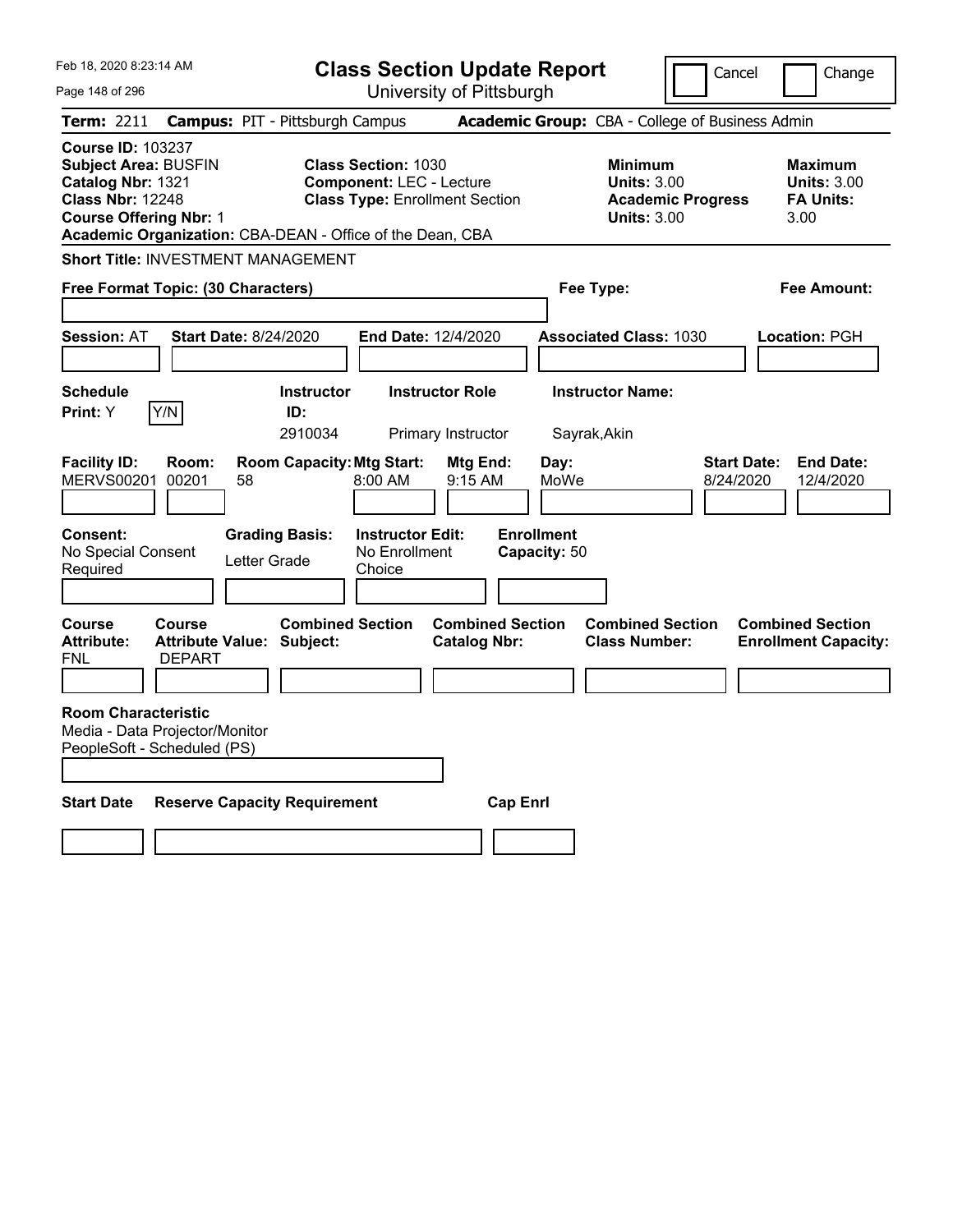| Feb 18, 2020 8:23:14 AM                                                                                                                  |                                |                                                           |                                                               | <b>Class Section Update Report</b>             |                                   |                                                                                        | Cancel                          | Change                                                    |
|------------------------------------------------------------------------------------------------------------------------------------------|--------------------------------|-----------------------------------------------------------|---------------------------------------------------------------|------------------------------------------------|-----------------------------------|----------------------------------------------------------------------------------------|---------------------------------|-----------------------------------------------------------|
| Page 148 of 296                                                                                                                          |                                |                                                           |                                                               | University of Pittsburgh                       |                                   |                                                                                        |                                 |                                                           |
| Term: 2211                                                                                                                               |                                | <b>Campus: PIT - Pittsburgh Campus</b>                    |                                                               |                                                |                                   | Academic Group: CBA - College of Business Admin                                        |                                 |                                                           |
| <b>Course ID: 103237</b><br><b>Subject Area: BUSFIN</b><br>Catalog Nbr: 1321<br><b>Class Nbr: 12248</b><br><b>Course Offering Nbr: 1</b> |                                | Academic Organization: CBA-DEAN - Office of the Dean, CBA | <b>Class Section: 1030</b><br><b>Component: LEC - Lecture</b> | <b>Class Type: Enrollment Section</b>          |                                   | <b>Minimum</b><br><b>Units: 3.00</b><br><b>Academic Progress</b><br><b>Units: 3.00</b> |                                 | Maximum<br><b>Units: 3.00</b><br><b>FA Units:</b><br>3.00 |
|                                                                                                                                          |                                | <b>Short Title: INVESTMENT MANAGEMENT</b>                 |                                                               |                                                |                                   |                                                                                        |                                 |                                                           |
| Free Format Topic: (30 Characters)                                                                                                       |                                |                                                           |                                                               |                                                | Fee Type:                         |                                                                                        |                                 | Fee Amount:                                               |
| <b>Session: AT</b>                                                                                                                       |                                | <b>Start Date: 8/24/2020</b>                              | <b>End Date: 12/4/2020</b>                                    |                                                |                                   | <b>Associated Class: 1030</b>                                                          |                                 | Location: PGH                                             |
| <b>Schedule</b><br>Print: Y                                                                                                              | Y/N                            | <b>Instructor</b><br>ID:<br>2910034                       |                                                               | <b>Instructor Role</b><br>Primary Instructor   | Sayrak, Akin                      | <b>Instructor Name:</b>                                                                |                                 |                                                           |
| <b>Facility ID:</b><br><b>MERVS00201</b>                                                                                                 | Room:<br>00201                 | <b>Room Capacity: Mtg Start:</b><br>58                    | 8:00 AM                                                       | Mtg End:<br>9:15 AM                            | Day:<br>MoWe                      |                                                                                        | <b>Start Date:</b><br>8/24/2020 | <b>End Date:</b><br>12/4/2020                             |
| <b>Consent:</b><br>No Special Consent<br>Required                                                                                        |                                | <b>Grading Basis:</b><br>Letter Grade                     | <b>Instructor Edit:</b><br>No Enrollment<br>Choice            |                                                | <b>Enrollment</b><br>Capacity: 50 |                                                                                        |                                 |                                                           |
| Course<br><b>Attribute:</b><br>FNL                                                                                                       | <b>Course</b><br><b>DEPART</b> | <b>Combined Section</b><br>Attribute Value: Subject:      |                                                               | <b>Combined Section</b><br><b>Catalog Nbr:</b> |                                   | <b>Combined Section</b><br><b>Class Number:</b>                                        |                                 | <b>Combined Section</b><br><b>Enrollment Capacity:</b>    |
| <b>Room Characteristic</b><br>Media - Data Projector/Monitor<br>PeopleSoft - Scheduled (PS)                                              |                                |                                                           |                                                               |                                                |                                   |                                                                                        |                                 |                                                           |
| <b>Start Date</b>                                                                                                                        |                                | <b>Reserve Capacity Requirement</b>                       |                                                               | <b>Cap Enri</b>                                |                                   |                                                                                        |                                 |                                                           |
|                                                                                                                                          |                                |                                                           |                                                               |                                                |                                   |                                                                                        |                                 |                                                           |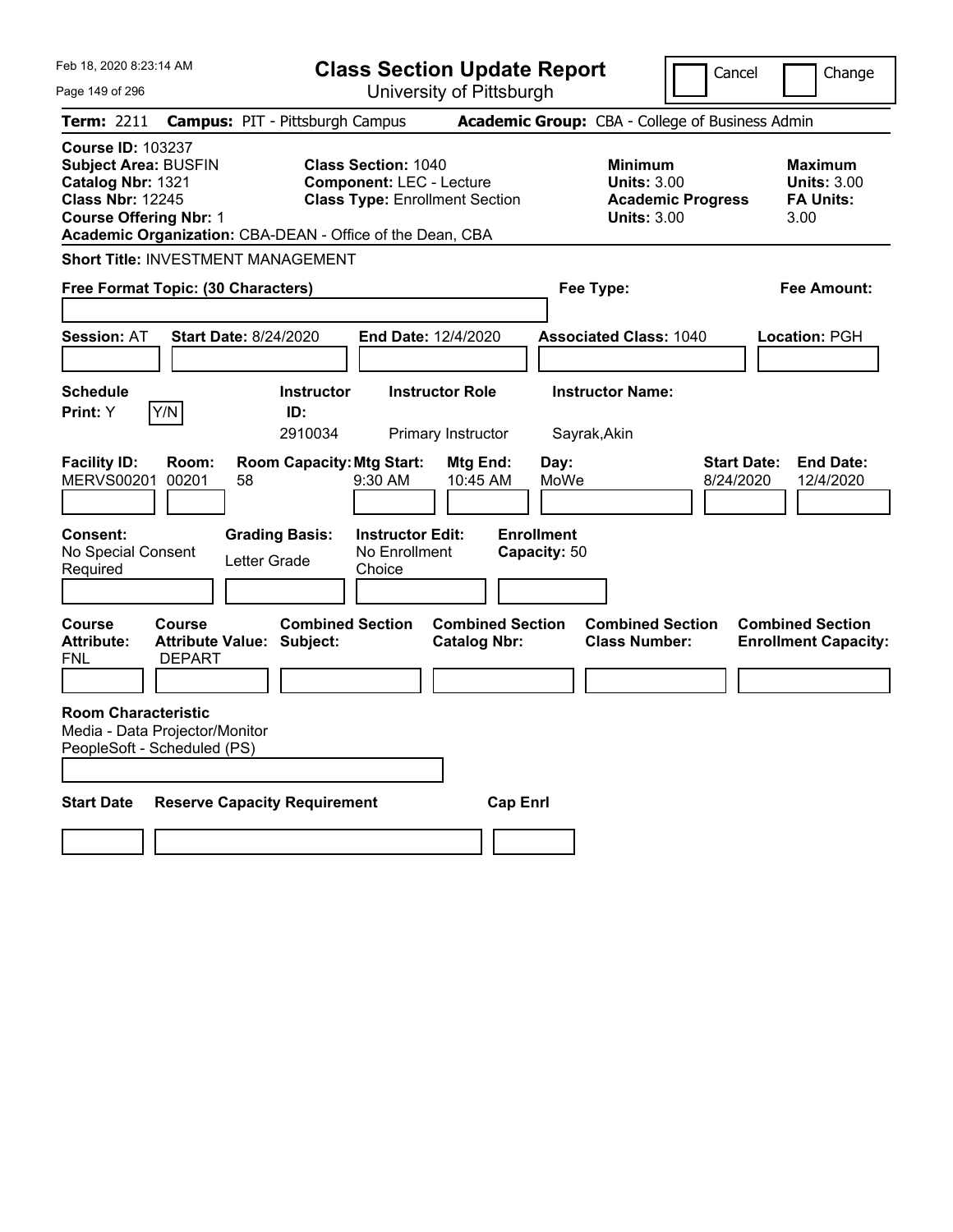| Feb 18, 2020 8:23:14 AM                                                                                                                                                                               |                                                             |                                     | <b>Class Section Update Report</b>                                                                     |                                                |                                   |                                                     | Cancel                                          | Change                                                           |  |
|-------------------------------------------------------------------------------------------------------------------------------------------------------------------------------------------------------|-------------------------------------------------------------|-------------------------------------|--------------------------------------------------------------------------------------------------------|------------------------------------------------|-----------------------------------|-----------------------------------------------------|-------------------------------------------------|------------------------------------------------------------------|--|
| Page 149 of 296                                                                                                                                                                                       |                                                             |                                     |                                                                                                        | University of Pittsburgh                       |                                   |                                                     |                                                 |                                                                  |  |
| Term: 2211                                                                                                                                                                                            | <b>Campus: PIT - Pittsburgh Campus</b>                      |                                     |                                                                                                        |                                                |                                   |                                                     | Academic Group: CBA - College of Business Admin |                                                                  |  |
| <b>Course ID: 103237</b><br><b>Subject Area: BUSFIN</b><br>Catalog Nbr: 1321<br><b>Class Nbr: 12245</b><br><b>Course Offering Nbr: 1</b><br>Academic Organization: CBA-DEAN - Office of the Dean, CBA |                                                             |                                     | <b>Class Section: 1040</b><br><b>Component: LEC - Lecture</b><br><b>Class Type: Enrollment Section</b> |                                                |                                   | Minimum<br><b>Units: 3.00</b><br><b>Units: 3.00</b> | <b>Academic Progress</b>                        | <b>Maximum</b><br><b>Units: 3.00</b><br><b>FA Units:</b><br>3.00 |  |
| <b>Short Title: INVESTMENT MANAGEMENT</b>                                                                                                                                                             |                                                             |                                     |                                                                                                        |                                                |                                   |                                                     |                                                 |                                                                  |  |
| Free Format Topic: (30 Characters)                                                                                                                                                                    |                                                             |                                     |                                                                                                        |                                                |                                   | Fee Type:                                           |                                                 | Fee Amount:                                                      |  |
| <b>Session: AT</b>                                                                                                                                                                                    | <b>Start Date: 8/24/2020</b>                                |                                     | <b>End Date: 12/4/2020</b>                                                                             |                                                |                                   | <b>Associated Class: 1040</b>                       |                                                 | Location: PGH                                                    |  |
| <b>Schedule</b><br>Y/N<br>Print: Y                                                                                                                                                                    |                                                             | <b>Instructor</b><br>ID:<br>2910034 |                                                                                                        | <b>Instructor Role</b><br>Primary Instructor   | Sayrak, Akin                      | <b>Instructor Name:</b>                             |                                                 |                                                                  |  |
| <b>Facility ID:</b><br><b>MERVS00201</b>                                                                                                                                                              | Room:<br>00201<br>58                                        | <b>Room Capacity: Mtg Start:</b>    | 9:30 AM                                                                                                | Mtg End:<br>10:45 AM                           | Day:<br>MoWe                      |                                                     | <b>Start Date:</b><br>8/24/2020                 | <b>End Date:</b><br>12/4/2020                                    |  |
| Consent:<br>No Special Consent<br>Required                                                                                                                                                            | Letter Grade                                                | <b>Grading Basis:</b>               | <b>Instructor Edit:</b><br>No Enrollment<br>Choice                                                     |                                                | <b>Enrollment</b><br>Capacity: 50 |                                                     |                                                 |                                                                  |  |
| <b>Course</b><br><b>Attribute:</b><br><b>FNL</b>                                                                                                                                                      | <b>Course</b><br>Attribute Value: Subject:<br><b>DEPART</b> | <b>Combined Section</b>             |                                                                                                        | <b>Combined Section</b><br><b>Catalog Nbr:</b> |                                   | <b>Combined Section</b><br><b>Class Number:</b>     |                                                 | <b>Combined Section</b><br><b>Enrollment Capacity:</b>           |  |
| <b>Room Characteristic</b><br>Media - Data Projector/Monitor<br>PeopleSoft - Scheduled (PS)                                                                                                           |                                                             |                                     |                                                                                                        |                                                |                                   |                                                     |                                                 |                                                                  |  |
| <b>Start Date</b>                                                                                                                                                                                     | <b>Reserve Capacity Requirement</b>                         |                                     |                                                                                                        | <b>Cap Enrl</b>                                |                                   |                                                     |                                                 |                                                                  |  |
|                                                                                                                                                                                                       |                                                             |                                     |                                                                                                        |                                                |                                   |                                                     |                                                 |                                                                  |  |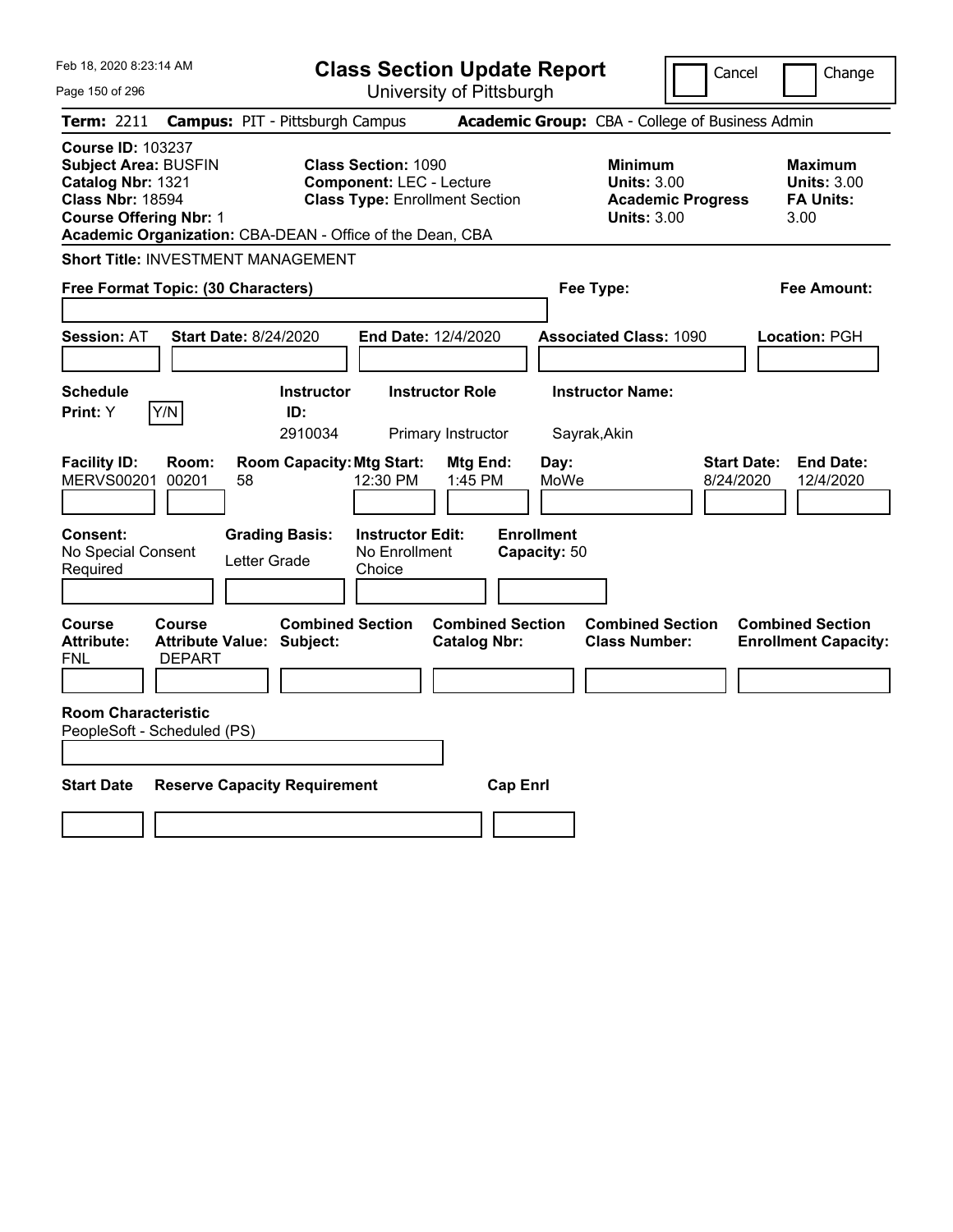| Feb 18, 2020 8:23:14 AM                                                                                                                                                                               | <b>Class Section Update Report</b>                                                                     | Cancel                                                                                 | Change                                                           |
|-------------------------------------------------------------------------------------------------------------------------------------------------------------------------------------------------------|--------------------------------------------------------------------------------------------------------|----------------------------------------------------------------------------------------|------------------------------------------------------------------|
| Page 150 of 296                                                                                                                                                                                       | University of Pittsburgh                                                                               |                                                                                        |                                                                  |
| <b>Term: 2211</b>                                                                                                                                                                                     | <b>Campus: PIT - Pittsburgh Campus</b>                                                                 | Academic Group: CBA - College of Business Admin                                        |                                                                  |
| <b>Course ID: 103237</b><br><b>Subject Area: BUSFIN</b><br>Catalog Nbr: 1321<br><b>Class Nbr: 18594</b><br><b>Course Offering Nbr: 1</b><br>Academic Organization: CBA-DEAN - Office of the Dean, CBA | <b>Class Section: 1090</b><br><b>Component: LEC - Lecture</b><br><b>Class Type: Enrollment Section</b> | <b>Minimum</b><br><b>Units: 3.00</b><br><b>Academic Progress</b><br><b>Units: 3.00</b> | <b>Maximum</b><br><b>Units: 3.00</b><br><b>FA Units:</b><br>3.00 |
| <b>Short Title: INVESTMENT MANAGEMENT</b>                                                                                                                                                             |                                                                                                        |                                                                                        |                                                                  |
| Free Format Topic: (30 Characters)                                                                                                                                                                    |                                                                                                        | Fee Type:                                                                              | Fee Amount:                                                      |
| <b>Session: AT</b><br><b>Start Date: 8/24/2020</b>                                                                                                                                                    | End Date: 12/4/2020                                                                                    | <b>Associated Class: 1090</b>                                                          | Location: PGH                                                    |
| <b>Schedule</b><br>Y/N<br>Print: Y                                                                                                                                                                    | <b>Instructor</b><br><b>Instructor Role</b><br>ID:<br>2910034<br>Primary Instructor                    | <b>Instructor Name:</b><br>Sayrak, Akin                                                |                                                                  |
| <b>Facility ID:</b><br>Room:<br><b>MERVS00201</b><br>00201<br>58                                                                                                                                      | <b>Room Capacity: Mtg Start:</b><br>Mtg End:<br>12:30 PM<br>1:45 PM                                    | <b>Start Date:</b><br>Day:<br>MoWe<br>8/24/2020                                        | <b>End Date:</b><br>12/4/2020                                    |
| Consent:<br><b>Grading Basis:</b><br>No Special Consent<br>Letter Grade<br>Required                                                                                                                   | <b>Instructor Edit:</b><br>No Enrollment<br>Choice                                                     | <b>Enrollment</b><br>Capacity: 50                                                      |                                                                  |
| Course<br><b>Course</b><br><b>Attribute:</b><br><b>Attribute Value: Subject:</b><br><b>FNL</b><br><b>DEPART</b>                                                                                       | <b>Combined Section</b><br><b>Combined Section</b><br><b>Catalog Nbr:</b>                              | <b>Combined Section</b><br><b>Class Number:</b>                                        | <b>Combined Section</b><br><b>Enrollment Capacity:</b>           |
| <b>Room Characteristic</b><br>PeopleSoft - Scheduled (PS)                                                                                                                                             |                                                                                                        |                                                                                        |                                                                  |
| <b>Start Date</b><br><b>Reserve Capacity Requirement</b>                                                                                                                                              | <b>Cap Enrl</b>                                                                                        |                                                                                        |                                                                  |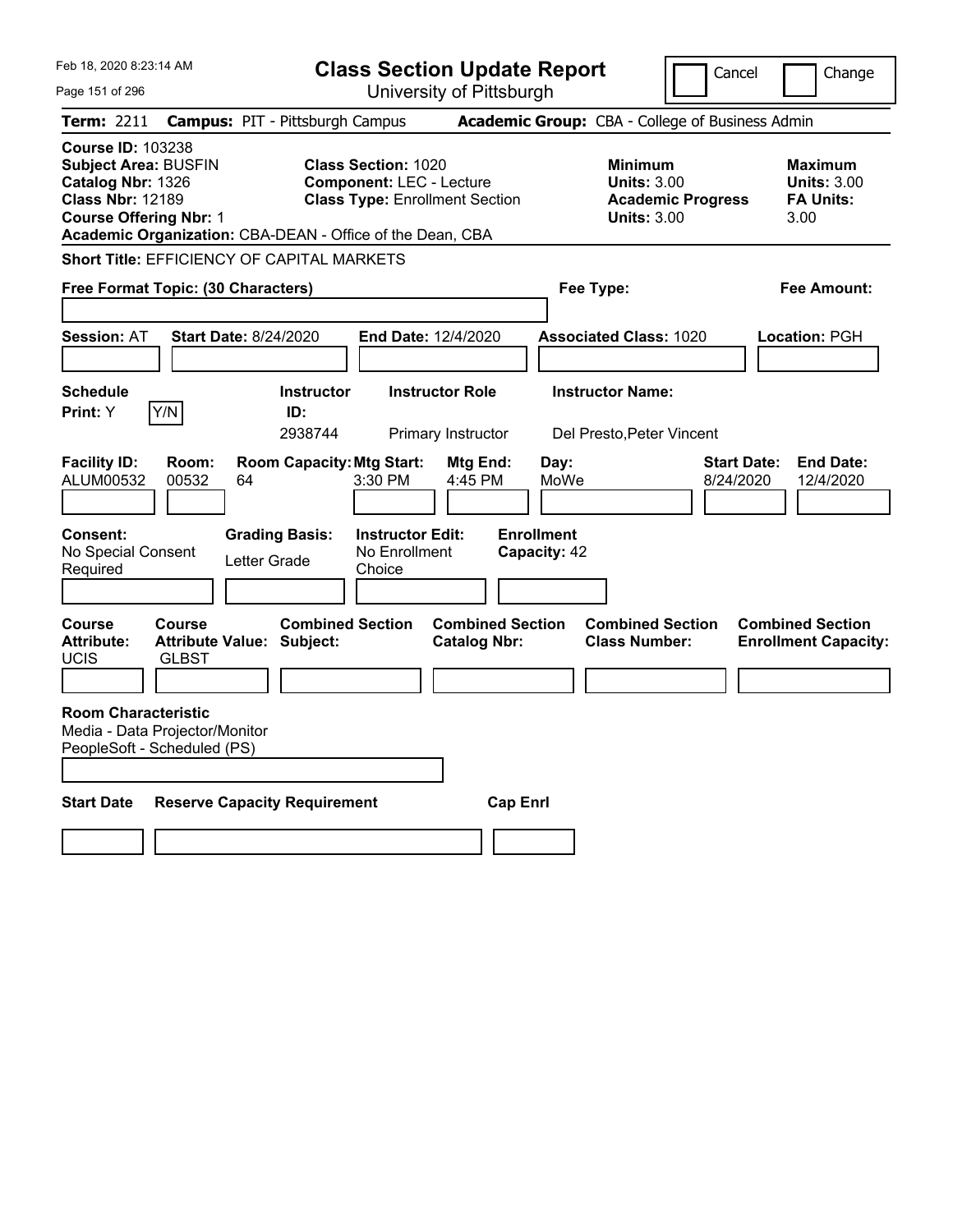| Feb 18, 2020 8:23:14 AM                                                                                                                                                                               |                                                                   |                                                                           | <b>Class Section Update Report</b>                                                                     |                                                |                                                   |                                                            | Cancel                                          | Change                                                           |
|-------------------------------------------------------------------------------------------------------------------------------------------------------------------------------------------------------|-------------------------------------------------------------------|---------------------------------------------------------------------------|--------------------------------------------------------------------------------------------------------|------------------------------------------------|---------------------------------------------------|------------------------------------------------------------|-------------------------------------------------|------------------------------------------------------------------|
| Page 151 of 296                                                                                                                                                                                       |                                                                   |                                                                           |                                                                                                        | University of Pittsburgh                       |                                                   |                                                            |                                                 |                                                                  |
| Term: 2211                                                                                                                                                                                            |                                                                   | <b>Campus: PIT - Pittsburgh Campus</b>                                    |                                                                                                        |                                                |                                                   |                                                            | Academic Group: CBA - College of Business Admin |                                                                  |
| <b>Course ID: 103238</b><br><b>Subject Area: BUSFIN</b><br>Catalog Nbr: 1326<br><b>Class Nbr: 12189</b><br><b>Course Offering Nbr: 1</b><br>Academic Organization: CBA-DEAN - Office of the Dean, CBA |                                                                   |                                                                           | <b>Class Section: 1020</b><br><b>Component: LEC - Lecture</b><br><b>Class Type: Enrollment Section</b> |                                                |                                                   | <b>Minimum</b><br><b>Units: 3.00</b><br><b>Units: 3.00</b> | <b>Academic Progress</b>                        | <b>Maximum</b><br><b>Units: 3.00</b><br><b>FA Units:</b><br>3.00 |
| Short Title: EFFICIENCY OF CAPITAL MARKETS                                                                                                                                                            |                                                                   |                                                                           |                                                                                                        |                                                |                                                   |                                                            |                                                 |                                                                  |
| Free Format Topic: (30 Characters)                                                                                                                                                                    |                                                                   |                                                                           |                                                                                                        |                                                |                                                   | Fee Type:                                                  |                                                 | Fee Amount:                                                      |
|                                                                                                                                                                                                       |                                                                   |                                                                           |                                                                                                        |                                                |                                                   |                                                            |                                                 |                                                                  |
| <b>Session: AT</b>                                                                                                                                                                                    | <b>Start Date: 8/24/2020</b>                                      |                                                                           | <b>End Date: 12/4/2020</b>                                                                             |                                                |                                                   | <b>Associated Class: 1020</b>                              |                                                 | Location: PGH                                                    |
|                                                                                                                                                                                                       |                                                                   |                                                                           |                                                                                                        |                                                |                                                   |                                                            |                                                 |                                                                  |
| <b>Schedule</b>                                                                                                                                                                                       |                                                                   | <b>Instructor</b>                                                         |                                                                                                        | <b>Instructor Role</b>                         |                                                   | <b>Instructor Name:</b>                                    |                                                 |                                                                  |
| Print: Y                                                                                                                                                                                              | Y/N                                                               | ID:<br>2938744                                                            |                                                                                                        | Primary Instructor                             |                                                   | Del Presto, Peter Vincent                                  |                                                 |                                                                  |
| <b>Facility ID:</b><br>ALUM00532<br><b>Consent:</b><br>No Special Consent<br>Required                                                                                                                 | Room:<br>00532<br>64                                              | <b>Room Capacity: Mtg Start:</b><br><b>Grading Basis:</b><br>Letter Grade | 3:30 PM<br><b>Instructor Edit:</b><br>No Enrollment<br>Choice                                          | Mtg End:<br>4:45 PM                            | Day:<br>MoWe<br><b>Enrollment</b><br>Capacity: 42 |                                                            | <b>Start Date:</b><br>8/24/2020                 | <b>End Date:</b><br>12/4/2020                                    |
|                                                                                                                                                                                                       |                                                                   |                                                                           |                                                                                                        |                                                |                                                   |                                                            |                                                 |                                                                  |
| Course<br><b>Attribute:</b><br><b>UCIS</b>                                                                                                                                                            | <b>Course</b><br><b>Attribute Value: Subject:</b><br><b>GLBST</b> | <b>Combined Section</b>                                                   |                                                                                                        | <b>Combined Section</b><br><b>Catalog Nbr:</b> |                                                   | <b>Combined Section</b><br><b>Class Number:</b>            |                                                 | <b>Combined Section</b><br><b>Enrollment Capacity:</b>           |
| <b>Room Characteristic</b><br>Media - Data Projector/Monitor<br>PeopleSoft - Scheduled (PS)                                                                                                           |                                                                   |                                                                           |                                                                                                        |                                                |                                                   |                                                            |                                                 |                                                                  |
| <b>Start Date</b>                                                                                                                                                                                     | <b>Reserve Capacity Requirement</b>                               |                                                                           |                                                                                                        |                                                | <b>Cap Enri</b>                                   |                                                            |                                                 |                                                                  |
|                                                                                                                                                                                                       |                                                                   |                                                                           |                                                                                                        |                                                |                                                   |                                                            |                                                 |                                                                  |
|                                                                                                                                                                                                       |                                                                   |                                                                           |                                                                                                        |                                                |                                                   |                                                            |                                                 |                                                                  |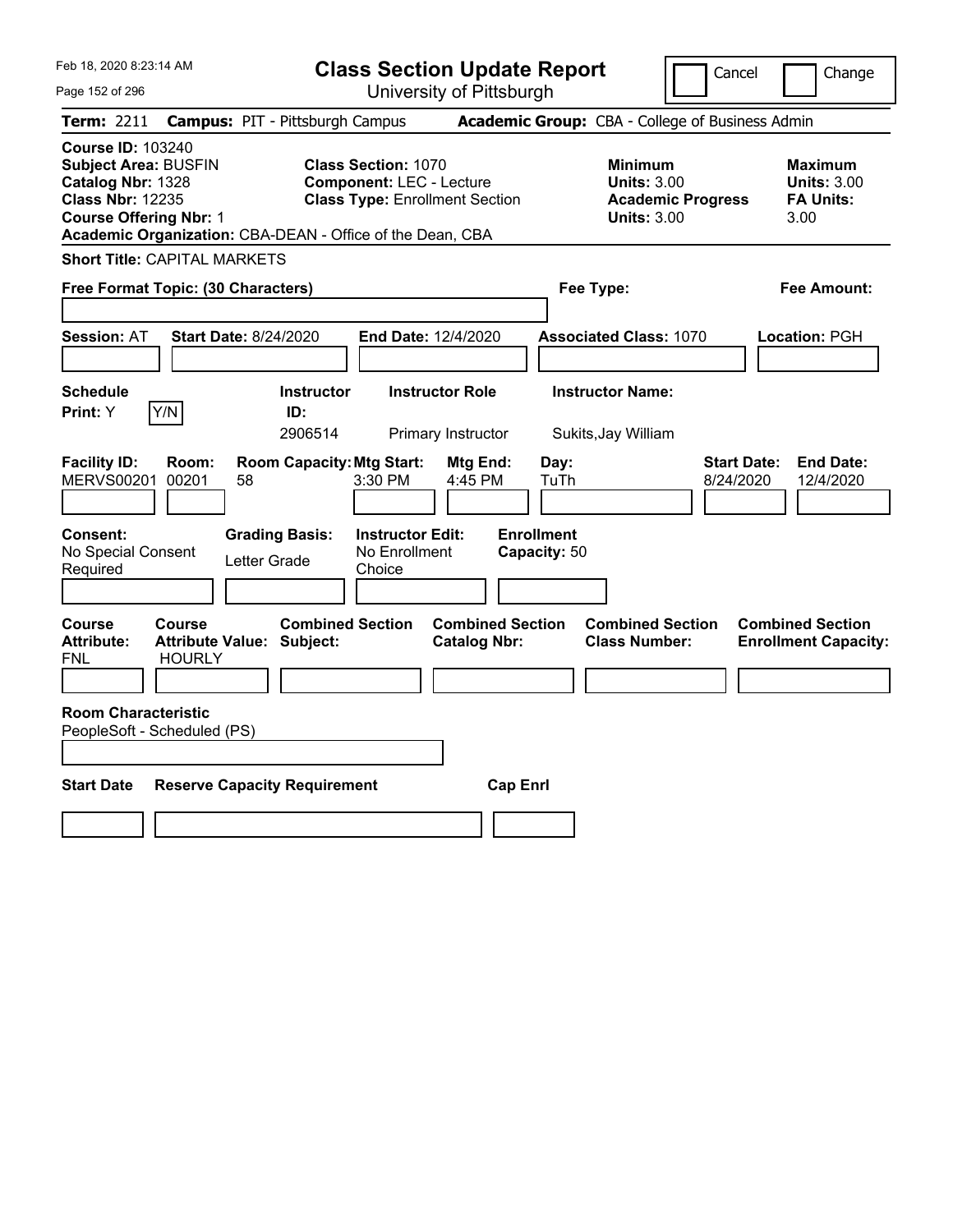| Feb 18, 2020 8:23:14 AM                                                                                                                                                                               | <b>Class Section Update Report</b>                                                                     |                                                                                        | Cancel<br>Change                                                 |
|-------------------------------------------------------------------------------------------------------------------------------------------------------------------------------------------------------|--------------------------------------------------------------------------------------------------------|----------------------------------------------------------------------------------------|------------------------------------------------------------------|
| Page 152 of 296                                                                                                                                                                                       | University of Pittsburgh                                                                               |                                                                                        |                                                                  |
| Term: 2211                                                                                                                                                                                            | <b>Campus: PIT - Pittsburgh Campus</b>                                                                 | Academic Group: CBA - College of Business Admin                                        |                                                                  |
| <b>Course ID: 103240</b><br><b>Subject Area: BUSFIN</b><br>Catalog Nbr: 1328<br><b>Class Nbr: 12235</b><br><b>Course Offering Nbr: 1</b><br>Academic Organization: CBA-DEAN - Office of the Dean, CBA | <b>Class Section: 1070</b><br><b>Component: LEC - Lecture</b><br><b>Class Type: Enrollment Section</b> | <b>Minimum</b><br><b>Units: 3.00</b><br><b>Academic Progress</b><br><b>Units: 3.00</b> | <b>Maximum</b><br><b>Units: 3.00</b><br><b>FA Units:</b><br>3.00 |
| <b>Short Title: CAPITAL MARKETS</b>                                                                                                                                                                   |                                                                                                        |                                                                                        |                                                                  |
| Free Format Topic: (30 Characters)                                                                                                                                                                    |                                                                                                        | Fee Type:                                                                              | Fee Amount:                                                      |
| <b>Start Date: 8/24/2020</b><br><b>Session: AT</b>                                                                                                                                                    | End Date: 12/4/2020                                                                                    | <b>Associated Class: 1070</b>                                                          | Location: PGH                                                    |
| <b>Schedule</b><br>Y/N<br>Print: Y                                                                                                                                                                    | <b>Instructor Role</b><br><b>Instructor</b><br>ID:<br>2906514<br>Primary Instructor                    | <b>Instructor Name:</b><br>Sukits, Jay William                                         |                                                                  |
| <b>Facility ID:</b><br>Room:<br><b>MERVS00201</b><br>00201<br>58                                                                                                                                      | <b>Room Capacity: Mtg Start:</b><br>Mtg End:<br>3:30 PM<br>4:45 PM                                     | Day:<br>TuTh                                                                           | <b>End Date:</b><br><b>Start Date:</b><br>8/24/2020<br>12/4/2020 |
| <b>Consent:</b><br>No Special Consent<br>Letter Grade<br>Required                                                                                                                                     | <b>Grading Basis:</b><br><b>Instructor Edit:</b><br>No Enrollment<br>Choice                            | <b>Enrollment</b><br>Capacity: 50                                                      |                                                                  |
| Course<br><b>Course</b><br><b>Attribute:</b><br><b>Attribute Value: Subject:</b><br><b>HOURLY</b><br>FNL                                                                                              | <b>Combined Section</b><br><b>Catalog Nbr:</b>                                                         | <b>Combined Section</b><br><b>Combined Section</b><br><b>Class Number:</b>             | <b>Combined Section</b><br><b>Enrollment Capacity:</b>           |
|                                                                                                                                                                                                       |                                                                                                        |                                                                                        |                                                                  |
| <b>Room Characteristic</b><br>PeopleSoft - Scheduled (PS)                                                                                                                                             |                                                                                                        |                                                                                        |                                                                  |
| <b>Start Date</b><br><b>Reserve Capacity Requirement</b>                                                                                                                                              |                                                                                                        | <b>Cap Enrl</b>                                                                        |                                                                  |
|                                                                                                                                                                                                       |                                                                                                        |                                                                                        |                                                                  |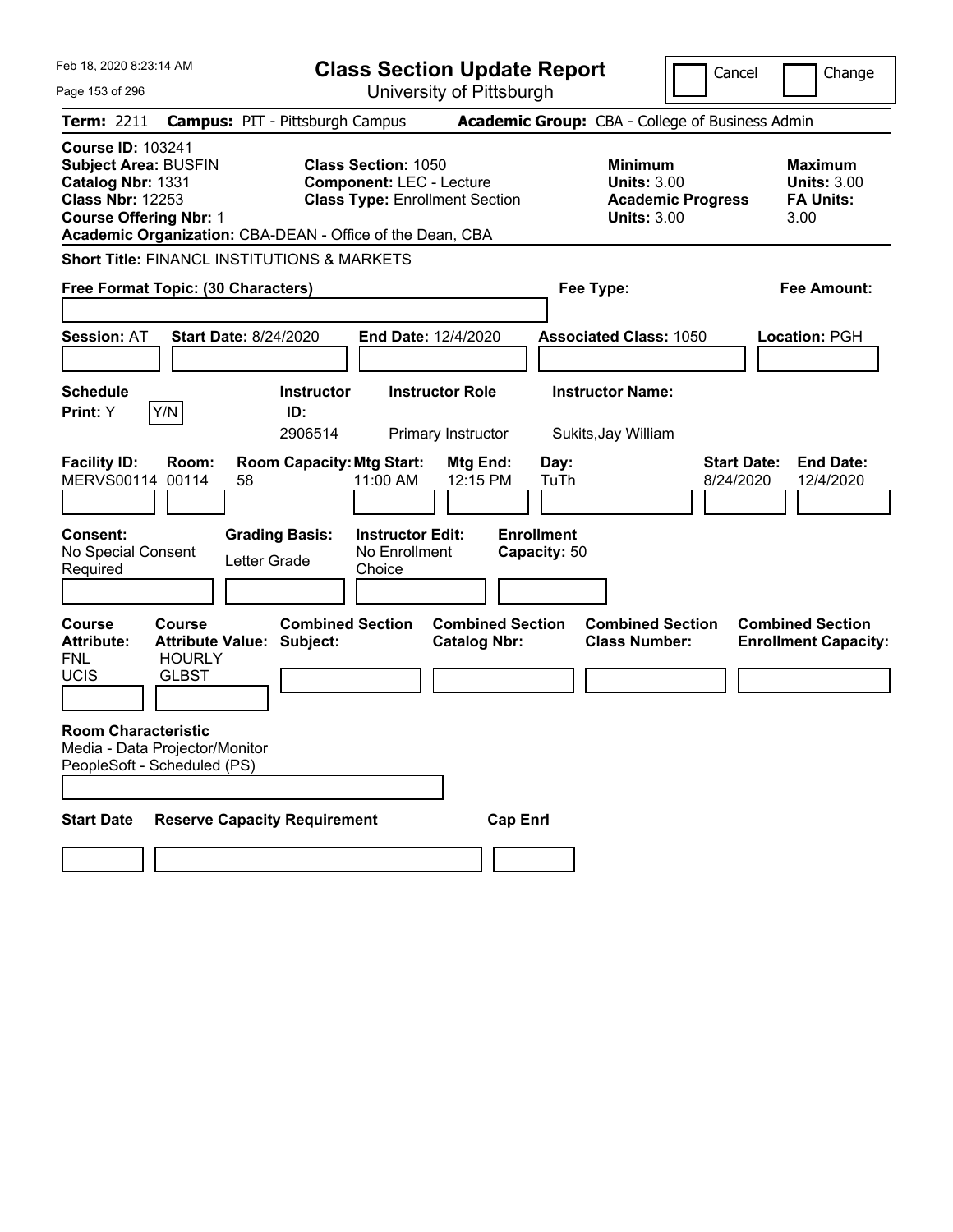| Feb 18, 2020 8:23:14 AM<br>Page 153 of 296                                                                                               |                                         |                                                             |                                                               | <b>Class Section Update Report</b><br>University of Pittsburgh |                                                 |                                                                                        | Cancel                          | Change                                                           |
|------------------------------------------------------------------------------------------------------------------------------------------|-----------------------------------------|-------------------------------------------------------------|---------------------------------------------------------------|----------------------------------------------------------------|-------------------------------------------------|----------------------------------------------------------------------------------------|---------------------------------|------------------------------------------------------------------|
| <b>Term: 2211</b>                                                                                                                        |                                         | <b>Campus: PIT - Pittsburgh Campus</b>                      |                                                               |                                                                | Academic Group: CBA - College of Business Admin |                                                                                        |                                 |                                                                  |
| <b>Course ID: 103241</b><br><b>Subject Area: BUSFIN</b><br>Catalog Nbr: 1331<br><b>Class Nbr: 12253</b><br><b>Course Offering Nbr: 1</b> |                                         | Academic Organization: CBA-DEAN - Office of the Dean, CBA   | <b>Class Section: 1050</b><br><b>Component: LEC - Lecture</b> | <b>Class Type: Enrollment Section</b>                          |                                                 | <b>Minimum</b><br><b>Units: 3.00</b><br><b>Academic Progress</b><br><b>Units: 3.00</b> |                                 | <b>Maximum</b><br><b>Units: 3.00</b><br><b>FA Units:</b><br>3.00 |
|                                                                                                                                          |                                         | <b>Short Title: FINANCL INSTITUTIONS &amp; MARKETS</b>      |                                                               |                                                                |                                                 |                                                                                        |                                 |                                                                  |
| Free Format Topic: (30 Characters)                                                                                                       |                                         |                                                             |                                                               |                                                                | Fee Type:                                       |                                                                                        |                                 | <b>Fee Amount:</b>                                               |
| <b>Session: AT</b>                                                                                                                       |                                         | <b>Start Date: 8/24/2020</b>                                | <b>End Date: 12/4/2020</b>                                    |                                                                |                                                 | <b>Associated Class: 1050</b>                                                          |                                 | <b>Location: PGH</b>                                             |
| <b>Schedule</b>                                                                                                                          |                                         | <b>Instructor</b>                                           |                                                               | <b>Instructor Role</b>                                         | <b>Instructor Name:</b>                         |                                                                                        |                                 |                                                                  |
| Print: Y                                                                                                                                 | Y/N                                     | ID:<br>2906514                                              |                                                               | Primary Instructor                                             | Sukits, Jay William                             |                                                                                        |                                 |                                                                  |
| <b>Facility ID:</b><br>MERVS00114 00114                                                                                                  | Room:                                   | <b>Room Capacity: Mtg Start:</b><br>58                      | 11:00 AM                                                      | Mtg End:<br>12:15 PM                                           | Day:<br>TuTh                                    |                                                                                        | <b>Start Date:</b><br>8/24/2020 | <b>End Date:</b><br>12/4/2020                                    |
| <b>Consent:</b><br>No Special Consent<br>Required                                                                                        |                                         | <b>Grading Basis:</b><br>Letter Grade                       | <b>Instructor Edit:</b><br>No Enrollment<br>Choice            |                                                                | <b>Enrollment</b><br>Capacity: 50               |                                                                                        |                                 |                                                                  |
| <b>Course</b><br><b>Attribute:</b><br><b>FNL</b><br><b>UCIS</b>                                                                          | Course<br><b>HOURLY</b><br><b>GLBST</b> | <b>Combined Section</b><br><b>Attribute Value: Subject:</b> |                                                               | <b>Combined Section</b><br><b>Catalog Nbr:</b>                 |                                                 | <b>Combined Section</b><br><b>Class Number:</b>                                        |                                 | <b>Combined Section</b><br><b>Enrollment Capacity:</b>           |
| <b>Room Characteristic</b><br>Media - Data Projector/Monitor<br>PeopleSoft - Scheduled (PS)                                              |                                         |                                                             |                                                               |                                                                |                                                 |                                                                                        |                                 |                                                                  |
| <b>Start Date</b>                                                                                                                        |                                         | <b>Reserve Capacity Requirement</b>                         |                                                               | <b>Cap Enrl</b>                                                |                                                 |                                                                                        |                                 |                                                                  |
|                                                                                                                                          |                                         |                                                             |                                                               |                                                                |                                                 |                                                                                        |                                 |                                                                  |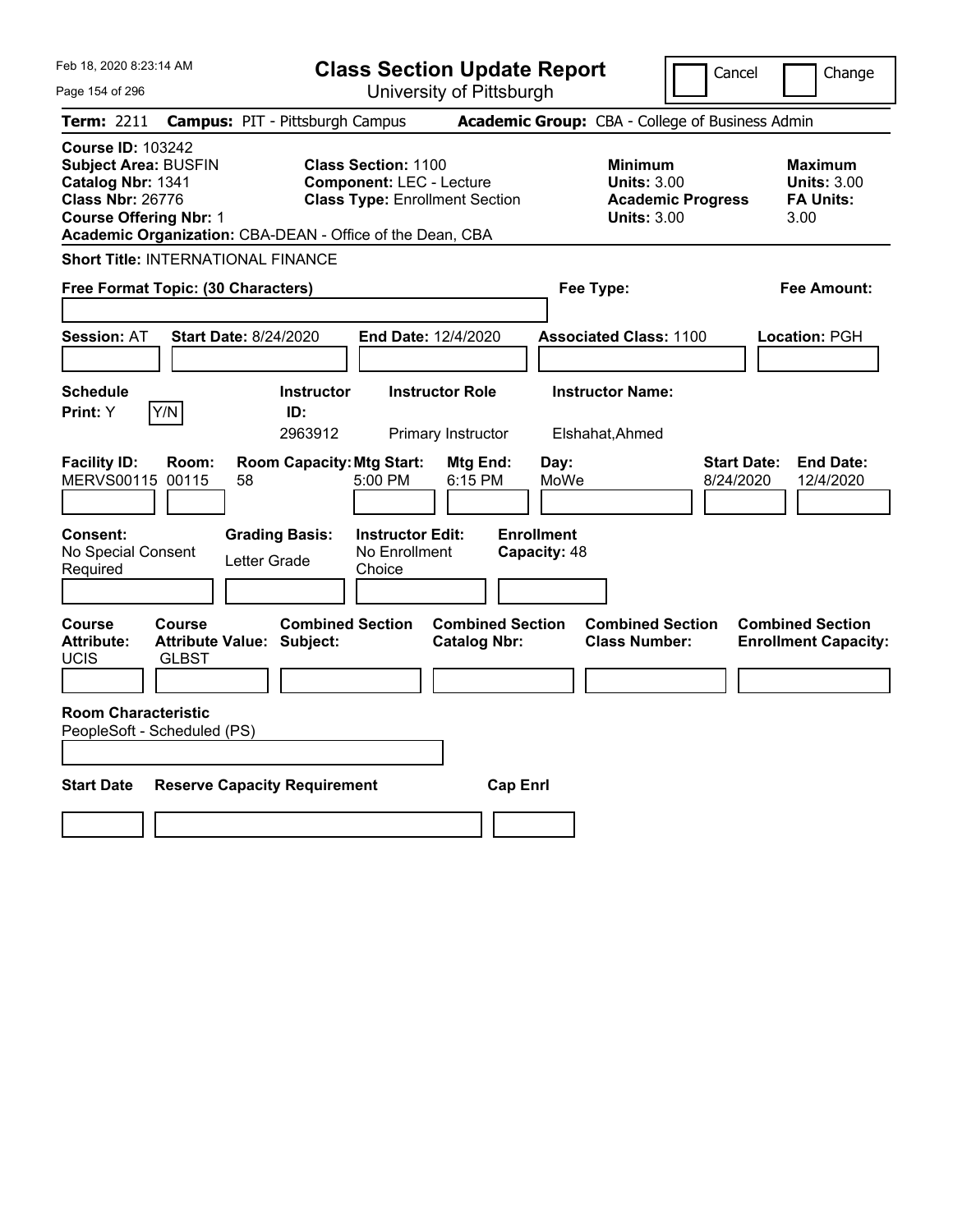| Feb 18, 2020 8:23:14 AM                                                                                                                                                                               | <b>Class Section Update Report</b>                                                                     |                                                                            | Cancel<br>Change                                                                             |
|-------------------------------------------------------------------------------------------------------------------------------------------------------------------------------------------------------|--------------------------------------------------------------------------------------------------------|----------------------------------------------------------------------------|----------------------------------------------------------------------------------------------|
| Page 154 of 296                                                                                                                                                                                       | University of Pittsburgh                                                                               |                                                                            |                                                                                              |
| Term: 2211                                                                                                                                                                                            | <b>Campus: PIT - Pittsburgh Campus</b>                                                                 | Academic Group: CBA - College of Business Admin                            |                                                                                              |
| <b>Course ID: 103242</b><br><b>Subject Area: BUSFIN</b><br>Catalog Nbr: 1341<br><b>Class Nbr: 26776</b><br><b>Course Offering Nbr: 1</b><br>Academic Organization: CBA-DEAN - Office of the Dean, CBA | <b>Class Section: 1100</b><br><b>Component: LEC - Lecture</b><br><b>Class Type: Enrollment Section</b> | <b>Minimum</b><br><b>Units: 3.00</b><br><b>Units: 3.00</b>                 | <b>Maximum</b><br><b>Units: 3.00</b><br><b>Academic Progress</b><br><b>FA Units:</b><br>3.00 |
| <b>Short Title: INTERNATIONAL FINANCE</b>                                                                                                                                                             |                                                                                                        |                                                                            |                                                                                              |
| Free Format Topic: (30 Characters)                                                                                                                                                                    |                                                                                                        | Fee Type:                                                                  | Fee Amount:                                                                                  |
| <b>Start Date: 8/24/2020</b><br><b>Session: AT</b>                                                                                                                                                    | End Date: 12/4/2020                                                                                    | <b>Associated Class: 1100</b>                                              | Location: PGH                                                                                |
| <b>Schedule</b><br>Y/N<br>Print: Y                                                                                                                                                                    | <b>Instructor Role</b><br><b>Instructor</b><br>ID:<br>2963912<br>Primary Instructor                    | <b>Instructor Name:</b><br>Elshahat, Ahmed                                 |                                                                                              |
| <b>Facility ID:</b><br>Room:<br>MERVS00115 00115<br>58                                                                                                                                                | <b>Room Capacity: Mtg Start:</b><br>5:00 PM<br>6:15 PM                                                 | Mtg End:<br>Day:<br>MoWe                                                   | <b>Start Date:</b><br><b>End Date:</b><br>8/24/2020<br>12/4/2020                             |
| <b>Consent:</b><br>No Special Consent<br>Letter Grade<br>Required                                                                                                                                     | <b>Grading Basis:</b><br><b>Instructor Edit:</b><br>No Enrollment<br>Choice                            | <b>Enrollment</b><br>Capacity: 48                                          |                                                                                              |
| Course<br><b>Course</b><br><b>Attribute:</b><br><b>Attribute Value: Subject:</b><br><b>UCIS</b><br><b>GLBST</b>                                                                                       | <b>Combined Section</b><br><b>Catalog Nbr:</b>                                                         | <b>Combined Section</b><br><b>Combined Section</b><br><b>Class Number:</b> | <b>Combined Section</b><br><b>Enrollment Capacity:</b>                                       |
|                                                                                                                                                                                                       |                                                                                                        |                                                                            |                                                                                              |
| <b>Room Characteristic</b><br>PeopleSoft - Scheduled (PS)                                                                                                                                             |                                                                                                        |                                                                            |                                                                                              |
| <b>Start Date</b><br><b>Reserve Capacity Requirement</b>                                                                                                                                              |                                                                                                        | <b>Cap Enrl</b>                                                            |                                                                                              |
|                                                                                                                                                                                                       |                                                                                                        |                                                                            |                                                                                              |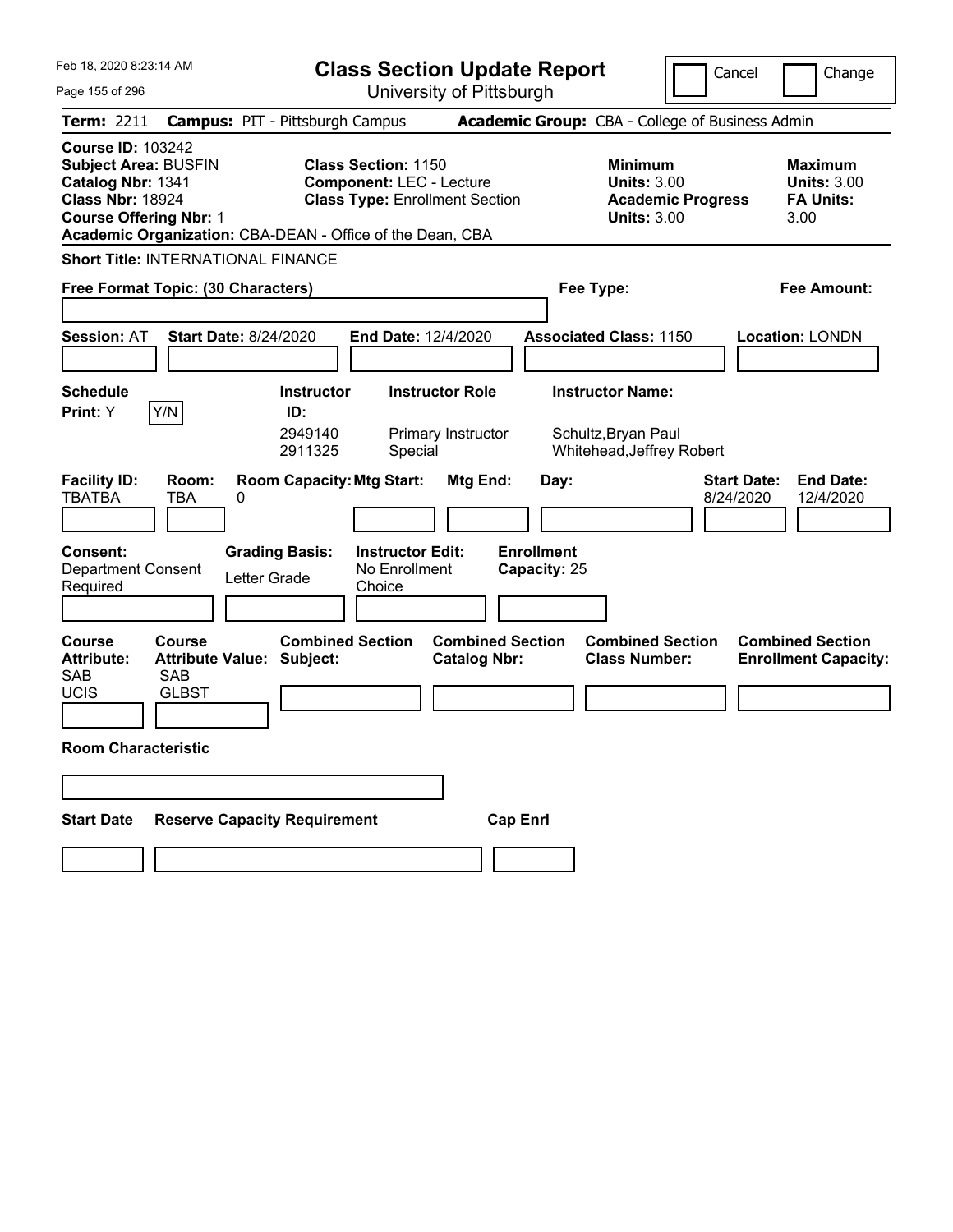| Feb 18, 2020 8:23:14 AM                                                                                                                     | <b>Class Section Update Report</b>                                                                                                                                  |                                                                                        | Cancel<br>Change                                                 |
|---------------------------------------------------------------------------------------------------------------------------------------------|---------------------------------------------------------------------------------------------------------------------------------------------------------------------|----------------------------------------------------------------------------------------|------------------------------------------------------------------|
| Page 155 of 296                                                                                                                             | University of Pittsburgh                                                                                                                                            |                                                                                        |                                                                  |
| <b>Term: 2211</b>                                                                                                                           | <b>Campus: PIT - Pittsburgh Campus</b>                                                                                                                              | Academic Group: CBA - College of Business Admin                                        |                                                                  |
| <b>Course ID: 103242</b><br><b>Subject Area: BUSFIN</b><br>Catalog Nbr: 1341<br><b>Class Nbr: 18924</b><br><b>Course Offering Nbr: 1</b>    | <b>Class Section: 1150</b><br><b>Component: LEC - Lecture</b><br><b>Class Type: Enrollment Section</b><br>Academic Organization: CBA-DEAN - Office of the Dean, CBA | <b>Minimum</b><br><b>Units: 3.00</b><br><b>Academic Progress</b><br><b>Units: 3.00</b> | <b>Maximum</b><br><b>Units: 3.00</b><br><b>FA Units:</b><br>3.00 |
| <b>Short Title: INTERNATIONAL FINANCE</b>                                                                                                   |                                                                                                                                                                     |                                                                                        |                                                                  |
| Free Format Topic: (30 Characters)                                                                                                          |                                                                                                                                                                     | Fee Type:                                                                              | <b>Fee Amount:</b>                                               |
|                                                                                                                                             |                                                                                                                                                                     |                                                                                        |                                                                  |
| <b>Session: AT</b><br><b>Start Date: 8/24/2020</b>                                                                                          | End Date: 12/4/2020                                                                                                                                                 | <b>Associated Class: 1150</b>                                                          | <b>Location: LONDN</b>                                           |
| <b>Schedule</b>                                                                                                                             | <b>Instructor Role</b><br><b>Instructor</b>                                                                                                                         | <b>Instructor Name:</b>                                                                |                                                                  |
| Y/N<br>Print: Y                                                                                                                             | ID:                                                                                                                                                                 |                                                                                        |                                                                  |
|                                                                                                                                             | 2949140<br>Primary Instructor<br>2911325<br>Special                                                                                                                 | Schultz, Bryan Paul<br>Whitehead, Jeffrey Robert                                       |                                                                  |
| <b>Facility ID:</b><br>Room:<br><b>TBATBA</b><br><b>TBA</b><br>0                                                                            | <b>Room Capacity: Mtg Start:</b><br>Mtg End:                                                                                                                        | Day:                                                                                   | <b>Start Date:</b><br><b>End Date:</b><br>8/24/2020<br>12/4/2020 |
| <b>Consent:</b><br><b>Department Consent</b><br>Letter Grade<br>Required                                                                    | <b>Grading Basis:</b><br><b>Instructor Edit:</b><br>No Enrollment<br>Choice                                                                                         | <b>Enrollment</b><br>Capacity: 25                                                      |                                                                  |
| <b>Course</b><br>Course<br><b>Attribute Value: Subject:</b><br><b>Attribute:</b><br><b>SAB</b><br><b>SAB</b><br><b>UCIS</b><br><b>GLBST</b> | <b>Combined Section</b><br><b>Combined Section</b><br><b>Catalog Nbr:</b>                                                                                           | <b>Combined Section</b><br><b>Class Number:</b>                                        | <b>Combined Section</b><br><b>Enrollment Capacity:</b>           |
| <b>Room Characteristic</b>                                                                                                                  |                                                                                                                                                                     |                                                                                        |                                                                  |
|                                                                                                                                             |                                                                                                                                                                     |                                                                                        |                                                                  |
| <b>Reserve Capacity Requirement</b><br><b>Start Date</b>                                                                                    |                                                                                                                                                                     | <b>Cap Enrl</b>                                                                        |                                                                  |
|                                                                                                                                             |                                                                                                                                                                     |                                                                                        |                                                                  |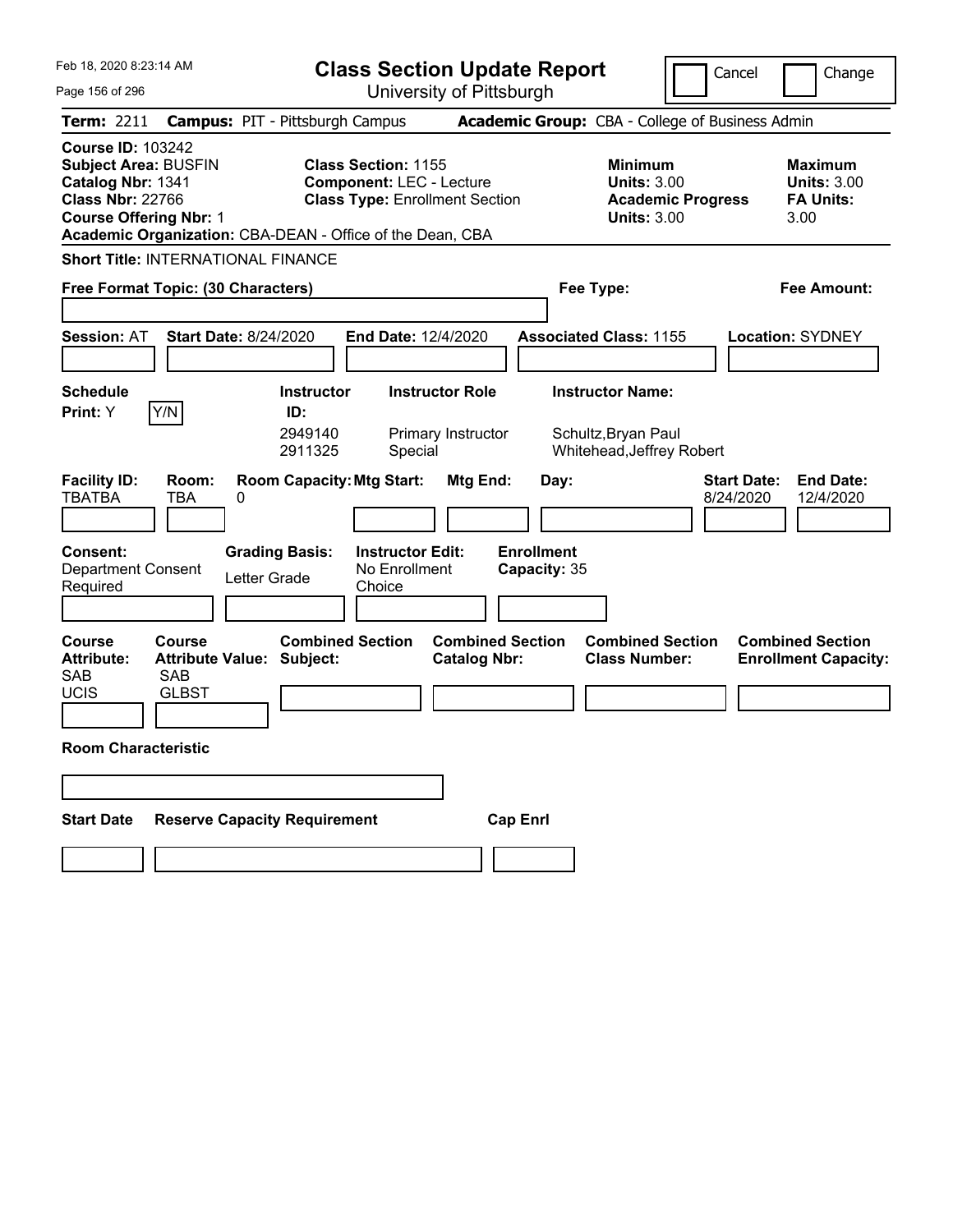| Feb 18, 2020 8:23:14 AM                                                                                                                                                   | <b>Class Section Update Report</b>                                                                                                                                  |                                                                                        | Cancel<br>Change                                                 |
|---------------------------------------------------------------------------------------------------------------------------------------------------------------------------|---------------------------------------------------------------------------------------------------------------------------------------------------------------------|----------------------------------------------------------------------------------------|------------------------------------------------------------------|
| Page 156 of 296                                                                                                                                                           | University of Pittsburgh                                                                                                                                            |                                                                                        |                                                                  |
| <b>Term: 2211</b>                                                                                                                                                         | <b>Campus: PIT - Pittsburgh Campus</b>                                                                                                                              | Academic Group: CBA - College of Business Admin                                        |                                                                  |
| <b>Course ID: 103242</b><br><b>Subject Area: BUSFIN</b><br>Catalog Nbr: 1341<br><b>Class Nbr: 22766</b><br><b>Course Offering Nbr: 1</b>                                  | <b>Class Section: 1155</b><br><b>Component: LEC - Lecture</b><br><b>Class Type: Enrollment Section</b><br>Academic Organization: CBA-DEAN - Office of the Dean, CBA | <b>Minimum</b><br><b>Units: 3.00</b><br><b>Academic Progress</b><br><b>Units: 3.00</b> | <b>Maximum</b><br><b>Units: 3.00</b><br><b>FA Units:</b><br>3.00 |
| <b>Short Title: INTERNATIONAL FINANCE</b>                                                                                                                                 |                                                                                                                                                                     |                                                                                        |                                                                  |
| Free Format Topic: (30 Characters)                                                                                                                                        |                                                                                                                                                                     | Fee Type:                                                                              | <b>Fee Amount:</b>                                               |
| <b>Start Date: 8/24/2020</b><br><b>Session: AT</b><br><b>Schedule</b><br>Y/N<br>Print: Y                                                                                  | End Date: 12/4/2020<br><b>Instructor Role</b><br><b>Instructor</b><br>ID:<br>2949140<br>Primary Instructor                                                          | <b>Associated Class: 1155</b><br><b>Instructor Name:</b><br>Schultz, Bryan Paul        | <b>Location: SYDNEY</b>                                          |
| <b>Facility ID:</b><br>Room:<br><b>TBATBA</b><br>TBA<br>0<br><b>Consent:</b><br><b>Department Consent</b><br>Letter Grade<br>Required                                     | 2911325<br>Special<br><b>Room Capacity: Mtg Start:</b><br><b>Mtg End:</b><br><b>Grading Basis:</b><br><b>Instructor Edit:</b><br>No Enrollment<br>Choice            | Whitehead, Jeffrey Robert<br>Day:<br><b>Enrollment</b><br>Capacity: 35                 | <b>Start Date:</b><br><b>End Date:</b><br>8/24/2020<br>12/4/2020 |
| <b>Course</b><br>Course<br><b>Attribute Value: Subject:</b><br><b>Attribute:</b><br><b>SAB</b><br><b>SAB</b><br><b>UCIS</b><br><b>GLBST</b><br><b>Room Characteristic</b> | <b>Combined Section</b><br><b>Combined Section</b><br><b>Catalog Nbr:</b>                                                                                           | <b>Combined Section</b><br><b>Class Number:</b>                                        | <b>Combined Section</b><br><b>Enrollment Capacity:</b>           |
|                                                                                                                                                                           |                                                                                                                                                                     |                                                                                        |                                                                  |
| <b>Reserve Capacity Requirement</b><br><b>Start Date</b>                                                                                                                  | <b>Cap Enrl</b>                                                                                                                                                     |                                                                                        |                                                                  |
|                                                                                                                                                                           |                                                                                                                                                                     |                                                                                        |                                                                  |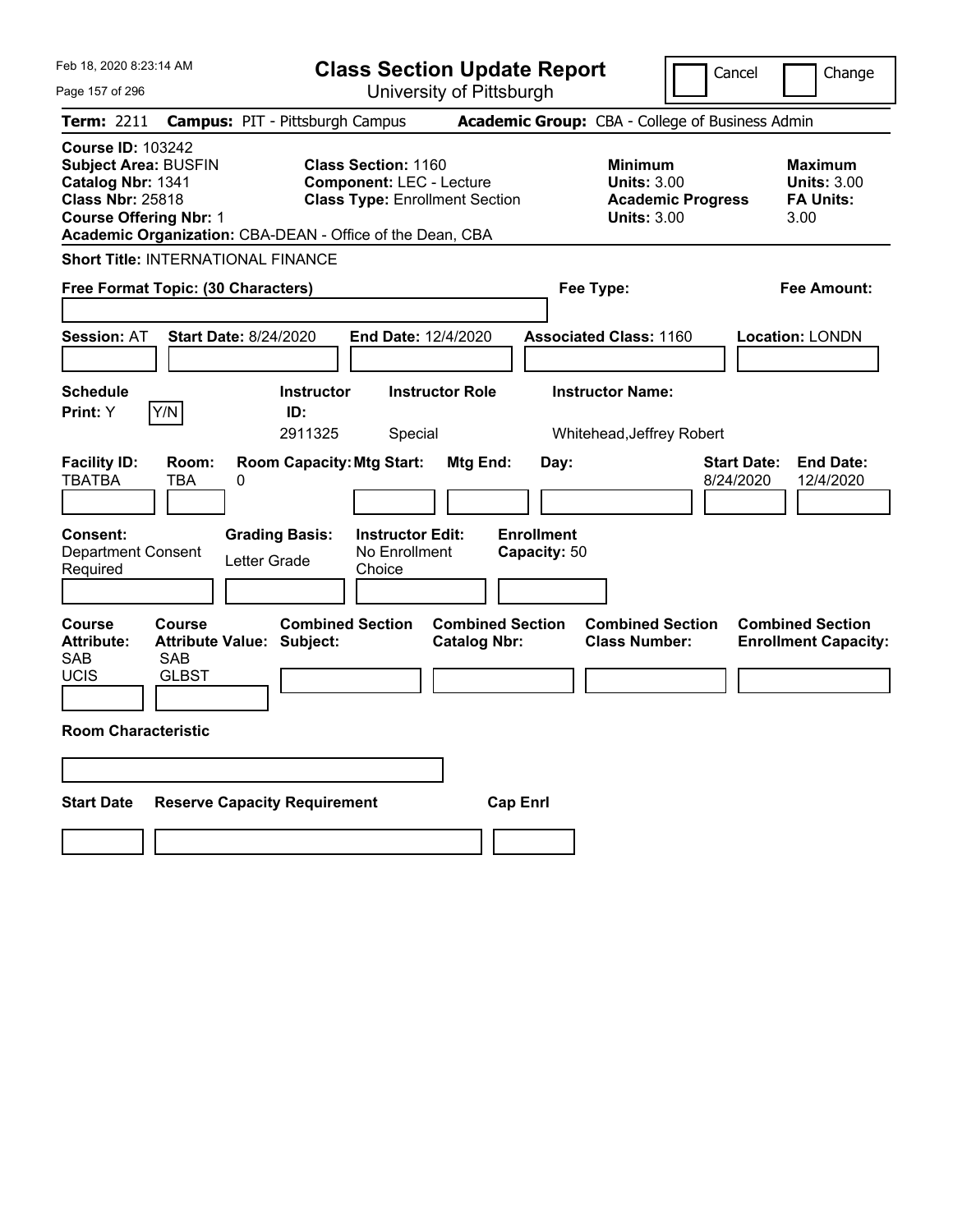| Feb 18, 2020 8:23:14 AM                                                                                                                                                                               | <b>Class Section Update Report</b>                                                                              |                                                                                                   | Cancel<br>Change                                                                             |
|-------------------------------------------------------------------------------------------------------------------------------------------------------------------------------------------------------|-----------------------------------------------------------------------------------------------------------------|---------------------------------------------------------------------------------------------------|----------------------------------------------------------------------------------------------|
| Page 157 of 296                                                                                                                                                                                       | University of Pittsburgh                                                                                        |                                                                                                   |                                                                                              |
| <b>Term: 2211</b>                                                                                                                                                                                     | <b>Campus: PIT - Pittsburgh Campus</b>                                                                          | Academic Group: CBA - College of Business Admin                                                   |                                                                                              |
| <b>Course ID: 103242</b><br><b>Subject Area: BUSFIN</b><br>Catalog Nbr: 1341<br><b>Class Nbr: 25818</b><br><b>Course Offering Nbr: 1</b><br>Academic Organization: CBA-DEAN - Office of the Dean, CBA | <b>Class Section: 1160</b><br><b>Component: LEC - Lecture</b><br><b>Class Type: Enrollment Section</b>          | <b>Minimum</b><br><b>Units: 3.00</b><br><b>Units: 3.00</b>                                        | <b>Maximum</b><br><b>Units: 3.00</b><br><b>Academic Progress</b><br><b>FA Units:</b><br>3.00 |
| <b>Short Title: INTERNATIONAL FINANCE</b>                                                                                                                                                             |                                                                                                                 |                                                                                                   |                                                                                              |
| Free Format Topic: (30 Characters)                                                                                                                                                                    |                                                                                                                 | Fee Type:                                                                                         | Fee Amount:                                                                                  |
| <b>Session: AT</b><br><b>Start Date: 8/24/2020</b>                                                                                                                                                    | <b>End Date: 12/4/2020</b>                                                                                      | <b>Associated Class: 1160</b>                                                                     | <b>Location: LONDN</b>                                                                       |
| <b>Schedule</b>                                                                                                                                                                                       | <b>Instructor</b><br><b>Instructor Role</b>                                                                     | <b>Instructor Name:</b>                                                                           |                                                                                              |
| Y/N<br><b>Print:</b> Y                                                                                                                                                                                | ID:<br>2911325<br>Special                                                                                       | Whitehead, Jeffrey Robert                                                                         |                                                                                              |
| <b>Facility ID:</b><br>Room:<br>TBATBA<br>TBA<br>0<br>Consent:<br><b>Department Consent</b><br>Letter Grade<br>Required                                                                               | <b>Room Capacity: Mtg Start:</b><br><b>Grading Basis:</b><br><b>Instructor Edit:</b><br>No Enrollment<br>Choice | Mtg End:<br>Day:<br><b>Enrollment</b><br>Capacity: 50                                             | <b>Start Date:</b><br><b>End Date:</b><br>12/4/2020<br>8/24/2020                             |
| <b>Course</b><br><b>Course</b><br><b>Attribute Value: Subject:</b><br><b>Attribute:</b><br>SAB<br>SAB<br><b>UCIS</b><br><b>GLBST</b>                                                                  | <b>Combined Section</b>                                                                                         | <b>Combined Section</b><br><b>Combined Section</b><br><b>Class Number:</b><br><b>Catalog Nbr:</b> | <b>Combined Section</b><br><b>Enrollment Capacity:</b>                                       |
| <b>Room Characteristic</b>                                                                                                                                                                            |                                                                                                                 |                                                                                                   |                                                                                              |
|                                                                                                                                                                                                       |                                                                                                                 |                                                                                                   |                                                                                              |
| <b>Start Date</b><br><b>Reserve Capacity Requirement</b>                                                                                                                                              |                                                                                                                 | <b>Cap Enrl</b>                                                                                   |                                                                                              |
|                                                                                                                                                                                                       |                                                                                                                 |                                                                                                   |                                                                                              |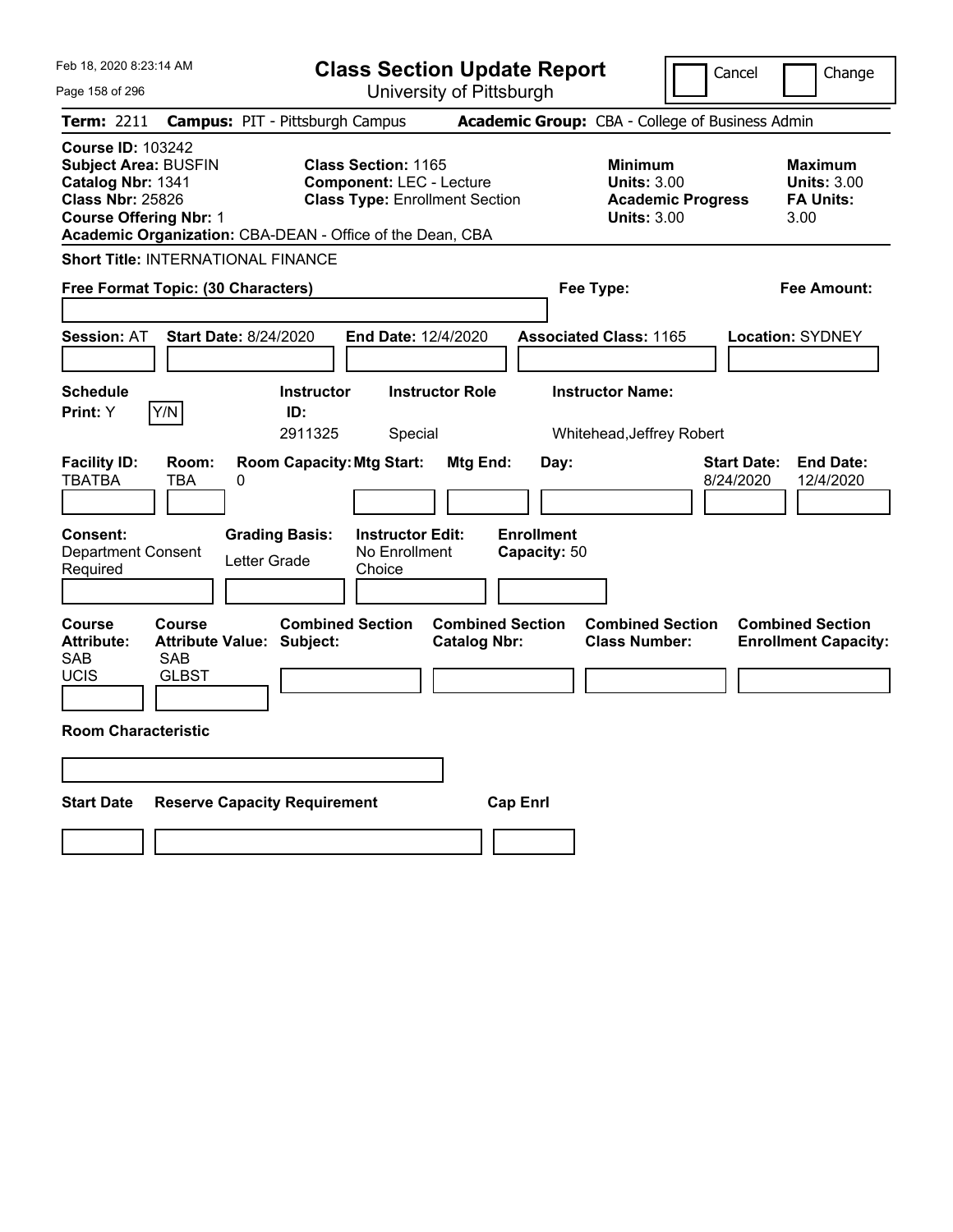| Feb 18, 2020 8:23:14 AM                                                                                                                  | <b>Class Section Update Report</b>                                                                                                                                  |                                                                                                   | Cancel<br>Change                                                                      |
|------------------------------------------------------------------------------------------------------------------------------------------|---------------------------------------------------------------------------------------------------------------------------------------------------------------------|---------------------------------------------------------------------------------------------------|---------------------------------------------------------------------------------------|
| Page 158 of 296                                                                                                                          | University of Pittsburgh                                                                                                                                            |                                                                                                   |                                                                                       |
| <b>Term: 2211</b>                                                                                                                        | <b>Campus: PIT - Pittsburgh Campus</b>                                                                                                                              | Academic Group: CBA - College of Business Admin                                                   |                                                                                       |
| <b>Course ID: 103242</b><br><b>Subject Area: BUSFIN</b><br>Catalog Nbr: 1341<br><b>Class Nbr: 25826</b><br><b>Course Offering Nbr: 1</b> | <b>Class Section: 1165</b><br><b>Component: LEC - Lecture</b><br><b>Class Type: Enrollment Section</b><br>Academic Organization: CBA-DEAN - Office of the Dean, CBA | <b>Minimum</b><br><b>Units: 3.00</b><br><b>Units: 3.00</b>                                        | Maximum<br><b>Units: 3.00</b><br><b>Academic Progress</b><br><b>FA Units:</b><br>3.00 |
| <b>Short Title: INTERNATIONAL FINANCE</b>                                                                                                |                                                                                                                                                                     |                                                                                                   |                                                                                       |
| Free Format Topic: (30 Characters)                                                                                                       |                                                                                                                                                                     | Fee Type:                                                                                         | Fee Amount:                                                                           |
| <b>Session: AT</b><br><b>Start Date: 8/24/2020</b>                                                                                       | <b>End Date: 12/4/2020</b>                                                                                                                                          | <b>Associated Class: 1165</b>                                                                     | <b>Location: SYDNEY</b>                                                               |
| <b>Schedule</b>                                                                                                                          | <b>Instructor Role</b><br><b>Instructor</b>                                                                                                                         | <b>Instructor Name:</b>                                                                           |                                                                                       |
| Y/N<br>Print: Y                                                                                                                          | ID:<br>2911325<br>Special                                                                                                                                           | Whitehead, Jeffrey Robert                                                                         |                                                                                       |
| <b>Facility ID:</b><br>Room:<br><b>TBATBA</b><br>TBA<br>0<br><b>Consent:</b><br><b>Department Consent</b><br>Required                    | <b>Room Capacity: Mtg Start:</b><br><b>Grading Basis:</b><br><b>Instructor Edit:</b><br>No Enrollment<br>Letter Grade<br>Choice                                     | Mtg End:<br>Day:<br><b>Enrollment</b><br>Capacity: 50                                             | <b>Start Date:</b><br><b>End Date:</b><br>8/24/2020<br>12/4/2020                      |
| <b>Course</b><br>Course<br>Attribute:<br><b>SAB</b><br>SAB<br><b>UCIS</b><br><b>GLBST</b>                                                | <b>Combined Section</b><br><b>Attribute Value: Subject:</b>                                                                                                         | <b>Combined Section</b><br><b>Combined Section</b><br><b>Catalog Nbr:</b><br><b>Class Number:</b> | <b>Combined Section</b><br><b>Enrollment Capacity:</b>                                |
| <b>Room Characteristic</b>                                                                                                               |                                                                                                                                                                     |                                                                                                   |                                                                                       |
|                                                                                                                                          |                                                                                                                                                                     |                                                                                                   |                                                                                       |
| <b>Start Date</b>                                                                                                                        | <b>Reserve Capacity Requirement</b>                                                                                                                                 | <b>Cap Enri</b>                                                                                   |                                                                                       |
|                                                                                                                                          |                                                                                                                                                                     |                                                                                                   |                                                                                       |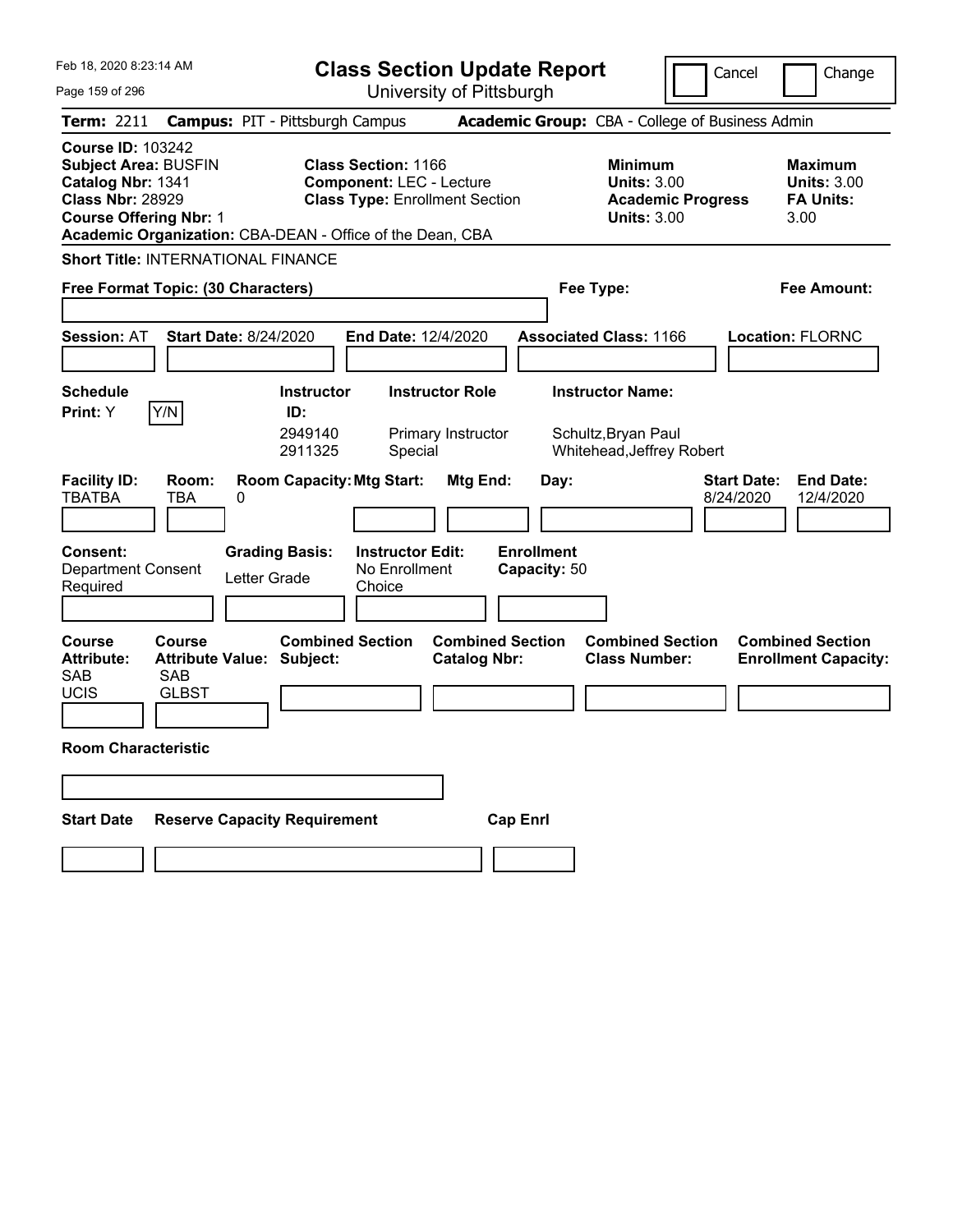| Feb 18, 2020 8:23:14 AM                                                                                                                                                   | <b>Class Section Update Report</b>                                                                                                                                  |                                                                                        | Cancel<br>Change                                                 |
|---------------------------------------------------------------------------------------------------------------------------------------------------------------------------|---------------------------------------------------------------------------------------------------------------------------------------------------------------------|----------------------------------------------------------------------------------------|------------------------------------------------------------------|
| Page 159 of 296                                                                                                                                                           | University of Pittsburgh                                                                                                                                            |                                                                                        |                                                                  |
| <b>Term: 2211</b>                                                                                                                                                         | <b>Campus: PIT - Pittsburgh Campus</b>                                                                                                                              | Academic Group: CBA - College of Business Admin                                        |                                                                  |
| <b>Course ID: 103242</b><br><b>Subject Area: BUSFIN</b><br>Catalog Nbr: 1341<br><b>Class Nbr: 28929</b><br><b>Course Offering Nbr: 1</b>                                  | <b>Class Section: 1166</b><br><b>Component: LEC - Lecture</b><br><b>Class Type: Enrollment Section</b><br>Academic Organization: CBA-DEAN - Office of the Dean, CBA | <b>Minimum</b><br><b>Units: 3.00</b><br><b>Academic Progress</b><br><b>Units: 3.00</b> | <b>Maximum</b><br><b>Units: 3.00</b><br><b>FA Units:</b><br>3.00 |
| <b>Short Title: INTERNATIONAL FINANCE</b>                                                                                                                                 |                                                                                                                                                                     |                                                                                        |                                                                  |
| Free Format Topic: (30 Characters)                                                                                                                                        |                                                                                                                                                                     | Fee Type:                                                                              | <b>Fee Amount:</b>                                               |
| <b>Start Date: 8/24/2020</b><br><b>Session: AT</b><br><b>Schedule</b><br>Y/N<br>Print: Y                                                                                  | End Date: 12/4/2020<br><b>Instructor Role</b><br><b>Instructor</b><br>ID:                                                                                           | <b>Associated Class: 1166</b><br><b>Instructor Name:</b>                               | <b>Location: FLORNC</b>                                          |
|                                                                                                                                                                           | 2949140<br>Primary Instructor<br>2911325<br>Special                                                                                                                 | Schultz, Bryan Paul<br>Whitehead, Jeffrey Robert                                       |                                                                  |
| <b>Facility ID:</b><br>Room:<br><b>TBATBA</b><br>TBA<br>0<br><b>Consent:</b><br><b>Department Consent</b><br>Letter Grade<br>Required                                     | <b>Room Capacity: Mtg Start:</b><br><b>Mtg End:</b><br><b>Grading Basis:</b><br><b>Instructor Edit:</b><br>No Enrollment<br>Choice                                  | Day:<br><b>Enrollment</b><br>Capacity: 50                                              | <b>Start Date:</b><br><b>End Date:</b><br>8/24/2020<br>12/4/2020 |
|                                                                                                                                                                           |                                                                                                                                                                     |                                                                                        |                                                                  |
| <b>Course</b><br>Course<br><b>Attribute Value: Subject:</b><br><b>Attribute:</b><br><b>SAB</b><br><b>SAB</b><br><b>UCIS</b><br><b>GLBST</b><br><b>Room Characteristic</b> | <b>Combined Section</b><br><b>Combined Section</b><br><b>Catalog Nbr:</b>                                                                                           | <b>Combined Section</b><br><b>Class Number:</b>                                        | <b>Combined Section</b><br><b>Enrollment Capacity:</b>           |
|                                                                                                                                                                           |                                                                                                                                                                     |                                                                                        |                                                                  |
| <b>Reserve Capacity Requirement</b><br><b>Start Date</b>                                                                                                                  |                                                                                                                                                                     | <b>Cap Enrl</b>                                                                        |                                                                  |
|                                                                                                                                                                           |                                                                                                                                                                     |                                                                                        |                                                                  |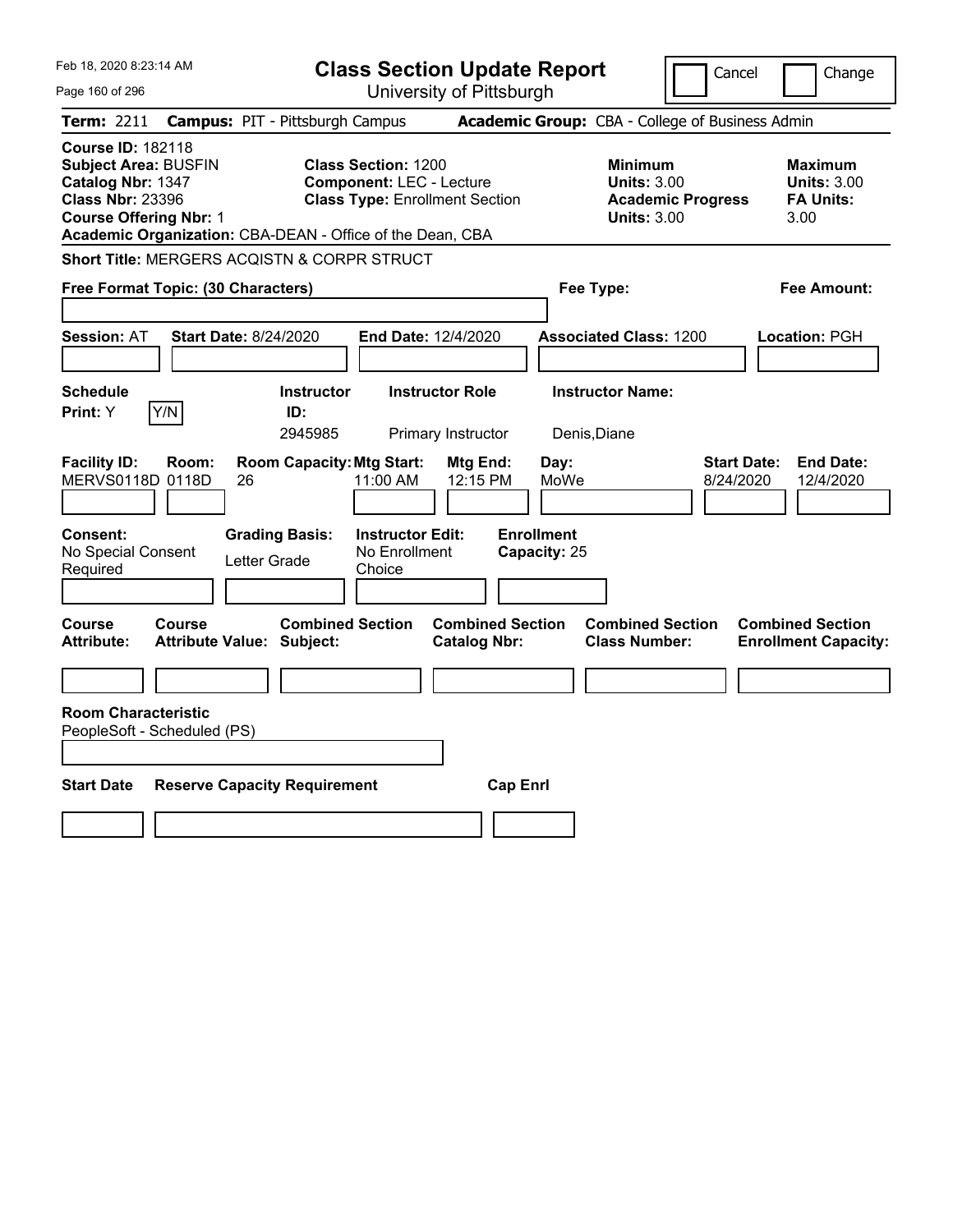| Feb 18, 2020 8:23:14 AM                                                                                                                                                                               |                                                                                                        | <b>Class Section Update Report</b>             |                                                            | Cancel                          | Change                                                           |
|-------------------------------------------------------------------------------------------------------------------------------------------------------------------------------------------------------|--------------------------------------------------------------------------------------------------------|------------------------------------------------|------------------------------------------------------------|---------------------------------|------------------------------------------------------------------|
| Page 160 of 296                                                                                                                                                                                       |                                                                                                        | University of Pittsburgh                       |                                                            |                                 |                                                                  |
| <b>Term: 2211</b>                                                                                                                                                                                     | <b>Campus: PIT - Pittsburgh Campus</b>                                                                 |                                                | <b>Academic Group: CBA - College of Business Admin</b>     |                                 |                                                                  |
| <b>Course ID: 182118</b><br><b>Subject Area: BUSFIN</b><br>Catalog Nbr: 1347<br><b>Class Nbr: 23396</b><br><b>Course Offering Nbr: 1</b><br>Academic Organization: CBA-DEAN - Office of the Dean, CBA | <b>Class Section: 1200</b><br><b>Component: LEC - Lecture</b><br><b>Class Type: Enrollment Section</b> |                                                | <b>Minimum</b><br><b>Units: 3.00</b><br><b>Units: 3.00</b> | <b>Academic Progress</b>        | <b>Maximum</b><br><b>Units: 3.00</b><br><b>FA Units:</b><br>3.00 |
| Short Title: MERGERS ACQISTN & CORPR STRUCT                                                                                                                                                           |                                                                                                        |                                                |                                                            |                                 |                                                                  |
| Free Format Topic: (30 Characters)                                                                                                                                                                    |                                                                                                        |                                                | Fee Type:                                                  |                                 | Fee Amount:                                                      |
| <b>Session: AT</b><br><b>Start Date: 8/24/2020</b>                                                                                                                                                    |                                                                                                        | End Date: 12/4/2020                            | <b>Associated Class: 1200</b>                              |                                 | Location: PGH                                                    |
| <b>Schedule</b><br>Y/N<br>Print: Y                                                                                                                                                                    | <b>Instructor</b><br>ID:<br>2945985                                                                    | <b>Instructor Role</b><br>Primary Instructor   | <b>Instructor Name:</b><br>Denis, Diane                    |                                 |                                                                  |
| <b>Facility ID:</b><br>Room:<br>MERVS0118D 0118D<br>26                                                                                                                                                | <b>Room Capacity: Mtg Start:</b><br>11:00 AM                                                           | Mtg End:<br>12:15 PM                           | Day:<br>MoWe                                               | <b>Start Date:</b><br>8/24/2020 | <b>End Date:</b><br>12/4/2020                                    |
| Consent:<br>No Special Consent<br>Required                                                                                                                                                            | <b>Grading Basis:</b><br><b>Instructor Edit:</b><br>No Enrollment<br>Letter Grade<br>Choice            |                                                | <b>Enrollment</b><br>Capacity: 25                          |                                 |                                                                  |
| Course<br>Course<br><b>Attribute Value: Subject:</b><br><b>Attribute:</b>                                                                                                                             | <b>Combined Section</b>                                                                                | <b>Combined Section</b><br><b>Catalog Nbr:</b> | <b>Combined Section</b><br><b>Class Number:</b>            |                                 | <b>Combined Section</b><br><b>Enrollment Capacity:</b>           |
| <b>Room Characteristic</b><br>PeopleSoft - Scheduled (PS)                                                                                                                                             |                                                                                                        |                                                |                                                            |                                 |                                                                  |
| <b>Start Date</b>                                                                                                                                                                                     | <b>Reserve Capacity Requirement</b>                                                                    | <b>Cap Enrl</b>                                |                                                            |                                 |                                                                  |
|                                                                                                                                                                                                       |                                                                                                        |                                                |                                                            |                                 |                                                                  |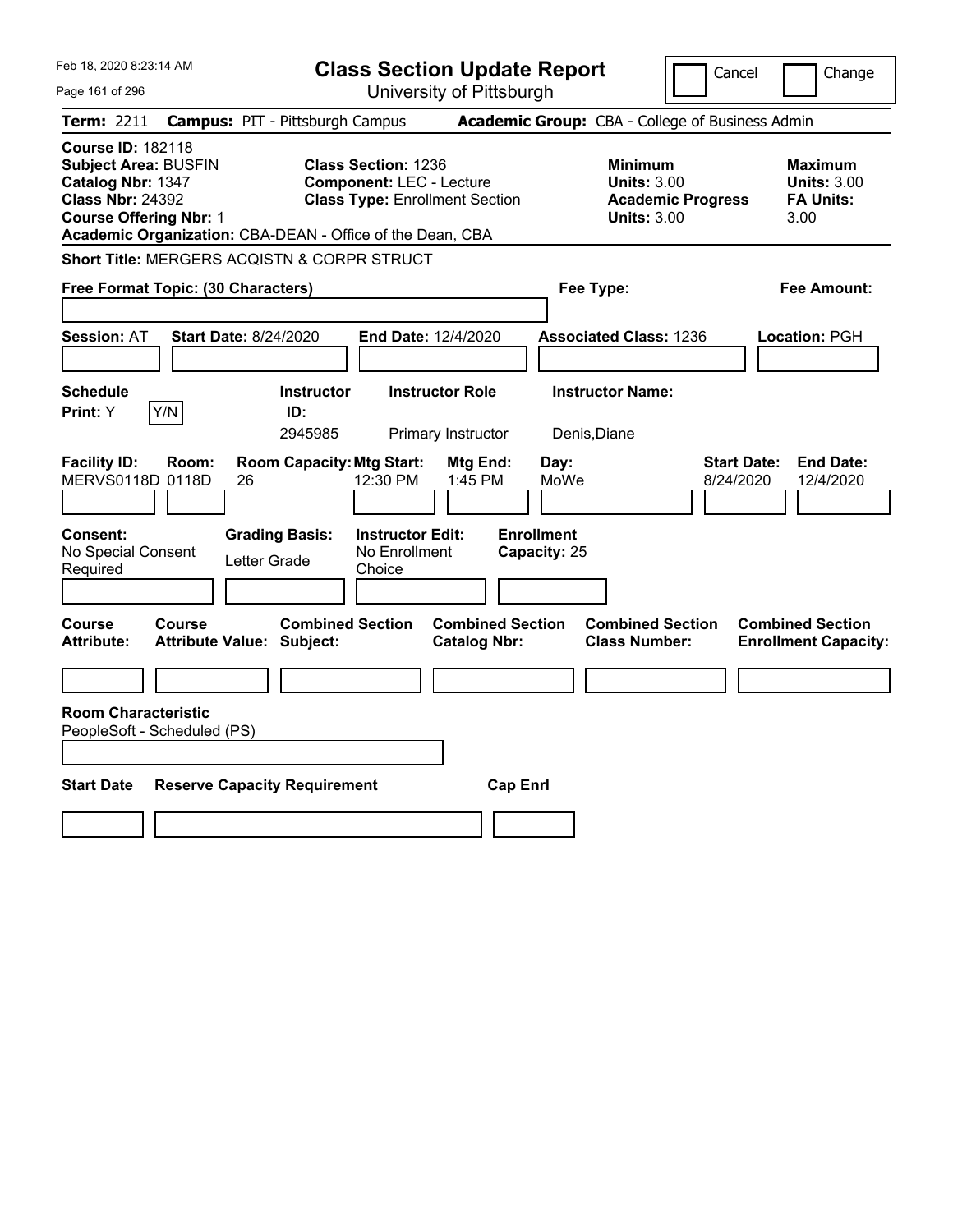| Feb 18, 2020 8:23:14 AM                                                                                                                                                                               | <b>Class Section Update Report</b>                                                                     | Cancel                                                                                 | Change                                                           |
|-------------------------------------------------------------------------------------------------------------------------------------------------------------------------------------------------------|--------------------------------------------------------------------------------------------------------|----------------------------------------------------------------------------------------|------------------------------------------------------------------|
| Page 161 of 296                                                                                                                                                                                       | University of Pittsburgh                                                                               |                                                                                        |                                                                  |
| <b>Term: 2211</b>                                                                                                                                                                                     | <b>Campus: PIT - Pittsburgh Campus</b>                                                                 | Academic Group: CBA - College of Business Admin                                        |                                                                  |
| <b>Course ID: 182118</b><br><b>Subject Area: BUSFIN</b><br>Catalog Nbr: 1347<br><b>Class Nbr: 24392</b><br><b>Course Offering Nbr: 1</b><br>Academic Organization: CBA-DEAN - Office of the Dean, CBA | <b>Class Section: 1236</b><br><b>Component: LEC - Lecture</b><br><b>Class Type: Enrollment Section</b> | <b>Minimum</b><br><b>Units: 3.00</b><br><b>Academic Progress</b><br><b>Units: 3.00</b> | <b>Maximum</b><br><b>Units: 3.00</b><br><b>FA Units:</b><br>3.00 |
| Short Title: MERGERS ACQISTN & CORPR STRUCT                                                                                                                                                           |                                                                                                        |                                                                                        |                                                                  |
| Free Format Topic: (30 Characters)                                                                                                                                                                    |                                                                                                        | Fee Type:                                                                              | Fee Amount:                                                      |
| <b>Session: AT</b><br><b>Start Date: 8/24/2020</b>                                                                                                                                                    | End Date: 12/4/2020                                                                                    | <b>Associated Class: 1236</b>                                                          | Location: PGH                                                    |
| <b>Schedule</b><br>Y/N<br>Print: Y                                                                                                                                                                    | <b>Instructor</b><br><b>Instructor Role</b><br>ID:<br>2945985<br>Primary Instructor                    | <b>Instructor Name:</b><br>Denis, Diane                                                |                                                                  |
| <b>Facility ID:</b><br>Room:<br>MERVS0118D 0118D<br>26                                                                                                                                                | <b>Room Capacity: Mtg Start:</b><br>Mtg End:<br>12:30 PM<br>1:45 PM                                    | Day:<br>MoWe<br>8/24/2020                                                              | <b>Start Date:</b><br><b>End Date:</b><br>12/4/2020              |
| Consent:<br><b>Grading Basis:</b><br>No Special Consent<br>Letter Grade<br>Required                                                                                                                   | <b>Instructor Edit:</b><br>No Enrollment<br>Choice                                                     | <b>Enrollment</b><br>Capacity: 25                                                      |                                                                  |
| Course<br><b>Course</b><br><b>Attribute:</b><br><b>Attribute Value: Subject:</b>                                                                                                                      | <b>Combined Section</b><br><b>Catalog Nbr:</b>                                                         | <b>Combined Section</b><br><b>Combined Section</b><br><b>Class Number:</b>             | <b>Combined Section</b><br><b>Enrollment Capacity:</b>           |
| <b>Room Characteristic</b>                                                                                                                                                                            |                                                                                                        |                                                                                        |                                                                  |
| PeopleSoft - Scheduled (PS)                                                                                                                                                                           |                                                                                                        |                                                                                        |                                                                  |
| <b>Start Date</b><br><b>Reserve Capacity Requirement</b>                                                                                                                                              |                                                                                                        | <b>Cap Enrl</b>                                                                        |                                                                  |
|                                                                                                                                                                                                       |                                                                                                        |                                                                                        |                                                                  |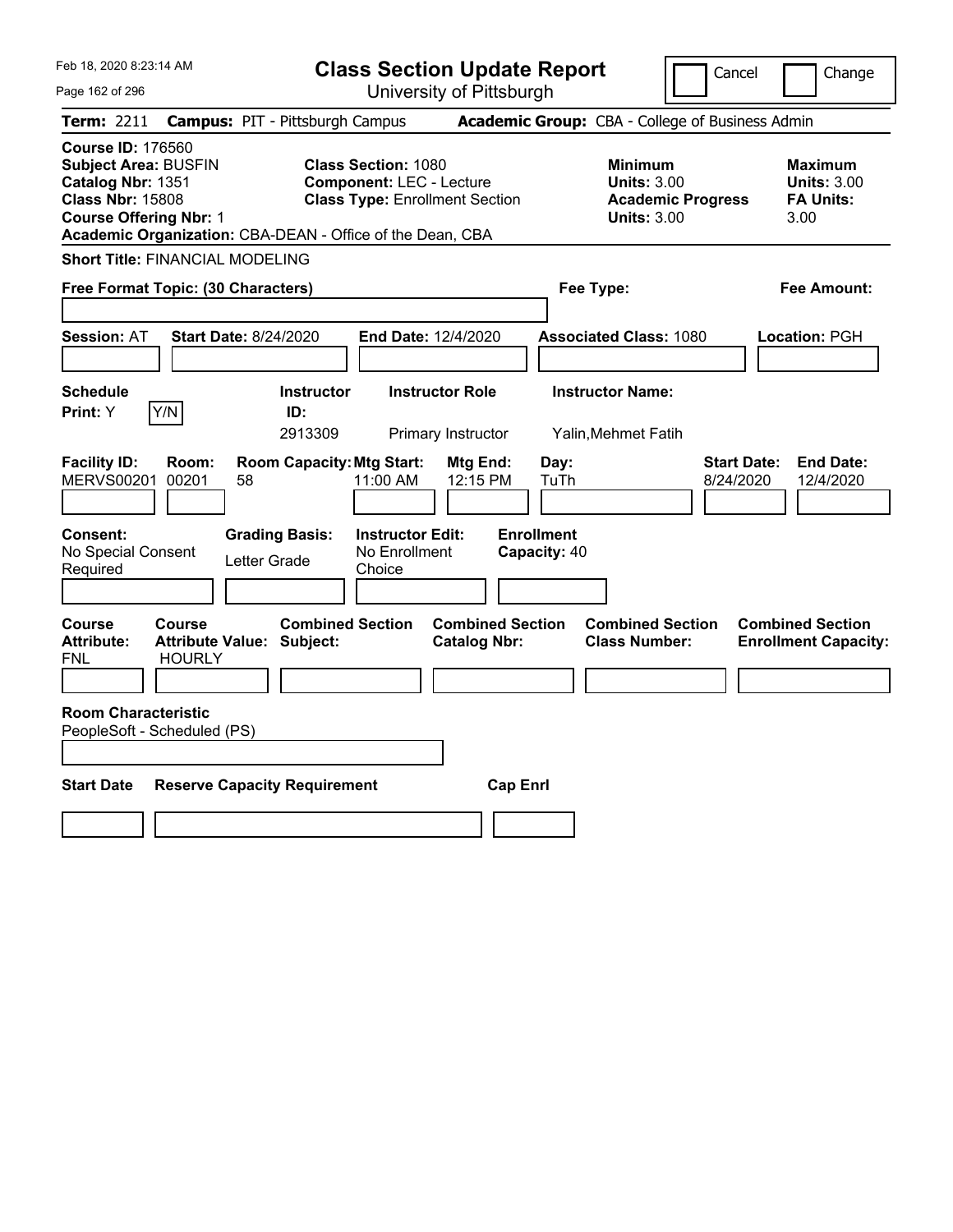| Feb 18, 2020 8:23:14 AM                                                                                                                                                                               | <b>Class Section Update Report</b>                                                                     |                                                                                        | Cancel<br>Change                                                 |
|-------------------------------------------------------------------------------------------------------------------------------------------------------------------------------------------------------|--------------------------------------------------------------------------------------------------------|----------------------------------------------------------------------------------------|------------------------------------------------------------------|
| Page 162 of 296                                                                                                                                                                                       | University of Pittsburgh                                                                               |                                                                                        |                                                                  |
| <b>Term: 2211</b>                                                                                                                                                                                     | <b>Campus: PIT - Pittsburgh Campus</b>                                                                 | Academic Group: CBA - College of Business Admin                                        |                                                                  |
| <b>Course ID: 176560</b><br><b>Subject Area: BUSFIN</b><br>Catalog Nbr: 1351<br><b>Class Nbr: 15808</b><br><b>Course Offering Nbr: 1</b><br>Academic Organization: CBA-DEAN - Office of the Dean, CBA | <b>Class Section: 1080</b><br><b>Component: LEC - Lecture</b><br><b>Class Type: Enrollment Section</b> | <b>Minimum</b><br><b>Units: 3.00</b><br><b>Academic Progress</b><br><b>Units: 3.00</b> | <b>Maximum</b><br><b>Units: 3.00</b><br><b>FA Units:</b><br>3.00 |
| <b>Short Title: FINANCIAL MODELING</b>                                                                                                                                                                |                                                                                                        |                                                                                        |                                                                  |
| Free Format Topic: (30 Characters)                                                                                                                                                                    |                                                                                                        | Fee Type:                                                                              | Fee Amount:                                                      |
| <b>Start Date: 8/24/2020</b><br><b>Session: AT</b>                                                                                                                                                    | End Date: 12/4/2020                                                                                    | <b>Associated Class: 1080</b>                                                          | Location: PGH                                                    |
| <b>Schedule</b><br>Y/N<br><b>Print: Y</b>                                                                                                                                                             | <b>Instructor Role</b><br><b>Instructor</b><br>ID:<br>2913309<br>Primary Instructor                    | <b>Instructor Name:</b><br>Yalin, Mehmet Fatih                                         |                                                                  |
| <b>Facility ID:</b><br>Room:<br><b>MERVS00201</b><br>00201<br>58                                                                                                                                      | <b>Room Capacity: Mtg Start:</b><br>Mtg End:<br>11:00 AM<br>12:15 PM                                   | Day:<br>TuTh                                                                           | <b>Start Date:</b><br><b>End Date:</b><br>8/24/2020<br>12/4/2020 |
| <b>Consent:</b><br>No Special Consent<br>Letter Grade<br>Required                                                                                                                                     | <b>Instructor Edit:</b><br><b>Grading Basis:</b><br>No Enrollment<br>Choice                            | <b>Enrollment</b><br>Capacity: 40                                                      |                                                                  |
| <b>Course</b><br>Course<br><b>Attribute:</b><br><b>Attribute Value: Subject:</b><br>FNL<br><b>HOURLY</b>                                                                                              | <b>Combined Section</b><br><b>Catalog Nbr:</b>                                                         | <b>Combined Section</b><br><b>Combined Section</b><br><b>Class Number:</b>             | <b>Combined Section</b><br><b>Enrollment Capacity:</b>           |
| <b>Room Characteristic</b><br>PeopleSoft - Scheduled (PS)                                                                                                                                             |                                                                                                        |                                                                                        |                                                                  |
| <b>Start Date</b><br><b>Reserve Capacity Requirement</b>                                                                                                                                              |                                                                                                        | <b>Cap Enrl</b>                                                                        |                                                                  |
|                                                                                                                                                                                                       |                                                                                                        |                                                                                        |                                                                  |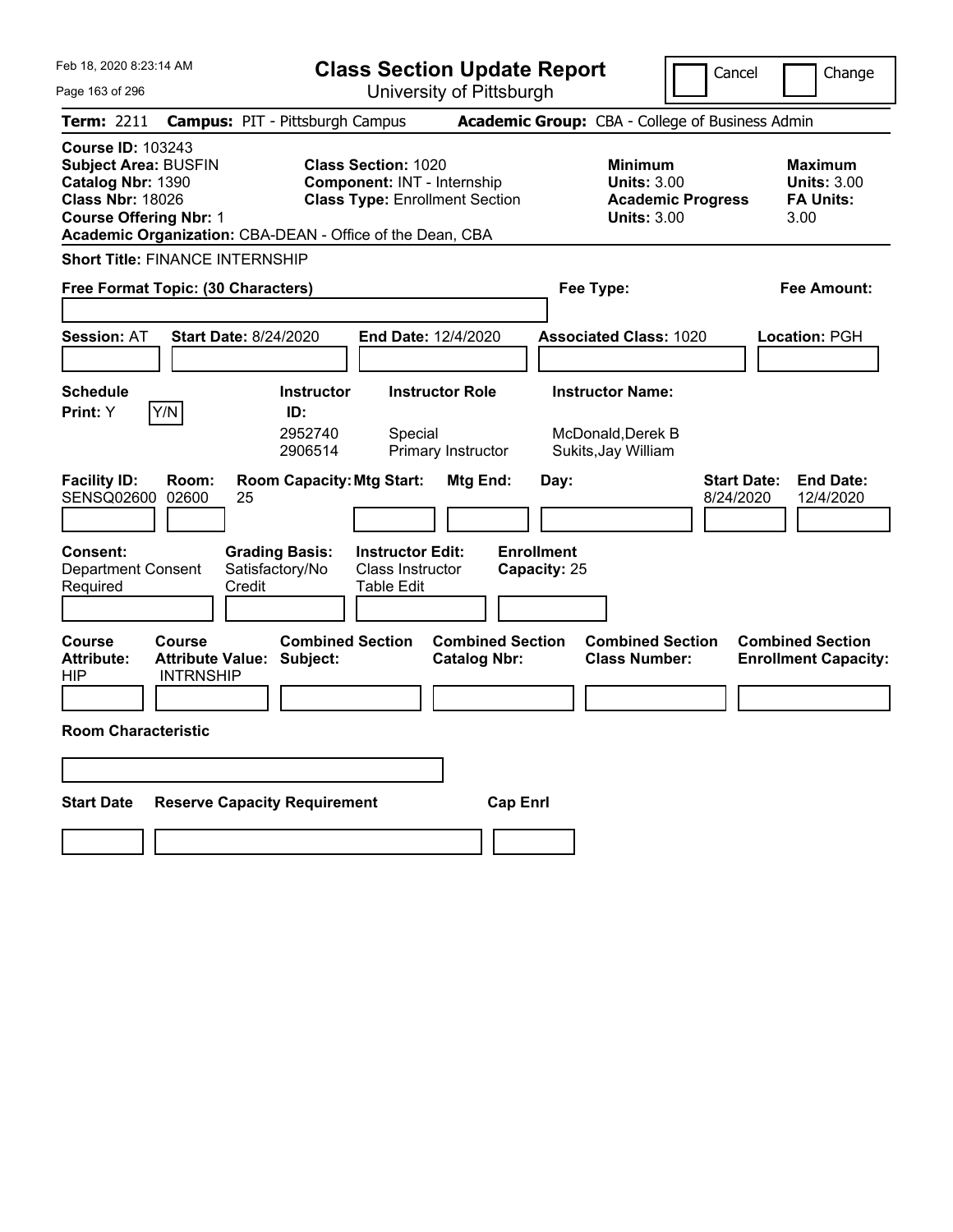| Feb 18, 2020 8:23:14 AM                                                                                                                                                                               | <b>Class Section Update Report</b>                                                                                                               |                                                                            | Cancel<br>Change                                                                             |
|-------------------------------------------------------------------------------------------------------------------------------------------------------------------------------------------------------|--------------------------------------------------------------------------------------------------------------------------------------------------|----------------------------------------------------------------------------|----------------------------------------------------------------------------------------------|
| Page 163 of 296                                                                                                                                                                                       | University of Pittsburgh                                                                                                                         |                                                                            |                                                                                              |
| <b>Term: 2211</b>                                                                                                                                                                                     | <b>Campus: PIT - Pittsburgh Campus</b>                                                                                                           | Academic Group: CBA - College of Business Admin                            |                                                                                              |
| <b>Course ID: 103243</b><br><b>Subject Area: BUSFIN</b><br>Catalog Nbr: 1390<br><b>Class Nbr: 18026</b><br><b>Course Offering Nbr: 1</b><br>Academic Organization: CBA-DEAN - Office of the Dean, CBA | <b>Class Section: 1020</b><br>Component: INT - Internship<br><b>Class Type: Enrollment Section</b>                                               | <b>Minimum</b><br><b>Units: 3.00</b><br><b>Units: 3.00</b>                 | <b>Maximum</b><br><b>Units: 3.00</b><br><b>FA Units:</b><br><b>Academic Progress</b><br>3.00 |
| <b>Short Title: FINANCE INTERNSHIP</b>                                                                                                                                                                |                                                                                                                                                  |                                                                            |                                                                                              |
| Free Format Topic: (30 Characters)                                                                                                                                                                    |                                                                                                                                                  | Fee Type:                                                                  | Fee Amount:                                                                                  |
| <b>Session: AT</b><br><b>Start Date: 8/24/2020</b>                                                                                                                                                    | <b>End Date: 12/4/2020</b>                                                                                                                       | <b>Associated Class: 1020</b>                                              | <b>Location: PGH</b>                                                                         |
| <b>Schedule</b><br>Y/N<br>Print: Y                                                                                                                                                                    | <b>Instructor</b><br><b>Instructor Role</b><br>ID:<br>2952740<br>Special<br>2906514<br>Primary Instructor                                        | <b>Instructor Name:</b><br>McDonald, Derek B<br>Sukits, Jay William        |                                                                                              |
| <b>Facility ID:</b><br>Room:<br>SENSQ02600<br>02600<br>25<br>Consent:<br>Satisfactory/No<br><b>Department Consent</b><br>Credit<br>Required                                                           | <b>Room Capacity: Mtg Start:</b><br>Mtg End:<br><b>Grading Basis:</b><br><b>Instructor Edit:</b><br><b>Class Instructor</b><br><b>Table Edit</b> | Day:<br><b>Enrollment</b><br>Capacity: 25                                  | <b>Start Date:</b><br><b>End Date:</b><br>8/24/2020<br>12/4/2020                             |
| Course<br><b>Course</b><br><b>Attribute:</b><br><b>Attribute Value: Subject:</b><br>HIP<br><b>INTRNSHIP</b><br><b>Room Characteristic</b>                                                             | <b>Combined Section</b><br><b>Catalog Nbr:</b>                                                                                                   | <b>Combined Section</b><br><b>Combined Section</b><br><b>Class Number:</b> | <b>Combined Section</b><br><b>Enrollment Capacity:</b>                                       |
|                                                                                                                                                                                                       |                                                                                                                                                  |                                                                            |                                                                                              |
| <b>Start Date</b><br><b>Reserve Capacity Requirement</b>                                                                                                                                              |                                                                                                                                                  | <b>Cap Enri</b>                                                            |                                                                                              |
|                                                                                                                                                                                                       |                                                                                                                                                  |                                                                            |                                                                                              |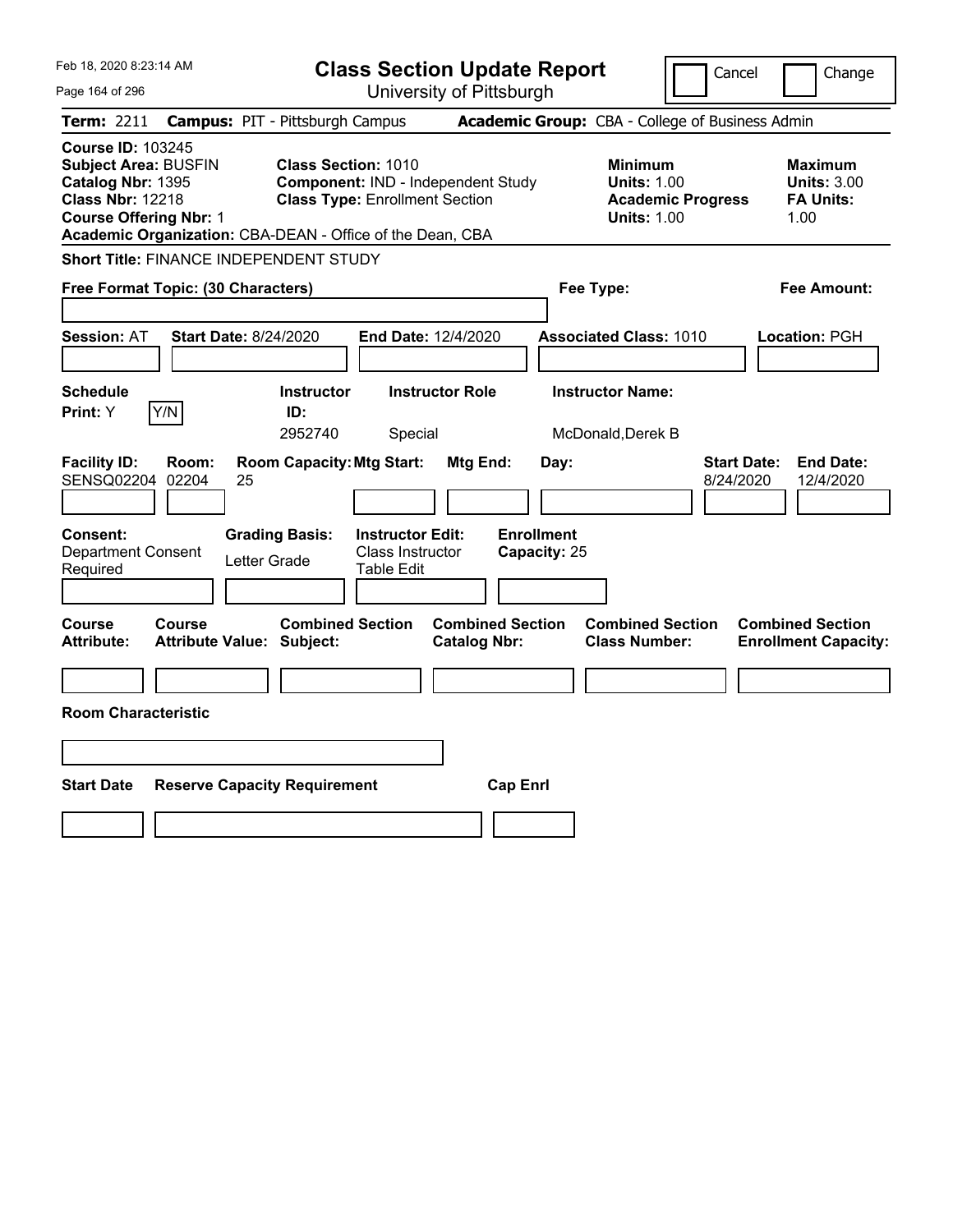| Feb 18, 2020 8:23:14 AM                                                                                                                                                                               |                                            |                                                                                                    |                                                           |                                                | <b>Class Section Update Report</b> |                                                            | Cancel                                          | Change                                                           |
|-------------------------------------------------------------------------------------------------------------------------------------------------------------------------------------------------------|--------------------------------------------|----------------------------------------------------------------------------------------------------|-----------------------------------------------------------|------------------------------------------------|------------------------------------|------------------------------------------------------------|-------------------------------------------------|------------------------------------------------------------------|
| Page 164 of 296                                                                                                                                                                                       |                                            |                                                                                                    |                                                           | University of Pittsburgh                       |                                    |                                                            |                                                 |                                                                  |
| Term: 2211                                                                                                                                                                                            |                                            | <b>Campus: PIT - Pittsburgh Campus</b>                                                             |                                                           |                                                |                                    |                                                            | Academic Group: CBA - College of Business Admin |                                                                  |
| <b>Course ID: 103245</b><br><b>Subject Area: BUSFIN</b><br>Catalog Nbr: 1395<br><b>Class Nbr: 12218</b><br><b>Course Offering Nbr: 1</b><br>Academic Organization: CBA-DEAN - Office of the Dean, CBA |                                            | Class Section: 1010<br>Component: IND - Independent Study<br><b>Class Type: Enrollment Section</b> |                                                           |                                                |                                    | <b>Minimum</b><br><b>Units: 1.00</b><br><b>Units: 1.00</b> | <b>Academic Progress</b>                        | <b>Maximum</b><br><b>Units: 3.00</b><br><b>FA Units:</b><br>1.00 |
| Short Title: FINANCE INDEPENDENT STUDY                                                                                                                                                                |                                            |                                                                                                    |                                                           |                                                |                                    |                                                            |                                                 |                                                                  |
| Free Format Topic: (30 Characters)                                                                                                                                                                    |                                            |                                                                                                    |                                                           |                                                |                                    | Fee Type:                                                  |                                                 | Fee Amount:                                                      |
| <b>Session: AT</b>                                                                                                                                                                                    | <b>Start Date: 8/24/2020</b>               |                                                                                                    |                                                           | End Date: 12/4/2020                            |                                    | <b>Associated Class: 1010</b>                              |                                                 | Location: PGH                                                    |
| <b>Schedule</b><br>Print: Y                                                                                                                                                                           | Y/N                                        | <b>Instructor</b><br>ID:<br>2952740                                                                | Special                                                   | <b>Instructor Role</b>                         |                                    | <b>Instructor Name:</b><br>McDonald, Derek B               |                                                 |                                                                  |
| <b>Facility ID:</b><br>SENSQ02204                                                                                                                                                                     | Room:<br>02204<br>25                       | <b>Room Capacity: Mtg Start:</b>                                                                   |                                                           | Mtg End:                                       | Day:                               |                                                            | <b>Start Date:</b><br>8/24/2020                 | <b>End Date:</b><br>12/4/2020                                    |
| <b>Consent:</b><br><b>Department Consent</b><br>Required                                                                                                                                              |                                            | <b>Grading Basis:</b><br>Letter Grade                                                              | <b>Instructor Edit:</b><br>Class Instructor<br>Table Edit |                                                | <b>Enrollment</b><br>Capacity: 25  |                                                            |                                                 |                                                                  |
| Course<br>Attribute:                                                                                                                                                                                  | Course<br><b>Attribute Value: Subject:</b> | <b>Combined Section</b>                                                                            |                                                           | <b>Combined Section</b><br><b>Catalog Nbr:</b> |                                    | <b>Combined Section</b><br><b>Class Number:</b>            |                                                 | <b>Combined Section</b><br><b>Enrollment Capacity:</b>           |
|                                                                                                                                                                                                       |                                            |                                                                                                    |                                                           |                                                |                                    |                                                            |                                                 |                                                                  |
| <b>Room Characteristic</b>                                                                                                                                                                            |                                            |                                                                                                    |                                                           |                                                |                                    |                                                            |                                                 |                                                                  |
|                                                                                                                                                                                                       |                                            |                                                                                                    |                                                           |                                                |                                    |                                                            |                                                 |                                                                  |
| <b>Start Date</b>                                                                                                                                                                                     |                                            | <b>Reserve Capacity Requirement</b>                                                                |                                                           |                                                | <b>Cap Enrl</b>                    |                                                            |                                                 |                                                                  |
|                                                                                                                                                                                                       |                                            |                                                                                                    |                                                           |                                                |                                    |                                                            |                                                 |                                                                  |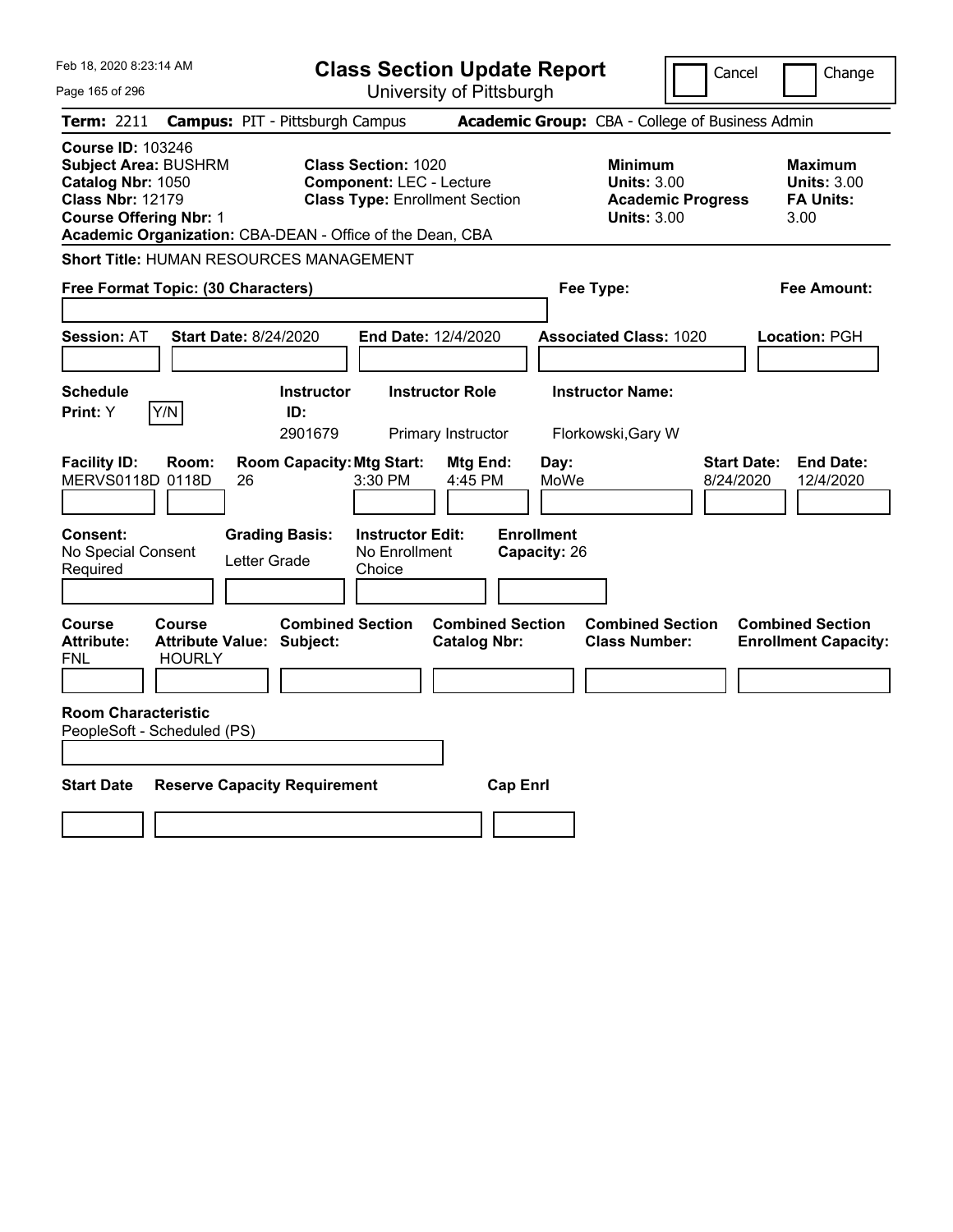| Feb 18, 2020 8:23:14 AM                                                                                                                                                                               |                                                             | <b>Class Section Update Report</b>                                       |                                                            | Cancel                          | Change                                                           |
|-------------------------------------------------------------------------------------------------------------------------------------------------------------------------------------------------------|-------------------------------------------------------------|--------------------------------------------------------------------------|------------------------------------------------------------|---------------------------------|------------------------------------------------------------------|
| Page 165 of 296                                                                                                                                                                                       |                                                             | University of Pittsburgh                                                 |                                                            |                                 |                                                                  |
| Term: 2211                                                                                                                                                                                            | <b>Campus: PIT - Pittsburgh Campus</b>                      |                                                                          | Academic Group: CBA - College of Business Admin            |                                 |                                                                  |
| <b>Course ID: 103246</b><br><b>Subject Area: BUSHRM</b><br>Catalog Nbr: 1050<br><b>Class Nbr: 12179</b><br><b>Course Offering Nbr: 1</b><br>Academic Organization: CBA-DEAN - Office of the Dean, CBA | <b>Class Section: 1020</b>                                  | <b>Component: LEC - Lecture</b><br><b>Class Type: Enrollment Section</b> | <b>Minimum</b><br><b>Units: 3.00</b><br><b>Units: 3.00</b> | <b>Academic Progress</b>        | <b>Maximum</b><br><b>Units: 3.00</b><br><b>FA Units:</b><br>3.00 |
| <b>Short Title: HUMAN RESOURCES MANAGEMENT</b>                                                                                                                                                        |                                                             |                                                                          |                                                            |                                 |                                                                  |
| Free Format Topic: (30 Characters)                                                                                                                                                                    |                                                             |                                                                          | Fee Type:                                                  |                                 | Fee Amount:                                                      |
| <b>Session: AT</b>                                                                                                                                                                                    | <b>Start Date: 8/24/2020</b>                                | End Date: 12/4/2020                                                      | <b>Associated Class: 1020</b>                              |                                 | Location: PGH                                                    |
| <b>Schedule</b><br>Y/N<br>Print: Y                                                                                                                                                                    | <b>Instructor</b><br>ID:<br>2901679                         | <b>Instructor Role</b><br>Primary Instructor                             | <b>Instructor Name:</b><br>Florkowski, Gary W              |                                 |                                                                  |
| <b>Facility ID:</b><br>Room:<br>MERVS0118D 0118D                                                                                                                                                      | <b>Room Capacity: Mtg Start:</b><br>3:30 PM<br>26           | <b>Mtg End:</b><br>4:45 PM                                               | Day:<br>MoWe                                               | <b>Start Date:</b><br>8/24/2020 | <b>End Date:</b><br>12/4/2020                                    |
| Consent:<br>No Special Consent<br>Required                                                                                                                                                            | <b>Grading Basis:</b><br>Letter Grade<br>Choice             | <b>Instructor Edit:</b><br>No Enrollment                                 | <b>Enrollment</b><br>Capacity: 26                          |                                 |                                                                  |
| Course<br>Course<br><b>Attribute:</b><br><b>HOURLY</b><br>FNL                                                                                                                                         | <b>Combined Section</b><br><b>Attribute Value: Subject:</b> | <b>Combined Section</b><br><b>Catalog Nbr:</b>                           | <b>Combined Section</b><br><b>Class Number:</b>            |                                 | <b>Combined Section</b><br><b>Enrollment Capacity:</b>           |
| <b>Room Characteristic</b><br>PeopleSoft - Scheduled (PS)                                                                                                                                             |                                                             |                                                                          |                                                            |                                 |                                                                  |
| <b>Start Date</b>                                                                                                                                                                                     | <b>Reserve Capacity Requirement</b>                         | <b>Cap Enrl</b>                                                          |                                                            |                                 |                                                                  |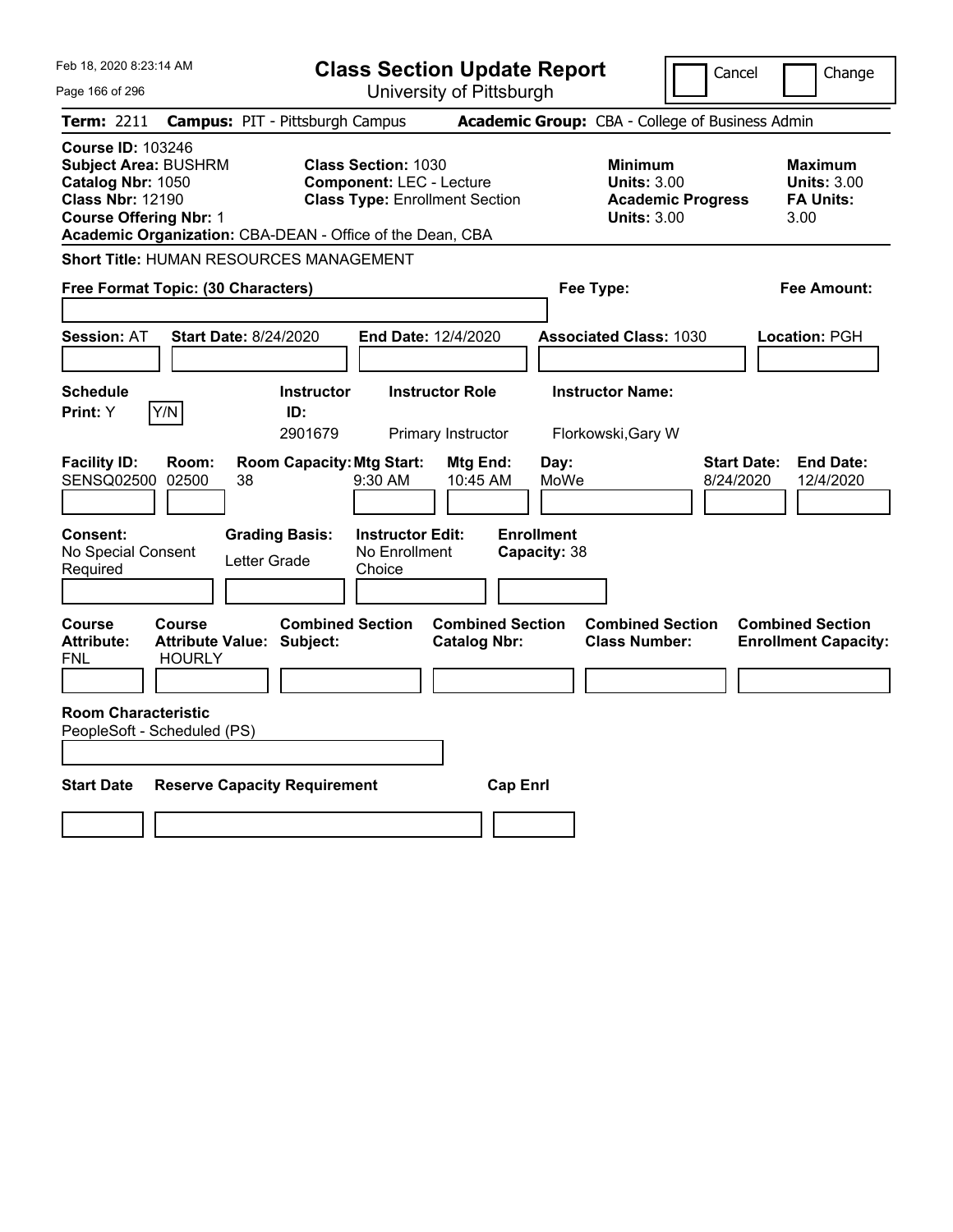| Feb 18, 2020 8:23:14 AM                                                                                                                                                                               | <b>Class Section Update Report</b>                                                                     |                                                |                                                            | Cancel                          | Change                                                           |
|-------------------------------------------------------------------------------------------------------------------------------------------------------------------------------------------------------|--------------------------------------------------------------------------------------------------------|------------------------------------------------|------------------------------------------------------------|---------------------------------|------------------------------------------------------------------|
| Page 166 of 296                                                                                                                                                                                       |                                                                                                        | University of Pittsburgh                       |                                                            |                                 |                                                                  |
| <b>Term: 2211</b>                                                                                                                                                                                     | <b>Campus: PIT - Pittsburgh Campus</b>                                                                 |                                                | Academic Group: CBA - College of Business Admin            |                                 |                                                                  |
| <b>Course ID: 103246</b><br><b>Subject Area: BUSHRM</b><br>Catalog Nbr: 1050<br><b>Class Nbr: 12190</b><br><b>Course Offering Nbr: 1</b><br>Academic Organization: CBA-DEAN - Office of the Dean, CBA | <b>Class Section: 1030</b><br><b>Component: LEC - Lecture</b><br><b>Class Type: Enrollment Section</b> |                                                | <b>Minimum</b><br><b>Units: 3.00</b><br><b>Units: 3.00</b> | <b>Academic Progress</b>        | <b>Maximum</b><br><b>Units: 3.00</b><br><b>FA Units:</b><br>3.00 |
| <b>Short Title: HUMAN RESOURCES MANAGEMENT</b>                                                                                                                                                        |                                                                                                        |                                                |                                                            |                                 |                                                                  |
| Free Format Topic: (30 Characters)                                                                                                                                                                    |                                                                                                        |                                                | Fee Type:                                                  |                                 | Fee Amount:                                                      |
| <b>Session: AT</b><br><b>Start Date: 8/24/2020</b>                                                                                                                                                    | End Date: 12/4/2020                                                                                    |                                                | <b>Associated Class: 1030</b>                              |                                 | Location: PGH                                                    |
| <b>Schedule</b><br>Y/N<br>Print: Y                                                                                                                                                                    | <b>Instructor</b><br>ID:<br>2901679                                                                    | <b>Instructor Role</b><br>Primary Instructor   | <b>Instructor Name:</b><br>Florkowski, Gary W              |                                 |                                                                  |
| <b>Facility ID:</b><br>Room:<br>SENSQ02500 02500<br>38                                                                                                                                                | <b>Room Capacity: Mtg Start:</b><br>9:30 AM                                                            | Mtg End:<br>10:45 AM                           | Day:<br>MoWe                                               | <b>Start Date:</b><br>8/24/2020 | <b>End Date:</b><br>12/4/2020                                    |
| Consent:<br>No Special Consent<br>Required                                                                                                                                                            | <b>Grading Basis:</b><br><b>Instructor Edit:</b><br>No Enrollment<br>Letter Grade<br>Choice            | <b>Enrollment</b><br>Capacity: 38              |                                                            |                                 |                                                                  |
| Course<br><b>Course</b><br><b>Attribute Value: Subject:</b><br><b>Attribute:</b><br><b>HOURLY</b><br>FNL                                                                                              | <b>Combined Section</b>                                                                                | <b>Combined Section</b><br><b>Catalog Nbr:</b> | <b>Combined Section</b><br><b>Class Number:</b>            |                                 | <b>Combined Section</b><br><b>Enrollment Capacity:</b>           |
| <b>Room Characteristic</b><br>PeopleSoft - Scheduled (PS)                                                                                                                                             |                                                                                                        |                                                |                                                            |                                 |                                                                  |
| <b>Start Date</b>                                                                                                                                                                                     | <b>Reserve Capacity Requirement</b>                                                                    | <b>Cap Enrl</b>                                |                                                            |                                 |                                                                  |
|                                                                                                                                                                                                       |                                                                                                        |                                                |                                                            |                                 |                                                                  |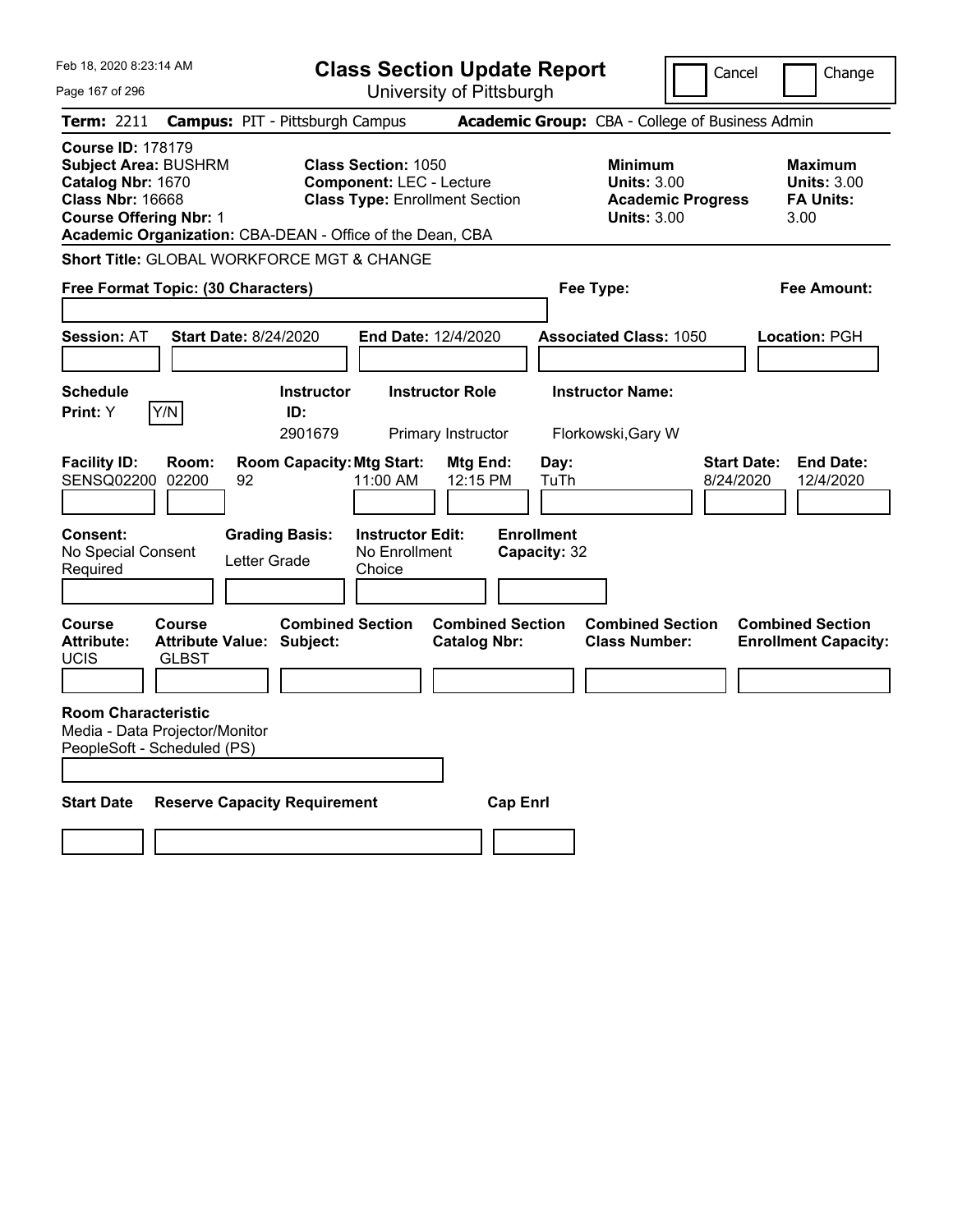| Feb 18, 2020 8:23:14 AM                                                                                                                                                                               |                                                            |                                     | <b>Class Section Update Report</b>                                                                     |                                                |                                   |                                                            | Cancel                                          | Change                                                           |
|-------------------------------------------------------------------------------------------------------------------------------------------------------------------------------------------------------|------------------------------------------------------------|-------------------------------------|--------------------------------------------------------------------------------------------------------|------------------------------------------------|-----------------------------------|------------------------------------------------------------|-------------------------------------------------|------------------------------------------------------------------|
| Page 167 of 296                                                                                                                                                                                       |                                                            |                                     |                                                                                                        | University of Pittsburgh                       |                                   |                                                            |                                                 |                                                                  |
| Term: 2211                                                                                                                                                                                            | <b>Campus: PIT - Pittsburgh Campus</b>                     |                                     |                                                                                                        |                                                |                                   |                                                            | Academic Group: CBA - College of Business Admin |                                                                  |
| <b>Course ID: 178179</b><br><b>Subject Area: BUSHRM</b><br>Catalog Nbr: 1670<br><b>Class Nbr: 16668</b><br><b>Course Offering Nbr: 1</b><br>Academic Organization: CBA-DEAN - Office of the Dean, CBA |                                                            |                                     | <b>Class Section: 1050</b><br><b>Component: LEC - Lecture</b><br><b>Class Type: Enrollment Section</b> |                                                |                                   | <b>Minimum</b><br><b>Units: 3.00</b><br><b>Units: 3.00</b> | <b>Academic Progress</b>                        | <b>Maximum</b><br><b>Units: 3.00</b><br><b>FA Units:</b><br>3.00 |
| Short Title: GLOBAL WORKFORCE MGT & CHANGE                                                                                                                                                            |                                                            |                                     |                                                                                                        |                                                |                                   |                                                            |                                                 |                                                                  |
| Free Format Topic: (30 Characters)                                                                                                                                                                    |                                                            |                                     |                                                                                                        |                                                |                                   | Fee Type:                                                  |                                                 | Fee Amount:                                                      |
| <b>Session: AT</b>                                                                                                                                                                                    | <b>Start Date: 8/24/2020</b>                               |                                     | End Date: 12/4/2020                                                                                    |                                                |                                   | <b>Associated Class: 1050</b>                              |                                                 | Location: PGH                                                    |
| <b>Schedule</b><br>Y/N<br>Print: Y                                                                                                                                                                    |                                                            | <b>Instructor</b><br>ID:<br>2901679 |                                                                                                        | <b>Instructor Role</b><br>Primary Instructor   |                                   | <b>Instructor Name:</b><br>Florkowski, Gary W              |                                                 |                                                                  |
| <b>Facility ID:</b><br>SENSQ02200                                                                                                                                                                     | Room:<br>02200<br>92                                       | <b>Room Capacity: Mtg Start:</b>    | 11:00 AM                                                                                               | Mtg End:<br>12:15 PM                           | Day:<br>TuTh                      |                                                            | <b>Start Date:</b><br>8/24/2020                 | <b>End Date:</b><br>12/4/2020                                    |
| <b>Consent:</b><br>No Special Consent<br>Required                                                                                                                                                     | Letter Grade                                               | <b>Grading Basis:</b>               | <b>Instructor Edit:</b><br>No Enrollment<br>Choice                                                     |                                                | <b>Enrollment</b><br>Capacity: 32 |                                                            |                                                 |                                                                  |
| Course<br><b>Attribute:</b><br><b>UCIS</b>                                                                                                                                                            | <b>Course</b><br>Attribute Value: Subject:<br><b>GLBST</b> | <b>Combined Section</b>             |                                                                                                        | <b>Combined Section</b><br><b>Catalog Nbr:</b> |                                   | <b>Combined Section</b><br><b>Class Number:</b>            |                                                 | <b>Combined Section</b><br><b>Enrollment Capacity:</b>           |
| <b>Room Characteristic</b><br>Media - Data Projector/Monitor<br>PeopleSoft - Scheduled (PS)                                                                                                           |                                                            |                                     |                                                                                                        |                                                |                                   |                                                            |                                                 |                                                                  |
| <b>Start Date</b>                                                                                                                                                                                     | <b>Reserve Capacity Requirement</b>                        |                                     |                                                                                                        |                                                | <b>Cap Enri</b>                   |                                                            |                                                 |                                                                  |
|                                                                                                                                                                                                       |                                                            |                                     |                                                                                                        |                                                |                                   |                                                            |                                                 |                                                                  |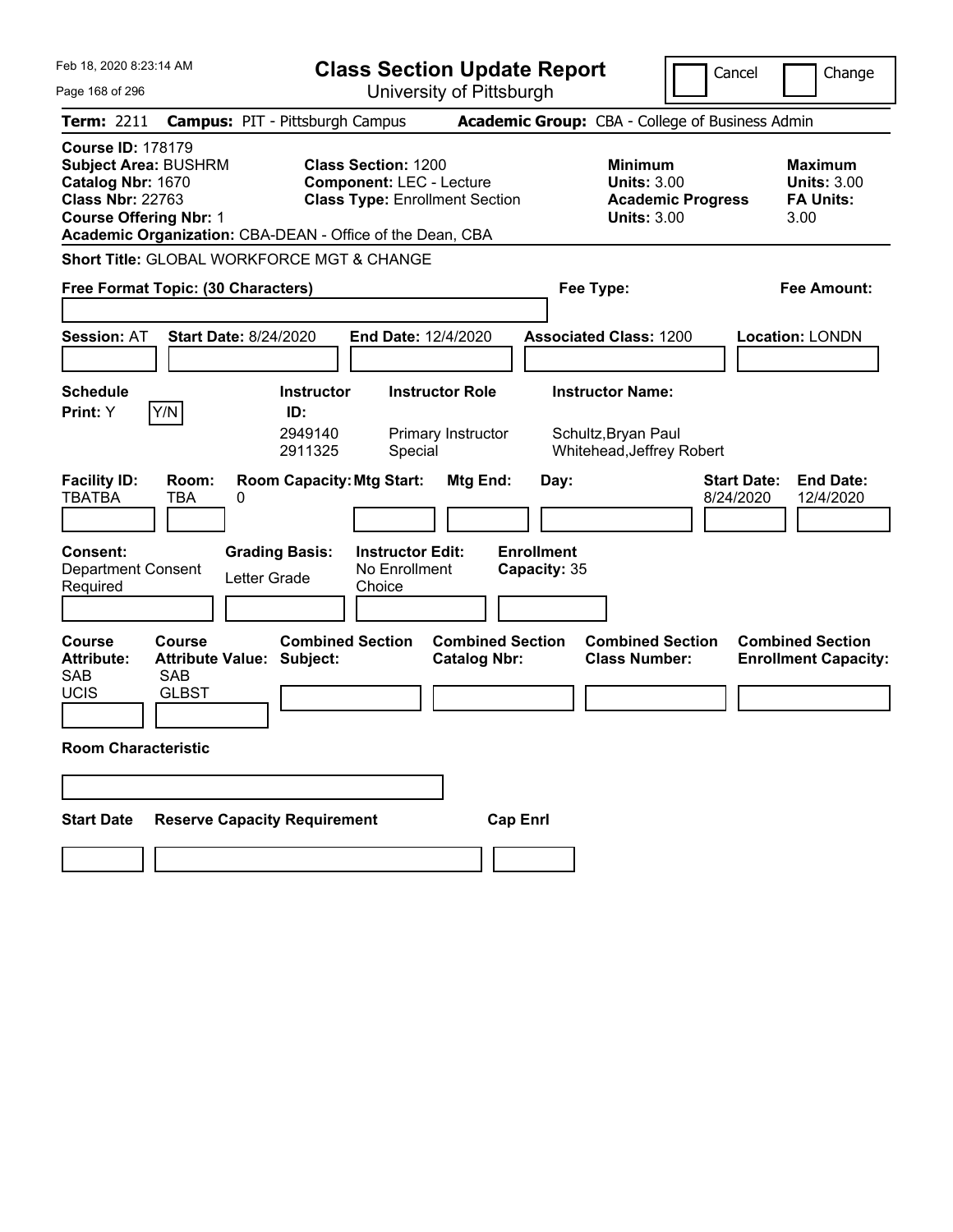| Feb 18, 2020 8:23:14 AM                                                                                                                                                                               | <b>Class Section Update Report</b>                                                                     |                                                                                        | Cancel<br>Change                                                 |
|-------------------------------------------------------------------------------------------------------------------------------------------------------------------------------------------------------|--------------------------------------------------------------------------------------------------------|----------------------------------------------------------------------------------------|------------------------------------------------------------------|
| Page 168 of 296                                                                                                                                                                                       | University of Pittsburgh                                                                               |                                                                                        |                                                                  |
| <b>Term: 2211</b>                                                                                                                                                                                     | <b>Campus: PIT - Pittsburgh Campus</b>                                                                 | Academic Group: CBA - College of Business Admin                                        |                                                                  |
| <b>Course ID: 178179</b><br><b>Subject Area: BUSHRM</b><br>Catalog Nbr: 1670<br><b>Class Nbr: 22763</b><br><b>Course Offering Nbr: 1</b><br>Academic Organization: CBA-DEAN - Office of the Dean, CBA | <b>Class Section: 1200</b><br><b>Component: LEC - Lecture</b><br><b>Class Type: Enrollment Section</b> | <b>Minimum</b><br><b>Units: 3.00</b><br><b>Academic Progress</b><br><b>Units: 3.00</b> | <b>Maximum</b><br><b>Units: 3.00</b><br><b>FA Units:</b><br>3.00 |
| <b>Short Title: GLOBAL WORKFORCE MGT &amp; CHANGE</b>                                                                                                                                                 |                                                                                                        |                                                                                        |                                                                  |
| Free Format Topic: (30 Characters)                                                                                                                                                                    |                                                                                                        | Fee Type:                                                                              | Fee Amount:                                                      |
| <b>Start Date: 8/24/2020</b><br><b>Session: AT</b>                                                                                                                                                    | End Date: 12/4/2020                                                                                    | <b>Associated Class: 1200</b>                                                          | <b>Location: LONDN</b>                                           |
| <b>Schedule</b>                                                                                                                                                                                       | <b>Instructor Role</b><br><b>Instructor</b>                                                            | <b>Instructor Name:</b>                                                                |                                                                  |
| Y/N<br>Print: Y                                                                                                                                                                                       | ID:<br>2949140<br>Primary Instructor<br>2911325<br>Special                                             | Schultz, Bryan Paul<br>Whitehead, Jeffrey Robert                                       |                                                                  |
| <b>Facility ID:</b><br>Room:<br>TBATBA<br>TBA<br>0                                                                                                                                                    | <b>Room Capacity: Mtg Start:</b><br><b>Mtg End:</b>                                                    | Day:                                                                                   | <b>End Date:</b><br><b>Start Date:</b><br>8/24/2020<br>12/4/2020 |
| <b>Consent:</b><br><b>Grading Basis:</b><br><b>Department Consent</b><br>Letter Grade<br>Required                                                                                                     | <b>Instructor Edit:</b><br>No Enrollment<br>Choice                                                     | <b>Enrollment</b><br>Capacity: 35                                                      |                                                                  |
| <b>Course</b><br>Course<br><b>Attribute Value: Subject:</b><br><b>Attribute:</b><br><b>SAB</b><br><b>SAB</b><br><b>UCIS</b><br><b>GLBST</b>                                                           | <b>Combined Section</b><br><b>Combined Section</b><br><b>Catalog Nbr:</b>                              | <b>Combined Section</b><br><b>Class Number:</b>                                        | <b>Combined Section</b><br><b>Enrollment Capacity:</b>           |
| <b>Room Characteristic</b>                                                                                                                                                                            |                                                                                                        |                                                                                        |                                                                  |
|                                                                                                                                                                                                       |                                                                                                        |                                                                                        |                                                                  |
| <b>Reserve Capacity Requirement</b><br><b>Start Date</b>                                                                                                                                              | <b>Cap Enrl</b>                                                                                        |                                                                                        |                                                                  |
|                                                                                                                                                                                                       |                                                                                                        |                                                                                        |                                                                  |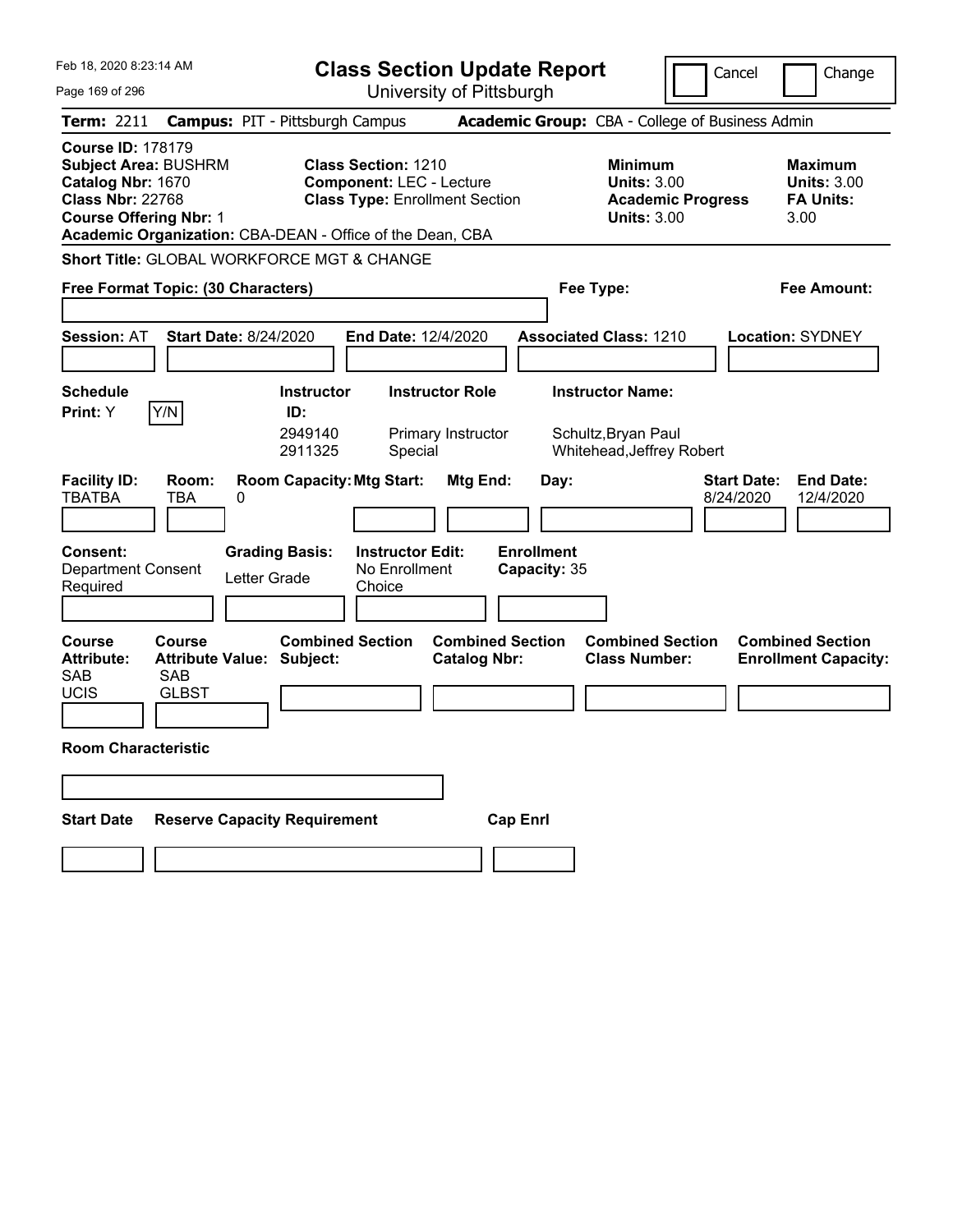| Feb 18, 2020 8:23:14 AM                                                                                                                                                                               | <b>Class Section Update Report</b>                                                                     | Cancel                                                                                 | Change                                                           |
|-------------------------------------------------------------------------------------------------------------------------------------------------------------------------------------------------------|--------------------------------------------------------------------------------------------------------|----------------------------------------------------------------------------------------|------------------------------------------------------------------|
| Page 169 of 296                                                                                                                                                                                       | University of Pittsburgh                                                                               |                                                                                        |                                                                  |
| <b>Term: 2211</b>                                                                                                                                                                                     | <b>Campus: PIT - Pittsburgh Campus</b>                                                                 | Academic Group: CBA - College of Business Admin                                        |                                                                  |
| <b>Course ID: 178179</b><br><b>Subject Area: BUSHRM</b><br>Catalog Nbr: 1670<br><b>Class Nbr: 22768</b><br><b>Course Offering Nbr: 1</b><br>Academic Organization: CBA-DEAN - Office of the Dean, CBA | <b>Class Section: 1210</b><br><b>Component: LEC - Lecture</b><br><b>Class Type: Enrollment Section</b> | <b>Minimum</b><br><b>Units: 3.00</b><br><b>Academic Progress</b><br><b>Units: 3.00</b> | <b>Maximum</b><br><b>Units: 3.00</b><br><b>FA Units:</b><br>3.00 |
| <b>Short Title: GLOBAL WORKFORCE MGT &amp; CHANGE</b>                                                                                                                                                 |                                                                                                        |                                                                                        |                                                                  |
| Free Format Topic: (30 Characters)                                                                                                                                                                    |                                                                                                        | Fee Type:                                                                              | Fee Amount:                                                      |
| <b>Start Date: 8/24/2020</b><br><b>Session: AT</b>                                                                                                                                                    | End Date: 12/4/2020                                                                                    | <b>Associated Class: 1210</b>                                                          | <b>Location: SYDNEY</b>                                          |
| <b>Schedule</b>                                                                                                                                                                                       | <b>Instructor Role</b><br><b>Instructor</b>                                                            | <b>Instructor Name:</b>                                                                |                                                                  |
| Y/N<br>Print: Y                                                                                                                                                                                       | ID:<br>2949140<br>Primary Instructor<br>2911325<br>Special                                             | Schultz, Bryan Paul<br>Whitehead, Jeffrey Robert                                       |                                                                  |
| <b>Facility ID:</b><br>Room:<br>TBATBA<br>TBA<br>0                                                                                                                                                    | <b>Room Capacity: Mtg Start:</b><br><b>Mtg End:</b><br>Day:                                            | <b>Start Date:</b><br>8/24/2020                                                        | <b>End Date:</b><br>12/4/2020                                    |
| <b>Consent:</b><br><b>Grading Basis:</b><br><b>Department Consent</b><br>Letter Grade<br>Required                                                                                                     | <b>Enrollment</b><br><b>Instructor Edit:</b><br>No Enrollment<br>Capacity: 35<br>Choice                |                                                                                        |                                                                  |
| <b>Course</b><br>Course<br><b>Attribute Value: Subject:</b><br><b>Attribute:</b><br><b>SAB</b><br><b>SAB</b><br><b>UCIS</b><br><b>GLBST</b>                                                           | <b>Combined Section</b><br><b>Combined Section</b><br><b>Catalog Nbr:</b>                              | <b>Combined Section</b><br><b>Class Number:</b>                                        | <b>Combined Section</b><br><b>Enrollment Capacity:</b>           |
| <b>Room Characteristic</b>                                                                                                                                                                            |                                                                                                        |                                                                                        |                                                                  |
|                                                                                                                                                                                                       |                                                                                                        |                                                                                        |                                                                  |
| <b>Reserve Capacity Requirement</b><br><b>Start Date</b>                                                                                                                                              | <b>Cap Enrl</b>                                                                                        |                                                                                        |                                                                  |
|                                                                                                                                                                                                       |                                                                                                        |                                                                                        |                                                                  |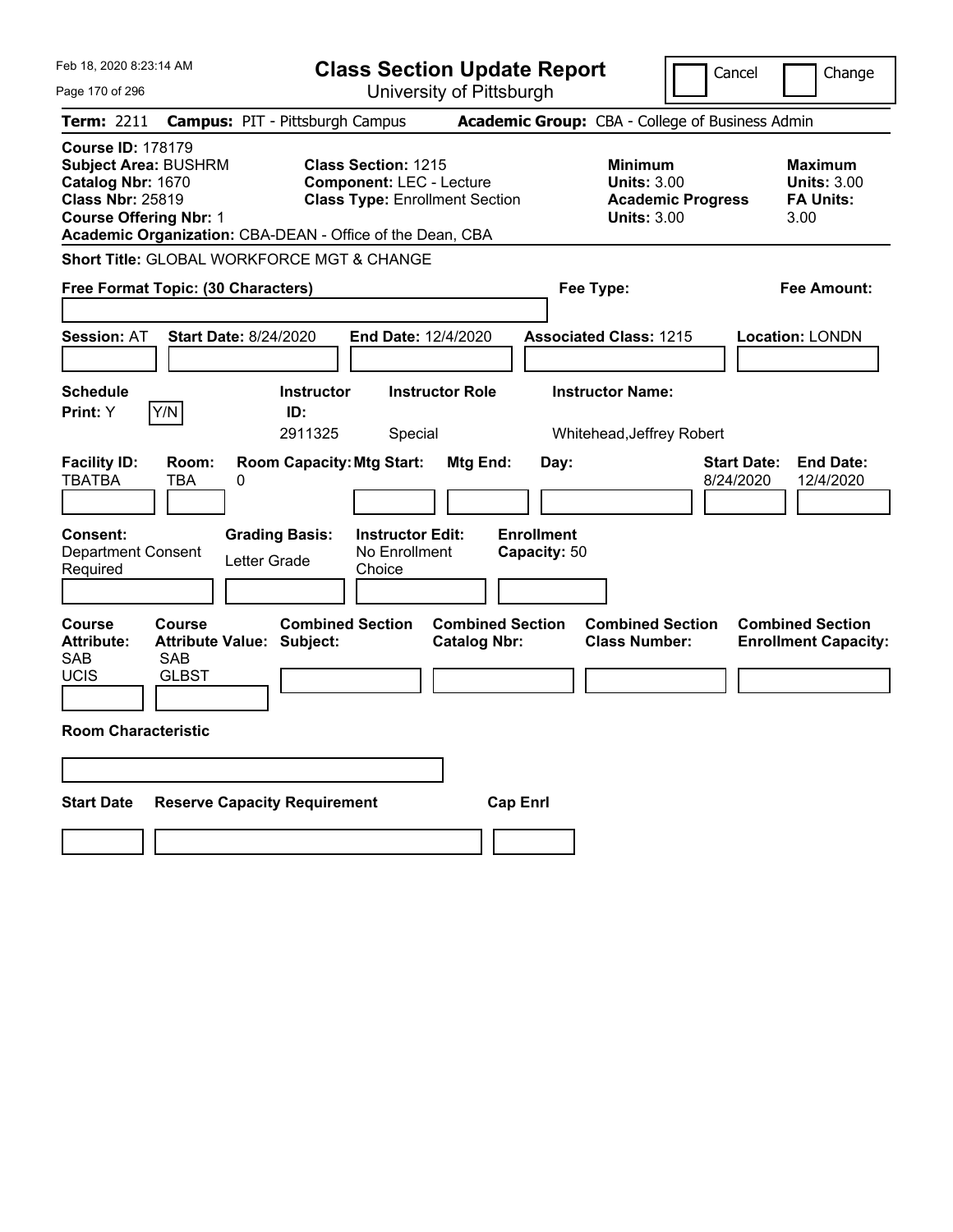| Feb 18, 2020 8:23:14 AM                                                                                                                  |                                    |                                                                                | <b>Class Section Update Report</b>                                                                     |                                                |                                           |                                                                                        | Cancel                          | Change                                                           |
|------------------------------------------------------------------------------------------------------------------------------------------|------------------------------------|--------------------------------------------------------------------------------|--------------------------------------------------------------------------------------------------------|------------------------------------------------|-------------------------------------------|----------------------------------------------------------------------------------------|---------------------------------|------------------------------------------------------------------|
| Page 170 of 296                                                                                                                          |                                    |                                                                                |                                                                                                        | University of Pittsburgh                       |                                           |                                                                                        |                                 |                                                                  |
| <b>Term: 2211</b>                                                                                                                        |                                    | <b>Campus: PIT - Pittsburgh Campus</b>                                         |                                                                                                        |                                                |                                           | Academic Group: CBA - College of Business Admin                                        |                                 |                                                                  |
| <b>Course ID: 178179</b><br><b>Subject Area: BUSHRM</b><br>Catalog Nbr: 1670<br><b>Class Nbr: 25819</b><br><b>Course Offering Nbr: 1</b> |                                    | Academic Organization: CBA-DEAN - Office of the Dean, CBA                      | <b>Class Section: 1215</b><br><b>Component: LEC - Lecture</b><br><b>Class Type: Enrollment Section</b> |                                                |                                           | <b>Minimum</b><br><b>Units: 3.00</b><br><b>Academic Progress</b><br><b>Units: 3.00</b> |                                 | <b>Maximum</b><br><b>Units: 3.00</b><br><b>FA Units:</b><br>3.00 |
|                                                                                                                                          |                                    | Short Title: GLOBAL WORKFORCE MGT & CHANGE                                     |                                                                                                        |                                                |                                           |                                                                                        |                                 |                                                                  |
|                                                                                                                                          | Free Format Topic: (30 Characters) |                                                                                |                                                                                                        |                                                |                                           | Fee Type:                                                                              |                                 | Fee Amount:                                                      |
| <b>Session: AT</b>                                                                                                                       |                                    | <b>Start Date: 8/24/2020</b>                                                   | <b>End Date: 12/4/2020</b>                                                                             |                                                |                                           | <b>Associated Class: 1215</b>                                                          |                                 | Location: LONDN                                                  |
| <b>Schedule</b>                                                                                                                          |                                    | <b>Instructor</b>                                                              |                                                                                                        | <b>Instructor Role</b>                         |                                           | <b>Instructor Name:</b>                                                                |                                 |                                                                  |
| <b>Print: Y</b>                                                                                                                          | Y/N                                | ID:<br>2911325                                                                 | Special                                                                                                |                                                |                                           | Whitehead, Jeffrey Robert                                                              |                                 |                                                                  |
| <b>Facility ID:</b><br><b>TBATBA</b><br>Consent:<br><b>Department Consent</b><br>Required                                                | Room:<br><b>TBA</b>                | <b>Room Capacity: Mtg Start:</b><br>0<br><b>Grading Basis:</b><br>Letter Grade | <b>Instructor Edit:</b><br>No Enrollment<br>Choice                                                     | Mtg End:                                       | Day:<br><b>Enrollment</b><br>Capacity: 50 |                                                                                        | <b>Start Date:</b><br>8/24/2020 | <b>End Date:</b><br>12/4/2020                                    |
|                                                                                                                                          |                                    |                                                                                |                                                                                                        |                                                |                                           |                                                                                        |                                 |                                                                  |
| Course<br><b>Attribute:</b><br>SAB<br><b>UCIS</b>                                                                                        | Course<br>SAB<br><b>GLBST</b>      | <b>Attribute Value: Subject:</b>                                               | <b>Combined Section</b>                                                                                | <b>Combined Section</b><br><b>Catalog Nbr:</b> |                                           | <b>Combined Section</b><br><b>Class Number:</b>                                        |                                 | <b>Combined Section</b><br><b>Enrollment Capacity:</b>           |
| <b>Room Characteristic</b>                                                                                                               |                                    |                                                                                |                                                                                                        |                                                |                                           |                                                                                        |                                 |                                                                  |
|                                                                                                                                          |                                    |                                                                                |                                                                                                        |                                                |                                           |                                                                                        |                                 |                                                                  |
| <b>Start Date</b>                                                                                                                        |                                    | <b>Reserve Capacity Requirement</b>                                            |                                                                                                        | <b>Cap Enrl</b>                                |                                           |                                                                                        |                                 |                                                                  |
|                                                                                                                                          |                                    |                                                                                |                                                                                                        |                                                |                                           |                                                                                        |                                 |                                                                  |
|                                                                                                                                          |                                    |                                                                                |                                                                                                        |                                                |                                           |                                                                                        |                                 |                                                                  |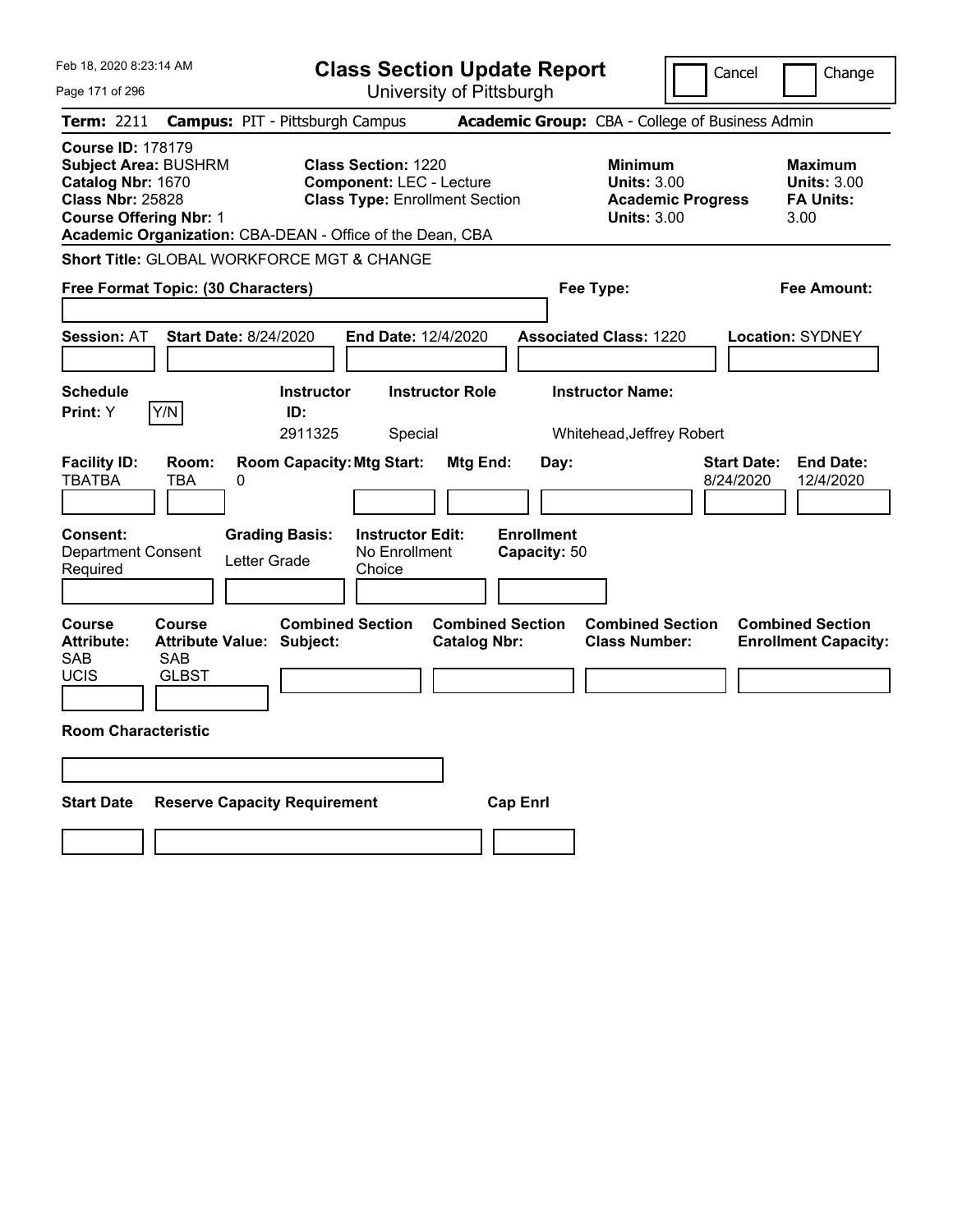| Feb 18, 2020 8:23:14 AM                                                                                                                                                                               | <b>Class Section Update Report</b>                                                                     |                                                                            | Cancel<br>Change                                                                             |
|-------------------------------------------------------------------------------------------------------------------------------------------------------------------------------------------------------|--------------------------------------------------------------------------------------------------------|----------------------------------------------------------------------------|----------------------------------------------------------------------------------------------|
| Page 171 of 296                                                                                                                                                                                       | University of Pittsburgh                                                                               |                                                                            |                                                                                              |
| <b>Term: 2211</b>                                                                                                                                                                                     | <b>Campus: PIT - Pittsburgh Campus</b>                                                                 | Academic Group: CBA - College of Business Admin                            |                                                                                              |
| <b>Course ID: 178179</b><br><b>Subject Area: BUSHRM</b><br>Catalog Nbr: 1670<br><b>Class Nbr: 25828</b><br><b>Course Offering Nbr: 1</b><br>Academic Organization: CBA-DEAN - Office of the Dean, CBA | <b>Class Section: 1220</b><br><b>Component: LEC - Lecture</b><br><b>Class Type: Enrollment Section</b> | <b>Minimum</b><br><b>Units: 3.00</b><br><b>Units: 3.00</b>                 | <b>Maximum</b><br><b>Units: 3.00</b><br><b>Academic Progress</b><br><b>FA Units:</b><br>3.00 |
| Short Title: GLOBAL WORKFORCE MGT & CHANGE                                                                                                                                                            |                                                                                                        |                                                                            |                                                                                              |
| Free Format Topic: (30 Characters)                                                                                                                                                                    |                                                                                                        | Fee Type:                                                                  | Fee Amount:                                                                                  |
| <b>Start Date: 8/24/2020</b><br><b>Session: AT</b>                                                                                                                                                    | <b>End Date: 12/4/2020</b>                                                                             | <b>Associated Class: 1220</b>                                              | <b>Location: SYDNEY</b>                                                                      |
| <b>Schedule</b>                                                                                                                                                                                       | <b>Instructor Role</b><br><b>Instructor</b>                                                            | <b>Instructor Name:</b>                                                    |                                                                                              |
| Y/N<br>Print: Y                                                                                                                                                                                       | ID:<br>2911325<br>Special                                                                              | Whitehead, Jeffrey Robert                                                  |                                                                                              |
| <b>Facility ID:</b><br>Room:<br><b>TBATBA</b><br><b>TBA</b><br>0<br>Consent:<br><b>Grading Basis:</b><br><b>Department Consent</b><br>Letter Grade<br>Required                                        | <b>Room Capacity: Mtg Start:</b><br>Mtg End:<br><b>Instructor Edit:</b><br>No Enrollment<br>Choice     | Day:<br><b>Enrollment</b><br>Capacity: 50                                  | <b>End Date:</b><br><b>Start Date:</b><br>8/24/2020<br>12/4/2020                             |
| <b>Course</b><br><b>Course</b><br><b>Attribute:</b><br><b>Attribute Value: Subject:</b><br>SAB<br><b>SAB</b><br>UCIS<br><b>GLBST</b>                                                                  | <b>Combined Section</b><br><b>Catalog Nbr:</b>                                                         | <b>Combined Section</b><br><b>Combined Section</b><br><b>Class Number:</b> | <b>Combined Section</b><br><b>Enrollment Capacity:</b>                                       |
| <b>Room Characteristic</b>                                                                                                                                                                            |                                                                                                        |                                                                            |                                                                                              |
|                                                                                                                                                                                                       |                                                                                                        |                                                                            |                                                                                              |
| <b>Start Date</b><br><b>Reserve Capacity Requirement</b>                                                                                                                                              |                                                                                                        | <b>Cap Enrl</b>                                                            |                                                                                              |
|                                                                                                                                                                                                       |                                                                                                        |                                                                            |                                                                                              |
|                                                                                                                                                                                                       |                                                                                                        |                                                                            |                                                                                              |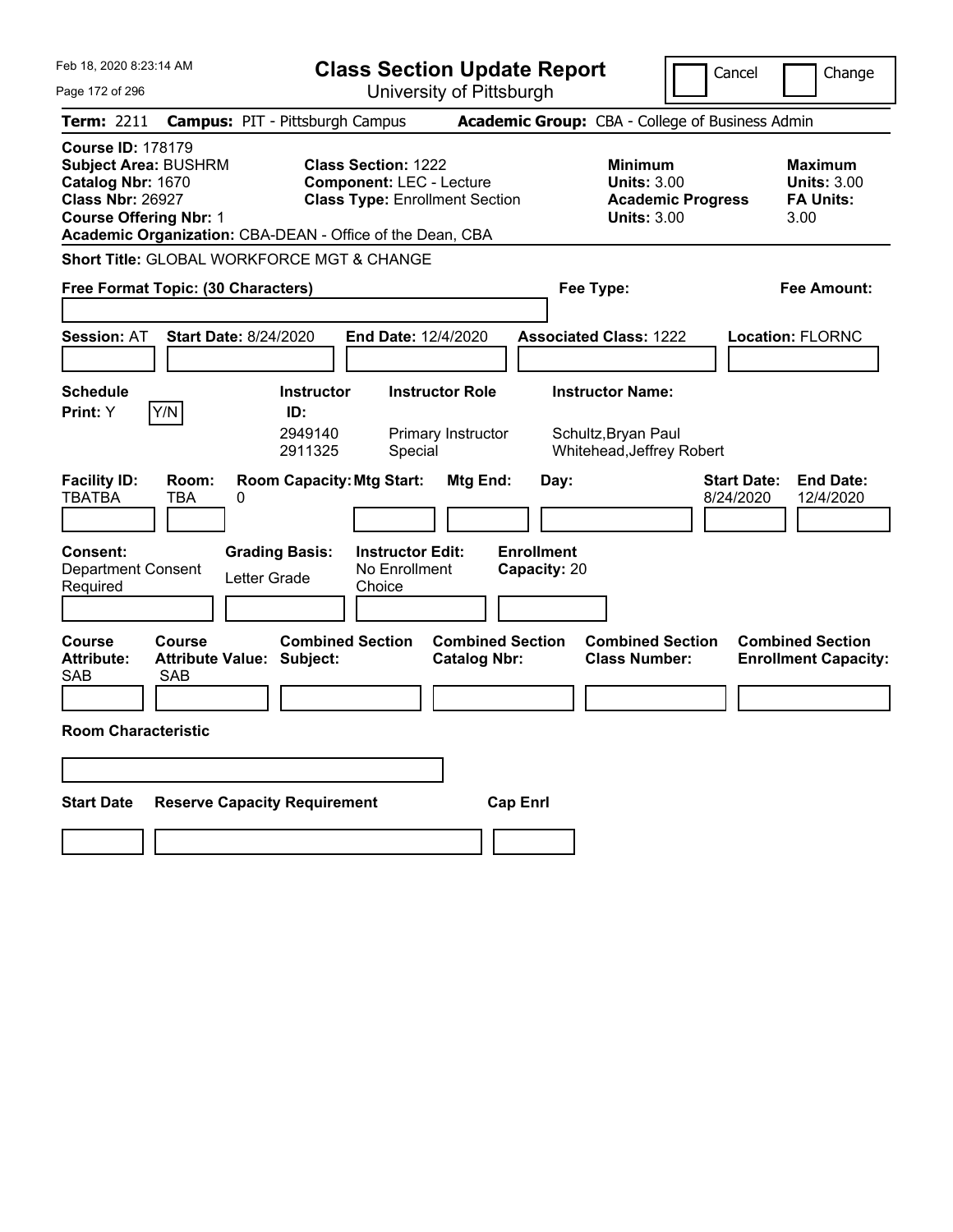| Feb 18, 2020 8:23:14 AM                                                                                                                                                                               | <b>Class Section Update Report</b>                                                                     |                                                                                        | Cancel<br>Change                                                 |
|-------------------------------------------------------------------------------------------------------------------------------------------------------------------------------------------------------|--------------------------------------------------------------------------------------------------------|----------------------------------------------------------------------------------------|------------------------------------------------------------------|
| Page 172 of 296                                                                                                                                                                                       | University of Pittsburgh                                                                               |                                                                                        |                                                                  |
| Term: 2211                                                                                                                                                                                            | <b>Campus: PIT - Pittsburgh Campus</b>                                                                 | Academic Group: CBA - College of Business Admin                                        |                                                                  |
| <b>Course ID: 178179</b><br><b>Subject Area: BUSHRM</b><br>Catalog Nbr: 1670<br><b>Class Nbr: 26927</b><br><b>Course Offering Nbr: 1</b><br>Academic Organization: CBA-DEAN - Office of the Dean, CBA | <b>Class Section: 1222</b><br><b>Component: LEC - Lecture</b><br><b>Class Type: Enrollment Section</b> | <b>Minimum</b><br><b>Units: 3.00</b><br><b>Academic Progress</b><br><b>Units: 3.00</b> | <b>Maximum</b><br><b>Units: 3.00</b><br><b>FA Units:</b><br>3.00 |
| Short Title: GLOBAL WORKFORCE MGT & CHANGE                                                                                                                                                            |                                                                                                        |                                                                                        |                                                                  |
| Free Format Topic: (30 Characters)                                                                                                                                                                    |                                                                                                        | Fee Type:                                                                              | Fee Amount:                                                      |
| <b>Start Date: 8/24/2020</b><br><b>Session: AT</b>                                                                                                                                                    | End Date: 12/4/2020                                                                                    | <b>Associated Class: 1222</b>                                                          | <b>Location: FLORNC</b>                                          |
| <b>Schedule</b>                                                                                                                                                                                       | <b>Instructor Role</b><br><b>Instructor</b>                                                            | <b>Instructor Name:</b>                                                                |                                                                  |
| Y/N<br><b>Print:</b> Y                                                                                                                                                                                | ID:                                                                                                    |                                                                                        |                                                                  |
|                                                                                                                                                                                                       | 2949140<br>Primary Instructor<br>2911325<br>Special                                                    | Schultz, Bryan Paul<br>Whitehead, Jeffrey Robert                                       |                                                                  |
| <b>Facility ID:</b><br>Room:<br><b>TBATBA</b><br><b>TBA</b><br>0                                                                                                                                      | <b>Room Capacity: Mtg Start:</b><br>Mtg End:                                                           | Day:                                                                                   | <b>Start Date:</b><br><b>End Date:</b><br>8/24/2020<br>12/4/2020 |
| <b>Grading Basis:</b><br>Consent:<br>Department Consent<br>Letter Grade<br>Required                                                                                                                   | <b>Instructor Edit:</b><br>No Enrollment<br>Choice                                                     | <b>Enrollment</b><br>Capacity: 20                                                      |                                                                  |
| <b>Course</b><br>Course<br><b>Attribute:</b><br><b>Attribute Value: Subject:</b><br><b>SAB</b><br><b>SAB</b>                                                                                          | <b>Combined Section</b><br><b>Combined Section</b><br><b>Catalog Nbr:</b>                              | <b>Combined Section</b><br><b>Class Number:</b>                                        | <b>Combined Section</b><br><b>Enrollment Capacity:</b>           |
|                                                                                                                                                                                                       |                                                                                                        |                                                                                        |                                                                  |
| <b>Room Characteristic</b>                                                                                                                                                                            |                                                                                                        |                                                                                        |                                                                  |
|                                                                                                                                                                                                       |                                                                                                        |                                                                                        |                                                                  |
| <b>Start Date</b><br><b>Reserve Capacity Requirement</b>                                                                                                                                              | <b>Cap Enrl</b>                                                                                        |                                                                                        |                                                                  |
|                                                                                                                                                                                                       |                                                                                                        |                                                                                        |                                                                  |
|                                                                                                                                                                                                       |                                                                                                        |                                                                                        |                                                                  |
|                                                                                                                                                                                                       |                                                                                                        |                                                                                        |                                                                  |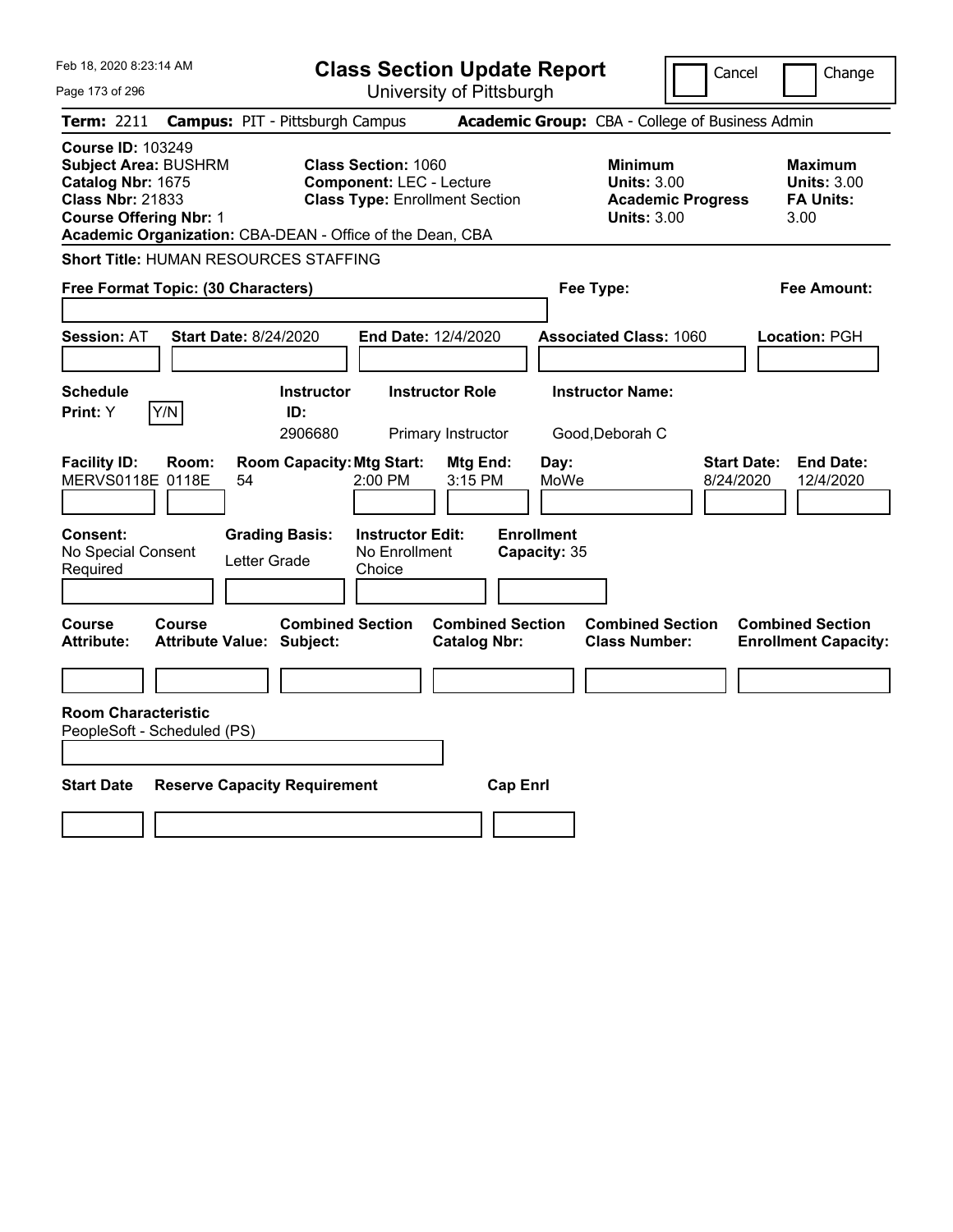| Feb 18, 2020 8:23:14 AM                                                                                                                                                                               |                                                                                                                    | <b>Class Section Update Report</b>                       |                                                                                        | Cancel<br>Change                                                 |
|-------------------------------------------------------------------------------------------------------------------------------------------------------------------------------------------------------|--------------------------------------------------------------------------------------------------------------------|----------------------------------------------------------|----------------------------------------------------------------------------------------|------------------------------------------------------------------|
| Page 173 of 296                                                                                                                                                                                       |                                                                                                                    | University of Pittsburgh                                 |                                                                                        |                                                                  |
| <b>Term: 2211</b>                                                                                                                                                                                     | <b>Campus: PIT - Pittsburgh Campus</b>                                                                             |                                                          | Academic Group: CBA - College of Business Admin                                        |                                                                  |
| <b>Course ID: 103249</b><br><b>Subject Area: BUSHRM</b><br>Catalog Nbr: 1675<br><b>Class Nbr: 21833</b><br><b>Course Offering Nbr: 1</b><br>Academic Organization: CBA-DEAN - Office of the Dean, CBA | <b>Class Section: 1060</b><br><b>Component: LEC - Lecture</b><br><b>Class Type: Enrollment Section</b>             |                                                          | <b>Minimum</b><br><b>Units: 3.00</b><br><b>Academic Progress</b><br><b>Units: 3.00</b> | <b>Maximum</b><br><b>Units: 3.00</b><br><b>FA Units:</b><br>3.00 |
| <b>Short Title: HUMAN RESOURCES STAFFING</b>                                                                                                                                                          |                                                                                                                    |                                                          |                                                                                        |                                                                  |
| Free Format Topic: (30 Characters)                                                                                                                                                                    |                                                                                                                    |                                                          | Fee Type:                                                                              | Fee Amount:                                                      |
| <b>Session: AT</b><br><b>Start Date: 8/24/2020</b>                                                                                                                                                    | <b>End Date: 12/4/2020</b>                                                                                         |                                                          | <b>Associated Class: 1060</b>                                                          | Location: PGH                                                    |
| <b>Schedule</b><br>Y/N<br>Print: Y                                                                                                                                                                    | <b>Instructor</b><br>ID:<br>2906680                                                                                | <b>Instructor Role</b><br>Primary Instructor             | <b>Instructor Name:</b><br>Good, Deborah C                                             |                                                                  |
| <b>Facility ID:</b><br>Room:<br>MERVS0118E 0118E<br>54<br>Consent:                                                                                                                                    | <b>Room Capacity: Mtg Start:</b><br>$2:00$ PM<br><b>Instructor Edit:</b><br><b>Grading Basis:</b><br>No Enrollment | Mtg End:<br>Day:<br>3:15 PM<br>MoWe<br><b>Enrollment</b> |                                                                                        | <b>End Date:</b><br><b>Start Date:</b><br>12/4/2020<br>8/24/2020 |
| No Special Consent<br>Required                                                                                                                                                                        | Letter Grade<br>Choice                                                                                             | Capacity: 35                                             |                                                                                        |                                                                  |
| Course<br>Course<br><b>Attribute:</b><br>Attribute Value: Subject:                                                                                                                                    | <b>Combined Section</b>                                                                                            | <b>Combined Section</b><br><b>Catalog Nbr:</b>           | <b>Combined Section</b><br><b>Class Number:</b>                                        | <b>Combined Section</b><br><b>Enrollment Capacity:</b>           |
|                                                                                                                                                                                                       |                                                                                                                    |                                                          |                                                                                        |                                                                  |
| <b>Room Characteristic</b><br>PeopleSoft - Scheduled (PS)                                                                                                                                             |                                                                                                                    |                                                          |                                                                                        |                                                                  |
| <b>Start Date</b>                                                                                                                                                                                     | <b>Reserve Capacity Requirement</b>                                                                                | <b>Cap Enrl</b>                                          |                                                                                        |                                                                  |
|                                                                                                                                                                                                       |                                                                                                                    |                                                          |                                                                                        |                                                                  |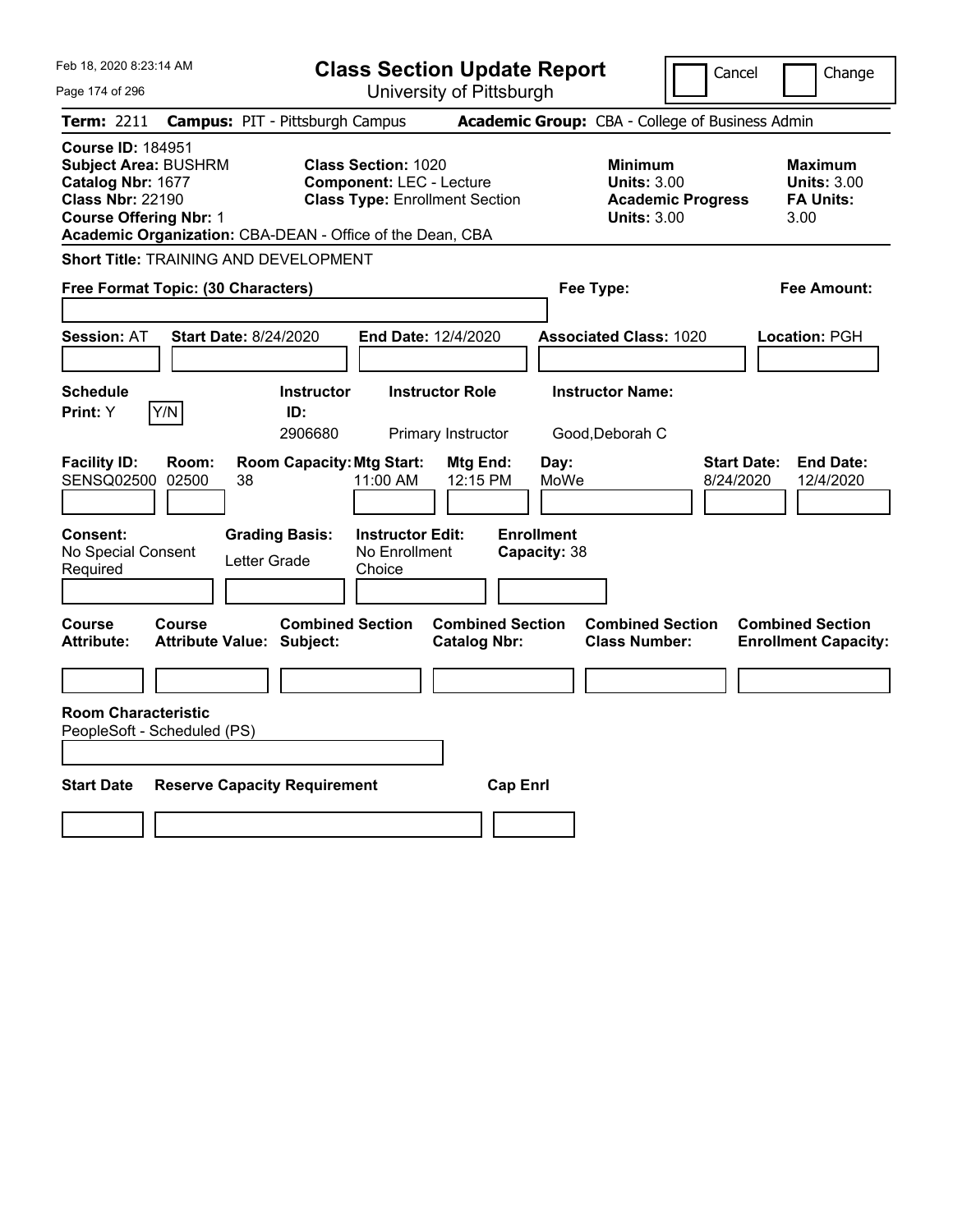| Feb 18, 2020 8:23:14 AM                                                                                                                                                                               | <b>Class Section Update Report</b>                                                                     |                                                |                                                                                        | Cancel<br>Change                                                 |
|-------------------------------------------------------------------------------------------------------------------------------------------------------------------------------------------------------|--------------------------------------------------------------------------------------------------------|------------------------------------------------|----------------------------------------------------------------------------------------|------------------------------------------------------------------|
| Page 174 of 296                                                                                                                                                                                       |                                                                                                        | University of Pittsburgh                       |                                                                                        |                                                                  |
| <b>Term: 2211</b>                                                                                                                                                                                     | <b>Campus: PIT - Pittsburgh Campus</b>                                                                 |                                                | Academic Group: CBA - College of Business Admin                                        |                                                                  |
| <b>Course ID: 184951</b><br><b>Subject Area: BUSHRM</b><br>Catalog Nbr: 1677<br><b>Class Nbr: 22190</b><br><b>Course Offering Nbr: 1</b><br>Academic Organization: CBA-DEAN - Office of the Dean, CBA | <b>Class Section: 1020</b><br><b>Component: LEC - Lecture</b><br><b>Class Type: Enrollment Section</b> |                                                | <b>Minimum</b><br><b>Units: 3.00</b><br><b>Academic Progress</b><br><b>Units: 3.00</b> | <b>Maximum</b><br><b>Units: 3.00</b><br><b>FA Units:</b><br>3.00 |
| <b>Short Title: TRAINING AND DEVELOPMENT</b>                                                                                                                                                          |                                                                                                        |                                                |                                                                                        |                                                                  |
| Free Format Topic: (30 Characters)                                                                                                                                                                    |                                                                                                        |                                                | Fee Type:                                                                              | Fee Amount:                                                      |
| <b>Session: AT</b><br><b>Start Date: 8/24/2020</b>                                                                                                                                                    | <b>End Date: 12/4/2020</b>                                                                             |                                                | <b>Associated Class: 1020</b>                                                          | Location: PGH                                                    |
| <b>Schedule</b><br>Y/N<br>Print: Y                                                                                                                                                                    | <b>Instructor Role</b><br><b>Instructor</b><br>ID:<br>2906680<br>Primary Instructor                    |                                                | <b>Instructor Name:</b><br>Good, Deborah C                                             |                                                                  |
| <b>Facility ID:</b><br>Room:<br>SENSQ02500 02500<br>38                                                                                                                                                | <b>Room Capacity: Mtg Start:</b><br>11:00 AM                                                           | Mtg End:<br>Day:<br>12:15 PM<br>MoWe           |                                                                                        | <b>End Date:</b><br><b>Start Date:</b><br>12/4/2020<br>8/24/2020 |
| Consent:<br>No Special Consent<br>Required                                                                                                                                                            | <b>Instructor Edit:</b><br><b>Grading Basis:</b><br>No Enrollment<br>Letter Grade<br>Choice            | <b>Enrollment</b><br>Capacity: 38              |                                                                                        |                                                                  |
| Course<br>Course<br><b>Attribute:</b><br>Attribute Value: Subject:                                                                                                                                    | <b>Combined Section</b>                                                                                | <b>Combined Section</b><br><b>Catalog Nbr:</b> | <b>Combined Section</b><br><b>Class Number:</b>                                        | <b>Combined Section</b><br><b>Enrollment Capacity:</b>           |
|                                                                                                                                                                                                       |                                                                                                        |                                                |                                                                                        |                                                                  |
| <b>Room Characteristic</b><br>PeopleSoft - Scheduled (PS)                                                                                                                                             |                                                                                                        |                                                |                                                                                        |                                                                  |
| <b>Start Date</b>                                                                                                                                                                                     | <b>Reserve Capacity Requirement</b>                                                                    | <b>Cap Enrl</b>                                |                                                                                        |                                                                  |
|                                                                                                                                                                                                       |                                                                                                        |                                                |                                                                                        |                                                                  |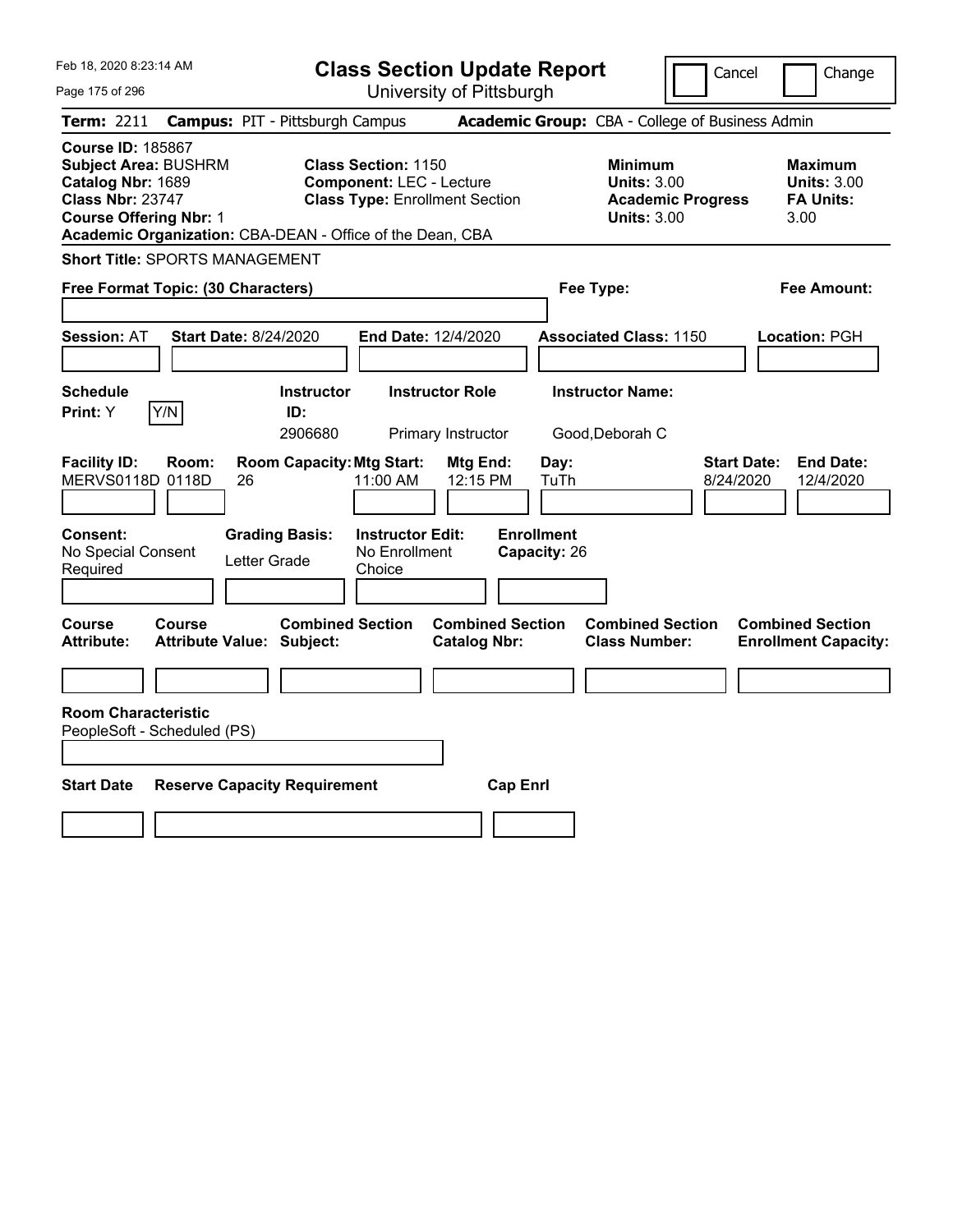| Feb 18, 2020 8:23:14 AM                                                                                                                                                                               | <b>Class Section Update Report</b>                                                                     |                                                |                                                                                        | Cancel<br>Change                                                 |
|-------------------------------------------------------------------------------------------------------------------------------------------------------------------------------------------------------|--------------------------------------------------------------------------------------------------------|------------------------------------------------|----------------------------------------------------------------------------------------|------------------------------------------------------------------|
| Page 175 of 296                                                                                                                                                                                       |                                                                                                        | University of Pittsburgh                       |                                                                                        |                                                                  |
| <b>Term: 2211</b>                                                                                                                                                                                     | <b>Campus: PIT - Pittsburgh Campus</b>                                                                 |                                                | Academic Group: CBA - College of Business Admin                                        |                                                                  |
| <b>Course ID: 185867</b><br><b>Subject Area: BUSHRM</b><br>Catalog Nbr: 1689<br><b>Class Nbr: 23747</b><br><b>Course Offering Nbr: 1</b><br>Academic Organization: CBA-DEAN - Office of the Dean, CBA | <b>Class Section: 1150</b><br><b>Component: LEC - Lecture</b><br><b>Class Type: Enrollment Section</b> |                                                | <b>Minimum</b><br><b>Units: 3.00</b><br><b>Academic Progress</b><br><b>Units: 3.00</b> | <b>Maximum</b><br><b>Units: 3.00</b><br><b>FA Units:</b><br>3.00 |
| <b>Short Title: SPORTS MANAGEMENT</b>                                                                                                                                                                 |                                                                                                        |                                                |                                                                                        |                                                                  |
| Free Format Topic: (30 Characters)                                                                                                                                                                    |                                                                                                        |                                                | Fee Type:                                                                              | Fee Amount:                                                      |
| <b>Session: AT</b><br><b>Start Date: 8/24/2020</b>                                                                                                                                                    | <b>End Date: 12/4/2020</b>                                                                             |                                                | <b>Associated Class: 1150</b>                                                          | Location: PGH                                                    |
| <b>Schedule</b><br>Y/N<br>Print: Y                                                                                                                                                                    | <b>Instructor</b><br>ID:<br>2906680                                                                    | <b>Instructor Role</b><br>Primary Instructor   | <b>Instructor Name:</b><br>Good, Deborah C                                             |                                                                  |
| <b>Facility ID:</b><br>Room:<br>MERVS0118D 0118D<br>26                                                                                                                                                | <b>Room Capacity: Mtg Start:</b><br>11:00 AM                                                           | Mtg End:<br>12:15 PM                           | Day:<br>TuTh                                                                           | <b>End Date:</b><br><b>Start Date:</b><br>12/4/2020<br>8/24/2020 |
| Consent:<br>No Special Consent<br>Required                                                                                                                                                            | <b>Instructor Edit:</b><br><b>Grading Basis:</b><br>No Enrollment<br>Letter Grade<br>Choice            | <b>Enrollment</b><br>Capacity: 26              |                                                                                        |                                                                  |
| Course<br>Course<br><b>Attribute:</b><br>Attribute Value: Subject:                                                                                                                                    | <b>Combined Section</b>                                                                                | <b>Combined Section</b><br><b>Catalog Nbr:</b> | <b>Combined Section</b><br><b>Class Number:</b>                                        | <b>Combined Section</b><br><b>Enrollment Capacity:</b>           |
|                                                                                                                                                                                                       |                                                                                                        |                                                |                                                                                        |                                                                  |
| <b>Room Characteristic</b><br>PeopleSoft - Scheduled (PS)                                                                                                                                             |                                                                                                        |                                                |                                                                                        |                                                                  |
| <b>Start Date</b>                                                                                                                                                                                     | <b>Reserve Capacity Requirement</b>                                                                    | <b>Cap Enrl</b>                                |                                                                                        |                                                                  |
|                                                                                                                                                                                                       |                                                                                                        |                                                |                                                                                        |                                                                  |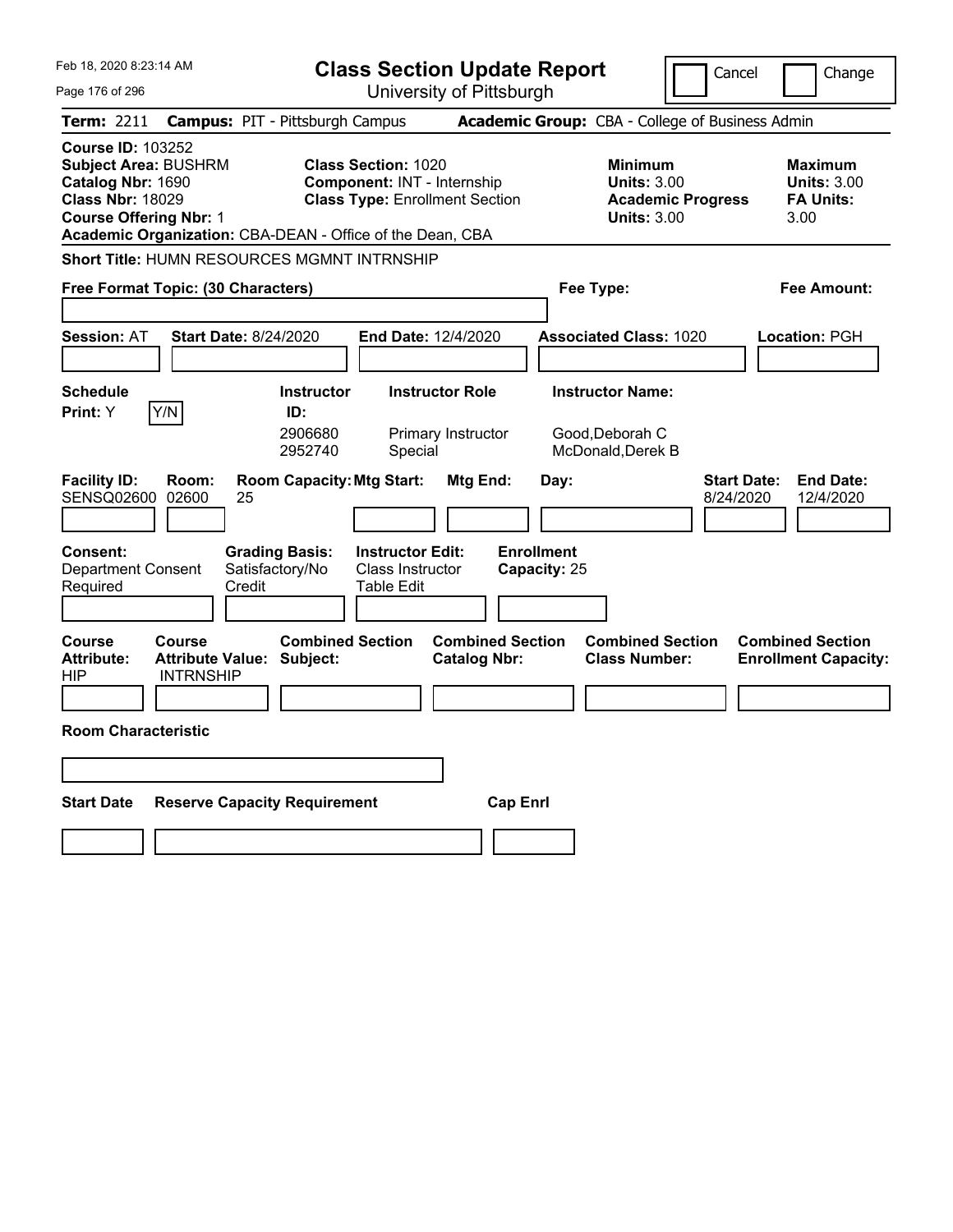| Feb 18, 2020 8:23:14 AM                                                                                                                                                                               | <b>Class Section Update Report</b>                                                                 |                                                                                        | Cancel<br>Change                                                 |
|-------------------------------------------------------------------------------------------------------------------------------------------------------------------------------------------------------|----------------------------------------------------------------------------------------------------|----------------------------------------------------------------------------------------|------------------------------------------------------------------|
| Page 176 of 296                                                                                                                                                                                       | University of Pittsburgh                                                                           |                                                                                        |                                                                  |
| Term: 2211                                                                                                                                                                                            | <b>Campus: PIT - Pittsburgh Campus</b>                                                             | Academic Group: CBA - College of Business Admin                                        |                                                                  |
| <b>Course ID: 103252</b><br><b>Subject Area: BUSHRM</b><br>Catalog Nbr: 1690<br><b>Class Nbr: 18029</b><br><b>Course Offering Nbr: 1</b><br>Academic Organization: CBA-DEAN - Office of the Dean, CBA | <b>Class Section: 1020</b><br>Component: INT - Internship<br><b>Class Type: Enrollment Section</b> | <b>Minimum</b><br><b>Units: 3.00</b><br><b>Academic Progress</b><br><b>Units: 3.00</b> | <b>Maximum</b><br><b>Units: 3.00</b><br><b>FA Units:</b><br>3.00 |
| Short Title: HUMN RESOURCES MGMNT INTRNSHIP                                                                                                                                                           |                                                                                                    |                                                                                        |                                                                  |
| Free Format Topic: (30 Characters)                                                                                                                                                                    |                                                                                                    | Fee Type:                                                                              | Fee Amount:                                                      |
|                                                                                                                                                                                                       |                                                                                                    |                                                                                        |                                                                  |
| <b>Session: AT</b><br><b>Start Date: 8/24/2020</b>                                                                                                                                                    | End Date: 12/4/2020                                                                                | <b>Associated Class: 1020</b>                                                          | Location: PGH                                                    |
|                                                                                                                                                                                                       |                                                                                                    |                                                                                        |                                                                  |
| <b>Schedule</b>                                                                                                                                                                                       | <b>Instructor Role</b><br><b>Instructor</b>                                                        | <b>Instructor Name:</b>                                                                |                                                                  |
| Y/N<br>Print: Y                                                                                                                                                                                       | ID:<br>2906680<br>Primary Instructor<br>2952740<br>Special                                         | Good, Deborah C<br>McDonald, Derek B                                                   |                                                                  |
| <b>Facility ID:</b><br>Room:<br><b>SENSQ02600</b><br>02600<br>25                                                                                                                                      | <b>Room Capacity: Mtg Start:</b><br>Mtg End:                                                       | Day:                                                                                   | <b>End Date:</b><br><b>Start Date:</b><br>8/24/2020<br>12/4/2020 |
| <b>Consent:</b><br><b>Grading Basis:</b><br><b>Department Consent</b><br>Satisfactory/No<br>Required<br>Credit                                                                                        | <b>Instructor Edit:</b><br>Class Instructor<br>Table Edit                                          | <b>Enrollment</b><br>Capacity: 25                                                      |                                                                  |
| Course<br>Course<br><b>Attribute:</b><br><b>Attribute Value: Subject:</b><br>HIP<br><b>INTRNSHIP</b>                                                                                                  | <b>Combined Section</b><br><b>Combined Section</b><br><b>Catalog Nbr:</b>                          | <b>Combined Section</b><br><b>Class Number:</b>                                        | <b>Combined Section</b><br><b>Enrollment Capacity:</b>           |
|                                                                                                                                                                                                       |                                                                                                    |                                                                                        |                                                                  |
| <b>Room Characteristic</b>                                                                                                                                                                            |                                                                                                    |                                                                                        |                                                                  |
|                                                                                                                                                                                                       |                                                                                                    |                                                                                        |                                                                  |
|                                                                                                                                                                                                       |                                                                                                    |                                                                                        |                                                                  |
| <b>Start Date</b><br><b>Reserve Capacity Requirement</b>                                                                                                                                              |                                                                                                    | <b>Cap Enrl</b>                                                                        |                                                                  |
|                                                                                                                                                                                                       |                                                                                                    |                                                                                        |                                                                  |
|                                                                                                                                                                                                       |                                                                                                    |                                                                                        |                                                                  |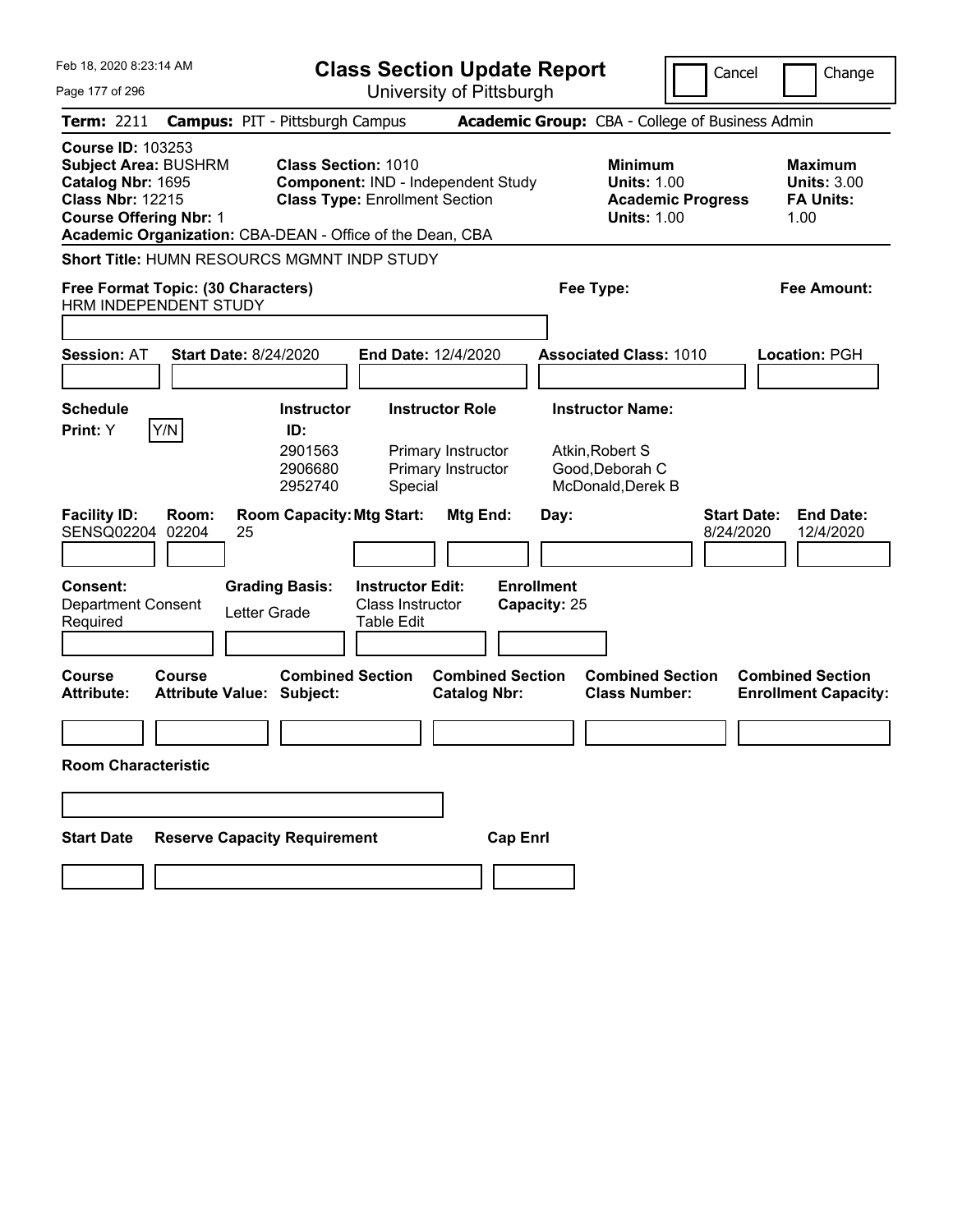| Feb 18, 2020 8:23:14 AM                                                                                                                                                                               |                                                             | <b>Class Section Update Report</b>                                                                        |                                   |                                                                                        | Cancel<br>Change                                                 |
|-------------------------------------------------------------------------------------------------------------------------------------------------------------------------------------------------------|-------------------------------------------------------------|-----------------------------------------------------------------------------------------------------------|-----------------------------------|----------------------------------------------------------------------------------------|------------------------------------------------------------------|
| Page 177 of 296                                                                                                                                                                                       |                                                             | University of Pittsburgh                                                                                  |                                   |                                                                                        |                                                                  |
| <b>Term: 2211</b>                                                                                                                                                                                     | <b>Campus: PIT - Pittsburgh Campus</b>                      |                                                                                                           |                                   | <b>Academic Group:</b> CBA - College of Business Admin                                 |                                                                  |
| <b>Course ID: 103253</b><br><b>Subject Area: BUSHRM</b><br>Catalog Nbr: 1695<br><b>Class Nbr: 12215</b><br><b>Course Offering Nbr: 1</b><br>Academic Organization: CBA-DEAN - Office of the Dean, CBA |                                                             | <b>Class Section: 1010</b><br>Component: IND - Independent Study<br><b>Class Type: Enrollment Section</b> |                                   | <b>Minimum</b><br><b>Units: 1.00</b><br><b>Academic Progress</b><br><b>Units: 1.00</b> | <b>Maximum</b><br><b>Units: 3.00</b><br><b>FA Units:</b><br>1.00 |
| <b>Short Title: HUMN RESOURCS MGMNT INDP STUDY</b>                                                                                                                                                    |                                                             |                                                                                                           |                                   |                                                                                        |                                                                  |
| Free Format Topic: (30 Characters)                                                                                                                                                                    |                                                             |                                                                                                           |                                   | Fee Type:                                                                              | Fee Amount:                                                      |
| HRM INDEPENDENT STUDY                                                                                                                                                                                 |                                                             |                                                                                                           |                                   |                                                                                        |                                                                  |
| <b>Session: AT</b>                                                                                                                                                                                    | <b>Start Date: 8/24/2020</b>                                | <b>End Date: 12/4/2020</b>                                                                                |                                   | <b>Associated Class: 1010</b>                                                          | Location: PGH                                                    |
| <b>Schedule</b><br>Y/N<br>Print: Y                                                                                                                                                                    | <b>Instructor</b><br>ID:<br>2901563<br>2906680<br>2952740   | <b>Instructor Role</b><br>Primary Instructor<br>Primary Instructor<br>Special                             |                                   | <b>Instructor Name:</b><br>Atkin, Robert S<br>Good, Deborah C<br>McDonald, Derek B     |                                                                  |
| <b>Facility ID:</b><br>Room:<br>SENSQ02204<br>02204                                                                                                                                                   | <b>Room Capacity: Mtg Start:</b><br>25                      | Mtg End:                                                                                                  | Day:                              |                                                                                        | <b>Start Date:</b><br><b>End Date:</b><br>8/24/2020<br>12/4/2020 |
| <b>Consent:</b><br><b>Department Consent</b><br>Required                                                                                                                                              | <b>Grading Basis:</b><br>Letter Grade                       | <b>Instructor Edit:</b><br>Class Instructor<br>Table Edit                                                 | <b>Enrollment</b><br>Capacity: 25 |                                                                                        |                                                                  |
| Course<br>Course<br><b>Attribute:</b>                                                                                                                                                                 | <b>Combined Section</b><br><b>Attribute Value: Subject:</b> | <b>Catalog Nbr:</b>                                                                                       | <b>Combined Section</b>           | <b>Combined Section</b><br><b>Class Number:</b>                                        | <b>Combined Section</b><br><b>Enrollment Capacity:</b>           |
|                                                                                                                                                                                                       |                                                             |                                                                                                           |                                   |                                                                                        |                                                                  |
| <b>Room Characteristic</b>                                                                                                                                                                            |                                                             |                                                                                                           |                                   |                                                                                        |                                                                  |
|                                                                                                                                                                                                       |                                                             |                                                                                                           |                                   |                                                                                        |                                                                  |
| <b>Start Date</b>                                                                                                                                                                                     | <b>Reserve Capacity Requirement</b>                         |                                                                                                           | <b>Cap Enrl</b>                   |                                                                                        |                                                                  |
|                                                                                                                                                                                                       |                                                             |                                                                                                           |                                   |                                                                                        |                                                                  |
|                                                                                                                                                                                                       |                                                             |                                                                                                           |                                   |                                                                                        |                                                                  |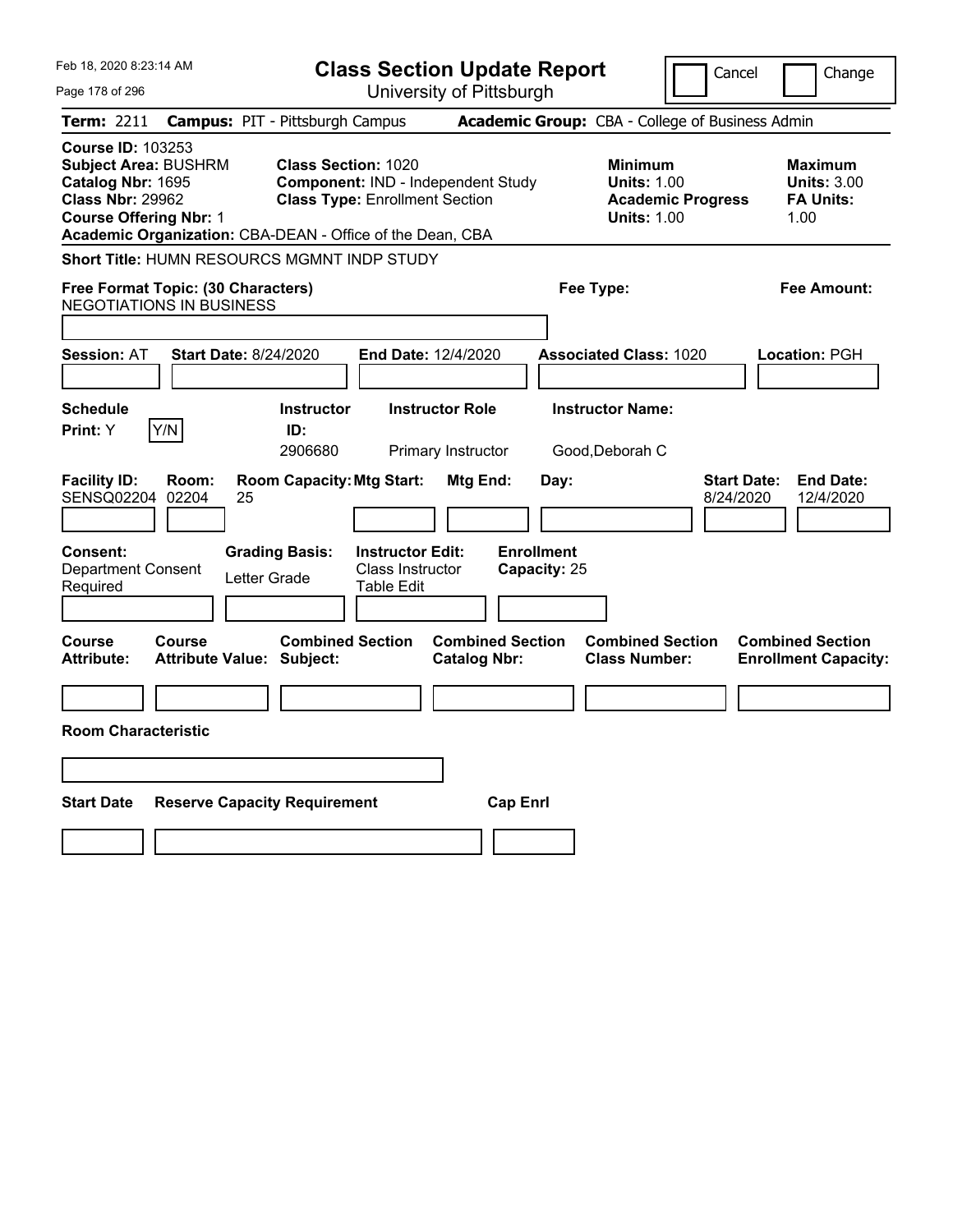| Feb 18, 2020 8:23:14 AM                                                                                                                                                                               | <b>Class Section Update Report</b>                                                                                                                                   | Cancel                                                                                 | Change                                                           |
|-------------------------------------------------------------------------------------------------------------------------------------------------------------------------------------------------------|----------------------------------------------------------------------------------------------------------------------------------------------------------------------|----------------------------------------------------------------------------------------|------------------------------------------------------------------|
| Page 178 of 296                                                                                                                                                                                       | University of Pittsburgh                                                                                                                                             |                                                                                        |                                                                  |
| <b>Term: 2211</b>                                                                                                                                                                                     | <b>Campus: PIT - Pittsburgh Campus</b>                                                                                                                               | <b>Academic Group:</b> CBA - College of Business Admin                                 |                                                                  |
| <b>Course ID: 103253</b><br><b>Subject Area: BUSHRM</b><br>Catalog Nbr: 1695<br><b>Class Nbr: 29962</b><br><b>Course Offering Nbr: 1</b><br>Academic Organization: CBA-DEAN - Office of the Dean, CBA | <b>Class Section: 1020</b><br>Component: IND - Independent Study<br><b>Class Type: Enrollment Section</b>                                                            | <b>Minimum</b><br><b>Units: 1.00</b><br><b>Academic Progress</b><br><b>Units: 1.00</b> | <b>Maximum</b><br><b>Units: 3.00</b><br><b>FA Units:</b><br>1.00 |
| <b>Short Title: HUMN RESOURCS MGMNT INDP STUDY</b>                                                                                                                                                    |                                                                                                                                                                      |                                                                                        |                                                                  |
| Free Format Topic: (30 Characters)<br><b>NEGOTIATIONS IN BUSINESS</b>                                                                                                                                 |                                                                                                                                                                      | Fee Type:                                                                              | Fee Amount:                                                      |
| <b>Start Date: 8/24/2020</b><br><b>Session: AT</b>                                                                                                                                                    | End Date: 12/4/2020                                                                                                                                                  | <b>Associated Class: 1020</b>                                                          | Location: PGH                                                    |
| <b>Schedule</b><br>Y/N<br>Print: Y                                                                                                                                                                    | <b>Instructor</b><br><b>Instructor Role</b><br>ID:<br>2906680<br>Primary Instructor                                                                                  | <b>Instructor Name:</b><br>Good, Deborah C                                             |                                                                  |
| <b>Facility ID:</b><br>Room:<br><b>SENSQ02204</b><br>02204<br>25<br>Consent:<br><b>Grading Basis:</b><br><b>Department Consent</b><br>Letter Grade<br>Required                                        | <b>Room Capacity: Mtg Start:</b><br>Mtg End:<br>Day:<br><b>Enrollment</b><br><b>Instructor Edit:</b><br><b>Class Instructor</b><br>Capacity: 25<br><b>Table Edit</b> | <b>Start Date:</b><br>8/24/2020                                                        | <b>End Date:</b><br>12/4/2020                                    |
| Course<br>Course<br><b>Attribute:</b><br><b>Attribute Value: Subject:</b>                                                                                                                             | <b>Combined Section</b><br><b>Combined Section</b><br><b>Catalog Nbr:</b>                                                                                            | <b>Combined Section</b><br><b>Class Number:</b>                                        | <b>Combined Section</b><br><b>Enrollment Capacity:</b>           |
|                                                                                                                                                                                                       |                                                                                                                                                                      |                                                                                        |                                                                  |
| <b>Room Characteristic</b>                                                                                                                                                                            |                                                                                                                                                                      |                                                                                        |                                                                  |
|                                                                                                                                                                                                       |                                                                                                                                                                      |                                                                                        |                                                                  |
| <b>Reserve Capacity Requirement</b><br><b>Start Date</b>                                                                                                                                              |                                                                                                                                                                      |                                                                                        |                                                                  |
|                                                                                                                                                                                                       | <b>Cap Enrl</b>                                                                                                                                                      |                                                                                        |                                                                  |
|                                                                                                                                                                                                       |                                                                                                                                                                      |                                                                                        |                                                                  |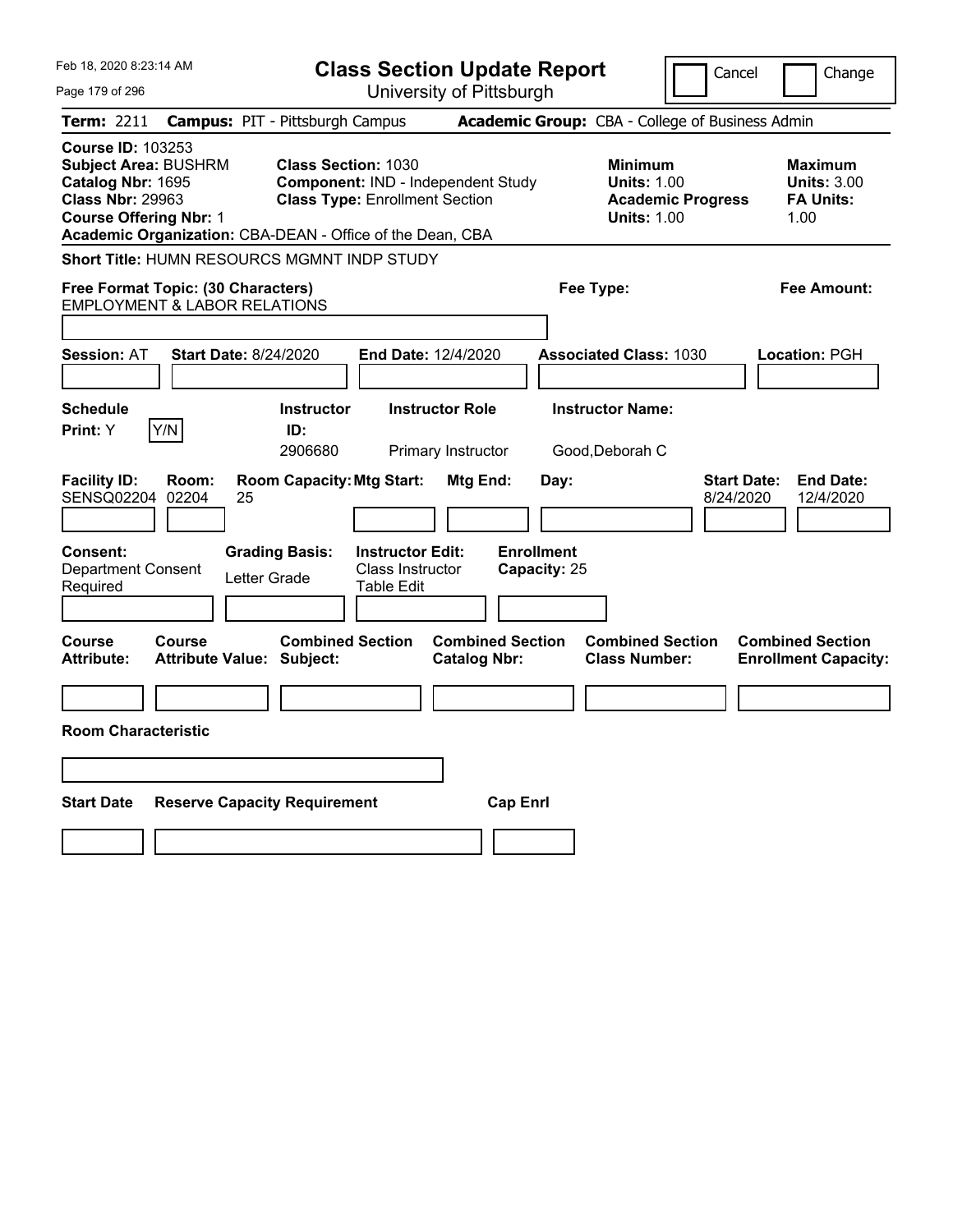| Feb 18, 2020 8:23:14 AM                                                                                                                  | <b>Class Section Update Report</b>                                                                                                                                                            | Cancel                                                                                 | Change                                                           |
|------------------------------------------------------------------------------------------------------------------------------------------|-----------------------------------------------------------------------------------------------------------------------------------------------------------------------------------------------|----------------------------------------------------------------------------------------|------------------------------------------------------------------|
| Page 179 of 296                                                                                                                          | University of Pittsburgh                                                                                                                                                                      |                                                                                        |                                                                  |
| <b>Term: 2211</b>                                                                                                                        | <b>Campus: PIT - Pittsburgh Campus</b>                                                                                                                                                        | <b>Academic Group:</b> CBA - College of Business Admin                                 |                                                                  |
| <b>Course ID: 103253</b><br><b>Subject Area: BUSHRM</b><br>Catalog Nbr: 1695<br><b>Class Nbr: 29963</b><br><b>Course Offering Nbr: 1</b> | <b>Class Section: 1030</b><br>Component: IND - Independent Study<br><b>Class Type: Enrollment Section</b><br>Academic Organization: CBA-DEAN - Office of the Dean, CBA                        | <b>Minimum</b><br><b>Units: 1.00</b><br><b>Academic Progress</b><br><b>Units: 1.00</b> | <b>Maximum</b><br><b>Units: 3.00</b><br><b>FA Units:</b><br>1.00 |
| <b>Short Title: HUMN RESOURCS MGMNT INDP STUDY</b>                                                                                       |                                                                                                                                                                                               |                                                                                        |                                                                  |
| Free Format Topic: (30 Characters)<br><b>EMPLOYMENT &amp; LABOR RELATIONS</b>                                                            |                                                                                                                                                                                               | Fee Type:                                                                              | Fee Amount:                                                      |
| <b>Start Date: 8/24/2020</b><br><b>Session: AT</b>                                                                                       | <b>End Date: 12/4/2020</b>                                                                                                                                                                    | <b>Associated Class: 1030</b>                                                          | Location: PGH                                                    |
| <b>Schedule</b><br>Y/N<br>Print: Y                                                                                                       | <b>Instructor</b><br><b>Instructor Role</b><br>ID:<br>2906680<br>Primary Instructor                                                                                                           | <b>Instructor Name:</b><br>Good, Deborah C                                             |                                                                  |
| <b>Facility ID:</b><br>Room:<br><b>SENSQ02204</b><br>02204<br>25<br>Consent:<br><b>Department Consent</b><br>Letter Grade<br>Required    | <b>Room Capacity: Mtg Start:</b><br>Mtg End:<br>Day:<br><b>Enrollment</b><br><b>Grading Basis:</b><br><b>Instructor Edit:</b><br><b>Class Instructor</b><br>Capacity: 25<br><b>Table Edit</b> | <b>Start Date:</b><br>8/24/2020                                                        | <b>End Date:</b><br>12/4/2020                                    |
| Course<br>Course<br><b>Attribute:</b><br><b>Attribute Value: Subject:</b>                                                                | <b>Combined Section</b><br><b>Combined Section</b><br><b>Catalog Nbr:</b>                                                                                                                     | <b>Combined Section</b><br><b>Class Number:</b>                                        | <b>Combined Section</b><br><b>Enrollment Capacity:</b>           |
| <b>Room Characteristic</b>                                                                                                               |                                                                                                                                                                                               |                                                                                        |                                                                  |
|                                                                                                                                          |                                                                                                                                                                                               |                                                                                        |                                                                  |
| <b>Reserve Capacity Requirement</b><br><b>Start Date</b>                                                                                 | <b>Cap Enrl</b>                                                                                                                                                                               |                                                                                        |                                                                  |
|                                                                                                                                          |                                                                                                                                                                                               |                                                                                        |                                                                  |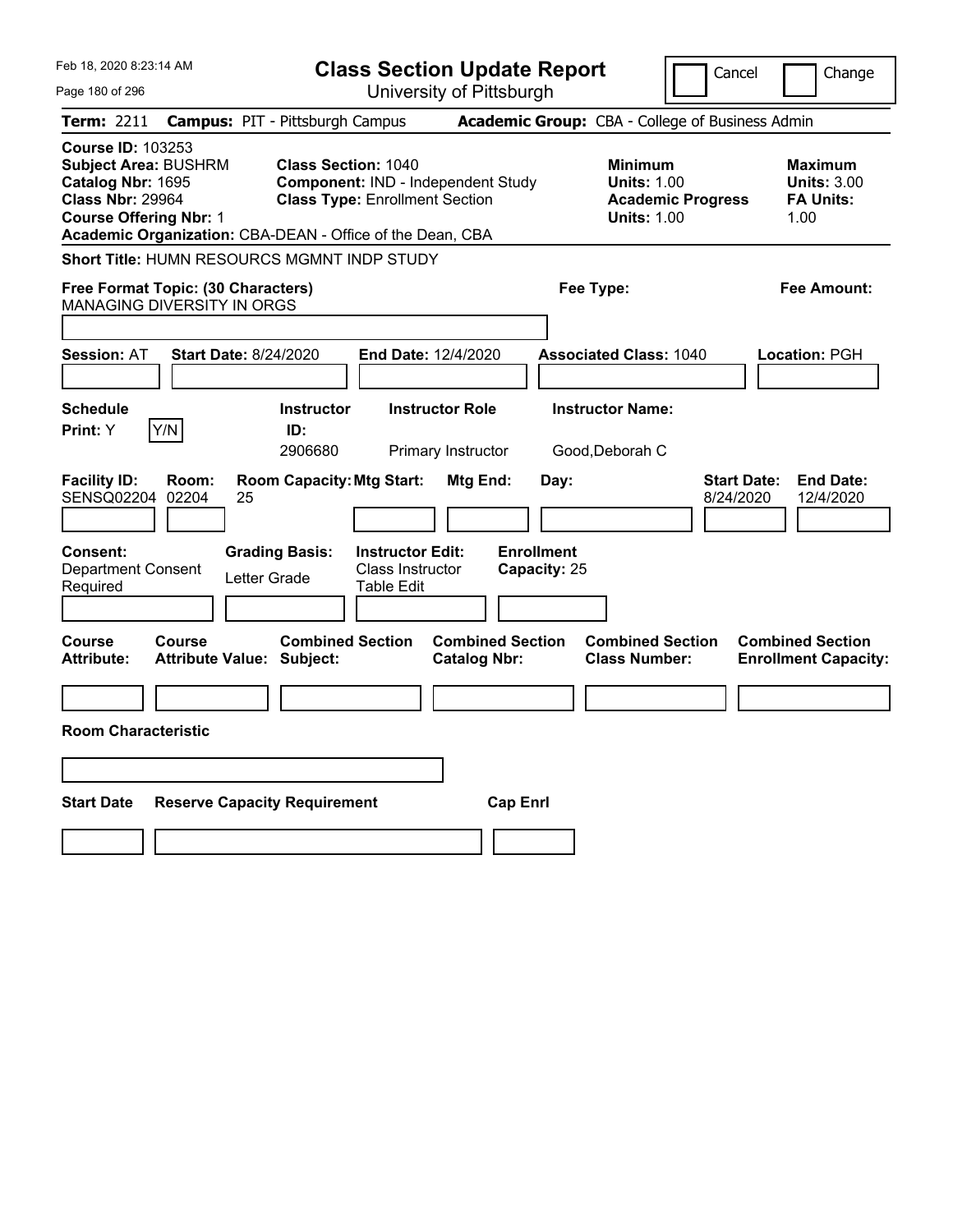| Feb 18, 2020 8:23:14 AM                                                                                                                  | <b>Class Section Update Report</b>                                                                                                                                     | Cancel                                                                                 | Change                                                           |
|------------------------------------------------------------------------------------------------------------------------------------------|------------------------------------------------------------------------------------------------------------------------------------------------------------------------|----------------------------------------------------------------------------------------|------------------------------------------------------------------|
| Page 180 of 296                                                                                                                          | University of Pittsburgh                                                                                                                                               |                                                                                        |                                                                  |
| <b>Term: 2211</b>                                                                                                                        | <b>Campus: PIT - Pittsburgh Campus</b>                                                                                                                                 | <b>Academic Group:</b> CBA - College of Business Admin                                 |                                                                  |
| <b>Course ID: 103253</b><br><b>Subject Area: BUSHRM</b><br>Catalog Nbr: 1695<br><b>Class Nbr: 29964</b><br><b>Course Offering Nbr: 1</b> | <b>Class Section: 1040</b><br>Component: IND - Independent Study<br><b>Class Type: Enrollment Section</b><br>Academic Organization: CBA-DEAN - Office of the Dean, CBA | <b>Minimum</b><br><b>Units: 1.00</b><br><b>Academic Progress</b><br><b>Units: 1.00</b> | <b>Maximum</b><br><b>Units: 3.00</b><br><b>FA Units:</b><br>1.00 |
| <b>Short Title: HUMN RESOURCS MGMNT INDP STUDY</b>                                                                                       |                                                                                                                                                                        |                                                                                        |                                                                  |
| Free Format Topic: (30 Characters)<br><b>MANAGING DIVERSITY IN ORGS</b>                                                                  |                                                                                                                                                                        | Fee Type:                                                                              | Fee Amount:                                                      |
| <b>Start Date: 8/24/2020</b><br><b>Session: AT</b>                                                                                       | <b>End Date: 12/4/2020</b>                                                                                                                                             | <b>Associated Class: 1040</b>                                                          | Location: PGH                                                    |
| <b>Schedule</b><br>Y/N<br>Print: Y                                                                                                       | <b>Instructor</b><br><b>Instructor Role</b><br>ID:<br>2906680<br>Primary Instructor                                                                                    | <b>Instructor Name:</b><br>Good, Deborah C                                             |                                                                  |
| <b>Facility ID:</b><br>Room:<br><b>SENSQ02204</b><br>02204<br>25<br>Consent:                                                             | <b>Room Capacity: Mtg Start:</b><br>Mtg End:<br>Day:<br><b>Enrollment</b><br><b>Grading Basis:</b><br><b>Instructor Edit:</b>                                          | <b>Start Date:</b><br>8/24/2020                                                        | <b>End Date:</b><br>12/4/2020                                    |
| Department Consent<br>Letter Grade<br>Required                                                                                           | <b>Class Instructor</b><br>Capacity: 25<br><b>Table Edit</b>                                                                                                           |                                                                                        |                                                                  |
| Course<br>Course<br><b>Attribute:</b><br><b>Attribute Value: Subject:</b>                                                                | <b>Combined Section</b><br><b>Combined Section</b><br><b>Catalog Nbr:</b>                                                                                              | <b>Combined Section</b><br><b>Class Number:</b>                                        | <b>Combined Section</b><br><b>Enrollment Capacity:</b>           |
|                                                                                                                                          |                                                                                                                                                                        |                                                                                        |                                                                  |
| <b>Room Characteristic</b>                                                                                                               |                                                                                                                                                                        |                                                                                        |                                                                  |
|                                                                                                                                          |                                                                                                                                                                        |                                                                                        |                                                                  |
| <b>Reserve Capacity Requirement</b><br><b>Start Date</b>                                                                                 | <b>Cap Enrl</b>                                                                                                                                                        |                                                                                        |                                                                  |
|                                                                                                                                          |                                                                                                                                                                        |                                                                                        |                                                                  |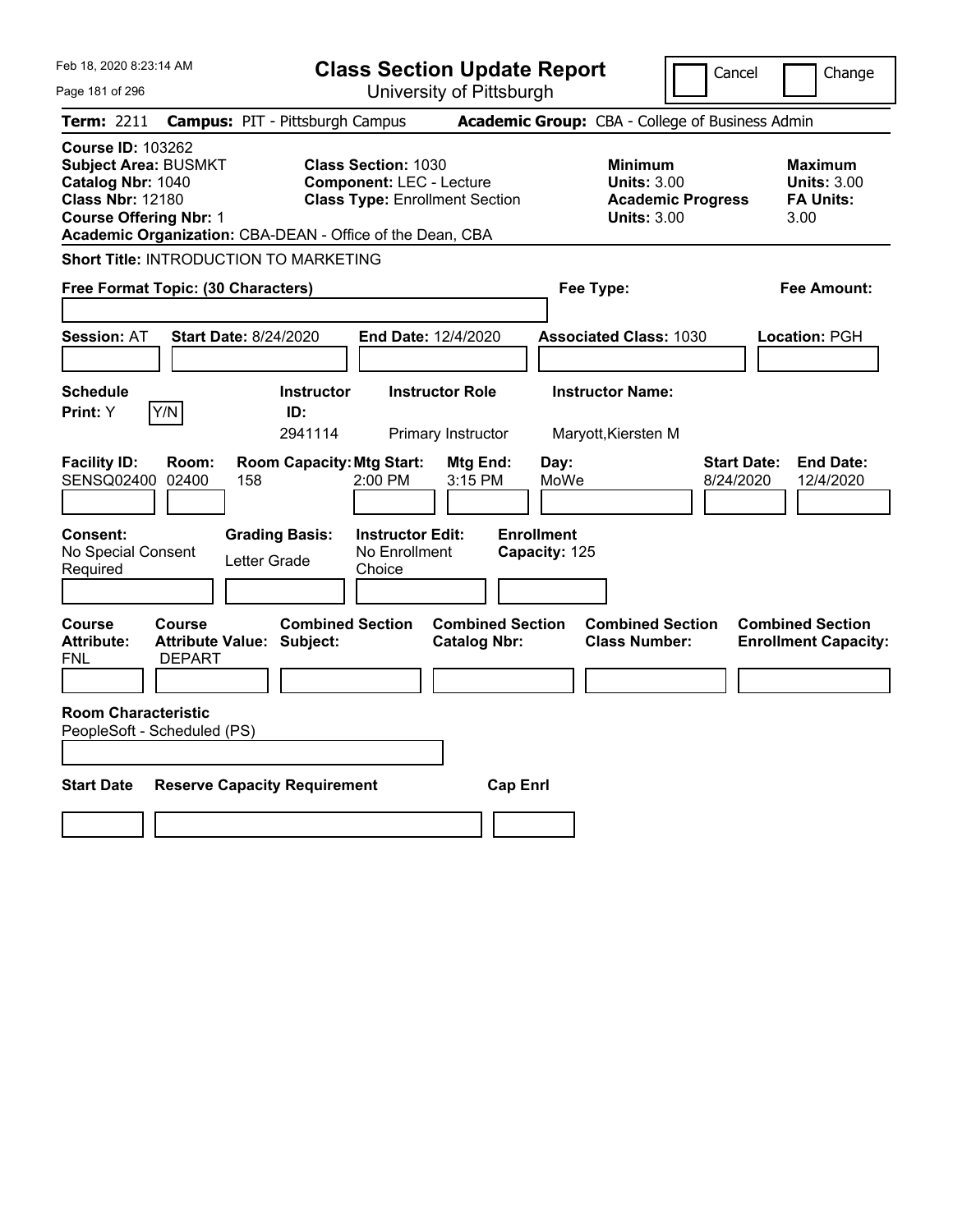| Feb 18, 2020 8:23:14 AM                                                                                                                                                                               | <b>Class Section Update Report</b>                                                                     |                                                                                                   | Cancel<br>Change                                                                             |
|-------------------------------------------------------------------------------------------------------------------------------------------------------------------------------------------------------|--------------------------------------------------------------------------------------------------------|---------------------------------------------------------------------------------------------------|----------------------------------------------------------------------------------------------|
| Page 181 of 296                                                                                                                                                                                       | University of Pittsburgh                                                                               |                                                                                                   |                                                                                              |
| Term: 2211                                                                                                                                                                                            | <b>Campus: PIT - Pittsburgh Campus</b>                                                                 | Academic Group: CBA - College of Business Admin                                                   |                                                                                              |
| <b>Course ID: 103262</b><br><b>Subject Area: BUSMKT</b><br>Catalog Nbr: 1040<br><b>Class Nbr: 12180</b><br><b>Course Offering Nbr: 1</b><br>Academic Organization: CBA-DEAN - Office of the Dean, CBA | <b>Class Section: 1030</b><br><b>Component: LEC - Lecture</b><br><b>Class Type: Enrollment Section</b> | <b>Minimum</b><br><b>Units: 3.00</b><br><b>Units: 3.00</b>                                        | <b>Maximum</b><br><b>Units: 3.00</b><br><b>Academic Progress</b><br><b>FA Units:</b><br>3.00 |
| <b>Short Title: INTRODUCTION TO MARKETING</b>                                                                                                                                                         |                                                                                                        |                                                                                                   |                                                                                              |
| Free Format Topic: (30 Characters)                                                                                                                                                                    |                                                                                                        | Fee Type:                                                                                         | Fee Amount:                                                                                  |
| <b>Start Date: 8/24/2020</b><br><b>Session: AT</b>                                                                                                                                                    | End Date: 12/4/2020                                                                                    | <b>Associated Class: 1030</b>                                                                     | Location: PGH                                                                                |
| <b>Schedule</b><br>Y/N<br>Print: Y                                                                                                                                                                    | <b>Instructor Role</b><br><b>Instructor</b><br>ID:<br>2941114<br>Primary Instructor                    | <b>Instructor Name:</b><br>Maryott, Kiersten M                                                    |                                                                                              |
| <b>Facility ID:</b><br>Room:<br>SENSQ02400 02400<br>158                                                                                                                                               | <b>Room Capacity: Mtg Start:</b><br>$2:00$ PM                                                          | Mtg End:<br>Day:<br>3:15 PM<br>MoWe                                                               | <b>End Date:</b><br><b>Start Date:</b><br>8/24/2020<br>12/4/2020                             |
| Consent:<br>No Special Consent<br>Letter Grade<br>Required                                                                                                                                            | <b>Grading Basis:</b><br><b>Instructor Edit:</b><br>No Enrollment<br>Choice                            | <b>Enrollment</b><br>Capacity: 125                                                                |                                                                                              |
| Course<br><b>Course</b><br><b>Attribute:</b><br><b>Attribute Value: Subject:</b><br>FNL<br><b>DEPART</b>                                                                                              | <b>Combined Section</b>                                                                                | <b>Combined Section</b><br><b>Combined Section</b><br><b>Catalog Nbr:</b><br><b>Class Number:</b> | <b>Combined Section</b><br><b>Enrollment Capacity:</b>                                       |
|                                                                                                                                                                                                       |                                                                                                        |                                                                                                   |                                                                                              |
| <b>Room Characteristic</b><br>PeopleSoft - Scheduled (PS)                                                                                                                                             |                                                                                                        |                                                                                                   |                                                                                              |
| <b>Start Date</b><br><b>Reserve Capacity Requirement</b>                                                                                                                                              |                                                                                                        | <b>Cap Enrl</b>                                                                                   |                                                                                              |
|                                                                                                                                                                                                       |                                                                                                        |                                                                                                   |                                                                                              |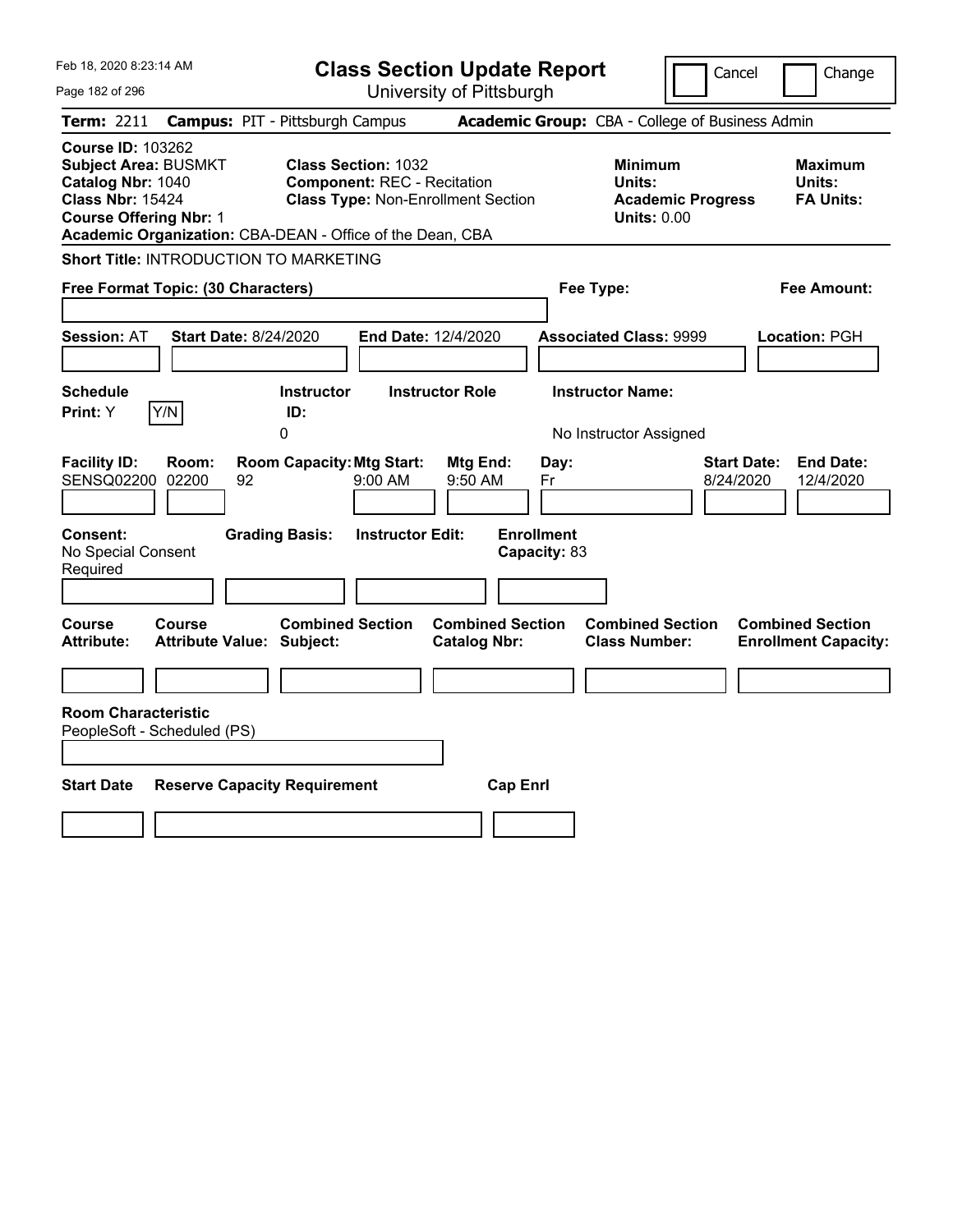| Feb 18, 2020 8:23:14 AM                                                                                                                                                                               |                                                                                                               | <b>Class Section Update Report</b>             | Cancel                                                                     | Change                                                           |
|-------------------------------------------------------------------------------------------------------------------------------------------------------------------------------------------------------|---------------------------------------------------------------------------------------------------------------|------------------------------------------------|----------------------------------------------------------------------------|------------------------------------------------------------------|
| Page 182 of 296                                                                                                                                                                                       |                                                                                                               | University of Pittsburgh                       |                                                                            |                                                                  |
| <b>Term: 2211</b>                                                                                                                                                                                     | <b>Campus: PIT - Pittsburgh Campus</b>                                                                        |                                                | Academic Group: CBA - College of Business Admin                            |                                                                  |
| <b>Course ID: 103262</b><br><b>Subject Area: BUSMKT</b><br>Catalog Nbr: 1040<br><b>Class Nbr: 15424</b><br><b>Course Offering Nbr: 1</b><br>Academic Organization: CBA-DEAN - Office of the Dean, CBA | <b>Class Section: 1032</b><br><b>Component: REC - Recitation</b><br><b>Class Type: Non-Enrollment Section</b> |                                                | <b>Minimum</b><br>Units:<br><b>Academic Progress</b><br><b>Units: 0.00</b> | Maximum<br>Units:<br><b>FA Units:</b>                            |
| <b>Short Title: INTRODUCTION TO MARKETING</b>                                                                                                                                                         |                                                                                                               |                                                |                                                                            |                                                                  |
| Free Format Topic: (30 Characters)                                                                                                                                                                    |                                                                                                               |                                                | Fee Type:                                                                  | Fee Amount:                                                      |
| <b>Session: AT</b><br><b>Start Date: 8/24/2020</b>                                                                                                                                                    | <b>End Date: 12/4/2020</b>                                                                                    |                                                | <b>Associated Class: 9999</b>                                              | Location: PGH                                                    |
| <b>Schedule</b><br>Y/N<br>Print: Y                                                                                                                                                                    | <b>Instructor</b><br>ID:<br>0                                                                                 | <b>Instructor Role</b>                         | <b>Instructor Name:</b><br>No Instructor Assigned                          |                                                                  |
| <b>Facility ID:</b><br>Room:<br>SENSQ02200 02200<br>92                                                                                                                                                | <b>Room Capacity: Mtg Start:</b><br>9:00 AM                                                                   | Mtg End:<br>Day:<br>9:50 AM<br>Fr              |                                                                            | <b>Start Date:</b><br><b>End Date:</b><br>8/24/2020<br>12/4/2020 |
| Consent:<br>No Special Consent<br>Required                                                                                                                                                            | <b>Grading Basis:</b><br><b>Instructor Edit:</b>                                                              | <b>Enrollment</b><br>Capacity: 83              |                                                                            |                                                                  |
| Course<br>Course<br><b>Attribute Value: Subject:</b><br>Attribute:                                                                                                                                    | <b>Combined Section</b>                                                                                       | <b>Combined Section</b><br><b>Catalog Nbr:</b> | <b>Combined Section</b><br><b>Class Number:</b>                            | <b>Combined Section</b><br><b>Enrollment Capacity:</b>           |
|                                                                                                                                                                                                       |                                                                                                               |                                                |                                                                            |                                                                  |
| <b>Room Characteristic</b><br>PeopleSoft - Scheduled (PS)                                                                                                                                             |                                                                                                               |                                                |                                                                            |                                                                  |
| <b>Start Date</b><br><b>Reserve Capacity Requirement</b>                                                                                                                                              |                                                                                                               | <b>Cap Enrl</b>                                |                                                                            |                                                                  |
|                                                                                                                                                                                                       |                                                                                                               |                                                |                                                                            |                                                                  |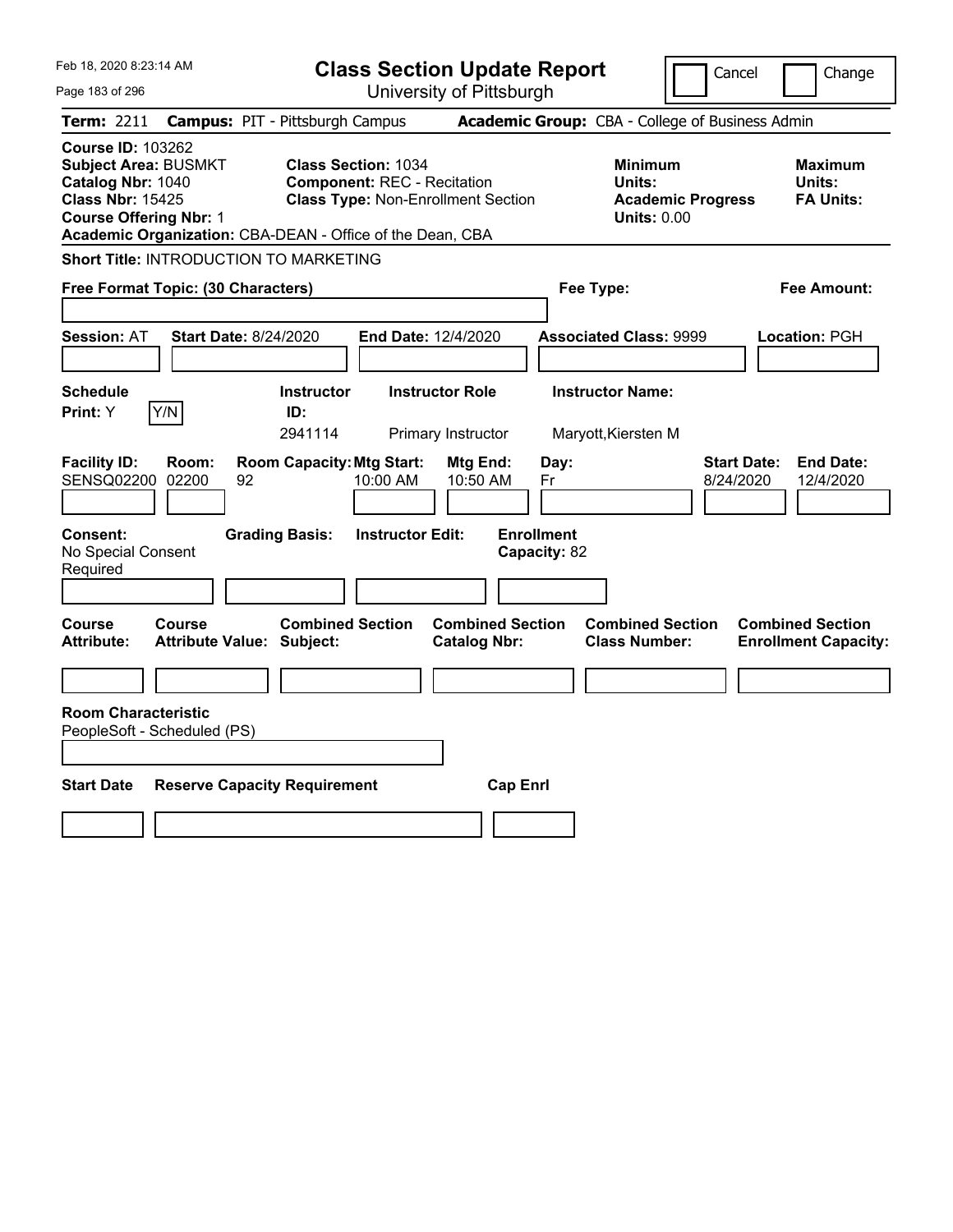| Feb 18, 2020 8:23:14 AM<br>Page 183 of 296                                                                                                                                                            | <b>Class Section Update Report</b><br>University of Pittsburgh                                                 | Cancel<br>Change                                                                                                           |
|-------------------------------------------------------------------------------------------------------------------------------------------------------------------------------------------------------|----------------------------------------------------------------------------------------------------------------|----------------------------------------------------------------------------------------------------------------------------|
| <b>Campus: PIT - Pittsburgh Campus</b><br><b>Term: 2211</b>                                                                                                                                           |                                                                                                                | Academic Group: CBA - College of Business Admin                                                                            |
| <b>Course ID: 103262</b><br><b>Subject Area: BUSMKT</b><br>Catalog Nbr: 1040<br><b>Class Nbr: 15425</b><br><b>Course Offering Nbr: 1</b><br>Academic Organization: CBA-DEAN - Office of the Dean, CBA | <b>Class Section: 1034</b><br><b>Component: REC - Recitation</b><br><b>Class Type: Non-Enrollment Section</b>  | <b>Minimum</b><br><b>Maximum</b><br>Units:<br>Units:<br><b>Academic Progress</b><br><b>FA Units:</b><br><b>Units: 0.00</b> |
| Short Title: INTRODUCTION TO MARKETING                                                                                                                                                                |                                                                                                                |                                                                                                                            |
| Free Format Topic: (30 Characters)                                                                                                                                                                    | Fee Type:                                                                                                      | Fee Amount:                                                                                                                |
| <b>Session: AT</b><br><b>Start Date: 8/24/2020</b>                                                                                                                                                    | End Date: 12/4/2020                                                                                            | <b>Associated Class: 9999</b><br>Location: PGH                                                                             |
| <b>Schedule</b><br>Y/N<br>Print: Y                                                                                                                                                                    | <b>Instructor Name:</b><br><b>Instructor</b><br><b>Instructor Role</b><br>ID:<br>2941114<br>Primary Instructor | Maryott, Kiersten M                                                                                                        |
| <b>Facility ID:</b><br>Room:<br>SENSQ02200<br>02200<br>92                                                                                                                                             | <b>Room Capacity: Mtg Start:</b><br>Day:<br>Mtg End:<br>10:00 AM<br>10:50 AM<br>Fr                             | <b>Start Date:</b><br><b>End Date:</b><br>8/24/2020<br>12/4/2020                                                           |
| <b>Grading Basis:</b><br><b>Consent:</b><br>No Special Consent<br>Required                                                                                                                            | <b>Instructor Edit:</b><br><b>Enrollment</b><br>Capacity: 82                                                   |                                                                                                                            |
| <b>Course</b><br><b>Course</b><br><b>Attribute:</b><br><b>Attribute Value: Subject:</b>                                                                                                               | <b>Combined Section</b><br><b>Combined Section</b><br><b>Catalog Nbr:</b>                                      | <b>Combined Section</b><br><b>Combined Section</b><br><b>Class Number:</b><br><b>Enrollment Capacity:</b>                  |
|                                                                                                                                                                                                       |                                                                                                                |                                                                                                                            |
| <b>Room Characteristic</b><br>PeopleSoft - Scheduled (PS)                                                                                                                                             |                                                                                                                |                                                                                                                            |
| <b>Start Date</b><br><b>Reserve Capacity Requirement</b>                                                                                                                                              | <b>Cap Enrl</b>                                                                                                |                                                                                                                            |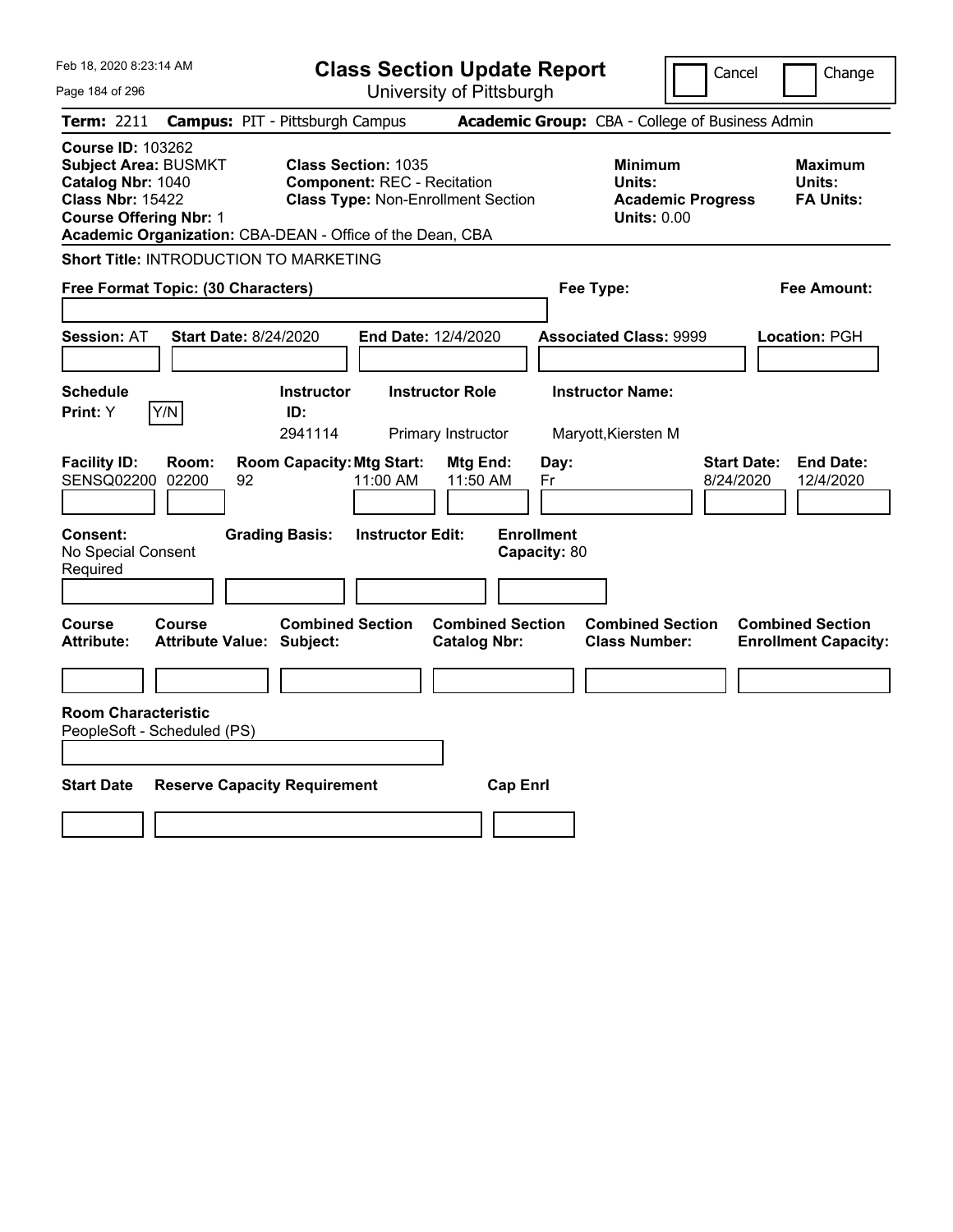| Feb 18, 2020 8:23:14 AM<br>Page 184 of 296                                                                                                                                                            |                                                                                                               | <b>Class Section Update Report</b><br>University of Pittsburgh | Cancel                                                                     | Change                                                 |
|-------------------------------------------------------------------------------------------------------------------------------------------------------------------------------------------------------|---------------------------------------------------------------------------------------------------------------|----------------------------------------------------------------|----------------------------------------------------------------------------|--------------------------------------------------------|
| Term: 2211                                                                                                                                                                                            | <b>Campus: PIT - Pittsburgh Campus</b>                                                                        |                                                                | Academic Group: CBA - College of Business Admin                            |                                                        |
| <b>Course ID: 103262</b><br><b>Subject Area: BUSMKT</b><br>Catalog Nbr: 1040<br><b>Class Nbr: 15422</b><br><b>Course Offering Nbr: 1</b><br>Academic Organization: CBA-DEAN - Office of the Dean, CBA | <b>Class Section: 1035</b><br><b>Component: REC - Recitation</b><br><b>Class Type: Non-Enrollment Section</b> |                                                                | <b>Minimum</b><br>Units:<br><b>Academic Progress</b><br><b>Units: 0.00</b> | <b>Maximum</b><br>Units:<br><b>FA Units:</b>           |
| Short Title: INTRODUCTION TO MARKETING                                                                                                                                                                |                                                                                                               |                                                                |                                                                            |                                                        |
| Free Format Topic: (30 Characters)                                                                                                                                                                    |                                                                                                               |                                                                | Fee Type:                                                                  | Fee Amount:                                            |
| <b>Start Date: 8/24/2020</b><br><b>Session: AT</b>                                                                                                                                                    | End Date: 12/4/2020                                                                                           |                                                                | <b>Associated Class: 9999</b>                                              | Location: PGH                                          |
| <b>Schedule</b><br>Y/N<br><b>Print:</b> Y                                                                                                                                                             | <b>Instructor</b><br>ID:<br>2941114                                                                           | <b>Instructor Role</b><br>Primary Instructor                   | <b>Instructor Name:</b><br>Maryott, Kiersten M                             |                                                        |
| <b>Facility ID:</b><br>Room:<br>SENSQ02200<br>02200<br>92                                                                                                                                             | <b>Room Capacity: Mtg Start:</b><br>11:00 AM                                                                  | Mtg End:<br>Day:<br>11:50 AM<br>Fr                             | 8/24/2020                                                                  | <b>Start Date:</b><br><b>End Date:</b><br>12/4/2020    |
| Consent:<br>No Special Consent<br>Required                                                                                                                                                            | <b>Grading Basis:</b><br><b>Instructor Edit:</b>                                                              | <b>Enrollment</b><br>Capacity: 80                              |                                                                            |                                                        |
| <b>Course</b><br><b>Course</b><br><b>Attribute Value: Subject:</b><br><b>Attribute:</b>                                                                                                               | <b>Combined Section</b>                                                                                       | <b>Combined Section</b><br><b>Catalog Nbr:</b>                 | <b>Combined Section</b><br><b>Class Number:</b>                            | <b>Combined Section</b><br><b>Enrollment Capacity:</b> |
|                                                                                                                                                                                                       |                                                                                                               |                                                                |                                                                            |                                                        |
| <b>Room Characteristic</b><br>PeopleSoft - Scheduled (PS)                                                                                                                                             |                                                                                                               |                                                                |                                                                            |                                                        |
| <b>Start Date</b>                                                                                                                                                                                     | <b>Reserve Capacity Requirement</b>                                                                           | <b>Cap Enrl</b>                                                |                                                                            |                                                        |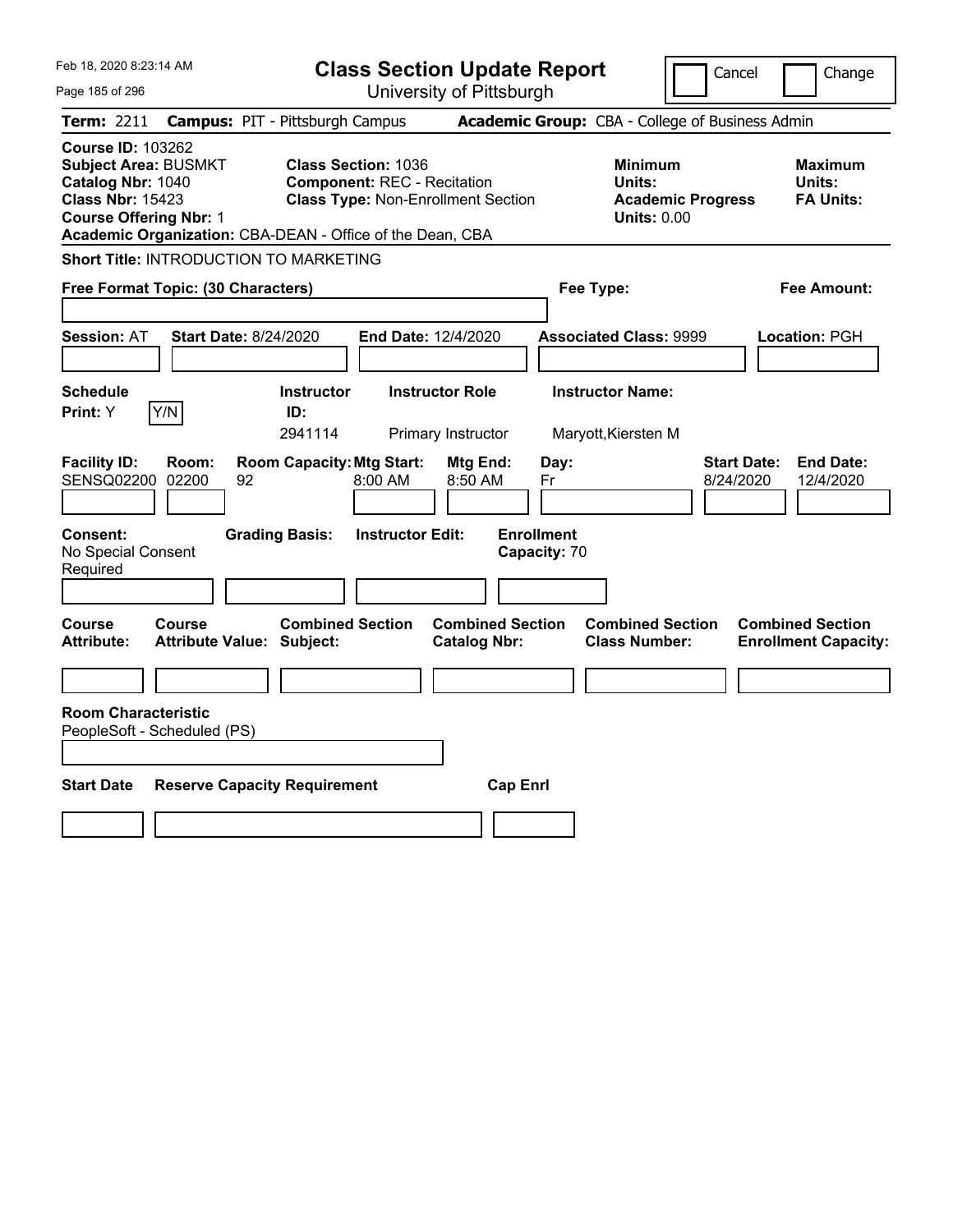| Feb 18, 2020 8:23:14 AM<br>Page 185 of 296                                                                                                                                                            | <b>Class Section Update Report</b><br>University of Pittsburgh                                                | Change<br>Cancel                                                                                                           |
|-------------------------------------------------------------------------------------------------------------------------------------------------------------------------------------------------------|---------------------------------------------------------------------------------------------------------------|----------------------------------------------------------------------------------------------------------------------------|
| Term: 2211                                                                                                                                                                                            | <b>Campus: PIT - Pittsburgh Campus</b>                                                                        | Academic Group: CBA - College of Business Admin                                                                            |
| <b>Course ID: 103262</b><br><b>Subject Area: BUSMKT</b><br>Catalog Nbr: 1040<br><b>Class Nbr: 15423</b><br><b>Course Offering Nbr: 1</b><br>Academic Organization: CBA-DEAN - Office of the Dean, CBA | <b>Class Section: 1036</b><br><b>Component: REC - Recitation</b><br><b>Class Type: Non-Enrollment Section</b> | <b>Minimum</b><br><b>Maximum</b><br>Units:<br>Units:<br><b>FA Units:</b><br><b>Academic Progress</b><br><b>Units: 0.00</b> |
| Short Title: INTRODUCTION TO MARKETING                                                                                                                                                                |                                                                                                               |                                                                                                                            |
| Free Format Topic: (30 Characters)                                                                                                                                                                    | Fee Type:                                                                                                     | Fee Amount:                                                                                                                |
| <b>Start Date: 8/24/2020</b><br><b>Session: AT</b>                                                                                                                                                    | End Date: 12/4/2020                                                                                           | <b>Associated Class: 9999</b><br>Location: PGH                                                                             |
| <b>Schedule</b><br>Y/N<br><b>Print:</b> Y                                                                                                                                                             | <b>Instructor Role</b><br><b>Instructor</b><br>ID:<br>2941114<br>Primary Instructor                           | <b>Instructor Name:</b><br>Maryott, Kiersten M                                                                             |
| <b>Facility ID:</b><br>Room:<br>SENSQ02200<br>02200<br>92                                                                                                                                             | <b>Room Capacity: Mtg Start:</b><br>Mtg End:<br>Day:<br>8:00 AM<br>8:50 AM<br>Fr                              | <b>Start Date:</b><br><b>End Date:</b><br>8/24/2020<br>12/4/2020                                                           |
| <b>Grading Basis:</b><br><b>Consent:</b><br>No Special Consent<br>Required                                                                                                                            | <b>Enrollment</b><br><b>Instructor Edit:</b><br>Capacity: 70                                                  |                                                                                                                            |
| <b>Course</b><br><b>Course</b><br><b>Attribute Value: Subject:</b><br><b>Attribute:</b>                                                                                                               | <b>Combined Section</b><br><b>Combined Section</b><br><b>Catalog Nbr:</b>                                     | <b>Combined Section</b><br><b>Combined Section</b><br><b>Class Number:</b><br><b>Enrollment Capacity:</b>                  |
|                                                                                                                                                                                                       |                                                                                                               |                                                                                                                            |
| <b>Room Characteristic</b><br>PeopleSoft - Scheduled (PS)<br><b>Start Date</b>                                                                                                                        |                                                                                                               |                                                                                                                            |
| <b>Reserve Capacity Requirement</b>                                                                                                                                                                   | <b>Cap Enrl</b>                                                                                               |                                                                                                                            |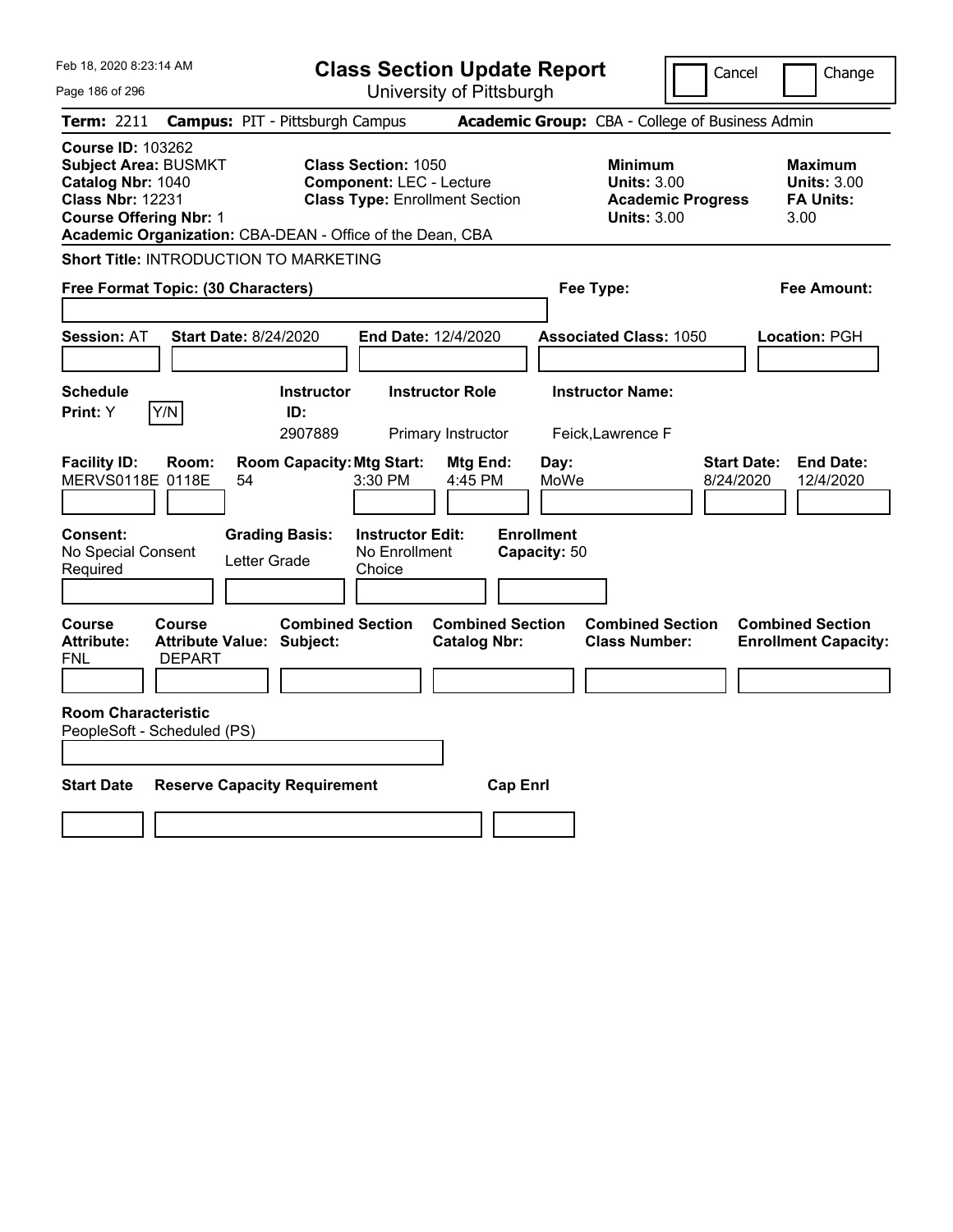| Feb 18, 2020 8:23:14 AM                                                                                                                                                                               | <b>Class Section Update Report</b>                                                                     | Cancel                                                                                 | Change                                                           |
|-------------------------------------------------------------------------------------------------------------------------------------------------------------------------------------------------------|--------------------------------------------------------------------------------------------------------|----------------------------------------------------------------------------------------|------------------------------------------------------------------|
| Page 186 of 296                                                                                                                                                                                       | University of Pittsburgh                                                                               |                                                                                        |                                                                  |
| Term: 2211                                                                                                                                                                                            | <b>Campus: PIT - Pittsburgh Campus</b>                                                                 | Academic Group: CBA - College of Business Admin                                        |                                                                  |
| <b>Course ID: 103262</b><br><b>Subject Area: BUSMKT</b><br>Catalog Nbr: 1040<br><b>Class Nbr: 12231</b><br><b>Course Offering Nbr: 1</b><br>Academic Organization: CBA-DEAN - Office of the Dean, CBA | <b>Class Section: 1050</b><br><b>Component: LEC - Lecture</b><br><b>Class Type: Enrollment Section</b> | <b>Minimum</b><br><b>Units: 3.00</b><br><b>Academic Progress</b><br><b>Units: 3.00</b> | <b>Maximum</b><br><b>Units: 3.00</b><br><b>FA Units:</b><br>3.00 |
| <b>Short Title: INTRODUCTION TO MARKETING</b>                                                                                                                                                         |                                                                                                        |                                                                                        |                                                                  |
| Free Format Topic: (30 Characters)                                                                                                                                                                    |                                                                                                        | Fee Type:                                                                              | Fee Amount:                                                      |
| <b>Start Date: 8/24/2020</b><br><b>Session: AT</b>                                                                                                                                                    | End Date: 12/4/2020                                                                                    | <b>Associated Class: 1050</b>                                                          | Location: PGH                                                    |
| <b>Schedule</b><br>Y/N<br>Print: Y                                                                                                                                                                    | <b>Instructor Role</b><br><b>Instructor</b><br>ID:<br>2907889<br>Primary Instructor                    | <b>Instructor Name:</b><br>Feick, Lawrence F                                           |                                                                  |
| <b>Facility ID:</b><br>Room:<br>MERVS0118E 0118E<br>54                                                                                                                                                | <b>Room Capacity: Mtg Start:</b><br>Mtg End:<br>$3:30$ PM<br>4:45 PM                                   | Day:<br>MoWe                                                                           | <b>End Date:</b><br><b>Start Date:</b><br>8/24/2020<br>12/4/2020 |
| Consent:<br><b>Grading Basis:</b><br>No Special Consent<br>Letter Grade<br>Required                                                                                                                   | <b>Instructor Edit:</b><br>No Enrollment<br>Choice                                                     | <b>Enrollment</b><br>Capacity: 50                                                      |                                                                  |
| Course<br><b>Course</b><br><b>Attribute:</b><br><b>Attribute Value: Subject:</b><br>FNL<br><b>DEPART</b>                                                                                              | <b>Combined Section</b><br><b>Catalog Nbr:</b>                                                         | <b>Combined Section</b><br><b>Combined Section</b><br><b>Class Number:</b>             | <b>Combined Section</b><br><b>Enrollment Capacity:</b>           |
|                                                                                                                                                                                                       |                                                                                                        |                                                                                        |                                                                  |
| <b>Room Characteristic</b><br>PeopleSoft - Scheduled (PS)                                                                                                                                             |                                                                                                        |                                                                                        |                                                                  |
| <b>Start Date</b><br><b>Reserve Capacity Requirement</b>                                                                                                                                              |                                                                                                        | <b>Cap Enrl</b>                                                                        |                                                                  |
|                                                                                                                                                                                                       |                                                                                                        |                                                                                        |                                                                  |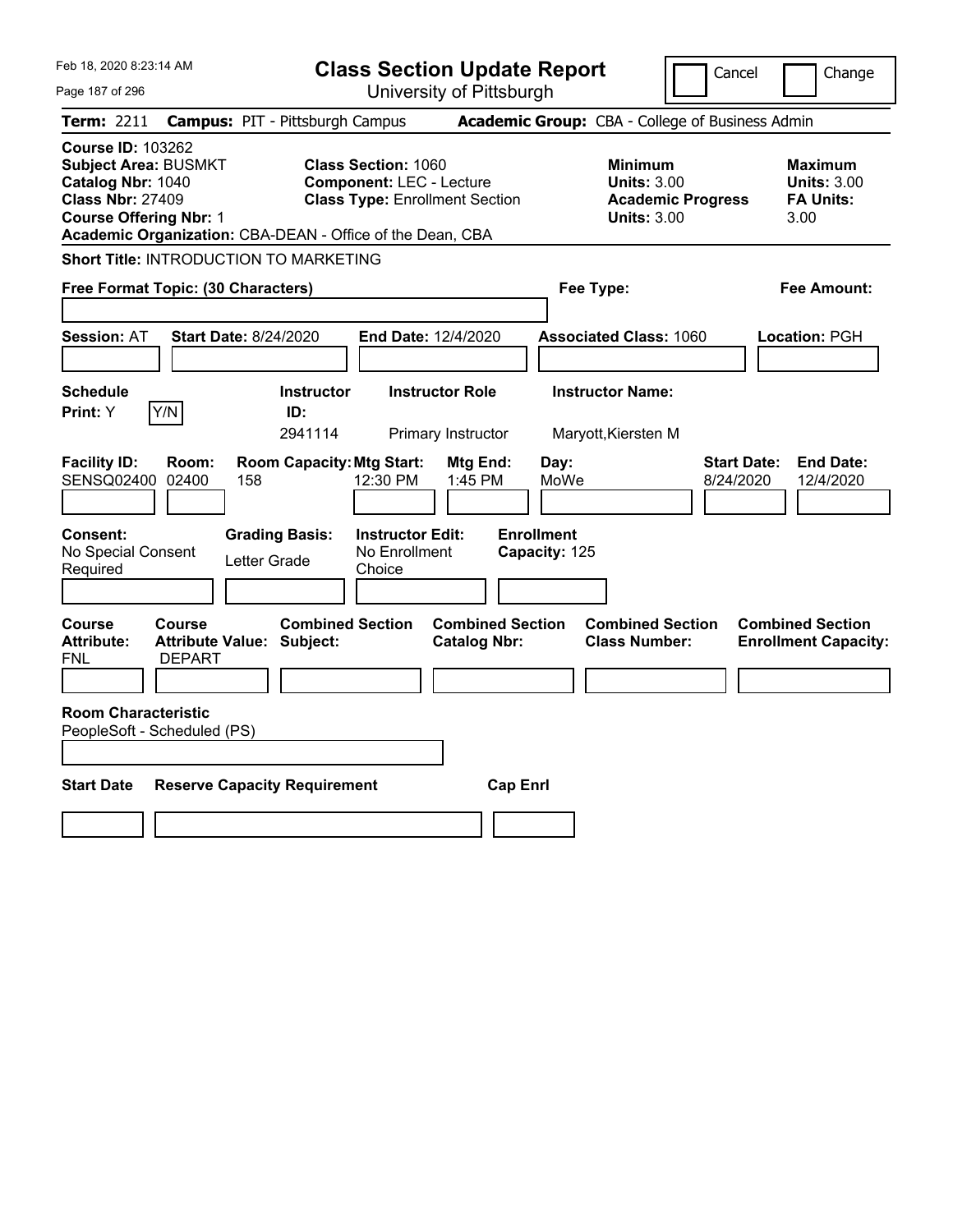| Feb 18, 2020 8:23:14 AM                                                                                                                                                                               | <b>Class Section Update Report</b>                                                                     | Cancel                                                                                 | Change                                                           |
|-------------------------------------------------------------------------------------------------------------------------------------------------------------------------------------------------------|--------------------------------------------------------------------------------------------------------|----------------------------------------------------------------------------------------|------------------------------------------------------------------|
| Page 187 of 296                                                                                                                                                                                       | University of Pittsburgh                                                                               |                                                                                        |                                                                  |
| <b>Term: 2211</b>                                                                                                                                                                                     | <b>Campus: PIT - Pittsburgh Campus</b>                                                                 | Academic Group: CBA - College of Business Admin                                        |                                                                  |
| <b>Course ID: 103262</b><br><b>Subject Area: BUSMKT</b><br>Catalog Nbr: 1040<br><b>Class Nbr: 27409</b><br><b>Course Offering Nbr: 1</b><br>Academic Organization: CBA-DEAN - Office of the Dean, CBA | <b>Class Section: 1060</b><br><b>Component: LEC - Lecture</b><br><b>Class Type: Enrollment Section</b> | <b>Minimum</b><br><b>Units: 3.00</b><br><b>Academic Progress</b><br><b>Units: 3.00</b> | <b>Maximum</b><br><b>Units: 3.00</b><br><b>FA Units:</b><br>3.00 |
| Short Title: INTRODUCTION TO MARKETING                                                                                                                                                                |                                                                                                        |                                                                                        |                                                                  |
| Free Format Topic: (30 Characters)                                                                                                                                                                    |                                                                                                        | Fee Type:                                                                              | Fee Amount:                                                      |
| <b>Start Date: 8/24/2020</b><br><b>Session: AT</b>                                                                                                                                                    | End Date: 12/4/2020                                                                                    | <b>Associated Class: 1060</b>                                                          | Location: PGH                                                    |
| <b>Schedule</b><br>Y/N<br>Print: Y                                                                                                                                                                    | <b>Instructor</b><br><b>Instructor Role</b><br>ID:<br>2941114<br>Primary Instructor                    | <b>Instructor Name:</b><br>Maryott, Kiersten M                                         |                                                                  |
| <b>Facility ID:</b><br>Room:<br>SENSQ02400 02400<br>158                                                                                                                                               | <b>Room Capacity: Mtg Start:</b><br>Mtg End:<br>12:30 PM<br>1:45 PM                                    | Day:<br><b>Start Date:</b><br>MoWe<br>8/24/2020                                        | <b>End Date:</b><br>12/4/2020                                    |
| Consent:<br><b>Grading Basis:</b><br>No Special Consent<br>Letter Grade<br>Required                                                                                                                   | <b>Instructor Edit:</b><br>No Enrollment<br>Choice                                                     | <b>Enrollment</b><br>Capacity: 125                                                     |                                                                  |
| Course<br><b>Course</b><br><b>Attribute:</b><br><b>Attribute Value: Subject:</b><br><b>DEPART</b><br>FNL                                                                                              | <b>Combined Section</b><br><b>Combined Section</b><br><b>Catalog Nbr:</b>                              | <b>Combined Section</b><br><b>Class Number:</b>                                        | <b>Combined Section</b><br><b>Enrollment Capacity:</b>           |
|                                                                                                                                                                                                       |                                                                                                        |                                                                                        |                                                                  |
| <b>Room Characteristic</b><br>PeopleSoft - Scheduled (PS)                                                                                                                                             |                                                                                                        |                                                                                        |                                                                  |
| <b>Start Date</b><br><b>Reserve Capacity Requirement</b>                                                                                                                                              | <b>Cap Enrl</b>                                                                                        |                                                                                        |                                                                  |
|                                                                                                                                                                                                       |                                                                                                        |                                                                                        |                                                                  |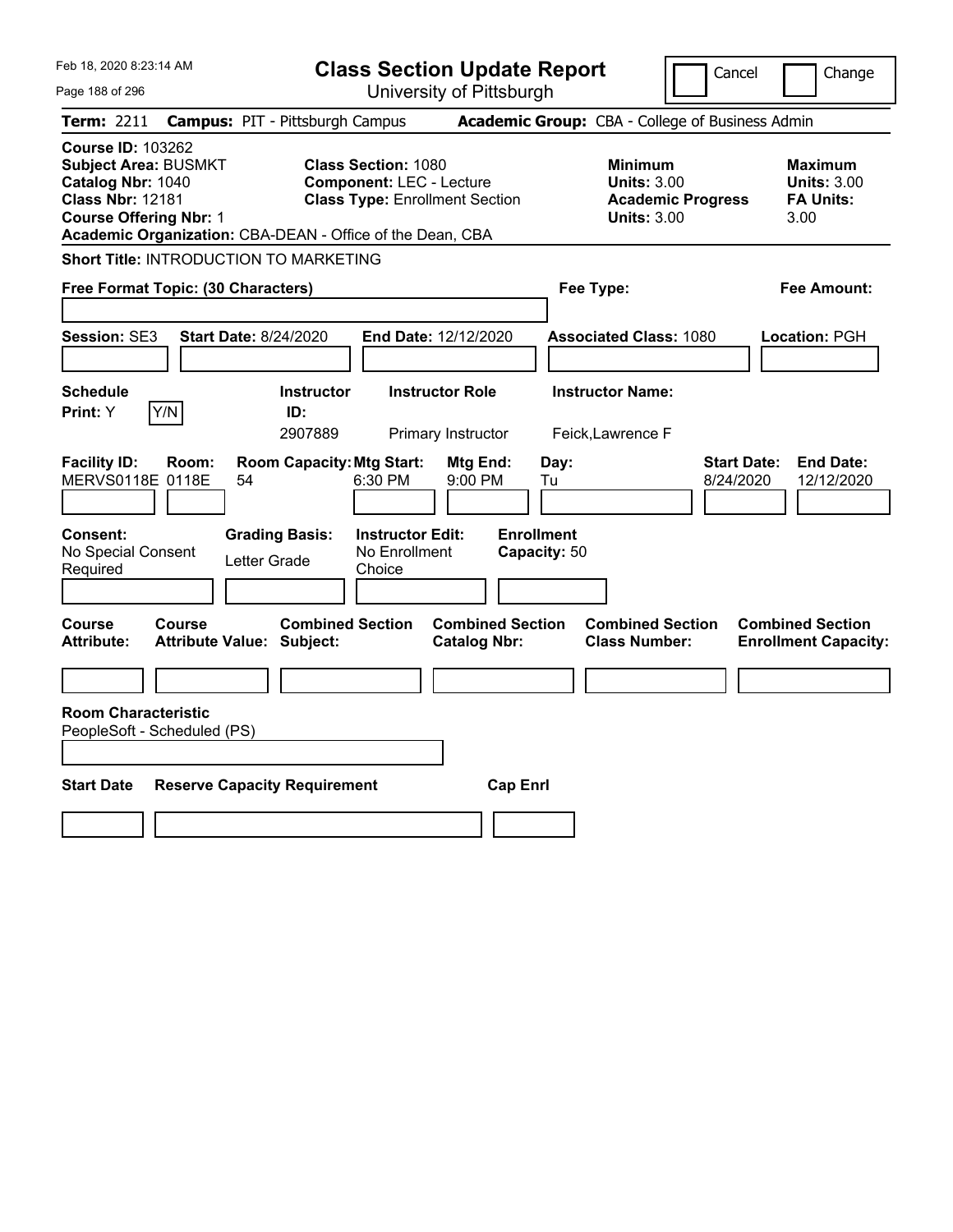| Feb 18, 2020 8:23:14 AM                                                                                                                                                                               | <b>Class Section Update Report</b>                                                                     |                                                |                                                                                        | Cancel<br>Change                                                  |
|-------------------------------------------------------------------------------------------------------------------------------------------------------------------------------------------------------|--------------------------------------------------------------------------------------------------------|------------------------------------------------|----------------------------------------------------------------------------------------|-------------------------------------------------------------------|
| Page 188 of 296                                                                                                                                                                                       |                                                                                                        | University of Pittsburgh                       |                                                                                        |                                                                   |
| Term: 2211                                                                                                                                                                                            | <b>Campus: PIT - Pittsburgh Campus</b>                                                                 |                                                | Academic Group: CBA - College of Business Admin                                        |                                                                   |
| <b>Course ID: 103262</b><br><b>Subject Area: BUSMKT</b><br>Catalog Nbr: 1040<br><b>Class Nbr: 12181</b><br><b>Course Offering Nbr: 1</b><br>Academic Organization: CBA-DEAN - Office of the Dean, CBA | <b>Class Section: 1080</b><br><b>Component: LEC - Lecture</b><br><b>Class Type: Enrollment Section</b> |                                                | <b>Minimum</b><br><b>Units: 3.00</b><br><b>Academic Progress</b><br><b>Units: 3.00</b> | <b>Maximum</b><br><b>Units: 3.00</b><br><b>FA Units:</b><br>3.00  |
| <b>Short Title: INTRODUCTION TO MARKETING</b>                                                                                                                                                         |                                                                                                        |                                                |                                                                                        |                                                                   |
| Free Format Topic: (30 Characters)                                                                                                                                                                    |                                                                                                        |                                                | Fee Type:                                                                              | Fee Amount:                                                       |
| <b>Session: SE3</b><br><b>Start Date: 8/24/2020</b>                                                                                                                                                   | End Date: 12/12/2020                                                                                   |                                                | <b>Associated Class: 1080</b>                                                          | Location: PGH                                                     |
| <b>Schedule</b><br>Y/N<br>Print: Y                                                                                                                                                                    | <b>Instructor Role</b><br><b>Instructor</b><br>ID:<br>2907889                                          | Primary Instructor                             | <b>Instructor Name:</b><br>Feick, Lawrence F                                           |                                                                   |
| <b>Facility ID:</b><br>Room:<br>MERVS0118E 0118E<br>54                                                                                                                                                | <b>Room Capacity: Mtg Start:</b><br>6:30 PM                                                            | Mtg End:<br>Day:<br>$9:00$ PM<br>Tu            |                                                                                        | <b>Start Date:</b><br><b>End Date:</b><br>8/24/2020<br>12/12/2020 |
| Consent:<br>No Special Consent<br>Letter Grade<br>Required                                                                                                                                            | <b>Grading Basis:</b><br><b>Instructor Edit:</b><br>No Enrollment<br>Choice                            | <b>Enrollment</b><br>Capacity: 50              |                                                                                        |                                                                   |
| Course<br>Course<br><b>Attribute Value: Subject:</b><br>Attribute:                                                                                                                                    | <b>Combined Section</b>                                                                                | <b>Combined Section</b><br><b>Catalog Nbr:</b> | <b>Combined Section</b><br><b>Class Number:</b>                                        | <b>Combined Section</b><br><b>Enrollment Capacity:</b>            |
|                                                                                                                                                                                                       |                                                                                                        |                                                |                                                                                        |                                                                   |
| <b>Room Characteristic</b><br>PeopleSoft - Scheduled (PS)                                                                                                                                             |                                                                                                        |                                                |                                                                                        |                                                                   |
| <b>Start Date</b><br><b>Reserve Capacity Requirement</b>                                                                                                                                              |                                                                                                        | <b>Cap Enrl</b>                                |                                                                                        |                                                                   |
|                                                                                                                                                                                                       |                                                                                                        |                                                |                                                                                        |                                                                   |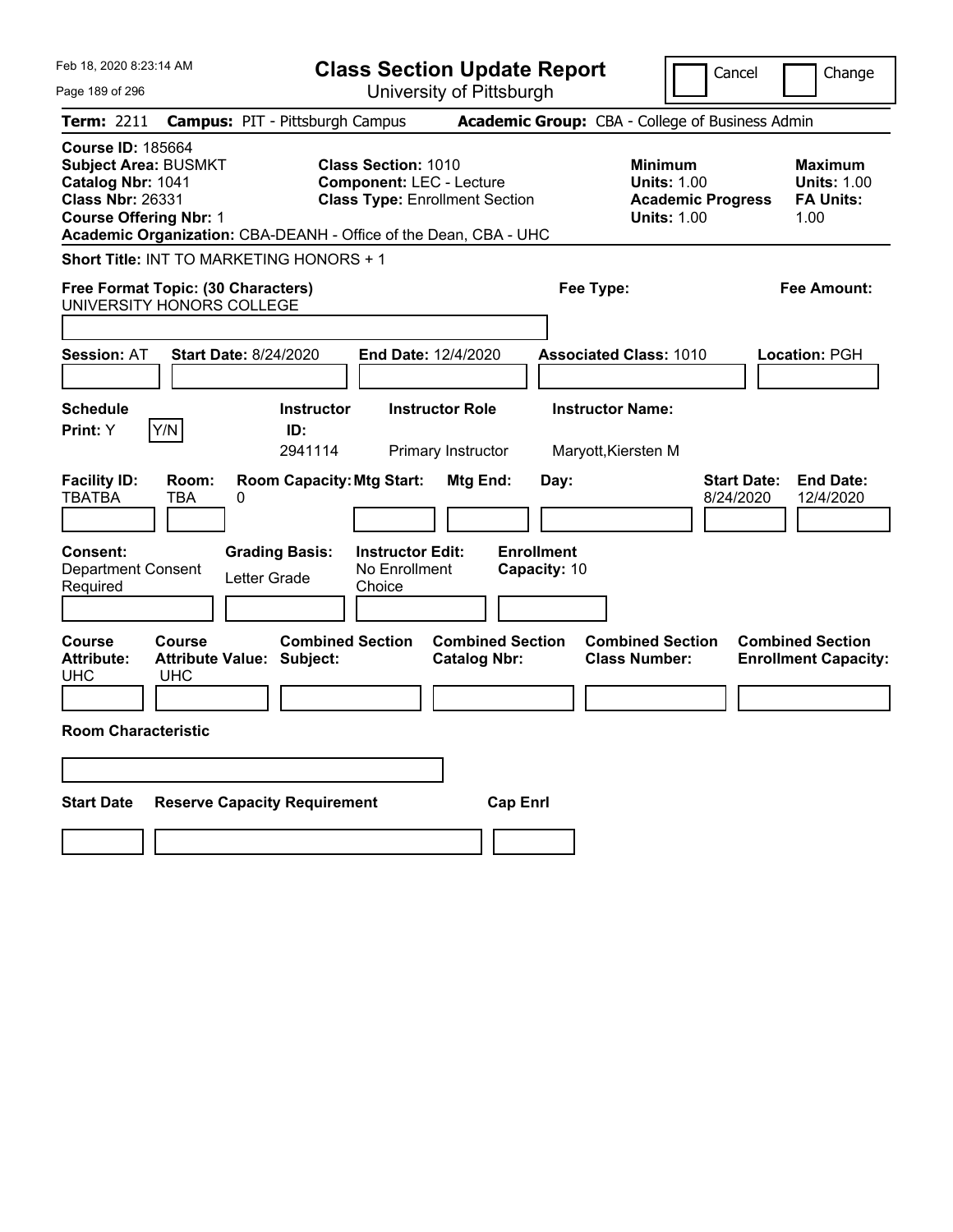| Feb 18, 2020 8:23:14 AM                                                                                                                                 | <b>Class Section Update Report</b>                                                                                                                                         | Cancel<br>Change                                                                                                                                           |
|---------------------------------------------------------------------------------------------------------------------------------------------------------|----------------------------------------------------------------------------------------------------------------------------------------------------------------------------|------------------------------------------------------------------------------------------------------------------------------------------------------------|
| Page 189 of 296                                                                                                                                         | University of Pittsburgh                                                                                                                                                   |                                                                                                                                                            |
| Term: 2211<br><b>Campus: PIT - Pittsburgh Campus</b>                                                                                                    |                                                                                                                                                                            | Academic Group: CBA - College of Business Admin                                                                                                            |
| <b>Course ID: 185664</b><br><b>Subject Area: BUSMKT</b><br>Catalog Nbr: 1041<br><b>Class Nbr: 26331</b><br><b>Course Offering Nbr: 1</b>                | <b>Class Section: 1010</b><br><b>Component: LEC - Lecture</b><br><b>Class Type: Enrollment Section</b><br>Academic Organization: CBA-DEANH - Office of the Dean, CBA - UHC | <b>Minimum</b><br><b>Maximum</b><br><b>Units: 1.00</b><br><b>Units: 1.00</b><br><b>Academic Progress</b><br><b>FA Units:</b><br><b>Units: 1.00</b><br>1.00 |
| Short Title: INT TO MARKETING HONORS + 1                                                                                                                |                                                                                                                                                                            |                                                                                                                                                            |
| Free Format Topic: (30 Characters)<br>UNIVERSITY HONORS COLLEGE                                                                                         | Fee Type:                                                                                                                                                                  | Fee Amount:                                                                                                                                                |
| <b>Start Date: 8/24/2020</b><br><b>Session: AT</b>                                                                                                      | End Date: 12/4/2020<br><b>Associated Class: 1010</b>                                                                                                                       | Location: PGH                                                                                                                                              |
| <b>Schedule</b><br>Y/N<br>Print: Y<br>ID:                                                                                                               | <b>Instructor Name:</b><br><b>Instructor</b><br><b>Instructor Role</b><br>2941114<br>Primary Instructor<br>Maryott, Kiersten M                                             |                                                                                                                                                            |
| <b>Facility ID:</b><br>Room:<br><b>TBATBA</b><br>TBA<br>0<br>Consent:<br><b>Grading Basis:</b><br><b>Department Consent</b><br>Letter Grade<br>Required | <b>Room Capacity: Mtg Start:</b><br>Mtg End:<br>Day:<br><b>Enrollment</b><br><b>Instructor Edit:</b><br>No Enrollment<br>Capacity: 10<br>Choice                            | <b>Start Date:</b><br><b>End Date:</b><br>8/24/2020<br>12/4/2020                                                                                           |
| <b>Course</b><br>Course<br><b>Attribute:</b><br><b>Attribute Value: Subject:</b><br>UHC<br><b>UHC</b>                                                   | <b>Combined Section</b><br><b>Combined Section</b><br><b>Catalog Nbr:</b>                                                                                                  | <b>Combined Section</b><br><b>Combined Section</b><br><b>Class Number:</b><br><b>Enrollment Capacity:</b>                                                  |
| <b>Room Characteristic</b>                                                                                                                              |                                                                                                                                                                            |                                                                                                                                                            |
|                                                                                                                                                         |                                                                                                                                                                            |                                                                                                                                                            |
| <b>Start Date</b><br><b>Reserve Capacity Requirement</b>                                                                                                | <b>Cap Enri</b>                                                                                                                                                            |                                                                                                                                                            |
|                                                                                                                                                         |                                                                                                                                                                            |                                                                                                                                                            |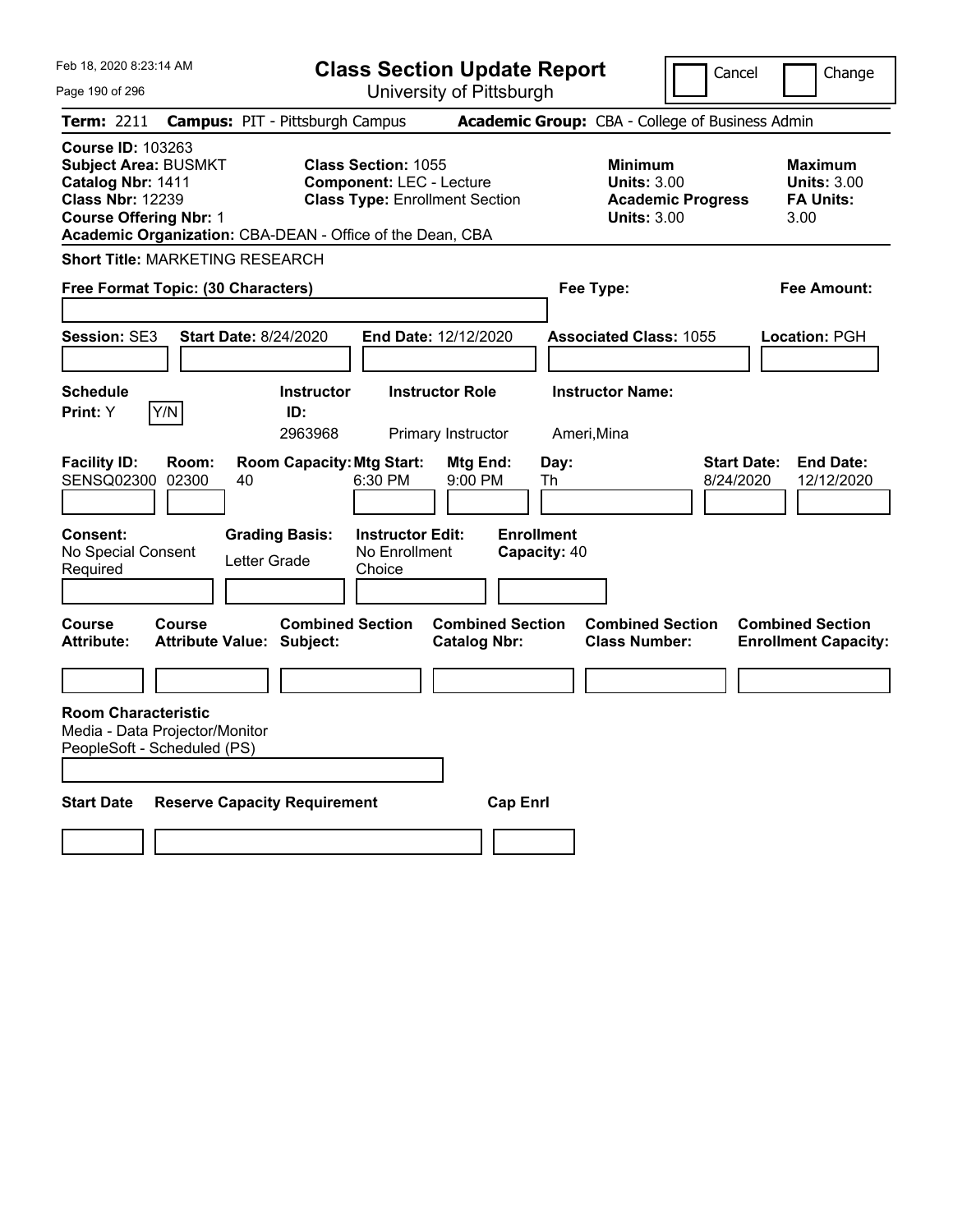| Feb 18, 2020 8:23:14 AM                                                                                                                                                                               |                                                   |                                     | <b>Class Section Update Report</b>                                                                     |                                                |                   |              |                                                     |                          | Cancel                          | Change                                                           |
|-------------------------------------------------------------------------------------------------------------------------------------------------------------------------------------------------------|---------------------------------------------------|-------------------------------------|--------------------------------------------------------------------------------------------------------|------------------------------------------------|-------------------|--------------|-----------------------------------------------------|--------------------------|---------------------------------|------------------------------------------------------------------|
| Page 190 of 296                                                                                                                                                                                       |                                                   |                                     | University of Pittsburgh                                                                               |                                                |                   |              |                                                     |                          |                                 |                                                                  |
| Term: 2211                                                                                                                                                                                            | <b>Campus: PIT - Pittsburgh Campus</b>            |                                     |                                                                                                        |                                                |                   |              | Academic Group: CBA - College of Business Admin     |                          |                                 |                                                                  |
| <b>Course ID: 103263</b><br><b>Subject Area: BUSMKT</b><br>Catalog Nbr: 1411<br><b>Class Nbr: 12239</b><br><b>Course Offering Nbr: 1</b><br>Academic Organization: CBA-DEAN - Office of the Dean, CBA |                                                   |                                     | <b>Class Section: 1055</b><br><b>Component: LEC - Lecture</b><br><b>Class Type: Enrollment Section</b> |                                                |                   |              | Minimum<br><b>Units: 3.00</b><br><b>Units: 3.00</b> | <b>Academic Progress</b> |                                 | <b>Maximum</b><br><b>Units: 3.00</b><br><b>FA Units:</b><br>3.00 |
| <b>Short Title: MARKETING RESEARCH</b>                                                                                                                                                                |                                                   |                                     |                                                                                                        |                                                |                   |              |                                                     |                          |                                 |                                                                  |
| Free Format Topic: (30 Characters)                                                                                                                                                                    |                                                   |                                     |                                                                                                        |                                                |                   |              | Fee Type:                                           |                          |                                 | Fee Amount:                                                      |
| <b>Session: SE3</b>                                                                                                                                                                                   | <b>Start Date: 8/24/2020</b>                      |                                     | End Date: 12/12/2020                                                                                   |                                                |                   |              | <b>Associated Class: 1055</b>                       |                          |                                 | Location: PGH                                                    |
| <b>Schedule</b><br>Y/N<br>Print: Y                                                                                                                                                                    |                                                   | <b>Instructor</b><br>ID:<br>2963968 |                                                                                                        | <b>Instructor Role</b><br>Primary Instructor   |                   | Ameri, Mina  | <b>Instructor Name:</b>                             |                          |                                 |                                                                  |
| <b>Facility ID:</b><br><b>SENSQ02300</b>                                                                                                                                                              | Room:<br>02300<br>40                              | <b>Room Capacity: Mtg Start:</b>    | 6:30 PM                                                                                                | Mtg End:<br>9:00 PM                            |                   | Day:<br>Th   |                                                     |                          | <b>Start Date:</b><br>8/24/2020 | <b>End Date:</b><br>12/12/2020                                   |
| Consent:<br>No Special Consent<br>Required                                                                                                                                                            | <b>Grading Basis:</b><br>Letter Grade             |                                     | <b>Instructor Edit:</b><br>No Enrollment<br>Choice                                                     |                                                | <b>Enrollment</b> | Capacity: 40 |                                                     |                          |                                 |                                                                  |
| <b>Course</b><br><b>Attribute:</b>                                                                                                                                                                    | <b>Course</b><br><b>Attribute Value: Subject:</b> | <b>Combined Section</b>             |                                                                                                        | <b>Combined Section</b><br><b>Catalog Nbr:</b> |                   |              | <b>Combined Section</b><br><b>Class Number:</b>     |                          |                                 | <b>Combined Section</b><br><b>Enrollment Capacity:</b>           |
|                                                                                                                                                                                                       |                                                   |                                     |                                                                                                        |                                                |                   |              |                                                     |                          |                                 |                                                                  |
| <b>Room Characteristic</b><br>Media - Data Projector/Monitor<br>PeopleSoft - Scheduled (PS)                                                                                                           |                                                   |                                     |                                                                                                        |                                                |                   |              |                                                     |                          |                                 |                                                                  |
| <b>Start Date</b>                                                                                                                                                                                     | <b>Reserve Capacity Requirement</b>               |                                     |                                                                                                        |                                                | <b>Cap Enrl</b>   |              |                                                     |                          |                                 |                                                                  |
|                                                                                                                                                                                                       |                                                   |                                     |                                                                                                        |                                                |                   |              |                                                     |                          |                                 |                                                                  |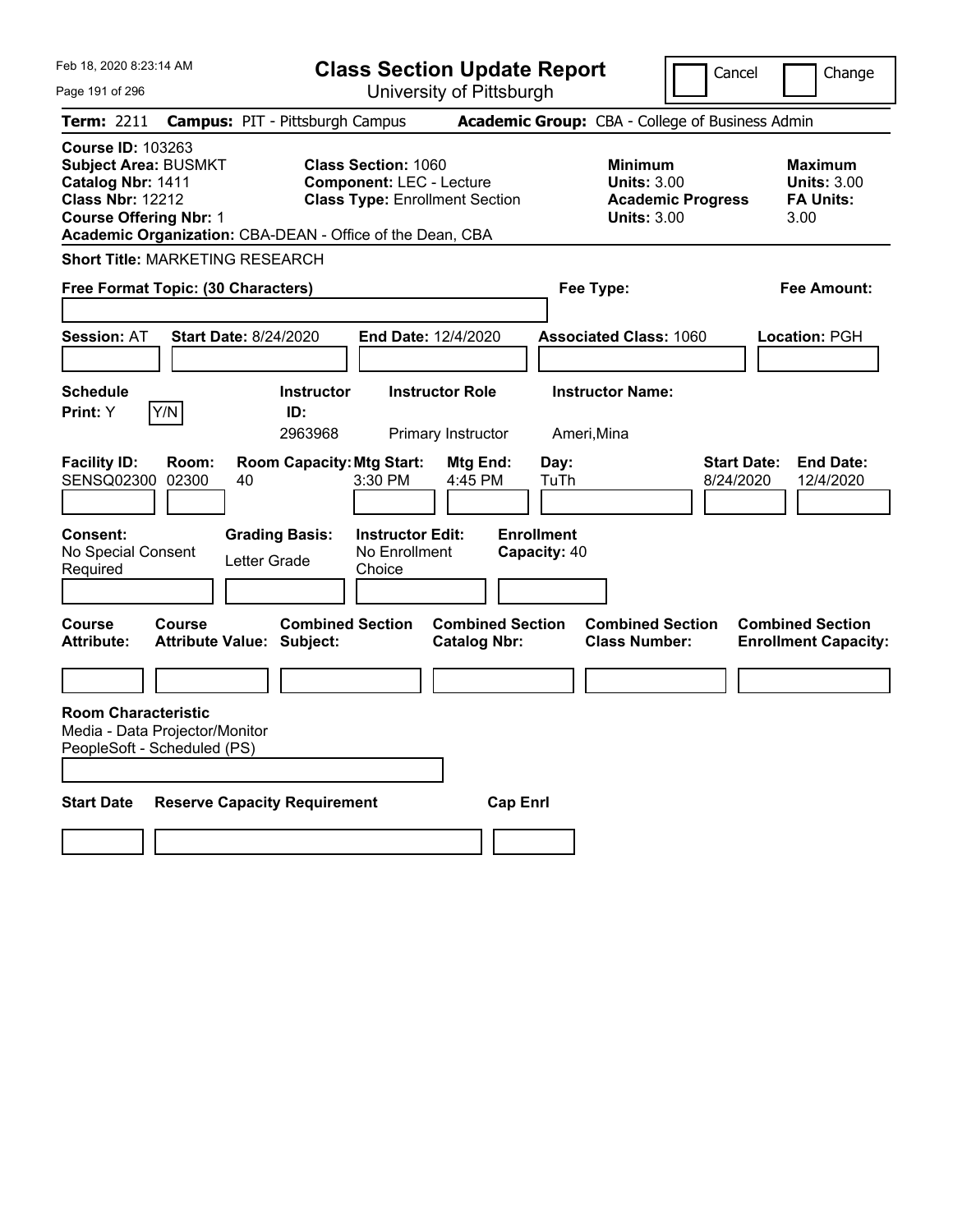| Feb 18, 2020 8:23:14 AM                                                                                                                                                                               |                                                                                                                                            | <b>Class Section Update Report</b>    |                                                            | Cancel                          | Change                                                    |
|-------------------------------------------------------------------------------------------------------------------------------------------------------------------------------------------------------|--------------------------------------------------------------------------------------------------------------------------------------------|---------------------------------------|------------------------------------------------------------|---------------------------------|-----------------------------------------------------------|
| Page 191 of 296                                                                                                                                                                                       |                                                                                                                                            | University of Pittsburgh              |                                                            |                                 |                                                           |
| Term: 2211                                                                                                                                                                                            | <b>Campus: PIT - Pittsburgh Campus</b>                                                                                                     |                                       | Academic Group: CBA - College of Business Admin            |                                 |                                                           |
| <b>Course ID: 103263</b><br><b>Subject Area: BUSMKT</b><br>Catalog Nbr: 1411<br><b>Class Nbr: 12212</b><br><b>Course Offering Nbr: 1</b><br>Academic Organization: CBA-DEAN - Office of the Dean, CBA | <b>Class Section: 1060</b><br><b>Component: LEC - Lecture</b>                                                                              | <b>Class Type: Enrollment Section</b> | <b>Minimum</b><br><b>Units: 3.00</b><br><b>Units: 3.00</b> | <b>Academic Progress</b>        | Maximum<br><b>Units: 3.00</b><br><b>FA Units:</b><br>3.00 |
| <b>Short Title: MARKETING RESEARCH</b>                                                                                                                                                                |                                                                                                                                            |                                       |                                                            |                                 |                                                           |
| Free Format Topic: (30 Characters)                                                                                                                                                                    |                                                                                                                                            |                                       | Fee Type:                                                  |                                 | Fee Amount:                                               |
|                                                                                                                                                                                                       |                                                                                                                                            |                                       |                                                            |                                 |                                                           |
| <b>Start Date: 8/24/2020</b><br><b>Session: AT</b>                                                                                                                                                    |                                                                                                                                            | <b>End Date: 12/4/2020</b>            | <b>Associated Class: 1060</b>                              |                                 | Location: PGH                                             |
|                                                                                                                                                                                                       |                                                                                                                                            |                                       |                                                            |                                 |                                                           |
| <b>Schedule</b>                                                                                                                                                                                       | <b>Instructor</b>                                                                                                                          | <b>Instructor Role</b>                | <b>Instructor Name:</b>                                    |                                 |                                                           |
| Y/N<br>Print: Y                                                                                                                                                                                       | ID:<br>2963968                                                                                                                             | Primary Instructor                    | Ameri, Mina                                                |                                 |                                                           |
| <b>Facility ID:</b><br>Room:<br><b>SENSQ02300</b><br>02300<br>40<br><b>Consent:</b><br>No Special Consent<br>Required                                                                                 | <b>Room Capacity: Mtg Start:</b><br>3:30 PM<br><b>Grading Basis:</b><br><b>Instructor Edit:</b><br>No Enrollment<br>Letter Grade<br>Choice | Mtg End:<br>4:45 PM                   | Day:<br>TuTh<br><b>Enrollment</b><br>Capacity: 40          | <b>Start Date:</b><br>8/24/2020 | <b>End Date:</b><br>12/4/2020                             |
| <b>Course</b><br>Course                                                                                                                                                                               | <b>Combined Section</b>                                                                                                                    | <b>Combined Section</b>               | <b>Combined Section</b>                                    |                                 | <b>Combined Section</b>                                   |
| <b>Attribute:</b><br><b>Attribute Value: Subject:</b>                                                                                                                                                 |                                                                                                                                            | <b>Catalog Nbr:</b>                   | <b>Class Number:</b>                                       |                                 | <b>Enrollment Capacity:</b>                               |
|                                                                                                                                                                                                       |                                                                                                                                            |                                       |                                                            |                                 |                                                           |
| <b>Room Characteristic</b><br>Media - Data Projector/Monitor<br>PeopleSoft - Scheduled (PS)                                                                                                           |                                                                                                                                            |                                       |                                                            |                                 |                                                           |
| <b>Start Date</b>                                                                                                                                                                                     | <b>Reserve Capacity Requirement</b>                                                                                                        | <b>Cap Enri</b>                       |                                                            |                                 |                                                           |
|                                                                                                                                                                                                       |                                                                                                                                            |                                       |                                                            |                                 |                                                           |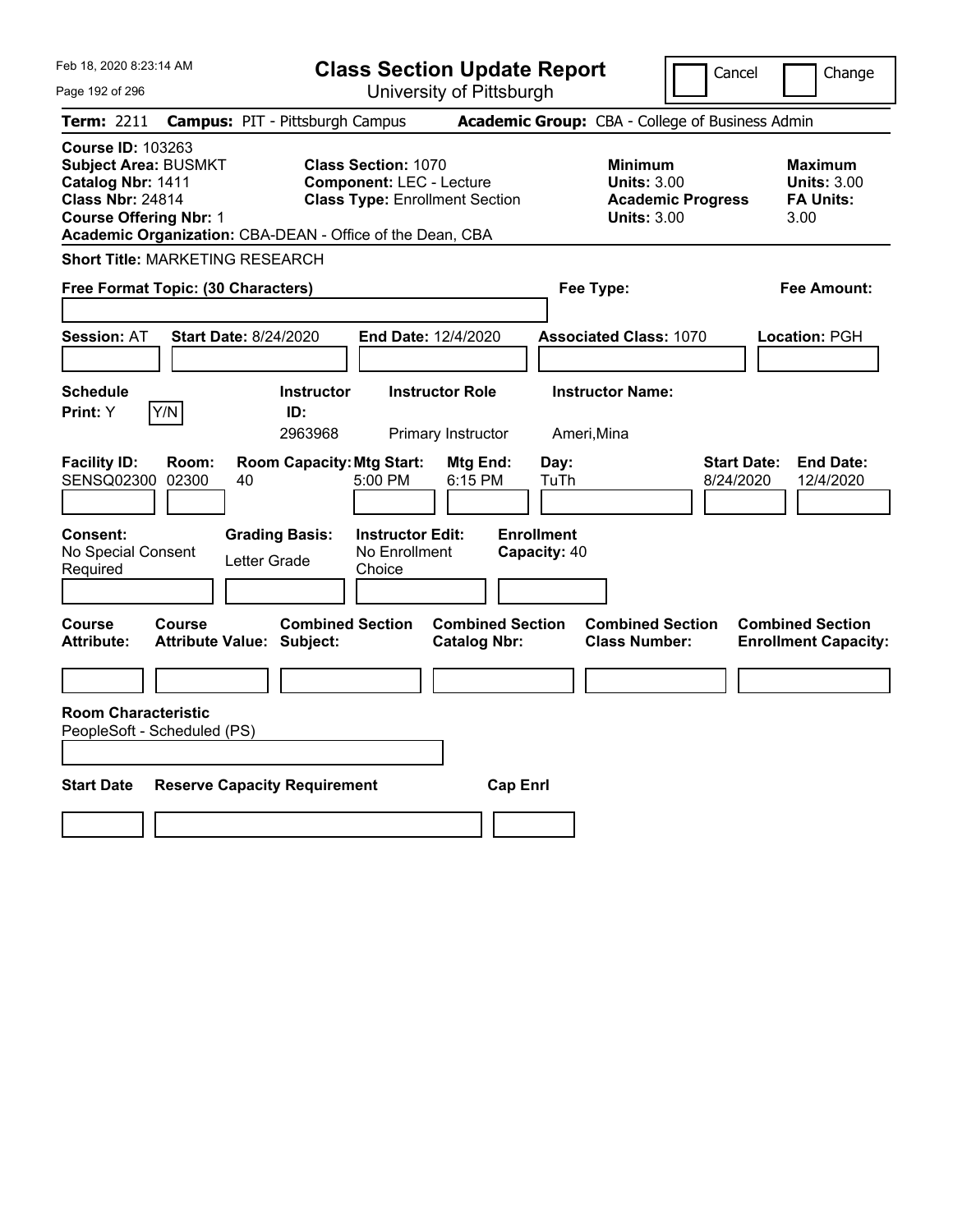| Feb 18, 2020 8:23:14 AM                                                                                                                  |                                                                                                                                                                     | <b>Class Section Update Report</b>             |                                                                                        | Cancel<br>Change                                                 |
|------------------------------------------------------------------------------------------------------------------------------------------|---------------------------------------------------------------------------------------------------------------------------------------------------------------------|------------------------------------------------|----------------------------------------------------------------------------------------|------------------------------------------------------------------|
| Page 192 of 296                                                                                                                          |                                                                                                                                                                     | University of Pittsburgh                       |                                                                                        |                                                                  |
| <b>Term: 2211</b>                                                                                                                        | <b>Campus: PIT - Pittsburgh Campus</b>                                                                                                                              |                                                | Academic Group: CBA - College of Business Admin                                        |                                                                  |
| <b>Course ID: 103263</b><br><b>Subject Area: BUSMKT</b><br>Catalog Nbr: 1411<br><b>Class Nbr: 24814</b><br><b>Course Offering Nbr: 1</b> | <b>Class Section: 1070</b><br><b>Component: LEC - Lecture</b><br><b>Class Type: Enrollment Section</b><br>Academic Organization: CBA-DEAN - Office of the Dean, CBA |                                                | <b>Minimum</b><br><b>Units: 3.00</b><br><b>Academic Progress</b><br><b>Units: 3.00</b> | <b>Maximum</b><br><b>Units: 3.00</b><br><b>FA Units:</b><br>3.00 |
| <b>Short Title: MARKETING RESEARCH</b>                                                                                                   |                                                                                                                                                                     |                                                |                                                                                        |                                                                  |
| Free Format Topic: (30 Characters)                                                                                                       |                                                                                                                                                                     |                                                | Fee Type:                                                                              | Fee Amount:                                                      |
| <b>Session: AT</b>                                                                                                                       | <b>Start Date: 8/24/2020</b>                                                                                                                                        | End Date: 12/4/2020                            | <b>Associated Class: 1070</b>                                                          | Location: PGH                                                    |
| <b>Schedule</b><br>Y/N<br>Print: Y                                                                                                       | <b>Instructor</b><br>ID:<br>2963968                                                                                                                                 | <b>Instructor Role</b><br>Primary Instructor   | <b>Instructor Name:</b><br>Ameri, Mina                                                 |                                                                  |
| <b>Facility ID:</b><br>Room:<br>SENSQ02300<br>02300                                                                                      | <b>Room Capacity: Mtg Start:</b><br>40<br>5:00 PM                                                                                                                   | Mtg End:<br>6:15 PM                            | Day:<br>TuTh                                                                           | <b>Start Date:</b><br><b>End Date:</b><br>12/4/2020<br>8/24/2020 |
| Consent:<br>No Special Consent<br>Required                                                                                               | <b>Grading Basis:</b><br><b>Instructor Edit:</b><br>No Enrollment<br>Letter Grade<br>Choice                                                                         | <b>Enrollment</b><br>Capacity: 40              |                                                                                        |                                                                  |
| Course<br>Course<br>Attribute:                                                                                                           | <b>Combined Section</b><br><b>Attribute Value: Subject:</b>                                                                                                         | <b>Combined Section</b><br><b>Catalog Nbr:</b> | <b>Combined Section</b><br><b>Class Number:</b>                                        | <b>Combined Section</b><br><b>Enrollment Capacity:</b>           |
| <b>Room Characteristic</b><br>PeopleSoft - Scheduled (PS)                                                                                |                                                                                                                                                                     |                                                |                                                                                        |                                                                  |
| <b>Start Date</b>                                                                                                                        | <b>Reserve Capacity Requirement</b>                                                                                                                                 | <b>Cap Enrl</b>                                |                                                                                        |                                                                  |
|                                                                                                                                          |                                                                                                                                                                     |                                                |                                                                                        |                                                                  |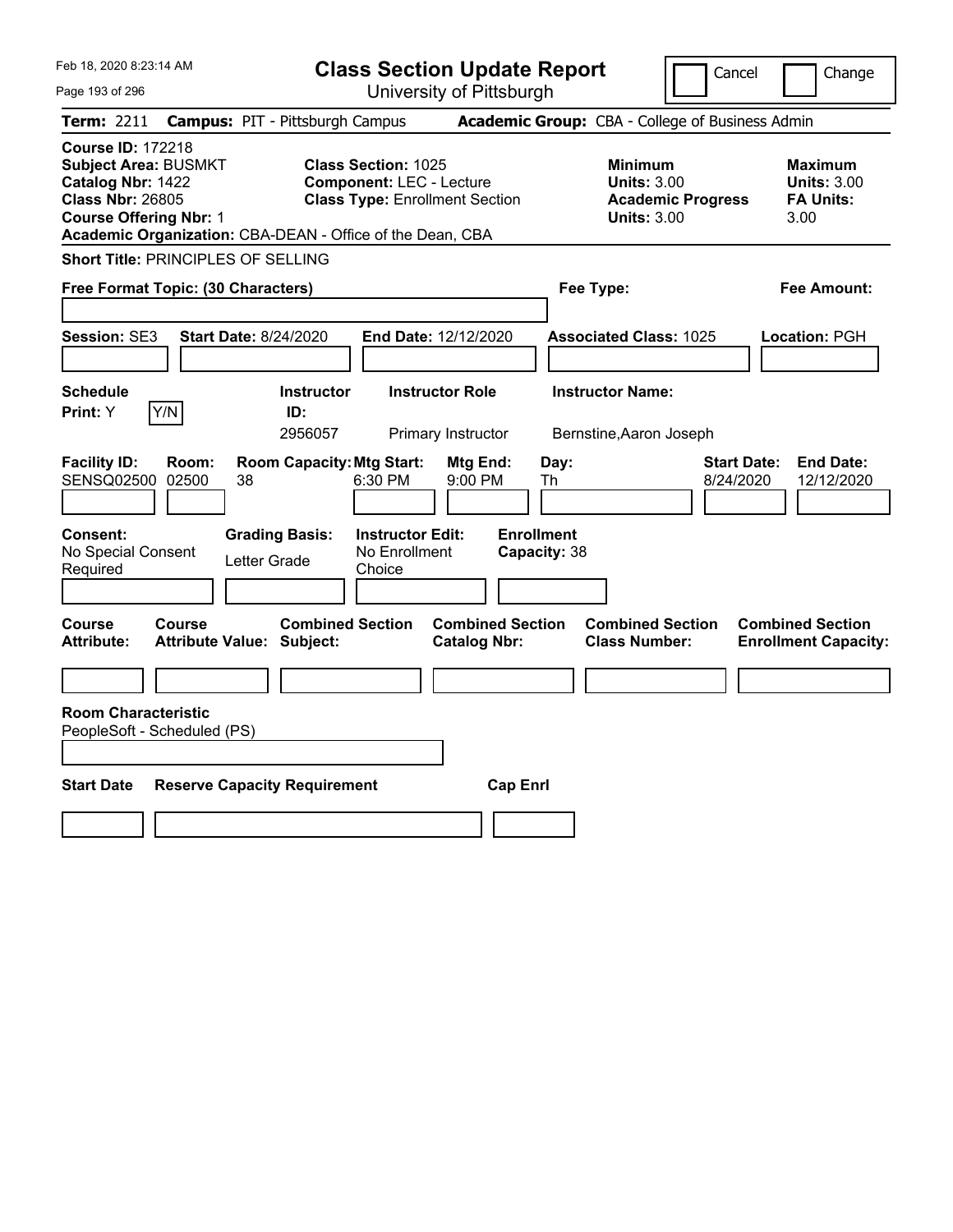| Feb 18, 2020 8:23:14 AM                                                                                                                  | <b>Class Section Update Report</b>                                                                                                                                                      | Cancel                                                                                  | Change                                                           |
|------------------------------------------------------------------------------------------------------------------------------------------|-----------------------------------------------------------------------------------------------------------------------------------------------------------------------------------------|-----------------------------------------------------------------------------------------|------------------------------------------------------------------|
| Page 193 of 296                                                                                                                          | University of Pittsburgh                                                                                                                                                                |                                                                                         |                                                                  |
| Term: 2211                                                                                                                               | <b>Campus: PIT - Pittsburgh Campus</b>                                                                                                                                                  | Academic Group: CBA - College of Business Admin                                         |                                                                  |
| <b>Course ID: 172218</b><br><b>Subject Area: BUSMKT</b><br>Catalog Nbr: 1422<br><b>Class Nbr: 26805</b><br><b>Course Offering Nbr: 1</b> | <b>Class Section: 1025</b><br><b>Component: LEC - Lecture</b><br><b>Class Type: Enrollment Section</b><br>Academic Organization: CBA-DEAN - Office of the Dean, CBA                     | <b>Minimum</b><br><b>Units: 3.00</b><br><b>Academic Progress</b><br><b>Units: 3.00</b>  | <b>Maximum</b><br><b>Units: 3.00</b><br><b>FA Units:</b><br>3.00 |
| <b>Short Title: PRINCIPLES OF SELLING</b>                                                                                                |                                                                                                                                                                                         |                                                                                         |                                                                  |
| Free Format Topic: (30 Characters)                                                                                                       |                                                                                                                                                                                         | Fee Type:                                                                               | Fee Amount:                                                      |
| Session: SE3<br><b>Start Date: 8/24/2020</b>                                                                                             | End Date: 12/12/2020                                                                                                                                                                    | <b>Associated Class: 1025</b>                                                           | Location: PGH                                                    |
| <b>Schedule</b><br>Y/N<br>Print: Y                                                                                                       | <b>Instructor Role</b><br><b>Instructor</b><br>ID:<br>2956057                                                                                                                           | <b>Instructor Name:</b>                                                                 |                                                                  |
| <b>Facility ID:</b><br>Room:<br>SENSQ02500 02500<br>38<br>Consent:<br>No Special Consent<br>Required                                     | Primary Instructor<br><b>Room Capacity: Mtg Start:</b><br>Mtg End:<br>6:30 PM<br>9:00 PM<br><b>Grading Basis:</b><br><b>Instructor Edit:</b><br>No Enrollment<br>Letter Grade<br>Choice | Bernstine, Aaron Joseph<br>Day:<br>8/24/2020<br>Th<br><b>Enrollment</b><br>Capacity: 38 | <b>End Date:</b><br><b>Start Date:</b><br>12/12/2020             |
| Course<br>Course<br><b>Attribute:</b><br><b>Attribute Value: Subject:</b>                                                                | <b>Combined Section</b><br><b>Combined Section</b><br><b>Catalog Nbr:</b>                                                                                                               | <b>Combined Section</b><br><b>Class Number:</b>                                         | <b>Combined Section</b><br><b>Enrollment Capacity:</b>           |
| <b>Room Characteristic</b><br>PeopleSoft - Scheduled (PS)                                                                                |                                                                                                                                                                                         |                                                                                         |                                                                  |
| <b>Start Date</b>                                                                                                                        | <b>Reserve Capacity Requirement</b><br><b>Cap Enrl</b>                                                                                                                                  |                                                                                         |                                                                  |
|                                                                                                                                          |                                                                                                                                                                                         |                                                                                         |                                                                  |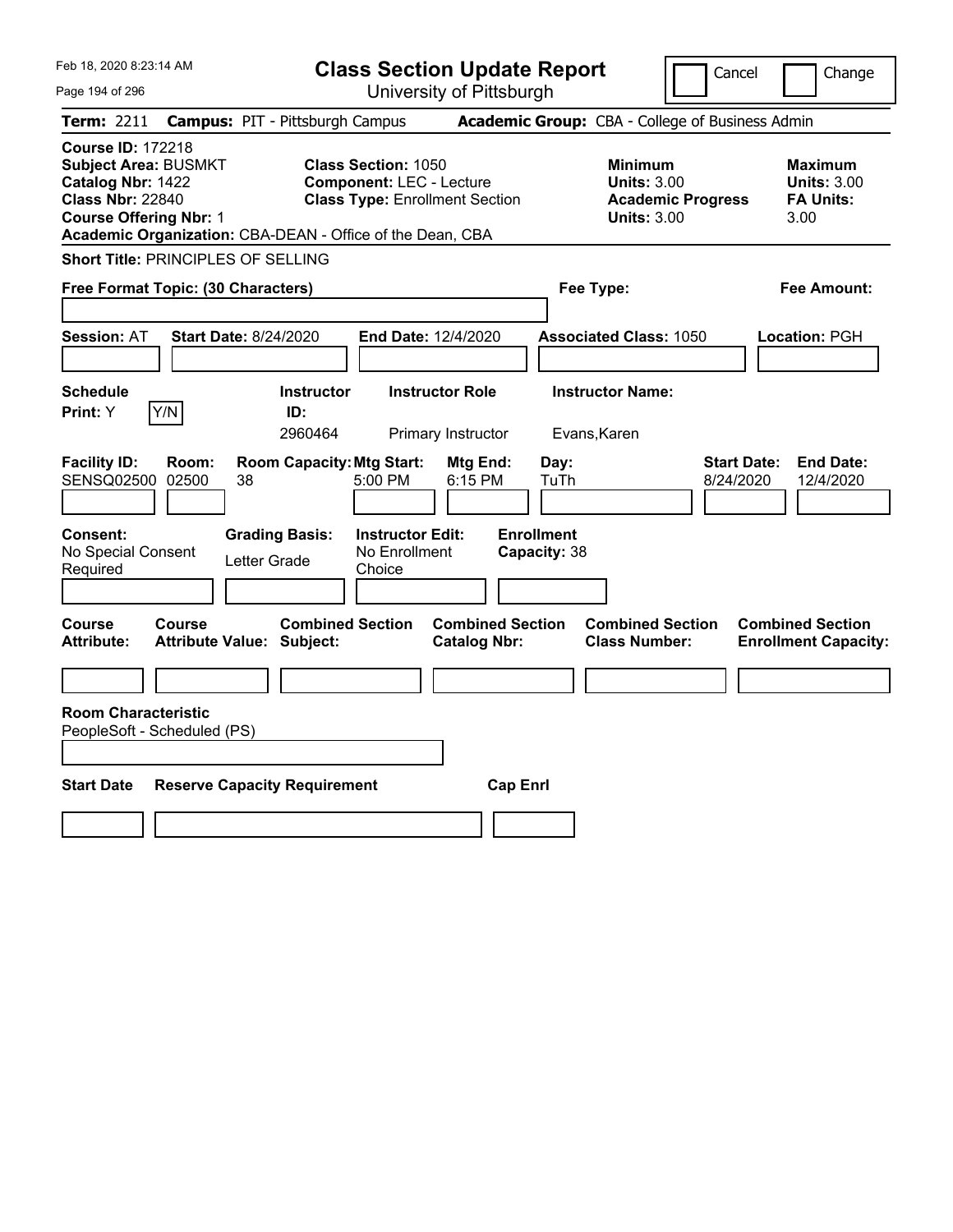| Feb 18, 2020 8:23:14 AM                                                                                                                                                                               | <b>Class Section Update Report</b>                                                                     |                                                | Cancel                                                                                 | Change                                                           |
|-------------------------------------------------------------------------------------------------------------------------------------------------------------------------------------------------------|--------------------------------------------------------------------------------------------------------|------------------------------------------------|----------------------------------------------------------------------------------------|------------------------------------------------------------------|
| Page 194 of 296                                                                                                                                                                                       |                                                                                                        | University of Pittsburgh                       |                                                                                        |                                                                  |
| <b>Term: 2211</b>                                                                                                                                                                                     | <b>Campus: PIT - Pittsburgh Campus</b>                                                                 |                                                | Academic Group: CBA - College of Business Admin                                        |                                                                  |
| <b>Course ID: 172218</b><br><b>Subject Area: BUSMKT</b><br>Catalog Nbr: 1422<br><b>Class Nbr: 22840</b><br><b>Course Offering Nbr: 1</b><br>Academic Organization: CBA-DEAN - Office of the Dean, CBA | <b>Class Section: 1050</b><br><b>Component: LEC - Lecture</b><br><b>Class Type: Enrollment Section</b> |                                                | <b>Minimum</b><br><b>Units: 3.00</b><br><b>Academic Progress</b><br><b>Units: 3.00</b> | <b>Maximum</b><br><b>Units: 3.00</b><br><b>FA Units:</b><br>3.00 |
| Short Title: PRINCIPLES OF SELLING                                                                                                                                                                    |                                                                                                        |                                                |                                                                                        |                                                                  |
| Free Format Topic: (30 Characters)                                                                                                                                                                    |                                                                                                        |                                                | Fee Type:                                                                              | Fee Amount:                                                      |
| <b>Session: AT</b><br><b>Start Date: 8/24/2020</b>                                                                                                                                                    | End Date: 12/4/2020                                                                                    |                                                | <b>Associated Class: 1050</b>                                                          | Location: PGH                                                    |
| <b>Schedule</b><br>Y/N<br>Print: Y                                                                                                                                                                    | <b>Instructor Role</b><br><b>Instructor</b><br>ID:<br>2960464                                          | Primary Instructor                             | <b>Instructor Name:</b><br>Evans, Karen                                                |                                                                  |
| <b>Facility ID:</b><br>Room:<br>SENSQ02500 02500<br>38                                                                                                                                                | <b>Room Capacity: Mtg Start:</b><br>5:00 PM                                                            | Mtg End:<br>Day:<br>6:15 PM<br>TuTh            | 8/24/2020                                                                              | <b>Start Date:</b><br><b>End Date:</b><br>12/4/2020              |
| <b>Consent:</b><br>No Special Consent<br>Required                                                                                                                                                     | <b>Grading Basis:</b><br><b>Instructor Edit:</b><br>No Enrollment<br>Letter Grade<br>Choice            | <b>Enrollment</b><br>Capacity: 38              |                                                                                        |                                                                  |
| Course<br>Course<br><b>Attribute Value: Subject:</b><br>Attribute:                                                                                                                                    | <b>Combined Section</b>                                                                                | <b>Combined Section</b><br><b>Catalog Nbr:</b> | <b>Combined Section</b><br><b>Class Number:</b>                                        | <b>Combined Section</b><br><b>Enrollment Capacity:</b>           |
|                                                                                                                                                                                                       |                                                                                                        |                                                |                                                                                        |                                                                  |
| <b>Room Characteristic</b><br>PeopleSoft - Scheduled (PS)                                                                                                                                             |                                                                                                        |                                                |                                                                                        |                                                                  |
| <b>Start Date</b>                                                                                                                                                                                     | <b>Reserve Capacity Requirement</b>                                                                    | <b>Cap Enrl</b>                                |                                                                                        |                                                                  |
|                                                                                                                                                                                                       |                                                                                                        |                                                |                                                                                        |                                                                  |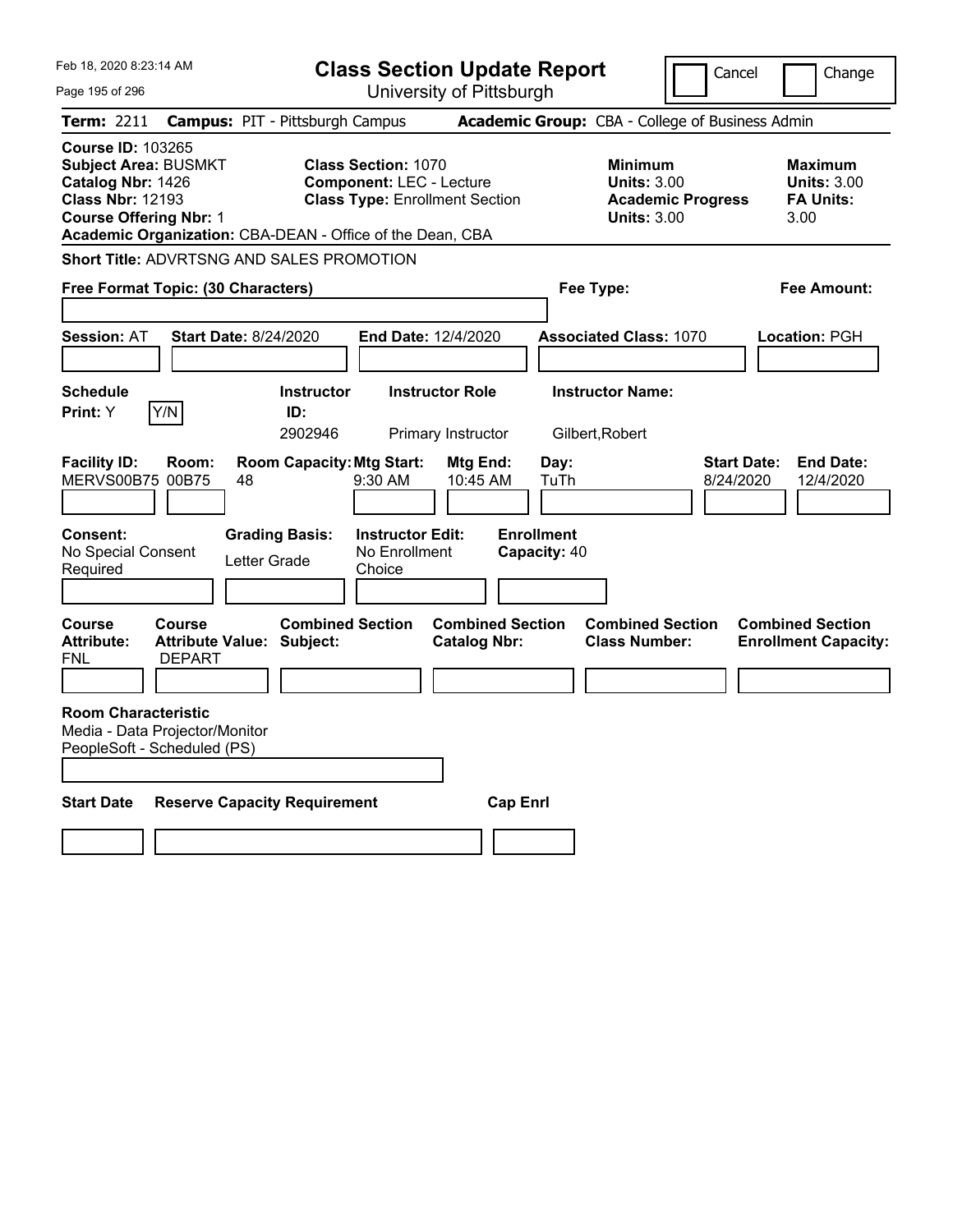|                                                                                                                            | Cancel                                                                                 | Change                                                                                                                                                                                                                                                               |
|----------------------------------------------------------------------------------------------------------------------------|----------------------------------------------------------------------------------------|----------------------------------------------------------------------------------------------------------------------------------------------------------------------------------------------------------------------------------------------------------------------|
|                                                                                                                            |                                                                                        |                                                                                                                                                                                                                                                                      |
| <b>Campus: PIT - Pittsburgh Campus</b>                                                                                     |                                                                                        |                                                                                                                                                                                                                                                                      |
| <b>Class Section: 1070</b><br><b>Component: LEC - Lecture</b><br>Academic Organization: CBA-DEAN - Office of the Dean, CBA | <b>Minimum</b><br><b>Units: 3.00</b><br><b>Academic Progress</b><br><b>Units: 3.00</b> | <b>Maximum</b><br><b>Units: 3.00</b><br><b>FA Units:</b><br>3.00                                                                                                                                                                                                     |
| <b>Short Title: ADVRTSNG AND SALES PROMOTION</b>                                                                           |                                                                                        |                                                                                                                                                                                                                                                                      |
| Free Format Topic: (30 Characters)                                                                                         | Fee Type:                                                                              | Fee Amount:                                                                                                                                                                                                                                                          |
| <b>Start Date: 8/24/2020</b><br>End Date: 12/4/2020                                                                        | <b>Associated Class: 1070</b>                                                          | Location: PGH                                                                                                                                                                                                                                                        |
| <b>Instructor Role</b><br><b>Instructor</b><br>ID:<br>2902946<br>Primary Instructor                                        | <b>Instructor Name:</b><br>Gilbert, Robert                                             |                                                                                                                                                                                                                                                                      |
| <b>Room Capacity: Mtg Start:</b><br>Mtg End:<br>9:30 AM<br>10:45 AM                                                        | Day:<br><b>Start Date:</b><br>TuTh<br>8/24/2020                                        | <b>End Date:</b><br>12/4/2020                                                                                                                                                                                                                                        |
| <b>Grading Basis:</b><br><b>Instructor Edit:</b><br>No Enrollment<br>Letter Grade<br>Choice                                |                                                                                        |                                                                                                                                                                                                                                                                      |
| <b>Combined Section</b><br><b>Attribute Value: Subject:</b>                                                                | <b>Combined Section</b><br><b>Class Number:</b>                                        | <b>Combined Section</b><br><b>Enrollment Capacity:</b>                                                                                                                                                                                                               |
|                                                                                                                            |                                                                                        |                                                                                                                                                                                                                                                                      |
| <b>Reserve Capacity Requirement</b>                                                                                        |                                                                                        |                                                                                                                                                                                                                                                                      |
|                                                                                                                            |                                                                                        | <b>Class Section Update Report</b><br>University of Pittsburgh<br>Academic Group: CBA - College of Business Admin<br><b>Class Type: Enrollment Section</b><br><b>Enrollment</b><br>Capacity: 40<br><b>Combined Section</b><br><b>Catalog Nbr:</b><br><b>Cap Enri</b> |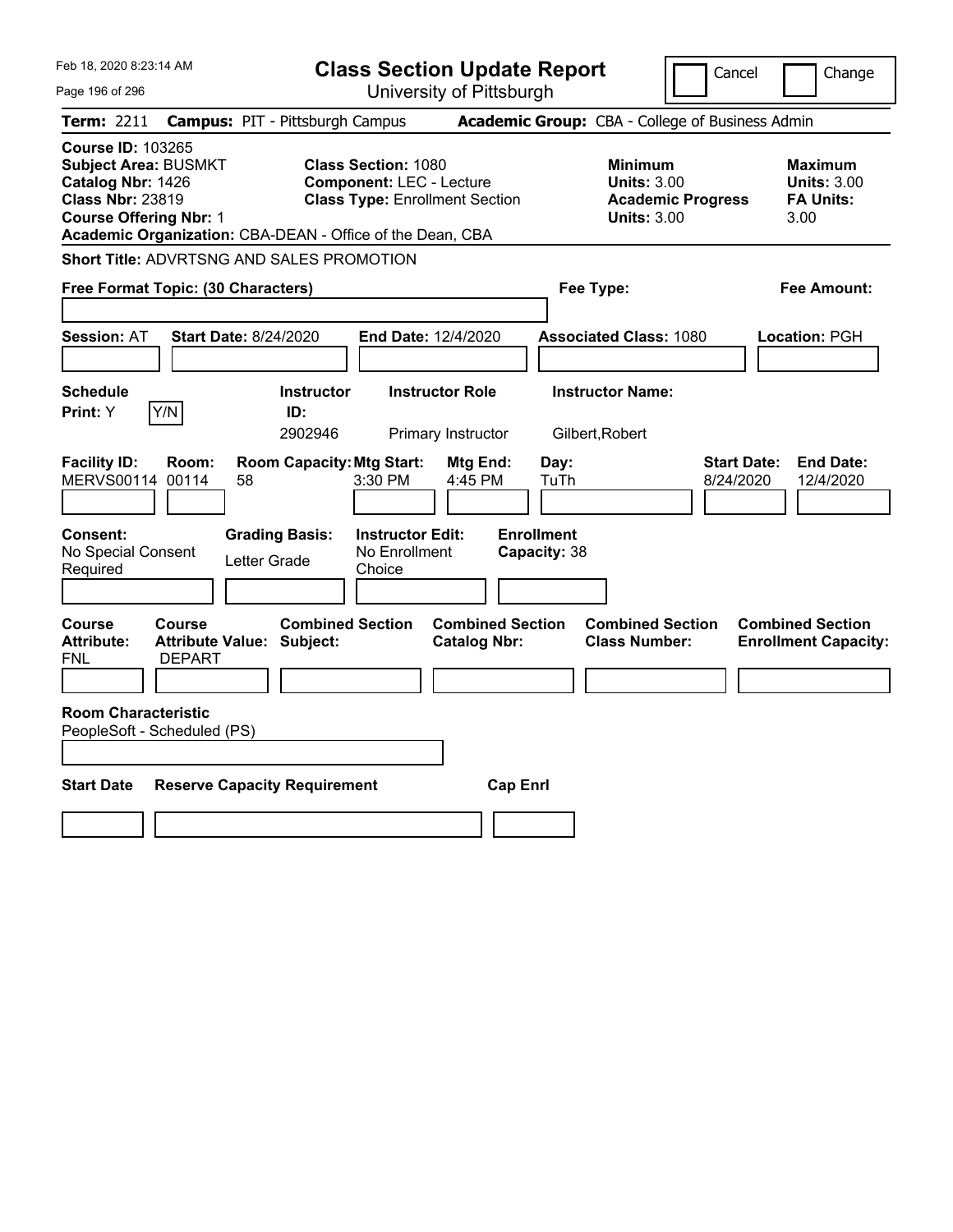| Feb 18, 2020 8:23:14 AM                                                                                                                                                                               |                                                                                                        | <b>Class Section Update Report</b>             |                                                                                        | Cancel<br>Change                                                 |
|-------------------------------------------------------------------------------------------------------------------------------------------------------------------------------------------------------|--------------------------------------------------------------------------------------------------------|------------------------------------------------|----------------------------------------------------------------------------------------|------------------------------------------------------------------|
| Page 196 of 296                                                                                                                                                                                       |                                                                                                        | University of Pittsburgh                       |                                                                                        |                                                                  |
| Term: 2211                                                                                                                                                                                            | <b>Campus: PIT - Pittsburgh Campus</b>                                                                 |                                                | Academic Group: CBA - College of Business Admin                                        |                                                                  |
| <b>Course ID: 103265</b><br><b>Subject Area: BUSMKT</b><br>Catalog Nbr: 1426<br><b>Class Nbr: 23819</b><br><b>Course Offering Nbr: 1</b><br>Academic Organization: CBA-DEAN - Office of the Dean, CBA | <b>Class Section: 1080</b><br><b>Component: LEC - Lecture</b><br><b>Class Type: Enrollment Section</b> |                                                | <b>Minimum</b><br><b>Units: 3.00</b><br><b>Academic Progress</b><br><b>Units: 3.00</b> | <b>Maximum</b><br><b>Units: 3.00</b><br><b>FA Units:</b><br>3.00 |
| <b>Short Title: ADVRTSNG AND SALES PROMOTION</b>                                                                                                                                                      |                                                                                                        |                                                |                                                                                        |                                                                  |
| Free Format Topic: (30 Characters)                                                                                                                                                                    |                                                                                                        |                                                | Fee Type:                                                                              | Fee Amount:                                                      |
| <b>Session: AT</b><br><b>Start Date: 8/24/2020</b>                                                                                                                                                    | <b>End Date: 12/4/2020</b>                                                                             |                                                | <b>Associated Class: 1080</b>                                                          | Location: PGH                                                    |
| <b>Schedule</b><br>Y/N<br>Print: Y                                                                                                                                                                    | <b>Instructor</b><br>ID:<br>2902946                                                                    | <b>Instructor Role</b><br>Primary Instructor   | <b>Instructor Name:</b><br>Gilbert, Robert                                             |                                                                  |
| <b>Facility ID:</b><br>Room:<br>MERVS00114 00114<br>58                                                                                                                                                | <b>Room Capacity: Mtg Start:</b><br>3:30 PM                                                            | Mtg End:<br>Day:<br>4:45 PM<br>TuTh            |                                                                                        | <b>Start Date:</b><br><b>End Date:</b><br>12/4/2020<br>8/24/2020 |
| Consent:<br>No Special Consent<br>Required                                                                                                                                                            | <b>Instructor Edit:</b><br><b>Grading Basis:</b><br>No Enrollment<br>Letter Grade<br>Choice            | <b>Enrollment</b><br>Capacity: 38              |                                                                                        |                                                                  |
| Course<br>Course<br><b>Attribute:</b><br><b>Attribute Value: Subject:</b><br><b>DEPART</b><br>FNL                                                                                                     | <b>Combined Section</b>                                                                                | <b>Combined Section</b><br><b>Catalog Nbr:</b> | <b>Combined Section</b><br><b>Class Number:</b>                                        | <b>Combined Section</b><br><b>Enrollment Capacity:</b>           |
| <b>Room Characteristic</b><br>PeopleSoft - Scheduled (PS)                                                                                                                                             |                                                                                                        |                                                |                                                                                        |                                                                  |
| <b>Start Date</b>                                                                                                                                                                                     | <b>Reserve Capacity Requirement</b>                                                                    | <b>Cap Enrl</b>                                |                                                                                        |                                                                  |
|                                                                                                                                                                                                       |                                                                                                        |                                                |                                                                                        |                                                                  |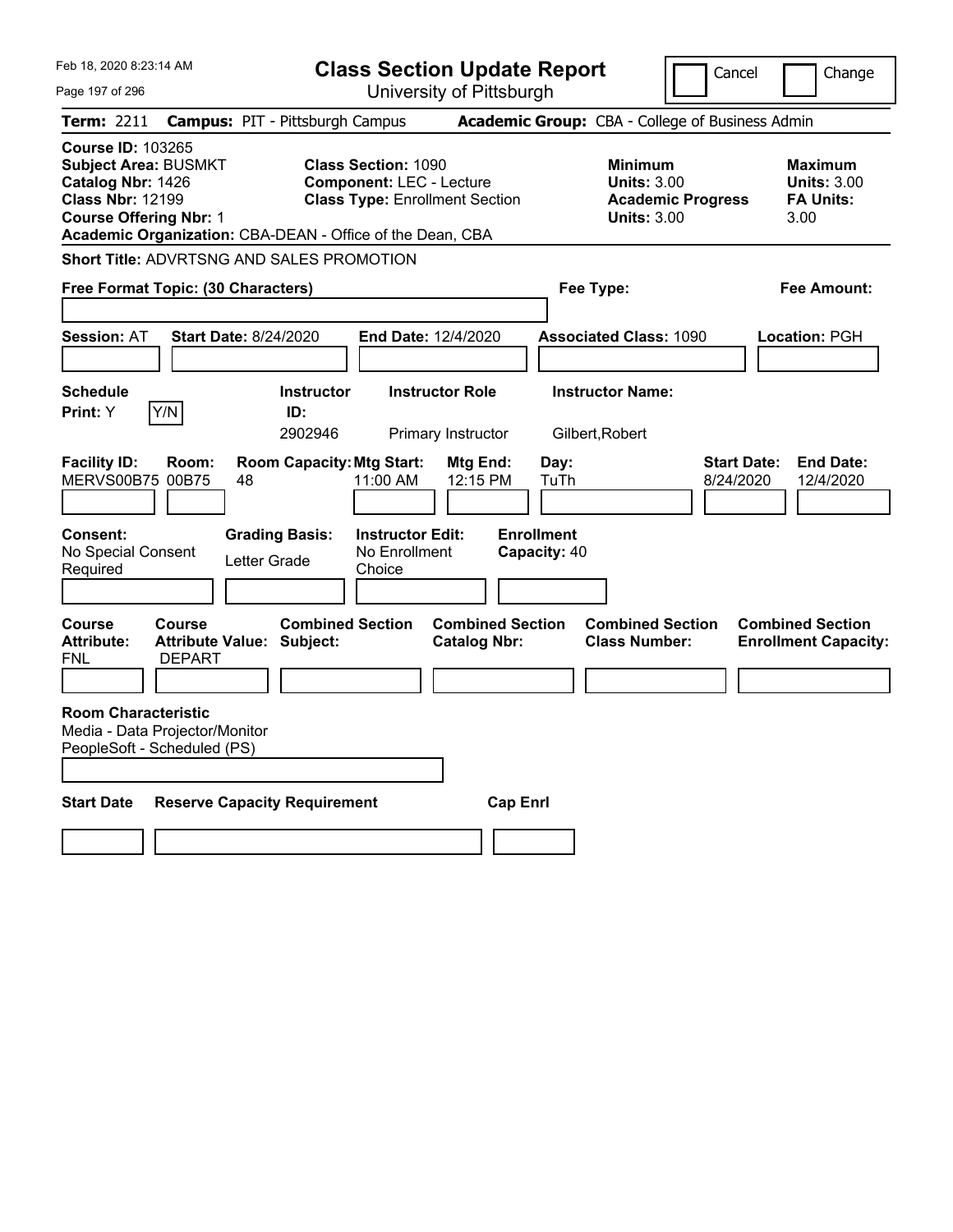| Feb 18, 2020 8:23:14 AM                                                                                                                  |                                                                    |                                                                           | <b>Class Section Update Report</b>                                                                     |                                                |                                                   |                                                            | Cancel                                          | Change                                                           |
|------------------------------------------------------------------------------------------------------------------------------------------|--------------------------------------------------------------------|---------------------------------------------------------------------------|--------------------------------------------------------------------------------------------------------|------------------------------------------------|---------------------------------------------------|------------------------------------------------------------|-------------------------------------------------|------------------------------------------------------------------|
| Page 197 of 296                                                                                                                          |                                                                    |                                                                           |                                                                                                        | University of Pittsburgh                       |                                                   |                                                            |                                                 |                                                                  |
| Term: 2211                                                                                                                               | <b>Campus: PIT - Pittsburgh Campus</b>                             |                                                                           |                                                                                                        |                                                |                                                   |                                                            | Academic Group: CBA - College of Business Admin |                                                                  |
| <b>Course ID: 103265</b><br><b>Subject Area: BUSMKT</b><br>Catalog Nbr: 1426<br><b>Class Nbr: 12199</b><br><b>Course Offering Nbr: 1</b> | Academic Organization: CBA-DEAN - Office of the Dean, CBA          |                                                                           | <b>Class Section: 1090</b><br><b>Component: LEC - Lecture</b><br><b>Class Type: Enrollment Section</b> |                                                |                                                   | <b>Minimum</b><br><b>Units: 3.00</b><br><b>Units: 3.00</b> | <b>Academic Progress</b>                        | <b>Maximum</b><br><b>Units: 3.00</b><br><b>FA Units:</b><br>3.00 |
|                                                                                                                                          | <b>Short Title: ADVRTSNG AND SALES PROMOTION</b>                   |                                                                           |                                                                                                        |                                                |                                                   |                                                            |                                                 |                                                                  |
|                                                                                                                                          | Free Format Topic: (30 Characters)                                 |                                                                           |                                                                                                        |                                                | Fee Type:                                         |                                                            |                                                 | Fee Amount:                                                      |
|                                                                                                                                          |                                                                    |                                                                           |                                                                                                        |                                                |                                                   |                                                            |                                                 |                                                                  |
| <b>Session: AT</b>                                                                                                                       | <b>Start Date: 8/24/2020</b>                                       |                                                                           | End Date: 12/4/2020                                                                                    |                                                |                                                   | <b>Associated Class: 1090</b>                              |                                                 | Location: PGH                                                    |
|                                                                                                                                          |                                                                    |                                                                           |                                                                                                        |                                                |                                                   |                                                            |                                                 |                                                                  |
| <b>Schedule</b>                                                                                                                          |                                                                    | <b>Instructor</b>                                                         |                                                                                                        | <b>Instructor Role</b>                         |                                                   | <b>Instructor Name:</b>                                    |                                                 |                                                                  |
| Print: Y                                                                                                                                 | Y/N                                                                | ID:<br>2902946                                                            |                                                                                                        | Primary Instructor                             |                                                   | Gilbert, Robert                                            |                                                 |                                                                  |
| <b>Facility ID:</b><br>MERVS00B75 00B75<br><b>Consent:</b><br>No Special Consent                                                         | Room:<br>48                                                        | <b>Room Capacity: Mtg Start:</b><br><b>Grading Basis:</b><br>Letter Grade | 11:00 AM<br><b>Instructor Edit:</b><br>No Enrollment                                                   | Mtg End:<br>12:15 PM                           | Day:<br>TuTh<br><b>Enrollment</b><br>Capacity: 40 |                                                            | <b>Start Date:</b><br>8/24/2020                 | <b>End Date:</b><br>12/4/2020                                    |
| Required                                                                                                                                 |                                                                    |                                                                           | Choice                                                                                                 |                                                |                                                   |                                                            |                                                 |                                                                  |
| Course<br><b>Attribute:</b><br>FNL                                                                                                       | <b>Course</b><br><b>Attribute Value: Subject:</b><br><b>DEPART</b> | <b>Combined Section</b>                                                   |                                                                                                        | <b>Combined Section</b><br><b>Catalog Nbr:</b> |                                                   | <b>Combined Section</b><br><b>Class Number:</b>            |                                                 | <b>Combined Section</b><br><b>Enrollment Capacity:</b>           |
| <b>Room Characteristic</b>                                                                                                               | Media - Data Projector/Monitor<br>PeopleSoft - Scheduled (PS)      |                                                                           |                                                                                                        |                                                |                                                   |                                                            |                                                 |                                                                  |
| <b>Start Date</b>                                                                                                                        | <b>Reserve Capacity Requirement</b>                                |                                                                           |                                                                                                        | <b>Cap Enri</b>                                |                                                   |                                                            |                                                 |                                                                  |
|                                                                                                                                          |                                                                    |                                                                           |                                                                                                        |                                                |                                                   |                                                            |                                                 |                                                                  |
|                                                                                                                                          |                                                                    |                                                                           |                                                                                                        |                                                |                                                   |                                                            |                                                 |                                                                  |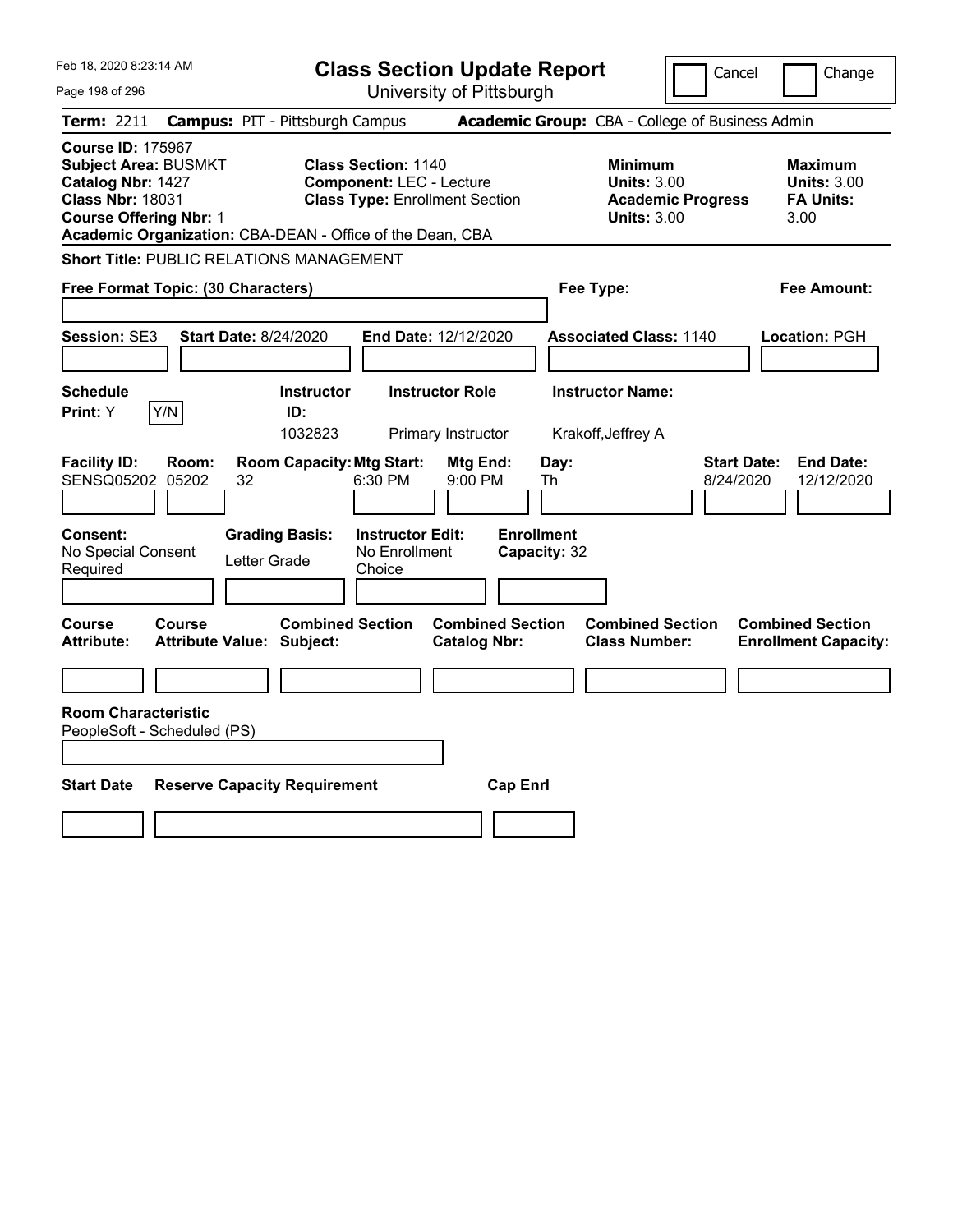| Feb 18, 2020 8:23:14 AM                                                                                                                                                                               |                                                                                                        | <b>Class Section Update Report</b>             |                                                                                        | Cancel<br>Change                                                  |
|-------------------------------------------------------------------------------------------------------------------------------------------------------------------------------------------------------|--------------------------------------------------------------------------------------------------------|------------------------------------------------|----------------------------------------------------------------------------------------|-------------------------------------------------------------------|
| Page 198 of 296                                                                                                                                                                                       |                                                                                                        | University of Pittsburgh                       |                                                                                        |                                                                   |
| <b>Term: 2211</b>                                                                                                                                                                                     | <b>Campus: PIT - Pittsburgh Campus</b>                                                                 |                                                | Academic Group: CBA - College of Business Admin                                        |                                                                   |
| <b>Course ID: 175967</b><br><b>Subject Area: BUSMKT</b><br>Catalog Nbr: 1427<br><b>Class Nbr: 18031</b><br><b>Course Offering Nbr: 1</b><br>Academic Organization: CBA-DEAN - Office of the Dean, CBA | <b>Class Section: 1140</b><br><b>Component: LEC - Lecture</b><br><b>Class Type: Enrollment Section</b> |                                                | <b>Minimum</b><br><b>Units: 3.00</b><br><b>Academic Progress</b><br><b>Units: 3.00</b> | <b>Maximum</b><br><b>Units: 3.00</b><br><b>FA Units:</b><br>3.00  |
| <b>Short Title: PUBLIC RELATIONS MANAGEMENT</b>                                                                                                                                                       |                                                                                                        |                                                |                                                                                        |                                                                   |
| Free Format Topic: (30 Characters)                                                                                                                                                                    |                                                                                                        |                                                | Fee Type:                                                                              | Fee Amount:                                                       |
| Session: SE3                                                                                                                                                                                          | <b>Start Date: 8/24/2020</b>                                                                           | End Date: 12/12/2020                           | <b>Associated Class: 1140</b>                                                          | Location: PGH                                                     |
| <b>Schedule</b><br>Y/N<br>Print: Y                                                                                                                                                                    | <b>Instructor</b><br>ID:<br>1032823                                                                    | <b>Instructor Role</b><br>Primary Instructor   | <b>Instructor Name:</b><br>Krakoff, Jeffrey A                                          |                                                                   |
| <b>Facility ID:</b><br>Room:<br>SENSQ05202<br>05202<br>32                                                                                                                                             | <b>Room Capacity: Mtg Start:</b><br>6:30 PM                                                            | Mtg End:<br>9:00 PM                            | Day:<br>Th                                                                             | <b>Start Date:</b><br><b>End Date:</b><br>12/12/2020<br>8/24/2020 |
| Consent:<br>No Special Consent<br>Required                                                                                                                                                            | <b>Grading Basis:</b><br><b>Instructor Edit:</b><br>No Enrollment<br>Letter Grade<br>Choice            | <b>Enrollment</b><br>Capacity: 32              |                                                                                        |                                                                   |
| Course<br>Course<br><b>Attribute Value: Subject:</b><br>Attribute:                                                                                                                                    | <b>Combined Section</b>                                                                                | <b>Combined Section</b><br><b>Catalog Nbr:</b> | <b>Combined Section</b><br><b>Class Number:</b>                                        | <b>Combined Section</b><br><b>Enrollment Capacity:</b>            |
| <b>Room Characteristic</b><br>PeopleSoft - Scheduled (PS)                                                                                                                                             |                                                                                                        |                                                |                                                                                        |                                                                   |
| <b>Start Date</b>                                                                                                                                                                                     | <b>Reserve Capacity Requirement</b>                                                                    | <b>Cap Enrl</b>                                |                                                                                        |                                                                   |
|                                                                                                                                                                                                       |                                                                                                        |                                                |                                                                                        |                                                                   |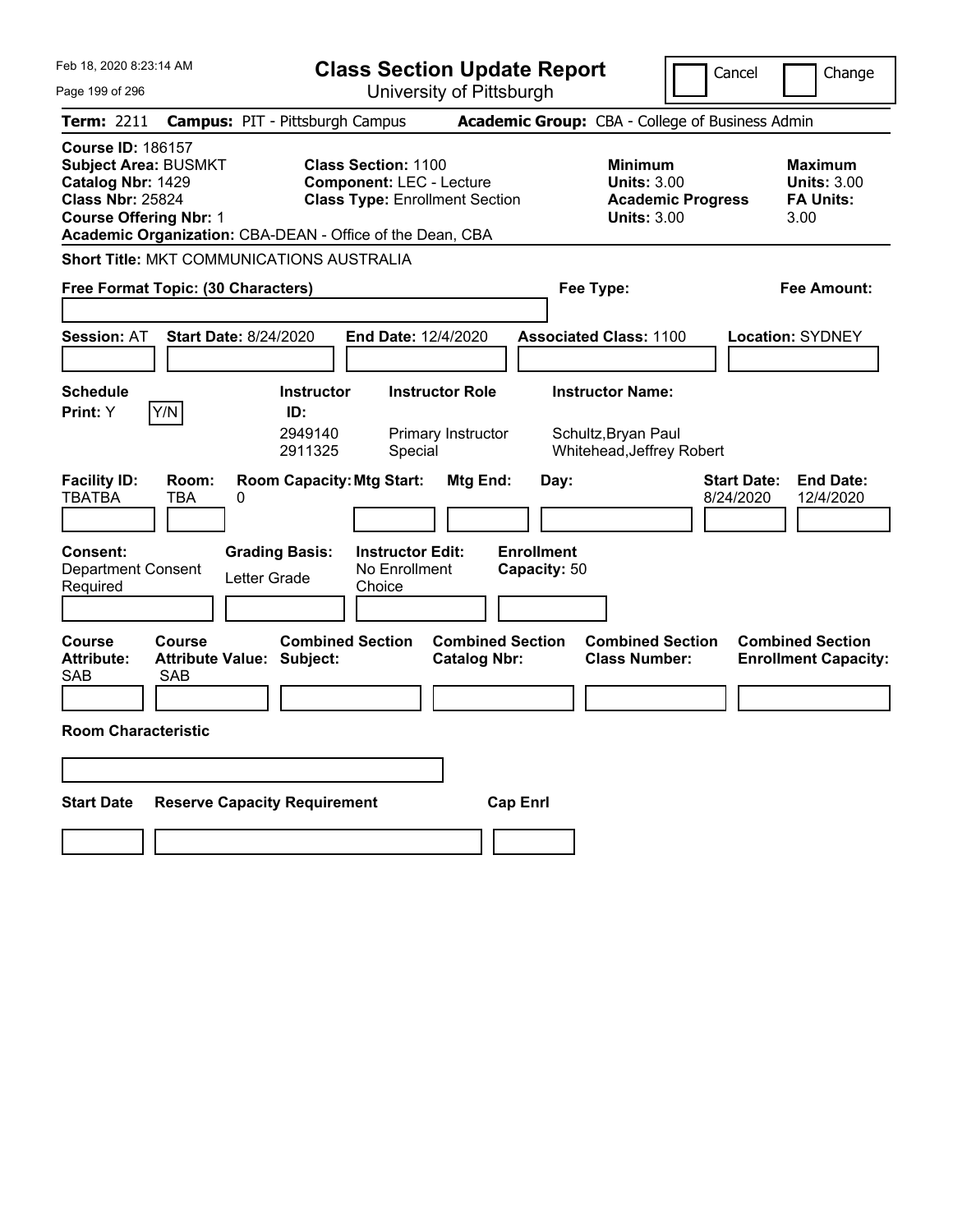| Feb 18, 2020 8:23:14 AM                                                                                                                                                                               | <b>Class Section Update Report</b>                                                                     |                                                                            | Cancel<br>Change                                                                             |
|-------------------------------------------------------------------------------------------------------------------------------------------------------------------------------------------------------|--------------------------------------------------------------------------------------------------------|----------------------------------------------------------------------------|----------------------------------------------------------------------------------------------|
| Page 199 of 296                                                                                                                                                                                       | University of Pittsburgh                                                                               |                                                                            |                                                                                              |
| <b>Term: 2211</b>                                                                                                                                                                                     | <b>Campus: PIT - Pittsburgh Campus</b>                                                                 | Academic Group: CBA - College of Business Admin                            |                                                                                              |
| <b>Course ID: 186157</b><br><b>Subject Area: BUSMKT</b><br>Catalog Nbr: 1429<br><b>Class Nbr: 25824</b><br><b>Course Offering Nbr: 1</b><br>Academic Organization: CBA-DEAN - Office of the Dean, CBA | <b>Class Section: 1100</b><br><b>Component: LEC - Lecture</b><br><b>Class Type: Enrollment Section</b> | <b>Minimum</b><br><b>Units: 3.00</b><br><b>Units: 3.00</b>                 | <b>Maximum</b><br><b>Units: 3.00</b><br><b>Academic Progress</b><br><b>FA Units:</b><br>3.00 |
| Short Title: MKT COMMUNICATIONS AUSTRALIA                                                                                                                                                             |                                                                                                        |                                                                            |                                                                                              |
| Free Format Topic: (30 Characters)                                                                                                                                                                    |                                                                                                        | Fee Type:                                                                  | Fee Amount:                                                                                  |
| <b>Start Date: 8/24/2020</b><br><b>Session: AT</b>                                                                                                                                                    | End Date: 12/4/2020                                                                                    | <b>Associated Class: 1100</b>                                              | <b>Location: SYDNEY</b>                                                                      |
| <b>Schedule</b>                                                                                                                                                                                       | <b>Instructor Role</b><br><b>Instructor</b>                                                            | <b>Instructor Name:</b>                                                    |                                                                                              |
| Y/N<br>Print: Y                                                                                                                                                                                       | ID:                                                                                                    |                                                                            |                                                                                              |
|                                                                                                                                                                                                       | 2949140<br>Primary Instructor<br>2911325<br>Special                                                    | Schultz, Bryan Paul<br>Whitehead, Jeffrey Robert                           |                                                                                              |
| <b>Facility ID:</b><br>Room:<br><b>TBATBA</b><br><b>TBA</b><br>0                                                                                                                                      | <b>Room Capacity: Mtg Start:</b><br>Mtg End:                                                           | Day:                                                                       | <b>End Date:</b><br><b>Start Date:</b><br>8/24/2020<br>12/4/2020                             |
| <b>Grading Basis:</b><br><b>Consent:</b><br><b>Department Consent</b><br>Letter Grade<br>Required                                                                                                     | <b>Instructor Edit:</b><br>No Enrollment<br>Choice                                                     | <b>Enrollment</b><br>Capacity: 50                                          |                                                                                              |
| <b>Course</b><br><b>Course</b><br><b>Attribute:</b><br><b>Attribute Value: Subject:</b><br><b>SAB</b><br>SAB                                                                                          | <b>Combined Section</b><br><b>Catalog Nbr:</b>                                                         | <b>Combined Section</b><br><b>Combined Section</b><br><b>Class Number:</b> | <b>Combined Section</b><br><b>Enrollment Capacity:</b>                                       |
| <b>Room Characteristic</b>                                                                                                                                                                            |                                                                                                        |                                                                            |                                                                                              |
|                                                                                                                                                                                                       |                                                                                                        |                                                                            |                                                                                              |
|                                                                                                                                                                                                       |                                                                                                        |                                                                            |                                                                                              |
| <b>Start Date</b><br><b>Reserve Capacity Requirement</b>                                                                                                                                              |                                                                                                        | <b>Cap Enrl</b>                                                            |                                                                                              |
|                                                                                                                                                                                                       |                                                                                                        |                                                                            |                                                                                              |
|                                                                                                                                                                                                       |                                                                                                        |                                                                            |                                                                                              |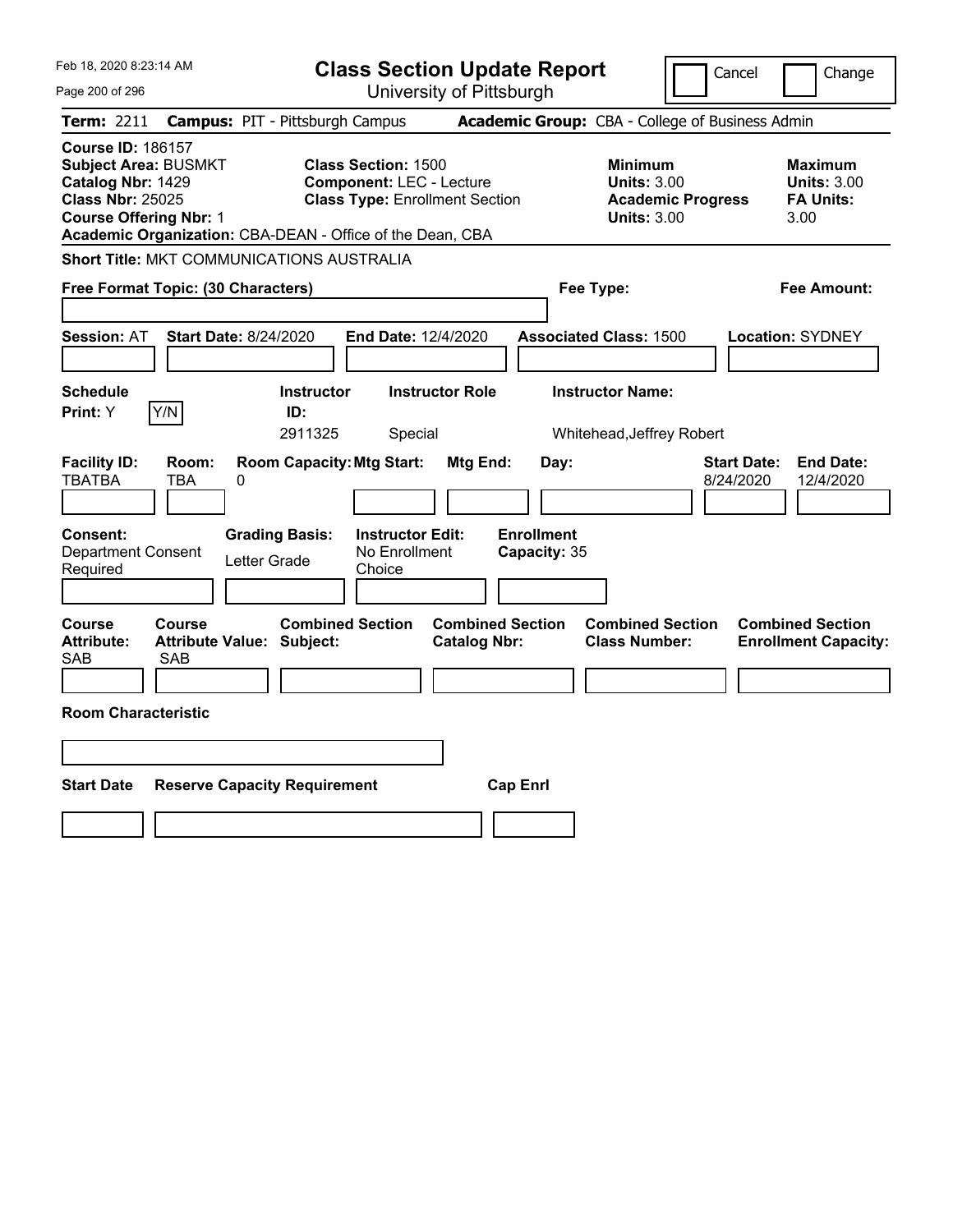| Feb 18, 2020 8:23:14 AM                                                                                                                                                                               | <b>Class Section Update Report</b>                                                                     | Cancel                                                                                 | Change                                                           |
|-------------------------------------------------------------------------------------------------------------------------------------------------------------------------------------------------------|--------------------------------------------------------------------------------------------------------|----------------------------------------------------------------------------------------|------------------------------------------------------------------|
| Page 200 of 296                                                                                                                                                                                       | University of Pittsburgh                                                                               |                                                                                        |                                                                  |
| <b>Term: 2211</b>                                                                                                                                                                                     | <b>Campus: PIT - Pittsburgh Campus</b>                                                                 | Academic Group: CBA - College of Business Admin                                        |                                                                  |
| <b>Course ID: 186157</b><br><b>Subject Area: BUSMKT</b><br>Catalog Nbr: 1429<br><b>Class Nbr: 25025</b><br><b>Course Offering Nbr: 1</b><br>Academic Organization: CBA-DEAN - Office of the Dean, CBA | <b>Class Section: 1500</b><br><b>Component: LEC - Lecture</b><br><b>Class Type: Enrollment Section</b> | <b>Minimum</b><br><b>Units: 3.00</b><br><b>Academic Progress</b><br><b>Units: 3.00</b> | <b>Maximum</b><br><b>Units: 3.00</b><br><b>FA Units:</b><br>3.00 |
| <b>Short Title: MKT COMMUNICATIONS AUSTRALIA</b>                                                                                                                                                      |                                                                                                        |                                                                                        |                                                                  |
| Free Format Topic: (30 Characters)                                                                                                                                                                    |                                                                                                        | Fee Type:                                                                              | Fee Amount:                                                      |
| <b>Start Date: 8/24/2020</b><br><b>Session: AT</b>                                                                                                                                                    | End Date: 12/4/2020                                                                                    | <b>Associated Class: 1500</b>                                                          | <b>Location: SYDNEY</b>                                          |
| <b>Schedule</b><br>Y/N<br><b>Print:</b> Y                                                                                                                                                             | <b>Instructor Role</b><br><b>Instructor</b><br>ID:<br>2911325<br>Special                               | <b>Instructor Name:</b><br>Whitehead, Jeffrey Robert                                   |                                                                  |
| <b>Facility ID:</b><br>Room:<br><b>TBATBA</b><br>0<br>TBA                                                                                                                                             | <b>Room Capacity: Mtg Start:</b><br>Mtg End:                                                           | <b>Start Date:</b><br>Day:<br>8/24/2020                                                | <b>End Date:</b><br>12/4/2020                                    |
| Consent:<br><b>Grading Basis:</b><br><b>Department Consent</b><br>Letter Grade<br>Required                                                                                                            | <b>Instructor Edit:</b><br>No Enrollment<br>Choice                                                     | <b>Enrollment</b><br>Capacity: 35                                                      |                                                                  |
| Course<br><b>Course</b><br><b>Attribute:</b><br><b>Attribute Value: Subject:</b><br>SAB<br><b>SAB</b>                                                                                                 | <b>Combined Section</b><br><b>Combined Section</b><br><b>Catalog Nbr:</b>                              | <b>Combined Section</b><br><b>Class Number:</b>                                        | <b>Combined Section</b><br><b>Enrollment Capacity:</b>           |
| <b>Room Characteristic</b>                                                                                                                                                                            |                                                                                                        |                                                                                        |                                                                  |
|                                                                                                                                                                                                       |                                                                                                        |                                                                                        |                                                                  |
| <b>Start Date</b><br><b>Reserve Capacity Requirement</b>                                                                                                                                              | <b>Cap Enrl</b>                                                                                        |                                                                                        |                                                                  |
|                                                                                                                                                                                                       |                                                                                                        |                                                                                        |                                                                  |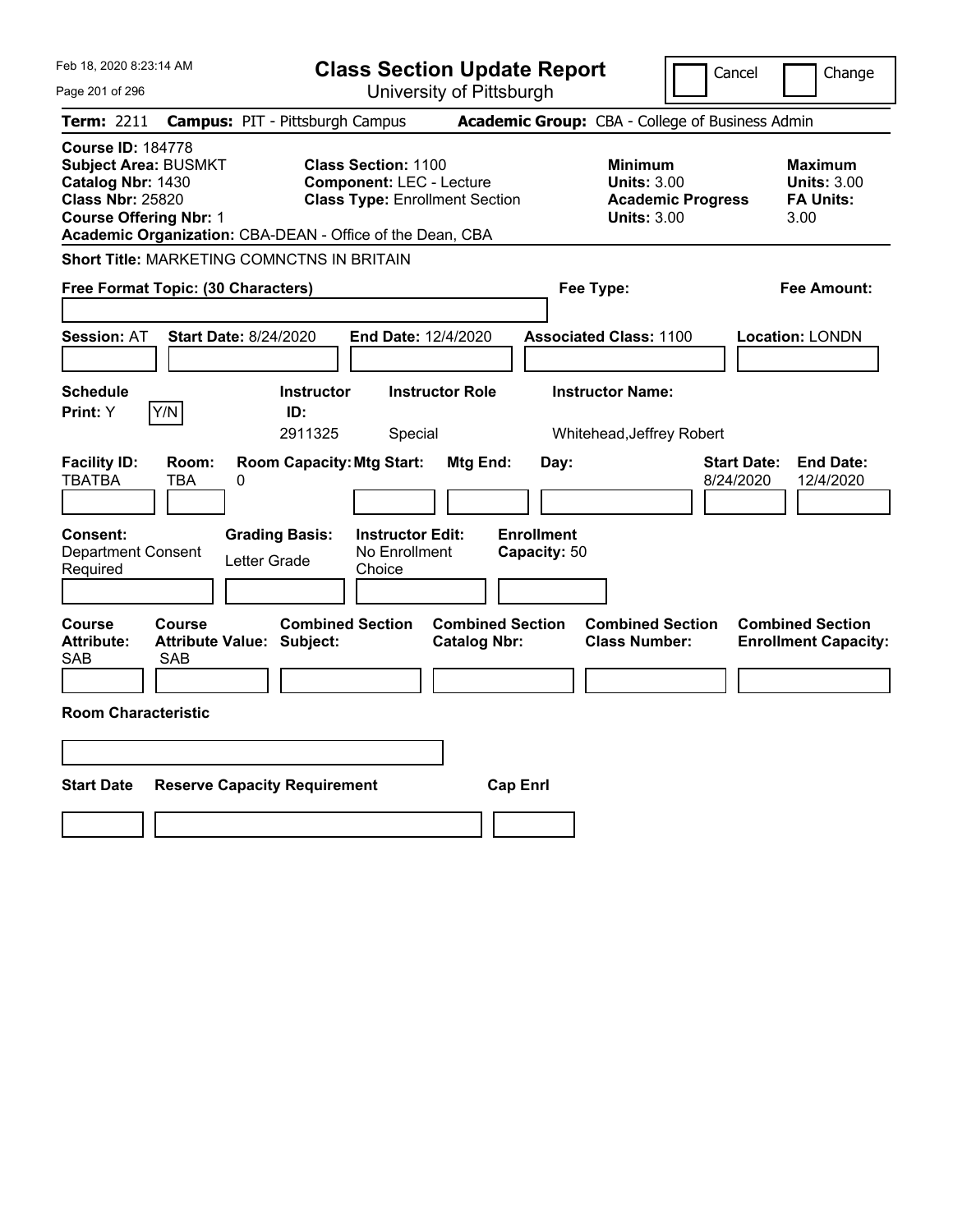| Feb 18, 2020 8:23:14 AM                                                                                                                                                                               | <b>Class Section Update Report</b>                                                                     |                                                |                                                                                        | Cancel<br>Change                                                 |
|-------------------------------------------------------------------------------------------------------------------------------------------------------------------------------------------------------|--------------------------------------------------------------------------------------------------------|------------------------------------------------|----------------------------------------------------------------------------------------|------------------------------------------------------------------|
| Page 201 of 296                                                                                                                                                                                       |                                                                                                        | University of Pittsburgh                       |                                                                                        |                                                                  |
| <b>Term: 2211</b>                                                                                                                                                                                     | <b>Campus: PIT - Pittsburgh Campus</b>                                                                 |                                                | Academic Group: CBA - College of Business Admin                                        |                                                                  |
| <b>Course ID: 184778</b><br><b>Subject Area: BUSMKT</b><br>Catalog Nbr: 1430<br><b>Class Nbr: 25820</b><br><b>Course Offering Nbr: 1</b><br>Academic Organization: CBA-DEAN - Office of the Dean, CBA | <b>Class Section: 1100</b><br><b>Component: LEC - Lecture</b><br><b>Class Type: Enrollment Section</b> |                                                | <b>Minimum</b><br><b>Units: 3.00</b><br><b>Academic Progress</b><br><b>Units: 3.00</b> | <b>Maximum</b><br><b>Units: 3.00</b><br><b>FA Units:</b><br>3.00 |
| Short Title: MARKETING COMNCTNS IN BRITAIN                                                                                                                                                            |                                                                                                        |                                                |                                                                                        |                                                                  |
| Free Format Topic: (30 Characters)                                                                                                                                                                    |                                                                                                        |                                                | Fee Type:                                                                              | Fee Amount:                                                      |
| <b>Session: AT</b><br><b>Start Date: 8/24/2020</b>                                                                                                                                                    | End Date: 12/4/2020                                                                                    |                                                | <b>Associated Class: 1100</b>                                                          | Location: LONDN                                                  |
| <b>Schedule</b><br>Y/N<br>Print: Y                                                                                                                                                                    | <b>Instructor Role</b><br><b>Instructor</b><br>ID:<br>2911325<br>Special                               |                                                | <b>Instructor Name:</b><br>Whitehead, Jeffrey Robert                                   |                                                                  |
| <b>Facility ID:</b><br>Room:<br><b>TBATBA</b><br>TBA<br>0                                                                                                                                             | <b>Room Capacity: Mtg Start:</b>                                                                       | Mtg End:<br>Day:                               |                                                                                        | <b>Start Date:</b><br><b>End Date:</b><br>8/24/2020<br>12/4/2020 |
| <b>Consent:</b><br><b>Department Consent</b><br>Required                                                                                                                                              | <b>Grading Basis:</b><br><b>Instructor Edit:</b><br>No Enrollment<br>Letter Grade<br>Choice            | <b>Enrollment</b><br>Capacity: 50              |                                                                                        |                                                                  |
| <b>Course</b><br>Course<br><b>Attribute:</b><br><b>Attribute Value: Subject:</b><br><b>SAB</b><br>SAB                                                                                                 | <b>Combined Section</b>                                                                                | <b>Combined Section</b><br><b>Catalog Nbr:</b> | <b>Combined Section</b><br><b>Class Number:</b>                                        | <b>Combined Section</b><br><b>Enrollment Capacity:</b>           |
| <b>Room Characteristic</b>                                                                                                                                                                            |                                                                                                        |                                                |                                                                                        |                                                                  |
| <b>Start Date</b>                                                                                                                                                                                     | <b>Reserve Capacity Requirement</b>                                                                    | <b>Cap Enrl</b>                                |                                                                                        |                                                                  |
|                                                                                                                                                                                                       |                                                                                                        |                                                |                                                                                        |                                                                  |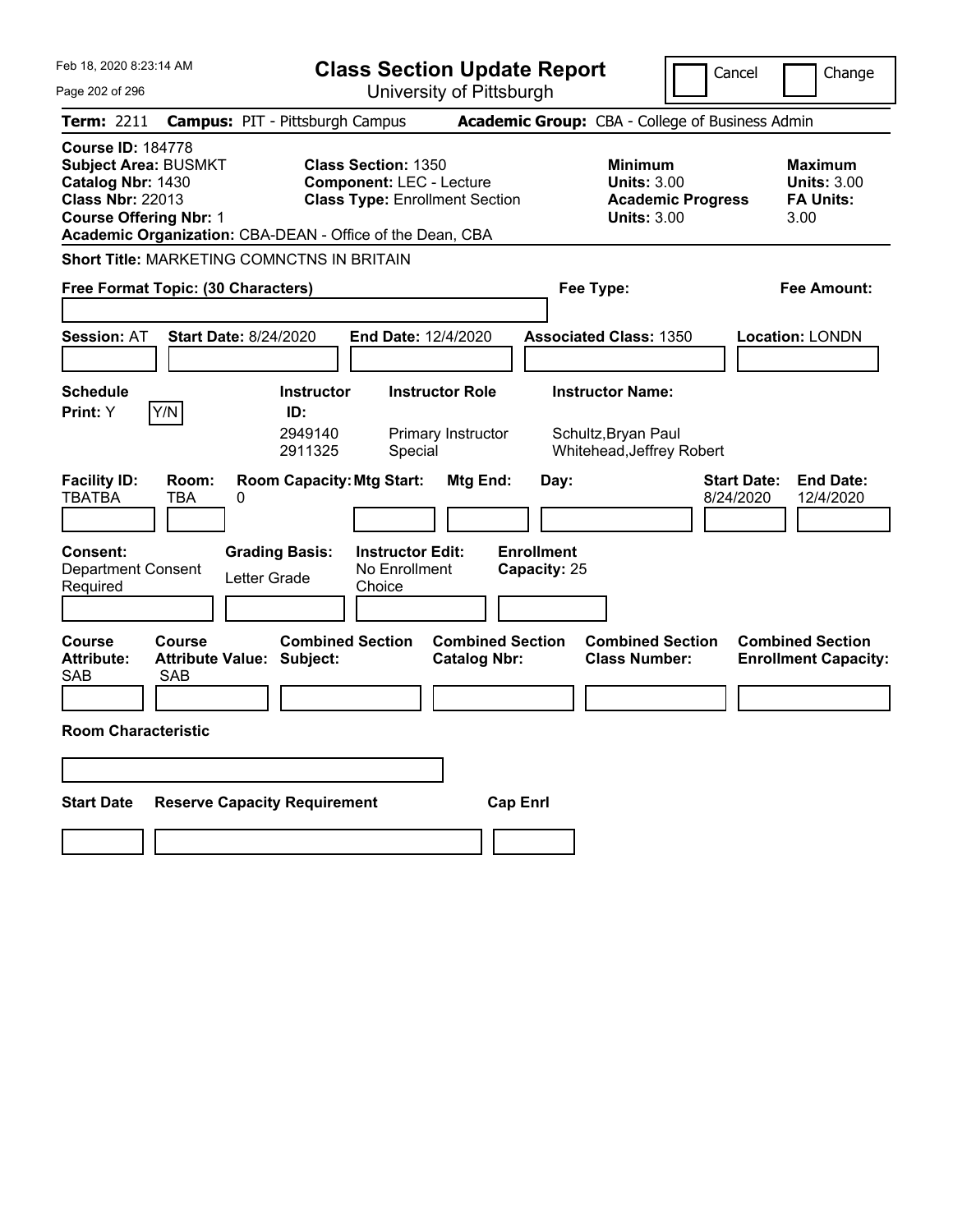| Feb 18, 2020 8:23:14 AM                                                                                                                  | <b>Class Section Update Report</b>                                                                                                                                  |                                                                                        | Cancel<br>Change                                                 |
|------------------------------------------------------------------------------------------------------------------------------------------|---------------------------------------------------------------------------------------------------------------------------------------------------------------------|----------------------------------------------------------------------------------------|------------------------------------------------------------------|
| Page 202 of 296                                                                                                                          | University of Pittsburgh                                                                                                                                            |                                                                                        |                                                                  |
| <b>Term: 2211</b>                                                                                                                        | <b>Campus: PIT - Pittsburgh Campus</b>                                                                                                                              | Academic Group: CBA - College of Business Admin                                        |                                                                  |
| <b>Course ID: 184778</b><br><b>Subject Area: BUSMKT</b><br>Catalog Nbr: 1430<br><b>Class Nbr: 22013</b><br><b>Course Offering Nbr: 1</b> | <b>Class Section: 1350</b><br><b>Component: LEC - Lecture</b><br><b>Class Type: Enrollment Section</b><br>Academic Organization: CBA-DEAN - Office of the Dean, CBA | <b>Minimum</b><br><b>Units: 3.00</b><br><b>Academic Progress</b><br><b>Units: 3.00</b> | <b>Maximum</b><br><b>Units: 3.00</b><br><b>FA Units:</b><br>3.00 |
| <b>Short Title: MARKETING COMNCTNS IN BRITAIN</b>                                                                                        |                                                                                                                                                                     |                                                                                        |                                                                  |
| Free Format Topic: (30 Characters)                                                                                                       |                                                                                                                                                                     | Fee Type:                                                                              | Fee Amount:                                                      |
| <b>Start Date: 8/24/2020</b><br><b>Session: AT</b>                                                                                       | End Date: 12/4/2020                                                                                                                                                 | <b>Associated Class: 1350</b>                                                          | Location: LONDN                                                  |
| <b>Schedule</b>                                                                                                                          | <b>Instructor Role</b><br><b>Instructor</b>                                                                                                                         | <b>Instructor Name:</b>                                                                |                                                                  |
| Y/N<br>Print: Y                                                                                                                          | ID:                                                                                                                                                                 |                                                                                        |                                                                  |
|                                                                                                                                          | 2949140<br>Primary Instructor<br>2911325<br>Special                                                                                                                 | Schultz, Bryan Paul<br>Whitehead, Jeffrey Robert                                       |                                                                  |
| <b>Facility ID:</b><br>Room:<br><b>TBATBA</b><br><b>TBA</b><br>0                                                                         | <b>Room Capacity: Mtg Start:</b><br>Mtg End:                                                                                                                        | Day:                                                                                   | <b>End Date:</b><br><b>Start Date:</b><br>8/24/2020<br>12/4/2020 |
| <b>Consent:</b><br><b>Department Consent</b><br>Letter Grade<br>Required                                                                 | <b>Grading Basis:</b><br><b>Instructor Edit:</b><br>No Enrollment<br>Choice                                                                                         | <b>Enrollment</b><br>Capacity: 25                                                      |                                                                  |
| <b>Course</b><br><b>Course</b><br><b>Attribute:</b><br><b>Attribute Value: Subject:</b><br><b>SAB</b><br>SAB                             | <b>Combined Section</b><br><b>Catalog Nbr:</b>                                                                                                                      | <b>Combined Section</b><br><b>Combined Section</b><br><b>Class Number:</b>             | <b>Combined Section</b><br><b>Enrollment Capacity:</b>           |
| <b>Room Characteristic</b>                                                                                                               |                                                                                                                                                                     |                                                                                        |                                                                  |
|                                                                                                                                          |                                                                                                                                                                     |                                                                                        |                                                                  |
|                                                                                                                                          |                                                                                                                                                                     |                                                                                        |                                                                  |
| <b>Start Date</b><br><b>Reserve Capacity Requirement</b>                                                                                 |                                                                                                                                                                     | <b>Cap Enrl</b>                                                                        |                                                                  |
|                                                                                                                                          |                                                                                                                                                                     |                                                                                        |                                                                  |
|                                                                                                                                          |                                                                                                                                                                     |                                                                                        |                                                                  |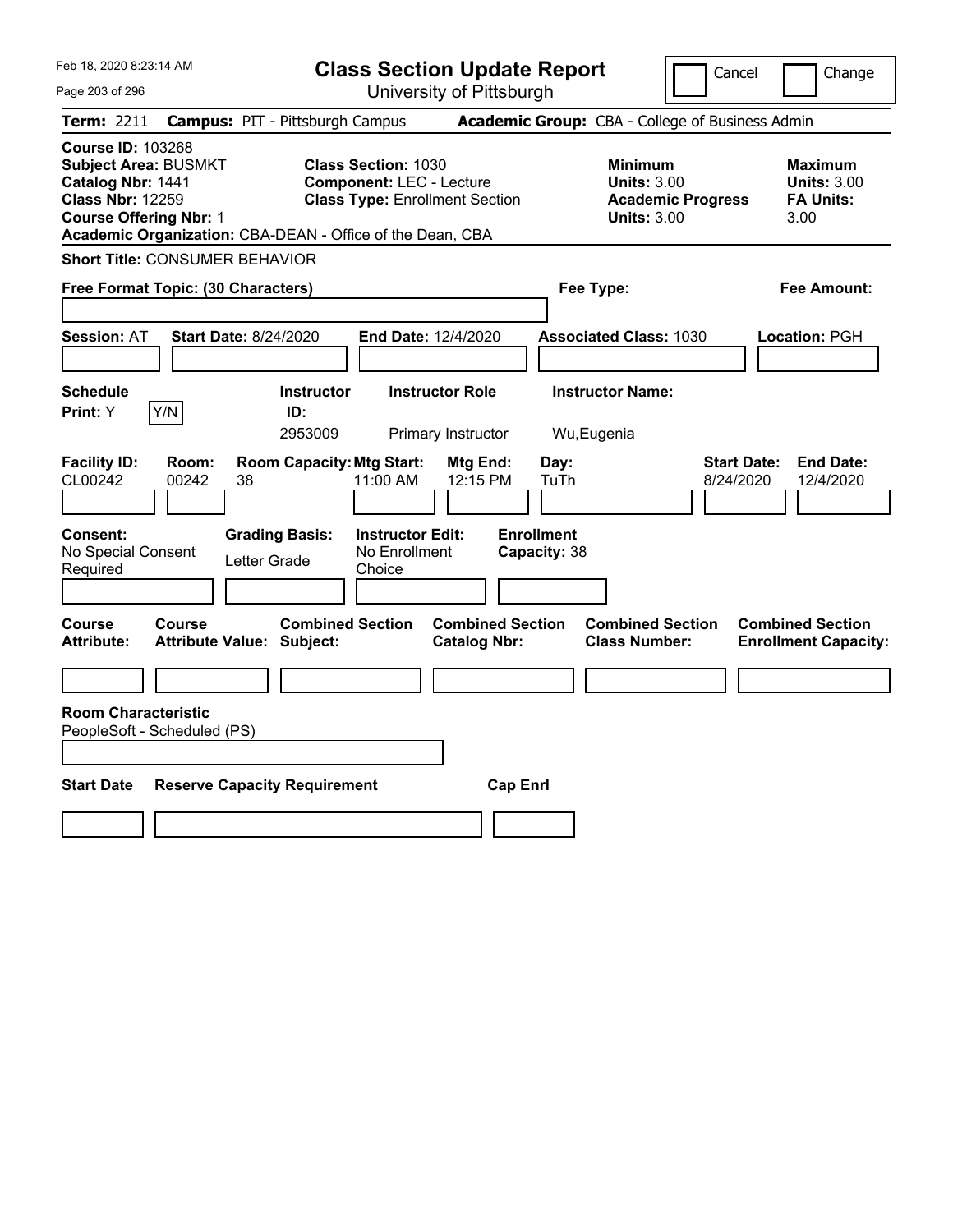| Feb 18, 2020 8:23:14 AM                                                                                                                                                                               |                                                                                                        | <b>Class Section Update Report</b>             |                                                                                        | Cancel<br>Change                                                 |
|-------------------------------------------------------------------------------------------------------------------------------------------------------------------------------------------------------|--------------------------------------------------------------------------------------------------------|------------------------------------------------|----------------------------------------------------------------------------------------|------------------------------------------------------------------|
| Page 203 of 296                                                                                                                                                                                       |                                                                                                        | University of Pittsburgh                       |                                                                                        |                                                                  |
| <b>Term: 2211</b>                                                                                                                                                                                     | <b>Campus: PIT - Pittsburgh Campus</b>                                                                 |                                                | Academic Group: CBA - College of Business Admin                                        |                                                                  |
| <b>Course ID: 103268</b><br><b>Subject Area: BUSMKT</b><br>Catalog Nbr: 1441<br><b>Class Nbr: 12259</b><br><b>Course Offering Nbr: 1</b><br>Academic Organization: CBA-DEAN - Office of the Dean, CBA | <b>Class Section: 1030</b><br><b>Component: LEC - Lecture</b><br><b>Class Type: Enrollment Section</b> |                                                | <b>Minimum</b><br><b>Units: 3.00</b><br><b>Academic Progress</b><br><b>Units: 3.00</b> | <b>Maximum</b><br><b>Units: 3.00</b><br><b>FA Units:</b><br>3.00 |
| <b>Short Title: CONSUMER BEHAVIOR</b>                                                                                                                                                                 |                                                                                                        |                                                |                                                                                        |                                                                  |
| Free Format Topic: (30 Characters)                                                                                                                                                                    |                                                                                                        |                                                | Fee Type:                                                                              | Fee Amount:                                                      |
| <b>Session: AT</b><br><b>Start Date: 8/24/2020</b>                                                                                                                                                    |                                                                                                        | End Date: 12/4/2020                            | <b>Associated Class: 1030</b>                                                          | Location: PGH                                                    |
| <b>Schedule</b><br>Y/N<br>Print: Y                                                                                                                                                                    | <b>Instructor</b><br>ID:<br>2953009                                                                    | <b>Instructor Role</b><br>Primary Instructor   | <b>Instructor Name:</b><br>Wu, Eugenia                                                 |                                                                  |
| <b>Facility ID:</b><br>Room:<br>CL00242<br>00242<br>38                                                                                                                                                | <b>Room Capacity: Mtg Start:</b><br>11:00 AM                                                           | Mtg End:<br>Day:<br>12:15 PM<br>TuTh           |                                                                                        | <b>Start Date:</b><br><b>End Date:</b><br>8/24/2020<br>12/4/2020 |
| Consent:<br>No Special Consent<br>Required                                                                                                                                                            | <b>Grading Basis:</b><br><b>Instructor Edit:</b><br>No Enrollment<br>Letter Grade<br>Choice            | <b>Enrollment</b><br>Capacity: 38              |                                                                                        |                                                                  |
| <b>Course</b><br>Course<br><b>Attribute:</b><br><b>Attribute Value: Subject:</b>                                                                                                                      | <b>Combined Section</b>                                                                                | <b>Combined Section</b><br><b>Catalog Nbr:</b> | <b>Combined Section</b><br><b>Class Number:</b>                                        | <b>Combined Section</b><br><b>Enrollment Capacity:</b>           |
| <b>Room Characteristic</b><br>PeopleSoft - Scheduled (PS)                                                                                                                                             |                                                                                                        |                                                |                                                                                        |                                                                  |
| <b>Start Date</b>                                                                                                                                                                                     | <b>Reserve Capacity Requirement</b>                                                                    | <b>Cap Enrl</b>                                |                                                                                        |                                                                  |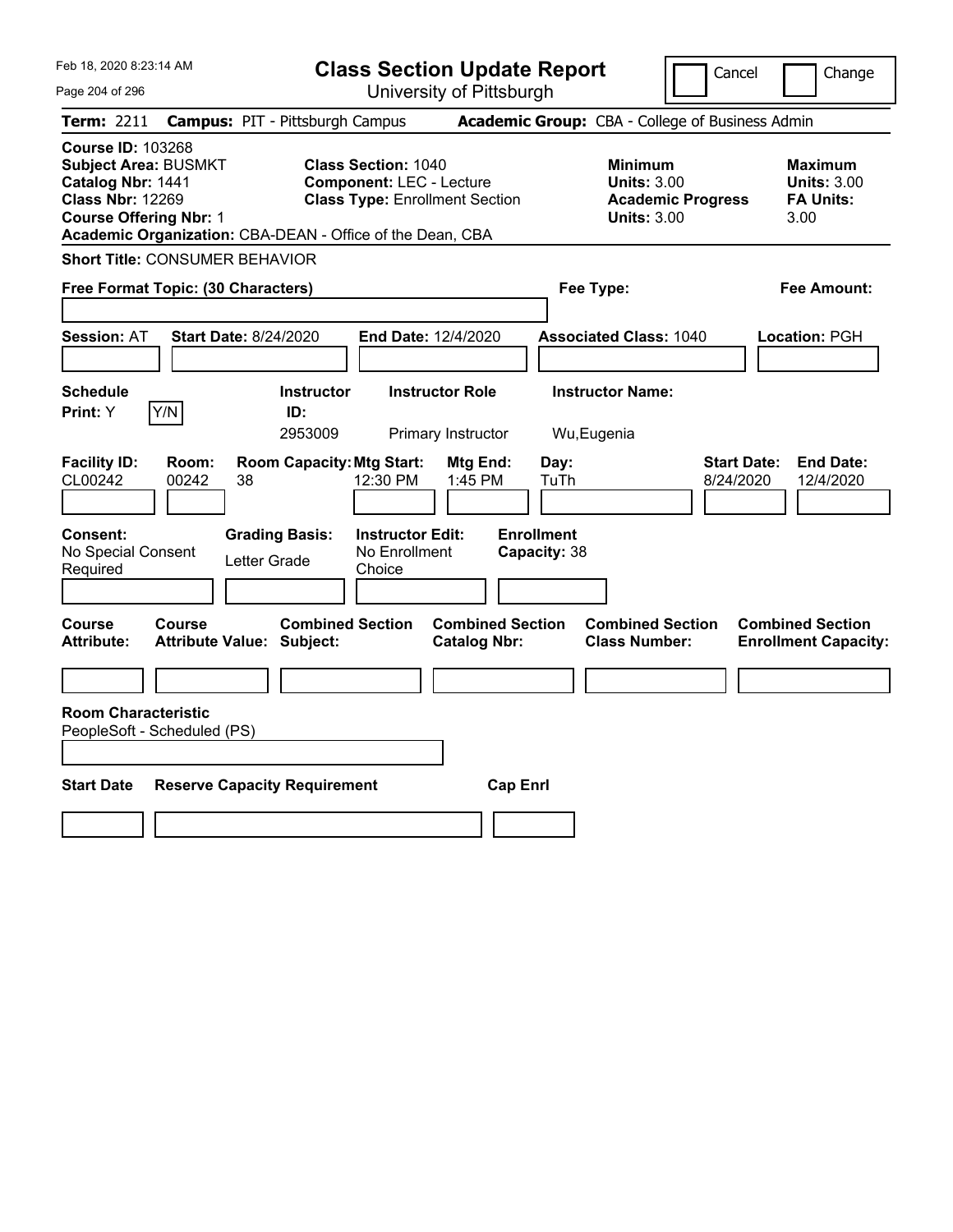| <b>Class Section Update Report</b><br>Cancel<br>University of Pittsburgh<br>Academic Group: CBA - College of Business Admin<br><b>Minimum</b><br><b>Units: 3.00</b><br><b>Academic Progress</b><br><b>Units: 3.00</b> | Change<br><b>Maximum</b><br><b>Units: 3.00</b><br><b>FA Units:</b> |
|-----------------------------------------------------------------------------------------------------------------------------------------------------------------------------------------------------------------------|--------------------------------------------------------------------|
|                                                                                                                                                                                                                       |                                                                    |
|                                                                                                                                                                                                                       |                                                                    |
|                                                                                                                                                                                                                       | 3.00                                                               |
|                                                                                                                                                                                                                       |                                                                    |
| Fee Type:                                                                                                                                                                                                             | Fee Amount:                                                        |
| <b>Associated Class: 1040</b>                                                                                                                                                                                         | Location: PGH                                                      |
| <b>Instructor Name:</b><br>Wu, Eugenia                                                                                                                                                                                |                                                                    |
| <b>Start Date:</b><br>Day:<br>TuTh<br>8/24/2020                                                                                                                                                                       | <b>End Date:</b><br>12/4/2020                                      |
| <b>Enrollment</b><br>Capacity: 38                                                                                                                                                                                     |                                                                    |
| <b>Combined Section</b><br><b>Combined Section</b><br><b>Class Number:</b>                                                                                                                                            | <b>Combined Section</b><br><b>Enrollment Capacity:</b>             |
|                                                                                                                                                                                                                       |                                                                    |
|                                                                                                                                                                                                                       |                                                                    |
|                                                                                                                                                                                                                       |                                                                    |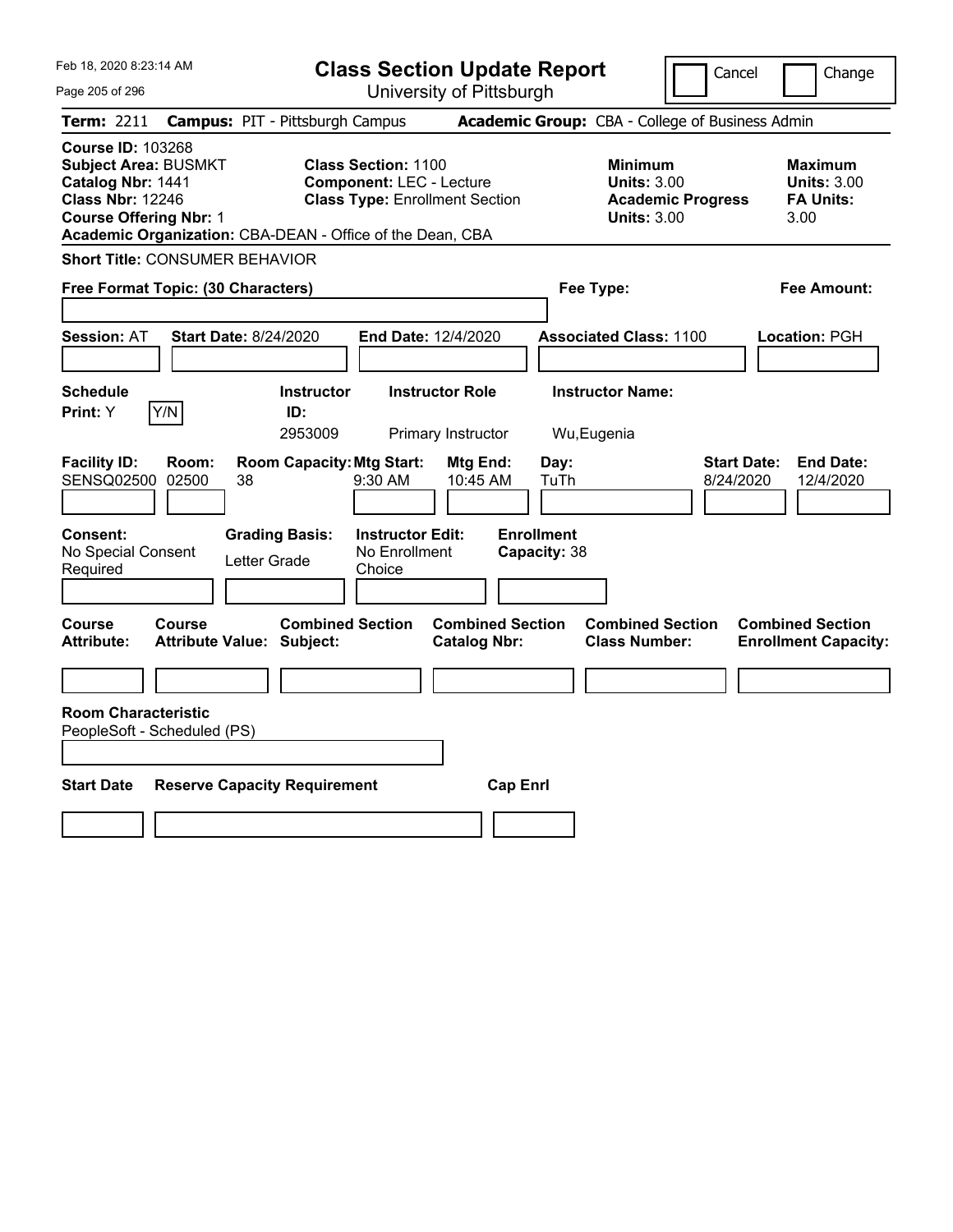| Feb 18, 2020 8:23:14 AM                                                                                                                                                                               |                                                                                                        | <b>Class Section Update Report</b>             |                                                                                        | Cancel<br>Change                                                 |
|-------------------------------------------------------------------------------------------------------------------------------------------------------------------------------------------------------|--------------------------------------------------------------------------------------------------------|------------------------------------------------|----------------------------------------------------------------------------------------|------------------------------------------------------------------|
| Page 205 of 296                                                                                                                                                                                       |                                                                                                        | University of Pittsburgh                       |                                                                                        |                                                                  |
| <b>Term: 2211</b>                                                                                                                                                                                     | <b>Campus: PIT - Pittsburgh Campus</b>                                                                 |                                                | Academic Group: CBA - College of Business Admin                                        |                                                                  |
| <b>Course ID: 103268</b><br><b>Subject Area: BUSMKT</b><br>Catalog Nbr: 1441<br><b>Class Nbr: 12246</b><br><b>Course Offering Nbr: 1</b><br>Academic Organization: CBA-DEAN - Office of the Dean, CBA | <b>Class Section: 1100</b><br><b>Component: LEC - Lecture</b><br><b>Class Type: Enrollment Section</b> |                                                | <b>Minimum</b><br><b>Units: 3.00</b><br><b>Academic Progress</b><br><b>Units: 3.00</b> | <b>Maximum</b><br><b>Units: 3.00</b><br><b>FA Units:</b><br>3.00 |
| <b>Short Title: CONSUMER BEHAVIOR</b>                                                                                                                                                                 |                                                                                                        |                                                |                                                                                        |                                                                  |
| Free Format Topic: (30 Characters)                                                                                                                                                                    |                                                                                                        |                                                | Fee Type:                                                                              | Fee Amount:                                                      |
| <b>Session: AT</b><br><b>Start Date: 8/24/2020</b>                                                                                                                                                    |                                                                                                        | End Date: 12/4/2020                            | <b>Associated Class: 1100</b>                                                          | Location: PGH                                                    |
| <b>Schedule</b><br>Y/N<br>Print: Y                                                                                                                                                                    | <b>Instructor</b><br>ID:<br>2953009                                                                    | <b>Instructor Role</b><br>Primary Instructor   | <b>Instructor Name:</b><br>Wu, Eugenia                                                 |                                                                  |
| <b>Facility ID:</b><br>Room:<br>SENSQ02500<br>02500<br>38                                                                                                                                             | <b>Room Capacity: Mtg Start:</b><br>9:30 AM                                                            | Mtg End:<br>10:45 AM                           | Day:<br>TuTh                                                                           | <b>Start Date:</b><br><b>End Date:</b><br>8/24/2020<br>12/4/2020 |
| Consent:<br>No Special Consent<br>Required                                                                                                                                                            | <b>Grading Basis:</b><br><b>Instructor Edit:</b><br>No Enrollment<br>Letter Grade<br>Choice            | <b>Enrollment</b><br>Capacity: 38              |                                                                                        |                                                                  |
| <b>Course</b><br>Course<br><b>Attribute:</b><br><b>Attribute Value: Subject:</b>                                                                                                                      | <b>Combined Section</b>                                                                                | <b>Combined Section</b><br><b>Catalog Nbr:</b> | <b>Combined Section</b><br><b>Class Number:</b>                                        | <b>Combined Section</b><br><b>Enrollment Capacity:</b>           |
|                                                                                                                                                                                                       |                                                                                                        |                                                |                                                                                        |                                                                  |
| <b>Room Characteristic</b><br>PeopleSoft - Scheduled (PS)                                                                                                                                             |                                                                                                        |                                                |                                                                                        |                                                                  |
| <b>Start Date</b>                                                                                                                                                                                     | <b>Reserve Capacity Requirement</b>                                                                    | <b>Cap Enrl</b>                                |                                                                                        |                                                                  |
|                                                                                                                                                                                                       |                                                                                                        |                                                |                                                                                        |                                                                  |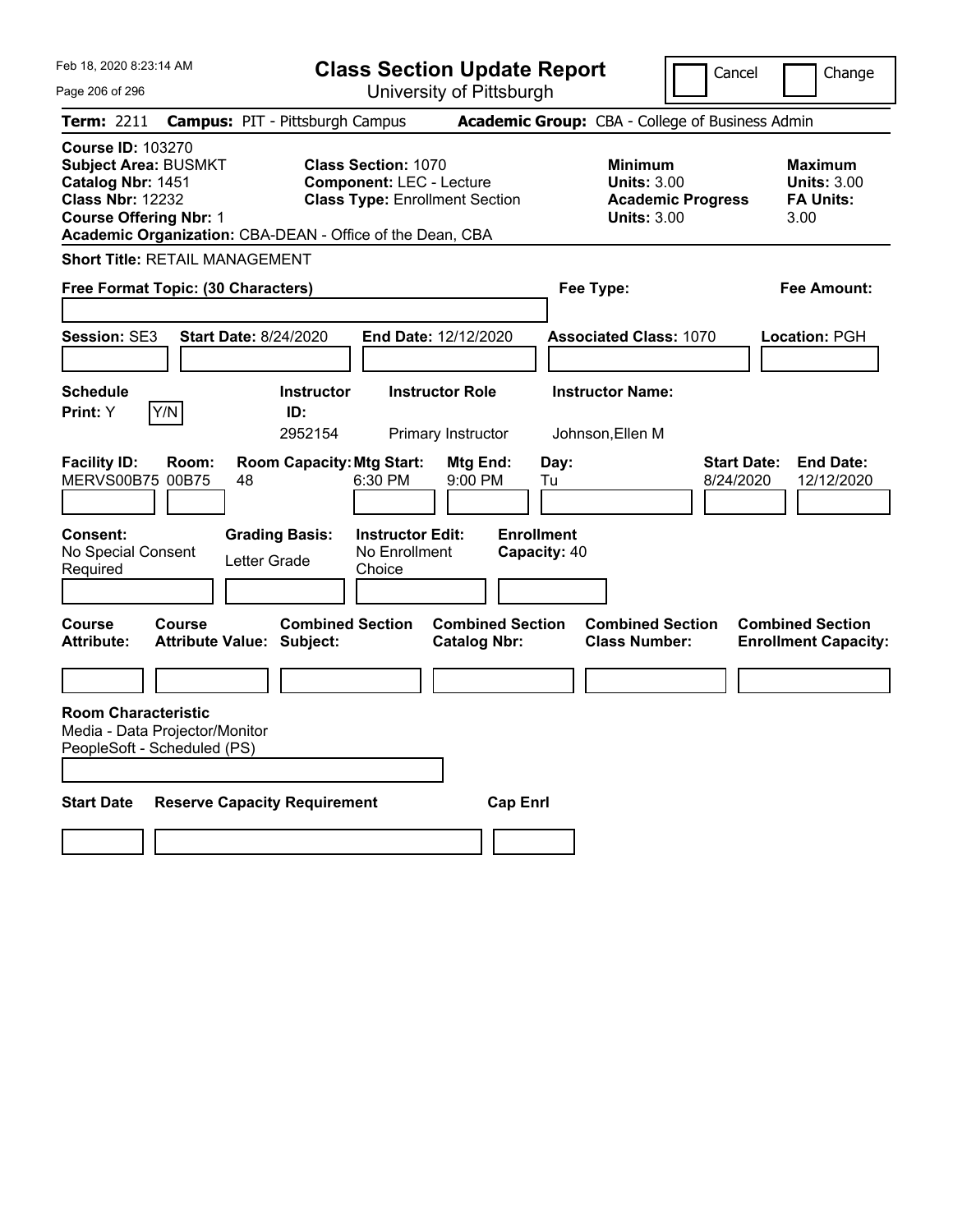| Feb 18, 2020 8:23:14 AM                                                                                                                  |                                                                                                                                                                     | <b>Class Section Update Report</b>             |                                                            | Cancel                          | Change                                                           |
|------------------------------------------------------------------------------------------------------------------------------------------|---------------------------------------------------------------------------------------------------------------------------------------------------------------------|------------------------------------------------|------------------------------------------------------------|---------------------------------|------------------------------------------------------------------|
| Page 206 of 296                                                                                                                          |                                                                                                                                                                     | University of Pittsburgh                       |                                                            |                                 |                                                                  |
| <b>Term: 2211</b>                                                                                                                        | <b>Campus: PIT - Pittsburgh Campus</b>                                                                                                                              |                                                | Academic Group: CBA - College of Business Admin            |                                 |                                                                  |
| <b>Course ID: 103270</b><br><b>Subject Area: BUSMKT</b><br>Catalog Nbr: 1451<br><b>Class Nbr: 12232</b><br><b>Course Offering Nbr: 1</b> | <b>Class Section: 1070</b><br><b>Component: LEC - Lecture</b><br><b>Class Type: Enrollment Section</b><br>Academic Organization: CBA-DEAN - Office of the Dean, CBA |                                                | <b>Minimum</b><br><b>Units: 3.00</b><br><b>Units: 3.00</b> | <b>Academic Progress</b>        | <b>Maximum</b><br><b>Units: 3.00</b><br><b>FA Units:</b><br>3.00 |
| <b>Short Title: RETAIL MANAGEMENT</b>                                                                                                    |                                                                                                                                                                     |                                                |                                                            |                                 |                                                                  |
| Free Format Topic: (30 Characters)                                                                                                       |                                                                                                                                                                     |                                                | Fee Type:                                                  |                                 | Fee Amount:                                                      |
|                                                                                                                                          |                                                                                                                                                                     |                                                |                                                            |                                 |                                                                  |
| Session: SE3                                                                                                                             | <b>Start Date: 8/24/2020</b>                                                                                                                                        | <b>End Date: 12/12/2020</b>                    | <b>Associated Class: 1070</b>                              |                                 | Location: PGH                                                    |
|                                                                                                                                          |                                                                                                                                                                     |                                                |                                                            |                                 |                                                                  |
| <b>Schedule</b><br>Y/N                                                                                                                   | <b>Instructor</b>                                                                                                                                                   | <b>Instructor Role</b>                         | <b>Instructor Name:</b>                                    |                                 |                                                                  |
| Print: Y                                                                                                                                 | ID:<br>2952154                                                                                                                                                      | Primary Instructor                             | Johnson, Ellen M                                           |                                 |                                                                  |
| <b>Facility ID:</b><br>Room:<br>MERVS00B75 00B75<br><b>Consent:</b><br>No Special Consent<br>Required                                    | <b>Room Capacity: Mtg Start:</b><br>6:30 PM<br>48<br><b>Grading Basis:</b><br><b>Instructor Edit:</b><br>No Enrollment<br>Letter Grade<br>Choice                    | Mtg End:<br>9:00 PM                            | Day:<br>Tu<br><b>Enrollment</b><br>Capacity: 40            | <b>Start Date:</b><br>8/24/2020 | <b>End Date:</b><br>12/12/2020                                   |
| Course<br>Course<br><b>Attribute:</b>                                                                                                    | <b>Combined Section</b><br>Attribute Value: Subject:                                                                                                                | <b>Combined Section</b><br><b>Catalog Nbr:</b> | <b>Combined Section</b><br><b>Class Number:</b>            |                                 | <b>Combined Section</b><br><b>Enrollment Capacity:</b>           |
|                                                                                                                                          |                                                                                                                                                                     |                                                |                                                            |                                 |                                                                  |
| <b>Room Characteristic</b><br>Media - Data Projector/Monitor<br>PeopleSoft - Scheduled (PS)                                              |                                                                                                                                                                     |                                                |                                                            |                                 |                                                                  |
| <b>Start Date</b>                                                                                                                        | <b>Reserve Capacity Requirement</b>                                                                                                                                 | <b>Cap Enrl</b>                                |                                                            |                                 |                                                                  |
|                                                                                                                                          |                                                                                                                                                                     |                                                |                                                            |                                 |                                                                  |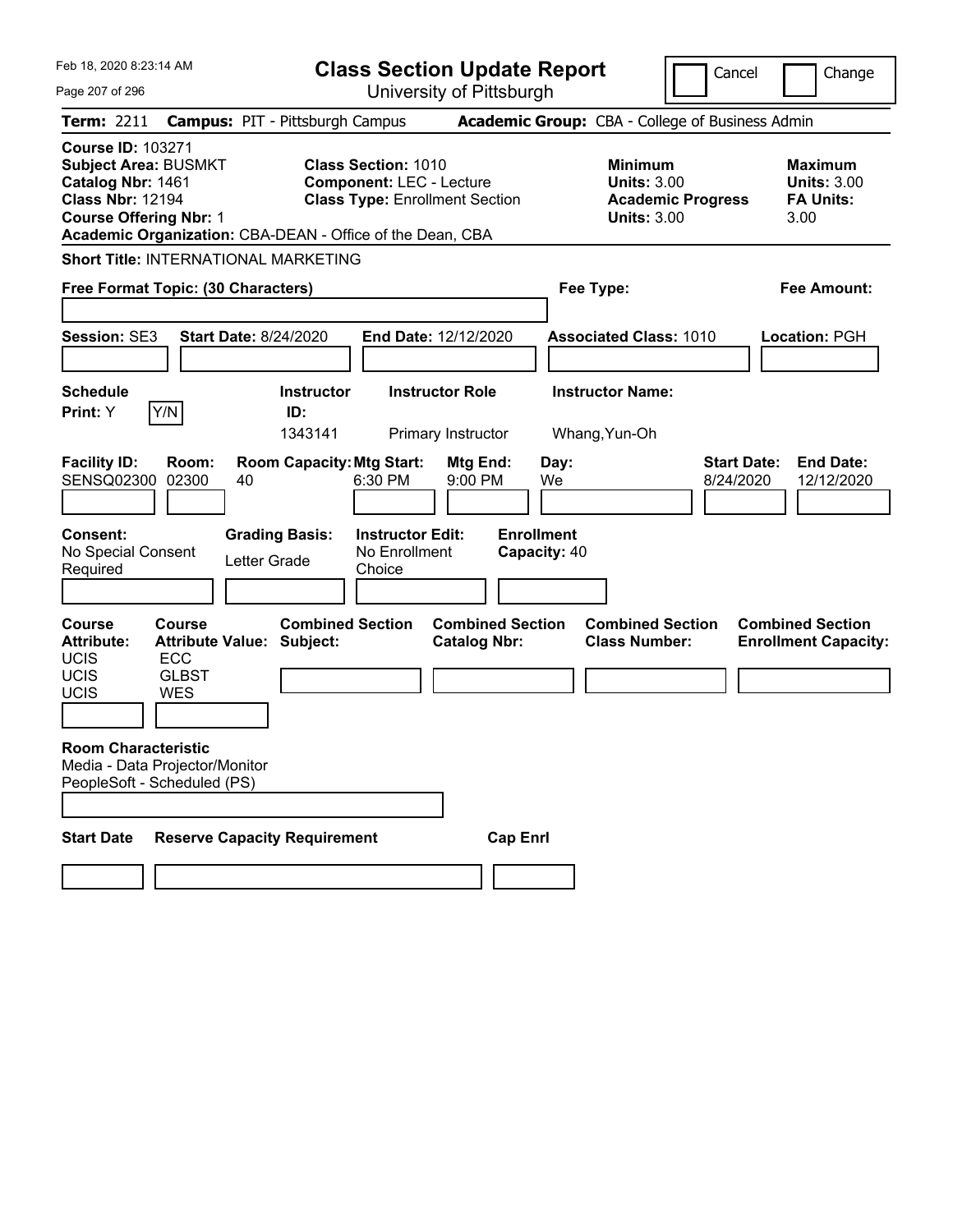| Feb 18, 2020 8:23:14 AM<br>Page 207 of 296                                                                                               |                                                               |                                                             |                                                               | <b>Class Section Update Report</b><br>University of Pittsburgh |                                   |                                                            |                          | Cancel<br>Change                                                  |
|------------------------------------------------------------------------------------------------------------------------------------------|---------------------------------------------------------------|-------------------------------------------------------------|---------------------------------------------------------------|----------------------------------------------------------------|-----------------------------------|------------------------------------------------------------|--------------------------|-------------------------------------------------------------------|
| <b>Term: 2211</b>                                                                                                                        |                                                               | <b>Campus: PIT - Pittsburgh Campus</b>                      |                                                               |                                                                |                                   | Academic Group: CBA - College of Business Admin            |                          |                                                                   |
| <b>Course ID: 103271</b><br><b>Subject Area: BUSMKT</b><br>Catalog Nbr: 1461<br><b>Class Nbr: 12194</b><br><b>Course Offering Nbr: 1</b> |                                                               | Academic Organization: CBA-DEAN - Office of the Dean, CBA   | <b>Class Section: 1010</b><br><b>Component: LEC - Lecture</b> | <b>Class Type: Enrollment Section</b>                          |                                   | <b>Minimum</b><br><b>Units: 3.00</b><br><b>Units: 3.00</b> | <b>Academic Progress</b> | <b>Maximum</b><br><b>Units: 3.00</b><br><b>FA Units:</b><br>3.00  |
|                                                                                                                                          |                                                               | <b>Short Title: INTERNATIONAL MARKETING</b>                 |                                                               |                                                                |                                   |                                                            |                          |                                                                   |
|                                                                                                                                          | Free Format Topic: (30 Characters)                            |                                                             |                                                               |                                                                |                                   | Fee Type:                                                  |                          | <b>Fee Amount:</b>                                                |
| Session: SE3                                                                                                                             |                                                               | <b>Start Date: 8/24/2020</b>                                |                                                               | End Date: 12/12/2020                                           |                                   | <b>Associated Class: 1010</b>                              |                          | <b>Location: PGH</b>                                              |
| <b>Schedule</b><br>Print: Y                                                                                                              | Y/N                                                           | <b>Instructor</b><br>ID:<br>1343141                         |                                                               | <b>Instructor Role</b><br>Primary Instructor                   |                                   | <b>Instructor Name:</b><br>Whang, Yun-Oh                   |                          |                                                                   |
| <b>Facility ID:</b><br><b>SENSQ02300</b>                                                                                                 | Room:<br>02300                                                | <b>Room Capacity: Mtg Start:</b><br>40                      | 6:30 PM                                                       | Mtg End:<br>9:00 PM                                            | Day:<br>We                        |                                                            |                          | <b>Start Date:</b><br><b>End Date:</b><br>8/24/2020<br>12/12/2020 |
| <b>Consent:</b><br>No Special Consent<br>Required                                                                                        |                                                               | <b>Grading Basis:</b><br>Letter Grade                       | <b>Instructor Edit:</b><br>No Enrollment<br>Choice            |                                                                | <b>Enrollment</b><br>Capacity: 40 |                                                            |                          |                                                                   |
| <b>Course</b><br><b>Attribute:</b><br><b>UCIS</b><br><b>UCIS</b><br>UCIS                                                                 | Course<br><b>ECC</b><br><b>GLBST</b><br><b>WES</b>            | <b>Combined Section</b><br><b>Attribute Value: Subject:</b> |                                                               | <b>Combined Section</b><br><b>Catalog Nbr:</b>                 |                                   | <b>Combined Section</b><br><b>Class Number:</b>            |                          | <b>Combined Section</b><br><b>Enrollment Capacity:</b>            |
| <b>Room Characteristic</b>                                                                                                               | Media - Data Projector/Monitor<br>PeopleSoft - Scheduled (PS) |                                                             |                                                               |                                                                |                                   |                                                            |                          |                                                                   |
| <b>Start Date</b>                                                                                                                        |                                                               | <b>Reserve Capacity Requirement</b>                         |                                                               |                                                                | <b>Cap Enrl</b>                   |                                                            |                          |                                                                   |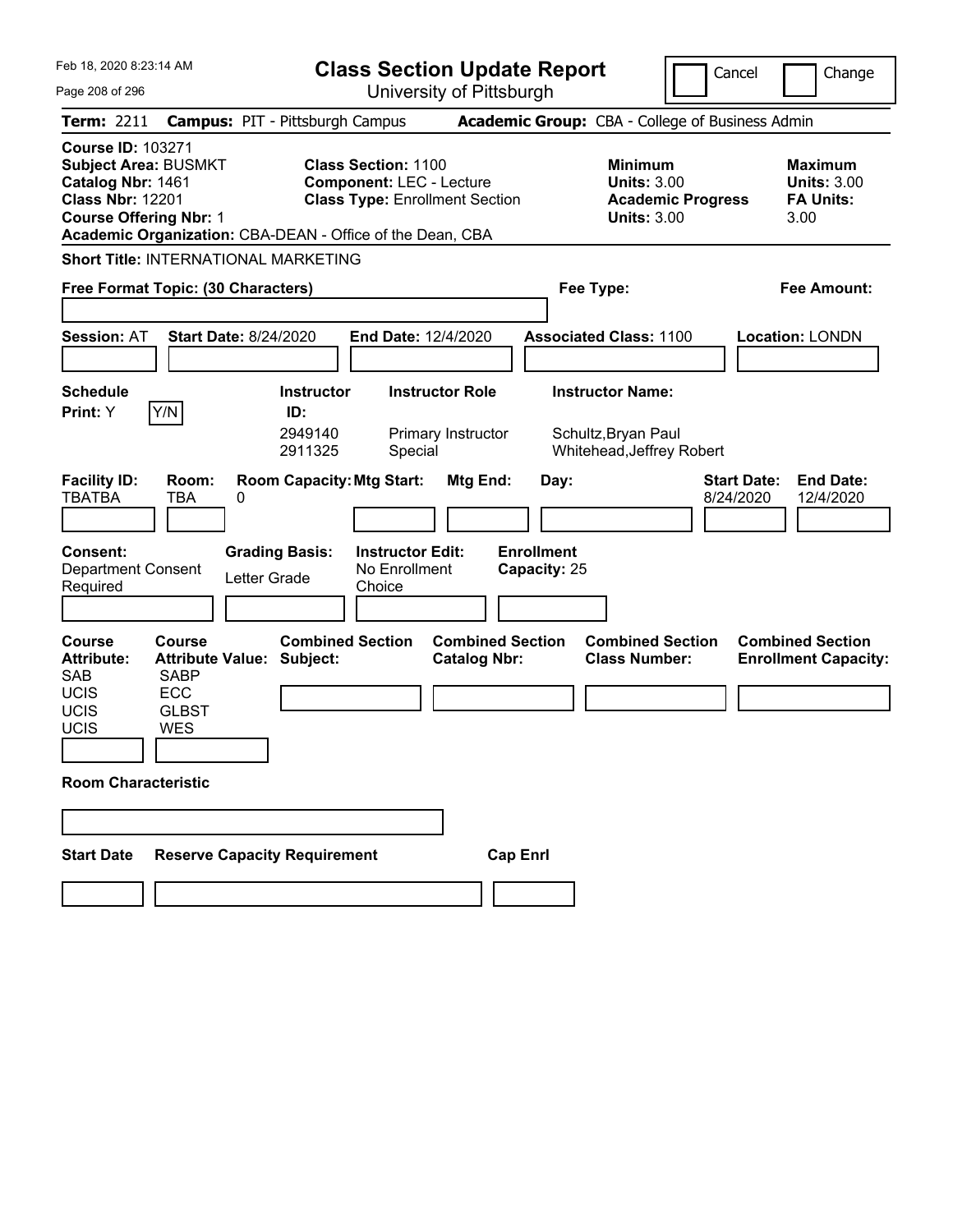| Feb 18, 2020 8:23:14 AM<br>Page 208 of 296                                                                                               |                                                                          |                                                             | <b>Class Section Update Report</b><br>University of Pittsburgh                                                                                                      |                                                 |                                                                             | Cancel                   | Change                                                           |
|------------------------------------------------------------------------------------------------------------------------------------------|--------------------------------------------------------------------------|-------------------------------------------------------------|---------------------------------------------------------------------------------------------------------------------------------------------------------------------|-------------------------------------------------|-----------------------------------------------------------------------------|--------------------------|------------------------------------------------------------------|
| <b>Term: 2211</b>                                                                                                                        |                                                                          | <b>Campus: PIT - Pittsburgh Campus</b>                      |                                                                                                                                                                     | Academic Group: CBA - College of Business Admin |                                                                             |                          |                                                                  |
| <b>Course ID: 103271</b><br><b>Subject Area: BUSMKT</b><br>Catalog Nbr: 1461<br><b>Class Nbr: 12201</b><br><b>Course Offering Nbr: 1</b> |                                                                          |                                                             | <b>Class Section: 1100</b><br><b>Component: LEC - Lecture</b><br><b>Class Type: Enrollment Section</b><br>Academic Organization: CBA-DEAN - Office of the Dean, CBA |                                                 | <b>Minimum</b><br><b>Units: 3.00</b><br><b>Units: 3.00</b>                  | <b>Academic Progress</b> | <b>Maximum</b><br><b>Units: 3.00</b><br><b>FA Units:</b><br>3.00 |
| Free Format Topic: (30 Characters)                                                                                                       |                                                                          | <b>Short Title: INTERNATIONAL MARKETING</b>                 |                                                                                                                                                                     |                                                 | Fee Type:                                                                   |                          | <b>Fee Amount:</b>                                               |
| <b>Session: AT</b>                                                                                                                       |                                                                          | <b>Start Date: 8/24/2020</b>                                | <b>End Date: 12/4/2020</b>                                                                                                                                          |                                                 | <b>Associated Class: 1100</b>                                               |                          | Location: LONDN                                                  |
| <b>Schedule</b><br>Print: Y                                                                                                              | Y/N                                                                      | <b>Instructor</b><br>ID:<br>2949140<br>2911325              | <b>Instructor Role</b><br>Primary Instructor<br>Special                                                                                                             |                                                 | <b>Instructor Name:</b><br>Schultz, Bryan Paul<br>Whitehead, Jeffrey Robert |                          |                                                                  |
| <b>Facility ID:</b><br><b>TBATBA</b>                                                                                                     | Room:<br>TBA                                                             | <b>Room Capacity: Mtg Start:</b><br>0                       |                                                                                                                                                                     | Mtg End:<br>Day:                                |                                                                             | 8/24/2020                | <b>Start Date:</b><br><b>End Date:</b><br>12/4/2020              |
| <b>Consent:</b><br><b>Department Consent</b><br>Required                                                                                 |                                                                          | <b>Grading Basis:</b><br>Letter Grade                       | <b>Instructor Edit:</b><br>No Enrollment<br>Choice                                                                                                                  | <b>Enrollment</b><br>Capacity: 25               |                                                                             |                          |                                                                  |
| <b>Course</b><br><b>Attribute:</b><br><b>SAB</b><br><b>UCIS</b><br>UCIS<br>UCIS                                                          | <b>Course</b><br><b>SABP</b><br><b>ECC</b><br><b>GLBST</b><br><b>WES</b> | <b>Combined Section</b><br><b>Attribute Value: Subject:</b> |                                                                                                                                                                     | <b>Combined Section</b><br><b>Catalog Nbr:</b>  | <b>Combined Section</b><br><b>Class Number:</b>                             |                          | <b>Combined Section</b><br><b>Enrollment Capacity:</b>           |
| <b>Room Characteristic</b>                                                                                                               |                                                                          |                                                             |                                                                                                                                                                     |                                                 |                                                                             |                          |                                                                  |
| <b>Start Date</b>                                                                                                                        |                                                                          | <b>Reserve Capacity Requirement</b>                         |                                                                                                                                                                     | <b>Cap Enrl</b>                                 |                                                                             |                          |                                                                  |
|                                                                                                                                          |                                                                          |                                                             |                                                                                                                                                                     |                                                 |                                                                             |                          |                                                                  |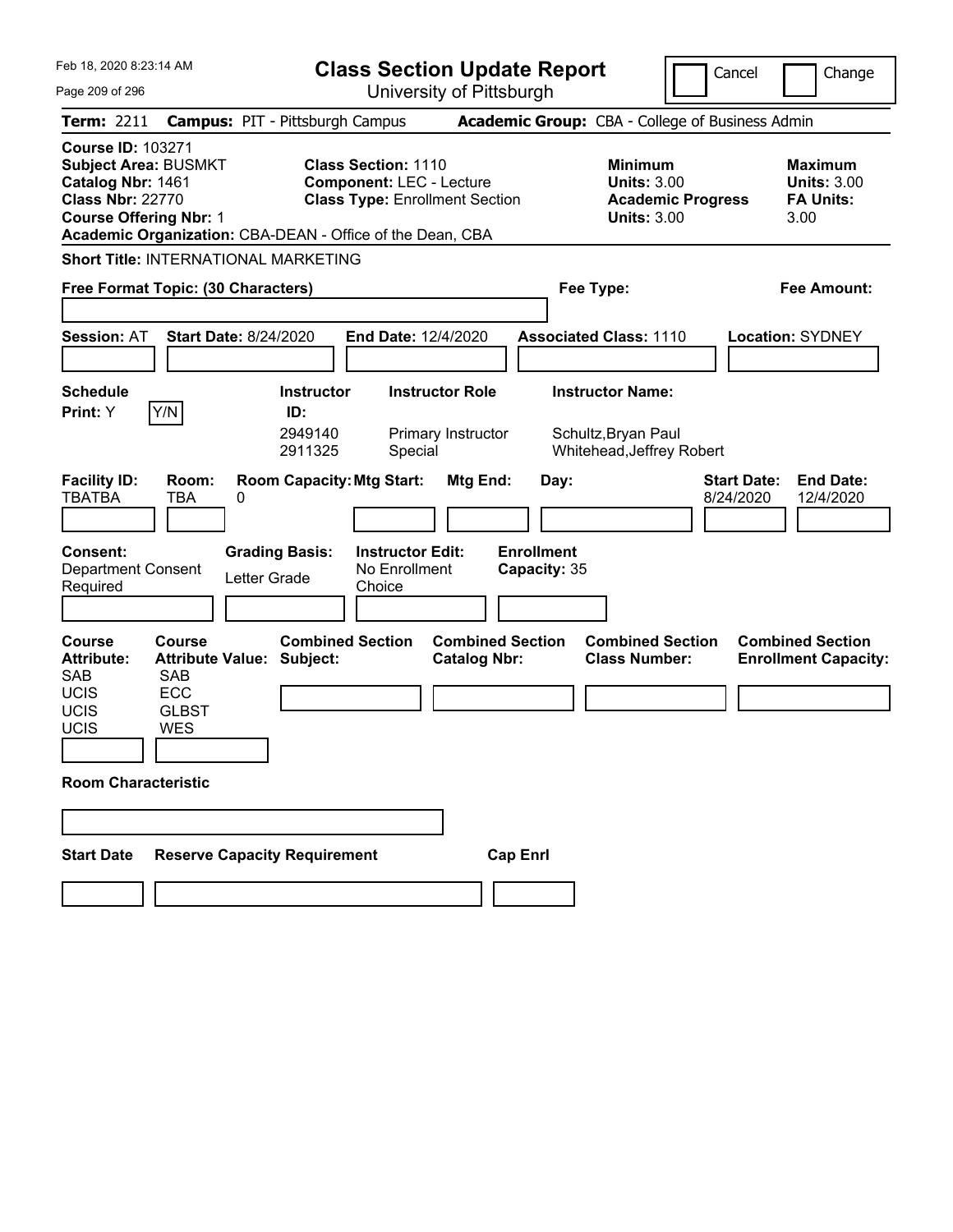| Feb 18, 2020 8:23:14 AM<br>Page 209 of 296                                                                                               |                                                                         |                                                             | <b>Class Section Update Report</b><br>University of Pittsburgh                                         |                                                |                                                                             |                          | Cancel<br>Change                                                 |
|------------------------------------------------------------------------------------------------------------------------------------------|-------------------------------------------------------------------------|-------------------------------------------------------------|--------------------------------------------------------------------------------------------------------|------------------------------------------------|-----------------------------------------------------------------------------|--------------------------|------------------------------------------------------------------|
| <b>Term: 2211</b>                                                                                                                        |                                                                         | <b>Campus: PIT - Pittsburgh Campus</b>                      |                                                                                                        |                                                | Academic Group: CBA - College of Business Admin                             |                          |                                                                  |
| <b>Course ID: 103271</b><br><b>Subject Area: BUSMKT</b><br>Catalog Nbr: 1461<br><b>Class Nbr: 22770</b><br><b>Course Offering Nbr: 1</b> |                                                                         | Academic Organization: CBA-DEAN - Office of the Dean, CBA   | <b>Class Section: 1110</b><br><b>Component: LEC - Lecture</b><br><b>Class Type: Enrollment Section</b> |                                                | <b>Minimum</b><br><b>Units: 3.00</b><br><b>Units: 3.00</b>                  | <b>Academic Progress</b> | <b>Maximum</b><br><b>Units: 3.00</b><br><b>FA Units:</b><br>3.00 |
| Free Format Topic: (30 Characters)                                                                                                       |                                                                         | <b>Short Title: INTERNATIONAL MARKETING</b>                 |                                                                                                        |                                                | Fee Type:                                                                   |                          | <b>Fee Amount:</b>                                               |
| <b>Session: AT</b>                                                                                                                       |                                                                         | <b>Start Date: 8/24/2020</b>                                | <b>End Date: 12/4/2020</b>                                                                             |                                                | <b>Associated Class: 1110</b>                                               |                          | <b>Location: SYDNEY</b>                                          |
| <b>Schedule</b><br>Print: Y                                                                                                              | Y/N                                                                     | <b>Instructor</b><br>ID:<br>2949140<br>2911325              | <b>Instructor Role</b><br>Primary Instructor<br>Special                                                |                                                | <b>Instructor Name:</b><br>Schultz, Bryan Paul<br>Whitehead, Jeffrey Robert |                          |                                                                  |
| <b>Facility ID:</b><br><b>TBATBA</b>                                                                                                     | Room:<br>TBA                                                            | <b>Room Capacity: Mtg Start:</b><br>0                       |                                                                                                        | Mtg End:<br>Day:                               |                                                                             |                          | <b>Start Date:</b><br><b>End Date:</b><br>8/24/2020<br>12/4/2020 |
| <b>Consent:</b><br><b>Department Consent</b><br>Required                                                                                 |                                                                         | <b>Grading Basis:</b><br>Letter Grade                       | <b>Instructor Edit:</b><br>No Enrollment<br>Choice                                                     | <b>Enrollment</b><br>Capacity: 35              |                                                                             |                          |                                                                  |
| <b>Course</b><br><b>Attribute:</b><br><b>SAB</b><br><b>UCIS</b><br>UCIS<br>UCIS                                                          | <b>Course</b><br><b>SAB</b><br><b>ECC</b><br><b>GLBST</b><br><b>WES</b> | <b>Combined Section</b><br><b>Attribute Value: Subject:</b> |                                                                                                        | <b>Combined Section</b><br><b>Catalog Nbr:</b> | <b>Combined Section</b><br><b>Class Number:</b>                             |                          | <b>Combined Section</b><br><b>Enrollment Capacity:</b>           |
| <b>Room Characteristic</b>                                                                                                               |                                                                         |                                                             |                                                                                                        |                                                |                                                                             |                          |                                                                  |
| <b>Start Date</b>                                                                                                                        |                                                                         | <b>Reserve Capacity Requirement</b>                         |                                                                                                        | <b>Cap Enrl</b>                                |                                                                             |                          |                                                                  |
|                                                                                                                                          |                                                                         |                                                             |                                                                                                        |                                                |                                                                             |                          |                                                                  |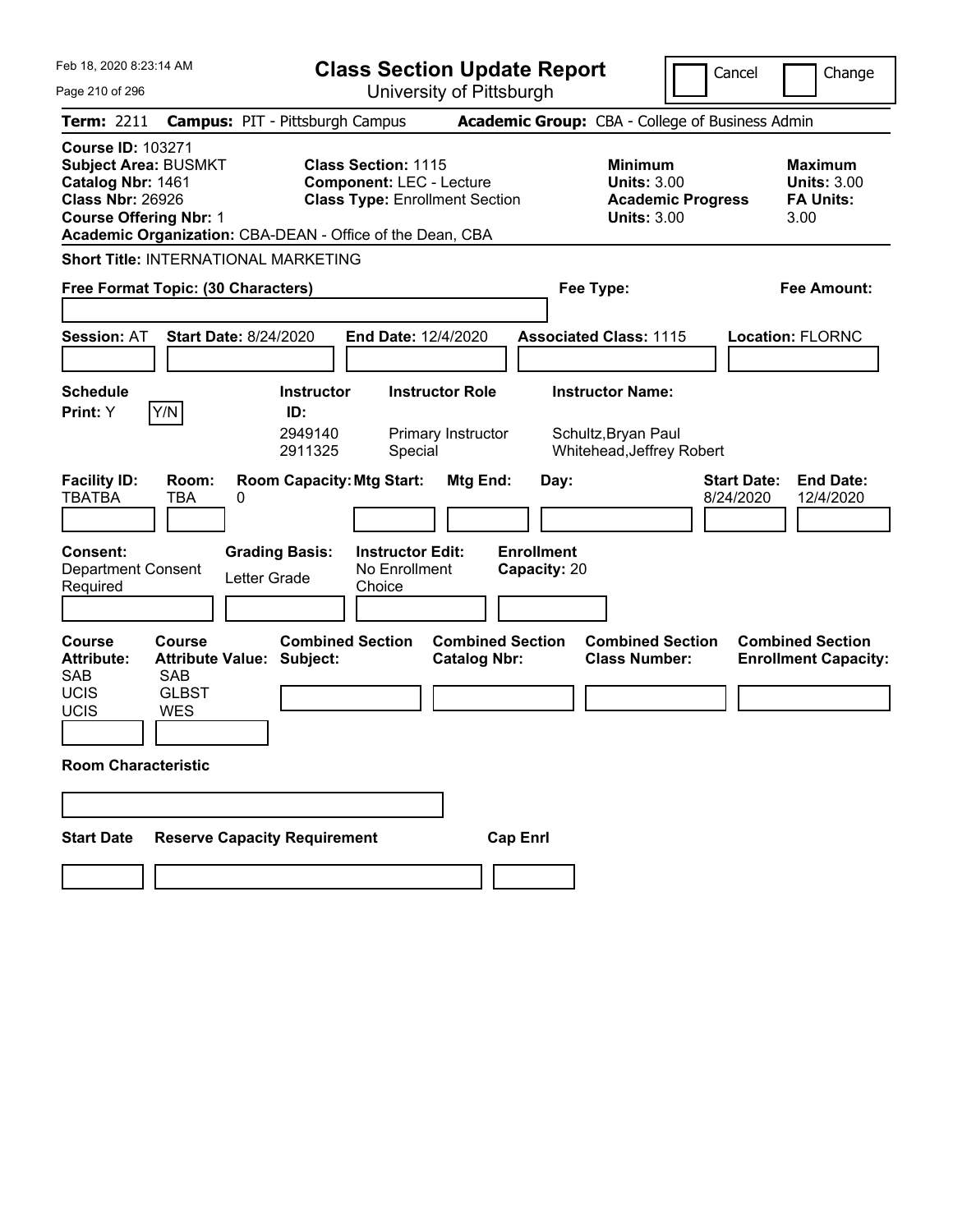| Feb 18, 2020 8:23:14 AM                                                                                                                                                                               |                                                                                        |                                                               | <b>Class Section Update Report</b>                                                                     |                                                |                                   |                                                                                        | Cancel    |                    | Change                                                           |
|-------------------------------------------------------------------------------------------------------------------------------------------------------------------------------------------------------|----------------------------------------------------------------------------------------|---------------------------------------------------------------|--------------------------------------------------------------------------------------------------------|------------------------------------------------|-----------------------------------|----------------------------------------------------------------------------------------|-----------|--------------------|------------------------------------------------------------------|
| Page 210 of 296                                                                                                                                                                                       |                                                                                        |                                                               | University of Pittsburgh                                                                               |                                                |                                   |                                                                                        |           |                    |                                                                  |
| <b>Term: 2211</b>                                                                                                                                                                                     | <b>Campus: PIT - Pittsburgh Campus</b>                                                 |                                                               |                                                                                                        |                                                |                                   | Academic Group: CBA - College of Business Admin                                        |           |                    |                                                                  |
| <b>Course ID: 103271</b><br><b>Subject Area: BUSMKT</b><br>Catalog Nbr: 1461<br><b>Class Nbr: 26926</b><br><b>Course Offering Nbr: 1</b><br>Academic Organization: CBA-DEAN - Office of the Dean, CBA |                                                                                        |                                                               | <b>Class Section: 1115</b><br><b>Component: LEC - Lecture</b><br><b>Class Type: Enrollment Section</b> |                                                |                                   | <b>Minimum</b><br><b>Units: 3.00</b><br><b>Academic Progress</b><br><b>Units: 3.00</b> |           |                    | <b>Maximum</b><br><b>Units: 3.00</b><br><b>FA Units:</b><br>3.00 |
| <b>Short Title: INTERNATIONAL MARKETING</b>                                                                                                                                                           |                                                                                        |                                                               |                                                                                                        |                                                |                                   |                                                                                        |           |                    |                                                                  |
| Free Format Topic: (30 Characters)                                                                                                                                                                    |                                                                                        |                                                               |                                                                                                        |                                                |                                   | Fee Type:                                                                              |           |                    | Fee Amount:                                                      |
| <b>Session: AT</b>                                                                                                                                                                                    | <b>Start Date: 8/24/2020</b>                                                           |                                                               | <b>End Date: 12/4/2020</b>                                                                             |                                                |                                   | <b>Associated Class: 1115</b>                                                          |           |                    | <b>Location: FLORNC</b>                                          |
| Schedule                                                                                                                                                                                              |                                                                                        | <b>Instructor</b>                                             | <b>Instructor Role</b>                                                                                 |                                                |                                   | <b>Instructor Name:</b>                                                                |           |                    |                                                                  |
| Y/N<br>Print: Y<br><b>Facility ID:</b><br><b>TBATBA</b>                                                                                                                                               | Room:<br>TBA<br>0                                                                      | ID:<br>2949140<br>2911325<br><b>Room Capacity: Mtg Start:</b> | Special                                                                                                | Primary Instructor<br>Mtg End:                 | Day:                              | Schultz, Bryan Paul<br>Whitehead, Jeffrey Robert                                       | 8/24/2020 | <b>Start Date:</b> | <b>End Date:</b><br>12/4/2020                                    |
| <b>Consent:</b><br>Department Consent<br>Required                                                                                                                                                     | Letter Grade                                                                           | <b>Grading Basis:</b>                                         | <b>Instructor Edit:</b><br>No Enrollment<br>Choice                                                     |                                                | <b>Enrollment</b><br>Capacity: 20 |                                                                                        |           |                    |                                                                  |
| <b>Course</b><br><b>Attribute:</b><br><b>SAB</b><br><b>UCIS</b><br>UCIS                                                                                                                               | Course<br><b>Attribute Value: Subject:</b><br><b>SAB</b><br><b>GLBST</b><br><b>WES</b> | <b>Combined Section</b>                                       |                                                                                                        | <b>Combined Section</b><br><b>Catalog Nbr:</b> |                                   | <b>Combined Section</b><br><b>Class Number:</b>                                        |           |                    | <b>Combined Section</b><br><b>Enrollment Capacity:</b>           |
| <b>Room Characteristic</b>                                                                                                                                                                            |                                                                                        |                                                               |                                                                                                        |                                                |                                   |                                                                                        |           |                    |                                                                  |
| <b>Start Date</b>                                                                                                                                                                                     | <b>Reserve Capacity Requirement</b>                                                    |                                                               |                                                                                                        |                                                | <b>Cap Enrl</b>                   |                                                                                        |           |                    |                                                                  |
|                                                                                                                                                                                                       |                                                                                        |                                                               |                                                                                                        |                                                |                                   |                                                                                        |           |                    |                                                                  |
|                                                                                                                                                                                                       |                                                                                        |                                                               |                                                                                                        |                                                |                                   |                                                                                        |           |                    |                                                                  |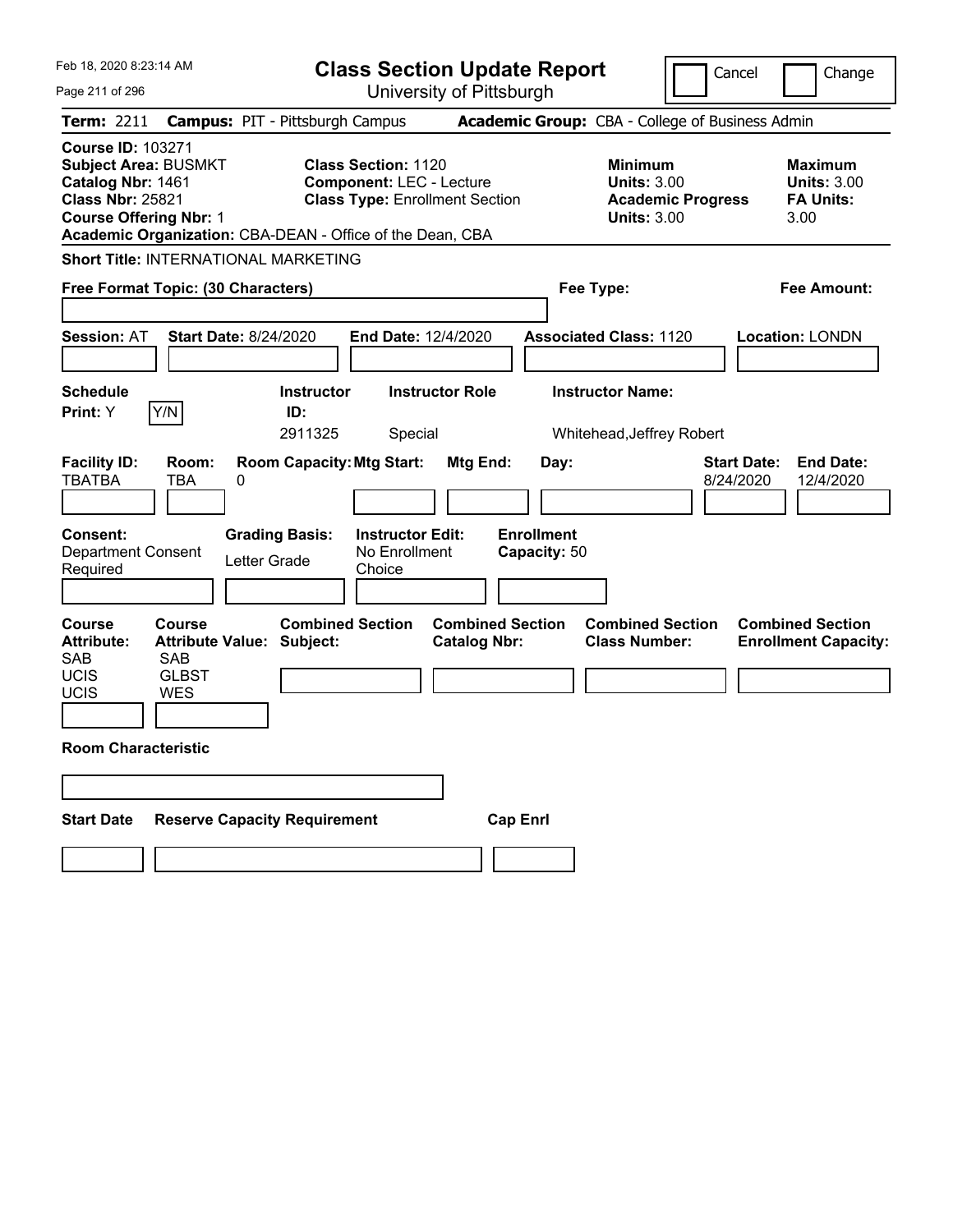| Feb 18, 2020 8:23:14 AM                                                                                                                                                                               |                                                                                                                               |                                                                           |                                                               | <b>Class Section Update Report</b>             |                                           |                                                                                       |                          | Cancel                          | Change                                                           |
|-------------------------------------------------------------------------------------------------------------------------------------------------------------------------------------------------------|-------------------------------------------------------------------------------------------------------------------------------|---------------------------------------------------------------------------|---------------------------------------------------------------|------------------------------------------------|-------------------------------------------|---------------------------------------------------------------------------------------|--------------------------|---------------------------------|------------------------------------------------------------------|
| Page 211 of 296                                                                                                                                                                                       |                                                                                                                               |                                                                           |                                                               | University of Pittsburgh                       |                                           |                                                                                       |                          |                                 |                                                                  |
| <b>Term: 2211</b>                                                                                                                                                                                     |                                                                                                                               | <b>Campus: PIT - Pittsburgh Campus</b>                                    |                                                               |                                                |                                           | Academic Group: CBA - College of Business Admin                                       |                          |                                 |                                                                  |
| <b>Course ID: 103271</b><br><b>Subject Area: BUSMKT</b><br>Catalog Nbr: 1461<br><b>Class Nbr: 25821</b><br><b>Course Offering Nbr: 1</b><br>Academic Organization: CBA-DEAN - Office of the Dean, CBA |                                                                                                                               |                                                                           | <b>Class Section: 1120</b><br><b>Component: LEC - Lecture</b> | <b>Class Type: Enrollment Section</b>          |                                           | <b>Minimum</b><br><b>Units: 3.00</b><br><b>Units: 3.00</b>                            | <b>Academic Progress</b> |                                 | <b>Maximum</b><br><b>Units: 3.00</b><br><b>FA Units:</b><br>3.00 |
| <b>Short Title: INTERNATIONAL MARKETING</b>                                                                                                                                                           |                                                                                                                               |                                                                           |                                                               |                                                |                                           |                                                                                       |                          |                                 |                                                                  |
| Free Format Topic: (30 Characters)                                                                                                                                                                    |                                                                                                                               |                                                                           |                                                               |                                                |                                           | Fee Type:                                                                             |                          |                                 | Fee Amount:                                                      |
| <b>Session: AT</b><br><b>Schedule</b><br>Print: Y                                                                                                                                                     | <b>Start Date: 8/24/2020</b><br>Y/N                                                                                           | <b>Instructor</b><br>ID:<br>2911325                                       | <b>End Date: 12/4/2020</b><br>Special                         | <b>Instructor Role</b>                         |                                           | <b>Associated Class: 1120</b><br><b>Instructor Name:</b><br>Whitehead, Jeffrey Robert |                          |                                 | <b>Location: LONDN</b>                                           |
| <b>Facility ID:</b><br><b>TBATBA</b><br><b>Consent:</b><br><b>Department Consent</b><br>Required                                                                                                      | Room:<br><b>TBA</b><br>0                                                                                                      | <b>Room Capacity: Mtg Start:</b><br><b>Grading Basis:</b><br>Letter Grade | <b>Instructor Edit:</b><br>No Enrollment<br>Choice            | Mtg End:                                       | Day:<br><b>Enrollment</b><br>Capacity: 50 |                                                                                       |                          | <b>Start Date:</b><br>8/24/2020 | <b>End Date:</b><br>12/4/2020                                    |
| <b>Course</b><br><b>Attribute:</b><br><b>SAB</b><br><b>UCIS</b><br>UCIS<br><b>Room Characteristic</b><br><b>Start Date</b>                                                                            | Course<br><b>Attribute Value: Subject:</b><br><b>SAB</b><br><b>GLBST</b><br><b>WES</b><br><b>Reserve Capacity Requirement</b> | <b>Combined Section</b>                                                   |                                                               | <b>Combined Section</b><br><b>Catalog Nbr:</b> | <b>Cap Enrl</b>                           | <b>Combined Section</b><br><b>Class Number:</b>                                       |                          |                                 | <b>Combined Section</b><br><b>Enrollment Capacity:</b>           |
|                                                                                                                                                                                                       |                                                                                                                               |                                                                           |                                                               |                                                |                                           |                                                                                       |                          |                                 |                                                                  |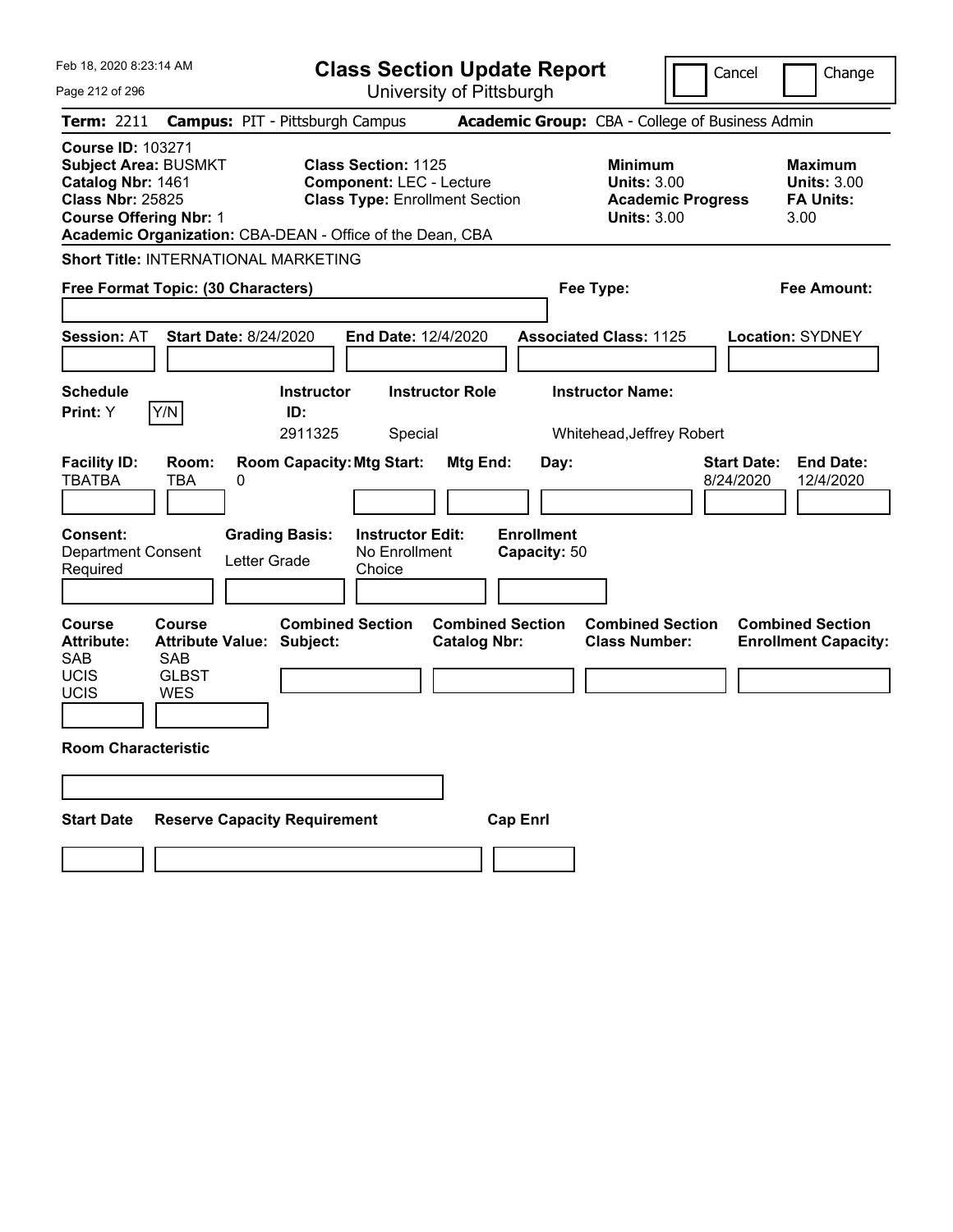| Feb 18, 2020 8:23:14 AM                                                                                                                  |                                                                                                                               |                                                           | <b>Class Section Update Report</b>                                                                     |                                                |                 |                                           |                                                                                       |                          | Cancel                          | Change                                                           |
|------------------------------------------------------------------------------------------------------------------------------------------|-------------------------------------------------------------------------------------------------------------------------------|-----------------------------------------------------------|--------------------------------------------------------------------------------------------------------|------------------------------------------------|-----------------|-------------------------------------------|---------------------------------------------------------------------------------------|--------------------------|---------------------------------|------------------------------------------------------------------|
| Page 212 of 296                                                                                                                          |                                                                                                                               |                                                           |                                                                                                        | University of Pittsburgh                       |                 |                                           |                                                                                       |                          |                                 |                                                                  |
| <b>Term: 2211</b>                                                                                                                        | <b>Campus: PIT - Pittsburgh Campus</b>                                                                                        |                                                           |                                                                                                        |                                                |                 |                                           | Academic Group: CBA - College of Business Admin                                       |                          |                                 |                                                                  |
| <b>Course ID: 103271</b><br><b>Subject Area: BUSMKT</b><br>Catalog Nbr: 1461<br><b>Class Nbr: 25825</b><br><b>Course Offering Nbr: 1</b> | Academic Organization: CBA-DEAN - Office of the Dean, CBA                                                                     |                                                           | <b>Class Section: 1125</b><br><b>Component: LEC - Lecture</b><br><b>Class Type: Enrollment Section</b> |                                                |                 |                                           | <b>Minimum</b><br><b>Units: 3.00</b><br><b>Units: 3.00</b>                            | <b>Academic Progress</b> |                                 | <b>Maximum</b><br><b>Units: 3.00</b><br><b>FA Units:</b><br>3.00 |
|                                                                                                                                          | <b>Short Title: INTERNATIONAL MARKETING</b>                                                                                   |                                                           |                                                                                                        |                                                |                 |                                           |                                                                                       |                          |                                 |                                                                  |
|                                                                                                                                          | Free Format Topic: (30 Characters)                                                                                            |                                                           |                                                                                                        |                                                |                 |                                           | Fee Type:                                                                             |                          |                                 | Fee Amount:                                                      |
| <b>Session: AT</b><br><b>Schedule</b><br>Print: Y                                                                                        | <b>Start Date: 8/24/2020</b><br>Y/N                                                                                           | <b>Instructor</b><br>ID:<br>2911325                       | <b>End Date: 12/4/2020</b><br>Special                                                                  | <b>Instructor Role</b>                         |                 |                                           | <b>Associated Class: 1125</b><br><b>Instructor Name:</b><br>Whitehead, Jeffrey Robert |                          |                                 | <b>Location: SYDNEY</b>                                          |
| <b>Facility ID:</b><br><b>TBATBA</b><br><b>Consent:</b><br><b>Department Consent</b><br>Required                                         | Room:<br><b>TBA</b><br>0<br>Letter Grade                                                                                      | <b>Room Capacity: Mtg Start:</b><br><b>Grading Basis:</b> | <b>Instructor Edit:</b><br>No Enrollment<br>Choice                                                     | Mtg End:                                       |                 | Day:<br><b>Enrollment</b><br>Capacity: 50 |                                                                                       |                          | <b>Start Date:</b><br>8/24/2020 | <b>End Date:</b><br>12/4/2020                                    |
| <b>Course</b><br><b>Attribute:</b><br><b>SAB</b><br><b>UCIS</b><br>UCIS<br><b>Room Characteristic</b><br><b>Start Date</b>               | Course<br><b>Attribute Value: Subject:</b><br><b>SAB</b><br><b>GLBST</b><br><b>WES</b><br><b>Reserve Capacity Requirement</b> | <b>Combined Section</b>                                   |                                                                                                        | <b>Combined Section</b><br><b>Catalog Nbr:</b> | <b>Cap Enrl</b> |                                           | <b>Combined Section</b><br><b>Class Number:</b>                                       |                          |                                 | <b>Combined Section</b><br><b>Enrollment Capacity:</b>           |
|                                                                                                                                          |                                                                                                                               |                                                           |                                                                                                        |                                                |                 |                                           |                                                                                       |                          |                                 |                                                                  |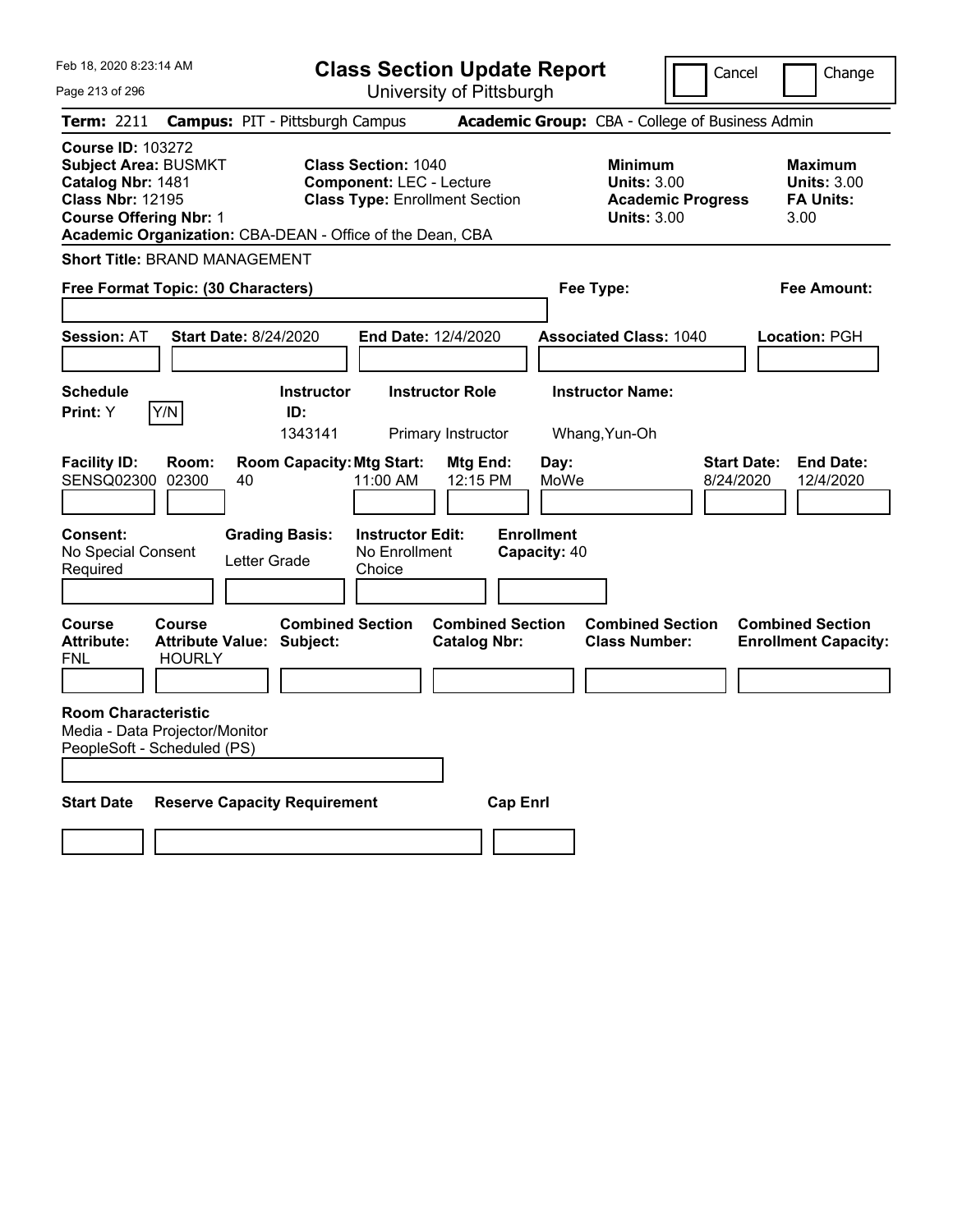| Feb 18, 2020 8:23:14 AM                                                                                                                                                                               |                                                                    |                                     | <b>Class Section Update Report</b>                                                                     |                                                |                                   |                                                            | Cancel                                          | Change                                                    |
|-------------------------------------------------------------------------------------------------------------------------------------------------------------------------------------------------------|--------------------------------------------------------------------|-------------------------------------|--------------------------------------------------------------------------------------------------------|------------------------------------------------|-----------------------------------|------------------------------------------------------------|-------------------------------------------------|-----------------------------------------------------------|
| Page 213 of 296                                                                                                                                                                                       |                                                                    |                                     |                                                                                                        | University of Pittsburgh                       |                                   |                                                            |                                                 |                                                           |
| Term: 2211                                                                                                                                                                                            | <b>Campus: PIT - Pittsburgh Campus</b>                             |                                     |                                                                                                        |                                                |                                   |                                                            | Academic Group: CBA - College of Business Admin |                                                           |
| <b>Course ID: 103272</b><br><b>Subject Area: BUSMKT</b><br>Catalog Nbr: 1481<br><b>Class Nbr: 12195</b><br><b>Course Offering Nbr: 1</b><br>Academic Organization: CBA-DEAN - Office of the Dean, CBA |                                                                    |                                     | <b>Class Section: 1040</b><br><b>Component: LEC - Lecture</b><br><b>Class Type: Enrollment Section</b> |                                                |                                   | <b>Minimum</b><br><b>Units: 3.00</b><br><b>Units: 3.00</b> | <b>Academic Progress</b>                        | Maximum<br><b>Units: 3.00</b><br><b>FA Units:</b><br>3.00 |
| <b>Short Title: BRAND MANAGEMENT</b>                                                                                                                                                                  |                                                                    |                                     |                                                                                                        |                                                |                                   |                                                            |                                                 |                                                           |
| Free Format Topic: (30 Characters)                                                                                                                                                                    |                                                                    |                                     |                                                                                                        |                                                | Fee Type:                         |                                                            |                                                 | Fee Amount:                                               |
| <b>Session: AT</b>                                                                                                                                                                                    | <b>Start Date: 8/24/2020</b>                                       |                                     | <b>End Date: 12/4/2020</b>                                                                             |                                                |                                   | <b>Associated Class: 1040</b>                              |                                                 | Location: PGH                                             |
| <b>Schedule</b><br>Y/N<br>Print: Y                                                                                                                                                                    |                                                                    | <b>Instructor</b><br>ID:<br>1343141 |                                                                                                        | <b>Instructor Role</b><br>Primary Instructor   |                                   | <b>Instructor Name:</b><br>Whang, Yun-Oh                   |                                                 |                                                           |
| <b>Facility ID:</b><br><b>SENSQ02300</b>                                                                                                                                                              | Room:<br>02300<br>40                                               | <b>Room Capacity: Mtg Start:</b>    | 11:00 AM                                                                                               | Mtg End:<br>12:15 PM                           | Day:<br>MoWe                      |                                                            | <b>Start Date:</b><br>8/24/2020                 | <b>End Date:</b><br>12/4/2020                             |
| <b>Consent:</b><br>No Special Consent<br>Required                                                                                                                                                     | Letter Grade                                                       | <b>Grading Basis:</b>               | <b>Instructor Edit:</b><br>No Enrollment<br>Choice                                                     |                                                | <b>Enrollment</b><br>Capacity: 40 |                                                            |                                                 |                                                           |
| Course<br><b>Attribute:</b><br>FNL                                                                                                                                                                    | <b>Course</b><br><b>Attribute Value: Subject:</b><br><b>HOURLY</b> | <b>Combined Section</b>             |                                                                                                        | <b>Combined Section</b><br><b>Catalog Nbr:</b> |                                   | <b>Combined Section</b><br><b>Class Number:</b>            |                                                 | <b>Combined Section</b><br><b>Enrollment Capacity:</b>    |
| <b>Room Characteristic</b><br>Media - Data Projector/Monitor<br>PeopleSoft - Scheduled (PS)                                                                                                           |                                                                    |                                     |                                                                                                        |                                                |                                   |                                                            |                                                 |                                                           |
| <b>Start Date</b>                                                                                                                                                                                     | <b>Reserve Capacity Requirement</b>                                |                                     |                                                                                                        | <b>Cap Enri</b>                                |                                   |                                                            |                                                 |                                                           |
|                                                                                                                                                                                                       |                                                                    |                                     |                                                                                                        |                                                |                                   |                                                            |                                                 |                                                           |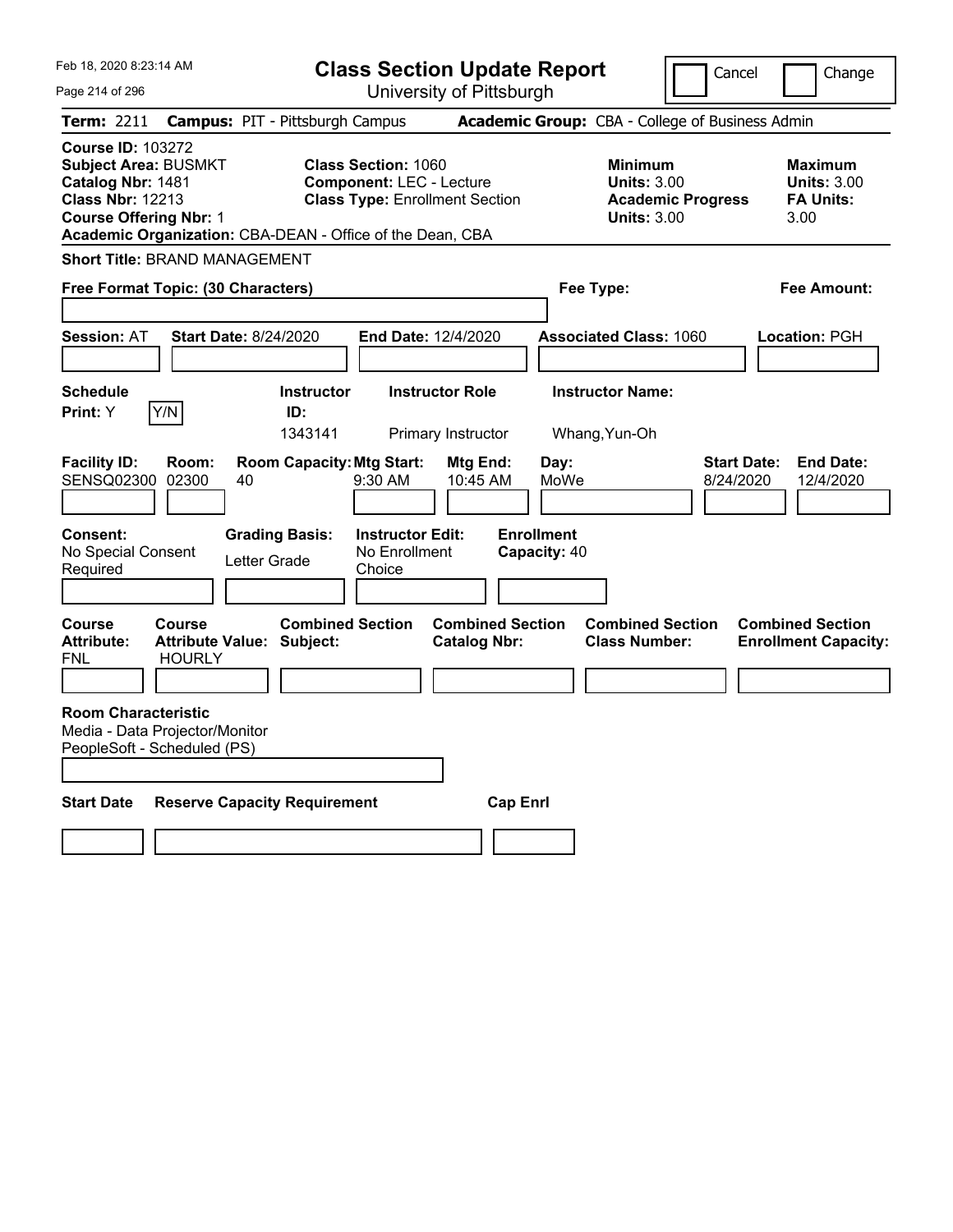| Feb 18, 2020 8:23:14 AM                                                                                                                                                                               |                                                                    |                                     |                                                                                                        | <b>Class Section Update Report</b>             |                                   |                                                                                        | Cancel                          | Change                                                    |
|-------------------------------------------------------------------------------------------------------------------------------------------------------------------------------------------------------|--------------------------------------------------------------------|-------------------------------------|--------------------------------------------------------------------------------------------------------|------------------------------------------------|-----------------------------------|----------------------------------------------------------------------------------------|---------------------------------|-----------------------------------------------------------|
| Page 214 of 296                                                                                                                                                                                       |                                                                    |                                     |                                                                                                        | University of Pittsburgh                       |                                   |                                                                                        |                                 |                                                           |
| Term: 2211                                                                                                                                                                                            | <b>Campus: PIT - Pittsburgh Campus</b>                             |                                     |                                                                                                        |                                                |                                   | Academic Group: CBA - College of Business Admin                                        |                                 |                                                           |
| <b>Course ID: 103272</b><br><b>Subject Area: BUSMKT</b><br>Catalog Nbr: 1481<br><b>Class Nbr: 12213</b><br><b>Course Offering Nbr: 1</b><br>Academic Organization: CBA-DEAN - Office of the Dean, CBA |                                                                    |                                     | <b>Class Section: 1060</b><br><b>Component: LEC - Lecture</b><br><b>Class Type: Enrollment Section</b> |                                                |                                   | <b>Minimum</b><br><b>Units: 3.00</b><br><b>Academic Progress</b><br><b>Units: 3.00</b> |                                 | Maximum<br><b>Units: 3.00</b><br><b>FA Units:</b><br>3.00 |
| <b>Short Title: BRAND MANAGEMENT</b>                                                                                                                                                                  |                                                                    |                                     |                                                                                                        |                                                |                                   |                                                                                        |                                 |                                                           |
| Free Format Topic: (30 Characters)                                                                                                                                                                    |                                                                    |                                     |                                                                                                        |                                                | Fee Type:                         |                                                                                        |                                 | Fee Amount:                                               |
| <b>Session: AT</b>                                                                                                                                                                                    | <b>Start Date: 8/24/2020</b>                                       |                                     | <b>End Date: 12/4/2020</b>                                                                             |                                                |                                   | <b>Associated Class: 1060</b>                                                          |                                 | Location: PGH                                             |
| <b>Schedule</b><br>Y/N<br>Print: Y                                                                                                                                                                    |                                                                    | <b>Instructor</b><br>ID:<br>1343141 |                                                                                                        | <b>Instructor Role</b><br>Primary Instructor   | Whang, Yun-Oh                     | <b>Instructor Name:</b>                                                                |                                 |                                                           |
| <b>Facility ID:</b><br><b>SENSQ02300</b>                                                                                                                                                              | Room:<br>02300<br>40                                               | <b>Room Capacity: Mtg Start:</b>    | 9:30 AM                                                                                                | Mtg End:<br>10:45 AM                           | Day:<br>MoWe                      |                                                                                        | <b>Start Date:</b><br>8/24/2020 | <b>End Date:</b><br>12/4/2020                             |
| <b>Consent:</b><br>No Special Consent<br>Required                                                                                                                                                     | Letter Grade                                                       | <b>Grading Basis:</b>               | <b>Instructor Edit:</b><br>No Enrollment<br>Choice                                                     |                                                | <b>Enrollment</b><br>Capacity: 40 |                                                                                        |                                 |                                                           |
| Course<br><b>Attribute:</b><br>FNL                                                                                                                                                                    | <b>Course</b><br><b>Attribute Value: Subject:</b><br><b>HOURLY</b> | <b>Combined Section</b>             |                                                                                                        | <b>Combined Section</b><br><b>Catalog Nbr:</b> |                                   | <b>Combined Section</b><br><b>Class Number:</b>                                        |                                 | <b>Combined Section</b><br><b>Enrollment Capacity:</b>    |
| <b>Room Characteristic</b><br>Media - Data Projector/Monitor<br>PeopleSoft - Scheduled (PS)                                                                                                           |                                                                    |                                     |                                                                                                        |                                                |                                   |                                                                                        |                                 |                                                           |
| <b>Start Date</b>                                                                                                                                                                                     | <b>Reserve Capacity Requirement</b>                                |                                     |                                                                                                        | <b>Cap Enri</b>                                |                                   |                                                                                        |                                 |                                                           |
|                                                                                                                                                                                                       |                                                                    |                                     |                                                                                                        |                                                |                                   |                                                                                        |                                 |                                                           |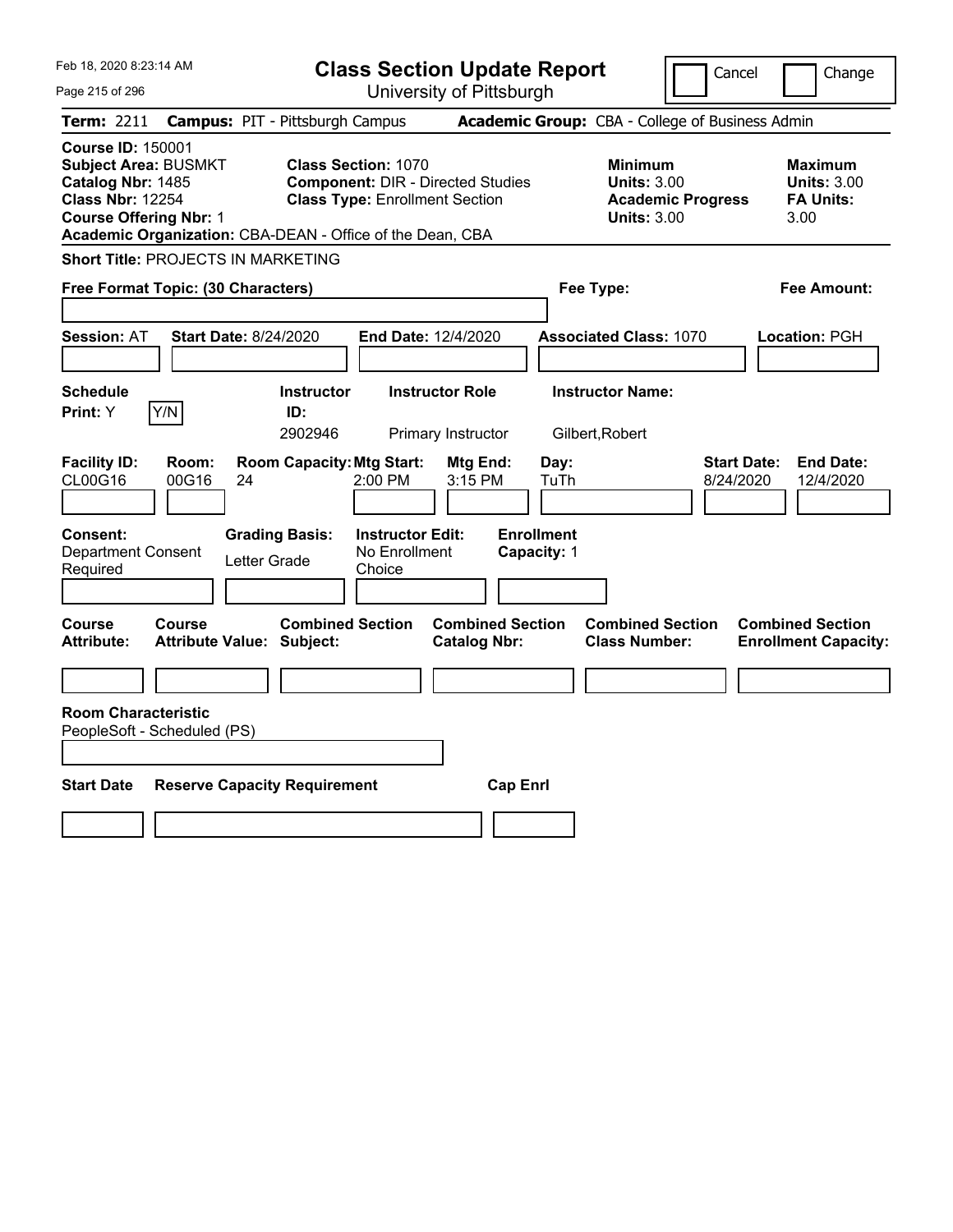| Feb 18, 2020 8:23:14 AM                                                                                                                  |                              |                                                             |                                                                     | <b>Class Section Update Report</b>             |                                  |                                                            | Cancel                   | Change                                                           |
|------------------------------------------------------------------------------------------------------------------------------------------|------------------------------|-------------------------------------------------------------|---------------------------------------------------------------------|------------------------------------------------|----------------------------------|------------------------------------------------------------|--------------------------|------------------------------------------------------------------|
| Page 215 of 296                                                                                                                          |                              |                                                             |                                                                     | University of Pittsburgh                       |                                  |                                                            |                          |                                                                  |
| Term: 2211                                                                                                                               |                              | <b>Campus: PIT - Pittsburgh Campus</b>                      |                                                                     |                                                |                                  | Academic Group: CBA - College of Business Admin            |                          |                                                                  |
| <b>Course ID: 150001</b><br><b>Subject Area: BUSMKT</b><br>Catalog Nbr: 1485<br><b>Class Nbr: 12254</b><br><b>Course Offering Nbr: 1</b> |                              | Academic Organization: CBA-DEAN - Office of the Dean, CBA   | <b>Class Section: 1070</b><br><b>Class Type: Enrollment Section</b> | <b>Component: DIR - Directed Studies</b>       |                                  | <b>Minimum</b><br><b>Units: 3.00</b><br><b>Units: 3.00</b> | <b>Academic Progress</b> | <b>Maximum</b><br><b>Units: 3.00</b><br><b>FA Units:</b><br>3.00 |
| <b>Short Title: PROJECTS IN MARKETING</b>                                                                                                |                              |                                                             |                                                                     |                                                |                                  |                                                            |                          |                                                                  |
| Free Format Topic: (30 Characters)                                                                                                       |                              |                                                             |                                                                     |                                                |                                  | Fee Type:                                                  |                          | Fee Amount:                                                      |
| <b>Session: AT</b>                                                                                                                       | <b>Start Date: 8/24/2020</b> |                                                             | End Date: 12/4/2020                                                 |                                                |                                  | <b>Associated Class: 1070</b>                              |                          | Location: PGH                                                    |
| <b>Schedule</b><br>Print: Y                                                                                                              | Y/N                          | <b>Instructor</b><br>ID:<br>2902946                         |                                                                     | <b>Instructor Role</b><br>Primary Instructor   |                                  | <b>Instructor Name:</b><br>Gilbert, Robert                 |                          |                                                                  |
| <b>Facility ID:</b><br>CL00G16                                                                                                           | Room:<br>00G16<br>24         | <b>Room Capacity: Mtg Start:</b>                            | $2:00$ PM                                                           | Mtg End:<br>$3:15$ PM                          | Day:<br>TuTh                     |                                                            | 8/24/2020                | <b>Start Date:</b><br><b>End Date:</b><br>12/4/2020              |
| <b>Consent:</b><br><b>Department Consent</b><br>Required                                                                                 |                              | <b>Grading Basis:</b><br>Letter Grade                       | <b>Instructor Edit:</b><br>No Enrollment<br>Choice                  |                                                | <b>Enrollment</b><br>Capacity: 1 |                                                            |                          |                                                                  |
| <b>Course</b><br><b>Attribute:</b>                                                                                                       | <b>Course</b>                | <b>Combined Section</b><br><b>Attribute Value: Subject:</b> |                                                                     | <b>Combined Section</b><br><b>Catalog Nbr:</b> |                                  | <b>Combined Section</b><br><b>Class Number:</b>            |                          | <b>Combined Section</b><br><b>Enrollment Capacity:</b>           |
|                                                                                                                                          |                              |                                                             |                                                                     |                                                |                                  |                                                            |                          |                                                                  |
| <b>Room Characteristic</b><br>PeopleSoft - Scheduled (PS)                                                                                |                              |                                                             |                                                                     |                                                |                                  |                                                            |                          |                                                                  |
| <b>Start Date</b>                                                                                                                        |                              | <b>Reserve Capacity Requirement</b>                         |                                                                     | <b>Cap Enrl</b>                                |                                  |                                                            |                          |                                                                  |
|                                                                                                                                          |                              |                                                             |                                                                     |                                                |                                  |                                                            |                          |                                                                  |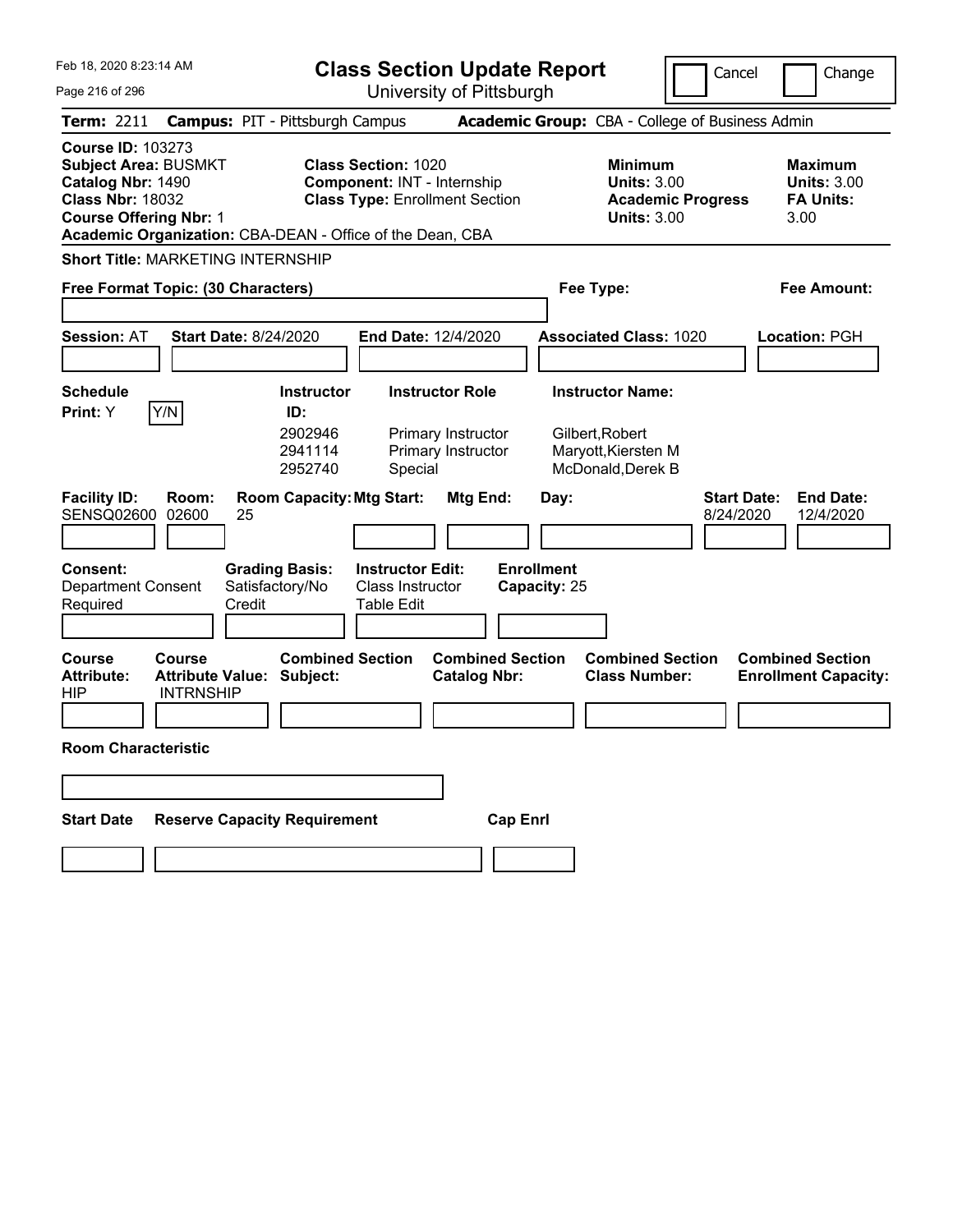| Feb 18, 2020 8:23:14 AM<br>Page 216 of 296                                                                                                                                                            | <b>Class Section Update Report</b><br>University of Pittsburgh                                                                             | Cancel                                                                                 | Change                                                           |
|-------------------------------------------------------------------------------------------------------------------------------------------------------------------------------------------------------|--------------------------------------------------------------------------------------------------------------------------------------------|----------------------------------------------------------------------------------------|------------------------------------------------------------------|
| Term: 2211                                                                                                                                                                                            | <b>Campus: PIT - Pittsburgh Campus</b>                                                                                                     | <b>Academic Group:</b> CBA - College of Business Admin                                 |                                                                  |
| <b>Course ID: 103273</b><br><b>Subject Area: BUSMKT</b><br>Catalog Nbr: 1490<br><b>Class Nbr: 18032</b><br><b>Course Offering Nbr: 1</b><br>Academic Organization: CBA-DEAN - Office of the Dean, CBA | <b>Class Section: 1020</b><br>Component: INT - Internship<br><b>Class Type: Enrollment Section</b>                                         | <b>Minimum</b><br><b>Units: 3.00</b><br><b>Academic Progress</b><br><b>Units: 3.00</b> | <b>Maximum</b><br><b>Units: 3.00</b><br><b>FA Units:</b><br>3.00 |
| <b>Short Title: MARKETING INTERNSHIP</b>                                                                                                                                                              |                                                                                                                                            |                                                                                        |                                                                  |
| Free Format Topic: (30 Characters)                                                                                                                                                                    |                                                                                                                                            | Fee Type:                                                                              | <b>Fee Amount:</b>                                               |
| <b>Session: AT</b><br><b>Start Date: 8/24/2020</b>                                                                                                                                                    | End Date: 12/4/2020                                                                                                                        | <b>Associated Class: 1020</b>                                                          | Location: PGH                                                    |
| <b>Schedule</b><br>Y/N<br>Print: Y                                                                                                                                                                    | <b>Instructor Role</b><br><b>Instructor</b><br>ID:<br>2902946<br>Primary Instructor<br>2941114<br>Primary Instructor<br>2952740<br>Special | <b>Instructor Name:</b><br>Gilbert, Robert<br>Maryott, Kiersten M<br>McDonald, Derek B |                                                                  |
| <b>Facility ID:</b><br>Room:<br>SENSQ02600<br>02600<br>25                                                                                                                                             | <b>Room Capacity: Mtg Start:</b><br>Mtg End:                                                                                               | <b>Start Date:</b><br>Day:<br>8/24/2020                                                | <b>End Date:</b><br>12/4/2020                                    |
| <b>Consent:</b><br><b>Grading Basis:</b><br>Satisfactory/No<br><b>Department Consent</b><br>Required<br>Credit                                                                                        | <b>Instructor Edit:</b><br>Class Instructor<br>Table Edit                                                                                  | <b>Enrollment</b><br>Capacity: 25                                                      |                                                                  |
| <b>Course</b><br>Course<br><b>Attribute Value: Subject:</b><br><b>Attribute:</b><br><b>INTRNSHIP</b><br>HIP                                                                                           | <b>Combined Section</b><br><b>Combined Section</b><br><b>Catalog Nbr:</b>                                                                  | <b>Combined Section</b><br><b>Class Number:</b>                                        | <b>Combined Section</b><br><b>Enrollment Capacity:</b>           |
| <b>Room Characteristic</b>                                                                                                                                                                            |                                                                                                                                            |                                                                                        |                                                                  |
| <b>Reserve Capacity Requirement</b><br><b>Start Date</b>                                                                                                                                              | <b>Cap Enrl</b>                                                                                                                            |                                                                                        |                                                                  |
|                                                                                                                                                                                                       |                                                                                                                                            |                                                                                        |                                                                  |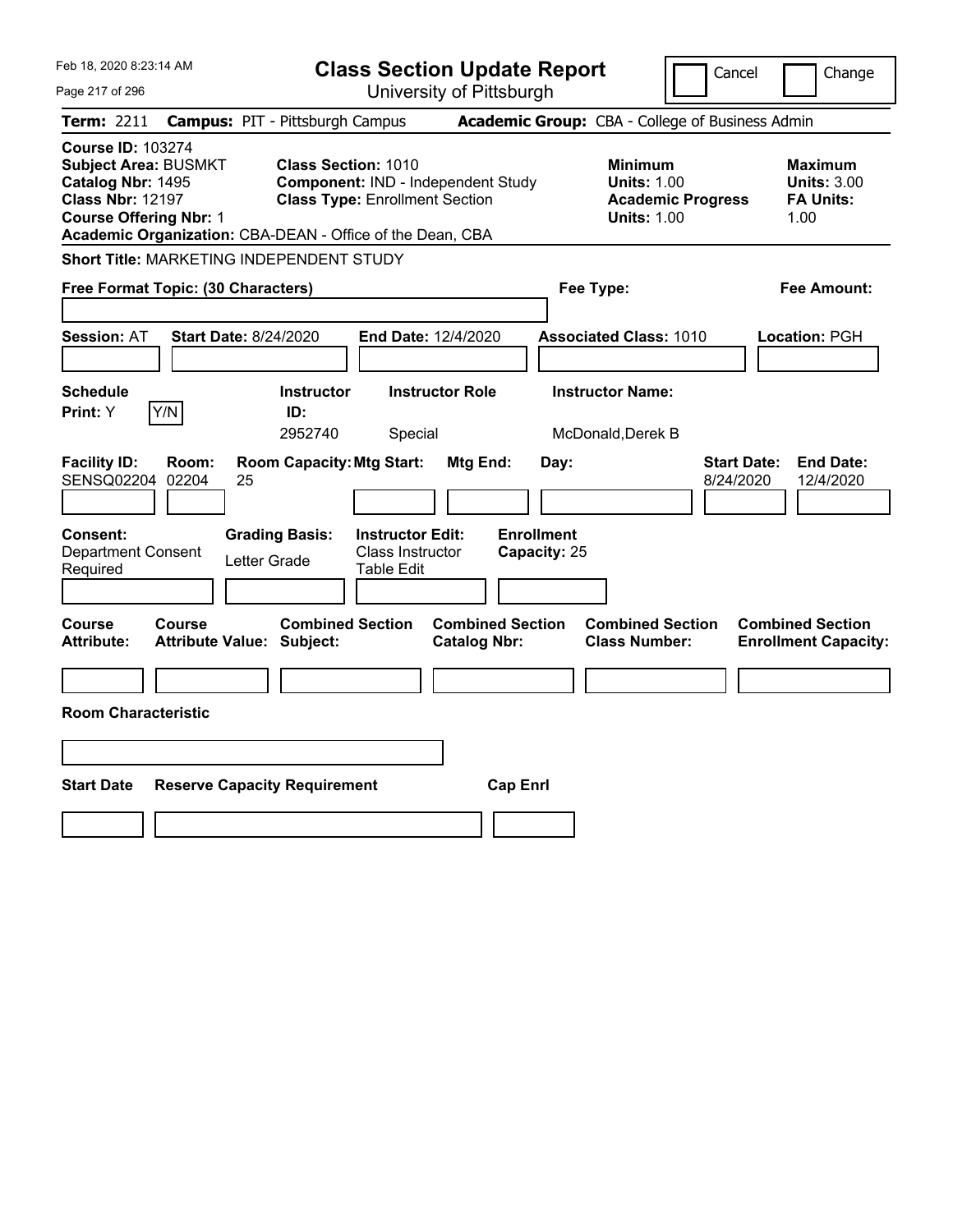| Feb 18, 2020 8:23:14 AM                                                                                                                                                                               | <b>Class Section Update Report</b>                                                                        |                                                | Cancel                                                                                 | Change                                                           |
|-------------------------------------------------------------------------------------------------------------------------------------------------------------------------------------------------------|-----------------------------------------------------------------------------------------------------------|------------------------------------------------|----------------------------------------------------------------------------------------|------------------------------------------------------------------|
| Page 217 of 296                                                                                                                                                                                       |                                                                                                           | University of Pittsburgh                       |                                                                                        |                                                                  |
| <b>Term: 2211</b>                                                                                                                                                                                     | <b>Campus: PIT - Pittsburgh Campus</b>                                                                    |                                                | Academic Group: CBA - College of Business Admin                                        |                                                                  |
| <b>Course ID: 103274</b><br><b>Subject Area: BUSMKT</b><br>Catalog Nbr: 1495<br><b>Class Nbr: 12197</b><br><b>Course Offering Nbr: 1</b><br>Academic Organization: CBA-DEAN - Office of the Dean, CBA | <b>Class Section: 1010</b><br>Component: IND - Independent Study<br><b>Class Type: Enrollment Section</b> |                                                | <b>Minimum</b><br><b>Units: 1.00</b><br><b>Academic Progress</b><br><b>Units: 1.00</b> | <b>Maximum</b><br><b>Units: 3.00</b><br><b>FA Units:</b><br>1.00 |
| Short Title: MARKETING INDEPENDENT STUDY                                                                                                                                                              |                                                                                                           |                                                |                                                                                        |                                                                  |
| Free Format Topic: (30 Characters)                                                                                                                                                                    |                                                                                                           |                                                | Fee Type:                                                                              | Fee Amount:                                                      |
| <b>Session: AT</b><br><b>Start Date: 8/24/2020</b>                                                                                                                                                    | End Date: 12/4/2020                                                                                       |                                                | <b>Associated Class: 1010</b>                                                          | Location: PGH                                                    |
| <b>Schedule</b><br>Y/N<br>Print: Y                                                                                                                                                                    | <b>Instructor Role</b><br><b>Instructor</b><br>ID:<br>2952740<br>Special                                  |                                                | <b>Instructor Name:</b><br>McDonald, Derek B                                           |                                                                  |
| <b>Facility ID:</b><br>Room:<br>SENSQ02204<br>02204<br>25                                                                                                                                             | <b>Room Capacity: Mtg Start:</b>                                                                          | <b>Mtg End:</b><br>Day:                        | 8/24/2020                                                                              | <b>Start Date:</b><br><b>End Date:</b><br>12/4/2020              |
| <b>Consent:</b><br><b>Department Consent</b><br>Letter Grade<br>Required                                                                                                                              | <b>Grading Basis:</b><br><b>Instructor Edit:</b><br>Class Instructor<br>Table Edit                        | <b>Enrollment</b><br>Capacity: 25              |                                                                                        |                                                                  |
| Course<br>Course<br><b>Attribute Value: Subject:</b><br>Attribute:                                                                                                                                    | <b>Combined Section</b>                                                                                   | <b>Combined Section</b><br><b>Catalog Nbr:</b> | <b>Combined Section</b><br><b>Class Number:</b>                                        | <b>Combined Section</b><br><b>Enrollment Capacity:</b>           |
|                                                                                                                                                                                                       |                                                                                                           |                                                |                                                                                        |                                                                  |
| <b>Room Characteristic</b>                                                                                                                                                                            |                                                                                                           |                                                |                                                                                        |                                                                  |
|                                                                                                                                                                                                       |                                                                                                           |                                                |                                                                                        |                                                                  |
| <b>Start Date</b><br><b>Reserve Capacity Requirement</b>                                                                                                                                              |                                                                                                           | <b>Cap Enrl</b>                                |                                                                                        |                                                                  |
|                                                                                                                                                                                                       |                                                                                                           |                                                |                                                                                        |                                                                  |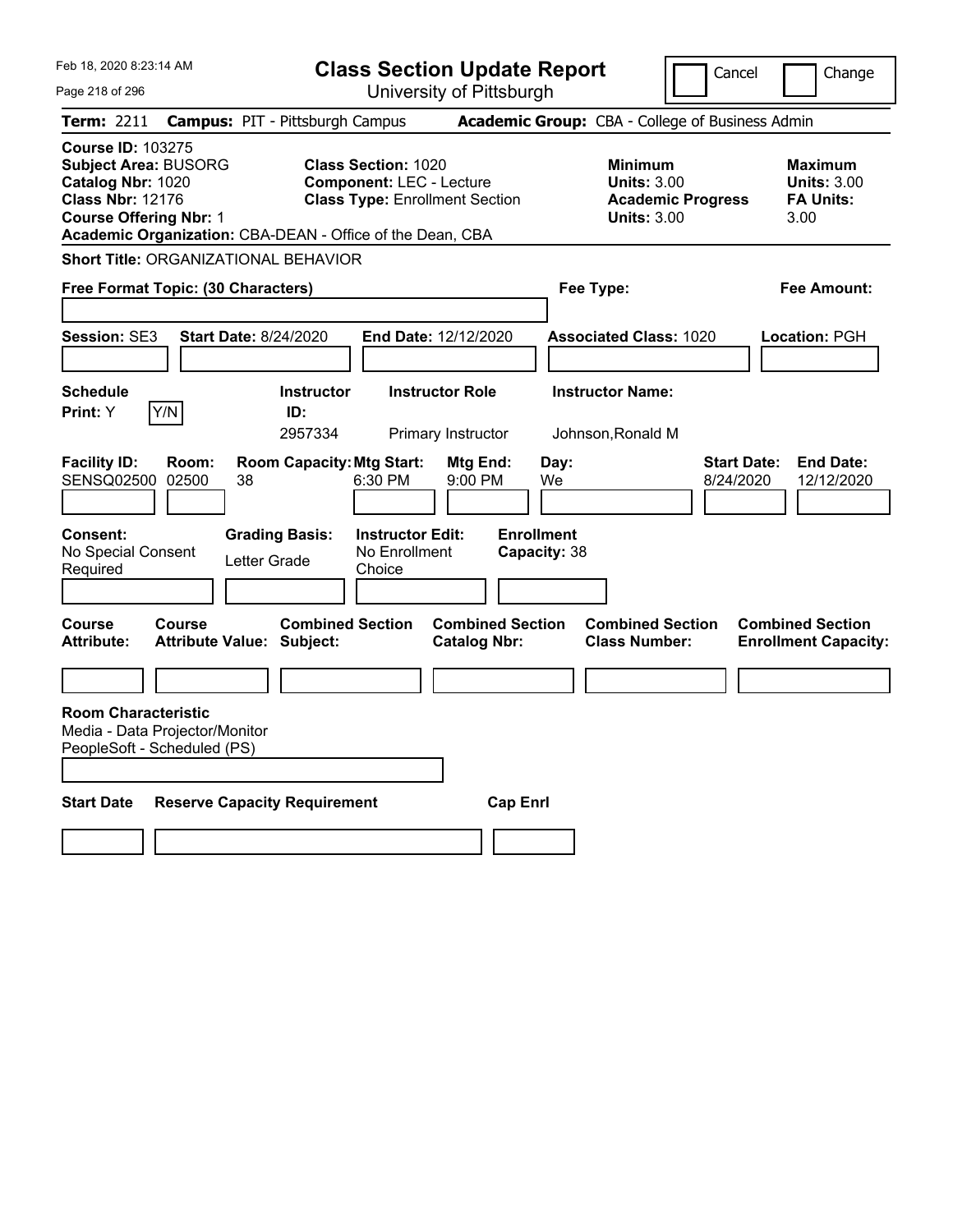| Feb 18, 2020 8:23:14 AM                                                                                                                  |                                                                                                                            | <b>Class Section Update Report</b>                 |                                                                                        | Cancel                          | Change                                                           |
|------------------------------------------------------------------------------------------------------------------------------------------|----------------------------------------------------------------------------------------------------------------------------|----------------------------------------------------|----------------------------------------------------------------------------------------|---------------------------------|------------------------------------------------------------------|
| Page 218 of 296                                                                                                                          |                                                                                                                            | University of Pittsburgh                           |                                                                                        |                                 |                                                                  |
| Term: 2211                                                                                                                               | <b>Campus: PIT - Pittsburgh Campus</b>                                                                                     |                                                    | Academic Group: CBA - College of Business Admin                                        |                                 |                                                                  |
| <b>Course ID: 103275</b><br><b>Subject Area: BUSORG</b><br>Catalog Nbr: 1020<br><b>Class Nbr: 12176</b><br><b>Course Offering Nbr: 1</b> | <b>Class Section: 1020</b><br><b>Component: LEC - Lecture</b><br>Academic Organization: CBA-DEAN - Office of the Dean, CBA | <b>Class Type: Enrollment Section</b>              | <b>Minimum</b><br><b>Units: 3.00</b><br><b>Academic Progress</b><br><b>Units: 3.00</b> |                                 | <b>Maximum</b><br><b>Units: 3.00</b><br><b>FA Units:</b><br>3.00 |
| <b>Short Title: ORGANIZATIONAL BEHAVIOR</b>                                                                                              |                                                                                                                            |                                                    |                                                                                        |                                 |                                                                  |
| Free Format Topic: (30 Characters)                                                                                                       |                                                                                                                            |                                                    | Fee Type:                                                                              |                                 | Fee Amount:                                                      |
| Session: SE3                                                                                                                             | <b>Start Date: 8/24/2020</b>                                                                                               | <b>End Date: 12/12/2020</b>                        | <b>Associated Class: 1020</b>                                                          |                                 | Location: PGH                                                    |
| <b>Schedule</b><br>Y/N<br>Print: Y                                                                                                       | <b>Instructor</b><br>ID:<br>2957334                                                                                        | <b>Instructor Role</b><br>Primary Instructor       | <b>Instructor Name:</b><br>Johnson, Ronald M                                           |                                 |                                                                  |
| <b>Facility ID:</b><br>Room:<br><b>SENSQ02500</b><br>02500                                                                               | <b>Room Capacity: Mtg Start:</b><br>38<br>6:30 PM                                                                          | Mtg End:<br>9:00 PM                                | Day:<br>We                                                                             | <b>Start Date:</b><br>8/24/2020 | <b>End Date:</b><br>12/12/2020                                   |
| <b>Consent:</b><br>No Special Consent<br>Required<br><b>Course</b><br><b>Course</b>                                                      | <b>Grading Basis:</b><br>No Enrollment<br>Letter Grade<br>Choice<br><b>Combined Section</b>                                | <b>Instructor Edit:</b><br><b>Combined Section</b> | <b>Enrollment</b><br>Capacity: 38<br><b>Combined Section</b>                           |                                 | <b>Combined Section</b>                                          |
| <b>Attribute:</b>                                                                                                                        | <b>Attribute Value: Subject:</b>                                                                                           | <b>Catalog Nbr:</b>                                | <b>Class Number:</b>                                                                   |                                 | <b>Enrollment Capacity:</b>                                      |
|                                                                                                                                          |                                                                                                                            |                                                    |                                                                                        |                                 |                                                                  |
| <b>Room Characteristic</b><br>Media - Data Projector/Monitor<br>PeopleSoft - Scheduled (PS)                                              |                                                                                                                            |                                                    |                                                                                        |                                 |                                                                  |
| <b>Start Date</b>                                                                                                                        | <b>Reserve Capacity Requirement</b>                                                                                        | <b>Cap Enrl</b>                                    |                                                                                        |                                 |                                                                  |
|                                                                                                                                          |                                                                                                                            |                                                    |                                                                                        |                                 |                                                                  |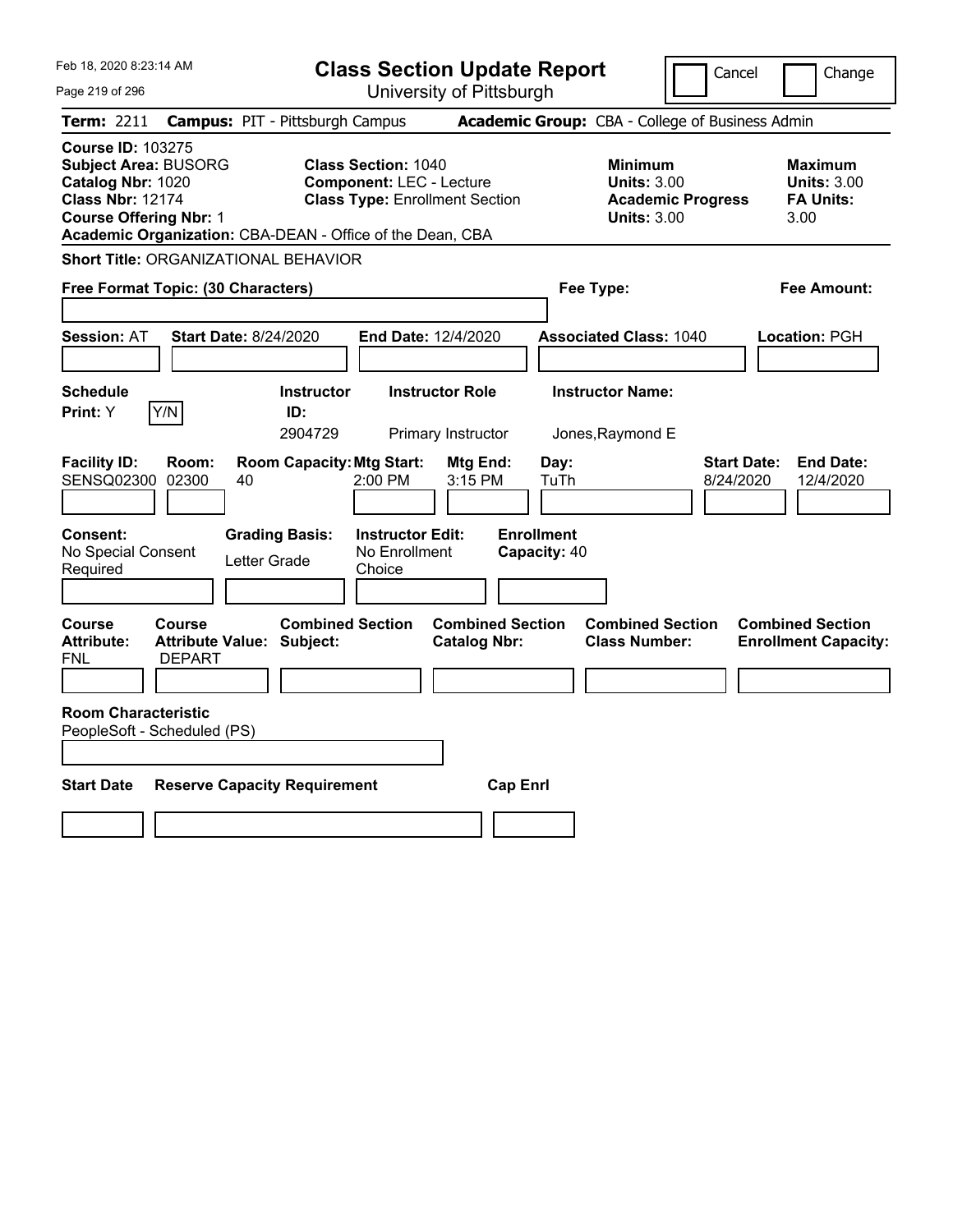| Feb 18, 2020 8:23:14 AM                                                                                                                                                                               | <b>Class Section Update Report</b>                                                                     | Cancel                                                                                 | Change                                                           |
|-------------------------------------------------------------------------------------------------------------------------------------------------------------------------------------------------------|--------------------------------------------------------------------------------------------------------|----------------------------------------------------------------------------------------|------------------------------------------------------------------|
| Page 219 of 296                                                                                                                                                                                       | University of Pittsburgh                                                                               |                                                                                        |                                                                  |
| <b>Term: 2211</b>                                                                                                                                                                                     | <b>Campus: PIT - Pittsburgh Campus</b>                                                                 | Academic Group: CBA - College of Business Admin                                        |                                                                  |
| <b>Course ID: 103275</b><br><b>Subject Area: BUSORG</b><br>Catalog Nbr: 1020<br><b>Class Nbr: 12174</b><br><b>Course Offering Nbr: 1</b><br>Academic Organization: CBA-DEAN - Office of the Dean, CBA | <b>Class Section: 1040</b><br><b>Component: LEC - Lecture</b><br><b>Class Type: Enrollment Section</b> | <b>Minimum</b><br><b>Units: 3.00</b><br><b>Academic Progress</b><br><b>Units: 3.00</b> | <b>Maximum</b><br><b>Units: 3.00</b><br><b>FA Units:</b><br>3.00 |
| <b>Short Title: ORGANIZATIONAL BEHAVIOR</b>                                                                                                                                                           |                                                                                                        |                                                                                        |                                                                  |
| Free Format Topic: (30 Characters)                                                                                                                                                                    |                                                                                                        | Fee Type:                                                                              | Fee Amount:                                                      |
| <b>Start Date: 8/24/2020</b><br><b>Session: AT</b>                                                                                                                                                    | End Date: 12/4/2020                                                                                    | <b>Associated Class: 1040</b>                                                          | Location: PGH                                                    |
| <b>Schedule</b><br>Y/N<br>Print: Y                                                                                                                                                                    | <b>Instructor</b><br><b>Instructor Role</b><br>ID:<br>2904729<br>Primary Instructor                    | <b>Instructor Name:</b><br>Jones, Raymond E                                            |                                                                  |
| <b>Facility ID:</b><br>Room:<br>SENSQ02300 02300<br>40                                                                                                                                                | <b>Room Capacity: Mtg Start:</b><br>Mtg End:<br>2:00 PM<br>$3:15$ PM                                   | Day:<br>TuTh<br>8/24/2020                                                              | <b>Start Date:</b><br><b>End Date:</b><br>12/4/2020              |
| Consent:<br><b>Grading Basis:</b><br>No Special Consent<br>Letter Grade<br>Required                                                                                                                   | <b>Instructor Edit:</b><br>No Enrollment<br>Choice                                                     | <b>Enrollment</b><br>Capacity: 40                                                      |                                                                  |
| Course<br><b>Course</b><br><b>Attribute:</b><br><b>Attribute Value: Subject:</b><br><b>DEPART</b><br>FNL                                                                                              | <b>Combined Section</b><br><b>Combined Section</b><br><b>Catalog Nbr:</b>                              | <b>Combined Section</b><br><b>Class Number:</b>                                        | <b>Combined Section</b><br><b>Enrollment Capacity:</b>           |
|                                                                                                                                                                                                       |                                                                                                        |                                                                                        |                                                                  |
| <b>Room Characteristic</b><br>PeopleSoft - Scheduled (PS)                                                                                                                                             |                                                                                                        |                                                                                        |                                                                  |
| <b>Start Date</b><br><b>Reserve Capacity Requirement</b>                                                                                                                                              | <b>Cap Enrl</b>                                                                                        |                                                                                        |                                                                  |
|                                                                                                                                                                                                       |                                                                                                        |                                                                                        |                                                                  |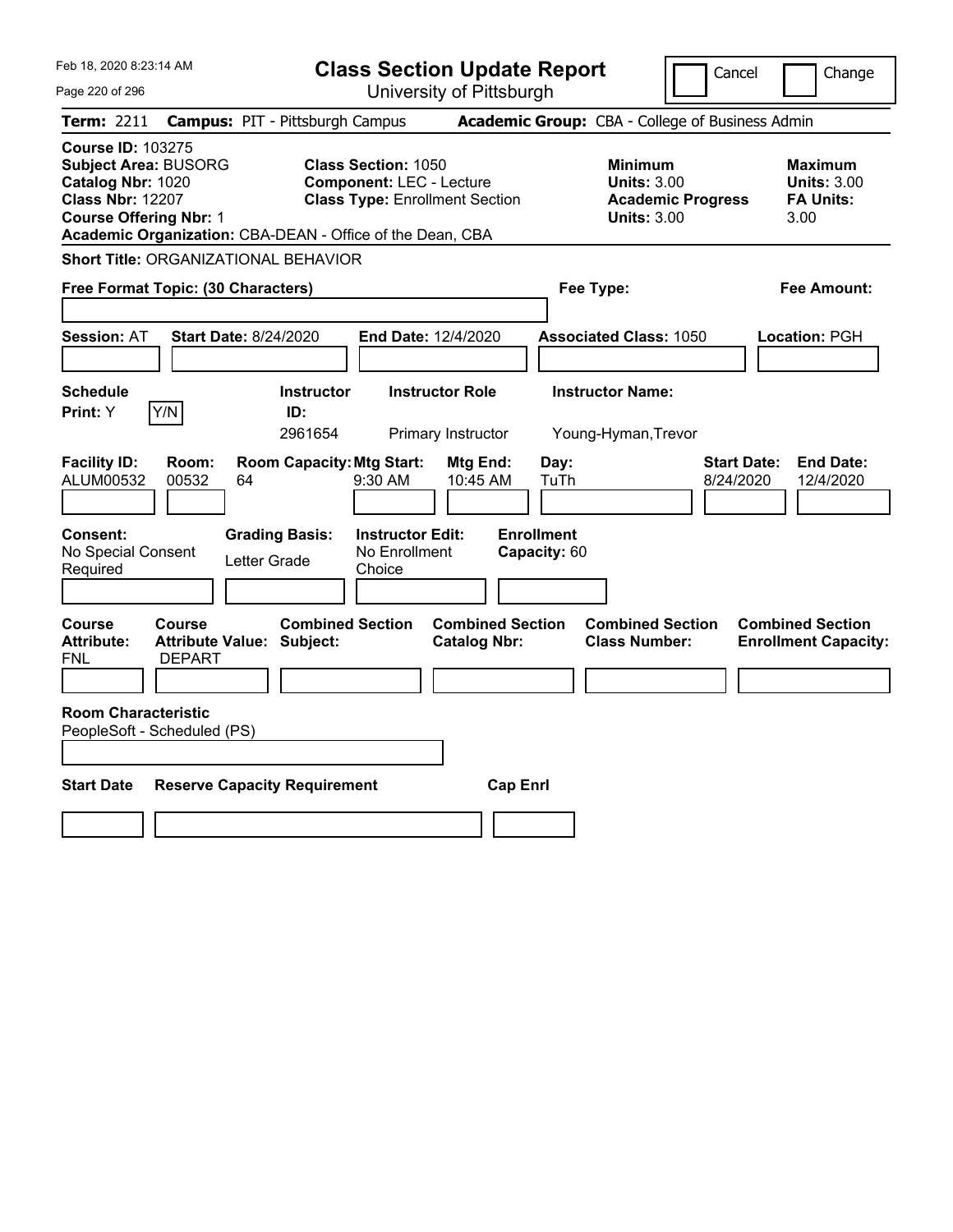| Feb 18, 2020 8:23:14 AM                                                                                                                                                                               | <b>Class Section Update Report</b>                                                                     | Cancel                                                                                 | Change                                                           |
|-------------------------------------------------------------------------------------------------------------------------------------------------------------------------------------------------------|--------------------------------------------------------------------------------------------------------|----------------------------------------------------------------------------------------|------------------------------------------------------------------|
| Page 220 of 296                                                                                                                                                                                       | University of Pittsburgh                                                                               |                                                                                        |                                                                  |
| <b>Term: 2211</b>                                                                                                                                                                                     | <b>Campus: PIT - Pittsburgh Campus</b>                                                                 | Academic Group: CBA - College of Business Admin                                        |                                                                  |
| <b>Course ID: 103275</b><br><b>Subject Area: BUSORG</b><br>Catalog Nbr: 1020<br><b>Class Nbr: 12207</b><br><b>Course Offering Nbr: 1</b><br>Academic Organization: CBA-DEAN - Office of the Dean, CBA | <b>Class Section: 1050</b><br><b>Component: LEC - Lecture</b><br><b>Class Type: Enrollment Section</b> | <b>Minimum</b><br><b>Units: 3.00</b><br><b>Academic Progress</b><br><b>Units: 3.00</b> | <b>Maximum</b><br><b>Units: 3.00</b><br><b>FA Units:</b><br>3.00 |
| <b>Short Title: ORGANIZATIONAL BEHAVIOR</b>                                                                                                                                                           |                                                                                                        |                                                                                        |                                                                  |
| Free Format Topic: (30 Characters)                                                                                                                                                                    |                                                                                                        | Fee Type:                                                                              | Fee Amount:                                                      |
| <b>Start Date: 8/24/2020</b><br><b>Session: AT</b>                                                                                                                                                    | End Date: 12/4/2020                                                                                    | <b>Associated Class: 1050</b>                                                          | Location: PGH                                                    |
| <b>Schedule</b><br>Y/N<br>Print: Y                                                                                                                                                                    | <b>Instructor</b><br><b>Instructor Role</b><br>ID:<br>2961654<br>Primary Instructor                    | <b>Instructor Name:</b><br>Young-Hyman, Trevor                                         |                                                                  |
| <b>Facility ID:</b><br>Room:<br>ALUM00532<br>00532<br>64                                                                                                                                              | <b>Room Capacity: Mtg Start:</b><br><b>Mtg End:</b><br>9:30 AM<br>10:45 AM                             | Day:<br><b>Start Date:</b><br>TuTh<br>8/24/2020                                        | <b>End Date:</b><br>12/4/2020                                    |
| Consent:<br>No Special Consent<br>Letter Grade<br>Required                                                                                                                                            | <b>Grading Basis:</b><br><b>Instructor Edit:</b><br>No Enrollment<br>Choice                            | <b>Enrollment</b><br>Capacity: 60                                                      |                                                                  |
| Course<br><b>Course</b><br><b>Attribute:</b><br><b>Attribute Value: Subject:</b><br><b>DEPART</b><br>FNL                                                                                              | <b>Combined Section</b><br><b>Combined Section</b><br><b>Catalog Nbr:</b>                              | <b>Combined Section</b><br><b>Class Number:</b>                                        | <b>Combined Section</b><br><b>Enrollment Capacity:</b>           |
|                                                                                                                                                                                                       |                                                                                                        |                                                                                        |                                                                  |
| <b>Room Characteristic</b><br>PeopleSoft - Scheduled (PS)                                                                                                                                             |                                                                                                        |                                                                                        |                                                                  |
| <b>Start Date</b><br><b>Reserve Capacity Requirement</b>                                                                                                                                              | <b>Cap Enrl</b>                                                                                        |                                                                                        |                                                                  |
|                                                                                                                                                                                                       |                                                                                                        |                                                                                        |                                                                  |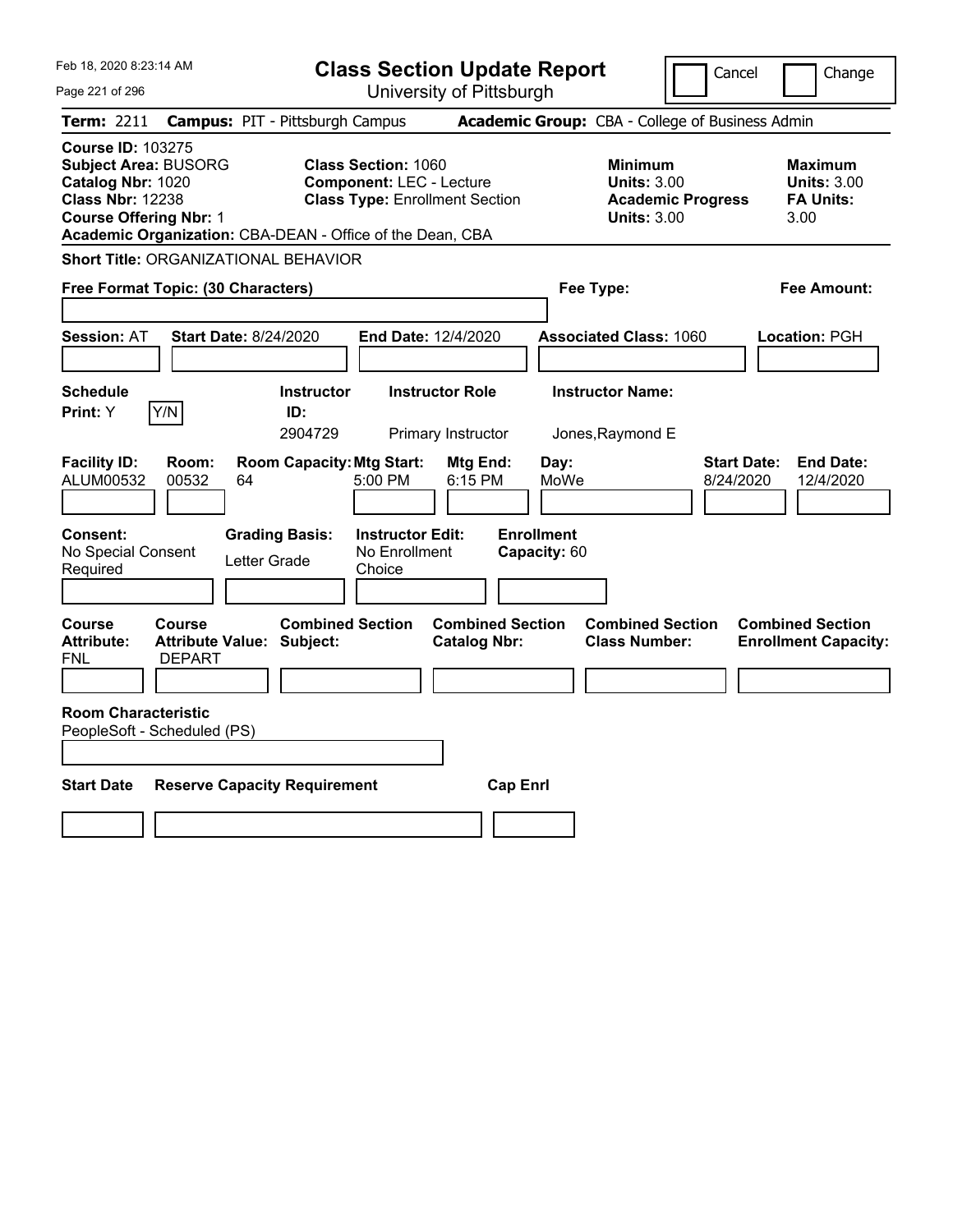| Feb 18, 2020 8:23:14 AM                                                                                                                                                                               | <b>Class Section Update Report</b>                                                                     | Cancel                                                                                 | Change                                                           |
|-------------------------------------------------------------------------------------------------------------------------------------------------------------------------------------------------------|--------------------------------------------------------------------------------------------------------|----------------------------------------------------------------------------------------|------------------------------------------------------------------|
| Page 221 of 296                                                                                                                                                                                       | University of Pittsburgh                                                                               |                                                                                        |                                                                  |
| <b>Term: 2211</b>                                                                                                                                                                                     | <b>Campus: PIT - Pittsburgh Campus</b>                                                                 | Academic Group: CBA - College of Business Admin                                        |                                                                  |
| <b>Course ID: 103275</b><br><b>Subject Area: BUSORG</b><br>Catalog Nbr: 1020<br><b>Class Nbr: 12238</b><br><b>Course Offering Nbr: 1</b><br>Academic Organization: CBA-DEAN - Office of the Dean, CBA | <b>Class Section: 1060</b><br><b>Component: LEC - Lecture</b><br><b>Class Type: Enrollment Section</b> | <b>Minimum</b><br><b>Units: 3.00</b><br><b>Academic Progress</b><br><b>Units: 3.00</b> | <b>Maximum</b><br><b>Units: 3.00</b><br><b>FA Units:</b><br>3.00 |
| <b>Short Title: ORGANIZATIONAL BEHAVIOR</b>                                                                                                                                                           |                                                                                                        |                                                                                        |                                                                  |
| Free Format Topic: (30 Characters)                                                                                                                                                                    |                                                                                                        | Fee Type:                                                                              | Fee Amount:                                                      |
| <b>Start Date: 8/24/2020</b><br><b>Session: AT</b>                                                                                                                                                    | End Date: 12/4/2020                                                                                    | <b>Associated Class: 1060</b>                                                          | Location: PGH                                                    |
| <b>Schedule</b><br>Y/N<br>Print: Y                                                                                                                                                                    | <b>Instructor</b><br><b>Instructor Role</b><br>ID:<br>2904729<br>Primary Instructor                    | <b>Instructor Name:</b><br>Jones, Raymond E                                            |                                                                  |
| <b>Facility ID:</b><br>Room:<br>ALUM00532<br>00532<br>64                                                                                                                                              | <b>Room Capacity: Mtg Start:</b><br><b>Mtg End:</b><br>5:00 PM<br>6:15 PM                              | Day:<br><b>Start Date:</b><br>MoWe<br>8/24/2020                                        | <b>End Date:</b><br>12/4/2020                                    |
| Consent:<br><b>Grading Basis:</b><br>No Special Consent<br>Letter Grade<br>Required                                                                                                                   | <b>Instructor Edit:</b><br>No Enrollment<br>Choice                                                     | <b>Enrollment</b><br>Capacity: 60                                                      |                                                                  |
| Course<br><b>Course</b><br><b>Attribute:</b><br><b>Attribute Value: Subject:</b><br><b>DEPART</b><br>FNL                                                                                              | <b>Combined Section</b><br><b>Combined Section</b><br><b>Catalog Nbr:</b>                              | <b>Combined Section</b><br><b>Class Number:</b>                                        | <b>Combined Section</b><br><b>Enrollment Capacity:</b>           |
|                                                                                                                                                                                                       |                                                                                                        |                                                                                        |                                                                  |
| <b>Room Characteristic</b><br>PeopleSoft - Scheduled (PS)                                                                                                                                             |                                                                                                        |                                                                                        |                                                                  |
| <b>Start Date</b><br><b>Reserve Capacity Requirement</b>                                                                                                                                              | <b>Cap Enrl</b>                                                                                        |                                                                                        |                                                                  |
|                                                                                                                                                                                                       |                                                                                                        |                                                                                        |                                                                  |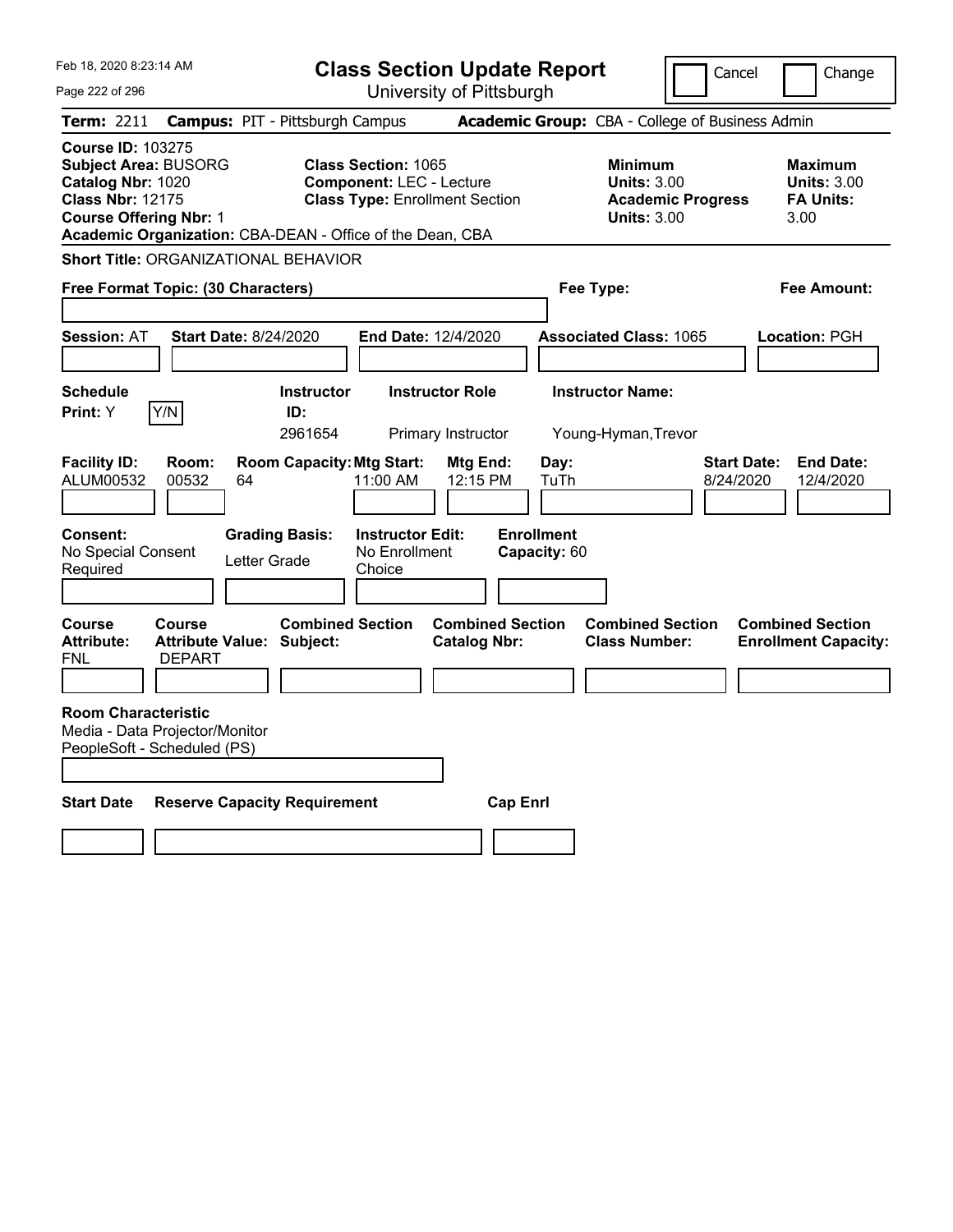| Feb 18, 2020 8:23:14 AM                                                                                                                                                                               | <b>Class Section Update Report</b>                                                                     |                                                |                                                            | Cancel                          | Change                                                           |
|-------------------------------------------------------------------------------------------------------------------------------------------------------------------------------------------------------|--------------------------------------------------------------------------------------------------------|------------------------------------------------|------------------------------------------------------------|---------------------------------|------------------------------------------------------------------|
| Page 222 of 296                                                                                                                                                                                       |                                                                                                        | University of Pittsburgh                       |                                                            |                                 |                                                                  |
| Term: 2211                                                                                                                                                                                            | <b>Campus: PIT - Pittsburgh Campus</b>                                                                 |                                                | Academic Group: CBA - College of Business Admin            |                                 |                                                                  |
| <b>Course ID: 103275</b><br><b>Subject Area: BUSORG</b><br>Catalog Nbr: 1020<br><b>Class Nbr: 12175</b><br><b>Course Offering Nbr: 1</b><br>Academic Organization: CBA-DEAN - Office of the Dean, CBA | <b>Class Section: 1065</b><br><b>Component: LEC - Lecture</b><br><b>Class Type: Enrollment Section</b> |                                                | <b>Minimum</b><br><b>Units: 3.00</b><br><b>Units: 3.00</b> | <b>Academic Progress</b>        | <b>Maximum</b><br><b>Units: 3.00</b><br><b>FA Units:</b><br>3.00 |
| <b>Short Title: ORGANIZATIONAL BEHAVIOR</b>                                                                                                                                                           |                                                                                                        |                                                |                                                            |                                 |                                                                  |
| Free Format Topic: (30 Characters)                                                                                                                                                                    |                                                                                                        |                                                | Fee Type:                                                  |                                 | Fee Amount:                                                      |
| <b>Start Date: 8/24/2020</b><br><b>Session: AT</b>                                                                                                                                                    | <b>End Date: 12/4/2020</b>                                                                             |                                                | <b>Associated Class: 1065</b>                              |                                 | Location: PGH                                                    |
| <b>Schedule</b><br>Y/N<br>Print: Y                                                                                                                                                                    | <b>Instructor</b><br>ID:<br>2961654                                                                    | <b>Instructor Role</b><br>Primary Instructor   | <b>Instructor Name:</b><br>Young-Hyman, Trevor             |                                 |                                                                  |
| <b>Facility ID:</b><br>Room:<br>ALUM00532<br>00532<br>64                                                                                                                                              | <b>Room Capacity: Mtg Start:</b><br>11:00 AM                                                           | Mtg End:<br>12:15 PM                           | Day:<br>TuTh                                               | <b>Start Date:</b><br>8/24/2020 | <b>End Date:</b><br>12/4/2020                                    |
| <b>Consent:</b><br>No Special Consent<br>Required                                                                                                                                                     | <b>Grading Basis:</b><br><b>Instructor Edit:</b><br>No Enrollment<br>Letter Grade<br>Choice            |                                                | <b>Enrollment</b><br>Capacity: 60                          |                                 |                                                                  |
| <b>Course</b><br><b>Course</b><br><b>Attribute:</b><br><b>Attribute Value: Subject:</b><br><b>DEPART</b><br>FNL                                                                                       | <b>Combined Section</b>                                                                                | <b>Combined Section</b><br><b>Catalog Nbr:</b> | <b>Combined Section</b><br><b>Class Number:</b>            |                                 | <b>Combined Section</b><br><b>Enrollment Capacity:</b>           |
| <b>Room Characteristic</b><br>Media - Data Projector/Monitor<br>PeopleSoft - Scheduled (PS)                                                                                                           |                                                                                                        |                                                |                                                            |                                 |                                                                  |
| <b>Start Date</b>                                                                                                                                                                                     | <b>Reserve Capacity Requirement</b>                                                                    | <b>Cap Enrl</b>                                |                                                            |                                 |                                                                  |
|                                                                                                                                                                                                       |                                                                                                        |                                                |                                                            |                                 |                                                                  |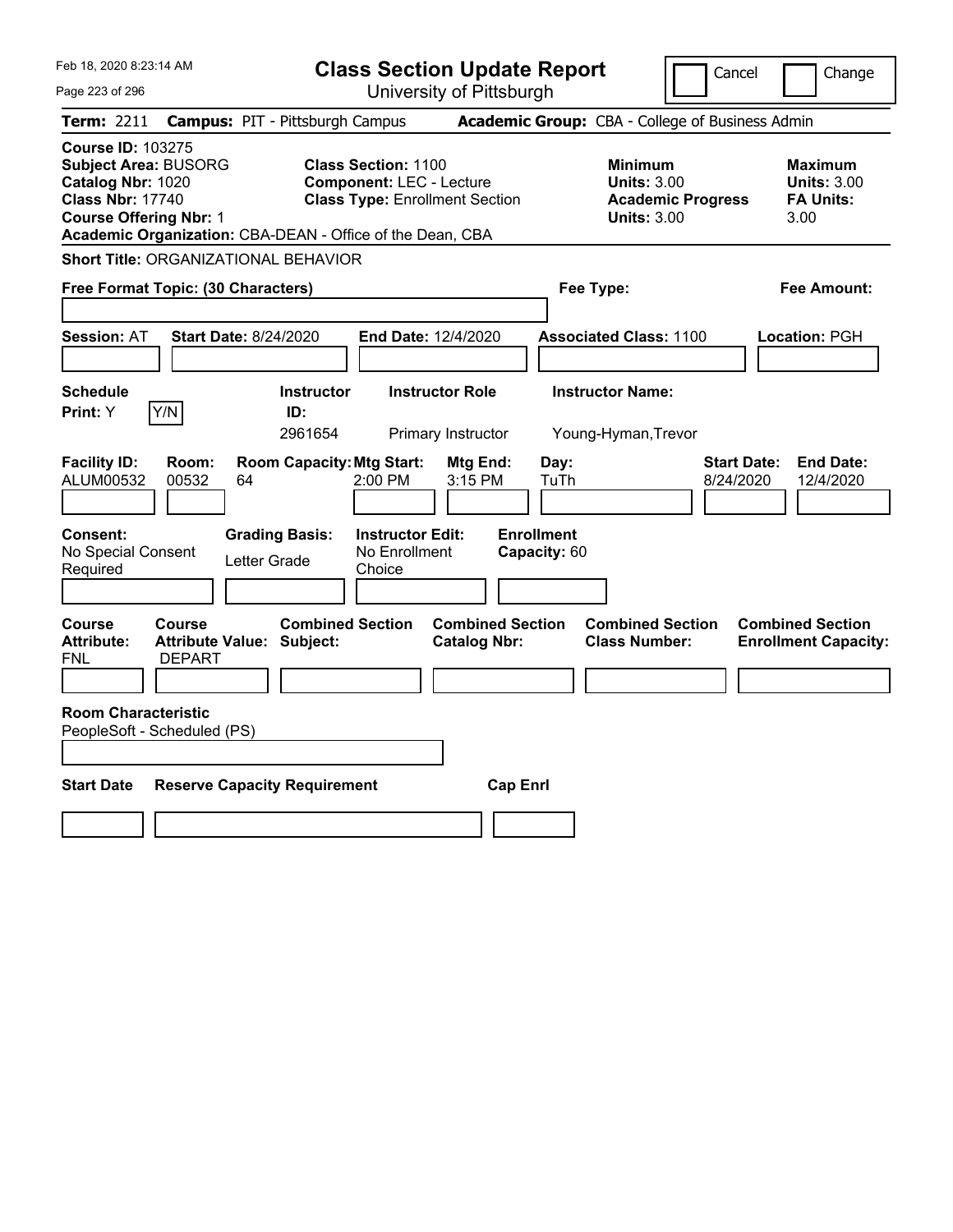| Feb 18, 2020 8:23:14 AM                                                                                                                                                                               | <b>Class Section Update Report</b>                                                                     | Cancel                                                                                 | Change                                                           |
|-------------------------------------------------------------------------------------------------------------------------------------------------------------------------------------------------------|--------------------------------------------------------------------------------------------------------|----------------------------------------------------------------------------------------|------------------------------------------------------------------|
| Page 223 of 296                                                                                                                                                                                       | University of Pittsburgh                                                                               |                                                                                        |                                                                  |
| <b>Term: 2211</b>                                                                                                                                                                                     | <b>Campus: PIT - Pittsburgh Campus</b>                                                                 | Academic Group: CBA - College of Business Admin                                        |                                                                  |
| <b>Course ID: 103275</b><br><b>Subject Area: BUSORG</b><br>Catalog Nbr: 1020<br><b>Class Nbr: 17740</b><br><b>Course Offering Nbr: 1</b><br>Academic Organization: CBA-DEAN - Office of the Dean, CBA | <b>Class Section: 1100</b><br><b>Component: LEC - Lecture</b><br><b>Class Type: Enrollment Section</b> | <b>Minimum</b><br><b>Units: 3.00</b><br><b>Academic Progress</b><br><b>Units: 3.00</b> | <b>Maximum</b><br><b>Units: 3.00</b><br><b>FA Units:</b><br>3.00 |
| <b>Short Title: ORGANIZATIONAL BEHAVIOR</b>                                                                                                                                                           |                                                                                                        |                                                                                        |                                                                  |
| Free Format Topic: (30 Characters)                                                                                                                                                                    |                                                                                                        | Fee Type:                                                                              | Fee Amount:                                                      |
| <b>Start Date: 8/24/2020</b><br><b>Session: AT</b>                                                                                                                                                    | End Date: 12/4/2020                                                                                    | <b>Associated Class: 1100</b>                                                          | Location: PGH                                                    |
| <b>Schedule</b><br>Y/N<br>Print: Y                                                                                                                                                                    | <b>Instructor</b><br><b>Instructor Role</b><br>ID:<br>2961654<br>Primary Instructor                    | <b>Instructor Name:</b><br>Young-Hyman, Trevor                                         |                                                                  |
| <b>Facility ID:</b><br>Room:<br>ALUM00532<br>00532<br>64                                                                                                                                              | <b>Room Capacity: Mtg Start:</b><br>Mtg End:<br>2:00 PM<br>$3:15$ PM                                   | Day:<br><b>Start Date:</b><br>TuTh<br>8/24/2020                                        | <b>End Date:</b><br>12/4/2020                                    |
| Consent:<br><b>Grading Basis:</b><br>No Special Consent<br>Letter Grade<br>Required                                                                                                                   | <b>Instructor Edit:</b><br>No Enrollment<br>Choice                                                     | <b>Enrollment</b><br>Capacity: 60                                                      |                                                                  |
| Course<br><b>Course</b><br><b>Attribute:</b><br><b>Attribute Value: Subject:</b><br><b>DEPART</b><br>FNL                                                                                              | <b>Combined Section</b><br><b>Combined Section</b><br><b>Catalog Nbr:</b>                              | <b>Combined Section</b><br><b>Class Number:</b>                                        | <b>Combined Section</b><br><b>Enrollment Capacity:</b>           |
|                                                                                                                                                                                                       |                                                                                                        |                                                                                        |                                                                  |
| <b>Room Characteristic</b><br>PeopleSoft - Scheduled (PS)                                                                                                                                             |                                                                                                        |                                                                                        |                                                                  |
| <b>Start Date</b><br><b>Reserve Capacity Requirement</b>                                                                                                                                              | <b>Cap Enrl</b>                                                                                        |                                                                                        |                                                                  |
|                                                                                                                                                                                                       |                                                                                                        |                                                                                        |                                                                  |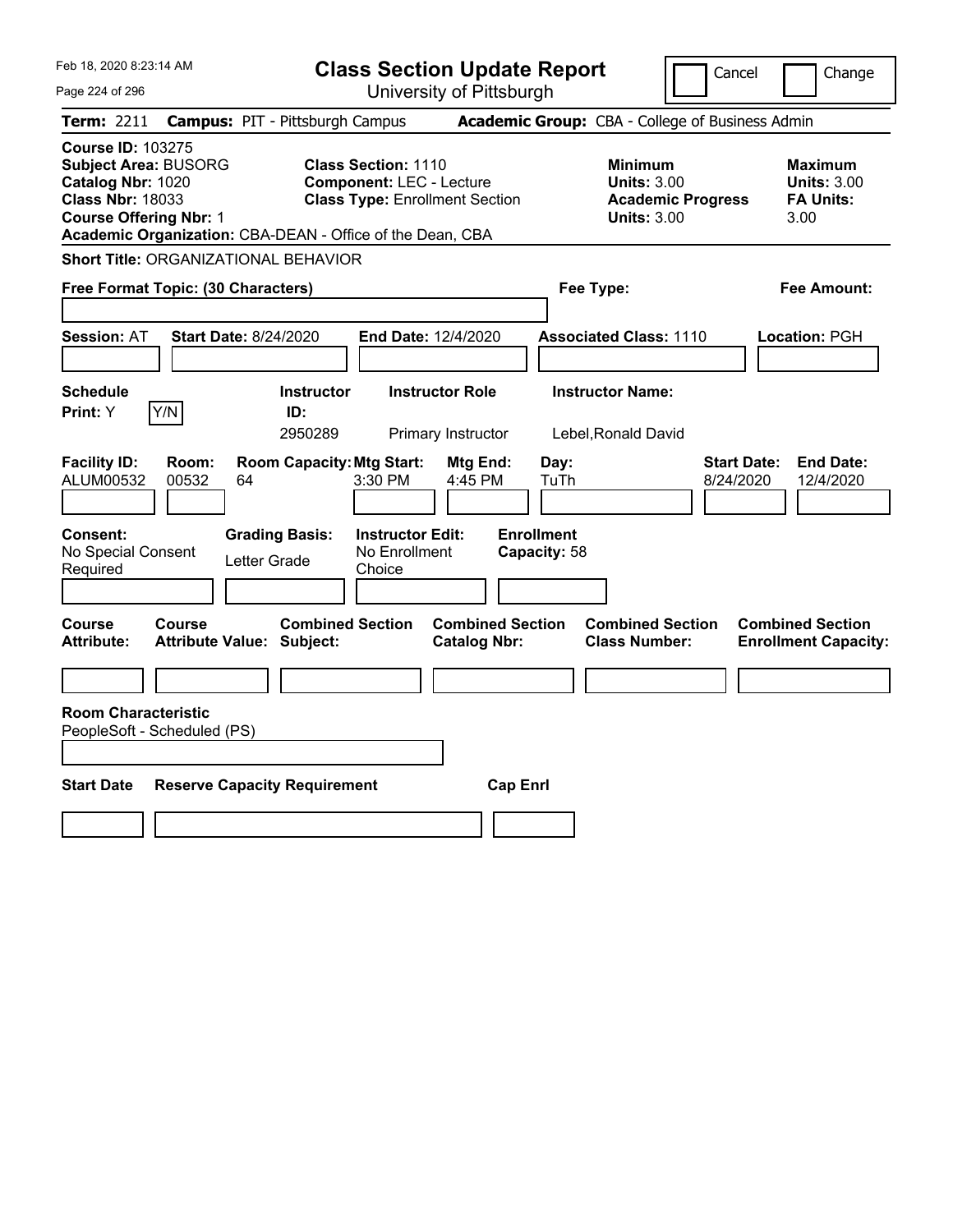| Feb 18, 2020 8:23:14 AM                                                                                                                                                                               | <b>Class Section Update Report</b>                                                                     |                                                |                                                                                        | Cancel<br>Change                                                 |
|-------------------------------------------------------------------------------------------------------------------------------------------------------------------------------------------------------|--------------------------------------------------------------------------------------------------------|------------------------------------------------|----------------------------------------------------------------------------------------|------------------------------------------------------------------|
| Page 224 of 296                                                                                                                                                                                       |                                                                                                        | University of Pittsburgh                       |                                                                                        |                                                                  |
| <b>Term: 2211</b>                                                                                                                                                                                     | <b>Campus: PIT - Pittsburgh Campus</b>                                                                 |                                                | Academic Group: CBA - College of Business Admin                                        |                                                                  |
| <b>Course ID: 103275</b><br><b>Subject Area: BUSORG</b><br>Catalog Nbr: 1020<br><b>Class Nbr: 18033</b><br><b>Course Offering Nbr: 1</b><br>Academic Organization: CBA-DEAN - Office of the Dean, CBA | <b>Class Section: 1110</b><br><b>Component: LEC - Lecture</b><br><b>Class Type: Enrollment Section</b> |                                                | <b>Minimum</b><br><b>Units: 3.00</b><br><b>Academic Progress</b><br><b>Units: 3.00</b> | <b>Maximum</b><br><b>Units: 3.00</b><br><b>FA Units:</b><br>3.00 |
| <b>Short Title: ORGANIZATIONAL BEHAVIOR</b>                                                                                                                                                           |                                                                                                        |                                                |                                                                                        |                                                                  |
| Free Format Topic: (30 Characters)                                                                                                                                                                    |                                                                                                        |                                                | Fee Type:                                                                              | Fee Amount:                                                      |
| <b>Session: AT</b><br><b>Start Date: 8/24/2020</b>                                                                                                                                                    | <b>End Date: 12/4/2020</b>                                                                             |                                                | <b>Associated Class: 1110</b>                                                          | Location: PGH                                                    |
| <b>Schedule</b><br>Y/N<br>Print: Y                                                                                                                                                                    | <b>Instructor Role</b><br><b>Instructor</b><br>ID:<br>2950289<br>Primary Instructor                    |                                                | <b>Instructor Name:</b><br>Lebel, Ronald David                                         |                                                                  |
| <b>Facility ID:</b><br>Room:<br>ALUM00532<br>00532<br>64                                                                                                                                              | <b>Room Capacity: Mtg Start:</b><br>3:30 PM                                                            | Mtg End:<br>Day:<br>4:45 PM<br>TuTh            |                                                                                        | <b>End Date:</b><br><b>Start Date:</b><br>12/4/2020<br>8/24/2020 |
| Consent:<br>No Special Consent<br>Required                                                                                                                                                            | <b>Instructor Edit:</b><br><b>Grading Basis:</b><br>No Enrollment<br>Letter Grade<br>Choice            | <b>Enrollment</b><br>Capacity: 58              |                                                                                        |                                                                  |
| Course<br>Course<br><b>Attribute:</b><br><b>Attribute Value: Subject:</b>                                                                                                                             | <b>Combined Section</b>                                                                                | <b>Combined Section</b><br><b>Catalog Nbr:</b> | <b>Combined Section</b><br><b>Class Number:</b>                                        | <b>Combined Section</b><br><b>Enrollment Capacity:</b>           |
|                                                                                                                                                                                                       |                                                                                                        |                                                |                                                                                        |                                                                  |
| <b>Room Characteristic</b><br>PeopleSoft - Scheduled (PS)                                                                                                                                             |                                                                                                        |                                                |                                                                                        |                                                                  |
| <b>Start Date</b>                                                                                                                                                                                     | <b>Reserve Capacity Requirement</b>                                                                    | <b>Cap Enrl</b>                                |                                                                                        |                                                                  |
|                                                                                                                                                                                                       |                                                                                                        |                                                |                                                                                        |                                                                  |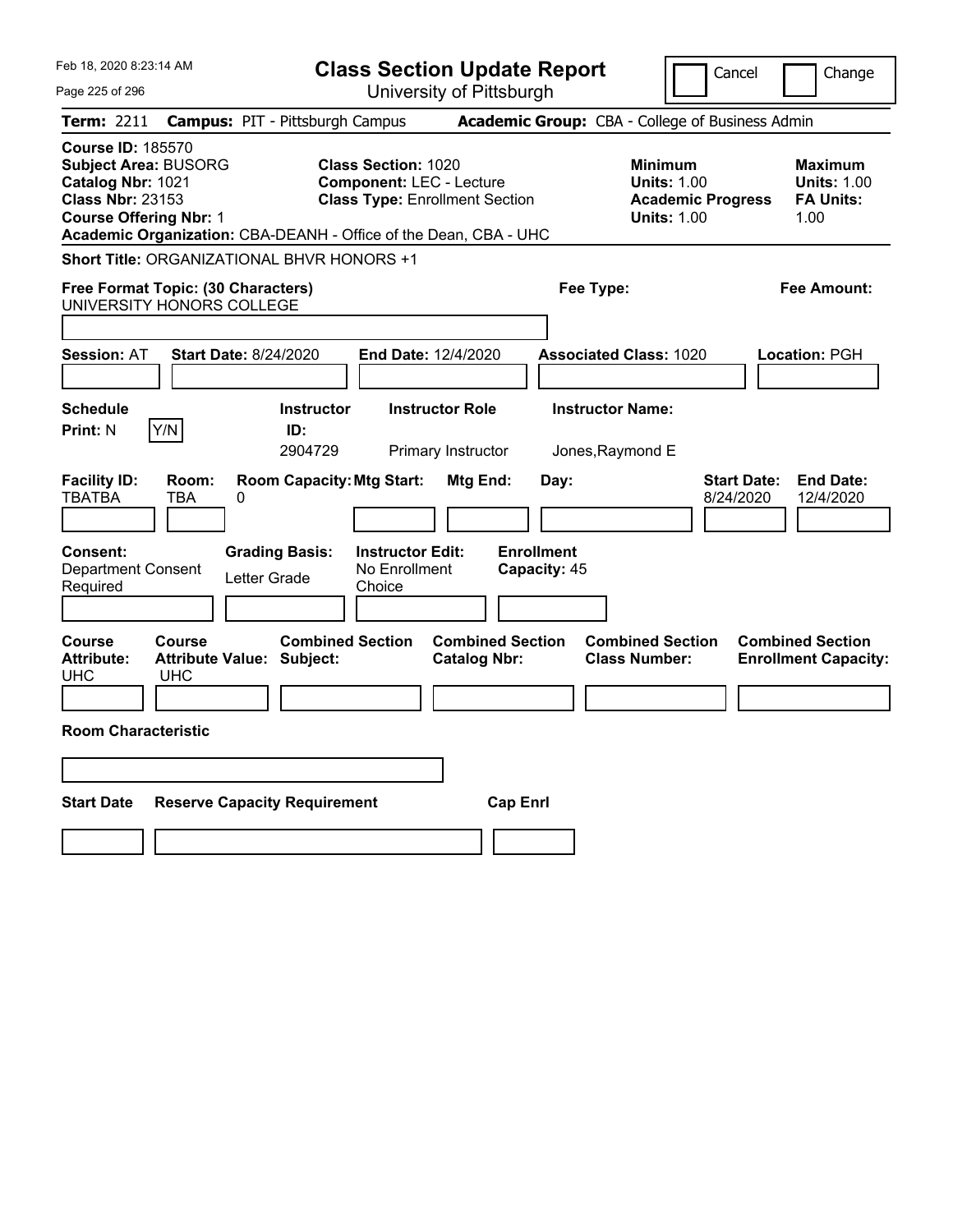| Feb 18, 2020 8:23:14 AM                                                                                                                                        | <b>Class Section Update Report</b>                                                                                                                                         | Cancel<br>Change                                                                                                                                           |
|----------------------------------------------------------------------------------------------------------------------------------------------------------------|----------------------------------------------------------------------------------------------------------------------------------------------------------------------------|------------------------------------------------------------------------------------------------------------------------------------------------------------|
| Page 225 of 296                                                                                                                                                | University of Pittsburgh                                                                                                                                                   |                                                                                                                                                            |
| Term: 2211<br><b>Campus: PIT - Pittsburgh Campus</b>                                                                                                           |                                                                                                                                                                            | Academic Group: CBA - College of Business Admin                                                                                                            |
| <b>Course ID: 185570</b><br><b>Subject Area: BUSORG</b><br>Catalog Nbr: 1021<br><b>Class Nbr: 23153</b><br><b>Course Offering Nbr: 1</b>                       | <b>Class Section: 1020</b><br><b>Component: LEC - Lecture</b><br><b>Class Type: Enrollment Section</b><br>Academic Organization: CBA-DEANH - Office of the Dean, CBA - UHC | <b>Minimum</b><br><b>Maximum</b><br><b>Units: 1.00</b><br><b>Units: 1.00</b><br><b>Academic Progress</b><br><b>FA Units:</b><br><b>Units: 1.00</b><br>1.00 |
| Short Title: ORGANIZATIONAL BHVR HONORS +1                                                                                                                     |                                                                                                                                                                            |                                                                                                                                                            |
| Free Format Topic: (30 Characters)<br>UNIVERSITY HONORS COLLEGE                                                                                                | Fee Type:                                                                                                                                                                  | <b>Fee Amount:</b>                                                                                                                                         |
| <b>Session: AT</b><br><b>Start Date: 8/24/2020</b>                                                                                                             | <b>End Date: 12/4/2020</b>                                                                                                                                                 | <b>Associated Class: 1020</b><br><b>Location: PGH</b>                                                                                                      |
| <b>Schedule</b><br>Y/N<br><b>Print: N</b>                                                                                                                      | <b>Instructor Role</b><br><b>Instructor Name:</b><br><b>Instructor</b><br>ID:<br>2904729<br>Primary Instructor<br>Jones, Raymond E                                         |                                                                                                                                                            |
| <b>Facility ID:</b><br>Room:<br><b>TBATBA</b><br>TBA<br>0<br><b>Grading Basis:</b><br><b>Consent:</b><br><b>Department Consent</b><br>Letter Grade<br>Required | <b>Room Capacity: Mtg Start:</b><br>Mtg End:<br>Day:<br><b>Instructor Edit:</b><br><b>Enrollment</b><br>No Enrollment<br>Capacity: 45<br>Choice                            | <b>Start Date:</b><br><b>End Date:</b><br>12/4/2020<br>8/24/2020                                                                                           |
| <b>Course</b><br>Course<br><b>Attribute:</b><br><b>Attribute Value: Subject:</b><br>UHC<br><b>UHC</b><br><b>Room Characteristic</b>                            | <b>Combined Section</b><br><b>Combined Section</b><br><b>Catalog Nbr:</b>                                                                                                  | <b>Combined Section</b><br><b>Combined Section</b><br><b>Class Number:</b><br><b>Enrollment Capacity:</b>                                                  |
|                                                                                                                                                                |                                                                                                                                                                            |                                                                                                                                                            |
| <b>Start Date</b><br><b>Reserve Capacity Requirement</b>                                                                                                       | <b>Cap Enri</b>                                                                                                                                                            |                                                                                                                                                            |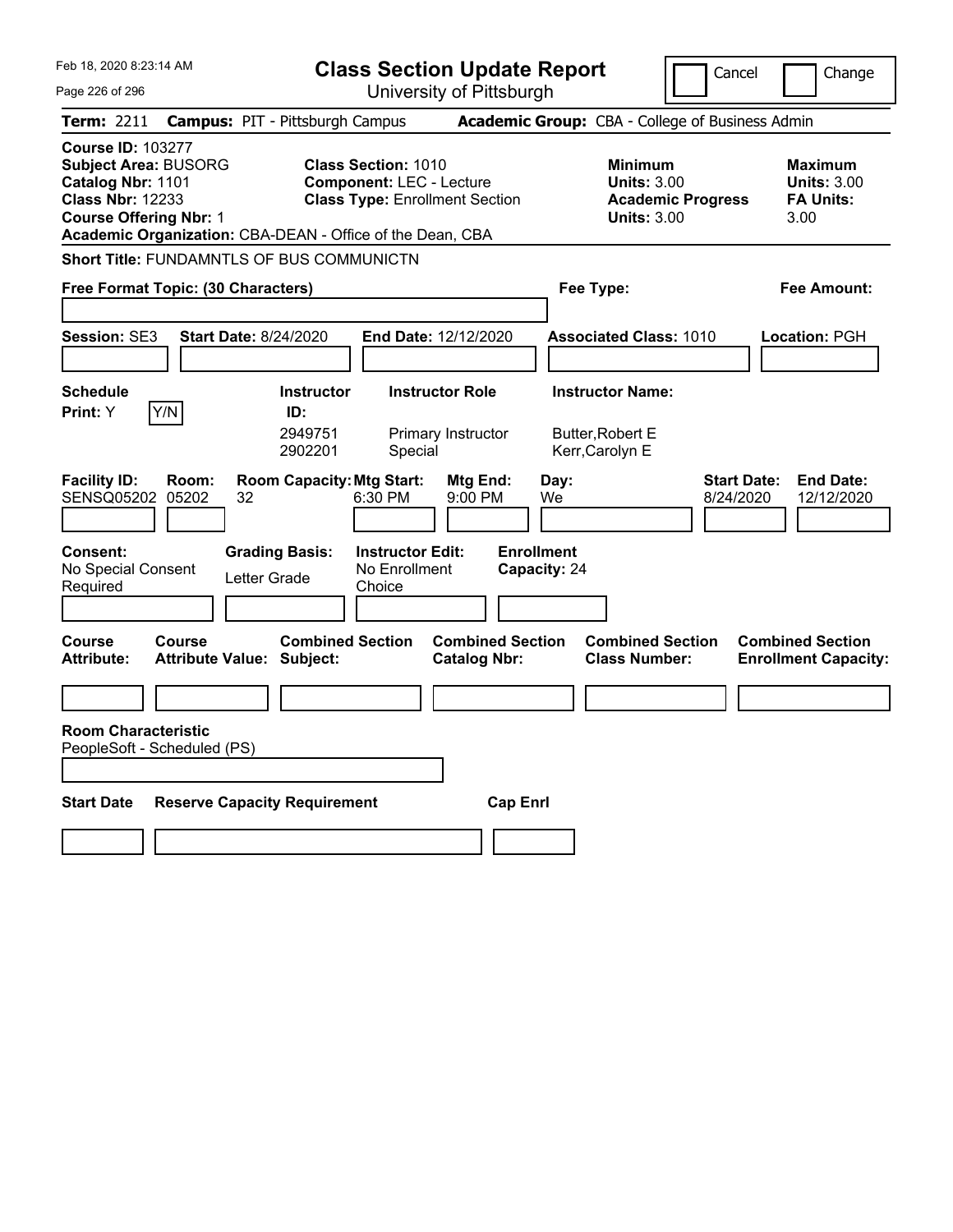| Feb 18, 2020 8:23:14 AM                                                                                                                  |                                           | <b>Class Section Update Report</b>                                                                                                                                  |                                                |                                                            | Cancel                          | Change                                                           |
|------------------------------------------------------------------------------------------------------------------------------------------|-------------------------------------------|---------------------------------------------------------------------------------------------------------------------------------------------------------------------|------------------------------------------------|------------------------------------------------------------|---------------------------------|------------------------------------------------------------------|
| Page 226 of 296                                                                                                                          |                                           |                                                                                                                                                                     | University of Pittsburgh                       |                                                            |                                 |                                                                  |
| <b>Term: 2211</b>                                                                                                                        | <b>Campus: PIT - Pittsburgh Campus</b>    |                                                                                                                                                                     |                                                | Academic Group: CBA - College of Business Admin            |                                 |                                                                  |
| <b>Course ID: 103277</b><br><b>Subject Area: BUSORG</b><br>Catalog Nbr: 1101<br><b>Class Nbr: 12233</b><br><b>Course Offering Nbr: 1</b> |                                           | <b>Class Section: 1010</b><br><b>Component: LEC - Lecture</b><br><b>Class Type: Enrollment Section</b><br>Academic Organization: CBA-DEAN - Office of the Dean, CBA |                                                | <b>Minimum</b><br><b>Units: 3.00</b><br><b>Units: 3.00</b> | <b>Academic Progress</b>        | <b>Maximum</b><br><b>Units: 3.00</b><br><b>FA Units:</b><br>3.00 |
|                                                                                                                                          | Short Title: FUNDAMNTLS OF BUS COMMUNICTN |                                                                                                                                                                     |                                                |                                                            |                                 |                                                                  |
|                                                                                                                                          | Free Format Topic: (30 Characters)        |                                                                                                                                                                     |                                                | Fee Type:                                                  |                                 | Fee Amount:                                                      |
|                                                                                                                                          |                                           |                                                                                                                                                                     |                                                |                                                            |                                 |                                                                  |
| Session: SE3                                                                                                                             | <b>Start Date: 8/24/2020</b>              |                                                                                                                                                                     | End Date: 12/12/2020                           | <b>Associated Class: 1010</b>                              |                                 | Location: PGH                                                    |
|                                                                                                                                          |                                           |                                                                                                                                                                     |                                                |                                                            |                                 |                                                                  |
| <b>Schedule</b>                                                                                                                          |                                           | <b>Instructor</b>                                                                                                                                                   | <b>Instructor Role</b>                         | <b>Instructor Name:</b>                                    |                                 |                                                                  |
| Y/N<br><b>Print:</b> Y                                                                                                                   | ID:                                       | 2949751<br>2902201<br>Special                                                                                                                                       | Primary Instructor                             | Butter, Robert E<br>Kerr, Carolyn E                        |                                 |                                                                  |
| <b>Facility ID:</b><br><b>SENSQ05202</b>                                                                                                 | Room:<br>05202<br>32                      | <b>Room Capacity: Mtg Start:</b><br>6:30 PM                                                                                                                         | Mtg End:<br>9:00 PM                            | Day:<br>We                                                 | <b>Start Date:</b><br>8/24/2020 | <b>End Date:</b><br>12/12/2020                                   |
| <b>Consent:</b><br>No Special Consent<br>Required                                                                                        | <b>Grading Basis:</b><br>Letter Grade     | <b>Instructor Edit:</b><br>No Enrollment<br>Choice                                                                                                                  |                                                | <b>Enrollment</b><br>Capacity: 24                          |                                 |                                                                  |
| Course<br>Attribute:                                                                                                                     | Course<br>Attribute Value: Subject:       | <b>Combined Section</b>                                                                                                                                             | <b>Combined Section</b><br><b>Catalog Nbr:</b> | <b>Combined Section</b><br><b>Class Number:</b>            |                                 | <b>Combined Section</b><br><b>Enrollment Capacity:</b>           |
|                                                                                                                                          |                                           |                                                                                                                                                                     |                                                |                                                            |                                 |                                                                  |
| <b>Room Characteristic</b><br>PeopleSoft - Scheduled (PS)                                                                                |                                           |                                                                                                                                                                     |                                                |                                                            |                                 |                                                                  |
| <b>Start Date</b>                                                                                                                        | <b>Reserve Capacity Requirement</b>       |                                                                                                                                                                     | <b>Cap Enrl</b>                                |                                                            |                                 |                                                                  |
|                                                                                                                                          |                                           |                                                                                                                                                                     |                                                |                                                            |                                 |                                                                  |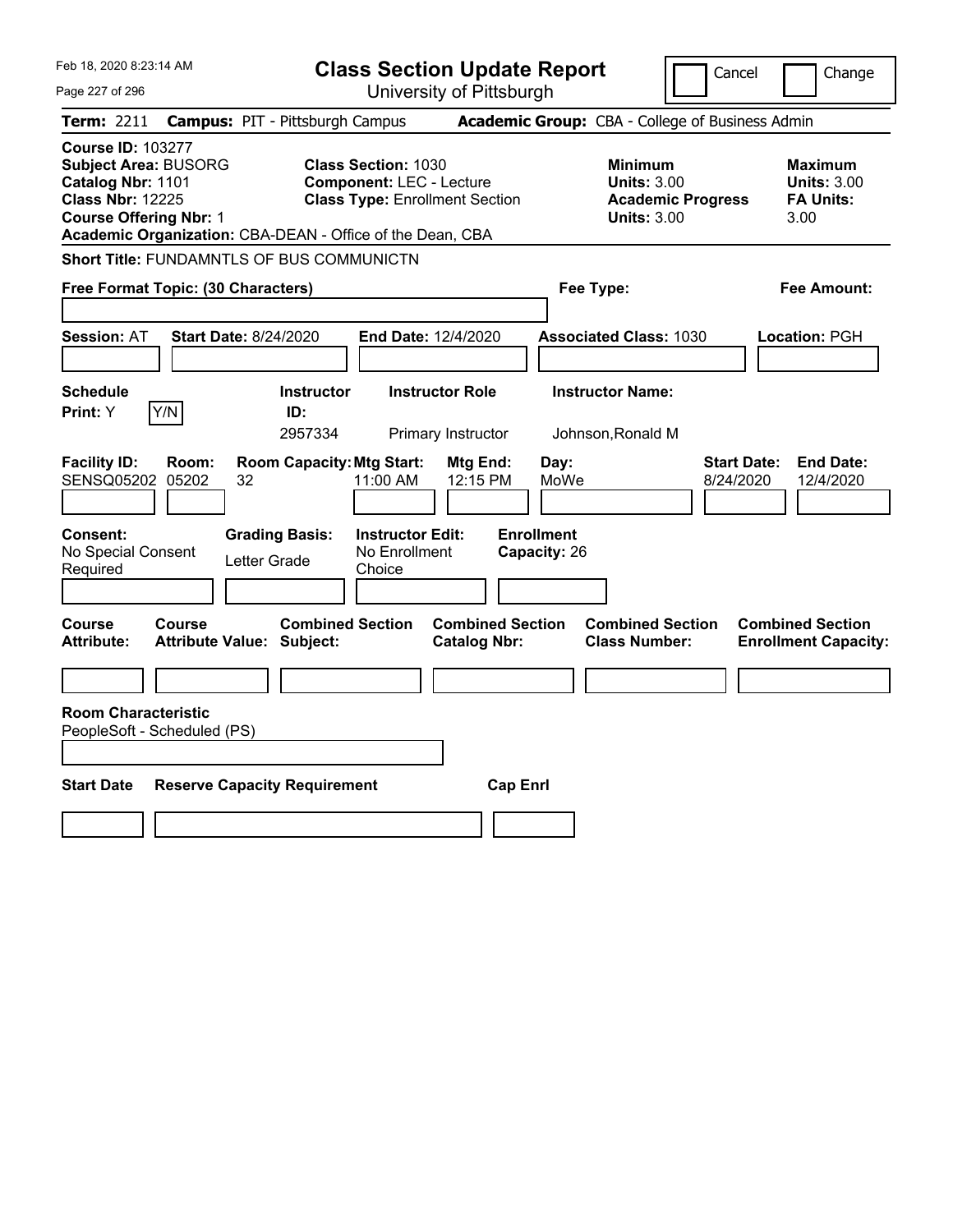| Feb 18, 2020 8:23:14 AM                                                                                                                                                                               | <b>Class Section Update Report</b>                                                                     | Cancel                                                                                 | Change                                                           |
|-------------------------------------------------------------------------------------------------------------------------------------------------------------------------------------------------------|--------------------------------------------------------------------------------------------------------|----------------------------------------------------------------------------------------|------------------------------------------------------------------|
| Page 227 of 296                                                                                                                                                                                       | University of Pittsburgh                                                                               |                                                                                        |                                                                  |
| <b>Term: 2211</b>                                                                                                                                                                                     | <b>Campus: PIT - Pittsburgh Campus</b>                                                                 | Academic Group: CBA - College of Business Admin                                        |                                                                  |
| <b>Course ID: 103277</b><br><b>Subject Area: BUSORG</b><br>Catalog Nbr: 1101<br><b>Class Nbr: 12225</b><br><b>Course Offering Nbr: 1</b><br>Academic Organization: CBA-DEAN - Office of the Dean, CBA | <b>Class Section: 1030</b><br><b>Component: LEC - Lecture</b><br><b>Class Type: Enrollment Section</b> | <b>Minimum</b><br><b>Units: 3.00</b><br><b>Academic Progress</b><br><b>Units: 3.00</b> | <b>Maximum</b><br><b>Units: 3.00</b><br><b>FA Units:</b><br>3.00 |
| <b>Short Title: FUNDAMNTLS OF BUS COMMUNICTN</b>                                                                                                                                                      |                                                                                                        |                                                                                        |                                                                  |
| Free Format Topic: (30 Characters)                                                                                                                                                                    |                                                                                                        | Fee Type:                                                                              | Fee Amount:                                                      |
| <b>Session: AT</b><br><b>Start Date: 8/24/2020</b>                                                                                                                                                    | End Date: 12/4/2020                                                                                    | <b>Associated Class: 1030</b>                                                          | Location: PGH                                                    |
| <b>Schedule</b><br>Print: Y<br>Y/N                                                                                                                                                                    | <b>Instructor</b><br><b>Instructor Role</b><br>ID:<br>2957334<br>Primary Instructor                    | <b>Instructor Name:</b><br>Johnson, Ronald M                                           |                                                                  |
| <b>Facility ID:</b><br>Room:<br>SENSQ05202 05202<br>32                                                                                                                                                | <b>Room Capacity: Mtg Start:</b><br>Mtg End:<br>11:00 AM<br>12:15 PM                                   | Day:<br><b>Start Date:</b><br>MoWe<br>8/24/2020                                        | <b>End Date:</b><br>12/4/2020                                    |
| Consent:<br><b>Grading Basis:</b><br>No Special Consent<br>Letter Grade<br>Required                                                                                                                   | <b>Instructor Edit:</b><br>No Enrollment<br>Choice                                                     | <b>Enrollment</b><br>Capacity: 26                                                      |                                                                  |
| Course<br>Course<br><b>Attribute Value: Subject:</b><br><b>Attribute:</b>                                                                                                                             | <b>Combined Section</b><br><b>Combined Section</b><br><b>Catalog Nbr:</b>                              | <b>Combined Section</b><br><b>Class Number:</b>                                        | <b>Combined Section</b><br><b>Enrollment Capacity:</b>           |
| <b>Room Characteristic</b>                                                                                                                                                                            |                                                                                                        |                                                                                        |                                                                  |
| PeopleSoft - Scheduled (PS)                                                                                                                                                                           |                                                                                                        |                                                                                        |                                                                  |
| <b>Start Date</b><br><b>Reserve Capacity Requirement</b>                                                                                                                                              | <b>Cap Enrl</b>                                                                                        |                                                                                        |                                                                  |
|                                                                                                                                                                                                       |                                                                                                        |                                                                                        |                                                                  |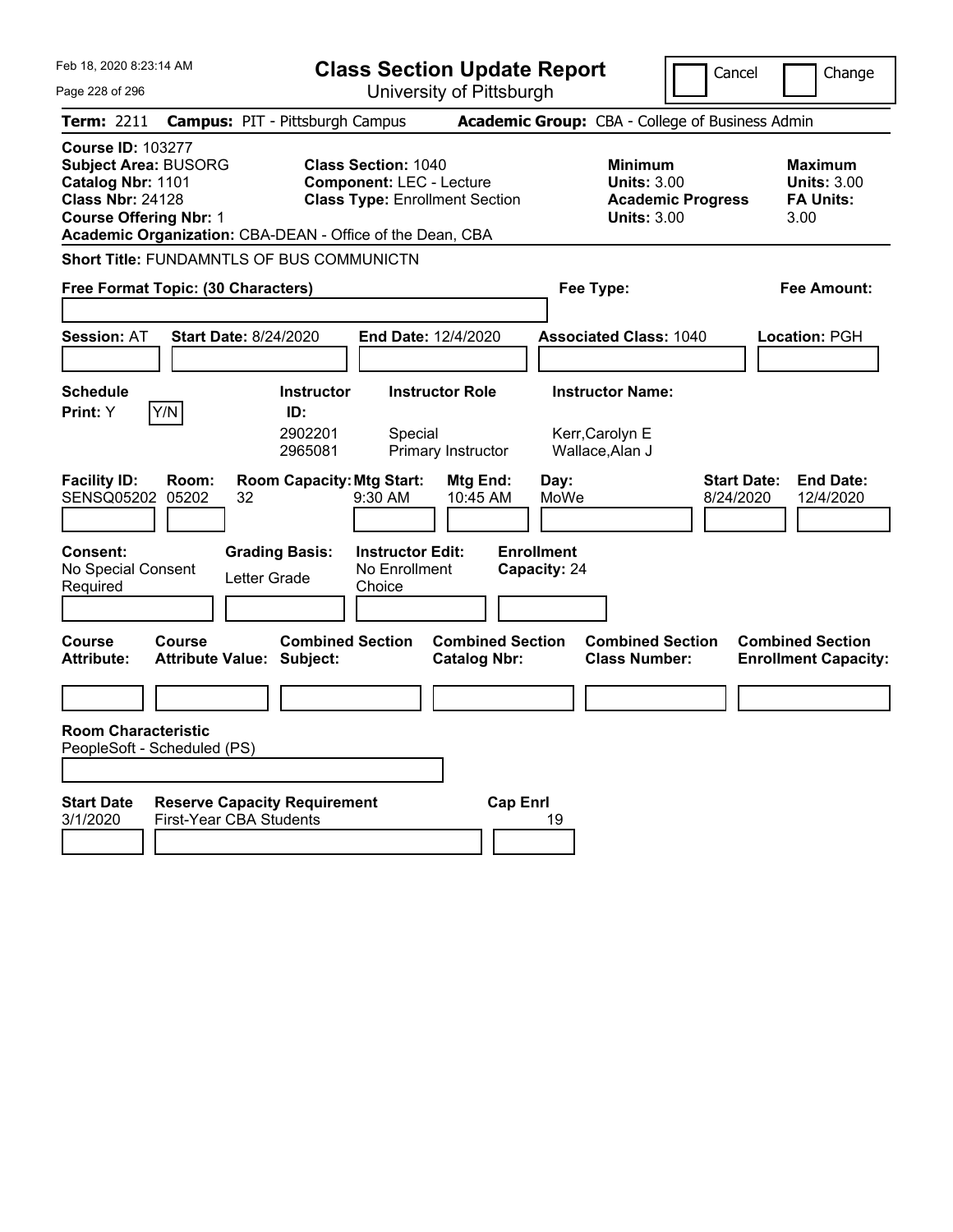| Feb 18, 2020 8:23:14 AM                                                                                                                                                                               |                                                | <b>Class Section Update Report</b>                                                                     |                                                |                                                               | Cancel                                                                                 | Change                                                           |
|-------------------------------------------------------------------------------------------------------------------------------------------------------------------------------------------------------|------------------------------------------------|--------------------------------------------------------------------------------------------------------|------------------------------------------------|---------------------------------------------------------------|----------------------------------------------------------------------------------------|------------------------------------------------------------------|
| Page 228 of 296                                                                                                                                                                                       |                                                | University of Pittsburgh                                                                               |                                                |                                                               |                                                                                        |                                                                  |
| <b>Term: 2211</b>                                                                                                                                                                                     | <b>Campus: PIT - Pittsburgh Campus</b>         |                                                                                                        |                                                |                                                               | Academic Group: CBA - College of Business Admin                                        |                                                                  |
| <b>Course ID: 103277</b><br><b>Subject Area: BUSORG</b><br>Catalog Nbr: 1101<br><b>Class Nbr: 24128</b><br><b>Course Offering Nbr: 1</b><br>Academic Organization: CBA-DEAN - Office of the Dean, CBA |                                                | <b>Class Section: 1040</b><br><b>Component: LEC - Lecture</b><br><b>Class Type: Enrollment Section</b> |                                                |                                                               | <b>Minimum</b><br><b>Units: 3.00</b><br><b>Academic Progress</b><br><b>Units: 3.00</b> | <b>Maximum</b><br><b>Units: 3.00</b><br><b>FA Units:</b><br>3.00 |
| <b>Short Title: FUNDAMNTLS OF BUS COMMUNICTN</b>                                                                                                                                                      |                                                |                                                                                                        |                                                |                                                               |                                                                                        |                                                                  |
| Free Format Topic: (30 Characters)                                                                                                                                                                    |                                                |                                                                                                        |                                                | Fee Type:                                                     |                                                                                        | Fee Amount:                                                      |
| <b>Session: AT</b><br><b>Start Date: 8/24/2020</b>                                                                                                                                                    |                                                | End Date: 12/4/2020                                                                                    |                                                | <b>Associated Class: 1040</b>                                 |                                                                                        | Location: PGH                                                    |
| <b>Schedule</b><br>Y/N<br>Print: Y                                                                                                                                                                    | <b>Instructor</b><br>ID:<br>2902201<br>2965081 | <b>Instructor Role</b><br>Special<br>Primary Instructor                                                |                                                | <b>Instructor Name:</b><br>Kerr, Carolyn E<br>Wallace, Alan J |                                                                                        |                                                                  |
| <b>Facility ID:</b><br>Room:<br><b>SENSQ05202</b><br>05202<br>32                                                                                                                                      | <b>Room Capacity: Mtg Start:</b>               | 9:30 AM                                                                                                | Mtg End:<br>10:45 AM                           | Day:<br>MoWe                                                  | <b>Start Date:</b><br>8/24/2020                                                        | <b>End Date:</b><br>12/4/2020                                    |
| <b>Consent:</b><br>No Special Consent<br>Required                                                                                                                                                     | <b>Grading Basis:</b><br>Letter Grade          | <b>Instructor Edit:</b><br>No Enrollment<br>Choice                                                     |                                                | <b>Enrollment</b><br>Capacity: 24                             |                                                                                        |                                                                  |
| <b>Course</b><br>Course<br><b>Attribute:</b><br><b>Attribute Value: Subject:</b>                                                                                                                      | <b>Combined Section</b>                        |                                                                                                        | <b>Combined Section</b><br><b>Catalog Nbr:</b> |                                                               | <b>Combined Section</b><br><b>Class Number:</b>                                        | <b>Combined Section</b><br><b>Enrollment Capacity:</b>           |
| <b>Room Characteristic</b><br>PeopleSoft - Scheduled (PS)                                                                                                                                             |                                                |                                                                                                        |                                                |                                                               |                                                                                        |                                                                  |
| <b>Start Date</b><br>First-Year CBA Students<br>3/1/2020                                                                                                                                              | <b>Reserve Capacity Requirement</b>            |                                                                                                        | <b>Cap Enrl</b>                                | 19                                                            |                                                                                        |                                                                  |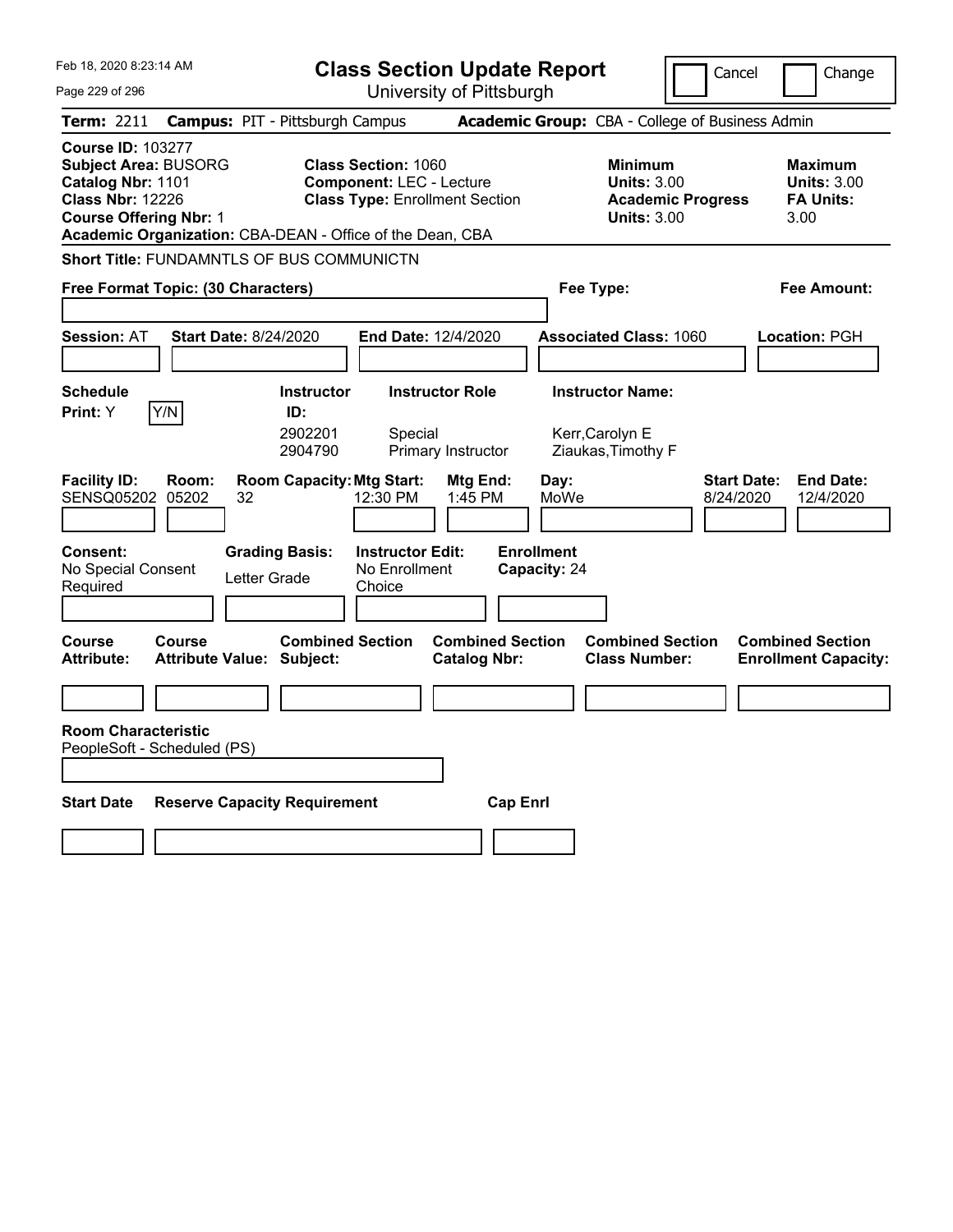| Feb 18, 2020 8:23:14 AM                                                                                                                                                                               | <b>Class Section Update Report</b>                                                                     | Cancel                                                                                 | Change                                                           |
|-------------------------------------------------------------------------------------------------------------------------------------------------------------------------------------------------------|--------------------------------------------------------------------------------------------------------|----------------------------------------------------------------------------------------|------------------------------------------------------------------|
| Page 229 of 296                                                                                                                                                                                       | University of Pittsburgh                                                                               |                                                                                        |                                                                  |
| <b>Term: 2211</b>                                                                                                                                                                                     | <b>Campus: PIT - Pittsburgh Campus</b>                                                                 | Academic Group: CBA - College of Business Admin                                        |                                                                  |
| <b>Course ID: 103277</b><br><b>Subject Area: BUSORG</b><br>Catalog Nbr: 1101<br><b>Class Nbr: 12226</b><br><b>Course Offering Nbr: 1</b><br>Academic Organization: CBA-DEAN - Office of the Dean, CBA | <b>Class Section: 1060</b><br><b>Component: LEC - Lecture</b><br><b>Class Type: Enrollment Section</b> | <b>Minimum</b><br><b>Units: 3.00</b><br><b>Academic Progress</b><br><b>Units: 3.00</b> | <b>Maximum</b><br><b>Units: 3.00</b><br><b>FA Units:</b><br>3.00 |
| <b>Short Title: FUNDAMNTLS OF BUS COMMUNICTN</b>                                                                                                                                                      |                                                                                                        |                                                                                        |                                                                  |
| Free Format Topic: (30 Characters)                                                                                                                                                                    |                                                                                                        | Fee Type:                                                                              | Fee Amount:                                                      |
|                                                                                                                                                                                                       |                                                                                                        |                                                                                        |                                                                  |
| <b>Start Date: 8/24/2020</b><br><b>Session: AT</b>                                                                                                                                                    | End Date: 12/4/2020                                                                                    | <b>Associated Class: 1060</b>                                                          | Location: PGH                                                    |
|                                                                                                                                                                                                       |                                                                                                        |                                                                                        |                                                                  |
| <b>Schedule</b>                                                                                                                                                                                       | <b>Instructor Role</b><br><b>Instructor</b>                                                            | <b>Instructor Name:</b>                                                                |                                                                  |
| Y/N<br>Print: Y                                                                                                                                                                                       | ID:<br>2902201<br>Special<br>2904790<br>Primary Instructor                                             | Kerr, Carolyn E<br>Ziaukas, Timothy F                                                  |                                                                  |
| <b>Facility ID:</b><br>Room:<br><b>SENSQ05202</b><br>05202<br>32                                                                                                                                      | <b>Room Capacity: Mtg Start:</b><br>Mtg End:<br>12:30 PM<br>1:45 PM                                    | Day:<br><b>Start Date:</b><br>MoWe<br>8/24/2020                                        | <b>End Date:</b><br>12/4/2020                                    |
| <b>Grading Basis:</b><br><b>Consent:</b><br>No Special Consent<br>Letter Grade<br>Required                                                                                                            | <b>Instructor Edit:</b><br>No Enrollment<br>Choice                                                     | <b>Enrollment</b><br>Capacity: 24                                                      |                                                                  |
| <b>Course</b><br><b>Course</b><br><b>Attribute Value: Subject:</b><br><b>Attribute:</b>                                                                                                               | <b>Combined Section</b><br><b>Combined Section</b><br><b>Catalog Nbr:</b>                              | <b>Combined Section</b><br><b>Class Number:</b>                                        | <b>Combined Section</b><br><b>Enrollment Capacity:</b>           |
|                                                                                                                                                                                                       |                                                                                                        |                                                                                        |                                                                  |
| <b>Room Characteristic</b><br>PeopleSoft - Scheduled (PS)                                                                                                                                             |                                                                                                        |                                                                                        |                                                                  |
| <b>Start Date</b><br><b>Reserve Capacity Requirement</b>                                                                                                                                              | <b>Cap Enrl</b>                                                                                        |                                                                                        |                                                                  |
|                                                                                                                                                                                                       |                                                                                                        |                                                                                        |                                                                  |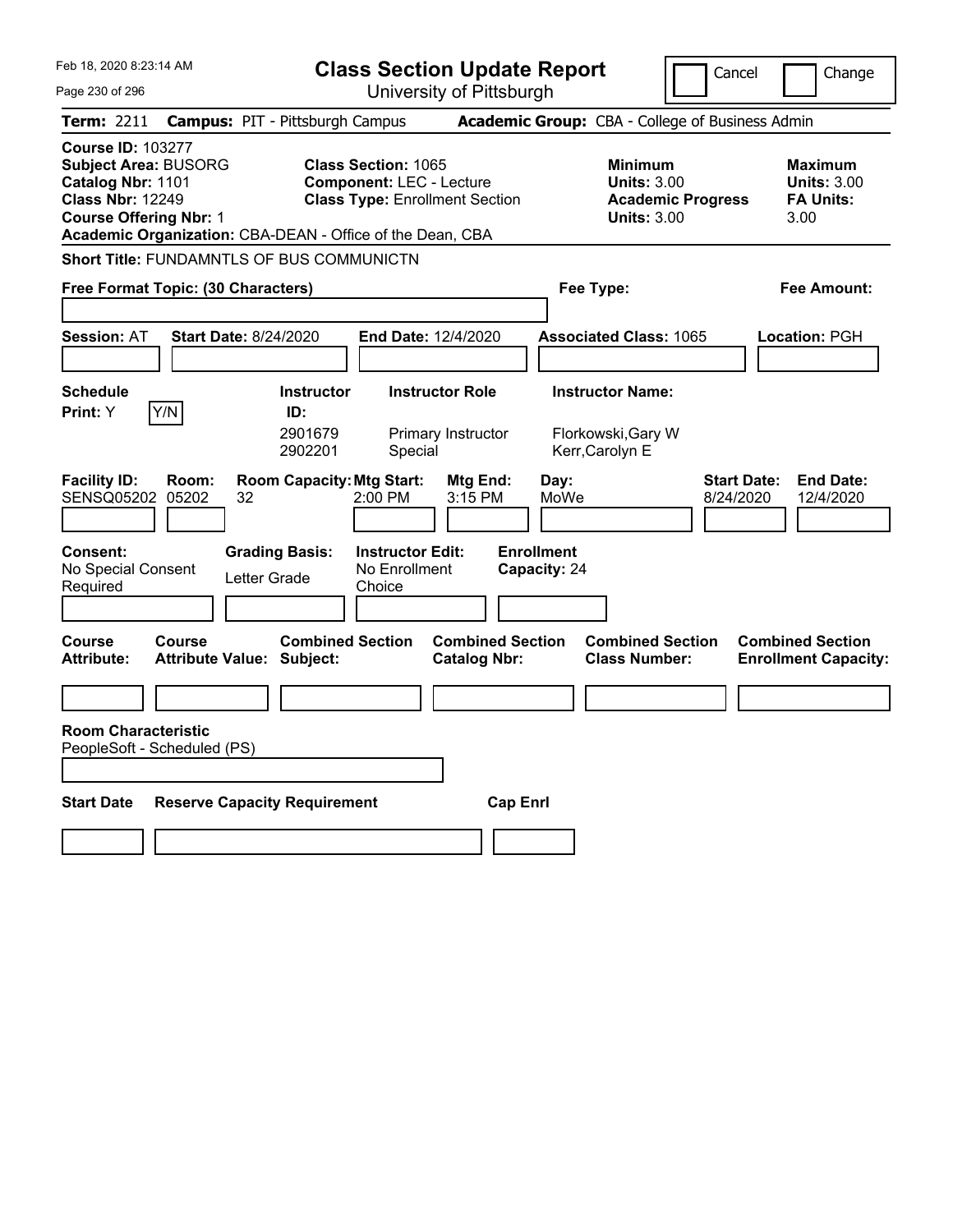| Feb 18, 2020 8:23:14 AM                                                                                                                                                                               | <b>Class Section Update Report</b>                                                                     |                                                |                                                                                        | Cancel<br>Change                                                 |
|-------------------------------------------------------------------------------------------------------------------------------------------------------------------------------------------------------|--------------------------------------------------------------------------------------------------------|------------------------------------------------|----------------------------------------------------------------------------------------|------------------------------------------------------------------|
| Page 230 of 296                                                                                                                                                                                       |                                                                                                        | University of Pittsburgh                       |                                                                                        |                                                                  |
| <b>Term: 2211</b>                                                                                                                                                                                     | <b>Campus: PIT - Pittsburgh Campus</b>                                                                 |                                                | Academic Group: CBA - College of Business Admin                                        |                                                                  |
| <b>Course ID: 103277</b><br><b>Subject Area: BUSORG</b><br>Catalog Nbr: 1101<br><b>Class Nbr: 12249</b><br><b>Course Offering Nbr: 1</b><br>Academic Organization: CBA-DEAN - Office of the Dean, CBA | <b>Class Section: 1065</b><br><b>Component: LEC - Lecture</b><br><b>Class Type: Enrollment Section</b> |                                                | <b>Minimum</b><br><b>Units: 3.00</b><br><b>Academic Progress</b><br><b>Units: 3.00</b> | <b>Maximum</b><br><b>Units: 3.00</b><br><b>FA Units:</b><br>3.00 |
| <b>Short Title: FUNDAMNTLS OF BUS COMMUNICTN</b>                                                                                                                                                      |                                                                                                        |                                                |                                                                                        |                                                                  |
| Free Format Topic: (30 Characters)                                                                                                                                                                    |                                                                                                        |                                                | Fee Type:                                                                              | Fee Amount:                                                      |
|                                                                                                                                                                                                       |                                                                                                        |                                                |                                                                                        |                                                                  |
| <b>Start Date: 8/24/2020</b><br><b>Session: AT</b>                                                                                                                                                    | End Date: 12/4/2020                                                                                    |                                                | <b>Associated Class: 1065</b>                                                          | Location: PGH                                                    |
|                                                                                                                                                                                                       |                                                                                                        |                                                |                                                                                        |                                                                  |
| <b>Schedule</b>                                                                                                                                                                                       | <b>Instructor Role</b><br><b>Instructor</b>                                                            |                                                | <b>Instructor Name:</b>                                                                |                                                                  |
| Y/N<br>Print: Y                                                                                                                                                                                       | ID:<br>2901679<br>Primary Instructor<br>2902201<br>Special                                             |                                                | Florkowski, Gary W<br>Kerr, Carolyn E                                                  |                                                                  |
| <b>Facility ID:</b><br>Room:<br><b>SENSQ05202</b><br>05202<br>32                                                                                                                                      | <b>Room Capacity: Mtg Start:</b><br>2:00 PM                                                            | Mtg End:<br>Day:<br>3:15 PM<br>MoWe            |                                                                                        | <b>Start Date:</b><br><b>End Date:</b><br>8/24/2020<br>12/4/2020 |
| <b>Grading Basis:</b><br><b>Consent:</b><br>No Special Consent<br>Letter Grade<br>Required                                                                                                            | <b>Instructor Edit:</b><br>No Enrollment<br>Choice                                                     | <b>Enrollment</b><br>Capacity: 24              |                                                                                        |                                                                  |
| Course<br>Course<br><b>Attribute:</b><br><b>Attribute Value: Subject:</b>                                                                                                                             | <b>Combined Section</b>                                                                                | <b>Combined Section</b><br><b>Catalog Nbr:</b> | <b>Combined Section</b><br><b>Class Number:</b>                                        | <b>Combined Section</b><br><b>Enrollment Capacity:</b>           |
|                                                                                                                                                                                                       |                                                                                                        |                                                |                                                                                        |                                                                  |
| <b>Room Characteristic</b><br>PeopleSoft - Scheduled (PS)                                                                                                                                             |                                                                                                        |                                                |                                                                                        |                                                                  |
| <b>Start Date</b><br><b>Reserve Capacity Requirement</b>                                                                                                                                              |                                                                                                        | <b>Cap Enrl</b>                                |                                                                                        |                                                                  |
|                                                                                                                                                                                                       |                                                                                                        |                                                |                                                                                        |                                                                  |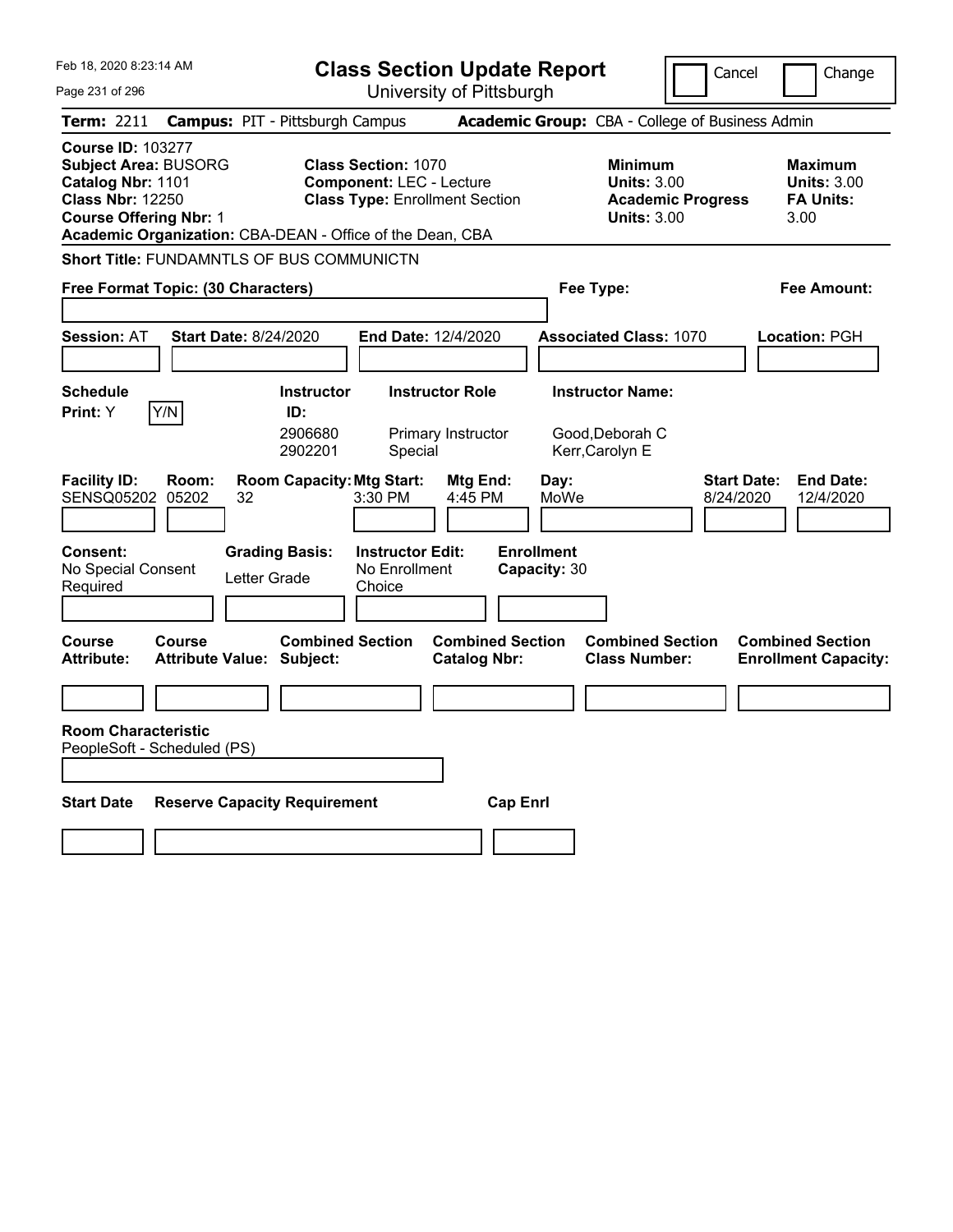| Feb 18, 2020 8:23:14 AM                                                                                                                                                                               | <b>Class Section Update Report</b>                                                                     |                                                                                        | Cancel<br>Change                                                 |
|-------------------------------------------------------------------------------------------------------------------------------------------------------------------------------------------------------|--------------------------------------------------------------------------------------------------------|----------------------------------------------------------------------------------------|------------------------------------------------------------------|
| Page 231 of 296                                                                                                                                                                                       | University of Pittsburgh                                                                               |                                                                                        |                                                                  |
| <b>Term: 2211</b>                                                                                                                                                                                     | <b>Campus: PIT - Pittsburgh Campus</b>                                                                 | Academic Group: CBA - College of Business Admin                                        |                                                                  |
| <b>Course ID: 103277</b><br><b>Subject Area: BUSORG</b><br>Catalog Nbr: 1101<br><b>Class Nbr: 12250</b><br><b>Course Offering Nbr: 1</b><br>Academic Organization: CBA-DEAN - Office of the Dean, CBA | <b>Class Section: 1070</b><br><b>Component: LEC - Lecture</b><br><b>Class Type: Enrollment Section</b> | <b>Minimum</b><br><b>Units: 3.00</b><br><b>Academic Progress</b><br><b>Units: 3.00</b> | <b>Maximum</b><br><b>Units: 3.00</b><br><b>FA Units:</b><br>3.00 |
| Short Title: FUNDAMNTLS OF BUS COMMUNICTN                                                                                                                                                             |                                                                                                        |                                                                                        |                                                                  |
| Free Format Topic: (30 Characters)                                                                                                                                                                    |                                                                                                        | Fee Type:                                                                              | Fee Amount:                                                      |
|                                                                                                                                                                                                       |                                                                                                        |                                                                                        |                                                                  |
| <b>Session: AT</b><br><b>Start Date: 8/24/2020</b>                                                                                                                                                    | End Date: 12/4/2020                                                                                    | <b>Associated Class: 1070</b>                                                          | <b>Location: PGH</b>                                             |
|                                                                                                                                                                                                       |                                                                                                        |                                                                                        |                                                                  |
| <b>Schedule</b>                                                                                                                                                                                       | <b>Instructor Role</b><br><b>Instructor</b>                                                            | <b>Instructor Name:</b>                                                                |                                                                  |
| Y/N<br><b>Print:</b> Y                                                                                                                                                                                | ID:<br>2906680<br>Primary Instructor<br>2902201<br>Special                                             | Good.Deborah C<br>Kerr, Carolyn E                                                      |                                                                  |
| <b>Facility ID:</b><br>Room:<br><b>SENSQ05202</b><br>05202<br>32                                                                                                                                      | <b>Room Capacity: Mtg Start:</b><br>Mtg End:<br>3:30 PM<br>4:45 PM                                     | Day:<br>MoWe                                                                           | <b>Start Date:</b><br><b>End Date:</b><br>12/4/2020<br>8/24/2020 |
| <b>Grading Basis:</b><br><b>Consent:</b><br>No Special Consent<br>Letter Grade<br>Required                                                                                                            | <b>Instructor Edit:</b><br>No Enrollment<br>Choice                                                     | <b>Enrollment</b><br>Capacity: 30                                                      |                                                                  |
| <b>Course</b><br>Course<br>Attribute Value: Subject:<br>Attribute:                                                                                                                                    | <b>Combined Section</b><br><b>Catalog Nbr:</b>                                                         | <b>Combined Section</b><br><b>Combined Section</b><br><b>Class Number:</b>             | <b>Combined Section</b><br><b>Enrollment Capacity:</b>           |
|                                                                                                                                                                                                       |                                                                                                        |                                                                                        |                                                                  |
| <b>Room Characteristic</b><br>PeopleSoft - Scheduled (PS)                                                                                                                                             |                                                                                                        |                                                                                        |                                                                  |
| <b>Start Date</b><br><b>Reserve Capacity Requirement</b>                                                                                                                                              |                                                                                                        | <b>Cap Enri</b>                                                                        |                                                                  |
|                                                                                                                                                                                                       |                                                                                                        |                                                                                        |                                                                  |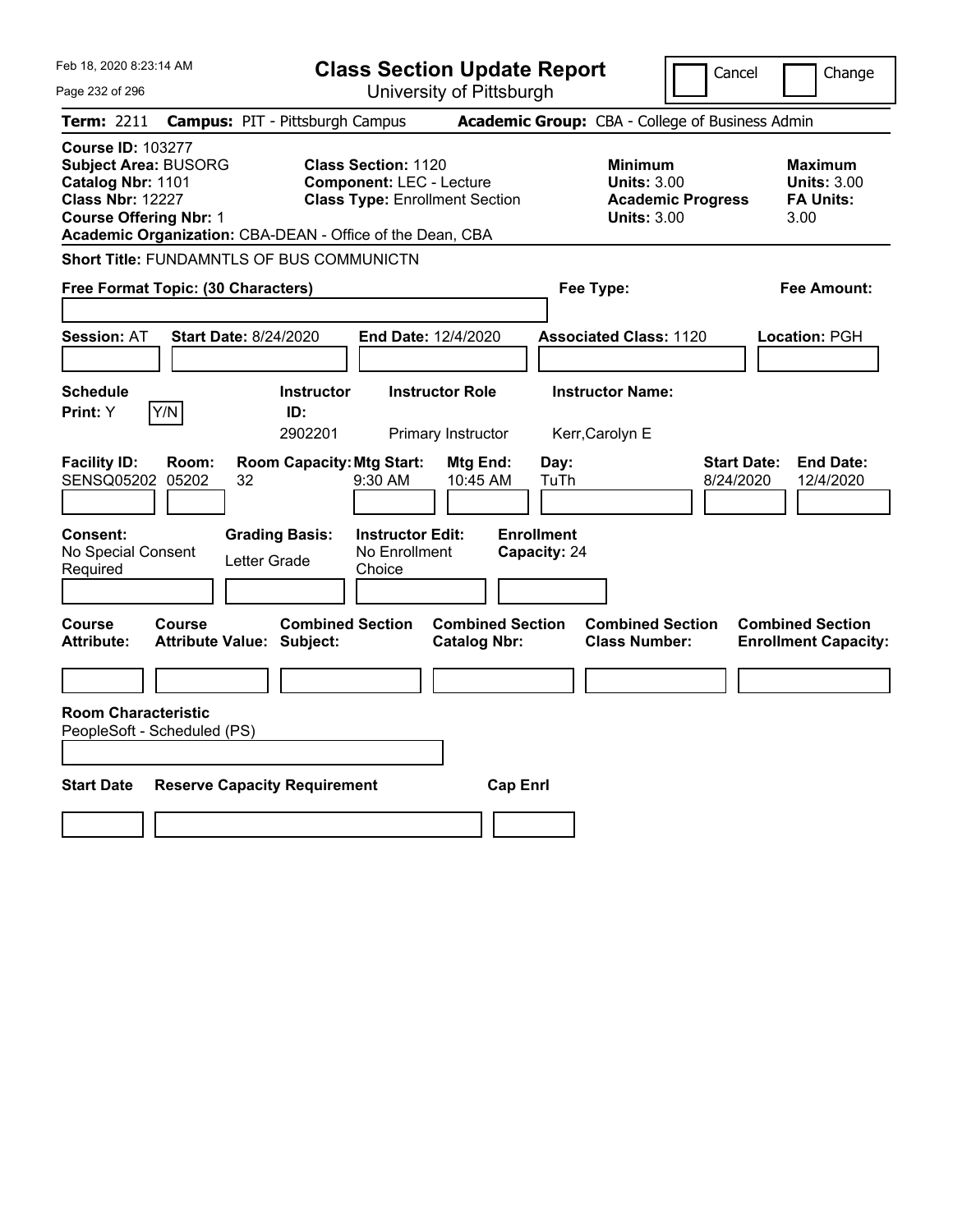| Feb 18, 2020 8:23:14 AM                                                                                                                                                                               | <b>Class Section Update Report</b>                                                                     | Cancel                                                                                 | Change                                                           |
|-------------------------------------------------------------------------------------------------------------------------------------------------------------------------------------------------------|--------------------------------------------------------------------------------------------------------|----------------------------------------------------------------------------------------|------------------------------------------------------------------|
| Page 232 of 296                                                                                                                                                                                       | University of Pittsburgh                                                                               |                                                                                        |                                                                  |
| <b>Term: 2211</b>                                                                                                                                                                                     | <b>Campus: PIT - Pittsburgh Campus</b>                                                                 | Academic Group: CBA - College of Business Admin                                        |                                                                  |
| <b>Course ID: 103277</b><br><b>Subject Area: BUSORG</b><br>Catalog Nbr: 1101<br><b>Class Nbr: 12227</b><br><b>Course Offering Nbr: 1</b><br>Academic Organization: CBA-DEAN - Office of the Dean, CBA | <b>Class Section: 1120</b><br><b>Component: LEC - Lecture</b><br><b>Class Type: Enrollment Section</b> | <b>Minimum</b><br><b>Units: 3.00</b><br><b>Academic Progress</b><br><b>Units: 3.00</b> | <b>Maximum</b><br><b>Units: 3.00</b><br><b>FA Units:</b><br>3.00 |
| <b>Short Title: FUNDAMNTLS OF BUS COMMUNICTN</b>                                                                                                                                                      |                                                                                                        |                                                                                        |                                                                  |
| Free Format Topic: (30 Characters)                                                                                                                                                                    |                                                                                                        | Fee Type:                                                                              | Fee Amount:                                                      |
| <b>Start Date: 8/24/2020</b><br><b>Session: AT</b>                                                                                                                                                    | End Date: 12/4/2020                                                                                    | <b>Associated Class: 1120</b>                                                          | Location: PGH                                                    |
| <b>Schedule</b><br>Y/N<br>Print: Y                                                                                                                                                                    | <b>Instructor Role</b><br><b>Instructor</b><br>ID:<br>2902201<br>Primary Instructor                    | <b>Instructor Name:</b><br>Kerr, Carolyn E                                             |                                                                  |
| <b>Facility ID:</b><br>Room:<br>SENSQ05202 05202<br>32<br>Consent:                                                                                                                                    | <b>Room Capacity: Mtg Start:</b><br>Mtg End:<br>9:30 AM<br>10:45 AM<br><b>Instructor Edit:</b>         | Day:<br><b>Start Date:</b><br>TuTh<br>8/24/2020<br><b>Enrollment</b>                   | <b>End Date:</b><br>12/4/2020                                    |
| <b>Grading Basis:</b><br>No Special Consent<br>Letter Grade<br>Required                                                                                                                               | No Enrollment<br>Choice                                                                                | Capacity: 24                                                                           |                                                                  |
| <b>Course</b><br>Course<br><b>Attribute:</b><br><b>Attribute Value: Subject:</b>                                                                                                                      | <b>Combined Section</b><br><b>Combined Section</b><br><b>Catalog Nbr:</b>                              | <b>Combined Section</b><br><b>Class Number:</b>                                        | <b>Combined Section</b><br><b>Enrollment Capacity:</b>           |
| <b>Room Characteristic</b><br>PeopleSoft - Scheduled (PS)                                                                                                                                             |                                                                                                        |                                                                                        |                                                                  |
| <b>Start Date</b><br><b>Reserve Capacity Requirement</b>                                                                                                                                              | <b>Cap Enrl</b>                                                                                        |                                                                                        |                                                                  |
|                                                                                                                                                                                                       |                                                                                                        |                                                                                        |                                                                  |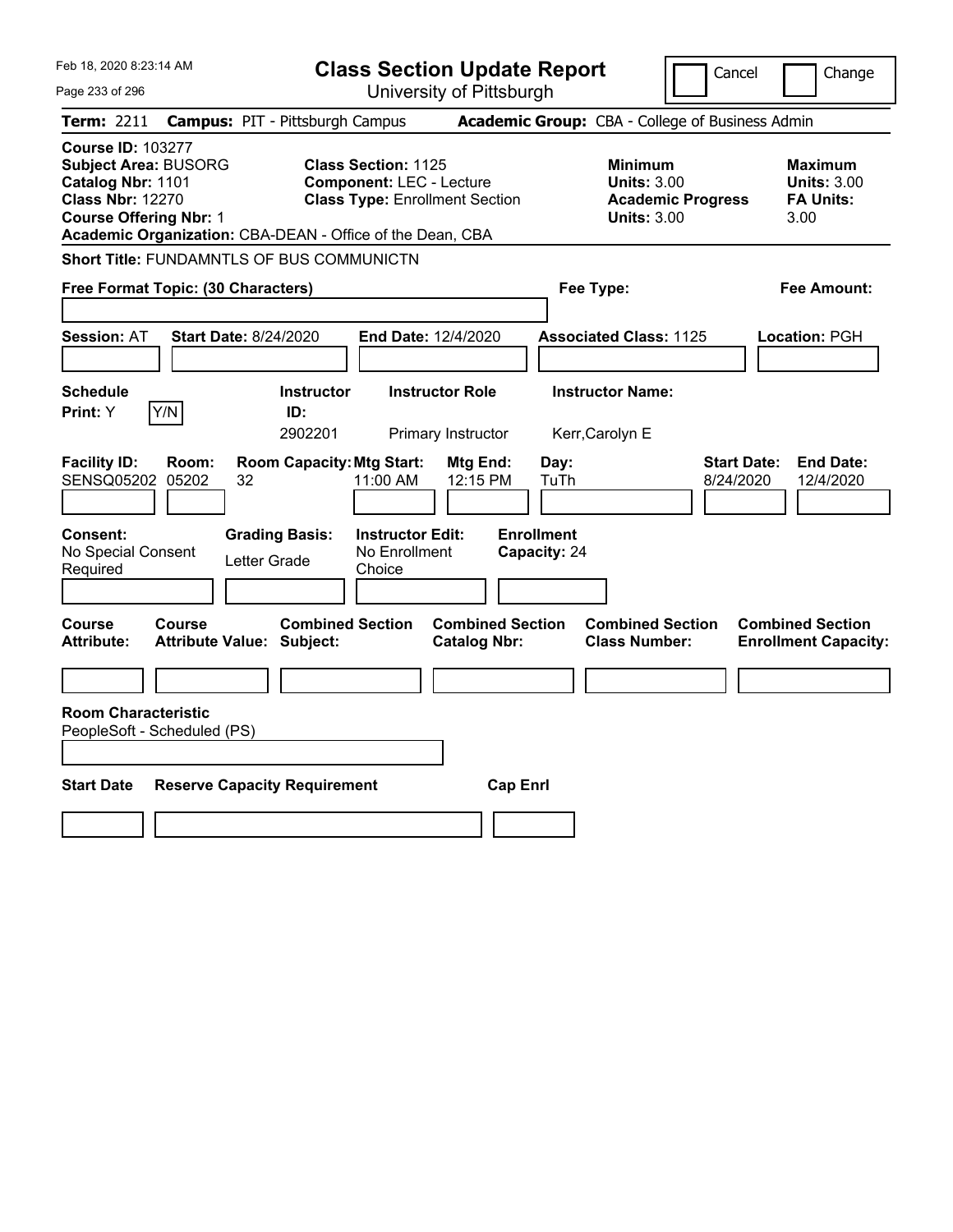| Feb 18, 2020 8:23:14 AM                                                                                                                                                                               | <b>Class Section Update Report</b>                                                                     |                                                                                        | Cancel<br>Change                                                 |
|-------------------------------------------------------------------------------------------------------------------------------------------------------------------------------------------------------|--------------------------------------------------------------------------------------------------------|----------------------------------------------------------------------------------------|------------------------------------------------------------------|
| Page 233 of 296                                                                                                                                                                                       | University of Pittsburgh                                                                               |                                                                                        |                                                                  |
| Term: 2211                                                                                                                                                                                            | <b>Campus: PIT - Pittsburgh Campus</b>                                                                 | Academic Group: CBA - College of Business Admin                                        |                                                                  |
| <b>Course ID: 103277</b><br><b>Subject Area: BUSORG</b><br>Catalog Nbr: 1101<br><b>Class Nbr: 12270</b><br><b>Course Offering Nbr: 1</b><br>Academic Organization: CBA-DEAN - Office of the Dean, CBA | <b>Class Section: 1125</b><br><b>Component: LEC - Lecture</b><br><b>Class Type: Enrollment Section</b> | <b>Minimum</b><br><b>Units: 3.00</b><br><b>Academic Progress</b><br><b>Units: 3.00</b> | <b>Maximum</b><br><b>Units: 3.00</b><br><b>FA Units:</b><br>3.00 |
| <b>Short Title: FUNDAMNTLS OF BUS COMMUNICTN</b>                                                                                                                                                      |                                                                                                        |                                                                                        |                                                                  |
| Free Format Topic: (30 Characters)                                                                                                                                                                    |                                                                                                        | Fee Type:                                                                              | Fee Amount:                                                      |
| <b>Session: AT</b><br><b>Start Date: 8/24/2020</b>                                                                                                                                                    | End Date: 12/4/2020                                                                                    | <b>Associated Class: 1125</b>                                                          | Location: PGH                                                    |
| <b>Schedule</b><br>Print: Y<br>Y/N                                                                                                                                                                    | <b>Instructor Role</b><br><b>Instructor</b><br>ID:<br>2902201<br>Primary Instructor                    | <b>Instructor Name:</b><br>Kerr, Carolyn E                                             |                                                                  |
| <b>Facility ID:</b><br>Room:<br>SENSQ05202 05202<br>32                                                                                                                                                | <b>Room Capacity: Mtg Start:</b><br>Mtg End:<br>12:15 PM<br>11:00 AM                                   | Day:<br>TuTh                                                                           | <b>Start Date:</b><br><b>End Date:</b><br>8/24/2020<br>12/4/2020 |
| <b>Consent:</b><br><b>Grading Basis:</b><br>No Special Consent<br>Letter Grade<br>Required                                                                                                            | <b>Instructor Edit:</b><br>No Enrollment<br>Choice                                                     | <b>Enrollment</b><br>Capacity: 24                                                      |                                                                  |
| Course<br><b>Course</b><br><b>Attribute:</b><br><b>Attribute Value: Subject:</b>                                                                                                                      | <b>Combined Section</b><br><b>Combined Section</b><br><b>Catalog Nbr:</b>                              | <b>Combined Section</b><br><b>Class Number:</b>                                        | <b>Combined Section</b><br><b>Enrollment Capacity:</b>           |
| <b>Room Characteristic</b><br>PeopleSoft - Scheduled (PS)                                                                                                                                             |                                                                                                        |                                                                                        |                                                                  |
| <b>Start Date</b><br><b>Reserve Capacity Requirement</b>                                                                                                                                              |                                                                                                        | <b>Cap Enrl</b>                                                                        |                                                                  |
|                                                                                                                                                                                                       |                                                                                                        |                                                                                        |                                                                  |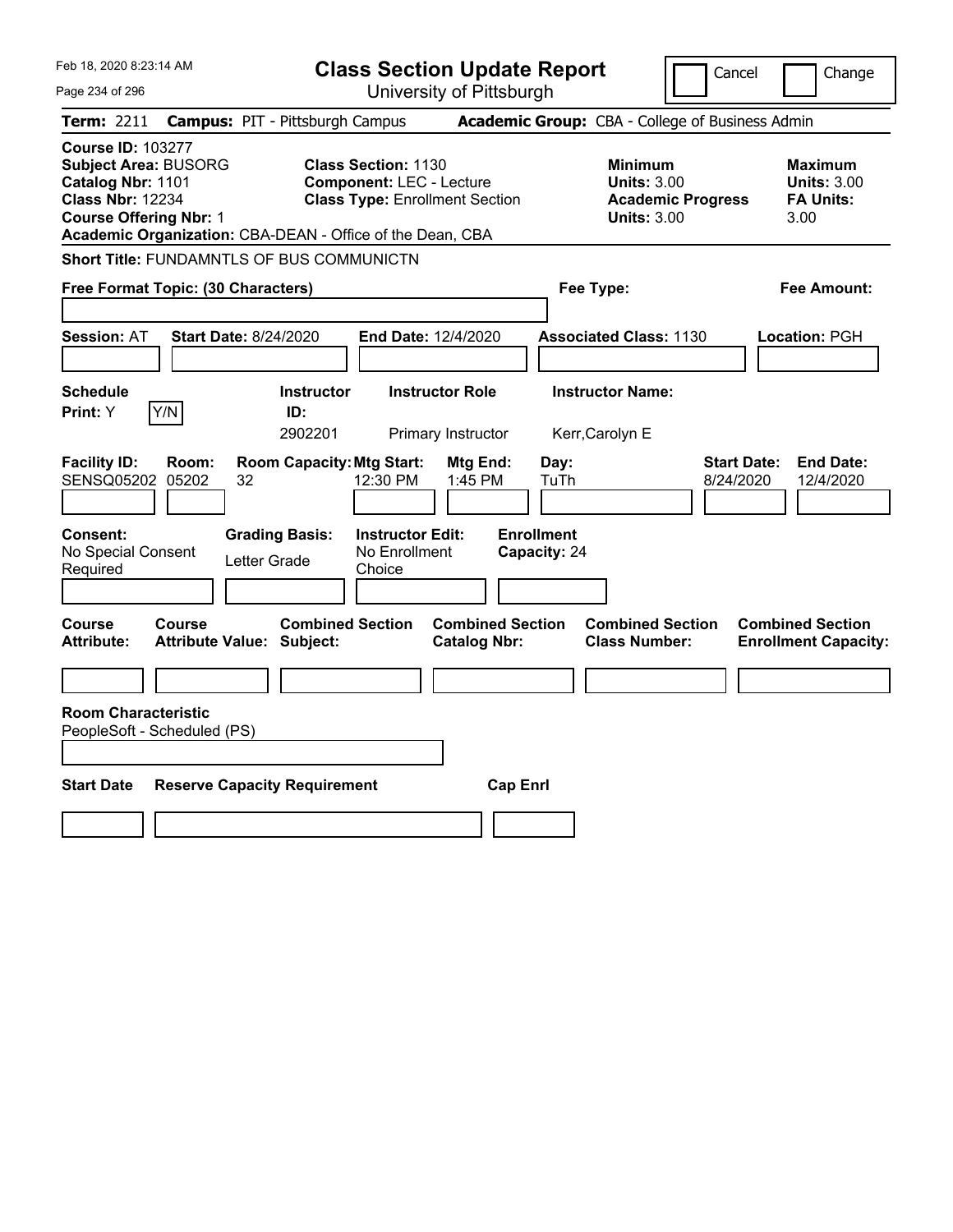| Feb 18, 2020 8:23:14 AM                                                                                                                                                                               | <b>Class Section Update Report</b>                                                                     | Cancel                                                                                 | Change                                                           |
|-------------------------------------------------------------------------------------------------------------------------------------------------------------------------------------------------------|--------------------------------------------------------------------------------------------------------|----------------------------------------------------------------------------------------|------------------------------------------------------------------|
| Page 234 of 296                                                                                                                                                                                       | University of Pittsburgh                                                                               |                                                                                        |                                                                  |
| <b>Term: 2211</b>                                                                                                                                                                                     | <b>Campus: PIT - Pittsburgh Campus</b>                                                                 | Academic Group: CBA - College of Business Admin                                        |                                                                  |
| <b>Course ID: 103277</b><br><b>Subject Area: BUSORG</b><br>Catalog Nbr: 1101<br><b>Class Nbr: 12234</b><br><b>Course Offering Nbr: 1</b><br>Academic Organization: CBA-DEAN - Office of the Dean, CBA | <b>Class Section: 1130</b><br><b>Component: LEC - Lecture</b><br><b>Class Type: Enrollment Section</b> | <b>Minimum</b><br><b>Units: 3.00</b><br><b>Academic Progress</b><br><b>Units: 3.00</b> | <b>Maximum</b><br><b>Units: 3.00</b><br><b>FA Units:</b><br>3.00 |
| <b>Short Title: FUNDAMNTLS OF BUS COMMUNICTN</b>                                                                                                                                                      |                                                                                                        |                                                                                        |                                                                  |
| Free Format Topic: (30 Characters)                                                                                                                                                                    |                                                                                                        | Fee Type:                                                                              | Fee Amount:                                                      |
| <b>Start Date: 8/24/2020</b><br><b>Session: AT</b>                                                                                                                                                    | End Date: 12/4/2020                                                                                    | <b>Associated Class: 1130</b>                                                          | Location: PGH                                                    |
| <b>Schedule</b><br>Y/N<br>Print: Y                                                                                                                                                                    | <b>Instructor Role</b><br><b>Instructor</b><br>ID:<br>2902201<br>Primary Instructor                    | <b>Instructor Name:</b><br>Kerr, Carolyn E                                             |                                                                  |
| <b>Facility ID:</b><br>Room:<br>SENSQ05202 05202<br>32<br>Consent:<br><b>Grading Basis:</b>                                                                                                           | <b>Room Capacity: Mtg Start:</b><br>Mtg End:<br>12:30 PM<br>1:45 PM<br><b>Instructor Edit:</b>         | Day:<br>TuTh<br>8/24/2020<br><b>Enrollment</b>                                         | <b>End Date:</b><br><b>Start Date:</b><br>12/4/2020              |
| No Special Consent<br>Letter Grade<br>Required                                                                                                                                                        | No Enrollment<br>Choice                                                                                | Capacity: 24                                                                           |                                                                  |
| <b>Course</b><br>Course<br><b>Attribute:</b><br><b>Attribute Value: Subject:</b>                                                                                                                      | <b>Combined Section</b><br><b>Catalog Nbr:</b>                                                         | <b>Combined Section</b><br><b>Combined Section</b><br><b>Class Number:</b>             | <b>Combined Section</b><br><b>Enrollment Capacity:</b>           |
| <b>Room Characteristic</b><br>PeopleSoft - Scheduled (PS)                                                                                                                                             |                                                                                                        |                                                                                        |                                                                  |
| <b>Start Date</b><br><b>Reserve Capacity Requirement</b>                                                                                                                                              |                                                                                                        | <b>Cap Enrl</b>                                                                        |                                                                  |
|                                                                                                                                                                                                       |                                                                                                        |                                                                                        |                                                                  |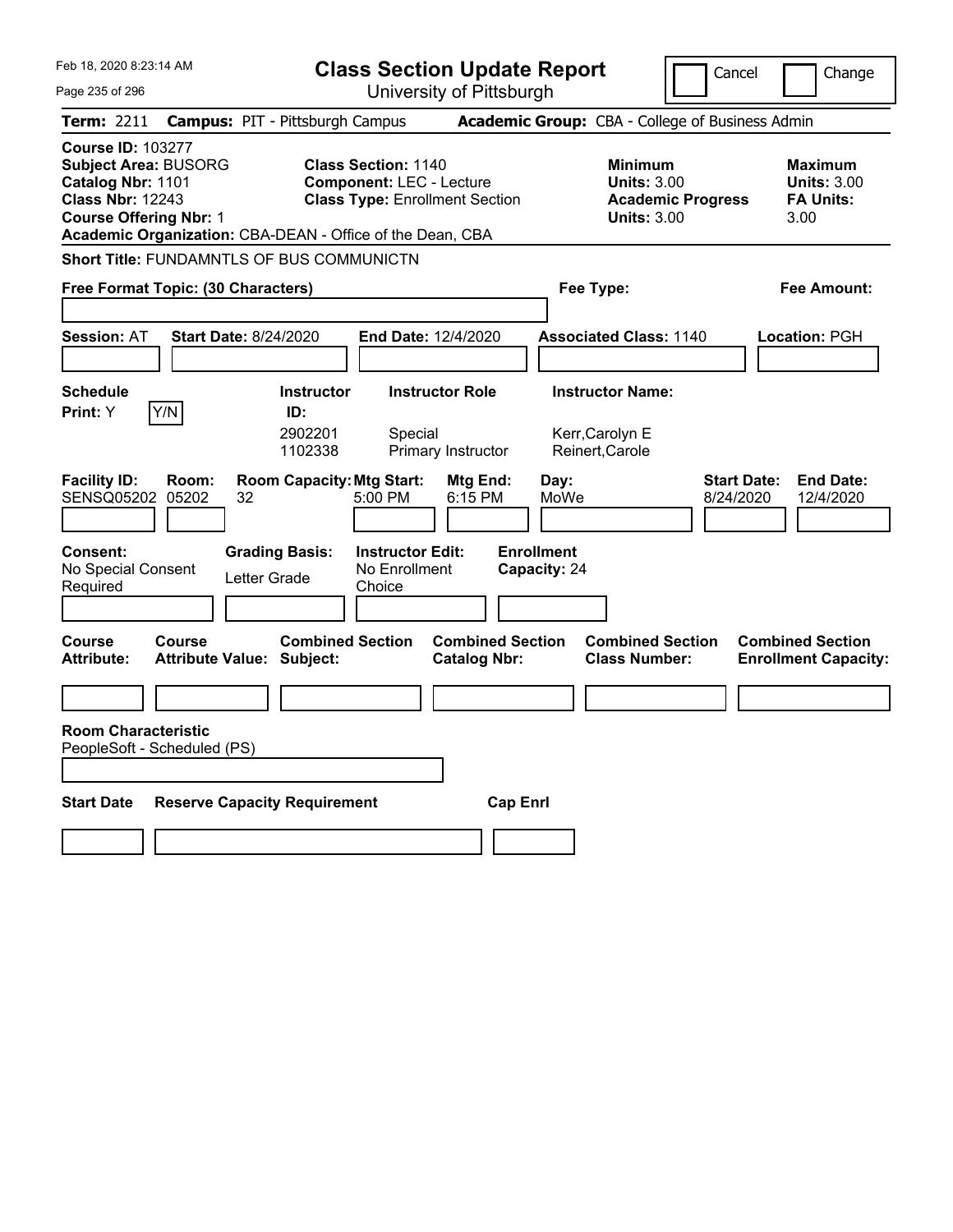| Feb 18, 2020 8:23:14 AM                                                                                                                                                                               | <b>Class Section Update Report</b>                                                                     |                                                                                        | Cancel<br>Change                                                 |
|-------------------------------------------------------------------------------------------------------------------------------------------------------------------------------------------------------|--------------------------------------------------------------------------------------------------------|----------------------------------------------------------------------------------------|------------------------------------------------------------------|
| Page 235 of 296                                                                                                                                                                                       | University of Pittsburgh                                                                               |                                                                                        |                                                                  |
| <b>Term: 2211</b>                                                                                                                                                                                     | <b>Campus: PIT - Pittsburgh Campus</b>                                                                 | Academic Group: CBA - College of Business Admin                                        |                                                                  |
| <b>Course ID: 103277</b><br><b>Subject Area: BUSORG</b><br>Catalog Nbr: 1101<br><b>Class Nbr: 12243</b><br><b>Course Offering Nbr: 1</b><br>Academic Organization: CBA-DEAN - Office of the Dean, CBA | <b>Class Section: 1140</b><br><b>Component: LEC - Lecture</b><br><b>Class Type: Enrollment Section</b> | <b>Minimum</b><br><b>Units: 3.00</b><br><b>Academic Progress</b><br><b>Units: 3.00</b> | <b>Maximum</b><br><b>Units: 3.00</b><br><b>FA Units:</b><br>3.00 |
| <b>Short Title: FUNDAMNTLS OF BUS COMMUNICTN</b>                                                                                                                                                      |                                                                                                        |                                                                                        |                                                                  |
| Free Format Topic: (30 Characters)                                                                                                                                                                    |                                                                                                        | Fee Type:                                                                              | Fee Amount:                                                      |
|                                                                                                                                                                                                       |                                                                                                        |                                                                                        |                                                                  |
| <b>Session: AT</b><br><b>Start Date: 8/24/2020</b>                                                                                                                                                    | End Date: 12/4/2020                                                                                    | <b>Associated Class: 1140</b>                                                          | <b>Location: PGH</b>                                             |
|                                                                                                                                                                                                       |                                                                                                        |                                                                                        |                                                                  |
| <b>Schedule</b>                                                                                                                                                                                       | <b>Instructor Role</b><br><b>Instructor</b>                                                            | <b>Instructor Name:</b>                                                                |                                                                  |
| Y/N<br><b>Print:</b> Y                                                                                                                                                                                | ID:<br>2902201<br>Special<br>1102338<br>Primary Instructor                                             | Kerr, Carolyn E<br>Reinert, Carole                                                     |                                                                  |
| <b>Facility ID:</b><br>Room:<br><b>SENSQ05202</b><br>05202<br>32                                                                                                                                      | <b>Room Capacity: Mtg Start:</b><br>Mtg End:<br>5:00 PM<br>6:15 PM                                     | Day:<br>MoWe                                                                           | <b>Start Date:</b><br><b>End Date:</b><br>12/4/2020<br>8/24/2020 |
| <b>Grading Basis:</b><br><b>Consent:</b><br>No Special Consent<br>Letter Grade<br>Required                                                                                                            | <b>Instructor Edit:</b><br>No Enrollment<br>Choice                                                     | <b>Enrollment</b><br>Capacity: 24                                                      |                                                                  |
| <b>Course</b><br>Course<br>Attribute Value: Subject:<br>Attribute:                                                                                                                                    | <b>Combined Section</b><br><b>Catalog Nbr:</b>                                                         | <b>Combined Section</b><br><b>Combined Section</b><br><b>Class Number:</b>             | <b>Combined Section</b><br><b>Enrollment Capacity:</b>           |
|                                                                                                                                                                                                       |                                                                                                        |                                                                                        |                                                                  |
| <b>Room Characteristic</b><br>PeopleSoft - Scheduled (PS)                                                                                                                                             |                                                                                                        |                                                                                        |                                                                  |
| <b>Start Date</b><br><b>Reserve Capacity Requirement</b>                                                                                                                                              |                                                                                                        | <b>Cap Enri</b>                                                                        |                                                                  |
|                                                                                                                                                                                                       |                                                                                                        |                                                                                        |                                                                  |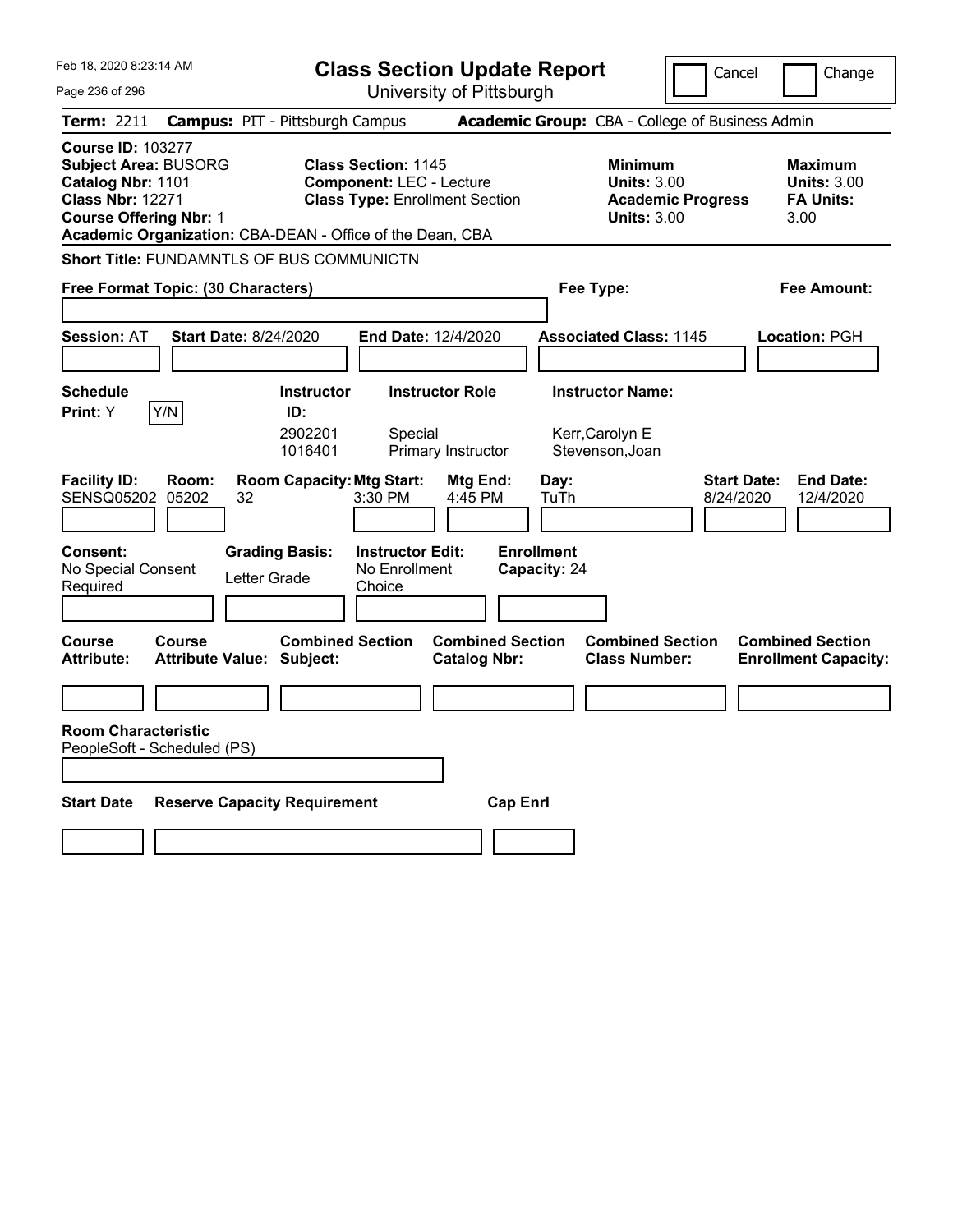| Feb 18, 2020 8:23:14 AM                                                                                                                                                                               |                                                      | <b>Class Section Update Report</b>                                                                     |                                                |                                                            | Cancel                          | Change                                                           |
|-------------------------------------------------------------------------------------------------------------------------------------------------------------------------------------------------------|------------------------------------------------------|--------------------------------------------------------------------------------------------------------|------------------------------------------------|------------------------------------------------------------|---------------------------------|------------------------------------------------------------------|
| Page 236 of 296                                                                                                                                                                                       |                                                      | University of Pittsburgh                                                                               |                                                |                                                            |                                 |                                                                  |
| <b>Term: 2211</b>                                                                                                                                                                                     | <b>Campus: PIT - Pittsburgh Campus</b>               |                                                                                                        |                                                | Academic Group: CBA - College of Business Admin            |                                 |                                                                  |
| <b>Course ID: 103277</b><br><b>Subject Area: BUSORG</b><br>Catalog Nbr: 1101<br><b>Class Nbr: 12271</b><br><b>Course Offering Nbr: 1</b><br>Academic Organization: CBA-DEAN - Office of the Dean, CBA |                                                      | <b>Class Section: 1145</b><br><b>Component: LEC - Lecture</b><br><b>Class Type: Enrollment Section</b> |                                                | <b>Minimum</b><br><b>Units: 3.00</b><br><b>Units: 3.00</b> | <b>Academic Progress</b>        | <b>Maximum</b><br><b>Units: 3.00</b><br><b>FA Units:</b><br>3.00 |
| <b>Short Title: FUNDAMNTLS OF BUS COMMUNICTN</b>                                                                                                                                                      |                                                      |                                                                                                        |                                                |                                                            |                                 |                                                                  |
| Free Format Topic: (30 Characters)                                                                                                                                                                    |                                                      |                                                                                                        |                                                | Fee Type:                                                  |                                 | Fee Amount:                                                      |
|                                                                                                                                                                                                       |                                                      |                                                                                                        |                                                |                                                            |                                 |                                                                  |
| <b>Session: AT</b>                                                                                                                                                                                    | <b>Start Date: 8/24/2020</b>                         | End Date: 12/4/2020                                                                                    |                                                | <b>Associated Class: 1145</b>                              |                                 | <b>Location: PGH</b>                                             |
|                                                                                                                                                                                                       |                                                      |                                                                                                        |                                                |                                                            |                                 |                                                                  |
| <b>Schedule</b>                                                                                                                                                                                       | <b>Instructor</b>                                    | <b>Instructor Role</b>                                                                                 |                                                | <b>Instructor Name:</b>                                    |                                 |                                                                  |
| Y/N<br><b>Print:</b> Y                                                                                                                                                                                | ID:<br>2902201<br>1016401                            | Special<br>Primary Instructor                                                                          |                                                | Kerr, Carolyn E<br>Stevenson, Joan                         |                                 |                                                                  |
| <b>Facility ID:</b><br>Room:<br><b>SENSQ05202</b><br>05202                                                                                                                                            | <b>Room Capacity: Mtg Start:</b><br>32               | 3:30 PM                                                                                                | Mtg End:<br>4:45 PM                            | Day:<br>TuTh                                               | <b>Start Date:</b><br>8/24/2020 | <b>End Date:</b><br>12/4/2020                                    |
| <b>Consent:</b><br>No Special Consent<br>Required                                                                                                                                                     | <b>Grading Basis:</b><br>Letter Grade                | <b>Instructor Edit:</b><br>No Enrollment<br>Choice                                                     | <b>Enrollment</b><br>Capacity: 24              |                                                            |                                 |                                                                  |
| <b>Course</b><br>Course<br>Attribute:                                                                                                                                                                 | <b>Combined Section</b><br>Attribute Value: Subject: |                                                                                                        | <b>Combined Section</b><br><b>Catalog Nbr:</b> | <b>Combined Section</b><br><b>Class Number:</b>            |                                 | <b>Combined Section</b><br><b>Enrollment Capacity:</b>           |
|                                                                                                                                                                                                       |                                                      |                                                                                                        |                                                |                                                            |                                 |                                                                  |
| <b>Room Characteristic</b><br>PeopleSoft - Scheduled (PS)                                                                                                                                             |                                                      |                                                                                                        |                                                |                                                            |                                 |                                                                  |
| <b>Start Date</b>                                                                                                                                                                                     | <b>Reserve Capacity Requirement</b>                  |                                                                                                        | <b>Cap Enri</b>                                |                                                            |                                 |                                                                  |
|                                                                                                                                                                                                       |                                                      |                                                                                                        |                                                |                                                            |                                 |                                                                  |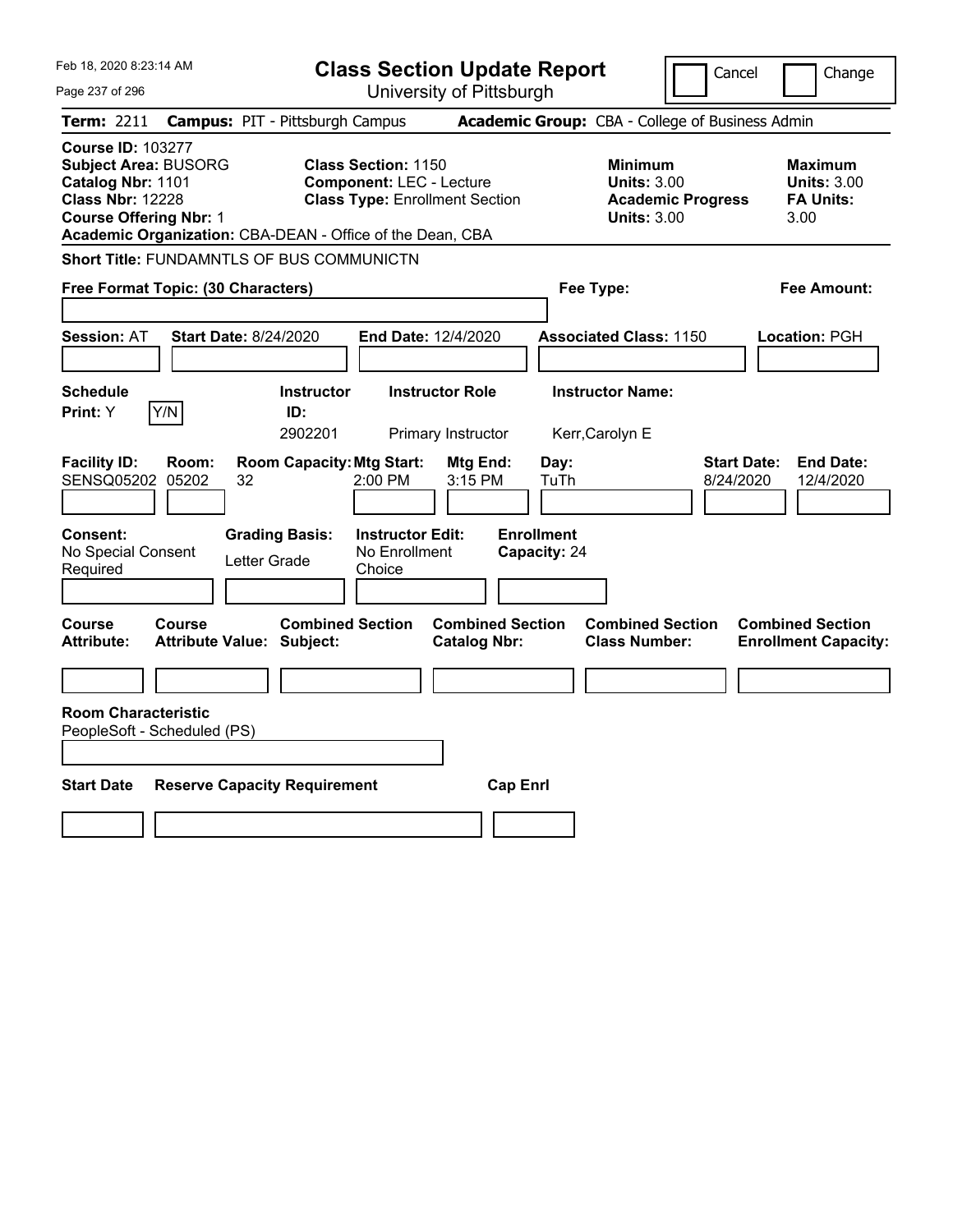| Feb 18, 2020 8:23:14 AM                                                                                                                                                                               | <b>Class Section Update Report</b>                                                                     |                                                                                        | Cancel<br>Change                                                 |
|-------------------------------------------------------------------------------------------------------------------------------------------------------------------------------------------------------|--------------------------------------------------------------------------------------------------------|----------------------------------------------------------------------------------------|------------------------------------------------------------------|
| Page 237 of 296                                                                                                                                                                                       | University of Pittsburgh                                                                               |                                                                                        |                                                                  |
| Term: 2211                                                                                                                                                                                            | <b>Campus: PIT - Pittsburgh Campus</b>                                                                 | Academic Group: CBA - College of Business Admin                                        |                                                                  |
| <b>Course ID: 103277</b><br><b>Subject Area: BUSORG</b><br>Catalog Nbr: 1101<br><b>Class Nbr: 12228</b><br><b>Course Offering Nbr: 1</b><br>Academic Organization: CBA-DEAN - Office of the Dean, CBA | <b>Class Section: 1150</b><br><b>Component: LEC - Lecture</b><br><b>Class Type: Enrollment Section</b> | <b>Minimum</b><br><b>Units: 3.00</b><br><b>Academic Progress</b><br><b>Units: 3.00</b> | <b>Maximum</b><br><b>Units: 3.00</b><br><b>FA Units:</b><br>3.00 |
| <b>Short Title: FUNDAMNTLS OF BUS COMMUNICTN</b>                                                                                                                                                      |                                                                                                        |                                                                                        |                                                                  |
| Free Format Topic: (30 Characters)                                                                                                                                                                    |                                                                                                        | Fee Type:                                                                              | Fee Amount:                                                      |
| <b>Session: AT</b><br><b>Start Date: 8/24/2020</b>                                                                                                                                                    | End Date: 12/4/2020                                                                                    | <b>Associated Class: 1150</b>                                                          | Location: PGH                                                    |
| <b>Schedule</b><br>Print: Y<br>Y/N                                                                                                                                                                    | <b>Instructor Role</b><br><b>Instructor</b><br>ID:<br>2902201<br>Primary Instructor                    | <b>Instructor Name:</b><br>Kerr, Carolyn E                                             |                                                                  |
| <b>Facility ID:</b><br>Room:<br>SENSQ05202 05202<br>32                                                                                                                                                | <b>Room Capacity: Mtg Start:</b><br>Mtg End:<br>2:00 PM<br>3:15 PM                                     | Day:<br>TuTh                                                                           | <b>Start Date:</b><br><b>End Date:</b><br>8/24/2020<br>12/4/2020 |
| <b>Consent:</b><br><b>Grading Basis:</b><br>No Special Consent<br>Letter Grade<br>Required                                                                                                            | <b>Instructor Edit:</b><br>No Enrollment<br>Choice                                                     | <b>Enrollment</b><br>Capacity: 24                                                      |                                                                  |
| Course<br><b>Course</b><br><b>Attribute:</b><br><b>Attribute Value: Subject:</b>                                                                                                                      | <b>Combined Section</b><br><b>Combined Section</b><br><b>Catalog Nbr:</b>                              | <b>Combined Section</b><br><b>Class Number:</b>                                        | <b>Combined Section</b><br><b>Enrollment Capacity:</b>           |
| <b>Room Characteristic</b><br>PeopleSoft - Scheduled (PS)                                                                                                                                             |                                                                                                        |                                                                                        |                                                                  |
| <b>Start Date</b><br><b>Reserve Capacity Requirement</b>                                                                                                                                              |                                                                                                        | <b>Cap Enrl</b>                                                                        |                                                                  |
|                                                                                                                                                                                                       |                                                                                                        |                                                                                        |                                                                  |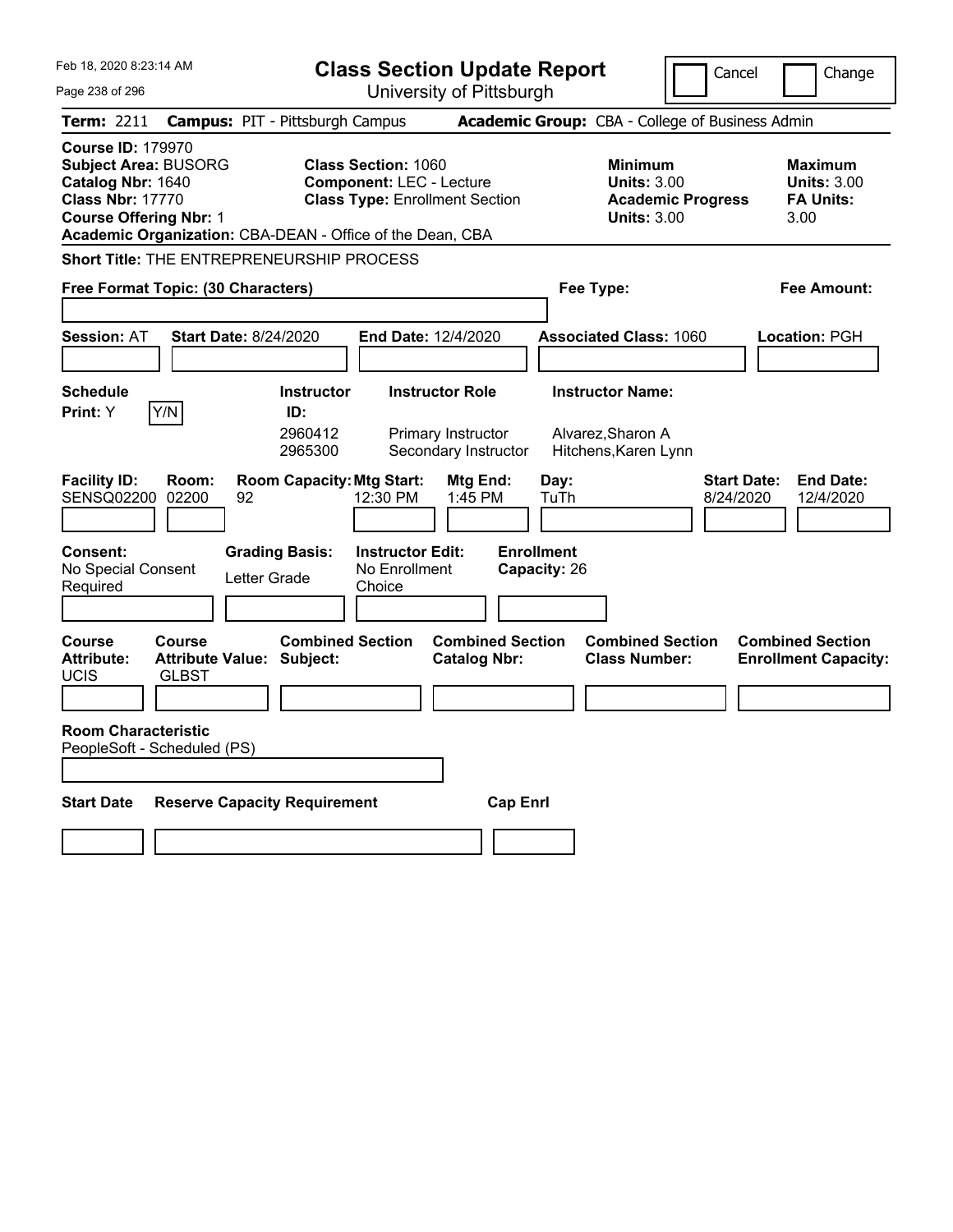| Feb 18, 2020 8:23:14 AM                                                                                                                  |                                                           |                                  | <b>Class Section Update Report</b>                                                                     |                                                |                                   |                                                            | Cancel                                          | Change                                                           |
|------------------------------------------------------------------------------------------------------------------------------------------|-----------------------------------------------------------|----------------------------------|--------------------------------------------------------------------------------------------------------|------------------------------------------------|-----------------------------------|------------------------------------------------------------|-------------------------------------------------|------------------------------------------------------------------|
| Page 238 of 296                                                                                                                          |                                                           |                                  |                                                                                                        | University of Pittsburgh                       |                                   |                                                            |                                                 |                                                                  |
| <b>Term: 2211</b>                                                                                                                        | <b>Campus: PIT - Pittsburgh Campus</b>                    |                                  |                                                                                                        |                                                |                                   |                                                            | Academic Group: CBA - College of Business Admin |                                                                  |
| <b>Course ID: 179970</b><br><b>Subject Area: BUSORG</b><br>Catalog Nbr: 1640<br><b>Class Nbr: 17770</b><br><b>Course Offering Nbr: 1</b> | Academic Organization: CBA-DEAN - Office of the Dean, CBA |                                  | <b>Class Section: 1060</b><br><b>Component: LEC - Lecture</b><br><b>Class Type: Enrollment Section</b> |                                                |                                   | <b>Minimum</b><br><b>Units: 3.00</b><br><b>Units: 3.00</b> | <b>Academic Progress</b>                        | <b>Maximum</b><br><b>Units: 3.00</b><br><b>FA Units:</b><br>3.00 |
|                                                                                                                                          | Short Title: THE ENTREPRENEURSHIP PROCESS                 |                                  |                                                                                                        |                                                |                                   |                                                            |                                                 |                                                                  |
|                                                                                                                                          | Free Format Topic: (30 Characters)                        |                                  |                                                                                                        |                                                |                                   | Fee Type:                                                  |                                                 | Fee Amount:                                                      |
|                                                                                                                                          |                                                           |                                  |                                                                                                        |                                                |                                   |                                                            |                                                 |                                                                  |
| <b>Session: AT</b>                                                                                                                       | <b>Start Date: 8/24/2020</b>                              |                                  | End Date: 12/4/2020                                                                                    |                                                |                                   | <b>Associated Class: 1060</b>                              |                                                 | <b>Location: PGH</b>                                             |
|                                                                                                                                          |                                                           |                                  |                                                                                                        |                                                |                                   |                                                            |                                                 |                                                                  |
| <b>Schedule</b>                                                                                                                          |                                                           | <b>Instructor</b>                |                                                                                                        | <b>Instructor Role</b>                         |                                   | <b>Instructor Name:</b>                                    |                                                 |                                                                  |
| <b>Print:</b> Y                                                                                                                          | Y/N                                                       | ID:<br>2960412<br>2965300        |                                                                                                        | Primary Instructor<br>Secondary Instructor     |                                   | Alvarez.Sharon A<br>Hitchens, Karen Lynn                   |                                                 |                                                                  |
| <b>Facility ID:</b><br><b>SENSQ02200</b>                                                                                                 | Room:<br>02200<br>92                                      | <b>Room Capacity: Mtg Start:</b> | 12:30 PM                                                                                               | Mtg End:<br>1:45 PM                            | Day:<br>TuTh                      |                                                            | <b>Start Date:</b><br>8/24/2020                 | <b>End Date:</b><br>12/4/2020                                    |
| <b>Consent:</b><br>No Special Consent<br>Required                                                                                        | Letter Grade                                              | <b>Grading Basis:</b>            | <b>Instructor Edit:</b><br>No Enrollment<br>Choice                                                     |                                                | <b>Enrollment</b><br>Capacity: 26 |                                                            |                                                 |                                                                  |
| Course<br><b>Attribute:</b><br>UCIS                                                                                                      | <b>Course</b><br>Attribute Value: Subject:<br>GLBST       | <b>Combined Section</b>          |                                                                                                        | <b>Combined Section</b><br><b>Catalog Nbr:</b> |                                   | <b>Combined Section</b><br><b>Class Number:</b>            |                                                 | <b>Combined Section</b><br><b>Enrollment Capacity:</b>           |
|                                                                                                                                          |                                                           |                                  |                                                                                                        |                                                |                                   |                                                            |                                                 |                                                                  |
| <b>Room Characteristic</b><br>PeopleSoft - Scheduled (PS)                                                                                |                                                           |                                  |                                                                                                        |                                                |                                   |                                                            |                                                 |                                                                  |
| <b>Start Date</b>                                                                                                                        | <b>Reserve Capacity Requirement</b>                       |                                  |                                                                                                        |                                                | <b>Cap Enri</b>                   |                                                            |                                                 |                                                                  |
|                                                                                                                                          |                                                           |                                  |                                                                                                        |                                                |                                   |                                                            |                                                 |                                                                  |
|                                                                                                                                          |                                                           |                                  |                                                                                                        |                                                |                                   |                                                            |                                                 |                                                                  |
|                                                                                                                                          |                                                           |                                  |                                                                                                        |                                                |                                   |                                                            |                                                 |                                                                  |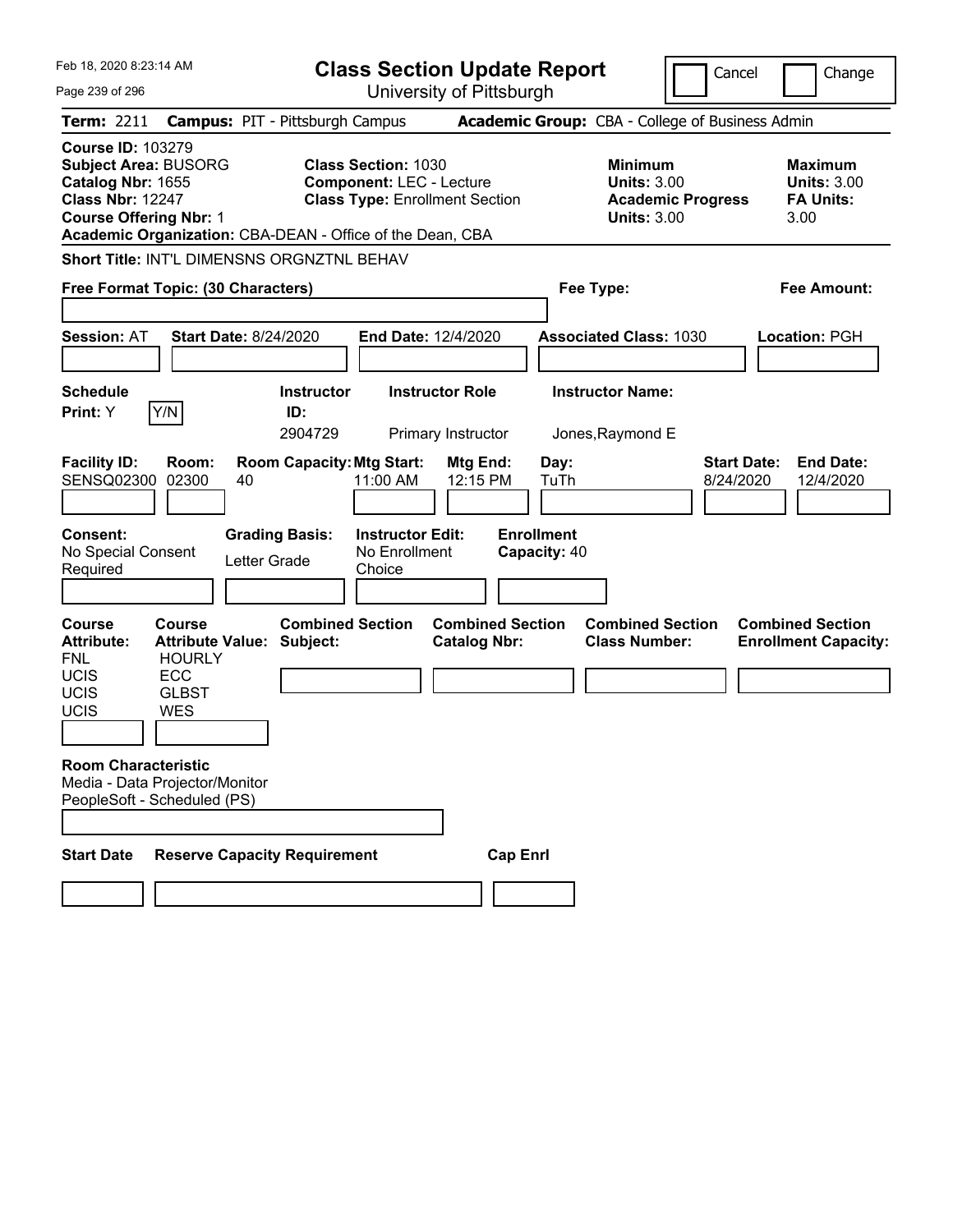| Feb 18, 2020 8:23:14 AM                                                                                                                  |                                                                                         |                                                           |                                                               | <b>Class Section Update Report</b>             |                                   |                                                                                        | Cancel                          | Change                                                           |
|------------------------------------------------------------------------------------------------------------------------------------------|-----------------------------------------------------------------------------------------|-----------------------------------------------------------|---------------------------------------------------------------|------------------------------------------------|-----------------------------------|----------------------------------------------------------------------------------------|---------------------------------|------------------------------------------------------------------|
| Page 239 of 296                                                                                                                          |                                                                                         |                                                           |                                                               | University of Pittsburgh                       |                                   |                                                                                        |                                 |                                                                  |
| Term: 2211                                                                                                                               |                                                                                         | <b>Campus: PIT - Pittsburgh Campus</b>                    |                                                               |                                                |                                   | Academic Group: CBA - College of Business Admin                                        |                                 |                                                                  |
| <b>Course ID: 103279</b><br><b>Subject Area: BUSORG</b><br>Catalog Nbr: 1655<br><b>Class Nbr: 12247</b><br><b>Course Offering Nbr: 1</b> |                                                                                         | Academic Organization: CBA-DEAN - Office of the Dean, CBA | <b>Class Section: 1030</b><br><b>Component: LEC - Lecture</b> | <b>Class Type: Enrollment Section</b>          |                                   | <b>Minimum</b><br><b>Units: 3.00</b><br><b>Academic Progress</b><br><b>Units: 3.00</b> |                                 | <b>Maximum</b><br><b>Units: 3.00</b><br><b>FA Units:</b><br>3.00 |
|                                                                                                                                          |                                                                                         | Short Title: INT'L DIMENSNS ORGNZTNL BEHAV                |                                                               |                                                |                                   |                                                                                        |                                 |                                                                  |
| Free Format Topic: (30 Characters)                                                                                                       |                                                                                         |                                                           |                                                               |                                                | Fee Type:                         |                                                                                        |                                 | <b>Fee Amount:</b>                                               |
| <b>Session: AT</b>                                                                                                                       |                                                                                         | <b>Start Date: 8/24/2020</b>                              |                                                               | End Date: 12/4/2020                            |                                   | <b>Associated Class: 1030</b>                                                          |                                 | Location: PGH                                                    |
| <b>Schedule</b><br>Print: Y                                                                                                              | Y/N                                                                                     | <b>Instructor</b><br>ID:<br>2904729                       |                                                               | <b>Instructor Role</b><br>Primary Instructor   |                                   | <b>Instructor Name:</b><br>Jones, Raymond E                                            |                                 |                                                                  |
| <b>Facility ID:</b><br>SENSQ02300                                                                                                        | Room:<br>02300                                                                          | <b>Room Capacity: Mtg Start:</b><br>40                    | 11:00 AM                                                      | Mtg End:<br>12:15 PM                           | Day:<br>TuTh                      |                                                                                        | <b>Start Date:</b><br>8/24/2020 | <b>End Date:</b><br>12/4/2020                                    |
| Consent:<br>No Special Consent<br>Required                                                                                               |                                                                                         | <b>Grading Basis:</b><br>Letter Grade                     | <b>Instructor Edit:</b><br>No Enrollment<br>Choice            |                                                | <b>Enrollment</b><br>Capacity: 40 |                                                                                        |                                 |                                                                  |
| <b>Course</b><br><b>Attribute:</b><br><b>FNL</b><br><b>UCIS</b><br>UCIS<br>UCIS                                                          | Course<br><b>Attribute Value:</b><br><b>HOURLY</b><br>ECC<br><b>GLBST</b><br><b>WES</b> | <b>Combined Section</b><br>Subject:                       |                                                               | <b>Combined Section</b><br><b>Catalog Nbr:</b> |                                   | <b>Combined Section</b><br><b>Class Number:</b>                                        |                                 | <b>Combined Section</b><br><b>Enrollment Capacity:</b>           |
| <b>Room Characteristic</b><br>Media - Data Projector/Monitor<br>PeopleSoft - Scheduled (PS)                                              |                                                                                         |                                                           |                                                               |                                                |                                   |                                                                                        |                                 |                                                                  |
| <b>Start Date</b>                                                                                                                        |                                                                                         | <b>Reserve Capacity Requirement</b>                       |                                                               | <b>Cap Enrl</b>                                |                                   |                                                                                        |                                 |                                                                  |
|                                                                                                                                          |                                                                                         |                                                           |                                                               |                                                |                                   |                                                                                        |                                 |                                                                  |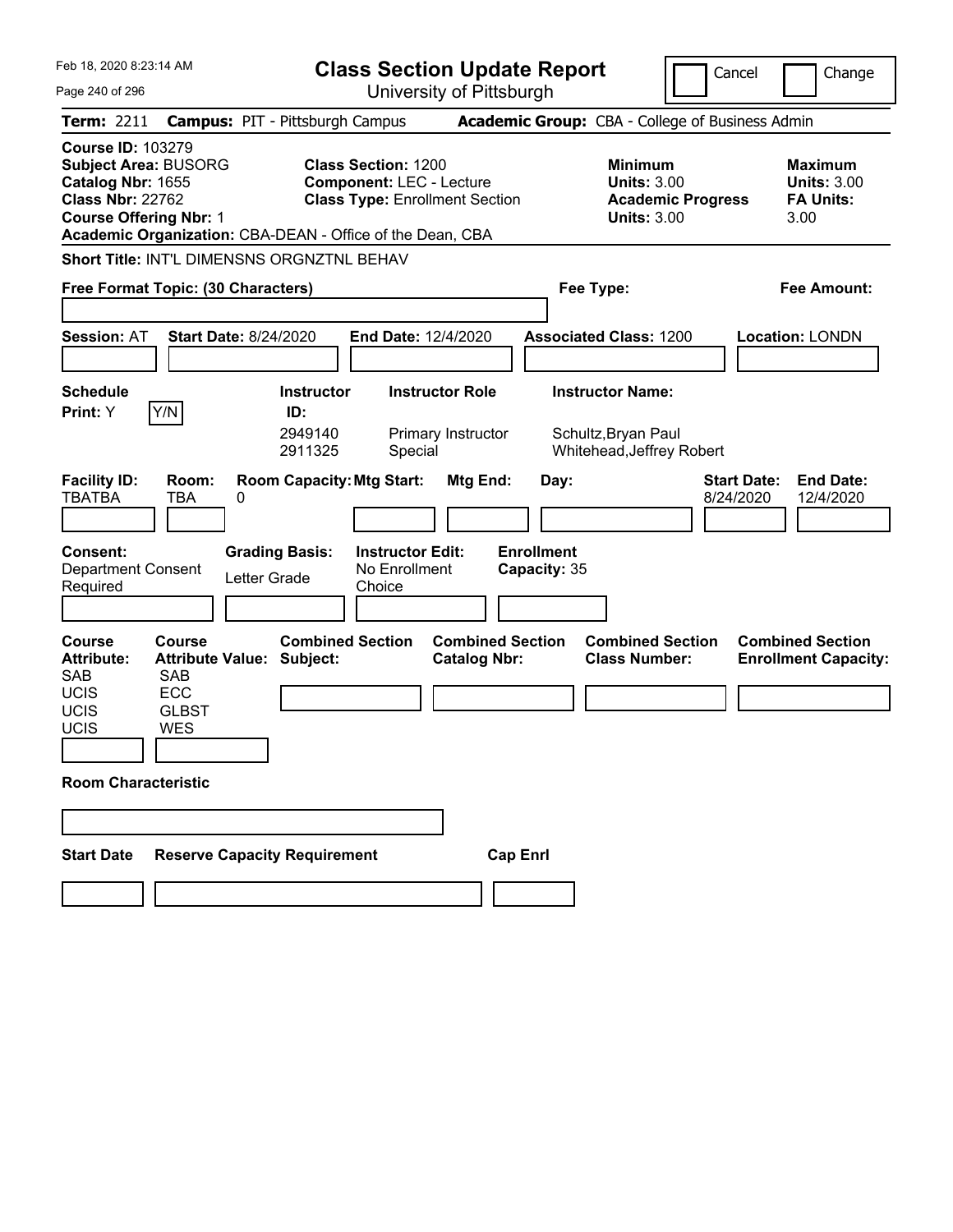| Feb 18, 2020 8:23:14 AM                                                                                                                                                                                                                                                           | <b>Class Section Update Report</b>                                                                                                                                  | Cancel                                                                                 | Change                                                           |
|-----------------------------------------------------------------------------------------------------------------------------------------------------------------------------------------------------------------------------------------------------------------------------------|---------------------------------------------------------------------------------------------------------------------------------------------------------------------|----------------------------------------------------------------------------------------|------------------------------------------------------------------|
| Page 240 of 296                                                                                                                                                                                                                                                                   | University of Pittsburgh                                                                                                                                            |                                                                                        |                                                                  |
| <b>Term: 2211</b>                                                                                                                                                                                                                                                                 | <b>Campus: PIT - Pittsburgh Campus</b>                                                                                                                              | Academic Group: CBA - College of Business Admin                                        |                                                                  |
| <b>Course ID: 103279</b><br><b>Subject Area: BUSORG</b><br>Catalog Nbr: 1655<br><b>Class Nbr: 22762</b><br><b>Course Offering Nbr: 1</b>                                                                                                                                          | <b>Class Section: 1200</b><br><b>Component: LEC - Lecture</b><br><b>Class Type: Enrollment Section</b><br>Academic Organization: CBA-DEAN - Office of the Dean, CBA | <b>Minimum</b><br><b>Units: 3.00</b><br><b>Academic Progress</b><br><b>Units: 3.00</b> | <b>Maximum</b><br><b>Units: 3.00</b><br><b>FA Units:</b><br>3.00 |
| <b>Short Title: INT'L DIMENSNS ORGNZTNL BEHAV</b>                                                                                                                                                                                                                                 |                                                                                                                                                                     |                                                                                        |                                                                  |
| Free Format Topic: (30 Characters)                                                                                                                                                                                                                                                |                                                                                                                                                                     | Fee Type:                                                                              | Fee Amount:                                                      |
| <b>Start Date: 8/24/2020</b><br><b>Session: AT</b>                                                                                                                                                                                                                                | End Date: 12/4/2020                                                                                                                                                 | <b>Associated Class: 1200</b>                                                          | <b>Location: LONDN</b>                                           |
| <b>Schedule</b><br>Y/N<br>Print: Y                                                                                                                                                                                                                                                | <b>Instructor Role</b><br><b>Instructor</b><br>ID:<br>2949140<br>Primary Instructor<br>2911325<br>Special                                                           | <b>Instructor Name:</b><br>Schultz, Bryan Paul<br>Whitehead, Jeffrey Robert            |                                                                  |
| <b>Facility ID:</b><br>Room:<br>TBATBA<br>TBA<br>0<br><b>Consent:</b><br><b>Department Consent</b><br>Letter Grade                                                                                                                                                                | <b>Room Capacity: Mtg Start:</b><br><b>Mtg End:</b><br><b>Grading Basis:</b><br><b>Instructor Edit:</b><br>No Enrollment                                            | Day:<br>8/24/2020<br><b>Enrollment</b><br>Capacity: 35                                 | <b>End Date:</b><br><b>Start Date:</b><br>12/4/2020              |
| Required                                                                                                                                                                                                                                                                          | Choice                                                                                                                                                              |                                                                                        |                                                                  |
| Course<br><b>Course</b><br><b>Attribute Value: Subject:</b><br><b>Attribute:</b><br><b>SAB</b><br><b>SAB</b><br><b>ECC</b><br><b>UCIS</b><br>UCIS<br><b>GLBST</b><br>UCIS<br><b>WES</b><br><b>Room Characteristic</b><br><b>Start Date</b><br><b>Reserve Capacity Requirement</b> | <b>Combined Section</b><br><b>Combined Section</b><br><b>Catalog Nbr:</b>                                                                                           | <b>Combined Section</b><br><b>Class Number:</b><br><b>Cap Enrl</b>                     | <b>Combined Section</b><br><b>Enrollment Capacity:</b>           |
|                                                                                                                                                                                                                                                                                   |                                                                                                                                                                     |                                                                                        |                                                                  |
|                                                                                                                                                                                                                                                                                   |                                                                                                                                                                     |                                                                                        |                                                                  |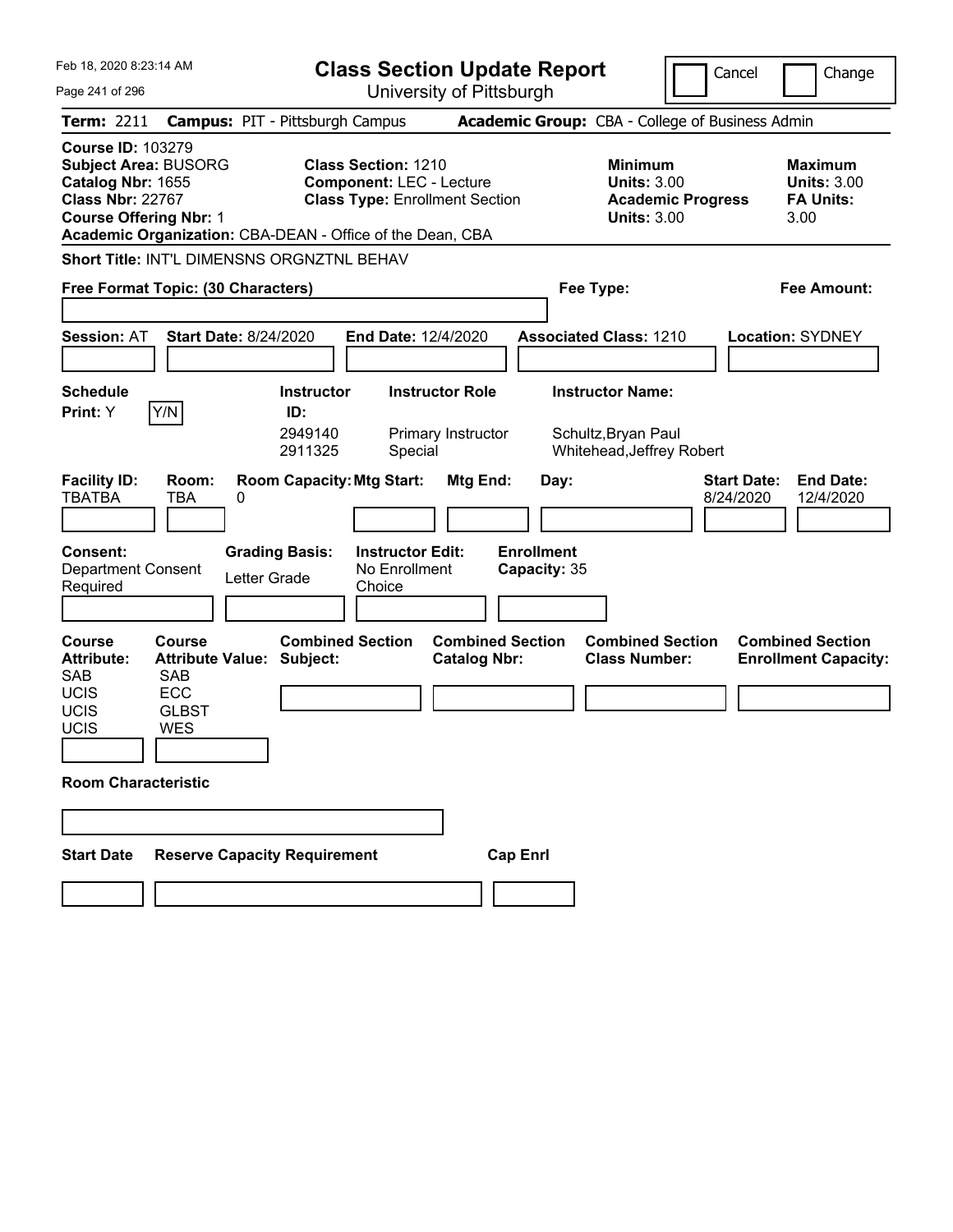| Feb 18, 2020 8:23:14 AM                                                                                                                                                                                                      | <b>Class Section Update Report</b>                                                                        | Cancel<br>Change                                                                                                                                           |
|------------------------------------------------------------------------------------------------------------------------------------------------------------------------------------------------------------------------------|-----------------------------------------------------------------------------------------------------------|------------------------------------------------------------------------------------------------------------------------------------------------------------|
| Page 241 of 296                                                                                                                                                                                                              | University of Pittsburgh                                                                                  |                                                                                                                                                            |
| <b>Term: 2211</b>                                                                                                                                                                                                            | <b>Campus: PIT - Pittsburgh Campus</b>                                                                    | Academic Group: CBA - College of Business Admin                                                                                                            |
| <b>Course ID: 103279</b><br><b>Subject Area: BUSORG</b><br>Catalog Nbr: 1655<br><b>Class Nbr: 22767</b><br><b>Course Offering Nbr: 1</b><br>Academic Organization: CBA-DEAN - Office of the Dean, CBA                        | <b>Class Section: 1210</b><br><b>Component: LEC - Lecture</b><br><b>Class Type: Enrollment Section</b>    | <b>Minimum</b><br><b>Maximum</b><br><b>Units: 3.00</b><br><b>Units: 3.00</b><br><b>FA Units:</b><br><b>Academic Progress</b><br><b>Units: 3.00</b><br>3.00 |
| Short Title: INT'L DIMENSNS ORGNZTNL BEHAV                                                                                                                                                                                   |                                                                                                           |                                                                                                                                                            |
| Free Format Topic: (30 Characters)                                                                                                                                                                                           |                                                                                                           | Fee Type:<br>Fee Amount:                                                                                                                                   |
| <b>Start Date: 8/24/2020</b><br><b>Session: AT</b>                                                                                                                                                                           | End Date: 12/4/2020                                                                                       | <b>Associated Class: 1210</b><br><b>Location: SYDNEY</b>                                                                                                   |
| <b>Schedule</b><br>Y/N<br>Print: Y                                                                                                                                                                                           | <b>Instructor Role</b><br><b>Instructor</b><br>ID:<br>2949140<br>Primary Instructor<br>2911325<br>Special | <b>Instructor Name:</b><br>Schultz, Bryan Paul<br>Whitehead, Jeffrey Robert                                                                                |
| <b>Facility ID:</b><br>Room:<br><b>TBATBA</b><br>TBA<br>0                                                                                                                                                                    | <b>Room Capacity: Mtg Start:</b><br>Mtg End:<br>Day:                                                      | <b>Start Date:</b><br><b>End Date:</b><br>8/24/2020<br>12/4/2020                                                                                           |
| <b>Consent:</b><br><b>Grading Basis:</b><br><b>Department Consent</b><br>Letter Grade<br>Required                                                                                                                            | <b>Enrollment</b><br><b>Instructor Edit:</b><br>No Enrollment<br>Capacity: 35<br>Choice                   |                                                                                                                                                            |
| <b>Course</b><br>Course<br><b>Attribute Value: Subject:</b><br><b>Attribute:</b><br><b>SAB</b><br><b>SAB</b><br><b>UCIS</b><br><b>ECC</b><br>UCIS<br><b>GLBST</b><br><b>UCIS</b><br><b>WES</b><br><b>Room Characteristic</b> | <b>Combined Section</b><br><b>Combined Section</b><br><b>Catalog Nbr:</b>                                 | <b>Combined Section</b><br><b>Combined Section</b><br><b>Class Number:</b><br><b>Enrollment Capacity:</b>                                                  |
|                                                                                                                                                                                                                              |                                                                                                           |                                                                                                                                                            |
|                                                                                                                                                                                                                              |                                                                                                           |                                                                                                                                                            |
| <b>Reserve Capacity Requirement</b><br><b>Start Date</b>                                                                                                                                                                     | <b>Cap Enrl</b>                                                                                           |                                                                                                                                                            |
|                                                                                                                                                                                                                              |                                                                                                           |                                                                                                                                                            |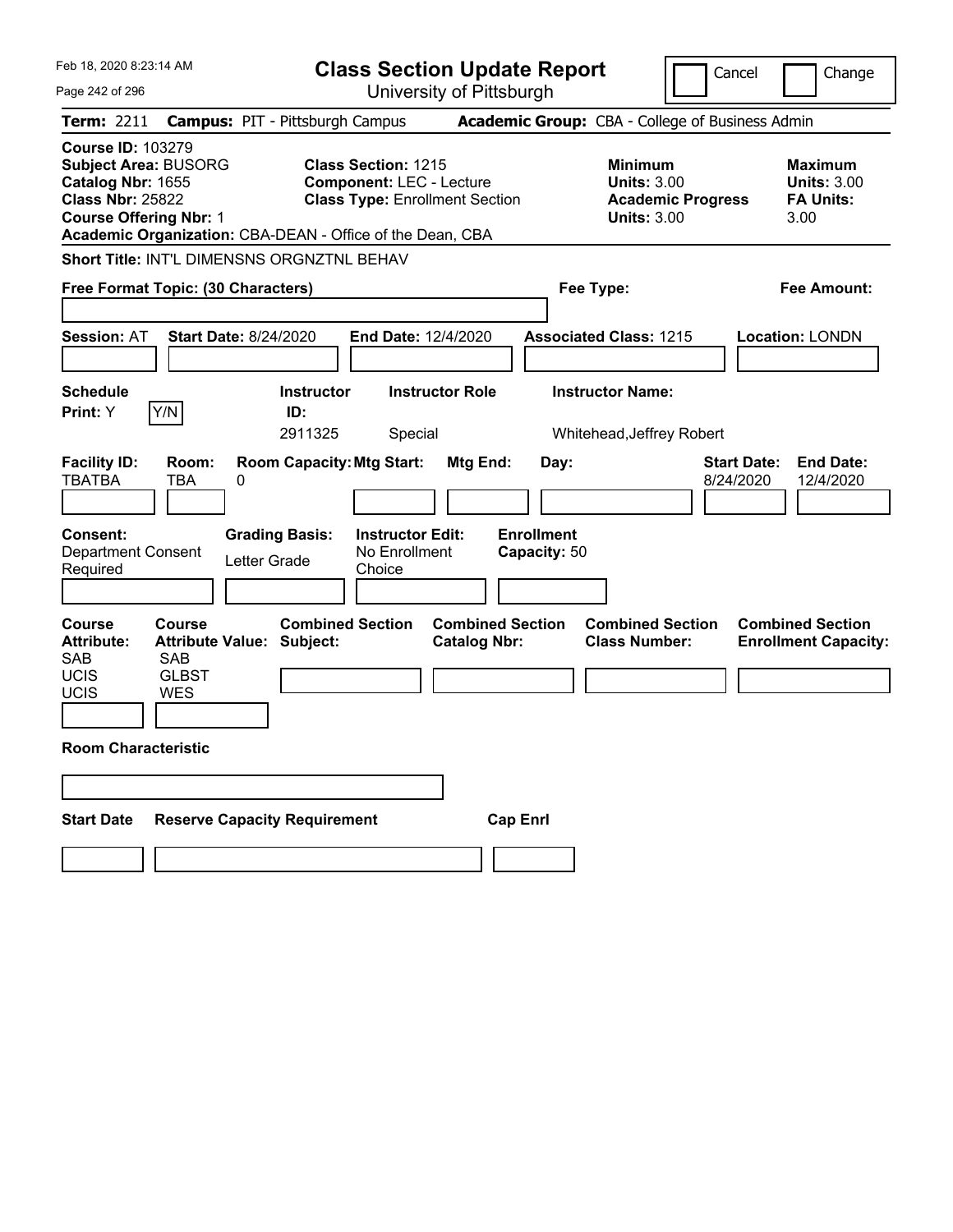| Feb 18, 2020 8:23:14 AM                                                                                                                  | <b>Class Section Update Report</b>                                                                                                                                  |                                                                            | Cancel<br>Change                                                                             |
|------------------------------------------------------------------------------------------------------------------------------------------|---------------------------------------------------------------------------------------------------------------------------------------------------------------------|----------------------------------------------------------------------------|----------------------------------------------------------------------------------------------|
| Page 242 of 296                                                                                                                          | University of Pittsburgh                                                                                                                                            |                                                                            |                                                                                              |
| <b>Term: 2211</b>                                                                                                                        | <b>Campus: PIT - Pittsburgh Campus</b>                                                                                                                              | Academic Group: CBA - College of Business Admin                            |                                                                                              |
| <b>Course ID: 103279</b><br><b>Subject Area: BUSORG</b><br>Catalog Nbr: 1655<br><b>Class Nbr: 25822</b><br><b>Course Offering Nbr: 1</b> | <b>Class Section: 1215</b><br><b>Component: LEC - Lecture</b><br><b>Class Type: Enrollment Section</b><br>Academic Organization: CBA-DEAN - Office of the Dean, CBA | <b>Minimum</b><br><b>Units: 3.00</b><br><b>Units: 3.00</b>                 | <b>Maximum</b><br><b>Units: 3.00</b><br><b>Academic Progress</b><br><b>FA Units:</b><br>3.00 |
| Short Title: INT'L DIMENSNS ORGNZTNL BEHAV                                                                                               |                                                                                                                                                                     |                                                                            |                                                                                              |
| Free Format Topic: (30 Characters)                                                                                                       |                                                                                                                                                                     | Fee Type:                                                                  | <b>Fee Amount:</b>                                                                           |
|                                                                                                                                          |                                                                                                                                                                     |                                                                            |                                                                                              |
| <b>Start Date: 8/24/2020</b><br><b>Session: AT</b>                                                                                       | End Date: 12/4/2020                                                                                                                                                 | <b>Associated Class: 1215</b>                                              | Location: LONDN                                                                              |
|                                                                                                                                          |                                                                                                                                                                     |                                                                            |                                                                                              |
| <b>Schedule</b>                                                                                                                          | <b>Instructor Role</b><br><b>Instructor</b>                                                                                                                         | <b>Instructor Name:</b>                                                    |                                                                                              |
| Y/N<br>Print: Y                                                                                                                          | ID:                                                                                                                                                                 |                                                                            |                                                                                              |
|                                                                                                                                          | 2911325<br>Special                                                                                                                                                  | Whitehead, Jeffrey Robert                                                  |                                                                                              |
| <b>Facility ID:</b><br>Room:<br><b>TBATBA</b><br><b>TBA</b><br>0                                                                         | <b>Room Capacity: Mtg Start:</b><br>Mtg End:                                                                                                                        | Day:                                                                       | <b>Start Date:</b><br><b>End Date:</b><br>8/24/2020<br>12/4/2020                             |
|                                                                                                                                          |                                                                                                                                                                     |                                                                            |                                                                                              |
| <b>Consent:</b><br><b>Department Consent</b><br>Letter Grade<br>Required                                                                 | <b>Grading Basis:</b><br><b>Instructor Edit:</b><br>No Enrollment<br>Choice                                                                                         | <b>Enrollment</b><br>Capacity: 50                                          |                                                                                              |
|                                                                                                                                          |                                                                                                                                                                     |                                                                            |                                                                                              |
| <b>Course</b><br>Course<br><b>Attribute Value: Subject:</b><br><b>Attribute:</b><br><b>SAB</b><br><b>SAB</b>                             | <b>Combined Section</b><br><b>Catalog Nbr:</b>                                                                                                                      | <b>Combined Section</b><br><b>Combined Section</b><br><b>Class Number:</b> | <b>Combined Section</b><br><b>Enrollment Capacity:</b>                                       |
| <b>UCIS</b><br><b>GLBST</b><br><b>UCIS</b><br><b>WES</b>                                                                                 |                                                                                                                                                                     |                                                                            |                                                                                              |
|                                                                                                                                          |                                                                                                                                                                     |                                                                            |                                                                                              |
| <b>Room Characteristic</b>                                                                                                               |                                                                                                                                                                     |                                                                            |                                                                                              |
|                                                                                                                                          |                                                                                                                                                                     |                                                                            |                                                                                              |
| <b>Reserve Capacity Requirement</b><br><b>Start Date</b>                                                                                 |                                                                                                                                                                     | <b>Cap Enrl</b>                                                            |                                                                                              |
|                                                                                                                                          |                                                                                                                                                                     |                                                                            |                                                                                              |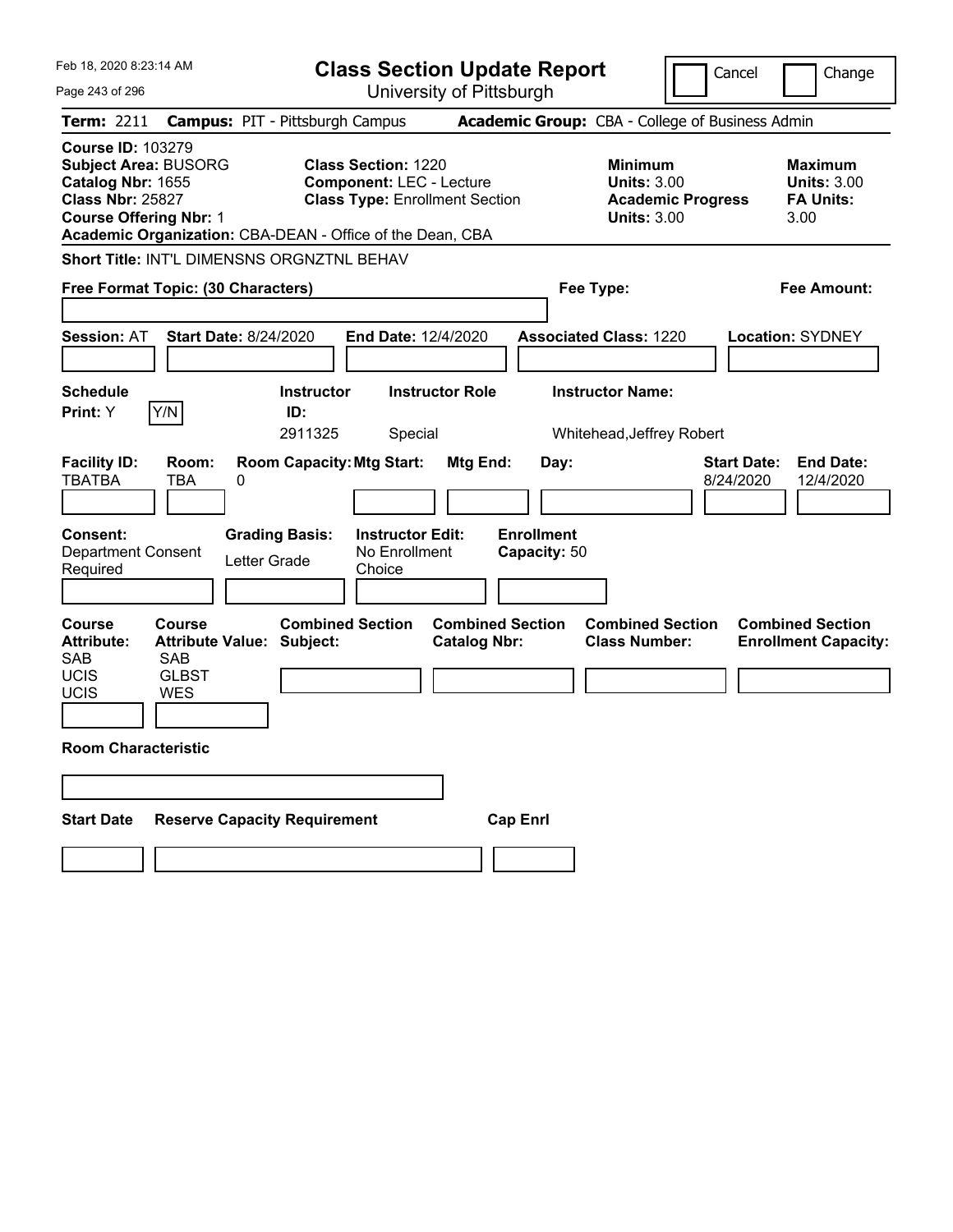| Feb 18, 2020 8:23:14 AM                                                                                                                                                                               |                                                                                        |                                                           | <b>Class Section Update Report</b>                                                                     |                          |                                           |                                                          |                                                                                        | Cancel                          | Change                                                           |
|-------------------------------------------------------------------------------------------------------------------------------------------------------------------------------------------------------|----------------------------------------------------------------------------------------|-----------------------------------------------------------|--------------------------------------------------------------------------------------------------------|--------------------------|-------------------------------------------|----------------------------------------------------------|----------------------------------------------------------------------------------------|---------------------------------|------------------------------------------------------------------|
| Page 243 of 296                                                                                                                                                                                       |                                                                                        |                                                           |                                                                                                        | University of Pittsburgh |                                           |                                                          |                                                                                        |                                 |                                                                  |
| <b>Term: 2211</b>                                                                                                                                                                                     | <b>Campus: PIT - Pittsburgh Campus</b>                                                 |                                                           |                                                                                                        |                          |                                           | Academic Group: CBA - College of Business Admin          |                                                                                        |                                 |                                                                  |
| <b>Course ID: 103279</b><br><b>Subject Area: BUSORG</b><br>Catalog Nbr: 1655<br><b>Class Nbr: 25827</b><br><b>Course Offering Nbr: 1</b><br>Academic Organization: CBA-DEAN - Office of the Dean, CBA |                                                                                        |                                                           | <b>Class Section: 1220</b><br><b>Component: LEC - Lecture</b><br><b>Class Type: Enrollment Section</b> |                          |                                           |                                                          | <b>Minimum</b><br><b>Units: 3.00</b><br><b>Academic Progress</b><br><b>Units: 3.00</b> |                                 | <b>Maximum</b><br><b>Units: 3.00</b><br><b>FA Units:</b><br>3.00 |
| Short Title: INT'L DIMENSNS ORGNZTNL BEHAV                                                                                                                                                            |                                                                                        |                                                           |                                                                                                        |                          |                                           |                                                          |                                                                                        |                                 |                                                                  |
| Free Format Topic: (30 Characters)                                                                                                                                                                    |                                                                                        |                                                           |                                                                                                        |                          |                                           | Fee Type:                                                |                                                                                        |                                 | Fee Amount:                                                      |
| <b>Session: AT</b><br><b>Schedule</b><br>Y/N<br>Print: Y                                                                                                                                              | <b>Start Date: 8/24/2020</b>                                                           | <b>Instructor</b><br>ID:<br>2911325                       | End Date: 12/4/2020                                                                                    | <b>Instructor Role</b>   |                                           | <b>Associated Class: 1220</b><br><b>Instructor Name:</b> |                                                                                        |                                 | <b>Location: SYDNEY</b>                                          |
| <b>Facility ID:</b><br><b>TBATBA</b><br><b>Consent:</b><br><b>Department Consent</b><br>Required                                                                                                      | Room:<br><b>TBA</b><br>0<br>Letter Grade                                               | <b>Room Capacity: Mtg Start:</b><br><b>Grading Basis:</b> | Special<br><b>Instructor Edit:</b><br>No Enrollment<br>Choice                                          | Mtg End:                 | Day:<br><b>Enrollment</b><br>Capacity: 50 | Whitehead, Jeffrey Robert                                |                                                                                        | <b>Start Date:</b><br>8/24/2020 | <b>End Date:</b><br>12/4/2020                                    |
| <b>Course</b><br><b>Attribute:</b><br><b>SAB</b><br><b>UCIS</b><br><b>UCIS</b><br><b>Room Characteristic</b>                                                                                          | Course<br><b>Attribute Value: Subject:</b><br><b>SAB</b><br><b>GLBST</b><br><b>WES</b> | <b>Combined Section</b>                                   |                                                                                                        | <b>Catalog Nbr:</b>      | <b>Combined Section</b>                   | <b>Class Number:</b>                                     | <b>Combined Section</b>                                                                |                                 | <b>Combined Section</b><br><b>Enrollment Capacity:</b>           |
| <b>Start Date</b>                                                                                                                                                                                     | <b>Reserve Capacity Requirement</b>                                                    |                                                           |                                                                                                        |                          | <b>Cap Enrl</b>                           |                                                          |                                                                                        |                                 |                                                                  |
|                                                                                                                                                                                                       |                                                                                        |                                                           |                                                                                                        |                          |                                           |                                                          |                                                                                        |                                 |                                                                  |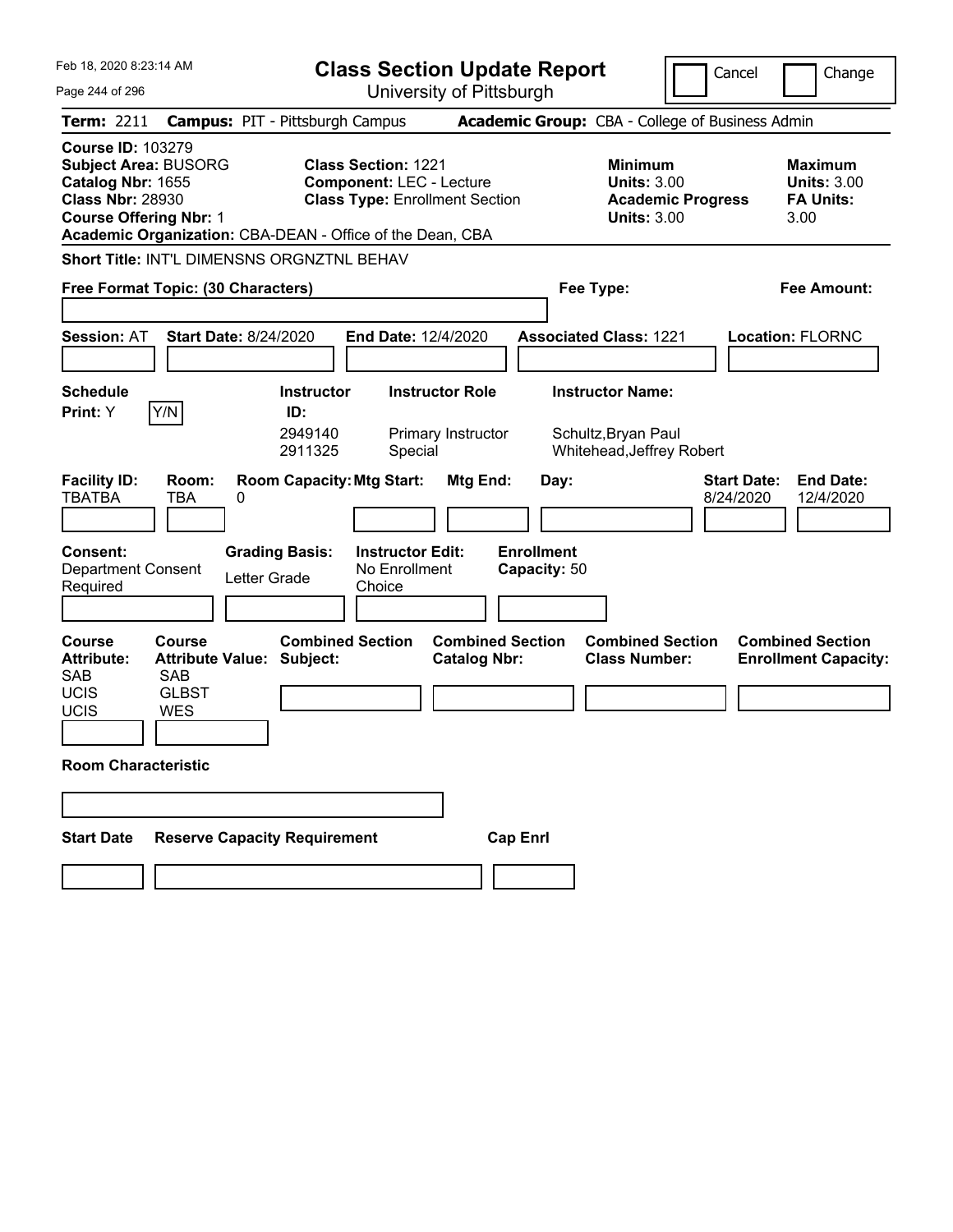| Feb 18, 2020 8:23:14 AM                                                                                                                                                                               | <b>Class Section Update Report</b>                                                                               | Cancel                                                                                 | Change                                                           |
|-------------------------------------------------------------------------------------------------------------------------------------------------------------------------------------------------------|------------------------------------------------------------------------------------------------------------------|----------------------------------------------------------------------------------------|------------------------------------------------------------------|
| Page 244 of 296                                                                                                                                                                                       | University of Pittsburgh                                                                                         |                                                                                        |                                                                  |
| <b>Term: 2211</b>                                                                                                                                                                                     | <b>Campus: PIT - Pittsburgh Campus</b>                                                                           | Academic Group: CBA - College of Business Admin                                        |                                                                  |
| <b>Course ID: 103279</b><br><b>Subject Area: BUSORG</b><br>Catalog Nbr: 1655<br><b>Class Nbr: 28930</b><br><b>Course Offering Nbr: 1</b><br>Academic Organization: CBA-DEAN - Office of the Dean, CBA | <b>Class Section: 1221</b><br><b>Component: LEC - Lecture</b><br><b>Class Type: Enrollment Section</b>           | <b>Minimum</b><br><b>Units: 3.00</b><br><b>Academic Progress</b><br><b>Units: 3.00</b> | <b>Maximum</b><br><b>Units: 3.00</b><br><b>FA Units:</b><br>3.00 |
| Short Title: INT'L DIMENSNS ORGNZTNL BEHAV                                                                                                                                                            |                                                                                                                  |                                                                                        |                                                                  |
| Free Format Topic: (30 Characters)                                                                                                                                                                    |                                                                                                                  | Fee Type:                                                                              | Fee Amount:                                                      |
| <b>Session: AT</b><br><b>Start Date: 8/24/2020</b>                                                                                                                                                    | End Date: 12/4/2020                                                                                              | <b>Associated Class: 1221</b>                                                          | <b>Location: FLORNC</b>                                          |
| <b>Schedule</b>                                                                                                                                                                                       | <b>Instructor Role</b><br><b>Instructor</b>                                                                      | <b>Instructor Name:</b>                                                                |                                                                  |
| Y/N<br>Print: Y                                                                                                                                                                                       | ID:<br>2949140<br>Primary Instructor<br>2911325<br>Special                                                       | Schultz, Bryan Paul<br>Whitehead, Jeffrey Robert                                       |                                                                  |
| <b>Facility ID:</b><br>Room:<br><b>TBATBA</b><br>TBA<br>0                                                                                                                                             | <b>Room Capacity: Mtg Start:</b><br>Mtg End:                                                                     | <b>Start Date:</b><br>Day:<br>8/24/2020                                                | <b>End Date:</b><br>12/4/2020                                    |
| <b>Consent:</b><br><b>Department Consent</b><br>Letter Grade<br>Required                                                                                                                              | <b>Enrollment</b><br><b>Grading Basis:</b><br><b>Instructor Edit:</b><br>No Enrollment<br>Capacity: 50<br>Choice |                                                                                        |                                                                  |
| <b>Course</b><br>Course<br><b>Attribute Value: Subject:</b><br><b>Attribute:</b><br><b>SAB</b><br><b>SAB</b><br><b>UCIS</b><br><b>GLBST</b><br>UCIS<br><b>WES</b>                                     | <b>Combined Section</b><br><b>Combined Section</b><br><b>Catalog Nbr:</b>                                        | <b>Combined Section</b><br><b>Class Number:</b>                                        | <b>Combined Section</b><br><b>Enrollment Capacity:</b>           |
| <b>Room Characteristic</b>                                                                                                                                                                            |                                                                                                                  |                                                                                        |                                                                  |
|                                                                                                                                                                                                       |                                                                                                                  |                                                                                        |                                                                  |
| <b>Reserve Capacity Requirement</b><br><b>Start Date</b>                                                                                                                                              | <b>Cap Enrl</b>                                                                                                  |                                                                                        |                                                                  |
|                                                                                                                                                                                                       |                                                                                                                  |                                                                                        |                                                                  |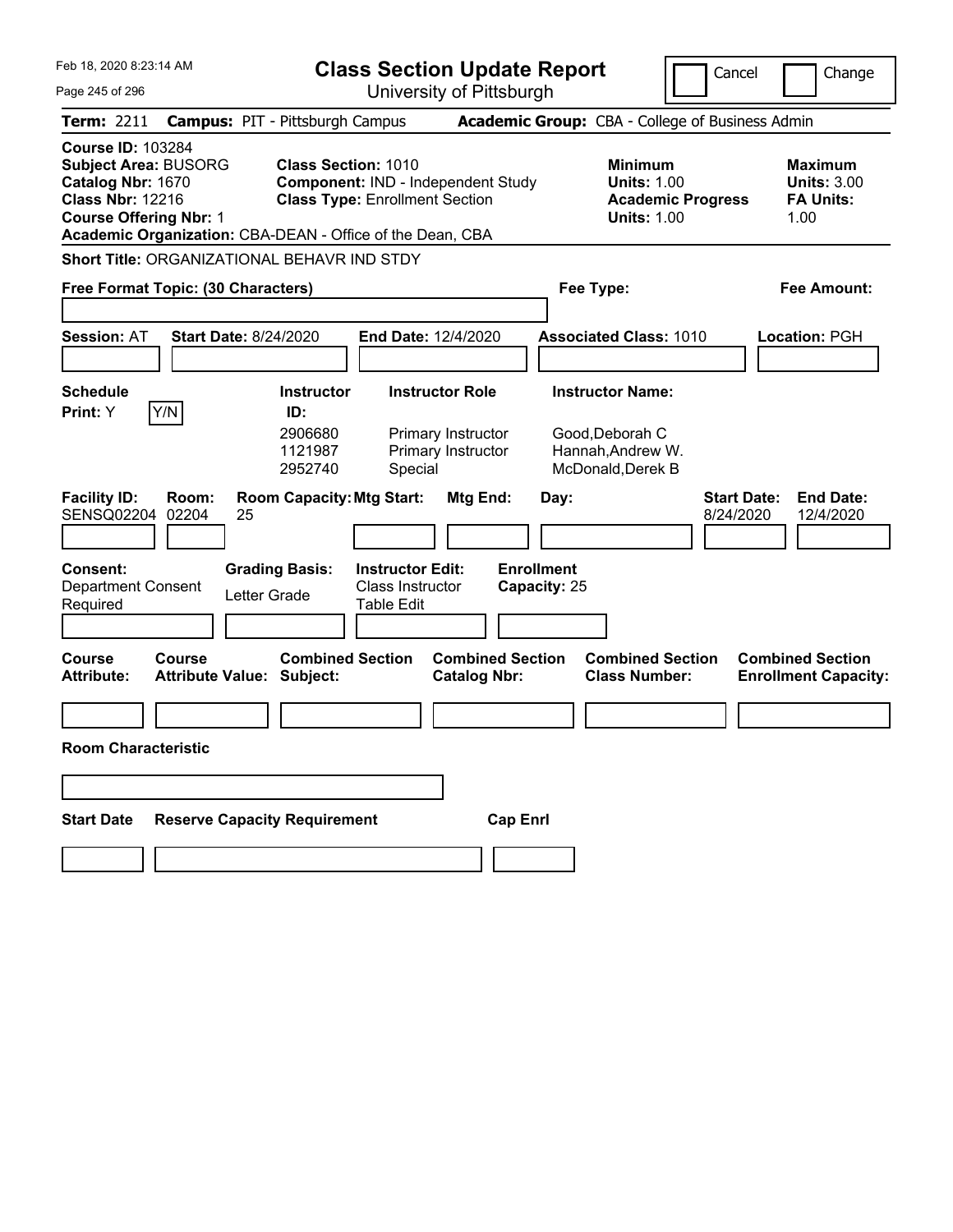| Feb 18, 2020 8:23:14 AM                                                                                                                  |                                            |                                                                                                                                  |                                                                         | <b>Class Section Update Report</b>                   |                                   |                                                            | Cancel                          | Change                                                           |
|------------------------------------------------------------------------------------------------------------------------------------------|--------------------------------------------|----------------------------------------------------------------------------------------------------------------------------------|-------------------------------------------------------------------------|------------------------------------------------------|-----------------------------------|------------------------------------------------------------|---------------------------------|------------------------------------------------------------------|
| Page 245 of 296                                                                                                                          |                                            |                                                                                                                                  |                                                                         | University of Pittsburgh                             |                                   |                                                            |                                 |                                                                  |
| <b>Term: 2211</b>                                                                                                                        |                                            | <b>Campus: PIT - Pittsburgh Campus</b>                                                                                           |                                                                         |                                                      |                                   | <b>Academic Group:</b> CBA - College of Business Admin     |                                 |                                                                  |
| <b>Course ID: 103284</b><br><b>Subject Area: BUSORG</b><br>Catalog Nbr: 1670<br><b>Class Nbr: 12216</b><br><b>Course Offering Nbr: 1</b> |                                            | <b>Class Section: 1010</b><br><b>Class Type: Enrollment Section</b><br>Academic Organization: CBA-DEAN - Office of the Dean, CBA |                                                                         | Component: IND - Independent Study                   |                                   | <b>Minimum</b><br><b>Units: 1.00</b><br><b>Units: 1.00</b> | <b>Academic Progress</b>        | <b>Maximum</b><br><b>Units: 3.00</b><br><b>FA Units:</b><br>1.00 |
|                                                                                                                                          |                                            | Short Title: ORGANIZATIONAL BEHAVR IND STDY                                                                                      |                                                                         |                                                      |                                   |                                                            |                                 |                                                                  |
| Free Format Topic: (30 Characters)                                                                                                       |                                            |                                                                                                                                  |                                                                         |                                                      |                                   | Fee Type:                                                  |                                 | Fee Amount:                                                      |
|                                                                                                                                          |                                            |                                                                                                                                  |                                                                         |                                                      |                                   |                                                            |                                 |                                                                  |
| <b>Session: AT</b>                                                                                                                       | <b>Start Date: 8/24/2020</b>               |                                                                                                                                  | <b>End Date: 12/4/2020</b>                                              |                                                      |                                   | <b>Associated Class: 1010</b>                              |                                 | Location: PGH                                                    |
|                                                                                                                                          |                                            |                                                                                                                                  |                                                                         |                                                      |                                   |                                                            |                                 |                                                                  |
| <b>Schedule</b><br><b>Print:</b> Y                                                                                                       | Y/N                                        | <b>Instructor</b><br>ID:                                                                                                         |                                                                         | <b>Instructor Role</b>                               |                                   | <b>Instructor Name:</b>                                    |                                 |                                                                  |
| <b>Facility ID:</b><br>SENSQ02204                                                                                                        | Room:<br>02204<br>25                       | 2906680<br>1121987<br>2952740<br><b>Room Capacity: Mtg Start:</b>                                                                | Special                                                                 | Primary Instructor<br>Primary Instructor<br>Mtg End: | Day:                              | Good, Deborah C<br>Hannah, Andrew W.<br>McDonald, Derek B  | <b>Start Date:</b><br>8/24/2020 | <b>End Date:</b><br>12/4/2020                                    |
|                                                                                                                                          |                                            |                                                                                                                                  |                                                                         |                                                      |                                   |                                                            |                                 |                                                                  |
| <b>Consent:</b><br><b>Department Consent</b><br>Required                                                                                 |                                            | <b>Grading Basis:</b><br>Letter Grade                                                                                            | <b>Instructor Edit:</b><br><b>Class Instructor</b><br><b>Table Edit</b> |                                                      | <b>Enrollment</b><br>Capacity: 25 |                                                            |                                 |                                                                  |
| <b>Course</b><br><b>Attribute:</b>                                                                                                       | Course<br><b>Attribute Value: Subject:</b> | <b>Combined Section</b>                                                                                                          |                                                                         | <b>Combined Section</b><br><b>Catalog Nbr:</b>       |                                   | <b>Combined Section</b><br><b>Class Number:</b>            |                                 | <b>Combined Section</b><br><b>Enrollment Capacity:</b>           |
|                                                                                                                                          |                                            |                                                                                                                                  |                                                                         |                                                      |                                   |                                                            |                                 |                                                                  |
| <b>Room Characteristic</b>                                                                                                               |                                            |                                                                                                                                  |                                                                         |                                                      |                                   |                                                            |                                 |                                                                  |
|                                                                                                                                          |                                            |                                                                                                                                  |                                                                         |                                                      |                                   |                                                            |                                 |                                                                  |
| <b>Start Date</b>                                                                                                                        |                                            | <b>Reserve Capacity Requirement</b>                                                                                              |                                                                         |                                                      | <b>Cap Enrl</b>                   |                                                            |                                 |                                                                  |
|                                                                                                                                          |                                            |                                                                                                                                  |                                                                         |                                                      |                                   |                                                            |                                 |                                                                  |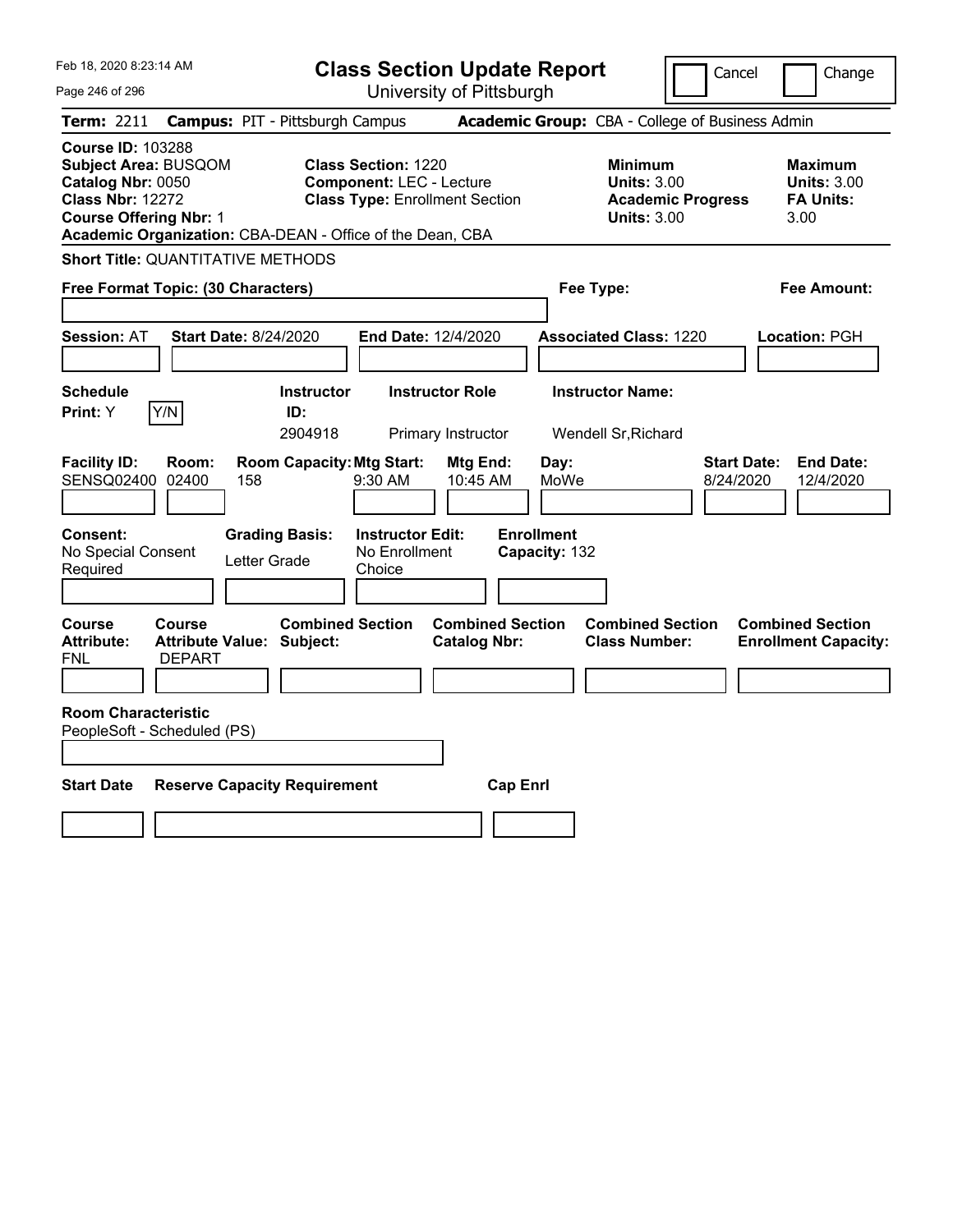| Feb 18, 2020 8:23:14 AM                                                                                                                  | <b>Class Section Update Report</b>                                                                                                                                  |                                                                                        | Cancel<br>Change                                                 |
|------------------------------------------------------------------------------------------------------------------------------------------|---------------------------------------------------------------------------------------------------------------------------------------------------------------------|----------------------------------------------------------------------------------------|------------------------------------------------------------------|
| Page 246 of 296                                                                                                                          | University of Pittsburgh                                                                                                                                            |                                                                                        |                                                                  |
| Term: 2211                                                                                                                               | <b>Campus: PIT - Pittsburgh Campus</b>                                                                                                                              | Academic Group: CBA - College of Business Admin                                        |                                                                  |
| <b>Course ID: 103288</b><br><b>Subject Area: BUSQOM</b><br>Catalog Nbr: 0050<br><b>Class Nbr: 12272</b><br><b>Course Offering Nbr: 1</b> | <b>Class Section: 1220</b><br><b>Component: LEC - Lecture</b><br><b>Class Type: Enrollment Section</b><br>Academic Organization: CBA-DEAN - Office of the Dean, CBA | <b>Minimum</b><br><b>Units: 3.00</b><br><b>Academic Progress</b><br><b>Units: 3.00</b> | <b>Maximum</b><br><b>Units: 3.00</b><br><b>FA Units:</b><br>3.00 |
| <b>Short Title: QUANTITATIVE METHODS</b>                                                                                                 |                                                                                                                                                                     |                                                                                        |                                                                  |
| Free Format Topic: (30 Characters)                                                                                                       |                                                                                                                                                                     | Fee Type:                                                                              | Fee Amount:                                                      |
| <b>Session: AT</b><br><b>Start Date: 8/24/2020</b>                                                                                       | End Date: 12/4/2020                                                                                                                                                 | <b>Associated Class: 1220</b>                                                          | Location: PGH                                                    |
| <b>Schedule</b><br>Y/N<br>Print: Y                                                                                                       | <b>Instructor</b><br><b>Instructor Role</b><br>ID:<br>2904918<br>Primary Instructor                                                                                 | <b>Instructor Name:</b><br>Wendell Sr, Richard                                         |                                                                  |
| <b>Facility ID:</b><br>Room:<br>SENSQ02400 02400                                                                                         | <b>Room Capacity: Mtg Start:</b><br>158<br>$9:30$ AM                                                                                                                | Mtg End:<br>Day:<br>10:45 AM<br>MoWe                                                   | <b>Start Date:</b><br><b>End Date:</b><br>8/24/2020<br>12/4/2020 |
| Consent:<br>No Special Consent<br>Required                                                                                               | <b>Grading Basis:</b><br><b>Instructor Edit:</b><br>No Enrollment<br>Letter Grade<br>Choice                                                                         | <b>Enrollment</b><br>Capacity: 132                                                     |                                                                  |
| Course<br>Course<br><b>Attribute:</b><br><b>DEPART</b><br>FNL                                                                            | <b>Combined Section</b><br><b>Attribute Value: Subject:</b><br><b>Catalog Nbr:</b>                                                                                  | <b>Combined Section</b><br><b>Combined Section</b><br><b>Class Number:</b>             | <b>Combined Section</b><br><b>Enrollment Capacity:</b>           |
|                                                                                                                                          |                                                                                                                                                                     |                                                                                        |                                                                  |
| <b>Room Characteristic</b><br>PeopleSoft - Scheduled (PS)                                                                                |                                                                                                                                                                     |                                                                                        |                                                                  |
| <b>Start Date</b>                                                                                                                        | <b>Reserve Capacity Requirement</b>                                                                                                                                 | <b>Cap Enrl</b>                                                                        |                                                                  |
|                                                                                                                                          |                                                                                                                                                                     |                                                                                        |                                                                  |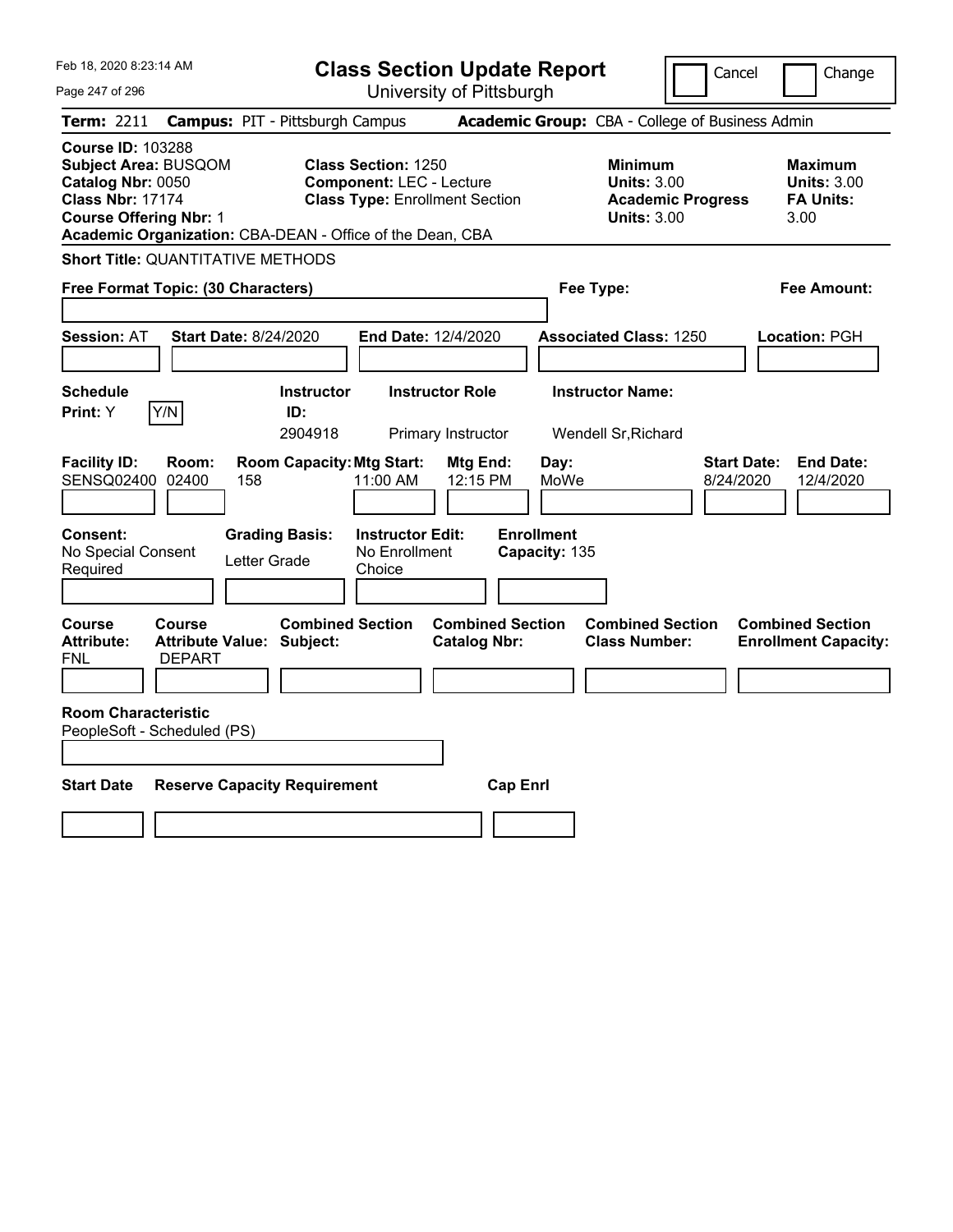| Feb 18, 2020 8:23:14 AM                                                                                                                  | <b>Class Section Update Report</b>                                                                                                                                  |                                                                                                   | Cancel<br>Change                                                                             |
|------------------------------------------------------------------------------------------------------------------------------------------|---------------------------------------------------------------------------------------------------------------------------------------------------------------------|---------------------------------------------------------------------------------------------------|----------------------------------------------------------------------------------------------|
| Page 247 of 296                                                                                                                          | University of Pittsburgh                                                                                                                                            |                                                                                                   |                                                                                              |
| Term: 2211                                                                                                                               | <b>Campus: PIT - Pittsburgh Campus</b>                                                                                                                              | Academic Group: CBA - College of Business Admin                                                   |                                                                                              |
| <b>Course ID: 103288</b><br><b>Subject Area: BUSQOM</b><br>Catalog Nbr: 0050<br><b>Class Nbr: 17174</b><br><b>Course Offering Nbr: 1</b> | <b>Class Section: 1250</b><br><b>Component: LEC - Lecture</b><br><b>Class Type: Enrollment Section</b><br>Academic Organization: CBA-DEAN - Office of the Dean, CBA | <b>Minimum</b><br><b>Units: 3.00</b><br><b>Units: 3.00</b>                                        | <b>Maximum</b><br><b>Units: 3.00</b><br><b>FA Units:</b><br><b>Academic Progress</b><br>3.00 |
| <b>Short Title: QUANTITATIVE METHODS</b>                                                                                                 |                                                                                                                                                                     |                                                                                                   |                                                                                              |
| Free Format Topic: (30 Characters)                                                                                                       |                                                                                                                                                                     | Fee Type:                                                                                         | Fee Amount:                                                                                  |
| <b>Session: AT</b><br><b>Start Date: 8/24/2020</b>                                                                                       | End Date: 12/4/2020                                                                                                                                                 | <b>Associated Class: 1250</b>                                                                     | Location: PGH                                                                                |
| <b>Schedule</b><br>Y/N<br>Print: Y                                                                                                       | <b>Instructor</b><br><b>Instructor Role</b><br>ID:<br>2904918<br>Primary Instructor                                                                                 | <b>Instructor Name:</b><br>Wendell Sr, Richard                                                    |                                                                                              |
| <b>Facility ID:</b><br>Room:<br>SENSQ02400 02400<br>158                                                                                  | <b>Room Capacity: Mtg Start:</b><br>11:00 AM                                                                                                                        | Mtg End:<br>Day:<br>12:15 PM<br>MoWe                                                              | <b>Start Date:</b><br><b>End Date:</b><br>8/24/2020<br>12/4/2020                             |
| Consent:<br>No Special Consent<br>Required                                                                                               | <b>Grading Basis:</b><br><b>Instructor Edit:</b><br>No Enrollment<br>Letter Grade<br>Choice                                                                         | <b>Enrollment</b><br>Capacity: 135                                                                |                                                                                              |
| Course<br><b>Course</b><br><b>Attribute:</b><br><b>Attribute Value: Subject:</b><br><b>DEPART</b><br>FNL                                 | <b>Combined Section</b>                                                                                                                                             | <b>Combined Section</b><br><b>Combined Section</b><br><b>Catalog Nbr:</b><br><b>Class Number:</b> | <b>Combined Section</b><br><b>Enrollment Capacity:</b>                                       |
|                                                                                                                                          |                                                                                                                                                                     |                                                                                                   |                                                                                              |
| <b>Room Characteristic</b><br>PeopleSoft - Scheduled (PS)                                                                                |                                                                                                                                                                     |                                                                                                   |                                                                                              |
| <b>Start Date</b>                                                                                                                        | <b>Reserve Capacity Requirement</b>                                                                                                                                 | <b>Cap Enrl</b>                                                                                   |                                                                                              |
|                                                                                                                                          |                                                                                                                                                                     |                                                                                                   |                                                                                              |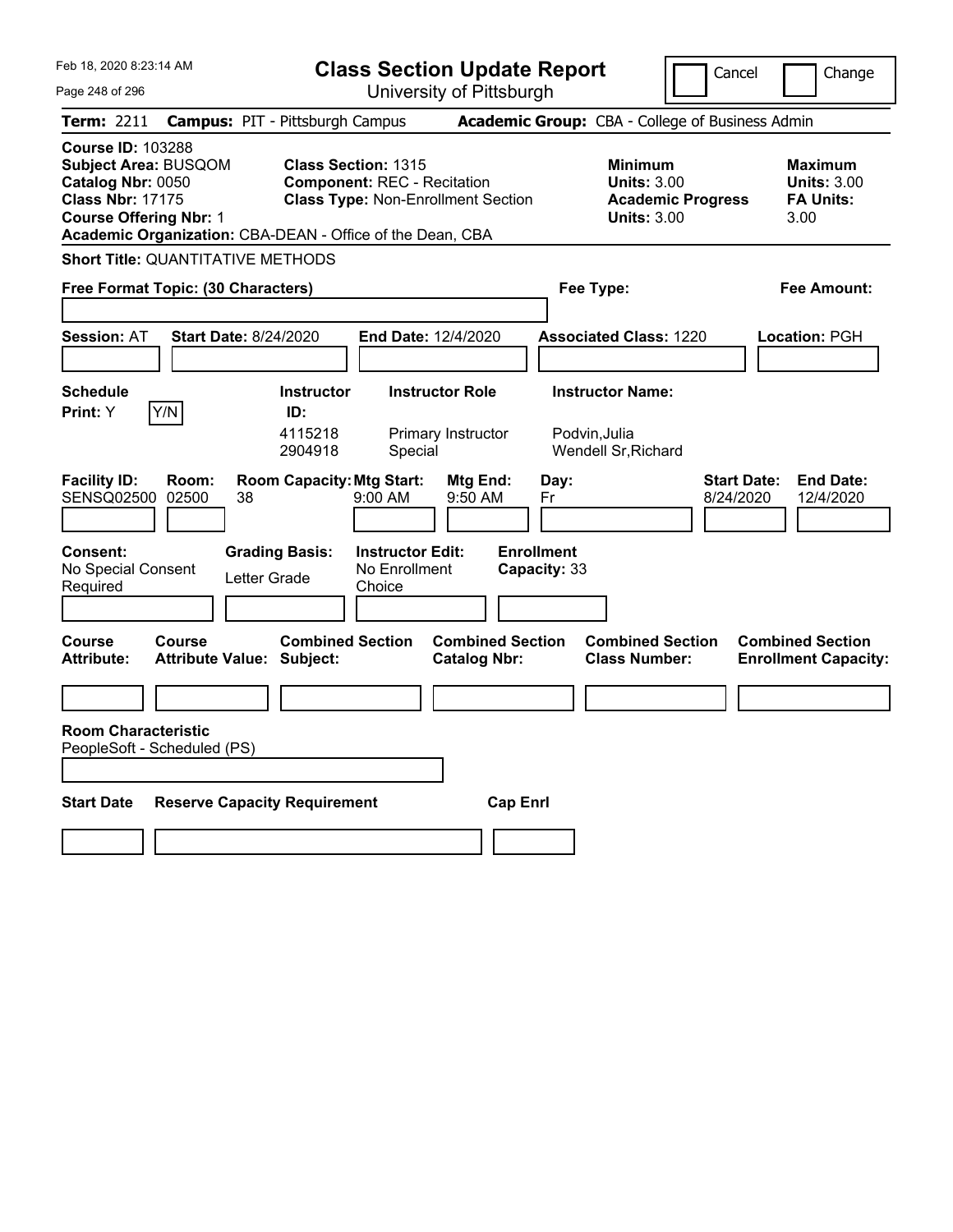| Feb 18, 2020 8:23:14 AM                                                                                                                                                                               | <b>Class Section Update Report</b>                                                                            |                                                                        | Cancel                          | Change                                                           |
|-------------------------------------------------------------------------------------------------------------------------------------------------------------------------------------------------------|---------------------------------------------------------------------------------------------------------------|------------------------------------------------------------------------|---------------------------------|------------------------------------------------------------------|
| Page 248 of 296                                                                                                                                                                                       | University of Pittsburgh                                                                                      |                                                                        |                                 |                                                                  |
| Term: 2211                                                                                                                                                                                            | <b>Campus: PIT - Pittsburgh Campus</b>                                                                        | Academic Group: CBA - College of Business Admin                        |                                 |                                                                  |
| <b>Course ID: 103288</b><br><b>Subject Area: BUSQOM</b><br>Catalog Nbr: 0050<br><b>Class Nbr: 17175</b><br><b>Course Offering Nbr: 1</b><br>Academic Organization: CBA-DEAN - Office of the Dean, CBA | <b>Class Section: 1315</b><br><b>Component: REC - Recitation</b><br><b>Class Type: Non-Enrollment Section</b> | <b>Minimum</b><br><b>Units: 3.00</b><br><b>Units: 3.00</b>             | <b>Academic Progress</b>        | <b>Maximum</b><br><b>Units: 3.00</b><br><b>FA Units:</b><br>3.00 |
| <b>Short Title: QUANTITATIVE METHODS</b>                                                                                                                                                              |                                                                                                               |                                                                        |                                 |                                                                  |
| Free Format Topic: (30 Characters)                                                                                                                                                                    |                                                                                                               | Fee Type:                                                              |                                 | Fee Amount:                                                      |
| <b>Start Date: 8/24/2020</b><br><b>Session: AT</b>                                                                                                                                                    | End Date: 12/4/2020                                                                                           | <b>Associated Class: 1220</b>                                          |                                 | Location: PGH                                                    |
| <b>Schedule</b>                                                                                                                                                                                       | <b>Instructor Role</b><br><b>Instructor</b>                                                                   | <b>Instructor Name:</b>                                                |                                 |                                                                  |
| Y/N<br><b>Print:</b> Y                                                                                                                                                                                | ID:<br>4115218<br>Primary Instructor<br>2904918<br>Special                                                    | Podvin,Julia<br>Wendell Sr, Richard                                    |                                 |                                                                  |
| <b>Facility ID:</b><br>Room:<br>SENSQ02500<br>02500<br>38                                                                                                                                             | <b>Room Capacity: Mtg Start:</b><br>9:00 AM<br>9:50 AM                                                        | Mtg End:<br>Day:<br>Fr                                                 | <b>Start Date:</b><br>8/24/2020 | <b>End Date:</b><br>12/4/2020                                    |
| Consent:<br>No Special Consent<br>Letter Grade<br>Required                                                                                                                                            | <b>Grading Basis:</b><br><b>Instructor Edit:</b><br>No Enrollment<br>Choice                                   | <b>Enrollment</b><br>Capacity: 33                                      |                                 |                                                                  |
| Course<br>Course<br><b>Attribute:</b><br>Attribute Value: Subject:                                                                                                                                    | <b>Combined Section</b>                                                                                       | <b>Combined Section</b><br><b>Catalog Nbr:</b><br><b>Class Number:</b> | <b>Combined Section</b>         | <b>Combined Section</b><br><b>Enrollment Capacity:</b>           |
|                                                                                                                                                                                                       |                                                                                                               |                                                                        |                                 |                                                                  |
| <b>Room Characteristic</b><br>PeopleSoft - Scheduled (PS)                                                                                                                                             |                                                                                                               |                                                                        |                                 |                                                                  |
| <b>Start Date</b><br><b>Reserve Capacity Requirement</b>                                                                                                                                              |                                                                                                               | <b>Cap Enri</b>                                                        |                                 |                                                                  |
|                                                                                                                                                                                                       |                                                                                                               |                                                                        |                                 |                                                                  |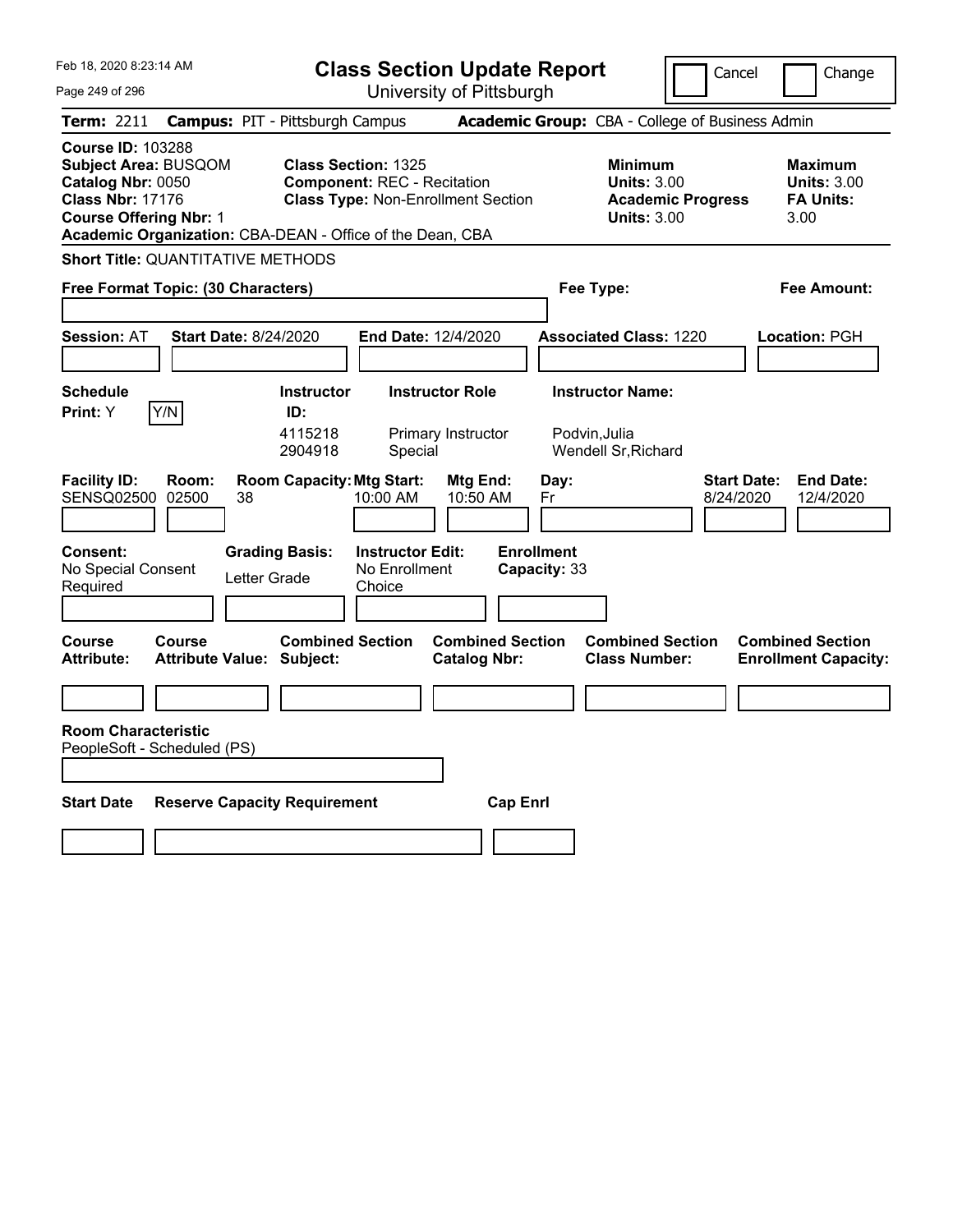| Feb 18, 2020 8:23:14 AM                                                                                                                                                                               | <b>Class Section Update Report</b>                                                                            |                                                                            | Change<br>Cancel                                                                             |
|-------------------------------------------------------------------------------------------------------------------------------------------------------------------------------------------------------|---------------------------------------------------------------------------------------------------------------|----------------------------------------------------------------------------|----------------------------------------------------------------------------------------------|
| Page 249 of 296                                                                                                                                                                                       | University of Pittsburgh                                                                                      |                                                                            |                                                                                              |
| Term: 2211                                                                                                                                                                                            | <b>Campus: PIT - Pittsburgh Campus</b>                                                                        | Academic Group: CBA - College of Business Admin                            |                                                                                              |
| <b>Course ID: 103288</b><br><b>Subject Area: BUSQOM</b><br>Catalog Nbr: 0050<br><b>Class Nbr: 17176</b><br><b>Course Offering Nbr: 1</b><br>Academic Organization: CBA-DEAN - Office of the Dean, CBA | <b>Class Section: 1325</b><br><b>Component: REC - Recitation</b><br><b>Class Type: Non-Enrollment Section</b> | <b>Minimum</b><br><b>Units: 3.00</b><br><b>Units: 3.00</b>                 | <b>Maximum</b><br><b>Units: 3.00</b><br><b>Academic Progress</b><br><b>FA Units:</b><br>3.00 |
| <b>Short Title: QUANTITATIVE METHODS</b>                                                                                                                                                              |                                                                                                               |                                                                            |                                                                                              |
| Free Format Topic: (30 Characters)                                                                                                                                                                    |                                                                                                               | Fee Type:                                                                  | Fee Amount:                                                                                  |
| <b>Start Date: 8/24/2020</b><br><b>Session: AT</b>                                                                                                                                                    | <b>End Date: 12/4/2020</b>                                                                                    | <b>Associated Class: 1220</b>                                              | <b>Location: PGH</b>                                                                         |
| <b>Schedule</b>                                                                                                                                                                                       | <b>Instructor</b><br><b>Instructor Role</b>                                                                   | <b>Instructor Name:</b>                                                    |                                                                                              |
| Y/N<br>Print: Y                                                                                                                                                                                       | ID:<br>4115218<br>Primary Instructor<br>2904918<br>Special                                                    | Podvin, Julia<br>Wendell Sr, Richard                                       |                                                                                              |
| <b>Facility ID:</b><br>Room:<br>SENSQ02500<br>02500<br>38                                                                                                                                             | <b>Room Capacity: Mtg Start:</b><br><b>Mtg End:</b><br>10:00 AM<br>10:50 AM                                   | Day:<br>Fr                                                                 | <b>Start Date:</b><br><b>End Date:</b><br>8/24/2020<br>12/4/2020                             |
| <b>Consent:</b><br><b>Grading Basis:</b><br>No Special Consent<br>Letter Grade<br>Required                                                                                                            | <b>Instructor Edit:</b><br>No Enrollment<br>Choice                                                            | <b>Enrollment</b><br>Capacity: 33                                          |                                                                                              |
| Course<br>Course<br><b>Attribute:</b><br>Attribute Value: Subject:                                                                                                                                    | <b>Combined Section</b><br><b>Catalog Nbr:</b>                                                                | <b>Combined Section</b><br><b>Combined Section</b><br><b>Class Number:</b> | <b>Combined Section</b><br><b>Enrollment Capacity:</b>                                       |
|                                                                                                                                                                                                       |                                                                                                               |                                                                            |                                                                                              |
| <b>Room Characteristic</b><br>PeopleSoft - Scheduled (PS)                                                                                                                                             |                                                                                                               |                                                                            |                                                                                              |
| <b>Start Date</b><br><b>Reserve Capacity Requirement</b>                                                                                                                                              |                                                                                                               | <b>Cap Enri</b>                                                            |                                                                                              |
|                                                                                                                                                                                                       |                                                                                                               |                                                                            |                                                                                              |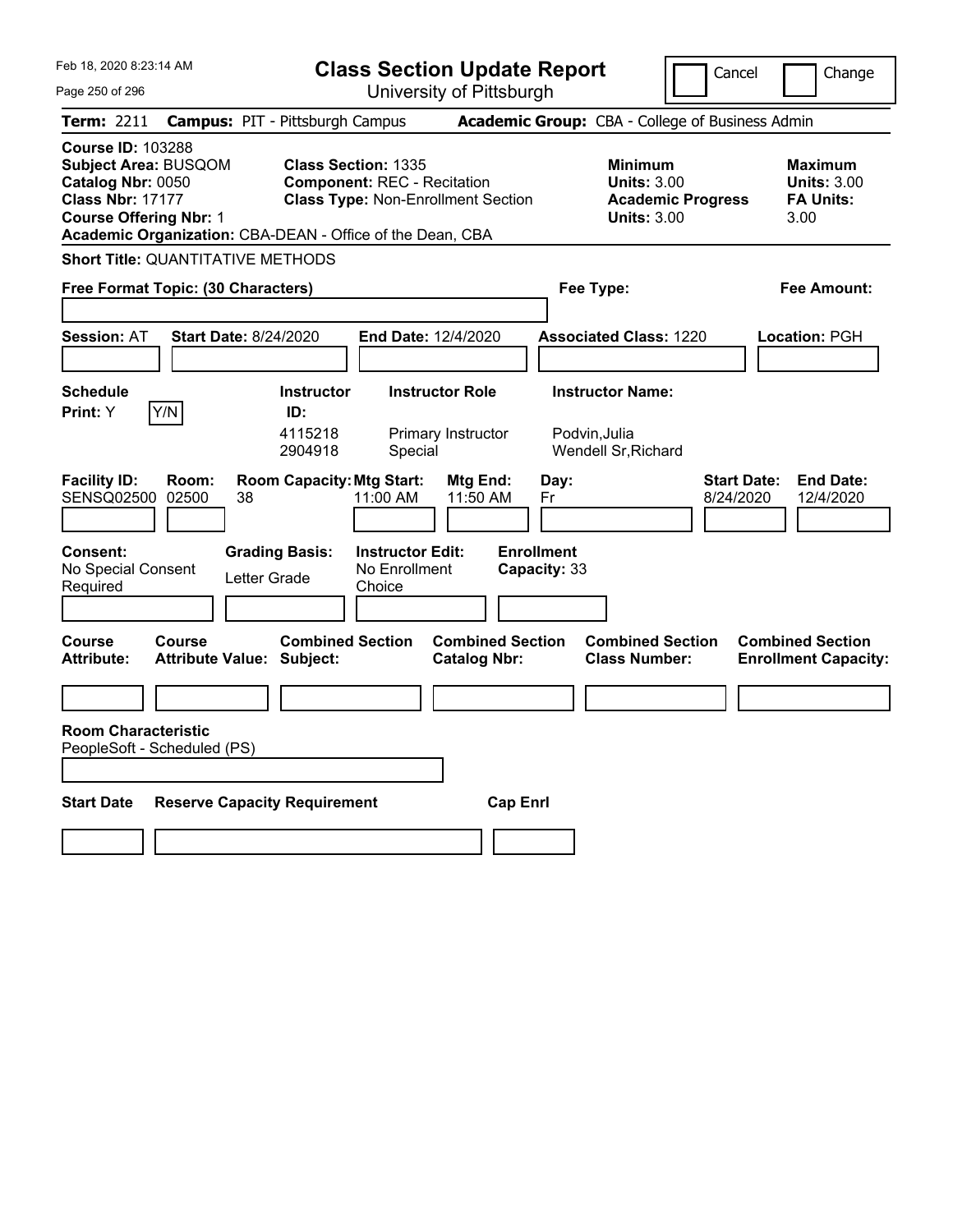| Feb 18, 2020 8:23:14 AM                                                                                                                                                                        | <b>Class Section Update Report</b>                                                                            |                                                            | Cancel                          | Change                                                    |
|------------------------------------------------------------------------------------------------------------------------------------------------------------------------------------------------|---------------------------------------------------------------------------------------------------------------|------------------------------------------------------------|---------------------------------|-----------------------------------------------------------|
| Page 250 of 296                                                                                                                                                                                | University of Pittsburgh                                                                                      |                                                            |                                 |                                                           |
| <b>Term: 2211</b>                                                                                                                                                                              | <b>Campus: PIT - Pittsburgh Campus</b>                                                                        | Academic Group: CBA - College of Business Admin            |                                 |                                                           |
| <b>Course ID: 103288</b><br>Subject Area: BUSQOM<br>Catalog Nbr: 0050<br><b>Class Nbr: 17177</b><br><b>Course Offering Nbr: 1</b><br>Academic Organization: CBA-DEAN - Office of the Dean, CBA | <b>Class Section: 1335</b><br><b>Component: REC - Recitation</b><br><b>Class Type: Non-Enrollment Section</b> | <b>Minimum</b><br><b>Units: 3.00</b><br><b>Units: 3.00</b> | <b>Academic Progress</b>        | Maximum<br><b>Units: 3.00</b><br><b>FA Units:</b><br>3.00 |
| <b>Short Title: QUANTITATIVE METHODS</b>                                                                                                                                                       |                                                                                                               |                                                            |                                 |                                                           |
| Free Format Topic: (30 Characters)                                                                                                                                                             |                                                                                                               | Fee Type:                                                  |                                 | Fee Amount:                                               |
| <b>Session: AT</b><br><b>Start Date: 8/24/2020</b>                                                                                                                                             | End Date: 12/4/2020                                                                                           | <b>Associated Class: 1220</b>                              |                                 | Location: PGH                                             |
| <b>Schedule</b>                                                                                                                                                                                | <b>Instructor Role</b><br><b>Instructor</b>                                                                   | <b>Instructor Name:</b>                                    |                                 |                                                           |
| Y/N<br>Print: Y                                                                                                                                                                                | ID:<br>4115218<br>Primary Instructor<br>2904918<br>Special                                                    | Podvin, Julia<br>Wendell Sr, Richard                       |                                 |                                                           |
| <b>Facility ID:</b><br>Room:<br><b>SENSQ02500</b><br>02500<br>38                                                                                                                               | <b>Room Capacity: Mtg Start:</b><br>11:00 AM                                                                  | Mtg End:<br>Day:<br>11:50 AM<br>Fr                         | <b>Start Date:</b><br>8/24/2020 | <b>End Date:</b><br>12/4/2020                             |
| <b>Consent:</b><br>No Special Consent<br>Letter Grade<br>Required                                                                                                                              | <b>Grading Basis:</b><br><b>Instructor Edit:</b><br>No Enrollment<br>Choice                                   | <b>Enrollment</b><br>Capacity: 33                          |                                 |                                                           |
|                                                                                                                                                                                                |                                                                                                               |                                                            |                                 |                                                           |
| Course<br>Course<br><b>Attribute:</b><br><b>Attribute Value: Subject:</b>                                                                                                                      | <b>Combined Section</b><br><b>Catalog Nbr:</b>                                                                | <b>Combined Section</b><br><b>Class Number:</b>            | <b>Combined Section</b>         | <b>Combined Section</b><br><b>Enrollment Capacity:</b>    |
|                                                                                                                                                                                                |                                                                                                               |                                                            |                                 |                                                           |
| <b>Room Characteristic</b><br>PeopleSoft - Scheduled (PS)                                                                                                                                      |                                                                                                               |                                                            |                                 |                                                           |
| <b>Start Date</b><br><b>Reserve Capacity Requirement</b>                                                                                                                                       |                                                                                                               | <b>Cap Enrl</b>                                            |                                 |                                                           |
|                                                                                                                                                                                                |                                                                                                               |                                                            |                                 |                                                           |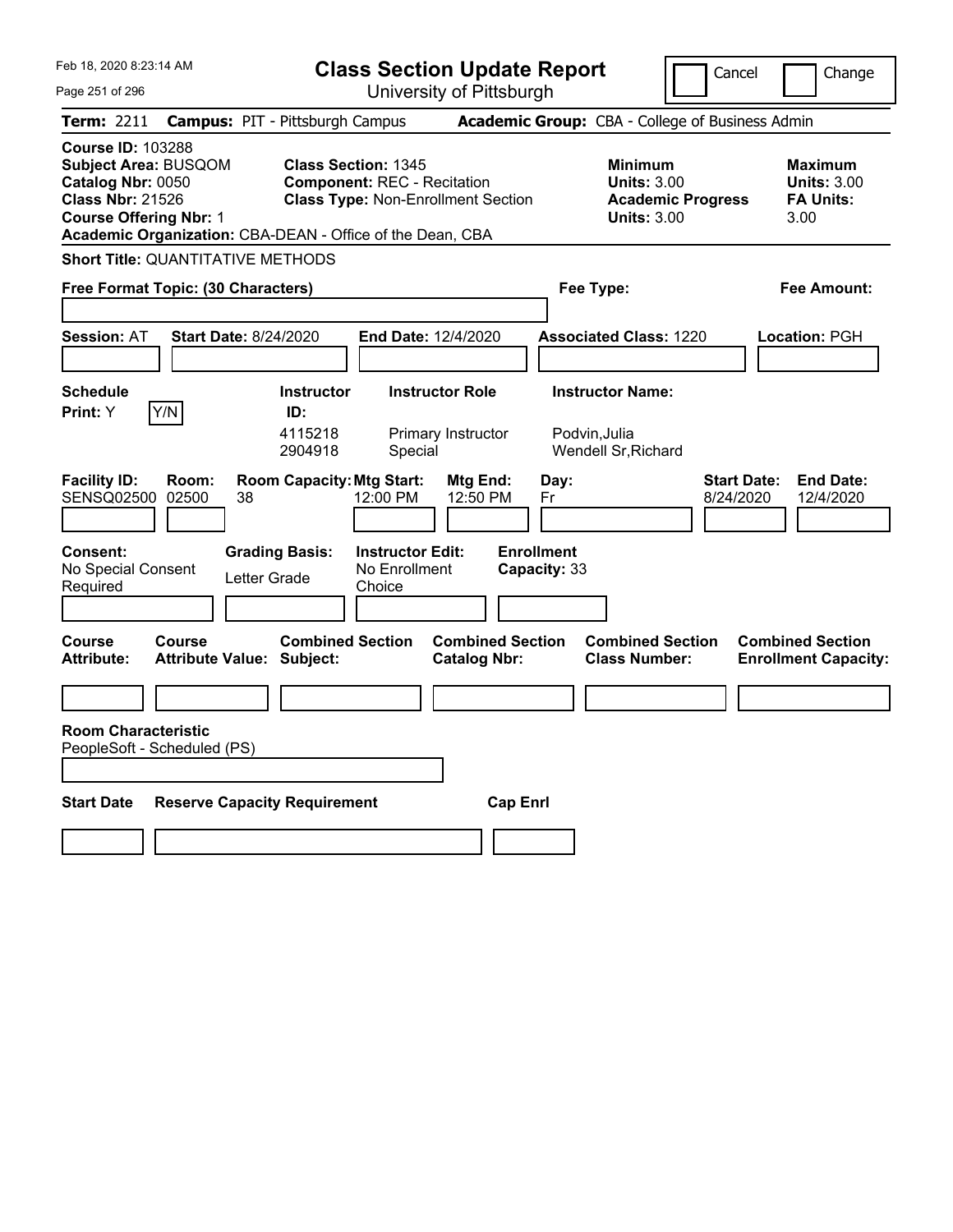| Feb 18, 2020 8:23:14 AM<br>Page 251 of 296                                                                                               | <b>Class Section Update Report</b><br>University of Pittsburgh                                                                                                             |                                                                 | Cancel                                                               | Change                                                           |
|------------------------------------------------------------------------------------------------------------------------------------------|----------------------------------------------------------------------------------------------------------------------------------------------------------------------------|-----------------------------------------------------------------|----------------------------------------------------------------------|------------------------------------------------------------------|
| Term: 2211                                                                                                                               | <b>Campus: PIT - Pittsburgh Campus</b>                                                                                                                                     | Academic Group: CBA - College of Business Admin                 |                                                                      |                                                                  |
| <b>Course ID: 103288</b><br><b>Subject Area: BUSQOM</b><br>Catalog Nbr: 0050<br><b>Class Nbr: 21526</b><br><b>Course Offering Nbr: 1</b> | <b>Class Section: 1345</b><br><b>Component: REC - Recitation</b><br><b>Class Type: Non-Enrollment Section</b><br>Academic Organization: CBA-DEAN - Office of the Dean, CBA | <b>Minimum</b>                                                  | <b>Units: 3.00</b><br><b>Academic Progress</b><br><b>Units: 3.00</b> | <b>Maximum</b><br><b>Units: 3.00</b><br><b>FA Units:</b><br>3.00 |
| <b>Short Title: QUANTITATIVE METHODS</b>                                                                                                 |                                                                                                                                                                            |                                                                 |                                                                      |                                                                  |
| Free Format Topic: (30 Characters)                                                                                                       |                                                                                                                                                                            | Fee Type:                                                       |                                                                      | Fee Amount:                                                      |
| <b>Session: AT</b><br><b>Start Date: 8/24/2020</b>                                                                                       | End Date: 12/4/2020                                                                                                                                                        | <b>Associated Class: 1220</b>                                   |                                                                      | Location: PGH                                                    |
| <b>Schedule</b><br>Y/N<br>Print: Y                                                                                                       | <b>Instructor Role</b><br><b>Instructor</b><br>ID:<br>4115218<br>Primary Instructor<br>2904918<br>Special                                                                  | <b>Instructor Name:</b><br>Podvin, Julia<br>Wendell Sr, Richard |                                                                      |                                                                  |
| <b>Facility ID:</b><br>Room:<br>SENSQ02500<br>02500<br>38                                                                                | <b>Room Capacity: Mtg Start:</b><br>Mtg End:<br>12:00 PM<br>12:50 PM                                                                                                       | Day:<br>Fr                                                      | <b>Start Date:</b><br>8/24/2020                                      | <b>End Date:</b><br>12/4/2020                                    |
| <b>Consent:</b><br>No Special Consent<br>Letter Grade<br>Required                                                                        | <b>Grading Basis:</b><br><b>Instructor Edit:</b><br>No Enrollment<br>Choice                                                                                                | <b>Enrollment</b><br>Capacity: 33                               |                                                                      |                                                                  |
| <b>Course</b><br><b>Course</b><br><b>Attribute:</b><br><b>Attribute Value: Subject:</b>                                                  | <b>Combined Section</b><br><b>Catalog Nbr:</b>                                                                                                                             | <b>Combined Section</b><br><b>Class Number:</b>                 | <b>Combined Section</b>                                              | <b>Combined Section</b><br><b>Enrollment Capacity:</b>           |
|                                                                                                                                          |                                                                                                                                                                            |                                                                 |                                                                      |                                                                  |
| <b>Room Characteristic</b><br>PeopleSoft - Scheduled (PS)                                                                                |                                                                                                                                                                            |                                                                 |                                                                      |                                                                  |
| <b>Reserve Capacity Requirement</b><br><b>Start Date</b>                                                                                 |                                                                                                                                                                            | <b>Cap Enrl</b>                                                 |                                                                      |                                                                  |
|                                                                                                                                          |                                                                                                                                                                            |                                                                 |                                                                      |                                                                  |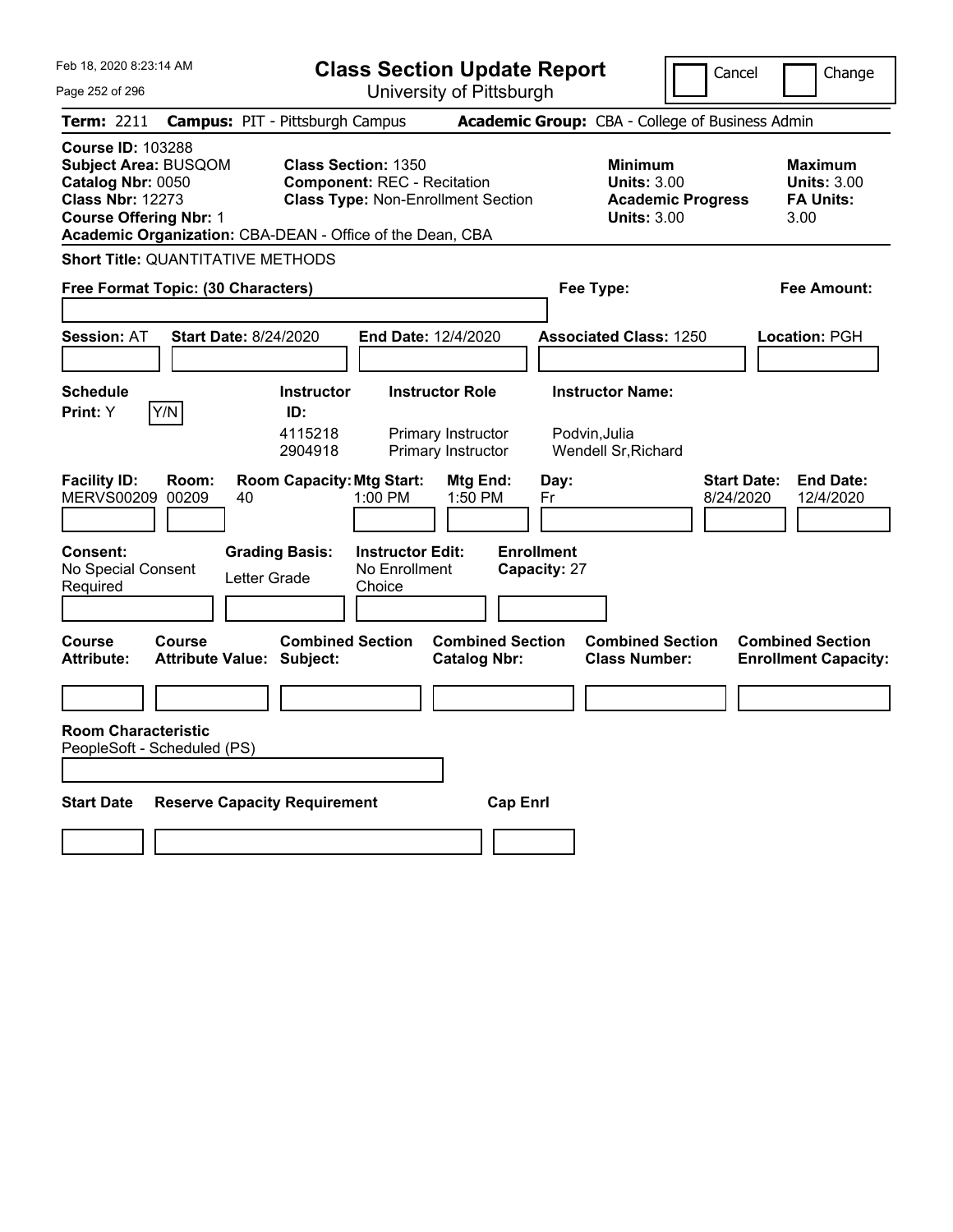| Feb 18, 2020 8:23:14 AM                                                                                                                                                                               | <b>Class Section Update Report</b>                                                                            |                                                |                                                                                        | Cancel<br>Change                                                 |
|-------------------------------------------------------------------------------------------------------------------------------------------------------------------------------------------------------|---------------------------------------------------------------------------------------------------------------|------------------------------------------------|----------------------------------------------------------------------------------------|------------------------------------------------------------------|
| Page 252 of 296                                                                                                                                                                                       | University of Pittsburgh                                                                                      |                                                |                                                                                        |                                                                  |
| <b>Term: 2211</b>                                                                                                                                                                                     | <b>Campus: PIT - Pittsburgh Campus</b>                                                                        |                                                | Academic Group: CBA - College of Business Admin                                        |                                                                  |
| <b>Course ID: 103288</b><br><b>Subject Area: BUSQOM</b><br>Catalog Nbr: 0050<br><b>Class Nbr: 12273</b><br><b>Course Offering Nbr: 1</b><br>Academic Organization: CBA-DEAN - Office of the Dean, CBA | <b>Class Section: 1350</b><br><b>Component: REC - Recitation</b><br><b>Class Type: Non-Enrollment Section</b> |                                                | <b>Minimum</b><br><b>Units: 3.00</b><br><b>Academic Progress</b><br><b>Units: 3.00</b> | <b>Maximum</b><br><b>Units: 3.00</b><br><b>FA Units:</b><br>3.00 |
| <b>Short Title: QUANTITATIVE METHODS</b>                                                                                                                                                              |                                                                                                               |                                                |                                                                                        |                                                                  |
| Free Format Topic: (30 Characters)                                                                                                                                                                    |                                                                                                               | Fee Type:                                      |                                                                                        | Fee Amount:                                                      |
| <b>Start Date: 8/24/2020</b><br><b>Session: AT</b>                                                                                                                                                    | <b>End Date: 12/4/2020</b>                                                                                    |                                                | <b>Associated Class: 1250</b>                                                          | Location: PGH                                                    |
| <b>Schedule</b>                                                                                                                                                                                       | <b>Instructor Role</b><br><b>Instructor</b>                                                                   |                                                | <b>Instructor Name:</b>                                                                |                                                                  |
| Y/N<br>Print: Y                                                                                                                                                                                       | ID:                                                                                                           |                                                |                                                                                        |                                                                  |
|                                                                                                                                                                                                       | 4115218<br>Primary Instructor<br>2904918<br>Primary Instructor                                                | Podvin, Julia                                  | Wendell Sr, Richard                                                                    |                                                                  |
| <b>Facility ID:</b><br>Room:<br><b>MERVS00209</b><br>00209<br>40                                                                                                                                      | <b>Room Capacity: Mtg Start:</b><br>1:00 PM                                                                   | Mtg End:<br>Day:<br>1:50 PM<br>Fr              |                                                                                        | <b>Start Date:</b><br><b>End Date:</b><br>8/24/2020<br>12/4/2020 |
| Consent:<br>No Special Consent<br>Letter Grade<br>Required                                                                                                                                            | <b>Grading Basis:</b><br><b>Instructor Edit:</b><br>No Enrollment<br>Choice                                   | <b>Enrollment</b><br>Capacity: 27              |                                                                                        |                                                                  |
|                                                                                                                                                                                                       |                                                                                                               |                                                |                                                                                        |                                                                  |
| <b>Course</b><br><b>Course</b><br><b>Attribute:</b><br><b>Attribute Value: Subject:</b>                                                                                                               | <b>Combined Section</b>                                                                                       | <b>Combined Section</b><br><b>Catalog Nbr:</b> | <b>Combined Section</b><br><b>Class Number:</b>                                        | <b>Combined Section</b><br><b>Enrollment Capacity:</b>           |
|                                                                                                                                                                                                       |                                                                                                               |                                                |                                                                                        |                                                                  |
| <b>Room Characteristic</b><br>PeopleSoft - Scheduled (PS)                                                                                                                                             |                                                                                                               |                                                |                                                                                        |                                                                  |
|                                                                                                                                                                                                       |                                                                                                               |                                                |                                                                                        |                                                                  |
| <b>Start Date</b><br><b>Reserve Capacity Requirement</b>                                                                                                                                              |                                                                                                               | <b>Cap Enri</b>                                |                                                                                        |                                                                  |
|                                                                                                                                                                                                       |                                                                                                               |                                                |                                                                                        |                                                                  |
|                                                                                                                                                                                                       |                                                                                                               |                                                |                                                                                        |                                                                  |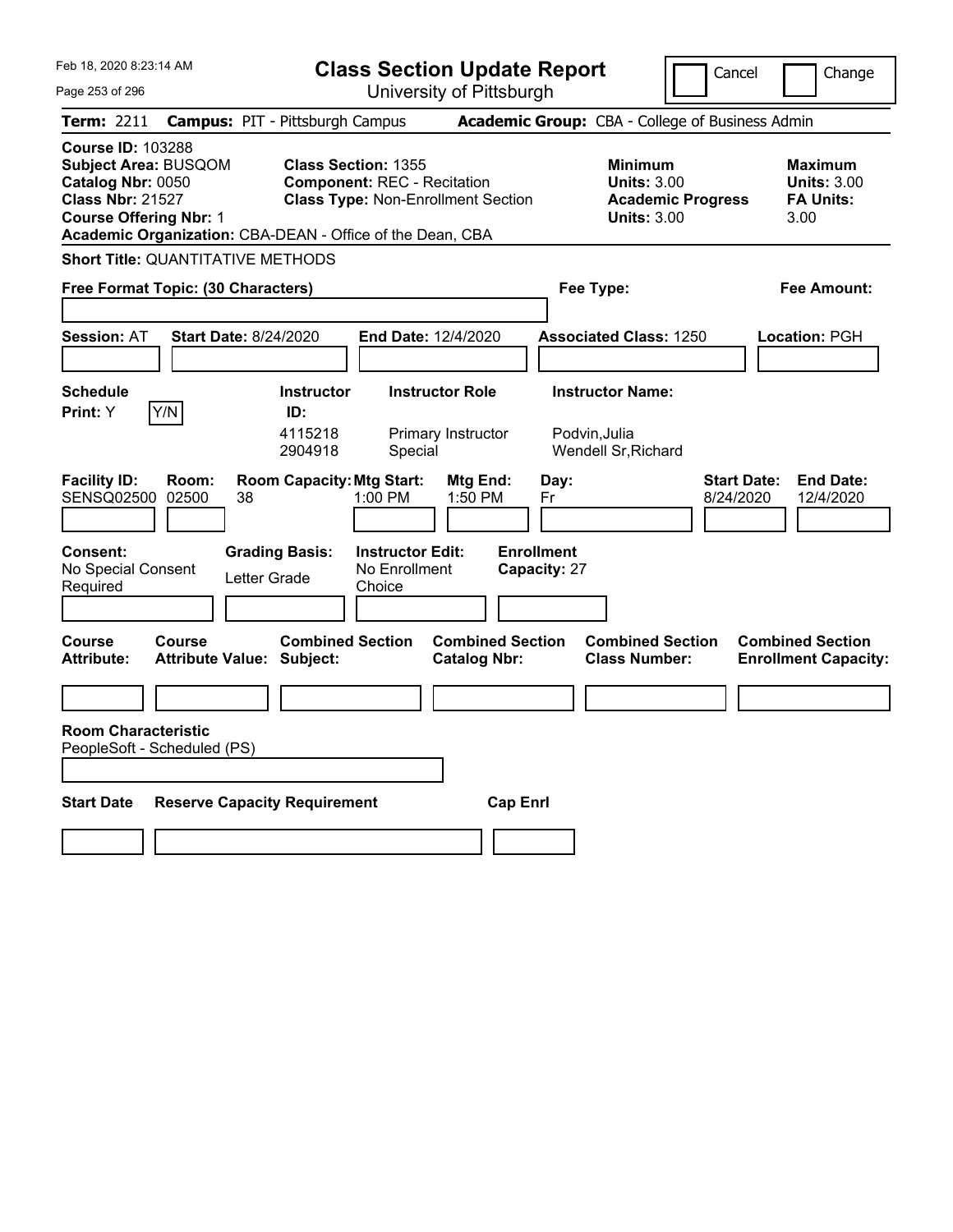| Feb 18, 2020 8:23:14 AM                                                                                                                                                                               | <b>Class Section Update Report</b>                                                                            |                                                                            | Cancel                          | Change                                                    |
|-------------------------------------------------------------------------------------------------------------------------------------------------------------------------------------------------------|---------------------------------------------------------------------------------------------------------------|----------------------------------------------------------------------------|---------------------------------|-----------------------------------------------------------|
| Page 253 of 296                                                                                                                                                                                       | University of Pittsburgh                                                                                      |                                                                            |                                 |                                                           |
| <b>Term: 2211</b>                                                                                                                                                                                     | <b>Campus: PIT - Pittsburgh Campus</b>                                                                        | Academic Group: CBA - College of Business Admin                            |                                 |                                                           |
| <b>Course ID: 103288</b><br><b>Subject Area: BUSQOM</b><br>Catalog Nbr: 0050<br><b>Class Nbr: 21527</b><br><b>Course Offering Nbr: 1</b><br>Academic Organization: CBA-DEAN - Office of the Dean, CBA | <b>Class Section: 1355</b><br><b>Component: REC - Recitation</b><br><b>Class Type: Non-Enrollment Section</b> | <b>Minimum</b><br><b>Units: 3.00</b><br><b>Units: 3.00</b>                 | <b>Academic Progress</b>        | Maximum<br><b>Units: 3.00</b><br><b>FA Units:</b><br>3.00 |
| <b>Short Title: QUANTITATIVE METHODS</b>                                                                                                                                                              |                                                                                                               |                                                                            |                                 |                                                           |
| Free Format Topic: (30 Characters)                                                                                                                                                                    |                                                                                                               | Fee Type:                                                                  |                                 | Fee Amount:                                               |
| <b>Session: AT</b><br><b>Start Date: 8/24/2020</b>                                                                                                                                                    | End Date: 12/4/2020                                                                                           | <b>Associated Class: 1250</b>                                              |                                 | Location: PGH                                             |
| <b>Schedule</b><br>Y/N<br>Print: Y                                                                                                                                                                    | <b>Instructor Role</b><br><b>Instructor</b><br>ID:<br>4115218<br>Primary Instructor<br>2904918<br>Special     | <b>Instructor Name:</b><br>Podvin, Julia<br>Wendell Sr, Richard            |                                 |                                                           |
| <b>Facility ID:</b><br>Room:<br><b>SENSQ02500</b><br>02500<br>38                                                                                                                                      | <b>Room Capacity: Mtg Start:</b><br>Mtg End:<br>1:00 PM<br>1:50 PM                                            | Day:<br>Fr                                                                 | <b>Start Date:</b><br>8/24/2020 | <b>End Date:</b><br>12/4/2020                             |
| <b>Consent:</b><br>No Special Consent<br>Letter Grade<br>Required                                                                                                                                     | <b>Grading Basis:</b><br><b>Instructor Edit:</b><br>No Enrollment<br>Choice                                   | <b>Enrollment</b><br>Capacity: 27                                          |                                 |                                                           |
| <b>Course</b><br>Course<br><b>Attribute:</b><br><b>Attribute Value: Subject:</b>                                                                                                                      | <b>Combined Section</b><br><b>Catalog Nbr:</b>                                                                | <b>Combined Section</b><br><b>Combined Section</b><br><b>Class Number:</b> |                                 | <b>Combined Section</b><br><b>Enrollment Capacity:</b>    |
|                                                                                                                                                                                                       |                                                                                                               |                                                                            |                                 |                                                           |
| <b>Room Characteristic</b><br>PeopleSoft - Scheduled (PS)                                                                                                                                             |                                                                                                               |                                                                            |                                 |                                                           |
| <b>Start Date</b><br><b>Reserve Capacity Requirement</b>                                                                                                                                              |                                                                                                               | <b>Cap Enrl</b>                                                            |                                 |                                                           |
|                                                                                                                                                                                                       |                                                                                                               |                                                                            |                                 |                                                           |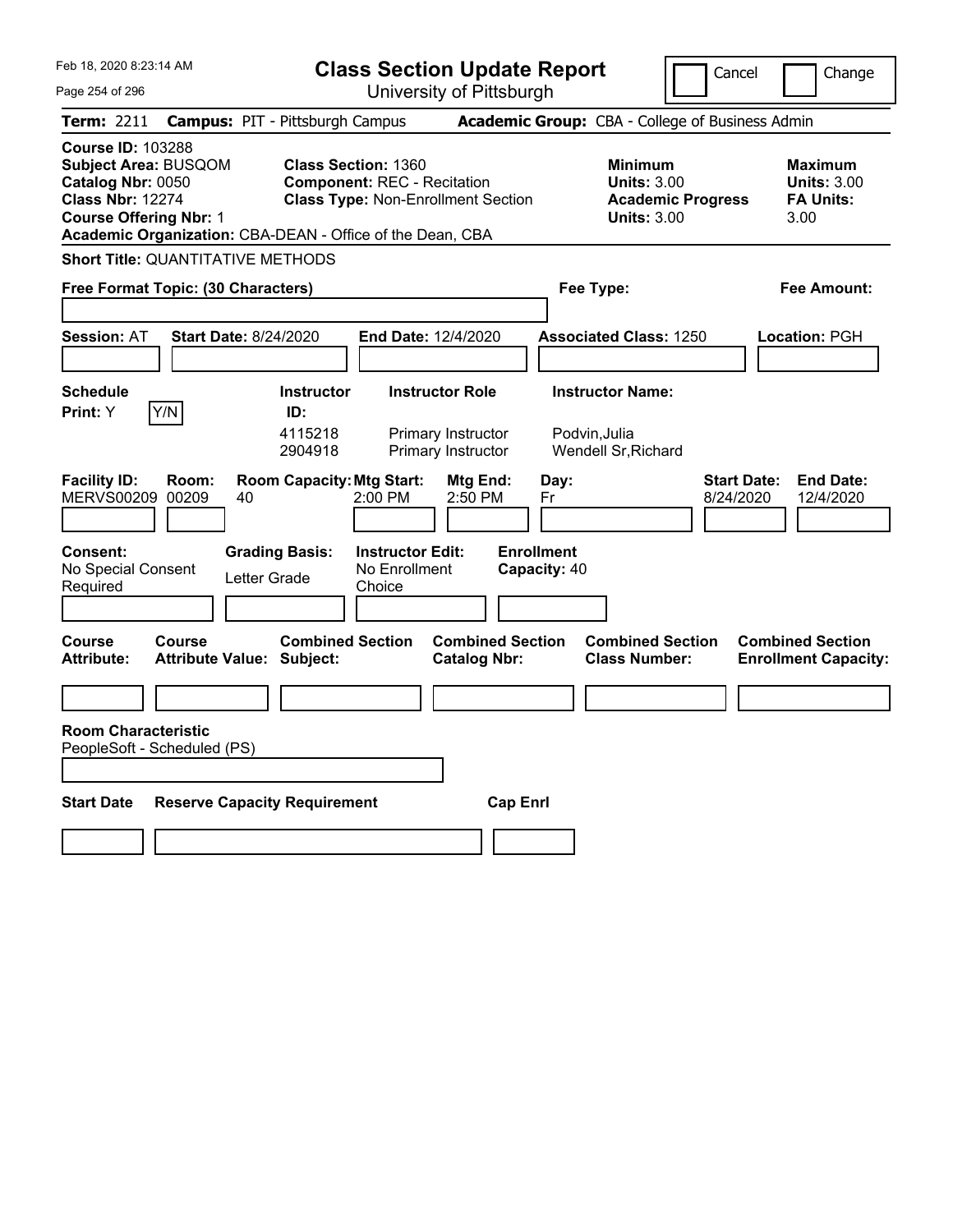| Feb 18, 2020 8:23:14 AM<br>Page 254 of 296                                                                                               | <b>Class Section Update Report</b><br>University of Pittsburgh                                                                                                             |                                                                 | Cancel                                                                                 | Change                                                           |
|------------------------------------------------------------------------------------------------------------------------------------------|----------------------------------------------------------------------------------------------------------------------------------------------------------------------------|-----------------------------------------------------------------|----------------------------------------------------------------------------------------|------------------------------------------------------------------|
| Term: 2211                                                                                                                               | <b>Campus: PIT - Pittsburgh Campus</b>                                                                                                                                     | Academic Group: CBA - College of Business Admin                 |                                                                                        |                                                                  |
| <b>Course ID: 103288</b><br><b>Subject Area: BUSQOM</b><br>Catalog Nbr: 0050<br><b>Class Nbr: 12274</b><br><b>Course Offering Nbr: 1</b> | <b>Class Section: 1360</b><br><b>Component: REC - Recitation</b><br><b>Class Type: Non-Enrollment Section</b><br>Academic Organization: CBA-DEAN - Office of the Dean, CBA |                                                                 | <b>Minimum</b><br><b>Units: 3.00</b><br><b>Academic Progress</b><br><b>Units: 3.00</b> | <b>Maximum</b><br><b>Units: 3.00</b><br><b>FA Units:</b><br>3.00 |
| <b>Short Title: QUANTITATIVE METHODS</b>                                                                                                 |                                                                                                                                                                            |                                                                 |                                                                                        |                                                                  |
| Free Format Topic: (30 Characters)                                                                                                       |                                                                                                                                                                            | Fee Type:                                                       |                                                                                        | Fee Amount:                                                      |
| <b>Session: AT</b><br><b>Start Date: 8/24/2020</b>                                                                                       | End Date: 12/4/2020                                                                                                                                                        | <b>Associated Class: 1250</b>                                   |                                                                                        | Location: PGH                                                    |
| <b>Schedule</b><br>Y/N<br>Print: Y                                                                                                       | <b>Instructor Role</b><br><b>Instructor</b><br>ID:<br>4115218<br>Primary Instructor<br>2904918<br>Primary Instructor                                                       | <b>Instructor Name:</b><br>Podvin, Julia<br>Wendell Sr, Richard |                                                                                        |                                                                  |
| <b>Facility ID:</b><br>Room:<br><b>MERVS00209</b><br>00209<br>40                                                                         | <b>Room Capacity: Mtg Start:</b><br>2:00 PM<br>2:50 PM                                                                                                                     | Mtg End:<br>Day:<br>Fr                                          | <b>Start Date:</b><br>8/24/2020                                                        | <b>End Date:</b><br>12/4/2020                                    |
| <b>Consent:</b><br>No Special Consent<br>Required                                                                                        | <b>Grading Basis:</b><br><b>Instructor Edit:</b><br>No Enrollment<br>Letter Grade<br>Choice                                                                                | <b>Enrollment</b><br>Capacity: 40                               |                                                                                        |                                                                  |
| <b>Course</b><br><b>Course</b><br><b>Attribute:</b><br><b>Attribute Value: Subject:</b>                                                  | <b>Combined Section</b>                                                                                                                                                    | <b>Combined Section</b><br><b>Catalog Nbr:</b>                  | <b>Combined Section</b><br><b>Class Number:</b>                                        | <b>Combined Section</b><br><b>Enrollment Capacity:</b>           |
|                                                                                                                                          |                                                                                                                                                                            |                                                                 |                                                                                        |                                                                  |
| <b>Room Characteristic</b><br>PeopleSoft - Scheduled (PS)                                                                                |                                                                                                                                                                            |                                                                 |                                                                                        |                                                                  |
| <b>Start Date</b>                                                                                                                        | <b>Reserve Capacity Requirement</b>                                                                                                                                        | <b>Cap Enrl</b>                                                 |                                                                                        |                                                                  |
|                                                                                                                                          |                                                                                                                                                                            |                                                                 |                                                                                        |                                                                  |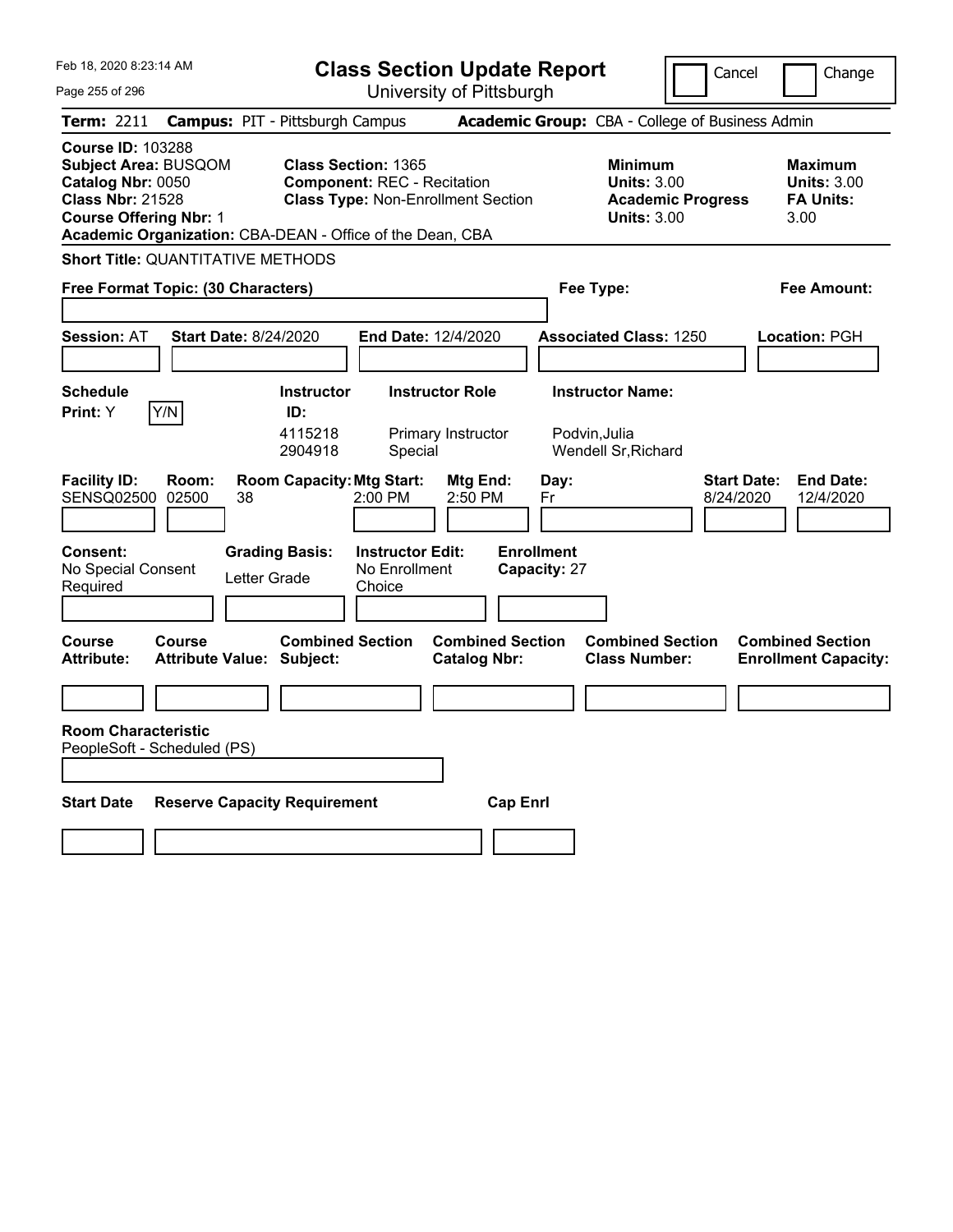| Feb 18, 2020 8:23:14 AM<br>Page 255 of 296                                                                                                                                                            | <b>Class Section Update Report</b><br>University of Pittsburgh                                                                                                | Cancel                                                                                 | Change                                                           |
|-------------------------------------------------------------------------------------------------------------------------------------------------------------------------------------------------------|---------------------------------------------------------------------------------------------------------------------------------------------------------------|----------------------------------------------------------------------------------------|------------------------------------------------------------------|
| Term: 2211<br><b>Campus: PIT - Pittsburgh Campus</b>                                                                                                                                                  |                                                                                                                                                               | Academic Group: CBA - College of Business Admin                                        |                                                                  |
| <b>Course ID: 103288</b><br><b>Subject Area: BUSQOM</b><br>Catalog Nbr: 0050<br><b>Class Nbr: 21528</b><br><b>Course Offering Nbr: 1</b><br>Academic Organization: CBA-DEAN - Office of the Dean, CBA | <b>Class Section: 1365</b><br><b>Component: REC - Recitation</b><br><b>Class Type: Non-Enrollment Section</b>                                                 | <b>Minimum</b><br><b>Units: 3.00</b><br><b>Academic Progress</b><br><b>Units: 3.00</b> | <b>Maximum</b><br><b>Units: 3.00</b><br><b>FA Units:</b><br>3.00 |
| <b>Short Title: QUANTITATIVE METHODS</b>                                                                                                                                                              |                                                                                                                                                               |                                                                                        |                                                                  |
| Free Format Topic: (30 Characters)                                                                                                                                                                    |                                                                                                                                                               | Fee Type:                                                                              | Fee Amount:                                                      |
| <b>Session: AT</b><br><b>Start Date: 8/24/2020</b>                                                                                                                                                    | End Date: 12/4/2020                                                                                                                                           | <b>Associated Class: 1250</b>                                                          | Location: PGH                                                    |
| <b>Schedule</b><br>Y/N<br>ID:<br><b>Print:</b> Y                                                                                                                                                      | <b>Instructor Role</b><br><b>Instructor</b><br>4115218<br>Primary Instructor<br>2904918<br>Special                                                            | <b>Instructor Name:</b><br>Podvin, Julia<br>Wendell Sr, Richard                        |                                                                  |
| <b>Facility ID:</b><br>Room:<br>SENSQ02500<br>02500<br>38<br><b>Consent:</b><br><b>Grading Basis:</b><br>No Special Consent<br>Letter Grade<br>Required                                               | <b>Room Capacity: Mtg Start:</b><br>Mtg End:<br>2:00 PM<br>2:50 PM<br><b>Enrollment</b><br><b>Instructor Edit:</b><br>No Enrollment<br>Capacity: 27<br>Choice | <b>Start Date:</b><br>Day:<br>8/24/2020<br>Fr                                          | <b>End Date:</b><br>12/4/2020                                    |
| <b>Course</b><br><b>Course</b><br><b>Attribute:</b><br><b>Attribute Value: Subject:</b>                                                                                                               | <b>Combined Section</b><br><b>Combined Section</b><br><b>Catalog Nbr:</b>                                                                                     | <b>Combined Section</b><br><b>Class Number:</b>                                        | <b>Combined Section</b><br><b>Enrollment Capacity:</b>           |
|                                                                                                                                                                                                       |                                                                                                                                                               |                                                                                        |                                                                  |
| <b>Room Characteristic</b><br>PeopleSoft - Scheduled (PS)                                                                                                                                             |                                                                                                                                                               |                                                                                        |                                                                  |
| <b>Reserve Capacity Requirement</b><br><b>Start Date</b>                                                                                                                                              | <b>Cap Enrl</b>                                                                                                                                               |                                                                                        |                                                                  |
|                                                                                                                                                                                                       |                                                                                                                                                               |                                                                                        |                                                                  |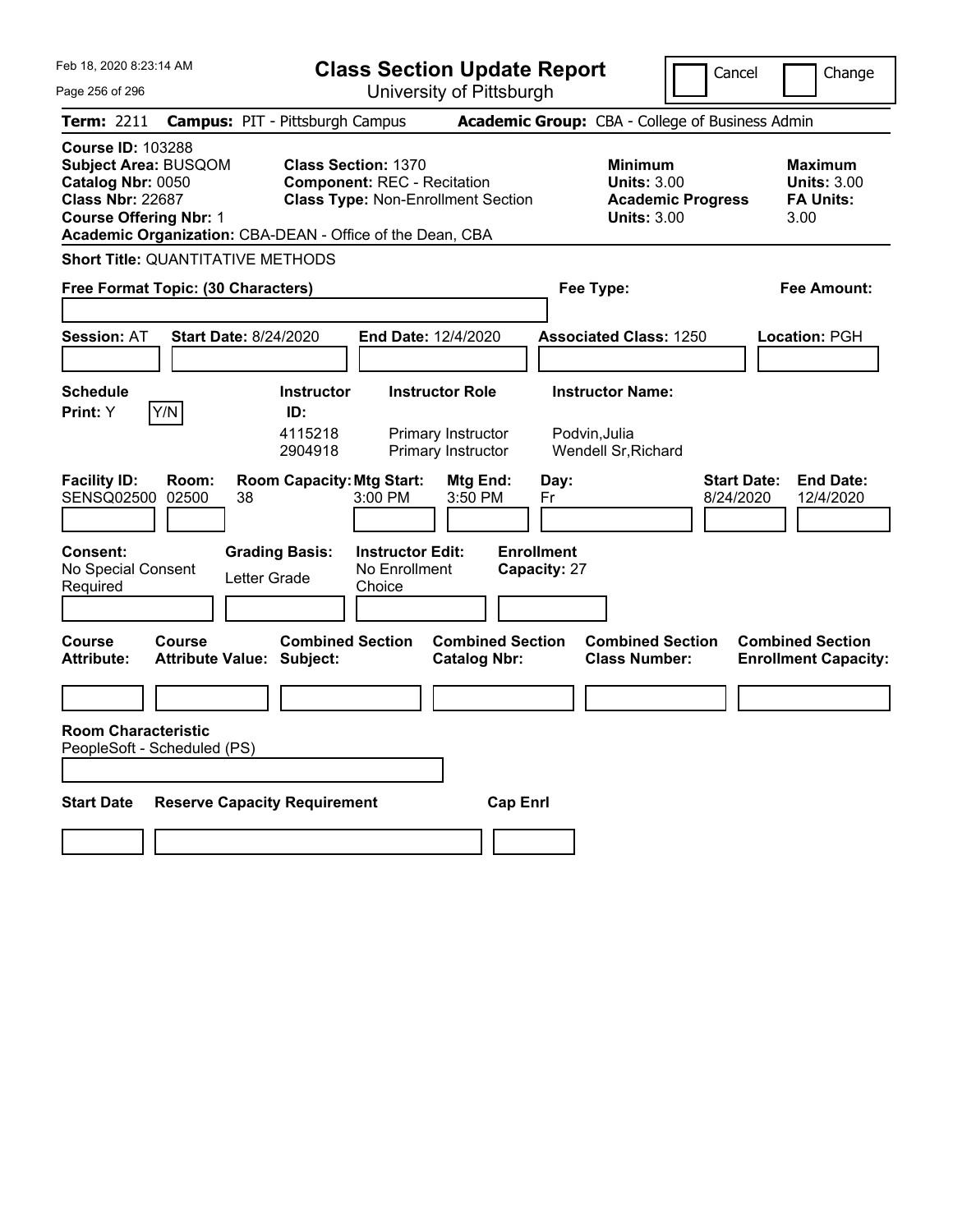| Feb 18, 2020 8:23:14 AM                                                                                                                                                                               |                                            |                                                                           |                                                                  | <b>Class Section Update Report</b>                                 |                                                 |                                                                 | Cancel                   | Change                                                    |
|-------------------------------------------------------------------------------------------------------------------------------------------------------------------------------------------------------|--------------------------------------------|---------------------------------------------------------------------------|------------------------------------------------------------------|--------------------------------------------------------------------|-------------------------------------------------|-----------------------------------------------------------------|--------------------------|-----------------------------------------------------------|
| Page 256 of 296                                                                                                                                                                                       |                                            |                                                                           |                                                                  | University of Pittsburgh                                           |                                                 |                                                                 |                          |                                                           |
| Term: 2211                                                                                                                                                                                            | <b>Campus: PIT - Pittsburgh Campus</b>     |                                                                           |                                                                  |                                                                    |                                                 |                                                                 |                          | Academic Group: CBA - College of Business Admin           |
| <b>Course ID: 103288</b><br><b>Subject Area: BUSQOM</b><br>Catalog Nbr: 0050<br><b>Class Nbr: 22687</b><br><b>Course Offering Nbr: 1</b><br>Academic Organization: CBA-DEAN - Office of the Dean, CBA |                                            |                                                                           | <b>Class Section: 1370</b><br><b>Component: REC - Recitation</b> | <b>Class Type: Non-Enrollment Section</b>                          |                                                 | <b>Minimum</b><br><b>Units: 3.00</b><br><b>Units: 3.00</b>      | <b>Academic Progress</b> | Maximum<br><b>Units: 3.00</b><br><b>FA Units:</b><br>3.00 |
| <b>Short Title: QUANTITATIVE METHODS</b>                                                                                                                                                              |                                            |                                                                           |                                                                  |                                                                    |                                                 |                                                                 |                          |                                                           |
| Free Format Topic: (30 Characters)                                                                                                                                                                    |                                            |                                                                           |                                                                  |                                                                    |                                                 | Fee Type:                                                       |                          | Fee Amount:                                               |
| <b>Session: AT</b>                                                                                                                                                                                    | <b>Start Date: 8/24/2020</b>               |                                                                           | <b>End Date: 12/4/2020</b>                                       |                                                                    |                                                 | <b>Associated Class: 1250</b>                                   |                          | Location: PGH                                             |
| <b>Schedule</b><br>Print: Y                                                                                                                                                                           | Y/N                                        | <b>Instructor</b><br>ID:<br>4115218<br>2904918                            |                                                                  | <b>Instructor Role</b><br>Primary Instructor<br>Primary Instructor |                                                 | <b>Instructor Name:</b><br>Podvin, Julia<br>Wendell Sr, Richard |                          |                                                           |
| <b>Facility ID:</b><br>SENSQ02500<br><b>Consent:</b><br>No Special Consent<br>Required                                                                                                                | Room:<br>02500<br>38                       | <b>Room Capacity: Mtg Start:</b><br><b>Grading Basis:</b><br>Letter Grade | 3:00 PM<br><b>Instructor Edit:</b><br>No Enrollment<br>Choice    | Mtg End:<br>3:50 PM                                                | Day:<br>Fr<br><b>Enrollment</b><br>Capacity: 27 |                                                                 | 8/24/2020                | <b>Start Date:</b><br><b>End Date:</b><br>12/4/2020       |
| <b>Course</b><br><b>Attribute:</b>                                                                                                                                                                    | Course<br><b>Attribute Value: Subject:</b> | <b>Combined Section</b>                                                   |                                                                  | <b>Combined Section</b><br><b>Catalog Nbr:</b>                     |                                                 | <b>Combined Section</b><br><b>Class Number:</b>                 |                          | <b>Combined Section</b><br><b>Enrollment Capacity:</b>    |
| <b>Room Characteristic</b><br>PeopleSoft - Scheduled (PS)                                                                                                                                             |                                            |                                                                           |                                                                  |                                                                    |                                                 |                                                                 |                          |                                                           |
| <b>Start Date</b>                                                                                                                                                                                     | <b>Reserve Capacity Requirement</b>        |                                                                           |                                                                  | <b>Cap Enri</b>                                                    |                                                 |                                                                 |                          |                                                           |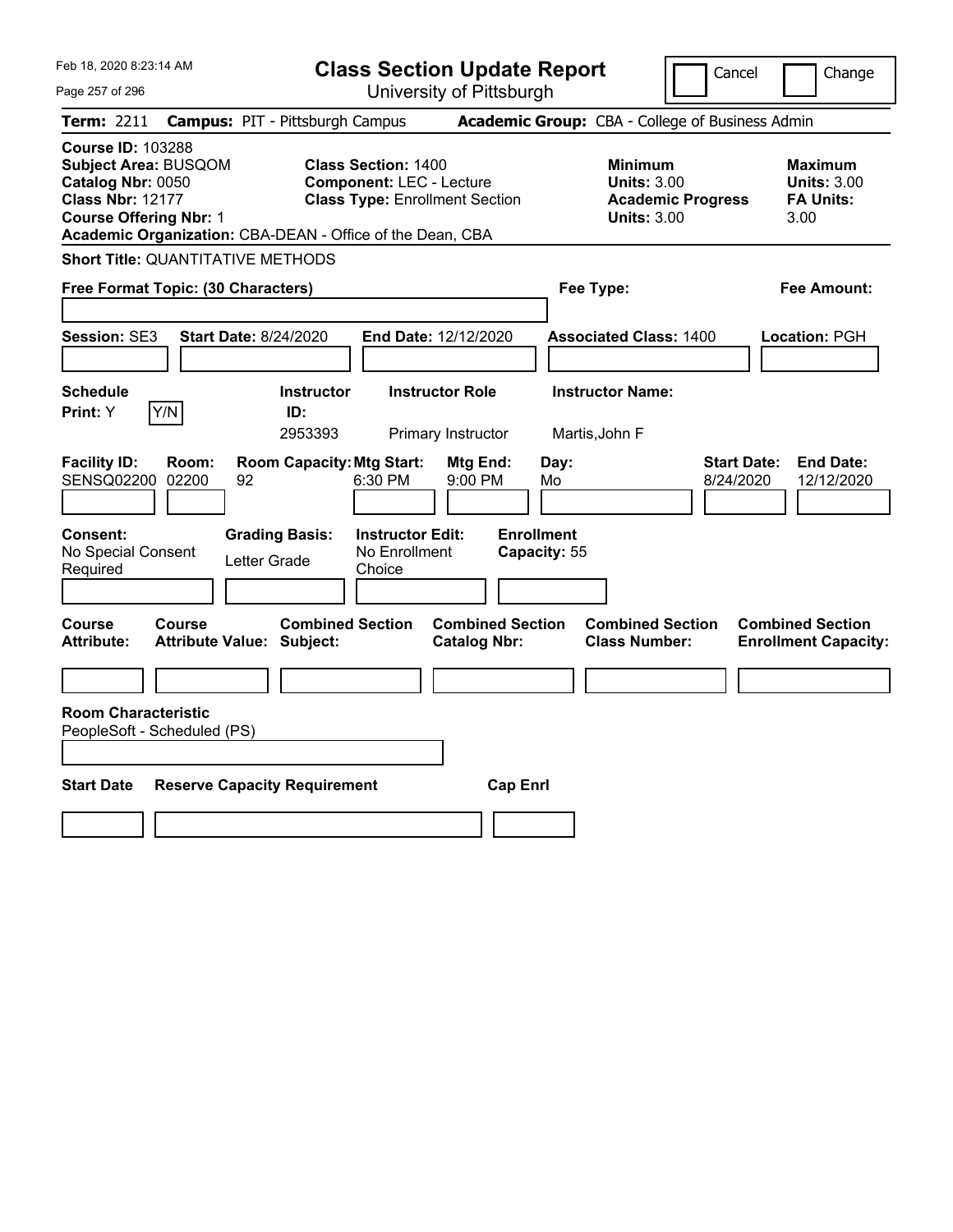| Feb 18, 2020 8:23:14 AM                                                                                                                                                                               |                                                                                                        | <b>Class Section Update Report</b>             |                                                                                        | Cancel<br>Change                                                  |
|-------------------------------------------------------------------------------------------------------------------------------------------------------------------------------------------------------|--------------------------------------------------------------------------------------------------------|------------------------------------------------|----------------------------------------------------------------------------------------|-------------------------------------------------------------------|
| Page 257 of 296                                                                                                                                                                                       |                                                                                                        | University of Pittsburgh                       |                                                                                        |                                                                   |
| <b>Term: 2211</b>                                                                                                                                                                                     | <b>Campus: PIT - Pittsburgh Campus</b>                                                                 |                                                | Academic Group: CBA - College of Business Admin                                        |                                                                   |
| <b>Course ID: 103288</b><br><b>Subject Area: BUSQOM</b><br>Catalog Nbr: 0050<br><b>Class Nbr: 12177</b><br><b>Course Offering Nbr: 1</b><br>Academic Organization: CBA-DEAN - Office of the Dean, CBA | <b>Class Section: 1400</b><br><b>Component: LEC - Lecture</b><br><b>Class Type: Enrollment Section</b> |                                                | <b>Minimum</b><br><b>Units: 3.00</b><br><b>Academic Progress</b><br><b>Units: 3.00</b> | <b>Maximum</b><br><b>Units: 3.00</b><br><b>FA Units:</b><br>3.00  |
| <b>Short Title: QUANTITATIVE METHODS</b>                                                                                                                                                              |                                                                                                        |                                                |                                                                                        |                                                                   |
| Free Format Topic: (30 Characters)                                                                                                                                                                    |                                                                                                        |                                                | Fee Type:                                                                              | Fee Amount:                                                       |
| Session: SE3                                                                                                                                                                                          | <b>Start Date: 8/24/2020</b>                                                                           | End Date: 12/12/2020                           | <b>Associated Class: 1400</b>                                                          | Location: PGH                                                     |
| <b>Schedule</b><br>Y/N<br>Print: Y                                                                                                                                                                    | <b>Instructor</b><br>ID:<br>2953393                                                                    | <b>Instructor Role</b><br>Primary Instructor   | <b>Instructor Name:</b><br>Martis, John F                                              |                                                                   |
| <b>Facility ID:</b><br>Room:<br>SENSQ02200 02200<br>92                                                                                                                                                | <b>Room Capacity: Mtg Start:</b><br>6:30 PM                                                            | Mtg End:<br>9:00 PM                            | Day:<br>Mo                                                                             | <b>Start Date:</b><br><b>End Date:</b><br>8/24/2020<br>12/12/2020 |
| Consent:<br>No Special Consent<br>Required                                                                                                                                                            | <b>Grading Basis:</b><br><b>Instructor Edit:</b><br>No Enrollment<br>Letter Grade<br>Choice            | <b>Enrollment</b><br>Capacity: 55              |                                                                                        |                                                                   |
| <b>Course</b><br>Course<br><b>Attribute:</b><br><b>Attribute Value: Subject:</b>                                                                                                                      | <b>Combined Section</b>                                                                                | <b>Combined Section</b><br><b>Catalog Nbr:</b> | <b>Combined Section</b><br><b>Class Number:</b>                                        | <b>Combined Section</b><br><b>Enrollment Capacity:</b>            |
|                                                                                                                                                                                                       |                                                                                                        |                                                |                                                                                        |                                                                   |
| <b>Room Characteristic</b><br>PeopleSoft - Scheduled (PS)                                                                                                                                             |                                                                                                        |                                                |                                                                                        |                                                                   |
| <b>Start Date</b>                                                                                                                                                                                     | <b>Reserve Capacity Requirement</b>                                                                    | <b>Cap Enrl</b>                                |                                                                                        |                                                                   |
|                                                                                                                                                                                                       |                                                                                                        |                                                |                                                                                        |                                                                   |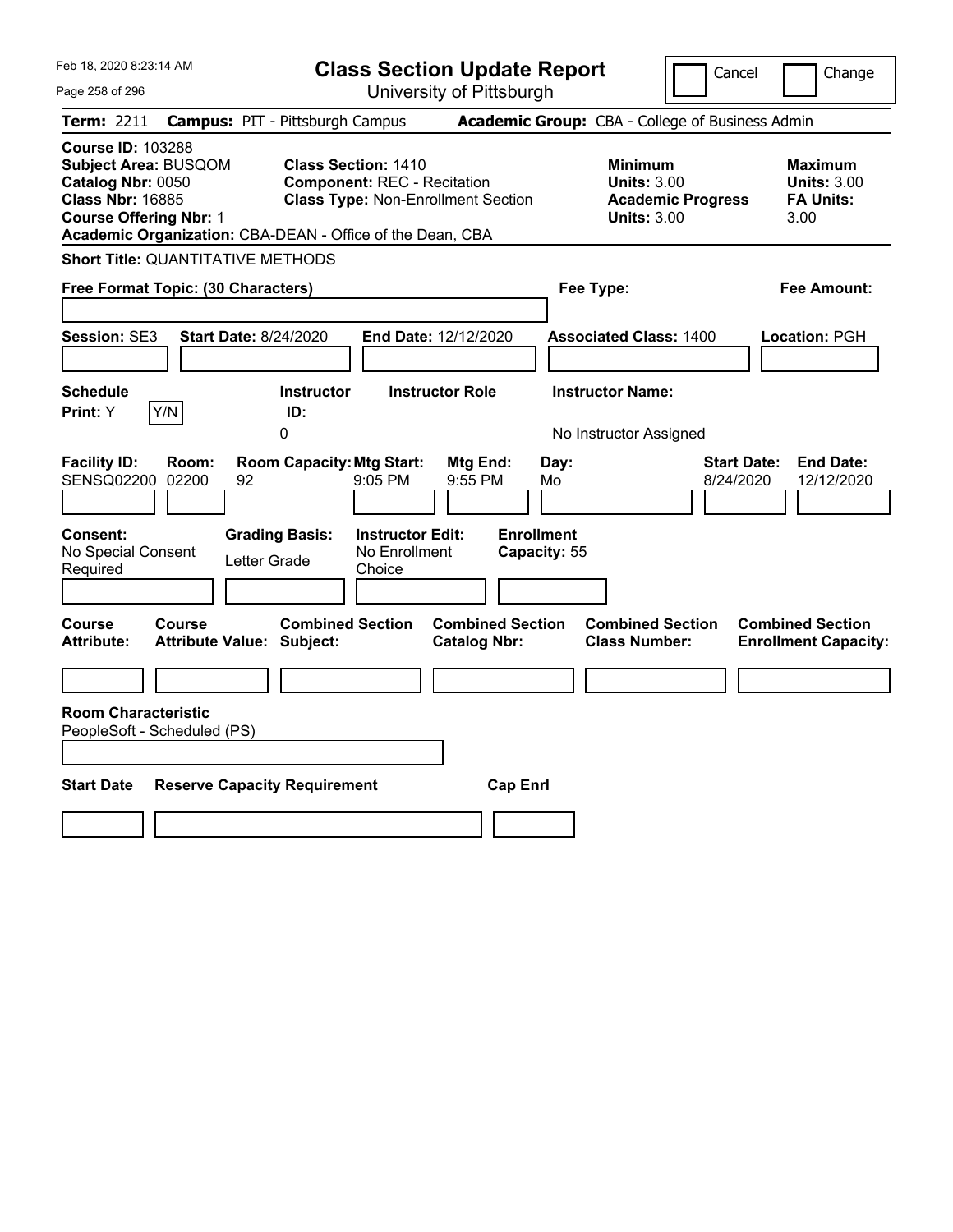| Feb 18, 2020 8:23:14 AM                                                                                                                                                                               |                                             | <b>Class Section Update Report</b>                                                                            |                                                |                                                            | Cancel                          | Change                                                           |
|-------------------------------------------------------------------------------------------------------------------------------------------------------------------------------------------------------|---------------------------------------------|---------------------------------------------------------------------------------------------------------------|------------------------------------------------|------------------------------------------------------------|---------------------------------|------------------------------------------------------------------|
| Page 258 of 296                                                                                                                                                                                       |                                             |                                                                                                               | University of Pittsburgh                       |                                                            |                                 |                                                                  |
| Term: 2211                                                                                                                                                                                            | <b>Campus: PIT - Pittsburgh Campus</b>      |                                                                                                               |                                                | Academic Group: CBA - College of Business Admin            |                                 |                                                                  |
| <b>Course ID: 103288</b><br><b>Subject Area: BUSQOM</b><br>Catalog Nbr: 0050<br><b>Class Nbr: 16885</b><br><b>Course Offering Nbr: 1</b><br>Academic Organization: CBA-DEAN - Office of the Dean, CBA |                                             | <b>Class Section: 1410</b><br><b>Component: REC - Recitation</b><br><b>Class Type: Non-Enrollment Section</b> |                                                | <b>Minimum</b><br><b>Units: 3.00</b><br><b>Units: 3.00</b> | <b>Academic Progress</b>        | <b>Maximum</b><br><b>Units: 3.00</b><br><b>FA Units:</b><br>3.00 |
| <b>Short Title: QUANTITATIVE METHODS</b>                                                                                                                                                              |                                             |                                                                                                               |                                                |                                                            |                                 |                                                                  |
| Free Format Topic: (30 Characters)                                                                                                                                                                    |                                             |                                                                                                               |                                                | Fee Type:                                                  |                                 | Fee Amount:                                                      |
| Session: SE3                                                                                                                                                                                          | <b>Start Date: 8/24/2020</b>                |                                                                                                               | End Date: 12/12/2020                           | <b>Associated Class: 1400</b>                              |                                 | Location: PGH                                                    |
| <b>Schedule</b>                                                                                                                                                                                       |                                             | <b>Instructor</b>                                                                                             | <b>Instructor Role</b>                         | <b>Instructor Name:</b>                                    |                                 |                                                                  |
| Y/N<br>Print: Y                                                                                                                                                                                       | ID:<br>0                                    |                                                                                                               |                                                | No Instructor Assigned                                     |                                 |                                                                  |
| <b>Facility ID:</b><br>Room:<br>SENSQ02200 02200<br>Consent:<br>No Special Consent<br>Required                                                                                                        | 92<br><b>Grading Basis:</b><br>Letter Grade | <b>Room Capacity: Mtg Start:</b><br>$9:05$ PM<br><b>Instructor Edit:</b><br>No Enrollment<br>Choice           | Mtg End:<br>9:55 PM<br><b>Enrollment</b>       | Day:<br>Mo<br>Capacity: 55                                 | <b>Start Date:</b><br>8/24/2020 | <b>End Date:</b><br>12/12/2020                                   |
| Course<br>Course<br><b>Attribute:</b>                                                                                                                                                                 | <b>Attribute Value: Subject:</b>            | <b>Combined Section</b>                                                                                       | <b>Combined Section</b><br><b>Catalog Nbr:</b> | <b>Combined Section</b><br><b>Class Number:</b>            |                                 | <b>Combined Section</b><br><b>Enrollment Capacity:</b>           |
|                                                                                                                                                                                                       |                                             |                                                                                                               |                                                |                                                            |                                 |                                                                  |
| <b>Room Characteristic</b><br>PeopleSoft - Scheduled (PS)                                                                                                                                             |                                             |                                                                                                               |                                                |                                                            |                                 |                                                                  |
|                                                                                                                                                                                                       |                                             |                                                                                                               |                                                |                                                            |                                 |                                                                  |
| <b>Start Date</b>                                                                                                                                                                                     | <b>Reserve Capacity Requirement</b>         |                                                                                                               | <b>Cap Enrl</b>                                |                                                            |                                 |                                                                  |
|                                                                                                                                                                                                       |                                             |                                                                                                               |                                                |                                                            |                                 |                                                                  |
|                                                                                                                                                                                                       |                                             |                                                                                                               |                                                |                                                            |                                 |                                                                  |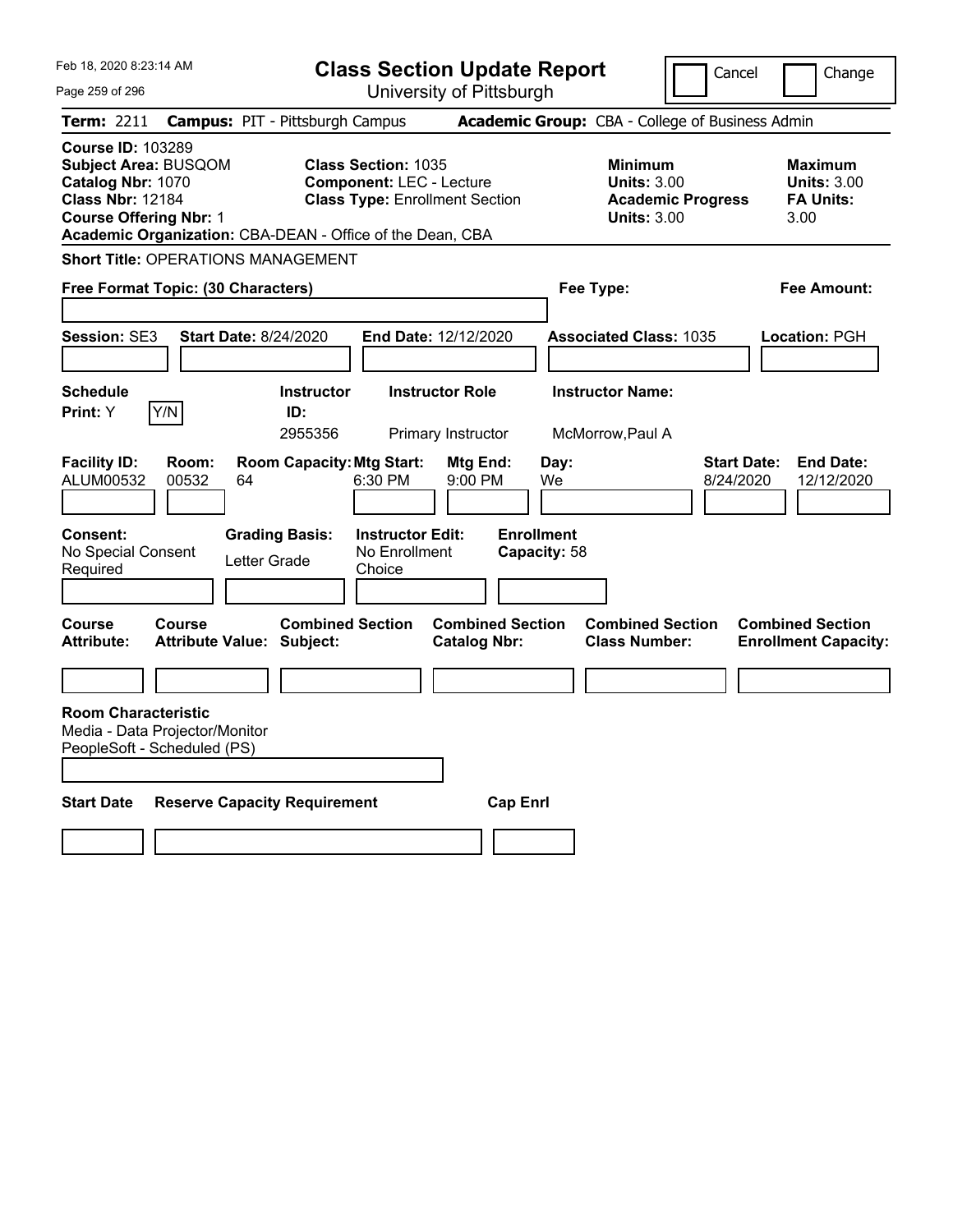| Feb 18, 2020 8:23:14 AM                                                                                                           |                |                                                                                 | <b>Class Section Update Report</b>                                                                     |                                                |                                   |                                                            | Cancel                   | Change                                                            |
|-----------------------------------------------------------------------------------------------------------------------------------|----------------|---------------------------------------------------------------------------------|--------------------------------------------------------------------------------------------------------|------------------------------------------------|-----------------------------------|------------------------------------------------------------|--------------------------|-------------------------------------------------------------------|
| Page 259 of 296                                                                                                                   |                |                                                                                 |                                                                                                        | University of Pittsburgh                       |                                   |                                                            |                          |                                                                   |
| Term: 2211                                                                                                                        |                | <b>Campus: PIT - Pittsburgh Campus</b>                                          |                                                                                                        |                                                |                                   | Academic Group: CBA - College of Business Admin            |                          |                                                                   |
| <b>Course ID: 103289</b><br>Subject Area: BUSQOM<br>Catalog Nbr: 1070<br><b>Class Nbr: 12184</b><br><b>Course Offering Nbr: 1</b> |                | Academic Organization: CBA-DEAN - Office of the Dean, CBA                       | <b>Class Section: 1035</b><br><b>Component: LEC - Lecture</b><br><b>Class Type: Enrollment Section</b> |                                                |                                   | <b>Minimum</b><br><b>Units: 3.00</b><br><b>Units: 3.00</b> | <b>Academic Progress</b> | <b>Maximum</b><br><b>Units: 3.00</b><br><b>FA Units:</b><br>3.00  |
|                                                                                                                                   |                | <b>Short Title: OPERATIONS MANAGEMENT</b>                                       |                                                                                                        |                                                |                                   |                                                            |                          |                                                                   |
| Free Format Topic: (30 Characters)                                                                                                |                |                                                                                 |                                                                                                        |                                                |                                   | Fee Type:                                                  |                          | Fee Amount:                                                       |
|                                                                                                                                   |                |                                                                                 |                                                                                                        |                                                |                                   |                                                            |                          |                                                                   |
| <b>Session: SE3</b>                                                                                                               |                | <b>Start Date: 8/24/2020</b>                                                    | <b>End Date: 12/12/2020</b>                                                                            |                                                |                                   | <b>Associated Class: 1035</b>                              |                          | Location: PGH                                                     |
|                                                                                                                                   |                |                                                                                 |                                                                                                        |                                                |                                   |                                                            |                          |                                                                   |
| <b>Schedule</b>                                                                                                                   | Y/N            | <b>Instructor</b><br>ID:                                                        |                                                                                                        | <b>Instructor Role</b>                         |                                   | <b>Instructor Name:</b>                                    |                          |                                                                   |
| Print: Y                                                                                                                          |                | 2955356                                                                         |                                                                                                        | Primary Instructor                             |                                   | McMorrow, Paul A                                           |                          |                                                                   |
| <b>Facility ID:</b><br>ALUM00532<br><b>Consent:</b><br>No Special Consent<br>Required                                             | Room:<br>00532 | <b>Room Capacity: Mtg Start:</b><br>64<br><b>Grading Basis:</b><br>Letter Grade | 6:30 PM<br><b>Instructor Edit:</b><br>No Enrollment<br>Choice                                          | <b>Mtg End:</b><br>$9:00$ PM                   | <b>Enrollment</b><br>Capacity: 58 | Day:<br>We                                                 |                          | <b>Start Date:</b><br><b>End Date:</b><br>8/24/2020<br>12/12/2020 |
|                                                                                                                                   |                |                                                                                 |                                                                                                        |                                                |                                   |                                                            |                          |                                                                   |
| Course<br><b>Attribute:</b>                                                                                                       | Course         | <b>Combined Section</b><br><b>Attribute Value: Subject:</b>                     |                                                                                                        | <b>Combined Section</b><br><b>Catalog Nbr:</b> |                                   | <b>Combined Section</b><br><b>Class Number:</b>            |                          | <b>Combined Section</b><br><b>Enrollment Capacity:</b>            |
|                                                                                                                                   |                |                                                                                 |                                                                                                        |                                                |                                   |                                                            |                          |                                                                   |
| <b>Room Characteristic</b><br>Media - Data Projector/Monitor<br>PeopleSoft - Scheduled (PS)                                       |                |                                                                                 |                                                                                                        |                                                |                                   |                                                            |                          |                                                                   |
| <b>Start Date</b>                                                                                                                 |                | <b>Reserve Capacity Requirement</b>                                             |                                                                                                        |                                                | <b>Cap Enrl</b>                   |                                                            |                          |                                                                   |
|                                                                                                                                   |                |                                                                                 |                                                                                                        |                                                |                                   |                                                            |                          |                                                                   |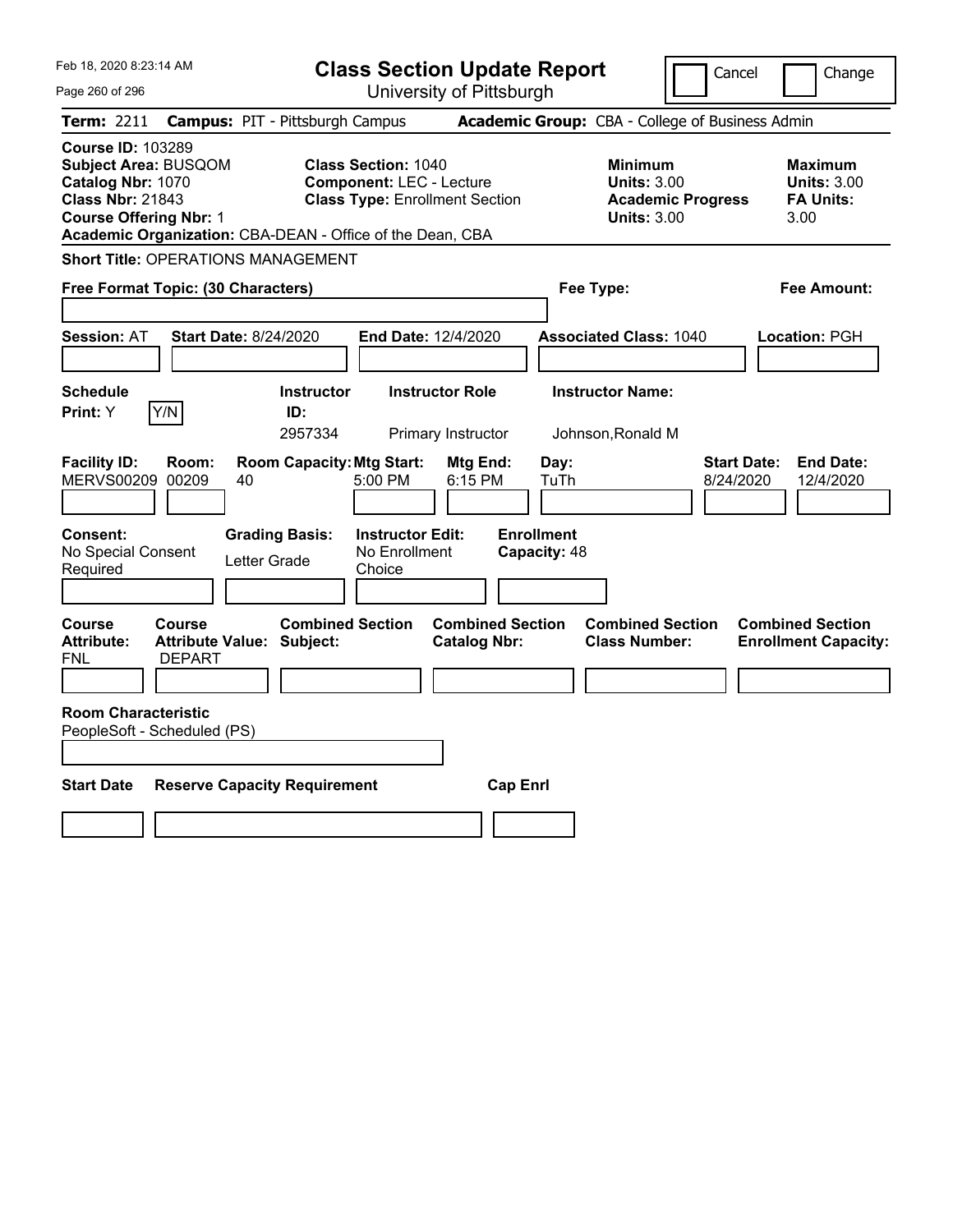| Feb 18, 2020 8:23:14 AM                                                                                                                  | <b>Class Section Update Report</b>                                                                                                                                  |                                                |                                                                                        | Cancel<br>Change                                                 |
|------------------------------------------------------------------------------------------------------------------------------------------|---------------------------------------------------------------------------------------------------------------------------------------------------------------------|------------------------------------------------|----------------------------------------------------------------------------------------|------------------------------------------------------------------|
| Page 260 of 296                                                                                                                          |                                                                                                                                                                     | University of Pittsburgh                       |                                                                                        |                                                                  |
| Term: 2211                                                                                                                               | <b>Campus: PIT - Pittsburgh Campus</b>                                                                                                                              |                                                | Academic Group: CBA - College of Business Admin                                        |                                                                  |
| <b>Course ID: 103289</b><br><b>Subject Area: BUSQOM</b><br>Catalog Nbr: 1070<br><b>Class Nbr: 21843</b><br><b>Course Offering Nbr: 1</b> | <b>Class Section: 1040</b><br><b>Component: LEC - Lecture</b><br><b>Class Type: Enrollment Section</b><br>Academic Organization: CBA-DEAN - Office of the Dean, CBA |                                                | <b>Minimum</b><br><b>Units: 3.00</b><br><b>Academic Progress</b><br><b>Units: 3.00</b> | <b>Maximum</b><br><b>Units: 3.00</b><br><b>FA Units:</b><br>3.00 |
| <b>Short Title: OPERATIONS MANAGEMENT</b>                                                                                                |                                                                                                                                                                     |                                                |                                                                                        |                                                                  |
| Free Format Topic: (30 Characters)                                                                                                       |                                                                                                                                                                     |                                                | Fee Type:                                                                              | Fee Amount:                                                      |
| <b>Session: AT</b><br><b>Start Date: 8/24/2020</b>                                                                                       | End Date: 12/4/2020                                                                                                                                                 |                                                | <b>Associated Class: 1040</b>                                                          | Location: PGH                                                    |
| <b>Schedule</b><br>Y/N<br>Print: Y                                                                                                       | <b>Instructor</b><br><b>Instructor Role</b><br>ID:<br>2957334<br>Primary Instructor                                                                                 |                                                | <b>Instructor Name:</b><br>Johnson, Ronald M                                           |                                                                  |
| <b>Facility ID:</b><br>Room:<br>MERVS00209 00209<br>40                                                                                   | <b>Room Capacity: Mtg Start:</b><br>5:00 PM                                                                                                                         | Mtg End:<br>Day:<br>6:15 PM<br>TuTh            |                                                                                        | <b>Start Date:</b><br><b>End Date:</b><br>8/24/2020<br>12/4/2020 |
| Consent:<br>No Special Consent<br>Required                                                                                               | <b>Grading Basis:</b><br><b>Instructor Edit:</b><br>No Enrollment<br>Letter Grade<br>Choice                                                                         | <b>Enrollment</b><br>Capacity: 48              |                                                                                        |                                                                  |
| Course<br>Course<br><b>Attribute:</b><br><b>Attribute Value: Subject:</b><br><b>DEPART</b><br>FNL                                        | <b>Combined Section</b>                                                                                                                                             | <b>Combined Section</b><br><b>Catalog Nbr:</b> | <b>Combined Section</b><br><b>Class Number:</b>                                        | <b>Combined Section</b><br><b>Enrollment Capacity:</b>           |
|                                                                                                                                          |                                                                                                                                                                     |                                                |                                                                                        |                                                                  |
| <b>Room Characteristic</b><br>PeopleSoft - Scheduled (PS)                                                                                |                                                                                                                                                                     |                                                |                                                                                        |                                                                  |
| <b>Start Date</b>                                                                                                                        | <b>Reserve Capacity Requirement</b>                                                                                                                                 | <b>Cap Enrl</b>                                |                                                                                        |                                                                  |
|                                                                                                                                          |                                                                                                                                                                     |                                                |                                                                                        |                                                                  |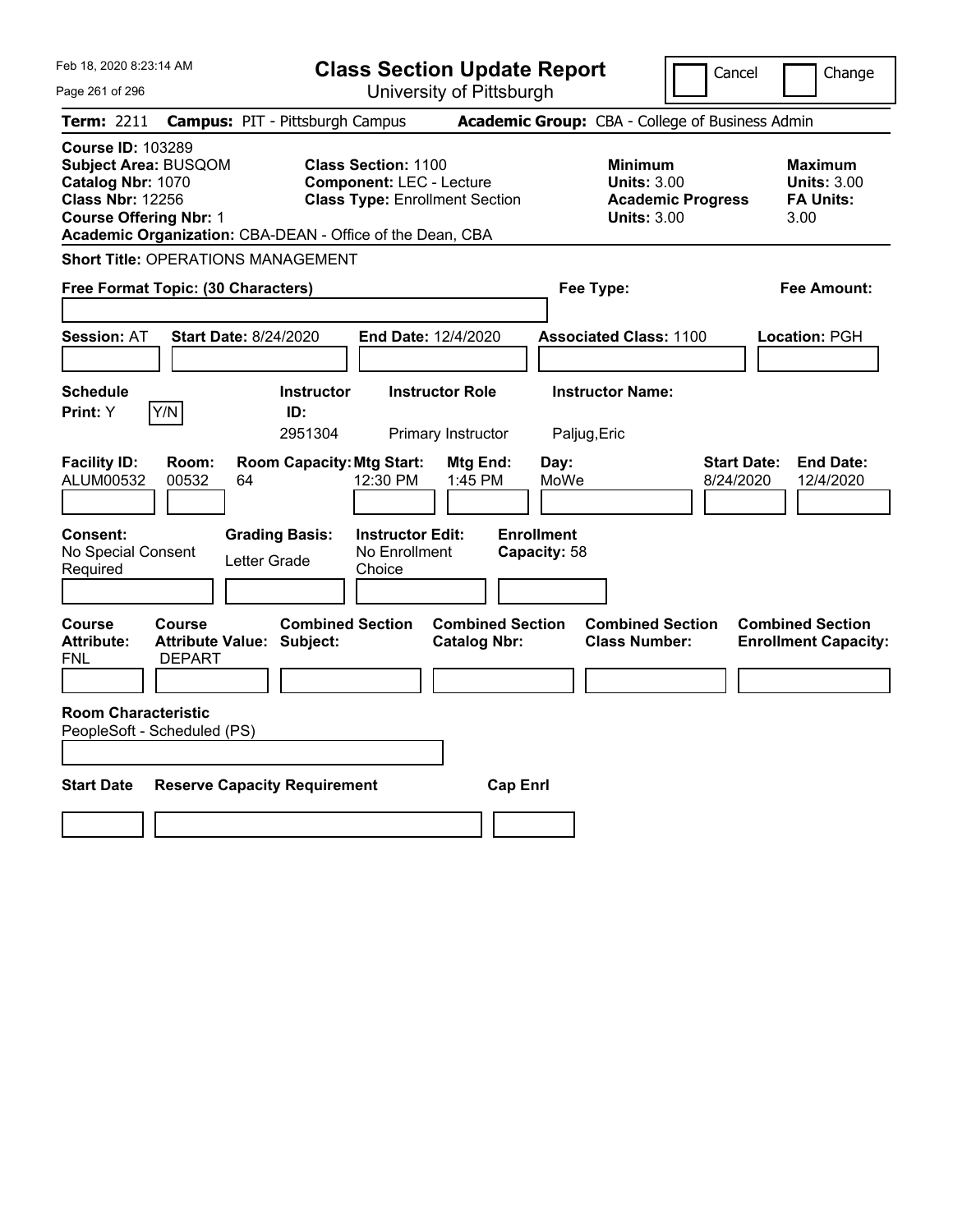| Feb 18, 2020 8:23:14 AM                                                                                                                                                                               | <b>Class Section Update Report</b>                                                                     |                                                                        | Cancel                                                               | Change                                                           |
|-------------------------------------------------------------------------------------------------------------------------------------------------------------------------------------------------------|--------------------------------------------------------------------------------------------------------|------------------------------------------------------------------------|----------------------------------------------------------------------|------------------------------------------------------------------|
| Page 261 of 296                                                                                                                                                                                       | University of Pittsburgh                                                                               |                                                                        |                                                                      |                                                                  |
| <b>Term: 2211</b>                                                                                                                                                                                     | <b>Campus: PIT - Pittsburgh Campus</b>                                                                 | Academic Group: CBA - College of Business Admin                        |                                                                      |                                                                  |
| <b>Course ID: 103289</b><br><b>Subject Area: BUSQOM</b><br>Catalog Nbr: 1070<br><b>Class Nbr: 12256</b><br><b>Course Offering Nbr: 1</b><br>Academic Organization: CBA-DEAN - Office of the Dean, CBA | <b>Class Section: 1100</b><br><b>Component: LEC - Lecture</b><br><b>Class Type: Enrollment Section</b> | <b>Minimum</b>                                                         | <b>Units: 3.00</b><br><b>Academic Progress</b><br><b>Units: 3.00</b> | <b>Maximum</b><br><b>Units: 3.00</b><br><b>FA Units:</b><br>3.00 |
| <b>Short Title: OPERATIONS MANAGEMENT</b>                                                                                                                                                             |                                                                                                        |                                                                        |                                                                      |                                                                  |
| Free Format Topic: (30 Characters)                                                                                                                                                                    |                                                                                                        | Fee Type:                                                              |                                                                      | Fee Amount:                                                      |
| <b>Session: AT</b><br><b>Start Date: 8/24/2020</b>                                                                                                                                                    | End Date: 12/4/2020                                                                                    | <b>Associated Class: 1100</b>                                          |                                                                      | Location: PGH                                                    |
| <b>Schedule</b><br>Y/N<br>Print: Y                                                                                                                                                                    | <b>Instructor Role</b><br><b>Instructor</b><br>ID:<br>2951304<br>Primary Instructor                    | <b>Instructor Name:</b><br>Paljug, Eric                                |                                                                      |                                                                  |
| <b>Facility ID:</b><br>Room:<br>ALUM00532<br>00532<br>64                                                                                                                                              | <b>Room Capacity: Mtg Start:</b><br>12:30 PM                                                           | Mtg End:<br>Day:<br>MoWe<br>1:45 PM                                    | <b>Start Date:</b><br>8/24/2020                                      | <b>End Date:</b><br>12/4/2020                                    |
| <b>Consent:</b><br>No Special Consent<br>Letter Grade<br>Required                                                                                                                                     | <b>Grading Basis:</b><br><b>Instructor Edit:</b><br>No Enrollment<br>Choice                            | <b>Enrollment</b><br>Capacity: 58                                      |                                                                      |                                                                  |
| <b>Course</b><br>Course<br><b>Attribute:</b><br><b>Attribute Value: Subject:</b><br><b>DEPART</b><br>FNL                                                                                              | <b>Combined Section</b>                                                                                | <b>Combined Section</b><br><b>Catalog Nbr:</b><br><b>Class Number:</b> | <b>Combined Section</b>                                              | <b>Combined Section</b><br><b>Enrollment Capacity:</b>           |
| <b>Room Characteristic</b><br>PeopleSoft - Scheduled (PS)                                                                                                                                             |                                                                                                        |                                                                        |                                                                      |                                                                  |
| <b>Start Date</b><br><b>Reserve Capacity Requirement</b>                                                                                                                                              |                                                                                                        | <b>Cap Enrl</b>                                                        |                                                                      |                                                                  |
|                                                                                                                                                                                                       |                                                                                                        |                                                                        |                                                                      |                                                                  |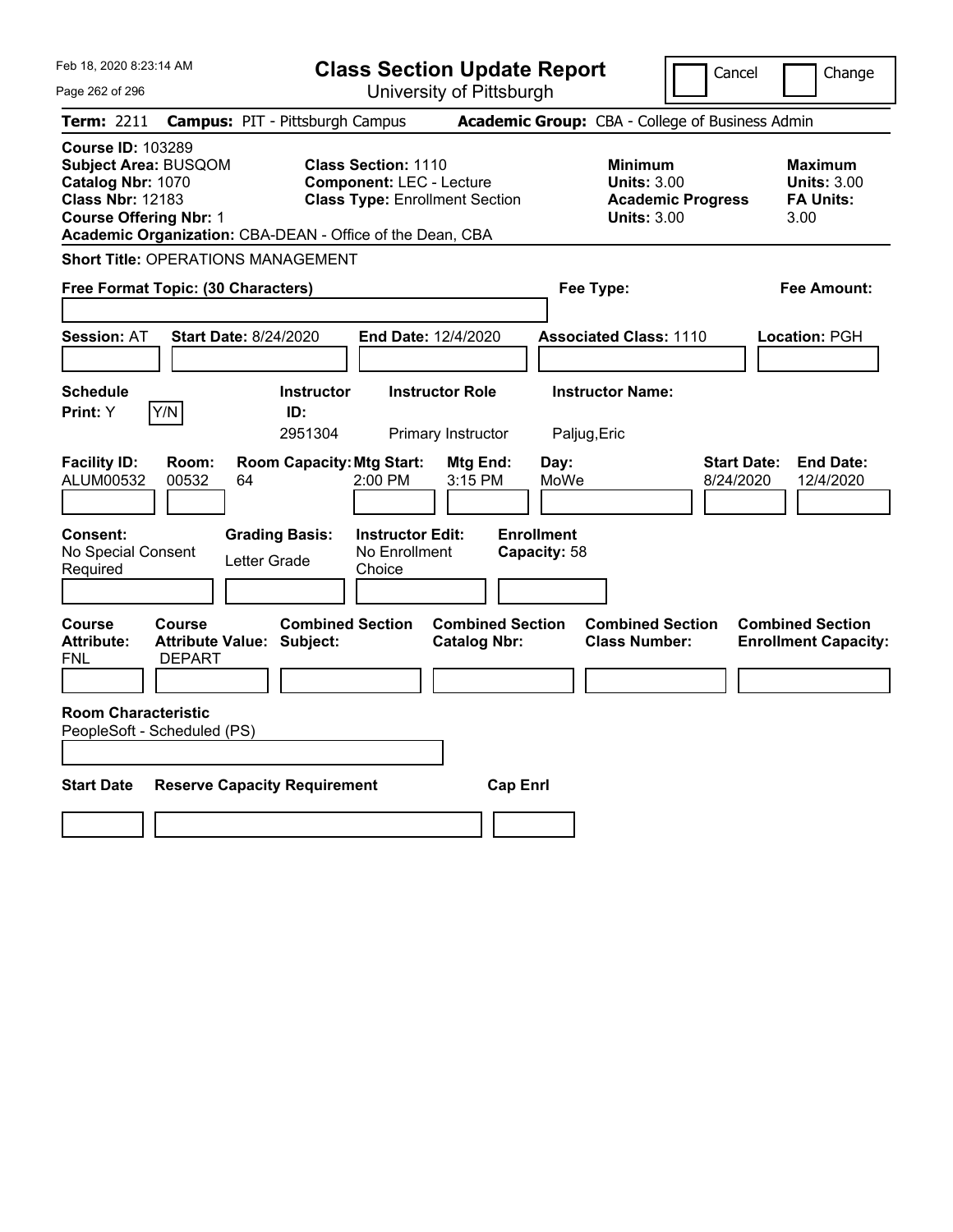| Feb 18, 2020 8:23:14 AM                                                                                                                                                                               |                                                                                                        | <b>Class Section Update Report</b>             |                                                                                        | Cancel<br>Change                                                 |
|-------------------------------------------------------------------------------------------------------------------------------------------------------------------------------------------------------|--------------------------------------------------------------------------------------------------------|------------------------------------------------|----------------------------------------------------------------------------------------|------------------------------------------------------------------|
| Page 262 of 296                                                                                                                                                                                       |                                                                                                        | University of Pittsburgh                       |                                                                                        |                                                                  |
| Term: 2211                                                                                                                                                                                            | <b>Campus: PIT - Pittsburgh Campus</b>                                                                 |                                                | Academic Group: CBA - College of Business Admin                                        |                                                                  |
| <b>Course ID: 103289</b><br><b>Subject Area: BUSQOM</b><br>Catalog Nbr: 1070<br><b>Class Nbr: 12183</b><br><b>Course Offering Nbr: 1</b><br>Academic Organization: CBA-DEAN - Office of the Dean, CBA | <b>Class Section: 1110</b><br><b>Component: LEC - Lecture</b><br><b>Class Type: Enrollment Section</b> |                                                | <b>Minimum</b><br><b>Units: 3.00</b><br><b>Academic Progress</b><br><b>Units: 3.00</b> | <b>Maximum</b><br><b>Units: 3.00</b><br><b>FA Units:</b><br>3.00 |
| <b>Short Title: OPERATIONS MANAGEMENT</b>                                                                                                                                                             |                                                                                                        |                                                |                                                                                        |                                                                  |
| Free Format Topic: (30 Characters)                                                                                                                                                                    |                                                                                                        |                                                | Fee Type:                                                                              | Fee Amount:                                                      |
| <b>Session: AT</b><br><b>Start Date: 8/24/2020</b>                                                                                                                                                    |                                                                                                        | <b>End Date: 12/4/2020</b>                     | <b>Associated Class: 1110</b>                                                          | Location: PGH                                                    |
| <b>Schedule</b><br>Y/N<br>Print: Y                                                                                                                                                                    | <b>Instructor</b><br>ID:<br>2951304                                                                    | <b>Instructor Role</b><br>Primary Instructor   | <b>Instructor Name:</b><br>Paljug, Eric                                                |                                                                  |
| <b>Facility ID:</b><br>Room:<br>ALUM00532<br>00532<br>64                                                                                                                                              | <b>Room Capacity: Mtg Start:</b><br>2:00 PM                                                            | Mtg End:<br>3:15 PM                            | Day:<br>MoWe                                                                           | <b>Start Date:</b><br><b>End Date:</b><br>8/24/2020<br>12/4/2020 |
| Consent:<br>No Special Consent<br>Required                                                                                                                                                            | <b>Instructor Edit:</b><br><b>Grading Basis:</b><br>No Enrollment<br>Letter Grade<br>Choice            | <b>Enrollment</b><br>Capacity: 58              |                                                                                        |                                                                  |
| Course<br>Course<br><b>Attribute:</b><br><b>Attribute Value: Subject:</b><br><b>DEPART</b><br>FNL                                                                                                     | <b>Combined Section</b>                                                                                | <b>Combined Section</b><br><b>Catalog Nbr:</b> | <b>Combined Section</b><br><b>Class Number:</b>                                        | <b>Combined Section</b><br><b>Enrollment Capacity:</b>           |
| <b>Room Characteristic</b><br>PeopleSoft - Scheduled (PS)                                                                                                                                             |                                                                                                        |                                                |                                                                                        |                                                                  |
| <b>Start Date</b>                                                                                                                                                                                     | <b>Reserve Capacity Requirement</b>                                                                    | <b>Cap Enrl</b>                                |                                                                                        |                                                                  |
|                                                                                                                                                                                                       |                                                                                                        |                                                |                                                                                        |                                                                  |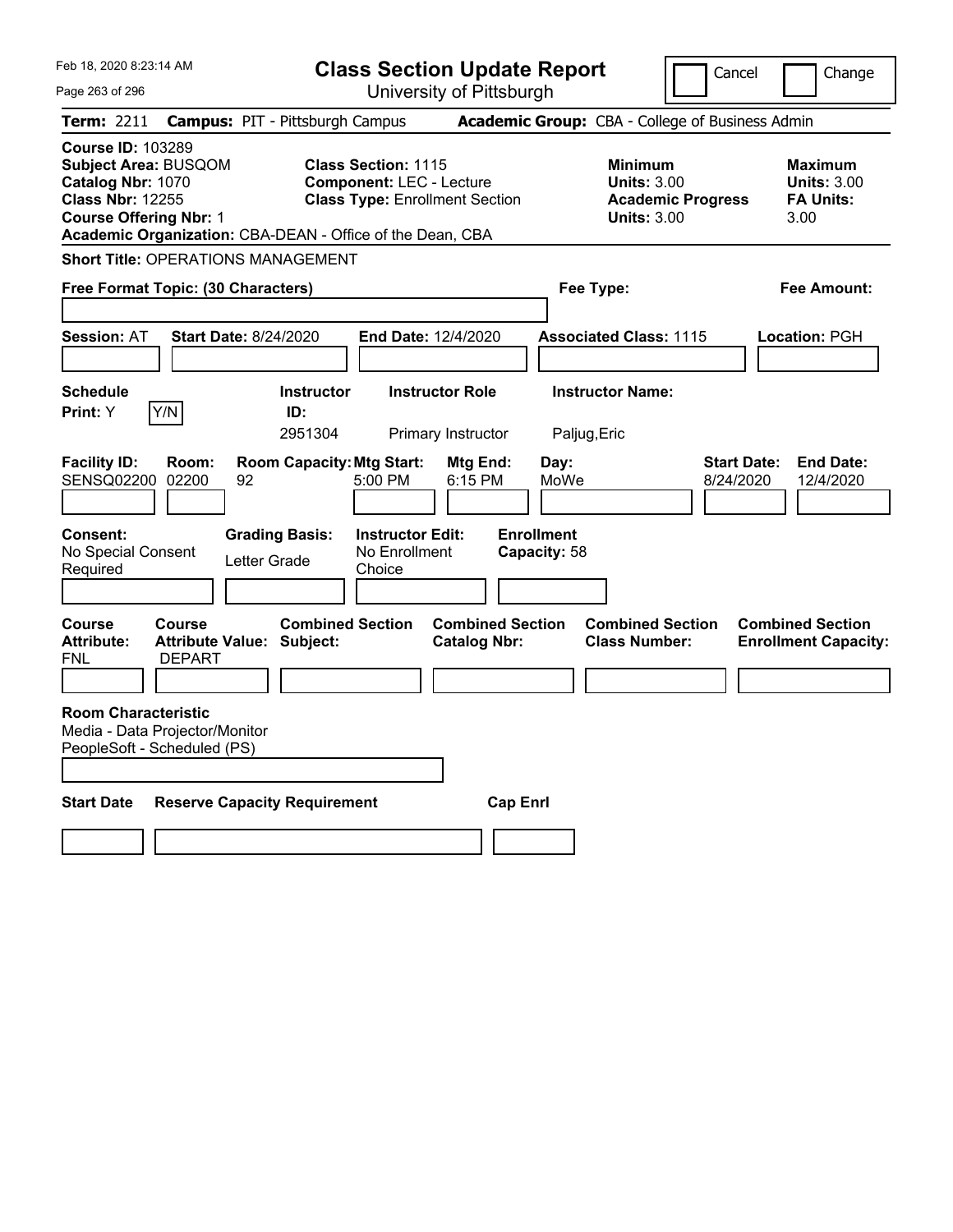| Feb 18, 2020 8:23:14 AM                                                                                                                  |                         |                                                             | <b>Class Section Update Report</b>                                                                     |                                                |                 |                                   |                                                            |                          | Cancel                          | Change                                                           |
|------------------------------------------------------------------------------------------------------------------------------------------|-------------------------|-------------------------------------------------------------|--------------------------------------------------------------------------------------------------------|------------------------------------------------|-----------------|-----------------------------------|------------------------------------------------------------|--------------------------|---------------------------------|------------------------------------------------------------------|
| Page 263 of 296                                                                                                                          |                         |                                                             | University of Pittsburgh                                                                               |                                                |                 |                                   |                                                            |                          |                                 |                                                                  |
| <b>Term: 2211</b>                                                                                                                        |                         | <b>Campus: PIT - Pittsburgh Campus</b>                      |                                                                                                        |                                                |                 |                                   | Academic Group: CBA - College of Business Admin            |                          |                                 |                                                                  |
| <b>Course ID: 103289</b><br><b>Subject Area: BUSQOM</b><br>Catalog Nbr: 1070<br><b>Class Nbr: 12255</b><br><b>Course Offering Nbr: 1</b> |                         | Academic Organization: CBA-DEAN - Office of the Dean, CBA   | <b>Class Section: 1115</b><br><b>Component: LEC - Lecture</b><br><b>Class Type: Enrollment Section</b> |                                                |                 |                                   | <b>Minimum</b><br><b>Units: 3.00</b><br><b>Units: 3.00</b> | <b>Academic Progress</b> |                                 | <b>Maximum</b><br><b>Units: 3.00</b><br><b>FA Units:</b><br>3.00 |
|                                                                                                                                          |                         | <b>Short Title: OPERATIONS MANAGEMENT</b>                   |                                                                                                        |                                                |                 |                                   |                                                            |                          |                                 |                                                                  |
| Free Format Topic: (30 Characters)                                                                                                       |                         |                                                             |                                                                                                        |                                                |                 | Fee Type:                         |                                                            |                          |                                 | Fee Amount:                                                      |
|                                                                                                                                          |                         |                                                             |                                                                                                        |                                                |                 |                                   |                                                            |                          |                                 |                                                                  |
| <b>Session: AT</b>                                                                                                                       |                         | <b>Start Date: 8/24/2020</b>                                | End Date: 12/4/2020                                                                                    |                                                |                 |                                   | <b>Associated Class: 1115</b>                              |                          |                                 | <b>Location: PGH</b>                                             |
|                                                                                                                                          |                         |                                                             |                                                                                                        |                                                |                 |                                   |                                                            |                          |                                 |                                                                  |
| <b>Schedule</b>                                                                                                                          |                         | <b>Instructor</b>                                           |                                                                                                        | <b>Instructor Role</b>                         |                 |                                   | <b>Instructor Name:</b>                                    |                          |                                 |                                                                  |
| <b>Print: Y</b>                                                                                                                          | Y/N                     | ID:                                                         |                                                                                                        |                                                |                 |                                   |                                                            |                          |                                 |                                                                  |
|                                                                                                                                          |                         | 2951304                                                     |                                                                                                        | Primary Instructor                             |                 | Paljug, Eric                      |                                                            |                          |                                 |                                                                  |
| <b>Facility ID:</b><br><b>SENSQ02200</b>                                                                                                 | Room:<br>02200          | <b>Room Capacity: Mtg Start:</b><br>92                      | 5:00 PM                                                                                                | Mtg End:<br>6:15 PM                            |                 | Day:<br>MoWe                      |                                                            |                          | <b>Start Date:</b><br>8/24/2020 | <b>End Date:</b><br>12/4/2020                                    |
| Consent:<br>No Special Consent<br>Required                                                                                               |                         | <b>Grading Basis:</b><br>Letter Grade                       | <b>Instructor Edit:</b><br>No Enrollment<br>Choice                                                     |                                                |                 | <b>Enrollment</b><br>Capacity: 58 |                                                            |                          |                                 |                                                                  |
| Course<br><b>Attribute:</b><br>FNL                                                                                                       | Course<br><b>DEPART</b> | <b>Combined Section</b><br><b>Attribute Value: Subject:</b> |                                                                                                        | <b>Combined Section</b><br><b>Catalog Nbr:</b> |                 |                                   | <b>Combined Section</b><br><b>Class Number:</b>            |                          |                                 | <b>Combined Section</b><br><b>Enrollment Capacity:</b>           |
| <b>Room Characteristic</b><br>Media - Data Projector/Monitor<br>PeopleSoft - Scheduled (PS)                                              |                         |                                                             |                                                                                                        |                                                |                 |                                   |                                                            |                          |                                 |                                                                  |
| <b>Start Date</b>                                                                                                                        |                         | <b>Reserve Capacity Requirement</b>                         |                                                                                                        |                                                | <b>Cap Enri</b> |                                   |                                                            |                          |                                 |                                                                  |
|                                                                                                                                          |                         |                                                             |                                                                                                        |                                                |                 |                                   |                                                            |                          |                                 |                                                                  |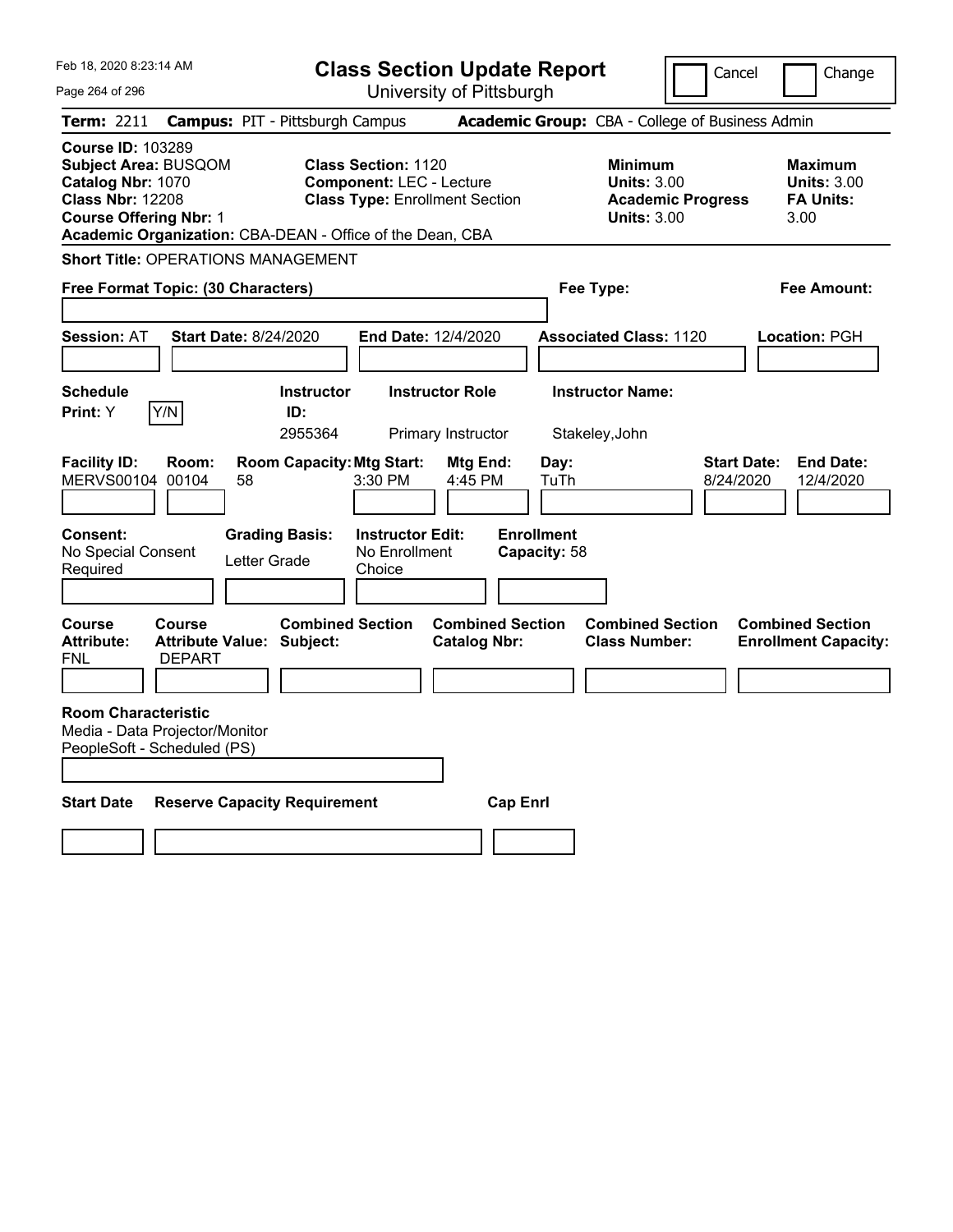| Feb 18, 2020 8:23:14 AM                                                                                                                  |                                                               |                                                                           | <b>Class Section Update Report</b>                                                                     |                                                |                                                   |                                                            | Cancel                                          | Change                                                    |
|------------------------------------------------------------------------------------------------------------------------------------------|---------------------------------------------------------------|---------------------------------------------------------------------------|--------------------------------------------------------------------------------------------------------|------------------------------------------------|---------------------------------------------------|------------------------------------------------------------|-------------------------------------------------|-----------------------------------------------------------|
| Page 264 of 296                                                                                                                          |                                                               |                                                                           |                                                                                                        | University of Pittsburgh                       |                                                   |                                                            |                                                 |                                                           |
| Term: 2211                                                                                                                               |                                                               | <b>Campus: PIT - Pittsburgh Campus</b>                                    |                                                                                                        |                                                |                                                   |                                                            | Academic Group: CBA - College of Business Admin |                                                           |
| <b>Course ID: 103289</b><br><b>Subject Area: BUSQOM</b><br>Catalog Nbr: 1070<br><b>Class Nbr: 12208</b><br><b>Course Offering Nbr: 1</b> |                                                               | Academic Organization: CBA-DEAN - Office of the Dean, CBA                 | <b>Class Section: 1120</b><br><b>Component: LEC - Lecture</b><br><b>Class Type: Enrollment Section</b> |                                                |                                                   | <b>Minimum</b><br><b>Units: 3.00</b><br><b>Units: 3.00</b> | <b>Academic Progress</b>                        | Maximum<br><b>Units: 3.00</b><br><b>FA Units:</b><br>3.00 |
|                                                                                                                                          |                                                               | <b>Short Title: OPERATIONS MANAGEMENT</b>                                 |                                                                                                        |                                                |                                                   |                                                            |                                                 |                                                           |
|                                                                                                                                          | Free Format Topic: (30 Characters)                            |                                                                           |                                                                                                        |                                                |                                                   | Fee Type:                                                  |                                                 | Fee Amount:                                               |
|                                                                                                                                          |                                                               |                                                                           |                                                                                                        |                                                |                                                   |                                                            |                                                 |                                                           |
| <b>Session: AT</b>                                                                                                                       | <b>Start Date: 8/24/2020</b>                                  |                                                                           | <b>End Date: 12/4/2020</b>                                                                             |                                                |                                                   | <b>Associated Class: 1120</b>                              |                                                 | Location: PGH                                             |
|                                                                                                                                          |                                                               |                                                                           |                                                                                                        |                                                |                                                   |                                                            |                                                 |                                                           |
| <b>Schedule</b>                                                                                                                          |                                                               | <b>Instructor</b>                                                         |                                                                                                        | <b>Instructor Role</b>                         |                                                   | <b>Instructor Name:</b>                                    |                                                 |                                                           |
| Print: Y                                                                                                                                 | Y/N                                                           | ID:<br>2955364                                                            |                                                                                                        | Primary Instructor                             |                                                   | Stakeley, John                                             |                                                 |                                                           |
| <b>Facility ID:</b><br><b>MERVS00104</b><br><b>Consent:</b><br>No Special Consent<br>Required                                            | Room:<br>00104<br>58                                          | <b>Room Capacity: Mtg Start:</b><br><b>Grading Basis:</b><br>Letter Grade | 3:30 PM<br><b>Instructor Edit:</b><br>No Enrollment<br>Choice                                          | Mtg End:<br>4:45 PM                            | Day:<br>TuTh<br><b>Enrollment</b><br>Capacity: 58 |                                                            | <b>Start Date:</b><br>8/24/2020                 | <b>End Date:</b><br>12/4/2020                             |
| Course<br><b>Attribute:</b><br>FNL                                                                                                       | <b>Course</b><br><b>DEPART</b>                                | <b>Combined Section</b><br>Attribute Value: Subject:                      |                                                                                                        | <b>Combined Section</b><br><b>Catalog Nbr:</b> |                                                   | <b>Combined Section</b><br><b>Class Number:</b>            |                                                 | <b>Combined Section</b><br><b>Enrollment Capacity:</b>    |
| <b>Room Characteristic</b>                                                                                                               | Media - Data Projector/Monitor<br>PeopleSoft - Scheduled (PS) |                                                                           |                                                                                                        |                                                |                                                   |                                                            |                                                 |                                                           |
| <b>Start Date</b>                                                                                                                        |                                                               | <b>Reserve Capacity Requirement</b>                                       |                                                                                                        |                                                | <b>Cap Enri</b>                                   |                                                            |                                                 |                                                           |
|                                                                                                                                          |                                                               |                                                                           |                                                                                                        |                                                |                                                   |                                                            |                                                 |                                                           |
|                                                                                                                                          |                                                               |                                                                           |                                                                                                        |                                                |                                                   |                                                            |                                                 |                                                           |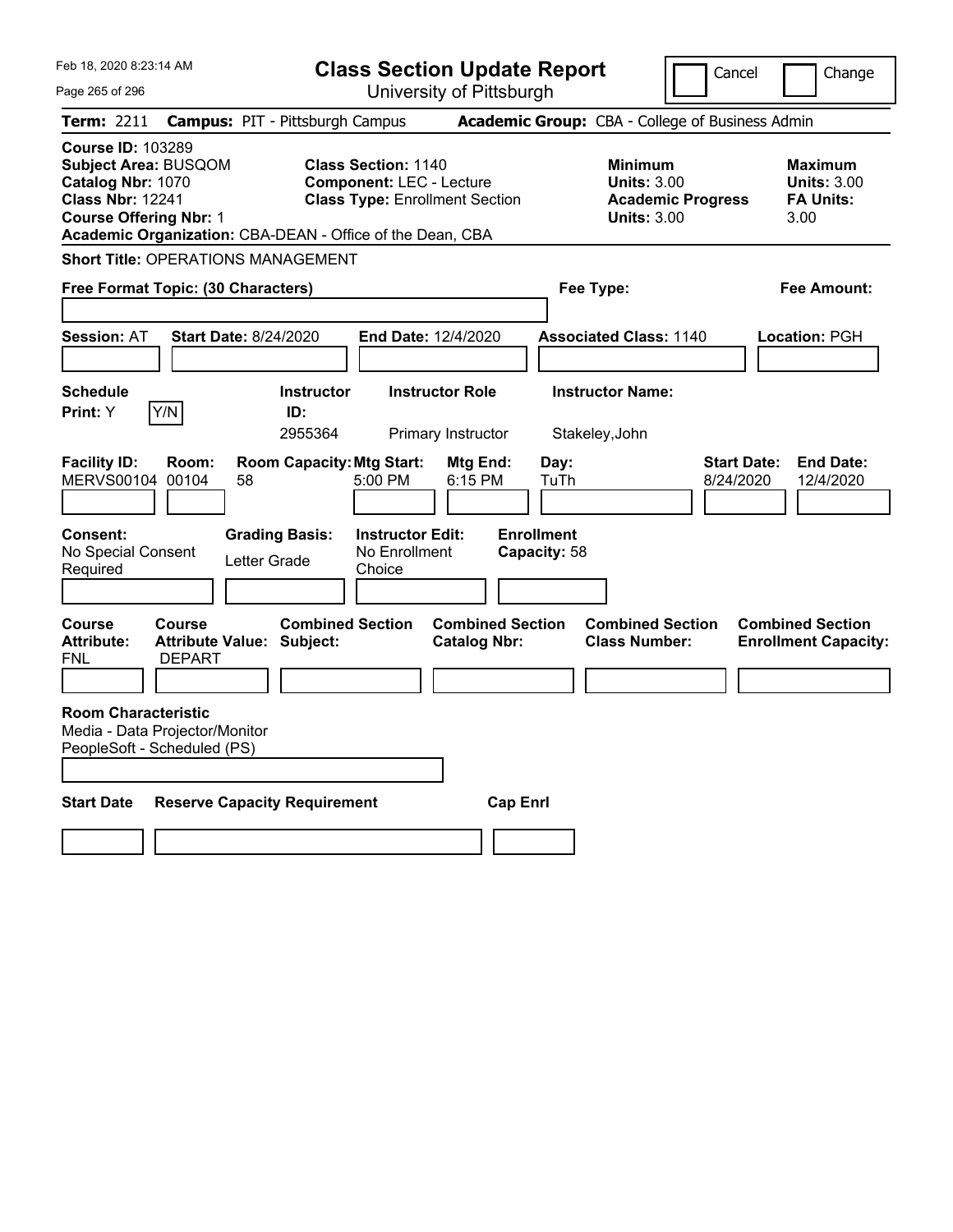| Feb 18, 2020 8:23:14 AM                                                                                                                  |                                |                                                                                 | <b>Class Section Update Report</b>                                                                     |                                                |                                                   |                                                            | Cancel                   | Change                                                    |
|------------------------------------------------------------------------------------------------------------------------------------------|--------------------------------|---------------------------------------------------------------------------------|--------------------------------------------------------------------------------------------------------|------------------------------------------------|---------------------------------------------------|------------------------------------------------------------|--------------------------|-----------------------------------------------------------|
| Page 265 of 296                                                                                                                          |                                |                                                                                 |                                                                                                        | University of Pittsburgh                       |                                                   |                                                            |                          |                                                           |
| <b>Term: 2211</b>                                                                                                                        |                                | <b>Campus: PIT - Pittsburgh Campus</b>                                          |                                                                                                        |                                                |                                                   | Academic Group: CBA - College of Business Admin            |                          |                                                           |
| <b>Course ID: 103289</b><br><b>Subject Area: BUSQOM</b><br>Catalog Nbr: 1070<br><b>Class Nbr: 12241</b><br><b>Course Offering Nbr: 1</b> |                                | Academic Organization: CBA-DEAN - Office of the Dean, CBA                       | <b>Class Section: 1140</b><br><b>Component: LEC - Lecture</b><br><b>Class Type: Enrollment Section</b> |                                                |                                                   | <b>Minimum</b><br><b>Units: 3.00</b><br><b>Units: 3.00</b> | <b>Academic Progress</b> | Maximum<br><b>Units: 3.00</b><br><b>FA Units:</b><br>3.00 |
|                                                                                                                                          |                                | <b>Short Title: OPERATIONS MANAGEMENT</b>                                       |                                                                                                        |                                                |                                                   |                                                            |                          |                                                           |
| Free Format Topic: (30 Characters)                                                                                                       |                                |                                                                                 |                                                                                                        |                                                |                                                   | Fee Type:                                                  |                          | Fee Amount:                                               |
|                                                                                                                                          |                                |                                                                                 |                                                                                                        |                                                |                                                   |                                                            |                          |                                                           |
| <b>Session: AT</b>                                                                                                                       |                                | <b>Start Date: 8/24/2020</b>                                                    | End Date: 12/4/2020                                                                                    |                                                |                                                   | <b>Associated Class: 1140</b>                              |                          | Location: PGH                                             |
|                                                                                                                                          |                                |                                                                                 |                                                                                                        |                                                |                                                   |                                                            |                          |                                                           |
| <b>Schedule</b>                                                                                                                          |                                | <b>Instructor</b>                                                               |                                                                                                        | <b>Instructor Role</b>                         |                                                   | <b>Instructor Name:</b>                                    |                          |                                                           |
| Print: Y                                                                                                                                 | Y/N                            | ID:<br>2955364                                                                  |                                                                                                        | Primary Instructor                             |                                                   | Stakeley, John                                             |                          |                                                           |
| <b>Facility ID:</b><br><b>MERVS00104</b><br><b>Consent:</b><br>No Special Consent<br>Required                                            | Room:<br>00104                 | <b>Room Capacity: Mtg Start:</b><br>58<br><b>Grading Basis:</b><br>Letter Grade | 5:00 PM<br><b>Instructor Edit:</b><br>No Enrollment<br>Choice                                          | Mtg End:<br>6:15 PM                            | Day:<br>TuTh<br><b>Enrollment</b><br>Capacity: 58 |                                                            | 8/24/2020                | <b>Start Date:</b><br><b>End Date:</b><br>12/4/2020       |
| <b>Course</b><br><b>Attribute:</b><br>FNL                                                                                                | <b>Course</b><br><b>DEPART</b> | <b>Combined Section</b><br><b>Attribute Value: Subject:</b>                     |                                                                                                        | <b>Combined Section</b><br><b>Catalog Nbr:</b> |                                                   | <b>Combined Section</b><br><b>Class Number:</b>            |                          | <b>Combined Section</b><br><b>Enrollment Capacity:</b>    |
| <b>Room Characteristic</b><br>Media - Data Projector/Monitor<br>PeopleSoft - Scheduled (PS)                                              |                                |                                                                                 |                                                                                                        |                                                |                                                   |                                                            |                          |                                                           |
| <b>Start Date</b>                                                                                                                        |                                | <b>Reserve Capacity Requirement</b>                                             |                                                                                                        |                                                | <b>Cap Enri</b>                                   |                                                            |                          |                                                           |
|                                                                                                                                          |                                |                                                                                 |                                                                                                        |                                                |                                                   |                                                            |                          |                                                           |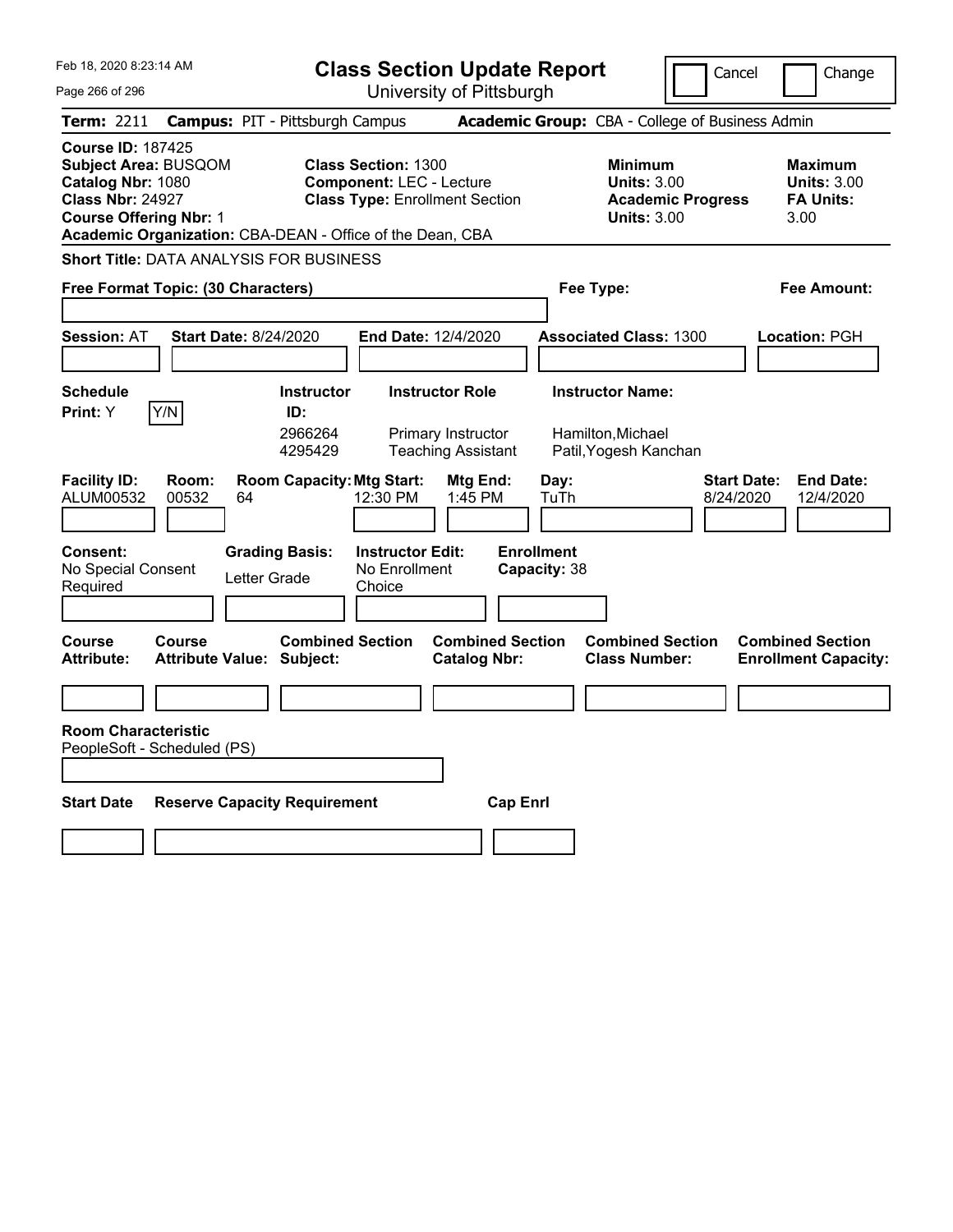| Feb 18, 2020 8:23:14 AM                                                                                                                                                                        | <b>Class Section Update Report</b>                                                                                          |                                                |                                                                                        | Cancel<br>Change                                                 |
|------------------------------------------------------------------------------------------------------------------------------------------------------------------------------------------------|-----------------------------------------------------------------------------------------------------------------------------|------------------------------------------------|----------------------------------------------------------------------------------------|------------------------------------------------------------------|
| Page 266 of 296                                                                                                                                                                                |                                                                                                                             | University of Pittsburgh                       |                                                                                        |                                                                  |
| <b>Term: 2211</b>                                                                                                                                                                              | <b>Campus: PIT - Pittsburgh Campus</b>                                                                                      |                                                | Academic Group: CBA - College of Business Admin                                        |                                                                  |
| <b>Course ID: 187425</b><br>Subject Area: BUSQOM<br>Catalog Nbr: 1080<br><b>Class Nbr: 24927</b><br><b>Course Offering Nbr: 1</b><br>Academic Organization: CBA-DEAN - Office of the Dean, CBA | <b>Class Section: 1300</b><br><b>Component: LEC - Lecture</b><br><b>Class Type: Enrollment Section</b>                      |                                                | <b>Minimum</b><br><b>Units: 3.00</b><br><b>Academic Progress</b><br><b>Units: 3.00</b> | Maximum<br><b>Units: 3.00</b><br><b>FA Units:</b><br>3.00        |
| <b>Short Title: DATA ANALYSIS FOR BUSINESS</b>                                                                                                                                                 |                                                                                                                             |                                                |                                                                                        |                                                                  |
| Free Format Topic: (30 Characters)                                                                                                                                                             |                                                                                                                             |                                                | Fee Type:                                                                              | Fee Amount:                                                      |
| <b>Session: AT</b><br><b>Start Date: 8/24/2020</b>                                                                                                                                             | End Date: 12/4/2020                                                                                                         |                                                | <b>Associated Class: 1300</b>                                                          | Location: PGH                                                    |
| <b>Schedule</b><br>Y/N<br><b>Print:</b> Y                                                                                                                                                      | <b>Instructor Role</b><br><b>Instructor</b><br>ID:<br>2966264<br>Primary Instructor<br>4295429<br><b>Teaching Assistant</b> |                                                | <b>Instructor Name:</b><br>Hamilton, Michael<br>Patil, Yogesh Kanchan                  |                                                                  |
| <b>Facility ID:</b><br>Room:<br>ALUM00532<br>00532<br>64                                                                                                                                       | <b>Room Capacity: Mtg Start:</b><br>12:30 PM                                                                                | Mtg End:<br>Day:<br>1:45 PM<br>TuTh            |                                                                                        | <b>End Date:</b><br><b>Start Date:</b><br>8/24/2020<br>12/4/2020 |
| <b>Grading Basis:</b><br><b>Consent:</b><br>No Special Consent<br>Letter Grade<br>Required                                                                                                     | <b>Instructor Edit:</b><br>No Enrollment<br>Choice                                                                          | <b>Enrollment</b><br>Capacity: 38              |                                                                                        |                                                                  |
| Course<br>Course<br><b>Attribute:</b><br>Attribute Value: Subject:                                                                                                                             | <b>Combined Section</b>                                                                                                     | <b>Combined Section</b><br><b>Catalog Nbr:</b> | <b>Combined Section</b><br><b>Class Number:</b>                                        | <b>Combined Section</b><br><b>Enrollment Capacity:</b>           |
|                                                                                                                                                                                                |                                                                                                                             |                                                |                                                                                        |                                                                  |
| <b>Room Characteristic</b><br>PeopleSoft - Scheduled (PS)                                                                                                                                      |                                                                                                                             |                                                |                                                                                        |                                                                  |
| <b>Start Date</b><br><b>Reserve Capacity Requirement</b>                                                                                                                                       |                                                                                                                             | <b>Cap Enrl</b>                                |                                                                                        |                                                                  |
|                                                                                                                                                                                                |                                                                                                                             |                                                |                                                                                        |                                                                  |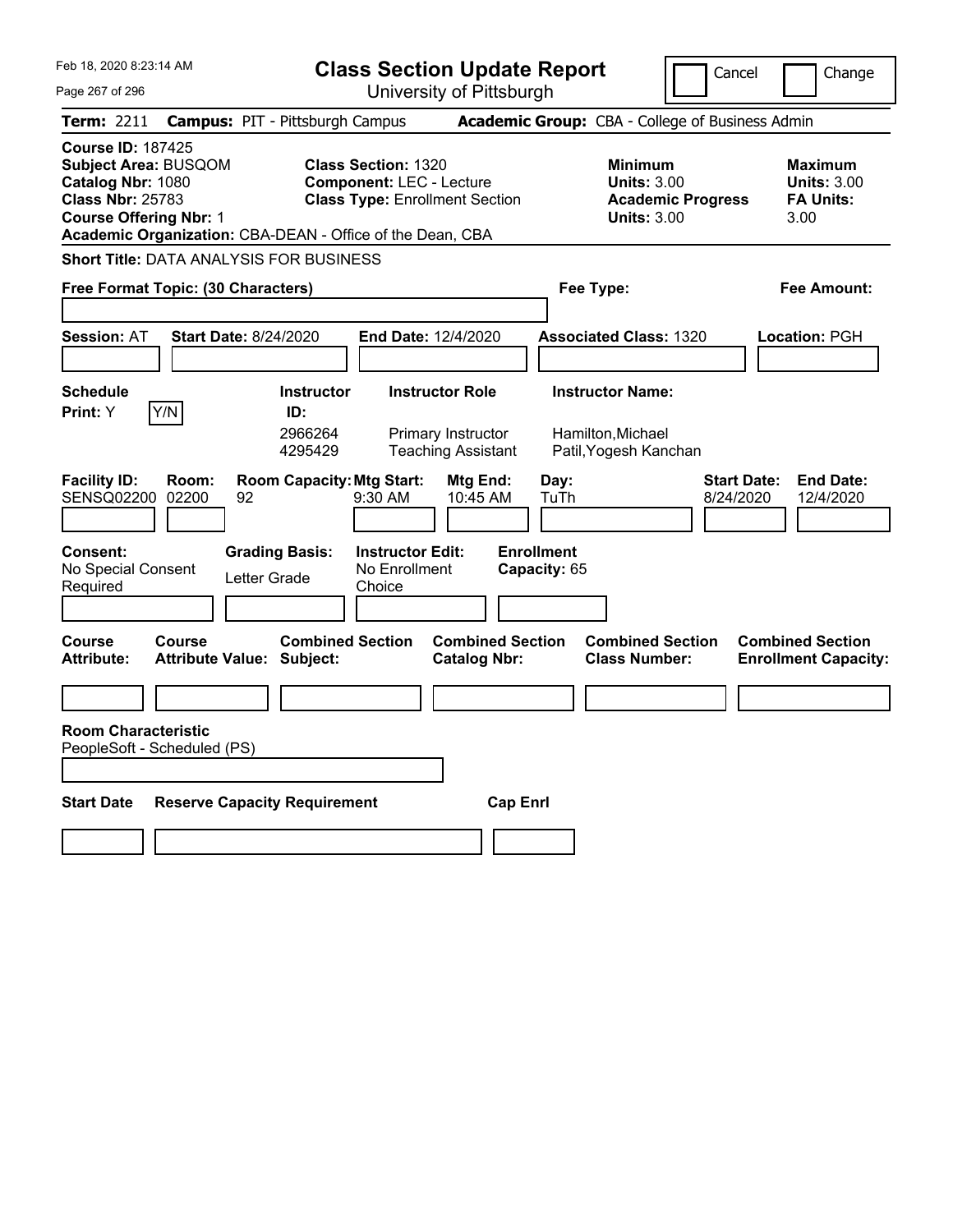| Feb 18, 2020 8:23:14 AM                                                                                                                                                                               | <b>Class Section Update Report</b>                                                                                          |                                                |                                                                                        | Cancel<br>Change                                                 |
|-------------------------------------------------------------------------------------------------------------------------------------------------------------------------------------------------------|-----------------------------------------------------------------------------------------------------------------------------|------------------------------------------------|----------------------------------------------------------------------------------------|------------------------------------------------------------------|
| Page 267 of 296                                                                                                                                                                                       | University of Pittsburgh                                                                                                    |                                                |                                                                                        |                                                                  |
| <b>Term: 2211</b>                                                                                                                                                                                     | <b>Campus: PIT - Pittsburgh Campus</b>                                                                                      |                                                | Academic Group: CBA - College of Business Admin                                        |                                                                  |
| <b>Course ID: 187425</b><br><b>Subject Area: BUSQOM</b><br>Catalog Nbr: 1080<br><b>Class Nbr: 25783</b><br><b>Course Offering Nbr: 1</b><br>Academic Organization: CBA-DEAN - Office of the Dean, CBA | <b>Class Section: 1320</b><br><b>Component: LEC - Lecture</b><br><b>Class Type: Enrollment Section</b>                      |                                                | <b>Minimum</b><br><b>Units: 3.00</b><br><b>Academic Progress</b><br><b>Units: 3.00</b> | Maximum<br><b>Units: 3.00</b><br><b>FA Units:</b><br>3.00        |
| <b>Short Title: DATA ANALYSIS FOR BUSINESS</b>                                                                                                                                                        |                                                                                                                             |                                                |                                                                                        |                                                                  |
| Free Format Topic: (30 Characters)                                                                                                                                                                    |                                                                                                                             |                                                | Fee Type:                                                                              | Fee Amount:                                                      |
| <b>Start Date: 8/24/2020</b><br><b>Session: AT</b>                                                                                                                                                    | End Date: 12/4/2020                                                                                                         |                                                | <b>Associated Class: 1320</b>                                                          | Location: PGH                                                    |
| <b>Schedule</b><br>Y/N<br>Print: Y                                                                                                                                                                    | <b>Instructor Role</b><br><b>Instructor</b><br>ID:<br>2966264<br>Primary Instructor<br>4295429<br><b>Teaching Assistant</b> |                                                | <b>Instructor Name:</b><br>Hamilton, Michael<br>Patil, Yogesh Kanchan                  |                                                                  |
| <b>Facility ID:</b><br>Room:<br><b>SENSQ02200</b><br>02200<br>92                                                                                                                                      | <b>Room Capacity: Mtg Start:</b><br>9:30 AM                                                                                 | Mtg End:<br>Day:<br>10:45 AM<br>TuTh           |                                                                                        | <b>Start Date:</b><br><b>End Date:</b><br>8/24/2020<br>12/4/2020 |
| <b>Grading Basis:</b><br><b>Consent:</b><br>No Special Consent<br>Letter Grade<br>Required                                                                                                            | <b>Instructor Edit:</b><br>No Enrollment<br>Choice                                                                          | <b>Enrollment</b><br>Capacity: 65              |                                                                                        |                                                                  |
| <b>Course</b><br><b>Course</b><br><b>Attribute:</b><br><b>Attribute Value: Subject:</b>                                                                                                               | <b>Combined Section</b>                                                                                                     | <b>Combined Section</b><br><b>Catalog Nbr:</b> | <b>Combined Section</b><br><b>Class Number:</b>                                        | <b>Combined Section</b><br><b>Enrollment Capacity:</b>           |
|                                                                                                                                                                                                       |                                                                                                                             |                                                |                                                                                        |                                                                  |
| <b>Room Characteristic</b><br>PeopleSoft - Scheduled (PS)                                                                                                                                             |                                                                                                                             |                                                |                                                                                        |                                                                  |
| <b>Start Date</b><br><b>Reserve Capacity Requirement</b>                                                                                                                                              |                                                                                                                             | <b>Cap Enrl</b>                                |                                                                                        |                                                                  |
|                                                                                                                                                                                                       |                                                                                                                             |                                                |                                                                                        |                                                                  |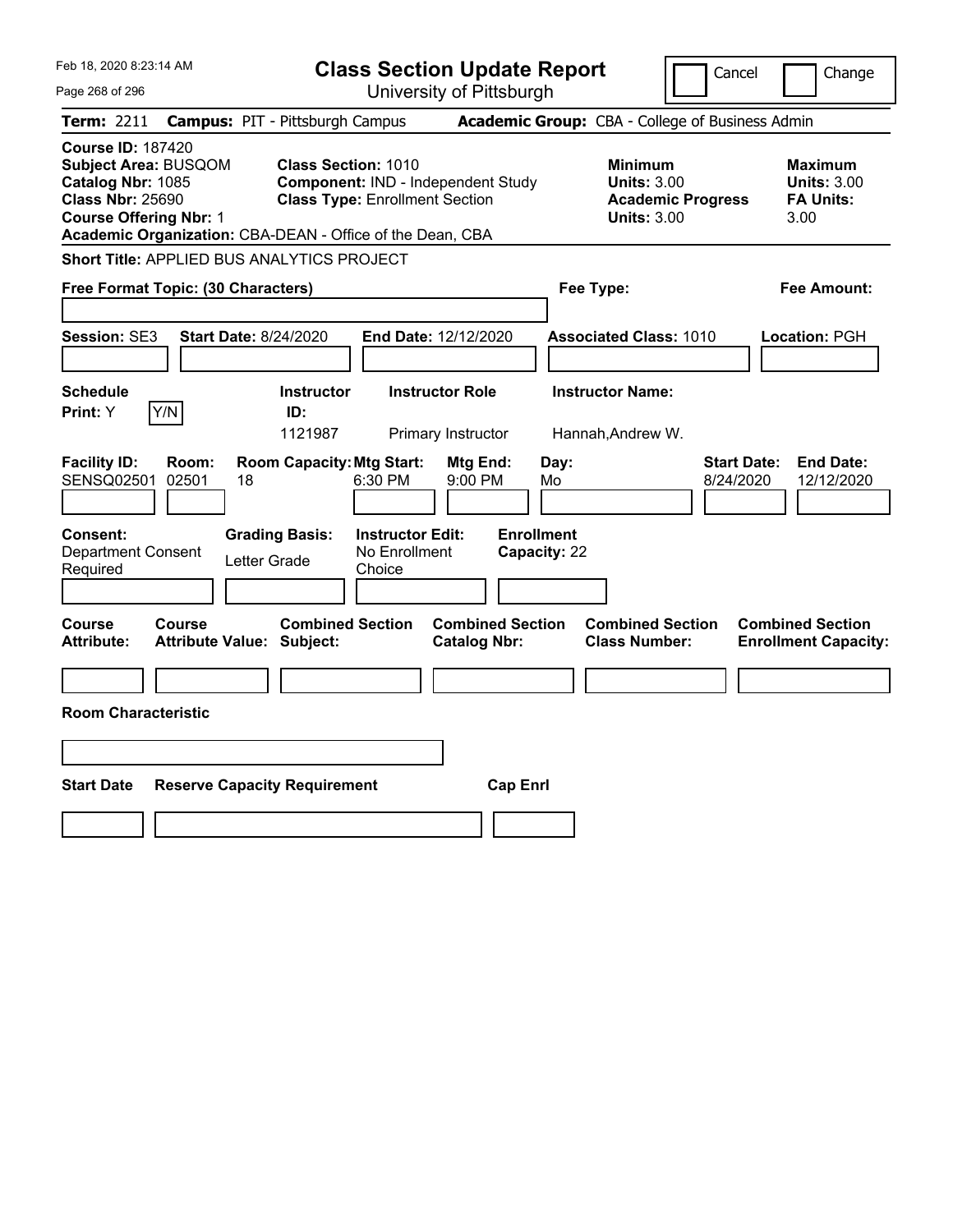| Feb 18, 2020 8:23:14 AM                                                                                                                                                                               |                                                                     | <b>Class Section Update Report</b>                            |                                                            | Cancel<br>Change                                                                             |
|-------------------------------------------------------------------------------------------------------------------------------------------------------------------------------------------------------|---------------------------------------------------------------------|---------------------------------------------------------------|------------------------------------------------------------|----------------------------------------------------------------------------------------------|
| Page 268 of 296                                                                                                                                                                                       |                                                                     | University of Pittsburgh                                      |                                                            |                                                                                              |
| Term: 2211                                                                                                                                                                                            | <b>Campus: PIT - Pittsburgh Campus</b>                              |                                                               | Academic Group: CBA - College of Business Admin            |                                                                                              |
| <b>Course ID: 187420</b><br><b>Subject Area: BUSQOM</b><br>Catalog Nbr: 1085<br><b>Class Nbr: 25690</b><br><b>Course Offering Nbr: 1</b><br>Academic Organization: CBA-DEAN - Office of the Dean, CBA | <b>Class Section: 1010</b><br><b>Class Type: Enrollment Section</b> | Component: IND - Independent Study                            | <b>Minimum</b><br><b>Units: 3.00</b><br><b>Units: 3.00</b> | <b>Maximum</b><br><b>Units: 3.00</b><br><b>Academic Progress</b><br><b>FA Units:</b><br>3.00 |
| Short Title: APPLIED BUS ANALYTICS PROJECT                                                                                                                                                            |                                                                     |                                                               |                                                            |                                                                                              |
| Free Format Topic: (30 Characters)                                                                                                                                                                    |                                                                     |                                                               | Fee Type:                                                  | Fee Amount:                                                                                  |
| Session: SE3                                                                                                                                                                                          | <b>Start Date: 8/24/2020</b>                                        | End Date: 12/12/2020                                          | <b>Associated Class: 1010</b>                              | Location: PGH                                                                                |
| <b>Schedule</b><br>Y/N<br><b>Print:</b> Y                                                                                                                                                             | <b>Instructor</b><br>ID:<br>1121987                                 | <b>Instructor Role</b><br>Primary Instructor                  | <b>Instructor Name:</b><br>Hannah, Andrew W.               |                                                                                              |
| <b>Facility ID:</b><br>Room:<br>SENSQ02501<br>02501                                                                                                                                                   | <b>Room Capacity: Mtg Start:</b><br>18<br>6:30 PM                   | Mtg End:<br>9:00 PM                                           | Day:<br>Mo                                                 | <b>End Date:</b><br><b>Start Date:</b><br>8/24/2020<br>12/12/2020                            |
| Consent:<br><b>Department Consent</b><br>Required                                                                                                                                                     | <b>Grading Basis:</b><br>Letter Grade<br>Choice                     | <b>Enrollment</b><br><b>Instructor Edit:</b><br>No Enrollment | Capacity: 22                                               |                                                                                              |
| Course<br>Course<br><b>Attribute:</b>                                                                                                                                                                 | <b>Combined Section</b><br><b>Attribute Value: Subject:</b>         | <b>Combined Section</b><br><b>Catalog Nbr:</b>                | <b>Combined Section</b><br><b>Class Number:</b>            | <b>Combined Section</b><br><b>Enrollment Capacity:</b>                                       |
|                                                                                                                                                                                                       |                                                                     |                                                               |                                                            |                                                                                              |
| <b>Room Characteristic</b>                                                                                                                                                                            |                                                                     |                                                               |                                                            |                                                                                              |
|                                                                                                                                                                                                       |                                                                     |                                                               |                                                            |                                                                                              |
| <b>Start Date</b>                                                                                                                                                                                     | <b>Reserve Capacity Requirement</b>                                 | <b>Cap Enrl</b>                                               |                                                            |                                                                                              |
|                                                                                                                                                                                                       |                                                                     |                                                               |                                                            |                                                                                              |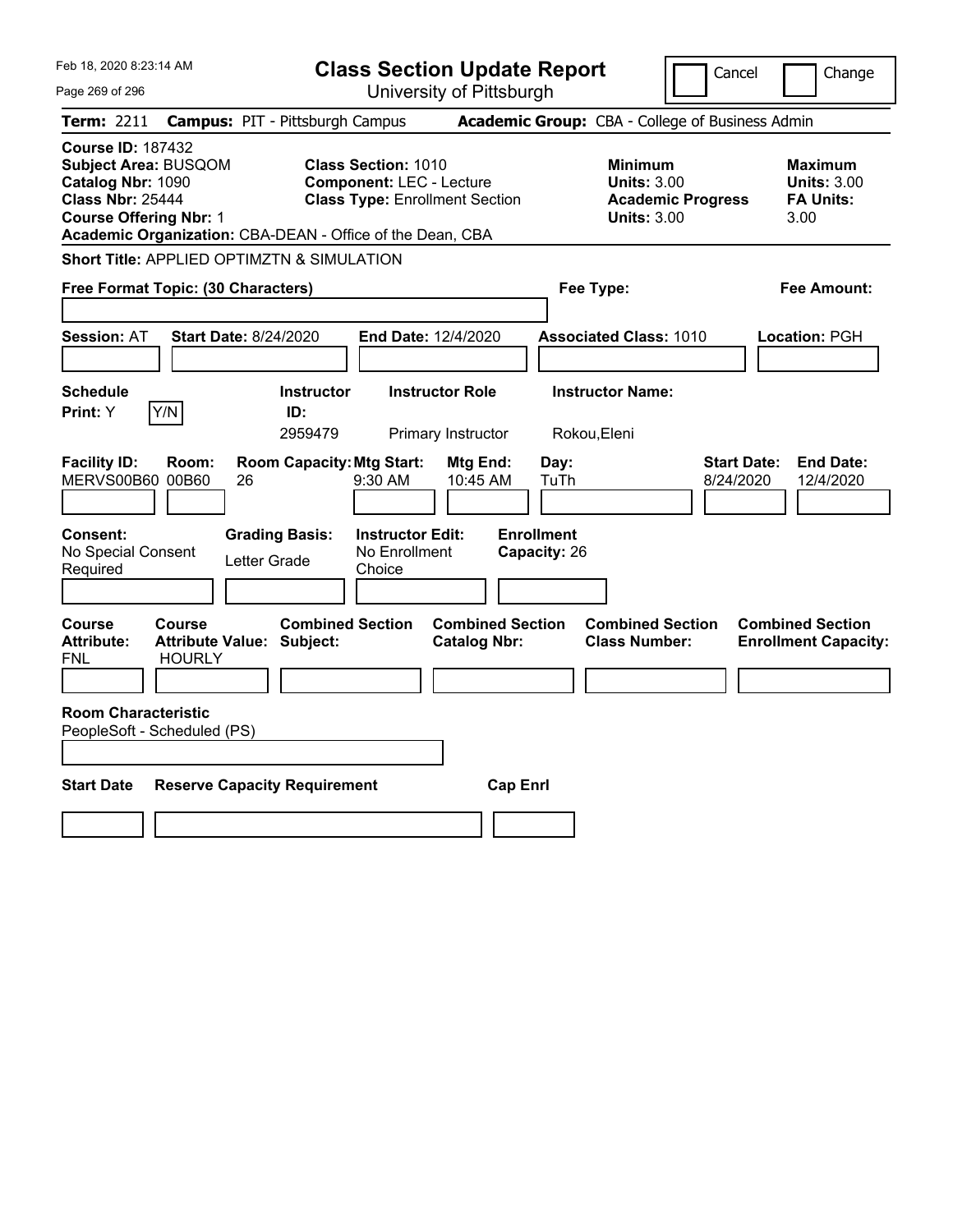| Feb 18, 2020 8:23:14 AM                                                                                                                                                                               |                                                                                                        | <b>Class Section Update Report</b>             |                                                                                        | Cancel<br>Change                                                 |
|-------------------------------------------------------------------------------------------------------------------------------------------------------------------------------------------------------|--------------------------------------------------------------------------------------------------------|------------------------------------------------|----------------------------------------------------------------------------------------|------------------------------------------------------------------|
| Page 269 of 296                                                                                                                                                                                       |                                                                                                        | University of Pittsburgh                       |                                                                                        |                                                                  |
| Term: 2211                                                                                                                                                                                            | <b>Campus: PIT - Pittsburgh Campus</b>                                                                 |                                                | Academic Group: CBA - College of Business Admin                                        |                                                                  |
| <b>Course ID: 187432</b><br><b>Subject Area: BUSQOM</b><br>Catalog Nbr: 1090<br><b>Class Nbr: 25444</b><br><b>Course Offering Nbr: 1</b><br>Academic Organization: CBA-DEAN - Office of the Dean, CBA | <b>Class Section: 1010</b><br><b>Component: LEC - Lecture</b><br><b>Class Type: Enrollment Section</b> |                                                | <b>Minimum</b><br><b>Units: 3.00</b><br><b>Academic Progress</b><br><b>Units: 3.00</b> | <b>Maximum</b><br><b>Units: 3.00</b><br><b>FA Units:</b><br>3.00 |
| <b>Short Title: APPLIED OPTIMZTN &amp; SIMULATION</b>                                                                                                                                                 |                                                                                                        |                                                |                                                                                        |                                                                  |
| Free Format Topic: (30 Characters)                                                                                                                                                                    |                                                                                                        |                                                | Fee Type:                                                                              | Fee Amount:                                                      |
| <b>Session: AT</b><br><b>Start Date: 8/24/2020</b>                                                                                                                                                    | <b>End Date: 12/4/2020</b>                                                                             |                                                | <b>Associated Class: 1010</b>                                                          | Location: PGH                                                    |
| <b>Schedule</b><br>Y/N<br>Print: Y                                                                                                                                                                    | <b>Instructor</b><br>ID:<br>2959479                                                                    | <b>Instructor Role</b><br>Primary Instructor   | <b>Instructor Name:</b><br>Rokou, Eleni                                                |                                                                  |
| <b>Facility ID:</b><br>Room:<br>MERVS00B60 00B60<br>26                                                                                                                                                | <b>Room Capacity: Mtg Start:</b><br>9:30 AM                                                            | Mtg End:<br>Day:<br>10:45 AM<br>TuTh           |                                                                                        | <b>Start Date:</b><br><b>End Date:</b><br>8/24/2020<br>12/4/2020 |
| Consent:<br>No Special Consent<br>Letter Grade<br>Required                                                                                                                                            | <b>Instructor Edit:</b><br><b>Grading Basis:</b><br>No Enrollment<br>Choice                            | <b>Enrollment</b><br>Capacity: 26              |                                                                                        |                                                                  |
| Course<br>Course<br><b>Attribute Value: Subject:</b><br><b>Attribute:</b><br><b>HOURLY</b><br>FNL                                                                                                     | <b>Combined Section</b>                                                                                | <b>Combined Section</b><br><b>Catalog Nbr:</b> | <b>Combined Section</b><br><b>Class Number:</b>                                        | <b>Combined Section</b><br><b>Enrollment Capacity:</b>           |
| <b>Room Characteristic</b><br>PeopleSoft - Scheduled (PS)                                                                                                                                             |                                                                                                        |                                                |                                                                                        |                                                                  |
| <b>Start Date</b><br><b>Reserve Capacity Requirement</b>                                                                                                                                              |                                                                                                        | <b>Cap Enrl</b>                                |                                                                                        |                                                                  |
|                                                                                                                                                                                                       |                                                                                                        |                                                |                                                                                        |                                                                  |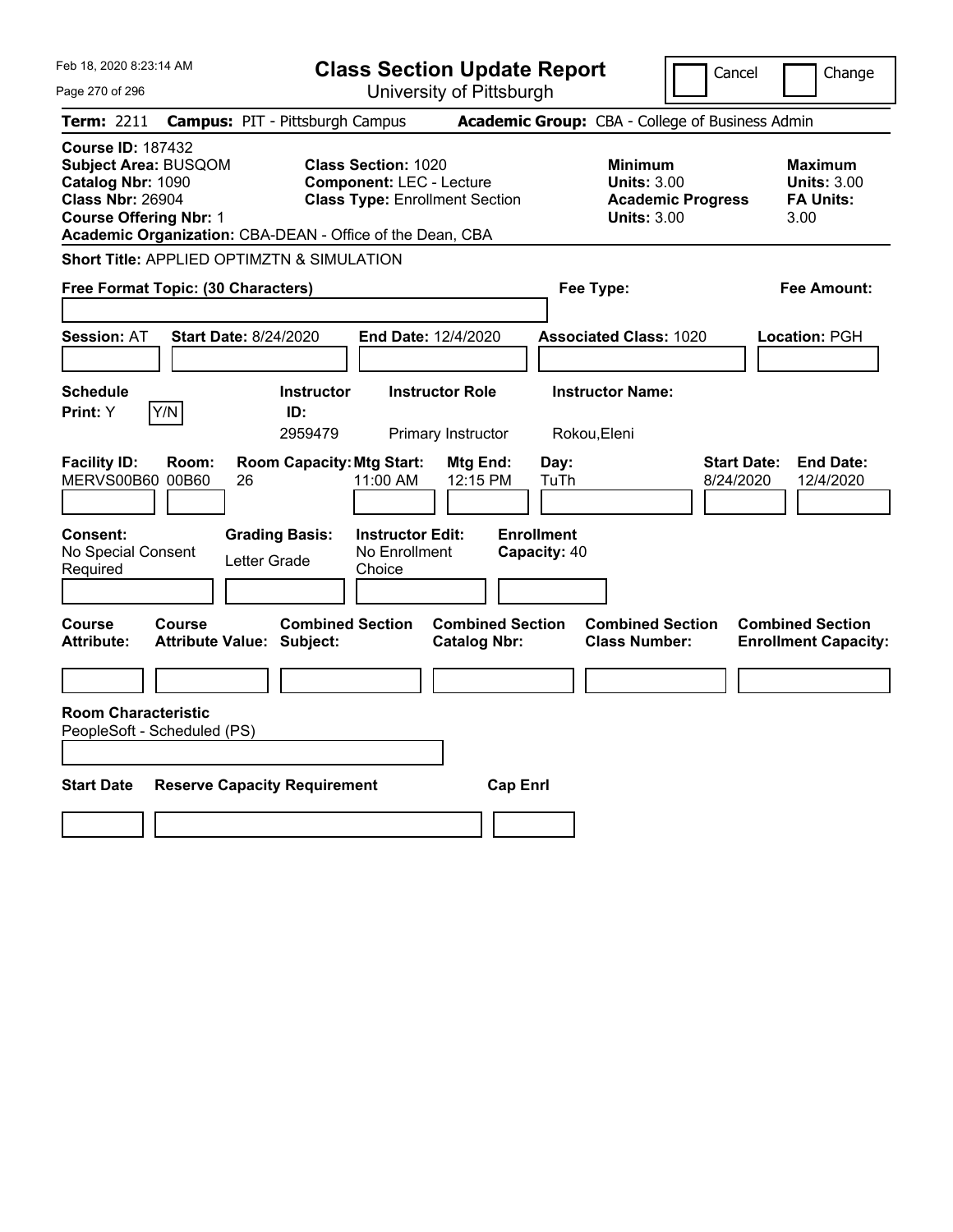| Feb 18, 2020 8:23:14 AM                                                                                                                                                                        |                                                                                                        | <b>Class Section Update Report</b>             |                                                            | Cancel                          | Change                                                           |
|------------------------------------------------------------------------------------------------------------------------------------------------------------------------------------------------|--------------------------------------------------------------------------------------------------------|------------------------------------------------|------------------------------------------------------------|---------------------------------|------------------------------------------------------------------|
| Page 270 of 296                                                                                                                                                                                |                                                                                                        | University of Pittsburgh                       |                                                            |                                 |                                                                  |
| <b>Term: 2211</b>                                                                                                                                                                              | <b>Campus: PIT - Pittsburgh Campus</b>                                                                 |                                                | Academic Group: CBA - College of Business Admin            |                                 |                                                                  |
| <b>Course ID: 187432</b><br>Subject Area: BUSQOM<br>Catalog Nbr: 1090<br><b>Class Nbr: 26904</b><br><b>Course Offering Nbr: 1</b><br>Academic Organization: CBA-DEAN - Office of the Dean, CBA | <b>Class Section: 1020</b><br><b>Component: LEC - Lecture</b><br><b>Class Type: Enrollment Section</b> |                                                | <b>Minimum</b><br><b>Units: 3.00</b><br><b>Units: 3.00</b> | <b>Academic Progress</b>        | <b>Maximum</b><br><b>Units: 3.00</b><br><b>FA Units:</b><br>3.00 |
| Short Title: APPLIED OPTIMZTN & SIMULATION                                                                                                                                                     |                                                                                                        |                                                |                                                            |                                 |                                                                  |
| Free Format Topic: (30 Characters)                                                                                                                                                             |                                                                                                        |                                                | Fee Type:                                                  |                                 | Fee Amount:                                                      |
| <b>Start Date: 8/24/2020</b><br><b>Session: AT</b>                                                                                                                                             |                                                                                                        | End Date: 12/4/2020                            | <b>Associated Class: 1020</b>                              |                                 | Location: PGH                                                    |
| <b>Schedule</b><br>Y/N<br>Print: Y                                                                                                                                                             | <b>Instructor</b><br>ID:<br>2959479                                                                    | <b>Instructor Role</b><br>Primary Instructor   | <b>Instructor Name:</b><br>Rokou, Eleni                    |                                 |                                                                  |
| <b>Facility ID:</b><br>Room:<br>MERVS00B60 00B60<br>26                                                                                                                                         | <b>Room Capacity: Mtg Start:</b><br>11:00 AM                                                           | Mtg End:<br>12:15 PM                           | Day:<br>TuTh                                               | <b>Start Date:</b><br>8/24/2020 | <b>End Date:</b><br>12/4/2020                                    |
| Consent:<br>No Special Consent<br>Required                                                                                                                                                     | <b>Grading Basis:</b><br><b>Instructor Edit:</b><br>No Enrollment<br>Letter Grade<br>Choice            | <b>Enrollment</b>                              | Capacity: 40                                               |                                 |                                                                  |
| Course<br>Course<br><b>Attribute Value: Subject:</b><br>Attribute:                                                                                                                             | <b>Combined Section</b>                                                                                | <b>Combined Section</b><br><b>Catalog Nbr:</b> | <b>Combined Section</b><br><b>Class Number:</b>            |                                 | <b>Combined Section</b><br><b>Enrollment Capacity:</b>           |
| <b>Room Characteristic</b><br>PeopleSoft - Scheduled (PS)                                                                                                                                      |                                                                                                        |                                                |                                                            |                                 |                                                                  |
| <b>Start Date</b><br><b>Reserve Capacity Requirement</b>                                                                                                                                       |                                                                                                        | <b>Cap Enrl</b>                                |                                                            |                                 |                                                                  |
|                                                                                                                                                                                                |                                                                                                        |                                                |                                                            |                                 |                                                                  |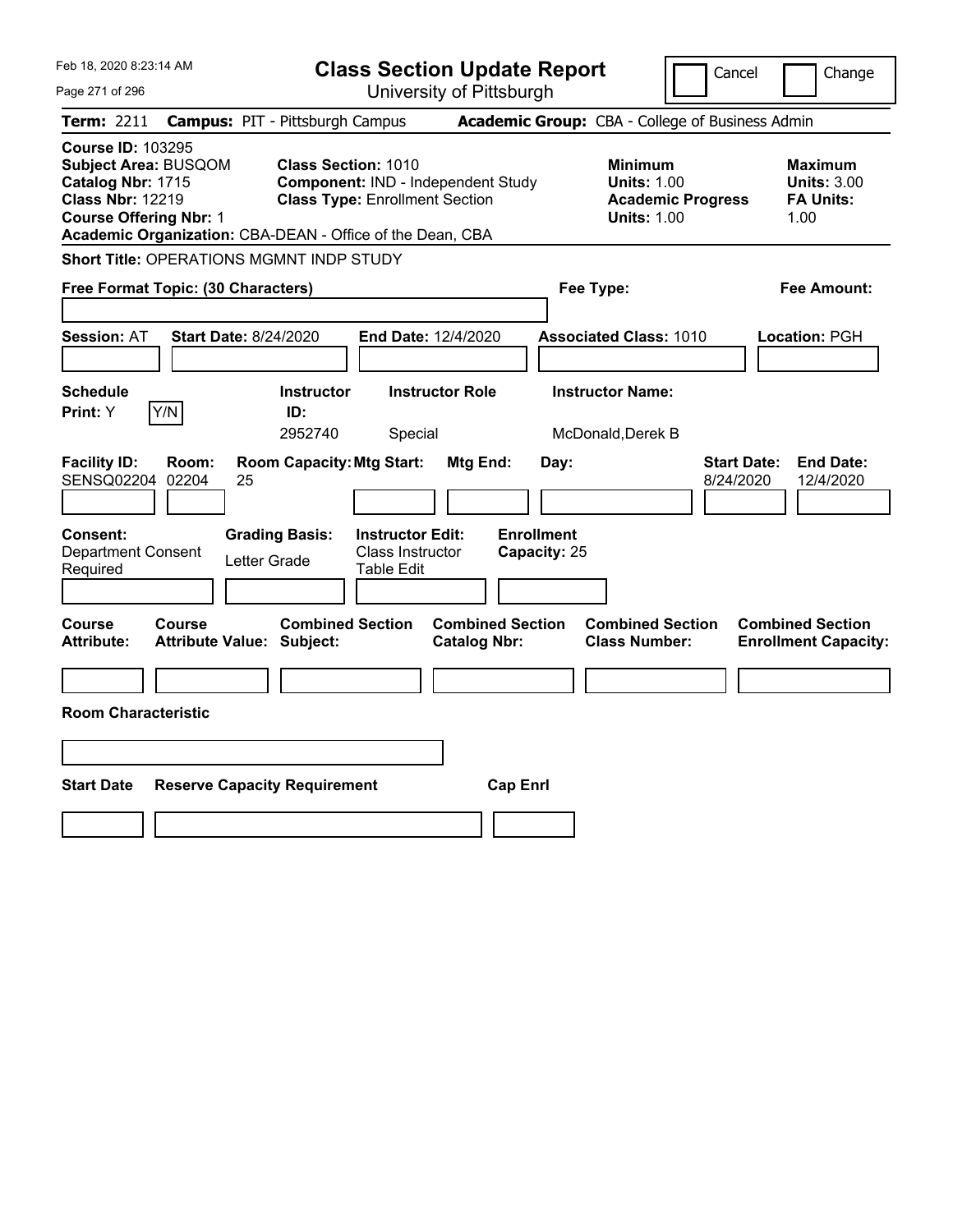| Feb 18, 2020 8:23:14 AM                                                                                                                                                                               | <b>Class Section Update Report</b>                                                                        |                                                | Cancel                                                                                 | Change                                                           |
|-------------------------------------------------------------------------------------------------------------------------------------------------------------------------------------------------------|-----------------------------------------------------------------------------------------------------------|------------------------------------------------|----------------------------------------------------------------------------------------|------------------------------------------------------------------|
| Page 271 of 296                                                                                                                                                                                       |                                                                                                           | University of Pittsburgh                       |                                                                                        |                                                                  |
| Term: 2211                                                                                                                                                                                            | <b>Campus: PIT - Pittsburgh Campus</b>                                                                    |                                                | Academic Group: CBA - College of Business Admin                                        |                                                                  |
| <b>Course ID: 103295</b><br><b>Subject Area: BUSQOM</b><br>Catalog Nbr: 1715<br><b>Class Nbr: 12219</b><br><b>Course Offering Nbr: 1</b><br>Academic Organization: CBA-DEAN - Office of the Dean, CBA | <b>Class Section: 1010</b><br>Component: IND - Independent Study<br><b>Class Type: Enrollment Section</b> |                                                | <b>Minimum</b><br><b>Units: 1.00</b><br><b>Academic Progress</b><br><b>Units: 1.00</b> | <b>Maximum</b><br><b>Units: 3.00</b><br><b>FA Units:</b><br>1.00 |
| Short Title: OPERATIONS MGMNT INDP STUDY                                                                                                                                                              |                                                                                                           |                                                |                                                                                        |                                                                  |
| Free Format Topic: (30 Characters)                                                                                                                                                                    |                                                                                                           |                                                | Fee Type:                                                                              | Fee Amount:                                                      |
| <b>Session: AT</b><br><b>Start Date: 8/24/2020</b>                                                                                                                                                    | End Date: 12/4/2020                                                                                       |                                                | <b>Associated Class: 1010</b>                                                          | Location: PGH                                                    |
| <b>Schedule</b><br>Y/N<br>Print: Y                                                                                                                                                                    | <b>Instructor Role</b><br><b>Instructor</b><br>ID:<br>2952740<br>Special                                  |                                                | <b>Instructor Name:</b><br>McDonald, Derek B                                           |                                                                  |
| <b>Facility ID:</b><br>Room:<br>SENSQ02204<br>02204<br>25                                                                                                                                             | <b>Room Capacity: Mtg Start:</b>                                                                          | <b>Mtg End:</b><br>Day:                        | 8/24/2020                                                                              | <b>Start Date:</b><br><b>End Date:</b><br>12/4/2020              |
| <b>Consent:</b><br><b>Department Consent</b><br>Letter Grade<br>Required                                                                                                                              | <b>Grading Basis:</b><br><b>Instructor Edit:</b><br>Class Instructor<br>Table Edit                        | <b>Enrollment</b><br>Capacity: 25              |                                                                                        |                                                                  |
| Course<br>Course<br><b>Attribute Value: Subject:</b><br>Attribute:                                                                                                                                    | <b>Combined Section</b>                                                                                   | <b>Combined Section</b><br><b>Catalog Nbr:</b> | <b>Combined Section</b><br><b>Class Number:</b>                                        | <b>Combined Section</b><br><b>Enrollment Capacity:</b>           |
|                                                                                                                                                                                                       |                                                                                                           |                                                |                                                                                        |                                                                  |
| <b>Room Characteristic</b>                                                                                                                                                                            |                                                                                                           |                                                |                                                                                        |                                                                  |
|                                                                                                                                                                                                       |                                                                                                           |                                                |                                                                                        |                                                                  |
| <b>Start Date</b><br><b>Reserve Capacity Requirement</b>                                                                                                                                              |                                                                                                           | <b>Cap Enrl</b>                                |                                                                                        |                                                                  |
|                                                                                                                                                                                                       |                                                                                                           |                                                |                                                                                        |                                                                  |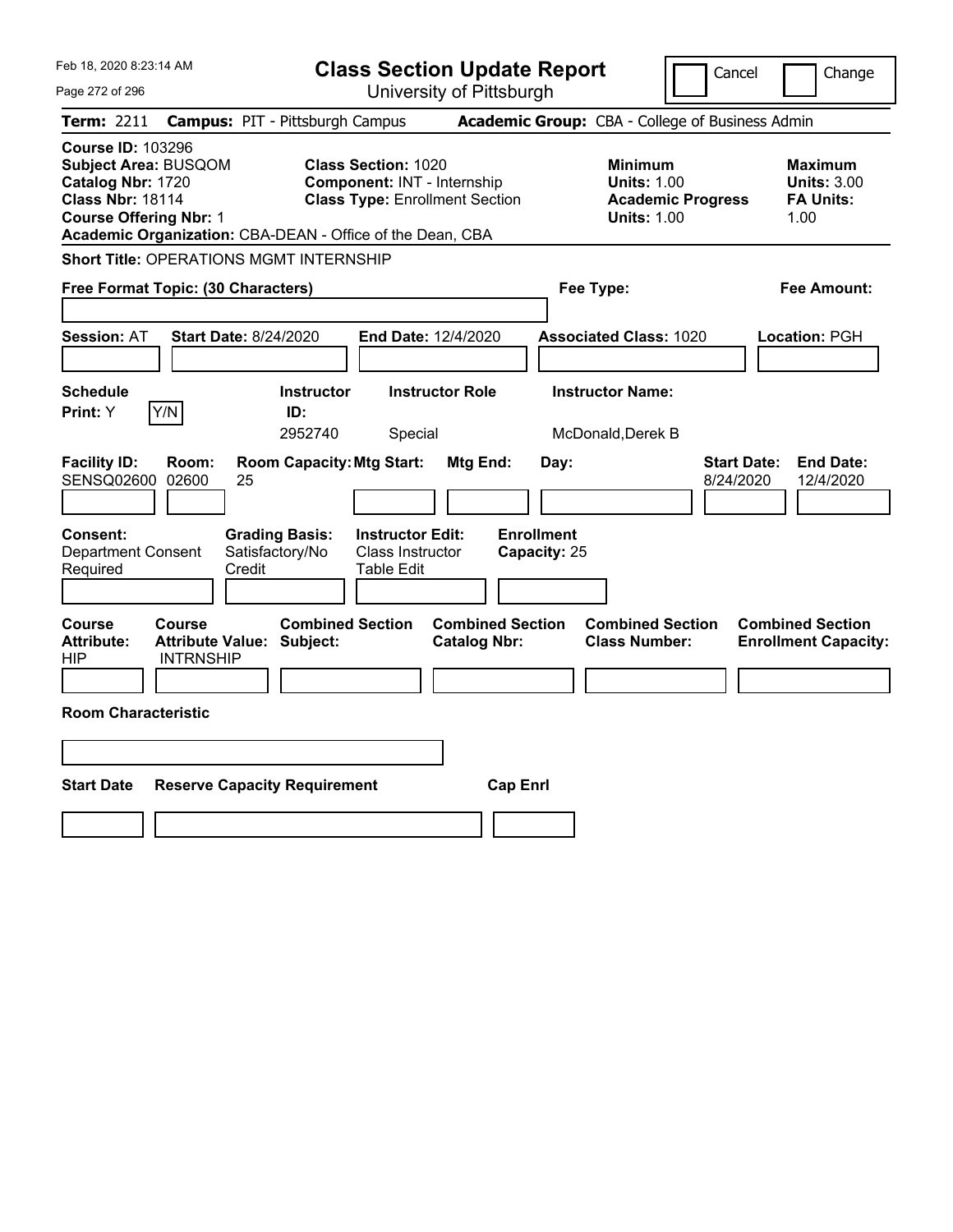| Feb 18, 2020 8:23:14 AM                                                                                                                                                                               | <b>Class Section Update Report</b>                                                                        |                                                | Cancel                                                                                 | Change                                                           |
|-------------------------------------------------------------------------------------------------------------------------------------------------------------------------------------------------------|-----------------------------------------------------------------------------------------------------------|------------------------------------------------|----------------------------------------------------------------------------------------|------------------------------------------------------------------|
| Page 272 of 296                                                                                                                                                                                       |                                                                                                           | University of Pittsburgh                       |                                                                                        |                                                                  |
| Term: 2211                                                                                                                                                                                            | <b>Campus: PIT - Pittsburgh Campus</b>                                                                    |                                                | Academic Group: CBA - College of Business Admin                                        |                                                                  |
| <b>Course ID: 103296</b><br><b>Subject Area: BUSQOM</b><br>Catalog Nbr: 1720<br><b>Class Nbr: 18114</b><br><b>Course Offering Nbr: 1</b><br>Academic Organization: CBA-DEAN - Office of the Dean, CBA | <b>Class Section: 1020</b><br><b>Component: INT - Internship</b><br><b>Class Type: Enrollment Section</b> |                                                | <b>Minimum</b><br><b>Units: 1.00</b><br><b>Academic Progress</b><br><b>Units: 1.00</b> | <b>Maximum</b><br><b>Units: 3.00</b><br><b>FA Units:</b><br>1.00 |
| <b>Short Title: OPERATIONS MGMT INTERNSHIP</b>                                                                                                                                                        |                                                                                                           |                                                |                                                                                        |                                                                  |
| Free Format Topic: (30 Characters)                                                                                                                                                                    |                                                                                                           |                                                | Fee Type:                                                                              | Fee Amount:                                                      |
| <b>Session: AT</b><br><b>Start Date: 8/24/2020</b>                                                                                                                                                    | End Date: 12/4/2020                                                                                       |                                                | <b>Associated Class: 1020</b>                                                          | Location: PGH                                                    |
| <b>Schedule</b><br>Y/N<br>Print: Y                                                                                                                                                                    | <b>Instructor</b><br><b>Instructor Role</b><br>ID:<br>2952740<br>Special                                  |                                                | <b>Instructor Name:</b><br>McDonald, Derek B                                           |                                                                  |
| <b>Facility ID:</b><br>Room:<br>SENSQ02600 02600<br>25                                                                                                                                                | <b>Room Capacity: Mtg Start:</b>                                                                          | <b>Mtg End:</b><br>Day:                        | 8/24/2020                                                                              | <b>Start Date:</b><br><b>End Date:</b><br>12/4/2020              |
| Consent:<br><b>Department Consent</b><br>Required<br>Credit                                                                                                                                           | <b>Grading Basis:</b><br><b>Instructor Edit:</b><br>Satisfactory/No<br>Class Instructor<br>Table Edit     | <b>Enrollment</b><br>Capacity: 25              |                                                                                        |                                                                  |
| Course<br><b>Course</b><br><b>Attribute:</b><br><b>Attribute Value: Subject:</b><br><b>HIP</b><br><b>INTRNSHIP</b>                                                                                    | <b>Combined Section</b>                                                                                   | <b>Combined Section</b><br><b>Catalog Nbr:</b> | <b>Combined Section</b><br><b>Class Number:</b>                                        | <b>Combined Section</b><br><b>Enrollment Capacity:</b>           |
| <b>Room Characteristic</b>                                                                                                                                                                            |                                                                                                           |                                                |                                                                                        |                                                                  |
|                                                                                                                                                                                                       |                                                                                                           |                                                |                                                                                        |                                                                  |
| <b>Start Date</b><br><b>Reserve Capacity Requirement</b>                                                                                                                                              |                                                                                                           | <b>Cap Enrl</b>                                |                                                                                        |                                                                  |
|                                                                                                                                                                                                       |                                                                                                           |                                                |                                                                                        |                                                                  |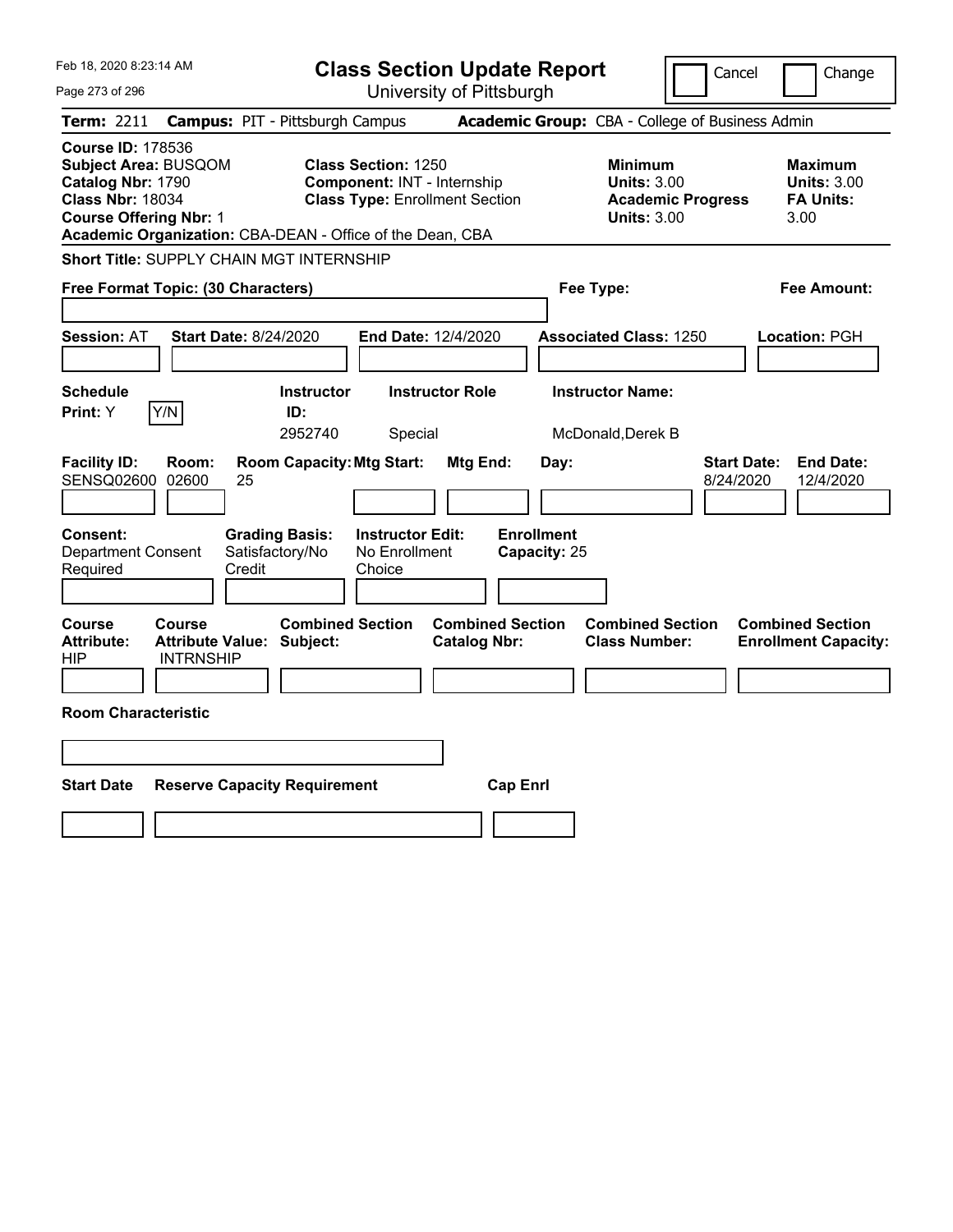| Feb 18, 2020 8:23:14 AM                                                                                                                                                                               | <b>Class Section Update Report</b>                                                                 |                                                | Cancel                                                                                 | Change                                                           |
|-------------------------------------------------------------------------------------------------------------------------------------------------------------------------------------------------------|----------------------------------------------------------------------------------------------------|------------------------------------------------|----------------------------------------------------------------------------------------|------------------------------------------------------------------|
| Page 273 of 296                                                                                                                                                                                       |                                                                                                    | University of Pittsburgh                       |                                                                                        |                                                                  |
| Term: 2211                                                                                                                                                                                            | <b>Campus: PIT - Pittsburgh Campus</b>                                                             |                                                | Academic Group: CBA - College of Business Admin                                        |                                                                  |
| <b>Course ID: 178536</b><br><b>Subject Area: BUSQOM</b><br>Catalog Nbr: 1790<br><b>Class Nbr: 18034</b><br><b>Course Offering Nbr: 1</b><br>Academic Organization: CBA-DEAN - Office of the Dean, CBA | <b>Class Section: 1250</b><br>Component: INT - Internship<br><b>Class Type: Enrollment Section</b> |                                                | <b>Minimum</b><br><b>Units: 3.00</b><br><b>Academic Progress</b><br><b>Units: 3.00</b> | <b>Maximum</b><br><b>Units: 3.00</b><br><b>FA Units:</b><br>3.00 |
| <b>Short Title: SUPPLY CHAIN MGT INTERNSHIP</b>                                                                                                                                                       |                                                                                                    |                                                |                                                                                        |                                                                  |
| Free Format Topic: (30 Characters)                                                                                                                                                                    |                                                                                                    |                                                | Fee Type:                                                                              | Fee Amount:                                                      |
| <b>Start Date: 8/24/2020</b><br><b>Session: AT</b>                                                                                                                                                    | End Date: 12/4/2020                                                                                |                                                | <b>Associated Class: 1250</b>                                                          | Location: PGH                                                    |
| <b>Schedule</b><br>Y/N<br>Print: Y                                                                                                                                                                    | <b>Instructor Role</b><br><b>Instructor</b><br>ID:<br>2952740<br>Special                           |                                                | <b>Instructor Name:</b><br>McDonald, Derek B                                           |                                                                  |
| <b>Facility ID:</b><br>Room:<br>SENSQ02600 02600<br>25                                                                                                                                                | <b>Room Capacity: Mtg Start:</b>                                                                   | Mtg End:<br>Day:                               | 8/24/2020                                                                              | <b>End Date:</b><br><b>Start Date:</b><br>12/4/2020              |
| <b>Consent:</b><br><b>Department Consent</b><br>Required<br>Credit                                                                                                                                    | <b>Instructor Edit:</b><br><b>Grading Basis:</b><br>Satisfactory/No<br>No Enrollment<br>Choice     | <b>Enrollment</b><br>Capacity: 25              |                                                                                        |                                                                  |
| Course<br><b>Course</b><br><b>Attribute:</b><br><b>Attribute Value: Subject:</b><br>HIP<br><b>INTRNSHIP</b>                                                                                           | <b>Combined Section</b>                                                                            | <b>Combined Section</b><br><b>Catalog Nbr:</b> | <b>Combined Section</b><br><b>Class Number:</b>                                        | <b>Combined Section</b><br><b>Enrollment Capacity:</b>           |
| <b>Room Characteristic</b>                                                                                                                                                                            |                                                                                                    |                                                |                                                                                        |                                                                  |
|                                                                                                                                                                                                       |                                                                                                    |                                                |                                                                                        |                                                                  |
| <b>Start Date</b><br><b>Reserve Capacity Requirement</b>                                                                                                                                              |                                                                                                    | <b>Cap Enrl</b>                                |                                                                                        |                                                                  |
|                                                                                                                                                                                                       |                                                                                                    |                                                |                                                                                        |                                                                  |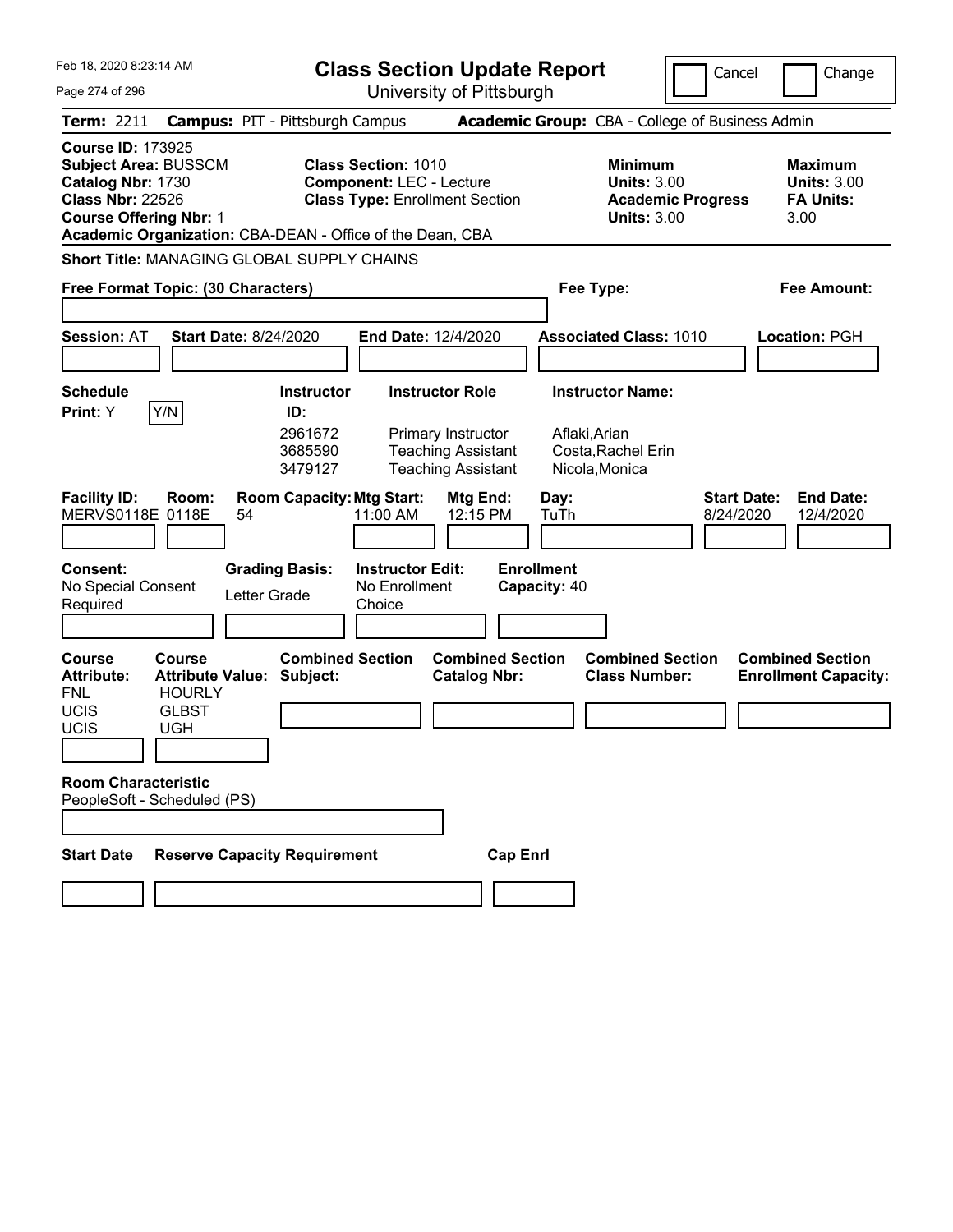| Feb 18, 2020 8:23:14 AM                                                                                                                  |                                                                                  |                                                                 | <b>Class Section Update Report</b>                                                              |                                                        |                                                   |                                                                                  | Cancel                   | Change                                                           |
|------------------------------------------------------------------------------------------------------------------------------------------|----------------------------------------------------------------------------------|-----------------------------------------------------------------|-------------------------------------------------------------------------------------------------|--------------------------------------------------------|---------------------------------------------------|----------------------------------------------------------------------------------|--------------------------|------------------------------------------------------------------|
| Page 274 of 296                                                                                                                          |                                                                                  |                                                                 | University of Pittsburgh                                                                        |                                                        |                                                   |                                                                                  |                          |                                                                  |
| <b>Term: 2211</b>                                                                                                                        |                                                                                  | <b>Campus: PIT - Pittsburgh Campus</b>                          |                                                                                                 |                                                        |                                                   | Academic Group: CBA - College of Business Admin                                  |                          |                                                                  |
| <b>Course ID: 173925</b><br><b>Subject Area: BUSSCM</b><br>Catalog Nbr: 1730<br><b>Class Nbr: 22526</b><br><b>Course Offering Nbr: 1</b> |                                                                                  | Academic Organization: CBA-DEAN - Office of the Dean, CBA       | Class Section: 1010<br><b>Component: LEC - Lecture</b><br><b>Class Type: Enrollment Section</b> |                                                        |                                                   | <b>Minimum</b><br><b>Units: 3.00</b><br><b>Units: 3.00</b>                       | <b>Academic Progress</b> | <b>Maximum</b><br><b>Units: 3.00</b><br><b>FA Units:</b><br>3.00 |
|                                                                                                                                          |                                                                                  | <b>Short Title: MANAGING GLOBAL SUPPLY CHAINS</b>               |                                                                                                 |                                                        |                                                   |                                                                                  |                          |                                                                  |
| Free Format Topic: (30 Characters)                                                                                                       |                                                                                  |                                                                 |                                                                                                 |                                                        |                                                   | Fee Type:                                                                        |                          | Fee Amount:                                                      |
| <b>Session: AT</b>                                                                                                                       |                                                                                  | <b>Start Date: 8/24/2020</b>                                    | <b>End Date: 12/4/2020</b>                                                                      |                                                        |                                                   | <b>Associated Class: 1010</b>                                                    |                          | <b>Location: PGH</b>                                             |
| <b>Schedule</b><br>Print: Y                                                                                                              | Y/N                                                                              | <b>Instructor</b><br>ID:<br>2961672<br>3685590<br>3479127       | <b>Instructor Role</b><br>Primary Instructor                                                    | <b>Teaching Assistant</b><br><b>Teaching Assistant</b> |                                                   | <b>Instructor Name:</b><br>Aflaki, Arian<br>Costa, Rachel Erin<br>Nicola, Monica |                          |                                                                  |
| <b>Facility ID:</b><br>MERVS0118E 0118E<br><b>Consent:</b><br>No Special Consent                                                         | Room:                                                                            | <b>Room Capacity: Mtg Start:</b><br>54<br><b>Grading Basis:</b> | 11:00 AM<br><b>Instructor Edit:</b><br>No Enrollment                                            | Mtg End:<br>12:15 PM                                   | Day:<br>TuTh<br><b>Enrollment</b><br>Capacity: 40 |                                                                                  | 8/24/2020                | <b>Start Date:</b><br><b>End Date:</b><br>12/4/2020              |
| Required                                                                                                                                 |                                                                                  | Letter Grade                                                    | Choice                                                                                          |                                                        |                                                   |                                                                                  |                          |                                                                  |
| <b>Course</b><br><b>Attribute:</b><br><b>FNL</b><br><b>UCIS</b><br><b>UCIS</b>                                                           | Course<br><b>Attribute Value:</b><br><b>HOURLY</b><br><b>GLBST</b><br><b>UGH</b> | <b>Combined Section</b><br>Subject:                             |                                                                                                 | <b>Combined Section</b><br><b>Catalog Nbr:</b>         |                                                   | <b>Combined Section</b><br><b>Class Number:</b>                                  |                          | <b>Combined Section</b><br><b>Enrollment Capacity:</b>           |
| <b>Room Characteristic</b><br>PeopleSoft - Scheduled (PS)                                                                                |                                                                                  |                                                                 |                                                                                                 |                                                        |                                                   |                                                                                  |                          |                                                                  |
|                                                                                                                                          |                                                                                  |                                                                 |                                                                                                 |                                                        |                                                   |                                                                                  |                          |                                                                  |
| <b>Start Date</b>                                                                                                                        |                                                                                  | <b>Reserve Capacity Requirement</b>                             |                                                                                                 | <b>Cap Enrl</b>                                        |                                                   |                                                                                  |                          |                                                                  |
|                                                                                                                                          |                                                                                  |                                                                 |                                                                                                 |                                                        |                                                   |                                                                                  |                          |                                                                  |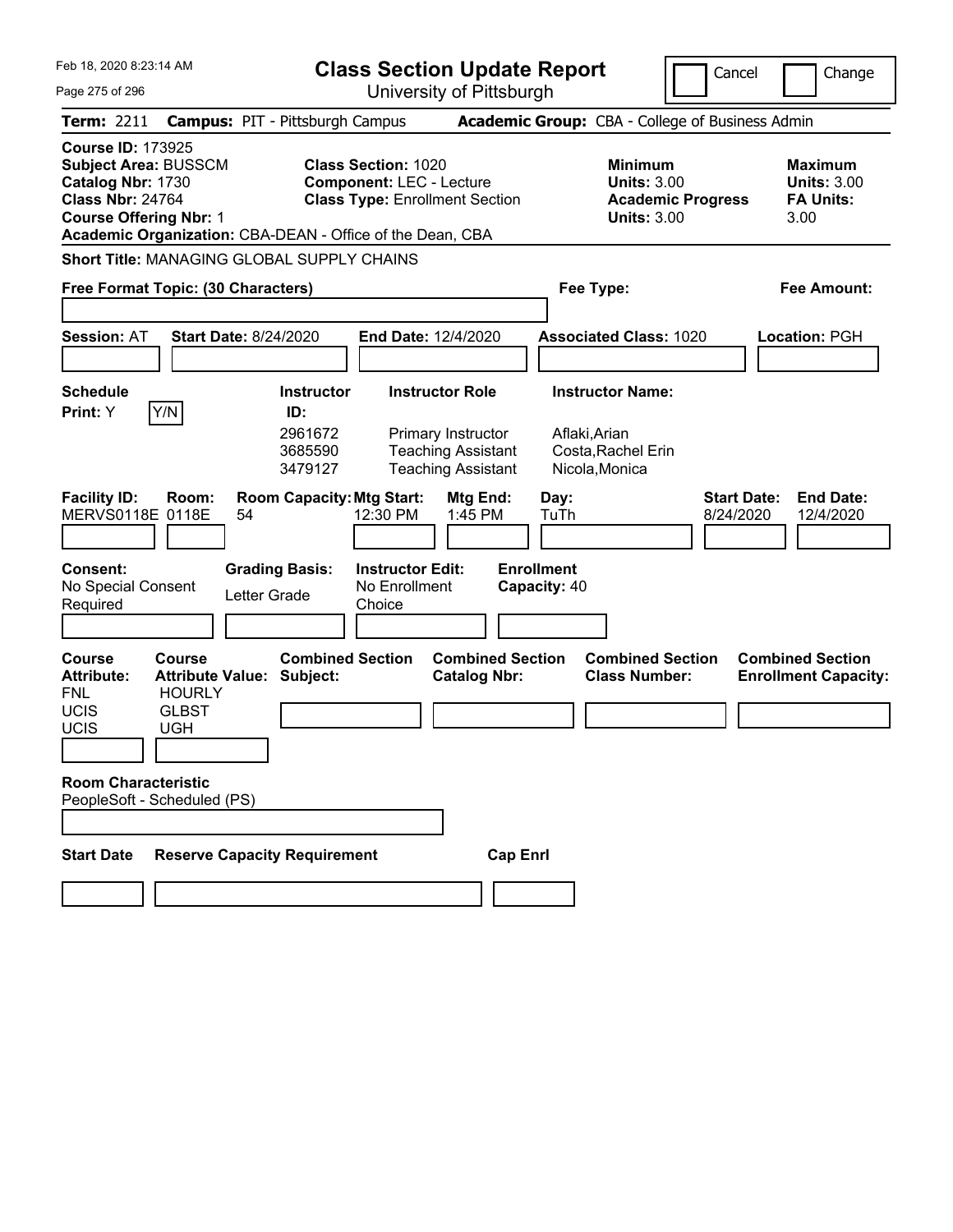| Feb 18, 2020 8:23:14 AM                                                                                                                  |                                                       |                                                                                 | <b>Class Section Update Report</b>                                                                     |                                                                              |                                                   |                                                                                  | Cancel                   | Change                                                           |
|------------------------------------------------------------------------------------------------------------------------------------------|-------------------------------------------------------|---------------------------------------------------------------------------------|--------------------------------------------------------------------------------------------------------|------------------------------------------------------------------------------|---------------------------------------------------|----------------------------------------------------------------------------------|--------------------------|------------------------------------------------------------------|
| Page 275 of 296                                                                                                                          |                                                       |                                                                                 |                                                                                                        | University of Pittsburgh                                                     |                                                   |                                                                                  |                          |                                                                  |
| <b>Term: 2211</b>                                                                                                                        |                                                       | <b>Campus: PIT - Pittsburgh Campus</b>                                          |                                                                                                        |                                                                              |                                                   | Academic Group: CBA - College of Business Admin                                  |                          |                                                                  |
| <b>Course ID: 173925</b><br><b>Subject Area: BUSSCM</b><br>Catalog Nbr: 1730<br><b>Class Nbr: 24764</b><br><b>Course Offering Nbr: 1</b> |                                                       | Academic Organization: CBA-DEAN - Office of the Dean, CBA                       | <b>Class Section: 1020</b><br><b>Component: LEC - Lecture</b><br><b>Class Type: Enrollment Section</b> |                                                                              |                                                   | <b>Minimum</b><br><b>Units: 3.00</b><br><b>Units: 3.00</b>                       | <b>Academic Progress</b> | <b>Maximum</b><br><b>Units: 3.00</b><br><b>FA Units:</b><br>3.00 |
|                                                                                                                                          |                                                       | <b>Short Title: MANAGING GLOBAL SUPPLY CHAINS</b>                               |                                                                                                        |                                                                              |                                                   |                                                                                  |                          |                                                                  |
|                                                                                                                                          | Free Format Topic: (30 Characters)                    |                                                                                 |                                                                                                        |                                                                              |                                                   | Fee Type:                                                                        |                          | Fee Amount:                                                      |
| <b>Session: AT</b>                                                                                                                       |                                                       | <b>Start Date: 8/24/2020</b>                                                    | <b>End Date: 12/4/2020</b>                                                                             |                                                                              |                                                   | <b>Associated Class: 1020</b>                                                    |                          | Location: PGH                                                    |
| <b>Schedule</b><br>Print: Y                                                                                                              | Y/N                                                   | <b>Instructor</b><br>ID:<br>2961672<br>3685590<br>3479127                       | <b>Instructor Role</b>                                                                                 | Primary Instructor<br><b>Teaching Assistant</b><br><b>Teaching Assistant</b> |                                                   | <b>Instructor Name:</b><br>Aflaki, Arian<br>Costa, Rachel Erin<br>Nicola, Monica |                          |                                                                  |
| <b>Facility ID:</b><br>MERVS0118E 0118E<br><b>Consent:</b><br>No Special Consent<br>Required                                             | Room:                                                 | <b>Room Capacity: Mtg Start:</b><br>54<br><b>Grading Basis:</b><br>Letter Grade | 12:30 PM<br><b>Instructor Edit:</b><br>No Enrollment<br>Choice                                         | Mtg End:<br>1:45 PM                                                          | Day:<br>TuTh<br><b>Enrollment</b><br>Capacity: 40 |                                                                                  | 8/24/2020                | Start Date:<br><b>End Date:</b><br>12/4/2020                     |
|                                                                                                                                          |                                                       |                                                                                 |                                                                                                        |                                                                              |                                                   |                                                                                  |                          |                                                                  |
| <b>Course</b><br><b>Attribute:</b><br><b>FNL</b><br><b>UCIS</b><br><b>UCIS</b>                                                           | Course<br><b>HOURLY</b><br><b>GLBST</b><br><b>UGH</b> | <b>Combined Section</b><br><b>Attribute Value: Subject:</b>                     |                                                                                                        | <b>Combined Section</b><br><b>Catalog Nbr:</b>                               |                                                   | <b>Combined Section</b><br><b>Class Number:</b>                                  |                          | <b>Combined Section</b><br><b>Enrollment Capacity:</b>           |
| <b>Room Characteristic</b>                                                                                                               |                                                       |                                                                                 |                                                                                                        |                                                                              |                                                   |                                                                                  |                          |                                                                  |
|                                                                                                                                          | PeopleSoft - Scheduled (PS)                           |                                                                                 |                                                                                                        |                                                                              |                                                   |                                                                                  |                          |                                                                  |
| <b>Start Date</b>                                                                                                                        |                                                       | <b>Reserve Capacity Requirement</b>                                             |                                                                                                        | <b>Cap Enrl</b>                                                              |                                                   |                                                                                  |                          |                                                                  |
|                                                                                                                                          |                                                       |                                                                                 |                                                                                                        |                                                                              |                                                   |                                                                                  |                          |                                                                  |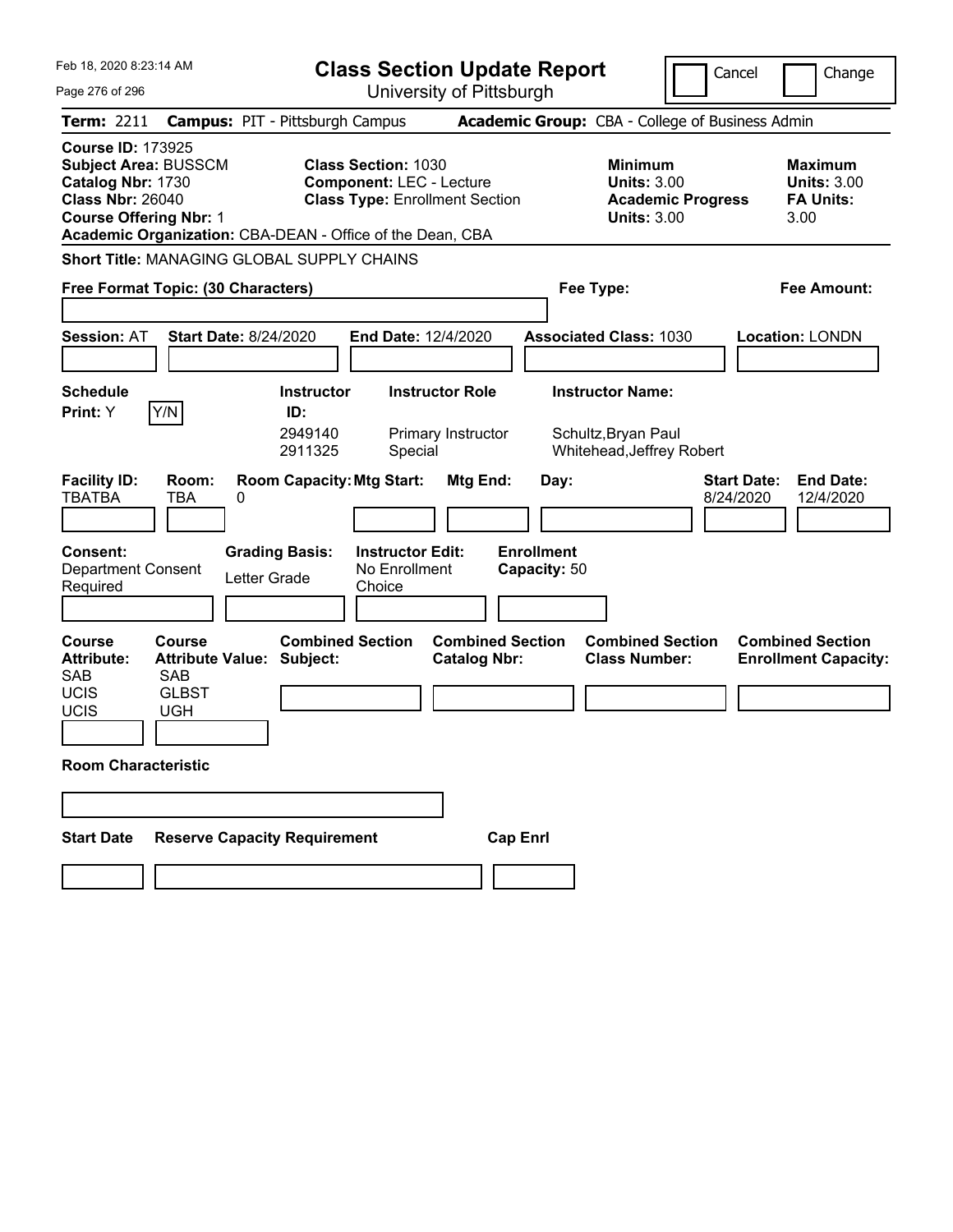| Feb 18, 2020 8:23:14 AM                                                                                                                                                  | <b>Class Section Update Report</b>                                                                                                                                  | Cancel                                                                                 | Change                                                           |
|--------------------------------------------------------------------------------------------------------------------------------------------------------------------------|---------------------------------------------------------------------------------------------------------------------------------------------------------------------|----------------------------------------------------------------------------------------|------------------------------------------------------------------|
| Page 276 of 296                                                                                                                                                          | University of Pittsburgh                                                                                                                                            |                                                                                        |                                                                  |
| <b>Term: 2211</b>                                                                                                                                                        | <b>Campus: PIT - Pittsburgh Campus</b>                                                                                                                              | Academic Group: CBA - College of Business Admin                                        |                                                                  |
| <b>Course ID: 173925</b><br>Subject Area: BUSSCM<br>Catalog Nbr: 1730<br><b>Class Nbr: 26040</b><br><b>Course Offering Nbr: 1</b>                                        | <b>Class Section: 1030</b><br><b>Component: LEC - Lecture</b><br><b>Class Type: Enrollment Section</b><br>Academic Organization: CBA-DEAN - Office of the Dean, CBA | <b>Minimum</b><br><b>Units: 3.00</b><br><b>Academic Progress</b><br><b>Units: 3.00</b> | <b>Maximum</b><br><b>Units: 3.00</b><br><b>FA Units:</b><br>3.00 |
| <b>Short Title: MANAGING GLOBAL SUPPLY CHAINS</b>                                                                                                                        |                                                                                                                                                                     |                                                                                        |                                                                  |
| Free Format Topic: (30 Characters)                                                                                                                                       |                                                                                                                                                                     | Fee Type:                                                                              | Fee Amount:                                                      |
| <b>Session: AT</b><br><b>Start Date: 8/24/2020</b>                                                                                                                       | <b>End Date: 12/4/2020</b>                                                                                                                                          | <b>Associated Class: 1030</b>                                                          | <b>Location: LONDN</b>                                           |
| Schedule<br>Y/N<br>Print: Y                                                                                                                                              | <b>Instructor Role</b><br><b>Instructor</b><br>ID:<br>2949140<br>Primary Instructor<br>2911325<br>Special                                                           | <b>Instructor Name:</b><br>Schultz, Bryan Paul<br>Whitehead, Jeffrey Robert            |                                                                  |
| <b>Facility ID:</b><br>Room:<br><b>TBATBA</b><br>TBA<br>0<br><b>Consent:</b><br><b>Department Consent</b>                                                                | <b>Room Capacity: Mtg Start:</b><br>Mtg End:<br><b>Enrollment</b><br><b>Grading Basis:</b><br><b>Instructor Edit:</b><br>No Enrollment<br>Capacity: 50              | <b>Start Date:</b><br>Day:<br>8/24/2020                                                | <b>End Date:</b><br>12/4/2020                                    |
| Letter Grade<br>Required                                                                                                                                                 | Choice                                                                                                                                                              |                                                                                        |                                                                  |
| <b>Course</b><br>Course<br><b>Attribute Value: Subject:</b><br><b>Attribute:</b><br><b>SAB</b><br><b>SAB</b><br><b>UCIS</b><br><b>GLBST</b><br><b>UCIS</b><br><b>UGH</b> | <b>Combined Section</b><br><b>Combined Section</b><br><b>Catalog Nbr:</b>                                                                                           | <b>Combined Section</b><br><b>Class Number:</b>                                        | <b>Combined Section</b><br><b>Enrollment Capacity:</b>           |
| <b>Room Characteristic</b>                                                                                                                                               |                                                                                                                                                                     |                                                                                        |                                                                  |
| <b>Reserve Capacity Requirement</b><br><b>Start Date</b>                                                                                                                 | <b>Cap Enrl</b>                                                                                                                                                     |                                                                                        |                                                                  |
|                                                                                                                                                                          |                                                                                                                                                                     |                                                                                        |                                                                  |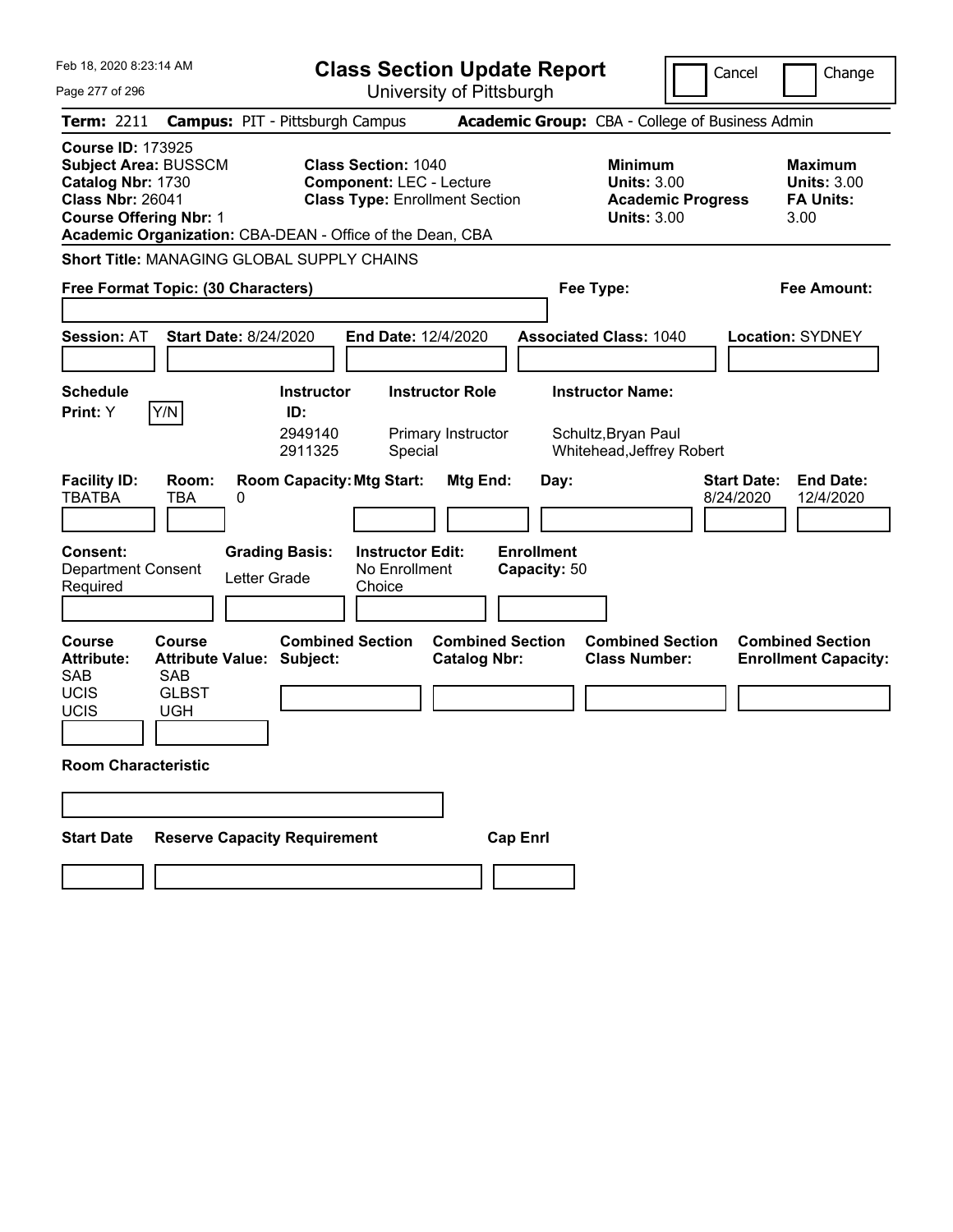| Feb 18, 2020 8:23:14 AM                                                                                                                                                                               | <b>Class Section Update Report</b>                                                                        | Cancel<br>Change                                                                                                                                           |
|-------------------------------------------------------------------------------------------------------------------------------------------------------------------------------------------------------|-----------------------------------------------------------------------------------------------------------|------------------------------------------------------------------------------------------------------------------------------------------------------------|
| Page 277 of 296                                                                                                                                                                                       | University of Pittsburgh                                                                                  |                                                                                                                                                            |
| <b>Term: 2211</b>                                                                                                                                                                                     | <b>Campus: PIT - Pittsburgh Campus</b>                                                                    | Academic Group: CBA - College of Business Admin                                                                                                            |
| <b>Course ID: 173925</b><br><b>Subject Area: BUSSCM</b><br>Catalog Nbr: 1730<br><b>Class Nbr: 26041</b><br><b>Course Offering Nbr: 1</b><br>Academic Organization: CBA-DEAN - Office of the Dean, CBA | <b>Class Section: 1040</b><br><b>Component: LEC - Lecture</b><br><b>Class Type: Enrollment Section</b>    | <b>Minimum</b><br><b>Maximum</b><br><b>Units: 3.00</b><br><b>Units: 3.00</b><br><b>FA Units:</b><br><b>Academic Progress</b><br><b>Units: 3.00</b><br>3.00 |
| <b>Short Title: MANAGING GLOBAL SUPPLY CHAINS</b>                                                                                                                                                     |                                                                                                           |                                                                                                                                                            |
| Free Format Topic: (30 Characters)                                                                                                                                                                    |                                                                                                           | Fee Type:<br>Fee Amount:                                                                                                                                   |
| <b>Start Date: 8/24/2020</b><br><b>Session: AT</b>                                                                                                                                                    | <b>End Date: 12/4/2020</b>                                                                                | <b>Associated Class: 1040</b><br><b>Location: SYDNEY</b>                                                                                                   |
| <b>Schedule</b><br>Y/N<br>Print: Y                                                                                                                                                                    | <b>Instructor Role</b><br><b>Instructor</b><br>ID:<br>2949140<br>Primary Instructor<br>2911325<br>Special | <b>Instructor Name:</b><br>Schultz, Bryan Paul<br>Whitehead, Jeffrey Robert                                                                                |
| <b>Facility ID:</b><br>Room:<br><b>TBATBA</b><br>TBA<br>0                                                                                                                                             | <b>Room Capacity: Mtg Start:</b><br>Mtg End:<br>Day:                                                      | <b>Start Date:</b><br><b>End Date:</b><br>8/24/2020<br>12/4/2020                                                                                           |
| <b>Consent:</b><br><b>Grading Basis:</b><br><b>Department Consent</b><br>Letter Grade<br>Required                                                                                                     | <b>Enrollment</b><br><b>Instructor Edit:</b><br>No Enrollment<br>Capacity: 50<br>Choice                   |                                                                                                                                                            |
| <b>Course</b><br>Course<br><b>Attribute Value: Subject:</b><br><b>Attribute:</b><br><b>SAB</b><br><b>SAB</b><br><b>UCIS</b><br><b>GLBST</b><br><b>UCIS</b><br><b>UGH</b>                              | <b>Combined Section</b><br><b>Combined Section</b><br><b>Catalog Nbr:</b>                                 | <b>Combined Section</b><br><b>Combined Section</b><br><b>Class Number:</b><br><b>Enrollment Capacity:</b>                                                  |
| <b>Room Characteristic</b>                                                                                                                                                                            |                                                                                                           |                                                                                                                                                            |
|                                                                                                                                                                                                       |                                                                                                           |                                                                                                                                                            |
| <b>Reserve Capacity Requirement</b><br><b>Start Date</b>                                                                                                                                              | <b>Cap Enrl</b>                                                                                           |                                                                                                                                                            |
|                                                                                                                                                                                                       |                                                                                                           |                                                                                                                                                            |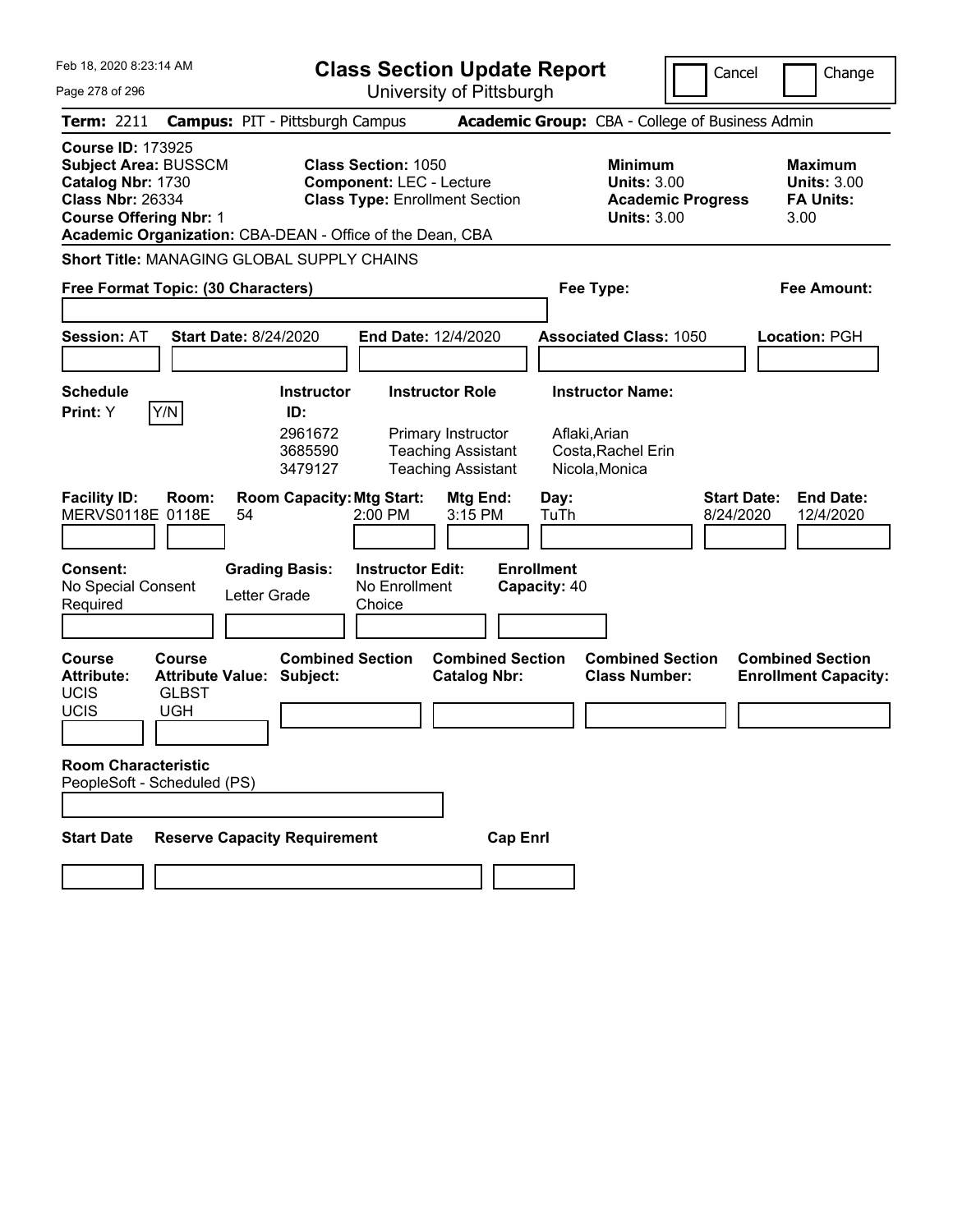| Feb 18, 2020 8:23:14 AM<br><b>Class Section Update Report</b><br>University of Pittsburgh                                                |                                                                          |                                        |                                                               |                                                 | Cancel                            | Change                                                     |                                                        |                                                                  |
|------------------------------------------------------------------------------------------------------------------------------------------|--------------------------------------------------------------------------|----------------------------------------|---------------------------------------------------------------|-------------------------------------------------|-----------------------------------|------------------------------------------------------------|--------------------------------------------------------|------------------------------------------------------------------|
| Page 278 of 296                                                                                                                          |                                                                          |                                        |                                                               |                                                 |                                   |                                                            |                                                        |                                                                  |
| <b>Term: 2211</b>                                                                                                                        |                                                                          | <b>Campus: PIT - Pittsburgh Campus</b> |                                                               |                                                 |                                   |                                                            | <b>Academic Group:</b> CBA - College of Business Admin |                                                                  |
| <b>Course ID: 173925</b><br><b>Subject Area: BUSSCM</b><br>Catalog Nbr: 1730<br><b>Class Nbr: 26334</b><br><b>Course Offering Nbr: 1</b> | Academic Organization: CBA-DEAN - Office of the Dean, CBA                |                                        | <b>Class Section: 1050</b><br><b>Component: LEC - Lecture</b> | <b>Class Type: Enrollment Section</b>           |                                   | <b>Minimum</b><br><b>Units: 3.00</b><br><b>Units: 3.00</b> | <b>Academic Progress</b>                               | <b>Maximum</b><br><b>Units: 3.00</b><br><b>FA Units:</b><br>3.00 |
|                                                                                                                                          | <b>Short Title: MANAGING GLOBAL SUPPLY CHAINS</b>                        |                                        |                                                               |                                                 |                                   |                                                            |                                                        |                                                                  |
|                                                                                                                                          | Free Format Topic: (30 Characters)                                       |                                        |                                                               |                                                 |                                   | Fee Type:                                                  |                                                        | <b>Fee Amount:</b>                                               |
|                                                                                                                                          |                                                                          |                                        |                                                               |                                                 |                                   |                                                            |                                                        |                                                                  |
| <b>Session: AT</b>                                                                                                                       | <b>Start Date: 8/24/2020</b>                                             |                                        |                                                               | <b>End Date: 12/4/2020</b>                      |                                   | <b>Associated Class: 1050</b>                              |                                                        | Location: PGH                                                    |
|                                                                                                                                          |                                                                          |                                        |                                                               |                                                 |                                   |                                                            |                                                        |                                                                  |
| Schedule                                                                                                                                 |                                                                          | <b>Instructor</b>                      |                                                               | <b>Instructor Role</b>                          |                                   | <b>Instructor Name:</b>                                    |                                                        |                                                                  |
| Print: Y                                                                                                                                 | Y/N                                                                      | ID:                                    |                                                               |                                                 |                                   |                                                            |                                                        |                                                                  |
|                                                                                                                                          |                                                                          | 2961672<br>3685590                     |                                                               | Primary Instructor<br><b>Teaching Assistant</b> |                                   | Aflaki, Arian<br>Costa, Rachel Erin                        |                                                        |                                                                  |
|                                                                                                                                          |                                                                          | 3479127                                |                                                               | <b>Teaching Assistant</b>                       |                                   | Nicola, Monica                                             |                                                        |                                                                  |
| <b>Facility ID:</b><br>MERVS0118E 0118E                                                                                                  | Room:<br>54                                                              | <b>Room Capacity: Mtg Start:</b>       | 2:00 PM                                                       | Mtg End:<br>3:15 PM                             | Day:<br>TuTh                      |                                                            | <b>Start Date:</b><br>8/24/2020                        | <b>End Date:</b><br>12/4/2020                                    |
| <b>Consent:</b><br>No Special Consent<br>Required                                                                                        |                                                                          | <b>Grading Basis:</b><br>Letter Grade  | <b>Instructor Edit:</b><br>No Enrollment<br>Choice            |                                                 | <b>Enrollment</b><br>Capacity: 40 |                                                            |                                                        |                                                                  |
|                                                                                                                                          |                                                                          |                                        |                                                               |                                                 |                                   |                                                            |                                                        |                                                                  |
| <b>Course</b><br><b>Attribute:</b><br><b>UCIS</b><br>UCIS                                                                                | Course<br><b>Attribute Value: Subject:</b><br><b>GLBST</b><br><b>UGH</b> | <b>Combined Section</b>                |                                                               | <b>Combined Section</b><br><b>Catalog Nbr:</b>  |                                   | <b>Combined Section</b><br><b>Class Number:</b>            |                                                        | <b>Combined Section</b><br><b>Enrollment Capacity:</b>           |
|                                                                                                                                          |                                                                          |                                        |                                                               |                                                 |                                   |                                                            |                                                        |                                                                  |
| <b>Room Characteristic</b>                                                                                                               | PeopleSoft - Scheduled (PS)                                              |                                        |                                                               |                                                 |                                   |                                                            |                                                        |                                                                  |
|                                                                                                                                          |                                                                          |                                        |                                                               |                                                 |                                   |                                                            |                                                        |                                                                  |
| <b>Start Date</b>                                                                                                                        | <b>Reserve Capacity Requirement</b>                                      |                                        |                                                               |                                                 | <b>Cap Enrl</b>                   |                                                            |                                                        |                                                                  |
|                                                                                                                                          |                                                                          |                                        |                                                               |                                                 |                                   |                                                            |                                                        |                                                                  |
|                                                                                                                                          |                                                                          |                                        |                                                               |                                                 |                                   |                                                            |                                                        |                                                                  |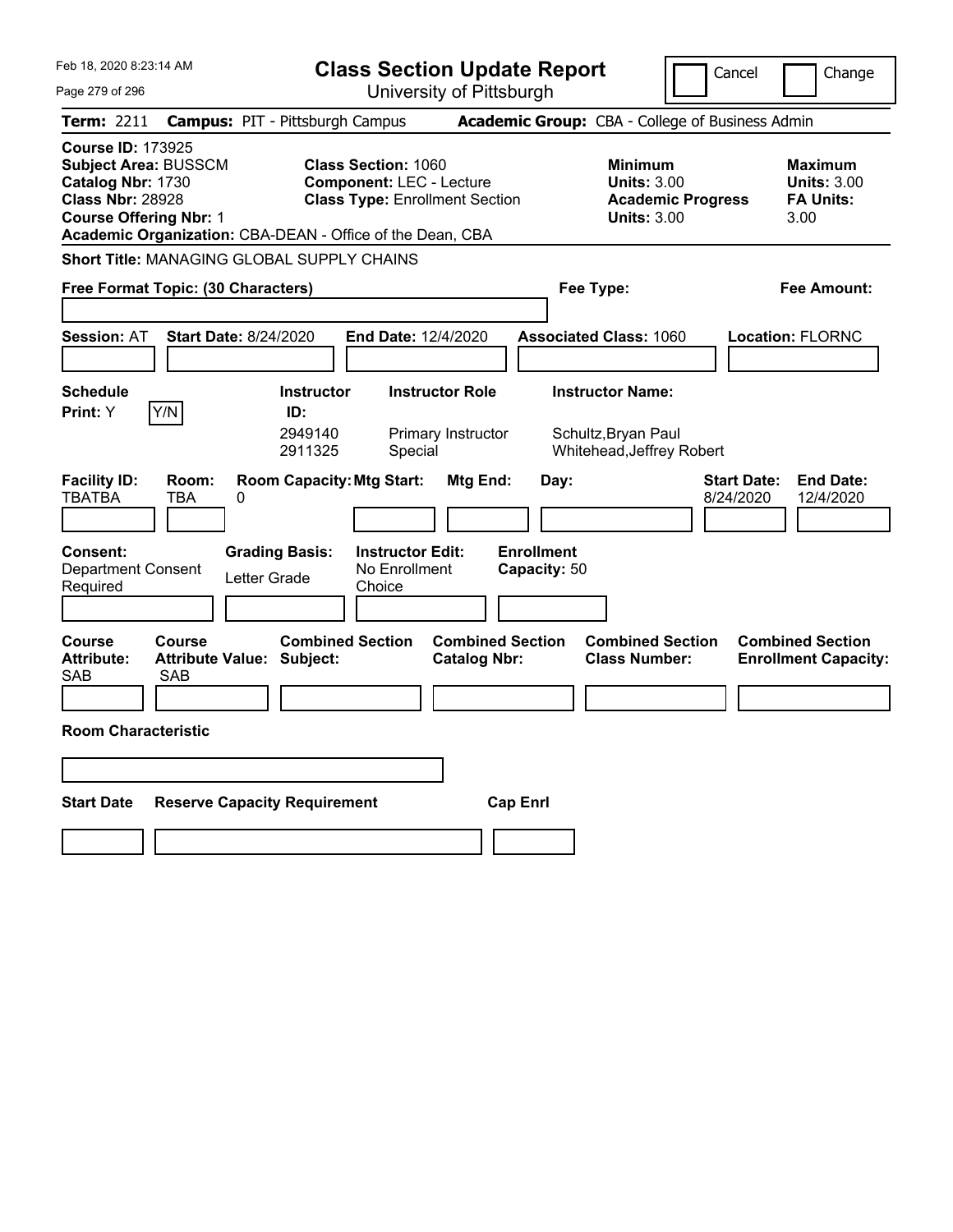| Feb 18, 2020 8:23:14 AM                                                                                                                                                                               | <b>Class Section Update Report</b>                                                                     | Cancel<br>Change                                                                                                                                    |
|-------------------------------------------------------------------------------------------------------------------------------------------------------------------------------------------------------|--------------------------------------------------------------------------------------------------------|-----------------------------------------------------------------------------------------------------------------------------------------------------|
| Page 279 of 296                                                                                                                                                                                       | University of Pittsburgh                                                                               |                                                                                                                                                     |
| Term: 2211                                                                                                                                                                                            | <b>Campus: PIT - Pittsburgh Campus</b>                                                                 | Academic Group: CBA - College of Business Admin                                                                                                     |
| <b>Course ID: 173925</b><br><b>Subject Area: BUSSCM</b><br>Catalog Nbr: 1730<br><b>Class Nbr: 28928</b><br><b>Course Offering Nbr: 1</b><br>Academic Organization: CBA-DEAN - Office of the Dean, CBA | <b>Class Section: 1060</b><br><b>Component: LEC - Lecture</b><br><b>Class Type: Enrollment Section</b> | <b>Minimum</b><br>Maximum<br><b>Units: 3.00</b><br><b>Units: 3.00</b><br><b>FA Units:</b><br><b>Academic Progress</b><br><b>Units: 3.00</b><br>3.00 |
| <b>Short Title: MANAGING GLOBAL SUPPLY CHAINS</b>                                                                                                                                                     |                                                                                                        |                                                                                                                                                     |
| Free Format Topic: (30 Characters)                                                                                                                                                                    |                                                                                                        | Fee Type:<br>Fee Amount:                                                                                                                            |
| <b>Start Date: 8/24/2020</b><br><b>Session: AT</b>                                                                                                                                                    | <b>End Date: 12/4/2020</b>                                                                             | <b>Associated Class: 1060</b><br><b>Location: FLORNC</b>                                                                                            |
| <b>Schedule</b>                                                                                                                                                                                       | <b>Instructor Role</b><br><b>Instructor</b>                                                            | <b>Instructor Name:</b>                                                                                                                             |
| Print: Y<br>Y/N                                                                                                                                                                                       | ID:                                                                                                    |                                                                                                                                                     |
|                                                                                                                                                                                                       | 2949140<br>Primary Instructor<br>2911325<br>Special                                                    | Schultz, Bryan Paul<br>Whitehead, Jeffrey Robert                                                                                                    |
| <b>Facility ID:</b><br>Room:<br><b>TBATBA</b><br>TBA<br>0                                                                                                                                             | <b>Room Capacity: Mtg Start:</b><br>Mtg End:                                                           | <b>End Date:</b><br><b>Start Date:</b><br>Day:<br>8/24/2020<br>12/4/2020                                                                            |
| <b>Grading Basis:</b><br><b>Consent:</b><br><b>Department Consent</b><br>Letter Grade<br>Required                                                                                                     | <b>Instructor Edit:</b><br><b>Enrollment</b><br>No Enrollment<br>Capacity: 50<br>Choice                |                                                                                                                                                     |
| <b>Course</b><br>Course<br><b>Attribute:</b><br><b>Attribute Value: Subject:</b><br><b>SAB</b><br><b>SAB</b>                                                                                          | <b>Combined Section</b><br><b>Combined Section</b><br><b>Catalog Nbr:</b>                              | <b>Combined Section</b><br><b>Combined Section</b><br><b>Class Number:</b><br><b>Enrollment Capacity:</b>                                           |
|                                                                                                                                                                                                       |                                                                                                        |                                                                                                                                                     |
| <b>Room Characteristic</b>                                                                                                                                                                            |                                                                                                        |                                                                                                                                                     |
|                                                                                                                                                                                                       |                                                                                                        |                                                                                                                                                     |
| <b>Start Date</b><br><b>Reserve Capacity Requirement</b>                                                                                                                                              | <b>Cap Enri</b>                                                                                        |                                                                                                                                                     |
|                                                                                                                                                                                                       |                                                                                                        |                                                                                                                                                     |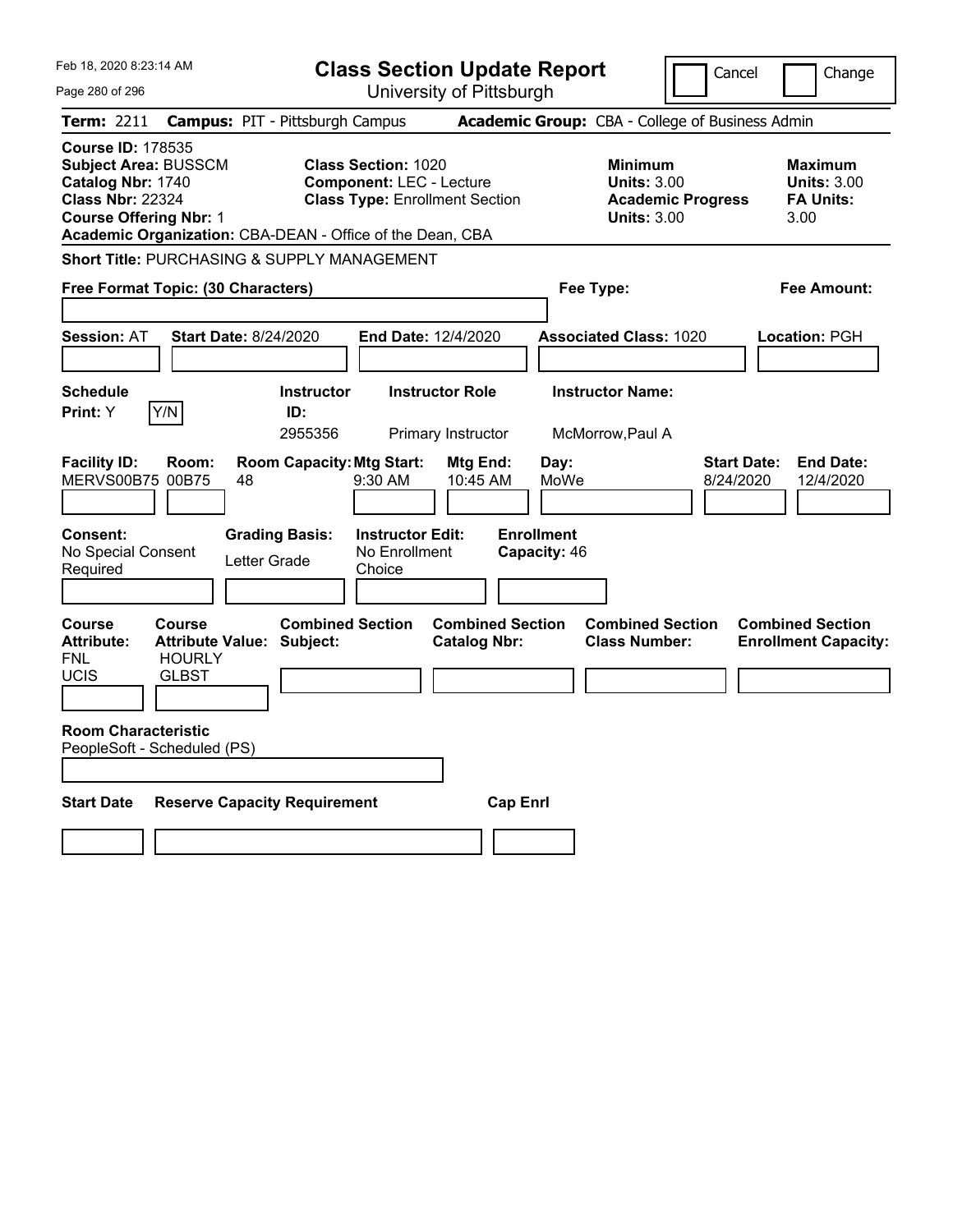| Feb 18, 2020 8:23:14 AM                                                                                                                                                                               |                                                |                                                                           | <b>Class Section Update Report</b>                                                                     |                                                |                                                   |                                                                                        | Cancel                          | Change                                                           |
|-------------------------------------------------------------------------------------------------------------------------------------------------------------------------------------------------------|------------------------------------------------|---------------------------------------------------------------------------|--------------------------------------------------------------------------------------------------------|------------------------------------------------|---------------------------------------------------|----------------------------------------------------------------------------------------|---------------------------------|------------------------------------------------------------------|
| Page 280 of 296                                                                                                                                                                                       |                                                |                                                                           |                                                                                                        | University of Pittsburgh                       |                                                   |                                                                                        |                                 |                                                                  |
| Term: 2211                                                                                                                                                                                            |                                                | <b>Campus: PIT - Pittsburgh Campus</b>                                    |                                                                                                        |                                                | Academic Group: CBA - College of Business Admin   |                                                                                        |                                 |                                                                  |
| <b>Course ID: 178535</b><br><b>Subject Area: BUSSCM</b><br>Catalog Nbr: 1740<br><b>Class Nbr: 22324</b><br><b>Course Offering Nbr: 1</b><br>Academic Organization: CBA-DEAN - Office of the Dean, CBA |                                                |                                                                           | <b>Class Section: 1020</b><br><b>Component: LEC - Lecture</b><br><b>Class Type: Enrollment Section</b> |                                                |                                                   | <b>Minimum</b><br><b>Units: 3.00</b><br><b>Academic Progress</b><br><b>Units: 3.00</b> |                                 | <b>Maximum</b><br><b>Units: 3.00</b><br><b>FA Units:</b><br>3.00 |
| <b>Short Title: PURCHASING &amp; SUPPLY MANAGEMENT</b>                                                                                                                                                |                                                |                                                                           |                                                                                                        |                                                |                                                   |                                                                                        |                                 |                                                                  |
| Free Format Topic: (30 Characters)                                                                                                                                                                    |                                                |                                                                           |                                                                                                        |                                                | Fee Type:                                         |                                                                                        |                                 | Fee Amount:                                                      |
|                                                                                                                                                                                                       |                                                |                                                                           |                                                                                                        |                                                |                                                   |                                                                                        |                                 |                                                                  |
| <b>Session: AT</b>                                                                                                                                                                                    | <b>Start Date: 8/24/2020</b>                   |                                                                           | End Date: 12/4/2020                                                                                    |                                                | <b>Associated Class: 1020</b>                     |                                                                                        |                                 | <b>Location: PGH</b>                                             |
|                                                                                                                                                                                                       |                                                |                                                                           |                                                                                                        |                                                |                                                   |                                                                                        |                                 |                                                                  |
| <b>Schedule</b>                                                                                                                                                                                       |                                                | <b>Instructor</b>                                                         |                                                                                                        | <b>Instructor Role</b>                         | <b>Instructor Name:</b>                           |                                                                                        |                                 |                                                                  |
| Y/N<br>Print: Y                                                                                                                                                                                       |                                                | ID:<br>2955356                                                            |                                                                                                        | Primary Instructor                             | McMorrow, Paul A                                  |                                                                                        |                                 |                                                                  |
| <b>Facility ID:</b><br>MERVS00B75 00B75<br><b>Consent:</b><br>No Special Consent<br>Required                                                                                                          | Room:<br>48                                    | <b>Room Capacity: Mtg Start:</b><br><b>Grading Basis:</b><br>Letter Grade | 9:30 AM<br><b>Instructor Edit:</b><br>No Enrollment<br>Choice                                          | Mtg End:<br>10:45 AM                           | Day:<br>MoWe<br><b>Enrollment</b><br>Capacity: 46 |                                                                                        | <b>Start Date:</b><br>8/24/2020 | <b>End Date:</b><br>12/4/2020                                    |
| Course<br><b>Attribute:</b><br><b>FNL</b><br>UCIS                                                                                                                                                     | <b>Course</b><br><b>HOURLY</b><br><b>GLBST</b> | <b>Combined Section</b><br><b>Attribute Value: Subject:</b>               |                                                                                                        | <b>Combined Section</b><br><b>Catalog Nbr:</b> |                                                   | <b>Combined Section</b><br><b>Class Number:</b>                                        |                                 | <b>Combined Section</b><br><b>Enrollment Capacity:</b>           |
| <b>Room Characteristic</b><br>PeopleSoft - Scheduled (PS)                                                                                                                                             |                                                |                                                                           |                                                                                                        |                                                |                                                   |                                                                                        |                                 |                                                                  |
| <b>Start Date</b>                                                                                                                                                                                     |                                                | <b>Reserve Capacity Requirement</b>                                       |                                                                                                        | <b>Cap Enrl</b>                                |                                                   |                                                                                        |                                 |                                                                  |
|                                                                                                                                                                                                       |                                                |                                                                           |                                                                                                        |                                                |                                                   |                                                                                        |                                 |                                                                  |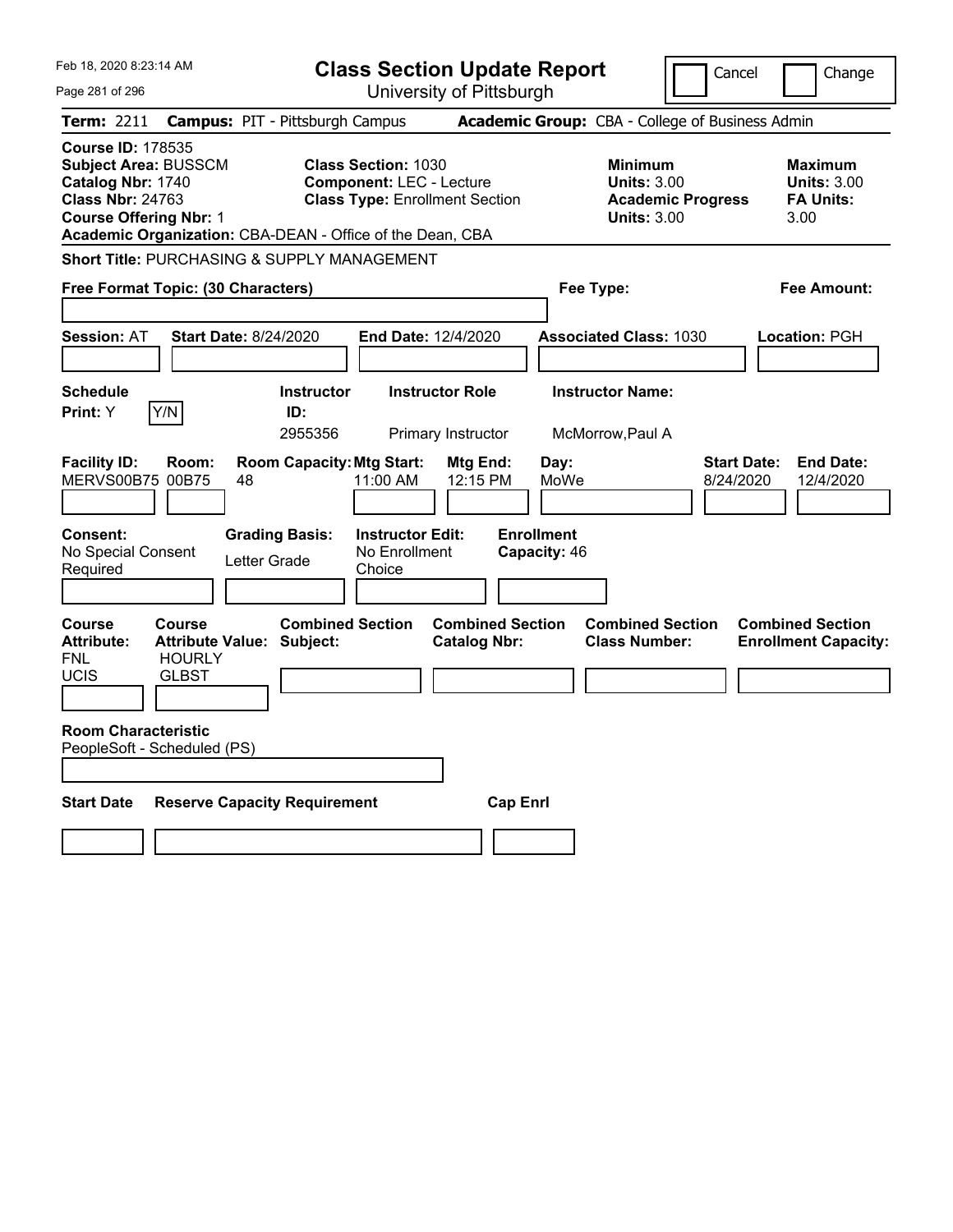| Feb 18, 2020 8:23:14 AM                                                                                                                  |                                                      | <b>Class Section Update Report</b>                                                                                                                                  |                                                            | Cancel                          | Change                                                           |
|------------------------------------------------------------------------------------------------------------------------------------------|------------------------------------------------------|---------------------------------------------------------------------------------------------------------------------------------------------------------------------|------------------------------------------------------------|---------------------------------|------------------------------------------------------------------|
| Page 281 of 296                                                                                                                          |                                                      | University of Pittsburgh                                                                                                                                            |                                                            |                                 |                                                                  |
| Term: 2211                                                                                                                               | <b>Campus: PIT - Pittsburgh Campus</b>               |                                                                                                                                                                     | Academic Group: CBA - College of Business Admin            |                                 |                                                                  |
| <b>Course ID: 178535</b><br><b>Subject Area: BUSSCM</b><br>Catalog Nbr: 1740<br><b>Class Nbr: 24763</b><br><b>Course Offering Nbr: 1</b> |                                                      | <b>Class Section: 1030</b><br><b>Component: LEC - Lecture</b><br><b>Class Type: Enrollment Section</b><br>Academic Organization: CBA-DEAN - Office of the Dean, CBA | <b>Minimum</b><br><b>Units: 3.00</b><br><b>Units: 3.00</b> | <b>Academic Progress</b>        | <b>Maximum</b><br><b>Units: 3.00</b><br><b>FA Units:</b><br>3.00 |
|                                                                                                                                          | Short Title: PURCHASING & SUPPLY MANAGEMENT          |                                                                                                                                                                     |                                                            |                                 |                                                                  |
| Free Format Topic: (30 Characters)                                                                                                       |                                                      |                                                                                                                                                                     | Fee Type:                                                  |                                 | Fee Amount:                                                      |
| <b>Session: AT</b>                                                                                                                       | <b>Start Date: 8/24/2020</b>                         | End Date: 12/4/2020                                                                                                                                                 | <b>Associated Class: 1030</b>                              |                                 | <b>Location: PGH</b>                                             |
| <b>Schedule</b>                                                                                                                          | <b>Instructor</b>                                    | <b>Instructor Role</b>                                                                                                                                              | <b>Instructor Name:</b>                                    |                                 |                                                                  |
| Y/N<br>Print: Y                                                                                                                          | ID:<br>2955356                                       | Primary Instructor                                                                                                                                                  | McMorrow, Paul A                                           |                                 |                                                                  |
| <b>Facility ID:</b><br>MERVS00B75 00B75<br><b>Consent:</b><br>No Special Consent<br>Required                                             | Room:<br>48<br><b>Grading Basis:</b><br>Letter Grade | <b>Room Capacity: Mtg Start:</b><br>Mtg End:<br>11:00 AM<br>12:15 PM<br><b>Instructor Edit:</b><br>No Enrollment<br>Choice                                          | Day:<br>MoWe<br><b>Enrollment</b><br>Capacity: 46          | <b>Start Date:</b><br>8/24/2020 | <b>End Date:</b><br>12/4/2020                                    |
| <b>Course</b><br><b>Course</b><br><b>Attribute:</b><br><b>FNL</b><br>UCIS<br><b>GLBST</b>                                                | <b>Attribute Value: Subject:</b><br><b>HOURLY</b>    | <b>Combined Section</b><br><b>Combined Section</b><br><b>Catalog Nbr:</b>                                                                                           | <b>Combined Section</b><br><b>Class Number:</b>            |                                 | <b>Combined Section</b><br><b>Enrollment Capacity:</b>           |
| <b>Room Characteristic</b><br>PeopleSoft - Scheduled (PS)                                                                                |                                                      |                                                                                                                                                                     |                                                            |                                 |                                                                  |
| <b>Start Date</b>                                                                                                                        | <b>Reserve Capacity Requirement</b>                  |                                                                                                                                                                     | <b>Cap Enrl</b>                                            |                                 |                                                                  |
|                                                                                                                                          |                                                      |                                                                                                                                                                     |                                                            |                                 |                                                                  |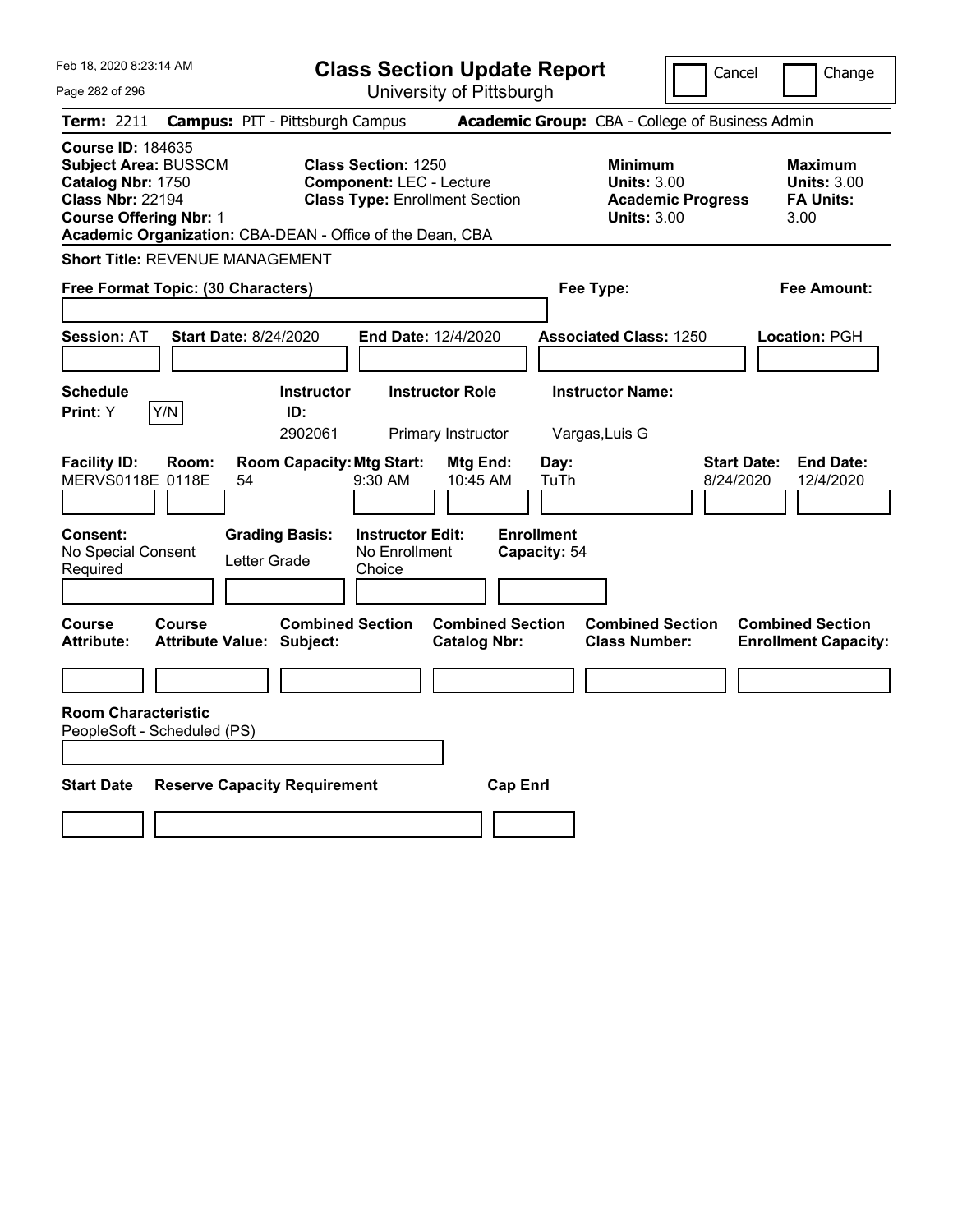| Feb 18, 2020 8:23:14 AM                                                                                                                  |                                                                                                                                                                     | <b>Class Section Update Report</b>             |                                                                                        | Cancel<br>Change                                                 |
|------------------------------------------------------------------------------------------------------------------------------------------|---------------------------------------------------------------------------------------------------------------------------------------------------------------------|------------------------------------------------|----------------------------------------------------------------------------------------|------------------------------------------------------------------|
| Page 282 of 296                                                                                                                          |                                                                                                                                                                     | University of Pittsburgh                       |                                                                                        |                                                                  |
| Term: 2211                                                                                                                               | <b>Campus: PIT - Pittsburgh Campus</b>                                                                                                                              |                                                | Academic Group: CBA - College of Business Admin                                        |                                                                  |
| <b>Course ID: 184635</b><br><b>Subject Area: BUSSCM</b><br>Catalog Nbr: 1750<br><b>Class Nbr: 22194</b><br><b>Course Offering Nbr: 1</b> | <b>Class Section: 1250</b><br><b>Component: LEC - Lecture</b><br><b>Class Type: Enrollment Section</b><br>Academic Organization: CBA-DEAN - Office of the Dean, CBA |                                                | <b>Minimum</b><br><b>Units: 3.00</b><br><b>Academic Progress</b><br><b>Units: 3.00</b> | <b>Maximum</b><br><b>Units: 3.00</b><br><b>FA Units:</b><br>3.00 |
| <b>Short Title: REVENUE MANAGEMENT</b>                                                                                                   |                                                                                                                                                                     |                                                |                                                                                        |                                                                  |
| Free Format Topic: (30 Characters)                                                                                                       |                                                                                                                                                                     |                                                | Fee Type:                                                                              | Fee Amount:                                                      |
| <b>Session: AT</b>                                                                                                                       | <b>Start Date: 8/24/2020</b>                                                                                                                                        | End Date: 12/4/2020                            | <b>Associated Class: 1250</b>                                                          | Location: PGH                                                    |
| <b>Schedule</b><br>Y/N<br>Print: Y                                                                                                       | <b>Instructor</b><br>ID:<br>2902061                                                                                                                                 | <b>Instructor Role</b><br>Primary Instructor   | <b>Instructor Name:</b><br>Vargas, Luis G                                              |                                                                  |
| <b>Facility ID:</b><br>Room:<br>MERVS0118E 0118E                                                                                         | <b>Room Capacity: Mtg Start:</b><br>54<br>9:30 AM                                                                                                                   | Mtg End:<br>10:45 AM                           | Day:<br>TuTh                                                                           | <b>Start Date:</b><br><b>End Date:</b><br>8/24/2020<br>12/4/2020 |
| Consent:<br>No Special Consent<br>Required                                                                                               | <b>Instructor Edit:</b><br><b>Grading Basis:</b><br>No Enrollment<br>Letter Grade<br>Choice                                                                         | <b>Enrollment</b>                              | Capacity: 54                                                                           |                                                                  |
| Course<br>Course<br><b>Attribute:</b>                                                                                                    | <b>Combined Section</b><br><b>Attribute Value: Subject:</b>                                                                                                         | <b>Combined Section</b><br><b>Catalog Nbr:</b> | <b>Combined Section</b><br><b>Class Number:</b>                                        | <b>Combined Section</b><br><b>Enrollment Capacity:</b>           |
|                                                                                                                                          |                                                                                                                                                                     |                                                |                                                                                        |                                                                  |
| <b>Room Characteristic</b><br>PeopleSoft - Scheduled (PS)                                                                                |                                                                                                                                                                     |                                                |                                                                                        |                                                                  |
| <b>Start Date</b>                                                                                                                        | <b>Reserve Capacity Requirement</b>                                                                                                                                 | <b>Cap Enrl</b>                                |                                                                                        |                                                                  |
|                                                                                                                                          |                                                                                                                                                                     |                                                |                                                                                        |                                                                  |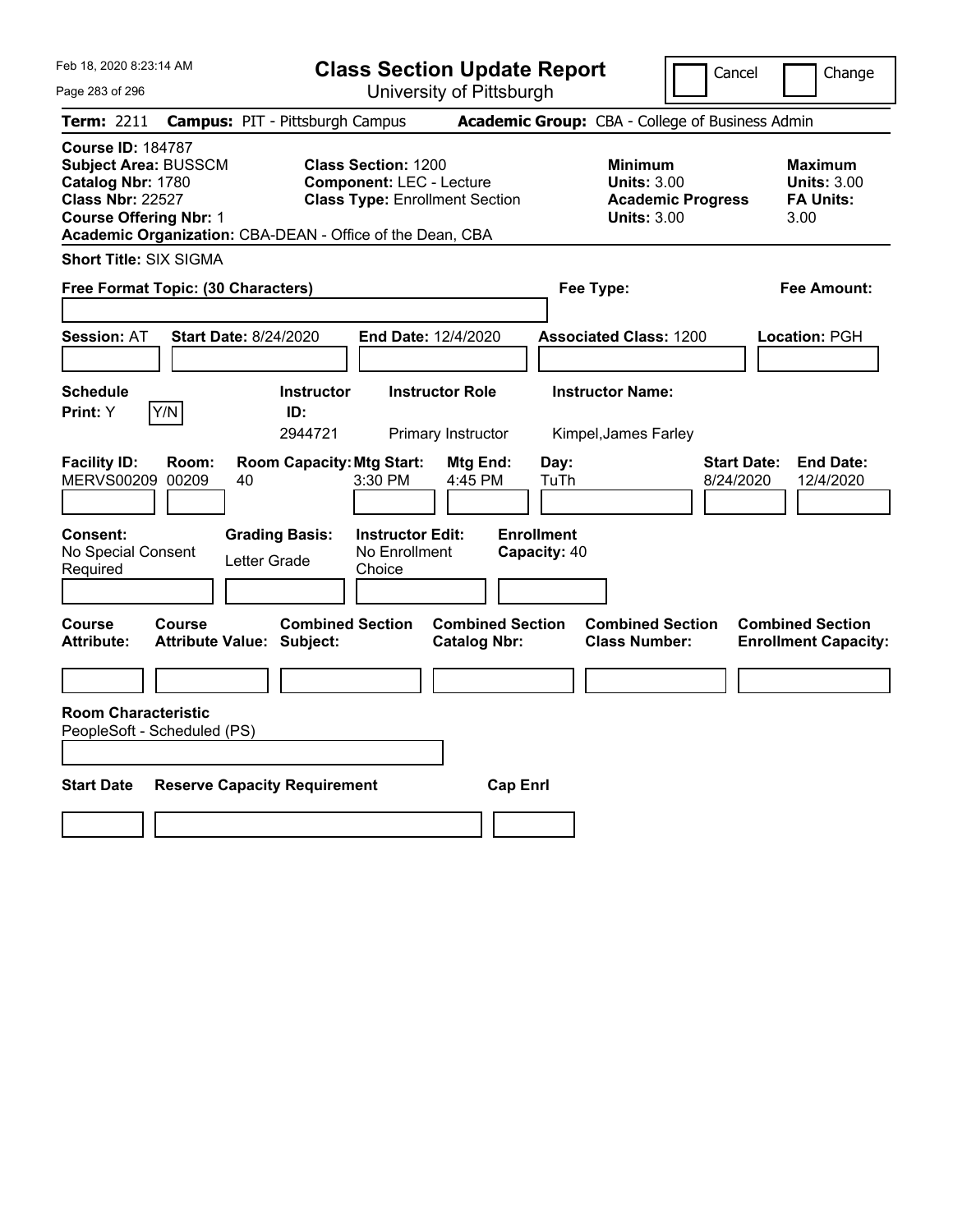Feb 18, 2020 8:23:14 AM Page 283 of 296 **Class Section Update Report** University of Pittsburgh Cancel Change **Term:** 2211 **Campus:** PIT - Pittsburgh Campus **Academic Group:** CBA - College of Business Admin **Course ID:** 184787 **Subject Area: BUSSCM Class Section: 1200 Minimum Maximum Maximum Maximum Catalog Nbr:** 1780 **Component:** LEC - Lecture **Units:** 3.00 **Units:** 3.00 **Class Nbr:** 22527 **Class Type:** Enrollment Section **Academic Progress FA Units: Course Offering Nbr:** 1 **Units:** 3.00 3.00 **Academic Organization:** CBA-DEAN - Office of the Dean, CBA **Short Title:** SIX SIGMA **Free Format Topic: (30 Characters) Fee Type: Fee Amount: Session:** AT **Start Date:** 8/24/2020 **End Date:** 12/4/2020 **Associated Class:** 1200 **Location:** PGH **Schedule Instructor Instructor Role Instructor Name: Print:**  $Y$   $|Y/N|$  **ID:** 2944721 Primary Instructor Kimpel,James Farley **Facility ID: Room: Room Capacity:Mtg Start: Mtg End: Day: Start Date: End Date:** MERVS00209 00209 40 3:30 PM 4:45 PM TuTh 8/24/2020 12/4/2020 **Consent: Grading Basis: Instructor Edit: Enrollment** No Special Consent Required Letter Grade No Enrollment Choice **Capacity:** 40 **Course Course Combined Section Combined Section Combined Section Combined Section Attribute: Attribute Value: Subject: Catalog Nbr: Class Number: Enrollment Capacity: Room Characteristic** PeopleSoft - Scheduled (PS) **Start Date Reserve Capacity Requirement Cap Enrl**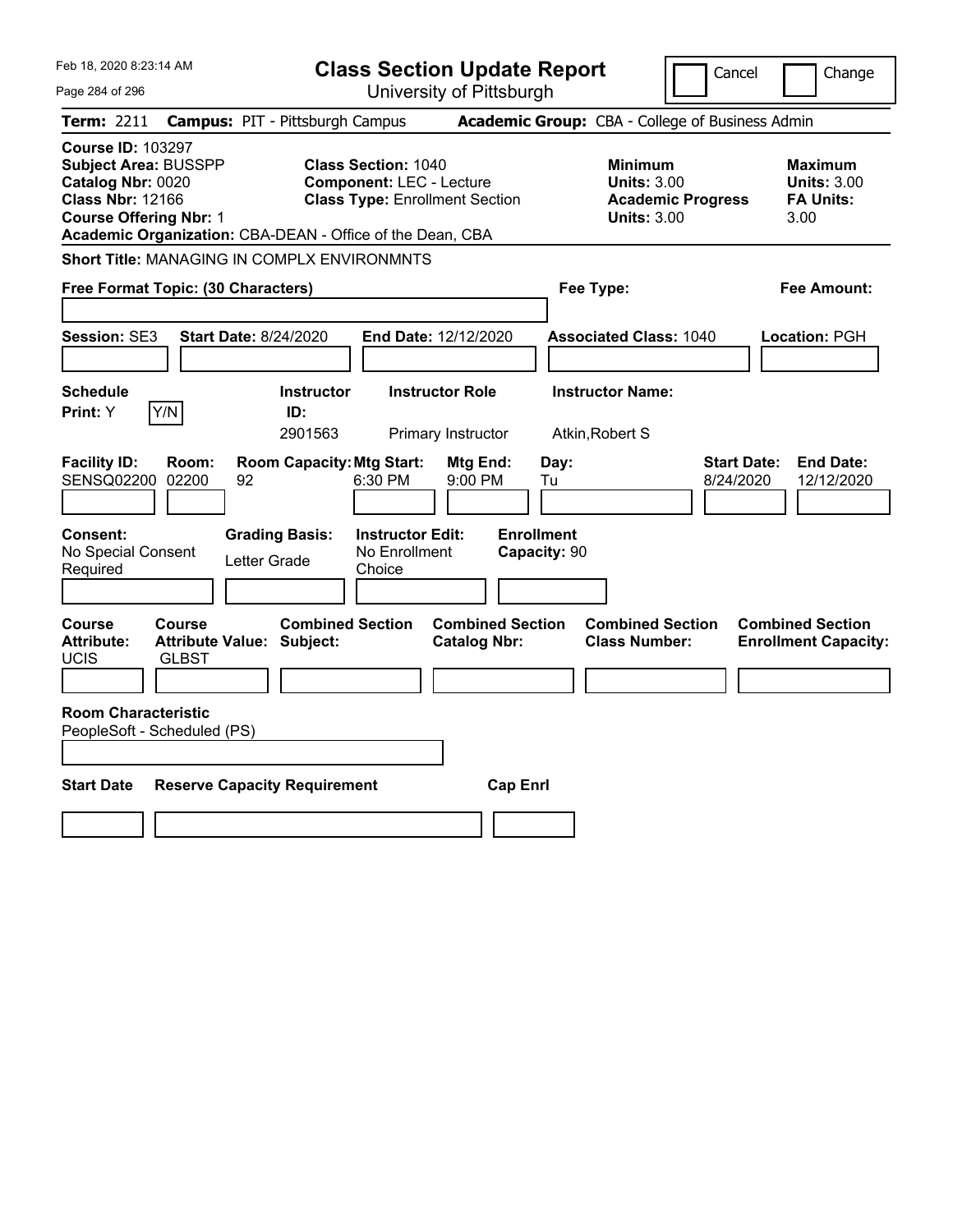| Feb 18, 2020 8:23:14 AM                                                                                                                                                                               | <b>Class Section Update Report</b>                                                                     |                                                |                                                                                        | Cancel<br>Change                                                  |
|-------------------------------------------------------------------------------------------------------------------------------------------------------------------------------------------------------|--------------------------------------------------------------------------------------------------------|------------------------------------------------|----------------------------------------------------------------------------------------|-------------------------------------------------------------------|
| Page 284 of 296                                                                                                                                                                                       | University of Pittsburgh                                                                               |                                                |                                                                                        |                                                                   |
| <b>Term: 2211</b>                                                                                                                                                                                     | <b>Campus: PIT - Pittsburgh Campus</b>                                                                 |                                                | Academic Group: CBA - College of Business Admin                                        |                                                                   |
| <b>Course ID: 103297</b><br><b>Subject Area: BUSSPP</b><br>Catalog Nbr: 0020<br><b>Class Nbr: 12166</b><br><b>Course Offering Nbr: 1</b><br>Academic Organization: CBA-DEAN - Office of the Dean, CBA | <b>Class Section: 1040</b><br><b>Component: LEC - Lecture</b><br><b>Class Type: Enrollment Section</b> |                                                | <b>Minimum</b><br><b>Units: 3.00</b><br><b>Academic Progress</b><br><b>Units: 3.00</b> | <b>Maximum</b><br><b>Units: 3.00</b><br><b>FA Units:</b><br>3.00  |
| <b>Short Title: MANAGING IN COMPLX ENVIRONMNTS</b>                                                                                                                                                    |                                                                                                        |                                                |                                                                                        |                                                                   |
| Free Format Topic: (30 Characters)                                                                                                                                                                    |                                                                                                        |                                                | Fee Type:                                                                              | Fee Amount:                                                       |
| Session: SE3<br><b>Start Date: 8/24/2020</b>                                                                                                                                                          | End Date: 12/12/2020                                                                                   |                                                | <b>Associated Class: 1040</b>                                                          | Location: PGH                                                     |
| <b>Schedule</b><br>Y/N<br>Print: Y                                                                                                                                                                    | <b>Instructor Role</b><br><b>Instructor</b><br>ID:<br>2901563<br>Primary Instructor                    |                                                | <b>Instructor Name:</b><br>Atkin, Robert S                                             |                                                                   |
| <b>Facility ID:</b><br>Room:<br>SENSQ02200 02200<br>92                                                                                                                                                | <b>Room Capacity: Mtg Start:</b><br>6:30 PM                                                            | Mtg End:<br>Day:<br>9:00 PM<br>Tu              |                                                                                        | <b>Start Date:</b><br><b>End Date:</b><br>8/24/2020<br>12/12/2020 |
| Consent:<br><b>Grading Basis:</b><br>No Special Consent<br>Letter Grade<br>Required                                                                                                                   | <b>Instructor Edit:</b><br>No Enrollment<br>Choice                                                     | <b>Enrollment</b><br>Capacity: 90              |                                                                                        |                                                                   |
| Course<br><b>Course</b><br><b>Attribute:</b><br><b>Attribute Value: Subject:</b><br>UCIS<br><b>GLBST</b>                                                                                              | <b>Combined Section</b>                                                                                | <b>Combined Section</b><br><b>Catalog Nbr:</b> | <b>Combined Section</b><br><b>Class Number:</b>                                        | <b>Combined Section</b><br><b>Enrollment Capacity:</b>            |
| <b>Room Characteristic</b><br>PeopleSoft - Scheduled (PS)                                                                                                                                             |                                                                                                        |                                                |                                                                                        |                                                                   |
| <b>Start Date</b><br><b>Reserve Capacity Requirement</b>                                                                                                                                              |                                                                                                        | <b>Cap Enrl</b>                                |                                                                                        |                                                                   |
|                                                                                                                                                                                                       |                                                                                                        |                                                |                                                                                        |                                                                   |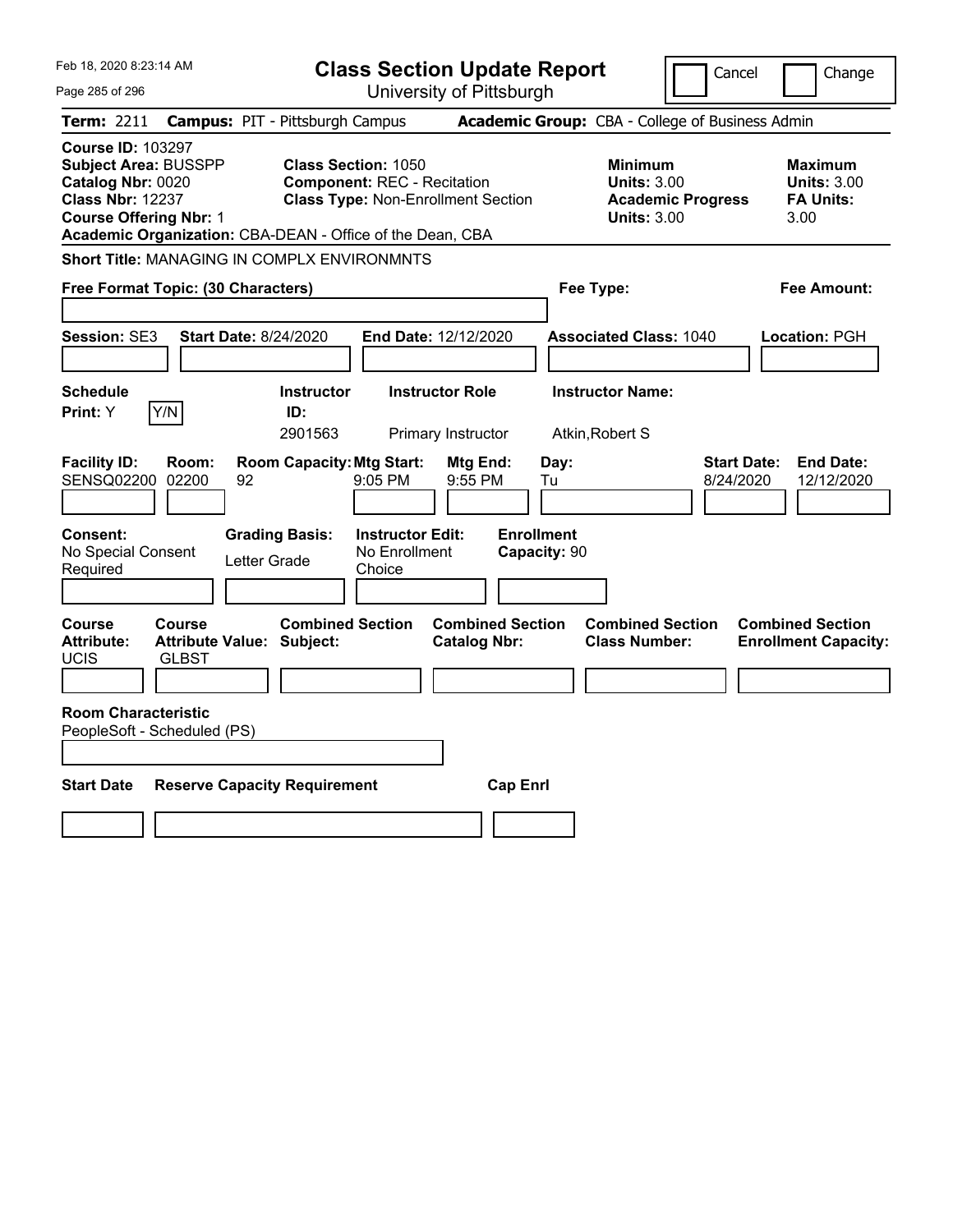| Feb 18, 2020 8:23:14 AM                                                                                                                                                                               |                                                                   |                                     | <b>Class Section Update Report</b>                                              |                                                |                                   |                                                            | Cancel                   |                                 | Change                                                   |
|-------------------------------------------------------------------------------------------------------------------------------------------------------------------------------------------------------|-------------------------------------------------------------------|-------------------------------------|---------------------------------------------------------------------------------|------------------------------------------------|-----------------------------------|------------------------------------------------------------|--------------------------|---------------------------------|----------------------------------------------------------|
| Page 285 of 296                                                                                                                                                                                       |                                                                   |                                     |                                                                                 | University of Pittsburgh                       |                                   |                                                            |                          |                                 |                                                          |
| Term: 2211                                                                                                                                                                                            | <b>Campus: PIT - Pittsburgh Campus</b>                            |                                     |                                                                                 |                                                |                                   | Academic Group: CBA - College of Business Admin            |                          |                                 |                                                          |
| <b>Course ID: 103297</b><br><b>Subject Area: BUSSPP</b><br>Catalog Nbr: 0020<br><b>Class Nbr: 12237</b><br><b>Course Offering Nbr: 1</b><br>Academic Organization: CBA-DEAN - Office of the Dean, CBA |                                                                   | <b>Class Section: 1050</b>          | <b>Component: REC - Recitation</b><br><b>Class Type: Non-Enrollment Section</b> |                                                |                                   | <b>Minimum</b><br><b>Units: 3.00</b><br><b>Units: 3.00</b> | <b>Academic Progress</b> | 3.00                            | <b>Maximum</b><br><b>Units: 3.00</b><br><b>FA Units:</b> |
| <b>Short Title: MANAGING IN COMPLX ENVIRONMNTS</b>                                                                                                                                                    |                                                                   |                                     |                                                                                 |                                                |                                   |                                                            |                          |                                 |                                                          |
| Free Format Topic: (30 Characters)                                                                                                                                                                    |                                                                   |                                     |                                                                                 |                                                |                                   | Fee Type:                                                  |                          |                                 | Fee Amount:                                              |
| Session: SE3                                                                                                                                                                                          | <b>Start Date: 8/24/2020</b>                                      |                                     | End Date: 12/12/2020                                                            |                                                |                                   | <b>Associated Class: 1040</b>                              |                          |                                 | Location: PGH                                            |
| <b>Schedule</b><br>Y/N<br>Print: Y                                                                                                                                                                    |                                                                   | <b>Instructor</b><br>ID:<br>2901563 |                                                                                 | <b>Instructor Role</b><br>Primary Instructor   |                                   | <b>Instructor Name:</b><br>Atkin, Robert S                 |                          |                                 |                                                          |
| <b>Facility ID:</b><br>SENSQ02200 02200                                                                                                                                                               | Room:<br>92                                                       | <b>Room Capacity: Mtg Start:</b>    | 9:05 PM                                                                         | Mtg End:<br>9:55 PM                            | Day:<br>Tu                        |                                                            |                          | <b>Start Date:</b><br>8/24/2020 | <b>End Date:</b><br>12/12/2020                           |
| Consent:<br>No Special Consent<br>Required                                                                                                                                                            | Letter Grade                                                      | <b>Grading Basis:</b>               | <b>Instructor Edit:</b><br>No Enrollment<br>Choice                              |                                                | <b>Enrollment</b><br>Capacity: 90 |                                                            |                          |                                 |                                                          |
| Course<br>Attribute:<br>UCIS                                                                                                                                                                          | <b>Course</b><br><b>Attribute Value: Subject:</b><br><b>GLBST</b> | <b>Combined Section</b>             |                                                                                 | <b>Combined Section</b><br><b>Catalog Nbr:</b> |                                   | <b>Combined Section</b><br><b>Class Number:</b>            |                          | <b>Combined Section</b>         | <b>Enrollment Capacity:</b>                              |
| <b>Room Characteristic</b><br>PeopleSoft - Scheduled (PS)                                                                                                                                             |                                                                   |                                     |                                                                                 |                                                |                                   |                                                            |                          |                                 |                                                          |
| <b>Start Date</b>                                                                                                                                                                                     | <b>Reserve Capacity Requirement</b>                               |                                     |                                                                                 |                                                | <b>Cap Enrl</b>                   |                                                            |                          |                                 |                                                          |
|                                                                                                                                                                                                       |                                                                   |                                     |                                                                                 |                                                |                                   |                                                            |                          |                                 |                                                          |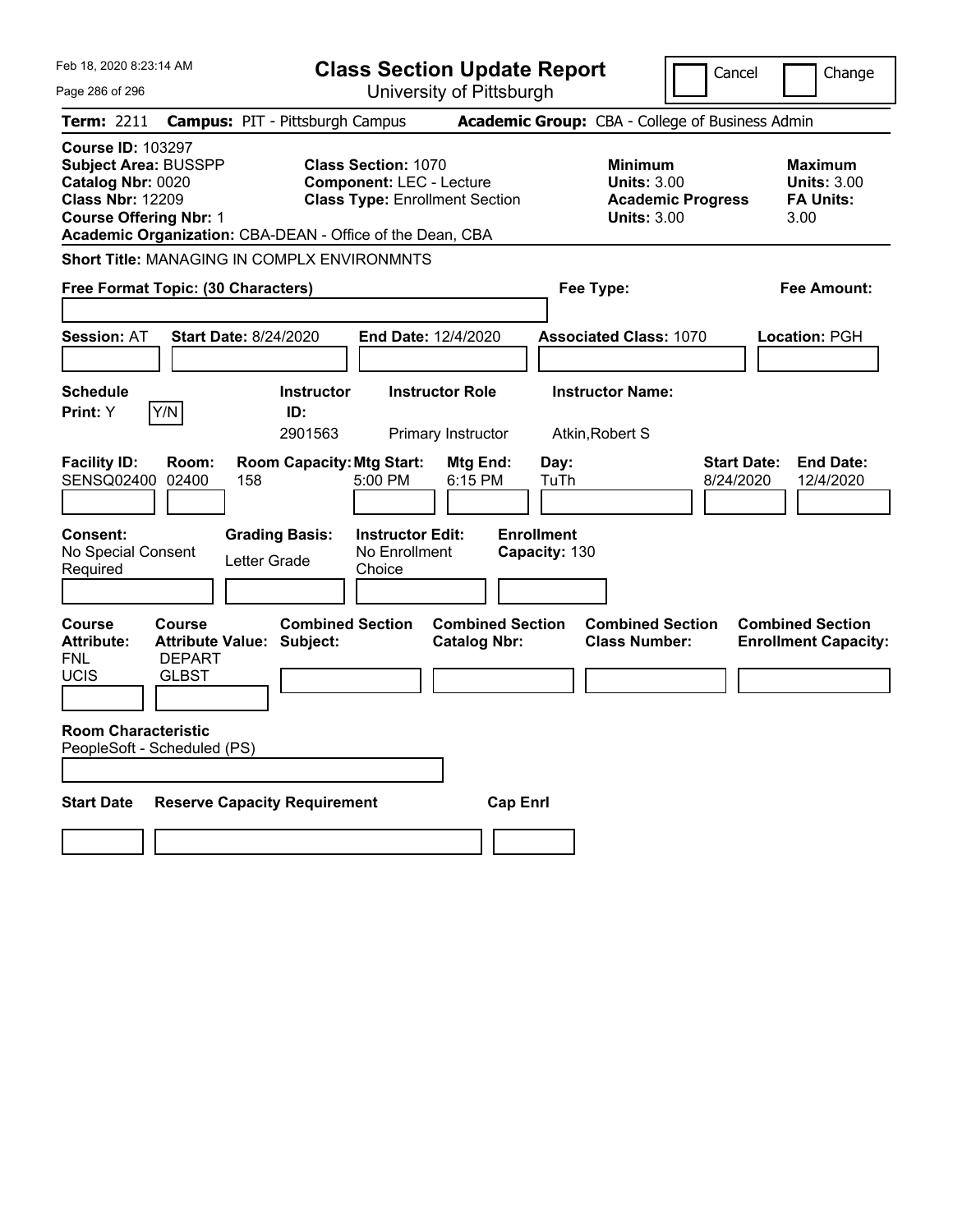| Feb 18, 2020 8:23:14 AM                                                                                                                  |                                |                                                             |                                                               | <b>Class Section Update Report</b>             |                                    | Cancel                                                                                 | Change                                                           |
|------------------------------------------------------------------------------------------------------------------------------------------|--------------------------------|-------------------------------------------------------------|---------------------------------------------------------------|------------------------------------------------|------------------------------------|----------------------------------------------------------------------------------------|------------------------------------------------------------------|
| Page 286 of 296                                                                                                                          |                                |                                                             |                                                               | University of Pittsburgh                       |                                    |                                                                                        |                                                                  |
| <b>Term: 2211</b>                                                                                                                        |                                | <b>Campus: PIT - Pittsburgh Campus</b>                      |                                                               |                                                |                                    | Academic Group: CBA - College of Business Admin                                        |                                                                  |
| <b>Course ID: 103297</b><br><b>Subject Area: BUSSPP</b><br>Catalog Nbr: 0020<br><b>Class Nbr: 12209</b><br><b>Course Offering Nbr: 1</b> |                                | Academic Organization: CBA-DEAN - Office of the Dean, CBA   | <b>Class Section: 1070</b><br><b>Component: LEC - Lecture</b> | <b>Class Type: Enrollment Section</b>          |                                    | <b>Minimum</b><br><b>Units: 3.00</b><br><b>Academic Progress</b><br><b>Units: 3.00</b> | <b>Maximum</b><br><b>Units: 3.00</b><br><b>FA Units:</b><br>3.00 |
|                                                                                                                                          |                                | <b>Short Title: MANAGING IN COMPLX ENVIRONMNTS</b>          |                                                               |                                                |                                    |                                                                                        |                                                                  |
| Free Format Topic: (30 Characters)                                                                                                       |                                |                                                             |                                                               |                                                | Fee Type:                          |                                                                                        | Fee Amount:                                                      |
|                                                                                                                                          |                                |                                                             |                                                               |                                                |                                    |                                                                                        |                                                                  |
| <b>Session: AT</b>                                                                                                                       |                                | <b>Start Date: 8/24/2020</b>                                | <b>End Date: 12/4/2020</b>                                    |                                                | <b>Associated Class: 1070</b>      |                                                                                        | Location: PGH                                                    |
|                                                                                                                                          |                                |                                                             |                                                               |                                                |                                    |                                                                                        |                                                                  |
| <b>Schedule</b>                                                                                                                          |                                | <b>Instructor</b>                                           |                                                               | <b>Instructor Role</b>                         | <b>Instructor Name:</b>            |                                                                                        |                                                                  |
| <b>Print:</b> Y                                                                                                                          | Y/N                            | ID:                                                         |                                                               |                                                |                                    |                                                                                        |                                                                  |
|                                                                                                                                          |                                | 2901563                                                     |                                                               | Primary Instructor                             | Atkin, Robert S                    |                                                                                        |                                                                  |
| <b>Facility ID:</b><br><b>SENSQ02400</b>                                                                                                 | Room:<br>02400                 | <b>Room Capacity: Mtg Start:</b><br>158                     | 5:00 PM                                                       | Mtg End:<br>6:15 PM                            | Day:<br>TuTh                       | <b>Start Date:</b><br>8/24/2020                                                        | <b>End Date:</b><br>12/4/2020                                    |
| Consent:<br>No Special Consent<br>Required                                                                                               |                                | <b>Grading Basis:</b><br>Letter Grade                       | <b>Instructor Edit:</b><br>No Enrollment<br>Choice            |                                                | <b>Enrollment</b><br>Capacity: 130 |                                                                                        |                                                                  |
|                                                                                                                                          |                                |                                                             |                                                               |                                                |                                    |                                                                                        |                                                                  |
| <b>Course</b><br><b>Attribute:</b><br><b>FNL</b>                                                                                         | <b>Course</b><br><b>DEPART</b> | <b>Combined Section</b><br><b>Attribute Value: Subject:</b> |                                                               | <b>Combined Section</b><br><b>Catalog Nbr:</b> |                                    | <b>Combined Section</b><br><b>Class Number:</b>                                        | <b>Combined Section</b><br><b>Enrollment Capacity:</b>           |
| UCIS                                                                                                                                     | GLBST                          |                                                             |                                                               |                                                |                                    |                                                                                        |                                                                  |
| <b>Room Characteristic</b><br>PeopleSoft - Scheduled (PS)                                                                                |                                |                                                             |                                                               |                                                |                                    |                                                                                        |                                                                  |
| <b>Start Date</b>                                                                                                                        |                                | <b>Reserve Capacity Requirement</b>                         |                                                               | <b>Cap Enrl</b>                                |                                    |                                                                                        |                                                                  |
|                                                                                                                                          |                                |                                                             |                                                               |                                                |                                    |                                                                                        |                                                                  |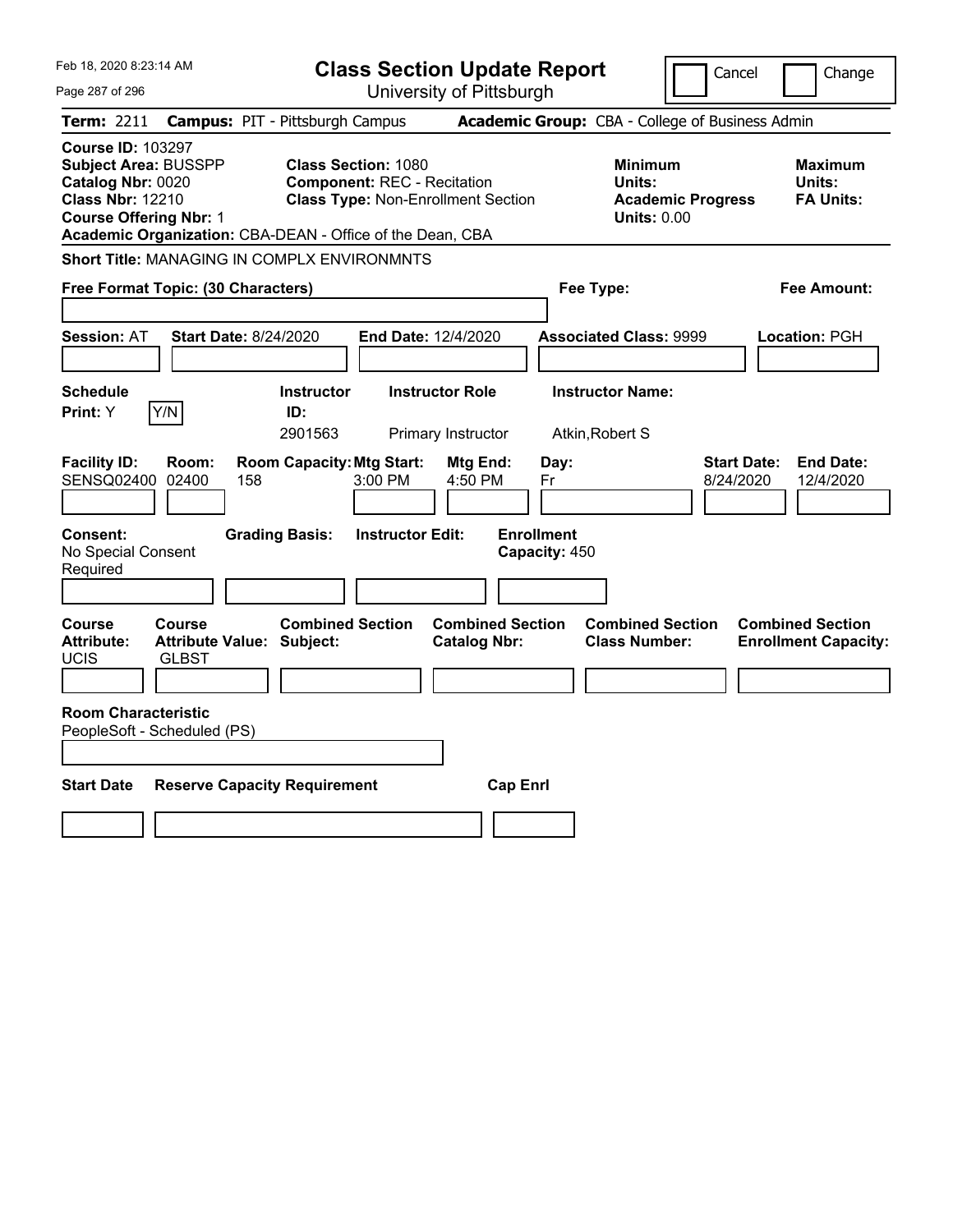| Feb 18, 2020 8:23:14 AM                                                                                                                                                                               |                                                                                                               | <b>Class Section Update Report</b>             |                                                                            | Cancel<br>Change                                                 |
|-------------------------------------------------------------------------------------------------------------------------------------------------------------------------------------------------------|---------------------------------------------------------------------------------------------------------------|------------------------------------------------|----------------------------------------------------------------------------|------------------------------------------------------------------|
| Page 287 of 296                                                                                                                                                                                       |                                                                                                               | University of Pittsburgh                       |                                                                            |                                                                  |
| Term: 2211                                                                                                                                                                                            | <b>Campus: PIT - Pittsburgh Campus</b>                                                                        |                                                | Academic Group: CBA - College of Business Admin                            |                                                                  |
| <b>Course ID: 103297</b><br><b>Subject Area: BUSSPP</b><br>Catalog Nbr: 0020<br><b>Class Nbr: 12210</b><br><b>Course Offering Nbr: 1</b><br>Academic Organization: CBA-DEAN - Office of the Dean, CBA | <b>Class Section: 1080</b><br><b>Component: REC - Recitation</b><br><b>Class Type: Non-Enrollment Section</b> |                                                | <b>Minimum</b><br>Units:<br><b>Academic Progress</b><br><b>Units: 0.00</b> | Maximum<br>Units:<br><b>FA Units:</b>                            |
| Short Title: MANAGING IN COMPLX ENVIRONMNTS                                                                                                                                                           |                                                                                                               |                                                |                                                                            |                                                                  |
| Free Format Topic: (30 Characters)                                                                                                                                                                    |                                                                                                               |                                                | Fee Type:                                                                  | Fee Amount:                                                      |
| <b>Start Date: 8/24/2020</b><br><b>Session: AT</b>                                                                                                                                                    | End Date: 12/4/2020                                                                                           |                                                | <b>Associated Class: 9999</b>                                              | Location: PGH                                                    |
| <b>Schedule</b><br>Y/N<br>Print: Y                                                                                                                                                                    | <b>Instructor</b><br>ID:<br>2901563                                                                           | <b>Instructor Role</b><br>Primary Instructor   | <b>Instructor Name:</b><br>Atkin, Robert S                                 |                                                                  |
| <b>Facility ID:</b><br>Room:<br>SENSQ02400 02400<br>158                                                                                                                                               | <b>Room Capacity: Mtg Start:</b><br>$3:00$ PM                                                                 | Mtg End:<br>Day:<br>4:50 PM<br>Fr              |                                                                            | <b>Start Date:</b><br><b>End Date:</b><br>8/24/2020<br>12/4/2020 |
| <b>Consent:</b><br>No Special Consent<br>Required                                                                                                                                                     | <b>Grading Basis:</b><br><b>Instructor Edit:</b>                                                              | <b>Enrollment</b><br>Capacity: 450             |                                                                            |                                                                  |
| <b>Course</b><br><b>Course</b><br><b>Attribute:</b><br><b>Attribute Value: Subject:</b><br><b>GLBST</b><br>UCIS                                                                                       | <b>Combined Section</b>                                                                                       | <b>Combined Section</b><br><b>Catalog Nbr:</b> | <b>Combined Section</b><br><b>Class Number:</b>                            | <b>Combined Section</b><br><b>Enrollment Capacity:</b>           |
| <b>Room Characteristic</b><br>PeopleSoft - Scheduled (PS)                                                                                                                                             |                                                                                                               |                                                |                                                                            |                                                                  |
| <b>Start Date</b><br><b>Reserve Capacity Requirement</b>                                                                                                                                              |                                                                                                               | <b>Cap Enrl</b>                                |                                                                            |                                                                  |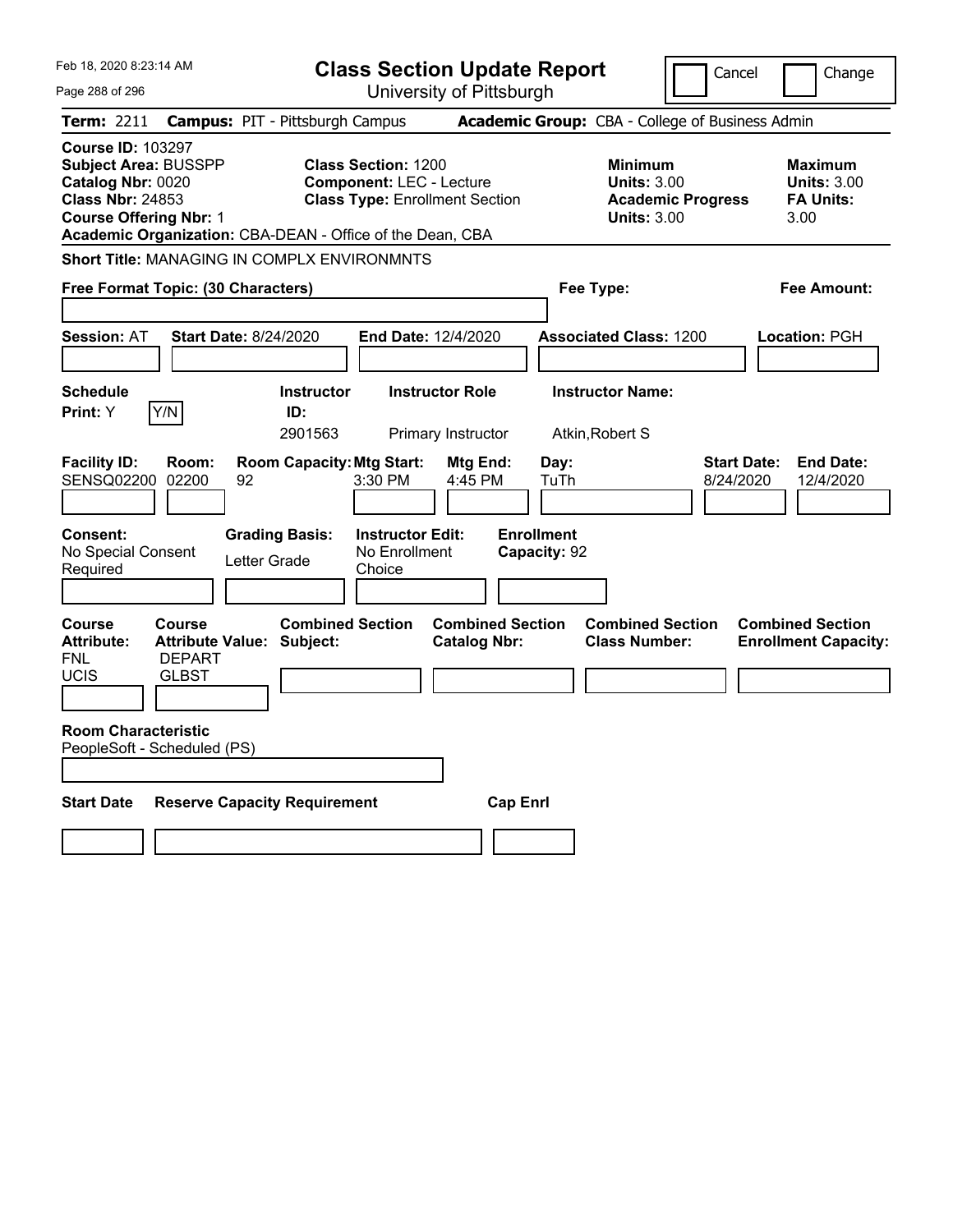| Feb 18, 2020 8:23:14 AM                                                                                                                  |                                 |                                                                                                                                                |                                                                                                        | <b>Class Section Update Report</b>                                    |                                                   |                                                                                        | Cancel<br>Change                                                                                                           |
|------------------------------------------------------------------------------------------------------------------------------------------|---------------------------------|------------------------------------------------------------------------------------------------------------------------------------------------|--------------------------------------------------------------------------------------------------------|-----------------------------------------------------------------------|---------------------------------------------------|----------------------------------------------------------------------------------------|----------------------------------------------------------------------------------------------------------------------------|
| Page 288 of 296                                                                                                                          |                                 |                                                                                                                                                |                                                                                                        | University of Pittsburgh                                              |                                                   |                                                                                        |                                                                                                                            |
| Term: 2211                                                                                                                               |                                 | <b>Campus: PIT - Pittsburgh Campus</b>                                                                                                         |                                                                                                        |                                                                       |                                                   | Academic Group: CBA - College of Business Admin                                        |                                                                                                                            |
| <b>Course ID: 103297</b><br><b>Subject Area: BUSSPP</b><br>Catalog Nbr: 0020<br><b>Class Nbr: 24853</b><br><b>Course Offering Nbr: 1</b> |                                 | Academic Organization: CBA-DEAN - Office of the Dean, CBA                                                                                      | <b>Class Section: 1200</b><br><b>Component: LEC - Lecture</b><br><b>Class Type: Enrollment Section</b> |                                                                       |                                                   | <b>Minimum</b><br><b>Units: 3.00</b><br><b>Academic Progress</b><br><b>Units: 3.00</b> | <b>Maximum</b><br><b>Units: 3.00</b><br><b>FA Units:</b><br>3.00                                                           |
|                                                                                                                                          |                                 | <b>Short Title: MANAGING IN COMPLX ENVIRONMNTS</b>                                                                                             |                                                                                                        |                                                                       |                                                   |                                                                                        |                                                                                                                            |
| Free Format Topic: (30 Characters)                                                                                                       |                                 |                                                                                                                                                |                                                                                                        |                                                                       | Fee Type:                                         |                                                                                        | Fee Amount:                                                                                                                |
|                                                                                                                                          |                                 |                                                                                                                                                |                                                                                                        |                                                                       |                                                   |                                                                                        |                                                                                                                            |
| <b>Session: AT</b>                                                                                                                       |                                 | <b>Start Date: 8/24/2020</b>                                                                                                                   | End Date: 12/4/2020                                                                                    |                                                                       |                                                   | <b>Associated Class: 1200</b>                                                          | Location: PGH                                                                                                              |
|                                                                                                                                          |                                 |                                                                                                                                                |                                                                                                        |                                                                       |                                                   |                                                                                        |                                                                                                                            |
| <b>Schedule</b>                                                                                                                          |                                 | <b>Instructor</b>                                                                                                                              |                                                                                                        | <b>Instructor Role</b>                                                | <b>Instructor Name:</b>                           |                                                                                        |                                                                                                                            |
| Print: Y                                                                                                                                 | Y/N                             | ID:<br>2901563                                                                                                                                 |                                                                                                        | Primary Instructor                                                    | Atkin, Robert S                                   |                                                                                        |                                                                                                                            |
| <b>Facility ID:</b><br><b>SENSQ02200</b><br><b>Consent:</b><br>No Special Consent<br>Required<br>Course<br><b>Attribute:</b>             | Room:<br>02200<br><b>Course</b> | <b>Room Capacity: Mtg Start:</b><br>92<br><b>Grading Basis:</b><br>Letter Grade<br><b>Combined Section</b><br><b>Attribute Value: Subject:</b> | 3:30 PM<br><b>Instructor Edit:</b><br>No Enrollment<br>Choice                                          | Mtg End:<br>4:45 PM<br><b>Combined Section</b><br><b>Catalog Nbr:</b> | Day:<br>TuTh<br><b>Enrollment</b><br>Capacity: 92 | <b>Combined Section</b><br><b>Class Number:</b>                                        | <b>Start Date:</b><br><b>End Date:</b><br>8/24/2020<br>12/4/2020<br><b>Combined Section</b><br><b>Enrollment Capacity:</b> |
| <b>FNL</b><br>UCIS                                                                                                                       | <b>DEPART</b><br>GLBST          |                                                                                                                                                |                                                                                                        |                                                                       |                                                   |                                                                                        |                                                                                                                            |
|                                                                                                                                          |                                 |                                                                                                                                                |                                                                                                        |                                                                       |                                                   |                                                                                        |                                                                                                                            |
| <b>Room Characteristic</b><br>PeopleSoft - Scheduled (PS)                                                                                |                                 |                                                                                                                                                |                                                                                                        |                                                                       |                                                   |                                                                                        |                                                                                                                            |
| <b>Start Date</b>                                                                                                                        |                                 | <b>Reserve Capacity Requirement</b>                                                                                                            |                                                                                                        | <b>Cap Enrl</b>                                                       |                                                   |                                                                                        |                                                                                                                            |
|                                                                                                                                          |                                 |                                                                                                                                                |                                                                                                        |                                                                       |                                                   |                                                                                        |                                                                                                                            |
|                                                                                                                                          |                                 |                                                                                                                                                |                                                                                                        |                                                                       |                                                   |                                                                                        |                                                                                                                            |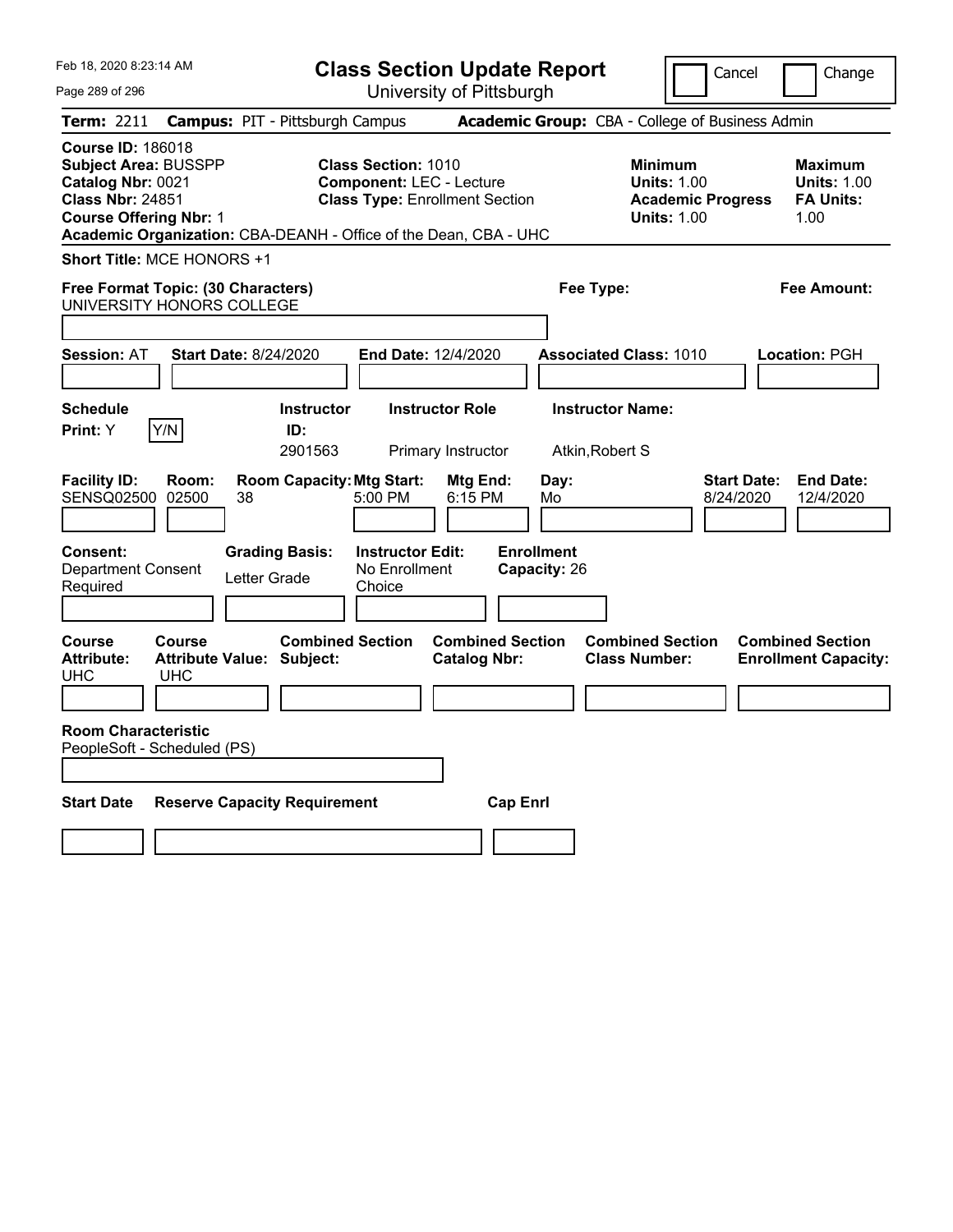| Feb 18, 2020 8:23:14 AM                                                                                                                                                                                      | <b>Class Section Update Report</b>                                                                     |                                                 | Cancel                                                                                 | Change                                                           |
|--------------------------------------------------------------------------------------------------------------------------------------------------------------------------------------------------------------|--------------------------------------------------------------------------------------------------------|-------------------------------------------------|----------------------------------------------------------------------------------------|------------------------------------------------------------------|
| Page 289 of 296                                                                                                                                                                                              | University of Pittsburgh                                                                               |                                                 |                                                                                        |                                                                  |
| <b>Campus: PIT - Pittsburgh Campus</b><br><b>Term: 2211</b>                                                                                                                                                  |                                                                                                        | Academic Group: CBA - College of Business Admin |                                                                                        |                                                                  |
| <b>Course ID: 186018</b><br><b>Subject Area: BUSSPP</b><br>Catalog Nbr: 0021<br><b>Class Nbr: 24851</b><br><b>Course Offering Nbr: 1</b><br>Academic Organization: CBA-DEANH - Office of the Dean, CBA - UHC | <b>Class Section: 1010</b><br><b>Component: LEC - Lecture</b><br><b>Class Type: Enrollment Section</b> |                                                 | <b>Minimum</b><br><b>Units: 1.00</b><br><b>Academic Progress</b><br><b>Units: 1.00</b> | <b>Maximum</b><br><b>Units: 1.00</b><br><b>FA Units:</b><br>1.00 |
| Short Title: MCE HONORS +1                                                                                                                                                                                   |                                                                                                        |                                                 |                                                                                        |                                                                  |
| Free Format Topic: (30 Characters)<br>UNIVERSITY HONORS COLLEGE                                                                                                                                              |                                                                                                        | Fee Type:                                       |                                                                                        | <b>Fee Amount:</b>                                               |
| <b>Session: AT</b><br><b>Start Date: 8/24/2020</b>                                                                                                                                                           | <b>End Date: 12/4/2020</b>                                                                             |                                                 | <b>Associated Class: 1010</b>                                                          | Location: PGH                                                    |
| <b>Schedule</b><br>Print: Y<br>Y/N<br>ID:                                                                                                                                                                    | <b>Instructor Role</b><br><b>Instructor</b><br>2901563<br>Primary Instructor                           | <b>Instructor Name:</b><br>Atkin, Robert S      |                                                                                        |                                                                  |
| <b>Facility ID:</b><br>Room:<br><b>SENSQ02500</b><br>02500<br>38                                                                                                                                             | <b>Room Capacity: Mtg Start:</b><br>5:00 PM                                                            | Day:<br>Mtg End:<br>6:15 PM<br>Mo               | <b>Start Date:</b><br>8/24/2020                                                        | <b>End Date:</b><br>12/4/2020                                    |
| <b>Grading Basis:</b><br><b>Consent:</b><br><b>Department Consent</b><br>Letter Grade<br>Required                                                                                                            | <b>Instructor Edit:</b><br>No Enrollment<br>Choice                                                     | <b>Enrollment</b><br>Capacity: 26               |                                                                                        |                                                                  |
| Course<br>Course<br><b>Attribute:</b><br><b>Attribute Value: Subject:</b><br>UHC<br><b>UHC</b>                                                                                                               | <b>Combined Section</b>                                                                                | <b>Combined Section</b><br><b>Catalog Nbr:</b>  | <b>Combined Section</b><br><b>Class Number:</b>                                        | <b>Combined Section</b><br><b>Enrollment Capacity:</b>           |
| <b>Room Characteristic</b><br>PeopleSoft - Scheduled (PS)                                                                                                                                                    |                                                                                                        |                                                 |                                                                                        |                                                                  |
| <b>Start Date</b><br><b>Reserve Capacity Requirement</b>                                                                                                                                                     |                                                                                                        | <b>Cap Enrl</b>                                 |                                                                                        |                                                                  |
|                                                                                                                                                                                                              |                                                                                                        |                                                 |                                                                                        |                                                                  |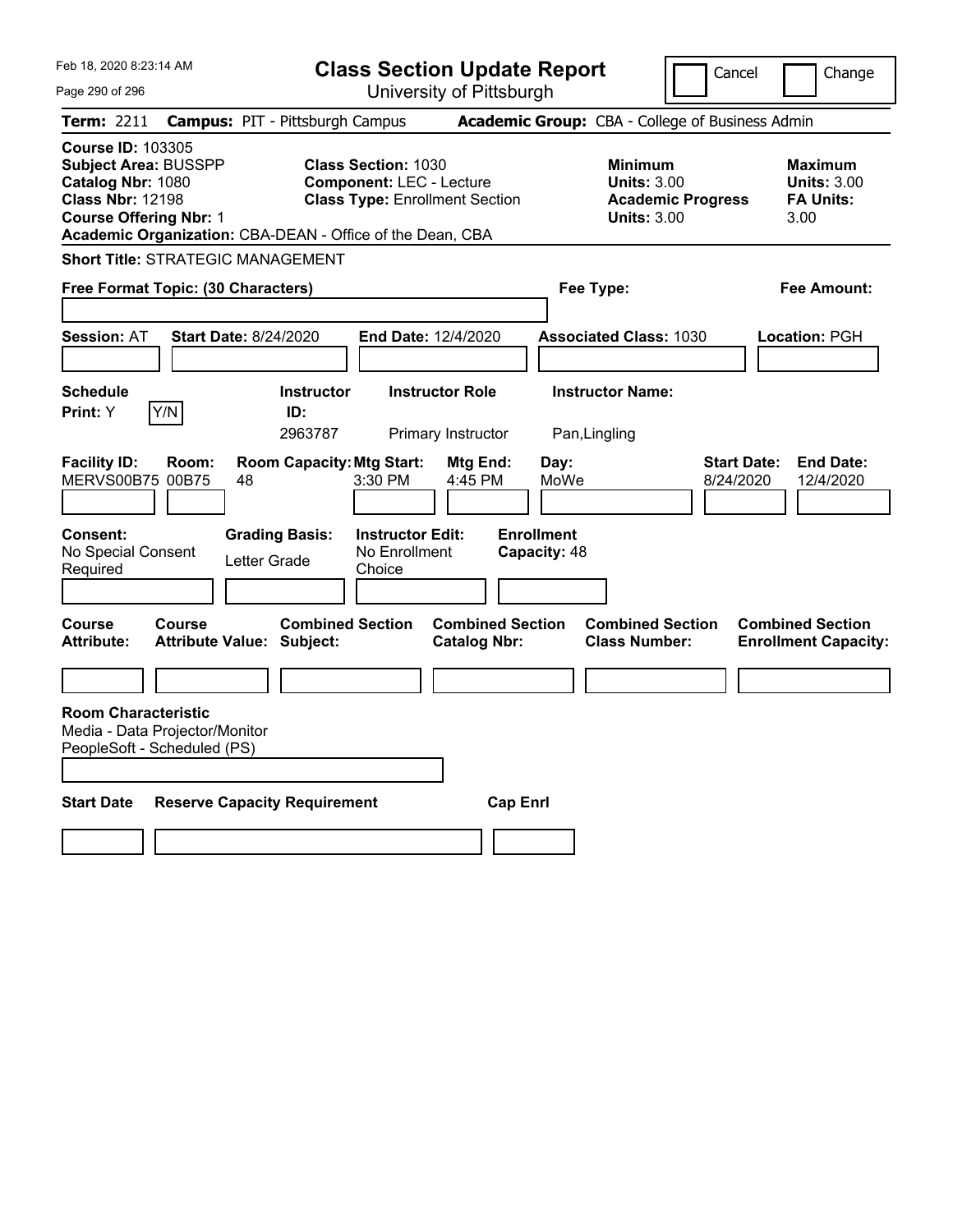| University of Pittsburgh<br>Page 290 of 296<br>Academic Group: CBA - College of Business Admin<br><b>Campus: PIT - Pittsburgh Campus</b><br><b>Term: 2211</b><br><b>Course ID: 103305</b><br><b>Class Section: 1030</b><br><b>Subject Area: BUSSPP</b><br><b>Minimum</b><br>Maximum                                                                                                                              |  |
|------------------------------------------------------------------------------------------------------------------------------------------------------------------------------------------------------------------------------------------------------------------------------------------------------------------------------------------------------------------------------------------------------------------|--|
|                                                                                                                                                                                                                                                                                                                                                                                                                  |  |
|                                                                                                                                                                                                                                                                                                                                                                                                                  |  |
| Catalog Nbr: 1080<br><b>Component: LEC - Lecture</b><br><b>Units: 3.00</b><br><b>Units: 3.00</b><br><b>Class Nbr: 12198</b><br><b>Class Type: Enrollment Section</b><br><b>FA Units:</b><br><b>Academic Progress</b><br><b>Course Offering Nbr: 1</b><br><b>Units: 3.00</b><br>3.00<br>Academic Organization: CBA-DEAN - Office of the Dean, CBA                                                                 |  |
| <b>Short Title: STRATEGIC MANAGEMENT</b>                                                                                                                                                                                                                                                                                                                                                                         |  |
| Free Format Topic: (30 Characters)<br>Fee Type:<br>Fee Amount:                                                                                                                                                                                                                                                                                                                                                   |  |
|                                                                                                                                                                                                                                                                                                                                                                                                                  |  |
| <b>Session: AT</b><br><b>Start Date: 8/24/2020</b><br>End Date: 12/4/2020<br><b>Associated Class: 1030</b><br>Location: PGH                                                                                                                                                                                                                                                                                      |  |
|                                                                                                                                                                                                                                                                                                                                                                                                                  |  |
| <b>Schedule</b><br><b>Instructor Role</b><br><b>Instructor Name:</b><br><b>Instructor</b>                                                                                                                                                                                                                                                                                                                        |  |
| Y/N<br>Print: Y<br>ID:<br>2963787<br>Primary Instructor<br>Pan, Lingling                                                                                                                                                                                                                                                                                                                                         |  |
| <b>Room Capacity: Mtg Start:</b><br><b>Facility ID:</b><br>Room:<br><b>Mtg End:</b><br>Day:<br><b>Start Date:</b><br><b>End Date:</b><br>MERVS00B75 00B75<br>3:30 PM<br>MoWe<br>48<br>4:45 PM<br>8/24/2020<br>12/4/2020<br><b>Enrollment</b><br><b>Instructor Edit:</b><br><b>Consent:</b><br><b>Grading Basis:</b><br>No Special Consent<br>No Enrollment<br>Capacity: 48<br>Letter Grade<br>Choice<br>Required |  |
|                                                                                                                                                                                                                                                                                                                                                                                                                  |  |
| <b>Course</b><br><b>Combined Section</b><br><b>Combined Section</b><br><b>Combined Section</b><br><b>Combined Section</b><br><b>Course</b><br><b>Catalog Nbr:</b><br><b>Class Number:</b><br><b>Attribute:</b><br><b>Attribute Value: Subject:</b><br><b>Enrollment Capacity:</b>                                                                                                                                |  |
|                                                                                                                                                                                                                                                                                                                                                                                                                  |  |
| <b>Room Characteristic</b><br>Media - Data Projector/Monitor<br>PeopleSoft - Scheduled (PS)                                                                                                                                                                                                                                                                                                                      |  |
| <b>Start Date</b><br><b>Reserve Capacity Requirement</b><br><b>Cap Enri</b>                                                                                                                                                                                                                                                                                                                                      |  |
|                                                                                                                                                                                                                                                                                                                                                                                                                  |  |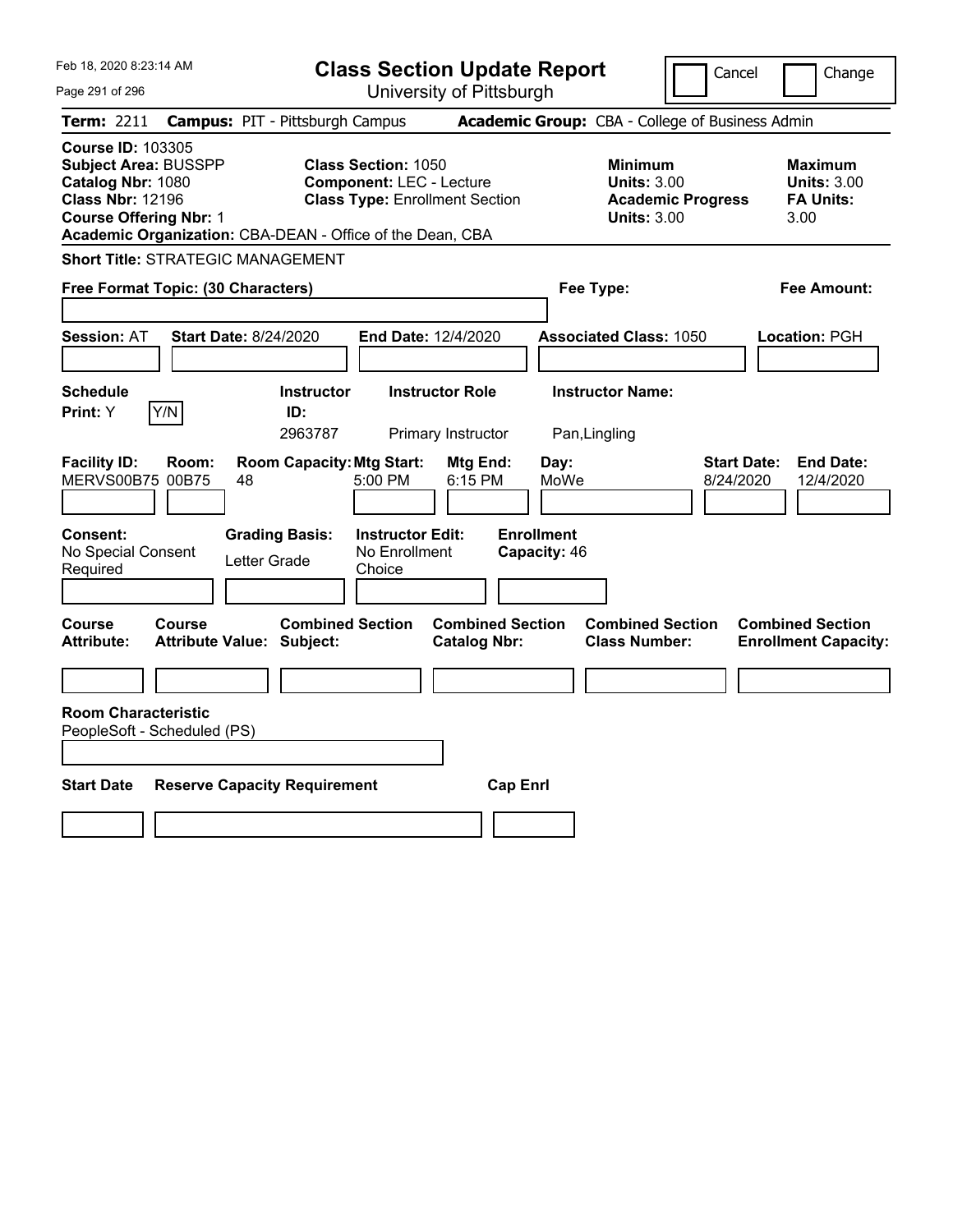| Feb 18, 2020 8:23:14 AM                                                                                                                                                                               | <b>Class Section Update Report</b>                                                                     |                                                 | Cancel                                                                                 | Change                                                           |
|-------------------------------------------------------------------------------------------------------------------------------------------------------------------------------------------------------|--------------------------------------------------------------------------------------------------------|-------------------------------------------------|----------------------------------------------------------------------------------------|------------------------------------------------------------------|
| Page 291 of 296                                                                                                                                                                                       | University of Pittsburgh                                                                               |                                                 |                                                                                        |                                                                  |
| <b>Term: 2211</b>                                                                                                                                                                                     | <b>Campus: PIT - Pittsburgh Campus</b>                                                                 | Academic Group: CBA - College of Business Admin |                                                                                        |                                                                  |
| <b>Course ID: 103305</b><br><b>Subject Area: BUSSPP</b><br>Catalog Nbr: 1080<br><b>Class Nbr: 12196</b><br><b>Course Offering Nbr: 1</b><br>Academic Organization: CBA-DEAN - Office of the Dean, CBA | <b>Class Section: 1050</b><br><b>Component: LEC - Lecture</b><br><b>Class Type: Enrollment Section</b> |                                                 | <b>Minimum</b><br><b>Units: 3.00</b><br><b>Academic Progress</b><br><b>Units: 3.00</b> | <b>Maximum</b><br><b>Units: 3.00</b><br><b>FA Units:</b><br>3.00 |
| <b>Short Title: STRATEGIC MANAGEMENT</b>                                                                                                                                                              |                                                                                                        |                                                 |                                                                                        |                                                                  |
| Free Format Topic: (30 Characters)                                                                                                                                                                    |                                                                                                        | Fee Type:                                       |                                                                                        | Fee Amount:                                                      |
| <b>Session: AT</b><br><b>Start Date: 8/24/2020</b>                                                                                                                                                    | <b>End Date: 12/4/2020</b>                                                                             | <b>Associated Class: 1050</b>                   |                                                                                        | Location: PGH                                                    |
| <b>Schedule</b><br>Y/N<br>Print: Y                                                                                                                                                                    | <b>Instructor Role</b><br><b>Instructor</b><br>ID:<br>2963787<br>Primary Instructor                    | <b>Instructor Name:</b><br>Pan, Lingling        |                                                                                        |                                                                  |
| <b>Facility ID:</b><br>Room:<br>MERVS00B75 00B75<br>48                                                                                                                                                | <b>Room Capacity: Mtg Start:</b><br>5:00 PM                                                            | Mtg End:<br>Day:<br>6:15 PM<br>MoWe             | <b>Start Date:</b><br>8/24/2020                                                        | <b>End Date:</b><br>12/4/2020                                    |
| Consent:<br><b>Grading Basis:</b><br>No Special Consent<br>Letter Grade<br>Required                                                                                                                   | <b>Instructor Edit:</b><br>No Enrollment<br>Choice                                                     | <b>Enrollment</b><br>Capacity: 46               |                                                                                        |                                                                  |
| Course<br>Course<br><b>Attribute:</b><br>Attribute Value: Subject:                                                                                                                                    | <b>Combined Section</b>                                                                                | <b>Combined Section</b><br><b>Catalog Nbr:</b>  | <b>Combined Section</b><br><b>Class Number:</b>                                        | <b>Combined Section</b><br><b>Enrollment Capacity:</b>           |
|                                                                                                                                                                                                       |                                                                                                        |                                                 |                                                                                        |                                                                  |
| <b>Room Characteristic</b><br>PeopleSoft - Scheduled (PS)                                                                                                                                             |                                                                                                        |                                                 |                                                                                        |                                                                  |
| <b>Start Date</b><br><b>Reserve Capacity Requirement</b>                                                                                                                                              |                                                                                                        | <b>Cap Enrl</b>                                 |                                                                                        |                                                                  |
|                                                                                                                                                                                                       |                                                                                                        |                                                 |                                                                                        |                                                                  |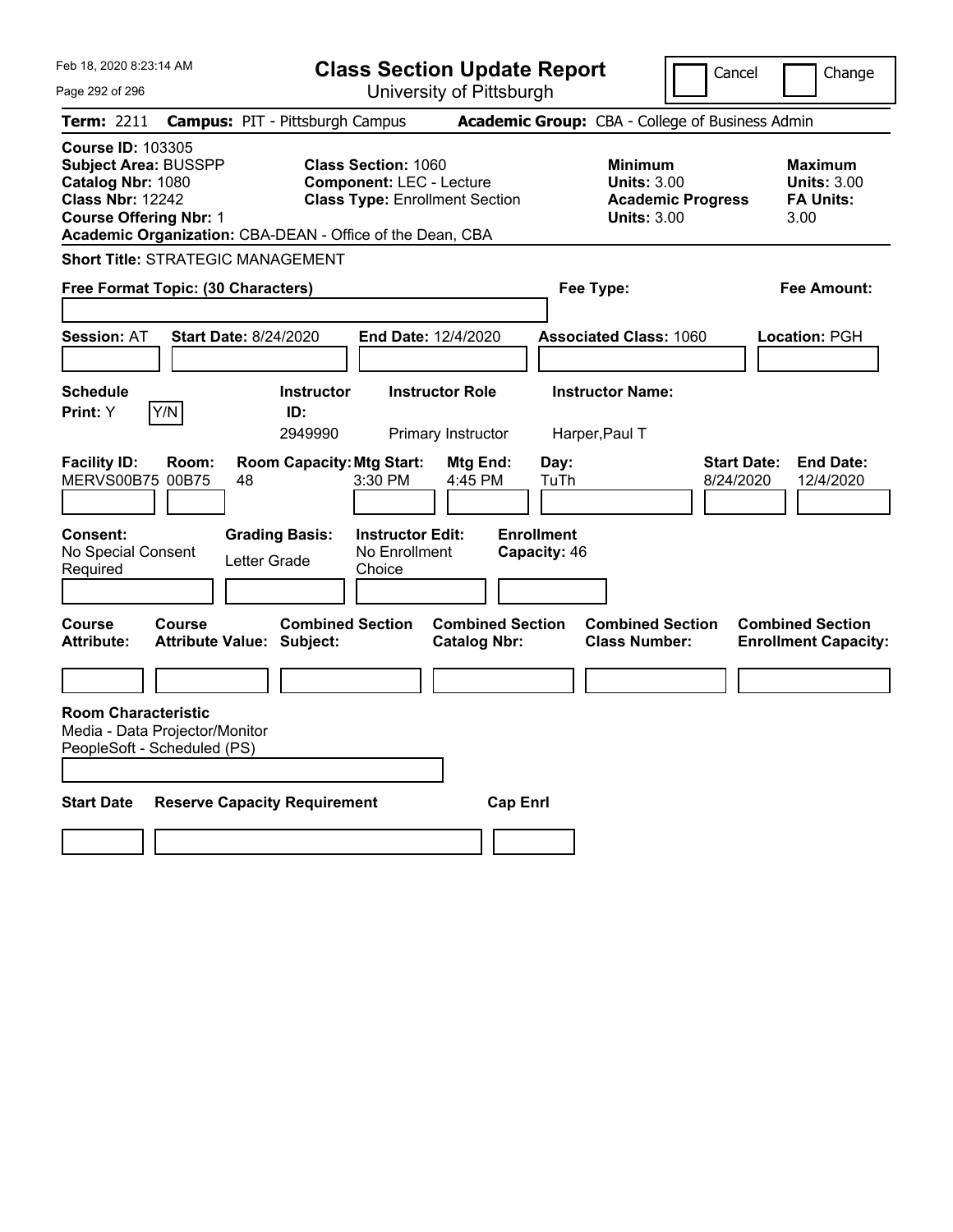| Feb 18, 2020 8:23:14 AM                                                                                                                  |                                                                                 | <b>Class Section Update Report</b>                                                                     |                                                                 |                                                            | Cancel                          | Change                                                    |
|------------------------------------------------------------------------------------------------------------------------------------------|---------------------------------------------------------------------------------|--------------------------------------------------------------------------------------------------------|-----------------------------------------------------------------|------------------------------------------------------------|---------------------------------|-----------------------------------------------------------|
| Page 292 of 296                                                                                                                          |                                                                                 | University of Pittsburgh                                                                               |                                                                 |                                                            |                                 |                                                           |
| <b>Term: 2211</b>                                                                                                                        | <b>Campus: PIT - Pittsburgh Campus</b>                                          |                                                                                                        |                                                                 | Academic Group: CBA - College of Business Admin            |                                 |                                                           |
| <b>Course ID: 103305</b><br><b>Subject Area: BUSSPP</b><br>Catalog Nbr: 1080<br><b>Class Nbr: 12242</b><br><b>Course Offering Nbr: 1</b> | Academic Organization: CBA-DEAN - Office of the Dean, CBA                       | <b>Class Section: 1060</b><br><b>Component: LEC - Lecture</b><br><b>Class Type: Enrollment Section</b> |                                                                 | <b>Minimum</b><br><b>Units: 3.00</b><br><b>Units: 3.00</b> | <b>Academic Progress</b>        | Maximum<br><b>Units: 3.00</b><br><b>FA Units:</b><br>3.00 |
|                                                                                                                                          | <b>Short Title: STRATEGIC MANAGEMENT</b>                                        |                                                                                                        |                                                                 |                                                            |                                 |                                                           |
| Free Format Topic: (30 Characters)                                                                                                       |                                                                                 |                                                                                                        |                                                                 | Fee Type:                                                  |                                 | Fee Amount:                                               |
|                                                                                                                                          |                                                                                 |                                                                                                        |                                                                 |                                                            |                                 |                                                           |
| <b>Session: AT</b>                                                                                                                       | <b>Start Date: 8/24/2020</b>                                                    | End Date: 12/4/2020                                                                                    |                                                                 | <b>Associated Class: 1060</b>                              |                                 | Location: PGH                                             |
|                                                                                                                                          |                                                                                 |                                                                                                        |                                                                 |                                                            |                                 |                                                           |
| <b>Schedule</b>                                                                                                                          | <b>Instructor</b>                                                               | <b>Instructor Role</b>                                                                                 |                                                                 | <b>Instructor Name:</b>                                    |                                 |                                                           |
| Y/N<br>Print: Y                                                                                                                          | ID:<br>2949990                                                                  | Primary Instructor                                                                                     |                                                                 | Harper, Paul T                                             |                                 |                                                           |
| <b>Facility ID:</b><br>Room:<br>MERVS00B75 00B75<br><b>Consent:</b><br>No Special Consent<br>Required                                    | <b>Room Capacity: Mtg Start:</b><br>48<br><b>Grading Basis:</b><br>Letter Grade | 3:30 PM<br><b>Instructor Edit:</b><br>No Enrollment<br>Choice                                          | <b>Mtg End:</b><br>4:45 PM<br><b>Enrollment</b><br>Capacity: 46 | Day:<br>TuTh                                               | <b>Start Date:</b><br>8/24/2020 | <b>End Date:</b><br>12/4/2020                             |
|                                                                                                                                          |                                                                                 |                                                                                                        |                                                                 |                                                            |                                 |                                                           |
| <b>Course</b><br>Course<br><b>Attribute:</b>                                                                                             | <b>Combined Section</b><br><b>Attribute Value: Subject:</b>                     |                                                                                                        | <b>Combined Section</b><br><b>Catalog Nbr:</b>                  | <b>Combined Section</b><br><b>Class Number:</b>            |                                 | <b>Combined Section</b><br><b>Enrollment Capacity:</b>    |
|                                                                                                                                          |                                                                                 |                                                                                                        |                                                                 |                                                            |                                 |                                                           |
| <b>Room Characteristic</b><br>Media - Data Projector/Monitor<br>PeopleSoft - Scheduled (PS)                                              |                                                                                 |                                                                                                        |                                                                 |                                                            |                                 |                                                           |
| <b>Start Date</b>                                                                                                                        | <b>Reserve Capacity Requirement</b>                                             |                                                                                                        | <b>Cap Enri</b>                                                 |                                                            |                                 |                                                           |
|                                                                                                                                          |                                                                                 |                                                                                                        |                                                                 |                                                            |                                 |                                                           |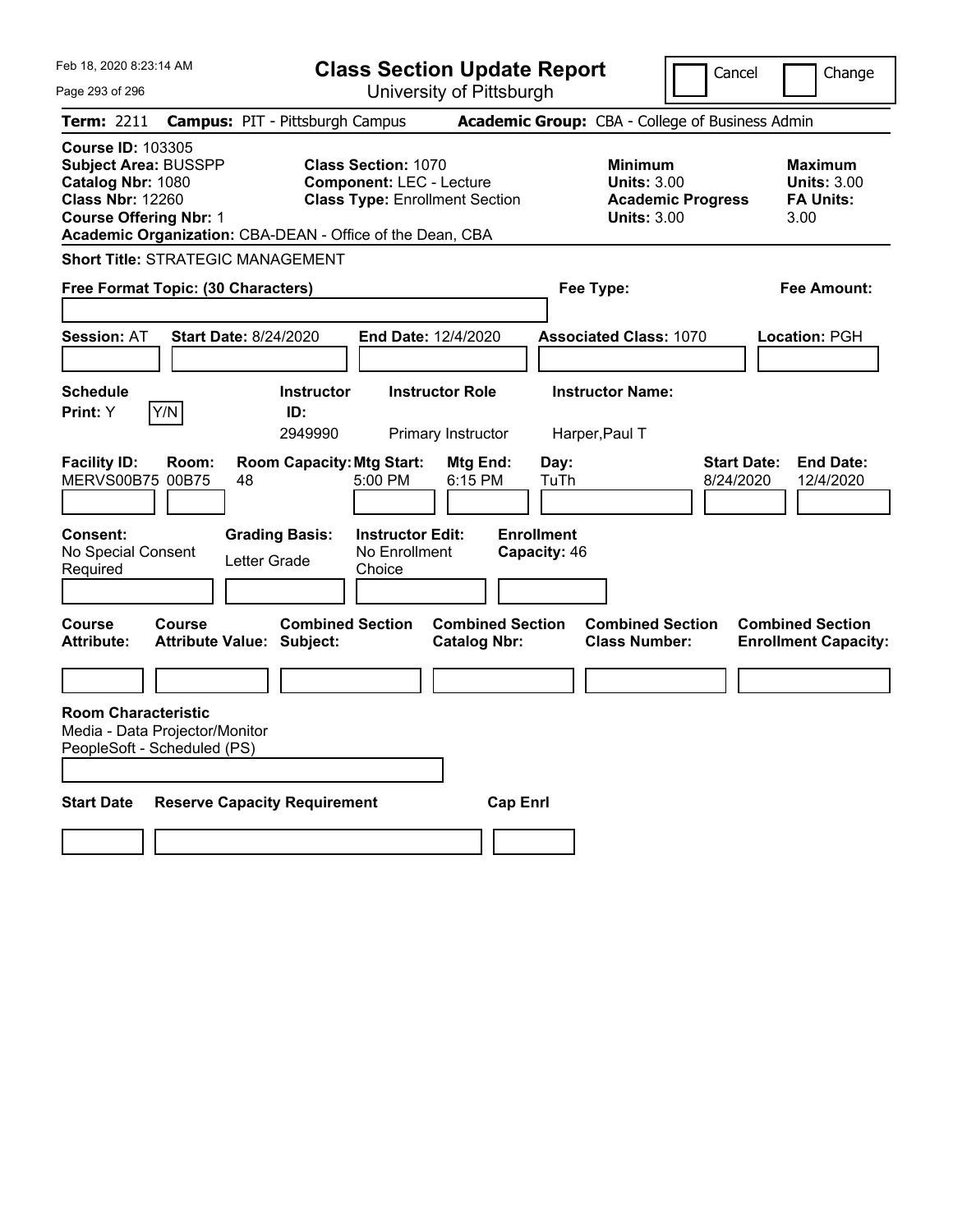| Feb 18, 2020 8:23:14 AM                                                                                                                  |        |                                                                                 | <b>Class Section Update Report</b><br>Cancel                                                           |                                                |                   |                              |                                                            |                          | Change                          |                                                                  |
|------------------------------------------------------------------------------------------------------------------------------------------|--------|---------------------------------------------------------------------------------|--------------------------------------------------------------------------------------------------------|------------------------------------------------|-------------------|------------------------------|------------------------------------------------------------|--------------------------|---------------------------------|------------------------------------------------------------------|
| Page 293 of 296                                                                                                                          |        |                                                                                 | University of Pittsburgh                                                                               |                                                |                   |                              |                                                            |                          |                                 |                                                                  |
| <b>Term: 2211</b>                                                                                                                        |        | <b>Campus: PIT - Pittsburgh Campus</b>                                          |                                                                                                        |                                                |                   |                              | Academic Group: CBA - College of Business Admin            |                          |                                 |                                                                  |
| <b>Course ID: 103305</b><br><b>Subject Area: BUSSPP</b><br>Catalog Nbr: 1080<br><b>Class Nbr: 12260</b><br><b>Course Offering Nbr: 1</b> |        | Academic Organization: CBA-DEAN - Office of the Dean, CBA                       | <b>Class Section: 1070</b><br><b>Component: LEC - Lecture</b><br><b>Class Type: Enrollment Section</b> |                                                |                   |                              | <b>Minimum</b><br><b>Units: 3.00</b><br><b>Units: 3.00</b> | <b>Academic Progress</b> |                                 | <b>Maximum</b><br><b>Units: 3.00</b><br><b>FA Units:</b><br>3.00 |
| <b>Short Title: STRATEGIC MANAGEMENT</b>                                                                                                 |        |                                                                                 |                                                                                                        |                                                |                   |                              |                                                            |                          |                                 |                                                                  |
| Free Format Topic: (30 Characters)                                                                                                       |        |                                                                                 |                                                                                                        |                                                |                   |                              | Fee Type:                                                  |                          |                                 | Fee Amount:                                                      |
|                                                                                                                                          |        |                                                                                 |                                                                                                        |                                                |                   |                              |                                                            |                          |                                 |                                                                  |
| <b>Session: AT</b>                                                                                                                       |        | <b>Start Date: 8/24/2020</b>                                                    | End Date: 12/4/2020                                                                                    |                                                |                   |                              | <b>Associated Class: 1070</b>                              |                          |                                 | <b>Location: PGH</b>                                             |
|                                                                                                                                          |        |                                                                                 |                                                                                                        |                                                |                   |                              |                                                            |                          |                                 |                                                                  |
| <b>Schedule</b>                                                                                                                          |        | <b>Instructor</b>                                                               |                                                                                                        | <b>Instructor Role</b>                         |                   |                              | <b>Instructor Name:</b>                                    |                          |                                 |                                                                  |
| Y/N<br><b>Print:</b> Y                                                                                                                   |        | ID:<br>2949990                                                                  |                                                                                                        | Primary Instructor                             |                   |                              | Harper, Paul T                                             |                          |                                 |                                                                  |
| <b>Facility ID:</b><br>MERVS00B75 00B75<br>Consent:<br>No Special Consent<br>Required                                                    | Room:  | <b>Room Capacity: Mtg Start:</b><br>48<br><b>Grading Basis:</b><br>Letter Grade | 5:00 PM<br><b>Instructor Edit:</b><br>No Enrollment<br>Choice                                          | Mtg End:<br>6:15 PM                            | <b>Enrollment</b> | Day:<br>TuTh<br>Capacity: 46 |                                                            |                          | <b>Start Date:</b><br>8/24/2020 | <b>End Date:</b><br>12/4/2020                                    |
|                                                                                                                                          |        |                                                                                 |                                                                                                        |                                                |                   |                              |                                                            |                          |                                 |                                                                  |
| Course<br><b>Attribute:</b>                                                                                                              | Course | <b>Combined Section</b><br><b>Attribute Value: Subject:</b>                     |                                                                                                        | <b>Combined Section</b><br><b>Catalog Nbr:</b> |                   |                              | <b>Combined Section</b><br><b>Class Number:</b>            |                          |                                 | <b>Combined Section</b><br><b>Enrollment Capacity:</b>           |
|                                                                                                                                          |        |                                                                                 |                                                                                                        |                                                |                   |                              |                                                            |                          |                                 |                                                                  |
| <b>Room Characteristic</b><br>Media - Data Projector/Monitor<br>PeopleSoft - Scheduled (PS)                                              |        |                                                                                 |                                                                                                        |                                                |                   |                              |                                                            |                          |                                 |                                                                  |
| <b>Start Date</b>                                                                                                                        |        | <b>Reserve Capacity Requirement</b>                                             |                                                                                                        |                                                | <b>Cap Enri</b>   |                              |                                                            |                          |                                 |                                                                  |
|                                                                                                                                          |        |                                                                                 |                                                                                                        |                                                |                   |                              |                                                            |                          |                                 |                                                                  |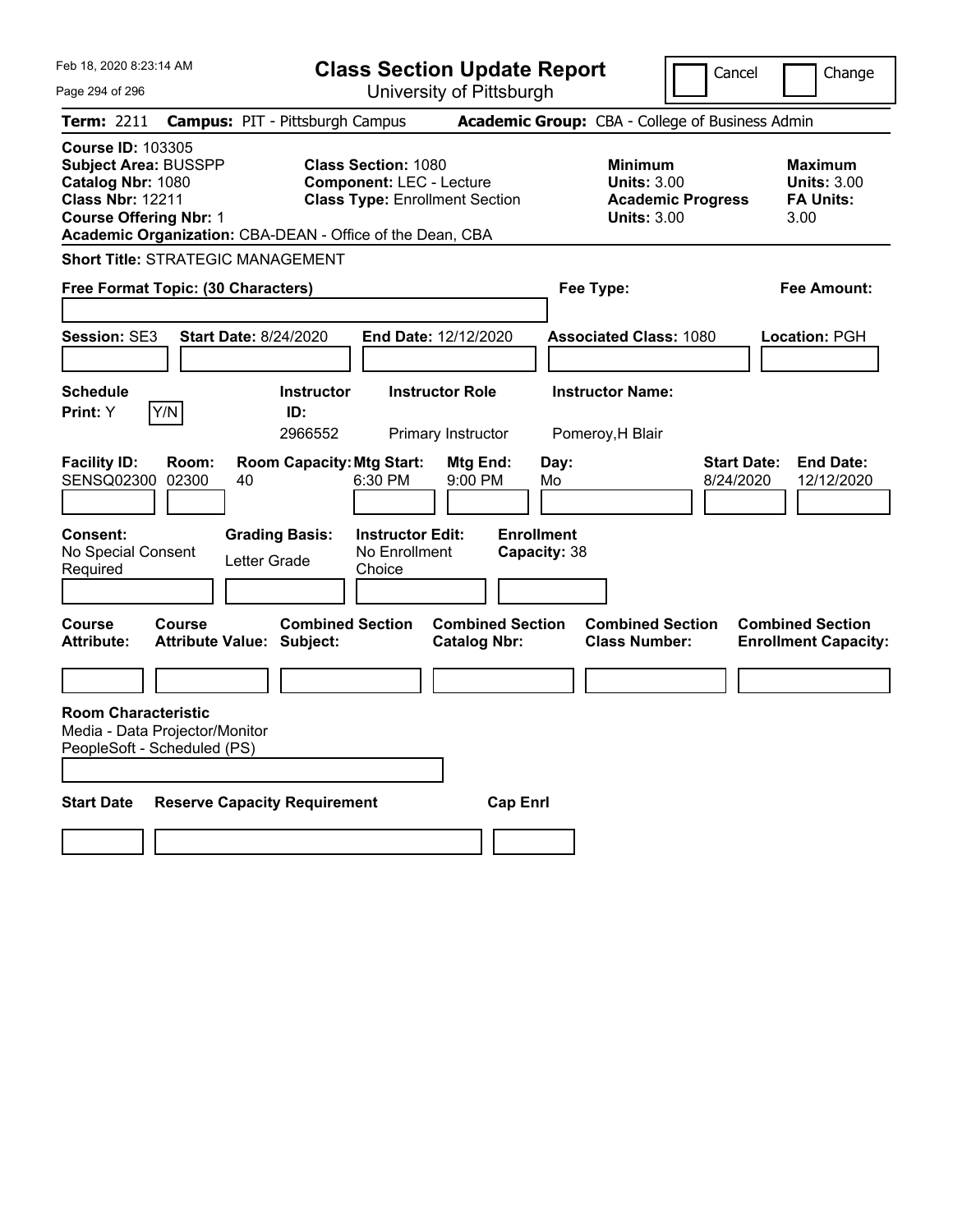| Feb 18, 2020 8:23:14 AM                                                                                                                                                                               |                      |                                                             |                                                               | <b>Class Section Update Report</b>             |                                                 | Cancel                                                               | Change                                                           |
|-------------------------------------------------------------------------------------------------------------------------------------------------------------------------------------------------------|----------------------|-------------------------------------------------------------|---------------------------------------------------------------|------------------------------------------------|-------------------------------------------------|----------------------------------------------------------------------|------------------------------------------------------------------|
| Page 294 of 296                                                                                                                                                                                       |                      |                                                             |                                                               | University of Pittsburgh                       |                                                 |                                                                      |                                                                  |
| Term: 2211                                                                                                                                                                                            |                      | <b>Campus: PIT - Pittsburgh Campus</b>                      |                                                               |                                                | Academic Group: CBA - College of Business Admin |                                                                      |                                                                  |
| <b>Course ID: 103305</b><br><b>Subject Area: BUSSPP</b><br>Catalog Nbr: 1080<br><b>Class Nbr: 12211</b><br><b>Course Offering Nbr: 1</b><br>Academic Organization: CBA-DEAN - Office of the Dean, CBA |                      |                                                             | <b>Class Section: 1080</b><br><b>Component: LEC - Lecture</b> | <b>Class Type: Enrollment Section</b>          | <b>Minimum</b>                                  | <b>Units: 3.00</b><br><b>Academic Progress</b><br><b>Units: 3.00</b> | <b>Maximum</b><br><b>Units: 3.00</b><br><b>FA Units:</b><br>3.00 |
| <b>Short Title: STRATEGIC MANAGEMENT</b>                                                                                                                                                              |                      |                                                             |                                                               |                                                |                                                 |                                                                      |                                                                  |
| Free Format Topic: (30 Characters)                                                                                                                                                                    |                      |                                                             |                                                               |                                                | Fee Type:                                       |                                                                      | Fee Amount:                                                      |
| <b>Session: SE3</b>                                                                                                                                                                                   |                      | <b>Start Date: 8/24/2020</b>                                |                                                               | End Date: 12/12/2020                           | <b>Associated Class: 1080</b>                   |                                                                      | Location: PGH                                                    |
| <b>Schedule</b><br>Y/N<br>Print: Y                                                                                                                                                                    |                      | <b>Instructor</b><br>ID:<br>2966552                         |                                                               | <b>Instructor Role</b><br>Primary Instructor   | <b>Instructor Name:</b><br>Pomeroy, H Blair     |                                                                      |                                                                  |
| <b>Facility ID:</b><br><b>SENSQ02300</b>                                                                                                                                                              | Room:<br>02300<br>40 | <b>Room Capacity: Mtg Start:</b>                            | 6:30 PM                                                       | Mtg End:<br>9:00 PM                            | Day:<br>Mo                                      | <b>Start Date:</b><br>8/24/2020                                      | <b>End Date:</b><br>12/12/2020                                   |
| <b>Consent:</b><br>No Special Consent<br>Required                                                                                                                                                     |                      | <b>Grading Basis:</b><br>Letter Grade                       | <b>Instructor Edit:</b><br>No Enrollment<br>Choice            |                                                | <b>Enrollment</b><br>Capacity: 38               |                                                                      |                                                                  |
| <b>Course</b><br><b>Attribute:</b>                                                                                                                                                                    | <b>Course</b>        | <b>Combined Section</b><br><b>Attribute Value: Subject:</b> |                                                               | <b>Combined Section</b><br><b>Catalog Nbr:</b> | <b>Class Number:</b>                            | <b>Combined Section</b>                                              | <b>Combined Section</b><br><b>Enrollment Capacity:</b>           |
|                                                                                                                                                                                                       |                      |                                                             |                                                               |                                                |                                                 |                                                                      |                                                                  |
| <b>Room Characteristic</b><br>Media - Data Projector/Monitor<br>PeopleSoft - Scheduled (PS)                                                                                                           |                      |                                                             |                                                               |                                                |                                                 |                                                                      |                                                                  |
| <b>Start Date</b>                                                                                                                                                                                     |                      | <b>Reserve Capacity Requirement</b>                         |                                                               | <b>Cap Enrl</b>                                |                                                 |                                                                      |                                                                  |
|                                                                                                                                                                                                       |                      |                                                             |                                                               |                                                |                                                 |                                                                      |                                                                  |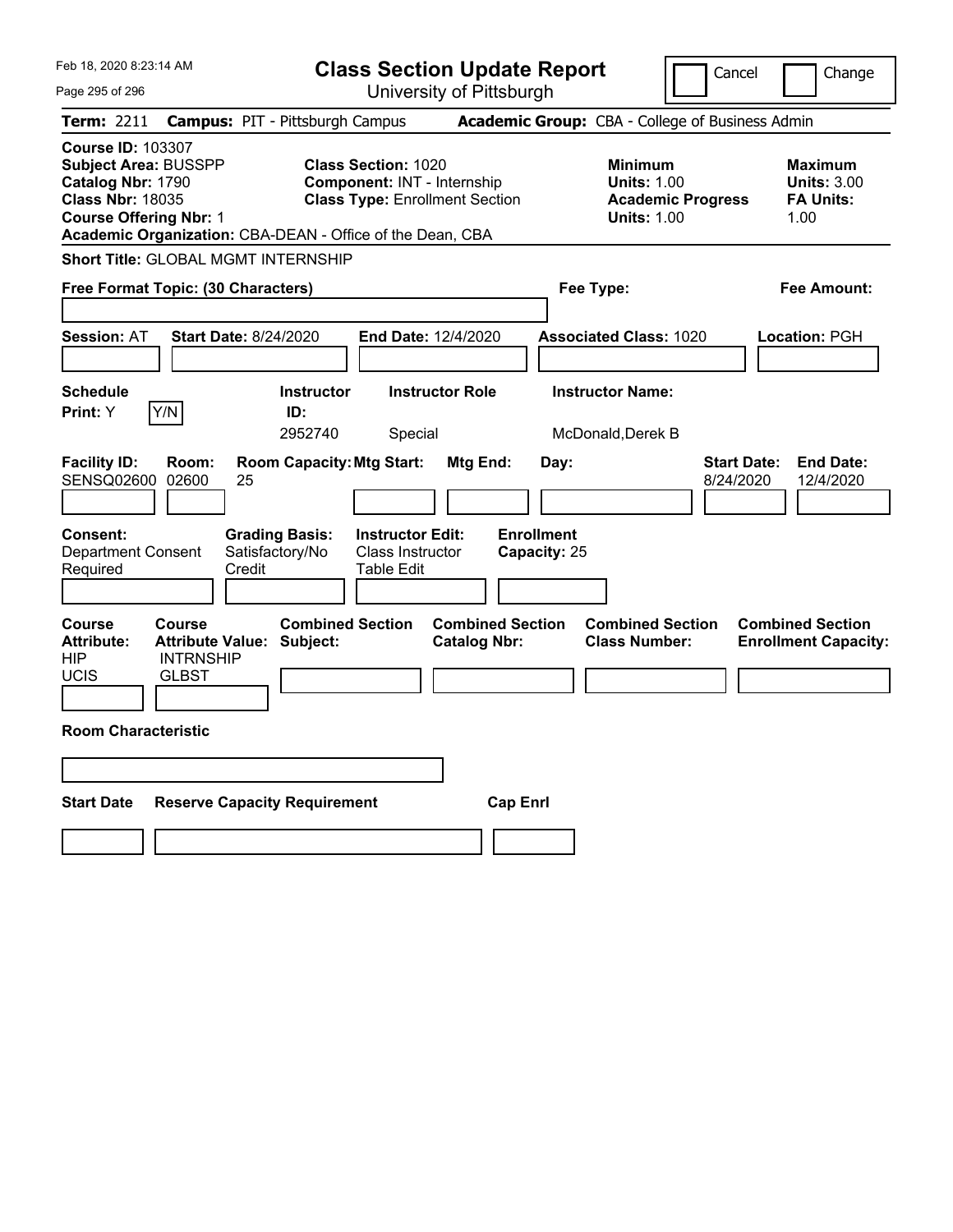| Feb 18, 2020 8:23:14 AM                                                                                                                                                                               | <b>Class Section Update Report</b>                                                                   |                                                                                                   | Cancel<br>Change                                                                             |
|-------------------------------------------------------------------------------------------------------------------------------------------------------------------------------------------------------|------------------------------------------------------------------------------------------------------|---------------------------------------------------------------------------------------------------|----------------------------------------------------------------------------------------------|
| Page 295 of 296                                                                                                                                                                                       | University of Pittsburgh                                                                             |                                                                                                   |                                                                                              |
| <b>Term: 2211</b>                                                                                                                                                                                     | <b>Campus: PIT - Pittsburgh Campus</b>                                                               | Academic Group: CBA - College of Business Admin                                                   |                                                                                              |
| <b>Course ID: 103307</b><br><b>Subject Area: BUSSPP</b><br>Catalog Nbr: 1790<br><b>Class Nbr: 18035</b><br><b>Course Offering Nbr: 1</b><br>Academic Organization: CBA-DEAN - Office of the Dean, CBA | <b>Class Section: 1020</b><br>Component: INT - Internship<br><b>Class Type: Enrollment Section</b>   | <b>Minimum</b><br><b>Units: 1.00</b><br><b>Units: 1.00</b>                                        | <b>Maximum</b><br><b>Units: 3.00</b><br><b>Academic Progress</b><br><b>FA Units:</b><br>1.00 |
| <b>Short Title: GLOBAL MGMT INTERNSHIP</b>                                                                                                                                                            |                                                                                                      |                                                                                                   |                                                                                              |
| Free Format Topic: (30 Characters)                                                                                                                                                                    |                                                                                                      | Fee Type:                                                                                         | Fee Amount:                                                                                  |
| <b>Start Date: 8/24/2020</b><br><b>Session: AT</b>                                                                                                                                                    | <b>End Date: 12/4/2020</b>                                                                           | <b>Associated Class: 1020</b>                                                                     | <b>Location: PGH</b>                                                                         |
| <b>Schedule</b><br>Y/N<br><b>Print:</b> Y                                                                                                                                                             | <b>Instructor Role</b><br><b>Instructor</b><br>ID:<br>2952740<br>Special                             | <b>Instructor Name:</b><br>McDonald,Derek B                                                       |                                                                                              |
| <b>Facility ID:</b><br>Room:<br>SENSQ02600<br>02600<br>25<br>Consent:<br><b>Grading Basis:</b><br>Satisfactory/No<br><b>Department Consent</b><br>Required<br>Credit                                  | <b>Room Capacity: Mtg Start:</b><br><b>Instructor Edit:</b><br><b>Class Instructor</b><br>Table Edit | Mtg End:<br>Day:<br><b>Enrollment</b><br>Capacity: 25                                             | <b>Start Date:</b><br><b>End Date:</b><br>12/4/2020<br>8/24/2020                             |
|                                                                                                                                                                                                       |                                                                                                      |                                                                                                   |                                                                                              |
| <b>Course</b><br><b>Course</b><br><b>Attribute Value:</b><br><b>Attribute:</b><br><b>INTRNSHIP</b><br>HIP<br><b>UCIS</b><br><b>GLBST</b>                                                              | <b>Combined Section</b><br>Subject:                                                                  | <b>Combined Section</b><br><b>Combined Section</b><br><b>Class Number:</b><br><b>Catalog Nbr:</b> | <b>Combined Section</b><br><b>Enrollment Capacity:</b>                                       |
| <b>Room Characteristic</b>                                                                                                                                                                            |                                                                                                      |                                                                                                   |                                                                                              |
|                                                                                                                                                                                                       |                                                                                                      |                                                                                                   |                                                                                              |
| <b>Start Date</b><br><b>Reserve Capacity Requirement</b>                                                                                                                                              |                                                                                                      | <b>Cap Enri</b>                                                                                   |                                                                                              |
|                                                                                                                                                                                                       |                                                                                                      |                                                                                                   |                                                                                              |